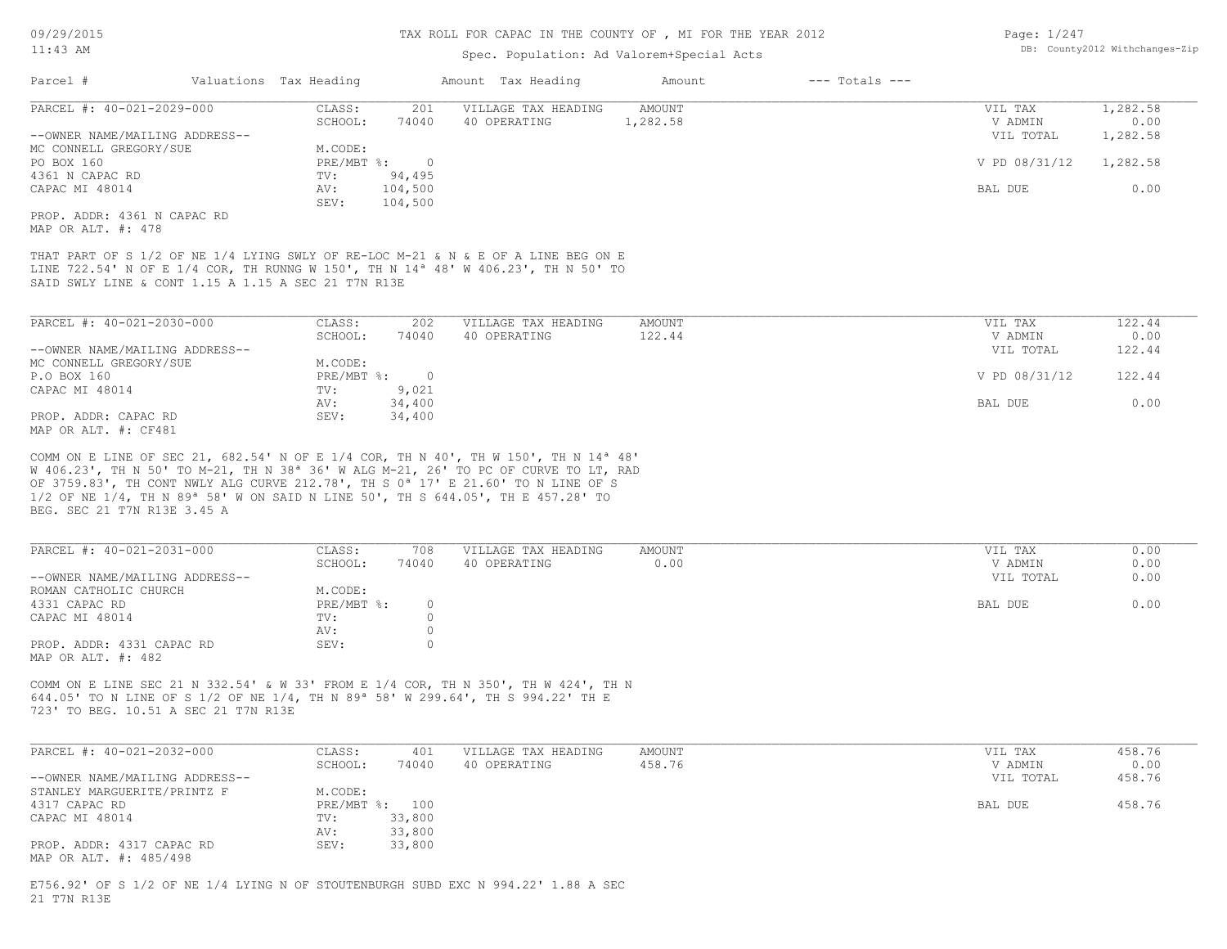#### Spec. Population: Ad Valorem+Special Acts

| Page: 1/247 |                                |
|-------------|--------------------------------|
|             | DB: County2012 Withchanges-Zip |

| Parcel #                                                                                                        | Valuations Tax Heading |         | Amount Tax Heading  | Amount   | $---$ Totals $---$ |               |          |
|-----------------------------------------------------------------------------------------------------------------|------------------------|---------|---------------------|----------|--------------------|---------------|----------|
| PARCEL #: 40-021-2029-000                                                                                       | CLASS:                 | 201     | VILLAGE TAX HEADING | AMOUNT   |                    | VIL TAX       | 1,282.58 |
|                                                                                                                 | SCHOOL:                | 74040   | 40 OPERATING        | 1,282.58 |                    | V ADMIN       | 0.00     |
| --OWNER NAME/MAILING ADDRESS--                                                                                  |                        |         |                     |          |                    | VIL TOTAL     | 1,282.58 |
| MC CONNELL GREGORY/SUE                                                                                          | M.CODE:                |         |                     |          |                    |               |          |
| PO BOX 160                                                                                                      | $PRE/MBT$ %:           |         |                     |          |                    | V PD 08/31/12 | 1,282.58 |
| 4361 N CAPAC RD                                                                                                 | TV:                    | 94,495  |                     |          |                    |               |          |
| CAPAC MI 48014                                                                                                  | AV:                    | 104,500 |                     |          |                    | BAL DUE       | 0.00     |
|                                                                                                                 | SEV:                   | 104,500 |                     |          |                    |               |          |
| the contract of the contract of the contract of the contract of the contract of the contract of the contract of |                        |         |                     |          |                    |               |          |

MAP OR ALT. #: 478 PROP. ADDR: 4361 N CAPAC RD

SAID SWLY LINE & CONT 1.15 A 1.15 A SEC 21 T7N R13E LINE 722.54' N OF E 1/4 COR, TH RUNNG W 150', TH N 14ª 48' W 406.23', TH N 50' TO THAT PART OF S 1/2 OF NE 1/4 LYING SWLY OF RE-LOC M-21 & N & E OF A LINE BEG ON E

| PARCEL #: 40-021-2030-000      | CLASS:     | 202      | VILLAGE TAX HEADING | AMOUNT | VIL TAX       | 122.44 |
|--------------------------------|------------|----------|---------------------|--------|---------------|--------|
|                                | SCHOOL:    | 74040    | 40 OPERATING        | 122.44 | V ADMIN       | 0.00   |
| --OWNER NAME/MAILING ADDRESS-- |            |          |                     |        | VIL TOTAL     | 122.44 |
| MC CONNELL GREGORY/SUE         | M.CODE:    |          |                     |        |               |        |
| P.O BOX 160                    | PRE/MBT %: | $\Omega$ |                     |        | V PD 08/31/12 | 122.44 |
| CAPAC MI 48014                 | TV:        | 9,021    |                     |        |               |        |
|                                | AV:        | 34,400   |                     |        | BAL DUE       | 0.00   |
| PROP. ADDR: CAPAC RD           | SEV:       | 34,400   |                     |        |               |        |
| $\frac{1}{2}$                  |            |          |                     |        |               |        |

MAP OR ALT. #: CF481

BEG. SEC 21 T7N R13E 3.45 A 1/2 OF NE 1/4, TH N 89ª 58' W ON SAID N LINE 50', TH S 644.05', TH E 457.28' TO OF 3759.83', TH CONT NWLY ALG CURVE 212.78', TH S 0ª 17' E 21.60' TO N LINE OF S W 406.23', TH N 50' TO M-21, TH N 38ª 36' W ALG M-21, 26' TO PC OF CURVE TO LT, RAD COMM ON E LINE OF SEC 21, 682.54' N OF E 1/4 COR, TH N 40', TH W 150', TH N 14ª 48'

| PARCEL #: 40-021-2031-000      | CLASS:     | 708   | VILLAGE TAX HEADING | AMOUNT | VIL TAX<br>0.00   |
|--------------------------------|------------|-------|---------------------|--------|-------------------|
|                                | SCHOOL:    | 74040 | 40 OPERATING        | 0.00   | 0.00<br>V ADMIN   |
| --OWNER NAME/MAILING ADDRESS-- |            |       |                     |        | 0.00<br>VIL TOTAL |
| ROMAN CATHOLIC CHURCH          | M.CODE:    |       |                     |        |                   |
| 4331 CAPAC RD                  | PRE/MBT %: |       |                     |        | 0.00<br>BAL DUE   |
| CAPAC MI 48014                 | TV:        |       |                     |        |                   |
|                                | AV:        |       |                     |        |                   |
| PROP. ADDR: 4331 CAPAC RD      | SEV:       |       |                     |        |                   |
| MAP OR ALT. #: 482             |            |       |                     |        |                   |

723' TO BEG. 10.51 A SEC 21 T7N R13E 644.05' TO N LINE OF S 1/2 OF NE 1/4, TH N 89ª 58' W 299.64', TH S 994.22' TH E COMM ON E LINE SEC 21 N 332.54' & W 33' FROM E 1/4 COR, TH N 350', TH W 424', TH N

| PARCEL #: 40-021-2032-000      | CLASS:  | 401            | VILLAGE TAX HEADING | AMOUNT | VIL TAX   | 458.76 |
|--------------------------------|---------|----------------|---------------------|--------|-----------|--------|
|                                | SCHOOL: | 74040          | 40 OPERATING        | 458.76 | V ADMIN   | 0.00   |
| --OWNER NAME/MAILING ADDRESS-- |         |                |                     |        | VIL TOTAL | 458.76 |
| STANLEY MARGUERITE/PRINTZ F    | M.CODE: |                |                     |        |           |        |
| 4317 CAPAC RD                  |         | PRE/MBT %: 100 |                     |        | BAL DUE   | 458.76 |
| CAPAC MI 48014                 | TV:     | 33,800         |                     |        |           |        |
|                                | AV:     | 33,800         |                     |        |           |        |
| PROP. ADDR: 4317 CAPAC RD      | SEV:    | 33,800         |                     |        |           |        |
| MAP OR ALT. #: 485/498         |         |                |                     |        |           |        |

21 T7N R13E E756.92' OF S 1/2 OF NE 1/4 LYING N OF STOUTENBURGH SUBD EXC N 994.22' 1.88 A SEC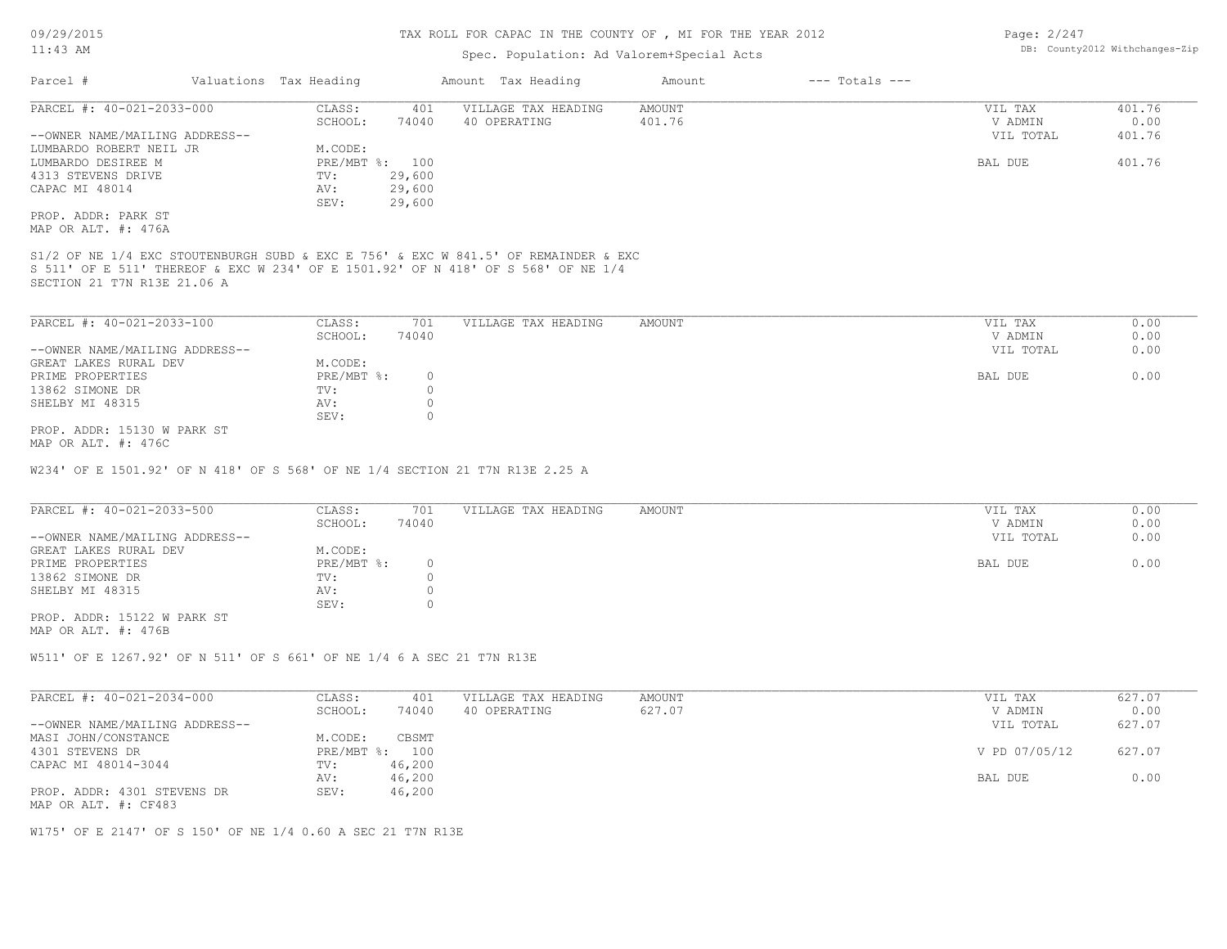### Spec. Population: Ad Valorem+Special Acts

| Page: 2/247 |                                |
|-------------|--------------------------------|
|             | DB: County2012 Withchanges-Zip |

| Parcel #                       | Valuations Tax Heading |                | Amount Tax Heading  | Amount | $---$ Totals $---$ |           |        |
|--------------------------------|------------------------|----------------|---------------------|--------|--------------------|-----------|--------|
| PARCEL #: 40-021-2033-000      | CLASS:                 | 401            | VILLAGE TAX HEADING | AMOUNT |                    | VIL TAX   | 401.76 |
|                                | SCHOOL:                | 74040          | 40 OPERATING        | 401.76 |                    | V ADMIN   | 0.00   |
| --OWNER NAME/MAILING ADDRESS-- |                        |                |                     |        |                    | VIL TOTAL | 401.76 |
| LUMBARDO ROBERT NEIL JR        | M.CODE:                |                |                     |        |                    |           |        |
| LUMBARDO DESIREE M             |                        | PRE/MBT %: 100 |                     |        |                    | BAL DUE   | 401.76 |
| 4313 STEVENS DRIVE             | TV:                    | 29,600         |                     |        |                    |           |        |
| CAPAC MI 48014                 | AV:                    | 29,600         |                     |        |                    |           |        |
|                                | SEV:                   | 29,600         |                     |        |                    |           |        |
| PROP. ADDR: PARK ST            |                        |                |                     |        |                    |           |        |
| MAP OR ALT. #: 476A            |                        |                |                     |        |                    |           |        |

SECTION 21 T7N R13E 21.06 A S 511' OF E 511' THEREOF & EXC W 234' OF E 1501.92' OF N 418' OF S 568' OF NE 1/4 S1/2 OF NE 1/4 EXC STOUTENBURGH SUBD & EXC E 756' & EXC W 841.5' OF REMAINDER & EXC

| PARCEL #: 40-021-2033-100      | CLASS:     | 701   | VILLAGE TAX HEADING | AMOUNT | VIL TAX   | 0.00 |
|--------------------------------|------------|-------|---------------------|--------|-----------|------|
|                                | SCHOOL:    | 74040 |                     |        | V ADMIN   | 0.00 |
| --OWNER NAME/MAILING ADDRESS-- |            |       |                     |        | VIL TOTAL | 0.00 |
| GREAT LAKES RURAL DEV          | M.CODE:    |       |                     |        |           |      |
| PRIME PROPERTIES               | PRE/MBT %: |       |                     |        | BAL DUE   | 0.00 |
| 13862 SIMONE DR                | TV:        |       |                     |        |           |      |
| SHELBY MI 48315                | AV:        |       |                     |        |           |      |
|                                | SEV:       |       |                     |        |           |      |
| PROP. ADDR: 15130 W PARK ST    |            |       |                     |        |           |      |

MAP OR ALT. #: 476C

W234' OF E 1501.92' OF N 418' OF S 568' OF NE 1/4 SECTION 21 T7N R13E 2.25 A

| PARCEL #: 40-021-2033-500      | CLASS:       | 701   | VILLAGE TAX HEADING | AMOUNT | VIL TAX   | 0.00 |
|--------------------------------|--------------|-------|---------------------|--------|-----------|------|
|                                | SCHOOL:      | 74040 |                     |        | V ADMIN   | 0.00 |
| --OWNER NAME/MAILING ADDRESS-- |              |       |                     |        | VIL TOTAL | 0.00 |
| GREAT LAKES RURAL DEV          | M.CODE:      |       |                     |        |           |      |
| PRIME PROPERTIES               | $PRE/MBT$ %: |       |                     |        | BAL DUE   | 0.00 |
| 13862 SIMONE DR                | TV:          |       |                     |        |           |      |
| SHELBY MI 48315                | AV:          |       |                     |        |           |      |
|                                | SEV:         |       |                     |        |           |      |

MAP OR ALT. #: 476B PROP. ADDR: 15122 W PARK ST

W511' OF E 1267.92' OF N 511' OF S 661' OF NE 1/4 6 A SEC 21 T7N R13E

| PARCEL #: 40-021-2034-000                           | CLASS:         | 401    | VILLAGE TAX HEADING | AMOUNT | VIL TAX       | 627.07 |
|-----------------------------------------------------|----------------|--------|---------------------|--------|---------------|--------|
|                                                     | SCHOOL:        | 74040  | 40 OPERATING        | 627.07 | V ADMIN       | 0.00   |
| --OWNER NAME/MAILING ADDRESS--                      |                |        |                     |        | VIL TOTAL     | 627.07 |
| MASI JOHN/CONSTANCE                                 | M.CODE:        | CBSMT  |                     |        |               |        |
| 4301 STEVENS DR                                     | PRE/MBT %: 100 |        |                     |        | V PD 07/05/12 | 627.07 |
| CAPAC MI 48014-3044                                 | TV:            | 46,200 |                     |        |               |        |
|                                                     | AV:            | 46,200 |                     |        | BAL DUE       | 0.00   |
| PROP. ADDR: 4301 STEVENS DR<br>MAP OR ALT. #: CF483 | SEV:           | 46,200 |                     |        |               |        |

W175' OF E 2147' OF S 150' OF NE 1/4 0.60 A SEC 21 T7N R13E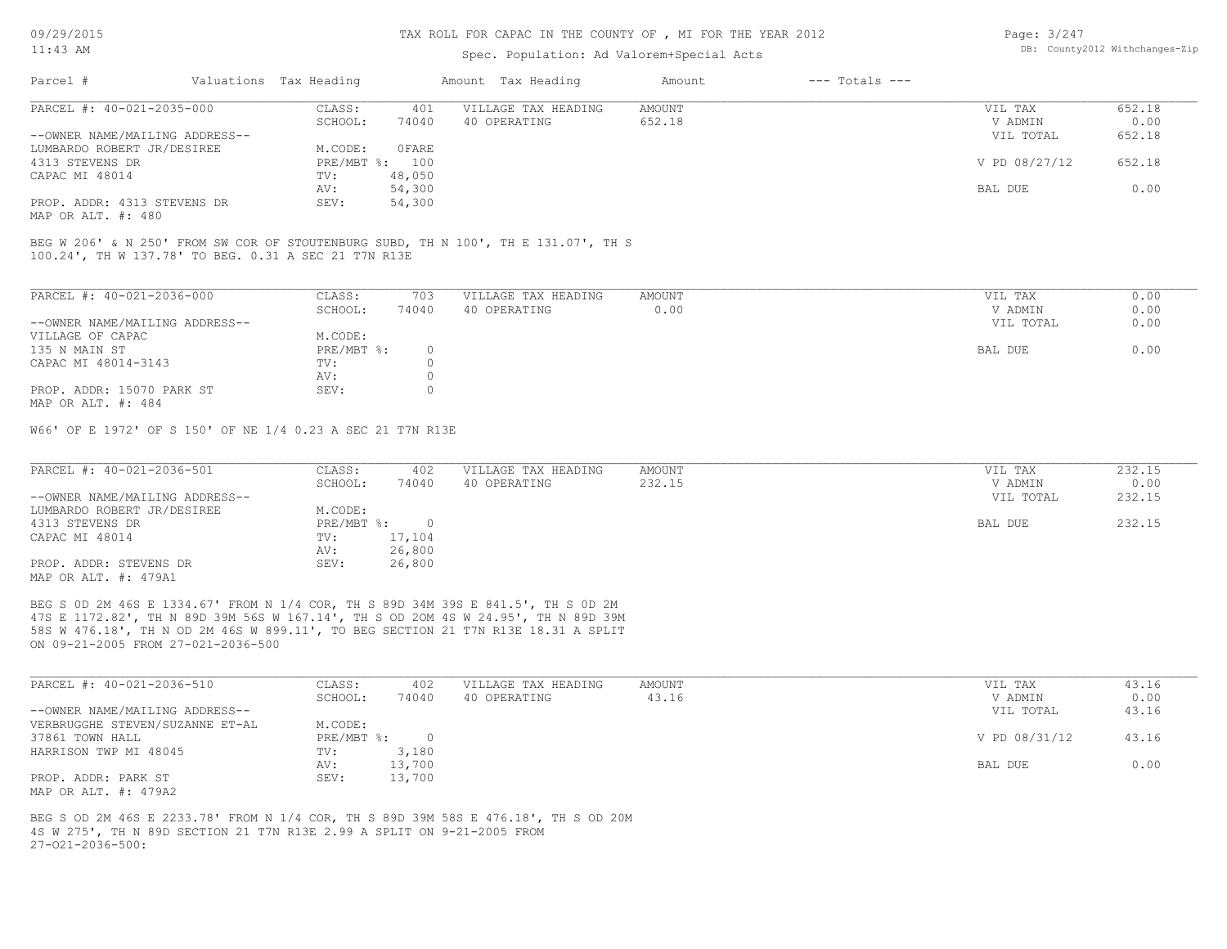#### Spec. Population: Ad Valorem+Special Acts

| Page: 3/247 |                                |
|-------------|--------------------------------|
|             | DB: County2012 Withchanges-Zip |

| Parcel #                       | Valuations Tax Heading |        | Amount Tax Heading  | Amount | $---$ Totals $---$ |               |        |
|--------------------------------|------------------------|--------|---------------------|--------|--------------------|---------------|--------|
| PARCEL #: 40-021-2035-000      | CLASS:                 | 401    | VILLAGE TAX HEADING | AMOUNT |                    | VIL TAX       | 652.18 |
|                                | SCHOOL:                | 74040  | 40 OPERATING        | 652.18 |                    | V ADMIN       | 0.00   |
| --OWNER NAME/MAILING ADDRESS-- |                        |        |                     |        |                    | VIL TOTAL     | 652.18 |
| LUMBARDO ROBERT JR/DESIREE     | M.CODE:                | 0 FARE |                     |        |                    |               |        |
| 4313 STEVENS DR                | PRE/MBT %: 100         |        |                     |        |                    | V PD 08/27/12 | 652.18 |
| CAPAC MI 48014                 | TV:                    | 48,050 |                     |        |                    |               |        |
|                                | AV:                    | 54,300 |                     |        |                    | BAL DUE       | 0.00   |
| PROP. ADDR: 4313 STEVENS DR    | SEV:                   | 54,300 |                     |        |                    |               |        |
|                                |                        |        |                     |        |                    |               |        |

MAP OR ALT. #: 480

100.24', TH W 137.78' TO BEG. 0.31 A SEC 21 T7N R13E BEG W 206' & N 250' FROM SW COR OF STOUTENBURG SUBD, TH N 100', TH E 131.07', TH S

| PARCEL #: 40-021-2036-000      | CLASS:     | 703   | VILLAGE TAX HEADING | AMOUNT | VIL TAX   | 0.00 |
|--------------------------------|------------|-------|---------------------|--------|-----------|------|
|                                | SCHOOL:    | 74040 | 40 OPERATING        | 0.00   | V ADMIN   | 0.00 |
| --OWNER NAME/MAILING ADDRESS-- |            |       |                     |        | VIL TOTAL | 0.00 |
| VILLAGE OF CAPAC               | M.CODE:    |       |                     |        |           |      |
| 135 N MAIN ST                  | PRE/MBT %: |       |                     |        | BAL DUE   | 0.00 |
| CAPAC MI 48014-3143            | TV:        |       |                     |        |           |      |
|                                | AV:        |       |                     |        |           |      |
| PROP. ADDR: 15070 PARK ST      | SEV:       |       |                     |        |           |      |
| MAP OR ALT. #: 484             |            |       |                     |        |           |      |

W66' OF E 1972' OF S 150' OF NE 1/4 0.23 A SEC 21 T7N R13E

| PARCEL #: 40-021-2036-501      | CLASS:     | 402    | VILLAGE TAX HEADING | AMOUNT | VIL TAX   | 232.15 |
|--------------------------------|------------|--------|---------------------|--------|-----------|--------|
|                                | SCHOOL:    | 74040  | 40 OPERATING        | 232.15 | V ADMIN   | 0.00   |
| --OWNER NAME/MAILING ADDRESS-- |            |        |                     |        | VIL TOTAL | 232.15 |
| LUMBARDO ROBERT JR/DESIREE     | M.CODE:    |        |                     |        |           |        |
| 4313 STEVENS DR                | PRE/MBT %: |        |                     |        | BAL DUE   | 232.15 |
| CAPAC MI 48014                 | TV:        | 17,104 |                     |        |           |        |
|                                | AV:        | 26,800 |                     |        |           |        |
| PROP. ADDR: STEVENS DR         | SEV:       | 26,800 |                     |        |           |        |
| MAP OR ALT. #: 479A1           |            |        |                     |        |           |        |

ON 09-21-2005 FROM 27-021-2036-500 58S W 476.18', TH N OD 2M 46S W 899.11', TO BEG SECTION 21 T7N R13E 18.31 A SPLIT 47S E 1172.82', TH N 89D 39M 56S W 167.14', TH S OD 2OM 4S W 24.95', TH N 89D 39M BEG S 0D 2M 46S E 1334.67' FROM N 1/4 COR, TH S 89D 34M 39S E 841.5', TH S 0D 2M

| PARCEL #: 40-021-2036-510       | CLASS:     | 402    | VILLAGE TAX HEADING | AMOUNT | VIL TAX       | 43.16 |
|---------------------------------|------------|--------|---------------------|--------|---------------|-------|
|                                 | SCHOOL:    | 74040  | 40 OPERATING        | 43.16  | V ADMIN       | 0.00  |
| --OWNER NAME/MAILING ADDRESS--  |            |        |                     |        | VIL TOTAL     | 43.16 |
| VERBRUGGHE STEVEN/SUZANNE ET-AL | M.CODE:    |        |                     |        |               |       |
| 37861 TOWN HALL                 | PRE/MBT %: |        |                     |        | V PD 08/31/12 | 43.16 |
| HARRISON TWP MI 48045           | TV:        | 3,180  |                     |        |               |       |
|                                 | AV:        | 13,700 |                     |        | BAL DUE       | 0.00  |
| PROP. ADDR: PARK ST             | SEV:       | 13,700 |                     |        |               |       |
| MAP OR ALT. #: 479A2            |            |        |                     |        |               |       |

 $27-021-2036-500:$ 4S W 275', TH N 89D SECTION 21 T7N R13E 2.99 A SPLIT ON 9-21-2005 FROM BEG S OD 2M 46S E 2233.78' FROM N 1/4 COR, TH S 89D 39M 58S E 476.18', TH S OD 20M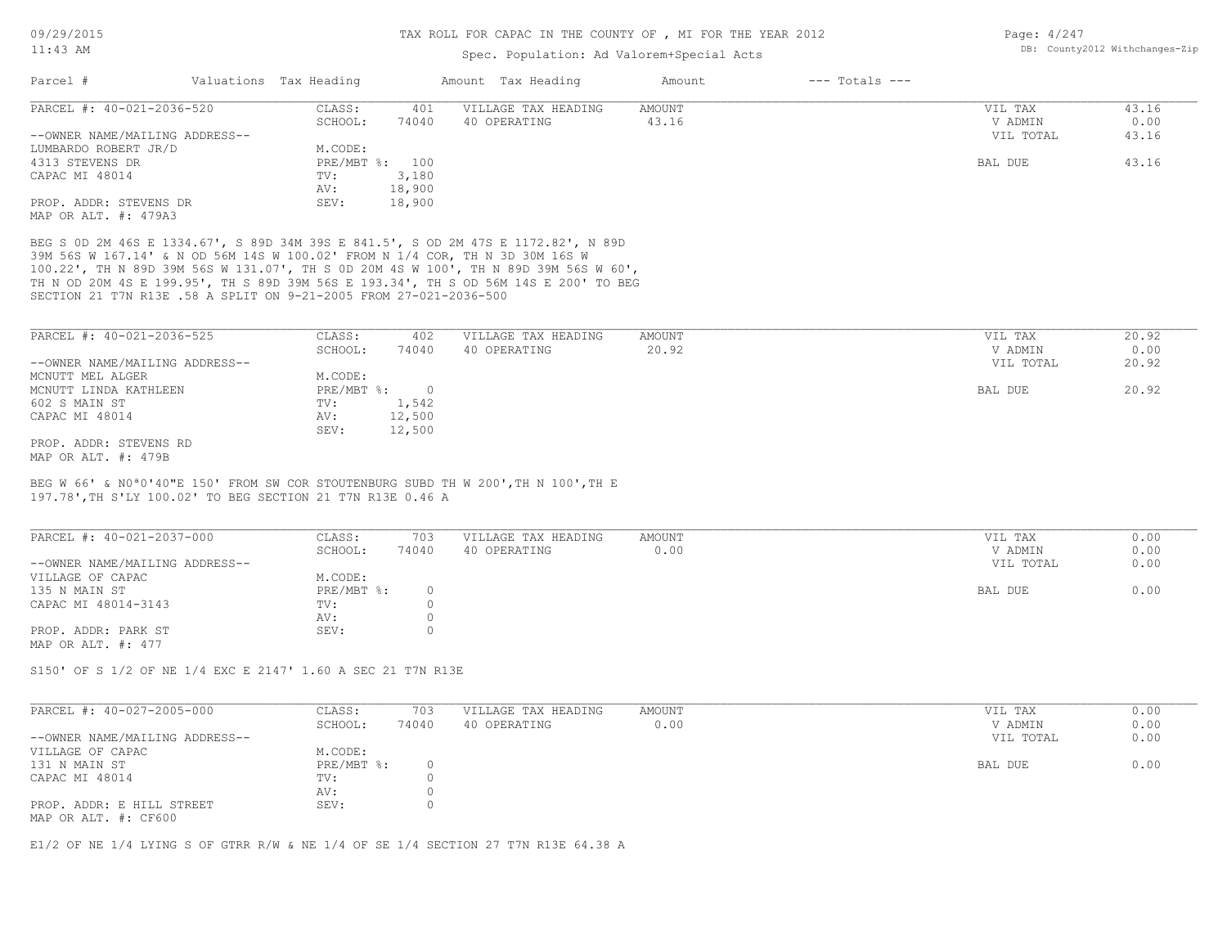### Spec. Population: Ad Valorem+Special Acts

| Page: 4/247 |                                |
|-------------|--------------------------------|
|             | DB: County2012 Withchanges-Zip |

| Parcel #                       | Valuations Tax Heading |        | Amount Tax Heading  | Amount | $---$ Totals $---$ |           |       |
|--------------------------------|------------------------|--------|---------------------|--------|--------------------|-----------|-------|
| PARCEL #: 40-021-2036-520      | CLASS:                 | 401    | VILLAGE TAX HEADING | AMOUNT |                    | VIL TAX   | 43.16 |
|                                | SCHOOL:                | 74040  | 40 OPERATING        | 43.16  |                    | V ADMIN   | 0.00  |
| --OWNER NAME/MAILING ADDRESS-- |                        |        |                     |        |                    | VIL TOTAL | 43.16 |
| LUMBARDO ROBERT JR/D           | M.CODE:                |        |                     |        |                    |           |       |
| 4313 STEVENS DR                | $PRE/MBT$ %:           | 100    |                     |        |                    | BAL DUE   | 43.16 |
| CAPAC MI 48014                 | TV:                    | 3,180  |                     |        |                    |           |       |
|                                | AV:                    | 18,900 |                     |        |                    |           |       |
| PROP. ADDR: STEVENS DR         | SEV:                   | 18,900 |                     |        |                    |           |       |
| MAP OR ALT. #: 479A3           |                        |        |                     |        |                    |           |       |

SECTION 21 T7N R13E .58 A SPLIT ON 9-21-2005 FROM 27-021-2036-500 TH N OD 20M 4S E 199.95', TH S 89D 39M 56S E 193.34', TH S OD 56M 14S E 200' TO BEG 100.22', TH N 89D 39M 56S W 131.07', TH S 0D 20M 4S W 100', TH N 89D 39M 56S W 60', 39M 56S W 167.14' & N OD 56M 14S W 100.02' FROM N 1/4 COR, TH N 3D 30M 16S W BEG S 0D 2M 46S E 1334.67', S 89D 34M 39S E 841.5', S OD 2M 47S E 1172.82', N 89D

| PARCEL #: 40-021-2036-525      | CLASS:     | 402    | VILLAGE TAX HEADING | AMOUNT | VIL TAX   | 20.92 |
|--------------------------------|------------|--------|---------------------|--------|-----------|-------|
|                                | SCHOOL:    | 74040  | 40 OPERATING        | 20.92  | V ADMIN   | 0.00  |
| --OWNER NAME/MAILING ADDRESS-- |            |        |                     |        | VIL TOTAL | 20.92 |
| MCNUTT MEL ALGER               | M.CODE:    |        |                     |        |           |       |
| MCNUTT LINDA KATHLEEN          | PRE/MBT %: |        |                     |        | BAL DUE   | 20.92 |
| 602 S MAIN ST                  | TV:        | 1,542  |                     |        |           |       |
| CAPAC MI 48014                 | AV:        | 12,500 |                     |        |           |       |
|                                | SEV:       | 12,500 |                     |        |           |       |
| PROP. ADDR: STEVENS RD         |            |        |                     |        |           |       |
| MAP OR ALT. #: 479B            |            |        |                     |        |           |       |

197.78',TH S'LY 100.02' TO BEG SECTION 21 T7N R13E 0.46 A BEG W 66' & N0ª0'40"E 150' FROM SW COR STOUTENBURG SUBD TH W 200',TH N 100',TH E

| PARCEL #: 40-021-2037-000      | CLASS:       | 703   | VILLAGE TAX HEADING | AMOUNT | VIL TAX   | 0.00 |
|--------------------------------|--------------|-------|---------------------|--------|-----------|------|
|                                | SCHOOL:      | 74040 | 40 OPERATING        | 0.00   | V ADMIN   | 0.00 |
| --OWNER NAME/MAILING ADDRESS-- |              |       |                     |        | VIL TOTAL | 0.00 |
| VILLAGE OF CAPAC               | M.CODE:      |       |                     |        |           |      |
| 135 N MAIN ST                  | $PRE/MBT$ %: |       |                     |        | BAL DUE   | 0.00 |
| CAPAC MI 48014-3143            | TV:          |       |                     |        |           |      |
|                                | AV:          |       |                     |        |           |      |
| PROP. ADDR: PARK ST            | SEV:         |       |                     |        |           |      |
| MAP OR ALT. #: 477             |              |       |                     |        |           |      |

S150' OF S 1/2 OF NE 1/4 EXC E 2147' 1.60 A SEC 21 T7N R13E

| PARCEL #: 40-027-2005-000                         | CLASS:       | 703   | VILLAGE TAX HEADING | AMOUNT | VIL TAX   | 0.00 |
|---------------------------------------------------|--------------|-------|---------------------|--------|-----------|------|
|                                                   | SCHOOL:      | 74040 | 40 OPERATING        | 0.00   | V ADMIN   | 0.00 |
| --OWNER NAME/MAILING ADDRESS--                    |              |       |                     |        | VIL TOTAL | 0.00 |
| VILLAGE OF CAPAC                                  | M.CODE:      |       |                     |        |           |      |
| 131 N MAIN ST                                     | $PRE/MBT$ %: |       |                     |        | BAL DUE   | 0.00 |
| CAPAC MI 48014                                    | TV:          |       |                     |        |           |      |
|                                                   | AV:          |       |                     |        |           |      |
| PROP. ADDR: E HILL STREET<br>MAP OR ALT. #: CF600 | SEV:         |       |                     |        |           |      |

E1/2 OF NE 1/4 LYING S OF GTRR R/W & NE 1/4 OF SE 1/4 SECTION 27 T7N R13E 64.38 A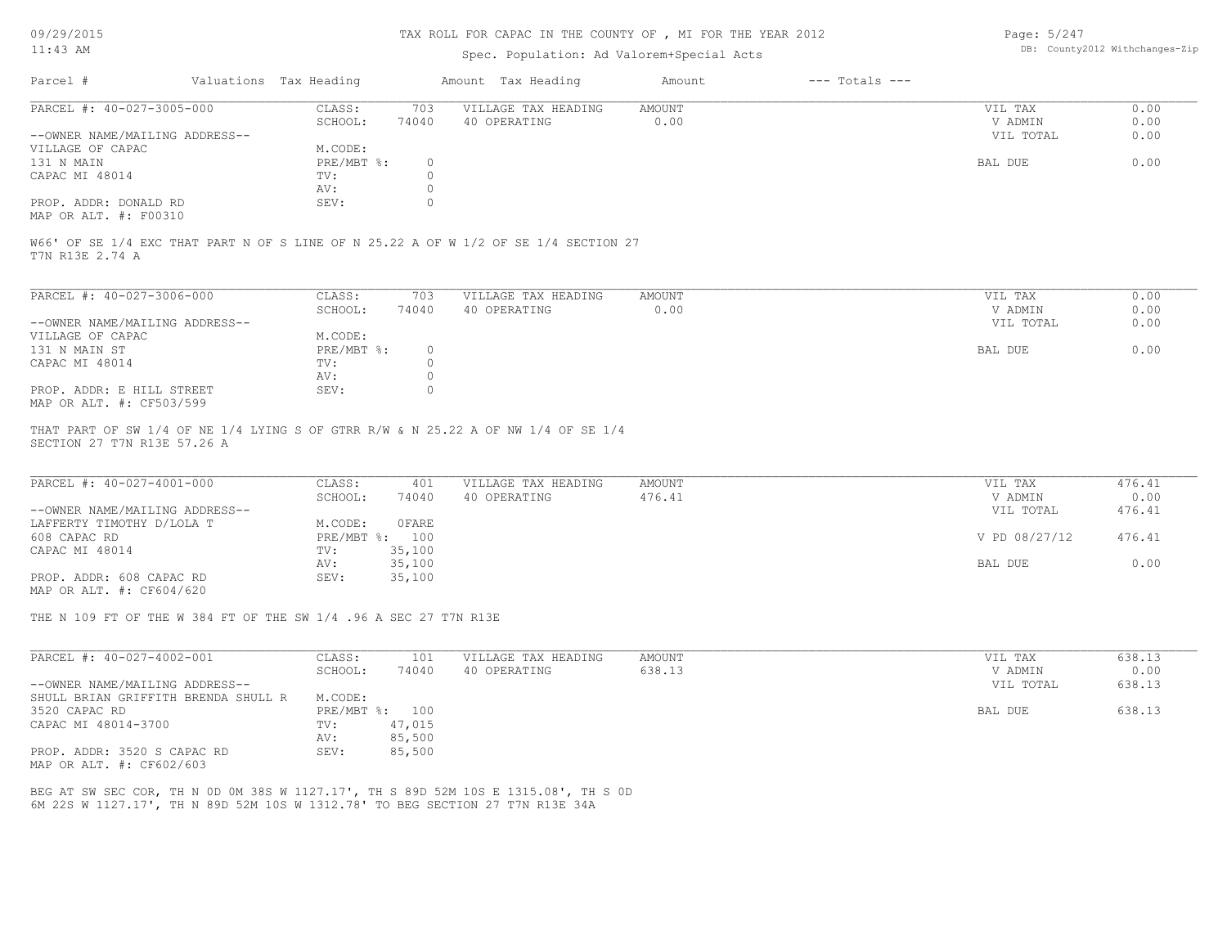#### TAX ROLL FOR CAPAC IN THE COUNTY OF , MI FOR THE YEAR 2012

### Spec. Population: Ad Valorem+Special Acts

Page: 5/247 DB: County2012 Withchanges-Zip

| Parcel #                       | Valuations Tax Heading |       | Amount Tax Heading  | Amount | $---$ Totals $---$ |           |      |
|--------------------------------|------------------------|-------|---------------------|--------|--------------------|-----------|------|
| PARCEL #: 40-027-3005-000      | CLASS:                 | 703   | VILLAGE TAX HEADING | AMOUNT |                    | VIL TAX   | 0.00 |
|                                | SCHOOL:                | 74040 | 40 OPERATING        | 0.00   |                    | V ADMIN   | 0.00 |
| --OWNER NAME/MAILING ADDRESS-- |                        |       |                     |        |                    | VIL TOTAL | 0.00 |
| VILLAGE OF CAPAC               | M.CODE:                |       |                     |        |                    |           |      |
| 131 N MAIN                     | PRE/MBT %:             |       |                     |        |                    | BAL DUE   | 0.00 |
| CAPAC MI 48014                 | TV:                    |       |                     |        |                    |           |      |
|                                | AV:                    |       |                     |        |                    |           |      |
| PROP. ADDR: DONALD RD          | SEV:                   |       |                     |        |                    |           |      |
| MAP OR ALT. #: F00310          |                        |       |                     |        |                    |           |      |

W66' OF SE 1/4 EXC THAT PART N OF S LINE OF N 25.22 A OF W 1/2 OF SE 1/4 SECTION 27

T7N R13E 2.74 A

| PARCEL #: 40-027-3006-000      | CLASS:     | 703   | VILLAGE TAX HEADING | AMOUNT | 0.00<br>VIL TAX   |
|--------------------------------|------------|-------|---------------------|--------|-------------------|
|                                | SCHOOL:    | 74040 | 40 OPERATING        | 0.00   | 0.00<br>V ADMIN   |
| --OWNER NAME/MAILING ADDRESS-- |            |       |                     |        | 0.00<br>VIL TOTAL |
| VILLAGE OF CAPAC               | M.CODE:    |       |                     |        |                   |
| 131 N MAIN ST                  | PRE/MBT %: |       |                     |        | 0.00<br>BAL DUE   |
| CAPAC MI 48014                 | TV:        |       |                     |        |                   |
|                                | AV:        |       |                     |        |                   |
| PROP. ADDR: E HILL STREET      | SEV:       |       |                     |        |                   |
| MAP OR ALT. #: CF503/599       |            |       |                     |        |                   |

SECTION 27 T7N R13E 57.26 A THAT PART OF SW 1/4 OF NE 1/4 LYING S OF GTRR R/W & N 25.22 A OF NW 1/4 OF SE 1/4

| PARCEL #: 40-027-4001-000      | CLASS:  | 401            | VILLAGE TAX HEADING | AMOUNT | VIL TAX       | 476.41 |
|--------------------------------|---------|----------------|---------------------|--------|---------------|--------|
|                                | SCHOOL: | 74040          | 40 OPERATING        | 476.41 | V ADMIN       | 0.00   |
| --OWNER NAME/MAILING ADDRESS-- |         |                |                     |        | VIL TOTAL     | 476.41 |
| LAFFERTY TIMOTHY D/LOLA T      | M.CODE: | OFARE          |                     |        |               |        |
| 608 CAPAC RD                   |         | PRE/MBT %: 100 |                     |        | V PD 08/27/12 | 476.41 |
| CAPAC MI 48014                 | TV:     | 35,100         |                     |        |               |        |
|                                | AV:     | 35,100         |                     |        | BAL DUE       | 0.00   |
| PROP. ADDR: 608 CAPAC RD       | SEV:    | 35,100         |                     |        |               |        |
| MAP OR ALT. #: CF604/620       |         |                |                     |        |               |        |

THE N 109 FT OF THE W 384 FT OF THE SW 1/4 .96 A SEC 27 T7N R13E

| PARCEL #: 40-027-4002-001           | CLASS:       | 101    | VILLAGE TAX HEADING | AMOUNT | 638.13<br>VIL TAX   |
|-------------------------------------|--------------|--------|---------------------|--------|---------------------|
|                                     | SCHOOL:      | 74040  | 40 OPERATING        | 638.13 | 0.00<br>V ADMIN     |
| --OWNER NAME/MAILING ADDRESS--      |              |        |                     |        | 638.13<br>VIL TOTAL |
| SHULL BRIAN GRIFFITH BRENDA SHULL R | M.CODE:      |        |                     |        |                     |
| 3520 CAPAC RD                       | $PRE/MBT$ %: | 100    |                     |        | 638.13<br>BAL DUE   |
| CAPAC MI 48014-3700                 | TV:          | 47,015 |                     |        |                     |
|                                     | AV:          | 85,500 |                     |        |                     |
| PROP. ADDR: 3520 S CAPAC RD         | SEV:         | 85,500 |                     |        |                     |
| MAP OR ALT. #: CF602/603            |              |        |                     |        |                     |

6M 22S W 1127.17', TH N 89D 52M 10S W 1312.78' TO BEG SECTION 27 T7N R13E 34A BEG AT SW SEC COR, TH N 0D 0M 38S W 1127.17', TH S 89D 52M 10S E 1315.08', TH S 0D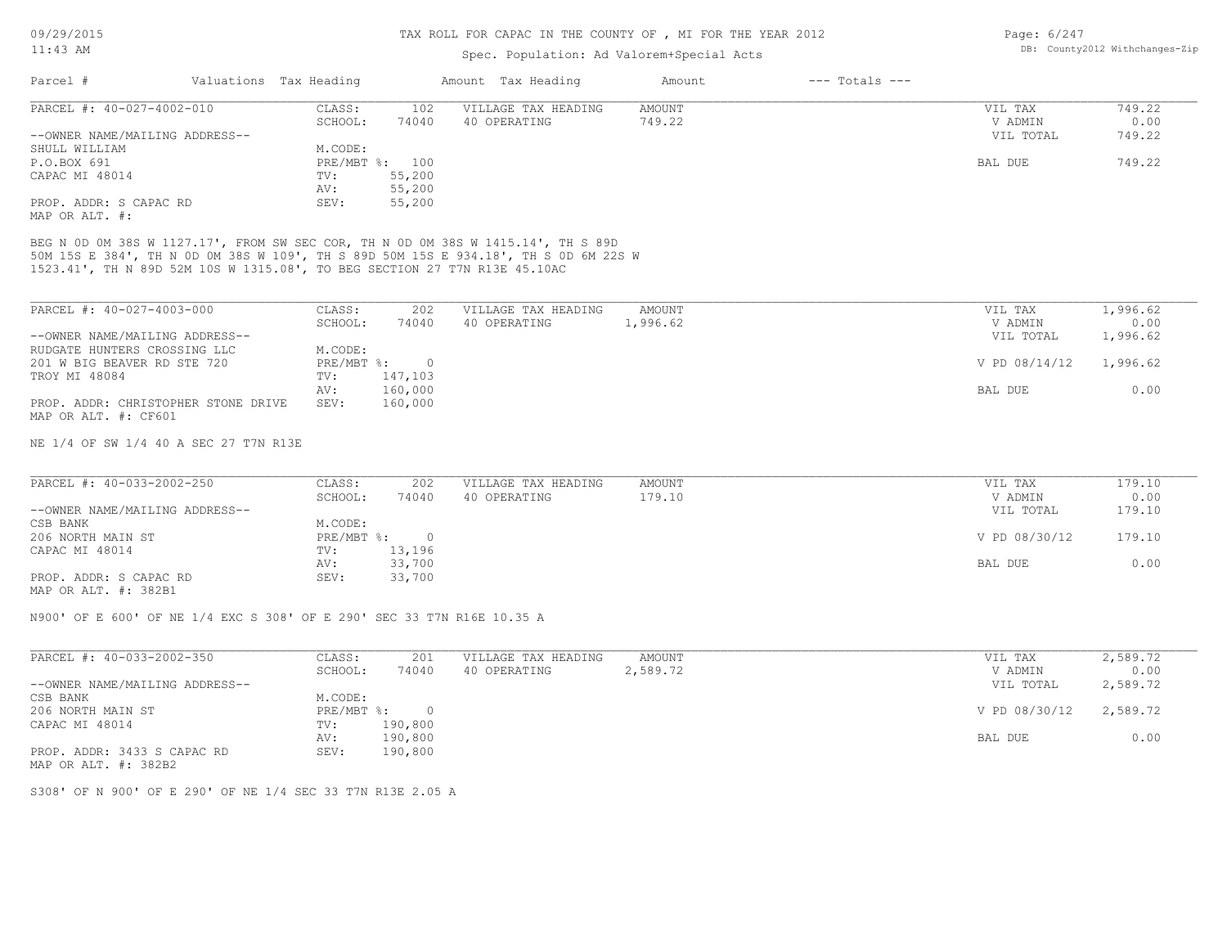|                                                                                                                                                                                                                                                      |                        |                | TAX ROLL FOR CAPAC IN THE COUNTY OF , MI FOR THE YEAR 2012 | Page: 6/247               |                    |                      |                                |
|------------------------------------------------------------------------------------------------------------------------------------------------------------------------------------------------------------------------------------------------------|------------------------|----------------|------------------------------------------------------------|---------------------------|--------------------|----------------------|--------------------------------|
| $11:43$ AM                                                                                                                                                                                                                                           |                        |                | Spec. Population: Ad Valorem+Special Acts                  |                           |                    |                      | DB: County2012 Withchanges-Zip |
| Parcel #                                                                                                                                                                                                                                             | Valuations Tax Heading |                | Amount Tax Heading                                         | Amount                    | $---$ Totals $---$ |                      |                                |
| PARCEL #: 40-027-4002-010                                                                                                                                                                                                                            | CLASS:                 | 102            | VILLAGE TAX HEADING                                        | AMOUNT                    |                    | VIL TAX              | 749.22                         |
|                                                                                                                                                                                                                                                      | SCHOOL:                | 74040          | 40 OPERATING                                               | 749.22                    |                    | V ADMIN              | 0.00                           |
| --OWNER NAME/MAILING ADDRESS--                                                                                                                                                                                                                       |                        |                |                                                            |                           |                    | VIL TOTAL            | 749.22                         |
| SHULL WILLIAM                                                                                                                                                                                                                                        | M.CODE:                |                |                                                            |                           |                    |                      |                                |
| P.O.BOX 691                                                                                                                                                                                                                                          | PRE/MBT %: 100         |                |                                                            |                           |                    | BAL DUE              | 749.22                         |
| CAPAC MI 48014                                                                                                                                                                                                                                       | TV:                    | 55,200         |                                                            |                           |                    |                      |                                |
|                                                                                                                                                                                                                                                      | AV:                    | 55,200         |                                                            |                           |                    |                      |                                |
| PROP. ADDR: S CAPAC RD<br>MAP OR ALT. #:                                                                                                                                                                                                             | SEV:                   | 55,200         |                                                            |                           |                    |                      |                                |
| BEG N OD OM 38S W 1127.17', FROM SW SEC COR, TH N OD OM 38S W 1415.14', TH S 89D<br>50M 15S E 384', TH N OD OM 38S W 109', TH S 89D 50M 15S E 934.18', TH S OD 6M 22S W<br>1523.41', TH N 89D 52M 10S W 1315.08', TO BEG SECTION 27 T7N R13E 45.10AC |                        |                |                                                            |                           |                    |                      |                                |
| PARCEL #: 40-027-4003-000                                                                                                                                                                                                                            | CLASS:<br>SCHOOL:      | 202<br>74040   | VILLAGE TAX HEADING<br>40 OPERATING                        | <b>AMOUNT</b><br>1,996.62 |                    | VIL TAX<br>V ADMIN   | 1,996.62<br>0.00               |
| --OWNER NAME/MAILING ADDRESS--                                                                                                                                                                                                                       |                        |                |                                                            |                           |                    | VIL TOTAL            | 1,996.62                       |
| RUDGATE HUNTERS CROSSING LLC                                                                                                                                                                                                                         | M.CODE:                |                |                                                            |                           |                    |                      |                                |
| 201 W BIG BEAVER RD STE 720                                                                                                                                                                                                                          | $PRE/MBT$ $\div$       | $\overline{0}$ |                                                            |                           |                    | V PD 08/14/12        | 1,996.62                       |
| TROY MI 48084                                                                                                                                                                                                                                        | TV:                    | 147,103        |                                                            |                           |                    |                      |                                |
|                                                                                                                                                                                                                                                      | AV:                    | 160,000        |                                                            |                           |                    | BAL DUE              | 0.00                           |
| PROP. ADDR: CHRISTOPHER STONE DRIVE<br>MAP OR ALT. #: CF601                                                                                                                                                                                          | SEV:                   | 160,000        |                                                            |                           |                    |                      |                                |
|                                                                                                                                                                                                                                                      |                        |                |                                                            |                           |                    |                      |                                |
| NE 1/4 OF SW 1/4 40 A SEC 27 T7N R13E                                                                                                                                                                                                                |                        |                |                                                            |                           |                    |                      |                                |
| PARCEL #: 40-033-2002-250                                                                                                                                                                                                                            | CLASS:                 | 202            | VILLAGE TAX HEADING                                        | AMOUNT                    |                    | VIL TAX              | 179.10                         |
|                                                                                                                                                                                                                                                      |                        |                |                                                            |                           |                    |                      |                                |
| --OWNER NAME/MAILING ADDRESS--                                                                                                                                                                                                                       | SCHOOL:                | 74040          | 40 OPERATING                                               | 179.10                    |                    | V ADMIN<br>VIL TOTAL | 0.00<br>179.10                 |
| CSB BANK                                                                                                                                                                                                                                             | M.CODE:                |                |                                                            |                           |                    |                      |                                |
| 206 NORTH MAIN ST                                                                                                                                                                                                                                    | $PRE/MBT$ $\div$       | $\overline{0}$ |                                                            |                           |                    | V PD 08/30/12        | 179.10                         |
|                                                                                                                                                                                                                                                      |                        |                |                                                            |                           |                    |                      |                                |
| CAPAC MI 48014                                                                                                                                                                                                                                       | TV:                    | 13,196         |                                                            |                           |                    |                      |                                |
|                                                                                                                                                                                                                                                      | AV:                    | 33,700         |                                                            |                           |                    | BAL DUE              | 0.00                           |
| PROP. ADDR: S CAPAC RD<br>MAP OR ALT. #: 382B1                                                                                                                                                                                                       | SEV:                   | 33,700         |                                                            |                           |                    |                      |                                |
| N900' OF E 600' OF NE 1/4 EXC S 308' OF E 290' SEC 33 T7N R16E 10.35 A                                                                                                                                                                               |                        |                |                                                            |                           |                    |                      |                                |
| PARCEL #: 40-033-2002-350                                                                                                                                                                                                                            | CLASS:                 | 201            | VILLAGE TAX HEADING                                        | <b>AMOUNT</b>             |                    | VIL TAX              | 2,589.72                       |
|                                                                                                                                                                                                                                                      | SCHOOL:                | 74040          | 40 OPERATING                                               | 2,589.72                  |                    | V ADMIN              | 0.00                           |

MAP OR ALT. #: 382B2 PROP. ADDR: 3433 S CAPAC RD SEV: 190,800 AV: 190,800 BAL DUE 0.00 CAPAC MI 48014 TV: 190,800  $206$  NORTH MAIN ST  $PRE/MBT$   $(2,589.72)$   $PRE/MBT$   $(30,800)$ CSB BANK M.CODE:

S308' OF N 900' OF E 290' OF NE 1/4 SEC 33 T7N R13E 2.05 A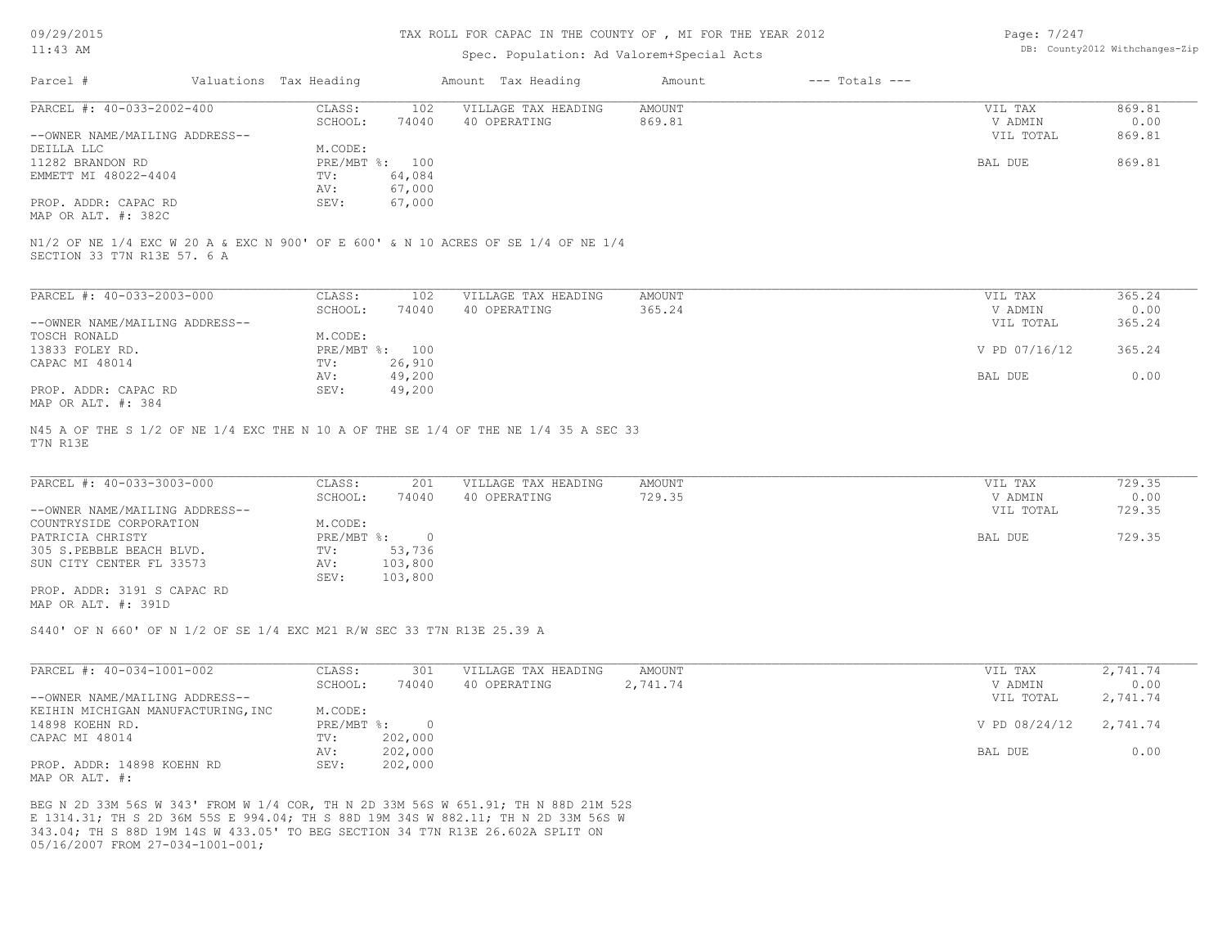09/29/2015

# 11:43 AM

#### TAX ROLL FOR CAPAC IN THE COUNTY OF , MI FOR THE YEAR 2012

## Spec. Population: Ad Valorem+Special Acts

| Page: 7/247 |                                |
|-------------|--------------------------------|
|             | DB: County2012 Withchanges-Zip |

|                                | Valuations Tax Heading |        | Amount Tax Heading  | Amount | $---$ Totals $---$ |           |        |
|--------------------------------|------------------------|--------|---------------------|--------|--------------------|-----------|--------|
| PARCEL #: 40-033-2002-400      | CLASS:                 | 102    | VILLAGE TAX HEADING | AMOUNT |                    | VIL TAX   | 869.81 |
|                                | SCHOOL:                | 74040  | 40 OPERATING        | 869.81 |                    | V ADMIN   | 0.00   |
| --OWNER NAME/MAILING ADDRESS-- |                        |        |                     |        |                    | VIL TOTAL | 869.81 |
| DEILLA LLC                     | M.CODE:                |        |                     |        |                    |           |        |
| 11282 BRANDON RD               | PRE/MBT %: 100         |        |                     |        |                    | BAL DUE   | 869.81 |
| EMMETT MI 48022-4404           | TV:                    | 64,084 |                     |        |                    |           |        |
|                                | AV:                    | 67,000 |                     |        |                    |           |        |
| PROP. ADDR: CAPAC RD           | SEV:                   | 67,000 |                     |        |                    |           |        |
| MAP OR ALT. #: 382C            |                        |        |                     |        |                    |           |        |

| PARCEL #: 40-033-2003-000      | CLASS:       | 102    | VILLAGE TAX HEADING | AMOUNT | VIL TAX       | 365.24 |
|--------------------------------|--------------|--------|---------------------|--------|---------------|--------|
|                                | SCHOOL:      | 74040  | 40 OPERATING        | 365.24 | V ADMIN       | 0.00   |
| --OWNER NAME/MAILING ADDRESS-- |              |        |                     |        | VIL TOTAL     | 365.24 |
| TOSCH RONALD                   | M.CODE:      |        |                     |        |               |        |
| 13833 FOLEY RD.                | $PRE/MBT$ %: | 100    |                     |        | V PD 07/16/12 | 365.24 |
| CAPAC MI 48014                 | TV:          | 26,910 |                     |        |               |        |
|                                | AV:          | 49,200 |                     |        | BAL DUE       | 0.00   |
| PROP. ADDR: CAPAC RD           | SEV:         | 49,200 |                     |        |               |        |
| MAP OR ALT. #: 384             |              |        |                     |        |               |        |

T7N R13E N45 A OF THE S 1/2 OF NE 1/4 EXC THE N 10 A OF THE SE 1/4 OF THE NE 1/4 35 A SEC 33

| PARCEL #: 40-033-3003-000      | CLASS:     | 201     | VILLAGE TAX HEADING | AMOUNT | VIL TAX   | 729.35 |
|--------------------------------|------------|---------|---------------------|--------|-----------|--------|
|                                | SCHOOL:    | 74040   | 40 OPERATING        | 729.35 | V ADMIN   | 0.00   |
| --OWNER NAME/MAILING ADDRESS-- |            |         |                     |        | VIL TOTAL | 729.35 |
| COUNTRYSIDE CORPORATION        | M.CODE:    |         |                     |        |           |        |
| PATRICIA CHRISTY               | PRE/MBT %: |         |                     |        | BAL DUE   | 729.35 |
| 305 S.PEBBLE BEACH BLVD.       | TV:        | 53,736  |                     |        |           |        |
| SUN CITY CENTER FL 33573       | AV:        | 103,800 |                     |        |           |        |
|                                | SEV:       | 103,800 |                     |        |           |        |
| PROP. ADDR: 3191 S CAPAC RD    |            |         |                     |        |           |        |

MAP OR ALT. #: 391D

S440' OF N 660' OF N 1/2 OF SE 1/4 EXC M21 R/W SEC 33 T7N R13E 25.39 A

| PARCEL #: 40-034-1001-002          | CLASS:       | 301     | VILLAGE TAX HEADING | AMOUNT   | VIL TAX       | 2,741.74 |
|------------------------------------|--------------|---------|---------------------|----------|---------------|----------|
|                                    | SCHOOL:      | 74040   | 40 OPERATING        | 2,741.74 | V ADMIN       | 0.00     |
| --OWNER NAME/MAILING ADDRESS--     |              |         |                     |          | VIL TOTAL     | 2,741.74 |
| KEIHIN MICHIGAN MANUFACTURING, INC | M.CODE:      |         |                     |          |               |          |
| 14898 KOEHN RD.                    | $PRE/MBT$ %: |         |                     |          | V PD 08/24/12 | 2,741.74 |
| CAPAC MI 48014                     | TV:          | 202,000 |                     |          |               |          |
|                                    | AV:          | 202,000 |                     |          | BAL DUE       | 0.00     |
| PROP. ADDR: 14898 KOEHN RD         | SEV:         | 202,000 |                     |          |               |          |
| MAP OR ALT. #:                     |              |         |                     |          |               |          |

05/16/2007 FROM 27-034-1001-001; 343.04; TH S 88D 19M 14S W 433.05' TO BEG SECTION 34 T7N R13E 26.602A SPLIT ON E 1314.31; TH S 2D 36M 55S E 994.04; TH S 88D 19M 34S W 882.11; TH N 2D 33M 56S W BEG N 2D 33M 56S W 343' FROM W 1/4 COR, TH N 2D 33M 56S W 651.91; TH N 88D 21M 52S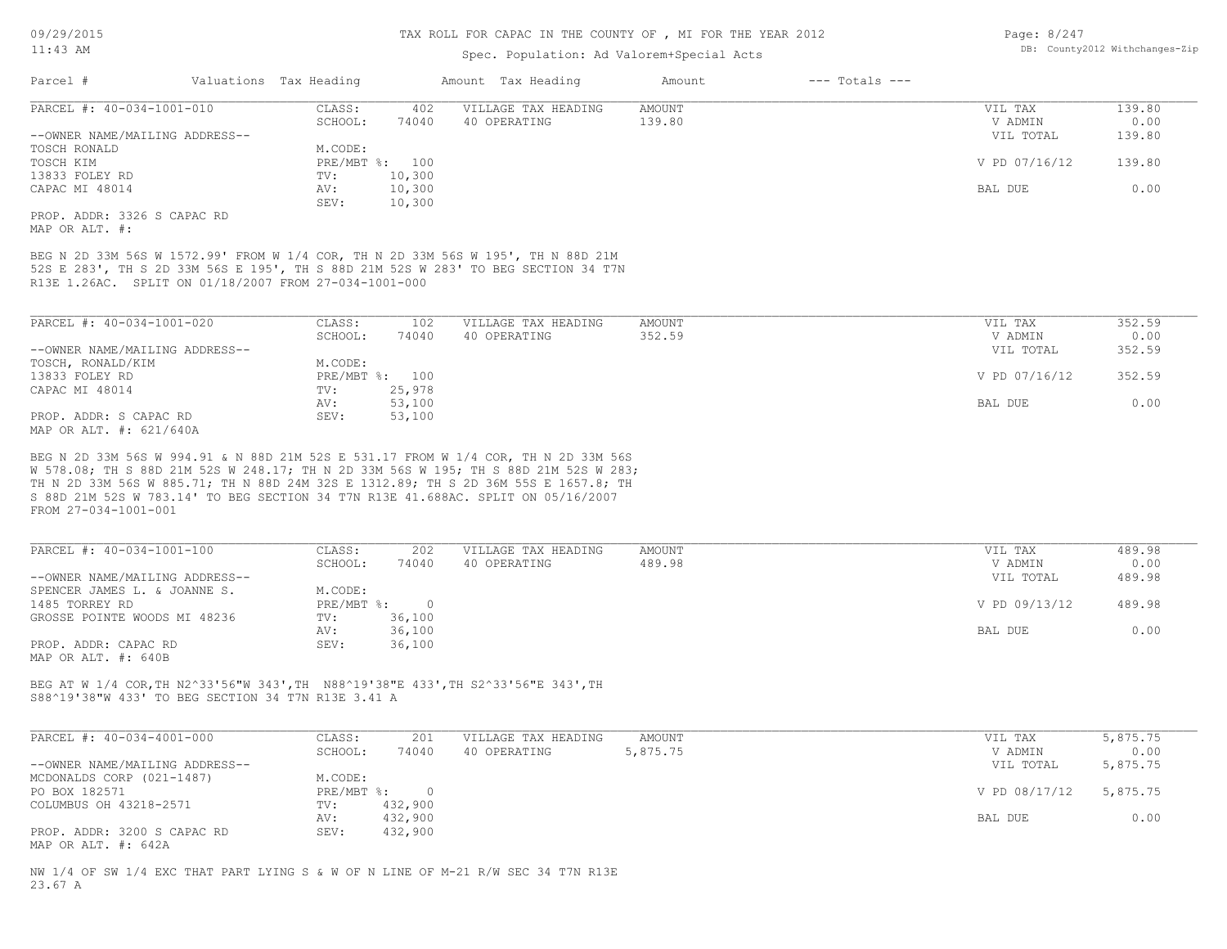#### Spec. Population: Ad Valorem+Special Acts

| Parcel #                       | Valuations Tax Heading |                | Amount Tax Heading  | Amount | $---$ Totals $---$ |               |        |
|--------------------------------|------------------------|----------------|---------------------|--------|--------------------|---------------|--------|
| PARCEL #: 40-034-1001-010      | CLASS:                 | 402            | VILLAGE TAX HEADING | AMOUNT |                    | VIL TAX       | 139.80 |
|                                | SCHOOL:                | 74040          | 40 OPERATING        | 139.80 |                    | V ADMIN       | 0.00   |
| --OWNER NAME/MAILING ADDRESS-- |                        |                |                     |        |                    | VIL TOTAL     | 139.80 |
| TOSCH RONALD                   | M.CODE:                |                |                     |        |                    |               |        |
| TOSCH KIM                      |                        | PRE/MBT %: 100 |                     |        |                    | V PD 07/16/12 | 139.80 |
| 13833 FOLEY RD                 | TV:                    | 10,300         |                     |        |                    |               |        |
| CAPAC MI 48014                 | AV:                    | 10,300         |                     |        |                    | BAL DUE       | 0.00   |
|                                |                        |                |                     |        |                    |               |        |

MAP OR ALT. #: PROP. ADDR: 3326 S CAPAC RD

R13E 1.26AC. SPLIT ON 01/18/2007 FROM 27-034-1001-000 52S E 283', TH S 2D 33M 56S E 195', TH S 88D 21M 52S W 283' TO BEG SECTION 34 T7N BEG N 2D 33M 56S W 1572.99' FROM W 1/4 COR, TH N 2D 33M 56S W 195', TH N 88D 21M

SEV: 10,300

| PARCEL #: 40-034-1001-020      | CLASS:     | 102    | VILLAGE TAX HEADING | AMOUNT | VIL TAX       | 352.59 |
|--------------------------------|------------|--------|---------------------|--------|---------------|--------|
|                                | SCHOOL:    | 74040  | 40 OPERATING        | 352.59 | V ADMIN       | 0.00   |
| --OWNER NAME/MAILING ADDRESS-- |            |        |                     |        | VIL TOTAL     | 352.59 |
| TOSCH, RONALD/KIM              | M.CODE:    |        |                     |        |               |        |
| 13833 FOLEY RD                 | PRE/MBT %: | 100    |                     |        | V PD 07/16/12 | 352.59 |
| CAPAC MI 48014                 | TV:        | 25,978 |                     |        |               |        |
|                                | AV:        | 53,100 |                     |        | BAL DUE       | 0.00   |
| PROP. ADDR: S CAPAC RD         | SEV:       | 53,100 |                     |        |               |        |
| MAP OR ALT. #: 621/640A        |            |        |                     |        |               |        |

FROM 27-034-1001-001 S 88D 21M 52S W 783.14' TO BEG SECTION 34 T7N R13E 41.688AC. SPLIT ON 05/16/2007 TH N 2D 33M 56S W 885.71; TH N 88D 24M 32S E 1312.89; TH S 2D 36M 55S E 1657.8; TH W 578.08; TH S 88D 21M 52S W 248.17; TH N 2D 33M 56S W 195; TH S 88D 21M 52S W 283; BEG N 2D 33M 56S W 994.91 & N 88D 21M 52S E 531.17 FROM W 1/4 COR, TH N 2D 33M 56S

| PARCEL #: 40-034-1001-100      | CLASS:     | 202    | VILLAGE TAX HEADING | AMOUNT | VIL TAX       | 489.98 |
|--------------------------------|------------|--------|---------------------|--------|---------------|--------|
|                                | SCHOOL:    | 74040  | 40 OPERATING        | 489.98 | V ADMIN       | 0.00   |
| --OWNER NAME/MAILING ADDRESS-- |            |        |                     |        | VIL TOTAL     | 489.98 |
| SPENCER JAMES L. & JOANNE S.   | M.CODE:    |        |                     |        |               |        |
| 1485 TORREY RD                 | PRE/MBT %: | $\cap$ |                     |        | V PD 09/13/12 | 489.98 |
| GROSSE POINTE WOODS MI 48236   | TV:        | 36,100 |                     |        |               |        |
|                                | AV:        | 36,100 |                     |        | BAL DUE       | 0.00   |
| PROP. ADDR: CAPAC RD           | SEV:       | 36,100 |                     |        |               |        |
| MAP OR ALT. #: 640B            |            |        |                     |        |               |        |

S88^19'38"W 433' TO BEG SECTION 34 T7N R13E 3.41 A BEG AT W 1/4 COR,TH N2^33'56"W 343',TH N88^19'38"E 433',TH S2^33'56"E 343',TH

| PARCEL #: 40-034-4001-000      | CLASS:       | 201     | VILLAGE TAX HEADING | AMOUNT   | VIL TAX       | 5,875.75 |
|--------------------------------|--------------|---------|---------------------|----------|---------------|----------|
|                                | SCHOOL:      | 74040   | 40 OPERATING        | 5,875.75 | V ADMIN       | 0.00     |
| --OWNER NAME/MAILING ADDRESS-- |              |         |                     |          | VIL TOTAL     | 5,875.75 |
| MCDONALDS CORP (021-1487)      | M.CODE:      |         |                     |          |               |          |
| PO BOX 182571                  | $PRE/MBT$ %: |         |                     |          | V PD 08/17/12 | 5,875.75 |
| COLUMBUS OH 43218-2571         | TV:          | 432,900 |                     |          |               |          |
|                                | AV:          | 432,900 |                     |          | BAL DUE       | 0.00     |
| PROP. ADDR: 3200 S CAPAC RD    | SEV:         | 432,900 |                     |          |               |          |
| MAP OR ALT. #: 642A            |              |         |                     |          |               |          |

23.67 A NW 1/4 OF SW 1/4 EXC THAT PART LYING S & W OF N LINE OF M-21 R/W SEC 34 T7N R13E Page: 8/247 DB: County2012 Withchanges-Zip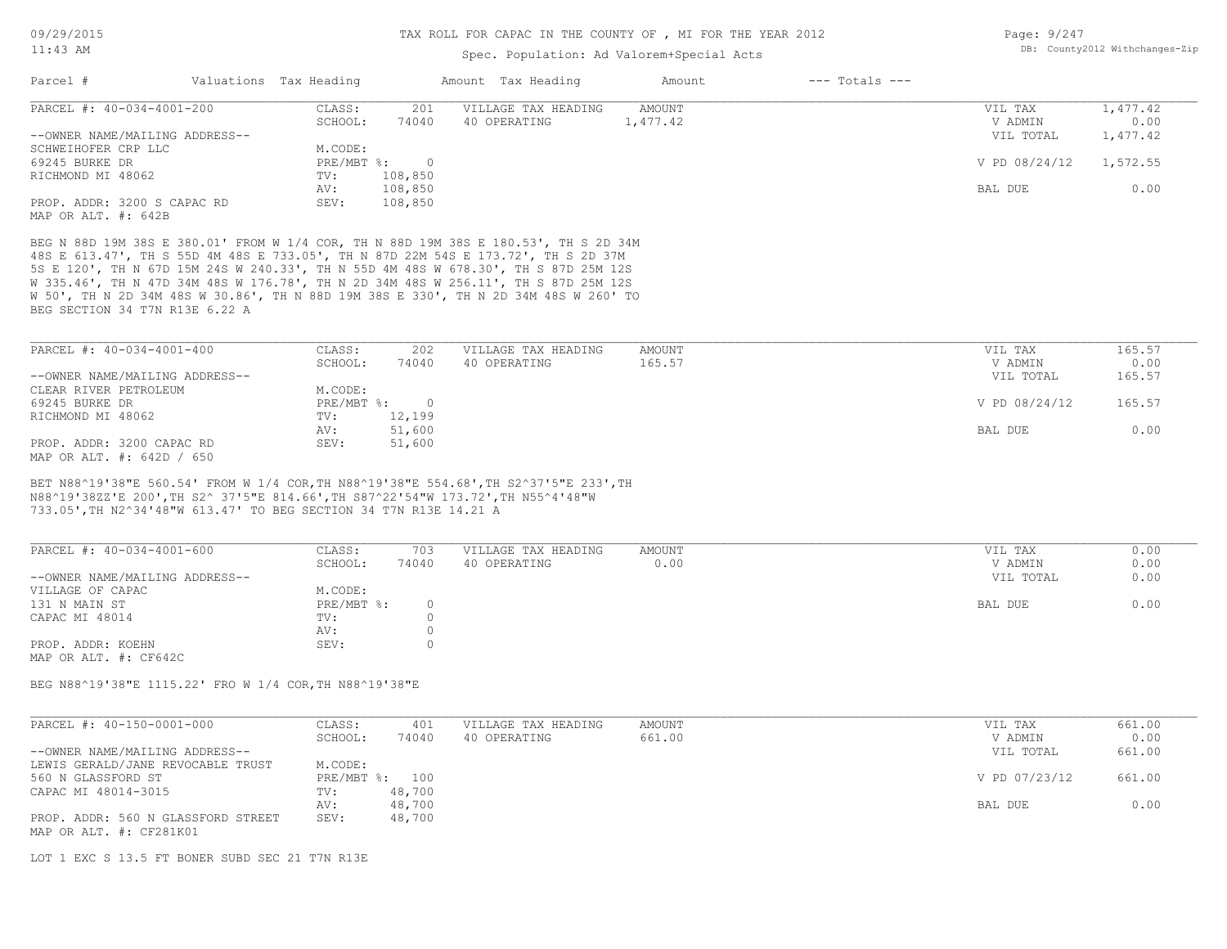#### 11:43 AM

#### TAX ROLL FOR CAPAC IN THE COUNTY OF , MI FOR THE YEAR 2012

#### Spec. Population: Ad Valorem+Special Acts

| Page: 9/247 |                                |
|-------------|--------------------------------|
|             | DB: County2012 Withchanges-Zip |

| Parcel #                       | Valuations Tax Heading |         | Amount Tax Heading  | Amount   | $---$ Totals $---$ |               |          |
|--------------------------------|------------------------|---------|---------------------|----------|--------------------|---------------|----------|
| PARCEL #: 40-034-4001-200      | CLASS:                 | 201     | VILLAGE TAX HEADING | AMOUNT   |                    | VIL TAX       | 1,477.42 |
|                                | SCHOOL:                | 74040   | 40 OPERATING        | 1,477.42 |                    | V ADMIN       | 0.00     |
| --OWNER NAME/MAILING ADDRESS-- |                        |         |                     |          |                    | VIL TOTAL     | 1,477.42 |
| SCHWEIHOFER CRP LLC            | M.CODE:                |         |                     |          |                    |               |          |
| 69245 BURKE DR                 | PRE/MBT %:             |         |                     |          |                    | V PD 08/24/12 | 1,572.55 |
| RICHMOND MI 48062              | TV:                    | 108,850 |                     |          |                    |               |          |
|                                | AV:                    | 108,850 |                     |          |                    | BAL DUE       | 0.00     |
| PROP. ADDR: 3200 S CAPAC RD    | SEV:                   | 108,850 |                     |          |                    |               |          |
| MAP OR ALT. #: 642B            |                        |         |                     |          |                    |               |          |

BEG SECTION 34 T7N R13E 6.22 A W 50', TH N 2D 34M 48S W 30.86', TH N 88D 19M 38S E 330', TH N 2D 34M 48S W 260' TO W 335.46', TH N 47D 34M 48S W 176.78', TH N 2D 34M 48S W 256.11', TH S 87D 25M 12S 5S E 120', TH N 67D 15M 24S W 240.33', TH N 55D 4M 48S W 678.30', TH S 87D 25M 12S 48S E 613.47', TH S 55D 4M 48S E 733.05', TH N 87D 22M 54S E 173.72', TH S 2D 37M BEG N 88D 19M 38S E 380.01' FROM W 1/4 COR, TH N 88D 19M 38S E 180.53', TH S 2D 34M

| PARCEL #: 40-034-4001-400      | CLASS:       | 202    | VILLAGE TAX HEADING | AMOUNT | VIL TAX       | 165.57 |
|--------------------------------|--------------|--------|---------------------|--------|---------------|--------|
|                                | SCHOOL:      | 74040  | 40 OPERATING        | 165.57 | V ADMIN       | 0.00   |
| --OWNER NAME/MAILING ADDRESS-- |              |        |                     |        | VIL TOTAL     | 165.57 |
| CLEAR RIVER PETROLEUM          | M.CODE:      |        |                     |        |               |        |
| 69245 BURKE DR                 | $PRE/MBT$ %: |        |                     |        | V PD 08/24/12 | 165.57 |
| RICHMOND MI 48062              | TV:          | 12,199 |                     |        |               |        |
|                                | AV:          | 51,600 |                     |        | BAL DUE       | 0.00   |
| PROP. ADDR: 3200 CAPAC RD      | SEV:         | 51,600 |                     |        |               |        |
| MAP OR ALT. #: 642D / 650      |              |        |                     |        |               |        |

733.05',TH N2^34'48"W 613.47' TO BEG SECTION 34 T7N R13E 14.21 A N88^19'38ZZ'E 200',TH S2^ 37'5"E 814.66',TH S87^22'54"W 173.72',TH N55^4'48"W BET N88^19'38"E 560.54' FROM W 1/4 COR,TH N88^19'38"E 554.68',TH S2^37'5"E 233',TH

| PARCEL #: 40-034-4001-600      | CLASS:     | 703      | VILLAGE TAX HEADING | AMOUNT | 0.00<br>VIL TAX   |
|--------------------------------|------------|----------|---------------------|--------|-------------------|
|                                | SCHOOL:    | 74040    | 40 OPERATING        | 0.00   | 0.00<br>V ADMIN   |
| --OWNER NAME/MAILING ADDRESS-- |            |          |                     |        | 0.00<br>VIL TOTAL |
| VILLAGE OF CAPAC               | M.CODE:    |          |                     |        |                   |
| 131 N MAIN ST                  | PRE/MBT %: | $\Omega$ |                     |        | 0.00<br>BAL DUE   |
| CAPAC MI 48014                 | TV:        |          |                     |        |                   |
|                                | AV:        |          |                     |        |                   |
| PROP. ADDR: KOEHN              | SEV:       | $^{(1)}$ |                     |        |                   |
| MAP OR ALT. #: CF642C          |            |          |                     |        |                   |

BEG N88^19'38"E 1115.22' FRO W 1/4 COR,TH N88^19'38"E

| PARCEL #: 40-150-0001-000          | CLASS:  | 401            | VILLAGE TAX HEADING | AMOUNT | VIL TAX       | 661.00 |
|------------------------------------|---------|----------------|---------------------|--------|---------------|--------|
|                                    | SCHOOL: | 74040          | 40 OPERATING        | 661.00 | V ADMIN       | 0.00   |
| --OWNER NAME/MAILING ADDRESS--     |         |                |                     |        | VIL TOTAL     | 661.00 |
| LEWIS GERALD/JANE REVOCABLE TRUST  | M.CODE: |                |                     |        |               |        |
| 560 N GLASSFORD ST                 |         | PRE/MBT %: 100 |                     |        | V PD 07/23/12 | 661.00 |
| CAPAC MI 48014-3015                | TV:     | 48,700         |                     |        |               |        |
|                                    | AV:     | 48,700         |                     |        | BAL DUE       | 0.00   |
| PROP. ADDR: 560 N GLASSFORD STREET | SEV:    | 48,700         |                     |        |               |        |
| MAP OR ALT. #: CF281K01            |         |                |                     |        |               |        |

LOT 1 EXC S 13.5 FT BONER SUBD SEC 21 T7N R13E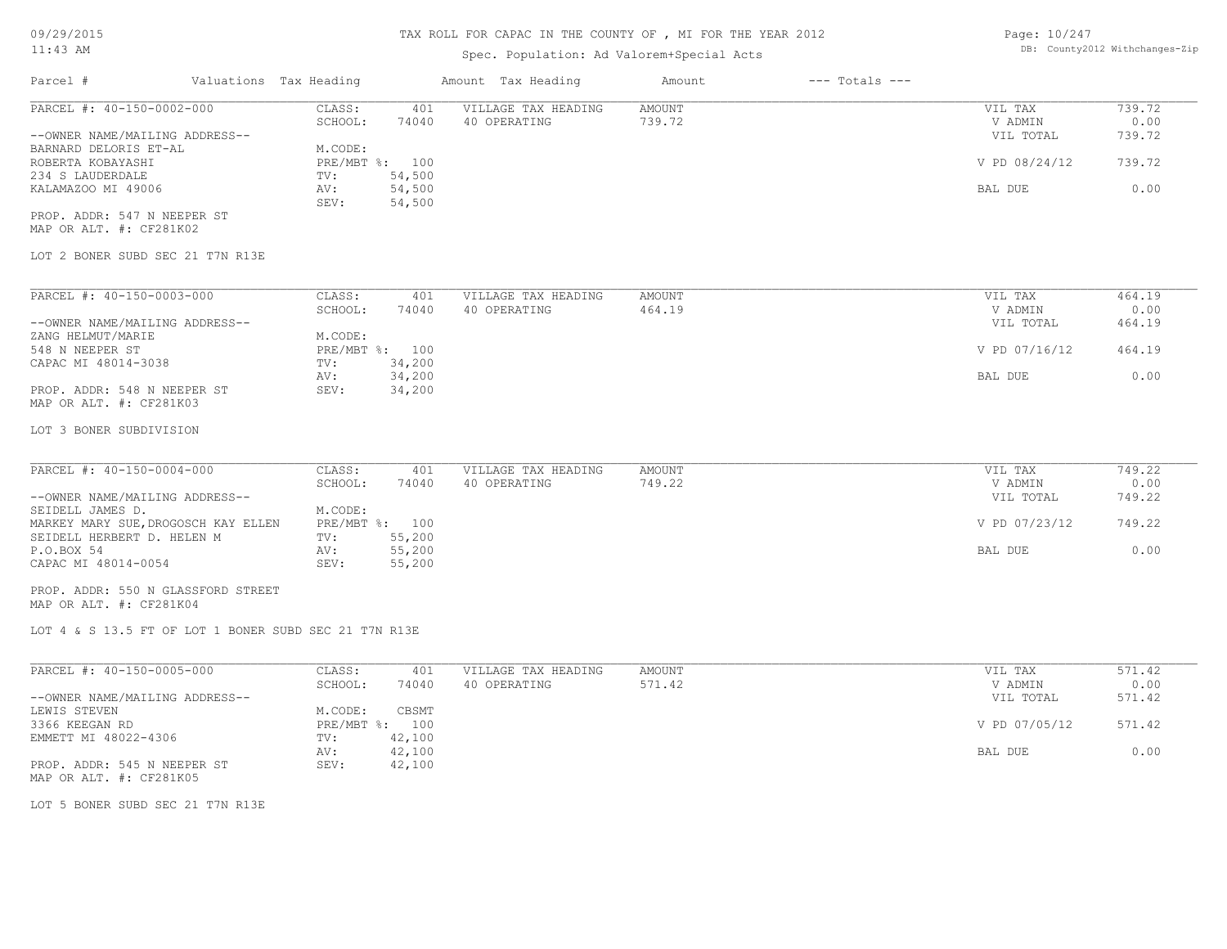| Page: 10/247 |                               |
|--------------|-------------------------------|
|              | DB: County2012 Withchanges-Zi |

| 09/29/2015                                                    |                        |                  | TAX ROLL FOR CAPAC IN THE COUNTI OF , MI FOR THE IEAR ZUIZ |                         |                    | Page: IV/Z4/         |                                |
|---------------------------------------------------------------|------------------------|------------------|------------------------------------------------------------|-------------------------|--------------------|----------------------|--------------------------------|
| $11:43$ AM                                                    |                        |                  | Spec. Population: Ad Valorem+Special Acts                  |                         |                    |                      | DB: County2012 Withchanges-Zip |
| Parcel #                                                      | Valuations Tax Heading |                  | Amount Tax Heading                                         | Amount                  | $---$ Totals $---$ |                      |                                |
| PARCEL #: 40-150-0002-000                                     | CLASS:                 | 401              | VILLAGE TAX HEADING                                        | AMOUNT                  |                    | VIL TAX              | 739.72                         |
|                                                               | SCHOOL:                | 74040            | 40 OPERATING                                               | 739.72                  |                    | V ADMIN              | 0.00                           |
| --OWNER NAME/MAILING ADDRESS--<br>BARNARD DELORIS ET-AL       | M.CODE:                |                  |                                                            |                         |                    | VIL TOTAL            | 739.72                         |
| ROBERTA KOBAYASHI                                             | PRE/MBT %: 100         |                  |                                                            |                         |                    | V PD 08/24/12        | 739.72                         |
| 234 S LAUDERDALE                                              | TV:                    | 54,500           |                                                            |                         |                    |                      |                                |
| KALAMAZOO MI 49006                                            | AV:                    | 54,500           |                                                            |                         |                    | BAL DUE              | 0.00                           |
|                                                               | SEV:                   | 54,500           |                                                            |                         |                    |                      |                                |
| PROP. ADDR: 547 N NEEPER ST<br>MAP OR ALT. #: CF281K02        |                        |                  |                                                            |                         |                    |                      |                                |
| LOT 2 BONER SUBD SEC 21 T7N R13E                              |                        |                  |                                                            |                         |                    |                      |                                |
|                                                               |                        |                  |                                                            |                         |                    |                      |                                |
| PARCEL #: 40-150-0003-000                                     | CLASS:<br>SCHOOL:      | 401<br>74040     | VILLAGE TAX HEADING<br>40 OPERATING                        | <b>AMOUNT</b><br>464.19 |                    | VIL TAX<br>V ADMIN   | 464.19<br>0.00                 |
| --OWNER NAME/MAILING ADDRESS--                                |                        |                  |                                                            |                         |                    | VIL TOTAL            | 464.19                         |
| ZANG HELMUT/MARIE                                             | M.CODE:                |                  |                                                            |                         |                    |                      |                                |
| 548 N NEEPER ST                                               | PRE/MBT %: 100         |                  |                                                            |                         |                    | V PD 07/16/12        | 464.19                         |
| CAPAC MI 48014-3038                                           | TV:                    | 34,200           |                                                            |                         |                    |                      |                                |
| PROP. ADDR: 548 N NEEPER ST<br>MAP OR ALT. #: CF281K03        | AV:<br>SEV:            | 34,200<br>34,200 |                                                            |                         |                    | BAL DUE              | 0.00                           |
|                                                               |                        |                  |                                                            |                         |                    |                      |                                |
| LOT 3 BONER SUBDIVISION                                       |                        |                  |                                                            |                         |                    |                      |                                |
|                                                               |                        |                  |                                                            |                         |                    |                      |                                |
| PARCEL #: 40-150-0004-000                                     | CLASS:                 | 401              | VILLAGE TAX HEADING                                        | <b>AMOUNT</b>           |                    | VIL TAX              | 749.22                         |
| --OWNER NAME/MAILING ADDRESS--                                | SCHOOL:                | 74040            | 40 OPERATING                                               | 749.22                  |                    | V ADMIN<br>VIL TOTAL | 0.00<br>749.22                 |
| SEIDELL JAMES D.                                              | M.CODE:                |                  |                                                            |                         |                    |                      |                                |
| MARKEY MARY SUE, DROGOSCH KAY ELLEN                           | PRE/MBT %: 100         |                  |                                                            |                         |                    | V PD 07/23/12        | 749.22                         |
| SEIDELL HERBERT D. HELEN M                                    | TV:                    | 55,200           |                                                            |                         |                    |                      |                                |
| P.O.BOX 54                                                    | AV:                    | 55,200           |                                                            |                         |                    | BAL DUE              | 0.00                           |
| CAPAC MI 48014-0054                                           | SEV:                   | 55,200           |                                                            |                         |                    |                      |                                |
| PROP. ADDR: 550 N GLASSFORD STREET<br>MAP OR ALT. #: CF281K04 |                        |                  |                                                            |                         |                    |                      |                                |
| LOT 4 & S 13.5 FT OF LOT 1 BONER SUBD SEC 21 T7N R13E         |                        |                  |                                                            |                         |                    |                      |                                |
|                                                               |                        |                  |                                                            |                         |                    |                      |                                |
| PARCEL #: 40-150-0005-000                                     | CLASS:                 | 401              | VILLAGE TAX HEADING                                        | AMOUNT                  |                    | VIL TAX              | 571.42                         |
|                                                               | SCHOOL:                | 74040            | 40 OPERATING                                               | 571.42                  |                    | V ADMIN              | 0.00                           |
| --OWNER NAME/MAILING ADDRESS--<br>LEWIS STEVEN                | M.CODE:                | CBSMT            |                                                            |                         |                    | VIL TOTAL            | 571.42                         |
| 3366 KEEGAN RD                                                | $PRE/MBT$ $\div$       | 100              |                                                            |                         |                    | V PD 07/05/12        | 571.42                         |
| EMMETT MI 48022-4306                                          | TV:                    | 42,100           |                                                            |                         |                    |                      |                                |
|                                                               | AV:                    | 42,100           |                                                            |                         |                    | BAL DUE              | 0.00                           |
| PROP. ADDR: 545 N NEEPER ST<br>MAP OR ALT. #: CF281K05        | SEV:                   | 42,100           |                                                            |                         |                    |                      |                                |
| LOT 5 BONER SUBD SEC 21 T7N R13E                              |                        |                  |                                                            |                         |                    |                      |                                |
|                                                               |                        |                  |                                                            |                         |                    |                      |                                |
|                                                               |                        |                  |                                                            |                         |                    |                      |                                |
|                                                               |                        |                  |                                                            |                         |                    |                      |                                |
|                                                               |                        |                  |                                                            |                         |                    |                      |                                |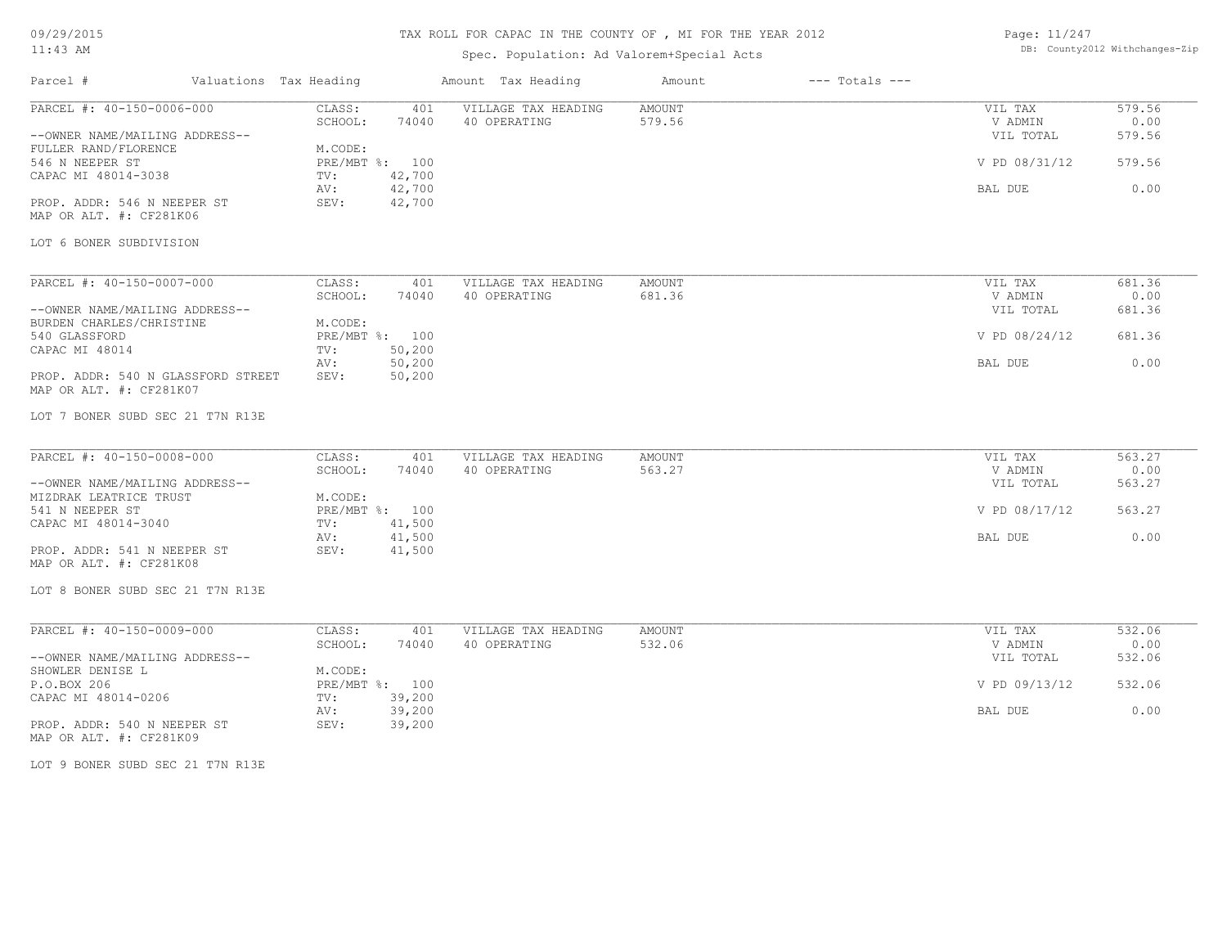# TAX ROLL FOR CAPAC IN THE COUNTY OF , MI FOR THE YEAR 2012

## Spec. Population: Ad Valorem+Special Acts

| Page: 11/247 |                                |
|--------------|--------------------------------|
|              | DB: County2012 Withchanges-Zip |

| Parcel #                                                                                                                                                                                                                        | Valuations Tax Heading |                                                                                                                    | Amount Tax Heading                  | Amount                  | $---$ Totals $---$ |                                                             |                                            |
|---------------------------------------------------------------------------------------------------------------------------------------------------------------------------------------------------------------------------------|------------------------|--------------------------------------------------------------------------------------------------------------------|-------------------------------------|-------------------------|--------------------|-------------------------------------------------------------|--------------------------------------------|
| PARCEL #: 40-150-0006-000<br>--OWNER NAME/MAILING ADDRESS--<br>FULLER RAND/FLORENCE<br>546 N NEEPER ST<br>CAPAC MI 48014-3038<br>PROP. ADDR: 546 N NEEPER ST<br>MAP OR ALT. #: CF281K06<br>LOT 6 BONER SUBDIVISION              |                        | CLASS:<br>401<br>SCHOOL:<br>74040<br>M.CODE:<br>PRE/MBT %: 100<br>42,700<br>TV:<br>42,700<br>AV:<br>42,700<br>SEV: | VILLAGE TAX HEADING<br>40 OPERATING | AMOUNT<br>579.56        |                    | VIL TAX<br>V ADMIN<br>VIL TOTAL<br>V PD 08/31/12<br>BAL DUE | 579.56<br>0.00<br>579.56<br>579.56<br>0.00 |
| PARCEL #: 40-150-0007-000<br>--OWNER NAME/MAILING ADDRESS--<br>BURDEN CHARLES/CHRISTINE<br>540 GLASSFORD<br>CAPAC MI 48014<br>PROP. ADDR: 540 N GLASSFORD STREET<br>MAP OR ALT. #: CF281K07<br>LOT 7 BONER SUBD SEC 21 T7N R13E |                        | CLASS:<br>401<br>SCHOOL:<br>74040<br>M.CODE:<br>PRE/MBT %: 100<br>50,200<br>TV:<br>50,200<br>AV:<br>SEV:<br>50,200 | VILLAGE TAX HEADING<br>40 OPERATING | <b>AMOUNT</b><br>681.36 |                    | VIL TAX<br>V ADMIN<br>VIL TOTAL<br>V PD 08/24/12<br>BAL DUE | 681.36<br>0.00<br>681.36<br>681.36<br>0.00 |
| PARCEL #: 40-150-0008-000<br>--OWNER NAME/MAILING ADDRESS--<br>MIZDRAK LEATRICE TRUST<br>541 N NEEPER ST<br>CAPAC MI 48014-3040<br>PROP. ADDR: 541 N NEEPER ST<br>MAP OR ALT. #: CF281K08<br>LOT 8 BONER SUBD SEC 21 T7N R13E   |                        | CLASS:<br>401<br>SCHOOL:<br>74040<br>M.CODE:<br>PRE/MBT %: 100<br>41,500<br>TV:<br>41,500<br>AV:<br>SEV:<br>41,500 | VILLAGE TAX HEADING<br>40 OPERATING | AMOUNT<br>563.27        |                    | VIL TAX<br>V ADMIN<br>VIL TOTAL<br>V PD 08/17/12<br>BAL DUE | 563.27<br>0.00<br>563.27<br>563.27<br>0.00 |
| PARCEL #: 40-150-0009-000<br>--OWNER NAME/MAILING ADDRESS--<br>SHOWLER DENISE L<br>P.O.BOX 206<br>CAPAC MI 48014-0206<br>PROP. ADDR: 540 N NEEPER ST<br>MAP OR ALT. #: CF281K09                                                 |                        | CLASS:<br>401<br>SCHOOL:<br>74040<br>M.CODE:<br>PRE/MBT %: 100<br>39,200<br>TV:<br>39,200<br>AV:<br>SEV:<br>39,200 | VILLAGE TAX HEADING<br>40 OPERATING | AMOUNT<br>532.06        |                    | VIL TAX<br>V ADMIN<br>VIL TOTAL<br>V PD 09/13/12<br>BAL DUE | 532.06<br>0.00<br>532.06<br>532.06<br>0.00 |

LOT 9 BONER SUBD SEC 21 T7N R13E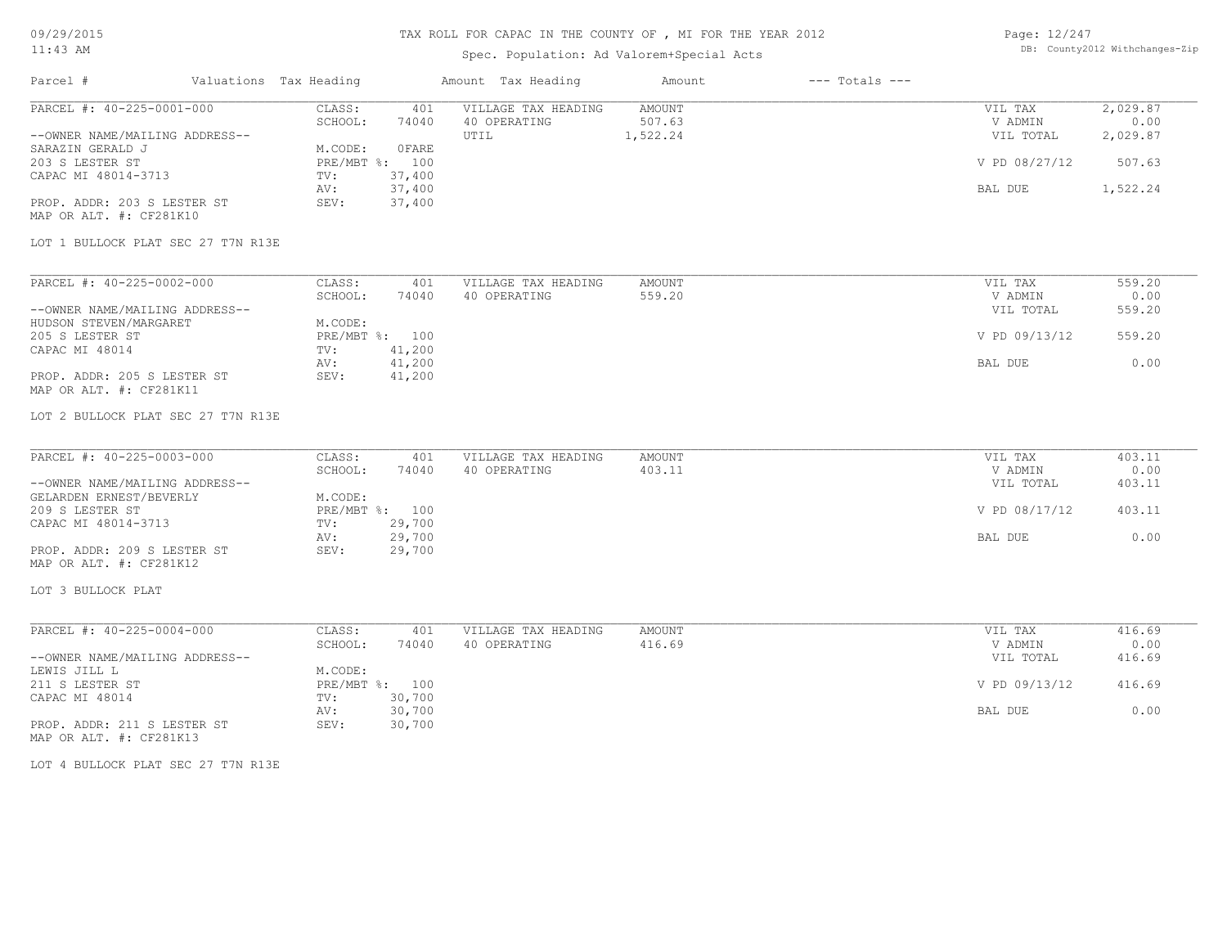## TAX ROLL FOR CAPAC IN THE COUNTY OF , MI FOR THE YEAR 2012

## Spec. Population: Ad Valorem+Special Acts

Page: 12/247 DB: County2012 Withchanges-Zip

| Parcel #                                                    | Valuations Tax Heading |                           |                            | Amount Tax Heading                          | Amount                              | $---$ Totals $---$ |                                 |                              |
|-------------------------------------------------------------|------------------------|---------------------------|----------------------------|---------------------------------------------|-------------------------------------|--------------------|---------------------------------|------------------------------|
| PARCEL #: 40-225-0001-000<br>--OWNER NAME/MAILING ADDRESS-- |                        | CLASS:<br>SCHOOL:         | 401<br>74040               | VILLAGE TAX HEADING<br>40 OPERATING<br>UTIL | <b>AMOUNT</b><br>507.63<br>1,522.24 |                    | VIL TAX<br>V ADMIN<br>VIL TOTAL | 2,029.87<br>0.00<br>2,029.87 |
| SARAZIN GERALD J<br>203 S LESTER ST                         |                        | M.CODE:<br>PRE/MBT %: 100 | OFARE                      |                                             |                                     |                    | V PD 08/27/12                   | 507.63                       |
| CAPAC MI 48014-3713<br>PROP. ADDR: 203 S LESTER ST          |                        | TV:<br>AV:<br>SEV:        | 37,400<br>37,400<br>37,400 |                                             |                                     |                    | BAL DUE                         | 1,522.24                     |
| MAP OR ALT. #: CF281K10                                     |                        |                           |                            |                                             |                                     |                    |                                 |                              |
| LOT 1 BULLOCK PLAT SEC 27 T7N R13E                          |                        |                           |                            |                                             |                                     |                    |                                 |                              |
| PARCEL #: 40-225-0002-000                                   |                        | CLASS:<br>SCHOOL:         | 401<br>74040               | VILLAGE TAX HEADING<br>40 OPERATING         | <b>AMOUNT</b><br>559.20             |                    | VIL TAX<br>V ADMIN              | 559.20<br>0.00               |
| --OWNER NAME/MAILING ADDRESS--<br>HUDSON STEVEN/MARGARET    |                        | M.CODE:                   |                            |                                             |                                     |                    | VIL TOTAL                       | 559.20                       |
| 205 S LESTER ST<br>CAPAC MI 48014                           |                        | TV:                       | PRE/MBT %: 100<br>41,200   |                                             |                                     |                    | V PD 09/13/12                   | 559.20                       |
| PROP. ADDR: 205 S LESTER ST                                 |                        | AV:<br>SEV:               | 41,200<br>41,200           |                                             |                                     |                    | BAL DUE                         | 0.00                         |
| MAP OR ALT. #: CF281K11                                     |                        |                           |                            |                                             |                                     |                    |                                 |                              |
| LOT 2 BULLOCK PLAT SEC 27 T7N R13E                          |                        |                           |                            |                                             |                                     |                    |                                 |                              |
| PARCEL #: 40-225-0003-000                                   |                        | CLASS:                    | 401                        | VILLAGE TAX HEADING                         | <b>AMOUNT</b>                       |                    | VIL TAX                         | 403.11                       |
| --OWNER NAME/MAILING ADDRESS--                              |                        | SCHOOL:                   | 74040                      | 40 OPERATING                                | 403.11                              |                    | V ADMIN<br>VIL TOTAL            | 0.00<br>403.11               |
| GELARDEN ERNEST/BEVERLY<br>209 S LESTER ST                  |                        | M.CODE:<br>TV:            | PRE/MBT %: 100<br>29,700   |                                             |                                     |                    | V PD 08/17/12                   | 403.11                       |
| CAPAC MI 48014-3713                                         |                        | AV:                       | 29,700                     |                                             |                                     |                    | BAL DUE                         | 0.00                         |
| PROP. ADDR: 209 S LESTER ST<br>MAP OR ALT. #: CF281K12      |                        | SEV:                      | 29,700                     |                                             |                                     |                    |                                 |                              |
| LOT 3 BULLOCK PLAT                                          |                        |                           |                            |                                             |                                     |                    |                                 |                              |
| PARCEL #: 40-225-0004-000                                   |                        | CLASS:<br>SCHOOL:         | 401<br>74040               | VILLAGE TAX HEADING<br>40 OPERATING         | <b>AMOUNT</b><br>416.69             |                    | VIL TAX<br>V ADMIN              | 416.69<br>0.00               |
| --OWNER NAME/MAILING ADDRESS--                              |                        |                           |                            |                                             |                                     |                    | VIL TOTAL                       | 416.69                       |
| LEWIS JILL L<br>211 S LESTER ST                             |                        | M.CODE:                   | PRE/MBT %: 100             |                                             |                                     |                    | V PD 09/13/12                   | 416.69                       |
| CAPAC MI 48014                                              |                        | TV:<br>AV:                | 30,700<br>30,700           |                                             |                                     |                    | BAL DUE                         | 0.00                         |
| PROP. ADDR: 211 S LESTER ST<br>MAP OR ALT. #: CF281K13      |                        | SEV:                      | 30,700                     |                                             |                                     |                    |                                 |                              |
| LOT 4 BULLOCK PLAT SEC 27 T7N R13E                          |                        |                           |                            |                                             |                                     |                    |                                 |                              |
|                                                             |                        |                           |                            |                                             |                                     |                    |                                 |                              |
|                                                             |                        |                           |                            |                                             |                                     |                    |                                 |                              |
|                                                             |                        |                           |                            |                                             |                                     |                    |                                 |                              |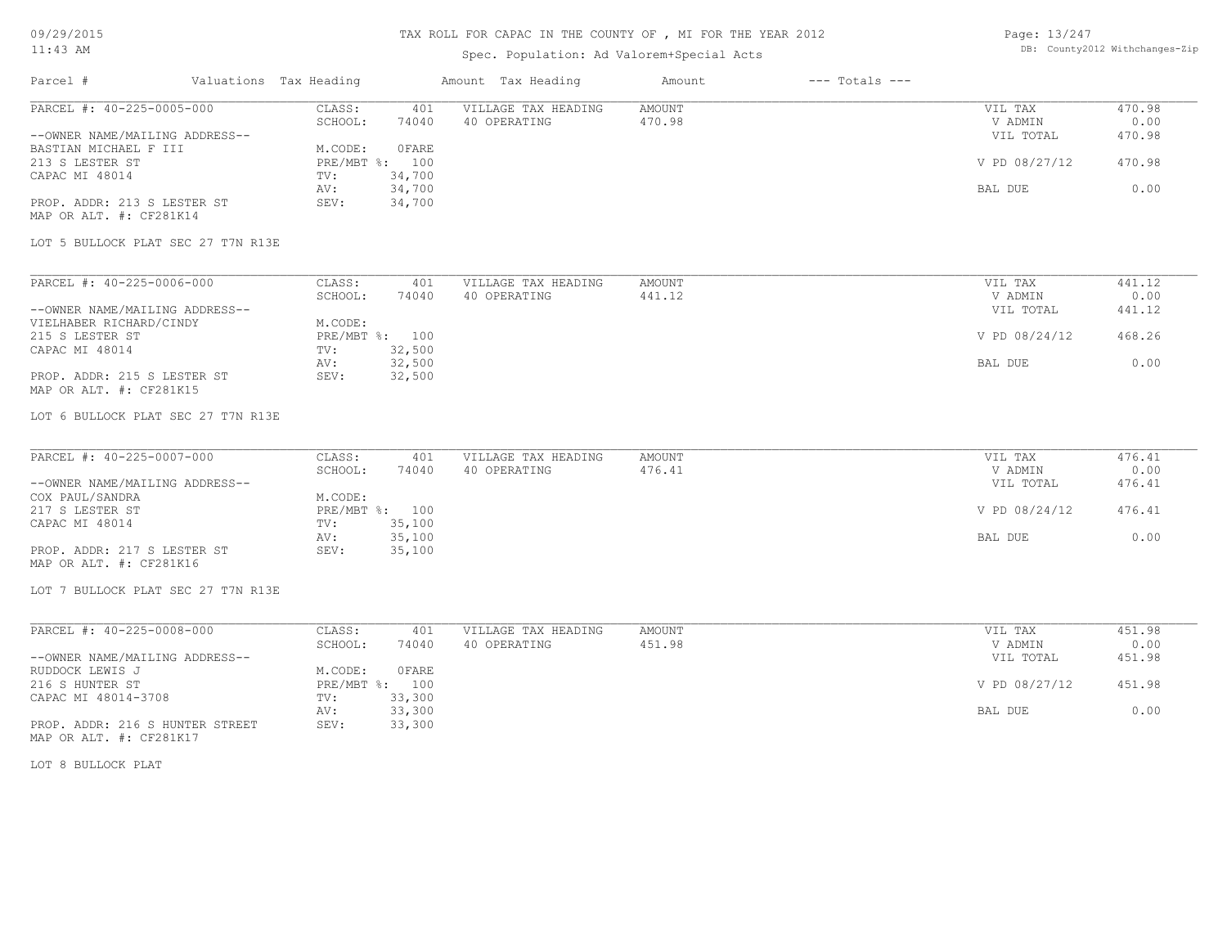09/29/2015

#### TAX ROLL FOR CAPAC IN THE COUNTY OF , MI FOR THE YEAR 2012

Page: 13/247 DB: County2012 Withchanges-Zip

| 11:43 AM                                               |                        |                  | Spec. Population: Ad Valorem+Special Acts | DB: County2012 Withchanges-Zip |                    |                      |                |
|--------------------------------------------------------|------------------------|------------------|-------------------------------------------|--------------------------------|--------------------|----------------------|----------------|
| Parcel #                                               | Valuations Tax Heading |                  | Amount Tax Heading                        | Amount                         | $---$ Totals $---$ |                      |                |
| PARCEL #: 40-225-0005-000                              | CLASS:<br>SCHOOL:      | 401<br>74040     | VILLAGE TAX HEADING<br>40 OPERATING       | AMOUNT<br>470.98               |                    | VIL TAX<br>V ADMIN   | 470.98<br>0.00 |
| --OWNER NAME/MAILING ADDRESS--                         |                        |                  |                                           |                                |                    | VIL TOTAL            | 470.98         |
| BASTIAN MICHAEL F III                                  | M.CODE:                | 0 FARE           |                                           |                                |                    |                      |                |
| 213 S LESTER ST                                        |                        | PRE/MBT %: 100   |                                           |                                |                    | V PD 08/27/12        | 470.98         |
| CAPAC MI 48014                                         | TV:                    | 34,700           |                                           |                                |                    |                      |                |
| PROP. ADDR: 213 S LESTER ST                            | AV:<br>SEV:            | 34,700<br>34,700 |                                           |                                |                    | BAL DUE              | 0.00           |
| MAP OR ALT. #: CF281K14                                |                        |                  |                                           |                                |                    |                      |                |
| LOT 5 BULLOCK PLAT SEC 27 T7N R13E                     |                        |                  |                                           |                                |                    |                      |                |
| PARCEL #: 40-225-0006-000                              | CLASS:                 | 401              | VILLAGE TAX HEADING                       | AMOUNT                         |                    | VIL TAX              | 441.12         |
| --OWNER NAME/MAILING ADDRESS--                         | SCHOOL:                | 74040            | 40 OPERATING                              | 441.12                         |                    | V ADMIN<br>VIL TOTAL | 0.00<br>441.12 |
| VIELHABER RICHARD/CINDY                                | M.CODE:                |                  |                                           |                                |                    |                      |                |
| 215 S LESTER ST                                        |                        | PRE/MBT %: 100   |                                           |                                |                    | V PD 08/24/12        | 468.26         |
| CAPAC MI 48014                                         | TV:                    | 32,500           |                                           |                                |                    |                      |                |
|                                                        | AV:                    | 32,500           |                                           |                                |                    | BAL DUE              | 0.00           |
| PROP. ADDR: 215 S LESTER ST<br>MAP OR ALT. #: CF281K15 | SEV:                   | 32,500           |                                           |                                |                    |                      |                |
| LOT 6 BULLOCK PLAT SEC 27 T7N R13E                     |                        |                  |                                           |                                |                    |                      |                |
| PARCEL #: 40-225-0007-000                              | CLASS:                 | 401              | VILLAGE TAX HEADING                       | AMOUNT                         |                    | VIL TAX              | 476.41         |
|                                                        | SCHOOL:                | 74040            | 40 OPERATING                              | 476.41                         |                    | V ADMIN              | 0.00           |
| --OWNER NAME/MAILING ADDRESS--                         |                        |                  |                                           |                                |                    | VIL TOTAL            | 476.41         |
| COX PAUL/SANDRA<br>217 S LESTER ST                     | M.CODE:                | PRE/MBT %: 100   |                                           |                                |                    | V PD 08/24/12        | 476.41         |
| CAPAC MI 48014                                         | TV:                    | 35,100           |                                           |                                |                    |                      |                |
|                                                        | AV:                    | 35,100           |                                           |                                |                    | BAL DUE              | 0.00           |
| PROP. ADDR: 217 S LESTER ST<br>MAP OR ALT. #: CF281K16 | SEV:                   | 35,100           |                                           |                                |                    |                      |                |
| LOT 7 BULLOCK PLAT SEC 27 T7N R13E                     |                        |                  |                                           |                                |                    |                      |                |
| PARCEL #: 40-225-0008-000                              | CLASS:                 | 401              | VILLAGE TAX HEADING                       | AMOUNT                         |                    | VIL TAX              | 451.98         |
|                                                        | SCHOOL:                | 74040            | 40 OPERATING                              | 451.98                         |                    | V ADMIN              | 0.00           |
| --OWNER NAME/MAILING ADDRESS--                         |                        |                  |                                           |                                |                    | VIL TOTAL            | 451.98         |
| RUDDOCK LEWIS J                                        | M.CODE:                | 0 FARE           |                                           |                                |                    |                      |                |
| 216 S HUNTER ST                                        |                        | PRE/MBT %: 100   |                                           |                                |                    | V PD 08/27/12        | 451.98         |
| CAPAC MI 48014-3708                                    | TV:<br>AV:             | 33,300<br>33,300 |                                           |                                |                    | BAL DUE              | 0.00           |
| PROP. ADDR: 216 S HUNTER STREET                        | SEV:                   | 33,300           |                                           |                                |                    |                      |                |
| MAP OR ALT. #: CF281K17                                |                        |                  |                                           |                                |                    |                      |                |
| LOT 8 BULLOCK PLAT                                     |                        |                  |                                           |                                |                    |                      |                |
|                                                        |                        |                  |                                           |                                |                    |                      |                |
|                                                        |                        |                  |                                           |                                |                    |                      |                |
|                                                        |                        |                  |                                           |                                |                    |                      |                |
|                                                        |                        |                  |                                           |                                |                    |                      |                |
|                                                        |                        |                  |                                           |                                |                    |                      |                |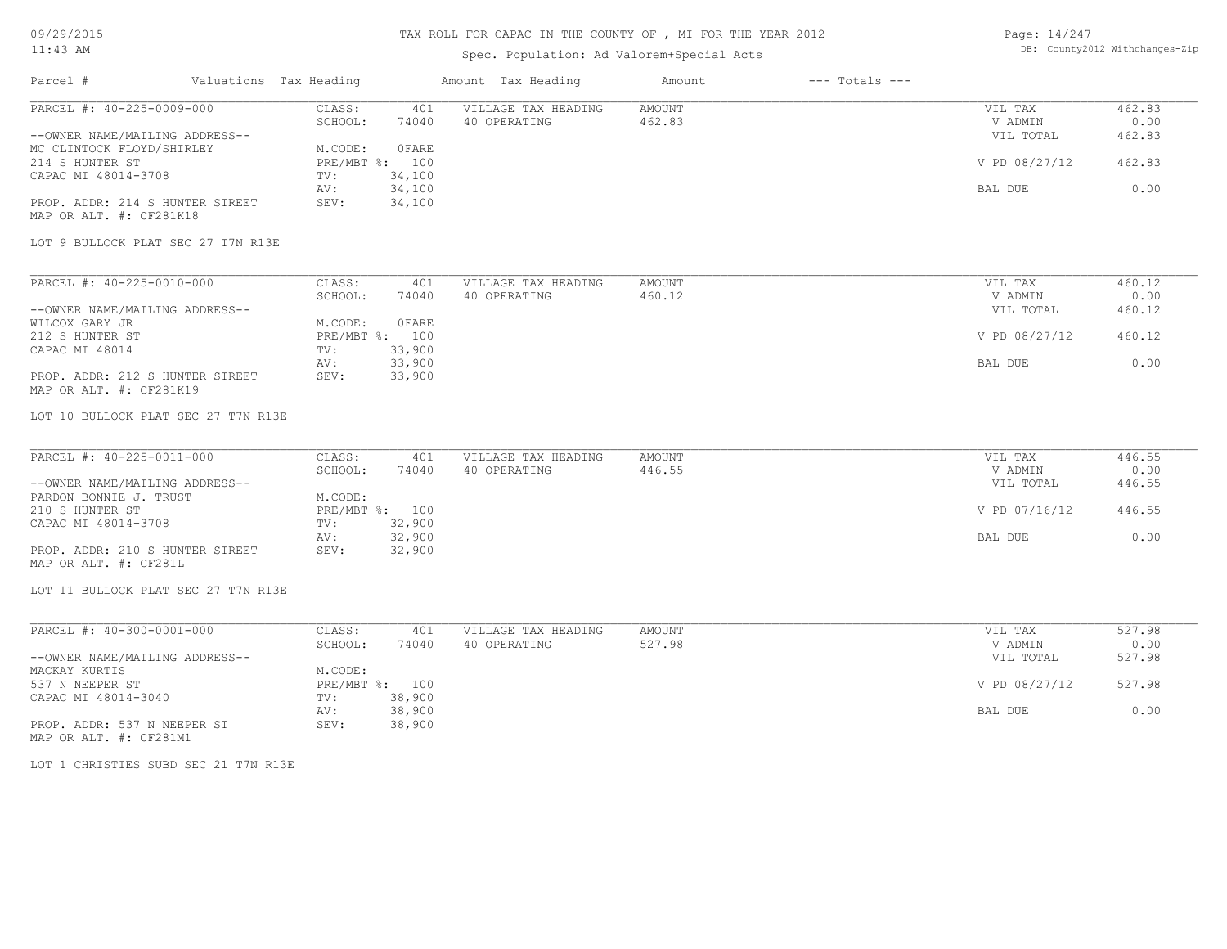09/29/2015

#### TAX ROLL FOR CAPAC IN THE COUNTY OF , MI FOR THE YEAR 2012

| Page: 14/247 |                               |
|--------------|-------------------------------|
|              | DB: County2012 Withchanges-Zi |

| $11:43$ AM                                                 |                        |                   |                  | Spec. Population: Ad Valorem+Special Acts | DB: County2012 Withchanges-Zip |                    |                      |                |
|------------------------------------------------------------|------------------------|-------------------|------------------|-------------------------------------------|--------------------------------|--------------------|----------------------|----------------|
| Parcel #                                                   | Valuations Tax Heading |                   |                  | Amount Tax Heading                        | Amount                         | $---$ Totals $---$ |                      |                |
| PARCEL #: 40-225-0009-000                                  |                        | CLASS:<br>SCHOOL: | 401<br>74040     | VILLAGE TAX HEADING<br>40 OPERATING       | <b>AMOUNT</b><br>462.83        |                    | VIL TAX<br>V ADMIN   | 462.83<br>0.00 |
| --OWNER NAME/MAILING ADDRESS--                             |                        |                   |                  |                                           |                                |                    | VIL TOTAL            | 462.83         |
| MC CLINTOCK FLOYD/SHIRLEY                                  |                        | M.CODE:           | <b>OFARE</b>     |                                           |                                |                    |                      |                |
| 214 S HUNTER ST                                            |                        |                   | PRE/MBT %: 100   |                                           |                                |                    | V PD 08/27/12        | 462.83         |
| CAPAC MI 48014-3708                                        |                        | TV:               | 34,100<br>34,100 |                                           |                                |                    |                      | 0.00           |
| PROP. ADDR: 214 S HUNTER STREET                            |                        | AV:<br>SEV:       | 34,100           |                                           |                                |                    | BAL DUE              |                |
| MAP OR ALT. #: CF281K18                                    |                        |                   |                  |                                           |                                |                    |                      |                |
| LOT 9 BULLOCK PLAT SEC 27 T7N R13E                         |                        |                   |                  |                                           |                                |                    |                      |                |
| PARCEL #: 40-225-0010-000                                  |                        | CLASS:            | 401              | VILLAGE TAX HEADING                       | AMOUNT                         |                    | VIL TAX              | 460.12         |
|                                                            |                        | SCHOOL:           | 74040            | 40 OPERATING                              | 460.12                         |                    | V ADMIN              | 0.00           |
| --OWNER NAME/MAILING ADDRESS--<br>WILCOX GARY JR           |                        | M.CODE:           | 0 FARE           |                                           |                                |                    | VIL TOTAL            | 460.12         |
| 212 S HUNTER ST                                            |                        |                   | PRE/MBT %: 100   |                                           |                                |                    | V PD 08/27/12        | 460.12         |
| CAPAC MI 48014                                             |                        | TV:               | 33,900           |                                           |                                |                    |                      |                |
|                                                            |                        | AV:               | 33,900           |                                           |                                |                    | BAL DUE              | 0.00           |
| PROP. ADDR: 212 S HUNTER STREET<br>MAP OR ALT. #: CF281K19 |                        | SEV:              | 33,900           |                                           |                                |                    |                      |                |
| LOT 10 BULLOCK PLAT SEC 27 T7N R13E                        |                        |                   |                  |                                           |                                |                    |                      |                |
| PARCEL #: 40-225-0011-000                                  |                        | CLASS:            | 401              | VILLAGE TAX HEADING                       | AMOUNT                         |                    | VIL TAX              | 446.55         |
|                                                            |                        | SCHOOL:           | 74040            | 40 OPERATING                              | 446.55                         |                    | V ADMIN              | 0.00           |
| --OWNER NAME/MAILING ADDRESS--                             |                        |                   |                  |                                           |                                |                    | VIL TOTAL            | 446.55         |
| PARDON BONNIE J. TRUST                                     |                        | M.CODE:           |                  |                                           |                                |                    |                      |                |
| 210 S HUNTER ST                                            |                        |                   | PRE/MBT %: 100   |                                           |                                |                    | V PD 07/16/12        | 446.55         |
| CAPAC MI 48014-3708                                        |                        | TV:               | 32,900           |                                           |                                |                    | BAL DUE              |                |
| PROP. ADDR: 210 S HUNTER STREET                            |                        | AV:<br>SEV:       | 32,900<br>32,900 |                                           |                                |                    |                      | 0.00           |
| MAP OR ALT. #: CF281L                                      |                        |                   |                  |                                           |                                |                    |                      |                |
| LOT 11 BULLOCK PLAT SEC 27 T7N R13E                        |                        |                   |                  |                                           |                                |                    |                      |                |
| PARCEL #: 40-300-0001-000                                  |                        | CLASS:            | 401              | VILLAGE TAX HEADING                       | <b>AMOUNT</b>                  |                    | VIL TAX              | 527.98         |
| --OWNER NAME/MAILING ADDRESS--                             |                        | SCHOOL:           | 74040            | 40 OPERATING                              | 527.98                         |                    | V ADMIN<br>VIL TOTAL | 0.00<br>527.98 |
| MACKAY KURTIS                                              |                        | M.CODE:           |                  |                                           |                                |                    |                      |                |
| 537 N NEEPER ST                                            |                        |                   | PRE/MBT %: 100   |                                           |                                |                    | V PD 08/27/12        | 527.98         |
| CAPAC MI 48014-3040                                        |                        | TV:               | 38,900           |                                           |                                |                    |                      |                |
|                                                            |                        | AV:               | 38,900           |                                           |                                |                    | BAL DUE              | 0.00           |
| PROP. ADDR: 537 N NEEPER ST<br>MAP OR ALT. #: CF281M1      |                        | SEV:              | 38,900           |                                           |                                |                    |                      |                |
| LOT 1 CHRISTIES SUBD SEC 21 T7N R13E                       |                        |                   |                  |                                           |                                |                    |                      |                |
|                                                            |                        |                   |                  |                                           |                                |                    |                      |                |
|                                                            |                        |                   |                  |                                           |                                |                    |                      |                |
|                                                            |                        |                   |                  |                                           |                                |                    |                      |                |
|                                                            |                        |                   |                  |                                           |                                |                    |                      |                |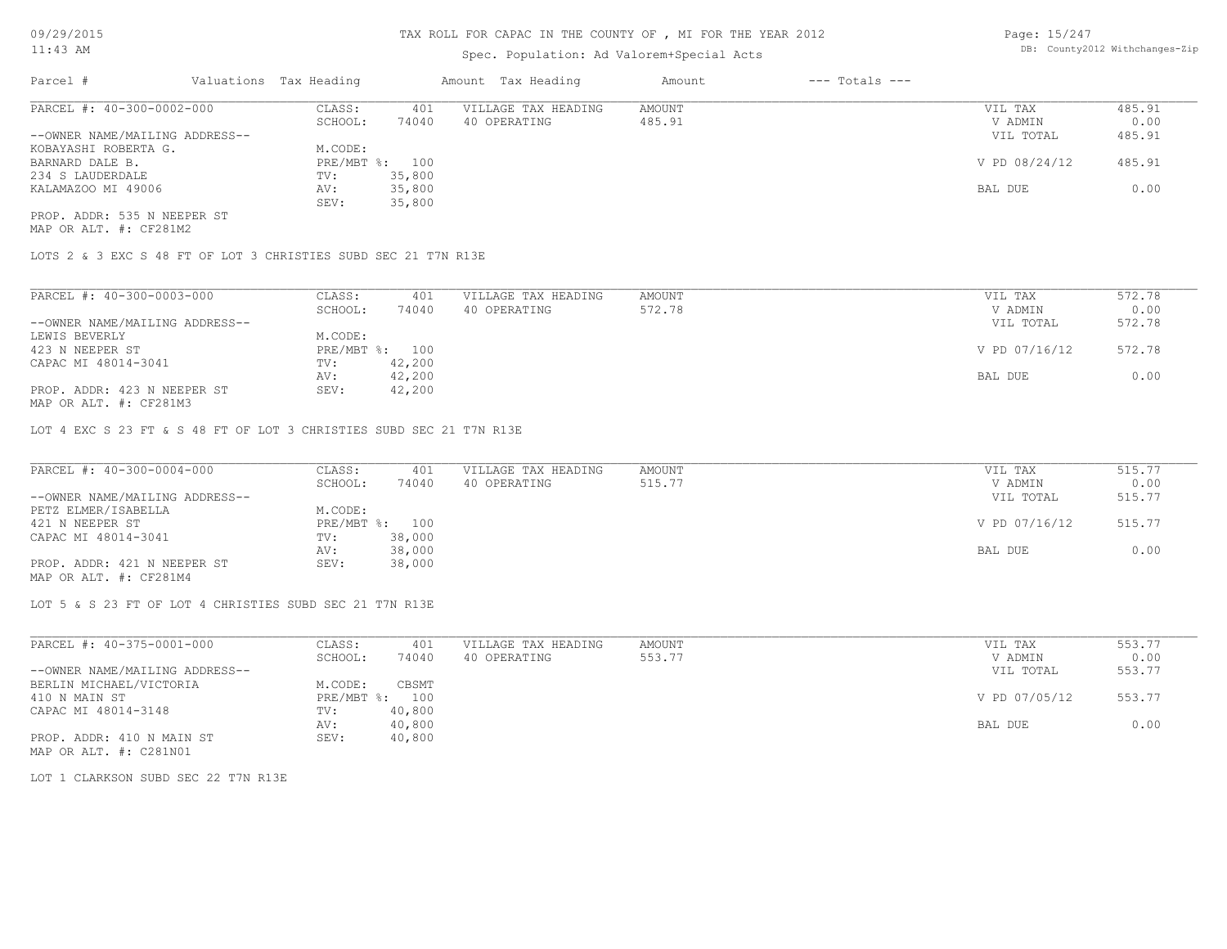## Spec. Population: Ad Valorem+Special Acts

Page: 15/247 DB: County2012 Withchanges-Zip

| Parcel #                       | Valuations Tax Heading | Amount Tax Heading |                     | Amount | $---$ Totals $---$ |               |        |
|--------------------------------|------------------------|--------------------|---------------------|--------|--------------------|---------------|--------|
| PARCEL #: 40-300-0002-000      | CLASS:                 | 401                | VILLAGE TAX HEADING | AMOUNT |                    | VIL TAX       | 485.91 |
|                                | SCHOOL:                | 74040              | 40 OPERATING        | 485.91 |                    | V ADMIN       | 0.00   |
| --OWNER NAME/MAILING ADDRESS-- |                        |                    |                     |        |                    | VIL TOTAL     | 485.91 |
| KOBAYASHI ROBERTA G.           | M.CODE:                |                    |                     |        |                    |               |        |
| BARNARD DALE B.                | PRE/MBT %: 100         |                    |                     |        |                    | V PD 08/24/12 | 485.91 |
| 234 S LAUDERDALE               | TV:                    | 35,800             |                     |        |                    |               |        |
| KALAMAZOO MI 49006             | AV:                    | 35,800             |                     |        |                    | BAL DUE       | 0.00   |
|                                | SEV:                   | 35,800             |                     |        |                    |               |        |
| PROP. ADDR: 535 N NEEPER ST    |                        |                    |                     |        |                    |               |        |

MAP OR ALT. #: CF281M2

LOTS 2 & 3 EXC S 48 FT OF LOT 3 CHRISTIES SUBD SEC 21 T7N R13E

| PARCEL #: 40-300-0003-000                                                   | CLASS:       | 401    | VILLAGE TAX HEADING | AMOUNT | VIL TAX       | 572.78 |
|-----------------------------------------------------------------------------|--------------|--------|---------------------|--------|---------------|--------|
|                                                                             | SCHOOL:      | 74040  | 40 OPERATING        | 572.78 | V ADMIN       | 0.00   |
| --OWNER NAME/MAILING ADDRESS--                                              |              |        |                     |        | VIL TOTAL     | 572.78 |
| LEWIS BEVERLY                                                               | M.CODE:      |        |                     |        |               |        |
| 423 N NEEPER ST                                                             | $PRE/MBT$ %: | 100    |                     |        | V PD 07/16/12 | 572.78 |
| CAPAC MI 48014-3041                                                         | TV:          | 42,200 |                     |        |               |        |
|                                                                             | AV:          | 42,200 |                     |        | BAL DUE       | 0.00   |
| PROP. ADDR: 423 N NEEPER ST<br>$\cdots$ $\cdots$ $\cdots$ $\cdots$ $\cdots$ | SEV:         | 42,200 |                     |        |               |        |

MAP OR ALT. #: CF281M3

LOT 4 EXC S 23 FT & S 48 FT OF LOT 3 CHRISTIES SUBD SEC 21 T7N R13E

| PARCEL #: 40-300-0004-000      | CLASS:  | 401            | VILLAGE TAX HEADING | AMOUNT | VIL TAX       | 515.77 |
|--------------------------------|---------|----------------|---------------------|--------|---------------|--------|
|                                | SCHOOL: | 74040          | 40 OPERATING        | 515.77 | V ADMIN       | 0.00   |
| --OWNER NAME/MAILING ADDRESS-- |         |                |                     |        | VIL TOTAL     | 515.77 |
| PETZ ELMER/ISABELLA            | M.CODE: |                |                     |        |               |        |
| 421 N NEEPER ST                |         | PRE/MBT %: 100 |                     |        | V PD 07/16/12 | 515.77 |
| CAPAC MI 48014-3041            | TV:     | 38,000         |                     |        |               |        |
|                                | AV:     | 38,000         |                     |        | BAL DUE       | 0.00   |
| PROP. ADDR: 421 N NEEPER ST    | SEV:    | 38,000         |                     |        |               |        |
| MAP OR ALT. #: CF281M4         |         |                |                     |        |               |        |

LOT 5 & S 23 FT OF LOT 4 CHRISTIES SUBD SEC 21 T7N R13E

| PARCEL #: 40-375-0001-000      | CLASS:       | 401    | VILLAGE TAX HEADING | AMOUNT | VIL TAX       | 553.77 |
|--------------------------------|--------------|--------|---------------------|--------|---------------|--------|
|                                | SCHOOL:      | 74040  | 40 OPERATING        | 553.77 | V ADMIN       | 0.00   |
| --OWNER NAME/MAILING ADDRESS-- |              |        |                     |        | VIL TOTAL     | 553.77 |
| BERLIN MICHAEL/VICTORIA        | M.CODE:      | CBSMT  |                     |        |               |        |
| 410 N MAIN ST                  | $PRE/MBT$ %: | 100    |                     |        | V PD 07/05/12 | 553.77 |
| CAPAC MI 48014-3148            | TV:          | 40,800 |                     |        |               |        |
|                                | AV:          | 40,800 |                     |        | BAL DUE       | 0.00   |
| PROP. ADDR: 410 N MAIN ST      | SEV:         | 40,800 |                     |        |               |        |
| MAP OR ALT. #: C281N01         |              |        |                     |        |               |        |

LOT 1 CLARKSON SUBD SEC 22 T7N R13E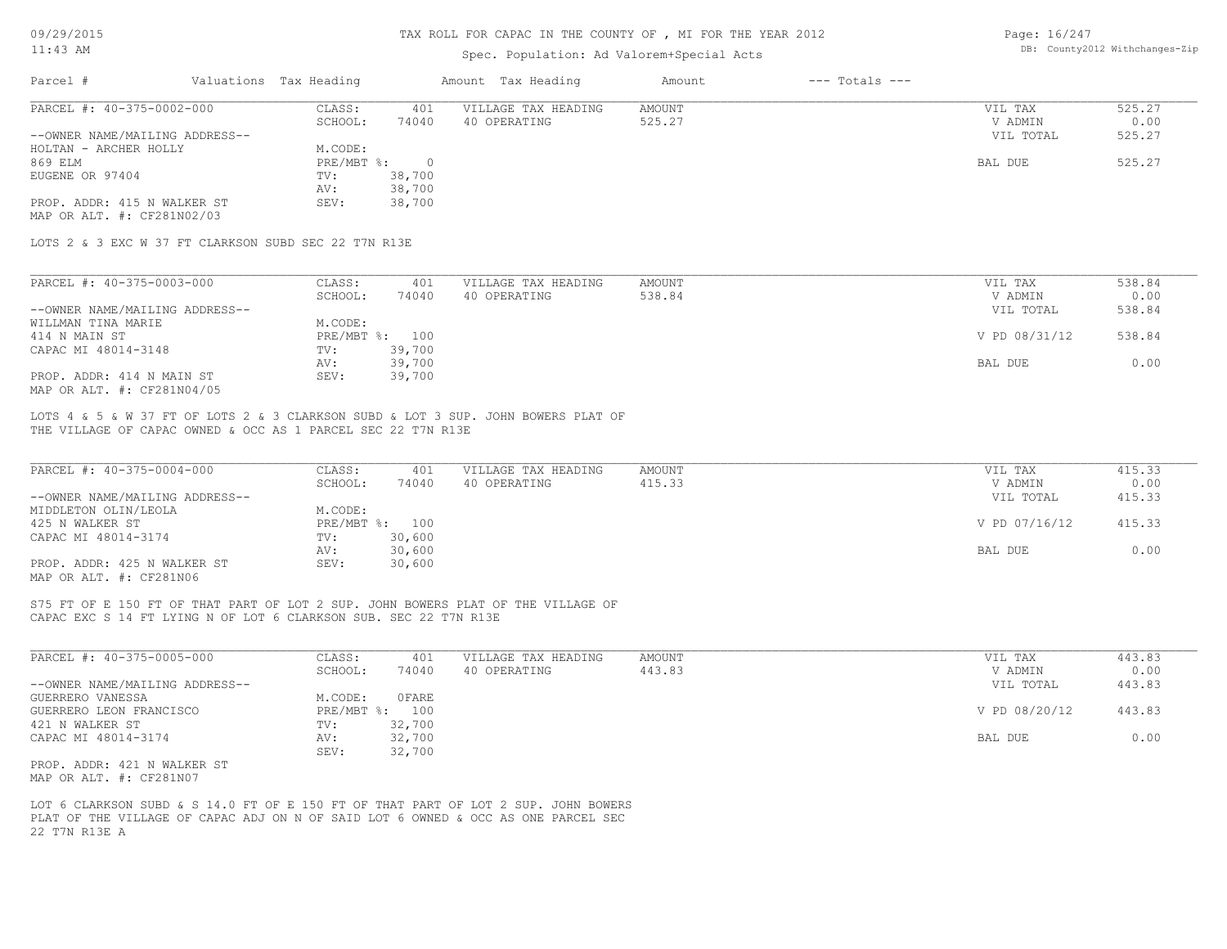# TAX ROLL FOR CAPAC IN THE COUNTY OF , MI FOR THE YEAR 2012

# Spec. Population: Ad Valorem+Special Acts

Page: 16/247 DB: County2012 Withchanges-Zip

|                                                                                                                                                                                          |                                                 | Spec. Population: Ad Valorem+Special Acts |                  |                      |                |
|------------------------------------------------------------------------------------------------------------------------------------------------------------------------------------------|-------------------------------------------------|-------------------------------------------|------------------|----------------------|----------------|
| Parcel #                                                                                                                                                                                 | Valuations Tax Heading                          | Amount Tax Heading                        | Amount           | $---$ Totals $---$   |                |
| PARCEL #: 40-375-0002-000                                                                                                                                                                | CLASS:<br>401<br>SCHOOL:<br>74040               | VILLAGE TAX HEADING<br>40 OPERATING       | AMOUNT<br>525.27 | VIL TAX<br>V ADMIN   | 525.27<br>0.00 |
| --OWNER NAME/MAILING ADDRESS--                                                                                                                                                           |                                                 |                                           |                  | VIL TOTAL            | 525.27         |
| HOLTAN - ARCHER HOLLY<br>869 ELM                                                                                                                                                         | M.CODE:                                         |                                           |                  |                      |                |
| EUGENE OR 97404                                                                                                                                                                          | $\overline{0}$<br>$PRE/MBT$ %:<br>38,700<br>TV: |                                           |                  | BAL DUE              | 525.27         |
|                                                                                                                                                                                          | 38,700<br>AV:                                   |                                           |                  |                      |                |
| PROP. ADDR: 415 N WALKER ST<br>MAP OR ALT. #: CF281N02/03                                                                                                                                | 38,700<br>SEV:                                  |                                           |                  |                      |                |
| LOTS 2 & 3 EXC W 37 FT CLARKSON SUBD SEC 22 T7N R13E                                                                                                                                     |                                                 |                                           |                  |                      |                |
| PARCEL #: 40-375-0003-000                                                                                                                                                                | CLASS:<br>401                                   | VILLAGE TAX HEADING                       | AMOUNT           | VIL TAX              | 538.84         |
|                                                                                                                                                                                          | SCHOOL:<br>74040                                | 40 OPERATING                              | 538.84           | V ADMIN              | 0.00           |
| --OWNER NAME/MAILING ADDRESS--                                                                                                                                                           |                                                 |                                           |                  | VIL TOTAL            | 538.84         |
| WILLMAN TINA MARIE                                                                                                                                                                       | M.CODE:                                         |                                           |                  |                      |                |
| 414 N MAIN ST                                                                                                                                                                            | PRE/MBT %: 100                                  |                                           |                  | V PD 08/31/12        | 538.84         |
| CAPAC MI 48014-3148                                                                                                                                                                      | 39,700<br>TV:<br>39,700<br>AV:                  |                                           |                  | BAL DUE              | 0.00           |
| PROP. ADDR: 414 N MAIN ST<br>MAP OR ALT. #: CF281N04/05                                                                                                                                  | 39,700<br>SEV:                                  |                                           |                  |                      |                |
| LOTS 4 & 5 & W 37 FT OF LOTS 2 & 3 CLARKSON SUBD & LOT 3 SUP. JOHN BOWERS PLAT OF<br>THE VILLAGE OF CAPAC OWNED & OCC AS 1 PARCEL SEC 22 T7N R13E                                        |                                                 |                                           |                  |                      |                |
|                                                                                                                                                                                          |                                                 |                                           |                  |                      |                |
| PARCEL #: 40-375-0004-000                                                                                                                                                                | CLASS:<br>401                                   | VILLAGE TAX HEADING                       | AMOUNT           | VIL TAX              | 415.33         |
| --OWNER NAME/MAILING ADDRESS--                                                                                                                                                           | 74040<br>SCHOOL:                                | 40 OPERATING                              | 415.33           | V ADMIN<br>VIL TOTAL | 0.00<br>415.33 |
| MIDDLETON OLIN/LEOLA                                                                                                                                                                     | M.CODE:                                         |                                           |                  |                      |                |
| 425 N WALKER ST                                                                                                                                                                          | PRE/MBT %: 100                                  |                                           |                  | V PD 07/16/12        | 415.33         |
| CAPAC MI 48014-3174                                                                                                                                                                      | 30,600<br>TV:                                   |                                           |                  |                      |                |
| PROP. ADDR: 425 N WALKER ST<br>MAP OR ALT. #: CF281N06                                                                                                                                   | 30,600<br>AV:<br>SEV:<br>30,600                 |                                           |                  | BAL DUE              | 0.00           |
| S75 FT OF E 150 FT OF THAT PART OF LOT 2 SUP. JOHN BOWERS PLAT OF THE VILLAGE OF<br>CAPAC EXC S 14 FT LYING N OF LOT 6 CLARKSON SUB. SEC 22 T7N R13E                                     |                                                 |                                           |                  |                      |                |
| PARCEL #: 40-375-0005-000                                                                                                                                                                |                                                 |                                           | AMOUNT           |                      | 443.83         |
|                                                                                                                                                                                          | CLASS:<br>401<br>SCHOOL:<br>74040               | VILLAGE TAX HEADING<br>40 OPERATING       | 443.83           | VIL TAX<br>V ADMIN   | 0.00           |
| --OWNER NAME/MAILING ADDRESS--                                                                                                                                                           |                                                 |                                           |                  | VIL TOTAL            | 443.83         |
| GUERRERO VANESSA                                                                                                                                                                         | OFARE<br>M.CODE:                                |                                           |                  |                      |                |
| GUERRERO LEON FRANCISCO                                                                                                                                                                  | PRE/MBT %: 100                                  |                                           |                  | V PD 08/20/12        | 443.83         |
| 421 N WALKER ST                                                                                                                                                                          | 32,700<br>TV:                                   |                                           |                  |                      |                |
| CAPAC MI 48014-3174                                                                                                                                                                      | AV:<br>32,700<br>SEV:<br>32,700                 |                                           |                  | BAL DUE              | 0.00           |
| PROP. ADDR: 421 N WALKER ST<br>MAP OR ALT. #: CF281N07                                                                                                                                   |                                                 |                                           |                  |                      |                |
| LOT 6 CLARKSON SUBD & S 14.0 FT OF E 150 FT OF THAT PART OF LOT 2 SUP. JOHN BOWERS<br>PLAT OF THE VILLAGE OF CAPAC ADJ ON N OF SAID LOT 6 OWNED & OCC AS ONE PARCEL SEC<br>22 T7N R13E A |                                                 |                                           |                  |                      |                |
|                                                                                                                                                                                          |                                                 |                                           |                  |                      |                |
|                                                                                                                                                                                          |                                                 |                                           |                  |                      |                |
|                                                                                                                                                                                          |                                                 |                                           |                  |                      |                |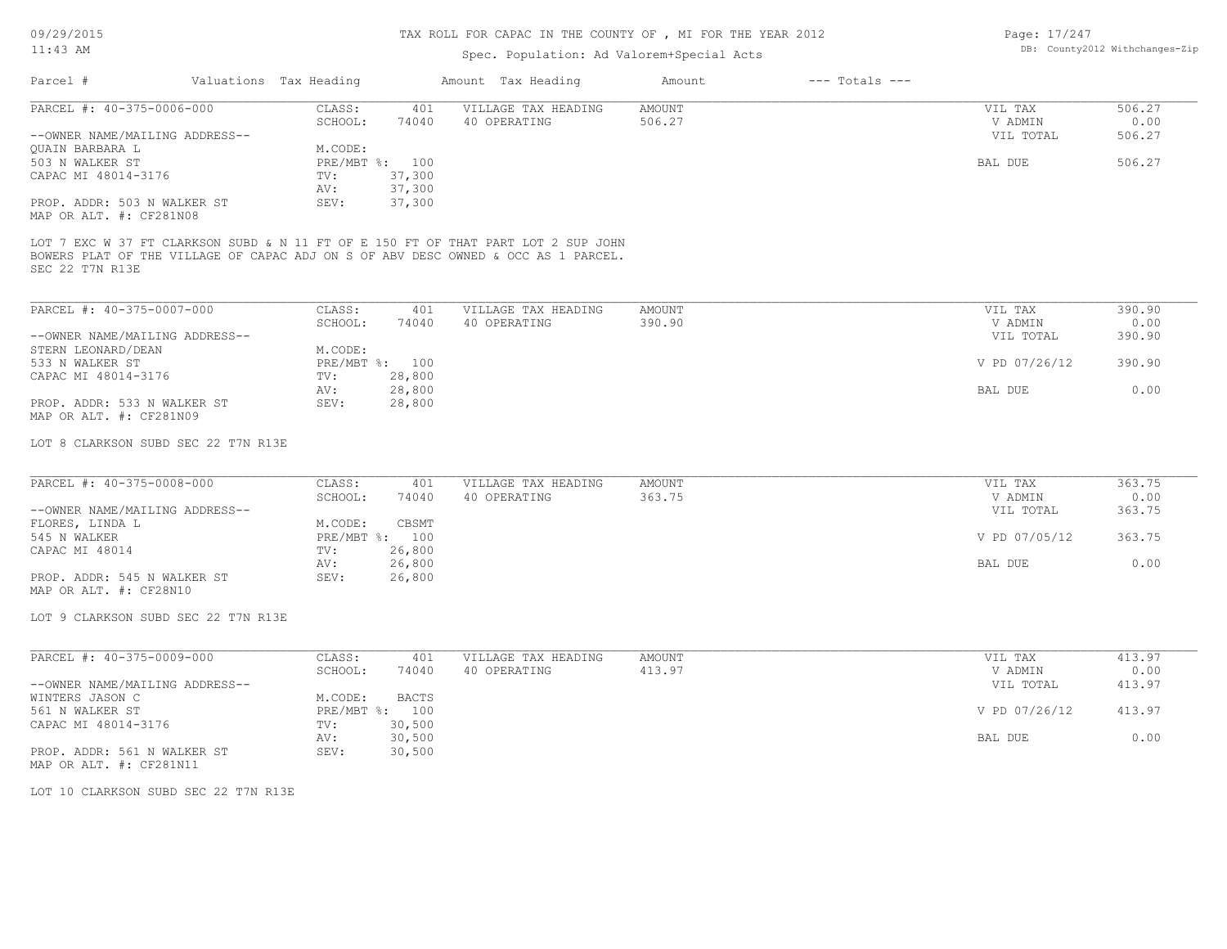09/29/2015

#### TAX ROLL FOR CAPAC IN THE COUNTY OF , MI FOR THE YEAR 2012

Page: 17/247

| $11:43$ AM                                                                                     |  |                        | Spec. Population: Ad Valorem+Special Acts |                                                                                                                                                                        | DB: County2012 Withchanges-Zip |                    |                      |                |
|------------------------------------------------------------------------------------------------|--|------------------------|-------------------------------------------|------------------------------------------------------------------------------------------------------------------------------------------------------------------------|--------------------------------|--------------------|----------------------|----------------|
| Parcel #                                                                                       |  | Valuations Tax Heading |                                           | Amount Tax Heading                                                                                                                                                     | Amount                         | $---$ Totals $---$ |                      |                |
|                                                                                                |  |                        |                                           |                                                                                                                                                                        |                                |                    |                      |                |
| PARCEL #: 40-375-0006-000                                                                      |  | CLASS:<br>SCHOOL:      | 401<br>74040                              | VILLAGE TAX HEADING<br>40 OPERATING                                                                                                                                    | <b>AMOUNT</b><br>506.27        |                    | VIL TAX<br>V ADMIN   | 506.27<br>0.00 |
| --OWNER NAME/MAILING ADDRESS--                                                                 |  |                        |                                           |                                                                                                                                                                        |                                |                    | VIL TOTAL            | 506.27         |
| QUAIN BARBARA L                                                                                |  | M.CODE:                |                                           |                                                                                                                                                                        |                                |                    |                      |                |
| 503 N WALKER ST                                                                                |  | PRE/MBT %: 100         |                                           |                                                                                                                                                                        |                                |                    | BAL DUE              | 506.27         |
| CAPAC MI 48014-3176                                                                            |  | TV:<br>AV:             | 37,300<br>37,300                          |                                                                                                                                                                        |                                |                    |                      |                |
| PROP. ADDR: 503 N WALKER ST<br>MAP OR ALT. #: CF281N08                                         |  | SEV:                   | 37,300                                    |                                                                                                                                                                        |                                |                    |                      |                |
| SEC 22 T7N R13E                                                                                |  |                        |                                           | LOT 7 EXC W 37 FT CLARKSON SUBD & N 11 FT OF E 150 FT OF THAT PART LOT 2 SUP JOHN<br>BOWERS PLAT OF THE VILLAGE OF CAPAC ADJ ON S OF ABV DESC OWNED & OCC AS 1 PARCEL. |                                |                    |                      |                |
| PARCEL #: 40-375-0007-000                                                                      |  | CLASS:                 | 401                                       | VILLAGE TAX HEADING                                                                                                                                                    | AMOUNT                         |                    | VIL TAX              | 390.90         |
|                                                                                                |  | SCHOOL:                | 74040                                     | 40 OPERATING                                                                                                                                                           | 390.90                         |                    | V ADMIN              | 0.00           |
| --OWNER NAME/MAILING ADDRESS--                                                                 |  |                        |                                           |                                                                                                                                                                        |                                |                    | VIL TOTAL            | 390.90         |
| STERN LEONARD/DEAN                                                                             |  | M.CODE:                |                                           |                                                                                                                                                                        |                                |                    |                      |                |
| 533 N WALKER ST<br>CAPAC MI 48014-3176                                                         |  | PRE/MBT %: 100<br>TV:  | 28,800                                    |                                                                                                                                                                        |                                |                    | V PD 07/26/12        | 390.90         |
|                                                                                                |  | AV:                    | 28,800                                    |                                                                                                                                                                        |                                |                    | BAL DUE              | 0.00           |
| PROP. ADDR: 533 N WALKER ST<br>MAP OR ALT. #: CF281N09                                         |  | SEV:                   | 28,800                                    |                                                                                                                                                                        |                                |                    |                      |                |
| LOT 8 CLARKSON SUBD SEC 22 T7N R13E                                                            |  |                        |                                           |                                                                                                                                                                        |                                |                    |                      |                |
| PARCEL #: 40-375-0008-000                                                                      |  | CLASS:                 | 401                                       | VILLAGE TAX HEADING                                                                                                                                                    | AMOUNT                         |                    | VIL TAX              | 363.75         |
|                                                                                                |  | SCHOOL:                | 74040                                     | 40 OPERATING                                                                                                                                                           | 363.75                         |                    | V ADMIN              | 0.00           |
| --OWNER NAME/MAILING ADDRESS--                                                                 |  |                        |                                           |                                                                                                                                                                        |                                |                    | VIL TOTAL            | 363.75         |
| FLORES, LINDA L                                                                                |  | M.CODE:                | CBSMT                                     |                                                                                                                                                                        |                                |                    |                      |                |
| 545 N WALKER                                                                                   |  | PRE/MBT %: 100         |                                           |                                                                                                                                                                        |                                |                    | V PD 07/05/12        | 363.75         |
| CAPAC MI 48014                                                                                 |  | TV:                    | 26,800                                    |                                                                                                                                                                        |                                |                    |                      |                |
|                                                                                                |  | AV:                    | 26,800                                    |                                                                                                                                                                        |                                |                    | BAL DUE              | 0.00           |
| PROP. ADDR: 545 N WALKER ST<br>MAP OR ALT. #: CF28N10                                          |  | SEV:                   | 26,800                                    |                                                                                                                                                                        |                                |                    |                      |                |
| LOT 9 CLARKSON SUBD SEC 22 T7N R13E                                                            |  |                        |                                           |                                                                                                                                                                        |                                |                    |                      |                |
| PARCEL #: 40-375-0009-000                                                                      |  | CLASS:                 | 401                                       | VILLAGE TAX HEADING                                                                                                                                                    | <b>AMOUNT</b>                  |                    | VIL TAX              | 413.97         |
| --OWNER NAME/MAILING ADDRESS--                                                                 |  | SCHOOL:                | 74040                                     | 40 OPERATING                                                                                                                                                           | 413.97                         |                    | V ADMIN<br>VIL TOTAL | 0.00<br>413.97 |
| WINTERS JASON C                                                                                |  | M.CODE:                | <b>BACTS</b>                              |                                                                                                                                                                        |                                |                    |                      |                |
| 561 N WALKER ST<br>CAPAC MI 48014-3176                                                         |  | PRE/MBT %: 100<br>TV:  | 30,500                                    |                                                                                                                                                                        |                                |                    | V PD 07/26/12        | 413.97         |
|                                                                                                |  | AV:                    | 30,500                                    |                                                                                                                                                                        |                                |                    | BAL DUE              | 0.00           |
|                                                                                                |  | SEV:                   | 30,500                                    |                                                                                                                                                                        |                                |                    |                      |                |
|                                                                                                |  |                        |                                           |                                                                                                                                                                        |                                |                    |                      |                |
| PROP. ADDR: 561 N WALKER ST<br>MAP OR ALT. #: CF281N11<br>LOT 10 CLARKSON SUBD SEC 22 T7N R13E |  |                        |                                           |                                                                                                                                                                        |                                |                    |                      |                |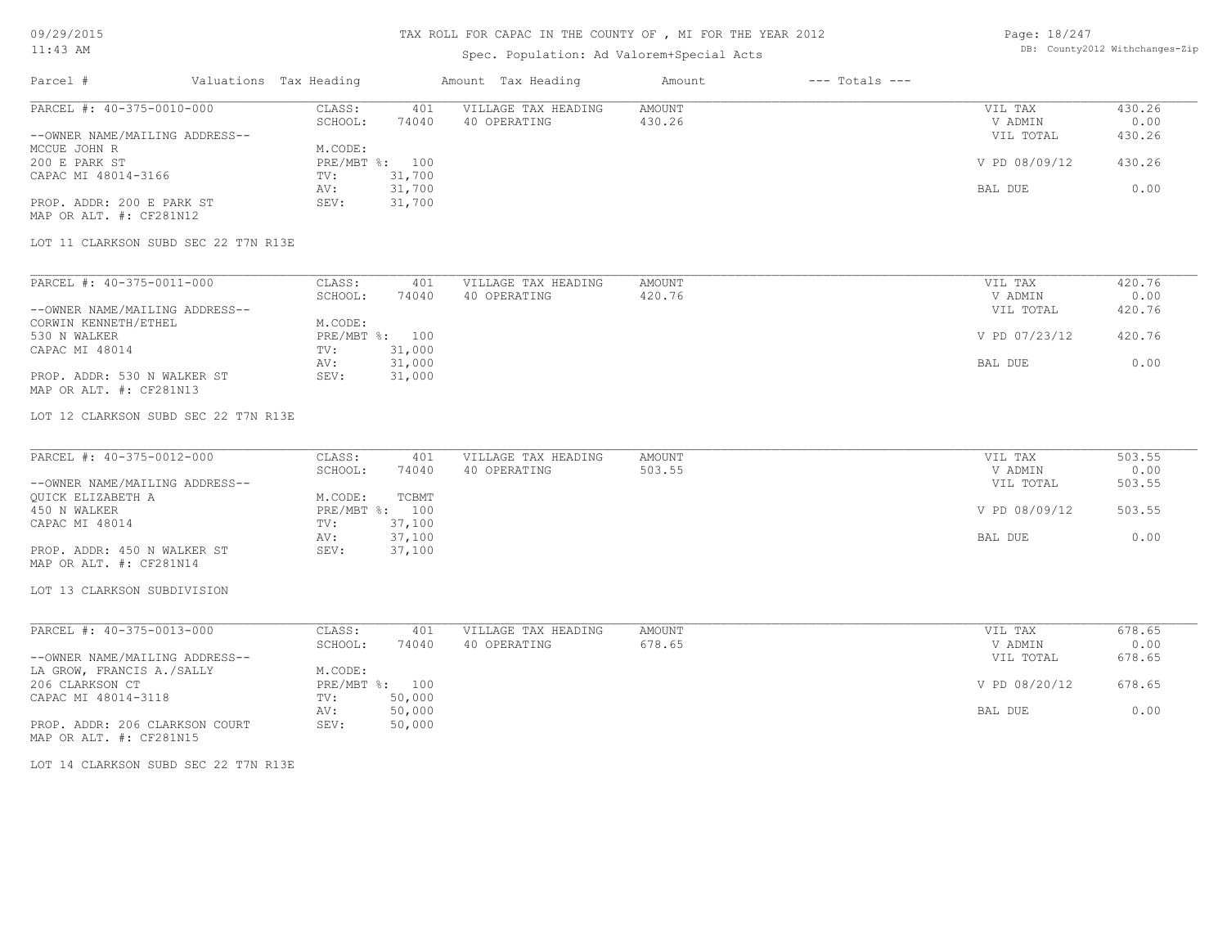## TAX ROLL FOR CAPAC IN THE COUNTY OF , MI FOR THE YEAR 2012

# Spec. Population: Ad Valorem+Special Acts

Page: 18/247 DB: County2012 Withchanges-Zip

| Parcel #                       | Valuations Tax Heading |        | Amount Tax Heading  | Amount | $---$ Totals $---$ |               |        |
|--------------------------------|------------------------|--------|---------------------|--------|--------------------|---------------|--------|
| PARCEL #: 40-375-0010-000      | CLASS:                 | 401    | VILLAGE TAX HEADING | AMOUNT |                    | VIL TAX       | 430.26 |
|                                | SCHOOL:                | 74040  | 40 OPERATING        | 430.26 |                    | V ADMIN       | 0.00   |
| --OWNER NAME/MAILING ADDRESS-- |                        |        |                     |        |                    | VIL TOTAL     | 430.26 |
| MCCUE JOHN R                   | M.CODE:                |        |                     |        |                    |               |        |
| 200 E PARK ST                  | PRE/MBT %: 100         |        |                     |        |                    | V PD 08/09/12 | 430.26 |
| CAPAC MI 48014-3166            | TV:                    | 31,700 |                     |        |                    |               |        |
|                                | AV:                    | 31,700 |                     |        |                    | BAL DUE       | 0.00   |
| PROP. ADDR: 200 E PARK ST      | SEV:                   | 31,700 |                     |        |                    |               |        |
| MAP OR ALT. #: CF281N12        |                        |        |                     |        |                    |               |        |

LOT 11 CLARKSON SUBD SEC 22 T7N R13E

| PARCEL #: 40-375-0011-000      | CLASS:  | 401            | VILLAGE TAX HEADING | AMOUNT | VIL TAX       | 420.76 |
|--------------------------------|---------|----------------|---------------------|--------|---------------|--------|
|                                | SCHOOL: | 74040          | 40 OPERATING        | 420.76 | V ADMIN       | 0.00   |
| --OWNER NAME/MAILING ADDRESS-- |         |                |                     |        | VIL TOTAL     | 420.76 |
| CORWIN KENNETH/ETHEL           | M.CODE: |                |                     |        |               |        |
| 530 N WALKER                   |         | PRE/MBT %: 100 |                     |        | V PD 07/23/12 | 420.76 |
| CAPAC MI 48014                 | TV:     | 31,000         |                     |        |               |        |
|                                | AV:     | 31,000         |                     |        | BAL DUE       | 0.00   |
| PROP. ADDR: 530 N WALKER ST    | SEV:    | 31,000         |                     |        |               |        |
| MAP OR ALT. #: CF281N13        |         |                |                     |        |               |        |

LOT 12 CLARKSON SUBD SEC 22 T7N R13E

| PARCEL #: 40-375-0012-000      | CLASS:  | 401            | VILLAGE TAX HEADING | AMOUNT | VIL TAX       | 503.55 |
|--------------------------------|---------|----------------|---------------------|--------|---------------|--------|
|                                | SCHOOL: | 74040          | 40 OPERATING        | 503.55 | V ADMIN       | 0.00   |
| --OWNER NAME/MAILING ADDRESS-- |         |                |                     |        | VIL TOTAL     | 503.55 |
| QUICK ELIZABETH A              | M.CODE: | TCBMT          |                     |        |               |        |
| 450 N WALKER                   |         | PRE/MBT %: 100 |                     |        | V PD 08/09/12 | 503.55 |
| CAPAC MI 48014                 | TV:     | 37,100         |                     |        |               |        |
|                                | AV:     | 37,100         |                     |        | BAL DUE       | 0.00   |
| PROP. ADDR: 450 N WALKER ST    | SEV:    | 37,100         |                     |        |               |        |
| MAP OR ALT. #: CF281N14        |         |                |                     |        |               |        |

LOT 13 CLARKSON SUBDIVISION

| PARCEL #: 40-375-0013-000      | CLASS:  | 401            | VILLAGE TAX HEADING | AMOUNT | VIL TAX       | 678.65 |
|--------------------------------|---------|----------------|---------------------|--------|---------------|--------|
|                                | SCHOOL: | 74040          | 40 OPERATING        | 678.65 | V ADMIN       | 0.00   |
| --OWNER NAME/MAILING ADDRESS-- |         |                |                     |        | VIL TOTAL     | 678.65 |
| LA GROW, FRANCIS A./SALLY      | M.CODE: |                |                     |        |               |        |
| 206 CLARKSON CT                |         | PRE/MBT %: 100 |                     |        | V PD 08/20/12 | 678.65 |
| CAPAC MI 48014-3118            | TV:     | 50,000         |                     |        |               |        |
|                                | AV:     | 50,000         |                     |        | BAL DUE       | 0.00   |
| PROP. ADDR: 206 CLARKSON COURT | SEV:    | 50,000         |                     |        |               |        |
| MAP OR ALT. #: CF281N15        |         |                |                     |        |               |        |

LOT 14 CLARKSON SUBD SEC 22 T7N R13E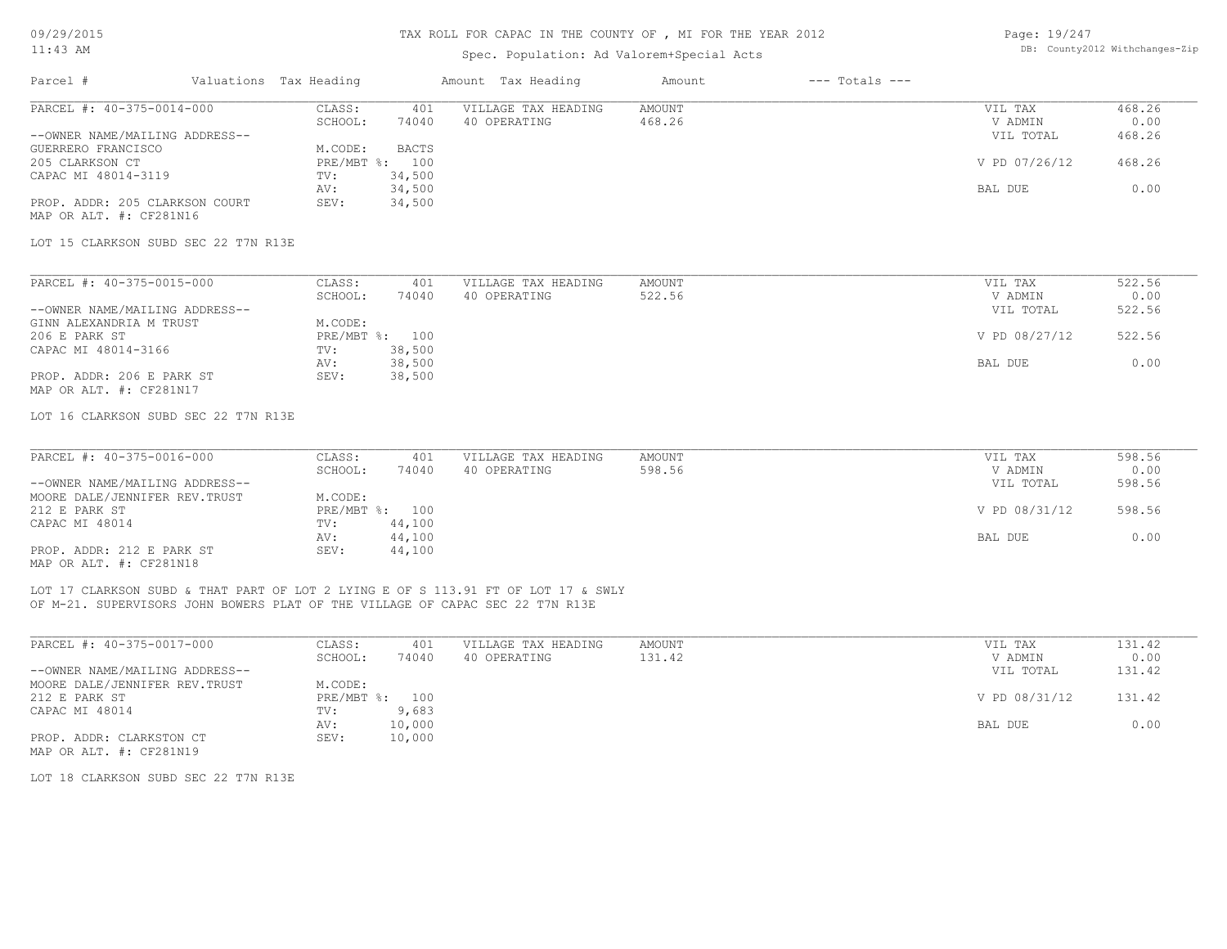### Spec. Population: Ad Valorem+Special Acts

| Page: 19/247 |                                |
|--------------|--------------------------------|
|              | DB: County2012 Withchanges-Zip |

| Parcel #                       | Valuations Tax Heading |                | Amount Tax Heading  | Amount | $---$ Totals $---$ |               |        |
|--------------------------------|------------------------|----------------|---------------------|--------|--------------------|---------------|--------|
| PARCEL #: 40-375-0014-000      | CLASS:                 | 401            | VILLAGE TAX HEADING | AMOUNT |                    | VIL TAX       | 468.26 |
|                                | SCHOOL:                | 74040          | 40 OPERATING        | 468.26 |                    | V ADMIN       | 0.00   |
| --OWNER NAME/MAILING ADDRESS-- |                        |                |                     |        |                    | VIL TOTAL     | 468.26 |
| GUERRERO FRANCISCO             | M.CODE:                | BACTS          |                     |        |                    |               |        |
| 205 CLARKSON CT                |                        | PRE/MBT %: 100 |                     |        |                    | V PD 07/26/12 | 468.26 |
| CAPAC MI 48014-3119            | TV:                    | 34,500         |                     |        |                    |               |        |
|                                | AV:                    | 34,500         |                     |        |                    | BAL DUE       | 0.00   |
| PROP. ADDR: 205 CLARKSON COURT | SEV:                   | 34,500         |                     |        |                    |               |        |
| MAP OR ALT. #: CF281N16        |                        |                |                     |        |                    |               |        |
|                                |                        |                |                     |        |                    |               |        |

LOT 15 CLARKSON SUBD SEC 22 T7N R13E

| PARCEL #: 40-375-0015-000      | CLASS:  | 401            | VILLAGE TAX HEADING | AMOUNT | VIL TAX       | 522.56 |
|--------------------------------|---------|----------------|---------------------|--------|---------------|--------|
|                                | SCHOOL: | 74040          | 40 OPERATING        | 522.56 | V ADMIN       | 0.00   |
| --OWNER NAME/MAILING ADDRESS-- |         |                |                     |        | VIL TOTAL     | 522.56 |
| GINN ALEXANDRIA M TRUST        | M.CODE: |                |                     |        |               |        |
| 206 E PARK ST                  |         | PRE/MBT %: 100 |                     |        | V PD 08/27/12 | 522.56 |
| CAPAC MI 48014-3166            | TV:     | 38,500         |                     |        |               |        |
|                                | AV:     | 38,500         |                     |        | BAL DUE       | 0.00   |
| PROP. ADDR: 206 E PARK ST      | SEV:    | 38,500         |                     |        |               |        |
| MAP OR ALT. #: CF281N17        |         |                |                     |        |               |        |

LOT 16 CLARKSON SUBD SEC 22 T7N R13E

| PARCEL #: 40-375-0016-000      | CLASS:  | 401            | VILLAGE TAX HEADING | AMOUNT | VIL TAX       | 598.56 |
|--------------------------------|---------|----------------|---------------------|--------|---------------|--------|
|                                | SCHOOL: | 74040          | 40 OPERATING        | 598.56 | V ADMIN       | 0.00   |
| --OWNER NAME/MAILING ADDRESS-- |         |                |                     |        | VIL TOTAL     | 598.56 |
| MOORE DALE/JENNIFER REV.TRUST  | M.CODE: |                |                     |        |               |        |
| 212 E PARK ST                  |         | PRE/MBT %: 100 |                     |        | V PD 08/31/12 | 598.56 |
| CAPAC MI 48014                 | TV:     | 44,100         |                     |        |               |        |
|                                | AV:     | 44,100         |                     |        | BAL DUE       | 0.00   |
| PROP. ADDR: 212 E PARK ST      | SEV:    | 44,100         |                     |        |               |        |
| MAP OR ALT. #: CF281N18        |         |                |                     |        |               |        |

OF M-21. SUPERVISORS JOHN BOWERS PLAT OF THE VILLAGE OF CAPAC SEC 22 T7N R13E LOT 17 CLARKSON SUBD & THAT PART OF LOT 2 LYING E OF S 113.91 FT OF LOT 17 & SWLY

| PARCEL #: 40-375-0017-000      | CLASS:  | 401            | VILLAGE TAX HEADING | AMOUNT | VIL TAX       | 131.42 |
|--------------------------------|---------|----------------|---------------------|--------|---------------|--------|
|                                | SCHOOL: | 74040          | 40 OPERATING        | 131.42 | V ADMIN       | 0.00   |
| --OWNER NAME/MAILING ADDRESS-- |         |                |                     |        | VIL TOTAL     | 131.42 |
| MOORE DALE/JENNIFER REV.TRUST  | M.CODE: |                |                     |        |               |        |
| 212 E PARK ST                  |         | PRE/MBT %: 100 |                     |        | V PD 08/31/12 | 131.42 |
| CAPAC MI 48014                 | TV:     | 9,683          |                     |        |               |        |
|                                | AV:     | 10,000         |                     |        | BAL DUE       | 0.00   |
| PROP. ADDR: CLARKSTON CT       | SEV:    | 10,000         |                     |        |               |        |
| MAP OR ALT. #: CF281N19        |         |                |                     |        |               |        |

LOT 18 CLARKSON SUBD SEC 22 T7N R13E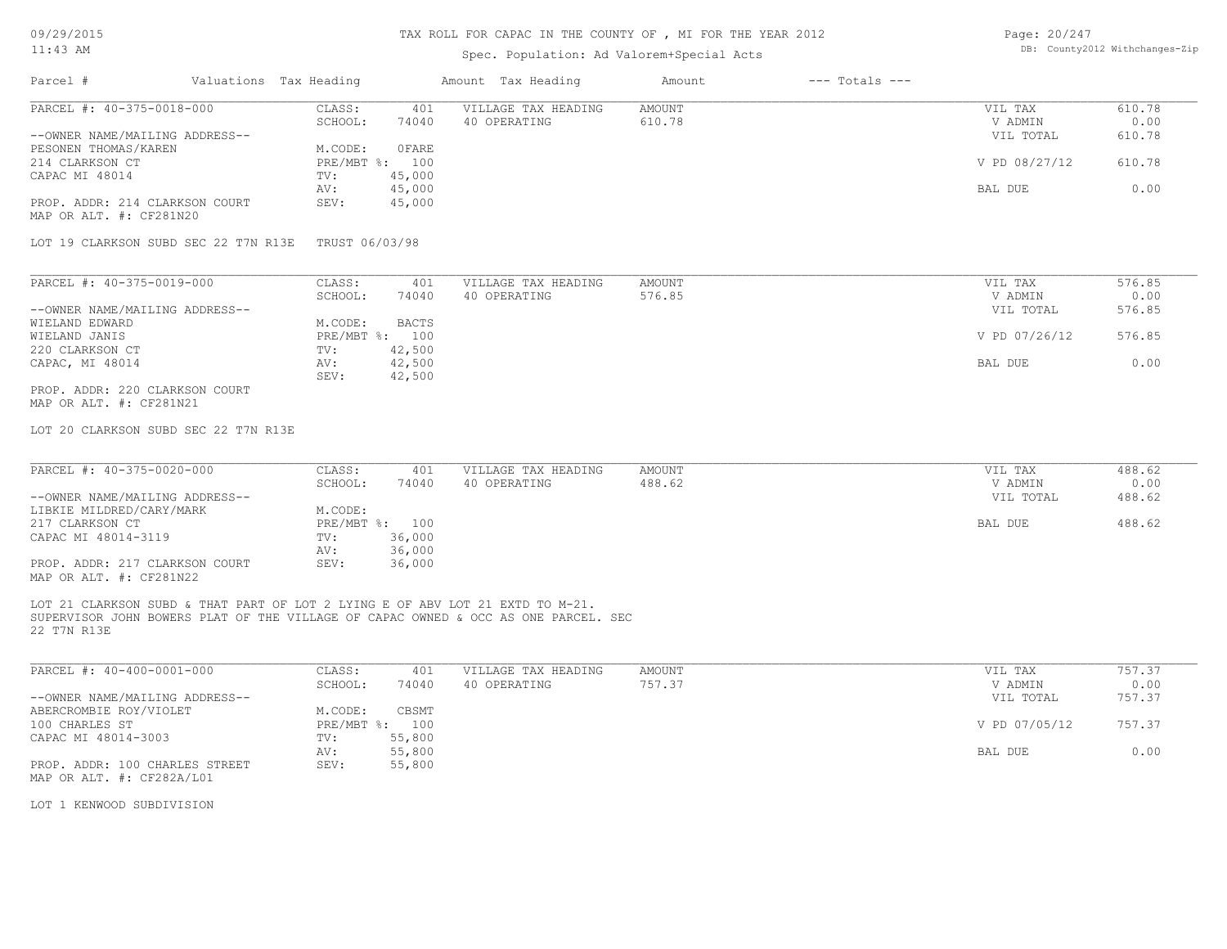# Spec. Population: Ad Valorem+Special Acts

| Page: 20/247 |                                |
|--------------|--------------------------------|
|              | DB: County2012 Withchanges-Zip |

| Parcel #                                                                           | Valuations Tax Heading  | Amount Tax Heading  | Amount        | $---$ Totals $---$ |        |
|------------------------------------------------------------------------------------|-------------------------|---------------------|---------------|--------------------|--------|
| PARCEL #: 40-375-0018-000                                                          | CLASS:<br>401           | VILLAGE TAX HEADING | AMOUNT        | VIL TAX            | 610.78 |
|                                                                                    | SCHOOL:<br>74040        | 40 OPERATING        | 610.78        | V ADMIN            | 0.00   |
| --OWNER NAME/MAILING ADDRESS--                                                     |                         |                     |               | VIL TOTAL          | 610.78 |
| PESONEN THOMAS/KAREN                                                               | OFARE<br>M.CODE:        |                     |               |                    |        |
| 214 CLARKSON CT                                                                    | PRE/MBT %: 100          |                     |               | V PD 08/27/12      | 610.78 |
| CAPAC MI 48014                                                                     | 45,000<br>TV:           |                     |               |                    |        |
|                                                                                    | 45,000<br>AV:           |                     |               | BAL DUE            | 0.00   |
| PROP. ADDR: 214 CLARKSON COURT                                                     | SEV:<br>45,000          |                     |               |                    |        |
| MAP OR ALT. #: CF281N20                                                            |                         |                     |               |                    |        |
| LOT 19 CLARKSON SUBD SEC 22 T7N R13E TRUST 06/03/98                                |                         |                     |               |                    |        |
| PARCEL #: 40-375-0019-000                                                          | CLASS:<br>401           | VILLAGE TAX HEADING | <b>AMOUNT</b> | VIL TAX            | 576.85 |
|                                                                                    | SCHOOL:<br>74040        | 40 OPERATING        | 576.85        | V ADMIN            | 0.00   |
| --OWNER NAME/MAILING ADDRESS--                                                     |                         |                     |               | VIL TOTAL          | 576.85 |
| WIELAND EDWARD                                                                     | <b>BACTS</b><br>M.CODE: |                     |               |                    |        |
| WIELAND JANIS                                                                      | PRE/MBT %: 100          |                     |               | V PD 07/26/12      | 576.85 |
| 220 CLARKSON CT                                                                    | 42,500<br>TV:           |                     |               |                    |        |
| CAPAC, MI 48014                                                                    | 42,500<br>AV:           |                     |               | BAL DUE            | 0.00   |
|                                                                                    | 42,500<br>SEV:          |                     |               |                    |        |
| PROP. ADDR: 220 CLARKSON COURT                                                     |                         |                     |               |                    |        |
| MAP OR ALT. #: CF281N21                                                            |                         |                     |               |                    |        |
|                                                                                    |                         |                     |               |                    |        |
| LOT 20 CLARKSON SUBD SEC 22 T7N R13E                                               |                         |                     |               |                    |        |
|                                                                                    |                         |                     |               |                    |        |
|                                                                                    |                         |                     |               |                    |        |
| PARCEL #: 40-375-0020-000                                                          | CLASS:<br>401           | VILLAGE TAX HEADING | <b>AMOUNT</b> | VIL TAX            | 488.62 |
|                                                                                    | SCHOOL:<br>74040        | 40 OPERATING        | 488.62        | V ADMIN            | 0.00   |
| --OWNER NAME/MAILING ADDRESS--                                                     |                         |                     |               | VIL TOTAL          | 488.62 |
| LIBKIE MILDRED/CARY/MARK                                                           | M.CODE:                 |                     |               |                    |        |
| 217 CLARKSON CT                                                                    | PRE/MBT %: 100          |                     |               | BAL DUE            | 488.62 |
| CAPAC MI 48014-3119                                                                | 36,000<br>TV:           |                     |               |                    |        |
|                                                                                    | 36,000<br>AV:           |                     |               |                    |        |
| PROP. ADDR: 217 CLARKSON COURT<br>MAP OR ALT. #: CF281N22                          | SEV:<br>36,000          |                     |               |                    |        |
|                                                                                    |                         |                     |               |                    |        |
| LOT 21 CLARKSON SUBD & THAT PART OF LOT 2 LYING E OF ABV LOT 21 EXTD TO M-21.      |                         |                     |               |                    |        |
| SUPERVISOR JOHN BOWERS PLAT OF THE VILLAGE OF CAPAC OWNED & OCC AS ONE PARCEL. SEC |                         |                     |               |                    |        |
| 22 T7N R13E                                                                        |                         |                     |               |                    |        |
|                                                                                    |                         |                     |               |                    |        |
|                                                                                    |                         |                     |               |                    |        |
| PARCEL #: 40-400-0001-000                                                          | CLASS:<br>401           | VILLAGE TAX HEADING | <b>AMOUNT</b> | VIL TAX            | 757.37 |
|                                                                                    | SCHOOL:<br>74040        | 40 OPERATING        | 757.37        | V ADMIN            | 0.00   |
| --OWNER NAME/MAILING ADDRESS--                                                     |                         |                     |               | VIL TOTAL          | 757.37 |
| ABERCROMBIE ROY/VIOLET                                                             | M.CODE:<br>CBSMT        |                     |               |                    |        |
| 100 CHARLES ST                                                                     | PRE/MBT %: 100          |                     |               | V PD 07/05/12      | 757.37 |
| CAPAC MI 48014-3003                                                                | 55,800<br>TV:           |                     |               |                    |        |
|                                                                                    |                         |                     |               | BAL DUE            | 0.00   |
|                                                                                    | 55,800<br>AV:           |                     |               |                    |        |
| PROP. ADDR: 100 CHARLES STREET                                                     | SEV:<br>55,800          |                     |               |                    |        |
| MAP OR ALT. #: CF282A/L01                                                          |                         |                     |               |                    |        |

LOT 1 KENWOOD SUBDIVISION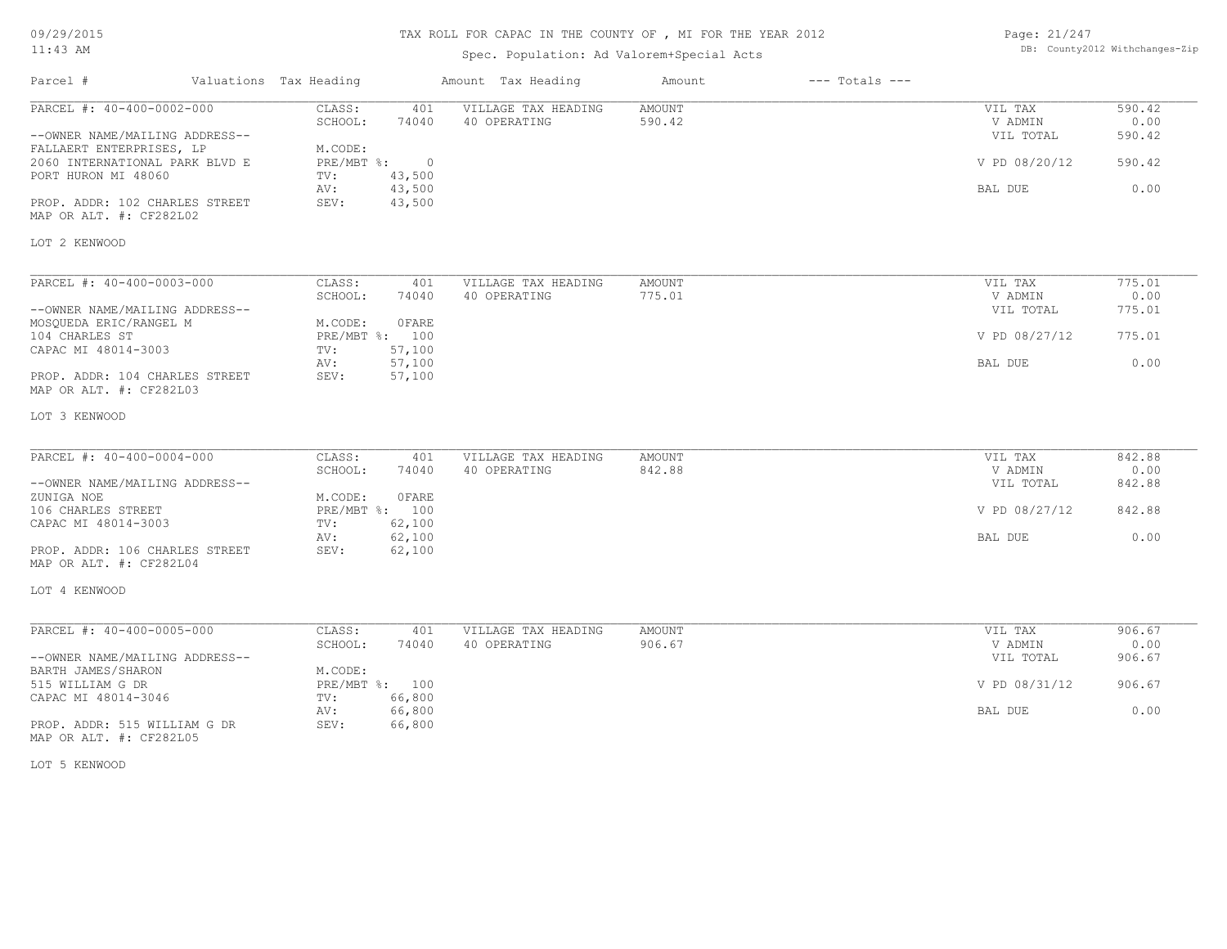## TAX ROLL FOR CAPAC IN THE COUNTY OF , MI FOR THE YEAR 2012

## Spec. Population: Ad Valorem+Special Acts

| Page: 21/247 |                                |
|--------------|--------------------------------|
|              | DB: County2012 Withchanges-Zip |

| PARCEL #: 40-400-0002-000<br>CLASS:<br>VILLAGE TAX HEADING<br><b>AMOUNT</b><br>401<br>VIL TAX<br>SCHOOL:<br>74040<br>590.42<br>40 OPERATING<br>V ADMIN<br>--OWNER NAME/MAILING ADDRESS--<br>VIL TOTAL | 590.42<br>0.00<br>590.42 |
|-------------------------------------------------------------------------------------------------------------------------------------------------------------------------------------------------------|--------------------------|
| FALLAERT ENTERPRISES, LP<br>M.CODE:<br>2060 INTERNATIONAL PARK BLVD E<br>PRE/MBT %:<br>$\circ$<br>V PD 08/20/12<br>PORT HURON MI 48060<br>43,500<br>TV:                                               | 590.42                   |
| 43,500<br>BAL DUE<br>AV:<br>PROP. ADDR: 102 CHARLES STREET<br>SEV:<br>43,500                                                                                                                          | 0.00                     |
| MAP OR ALT. #: CF282L02                                                                                                                                                                               |                          |
| LOT 2 KENWOOD                                                                                                                                                                                         |                          |
| PARCEL #: 40-400-0003-000<br>CLASS:<br>401<br>VILLAGE TAX HEADING<br>AMOUNT<br>VIL TAX                                                                                                                | 775.01                   |
| SCHOOL:<br>40 OPERATING<br>775.01<br>V ADMIN<br>74040<br>--OWNER NAME/MAILING ADDRESS--<br>VIL TOTAL<br>M.CODE:<br>OFARE<br>MOSQUEDA ERIC/RANGEL M                                                    | 0.00<br>775.01           |
| PRE/MBT %: 100<br>104 CHARLES ST<br>V PD 08/27/12<br>CAPAC MI 48014-3003<br>57,100<br>TV:                                                                                                             | 775.01                   |
| 57,100<br>BAL DUE<br>AV:<br>PROP. ADDR: 104 CHARLES STREET<br>SEV:<br>57,100<br>MAP OR ALT. #: CF282L03                                                                                               | 0.00                     |
| LOT 3 KENWOOD                                                                                                                                                                                         |                          |
| PARCEL #: 40-400-0004-000<br>CLASS:<br>VILLAGE TAX HEADING<br><b>AMOUNT</b><br>VIL TAX<br>401                                                                                                         | 842.88                   |
| 842.88<br>SCHOOL:<br>74040<br>40 OPERATING<br>V ADMIN<br>--OWNER NAME/MAILING ADDRESS--<br>VIL TOTAL<br>0FARE<br>ZUNIGA NOE<br>M.CODE:                                                                | 0.00<br>842.88           |
| 106 CHARLES STREET<br>PRE/MBT %: 100<br>V PD 08/27/12<br>CAPAC MI 48014-3003<br>62,100<br>TV:                                                                                                         | 842.88                   |
| 62,100<br>BAL DUE<br>AV:<br>PROP. ADDR: 106 CHARLES STREET<br>62,100<br>SEV:<br>MAP OR ALT. #: CF282L04                                                                                               | 0.00                     |
| LOT 4 KENWOOD                                                                                                                                                                                         |                          |
| PARCEL #: 40-400-0005-000<br>CLASS:<br>401<br>VILLAGE TAX HEADING<br><b>AMOUNT</b><br>VIL TAX                                                                                                         | 906.67                   |
| 906.67<br>SCHOOL:<br>74040<br>40 OPERATING<br>V ADMIN<br>--OWNER NAME/MAILING ADDRESS--<br>VIL TOTAL                                                                                                  | 0.00<br>906.67           |
| M.CODE:<br>BARTH JAMES/SHARON<br>515 WILLIAM G DR<br>PRE/MBT %: 100<br>V PD 08/31/12                                                                                                                  | 906.67                   |
| 66,800<br>CAPAC MI 48014-3046<br>TV:<br>66,800<br>BAL DUE<br>AV:                                                                                                                                      | 0.00                     |
| SEV:<br>66,800<br>PROP. ADDR: 515 WILLIAM G DR<br>MAP OR ALT. #: CF282L05                                                                                                                             |                          |

LOT 5 KENWOOD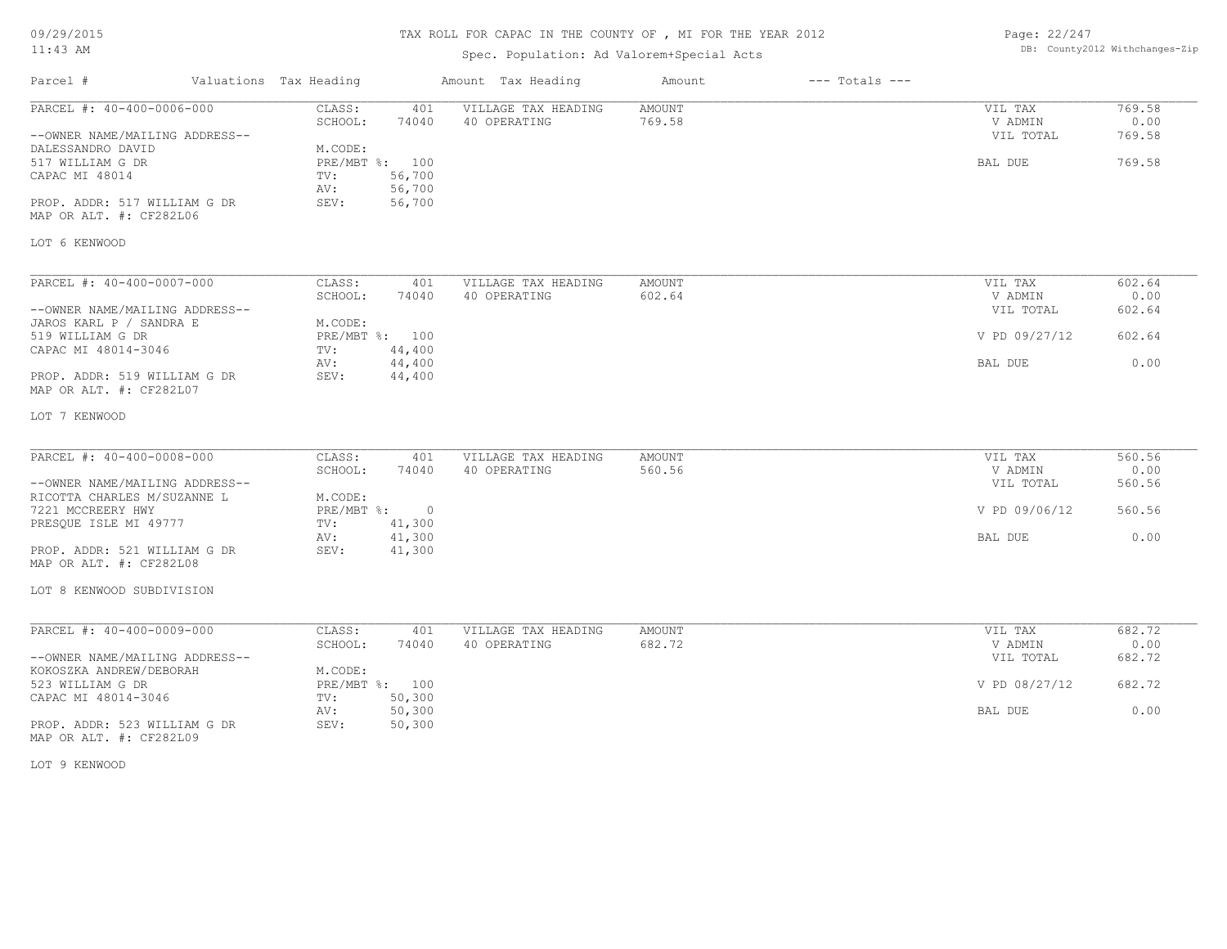## TAX ROLL FOR CAPAC IN THE COUNTY OF , MI FOR THE YEAR 2012

## Spec. Population: Ad Valorem+Special Acts

Page: 22/247 DB: County2012 Withchanges-Zip

| Parcel #                                                                                                                                                                                     | Valuations Tax Heading                             |                                                              | Amount Tax Heading                  | Amount                  | $---$ Totals $---$ |                                                             |                                            |
|----------------------------------------------------------------------------------------------------------------------------------------------------------------------------------------------|----------------------------------------------------|--------------------------------------------------------------|-------------------------------------|-------------------------|--------------------|-------------------------------------------------------------|--------------------------------------------|
| PARCEL #: 40-400-0006-000<br>--OWNER NAME/MAILING ADDRESS--<br>DALESSANDRO DAVID<br>517 WILLIAM G DR<br>CAPAC MI 48014<br>PROP. ADDR: 517 WILLIAM G DR<br>MAP OR ALT. #: CF282L06            | CLASS:<br>SCHOOL:<br>M.CODE:<br>TV:<br>AV:<br>SEV: | 401<br>74040<br>PRE/MBT %: 100<br>56,700<br>56,700<br>56,700 | VILLAGE TAX HEADING<br>40 OPERATING | AMOUNT<br>769.58        |                    | VIL TAX<br>V ADMIN<br>VIL TOTAL<br>BAL DUE                  | 769.58<br>0.00<br>769.58<br>769.58         |
| LOT 6 KENWOOD                                                                                                                                                                                |                                                    |                                                              |                                     |                         |                    |                                                             |                                            |
| PARCEL #: 40-400-0007-000<br>--OWNER NAME/MAILING ADDRESS--<br>JAROS KARL P / SANDRA E<br>519 WILLIAM G DR<br>CAPAC MI 48014-3046<br>PROP. ADDR: 519 WILLIAM G DR<br>MAP OR ALT. #: CF282L07 | CLASS:<br>SCHOOL:<br>M.CODE:<br>TV:<br>AV:<br>SEV: | 401<br>74040<br>PRE/MBT %: 100<br>44,400<br>44,400<br>44,400 | VILLAGE TAX HEADING<br>40 OPERATING | AMOUNT<br>602.64        |                    | VIL TAX<br>V ADMIN<br>VIL TOTAL<br>V PD 09/27/12<br>BAL DUE | 602.64<br>0.00<br>602.64<br>602.64<br>0.00 |
| LOT 7 KENWOOD                                                                                                                                                                                |                                                    |                                                              |                                     |                         |                    |                                                             |                                            |
| PARCEL #: 40-400-0008-000<br>--OWNER NAME/MAILING ADDRESS--<br>RICOTTA CHARLES M/SUZANNE L<br>7221 MCCREERY HWY                                                                              | CLASS:<br>SCHOOL:<br>M.CODE:                       | 401<br>74040<br>PRE/MBT %: 0                                 | VILLAGE TAX HEADING<br>40 OPERATING | <b>AMOUNT</b><br>560.56 |                    | VIL TAX<br>V ADMIN<br>VIL TOTAL<br>V PD 09/06/12            | 560.56<br>0.00<br>560.56<br>560.56         |
| PRESQUE ISLE MI 49777<br>PROP. ADDR: 521 WILLIAM G DR<br>MAP OR ALT. #: CF282L08                                                                                                             | TV:<br>AV:<br>SEV:                                 | 41,300<br>41,300<br>41,300                                   |                                     |                         |                    | BAL DUE                                                     | 0.00                                       |
| LOT 8 KENWOOD SUBDIVISION                                                                                                                                                                    |                                                    |                                                              |                                     |                         |                    |                                                             |                                            |
| PARCEL #: 40-400-0009-000<br>--OWNER NAME/MAILING ADDRESS--                                                                                                                                  | CLASS:<br>SCHOOL:                                  | 401<br>74040                                                 | VILLAGE TAX HEADING<br>40 OPERATING | AMOUNT<br>682.72        |                    | VIL TAX<br>V ADMIN<br>VIL TOTAL                             | 682.72<br>0.00<br>682.72                   |
| KOKOSZKA ANDREW/DEBORAH<br>523 WILLIAM G DR<br>CAPAC MI 48014-3046                                                                                                                           | M.CODE:<br>TV:                                     | PRE/MBT %: 100<br>50,300                                     |                                     |                         |                    | V PD 08/27/12                                               | 682.72                                     |
| PROP. ADDR: 523 WILLIAM G DR<br>MAP OR ALT. #: CF282L09                                                                                                                                      | AV:<br>SEV:                                        | 50,300<br>50,300                                             |                                     |                         |                    | BAL DUE                                                     | 0.00                                       |

LOT 9 KENWOOD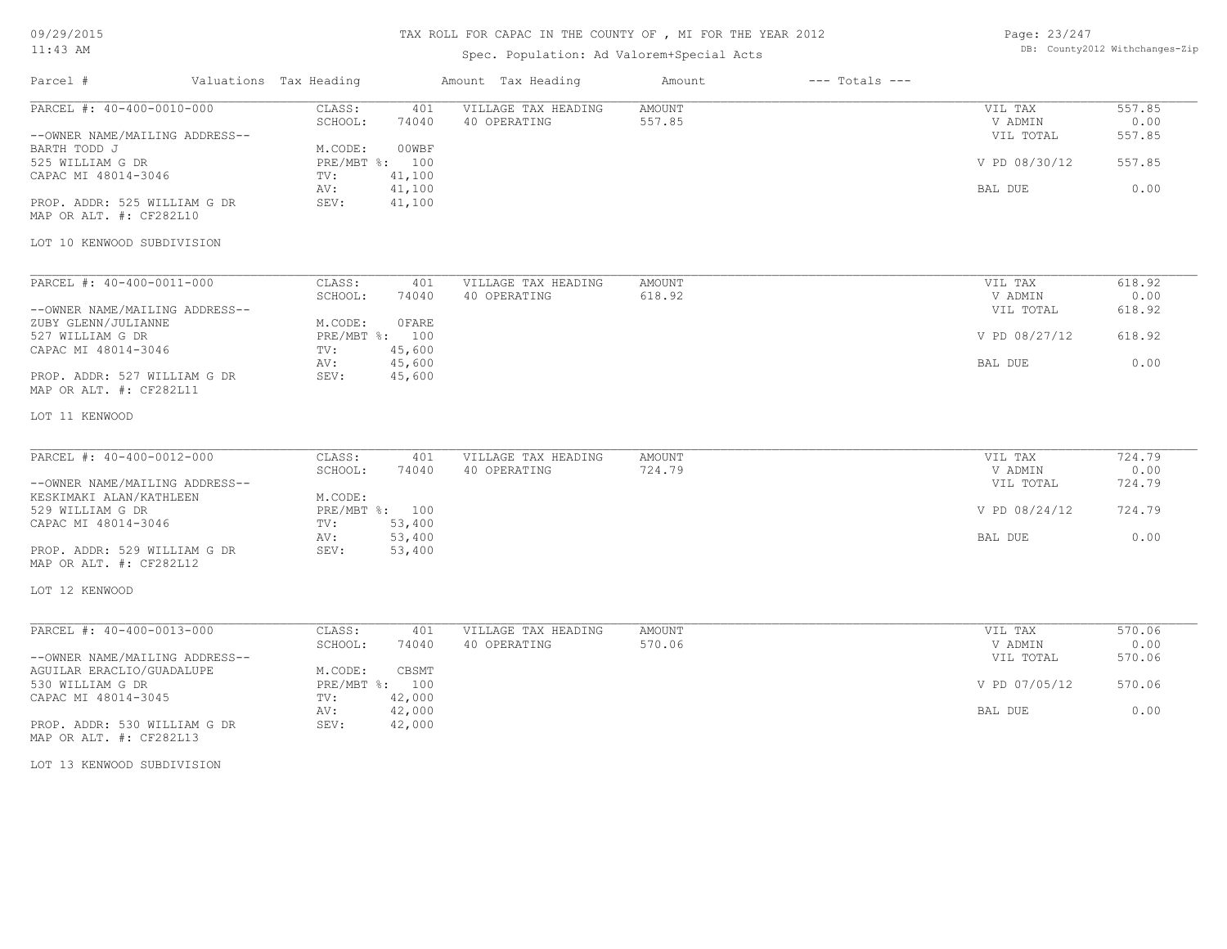09/29/2015

# 11:43 AM

# TAX ROLL FOR CAPAC IN THE COUNTY OF , MI FOR THE YEAR 2012

# Spec. Population: Ad Valorem+Special Acts

| Page: 23/247 |                                |
|--------------|--------------------------------|
|              | DB: County2012 Withchanges-Zip |

| Parcel #                                                           | Valuations Tax Heading |                                                  | Amount Tax Heading                                  | Amount           | $---$ Totals $---$ |                                 |                          |
|--------------------------------------------------------------------|------------------------|--------------------------------------------------|-----------------------------------------------------|------------------|--------------------|---------------------------------|--------------------------|
| PARCEL #: 40-400-0010-000<br>--OWNER NAME/MAILING ADDRESS--        |                        | CLASS:<br>SCHOOL:                                | VILLAGE TAX HEADING<br>401<br>74040<br>40 OPERATING | AMOUNT<br>557.85 |                    | VIL TAX<br>V ADMIN<br>VIL TOTAL | 557.85<br>0.00<br>557.85 |
| BARTH TODD J<br>525 WILLIAM G DR                                   |                        | M.CODE:<br>PRE/MBT %: 100                        | 00WBF                                               |                  |                    | V PD 08/30/12                   | 557.85                   |
| CAPAC MI 48014-3046                                                |                        | 41,100<br>TV:<br>41,100<br>AV:                   |                                                     |                  |                    | BAL DUE                         | 0.00                     |
| PROP. ADDR: 525 WILLIAM G DR<br>MAP OR ALT. #: CF282L10            |                        | 41,100<br>SEV:                                   |                                                     |                  |                    |                                 |                          |
| LOT 10 KENWOOD SUBDIVISION                                         |                        |                                                  |                                                     |                  |                    |                                 |                          |
| PARCEL #: 40-400-0011-000                                          |                        | CLASS:                                           | 401<br>VILLAGE TAX HEADING                          | AMOUNT           |                    | VIL TAX                         | 618.92                   |
| --OWNER NAME/MAILING ADDRESS--                                     |                        | SCHOOL:                                          | 40 OPERATING<br>74040                               | 618.92           |                    | V ADMIN<br>VIL TOTAL            | 0.00<br>618.92           |
| ZUBY GLENN/JULIANNE<br>527 WILLIAM G DR                            |                        | M.CODE:<br>PRE/MBT %: 100                        | 0 FARE                                              |                  |                    | V PD 08/27/12                   | 618.92                   |
| CAPAC MI 48014-3046<br>PROP. ADDR: 527 WILLIAM G DR                |                        | 45,600<br>TV:<br>45,600<br>AV:<br>45,600<br>SEV: |                                                     |                  |                    | BAL DUE                         | 0.00                     |
| MAP OR ALT. #: CF282L11                                            |                        |                                                  |                                                     |                  |                    |                                 |                          |
| LOT 11 KENWOOD                                                     |                        |                                                  |                                                     |                  |                    |                                 |                          |
| PARCEL #: 40-400-0012-000                                          |                        | CLASS:                                           | VILLAGE TAX HEADING<br>401                          | AMOUNT           |                    | VIL TAX                         | 724.79                   |
| --OWNER NAME/MAILING ADDRESS--                                     |                        | SCHOOL:                                          | 74040<br>40 OPERATING                               | 724.79           |                    | V ADMIN<br>VIL TOTAL            | 0.00<br>724.79           |
| KESKIMAKI ALAN/KATHLEEN<br>529 WILLIAM G DR<br>CAPAC MI 48014-3046 |                        | M.CODE:<br>PRE/MBT %: 100<br>53,400<br>TV:       |                                                     |                  |                    | V PD 08/24/12                   | 724.79                   |
| PROP. ADDR: 529 WILLIAM G DR                                       |                        | 53,400<br>AV:<br>53,400<br>SEV:                  |                                                     |                  |                    | BAL DUE                         | 0.00                     |
| MAP OR ALT. #: CF282L12                                            |                        |                                                  |                                                     |                  |                    |                                 |                          |
| LOT 12 KENWOOD                                                     |                        |                                                  |                                                     |                  |                    |                                 |                          |
| PARCEL #: 40-400-0013-000                                          |                        | CLASS:                                           | VILLAGE TAX HEADING<br>401                          | <b>AMOUNT</b>    |                    | VIL TAX                         | 570.06                   |
| --OWNER NAME/MAILING ADDRESS--                                     |                        | SCHOOL:                                          | 40 OPERATING<br>74040                               | 570.06           |                    | V ADMIN<br>VIL TOTAL            | 0.00<br>570.06           |
| AGUILAR ERACLIO/GUADALUPE<br>530 WILLIAM G DR                      |                        | M.CODE:<br>PRE/MBT %: 100                        | CBSMT                                               |                  |                    | V PD 07/05/12                   | 570.06                   |
| CAPAC MI 48014-3045<br>PROP. ADDR: 530 WILLIAM G DR                |                        | 42,000<br>TV:<br>42,000<br>AV:<br>SEV:<br>42,000 |                                                     |                  |                    | BAL DUE                         | 0.00                     |
| MAP OR ALT. #: CF282L13                                            |                        |                                                  |                                                     |                  |                    |                                 |                          |
|                                                                    |                        |                                                  |                                                     |                  |                    |                                 |                          |

LOT 13 KENWOOD SUBDIVISION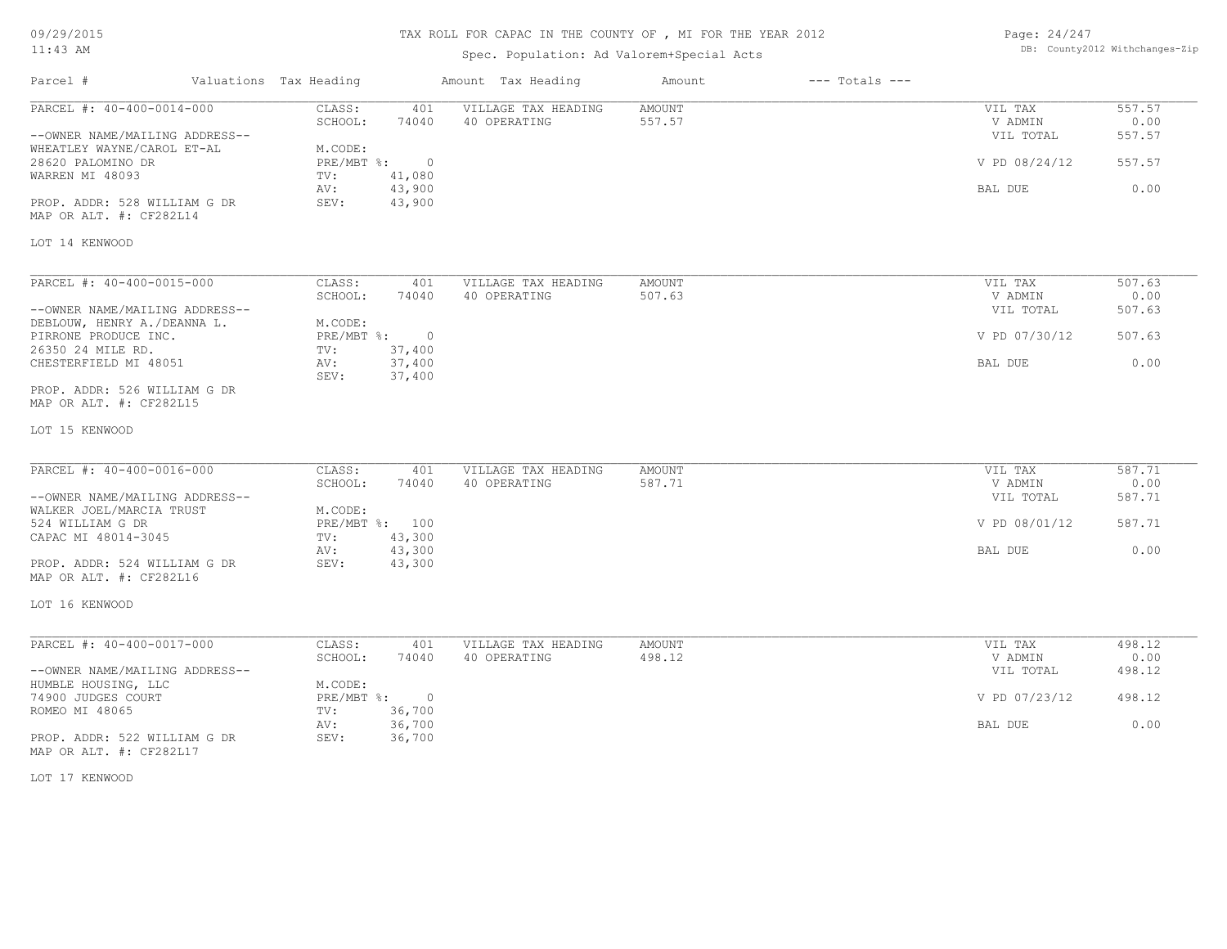# TAX ROLL FOR CAPAC IN THE COUNTY OF , MI FOR THE YEAR 2012

| Page: 24/247 |                                |
|--------------|--------------------------------|
|              | DB: County2012 Withchanges-Zip |

| Parcel #                                                                                                                          | Valuations Tax Heading                                     |                                             | Amount Tax Heading                  | Amount                  | $---$ Totals $---$ |                                                             |                                            |
|-----------------------------------------------------------------------------------------------------------------------------------|------------------------------------------------------------|---------------------------------------------|-------------------------------------|-------------------------|--------------------|-------------------------------------------------------------|--------------------------------------------|
| PARCEL #: 40-400-0014-000<br>--OWNER NAME/MAILING ADDRESS--<br>WHEATLEY WAYNE/CAROL ET-AL<br>28620 PALOMINO DR<br>WARREN MI 48093 | CLASS:<br>SCHOOL:<br>M.CODE:<br>$PRE/MBT$ %:<br>TV:<br>AV: | 401<br>74040<br>$\circ$<br>41,080<br>43,900 | VILLAGE TAX HEADING<br>40 OPERATING | <b>AMOUNT</b><br>557.57 |                    | VIL TAX<br>V ADMIN<br>VIL TOTAL<br>V PD 08/24/12<br>BAL DUE | 557.57<br>0.00<br>557.57<br>557.57<br>0.00 |
| PROP. ADDR: 528 WILLIAM G DR<br>MAP OR ALT. #: CF282L14<br>LOT 14 KENWOOD                                                         | SEV:                                                       | 43,900                                      |                                     |                         |                    |                                                             |                                            |
| PARCEL #: 40-400-0015-000                                                                                                         | CLASS:<br>SCHOOL:                                          | 401<br>74040                                | VILLAGE TAX HEADING<br>40 OPERATING | AMOUNT<br>507.63        |                    | VIL TAX<br>V ADMIN                                          | 507.63<br>0.00                             |
| --OWNER NAME/MAILING ADDRESS--<br>DEBLOUW, HENRY A./DEANNA L.                                                                     | M.CODE:                                                    |                                             |                                     |                         |                    | VIL TOTAL                                                   | 507.63                                     |
| PIRRONE PRODUCE INC.<br>26350 24 MILE RD.                                                                                         | PRE/MBT %: 0<br>TV:                                        | 37,400                                      |                                     |                         |                    | V PD 07/30/12                                               | 507.63                                     |
| CHESTERFIELD MI 48051                                                                                                             | AV:<br>SEV:                                                | 37,400<br>37,400                            |                                     |                         |                    | BAL DUE                                                     | 0.00                                       |
| PROP. ADDR: 526 WILLIAM G DR<br>MAP OR ALT. #: CF282L15                                                                           |                                                            |                                             |                                     |                         |                    |                                                             |                                            |
| LOT 15 KENWOOD                                                                                                                    |                                                            |                                             |                                     |                         |                    |                                                             |                                            |
| PARCEL #: 40-400-0016-000                                                                                                         | CLASS:                                                     | 401                                         | VILLAGE TAX HEADING                 | <b>AMOUNT</b>           |                    | VIL TAX                                                     | 587.71                                     |
| --OWNER NAME/MAILING ADDRESS--                                                                                                    | SCHOOL:                                                    | 74040                                       | 40 OPERATING                        | 587.71                  |                    | V ADMIN<br>VIL TOTAL                                        | 0.00<br>587.71                             |
| WALKER JOEL/MARCIA TRUST<br>524 WILLIAM G DR                                                                                      | M.CODE:<br>PRE/MBT %: 100                                  |                                             |                                     |                         |                    | V PD 08/01/12                                               | 587.71                                     |
| CAPAC MI 48014-3045                                                                                                               | TV:<br>AV:                                                 | 43,300<br>43,300                            |                                     |                         |                    | BAL DUE                                                     | 0.00                                       |
| PROP. ADDR: 524 WILLIAM G DR<br>MAP OR ALT. #: CF282L16                                                                           | SEV:                                                       | 43,300                                      |                                     |                         |                    |                                                             |                                            |
| LOT 16 KENWOOD                                                                                                                    |                                                            |                                             |                                     |                         |                    |                                                             |                                            |
| PARCEL #: 40-400-0017-000                                                                                                         | CLASS:                                                     | 401                                         | VILLAGE TAX HEADING                 | AMOUNT                  |                    | VIL TAX                                                     | 498.12                                     |
| --OWNER NAME/MAILING ADDRESS--                                                                                                    | SCHOOL:                                                    | 74040                                       | 40 OPERATING                        | 498.12                  |                    | V ADMIN<br>VIL TOTAL                                        | 0.00<br>498.12                             |
| HUMBLE HOUSING, LLC<br>74900 JUDGES COURT<br>ROMEO MI 48065                                                                       | M.CODE:<br>PRE/MBT %: 0<br>TV:                             | 36,700                                      |                                     |                         |                    | V PD 07/23/12                                               | 498.12                                     |
| PROP. ADDR: 522 WILLIAM G DR<br>MAP OR ALT. #: CF282L17                                                                           | AV:<br>SEV:                                                | 36,700<br>36,700                            |                                     |                         |                    | BAL DUE                                                     | 0.00                                       |
| LOT 17 KENWOOD                                                                                                                    |                                                            |                                             |                                     |                         |                    |                                                             |                                            |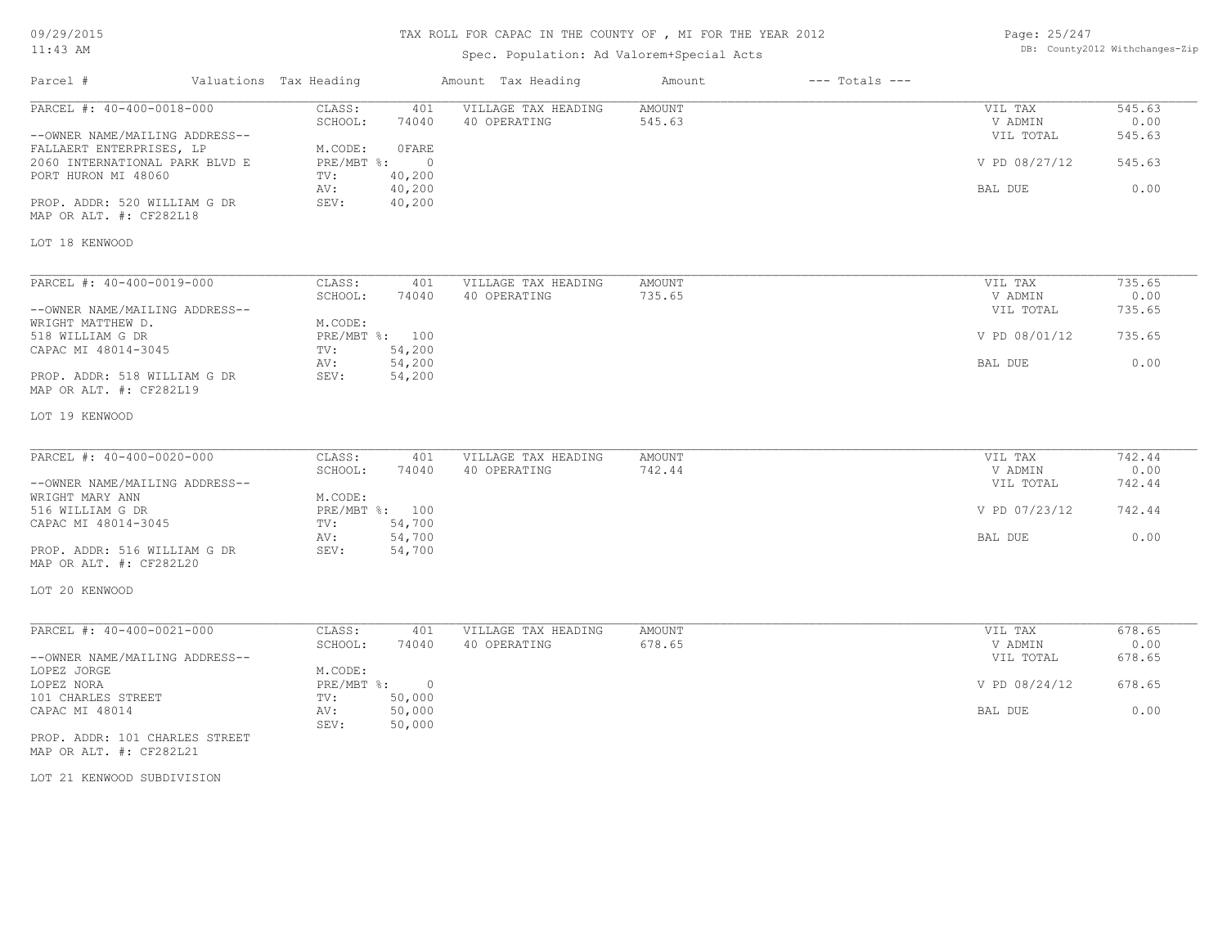# TAX ROLL FOR CAPAC IN THE COUNTY OF , MI FOR THE YEAR 2012

| Page: 25/247 |                                |
|--------------|--------------------------------|
|              | DB: County2012 Withchanges-Zip |

| Parcel #                                                     | Valuations Tax Heading |                            | Amount Tax Heading                  | Amount                  | $---$ Totals $---$ |                                 |                          |
|--------------------------------------------------------------|------------------------|----------------------------|-------------------------------------|-------------------------|--------------------|---------------------------------|--------------------------|
| PARCEL #: 40-400-0018-000<br>--OWNER NAME/MAILING ADDRESS--  | CLASS:<br>SCHOOL:      | 401<br>74040               | VILLAGE TAX HEADING<br>40 OPERATING | <b>AMOUNT</b><br>545.63 |                    | VIL TAX<br>V ADMIN<br>VIL TOTAL | 545.63<br>0.00<br>545.63 |
| FALLAERT ENTERPRISES, LP<br>2060 INTERNATIONAL PARK BLVD E   | M.CODE:                | OFARE<br>PRE/MBT %:        | $\overline{0}$                      |                         |                    | V PD 08/27/12                   | 545.63                   |
| PORT HURON MI 48060                                          | TV:<br>AV:             | 40,200<br>40,200           |                                     |                         |                    | BAL DUE                         | 0.00                     |
| PROP. ADDR: 520 WILLIAM G DR<br>MAP OR ALT. #: CF282L18      | SEV:                   | 40,200                     |                                     |                         |                    |                                 |                          |
| LOT 18 KENWOOD                                               |                        |                            |                                     |                         |                    |                                 |                          |
| PARCEL #: 40-400-0019-000                                    | CLASS:                 | 401                        | VILLAGE TAX HEADING                 | AMOUNT                  |                    | VIL TAX                         | 735.65                   |
| --OWNER NAME/MAILING ADDRESS--                               | SCHOOL:                | 74040                      | 40 OPERATING                        | 735.65                  |                    | V ADMIN<br>VIL TOTAL            | 0.00<br>735.65           |
| WRIGHT MATTHEW D.<br>518 WILLIAM G DR<br>CAPAC MI 48014-3045 | M.CODE:<br>TV:         | PRE/MBT %: 100<br>54,200   |                                     |                         |                    | V PD 08/01/12                   | 735.65                   |
|                                                              | AV:                    | 54,200                     |                                     |                         |                    | BAL DUE                         | 0.00                     |
| PROP. ADDR: 518 WILLIAM G DR<br>MAP OR ALT. #: CF282L19      | SEV:                   | 54,200                     |                                     |                         |                    |                                 |                          |
| LOT 19 KENWOOD                                               |                        |                            |                                     |                         |                    |                                 |                          |
| PARCEL #: 40-400-0020-000                                    | CLASS:                 | 401                        | VILLAGE TAX HEADING                 | <b>AMOUNT</b>           |                    | VIL TAX                         | 742.44                   |
| --OWNER NAME/MAILING ADDRESS--                               | SCHOOL:                | 74040                      | 40 OPERATING                        | 742.44                  |                    | V ADMIN<br>VIL TOTAL            | 0.00<br>742.44           |
| WRIGHT MARY ANN<br>516 WILLIAM G DR                          | M.CODE:                | PRE/MBT %: 100             |                                     |                         |                    | V PD 07/23/12                   | 742.44                   |
| CAPAC MI 48014-3045                                          | TV:<br>AV:             | 54,700<br>54,700           |                                     |                         |                    | BAL DUE                         | 0.00                     |
| PROP. ADDR: 516 WILLIAM G DR<br>MAP OR ALT. #: CF282L20      | SEV:                   | 54,700                     |                                     |                         |                    |                                 |                          |
| LOT 20 KENWOOD                                               |                        |                            |                                     |                         |                    |                                 |                          |
| PARCEL #: 40-400-0021-000                                    | CLASS:                 | 401                        | VILLAGE TAX HEADING                 | AMOUNT                  |                    | VIL TAX                         | 678.65                   |
| --OWNER NAME/MAILING ADDRESS--                               | SCHOOL:                | 74040                      | 40 OPERATING                        | 678.65                  |                    | V ADMIN<br>VIL TOTAL            | 0.00<br>678.65           |
| LOPEZ JORGE<br>LOPEZ NORA                                    | M.CODE:                | $PRE/MBT$ %:               | $\circ$                             |                         |                    | V PD 08/24/12                   | 678.65                   |
| 101 CHARLES STREET<br>CAPAC MI 48014                         | TV:<br>AV:<br>SEV:     | 50,000<br>50,000<br>50,000 |                                     |                         |                    | BAL DUE                         | 0.00                     |
| PROP. ADDR: 101 CHARLES STREET<br>MAP OR ALT. #: CF282L21    |                        |                            |                                     |                         |                    |                                 |                          |
| LOT 21 KENWOOD SUBDIVISION                                   |                        |                            |                                     |                         |                    |                                 |                          |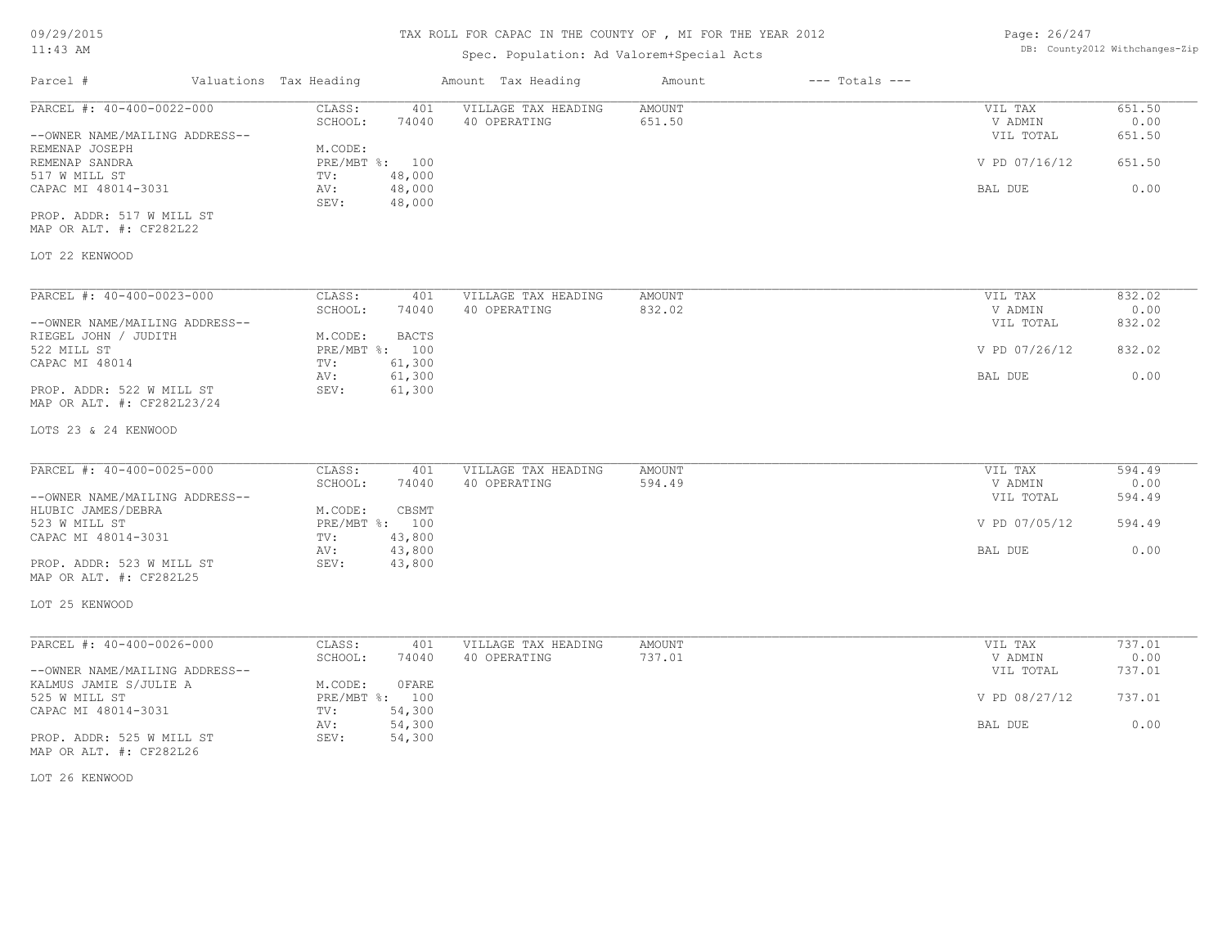09/29/2015

## 11:43 AM

#### TAX ROLL FOR CAPAC IN THE COUNTY OF , MI FOR THE YEAR 2012

| Page: 26/247 |                                |
|--------------|--------------------------------|
|              | DB: County2012 Withchanges-Zip |

| Parcel #                                                                                                                                                                                                          | Valuations Tax Heading |                                                                                                                                    | Amount Tax Heading                  | Amount                  | $---$ Totals $---$ |                                                             |                                            |
|-------------------------------------------------------------------------------------------------------------------------------------------------------------------------------------------------------------------|------------------------|------------------------------------------------------------------------------------------------------------------------------------|-------------------------------------|-------------------------|--------------------|-------------------------------------------------------------|--------------------------------------------|
| PARCEL #: 40-400-0022-000<br>--OWNER NAME/MAILING ADDRESS--<br>REMENAP JOSEPH<br>REMENAP SANDRA<br>517 W MILL ST<br>CAPAC MI 48014-3031<br>PROP. ADDR: 517 W MILL ST<br>MAP OR ALT. #: CF282L22<br>LOT 22 KENWOOD |                        | CLASS:<br>401<br>SCHOOL:<br>74040<br>M.CODE:<br>PRE/MBT %: 100<br>48,000<br>TV:<br>48,000<br>AV:<br>48,000<br>SEV:                 | VILLAGE TAX HEADING<br>40 OPERATING | AMOUNT<br>651.50        |                    | VIL TAX<br>V ADMIN<br>VIL TOTAL<br>V PD 07/16/12<br>BAL DUE | 651.50<br>0.00<br>651.50<br>651.50<br>0.00 |
| PARCEL #: 40-400-0023-000<br>--OWNER NAME/MAILING ADDRESS--<br>RIEGEL JOHN / JUDITH<br>522 MILL ST<br>CAPAC MI 48014<br>PROP. ADDR: 522 W MILL ST<br>MAP OR ALT. #: CF282L23/24<br>LOTS 23 & 24 KENWOOD           |                        | CLASS:<br>401<br>SCHOOL:<br>74040<br><b>BACTS</b><br>M.CODE:<br>PRE/MBT %: 100<br>61,300<br>TV:<br>61,300<br>AV:<br>SEV:<br>61,300 | VILLAGE TAX HEADING<br>40 OPERATING | AMOUNT<br>832.02        |                    | VIL TAX<br>V ADMIN<br>VIL TOTAL<br>V PD 07/26/12<br>BAL DUE | 832.02<br>0.00<br>832.02<br>832.02<br>0.00 |
| PARCEL #: 40-400-0025-000<br>--OWNER NAME/MAILING ADDRESS--<br>HLUBIC JAMES/DEBRA<br>523 W MILL ST<br>CAPAC MI 48014-3031<br>PROP. ADDR: 523 W MILL ST<br>MAP OR ALT. #: CF282L25<br>LOT 25 KENWOOD               |                        | CLASS:<br>401<br>SCHOOL:<br>74040<br>M.CODE:<br>CBSMT<br>PRE/MBT %: 100<br>43,800<br>TV:<br>43,800<br>AV:<br>SEV:<br>43,800        | VILLAGE TAX HEADING<br>40 OPERATING | <b>AMOUNT</b><br>594.49 |                    | VIL TAX<br>V ADMIN<br>VIL TOTAL<br>V PD 07/05/12<br>BAL DUE | 594.49<br>0.00<br>594.49<br>594.49<br>0.00 |
| PARCEL #: 40-400-0026-000<br>--OWNER NAME/MAILING ADDRESS--<br>KALMUS JAMIE S/JULIE A<br>525 W MILL ST<br>CAPAC MI 48014-3031<br>PROP. ADDR: 525 W MILL ST<br>MAP OR ALT. #: CF282L26<br>LOT 26 KENWOOD           |                        | CLASS:<br>401<br>SCHOOL:<br>74040<br>M.CODE:<br>0 FARE<br>PRE/MBT %: 100<br>54,300<br>TV:<br>AV:<br>54,300<br>SEV:<br>54,300       | VILLAGE TAX HEADING<br>40 OPERATING | AMOUNT<br>737.01        |                    | VIL TAX<br>V ADMIN<br>VIL TOTAL<br>V PD 08/27/12<br>BAL DUE | 737.01<br>0.00<br>737.01<br>737.01<br>0.00 |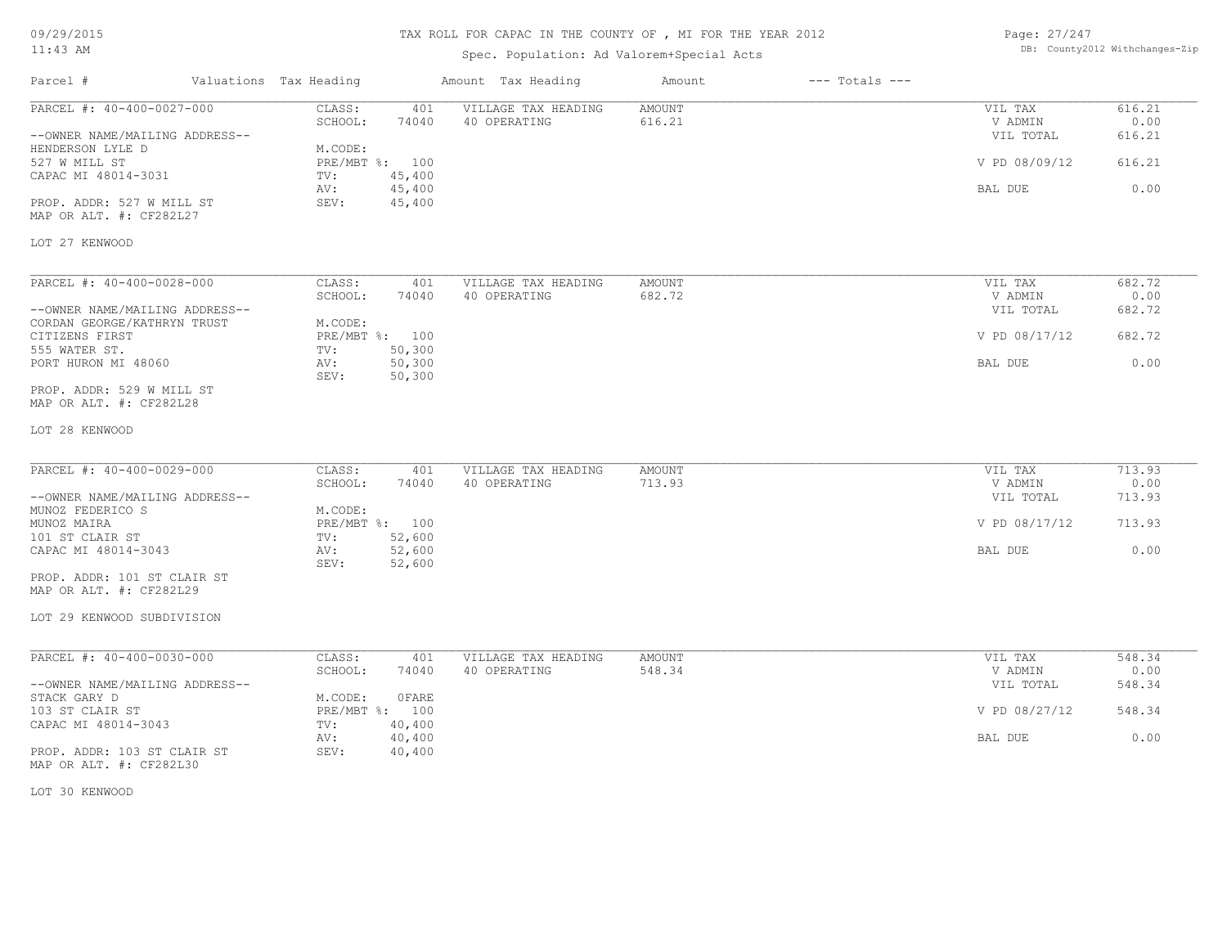# TAX ROLL FOR CAPAC IN THE COUNTY OF , MI FOR THE YEAR 2012

| Page: 27/247 |                                |
|--------------|--------------------------------|
|              | DB: County2012 Withchanges-Zip |

| Parcel #                                               | Valuations Tax Heading |                           |                  | Amount Tax Heading                  | Amount                  | $---$ Totals $---$ |                    |                |
|--------------------------------------------------------|------------------------|---------------------------|------------------|-------------------------------------|-------------------------|--------------------|--------------------|----------------|
| PARCEL #: 40-400-0027-000                              |                        | CLASS:<br>SCHOOL:         | 401<br>74040     | VILLAGE TAX HEADING<br>40 OPERATING | <b>AMOUNT</b><br>616.21 |                    | VIL TAX<br>V ADMIN | 616.21<br>0.00 |
| --OWNER NAME/MAILING ADDRESS--                         |                        |                           |                  |                                     |                         |                    | VIL TOTAL          | 616.21         |
| HENDERSON LYLE D<br>527 W MILL ST                      |                        | M.CODE:<br>PRE/MBT %: 100 |                  |                                     |                         |                    | V PD 08/09/12      | 616.21         |
| CAPAC MI 48014-3031                                    |                        | TV:                       | 45,400           |                                     |                         |                    |                    |                |
|                                                        |                        | AV:                       | 45,400           |                                     |                         |                    | BAL DUE            | 0.00           |
| PROP. ADDR: 527 W MILL ST<br>MAP OR ALT. #: CF282L27   |                        | SEV:                      | 45,400           |                                     |                         |                    |                    |                |
| LOT 27 KENWOOD                                         |                        |                           |                  |                                     |                         |                    |                    |                |
| PARCEL #: 40-400-0028-000                              |                        | CLASS:                    | 401              | VILLAGE TAX HEADING                 | AMOUNT                  |                    | VIL TAX            | 682.72         |
|                                                        |                        | SCHOOL:                   | 74040            | 40 OPERATING                        | 682.72                  |                    | V ADMIN            | 0.00           |
| --OWNER NAME/MAILING ADDRESS--                         |                        |                           |                  |                                     |                         |                    | VIL TOTAL          | 682.72         |
| CORDAN GEORGE/KATHRYN TRUST<br>CITIZENS FIRST          |                        | M.CODE:<br>PRE/MBT %: 100 |                  |                                     |                         |                    | V PD 08/17/12      | 682.72         |
| 555 WATER ST.                                          |                        | TV:                       | 50,300           |                                     |                         |                    |                    |                |
| PORT HURON MI 48060                                    | AV:                    | SEV:                      | 50,300<br>50,300 |                                     |                         |                    | BAL DUE            | 0.00           |
| PROP. ADDR: 529 W MILL ST                              |                        |                           |                  |                                     |                         |                    |                    |                |
| MAP OR ALT. #: CF282L28                                |                        |                           |                  |                                     |                         |                    |                    |                |
| LOT 28 KENWOOD                                         |                        |                           |                  |                                     |                         |                    |                    |                |
| PARCEL #: 40-400-0029-000                              |                        | CLASS:                    | 401              | VILLAGE TAX HEADING                 | <b>AMOUNT</b>           |                    | VIL TAX            | 713.93         |
|                                                        |                        | SCHOOL:                   | 74040            | 40 OPERATING                        | 713.93                  |                    | V ADMIN            | 0.00           |
| --OWNER NAME/MAILING ADDRESS--                         |                        |                           |                  |                                     |                         |                    | VIL TOTAL          | 713.93         |
| MUNOZ FEDERICO S                                       |                        | M.CODE:                   |                  |                                     |                         |                    |                    |                |
| MUNOZ MAIRA<br>101 ST CLAIR ST                         |                        | PRE/MBT %: 100<br>TV:     | 52,600           |                                     |                         |                    | V PD 08/17/12      | 713.93         |
| CAPAC MI 48014-3043                                    |                        | AV:                       | 52,600           |                                     |                         |                    | BAL DUE            | 0.00           |
|                                                        |                        | SEV:                      | 52,600           |                                     |                         |                    |                    |                |
| PROP. ADDR: 101 ST CLAIR ST                            |                        |                           |                  |                                     |                         |                    |                    |                |
| MAP OR ALT. #: CF282L29                                |                        |                           |                  |                                     |                         |                    |                    |                |
| LOT 29 KENWOOD SUBDIVISION                             |                        |                           |                  |                                     |                         |                    |                    |                |
| PARCEL #: 40-400-0030-000                              |                        | CLASS:                    | 401              | VILLAGE TAX HEADING                 | <b>AMOUNT</b>           |                    | VIL TAX            | 548.34         |
|                                                        |                        | SCHOOL:                   | 74040            | 40 OPERATING                        | 548.34                  |                    | V ADMIN            | 0.00           |
| --OWNER NAME/MAILING ADDRESS--                         |                        |                           |                  |                                     |                         |                    | VIL TOTAL          | 548.34         |
| STACK GARY D                                           |                        | M.CODE:                   | OFARE            |                                     |                         |                    |                    |                |
| 103 ST CLAIR ST                                        |                        | PRE/MBT %: 100            |                  |                                     |                         |                    | V PD 08/27/12      | 548.34         |
| CAPAC MI 48014-3043                                    |                        | TV:                       | 40,400           |                                     |                         |                    |                    |                |
| PROP. ADDR: 103 ST CLAIR ST<br>MAP OR ALT. #: CF282L30 | AV:                    | SEV:                      | 40,400<br>40,400 |                                     |                         |                    | BAL DUE            | 0.00           |
| LOT 30 KENWOOD                                         |                        |                           |                  |                                     |                         |                    |                    |                |
|                                                        |                        |                           |                  |                                     |                         |                    |                    |                |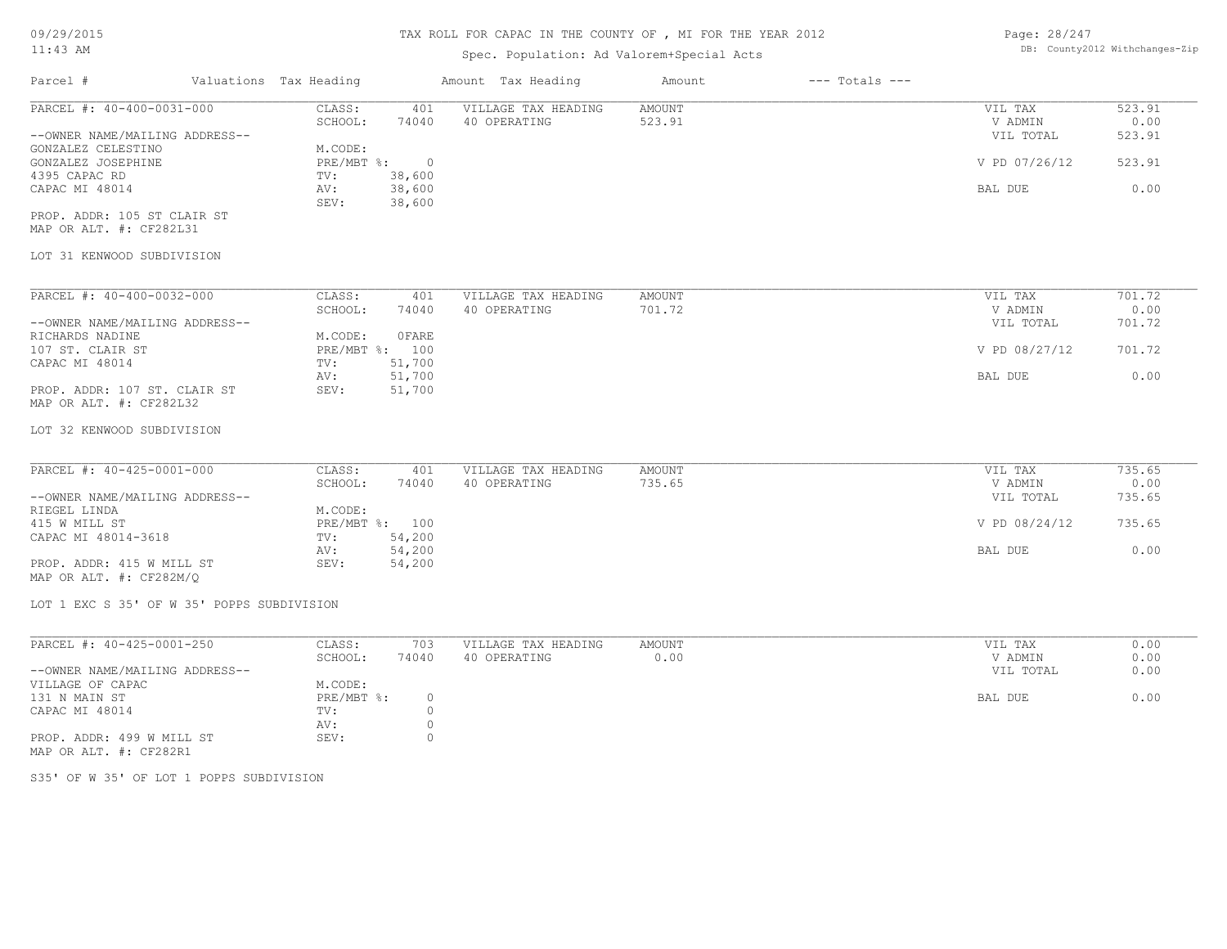| 09/29/2015                                              |                        |                    | TAX ROLL FOR CAPAC IN THE COUNTY OF , MI FOR THE YEAR 2012 |                  |                    | Page: 28/247       |                |  |  |  |
|---------------------------------------------------------|------------------------|--------------------|------------------------------------------------------------|------------------|--------------------|--------------------|----------------|--|--|--|
| 11:43 AM                                                |                        |                    | DB: County2012 Withchanges-Zip                             |                  |                    |                    |                |  |  |  |
| Parcel #                                                | Valuations Tax Heading |                    | Amount Tax Heading                                         | Amount           | $---$ Totals $---$ |                    |                |  |  |  |
| PARCEL #: 40-400-0031-000                               | CLASS:                 | 401                | VILLAGE TAX HEADING                                        | <b>AMOUNT</b>    |                    | VIL TAX            | 523.91         |  |  |  |
|                                                         | SCHOOL:                | 74040              | 40 OPERATING                                               | 523.91           |                    | V ADMIN            | 0.00           |  |  |  |
| --OWNER NAME/MAILING ADDRESS--                          |                        |                    |                                                            |                  |                    | VIL TOTAL          | 523.91         |  |  |  |
| GONZALEZ CELESTINO                                      | M.CODE:                | $\circ$            |                                                            |                  |                    |                    | 523.91         |  |  |  |
| GONZALEZ JOSEPHINE<br>4395 CAPAC RD                     | PRE/MBT %:<br>TV:      | 38,600             |                                                            |                  |                    | V PD 07/26/12      |                |  |  |  |
| CAPAC MI 48014                                          | AV:                    | 38,600             |                                                            |                  |                    | BAL DUE            | 0.00           |  |  |  |
|                                                         | SEV:                   | 38,600             |                                                            |                  |                    |                    |                |  |  |  |
| PROP. ADDR: 105 ST CLAIR ST<br>MAP OR ALT. #: CF282L31  |                        |                    |                                                            |                  |                    |                    |                |  |  |  |
| LOT 31 KENWOOD SUBDIVISION                              |                        |                    |                                                            |                  |                    |                    |                |  |  |  |
| PARCEL #: 40-400-0032-000                               |                        |                    |                                                            |                  |                    |                    |                |  |  |  |
|                                                         | CLASS:<br>SCHOOL:      | 401<br>74040       | VILLAGE TAX HEADING<br>40 OPERATING                        | AMOUNT<br>701.72 |                    | VIL TAX<br>V ADMIN | 701.72<br>0.00 |  |  |  |
| --OWNER NAME/MAILING ADDRESS--                          |                        |                    |                                                            |                  |                    | VIL TOTAL          | 701.72         |  |  |  |
| RICHARDS NADINE                                         | M.CODE:                | OFARE              |                                                            |                  |                    |                    |                |  |  |  |
| 107 ST. CLAIR ST                                        | PRE/MBT %: 100         |                    |                                                            |                  |                    | V PD 08/27/12      | 701.72         |  |  |  |
| CAPAC MI 48014                                          | TV:                    | 51,700             |                                                            |                  |                    |                    |                |  |  |  |
|                                                         | AV:                    | 51,700             |                                                            |                  |                    | BAL DUE            | 0.00           |  |  |  |
| PROP. ADDR: 107 ST. CLAIR ST<br>MAP OR ALT. #: CF282L32 | SEV:                   | 51,700             |                                                            |                  |                    |                    |                |  |  |  |
| LOT 32 KENWOOD SUBDIVISION                              |                        |                    |                                                            |                  |                    |                    |                |  |  |  |
| PARCEL #: 40-425-0001-000                               | CLASS:                 | 401                | VILLAGE TAX HEADING                                        | AMOUNT           |                    | VIL TAX            | 735.65         |  |  |  |
|                                                         | SCHOOL:                | 74040              | 40 OPERATING                                               | 735.65           |                    | V ADMIN            | 0.00           |  |  |  |
| --OWNER NAME/MAILING ADDRESS--                          |                        |                    |                                                            |                  |                    | VIL TOTAL          | 735.65         |  |  |  |
| RIEGEL LINDA                                            | M.CODE:                |                    |                                                            |                  |                    |                    |                |  |  |  |
| 415 W MILL ST                                           | PRE/MBT %: 100         |                    |                                                            |                  |                    | V PD 08/24/12      | 735.65         |  |  |  |
| CAPAC MI 48014-3618                                     | TV:                    | 54,200             |                                                            |                  |                    |                    |                |  |  |  |
|                                                         | AV:                    | 54,200             |                                                            |                  |                    | BAL DUE            | 0.00           |  |  |  |
| PROP. ADDR: 415 W MILL ST<br>MAP OR ALT. #: CF282M/Q    | SEV:                   | 54,200             |                                                            |                  |                    |                    |                |  |  |  |
| LOT 1 EXC S 35' OF W 35' POPPS SUBDIVISION              |                        |                    |                                                            |                  |                    |                    |                |  |  |  |
| PARCEL #: 40-425-0001-250                               | CLASS:                 | 703                | VILLAGE TAX HEADING                                        | <b>AMOUNT</b>    |                    | VIL TAX            | 0.00           |  |  |  |
|                                                         | SCHOOL:                | 74040              | 40 OPERATING                                               | 0.00             |                    | V ADMIN            | 0.00           |  |  |  |
| --OWNER NAME/MAILING ADDRESS--                          |                        |                    |                                                            |                  |                    | VIL TOTAL          | 0.00           |  |  |  |
| VILLAGE OF CAPAC                                        | M.CODE:                |                    |                                                            |                  |                    |                    |                |  |  |  |
| 131 N MAIN ST                                           | PRE/MBT %:             | $\mathbb O$        |                                                            |                  |                    | BAL DUE            | 0.00           |  |  |  |
| CAPAC MI 48014                                          | TV:                    | $\circ$            |                                                            |                  |                    |                    |                |  |  |  |
| PROP. ADDR: 499 W MILL ST<br>MAP OR ALT. #: CF282R1     | AV:<br>SEV:            | $\circ$<br>$\circ$ |                                                            |                  |                    |                    |                |  |  |  |
| S35' OF W 35' OF LOT 1 POPPS SUBDIVISION                |                        |                    |                                                            |                  |                    |                    |                |  |  |  |
|                                                         |                        |                    |                                                            |                  |                    |                    |                |  |  |  |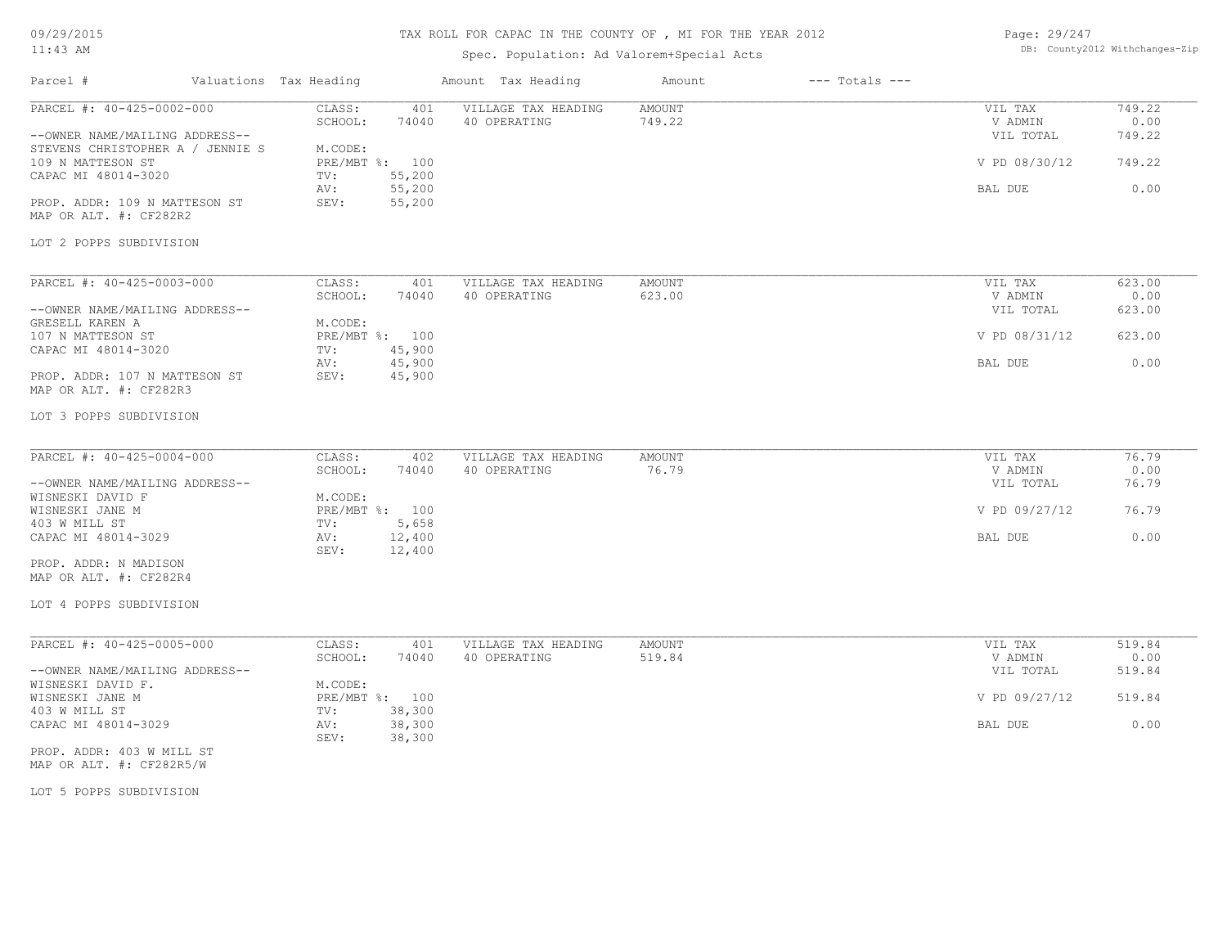# TAX ROLL FOR CAPAC IN THE COUNTY OF , MI FOR THE YEAR 2012

## Spec. Population: Ad Valorem+Special Acts

| Page: 29/247 |                                |
|--------------|--------------------------------|
|              | DB: County2012 Withchanges-Zip |

| Parcel #                                                                                                                                                                                                                          | Valuations Tax Heading                                                                                             | Amount Tax Heading                  | Amount           | $---$ Totals $---$ |                                                             |                                            |
|-----------------------------------------------------------------------------------------------------------------------------------------------------------------------------------------------------------------------------------|--------------------------------------------------------------------------------------------------------------------|-------------------------------------|------------------|--------------------|-------------------------------------------------------------|--------------------------------------------|
| PARCEL #: 40-425-0002-000<br>--OWNER NAME/MAILING ADDRESS--<br>STEVENS CHRISTOPHER A / JENNIE S<br>109 N MATTESON ST<br>CAPAC MI 48014-3020<br>PROP. ADDR: 109 N MATTESON ST<br>MAP OR ALT. #: CF282R2<br>LOT 2 POPPS SUBDIVISION | CLASS:<br>401<br>SCHOOL:<br>74040<br>M.CODE:<br>PRE/MBT %: 100<br>55,200<br>TV:<br>55,200<br>AV:<br>SEV:<br>55,200 | VILLAGE TAX HEADING<br>40 OPERATING | AMOUNT<br>749.22 |                    | VIL TAX<br>V ADMIN<br>VIL TOTAL<br>V PD 08/30/12<br>BAL DUE | 749.22<br>0.00<br>749.22<br>749.22<br>0.00 |
| PARCEL #: 40-425-0003-000<br>--OWNER NAME/MAILING ADDRESS--<br>GRESELL KAREN A<br>107 N MATTESON ST<br>CAPAC MI 48014-3020<br>PROP. ADDR: 107 N MATTESON ST<br>MAP OR ALT. #: CF282R3<br>LOT 3 POPPS SUBDIVISION                  | CLASS:<br>401<br>SCHOOL:<br>74040<br>M.CODE:<br>PRE/MBT %: 100<br>45,900<br>TV:<br>45,900<br>AV:<br>45,900<br>SEV: | VILLAGE TAX HEADING<br>40 OPERATING | AMOUNT<br>623.00 |                    | VIL TAX<br>V ADMIN<br>VIL TOTAL<br>V PD 08/31/12<br>BAL DUE | 623.00<br>0.00<br>623.00<br>623.00<br>0.00 |
| PARCEL #: 40-425-0004-000<br>--OWNER NAME/MAILING ADDRESS--<br>WISNESKI DAVID F<br>WISNESKI JANE M<br>403 W MILL ST<br>CAPAC MI 48014-3029<br>PROP. ADDR: N MADISON<br>MAP OR ALT. #: CF282R4<br>LOT 4 POPPS SUBDIVISION          | CLASS:<br>402<br>SCHOOL:<br>74040<br>M.CODE:<br>PRE/MBT %: 100<br>5,658<br>TV:<br>AV:<br>12,400<br>12,400<br>SEV:  | VILLAGE TAX HEADING<br>40 OPERATING | AMOUNT<br>76.79  |                    | VIL TAX<br>V ADMIN<br>VIL TOTAL<br>V PD 09/27/12<br>BAL DUE | 76.79<br>0.00<br>76.79<br>76.79<br>0.00    |
| PARCEL #: 40-425-0005-000<br>--OWNER NAME/MAILING ADDRESS--<br>WISNESKI DAVID F.<br>WISNESKI JANE M<br>403 W MILL ST<br>CAPAC MI 48014-3029<br>PROP. ADDR: 403 W MILL ST<br>MAP OR ALT. #: CF282R5/W                              | CLASS:<br>401<br>SCHOOL:<br>74040<br>M.CODE:<br>PRE/MBT %: 100<br>38,300<br>TV:<br>38,300<br>AV:<br>38,300<br>SEV: | VILLAGE TAX HEADING<br>40 OPERATING | AMOUNT<br>519.84 |                    | VIL TAX<br>V ADMIN<br>VIL TOTAL<br>V PD 09/27/12<br>BAL DUE | 519.84<br>0.00<br>519.84<br>519.84<br>0.00 |

LOT 5 POPPS SUBDIVISION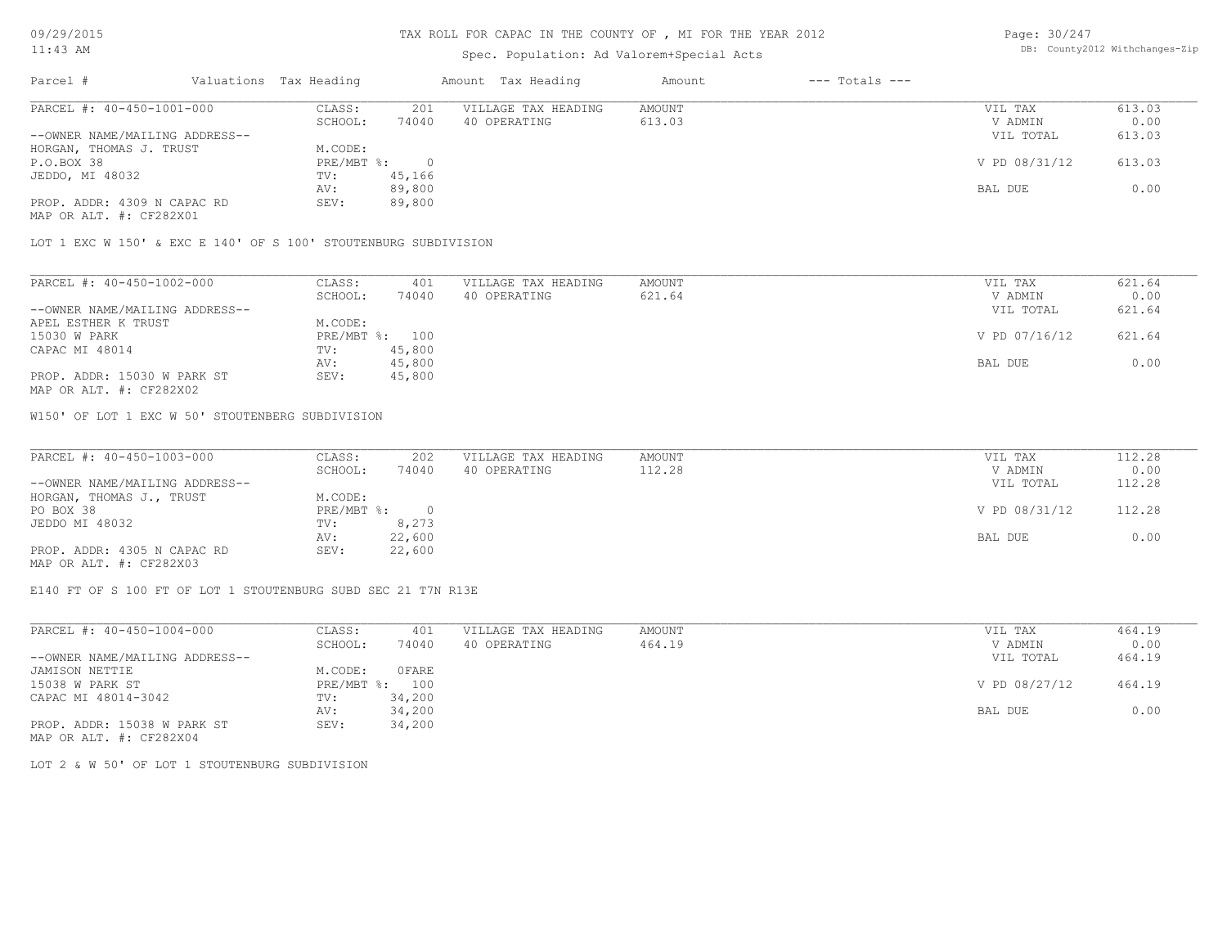#### TAX ROLL FOR CAPAC IN THE COUNTY OF , MI FOR THE YEAR 2012

#### Spec. Population: Ad Valorem+Special Acts

Page: 30/247 DB: County2012 Withchanges-Zip

| Parcel #                       | Valuations Tax Heading |        | Amount Tax Heading  | Amount | $---$ Totals $---$ |               |        |
|--------------------------------|------------------------|--------|---------------------|--------|--------------------|---------------|--------|
| PARCEL #: 40-450-1001-000      | CLASS:                 | 201    | VILLAGE TAX HEADING | AMOUNT |                    | VIL TAX       | 613.03 |
|                                | SCHOOL:                | 74040  | 40 OPERATING        | 613.03 |                    | V ADMIN       | 0.00   |
| --OWNER NAME/MAILING ADDRESS-- |                        |        |                     |        |                    | VIL TOTAL     | 613.03 |
| HORGAN, THOMAS J. TRUST        | M.CODE:                |        |                     |        |                    |               |        |
| P.O.BOX 38                     | PRE/MBT %:             |        |                     |        |                    | V PD 08/31/12 | 613.03 |
| JEDDO, MI 48032                | TV:                    | 45,166 |                     |        |                    |               |        |
|                                | AV:                    | 89,800 |                     |        |                    | BAL DUE       | 0.00   |
| PROP. ADDR: 4309 N CAPAC RD    | SEV:                   | 89,800 |                     |        |                    |               |        |
| MAP OR ALT. #: CF282X01        |                        |        |                     |        |                    |               |        |

LOT 1 EXC W 150' & EXC E 140' OF S 100' STOUTENBURG SUBDIVISION

| PARCEL #: 40-450-1002-000      | CLASS:  | 401            | VILLAGE TAX HEADING | AMOUNT | VIL TAX       | 621.64 |
|--------------------------------|---------|----------------|---------------------|--------|---------------|--------|
|                                | SCHOOL: | 74040          | 40 OPERATING        | 621.64 | V ADMIN       | 0.00   |
| --OWNER NAME/MAILING ADDRESS-- |         |                |                     |        | VIL TOTAL     | 621.64 |
| APEL ESTHER K TRUST            | M.CODE: |                |                     |        |               |        |
| 15030 W PARK                   |         | PRE/MBT %: 100 |                     |        | V PD 07/16/12 | 621.64 |
| CAPAC MI 48014                 | TV:     | 45,800         |                     |        |               |        |
|                                | AV:     | 45,800         |                     |        | BAL DUE       | 0.00   |
| PROP. ADDR: 15030 W PARK ST    | SEV:    | 45,800         |                     |        |               |        |
| MAP OR ALT. #: CF282X02        |         |                |                     |        |               |        |

W150' OF LOT 1 EXC W 50' STOUTENBERG SUBDIVISION

| PARCEL #: 40-450-1003-000      | CLASS:     | 202    | VILLAGE TAX HEADING | AMOUNT | VIL TAX       | 112.28 |
|--------------------------------|------------|--------|---------------------|--------|---------------|--------|
|                                | SCHOOL:    | 74040  | 40 OPERATING        | 112.28 | V ADMIN       | 0.00   |
| --OWNER NAME/MAILING ADDRESS-- |            |        |                     |        | VIL TOTAL     | 112.28 |
| HORGAN, THOMAS J., TRUST       | M.CODE:    |        |                     |        |               |        |
| PO BOX 38                      | PRE/MBT %: |        |                     |        | V PD 08/31/12 | 112.28 |
| JEDDO MI 48032                 | TV:        | 8,273  |                     |        |               |        |
|                                | AV:        | 22,600 |                     |        | BAL DUE       | 0.00   |
| PROP. ADDR: 4305 N CAPAC RD    | SEV:       | 22,600 |                     |        |               |        |
| MAP OR ALT. #: CF282X03        |            |        |                     |        |               |        |

E140 FT OF S 100 FT OF LOT 1 STOUTENBURG SUBD SEC 21 T7N R13E

| PARCEL #: 40-450-1004-000      | CLASS:       | 401          | VILLAGE TAX HEADING | AMOUNT | VIL TAX       | 464.19 |
|--------------------------------|--------------|--------------|---------------------|--------|---------------|--------|
|                                | SCHOOL:      | 74040        | 40 OPERATING        | 464.19 | V ADMIN       | 0.00   |
| --OWNER NAME/MAILING ADDRESS-- |              |              |                     |        | VIL TOTAL     | 464.19 |
| JAMISON NETTIE                 | M.CODE:      | <b>OFARE</b> |                     |        |               |        |
| 15038 W PARK ST                | $PRE/MBT$ %: | 100          |                     |        | V PD 08/27/12 | 464.19 |
| CAPAC MI 48014-3042            | TV:          | 34,200       |                     |        |               |        |
|                                | AV:          | 34,200       |                     |        | BAL DUE       | 0.00   |
| PROP. ADDR: 15038 W PARK ST    | SEV:         | 34,200       |                     |        |               |        |
| MAP OR ALT. #: CF282X04        |              |              |                     |        |               |        |

LOT 2 & W 50' OF LOT 1 STOUTENBURG SUBDIVISION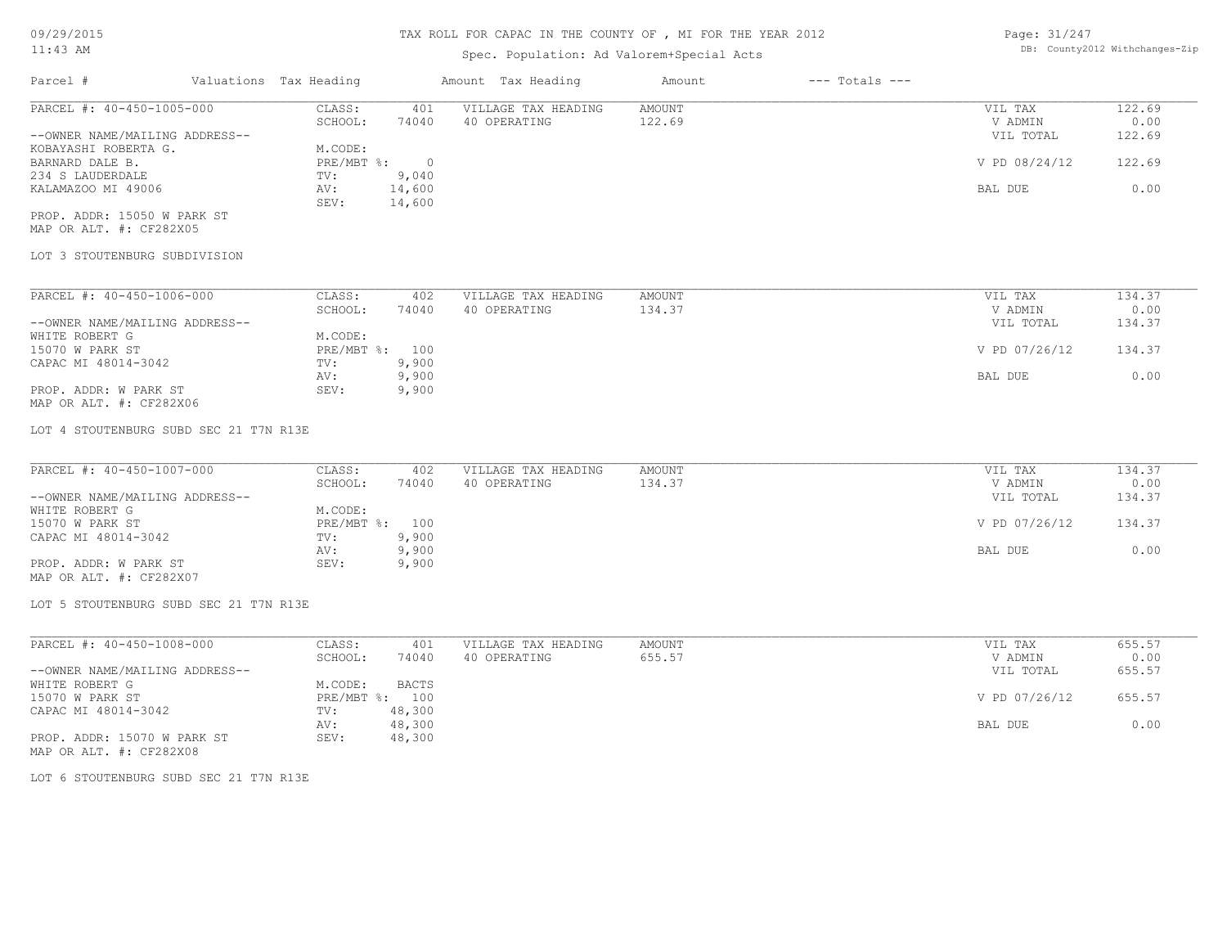# Spec. Population: Ad Valorem+Special Acts

| Page: 31/247 |                                |
|--------------|--------------------------------|
|              | DB: County2012 Withchanges-Zip |

| Parcel #                       | Valuations Tax Heading |        | Amount Tax Heading  | Amount | $---$ Totals $---$ |               |        |
|--------------------------------|------------------------|--------|---------------------|--------|--------------------|---------------|--------|
| PARCEL #: 40-450-1005-000      | CLASS:                 | 401    | VILLAGE TAX HEADING | AMOUNT |                    | VIL TAX       | 122.69 |
|                                | SCHOOL:                | 74040  | 40 OPERATING        | 122.69 |                    | V ADMIN       | 0.00   |
| --OWNER NAME/MAILING ADDRESS-- |                        |        |                     |        |                    | VIL TOTAL     | 122.69 |
| KOBAYASHI ROBERTA G.           | M.CODE:                |        |                     |        |                    |               |        |
| BARNARD DALE B.                | $PRE/MBT$ %:           |        |                     |        |                    | V PD 08/24/12 | 122.69 |
| 234 S LAUDERDALE               | TV:                    | 9,040  |                     |        |                    |               |        |
| KALAMAZOO MI 49006             | AV:                    | 14,600 |                     |        |                    | BAL DUE       | 0.00   |
|                                | SEV:                   | 14,600 |                     |        |                    |               |        |
| PROP. ADDR: 15050 W PARK ST    |                        |        |                     |        |                    |               |        |

MAP OR ALT. #: CF282X05

#### LOT 3 STOUTENBURG SUBDIVISION

| PARCEL #: 40-450-1006-000      | CLASS:       | 402   | VILLAGE TAX HEADING | AMOUNT | VIL TAX       | 134.37 |
|--------------------------------|--------------|-------|---------------------|--------|---------------|--------|
|                                | SCHOOL:      | 74040 | 40 OPERATING        | 134.37 | V ADMIN       | 0.00   |
| --OWNER NAME/MAILING ADDRESS-- |              |       |                     |        | VIL TOTAL     | 134.37 |
| WHITE ROBERT G                 | M.CODE:      |       |                     |        |               |        |
| 15070 W PARK ST                | $PRE/MBT$ %: | 100   |                     |        | V PD 07/26/12 | 134.37 |
| CAPAC MI 48014-3042            | TV:          | 9,900 |                     |        |               |        |
|                                | AV:          | 9,900 |                     |        | BAL DUE       | 0.00   |
| PROP. ADDR: W PARK ST          | SEV:         | 9,900 |                     |        |               |        |
| MAP OR ALT. #: CF282X06        |              |       |                     |        |               |        |

LOT 4 STOUTENBURG SUBD SEC 21 T7N R13E

| PARCEL #: 40-450-1007-000      | CLASS:  | 402            | VILLAGE TAX HEADING | AMOUNT | VIL TAX       | 134.37 |
|--------------------------------|---------|----------------|---------------------|--------|---------------|--------|
|                                | SCHOOL: | 74040          | 40 OPERATING        | 134.37 | V ADMIN       | 0.00   |
| --OWNER NAME/MAILING ADDRESS-- |         |                |                     |        | VIL TOTAL     | 134.37 |
| WHITE ROBERT G                 | M.CODE: |                |                     |        |               |        |
| 15070 W PARK ST                |         | PRE/MBT %: 100 |                     |        | V PD 07/26/12 | 134.37 |
| CAPAC MI 48014-3042            | TV:     | 9,900          |                     |        |               |        |
|                                | AV:     | 9,900          |                     |        | BAL DUE       | 0.00   |
| PROP. ADDR: W PARK ST          | SEV:    | 9,900          |                     |        |               |        |
| $\cdots$                       |         |                |                     |        |               |        |

MAP OR ALT. #: CF282X07

LOT 5 STOUTENBURG SUBD SEC 21 T7N R13E

| PARCEL #: 40-450-1008-000      | CLASS:  | 401            | VILLAGE TAX HEADING | AMOUNT | VIL TAX       | 655.57 |
|--------------------------------|---------|----------------|---------------------|--------|---------------|--------|
|                                | SCHOOL: | 74040          | 40 OPERATING        | 655.57 | V ADMIN       | 0.00   |
| --OWNER NAME/MAILING ADDRESS-- |         |                |                     |        | VIL TOTAL     | 655.57 |
| WHITE ROBERT G                 | M.CODE: | <b>BACTS</b>   |                     |        |               |        |
| 15070 W PARK ST                |         | PRE/MBT %: 100 |                     |        | V PD 07/26/12 | 655.57 |
| CAPAC MI 48014-3042            | TV:     | 48,300         |                     |        |               |        |
|                                | AV:     | 48,300         |                     |        | BAL DUE       | 0.00   |
| PROP. ADDR: 15070 W PARK ST    | SEV:    | 48,300         |                     |        |               |        |
| MAP OR ALT. #: CF282X08        |         |                |                     |        |               |        |

LOT 6 STOUTENBURG SUBD SEC 21 T7N R13E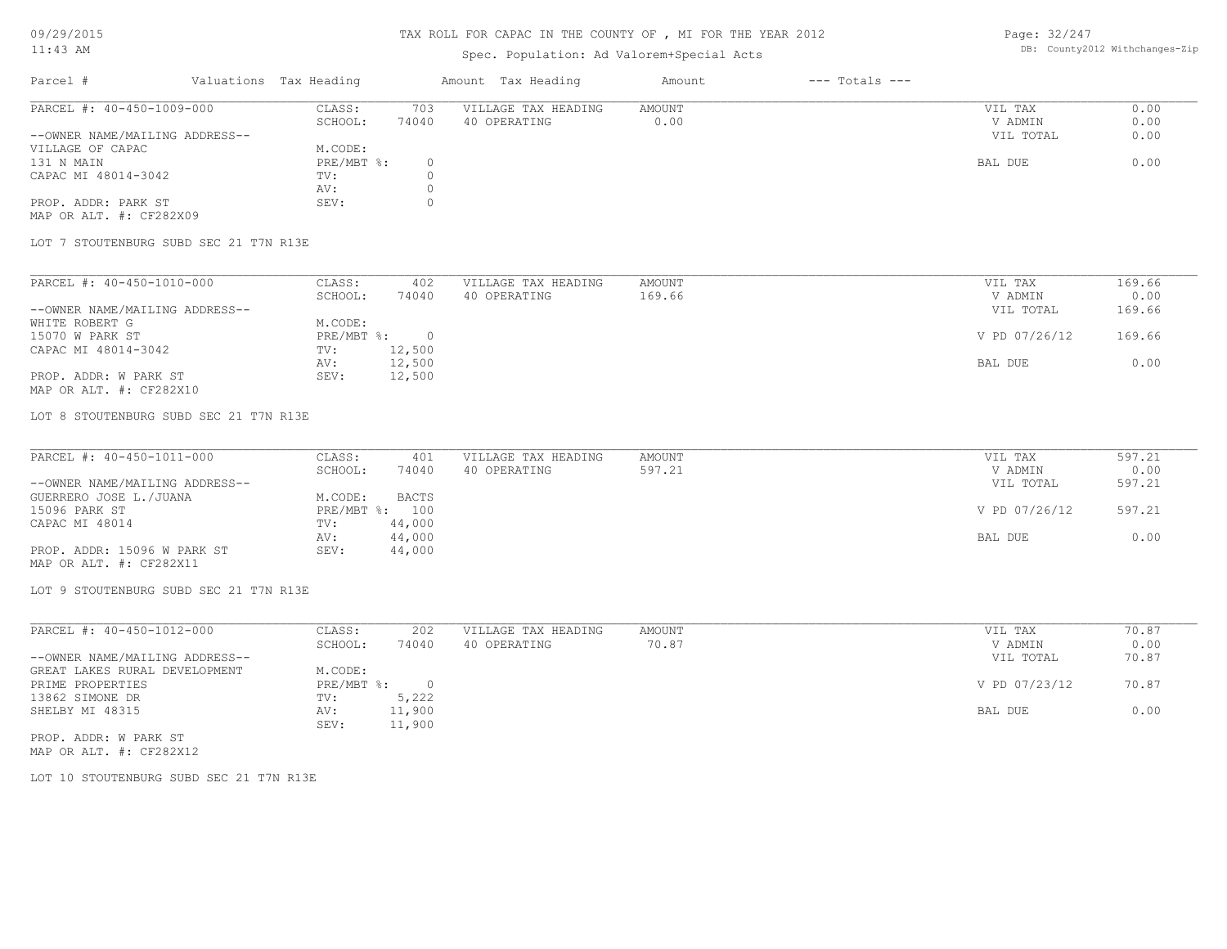## Spec. Population: Ad Valorem+Special Acts

Page: 32/247 DB: County2012 Withchanges-Zip

| Parcel #                       | Valuations Tax Heading |       | Amount Tax Heading  | Amount | $---$ Totals $---$ |           |      |
|--------------------------------|------------------------|-------|---------------------|--------|--------------------|-----------|------|
| PARCEL #: 40-450-1009-000      | CLASS:                 | 703   | VILLAGE TAX HEADING | AMOUNT |                    | VIL TAX   | 0.00 |
|                                | SCHOOL:                | 74040 | 40 OPERATING        | 0.00   |                    | V ADMIN   | 0.00 |
| --OWNER NAME/MAILING ADDRESS-- |                        |       |                     |        |                    | VIL TOTAL | 0.00 |
| VILLAGE OF CAPAC               | M.CODE:                |       |                     |        |                    |           |      |
| 131 N MAIN                     | PRE/MBT %:             |       |                     |        |                    | BAL DUE   | 0.00 |
| CAPAC MI 48014-3042            | TV:                    |       |                     |        |                    |           |      |
|                                | AV:                    |       |                     |        |                    |           |      |
| PROP. ADDR: PARK ST            | SEV:                   |       |                     |        |                    |           |      |
|                                |                        |       |                     |        |                    |           |      |

MAP OR ALT. #: CF282X09

LOT 7 STOUTENBURG SUBD SEC 21 T7N R13E

| PARCEL #: 40-450-1010-000      | CLASS:     | 402    | VILLAGE TAX HEADING | AMOUNT | VIL TAX       | 169.66 |
|--------------------------------|------------|--------|---------------------|--------|---------------|--------|
|                                | SCHOOL:    | 74040  | 40 OPERATING        | 169.66 | V ADMIN       | 0.00   |
| --OWNER NAME/MAILING ADDRESS-- |            |        |                     |        | VIL TOTAL     | 169.66 |
| WHITE ROBERT G                 | M.CODE:    |        |                     |        |               |        |
| 15070 W PARK ST                | PRE/MBT %: |        |                     |        | V PD 07/26/12 | 169.66 |
| CAPAC MI 48014-3042            | TV:        | 12,500 |                     |        |               |        |
|                                | AV:        | 12,500 |                     |        | BAL DUE       | 0.00   |
| PROP. ADDR: W PARK ST          | SEV:       | 12,500 |                     |        |               |        |
| MAP OR ALT. #: CF282X10        |            |        |                     |        |               |        |

LOT 8 STOUTENBURG SUBD SEC 21 T7N R13E

| PARCEL #: 40-450-1011-000      | CLASS:  | 401            | VILLAGE TAX HEADING | AMOUNT | VIL TAX       | 597.21 |
|--------------------------------|---------|----------------|---------------------|--------|---------------|--------|
|                                | SCHOOL: | 74040          | 40 OPERATING        | 597.21 | V ADMIN       | 0.00   |
| --OWNER NAME/MAILING ADDRESS-- |         |                |                     |        | VIL TOTAL     | 597.21 |
| GUERRERO JOSE L./JUANA         | M.CODE: | BACTS          |                     |        |               |        |
| 15096 PARK ST                  |         | PRE/MBT %: 100 |                     |        | V PD 07/26/12 | 597.21 |
| CAPAC MI 48014                 | TV:     | 44,000         |                     |        |               |        |
|                                | AV:     | 44,000         |                     |        | BAL DUE       | 0.00   |
| PROP. ADDR: 15096 W PARK ST    | SEV:    | 44,000         |                     |        |               |        |
| MAP OR ALT. #: CF282X11        |         |                |                     |        |               |        |

LOT 9 STOUTENBURG SUBD SEC 21 T7N R13E

| PARCEL #: 40-450-1012-000      | CLASS:     | 202      | VILLAGE TAX HEADING | AMOUNT | 70.87<br>VIL TAX       |
|--------------------------------|------------|----------|---------------------|--------|------------------------|
|                                | SCHOOL:    | 74040    | 40 OPERATING        | 70.87  | 0.00<br>V ADMIN        |
| --OWNER NAME/MAILING ADDRESS-- |            |          |                     |        | 70.87<br>VIL TOTAL     |
| GREAT LAKES RURAL DEVELOPMENT  | M.CODE:    |          |                     |        |                        |
| PRIME PROPERTIES               | PRE/MBT %: | $\Omega$ |                     |        | V PD 07/23/12<br>70.87 |
| 13862 SIMONE DR                | TV:        | 5,222    |                     |        |                        |
| SHELBY MI 48315                | AV:        | 11,900   |                     |        | BAL DUE<br>0.00        |
|                                | SEV:       | 11,900   |                     |        |                        |
| PROP. ADDR: W PARK ST          |            |          |                     |        |                        |

MAP OR ALT. #: CF282X12

LOT 10 STOUTENBURG SUBD SEC 21 T7N R13E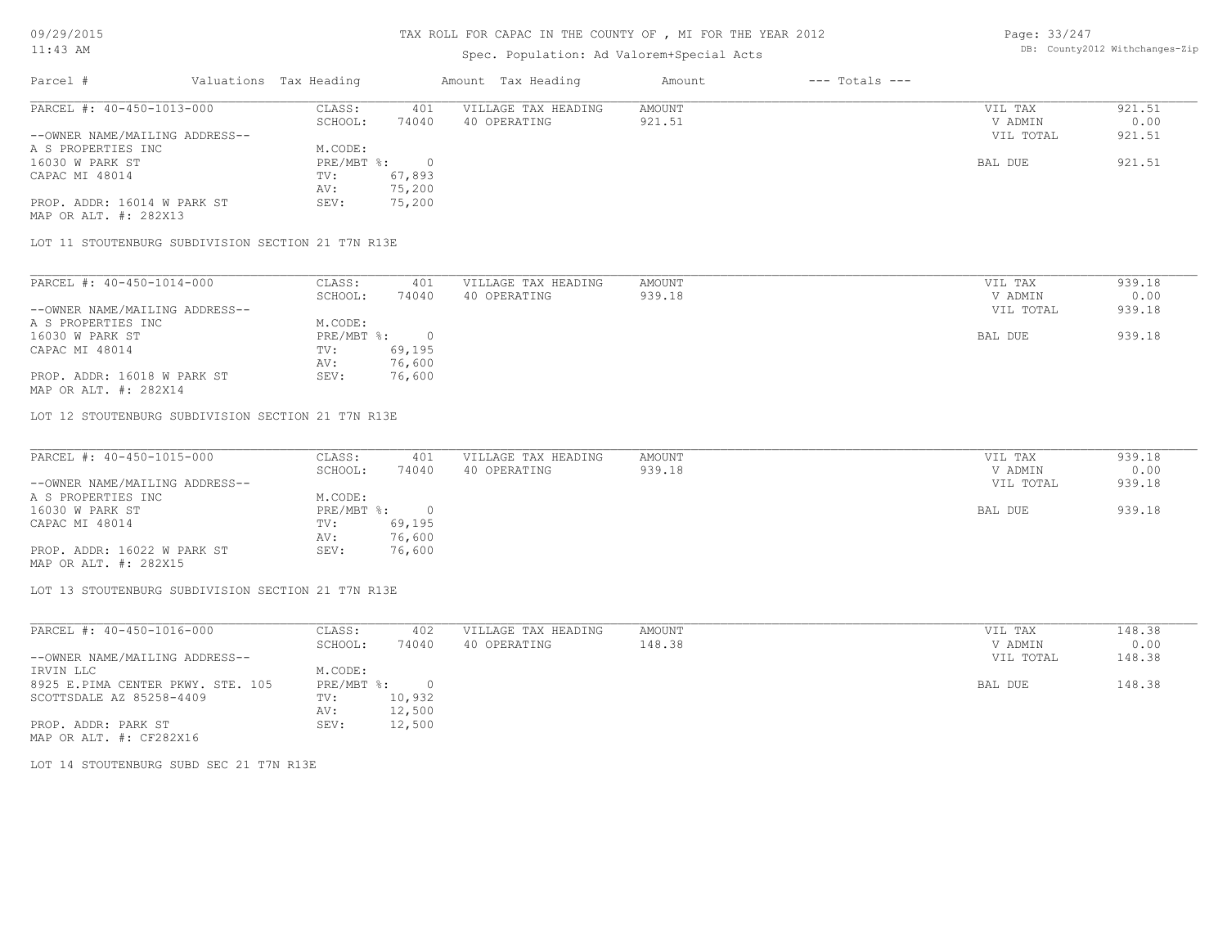# Spec. Population: Ad Valorem+Special Acts

Page: 33/247 DB: County2012 Withchanges-Zip

| Parcel #                       | Valuations Tax Heading |        | Amount Tax Heading  | Amount | $---$ Totals $---$ |           |        |
|--------------------------------|------------------------|--------|---------------------|--------|--------------------|-----------|--------|
| PARCEL #: 40-450-1013-000      | CLASS:                 | 401    | VILLAGE TAX HEADING | AMOUNT |                    | VIL TAX   | 921.51 |
|                                | SCHOOL:                | 74040  | 40 OPERATING        | 921.51 |                    | V ADMIN   | 0.00   |
| --OWNER NAME/MAILING ADDRESS-- |                        |        |                     |        |                    | VIL TOTAL | 921.51 |
| A S PROPERTIES INC             | M.CODE:                |        |                     |        |                    |           |        |
| 16030 W PARK ST                | $PRE/MBT$ %:           |        |                     |        |                    | BAL DUE   | 921.51 |
| CAPAC MI 48014                 | TV:                    | 67,893 |                     |        |                    |           |        |
|                                | AV:                    | 75,200 |                     |        |                    |           |        |
| PROP. ADDR: 16014 W PARK ST    | SEV:                   | 75,200 |                     |        |                    |           |        |
| MAP OR ALT. #: 282X13          |                        |        |                     |        |                    |           |        |

LOT 11 STOUTENBURG SUBDIVISION SECTION 21 T7N R13E

| PARCEL #: 40-450-1014-000      | CLASS:       | 401    | VILLAGE TAX HEADING | AMOUNT | VIL TAX   | 939.18 |
|--------------------------------|--------------|--------|---------------------|--------|-----------|--------|
|                                | SCHOOL:      | 74040  | 40 OPERATING        | 939.18 | V ADMIN   | 0.00   |
| --OWNER NAME/MAILING ADDRESS-- |              |        |                     |        | VIL TOTAL | 939.18 |
| A S PROPERTIES INC             | M.CODE:      |        |                     |        |           |        |
| 16030 W PARK ST                | $PRE/MBT$ %: |        |                     |        | BAL DUE   | 939.18 |
| CAPAC MI 48014                 | TV:          | 69,195 |                     |        |           |        |
|                                | AV:          | 76,600 |                     |        |           |        |
| PROP. ADDR: 16018 W PARK ST    | SEV:         | 76,600 |                     |        |           |        |
| MAP OR ALT. #: 282X14          |              |        |                     |        |           |        |

LOT 12 STOUTENBURG SUBDIVISION SECTION 21 T7N R13E

| PARCEL #: 40-450-1015-000      | CLASS:       | 401    | VILLAGE TAX HEADING | AMOUNT | VIL TAX   | 939.18 |
|--------------------------------|--------------|--------|---------------------|--------|-----------|--------|
|                                | SCHOOL:      | 74040  | 40 OPERATING        | 939.18 | V ADMIN   | 0.00   |
| --OWNER NAME/MAILING ADDRESS-- |              |        |                     |        | VIL TOTAL | 939.18 |
| A S PROPERTIES INC             | M.CODE:      |        |                     |        |           |        |
| 16030 W PARK ST                | $PRE/MBT$ %: |        |                     |        | BAL DUE   | 939.18 |
| CAPAC MI 48014                 | TV:          | 69,195 |                     |        |           |        |
|                                | AV:          | 76,600 |                     |        |           |        |
| PROP. ADDR: 16022 W PARK ST    | SEV:         | 76,600 |                     |        |           |        |
| MAP OR ALT. #: 282X15          |              |        |                     |        |           |        |

LOT 13 STOUTENBURG SUBDIVISION SECTION 21 T7N R13E

| PARCEL #: 40-450-1016-000         | CLASS:     | 402      | VILLAGE TAX HEADING | AMOUNT | 148.38<br>VIL TAX   |
|-----------------------------------|------------|----------|---------------------|--------|---------------------|
|                                   | SCHOOL:    | 74040    | 40 OPERATING        | 148.38 | 0.00<br>V ADMIN     |
| --OWNER NAME/MAILING ADDRESS--    |            |          |                     |        | 148.38<br>VIL TOTAL |
| IRVIN LLC                         | M.CODE:    |          |                     |        |                     |
| 8925 E.PIMA CENTER PKWY. STE. 105 | PRE/MBT %: | $\Omega$ |                     |        | 148.38<br>BAL DUE   |
| SCOTTSDALE AZ 85258-4409          | TV:        | 10,932   |                     |        |                     |
|                                   | AV:        | 12,500   |                     |        |                     |
| PROP. ADDR: PARK ST               | SEV:       | 12,500   |                     |        |                     |
| MAP OR ALT. #: CF282X16           |            |          |                     |        |                     |

LOT 14 STOUTENBURG SUBD SEC 21 T7N R13E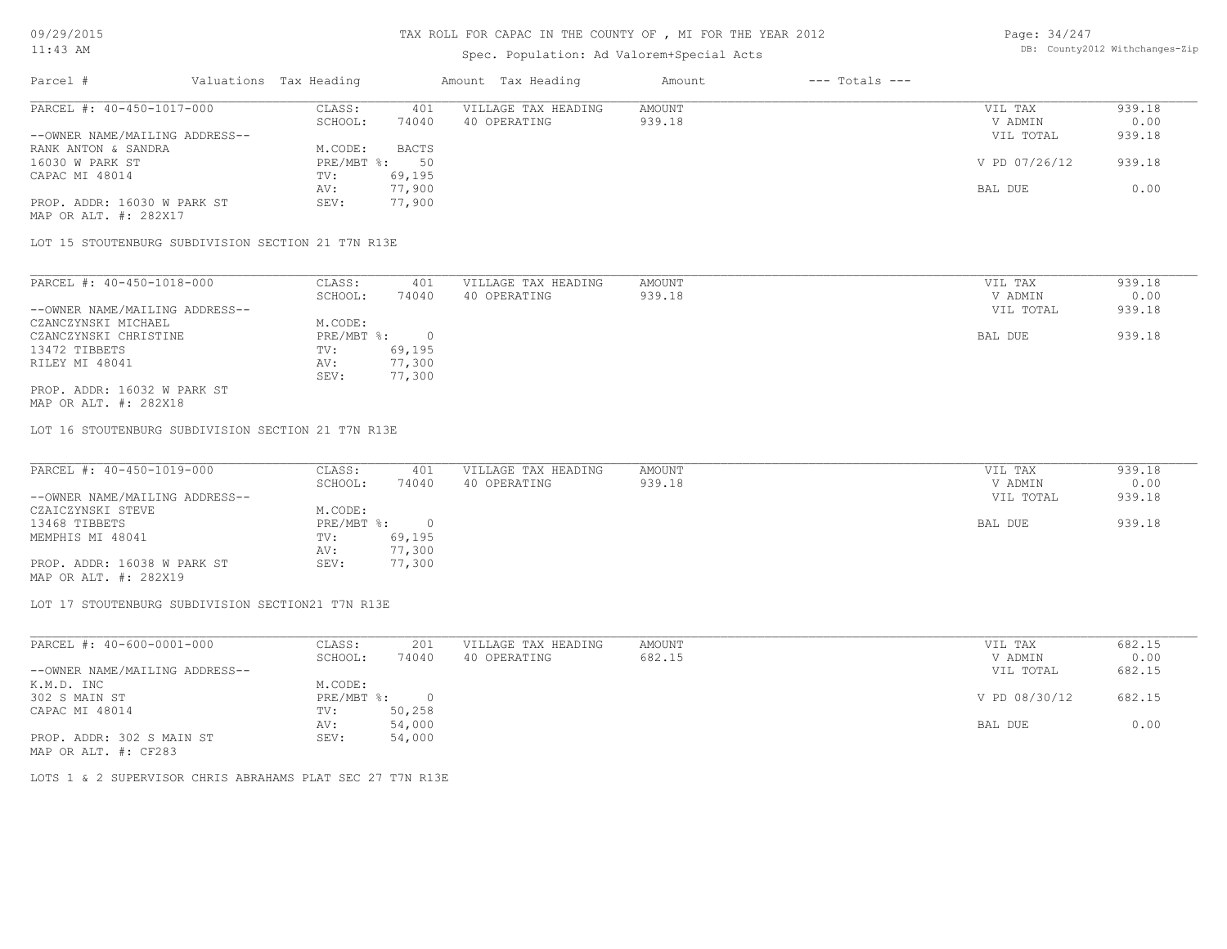#### Spec. Population: Ad Valorem+Special Acts

| Page: 34/247 |                                |
|--------------|--------------------------------|
|              | DB: County2012 Withchanges-Zip |

| Parcel #                       | Valuations Tax Heading |        | Amount Tax Heading  | Amount | $---$ Totals $---$ |               |        |
|--------------------------------|------------------------|--------|---------------------|--------|--------------------|---------------|--------|
| PARCEL #: 40-450-1017-000      | CLASS:                 | 401    | VILLAGE TAX HEADING | AMOUNT |                    | VIL TAX       | 939.18 |
|                                | SCHOOL:                | 74040  | 40 OPERATING        | 939.18 |                    | V ADMIN       | 0.00   |
| --OWNER NAME/MAILING ADDRESS-- |                        |        |                     |        |                    | VIL TOTAL     | 939.18 |
| RANK ANTON & SANDRA            | M.CODE:                | BACTS  |                     |        |                    |               |        |
| 16030 W PARK ST                | $PRE/MBT$ %:           | 50     |                     |        |                    | V PD 07/26/12 | 939.18 |
| CAPAC MI 48014                 | TV:                    | 69,195 |                     |        |                    |               |        |
|                                | AV:                    | 77,900 |                     |        |                    | BAL DUE       | 0.00   |
| PROP. ADDR: 16030 W PARK ST    | SEV:                   | 77,900 |                     |        |                    |               |        |
|                                |                        |        |                     |        |                    |               |        |

MAP OR ALT. #: 282X17

LOT 15 STOUTENBURG SUBDIVISION SECTION 21 T7N R13E

| PARCEL #: 40-450-1018-000      | CLASS:     | 401    | VILLAGE TAX HEADING | AMOUNT | VIL TAX   | 939.18 |
|--------------------------------|------------|--------|---------------------|--------|-----------|--------|
|                                | SCHOOL:    | 74040  | 40 OPERATING        | 939.18 | V ADMIN   | 0.00   |
| --OWNER NAME/MAILING ADDRESS-- |            |        |                     |        | VIL TOTAL | 939.18 |
| CZANCZYNSKI MICHAEL            | M.CODE:    |        |                     |        |           |        |
| CZANCZYNSKI CHRISTINE          | PRE/MBT %: |        |                     |        | BAL DUE   | 939.18 |
| 13472 TIBBETS                  | TV:        | 69,195 |                     |        |           |        |
| RILEY MI 48041                 | AV:        | 77,300 |                     |        |           |        |
|                                | SEV:       | 77,300 |                     |        |           |        |
| PROP. ADDR: 16032 W PARK ST    |            |        |                     |        |           |        |

MAP OR ALT. #: 282X18

LOT 16 STOUTENBURG SUBDIVISION SECTION 21 T7N R13E

| PARCEL #: 40-450-1019-000      | CLASS:     | 401    | VILLAGE TAX HEADING | AMOUNT | VIL TAX   | 939.18 |
|--------------------------------|------------|--------|---------------------|--------|-----------|--------|
|                                | SCHOOL:    | 74040  | 40 OPERATING        | 939.18 | V ADMIN   | 0.00   |
| --OWNER NAME/MAILING ADDRESS-- |            |        |                     |        | VIL TOTAL | 939.18 |
| CZAICZYNSKI STEVE              | M.CODE:    |        |                     |        |           |        |
| 13468 TIBBETS                  | PRE/MBT %: |        |                     |        | BAL DUE   | 939.18 |
| MEMPHIS MI 48041               | TV:        | 69,195 |                     |        |           |        |
|                                | AV:        | 77,300 |                     |        |           |        |
| PROP. ADDR: 16038 W PARK ST    | SEV:       | 77,300 |                     |        |           |        |
| MAP OR ALT. #: 282X19          |            |        |                     |        |           |        |

LOT 17 STOUTENBURG SUBDIVISION SECTION21 T7N R13E

MAP OR ALT. #: CF283 PROP. ADDR: 302 S MAIN ST SEV: 54,000 AV: 54,000 BAL DUE 0.00 CAPAC MI 48014 TV: 50,258<br>AV: 54,000 302 S MAIN ST PRE/MBT %: 0 V PD 08/30/12 682.15 K.M.D. INC M.CODE: --OWNER NAME/MAILING ADDRESS-- VIL TOTAL 682.15 SCHOOL: 74040 40 OPERATING 682.15 V ADMIN 0.00 PARCEL #: 40-600-0001-000 CLASS: 201 VILLAGE TAX HEADING AMOUNT AMOUNT VIL TAX 682.15<br>CHOOL: 74040 40 OPERATING 682.15 VADMIN 0.00  $\mathcal{L}_\mathcal{L} = \mathcal{L}_\mathcal{L} = \mathcal{L}_\mathcal{L} = \mathcal{L}_\mathcal{L} = \mathcal{L}_\mathcal{L} = \mathcal{L}_\mathcal{L} = \mathcal{L}_\mathcal{L} = \mathcal{L}_\mathcal{L} = \mathcal{L}_\mathcal{L} = \mathcal{L}_\mathcal{L} = \mathcal{L}_\mathcal{L} = \mathcal{L}_\mathcal{L} = \mathcal{L}_\mathcal{L} = \mathcal{L}_\mathcal{L} = \mathcal{L}_\mathcal{L} = \mathcal{L}_\mathcal{L} = \mathcal{L}_\mathcal{L}$ 

LOTS 1 & 2 SUPERVISOR CHRIS ABRAHAMS PLAT SEC 27 T7N R13E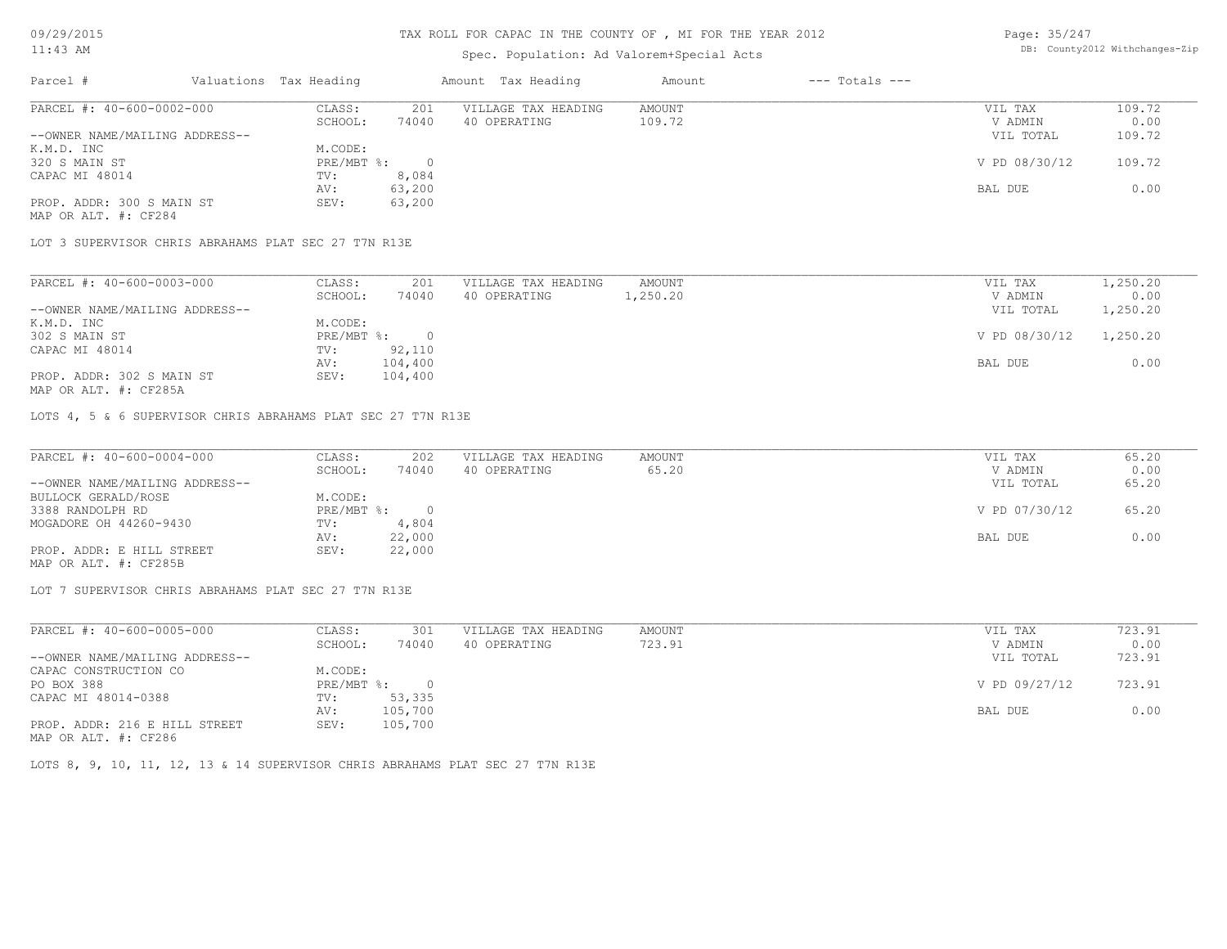#### TAX ROLL FOR CAPAC IN THE COUNTY OF , MI FOR THE YEAR 2012

## Spec. Population: Ad Valorem+Special Acts

Page: 35/247 DB: County2012 Withchanges-Zip

| Parcel #                       | Valuations Tax Heading |        | Amount Tax Heading  | Amount | $---$ Totals $---$ |               |        |
|--------------------------------|------------------------|--------|---------------------|--------|--------------------|---------------|--------|
| PARCEL #: 40-600-0002-000      | CLASS:                 | 201    | VILLAGE TAX HEADING | AMOUNT |                    | VIL TAX       | 109.72 |
|                                | SCHOOL:                | 74040  | 40 OPERATING        | 109.72 |                    | V ADMIN       | 0.00   |
| --OWNER NAME/MAILING ADDRESS-- |                        |        |                     |        |                    | VIL TOTAL     | 109.72 |
| K.M.D. INC                     | M.CODE:                |        |                     |        |                    |               |        |
| 320 S MAIN ST                  | $PRE/MBT$ %:           |        |                     |        |                    | V PD 08/30/12 | 109.72 |
| CAPAC MI 48014                 | TV:                    | 8,084  |                     |        |                    |               |        |
|                                | AV:                    | 63,200 |                     |        |                    | BAL DUE       | 0.00   |
| PROP. ADDR: 300 S MAIN ST      | SEV:                   | 63,200 |                     |        |                    |               |        |
| MAP OR ALT. #: CF284           |                        |        |                     |        |                    |               |        |

LOT 3 SUPERVISOR CHRIS ABRAHAMS PLAT SEC 27 T7N R13E

| PARCEL #: 40-600-0003-000      | CLASS:     | 201     | VILLAGE TAX HEADING | AMOUNT   | VIL TAX       | 1,250.20 |
|--------------------------------|------------|---------|---------------------|----------|---------------|----------|
|                                | SCHOOL:    | 74040   | 40 OPERATING        | 1,250.20 | V ADMIN       | 0.00     |
| --OWNER NAME/MAILING ADDRESS-- |            |         |                     |          | VIL TOTAL     | 1,250.20 |
| K.M.D. INC                     | M.CODE:    |         |                     |          |               |          |
| 302 S MAIN ST                  | PRE/MBT %: |         |                     |          | V PD 08/30/12 | 1,250.20 |
| CAPAC MI 48014                 | TV:        | 92,110  |                     |          |               |          |
|                                | AV:        | 104,400 |                     |          | BAL DUE       | 0.00     |
| PROP. ADDR: 302 S MAIN ST      | SEV:       | 104,400 |                     |          |               |          |
|                                |            |         |                     |          |               |          |

MAP OR ALT. #: CF285A

LOTS 4, 5 & 6 SUPERVISOR CHRIS ABRAHAMS PLAT SEC 27 T7N R13E

| PARCEL #: 40-600-0004-000      | CLASS:       | 202    | VILLAGE TAX HEADING | AMOUNT | VIL TAX       | 65.20 |
|--------------------------------|--------------|--------|---------------------|--------|---------------|-------|
|                                | SCHOOL:      | 74040  | 40 OPERATING        | 65.20  | V ADMIN       | 0.00  |
| --OWNER NAME/MAILING ADDRESS-- |              |        |                     |        | VIL TOTAL     | 65.20 |
| BULLOCK GERALD/ROSE            | M.CODE:      |        |                     |        |               |       |
| 3388 RANDOLPH RD               | $PRE/MBT$ %: |        |                     |        | V PD 07/30/12 | 65.20 |
| MOGADORE OH 44260-9430         | TV:          | 4,804  |                     |        |               |       |
|                                | AV:          | 22,000 |                     |        | BAL DUE       | 0.00  |
| PROP. ADDR: E HILL STREET      | SEV:         | 22,000 |                     |        |               |       |
| MAP OR ALT. #: CF285B          |              |        |                     |        |               |       |

LOT 7 SUPERVISOR CHRIS ABRAHAMS PLAT SEC 27 T7N R13E

| PARCEL #: 40-600-0005-000      | CLASS:     | 301      | VILLAGE TAX HEADING | AMOUNT | VIL TAX       | 723.91 |
|--------------------------------|------------|----------|---------------------|--------|---------------|--------|
|                                | SCHOOL:    | 74040    | 40 OPERATING        | 723.91 | V ADMIN       | 0.00   |
| --OWNER NAME/MAILING ADDRESS-- |            |          |                     |        | VIL TOTAL     | 723.91 |
| CAPAC CONSTRUCTION CO          | M.CODE:    |          |                     |        |               |        |
| PO BOX 388                     | PRE/MBT %: | $\Omega$ |                     |        | V PD 09/27/12 | 723.91 |
| CAPAC MI 48014-0388            | TV:        | 53,335   |                     |        |               |        |
|                                | AV:        | 105,700  |                     |        | BAL DUE       | 0.00   |
| PROP. ADDR: 216 E HILL STREET  | SEV:       | 105,700  |                     |        |               |        |
| MAP OR ALT. #: CF286           |            |          |                     |        |               |        |

LOTS 8, 9, 10, 11, 12, 13 & 14 SUPERVISOR CHRIS ABRAHAMS PLAT SEC 27 T7N R13E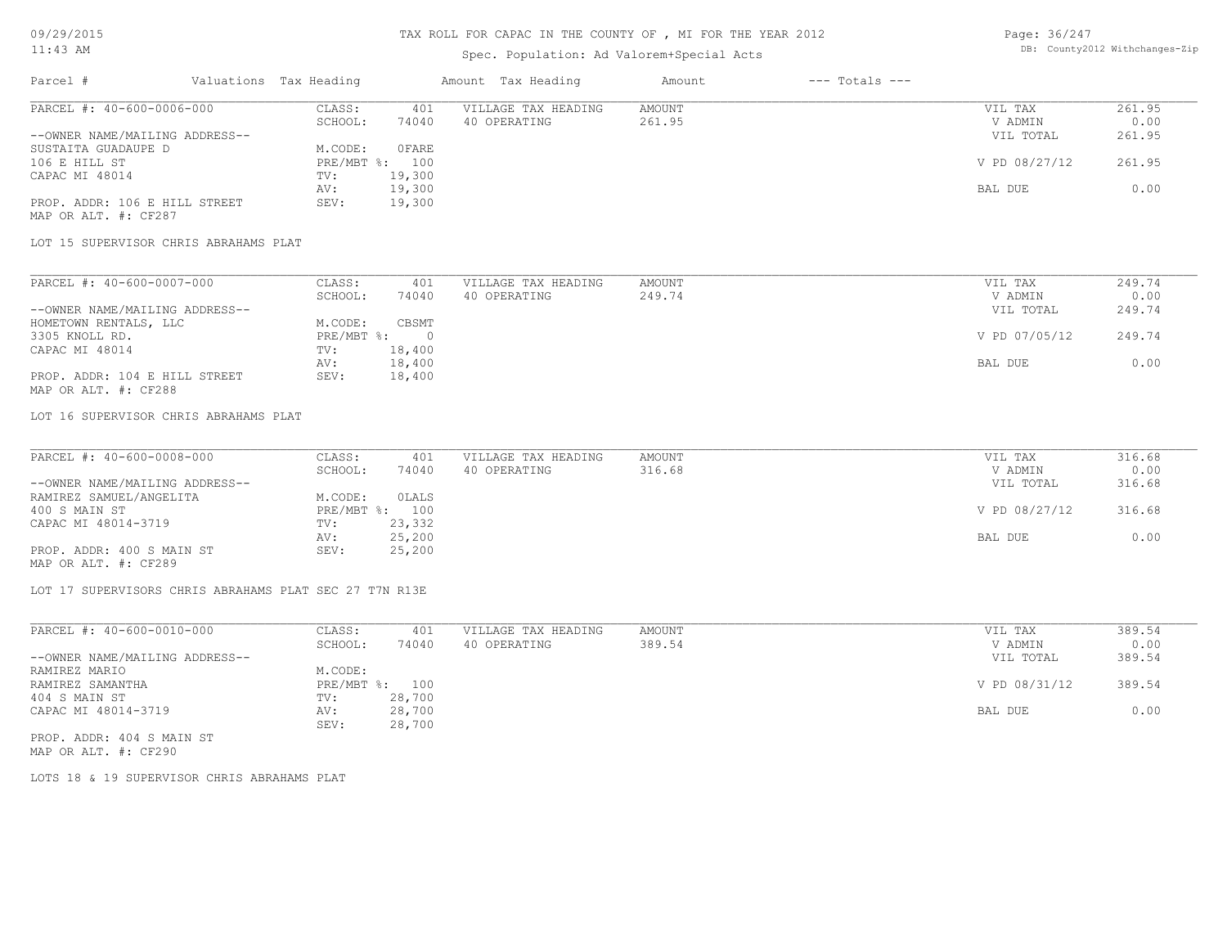## Spec. Population: Ad Valorem+Special Acts

| Page: 36/247 |                                |
|--------------|--------------------------------|
|              | DB: County2012 Withchanges-Zip |

| Parcel #                       | Valuations Tax Heading |        | Amount Tax Heading  | Amount | $---$ Totals $---$ |               |        |
|--------------------------------|------------------------|--------|---------------------|--------|--------------------|---------------|--------|
| PARCEL #: 40-600-0006-000      | CLASS:                 | 401    | VILLAGE TAX HEADING | AMOUNT |                    | VIL TAX       | 261.95 |
|                                | SCHOOL:                | 74040  | 40 OPERATING        | 261.95 |                    | V ADMIN       | 0.00   |
| --OWNER NAME/MAILING ADDRESS-- |                        |        |                     |        |                    | VIL TOTAL     | 261.95 |
| SUSTAITA GUADAUPE D            | M.CODE:                | OFARE  |                     |        |                    |               |        |
| 106 E HILL ST                  | PRE/MBT %: 100         |        |                     |        |                    | V PD 08/27/12 | 261.95 |
| CAPAC MI 48014                 | TV:                    | 19,300 |                     |        |                    |               |        |
|                                | AV:                    | 19,300 |                     |        |                    | BAL DUE       | 0.00   |
| PROP. ADDR: 106 E HILL STREET  | SEV:                   | 19,300 |                     |        |                    |               |        |
|                                |                        |        |                     |        |                    |               |        |

MAP OR ALT. #: CF287

#### LOT 15 SUPERVISOR CHRIS ABRAHAMS PLAT

| PARCEL #: 40-600-0007-000      | CLASS:       | 401    | VILLAGE TAX HEADING | AMOUNT | VIL TAX       | 249.74 |
|--------------------------------|--------------|--------|---------------------|--------|---------------|--------|
|                                | SCHOOL:      | 74040  | 40 OPERATING        | 249.74 | V ADMIN       | 0.00   |
| --OWNER NAME/MAILING ADDRESS-- |              |        |                     |        | VIL TOTAL     | 249.74 |
| HOMETOWN RENTALS, LLC          | M.CODE:      | CBSMT  |                     |        |               |        |
| 3305 KNOLL RD.                 | $PRE/MBT$ %: |        |                     |        | V PD 07/05/12 | 249.74 |
| CAPAC MI 48014                 | TV:          | 18,400 |                     |        |               |        |
|                                | AV:          | 18,400 |                     |        | BAL DUE       | 0.00   |
| PROP. ADDR: 104 E HILL STREET  | SEV:         | 18,400 |                     |        |               |        |
| MAP OR ALT. #: CF288           |              |        |                     |        |               |        |

#### LOT 16 SUPERVISOR CHRIS ABRAHAMS PLAT

| PARCEL #: 40-600-0008-000      | CLASS:  | 401            | VILLAGE TAX HEADING | AMOUNT | VIL TAX       | 316.68 |
|--------------------------------|---------|----------------|---------------------|--------|---------------|--------|
|                                | SCHOOL: | 74040          | 40 OPERATING        | 316.68 | V ADMIN       | 0.00   |
| --OWNER NAME/MAILING ADDRESS-- |         |                |                     |        | VIL TOTAL     | 316.68 |
| RAMIREZ SAMUEL/ANGELITA        | M.CODE: | OLALS          |                     |        |               |        |
| 400 S MAIN ST                  |         | PRE/MBT %: 100 |                     |        | V PD 08/27/12 | 316.68 |
| CAPAC MI 48014-3719            | TV:     | 23,332         |                     |        |               |        |
|                                | AV:     | 25,200         |                     |        | BAL DUE       | 0.00   |
| PROP. ADDR: 400 S MAIN ST      | SEV:    | 25,200         |                     |        |               |        |
| MAP OR ALT. #: CF289           |         |                |                     |        |               |        |

LOT 17 SUPERVISORS CHRIS ABRAHAMS PLAT SEC 27 T7N R13E

| PARCEL #: 40-600-0010-000      | CLASS:       | 401    | VILLAGE TAX HEADING | AMOUNT | VIL TAX       | 389.54 |
|--------------------------------|--------------|--------|---------------------|--------|---------------|--------|
|                                | SCHOOL:      | 74040  | 40 OPERATING        | 389.54 | V ADMIN       | 0.00   |
| --OWNER NAME/MAILING ADDRESS-- |              |        |                     |        | VIL TOTAL     | 389.54 |
| RAMIREZ MARIO                  | M.CODE:      |        |                     |        |               |        |
| RAMIREZ SAMANTHA               | $PRE/MBT$ %: | 100    |                     |        | V PD 08/31/12 | 389.54 |
| 404 S MAIN ST                  | TV:          | 28,700 |                     |        |               |        |
| CAPAC MI 48014-3719            | AV:          | 28,700 |                     |        | BAL DUE       | 0.00   |
|                                | SEV:         | 28,700 |                     |        |               |        |
| PROP. ADDR: 404 S MAIN ST      |              |        |                     |        |               |        |

MAP OR ALT. #: CF290

LOTS 18 & 19 SUPERVISOR CHRIS ABRAHAMS PLAT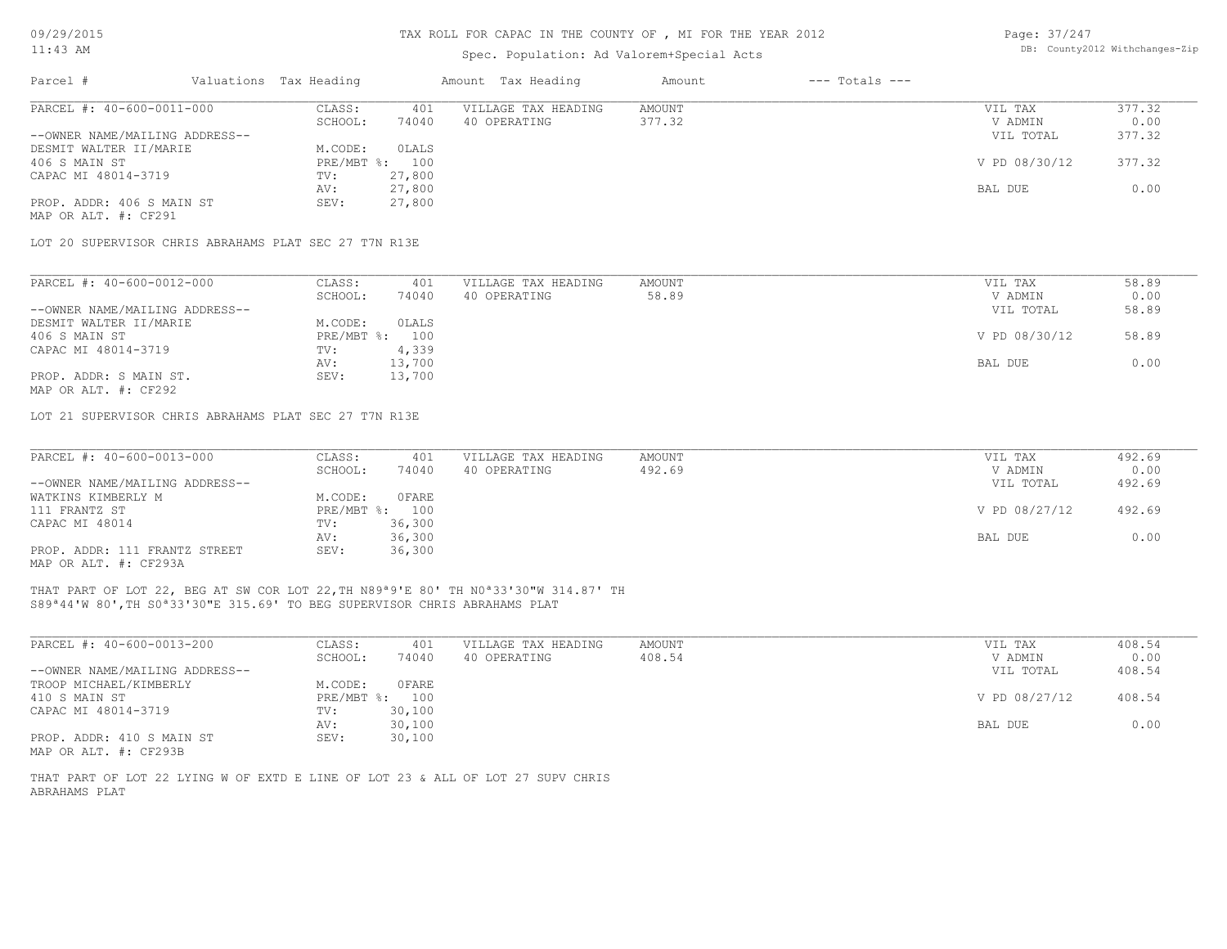# Spec. Population: Ad Valorem+Special Acts

| Page: 37/247 |                                |
|--------------|--------------------------------|
|              | DB: County2012 Withchanges-Zip |

| Parcel #                                              | Valuations Tax Heading |        | Amount Tax Heading  | Amount | $---$ Totals $---$ |               |        |
|-------------------------------------------------------|------------------------|--------|---------------------|--------|--------------------|---------------|--------|
| PARCEL #: 40-600-0011-000                             | CLASS:                 | 401    | VILLAGE TAX HEADING | AMOUNT |                    | VIL TAX       | 377.32 |
|                                                       | SCHOOL:                | 74040  | 40 OPERATING        | 377.32 |                    | V ADMIN       | 0.00   |
| --OWNER NAME/MAILING ADDRESS--                        |                        |        |                     |        |                    | VIL TOTAL     | 377.32 |
| DESMIT WALTER II/MARIE                                | M.CODE:                | OLALS  |                     |        |                    |               |        |
| 406 S MAIN ST                                         | PRE/MBT %:             | 100    |                     |        |                    | V PD 08/30/12 | 377.32 |
| CAPAC MI 48014-3719                                   | TV:                    | 27,800 |                     |        |                    |               |        |
|                                                       | AV:                    | 27,800 |                     |        |                    | BAL DUE       | 0.00   |
| PROP. ADDR: 406 S MAIN ST                             | SEV:                   | 27,800 |                     |        |                    |               |        |
| MAP OR ALT. #: CF291                                  |                        |        |                     |        |                    |               |        |
| LOT 20 SUPERVISOR CHRIS ABRAHAMS PLAT SEC 27 T7N R13E |                        |        |                     |        |                    |               |        |
| PARCEL #: 40-600-0012-000                             | CLASS:                 | 401    | VILLAGE TAX HEADING | AMOUNT |                    | VIL TAX       | 58.89  |
|                                                       | SCHOOL:                | 74040  | 40 OPERATING        | 58.89  |                    | V ADMIN       | 0.00   |
| --OWNER NAME/MAILING ADDRESS--                        |                        |        |                     |        |                    | VIL TOTAL     | 58.89  |
| DESMIT WALTER II/MARIE                                | M.CODE:                | OLALS  |                     |        |                    |               |        |
| 406 S MAIN ST                                         | PRE/MBT %:             | 100    |                     |        |                    | V PD 08/30/12 | 58.89  |
| CAPAC MI 48014-3719                                   | TV:                    | 4,339  |                     |        |                    |               |        |
|                                                       | AV:                    | 13,700 |                     |        |                    | BAL DUE       | 0.00   |

MAP OR ALT. #: CF292 PROP. ADDR: S MAIN ST. SEV: 13,700 AV: 13,700 BAL DUE 0.00

LOT 21 SUPERVISOR CHRIS ABRAHAMS PLAT SEC 27 T7N R13E

| PARCEL #: 40-600-0013-000      | CLASS:     | 401    | VILLAGE TAX HEADING | AMOUNT | VIL TAX       | 492.69 |
|--------------------------------|------------|--------|---------------------|--------|---------------|--------|
|                                | SCHOOL:    | 74040  | 40 OPERATING        | 492.69 | V ADMIN       | 0.00   |
| --OWNER NAME/MAILING ADDRESS-- |            |        |                     |        | VIL TOTAL     | 492.69 |
| WATKINS KIMBERLY M             | M.CODE:    | OFARE  |                     |        |               |        |
| 111 FRANTZ ST                  | PRE/MBT %: | 100    |                     |        | V PD 08/27/12 | 492.69 |
| CAPAC MI 48014                 | TV:        | 36,300 |                     |        |               |        |
|                                | AV:        | 36,300 |                     |        | BAL DUE       | 0.00   |
| PROP. ADDR: 111 FRANTZ STREET  | SEV:       | 36,300 |                     |        |               |        |
| MAP OR ALT. #: CF293A          |            |        |                     |        |               |        |

 $\mathcal{L}_\mathcal{L} = \mathcal{L}_\mathcal{L} = \mathcal{L}_\mathcal{L} = \mathcal{L}_\mathcal{L} = \mathcal{L}_\mathcal{L} = \mathcal{L}_\mathcal{L} = \mathcal{L}_\mathcal{L} = \mathcal{L}_\mathcal{L} = \mathcal{L}_\mathcal{L} = \mathcal{L}_\mathcal{L} = \mathcal{L}_\mathcal{L} = \mathcal{L}_\mathcal{L} = \mathcal{L}_\mathcal{L} = \mathcal{L}_\mathcal{L} = \mathcal{L}_\mathcal{L} = \mathcal{L}_\mathcal{L} = \mathcal{L}_\mathcal{L}$ 

S89ª44'W 80',TH S0ª33'30"E 315.69' TO BEG SUPERVISOR CHRIS ABRAHAMS PLAT THAT PART OF LOT 22, BEG AT SW COR LOT 22,TH N89ª9'E 80' TH N0ª33'30"W 314.87' TH

| PARCEL #: 40-600-0013-200      | CLASS:     | 401    | VILLAGE TAX HEADING | AMOUNT | VIL TAX       | 408.54 |
|--------------------------------|------------|--------|---------------------|--------|---------------|--------|
|                                | SCHOOL:    | 74040  | 40 OPERATING        | 408.54 | V ADMIN       | 0.00   |
| --OWNER NAME/MAILING ADDRESS-- |            |        |                     |        | VIL TOTAL     | 408.54 |
| TROOP MICHAEL/KIMBERLY         | M.CODE:    | OFARE  |                     |        |               |        |
| 410 S MAIN ST                  | PRE/MBT %: | 100    |                     |        | V PD 08/27/12 | 408.54 |
| CAPAC MI 48014-3719            | TV:        | 30,100 |                     |        |               |        |
|                                | AV:        | 30,100 |                     |        | BAL DUE       | 0.00   |
| PROP. ADDR: 410 S MAIN ST      | SEV:       | 30,100 |                     |        |               |        |
| MAP OR ALT. #: CF293B          |            |        |                     |        |               |        |

ABRAHAMS PLAT THAT PART OF LOT 22 LYING W OF EXTD E LINE OF LOT 23 & ALL OF LOT 27 SUPV CHRIS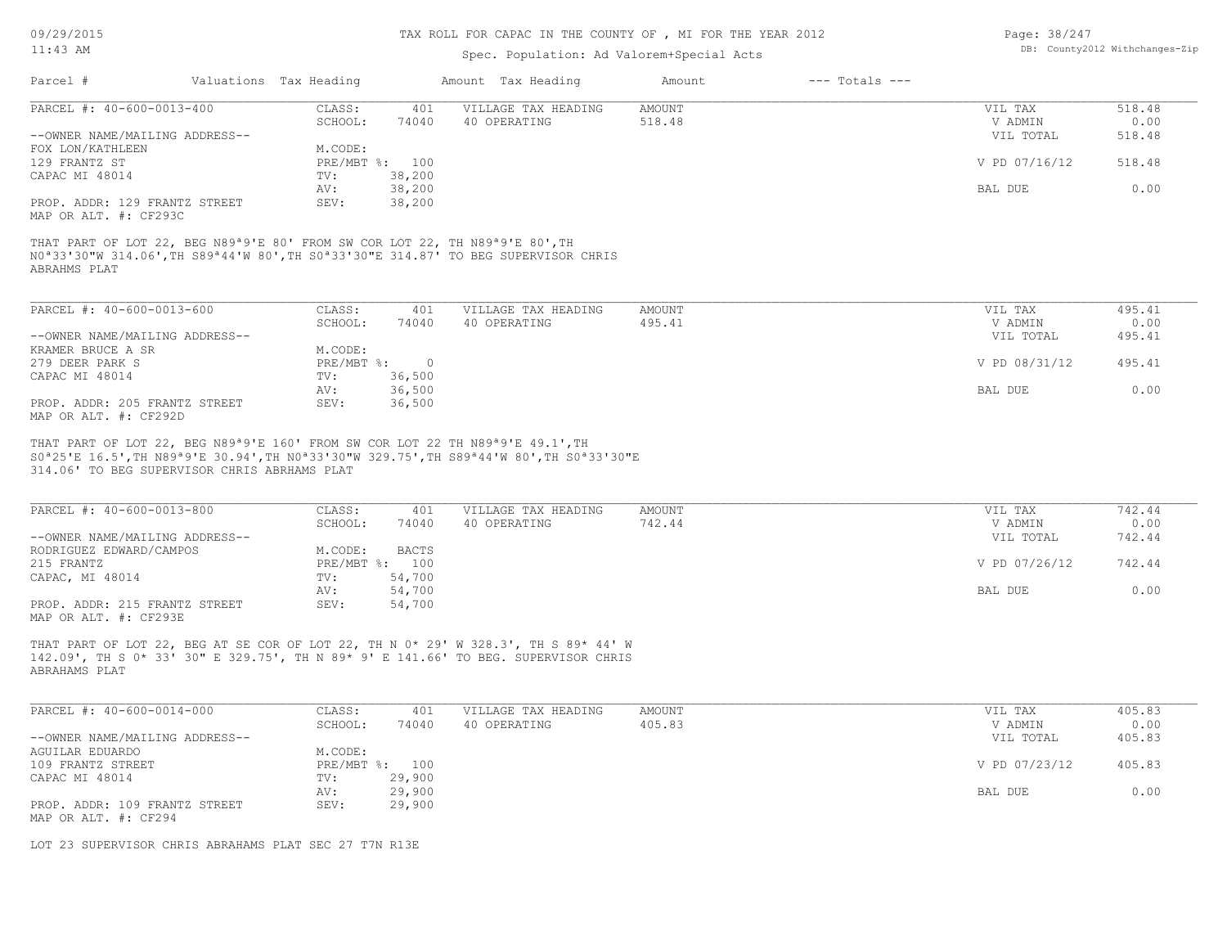09/29/2015

## 11:43 AM

#### TAX ROLL FOR CAPAC IN THE COUNTY OF , MI FOR THE YEAR 2012

# Spec. Population: Ad Valorem+Special Acts

| Page: 38/247 |                                |
|--------------|--------------------------------|
|              | DB: County2012 Withchanges-Zip |

| Parcel #                                               | Valuations Tax Heading |                | Amount Tax Heading  | Amount | $---$ Totals $---$ |               |        |
|--------------------------------------------------------|------------------------|----------------|---------------------|--------|--------------------|---------------|--------|
| PARCEL #: 40-600-0013-400                              | CLASS:                 | 401            | VILLAGE TAX HEADING | AMOUNT |                    | VIL TAX       | 518.48 |
|                                                        | SCHOOL:                | 74040          | 40 OPERATING        | 518.48 |                    | V ADMIN       | 0.00   |
| --OWNER NAME/MAILING ADDRESS--                         |                        |                |                     |        |                    | VIL TOTAL     | 518.48 |
| FOX LON/KATHLEEN                                       | M.CODE:                |                |                     |        |                    |               |        |
| 129 FRANTZ ST                                          |                        | PRE/MBT %: 100 |                     |        |                    | V PD 07/16/12 | 518.48 |
| CAPAC MI 48014                                         | TV:                    | 38,200         |                     |        |                    |               |        |
|                                                        | AV:                    | 38,200         |                     |        |                    | BAL DUE       | 0.00   |
| PROP. ADDR: 129 FRANTZ STREET<br>MAP OR ALT. #: CF293C | SEV:                   | 38,200         |                     |        |                    |               |        |

ABRAHMS PLAT N0ª33'30"W 314.06',TH S89ª44'W 80',TH S0ª33'30"E 314.87' TO BEG SUPERVISOR CHRIS THAT PART OF LOT 22, BEG N89ª9'E 80' FROM SW COR LOT 22, TH N89ª9'E 80',TH

| PARCEL #: 40-600-0013-600      | CLASS:     | 401    | VILLAGE TAX HEADING | AMOUNT | VIL TAX       | 495.41 |
|--------------------------------|------------|--------|---------------------|--------|---------------|--------|
|                                | SCHOOL:    | 74040  | 40 OPERATING        | 495.41 | V ADMIN       | 0.00   |
| --OWNER NAME/MAILING ADDRESS-- |            |        |                     |        | VIL TOTAL     | 495.41 |
| KRAMER BRUCE A SR              | M.CODE:    |        |                     |        |               |        |
| 279 DEER PARK S                | PRE/MBT %: |        |                     |        | V PD 08/31/12 | 495.41 |
| CAPAC MI 48014                 | TV:        | 36,500 |                     |        |               |        |
|                                | AV:        | 36,500 |                     |        | BAL DUE       | 0.00   |
| PROP. ADDR: 205 FRANTZ STREET  | SEV:       | 36,500 |                     |        |               |        |
| MAP OR ALT. #: CF292D          |            |        |                     |        |               |        |

314.06' TO BEG SUPERVISOR CHRIS ABRHAMS PLAT S0ª25'E 16.5',TH N89ª9'E 30.94',TH N0ª33'30"W 329.75',TH S89ª44'W 80',TH S0ª33'30"E THAT PART OF LOT 22, BEG N89ª9'E 160' FROM SW COR LOT 22 TH N89ª9'E 49.1',TH

| PARCEL #: 40-600-0013-800      | CLASS:  | 401            | VILLAGE TAX HEADING | AMOUNT | VIL TAX       | 742.44 |
|--------------------------------|---------|----------------|---------------------|--------|---------------|--------|
|                                | SCHOOL: | 74040          | 40 OPERATING        | 742.44 | V ADMIN       | 0.00   |
| --OWNER NAME/MAILING ADDRESS-- |         |                |                     |        | VIL TOTAL     | 742.44 |
| RODRIGUEZ EDWARD/CAMPOS        | M.CODE: | BACTS          |                     |        |               |        |
| 215 FRANTZ                     |         | PRE/MBT %: 100 |                     |        | V PD 07/26/12 | 742.44 |
| CAPAC, MI 48014                | TV:     | 54,700         |                     |        |               |        |
|                                | AV:     | 54,700         |                     |        | BAL DUE       | 0.00   |
| PROP. ADDR: 215 FRANTZ STREET  | SEV:    | 54,700         |                     |        |               |        |
| ---- -- --- " ----             |         |                |                     |        |               |        |

MAP OR ALT. #: CF293E

ABRAHAMS PLAT 142.09', TH S 0\* 33' 30" E 329.75', TH N 89\* 9' E 141.66' TO BEG. SUPERVISOR CHRIS THAT PART OF LOT 22, BEG AT SE COR OF LOT 22, TH N 0\* 29' W 328.3', TH S 89\* 44' W

| PARCEL #: 40-600-0014-000      | CLASS:  | 401            | VILLAGE TAX HEADING | AMOUNT | VIL TAX       | 405.83 |
|--------------------------------|---------|----------------|---------------------|--------|---------------|--------|
|                                | SCHOOL: | 74040          | 40 OPERATING        | 405.83 | V ADMIN       | 0.00   |
| --OWNER NAME/MAILING ADDRESS-- |         |                |                     |        | VIL TOTAL     | 405.83 |
| AGUILAR EDUARDO                | M.CODE: |                |                     |        |               |        |
| 109 FRANTZ STREET              |         | PRE/MBT %: 100 |                     |        | V PD 07/23/12 | 405.83 |
| CAPAC MI 48014                 | TV:     | 29,900         |                     |        |               |        |
|                                | AV:     | 29,900         |                     |        | BAL DUE       | 0.00   |
| PROP. ADDR: 109 FRANTZ STREET  | SEV:    | 29,900         |                     |        |               |        |
| MAP OR ALT. #: CF294           |         |                |                     |        |               |        |

LOT 23 SUPERVISOR CHRIS ABRAHAMS PLAT SEC 27 T7N R13E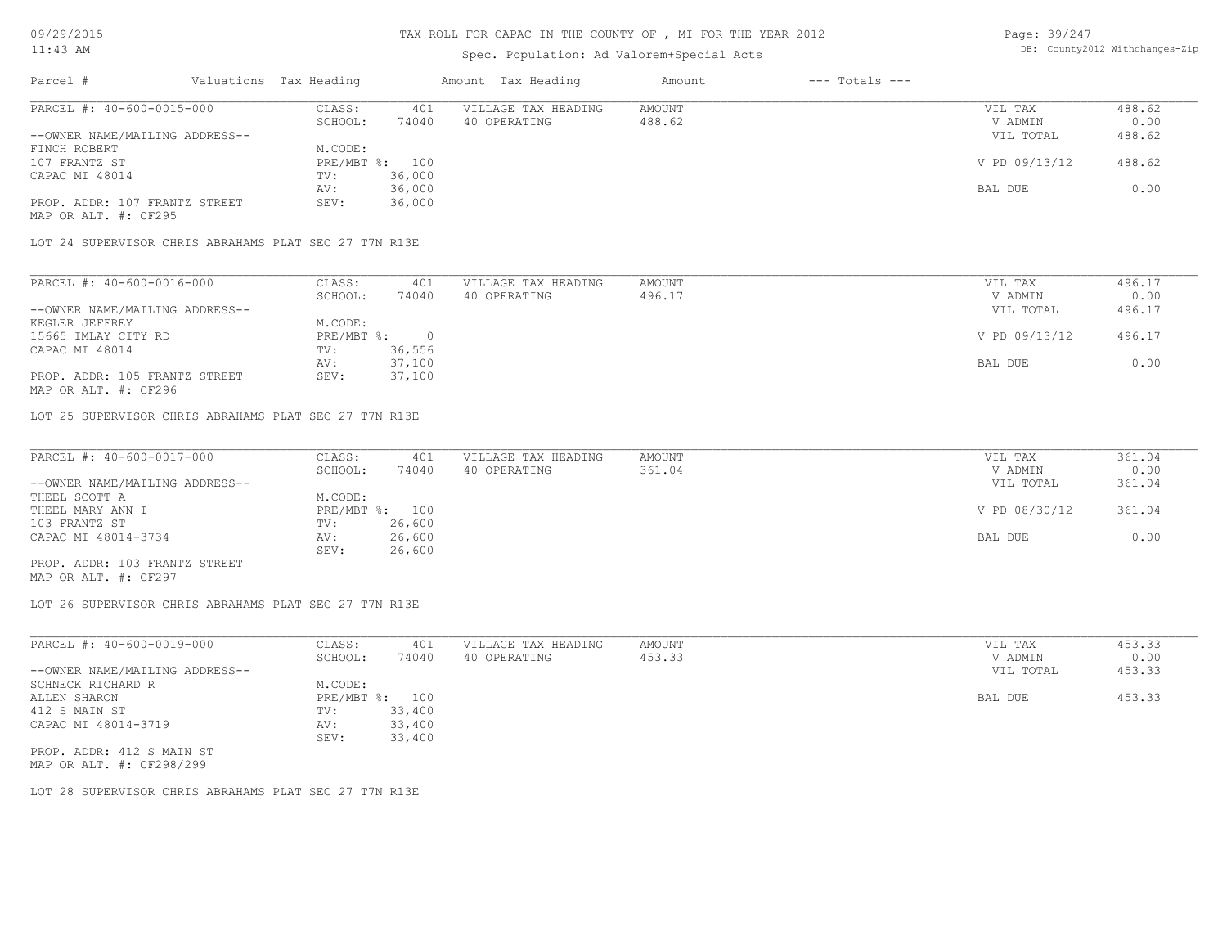# TAX ROLL FOR CAPAC IN THE COUNTY OF , MI FOR THE YEAR 2012

# Spec. Population: Ad Valorem+Special Acts

Page: 39/247 DB: County2012 Withchanges-Zip

| Parcel #                                              | Valuations Tax Heading |                | Amount Tax Heading  | Amount | $---$ Totals $---$ |               |        |
|-------------------------------------------------------|------------------------|----------------|---------------------|--------|--------------------|---------------|--------|
| PARCEL #: 40-600-0015-000                             | CLASS:                 | 401            | VILLAGE TAX HEADING | AMOUNT |                    | VIL TAX       | 488.62 |
|                                                       | SCHOOL:                | 74040          | 40 OPERATING        | 488.62 |                    | V ADMIN       | 0.00   |
| --OWNER NAME/MAILING ADDRESS--                        |                        |                |                     |        |                    | VIL TOTAL     | 488.62 |
| FINCH ROBERT                                          | M.CODE:                |                |                     |        |                    |               |        |
| 107 FRANTZ ST                                         |                        | PRE/MBT %: 100 |                     |        |                    | V PD 09/13/12 | 488.62 |
| CAPAC MI 48014                                        | TV:                    | 36,000         |                     |        |                    |               |        |
|                                                       | AV:                    | 36,000         |                     |        |                    | BAL DUE       | 0.00   |
| PROP. ADDR: 107 FRANTZ STREET                         | SEV:                   | 36,000         |                     |        |                    |               |        |
| MAP OR ALT. #: CF295                                  |                        |                |                     |        |                    |               |        |
| LOT 24 SUPERVISOR CHRIS ABRAHAMS PLAT SEC 27 T7N R13E |                        |                |                     |        |                    |               |        |
|                                                       |                        |                |                     |        |                    |               |        |
|                                                       |                        |                |                     |        |                    |               |        |

| PARCEL #: 40-600-0016-000      | CLASS:     | 401    | VILLAGE TAX HEADING | AMOUNT | VIL TAX       | 496.17 |
|--------------------------------|------------|--------|---------------------|--------|---------------|--------|
|                                | SCHOOL:    | 74040  | 40 OPERATING        | 496.17 | V ADMIN       | 0.00   |
| --OWNER NAME/MAILING ADDRESS-- |            |        |                     |        | VIL TOTAL     | 496.17 |
| KEGLER JEFFREY                 | M.CODE:    |        |                     |        |               |        |
| 15665 IMLAY CITY RD            | PRE/MBT %: |        |                     |        | V PD 09/13/12 | 496.17 |
| CAPAC MI 48014                 | TV:        | 36,556 |                     |        |               |        |
|                                | AV:        | 37,100 |                     |        | BAL DUE       | 0.00   |
| PROP. ADDR: 105 FRANTZ STREET  | SEV:       | 37,100 |                     |        |               |        |
| MAP OR ALT. #: CF296           |            |        |                     |        |               |        |

LOT 25 SUPERVISOR CHRIS ABRAHAMS PLAT SEC 27 T7N R13E

| PARCEL #: 40-600-0017-000      | CLASS:  | 401            | VILLAGE TAX HEADING | AMOUNT | VIL TAX       | 361.04 |
|--------------------------------|---------|----------------|---------------------|--------|---------------|--------|
|                                | SCHOOL: | 74040          | 40 OPERATING        | 361.04 | V ADMIN       | 0.00   |
| --OWNER NAME/MAILING ADDRESS-- |         |                |                     |        | VIL TOTAL     | 361.04 |
| THEEL SCOTT A                  | M.CODE: |                |                     |        |               |        |
| THEEL MARY ANN I               |         | PRE/MBT %: 100 |                     |        | V PD 08/30/12 | 361.04 |
| 103 FRANTZ ST                  | TV:     | 26,600         |                     |        |               |        |
| CAPAC MI 48014-3734            | AV:     | 26,600         |                     |        | BAL DUE       | 0.00   |
|                                | SEV:    | 26,600         |                     |        |               |        |
| PROP. ADDR: 103 FRANTZ STREET  |         |                |                     |        |               |        |

MAP OR ALT. #: CF297

LOT 26 SUPERVISOR CHRIS ABRAHAMS PLAT SEC 27 T7N R13E

| PARCEL #: 40-600-0019-000      | CLASS:         | 401    | VILLAGE TAX HEADING | AMOUNT | VIL TAX   | 453.33 |
|--------------------------------|----------------|--------|---------------------|--------|-----------|--------|
|                                | SCHOOL:        | 74040  | 40 OPERATING        | 453.33 | V ADMIN   | 0.00   |
| --OWNER NAME/MAILING ADDRESS-- |                |        |                     |        | VIL TOTAL | 453.33 |
| SCHNECK RICHARD R              | M.CODE:        |        |                     |        |           |        |
| ALLEN SHARON                   | PRE/MBT %: 100 |        |                     |        | BAL DUE   | 453.33 |
| 412 S MAIN ST                  | TV:            | 33,400 |                     |        |           |        |
| CAPAC MI 48014-3719            | AV:            | 33,400 |                     |        |           |        |
|                                | SEV:           | 33,400 |                     |        |           |        |
| PROP. ADDR: 412 S MAIN ST      |                |        |                     |        |           |        |

MAP OR ALT. #: CF298/299

LOT 28 SUPERVISOR CHRIS ABRAHAMS PLAT SEC 27 T7N R13E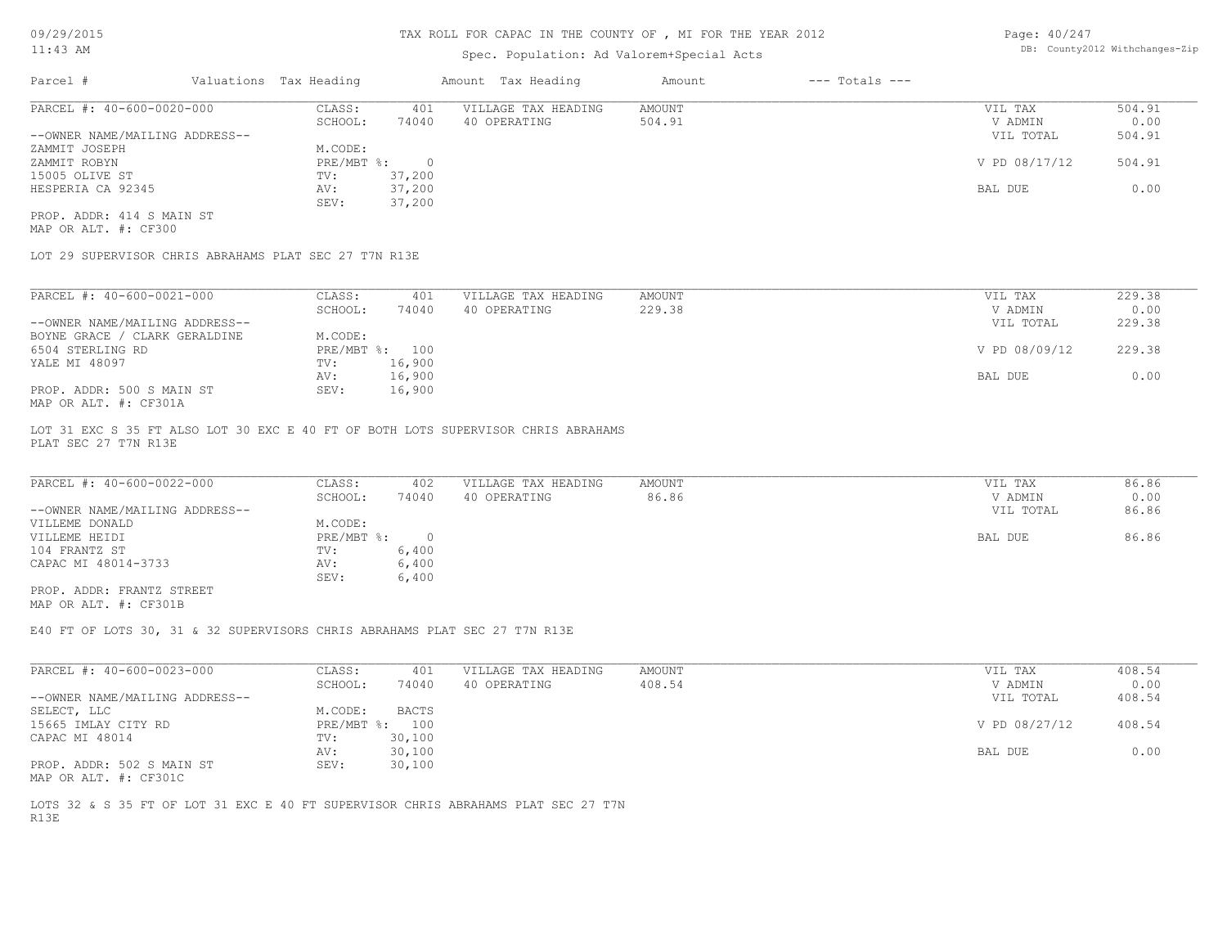# Spec. Population: Ad Valorem+Special Acts

Page: 40/247 DB: County2012 Withchanges-Zip

| Parcel #                       | Valuations Tax Heading |        | Amount Tax Heading  | Amount | $---$ Totals $---$ |               |        |
|--------------------------------|------------------------|--------|---------------------|--------|--------------------|---------------|--------|
| PARCEL #: 40-600-0020-000      | CLASS:                 | 401    | VILLAGE TAX HEADING | AMOUNT |                    | VIL TAX       | 504.91 |
|                                | SCHOOL:                | 74040  | 40 OPERATING        | 504.91 |                    | V ADMIN       | 0.00   |
| --OWNER NAME/MAILING ADDRESS-- |                        |        |                     |        |                    | VIL TOTAL     | 504.91 |
| ZAMMIT JOSEPH                  | M.CODE:                |        |                     |        |                    |               |        |
| ZAMMIT ROBYN                   | PRE/MBT %:             |        |                     |        |                    | V PD 08/17/12 | 504.91 |
| 15005 OLIVE ST                 | TV:                    | 37,200 |                     |        |                    |               |        |
| HESPERIA CA 92345              | AV:                    | 37,200 |                     |        |                    | BAL DUE       | 0.00   |
|                                | SEV:                   | 37,200 |                     |        |                    |               |        |
| PROP. ADDR: 414 S MAIN ST      |                        |        |                     |        |                    |               |        |

MAP OR ALT. #: CF300

LOT 29 SUPERVISOR CHRIS ABRAHAMS PLAT SEC 27 T7N R13E

| PARCEL #: 40-600-0021-000      | CLASS:     | 401    | VILLAGE TAX HEADING | AMOUNT | 229.38<br>VIL TAX       |  |
|--------------------------------|------------|--------|---------------------|--------|-------------------------|--|
|                                | SCHOOL:    | 74040  | 40 OPERATING        | 229.38 | 0.00<br>V ADMIN         |  |
| --OWNER NAME/MAILING ADDRESS-- |            |        |                     |        | 229.38<br>VIL TOTAL     |  |
| BOYNE GRACE / CLARK GERALDINE  | M.CODE:    |        |                     |        |                         |  |
| 6504 STERLING RD               | PRE/MBT %: | 100    |                     |        | V PD 08/09/12<br>229.38 |  |
| YALE MI 48097                  | TV:        | 16,900 |                     |        |                         |  |
|                                | AV:        | 16,900 |                     |        | 0.00<br>BAL DUE         |  |
| PROP. ADDR: 500 S MAIN ST      | SEV:       | 16,900 |                     |        |                         |  |
| MAP OR ALT. #: CF301A          |            |        |                     |        |                         |  |

PLAT SEC 27 T7N R13E LOT 31 EXC S 35 FT ALSO LOT 30 EXC E 40 FT OF BOTH LOTS SUPERVISOR CHRIS ABRAHAMS

| PARCEL #: 40-600-0022-000      | CLASS:       | 402   | VILLAGE TAX HEADING | AMOUNT | VIL TAX   | 86.86 |
|--------------------------------|--------------|-------|---------------------|--------|-----------|-------|
|                                | SCHOOL:      | 74040 | 40 OPERATING        | 86.86  | V ADMIN   | 0.00  |
| --OWNER NAME/MAILING ADDRESS-- |              |       |                     |        | VIL TOTAL | 86.86 |
| VILLEME DONALD                 | M.CODE:      |       |                     |        |           |       |
| VILLEME HEIDI                  | $PRE/MBT$ %: |       |                     |        | BAL DUE   | 86.86 |
| 104 FRANTZ ST                  | TV:          | 6,400 |                     |        |           |       |
| CAPAC MI 48014-3733            | AV:          | 6,400 |                     |        |           |       |
|                                | SEV:         | 6,400 |                     |        |           |       |
| PROP. ADDR: FRANTZ STREET      |              |       |                     |        |           |       |

MAP OR ALT. #: CF301B

E40 FT OF LOTS 30, 31 & 32 SUPERVISORS CHRIS ABRAHAMS PLAT SEC 27 T7N R13E

| PARCEL #: 40-600-0023-000      | CLASS:  | 401            | VILLAGE TAX HEADING | AMOUNT | VIL TAX       | 408.54 |
|--------------------------------|---------|----------------|---------------------|--------|---------------|--------|
|                                | SCHOOL: | 74040          | 40 OPERATING        | 408.54 | V ADMIN       | 0.00   |
| --OWNER NAME/MAILING ADDRESS-- |         |                |                     |        | VIL TOTAL     | 408.54 |
| SELECT, LLC                    | M.CODE: | <b>BACTS</b>   |                     |        |               |        |
| 15665 IMLAY CITY RD            |         | PRE/MBT %: 100 |                     |        | V PD 08/27/12 | 408.54 |
| CAPAC MI 48014                 | TV:     | 30,100         |                     |        |               |        |
|                                | AV:     | 30,100         |                     |        | BAL DUE       | 0.00   |
| PROP. ADDR: 502 S MAIN ST      | SEV:    | 30,100         |                     |        |               |        |
| MAP OR ALT. #: CF301C          |         |                |                     |        |               |        |

R13E LOTS 32 & S 35 FT OF LOT 31 EXC E 40 FT SUPERVISOR CHRIS ABRAHAMS PLAT SEC 27 T7N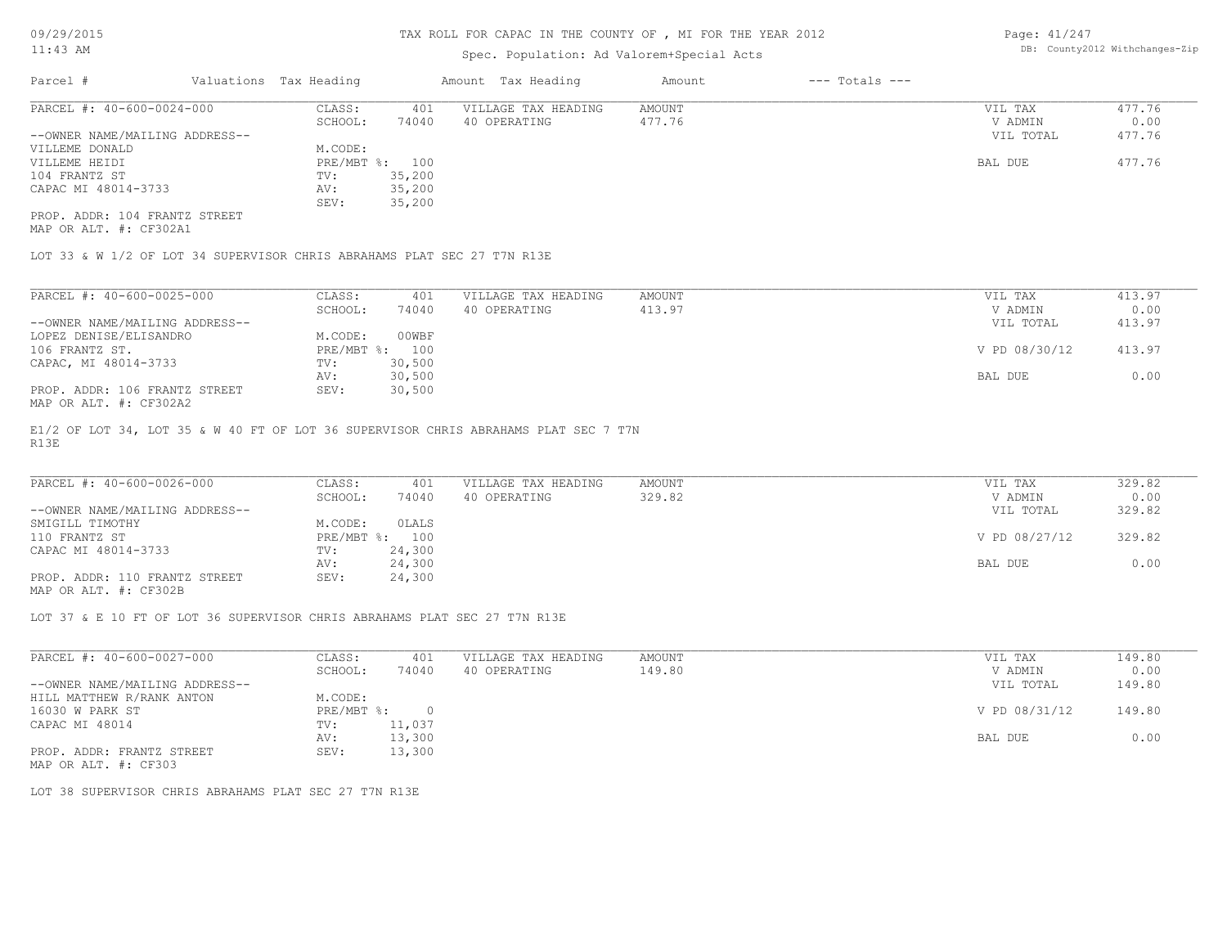# Spec. Population: Ad Valorem+Special Acts

Page: 41/247 DB: County2012 Withchanges-Zip

| Parcel #                       | Valuations Tax Heading |        | Amount Tax Heading  | Amount | $---$ Totals $---$ |           |        |
|--------------------------------|------------------------|--------|---------------------|--------|--------------------|-----------|--------|
| PARCEL #: 40-600-0024-000      | CLASS:                 | 401    | VILLAGE TAX HEADING | AMOUNT |                    | VIL TAX   | 477.76 |
|                                | SCHOOL:                | 74040  | 40 OPERATING        | 477.76 |                    | V ADMIN   | 0.00   |
| --OWNER NAME/MAILING ADDRESS-- |                        |        |                     |        |                    | VIL TOTAL | 477.76 |
| VILLEME DONALD                 | M.CODE:                |        |                     |        |                    |           |        |
| VILLEME HEIDI                  | PRE/MBT %: 100         |        |                     |        |                    | BAL DUE   | 477.76 |
| 104 FRANTZ ST                  | TV:                    | 35,200 |                     |        |                    |           |        |
| CAPAC MI 48014-3733            | AV:                    | 35,200 |                     |        |                    |           |        |
|                                | SEV:                   | 35,200 |                     |        |                    |           |        |
| PROP. ADDR: 104 FRANTZ STREET  |                        |        |                     |        |                    |           |        |

MAP OR ALT. #: CF302A1

LOT 33 & W 1/2 OF LOT 34 SUPERVISOR CHRIS ABRAHAMS PLAT SEC 27 T7N R13E

| PARCEL #: 40-600-0025-000                                                                                       | CLASS:  | 401            | VILLAGE TAX HEADING | AMOUNT | VIL TAX       | 413.97 |
|-----------------------------------------------------------------------------------------------------------------|---------|----------------|---------------------|--------|---------------|--------|
|                                                                                                                 | SCHOOL: | 74040          | 40 OPERATING        | 413.97 | V ADMIN       | 0.00   |
| --OWNER NAME/MAILING ADDRESS--                                                                                  |         |                |                     |        | VIL TOTAL     | 413.97 |
| LOPEZ DENISE/ELISANDRO                                                                                          | M.CODE: | 00WBF          |                     |        |               |        |
| 106 FRANTZ ST.                                                                                                  |         | PRE/MBT %: 100 |                     |        | V PD 08/30/12 | 413.97 |
| CAPAC, MI 48014-3733                                                                                            | TV:     | 30,500         |                     |        |               |        |
|                                                                                                                 | AV:     | 30,500         |                     |        | BAL DUE       | 0.00   |
| PROP. ADDR: 106 FRANTZ STREET<br>$M \land D$ $\land T \land T$ $\bot$ , $\land T \land \land \land \land \land$ | SEV:    | 30,500         |                     |        |               |        |

MAP OR ALT. #: CF302A2

R13E E1/2 OF LOT 34, LOT 35 & W 40 FT OF LOT 36 SUPERVISOR CHRIS ABRAHAMS PLAT SEC 7 T7N

| PARCEL #: 40-600-0026-000      | CLASS:  | 401            | VILLAGE TAX HEADING | AMOUNT | VIL TAX       | 329.82 |
|--------------------------------|---------|----------------|---------------------|--------|---------------|--------|
|                                | SCHOOL: | 74040          | 40 OPERATING        | 329.82 | V ADMIN       | 0.00   |
| --OWNER NAME/MAILING ADDRESS-- |         |                |                     |        | VIL TOTAL     | 329.82 |
| SMIGILL TIMOTHY                | M.CODE: | OLALS          |                     |        |               |        |
| 110 FRANTZ ST                  |         | PRE/MBT %: 100 |                     |        | V PD 08/27/12 | 329.82 |
| CAPAC MI 48014-3733            | TV:     | 24,300         |                     |        |               |        |
|                                | AV:     | 24,300         |                     |        | BAL DUE       | 0.00   |
| PROP. ADDR: 110 FRANTZ STREET  | SEV:    | 24,300         |                     |        |               |        |
|                                |         |                |                     |        |               |        |

MAP OR ALT. #: CF302B

LOT 37 & E 10 FT OF LOT 36 SUPERVISOR CHRIS ABRAHAMS PLAT SEC 27 T7N R13E

| PARCEL #: 40-600-0027-000      | CLASS:     | 401      | VILLAGE TAX HEADING | AMOUNT | VIL TAX       | 149.80 |  |
|--------------------------------|------------|----------|---------------------|--------|---------------|--------|--|
|                                | SCHOOL:    | 74040    | 40 OPERATING        | 149.80 | V ADMIN       | 0.00   |  |
| --OWNER NAME/MAILING ADDRESS-- |            |          |                     |        | VIL TOTAL     | 149.80 |  |
| HILL MATTHEW R/RANK ANTON      | M.CODE:    |          |                     |        |               |        |  |
| 16030 W PARK ST                | PRE/MBT %: | $\Omega$ |                     |        | V PD 08/31/12 | 149.80 |  |
| CAPAC MI 48014                 | TV:        | 11,037   |                     |        |               |        |  |
|                                | AV:        | 13,300   |                     |        | BAL DUE       | 0.00   |  |
| PROP. ADDR: FRANTZ STREET      | SEV:       | 13,300   |                     |        |               |        |  |
|                                |            |          |                     |        |               |        |  |

MAP OR ALT. #: CF303

LOT 38 SUPERVISOR CHRIS ABRAHAMS PLAT SEC 27 T7N R13E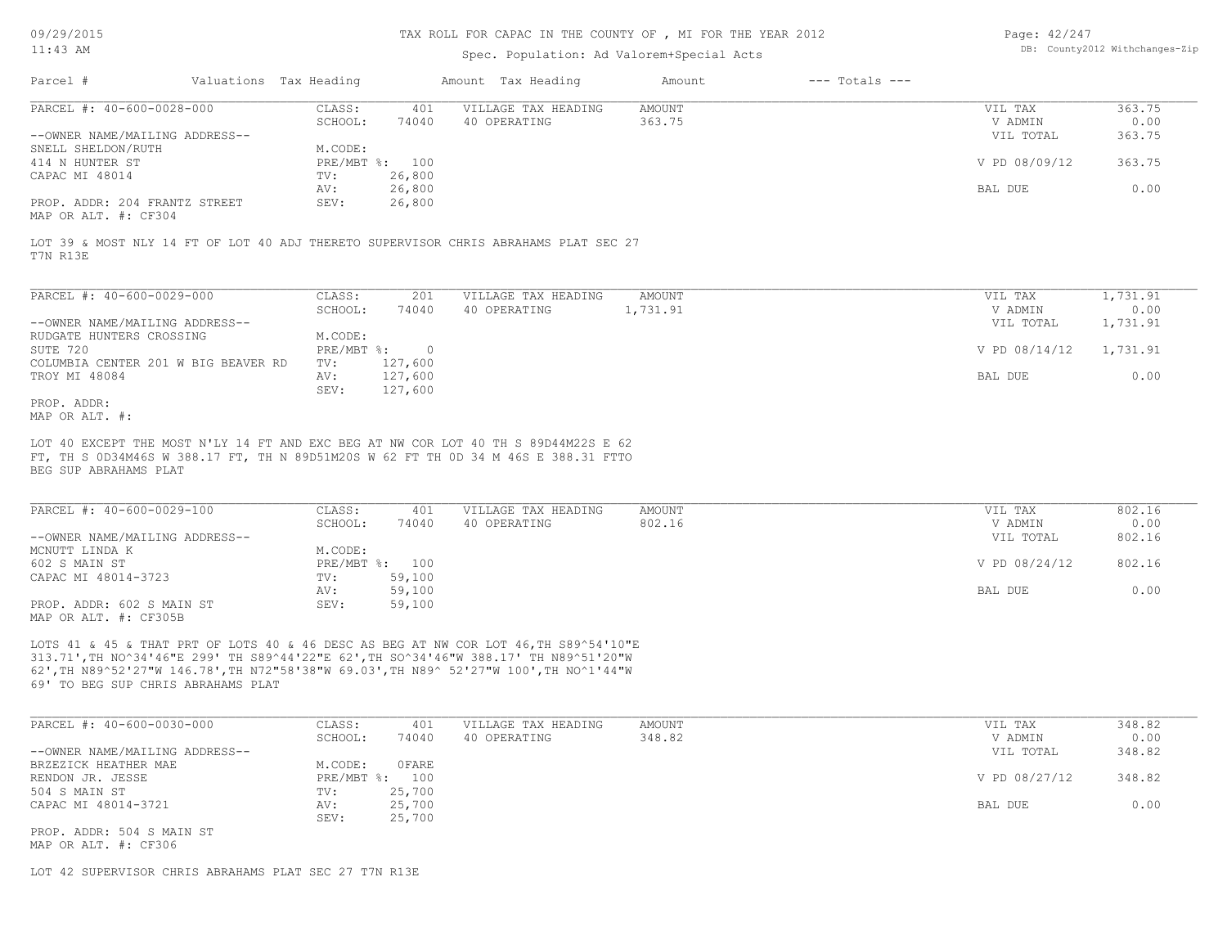## TAX ROLL FOR CAPAC IN THE COUNTY OF , MI FOR THE YEAR 2012

## Spec. Population: Ad Valorem+Special Acts

| Page: 42/247 |                                |
|--------------|--------------------------------|
|              | DB: County2012 Withchanges-Zip |

| Parcel #                       | Valuations Tax Heading |        | Amount Tax Heading  | Amount | $---$ Totals $---$ |                |        |
|--------------------------------|------------------------|--------|---------------------|--------|--------------------|----------------|--------|
| PARCEL #: 40-600-0028-000      | CLASS:                 | 401    | VILLAGE TAX HEADING | AMOUNT |                    | VIL TAX        | 363.75 |
|                                | SCHOOL:                | 74040  | 40 OPERATING        | 363.75 |                    | V ADMIN        | 0.00   |
| --OWNER NAME/MAILING ADDRESS-- |                        |        |                     |        |                    | VIL TOTAL      | 363.75 |
| SNELL SHELDON/RUTH             | M.CODE:                |        |                     |        |                    |                |        |
| 414 N HUNTER ST                | PRE/MBT %: 100         |        |                     |        |                    | V PD 08/09/12  | 363.75 |
| CAPAC MI 48014                 | TV:                    | 26,800 |                     |        |                    |                |        |
|                                | AV:                    | 26,800 |                     |        |                    | <b>BAL DUE</b> | 0.00   |
| PROP. ADDR: 204 FRANTZ STREET  | SEV:                   | 26,800 |                     |        |                    |                |        |
|                                |                        |        |                     |        |                    |                |        |

MAP OR ALT. #: CF304

T7N R13E LOT 39 & MOST NLY 14 FT OF LOT 40 ADJ THERETO SUPERVISOR CHRIS ABRAHAMS PLAT SEC 27

| PARCEL #: 40-600-0029-000           | CLASS:     | 201      | VILLAGE TAX HEADING | AMOUNT   | VIL TAX       | 1,731.91 |
|-------------------------------------|------------|----------|---------------------|----------|---------------|----------|
|                                     | SCHOOL:    | 74040    | 40 OPERATING        | 1,731.91 | V ADMIN       | 0.00     |
| --OWNER NAME/MAILING ADDRESS--      |            |          |                     |          | VIL TOTAL     | 1,731.91 |
| RUDGATE HUNTERS CROSSING            | M.CODE:    |          |                     |          |               |          |
| SUTE 720                            | PRE/MBT %: | $\Omega$ |                     |          | V PD 08/14/12 | 1,731.91 |
| COLUMBIA CENTER 201 W BIG BEAVER RD | TV:        | 127,600  |                     |          |               |          |
| TROY MI 48084                       | AV:        | 127,600  |                     |          | BAL DUE       | 0.00     |
|                                     | SEV:       | 127,600  |                     |          |               |          |
| PROP. ADDR:                         |            |          |                     |          |               |          |

MAP OR ALT. #:

BEG SUP ABRAHAMS PLAT FT, TH S 0D34M46S W 388.17 FT, TH N 89D51M20S W 62 FT TH 0D 34 M 46S E 388.31 FTTO LOT 40 EXCEPT THE MOST N'LY 14 FT AND EXC BEG AT NW COR LOT 40 TH S 89D44M22S E 62

| PARCEL #: 40-600-0029-100      | CLASS:  | 401            | VILLAGE TAX HEADING | AMOUNT | VIL TAX       | 802.16 |
|--------------------------------|---------|----------------|---------------------|--------|---------------|--------|
|                                | SCHOOL: | 74040          | 40 OPERATING        | 802.16 | V ADMIN       | 0.00   |
| --OWNER NAME/MAILING ADDRESS-- |         |                |                     |        | VIL TOTAL     | 802.16 |
| MCNUTT LINDA K                 | M.CODE: |                |                     |        |               |        |
| 602 S MAIN ST                  |         | PRE/MBT %: 100 |                     |        | V PD 08/24/12 | 802.16 |
| CAPAC MI 48014-3723            | TV:     | 59,100         |                     |        |               |        |
|                                | AV:     | 59,100         |                     |        | BAL DUE       | 0.00   |
| PROP. ADDR: 602 S MAIN ST      | SEV:    | 59,100         |                     |        |               |        |
| MAP OR ALT. #: CF305B          |         |                |                     |        |               |        |

69' TO BEG SUP CHRIS ABRAHAMS PLAT 62',TH N89^52'27"W 146.78',TH N72"58'38"W 69.03',TH N89^ 52'27"W 100',TH NO^1'44"W 313.71',TH NO^34'46"E 299' TH S89^44'22"E 62',TH SO^34'46"W 388.17' TH N89^51'20"W LOTS 41 & 45 & THAT PRT OF LOTS 40 & 46 DESC AS BEG AT NW COR LOT 46,TH S89^54'10"E

| PARCEL #: 40-600-0030-000      | CLASS:         | 401    | VILLAGE TAX HEADING | AMOUNT | VIL TAX       | 348.82 |
|--------------------------------|----------------|--------|---------------------|--------|---------------|--------|
|                                | SCHOOL:        | 74040  | 40 OPERATING        | 348.82 | V ADMIN       | 0.00   |
| --OWNER NAME/MAILING ADDRESS-- |                |        |                     |        | VIL TOTAL     | 348.82 |
| BRZEZICK HEATHER MAE           | M.CODE:        | OFARE  |                     |        |               |        |
| RENDON JR. JESSE               | PRE/MBT %: 100 |        |                     |        | V PD 08/27/12 | 348.82 |
| 504 S MAIN ST                  | TV:            | 25,700 |                     |        |               |        |
| CAPAC MI 48014-3721            | AV:            | 25,700 |                     |        | BAL DUE       | 0.00   |
|                                | SEV:           | 25,700 |                     |        |               |        |
| PROP. ADDR: 504 S MAIN ST      |                |        |                     |        |               |        |

MAP OR ALT. #: CF306

LOT 42 SUPERVISOR CHRIS ABRAHAMS PLAT SEC 27 T7N R13E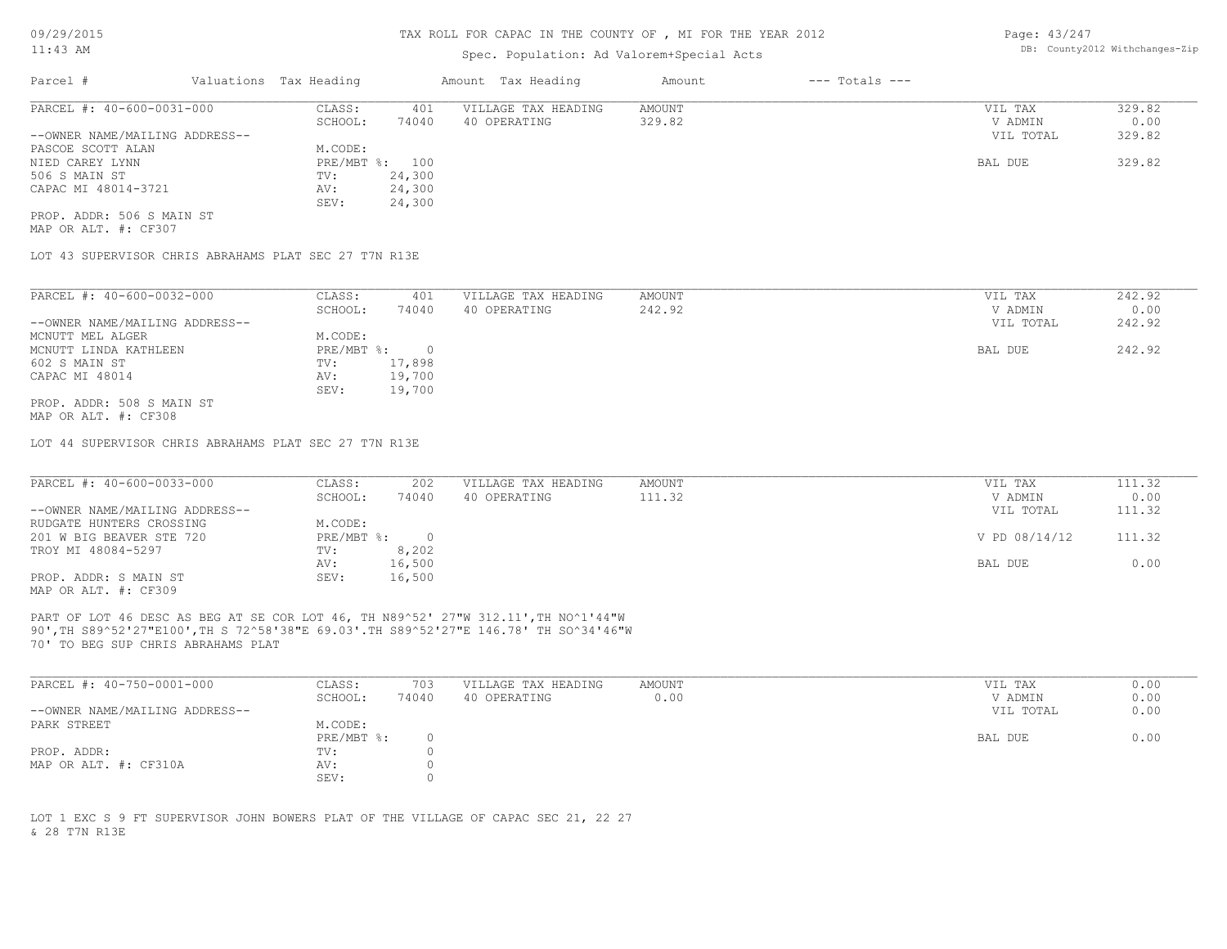# Spec. Population: Ad Valorem+Special Acts

Page: 43/247 DB: County2012 Withchanges-Zip

| Parcel #                       | Valuations Tax Heading |        | Amount Tax Heading  | Amount | $---$ Totals $---$ |           |        |
|--------------------------------|------------------------|--------|---------------------|--------|--------------------|-----------|--------|
| PARCEL #: 40-600-0031-000      | CLASS:                 | 401    | VILLAGE TAX HEADING | AMOUNT |                    | VIL TAX   | 329.82 |
|                                | SCHOOL:                | 74040  | 40 OPERATING        | 329.82 |                    | V ADMIN   | 0.00   |
| --OWNER NAME/MAILING ADDRESS-- |                        |        |                     |        |                    | VIL TOTAL | 329.82 |
| PASCOE SCOTT ALAN              | M.CODE:                |        |                     |        |                    |           |        |
| NIED CAREY LYNN                | PRE/MBT %: 100         |        |                     |        |                    | BAL DUE   | 329.82 |
| 506 S MAIN ST                  | TV:                    | 24,300 |                     |        |                    |           |        |
| CAPAC MI 48014-3721            | AV:                    | 24,300 |                     |        |                    |           |        |
|                                | SEV:                   | 24,300 |                     |        |                    |           |        |
| PROP. ADDR: 506 S MAIN ST      |                        |        |                     |        |                    |           |        |

MAP OR ALT. #: CF307

LOT 43 SUPERVISOR CHRIS ABRAHAMS PLAT SEC 27 T7N R13E

| PARCEL #: 40-600-0032-000      | CLASS:     | 401    | VILLAGE TAX HEADING | AMOUNT | VIL TAX   | 242.92 |
|--------------------------------|------------|--------|---------------------|--------|-----------|--------|
|                                | SCHOOL:    | 74040  | 40 OPERATING        | 242.92 | V ADMIN   | 0.00   |
| --OWNER NAME/MAILING ADDRESS-- |            |        |                     |        | VIL TOTAL | 242.92 |
| MCNUTT MEL ALGER               | M.CODE:    |        |                     |        |           |        |
| MCNUTT LINDA KATHLEEN          | PRE/MBT %: |        |                     |        | BAL DUE   | 242.92 |
| 602 S MAIN ST                  | TV:        | 17,898 |                     |        |           |        |
| CAPAC MI 48014                 | AV:        | 19,700 |                     |        |           |        |
|                                | SEV:       | 19,700 |                     |        |           |        |
| PROP. ADDR: 508 S MAIN ST      |            |        |                     |        |           |        |
| MAP OR ALT. #: CF308           |            |        |                     |        |           |        |

LOT 44 SUPERVISOR CHRIS ABRAHAMS PLAT SEC 27 T7N R13E

| PARCEL #: 40-600-0033-000      | CLASS:     | 202    | VILLAGE TAX HEADING | AMOUNT | VIL TAX       | 111.32 |
|--------------------------------|------------|--------|---------------------|--------|---------------|--------|
|                                | SCHOOL:    | 74040  | 40 OPERATING        | 111.32 | V ADMIN       | 0.00   |
| --OWNER NAME/MAILING ADDRESS-- |            |        |                     |        | VIL TOTAL     | 111.32 |
| RUDGATE HUNTERS CROSSING       | M.CODE:    |        |                     |        |               |        |
| 201 W BIG BEAVER STE 720       | PRE/MBT %: |        |                     |        | V PD 08/14/12 | 111.32 |
| TROY MI 48084-5297             | TV:        | 8,202  |                     |        |               |        |
|                                | AV:        | 16,500 |                     |        | BAL DUE       | 0.00   |
| PROP. ADDR: S MAIN ST          | SEV:       | 16,500 |                     |        |               |        |
|                                |            |        |                     |        |               |        |

MAP OR ALT. #: CF309

70' TO BEG SUP CHRIS ABRAHAMS PLAT 90',TH S89^52'27"E100',TH S 72^58'38"E 69.03'.TH S89^52'27"E 146.78' TH SO^34'46"W PART OF LOT 46 DESC AS BEG AT SE COR LOT 46, TH N89^52' 27"W 312.11',TH NO^1'44"W

| PARCEL #: 40-750-0001-000      | CLASS:     | 703   | VILLAGE TAX HEADING | AMOUNT | VIL TAX   | 0.00 |
|--------------------------------|------------|-------|---------------------|--------|-----------|------|
|                                | SCHOOL:    | 74040 | 40 OPERATING        | 0.00   | V ADMIN   | 0.00 |
| --OWNER NAME/MAILING ADDRESS-- |            |       |                     |        | VIL TOTAL | 0.00 |
| PARK STREET                    | M.CODE:    |       |                     |        |           |      |
|                                | PRE/MBT %: |       |                     |        | BAL DUE   | 0.00 |
| PROP. ADDR:                    | TV:        |       |                     |        |           |      |
| MAP OR ALT. #: CF310A          | AV:        |       |                     |        |           |      |
|                                | SEV:       |       |                     |        |           |      |

& 28 T7N R13E LOT 1 EXC S 9 FT SUPERVISOR JOHN BOWERS PLAT OF THE VILLAGE OF CAPAC SEC 21, 22 27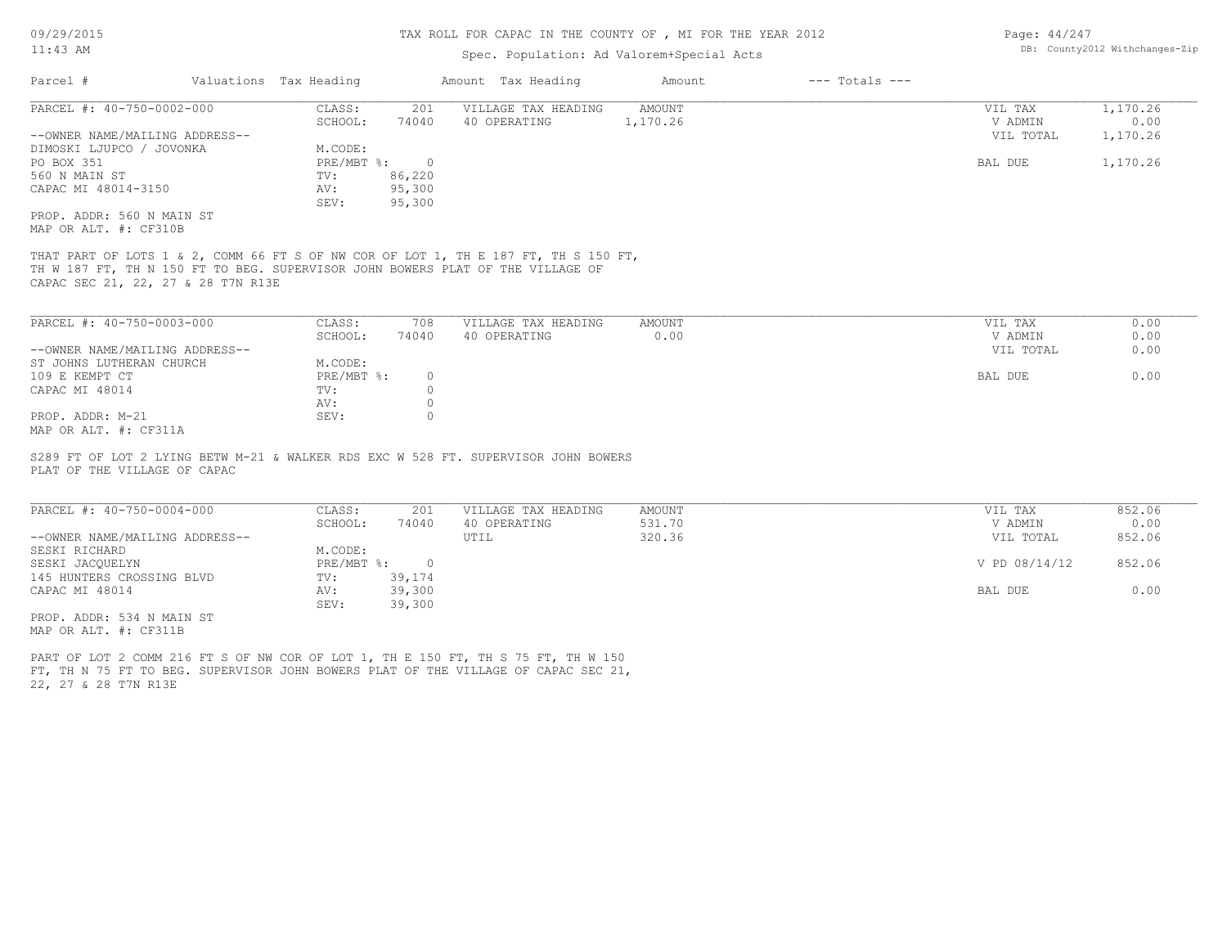## TAX ROLL FOR CAPAC IN THE COUNTY OF , MI FOR THE YEAR 2012

# Spec. Population: Ad Valorem+Special Acts

| Parcel #                       |         | Valuations Tax Heading |              | Amount Tax Heading  | Amount | $---$ Totals $---$ |           |          |
|--------------------------------|---------|------------------------|--------------|---------------------|--------|--------------------|-----------|----------|
| PARCEL #: 40-750-0002-000      |         | CLASS:                 | 201          | VILLAGE TAX HEADING | AMOUNT |                    | VIL TAX   | 1,170.26 |
|                                | SCHOOL: | 74040                  | 40 OPERATING | 1,170.26            |        | V ADMIN            | 0.00      |          |
| --OWNER NAME/MAILING ADDRESS-- |         |                        |              |                     |        |                    | VIL TOTAL | 1,170.26 |
| DIMOSKI LJUPCO / JOVONKA       |         | M.CODE:                |              |                     |        |                    |           |          |
| PO BOX 351                     |         | $PRE/MBT$ $\div$       | $\bigcap$    |                     |        |                    | BAL DUE   | 1,170.26 |
| 560 N MAIN ST                  |         | TV:                    | 86,220       |                     |        |                    |           |          |
| CAPAC MI 48014-3150            |         | AV:                    | 95,300       |                     |        |                    |           |          |
|                                |         | SEV:                   | 95,300       |                     |        |                    |           |          |
| PROP. ADDR: 560 N MAIN ST      |         |                        |              |                     |        |                    |           |          |
| MAP OR ALT. #: CF310B          |         |                        |              |                     |        |                    |           |          |

CAPAC SEC 21, 22, 27 & 28 T7N R13E TH W 187 FT, TH N 150 FT TO BEG. SUPERVISOR JOHN BOWERS PLAT OF THE VILLAGE OF THAT PART OF LOTS 1 & 2, COMM 66 FT S OF NW COR OF LOT 1, TH E 187 FT, TH S 150 FT,

| PARCEL #: 40-750-0003-000      | CLASS:     | 708   | VILLAGE TAX HEADING | AMOUNT | 0.00<br>VIL TAX   |
|--------------------------------|------------|-------|---------------------|--------|-------------------|
|                                | SCHOOL:    | 74040 | 40 OPERATING        | 0.00   | 0.00<br>V ADMIN   |
| --OWNER NAME/MAILING ADDRESS-- |            |       |                     |        | 0.00<br>VIL TOTAL |
| ST JOHNS LUTHERAN CHURCH       | M.CODE:    |       |                     |        |                   |
| 109 E KEMPT CT                 | PRE/MBT %: |       |                     |        | 0.00<br>BAL DUE   |
| CAPAC MI 48014                 | TV:        |       |                     |        |                   |
|                                | AV:        |       |                     |        |                   |
| PROP. ADDR: M-21               | SEV:       |       |                     |        |                   |
| MAP OR ALT. #: CF311A          |            |       |                     |        |                   |

PLAT OF THE VILLAGE OF CAPAC S289 FT OF LOT 2 LYING BETW M-21 & WALKER RDS EXC W 528 FT. SUPERVISOR JOHN BOWERS

| PARCEL #: 40-750-0004-000      | CLASS:       | 201    | VILLAGE TAX HEADING | AMOUNT | VIL TAX       | 852.06 |
|--------------------------------|--------------|--------|---------------------|--------|---------------|--------|
|                                | SCHOOL:      | 74040  | 40 OPERATING        | 531.70 | V ADMIN       | 0.00   |
| --OWNER NAME/MAILING ADDRESS-- |              |        | UTIL                | 320.36 | VIL TOTAL     | 852.06 |
| SESKI RICHARD                  | M.CODE:      |        |                     |        |               |        |
| SESKI JACOUELYN                | $PRE/MBT$ %: |        |                     |        | V PD 08/14/12 | 852.06 |
| 145 HUNTERS CROSSING BLVD      | TV:          | 39,174 |                     |        |               |        |
| CAPAC MI 48014                 | AV:          | 39,300 |                     |        | BAL DUE       | 0.00   |
|                                | SEV:         | 39,300 |                     |        |               |        |
| PROP. ADDR: 534 N MAIN ST      |              |        |                     |        |               |        |

MAP OR ALT. #: CF311B

22, 27 & 28 T7N R13E FT, TH N 75 FT TO BEG. SUPERVISOR JOHN BOWERS PLAT OF THE VILLAGE OF CAPAC SEC 21, PART OF LOT 2 COMM 216 FT S OF NW COR OF LOT 1, TH E 150 FT, TH S 75 FT, TH W 150

Page: 44/247 DB: County2012 Withchanges-Zip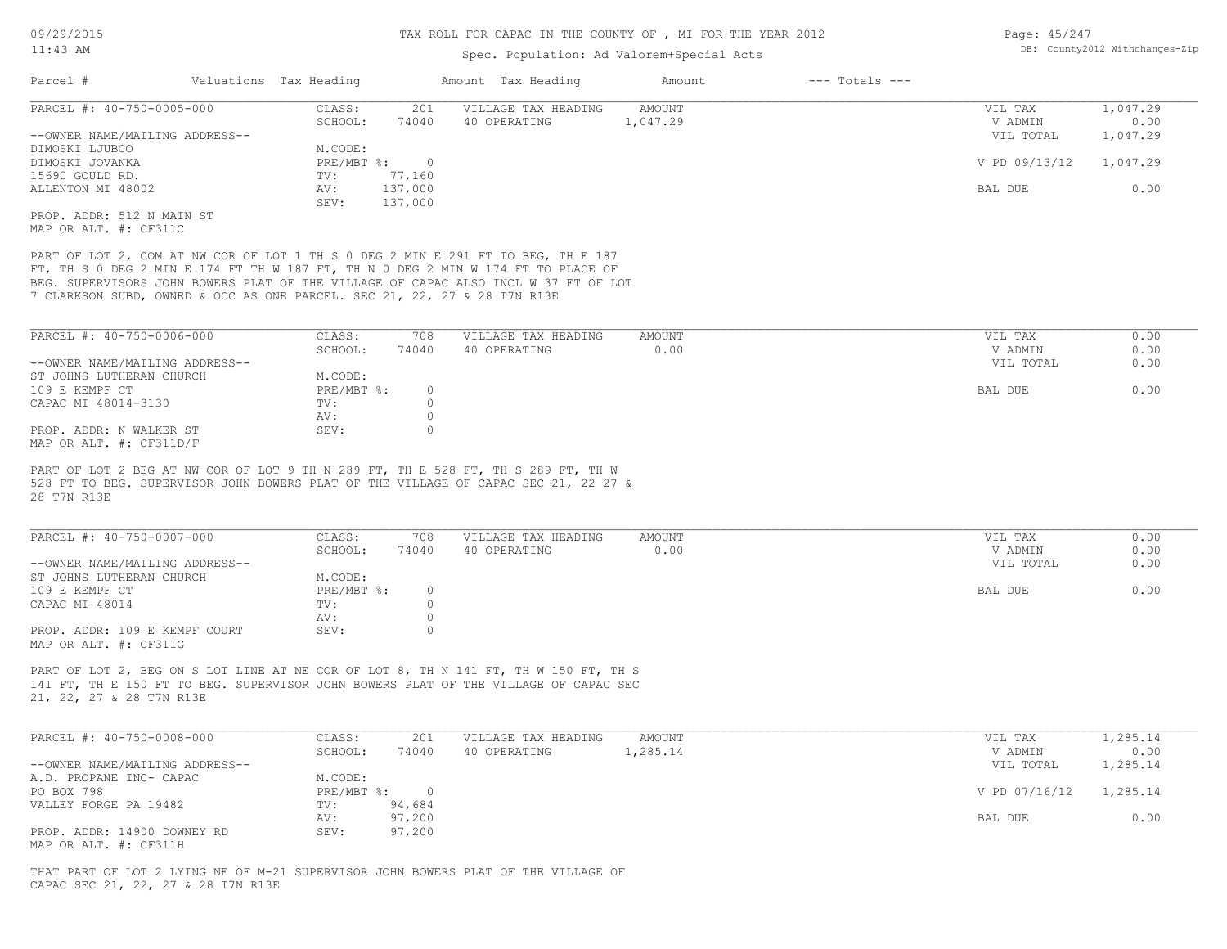# Spec. Population: Ad Valorem+Special Acts

| Page: 45/247 |                                |
|--------------|--------------------------------|
|              | DB: County2012 Withchanges-Zip |

| Parcel #                                                                 | Valuations Tax Heading |          | Amount Tax Heading                                                                 | Amount   | $---$ Totals $---$ |               |          |
|--------------------------------------------------------------------------|------------------------|----------|------------------------------------------------------------------------------------|----------|--------------------|---------------|----------|
| PARCEL #: 40-750-0005-000                                                | CLASS:                 | 201      | VILLAGE TAX HEADING                                                                | AMOUNT   |                    | VIL TAX       | 1,047.29 |
|                                                                          | SCHOOL:                | 74040    | 40 OPERATING                                                                       | 1,047.29 |                    | V ADMIN       | 0.00     |
| --OWNER NAME/MAILING ADDRESS--                                           |                        |          |                                                                                    |          |                    | VIL TOTAL     | 1,047.29 |
| DIMOSKI LJUBCO                                                           | M.CODE:                |          |                                                                                    |          |                    |               |          |
| DIMOSKI JOVANKA                                                          | PRE/MBT %:             | $\Omega$ |                                                                                    |          |                    | V PD 09/13/12 | 1,047.29 |
| 15690 GOULD RD.                                                          | TV:                    | 77,160   |                                                                                    |          |                    |               |          |
| ALLENTON MI 48002                                                        | AV:                    | 137,000  |                                                                                    |          |                    | BAL DUE       | 0.00     |
|                                                                          | SEV:                   | 137,000  |                                                                                    |          |                    |               |          |
| PROP. ADDR: 512 N MAIN ST                                                |                        |          |                                                                                    |          |                    |               |          |
| MAP OR ALT. #: CF311C                                                    |                        |          |                                                                                    |          |                    |               |          |
|                                                                          |                        |          |                                                                                    |          |                    |               |          |
|                                                                          |                        |          | PART OF LOT 2, COM AT NW COR OF LOT 1 TH S 0 DEG 2 MIN E 291 FT TO BEG, TH E 187   |          |                    |               |          |
|                                                                          |                        |          | FT, TH S 0 DEG 2 MIN E 174 FT TH W 187 FT, TH N 0 DEG 2 MIN W 174 FT TO PLACE OF   |          |                    |               |          |
|                                                                          |                        |          | BEG. SUPERVISORS JOHN BOWERS PLAT OF THE VILLAGE OF CAPAC ALSO INCL W 37 FT OF LOT |          |                    |               |          |
| 7 CLARKSON SUBD, OWNED & OCC AS ONE PARCEL. SEC 21, 22, 27 & 28 T7N R13E |                        |          |                                                                                    |          |                    |               |          |

| PARCEL #: 40-750-0006-000      | CLASS:       | 708   | VILLAGE TAX HEADING | AMOUNT | VIL TAX   | 0.00 |
|--------------------------------|--------------|-------|---------------------|--------|-----------|------|
|                                | SCHOOL:      | 74040 | 40 OPERATING        | 0.00   | V ADMIN   | 0.00 |
| --OWNER NAME/MAILING ADDRESS-- |              |       |                     |        | VIL TOTAL | 0.00 |
| ST JOHNS LUTHERAN CHURCH       | M.CODE:      |       |                     |        |           |      |
| 109 E KEMPF CT                 | $PRE/MBT$ %: |       |                     |        | BAL DUE   | 0.00 |
| CAPAC MI 48014-3130            | TV:          |       |                     |        |           |      |
|                                | AV:          |       |                     |        |           |      |
| PROP. ADDR: N WALKER ST        | SEV:         |       |                     |        |           |      |
| MAP OR ALT. $\#$ : CF311D/F    |              |       |                     |        |           |      |

28 T7N R13E 528 FT TO BEG. SUPERVISOR JOHN BOWERS PLAT OF THE VILLAGE OF CAPAC SEC 21, 22 27 & PART OF LOT 2 BEG AT NW COR OF LOT 9 TH N 289 FT, TH E 528 FT, TH S 289 FT, TH W

| PARCEL #: 40-750-0007-000      | CLASS:     | 708   | VILLAGE TAX HEADING | AMOUNT | VIL TAX   | 0.00 |
|--------------------------------|------------|-------|---------------------|--------|-----------|------|
|                                | SCHOOL:    | 74040 | 40 OPERATING        | 0.00   | V ADMIN   | 0.00 |
| --OWNER NAME/MAILING ADDRESS-- |            |       |                     |        | VIL TOTAL | 0.00 |
| ST JOHNS LUTHERAN CHURCH       | M.CODE:    |       |                     |        |           |      |
| 109 E KEMPF CT                 | PRE/MBT %: |       |                     |        | BAL DUE   | 0.00 |
| CAPAC MI 48014                 | TV:        |       |                     |        |           |      |
|                                | AV:        |       |                     |        |           |      |
| PROP. ADDR: 109 E KEMPF COURT  | SEV:       |       |                     |        |           |      |
| MAP OR ALT. #: CF311G          |            |       |                     |        |           |      |

21, 22, 27 & 28 T7N R13E 141 FT, TH E 150 FT TO BEG. SUPERVISOR JOHN BOWERS PLAT OF THE VILLAGE OF CAPAC SEC PART OF LOT 2, BEG ON S LOT LINE AT NE COR OF LOT 8, TH N 141 FT, TH W 150 FT, TH S

| PARCEL #: 40-750-0008-000      | CLASS:     | 201    | VILLAGE TAX HEADING | AMOUNT   | VIL TAX       | 1,285.14 |
|--------------------------------|------------|--------|---------------------|----------|---------------|----------|
|                                | SCHOOL:    | 74040  | 40 OPERATING        | 1,285.14 | V ADMIN       | 0.00     |
| --OWNER NAME/MAILING ADDRESS-- |            |        |                     |          | VIL TOTAL     | 1,285.14 |
| A.D. PROPANE INC- CAPAC        | M.CODE:    |        |                     |          |               |          |
| PO BOX 798                     | PRE/MBT %: |        |                     |          | V PD 07/16/12 | 1,285.14 |
| VALLEY FORGE PA 19482          | TV:        | 94,684 |                     |          |               |          |
|                                | AV:        | 97,200 |                     |          | BAL DUE       | 0.00     |
| PROP. ADDR: 14900 DOWNEY RD    | SEV:       | 97,200 |                     |          |               |          |
| MAP OR ALT. #: CF311H          |            |        |                     |          |               |          |

CAPAC SEC 21, 22, 27 & 28 T7N R13E THAT PART OF LOT 2 LYING NE OF M-21 SUPERVISOR JOHN BOWERS PLAT OF THE VILLAGE OF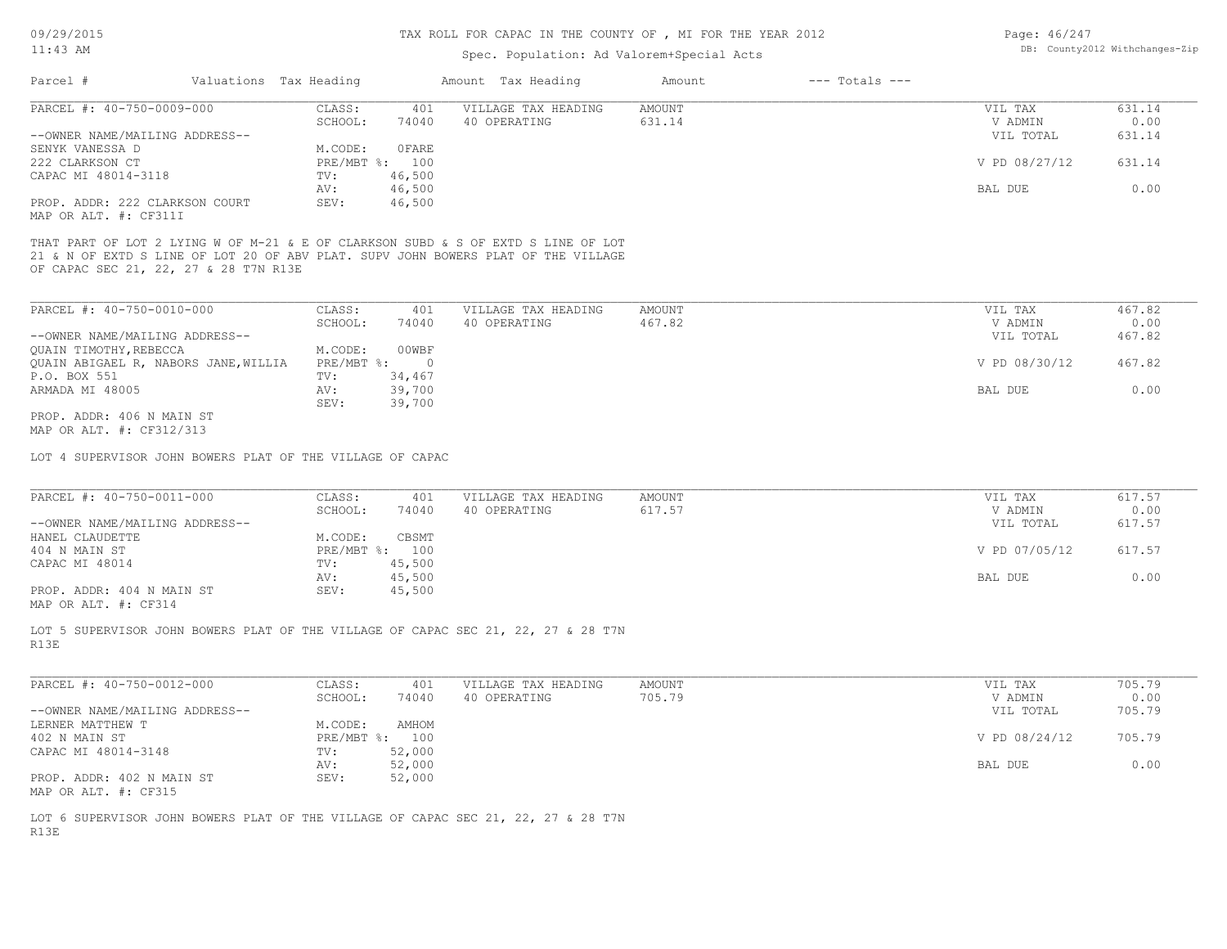## TAX ROLL FOR CAPAC IN THE COUNTY OF , MI FOR THE YEAR 2012

# Spec. Population: Ad Valorem+Special Acts

| Page: 46/247 |                                |
|--------------|--------------------------------|
|              | DB: County2012 Withchanges-Zip |

| Parcel #                       | Valuations Tax Heading |        | Amount Tax Heading  | Amount | $---$ Totals $---$ |               |        |
|--------------------------------|------------------------|--------|---------------------|--------|--------------------|---------------|--------|
| PARCEL #: 40-750-0009-000      | CLASS:                 | 401    | VILLAGE TAX HEADING | AMOUNT |                    | VIL TAX       | 631.14 |
|                                | SCHOOL:                | 74040  | 40 OPERATING        | 631.14 |                    | V ADMIN       | 0.00   |
| --OWNER NAME/MAILING ADDRESS-- |                        |        |                     |        |                    | VIL TOTAL     | 631.14 |
| SENYK VANESSA D                | M.CODE:                | 0 FARE |                     |        |                    |               |        |
| 222 CLARKSON CT                | PRE/MBT %: 100         |        |                     |        |                    | V PD 08/27/12 | 631.14 |
| CAPAC MI 48014-3118            | TV:                    | 46,500 |                     |        |                    |               |        |
|                                | AV:                    | 46,500 |                     |        |                    | BAL DUE       | 0.00   |
| PROP. ADDR: 222 CLARKSON COURT | SEV:                   | 46,500 |                     |        |                    |               |        |
| MAP OR ALT. #: CF311I          |                        |        |                     |        |                    |               |        |

THAT PART OF LOT 2 LYING W OF M-21 & E OF CLARKSON SUBD & S OF EXTD S LINE OF LOT

OF CAPAC SEC 21, 22, 27 & 28 T7N R13E 21 & N OF EXTD S LINE OF LOT 20 OF ABV PLAT. SUPV JOHN BOWERS PLAT OF THE VILLAGE

| PARCEL #: 40-750-0010-000            | CLASS:     | 401    | VILLAGE TAX HEADING | AMOUNT | VIL TAX       | 467.82 |
|--------------------------------------|------------|--------|---------------------|--------|---------------|--------|
|                                      | SCHOOL:    | 74040  | 40 OPERATING        | 467.82 | V ADMIN       | 0.00   |
| --OWNER NAME/MAILING ADDRESS--       |            |        |                     |        | VIL TOTAL     | 467.82 |
| QUAIN TIMOTHY, REBECCA               | M.CODE:    | 00WBF  |                     |        |               |        |
| QUAIN ABIGAEL R, NABORS JANE, WILLIA | PRE/MBT %: |        |                     |        | V PD 08/30/12 | 467.82 |
| P.O. BOX 551                         | TV:        | 34,467 |                     |        |               |        |
| ARMADA MI 48005                      | AV:        | 39,700 |                     |        | BAL DUE       | 0.00   |
|                                      | SEV:       | 39,700 |                     |        |               |        |
| PROP. ADDR: 406 N MAIN ST            |            |        |                     |        |               |        |

MAP OR ALT. #: CF312/313

LOT 4 SUPERVISOR JOHN BOWERS PLAT OF THE VILLAGE OF CAPAC

| PARCEL #: 40-750-0011-000<br>AMOUNT<br>VILLAGE TAX HEADING<br>CLASS:<br>VIL TAX<br>401<br>74040<br>617.57<br>40 OPERATING<br>SCHOOL:<br>V ADMIN | 617.57 |
|-------------------------------------------------------------------------------------------------------------------------------------------------|--------|
|                                                                                                                                                 | 0.00   |
| --OWNER NAME/MAILING ADDRESS--<br>VIL TOTAL                                                                                                     | 617.57 |
| CBSMT<br>HANEL CLAUDETTE<br>M.CODE:                                                                                                             |        |
| V PD 07/05/12<br>404 N MAIN ST<br>PRE/MBT %: 100                                                                                                | 617.57 |
| 45,500<br>CAPAC MI 48014<br>TV:                                                                                                                 |        |
| 45,500<br>BAL DUE<br>AV:                                                                                                                        | 0.00   |
| 45,500<br>PROP. ADDR: 404 N MAIN ST<br>SEV:                                                                                                     |        |

MAP OR ALT. #: CF314

R13E LOT 5 SUPERVISOR JOHN BOWERS PLAT OF THE VILLAGE OF CAPAC SEC 21, 22, 27 & 28 T7N

| PARCEL #: 40-750-0012-000      | CLASS:     | 401    | VILLAGE TAX HEADING | AMOUNT | VIL TAX       | 705.79 |      |
|--------------------------------|------------|--------|---------------------|--------|---------------|--------|------|
|                                | SCHOOL:    | 74040  | 40 OPERATING        | 705.79 | V ADMIN       |        | 0.00 |
| --OWNER NAME/MAILING ADDRESS-- |            |        |                     |        | VIL TOTAL     | 705.79 |      |
| LERNER MATTHEW T               | M.CODE:    | AMHOM  |                     |        |               |        |      |
| 402 N MAIN ST                  | PRE/MBT %: | 100    |                     |        | V PD 08/24/12 | 705.79 |      |
| CAPAC MI 48014-3148            | TV:        | 52,000 |                     |        |               |        |      |
|                                | AV:        | 52,000 |                     |        | BAL DUE       |        | 0.00 |
| PROP. ADDR: 402 N MAIN ST      | SEV:       | 52,000 |                     |        |               |        |      |
| MAP OR ALT. #: CF315           |            |        |                     |        |               |        |      |

R13E LOT 6 SUPERVISOR JOHN BOWERS PLAT OF THE VILLAGE OF CAPAC SEC 21, 22, 27 & 28 T7N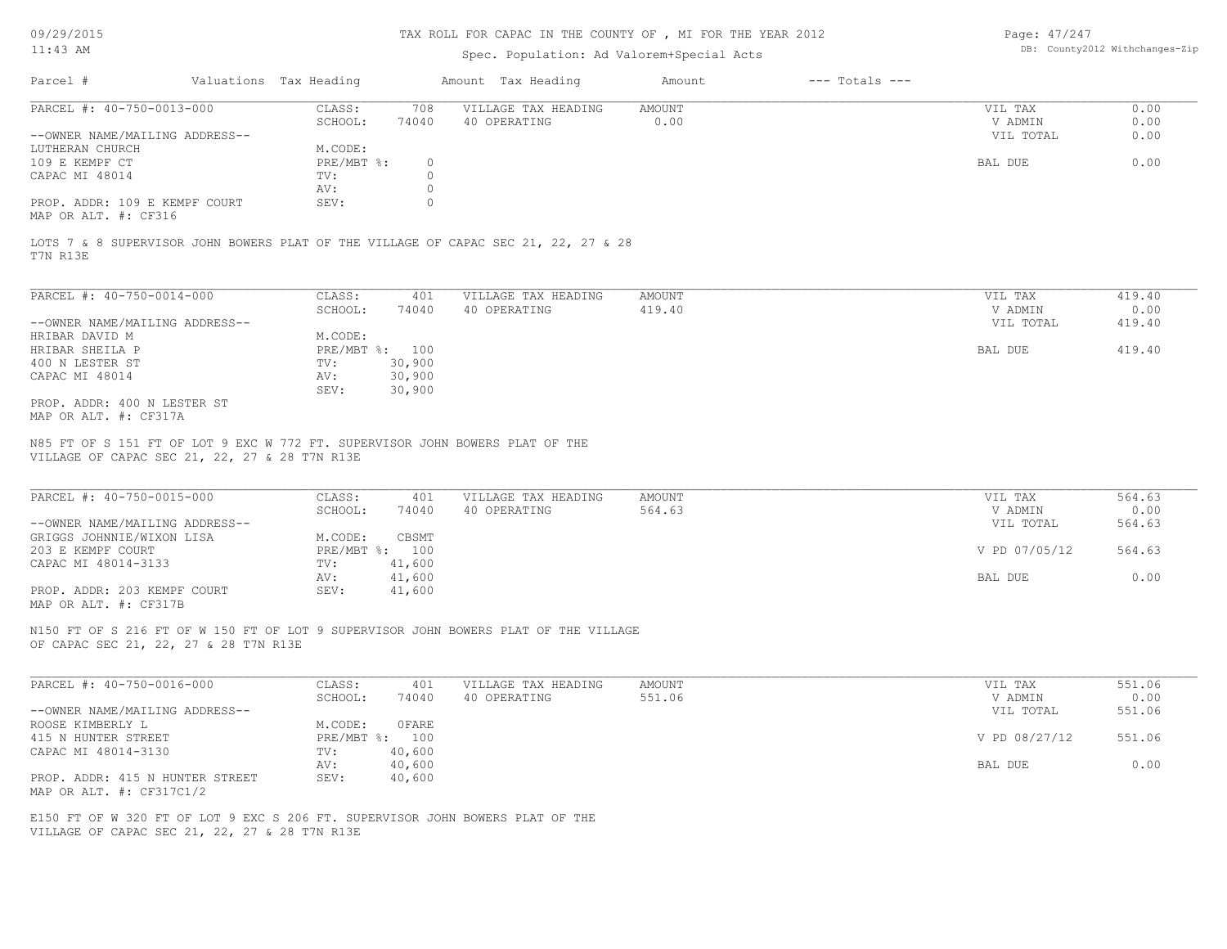## TAX ROLL FOR CAPAC IN THE COUNTY OF , MI FOR THE YEAR 2012

# Spec. Population: Ad Valorem+Special Acts

Page: 47/247 DB: County2012 Withchanges-Zip

| Parcel #                       | Valuations Tax Heading |       | Amount Tax Heading  | Amount | $---$ Totals $---$ |           |      |
|--------------------------------|------------------------|-------|---------------------|--------|--------------------|-----------|------|
| PARCEL #: 40-750-0013-000      | CLASS:                 | 708   | VILLAGE TAX HEADING | AMOUNT |                    | VIL TAX   | 0.00 |
|                                | SCHOOL:                | 74040 | 40 OPERATING        | 0.00   |                    | V ADMIN   | 0.00 |
| --OWNER NAME/MAILING ADDRESS-- |                        |       |                     |        |                    | VIL TOTAL | 0.00 |
| LUTHERAN CHURCH                | M.CODE:                |       |                     |        |                    |           |      |
| 109 E KEMPF CT                 | $PRE/MBT$ %:           |       |                     |        |                    | BAL DUE   | 0.00 |
| CAPAC MI 48014                 | TV:                    |       |                     |        |                    |           |      |
|                                | AV:                    |       |                     |        |                    |           |      |
| PROP. ADDR: 109 E KEMPF COURT  | SEV:                   |       |                     |        |                    |           |      |
|                                |                        |       |                     |        |                    |           |      |

MAP OR ALT. #: CF316

T7N R13E LOTS 7 & 8 SUPERVISOR JOHN BOWERS PLAT OF THE VILLAGE OF CAPAC SEC 21, 22, 27 & 28

| PARCEL #: 40-750-0014-000      | CLASS:       | 401    | VILLAGE TAX HEADING | AMOUNT | 419.40<br>VIL TAX   |  |
|--------------------------------|--------------|--------|---------------------|--------|---------------------|--|
|                                | SCHOOL:      | 74040  | 40 OPERATING        | 419.40 | 0.00<br>V ADMIN     |  |
| --OWNER NAME/MAILING ADDRESS-- |              |        |                     |        | 419.40<br>VIL TOTAL |  |
| HRIBAR DAVID M                 | M.CODE:      |        |                     |        |                     |  |
| HRIBAR SHEILA P                | $PRE/MBT$ %: | 100    |                     |        | 419.40<br>BAL DUE   |  |
| 400 N LESTER ST                | TV:          | 30,900 |                     |        |                     |  |
| CAPAC MI 48014                 | AV:          | 30,900 |                     |        |                     |  |
|                                | SEV:         | 30,900 |                     |        |                     |  |
| PROP. ADDR: 400 N LESTER ST    |              |        |                     |        |                     |  |
| MAP OR ALT. #: CF317A          |              |        |                     |        |                     |  |

VILLAGE OF CAPAC SEC 21, 22, 27 & 28 T7N R13E N85 FT OF S 151 FT OF LOT 9 EXC W 772 FT. SUPERVISOR JOHN BOWERS PLAT OF THE

| PARCEL #: 40-750-0015-000      | CLASS:       | 401    | VILLAGE TAX HEADING | AMOUNT | VIL TAX       | 564.63 |
|--------------------------------|--------------|--------|---------------------|--------|---------------|--------|
|                                | SCHOOL:      | 74040  | 40 OPERATING        | 564.63 | V ADMIN       | 0.00   |
| --OWNER NAME/MAILING ADDRESS-- |              |        |                     |        | VIL TOTAL     | 564.63 |
| GRIGGS JOHNNIE/WIXON LISA      | M.CODE:      | CBSMT  |                     |        |               |        |
| 203 E KEMPF COURT              | $PRE/MBT$ %: | 100    |                     |        | V PD 07/05/12 | 564.63 |
| CAPAC MI 48014-3133            | TV:          | 41,600 |                     |        |               |        |
|                                | AV:          | 41,600 |                     |        | BAL DUE       | 0.00   |
| PROP. ADDR: 203 KEMPF COURT    | SEV:         | 41,600 |                     |        |               |        |
| MAP OR ALT. #: CF317B          |              |        |                     |        |               |        |

 $\mathcal{L}_\mathcal{L} = \mathcal{L}_\mathcal{L} = \mathcal{L}_\mathcal{L} = \mathcal{L}_\mathcal{L} = \mathcal{L}_\mathcal{L} = \mathcal{L}_\mathcal{L} = \mathcal{L}_\mathcal{L} = \mathcal{L}_\mathcal{L} = \mathcal{L}_\mathcal{L} = \mathcal{L}_\mathcal{L} = \mathcal{L}_\mathcal{L} = \mathcal{L}_\mathcal{L} = \mathcal{L}_\mathcal{L} = \mathcal{L}_\mathcal{L} = \mathcal{L}_\mathcal{L} = \mathcal{L}_\mathcal{L} = \mathcal{L}_\mathcal{L}$ 

OF CAPAC SEC 21, 22, 27 & 28 T7N R13E N150 FT OF S 216 FT OF W 150 FT OF LOT 9 SUPERVISOR JOHN BOWERS PLAT OF THE VILLAGE

| PARCEL #: 40-750-0016-000       | CLASS:  | 401            | VILLAGE TAX HEADING | AMOUNT | VIL TAX       | 551.06 |
|---------------------------------|---------|----------------|---------------------|--------|---------------|--------|
|                                 | SCHOOL: | 74040          | 40 OPERATING        | 551.06 | V ADMIN       | 0.00   |
| --OWNER NAME/MAILING ADDRESS--  |         |                |                     |        | VIL TOTAL     | 551.06 |
| ROOSE KIMBERLY L                | M.CODE: | OFARE          |                     |        |               |        |
| 415 N HUNTER STREET             |         | PRE/MBT %: 100 |                     |        | V PD 08/27/12 | 551.06 |
| CAPAC MI 48014-3130             | TV:     | 40,600         |                     |        |               |        |
|                                 | AV:     | 40,600         |                     |        | BAL DUE       | 0.00   |
| PROP. ADDR: 415 N HUNTER STREET | SEV:    | 40,600         |                     |        |               |        |
| MAP OR ALT. #: CF317C1/2        |         |                |                     |        |               |        |

VILLAGE OF CAPAC SEC 21, 22, 27 & 28 T7N R13E E150 FT OF W 320 FT OF LOT 9 EXC S 206 FT. SUPERVISOR JOHN BOWERS PLAT OF THE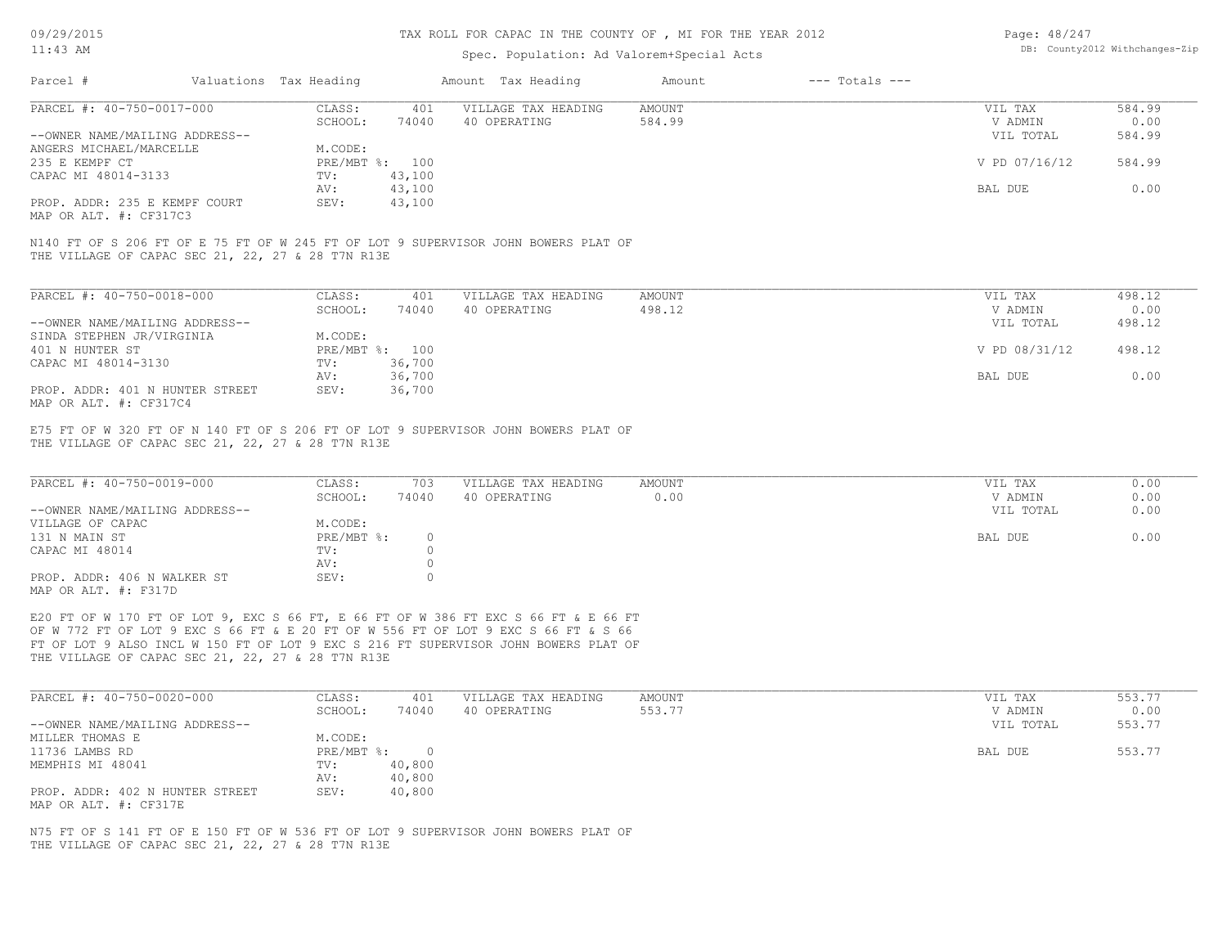## TAX ROLL FOR CAPAC IN THE COUNTY OF , MI FOR THE YEAR 2012

# Spec. Population: Ad Valorem+Special Acts

| Page: 48/247 |                                |
|--------------|--------------------------------|
|              | DB: County2012 Withchanges-Zip |

| Parcel #                       | Valuations Tax Heading |                | Amount Tax Heading  | Amount | $---$ Totals $---$ |               |        |
|--------------------------------|------------------------|----------------|---------------------|--------|--------------------|---------------|--------|
| PARCEL #: 40-750-0017-000      | CLASS:                 | 401            | VILLAGE TAX HEADING | AMOUNT |                    | VIL TAX       |        |
|                                | SCHOOL:                | 74040          | 40 OPERATING        | 584.99 |                    | V ADMIN       | 0.00   |
| --OWNER NAME/MAILING ADDRESS-- |                        |                |                     |        |                    | VIL TOTAL     | 584.99 |
| ANGERS MICHAEL/MARCELLE        | M.CODE:                |                |                     |        |                    |               |        |
| 235 E KEMPF CT                 |                        | PRE/MBT %: 100 |                     |        |                    | V PD 07/16/12 | 584.99 |
| CAPAC MI 48014-3133            | TV:                    | 43,100         |                     |        |                    |               |        |
|                                | AV:                    | 43,100         |                     |        |                    | BAL DUE       | 0.00   |
| PROP. ADDR: 235 E KEMPF COURT  | SEV:                   | 43,100         |                     |        |                    |               |        |
| MAP OR ALT. #: CF317C3         |                        |                |                     |        |                    |               |        |
|                                |                        |                |                     |        |                    |               |        |

THE VILLAGE OF CAPAC SEC 21, 22, 27 & 28 T7N R13E N140 FT OF S 206 FT OF E 75 FT OF W 245 FT OF LOT 9 SUPERVISOR JOHN BOWERS PLAT OF

| PARCEL #: 40-750-0018-000       | CLASS:  | 401            | VILLAGE TAX HEADING | AMOUNT | VIL TAX       | 498.12 |
|---------------------------------|---------|----------------|---------------------|--------|---------------|--------|
|                                 | SCHOOL: | 74040          | 40 OPERATING        | 498.12 | V ADMIN       | 0.00   |
| --OWNER NAME/MAILING ADDRESS--  |         |                |                     |        | VIL TOTAL     | 498.12 |
| SINDA STEPHEN JR/VIRGINIA       | M.CODE: |                |                     |        |               |        |
| 401 N HUNTER ST                 |         | PRE/MBT %: 100 |                     |        | V PD 08/31/12 | 498.12 |
| CAPAC MI 48014-3130             | TV:     | 36,700         |                     |        |               |        |
|                                 | AV:     | 36,700         |                     |        | BAL DUE       | 0.00   |
| PROP. ADDR: 401 N HUNTER STREET | SEV:    | 36,700         |                     |        |               |        |
| MAP OR ALT. #: CF317C4          |         |                |                     |        |               |        |

THE VILLAGE OF CAPAC SEC 21, 22, 27 & 28 T7N R13E E75 FT OF W 320 FT OF N 140 FT OF S 206 FT OF LOT 9 SUPERVISOR JOHN BOWERS PLAT OF

| PARCEL #: 40-750-0019-000      | CLASS:     | 703   | VILLAGE TAX HEADING | AMOUNT | VIL TAX   | 0.00 |
|--------------------------------|------------|-------|---------------------|--------|-----------|------|
|                                | SCHOOL:    | 74040 | 40 OPERATING        | 0.00   | V ADMIN   | 0.00 |
| --OWNER NAME/MAILING ADDRESS-- |            |       |                     |        | VIL TOTAL | 0.00 |
| VILLAGE OF CAPAC               | M.CODE:    |       |                     |        |           |      |
| 131 N MAIN ST                  | PRE/MBT %: |       |                     |        | BAL DUE   | 0.00 |
| CAPAC MI 48014                 | TV:        |       |                     |        |           |      |
|                                | AV:        |       |                     |        |           |      |
| PROP. ADDR: 406 N WALKER ST    | SEV:       |       |                     |        |           |      |
| MAP OR ALT. #: F317D           |            |       |                     |        |           |      |

THE VILLAGE OF CAPAC SEC 21, 22, 27 & 28 T7N R13E FT OF LOT 9 ALSO INCL W 150 FT OF LOT 9 EXC S 216 FT SUPERVISOR JOHN BOWERS PLAT OF OF W 772 FT OF LOT 9 EXC S 66 FT & E 20 FT OF W 556 FT OF LOT 9 EXC S 66 FT & S 66 E20 FT OF W 170 FT OF LOT 9, EXC S 66 FT, E 66 FT OF W 386 FT EXC S 66 FT & E 66 FT

| PARCEL #: 40-750-0020-000                                | CLASS:       | 401    | VILLAGE TAX HEADING | AMOUNT | VIL TAX   | 553.77 |
|----------------------------------------------------------|--------------|--------|---------------------|--------|-----------|--------|
|                                                          | SCHOOL:      | 74040  | 40 OPERATING        | 553.77 | V ADMIN   | 0.00   |
| --OWNER NAME/MAILING ADDRESS--                           |              |        |                     |        | VIL TOTAL | 553.77 |
| MILLER THOMAS E                                          | M.CODE:      |        |                     |        |           |        |
| 11736 LAMBS RD                                           | $PRE/MBT$ %: |        |                     |        | BAL DUE   | 553.77 |
| MEMPHIS MI 48041                                         | TV:          | 40,800 |                     |        |           |        |
|                                                          | AV:          | 40,800 |                     |        |           |        |
| PROP. ADDR: 402 N HUNTER STREET<br>MAP OR ALT. #: CF317E | SEV:         | 40,800 |                     |        |           |        |

THE VILLAGE OF CAPAC SEC 21, 22, 27 & 28 T7N R13E N75 FT OF S 141 FT OF E 150 FT OF W 536 FT OF LOT 9 SUPERVISOR JOHN BOWERS PLAT OF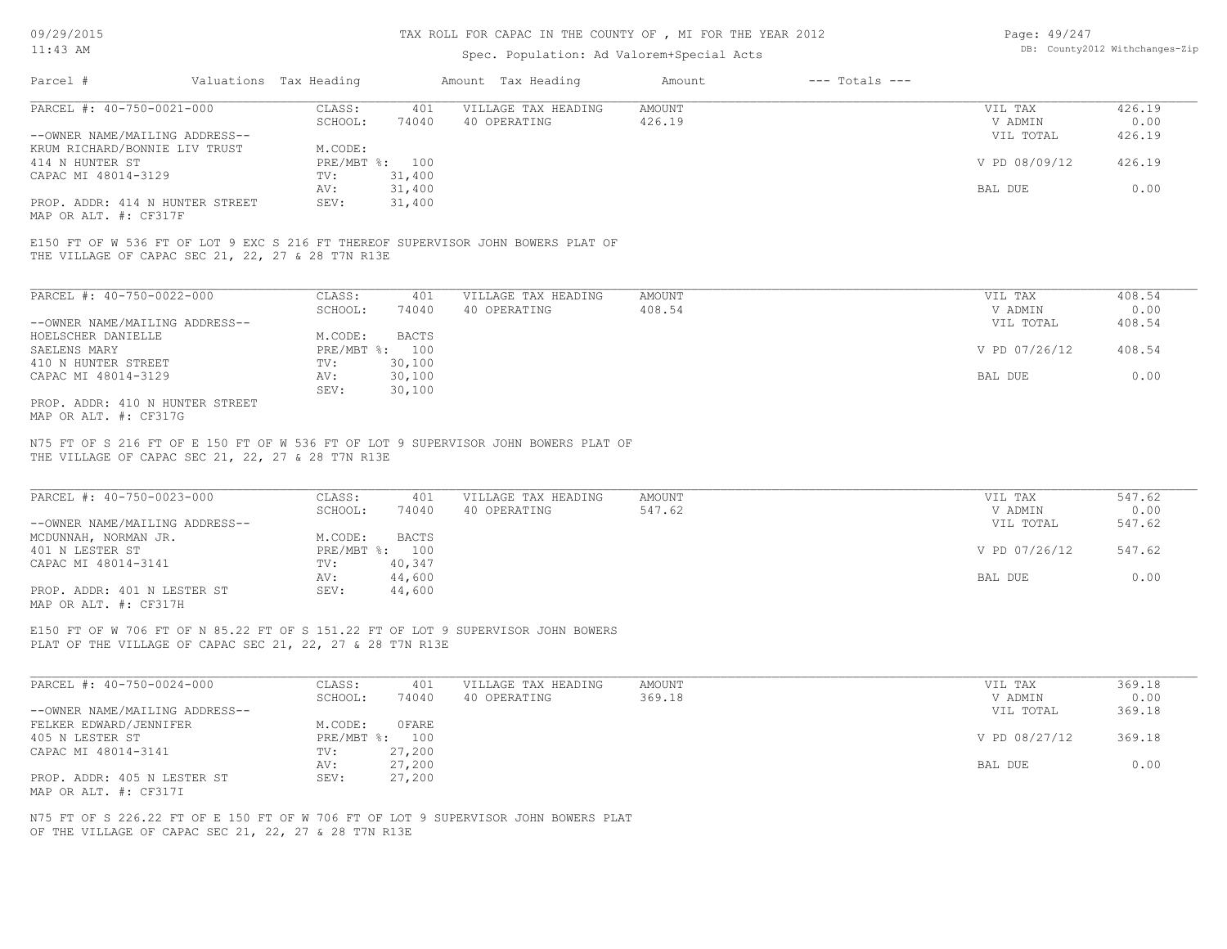## TAX ROLL FOR CAPAC IN THE COUNTY OF , MI FOR THE YEAR 2012

# Spec. Population: Ad Valorem+Special Acts

| Page: 49/247 |                                |
|--------------|--------------------------------|
|              | DB: County2012 Withchanges-Zip |

| Parcel #                        | Valuations Tax Heading |        | Amount Tax Heading  | Amount | $---$ Totals $---$ |               |        |
|---------------------------------|------------------------|--------|---------------------|--------|--------------------|---------------|--------|
| PARCEL #: 40-750-0021-000       | CLASS:                 | 401    | VILLAGE TAX HEADING | AMOUNT |                    | VIL TAX       | 426.19 |
|                                 | SCHOOL:                | 74040  | 40 OPERATING        | 426.19 |                    | V ADMIN       | 0.00   |
| --OWNER NAME/MAILING ADDRESS--  |                        |        |                     |        |                    | VIL TOTAL     | 426.19 |
| KRUM RICHARD/BONNIE LIV TRUST   | M.CODE:                |        |                     |        |                    |               |        |
| 414 N HUNTER ST                 | PRE/MBT %: 100         |        |                     |        |                    | V PD 08/09/12 | 426.19 |
| CAPAC MI 48014-3129             | TV:                    | 31,400 |                     |        |                    |               |        |
|                                 | AV:                    | 31,400 |                     |        |                    | BAL DUE       | 0.00   |
| PROP. ADDR: 414 N HUNTER STREET | SEV:                   | 31,400 |                     |        |                    |               |        |
|                                 |                        |        |                     |        |                    |               |        |

MAP OR ALT. #: CF317F

THE VILLAGE OF CAPAC SEC 21, 22, 27 & 28 T7N R13E E150 FT OF W 536 FT OF LOT 9 EXC S 216 FT THEREOF SUPERVISOR JOHN BOWERS PLAT OF

| PARCEL #: 40-750-0022-000       | CLASS:     | 401    | VILLAGE TAX HEADING | AMOUNT | VIL TAX       | 408.54 |
|---------------------------------|------------|--------|---------------------|--------|---------------|--------|
|                                 | SCHOOL:    | 74040  | 40 OPERATING        | 408.54 | V ADMIN       | 0.00   |
| --OWNER NAME/MAILING ADDRESS--  |            |        |                     |        | VIL TOTAL     | 408.54 |
| HOELSCHER DANIELLE              | M.CODE:    | BACTS  |                     |        |               |        |
| SAELENS MARY                    | PRE/MBT %: | 100    |                     |        | V PD 07/26/12 | 408.54 |
| 410 N HUNTER STREET             | TV:        | 30,100 |                     |        |               |        |
| CAPAC MI 48014-3129             | AV:        | 30,100 |                     |        | BAL DUE       | 0.00   |
|                                 | SEV:       | 30,100 |                     |        |               |        |
| PROP. ADDR: 410 N HUNTER STREET |            |        |                     |        |               |        |

MAP OR ALT. #: CF317G

THE VILLAGE OF CAPAC SEC 21, 22, 27 & 28 T7N R13E N75 FT OF S 216 FT OF E 150 FT OF W 536 FT OF LOT 9 SUPERVISOR JOHN BOWERS PLAT OF

| PARCEL #: 40-750-0023-000      | CLASS:       | 401    | VILLAGE TAX HEADING | AMOUNT | VIL TAX       | 547.62 |
|--------------------------------|--------------|--------|---------------------|--------|---------------|--------|
|                                | SCHOOL:      | 74040  | 40 OPERATING        | 547.62 | V ADMIN       | 0.00   |
| --OWNER NAME/MAILING ADDRESS-- |              |        |                     |        | VIL TOTAL     | 547.62 |
| MCDUNNAH, NORMAN JR.           | M.CODE:      | BACTS  |                     |        |               |        |
| 401 N LESTER ST                | $PRE/MBT$ %: | 100    |                     |        | V PD 07/26/12 | 547.62 |
| CAPAC MI 48014-3141            | TV:          | 40,347 |                     |        |               |        |
|                                | AV:          | 44,600 |                     |        | BAL DUE       | 0.00   |
| PROP. ADDR: 401 N LESTER ST    | SEV:         | 44,600 |                     |        |               |        |
| MAP OR ALT. #: CF317H          |              |        |                     |        |               |        |

 $\mathcal{L}_\mathcal{L} = \mathcal{L}_\mathcal{L} = \mathcal{L}_\mathcal{L} = \mathcal{L}_\mathcal{L} = \mathcal{L}_\mathcal{L} = \mathcal{L}_\mathcal{L} = \mathcal{L}_\mathcal{L} = \mathcal{L}_\mathcal{L} = \mathcal{L}_\mathcal{L} = \mathcal{L}_\mathcal{L} = \mathcal{L}_\mathcal{L} = \mathcal{L}_\mathcal{L} = \mathcal{L}_\mathcal{L} = \mathcal{L}_\mathcal{L} = \mathcal{L}_\mathcal{L} = \mathcal{L}_\mathcal{L} = \mathcal{L}_\mathcal{L}$ 

PLAT OF THE VILLAGE OF CAPAC SEC 21, 22, 27 & 28 T7N R13E E150 FT OF W 706 FT OF N 85.22 FT OF S 151.22 FT OF LOT 9 SUPERVISOR JOHN BOWERS

| PARCEL #: 40-750-0024-000      | CLASS:  | 401            | VILLAGE TAX HEADING | AMOUNT | VIL TAX       | 369.18 |
|--------------------------------|---------|----------------|---------------------|--------|---------------|--------|
|                                | SCHOOL: | 74040          | 40 OPERATING        | 369.18 | V ADMIN       | 0.00   |
| --OWNER NAME/MAILING ADDRESS-- |         |                |                     |        | VIL TOTAL     | 369.18 |
| FELKER EDWARD/JENNIFER         | M.CODE: | 0 FARE         |                     |        |               |        |
| 405 N LESTER ST                |         | PRE/MBT %: 100 |                     |        | V PD 08/27/12 | 369.18 |
| CAPAC MI 48014-3141            | TV:     | 27,200         |                     |        |               |        |
|                                | AV:     | 27,200         |                     |        | BAL DUE       | 0.00   |
| PROP. ADDR: 405 N LESTER ST    | SEV:    | 27,200         |                     |        |               |        |
| MAP OR ALT. #: CF317I          |         |                |                     |        |               |        |

OF THE VILLAGE OF CAPAC SEC 21, 22, 27 & 28 T7N R13E N75 FT OF S 226.22 FT OF E 150 FT OF W 706 FT OF LOT 9 SUPERVISOR JOHN BOWERS PLAT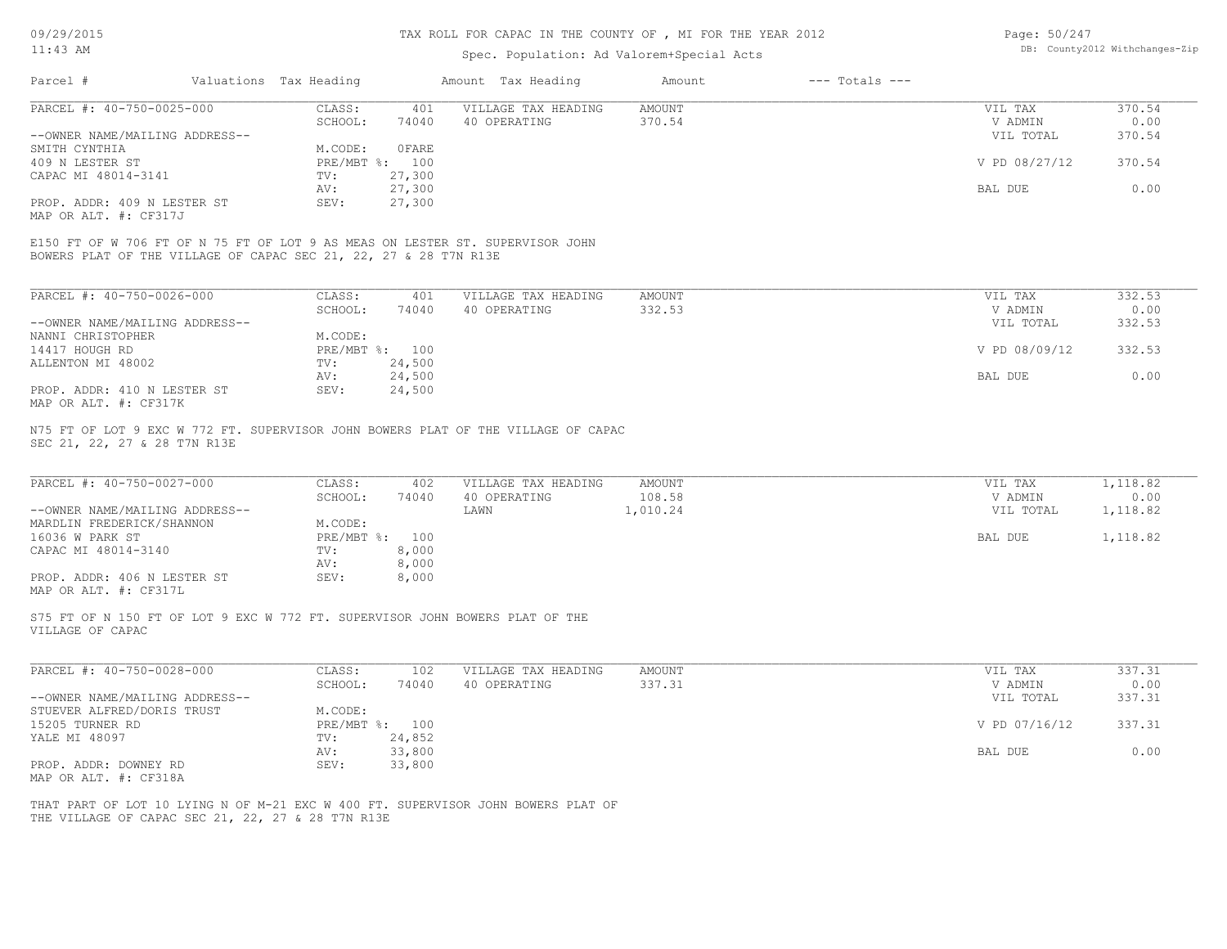# Spec. Population: Ad Valorem+Special Acts

| Page: 50/247 |                                |
|--------------|--------------------------------|
|              | DB: County2012 Withchanges-Zip |

| Parcel #                       | Valuations Tax Heading |              | Amount Tax Heading  | Amount | $---$ Totals $---$ |               |        |
|--------------------------------|------------------------|--------------|---------------------|--------|--------------------|---------------|--------|
| PARCEL #: 40-750-0025-000      | CLASS:                 | 401          | VILLAGE TAX HEADING | AMOUNT |                    | VIL TAX       | 370.54 |
|                                | SCHOOL:                | 74040        | 40 OPERATING        | 370.54 |                    | V ADMIN       | 0.00   |
| --OWNER NAME/MAILING ADDRESS-- |                        |              |                     |        |                    | VIL TOTAL     | 370.54 |
| SMITH CYNTHIA                  | M.CODE:                | <b>OFARE</b> |                     |        |                    |               |        |
| 409 N LESTER ST                | PRE/MBT %: 100         |              |                     |        |                    | V PD 08/27/12 | 370.54 |
| CAPAC MI 48014-3141            | TV:                    | 27,300       |                     |        |                    |               |        |
|                                | AV:                    | 27,300       |                     |        |                    | BAL DUE       | 0.00   |
| PROP. ADDR: 409 N LESTER ST    | SEV:                   | 27,300       |                     |        |                    |               |        |
| MAP OR ALT. #: CF317J          |                        |              |                     |        |                    |               |        |

BOWERS PLAT OF THE VILLAGE OF CAPAC SEC 21, 22, 27 & 28 T7N R13E E150 FT OF W 706 FT OF N 75 FT OF LOT 9 AS MEAS ON LESTER ST. SUPERVISOR JOHN

| PARCEL #: 40-750-0026-000                    | CLASS:     | 401    | VILLAGE TAX HEADING | AMOUNT | VIL TAX       | 332.53 |
|----------------------------------------------|------------|--------|---------------------|--------|---------------|--------|
|                                              | SCHOOL:    | 74040  | 40 OPERATING        | 332.53 | V ADMIN       | 0.00   |
| --OWNER NAME/MAILING ADDRESS--               |            |        |                     |        | VIL TOTAL     | 332.53 |
| NANNI CHRISTOPHER                            | M.CODE:    |        |                     |        |               |        |
| 14417 HOUGH RD                               | PRE/MBT %: | 100    |                     |        | V PD 08/09/12 | 332.53 |
| ALLENTON MI 48002                            | TV:        | 24,500 |                     |        |               |        |
|                                              | AV:        | 24,500 |                     |        | BAL DUE       | 0.00   |
| PROP. ADDR: 410 N LESTER ST                  | SEV:       | 24,500 |                     |        |               |        |
| $\cdots$ $\cdots$ $\cdots$ $\cdots$ $\cdots$ |            |        |                     |        |               |        |

MAP OR ALT. #: CF317K

SEC 21, 22, 27 & 28 T7N R13E N75 FT OF LOT 9 EXC W 772 FT. SUPERVISOR JOHN BOWERS PLAT OF THE VILLAGE OF CAPAC

| PARCEL #: 40-750-0027-000      | CLASS:     | 402   | VILLAGE TAX HEADING | AMOUNT   | VIL TAX   | 1,118.82 |
|--------------------------------|------------|-------|---------------------|----------|-----------|----------|
|                                | SCHOOL:    | 74040 | 40 OPERATING        | 108.58   | V ADMIN   | 0.00     |
| --OWNER NAME/MAILING ADDRESS-- |            |       | LAWN                | 1,010.24 | VIL TOTAL | 1,118.82 |
| MARDLIN FREDERICK/SHANNON      | M.CODE:    |       |                     |          |           |          |
| 16036 W PARK ST                | PRE/MBT %: | 100   |                     |          | BAL DUE   | 1,118.82 |
| CAPAC MI 48014-3140            | TV:        | 8,000 |                     |          |           |          |
|                                | AV:        | 8,000 |                     |          |           |          |
| PROP. ADDR: 406 N LESTER ST    | SEV:       | 8,000 |                     |          |           |          |
| MAP OR ALT. #: CF317L          |            |       |                     |          |           |          |

VILLAGE OF CAPAC S75 FT OF N 150 FT OF LOT 9 EXC W 772 FT. SUPERVISOR JOHN BOWERS PLAT OF THE

| PARCEL #: 40-750-0028-000      | CLASS:  | 102            | VILLAGE TAX HEADING | AMOUNT | VIL TAX       | 337.31 |
|--------------------------------|---------|----------------|---------------------|--------|---------------|--------|
|                                | SCHOOL: | 74040          | 40 OPERATING        | 337.31 | V ADMIN       | 0.00   |
| --OWNER NAME/MAILING ADDRESS-- |         |                |                     |        | VIL TOTAL     | 337.31 |
| STUEVER ALFRED/DORIS TRUST     | M.CODE: |                |                     |        |               |        |
| 15205 TURNER RD                |         | PRE/MBT %: 100 |                     |        | V PD 07/16/12 | 337.31 |
| YALE MI 48097                  | TV:     | 24,852         |                     |        |               |        |
|                                | AV:     | 33,800         |                     |        | BAL DUE       | 0.00   |
| PROP. ADDR: DOWNEY RD          | SEV:    | 33,800         |                     |        |               |        |
| MAP OR ALT. #: CF318A          |         |                |                     |        |               |        |

THE VILLAGE OF CAPAC SEC 21, 22, 27 & 28 T7N R13E THAT PART OF LOT 10 LYING N OF M-21 EXC W 400 FT. SUPERVISOR JOHN BOWERS PLAT OF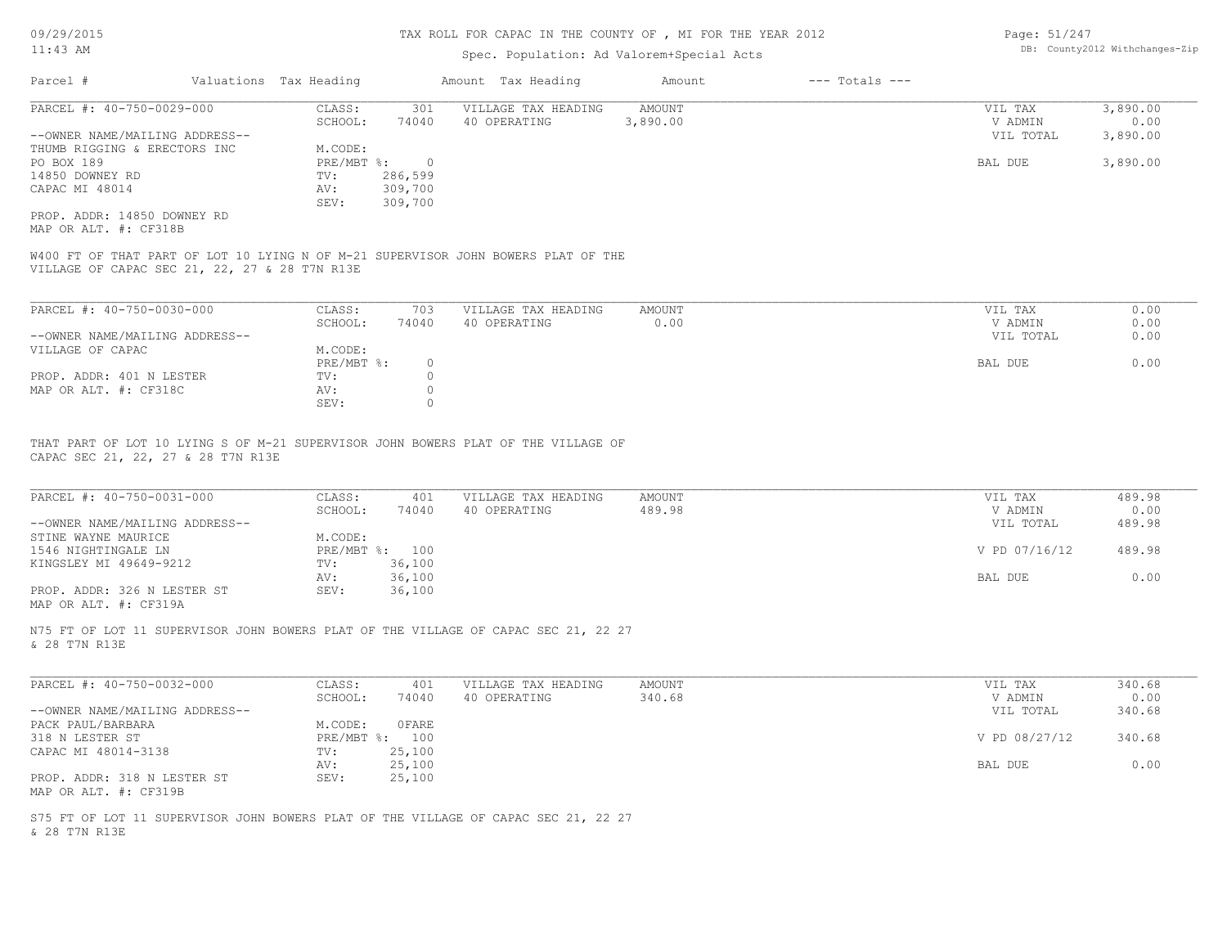## TAX ROLL FOR CAPAC IN THE COUNTY OF , MI FOR THE YEAR 2012

# Spec. Population: Ad Valorem+Special Acts

| Page: 51/247 |                                |
|--------------|--------------------------------|
|              | DB: County2012 Withchanges-Zip |

| Parcel #                       | Valuations Tax Heading |         | Amount Tax Heading  | Amount   | $---$ Totals $---$ |           |          |
|--------------------------------|------------------------|---------|---------------------|----------|--------------------|-----------|----------|
| PARCEL #: 40-750-0029-000      | CLASS:                 | 301     | VILLAGE TAX HEADING | AMOUNT   |                    | VIL TAX   | 3,890.00 |
|                                | SCHOOL:                | 74040   | 40 OPERATING        | 3,890.00 |                    | V ADMIN   | 0.00     |
| --OWNER NAME/MAILING ADDRESS-- |                        |         |                     |          |                    | VIL TOTAL | 3,890.00 |
| THUMB RIGGING & ERECTORS INC   | M.CODE:                |         |                     |          |                    |           |          |
| PO BOX 189                     | $PRE/MBT$ %:           |         |                     |          |                    | BAL DUE   | 3,890.00 |
| 14850 DOWNEY RD                | TV:                    | 286,599 |                     |          |                    |           |          |
| CAPAC MI 48014                 | AV:                    | 309,700 |                     |          |                    |           |          |
|                                | SEV:                   | 309,700 |                     |          |                    |           |          |
| PROP. ADDR: 14850 DOWNEY RD    |                        |         |                     |          |                    |           |          |

MAP OR ALT. #: CF318B

VILLAGE OF CAPAC SEC 21, 22, 27 & 28 T7N R13E W400 FT OF THAT PART OF LOT 10 LYING N OF M-21 SUPERVISOR JOHN BOWERS PLAT OF THE

| PARCEL #: 40-750-0030-000      | CLASS:     | 703   | VILLAGE TAX HEADING | AMOUNT | VIL TAX   | 0.00 |
|--------------------------------|------------|-------|---------------------|--------|-----------|------|
|                                | SCHOOL:    | 74040 | 40 OPERATING        | 0.00   | V ADMIN   | 0.00 |
| --OWNER NAME/MAILING ADDRESS-- |            |       |                     |        | VIL TOTAL | 0.00 |
| VILLAGE OF CAPAC               | M.CODE:    |       |                     |        |           |      |
|                                | PRE/MBT %: |       |                     |        | BAL DUE   | 0.00 |
| PROP. ADDR: 401 N LESTER       | TV:        |       |                     |        |           |      |
| MAP OR ALT. #: CF318C          | AV:        |       |                     |        |           |      |
|                                | SEV:       |       |                     |        |           |      |

CAPAC SEC 21, 22, 27 & 28 T7N R13E THAT PART OF LOT 10 LYING S OF M-21 SUPERVISOR JOHN BOWERS PLAT OF THE VILLAGE OF

| PARCEL #: 40-750-0031-000      | CLASS:       | 401    | VILLAGE TAX HEADING | AMOUNT | VIL TAX       | 489.98 |
|--------------------------------|--------------|--------|---------------------|--------|---------------|--------|
|                                | SCHOOL:      | 74040  | 40 OPERATING        | 489.98 | V ADMIN       | 0.00   |
| --OWNER NAME/MAILING ADDRESS-- |              |        |                     |        | VIL TOTAL     | 489.98 |
| STINE WAYNE MAURICE            | M.CODE:      |        |                     |        |               |        |
| 1546 NIGHTINGALE LN            | $PRE/MBT$ %: | 100    |                     |        | V PD 07/16/12 | 489.98 |
| KINGSLEY MI 49649-9212         | TV:          | 36,100 |                     |        |               |        |
|                                | AV:          | 36,100 |                     |        | BAL DUE       | 0.00   |
| PROP. ADDR: 326 N LESTER ST    | SEV:         | 36,100 |                     |        |               |        |
| MAP OR ALT. #: CF319A          |              |        |                     |        |               |        |

 $\mathcal{L}_\mathcal{L} = \mathcal{L}_\mathcal{L} = \mathcal{L}_\mathcal{L} = \mathcal{L}_\mathcal{L} = \mathcal{L}_\mathcal{L} = \mathcal{L}_\mathcal{L} = \mathcal{L}_\mathcal{L} = \mathcal{L}_\mathcal{L} = \mathcal{L}_\mathcal{L} = \mathcal{L}_\mathcal{L} = \mathcal{L}_\mathcal{L} = \mathcal{L}_\mathcal{L} = \mathcal{L}_\mathcal{L} = \mathcal{L}_\mathcal{L} = \mathcal{L}_\mathcal{L} = \mathcal{L}_\mathcal{L} = \mathcal{L}_\mathcal{L}$ 

& 28 T7N R13E N75 FT OF LOT 11 SUPERVISOR JOHN BOWERS PLAT OF THE VILLAGE OF CAPAC SEC 21, 22 27

| PARCEL #: 40-750-0032-000      | CLASS:       | 401    | VILLAGE TAX HEADING | AMOUNT | VIL TAX       | 340.68 |
|--------------------------------|--------------|--------|---------------------|--------|---------------|--------|
|                                | SCHOOL:      | 74040  | 40 OPERATING        | 340.68 | V ADMIN       | 0.00   |
| --OWNER NAME/MAILING ADDRESS-- |              |        |                     |        | VIL TOTAL     | 340.68 |
| PACK PAUL/BARBARA              | M.CODE:      | 0FARE  |                     |        |               |        |
| 318 N LESTER ST                | $PRE/MBT$ %: | 100    |                     |        | V PD 08/27/12 | 340.68 |
| CAPAC MI 48014-3138            | TV:          | 25,100 |                     |        |               |        |
|                                | AV:          | 25,100 |                     |        | BAL DUE       | 0.00   |
| PROP. ADDR: 318 N LESTER ST    | SEV:         | 25,100 |                     |        |               |        |
| MAP OR ALT. #: CF319B          |              |        |                     |        |               |        |

& 28 T7N R13E S75 FT OF LOT 11 SUPERVISOR JOHN BOWERS PLAT OF THE VILLAGE OF CAPAC SEC 21, 22 27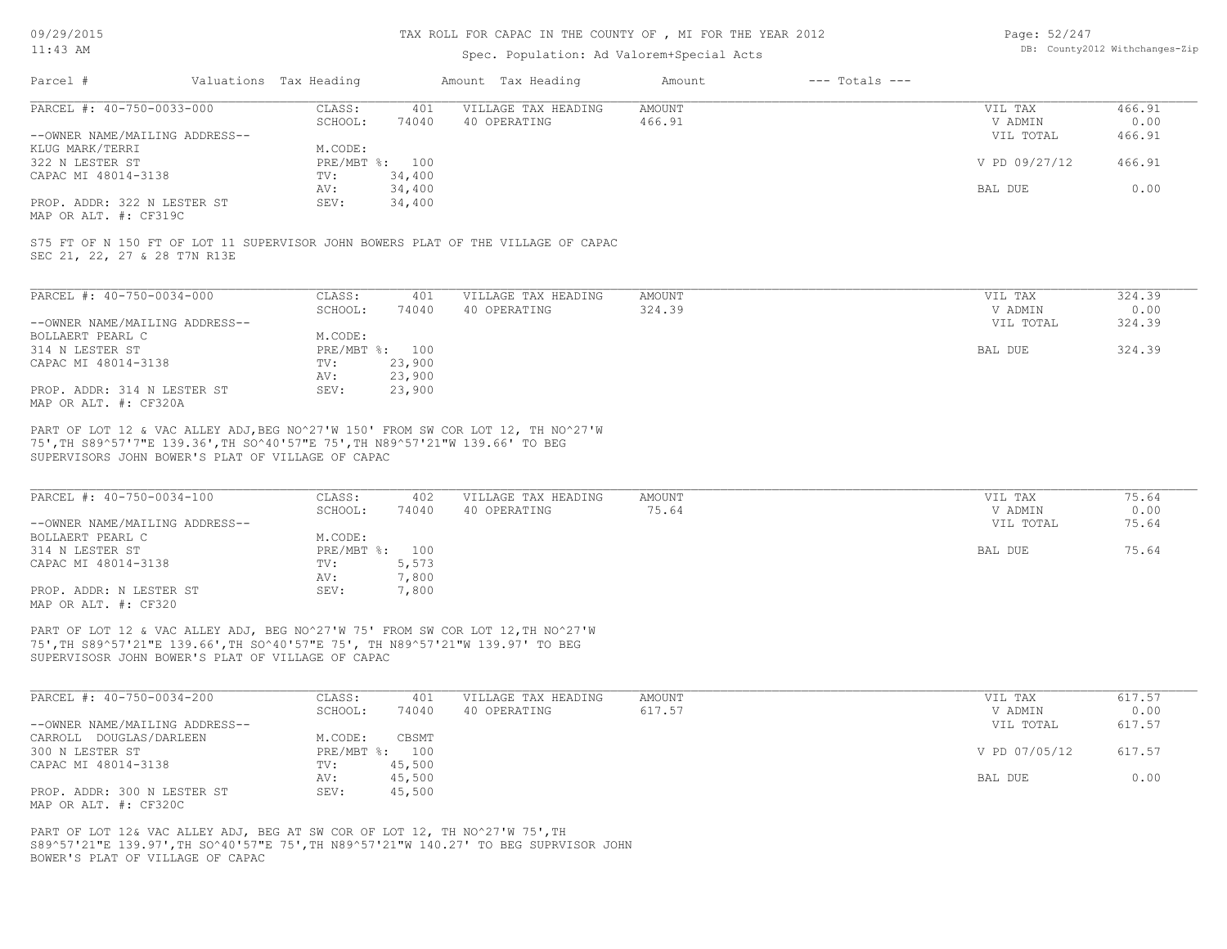## TAX ROLL FOR CAPAC IN THE COUNTY OF , MI FOR THE YEAR 2012

# Spec. Population: Ad Valorem+Special Acts

| Page: 52/247 |                                |
|--------------|--------------------------------|
|              | DB: County2012 Withchanges-Zip |

| Parcel #            |                                | Valuations Tax Heading |                | Amount Tax Heading  | Amount | $---$ Totals $---$ |               |        |
|---------------------|--------------------------------|------------------------|----------------|---------------------|--------|--------------------|---------------|--------|
|                     | PARCEL #: 40-750-0033-000      | CLASS:                 | 401            | VILLAGE TAX HEADING | AMOUNT |                    | VIL TAX       | 466.91 |
|                     |                                | SCHOOL:                | 74040          | 40 OPERATING        | 466.91 |                    | V ADMIN       | 0.00   |
|                     | --OWNER NAME/MAILING ADDRESS-- |                        |                |                     |        |                    | VIL TOTAL     | 466.91 |
| KLUG MARK/TERRI     |                                | M.CODE:                |                |                     |        |                    |               |        |
| 322 N LESTER ST     |                                |                        | PRE/MBT %: 100 |                     |        |                    | V PD 09/27/12 | 466.91 |
| CAPAC MI 48014-3138 |                                | TV:                    | 34,400         |                     |        |                    |               |        |
|                     |                                | AV:                    | 34,400         |                     |        |                    | BAL DUE       | 0.00   |
|                     | PROP. ADDR: 322 N LESTER ST    | SEV:                   | 34,400         |                     |        |                    |               |        |

MAP OR ALT. #: CF319C

SEC 21, 22, 27 & 28 T7N R13E S75 FT OF N 150 FT OF LOT 11 SUPERVISOR JOHN BOWERS PLAT OF THE VILLAGE OF CAPAC

| PARCEL #: 40-750-0034-000                            | CLASS:       | 401    | VILLAGE TAX HEADING | AMOUNT | VIL TAX   | 324.39 |
|------------------------------------------------------|--------------|--------|---------------------|--------|-----------|--------|
|                                                      | SCHOOL:      | 74040  | 40 OPERATING        | 324.39 | V ADMIN   | 0.00   |
| --OWNER NAME/MAILING ADDRESS--                       |              |        |                     |        | VIL TOTAL | 324.39 |
| BOLLAERT PEARL C                                     | M.CODE:      |        |                     |        |           |        |
| 314 N LESTER ST                                      | $PRE/MBT$ %: | 100    |                     |        | BAL DUE   | 324.39 |
| CAPAC MI 48014-3138                                  | TV:          | 23,900 |                     |        |           |        |
|                                                      | AV:          | 23,900 |                     |        |           |        |
| PROP. ADDR: 314 N LESTER ST<br>MAP OR ALT. #: CF320A | SEV:         | 23,900 |                     |        |           |        |

SUPERVISORS JOHN BOWER'S PLAT OF VILLAGE OF CAPAC 75',TH S89^57'7"E 139.36',TH SO^40'57"E 75',TH N89^57'21"W 139.66' TO BEG PART OF LOT 12 & VAC ALLEY ADJ,BEG NO^27'W 150' FROM SW COR LOT 12, TH NO^27'W

| PARCEL #: 40-750-0034-100      | CLASS:         | 402   | VILLAGE TAX HEADING | AMOUNT | VIL TAX   | 75.64 |
|--------------------------------|----------------|-------|---------------------|--------|-----------|-------|
|                                | SCHOOL:        | 74040 | 40 OPERATING        | 75.64  | V ADMIN   | 0.00  |
| --OWNER NAME/MAILING ADDRESS-- |                |       |                     |        | VIL TOTAL | 75.64 |
| BOLLAERT PEARL C               | M.CODE:        |       |                     |        |           |       |
| 314 N LESTER ST                | PRE/MBT %: 100 |       |                     |        | BAL DUE   | 75.64 |
| CAPAC MI 48014-3138            | TV:            | 5,573 |                     |        |           |       |
|                                | AV:            | 7,800 |                     |        |           |       |
| PROP. ADDR: N LESTER ST        | SEV:           | 7,800 |                     |        |           |       |
| MAP OR ALT. #: CF320           |                |       |                     |        |           |       |

SUPERVISOSR JOHN BOWER'S PLAT OF VILLAGE OF CAPAC 75',TH S89^57'21"E 139.66',TH SO^40'57"E 75', TH N89^57'21"W 139.97' TO BEG PART OF LOT 12 & VAC ALLEY ADJ, BEG NO^27'W 75' FROM SW COR LOT 12,TH NO^27'W

| PARCEL #: 40-750-0034-200      | CLASS:     | 401    | VILLAGE TAX HEADING | AMOUNT | VIL TAX       | 617.57 |
|--------------------------------|------------|--------|---------------------|--------|---------------|--------|
|                                | SCHOOL:    | 74040  | 40 OPERATING        | 617.57 | V ADMIN       | 0.00   |
| --OWNER NAME/MAILING ADDRESS-- |            |        |                     |        | VIL TOTAL     | 617.57 |
| CARROLL DOUGLAS/DARLEEN        | M.CODE:    | CBSMT  |                     |        |               |        |
| 300 N LESTER ST                | PRE/MBT %: | 100    |                     |        | V PD 07/05/12 | 617.57 |
| CAPAC MI 48014-3138            | TV:        | 45,500 |                     |        |               |        |
|                                | AV:        | 45,500 |                     |        | BAL DUE       | 0.00   |
| PROP. ADDR: 300 N LESTER ST    | SEV:       | 45,500 |                     |        |               |        |
| MAP OR ALT. #: CF320C          |            |        |                     |        |               |        |

BOWER'S PLAT OF VILLAGE OF CAPAC S89^57'21"E 139.97',TH SO^40'57"E 75',TH N89^57'21"W 140.27' TO BEG SUPRVISOR JOHN PART OF LOT 12& VAC ALLEY ADJ, BEG AT SW COR OF LOT 12, TH NO^27'W 75', TH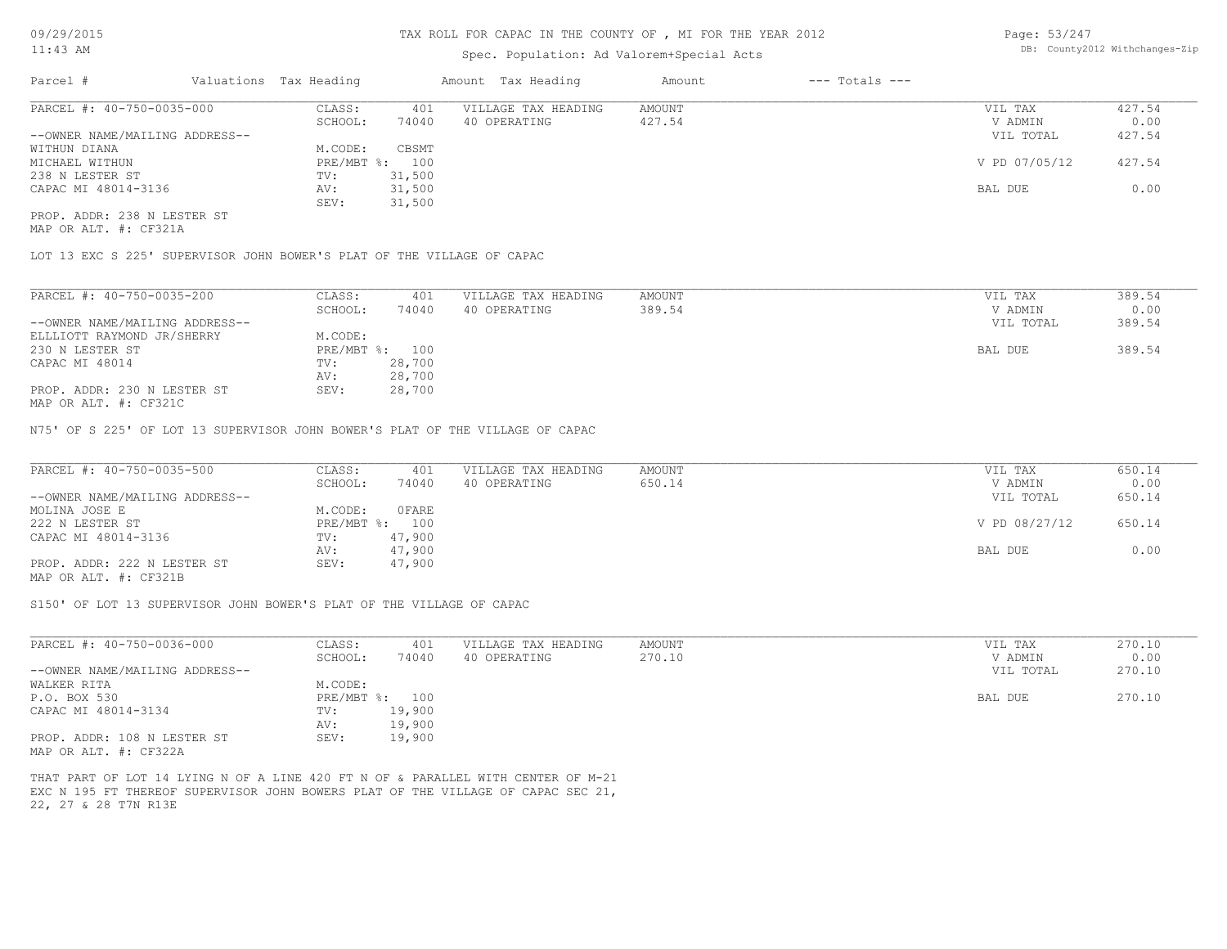# Spec. Population: Ad Valorem+Special Acts

| Page: 53/247 |                                |
|--------------|--------------------------------|
|              | DB: County2012 Withchanges-Zip |

| Parcel #                       | Valuations Tax Heading |        | Amount Tax Heading  | Amount | $---$ Totals $---$ |               |        |
|--------------------------------|------------------------|--------|---------------------|--------|--------------------|---------------|--------|
| PARCEL #: 40-750-0035-000      | CLASS:                 | 401    | VILLAGE TAX HEADING | AMOUNT |                    | VIL TAX       | 427.54 |
|                                | SCHOOL:                | 74040  | 40 OPERATING        | 427.54 |                    | V ADMIN       | 0.00   |
| --OWNER NAME/MAILING ADDRESS-- |                        |        |                     |        |                    | VIL TOTAL     | 427.54 |
| WITHUN DIANA                   | M.CODE:                | CBSMT  |                     |        |                    |               |        |
| MICHAEL WITHUN                 | PRE/MBT %: 100         |        |                     |        |                    | V PD 07/05/12 | 427.54 |
| 238 N LESTER ST                | TV:                    | 31,500 |                     |        |                    |               |        |
| CAPAC MI 48014-3136            | AV:                    | 31,500 |                     |        |                    | BAL DUE       | 0.00   |
|                                | SEV:                   | 31,500 |                     |        |                    |               |        |
| PROP. ADDR: 238 N LESTER ST    |                        |        |                     |        |                    |               |        |

MAP OR ALT. #: CF321A

LOT 13 EXC S 225' SUPERVISOR JOHN BOWER'S PLAT OF THE VILLAGE OF CAPAC

| PARCEL #: 40-750-0035-200                    | CLASS:       | 401    | VILLAGE TAX HEADING | AMOUNT | VIL TAX   | 389.54 |
|----------------------------------------------|--------------|--------|---------------------|--------|-----------|--------|
|                                              | SCHOOL:      | 74040  | 40 OPERATING        | 389.54 | V ADMIN   | 0.00   |
| --OWNER NAME/MAILING ADDRESS--               |              |        |                     |        | VIL TOTAL | 389.54 |
| ELLLIOTT RAYMOND JR/SHERRY                   | M.CODE:      |        |                     |        |           |        |
| 230 N LESTER ST                              | $PRE/MBT$ %: | 100    |                     |        | BAL DUE   | 389.54 |
| CAPAC MI 48014                               | TV:          | 28,700 |                     |        |           |        |
|                                              | AV:          | 28,700 |                     |        |           |        |
| PROP. ADDR: 230 N LESTER ST<br>$\frac{1}{2}$ | SEV:         | 28,700 |                     |        |           |        |

MAP OR ALT. #: CF321C

N75' OF S 225' OF LOT 13 SUPERVISOR JOHN BOWER'S PLAT OF THE VILLAGE OF CAPAC

| PARCEL #: 40-750-0035-500      | CLASS:  | 401            | VILLAGE TAX HEADING | AMOUNT | VIL TAX       | 650.14 |
|--------------------------------|---------|----------------|---------------------|--------|---------------|--------|
|                                | SCHOOL: | 74040          | 40 OPERATING        | 650.14 | V ADMIN       | 0.00   |
| --OWNER NAME/MAILING ADDRESS-- |         |                |                     |        | VIL TOTAL     | 650.14 |
| MOLINA JOSE E                  | M.CODE: | OFARE          |                     |        |               |        |
| 222 N LESTER ST                |         | PRE/MBT %: 100 |                     |        | V PD 08/27/12 | 650.14 |
| CAPAC MI 48014-3136            | TV:     | 47,900         |                     |        |               |        |
|                                | AV:     | 47,900         |                     |        | BAL DUE       | 0.00   |
| PROP. ADDR: 222 N LESTER ST    | SEV:    | 47,900         |                     |        |               |        |
| MAP OR ALT. #: CF321B          |         |                |                     |        |               |        |

S150' OF LOT 13 SUPERVISOR JOHN BOWER'S PLAT OF THE VILLAGE OF CAPAC

| PARCEL #: 40-750-0036-000      | CLASS:  | 401            | VILLAGE TAX HEADING | AMOUNT | VIL TAX   | 270.10 |
|--------------------------------|---------|----------------|---------------------|--------|-----------|--------|
|                                | SCHOOL: | 74040          | 40 OPERATING        | 270.10 | V ADMIN   | 0.00   |
| --OWNER NAME/MAILING ADDRESS-- |         |                |                     |        | VIL TOTAL | 270.10 |
| WALKER RITA                    | M.CODE: |                |                     |        |           |        |
| P.O. BOX 530                   |         | PRE/MBT %: 100 |                     |        | BAL DUE   | 270.10 |
| CAPAC MI 48014-3134            | TV:     | 19,900         |                     |        |           |        |
|                                | AV:     | 19,900         |                     |        |           |        |
| PROP. ADDR: 108 N LESTER ST    | SEV:    | 19,900         |                     |        |           |        |
| MAP OR ALT. #: CF322A          |         |                |                     |        |           |        |

22, 27 & 28 T7N R13E EXC N 195 FT THEREOF SUPERVISOR JOHN BOWERS PLAT OF THE VILLAGE OF CAPAC SEC 21, THAT PART OF LOT 14 LYING N OF A LINE 420 FT N OF & PARALLEL WITH CENTER OF M-21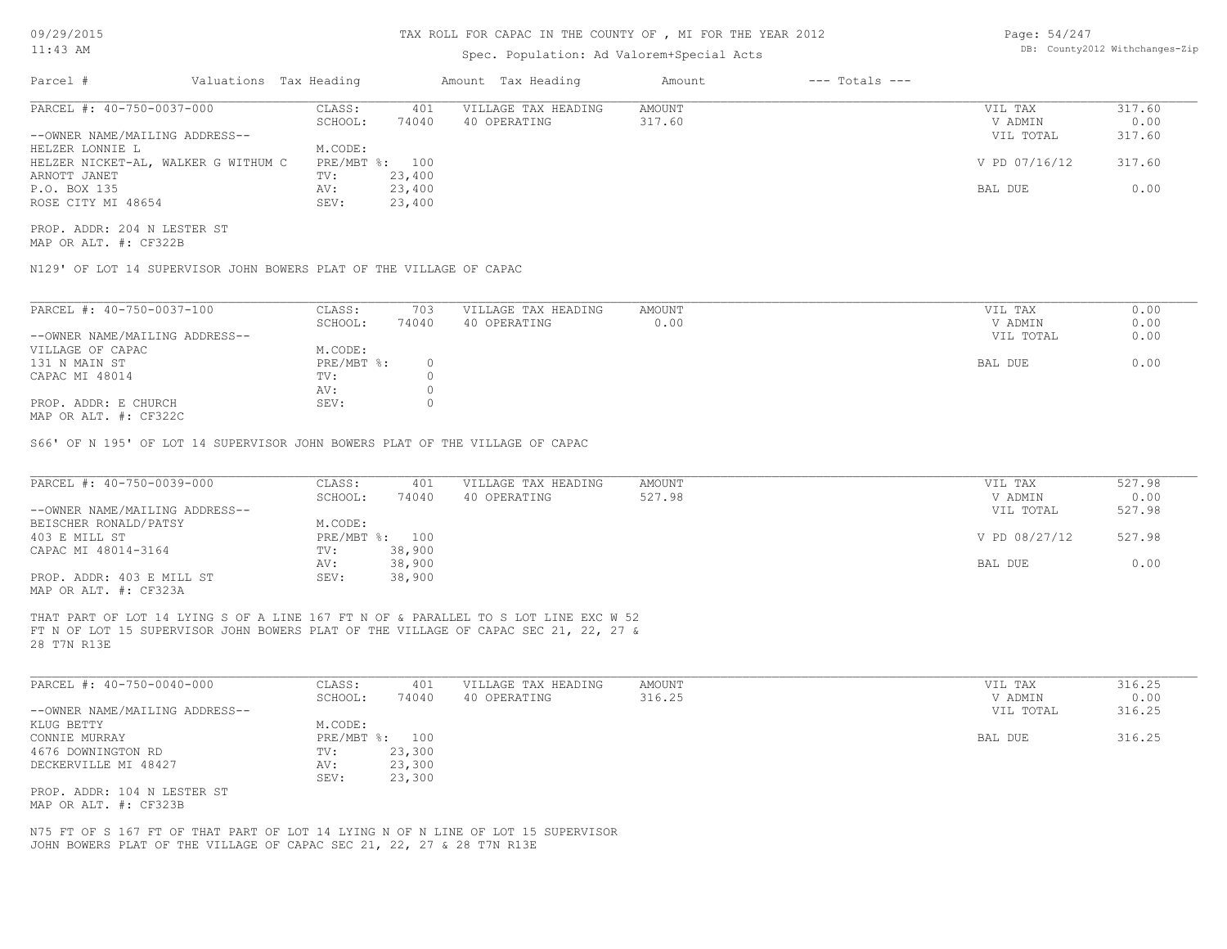## TAX ROLL FOR CAPAC IN THE COUNTY OF , MI FOR THE YEAR 2012

# Spec. Population: Ad Valorem+Special Acts

| Page: 54/247 |                                |
|--------------|--------------------------------|
|              | DB: County2012 Withchanges-Zip |

| Parcel #                            | Valuations Tax Heading |        | Amount Tax Heading  | Amount | $---$ Totals $---$ |               |        |
|-------------------------------------|------------------------|--------|---------------------|--------|--------------------|---------------|--------|
| PARCEL #: 40-750-0037-000           | CLASS:                 | 401    | VILLAGE TAX HEADING | AMOUNT |                    | VIL TAX       | 317.60 |
|                                     | SCHOOL:                | 74040  | 40 OPERATING        | 317.60 |                    | V ADMIN       | 0.00   |
| --OWNER NAME/MAILING ADDRESS--      |                        |        |                     |        |                    | VIL TOTAL     | 317.60 |
| HELZER LONNIE L                     | M.CODE:                |        |                     |        |                    |               |        |
| HELZER NICKET-AL, WALKER G WITHUM C | PRE/MBT %: 100         |        |                     |        |                    | V PD 07/16/12 | 317.60 |
| ARNOTT JANET                        | TV:                    | 23,400 |                     |        |                    |               |        |
| P.O. BOX 135                        | AV:                    | 23,400 |                     |        |                    | BAL DUE       | 0.00   |
| ROSE CITY MI 48654                  | SEV:                   | 23,400 |                     |        |                    |               |        |

MAP OR ALT. #: CF322B PROP. ADDR: 204 N LESTER ST

N129' OF LOT 14 SUPERVISOR JOHN BOWERS PLAT OF THE VILLAGE OF CAPAC

| PARCEL #: 40-750-0037-100      | CLASS:       | 703   | VILLAGE TAX HEADING | AMOUNT | VIL TAX   | 0.00 |
|--------------------------------|--------------|-------|---------------------|--------|-----------|------|
|                                | SCHOOL:      | 74040 | 40 OPERATING        | 0.00   | V ADMIN   | 0.00 |
| --OWNER NAME/MAILING ADDRESS-- |              |       |                     |        | VIL TOTAL | 0.00 |
| VILLAGE OF CAPAC               | M.CODE:      |       |                     |        |           |      |
| 131 N MAIN ST                  | $PRE/MBT$ %: |       |                     |        | BAL DUE   | 0.00 |
| CAPAC MI 48014                 | TV:          |       |                     |        |           |      |
|                                | AV:          |       |                     |        |           |      |
| PROP. ADDR: E CHURCH           | SEV:         |       |                     |        |           |      |
| MAP OR ALT. #: CF322C          |              |       |                     |        |           |      |

S66' OF N 195' OF LOT 14 SUPERVISOR JOHN BOWERS PLAT OF THE VILLAGE OF CAPAC

| PARCEL #: 40-750-0039-000      | CLASS:  | 401            | VILLAGE TAX HEADING | AMOUNT | VIL TAX       | 527.98 |
|--------------------------------|---------|----------------|---------------------|--------|---------------|--------|
|                                | SCHOOL: | 74040          | 40 OPERATING        | 527.98 | V ADMIN       | 0.00   |
| --OWNER NAME/MAILING ADDRESS-- |         |                |                     |        | VIL TOTAL     | 527.98 |
| BEISCHER RONALD/PATSY          | M.CODE: |                |                     |        |               |        |
| 403 E MILL ST                  |         | PRE/MBT %: 100 |                     |        | V PD 08/27/12 | 527.98 |
| CAPAC MI 48014-3164            | TV:     | 38,900         |                     |        |               |        |
|                                | AV:     | 38,900         |                     |        | BAL DUE       | 0.00   |
| PROP. ADDR: 403 E MILL ST      | SEV:    | 38,900         |                     |        |               |        |
| MAP OR ALT. #: CF323A          |         |                |                     |        |               |        |

28 T7N R13E FT N OF LOT 15 SUPERVISOR JOHN BOWERS PLAT OF THE VILLAGE OF CAPAC SEC 21, 22, 27 & THAT PART OF LOT 14 LYING S OF A LINE 167 FT N OF & PARALLEL TO S LOT LINE EXC W 52

| PARCEL #: 40-750-0040-000      | CLASS:  | 401            | VILLAGE TAX HEADING | AMOUNT | VIL TAX   | 316.25 |
|--------------------------------|---------|----------------|---------------------|--------|-----------|--------|
|                                | SCHOOL: | 74040          | 40 OPERATING        | 316.25 | V ADMIN   | 0.00   |
| --OWNER NAME/MAILING ADDRESS-- |         |                |                     |        | VIL TOTAL | 316.25 |
| KLUG BETTY                     | M.CODE: |                |                     |        |           |        |
| CONNIE MURRAY                  |         | PRE/MBT %: 100 |                     |        | BAL DUE   | 316.25 |
| 4676 DOWNINGTON RD             | TV:     | 23,300         |                     |        |           |        |
| DECKERVILLE MI 48427           | AV:     | 23,300         |                     |        |           |        |
|                                | SEV:    | 23,300         |                     |        |           |        |
| PROP. ADDR: 104 N LESTER ST    |         |                |                     |        |           |        |
| MAP OR ALT. #: CF323B          |         |                |                     |        |           |        |

JOHN BOWERS PLAT OF THE VILLAGE OF CAPAC SEC 21, 22, 27 & 28 T7N R13E N75 FT OF S 167 FT OF THAT PART OF LOT 14 LYING N OF N LINE OF LOT 15 SUPERVISOR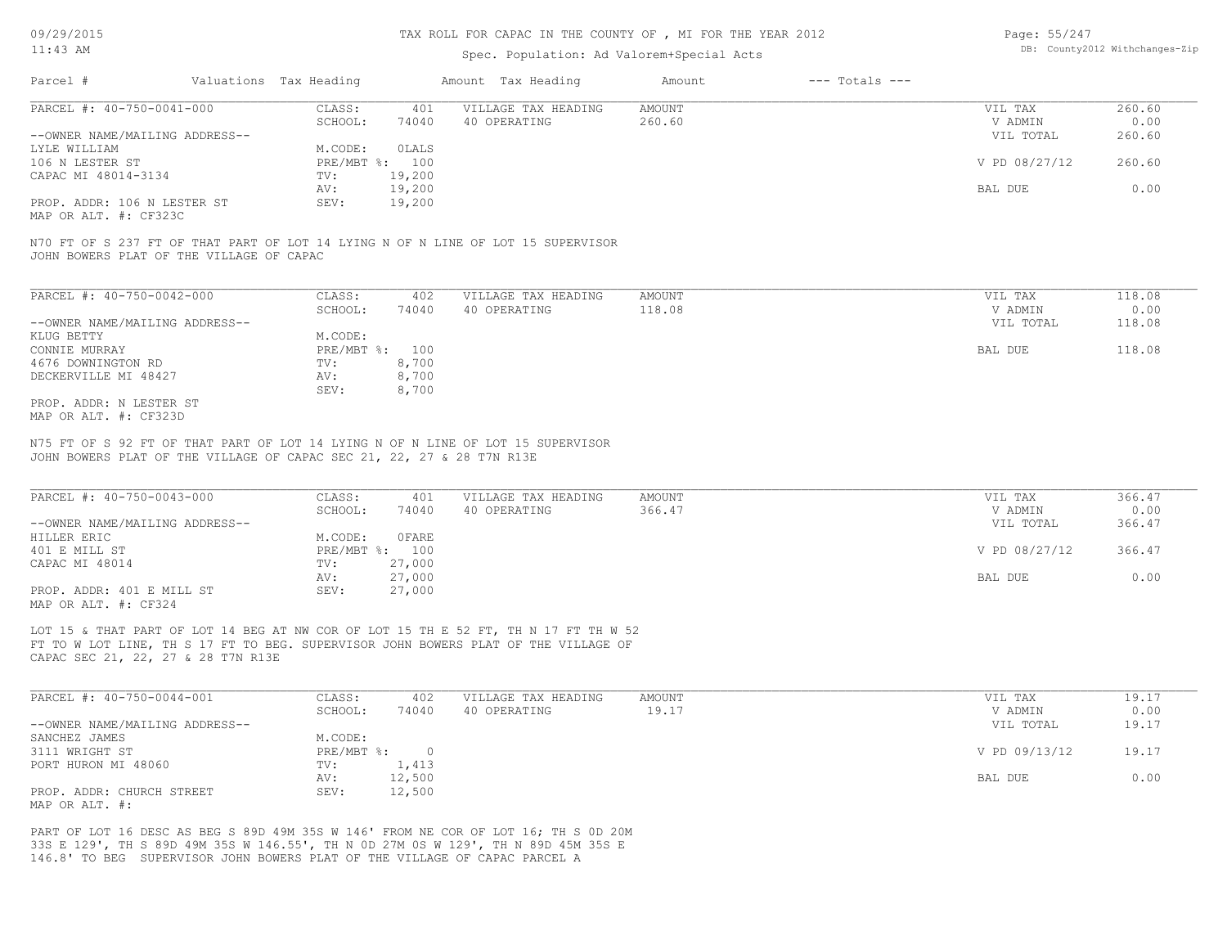# Spec. Population: Ad Valorem+Special Acts

| Page: 55/247 |                                |
|--------------|--------------------------------|
|              | DB: County2012 Withchanges-Zip |

| Parcel #                       | Valuations Tax Heading |        | Amount Tax Heading  | Amount | $---$ Totals $---$ |               |        |
|--------------------------------|------------------------|--------|---------------------|--------|--------------------|---------------|--------|
| PARCEL #: 40-750-0041-000      | CLASS:                 | 401    | VILLAGE TAX HEADING | AMOUNT |                    | VIL TAX       | 260.60 |
|                                | SCHOOL:                | 74040  | 40 OPERATING        | 260.60 |                    | V ADMIN       | 0.00   |
| --OWNER NAME/MAILING ADDRESS-- |                        |        |                     |        |                    | VIL TOTAL     | 260.60 |
| LYLE WILLIAM                   | M.CODE:                | OLALS  |                     |        |                    |               |        |
| 106 N LESTER ST                | PRE/MBT %: 100         |        |                     |        |                    | V PD 08/27/12 | 260.60 |
| CAPAC MI 48014-3134            | TV:                    | 19,200 |                     |        |                    |               |        |
|                                | AV:                    | 19,200 |                     |        |                    | BAL DUE       | 0.00   |
| PROP. ADDR: 106 N LESTER ST    | SEV:                   | 19,200 |                     |        |                    |               |        |
|                                |                        |        |                     |        |                    |               |        |

MAP OR ALT. #: CF323C

JOHN BOWERS PLAT OF THE VILLAGE OF CAPAC N70 FT OF S 237 FT OF THAT PART OF LOT 14 LYING N OF N LINE OF LOT 15 SUPERVISOR

| PARCEL #: 40-750-0042-000      | CLASS:     | 402   | VILLAGE TAX HEADING | AMOUNT | VIL TAX   | 118.08 |
|--------------------------------|------------|-------|---------------------|--------|-----------|--------|
|                                | SCHOOL:    | 74040 | 40 OPERATING        | 118.08 | V ADMIN   | 0.00   |
| --OWNER NAME/MAILING ADDRESS-- |            |       |                     |        | VIL TOTAL | 118.08 |
| KLUG BETTY                     | M.CODE:    |       |                     |        |           |        |
| CONNIE MURRAY                  | PRE/MBT %: | 100   |                     |        | BAL DUE   | 118.08 |
| 4676 DOWNINGTON RD             | TV:        | 8,700 |                     |        |           |        |
| DECKERVILLE MI 48427           | AV:        | 8,700 |                     |        |           |        |
|                                | SEV:       | 8,700 |                     |        |           |        |
| PROP. ADDR: N LESTER ST        |            |       |                     |        |           |        |
| MAP OR ALT. #: CF323D          |            |       |                     |        |           |        |

JOHN BOWERS PLAT OF THE VILLAGE OF CAPAC SEC 21, 22, 27 & 28 T7N R13E N75 FT OF S 92 FT OF THAT PART OF LOT 14 LYING N OF N LINE OF LOT 15 SUPERVISOR

| PARCEL #: 40-750-0043-000      | CLASS:  | 401            | VILLAGE TAX HEADING | AMOUNT | VIL TAX       | 366.47 |
|--------------------------------|---------|----------------|---------------------|--------|---------------|--------|
|                                | SCHOOL: | 74040          | 40 OPERATING        | 366.47 | V ADMIN       | 0.00   |
| --OWNER NAME/MAILING ADDRESS-- |         |                |                     |        | VIL TOTAL     | 366.47 |
| HILLER ERIC                    | M.CODE: | OFARE          |                     |        |               |        |
| 401 E MILL ST                  |         | PRE/MBT %: 100 |                     |        | V PD 08/27/12 | 366.47 |
| CAPAC MI 48014                 | TV:     | 27,000         |                     |        |               |        |
|                                | AV:     | 27,000         |                     |        | BAL DUE       | 0.00   |
| PROP. ADDR: 401 E MILL ST      | SEV:    | 27,000         |                     |        |               |        |
| ---- -- --- " ----             |         |                |                     |        |               |        |

MAP OR ALT. #: CF324

CAPAC SEC 21, 22, 27 & 28 T7N R13E FT TO W LOT LINE, TH S 17 FT TO BEG. SUPERVISOR JOHN BOWERS PLAT OF THE VILLAGE OF LOT 15 & THAT PART OF LOT 14 BEG AT NW COR OF LOT 15 TH E 52 FT, TH N 17 FT TH W 52

| PARCEL #: 40-750-0044-001      | CLASS:       | 402    | VILLAGE TAX HEADING | AMOUNT | VIL TAX       | 19.17 |
|--------------------------------|--------------|--------|---------------------|--------|---------------|-------|
|                                | SCHOOL:      | 74040  | 40 OPERATING        | 19.17  | V ADMIN       | 0.00  |
| --OWNER NAME/MAILING ADDRESS-- |              |        |                     |        | VIL TOTAL     | 19.17 |
| SANCHEZ JAMES                  | M.CODE:      |        |                     |        |               |       |
| 3111 WRIGHT ST                 | $PRE/MBT$ %: |        |                     |        | V PD 09/13/12 | 19.17 |
| PORT HURON MI 48060            | TV:          | 1,413  |                     |        |               |       |
|                                | AV:          | 12,500 |                     |        | BAL DUE       | 0.00  |
| PROP. ADDR: CHURCH STREET      | SEV:         | 12,500 |                     |        |               |       |
| MAP OR ALT. #:                 |              |        |                     |        |               |       |

146.8' TO BEG SUPERVISOR JOHN BOWERS PLAT OF THE VILLAGE OF CAPAC PARCEL A 33S E 129', TH S 89D 49M 35S W 146.55', TH N 0D 27M 0S W 129', TH N 89D 45M 35S E PART OF LOT 16 DESC AS BEG S 89D 49M 35S W 146' FROM NE COR OF LOT 16; TH S 0D 20M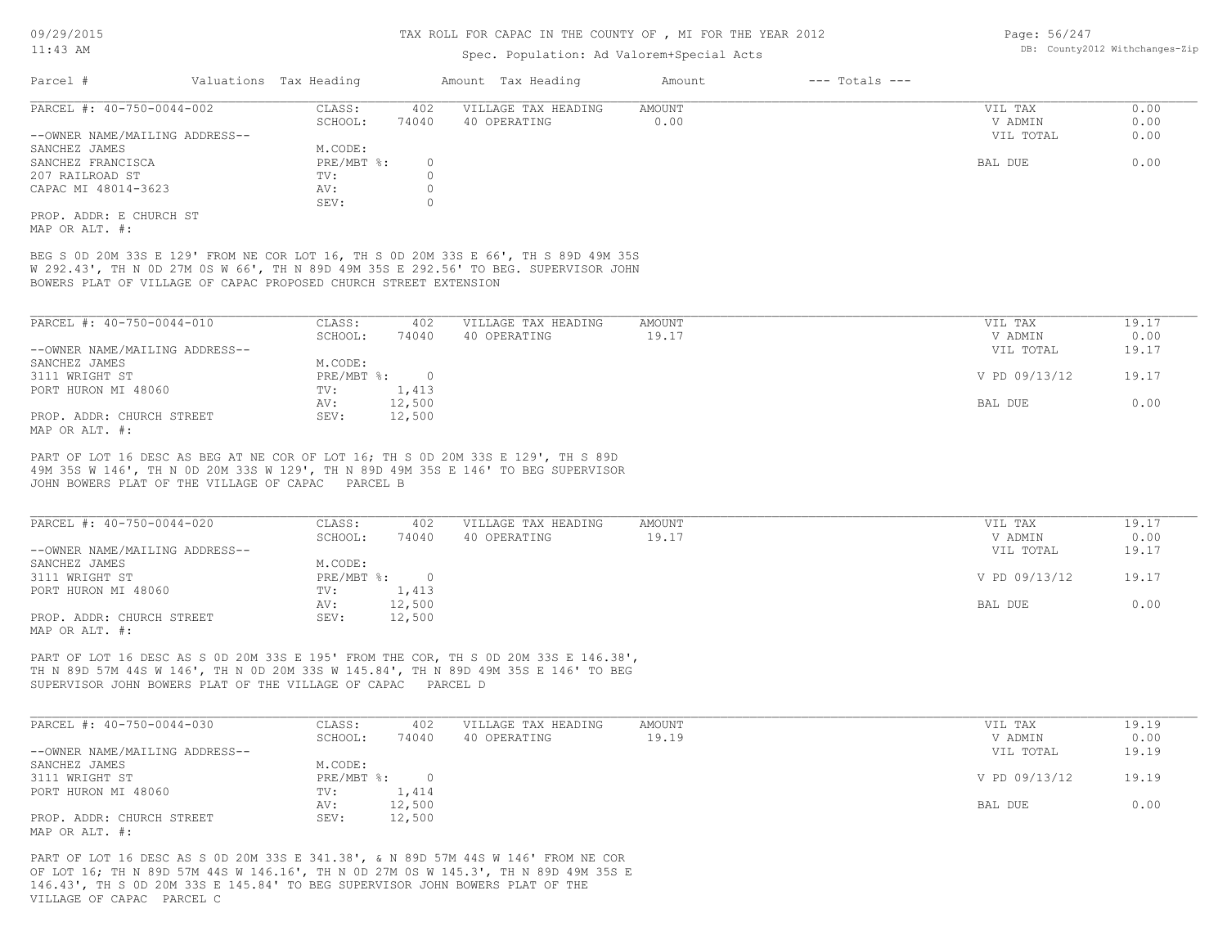# Spec. Population: Ad Valorem+Special Acts

| Page: 56/247 |                                |
|--------------|--------------------------------|
|              | DB: County2012 Withchanges-Zip |

| Parcel #                       | Valuations Tax Heading |       | Amount Tax Heading  | Amount | $---$ Totals $---$ |           |      |
|--------------------------------|------------------------|-------|---------------------|--------|--------------------|-----------|------|
| PARCEL #: 40-750-0044-002      | CLASS:                 | 402   | VILLAGE TAX HEADING | AMOUNT |                    | VIL TAX   | 0.00 |
|                                | SCHOOL:                | 74040 | 40 OPERATING        | 0.00   |                    | V ADMIN   | 0.00 |
| --OWNER NAME/MAILING ADDRESS-- |                        |       |                     |        |                    | VIL TOTAL | 0.00 |
| SANCHEZ JAMES                  | M.CODE:                |       |                     |        |                    |           |      |
| SANCHEZ FRANCISCA              | $PRE/MBT$ %:           |       |                     |        |                    | BAL DUE   | 0.00 |
| 207 RAILROAD ST                | TV:                    |       |                     |        |                    |           |      |
| CAPAC MI 48014-3623            | AV:                    |       |                     |        |                    |           |      |
|                                | SEV:                   |       |                     |        |                    |           |      |
| PROP. ADDR: E CHURCH ST        |                        |       |                     |        |                    |           |      |

MAP OR ALT. #:

BOWERS PLAT OF VILLAGE OF CAPAC PROPOSED CHURCH STREET EXTENSION W 292.43', TH N 0D 27M 0S W 66', TH N 89D 49M 35S E 292.56' TO BEG. SUPERVISOR JOHN BEG S 0D 20M 33S E 129' FROM NE COR LOT 16, TH S 0D 20M 33S E 66', TH S 89D 49M 35S

| PARCEL #: 40-750-0044-010      | CLASS:     | 402      | VILLAGE TAX HEADING | AMOUNT | VIL TAX       | 19.17 |
|--------------------------------|------------|----------|---------------------|--------|---------------|-------|
|                                | SCHOOL:    | 74040    | 40 OPERATING        | 19.17  | V ADMIN       | 0.00  |
| --OWNER NAME/MAILING ADDRESS-- |            |          |                     |        | VIL TOTAL     | 19.17 |
| SANCHEZ JAMES                  | M.CODE:    |          |                     |        |               |       |
| 3111 WRIGHT ST                 | PRE/MBT %: | $\Omega$ |                     |        | V PD 09/13/12 | 19.17 |
| PORT HURON MI 48060            | TV:        | 1,413    |                     |        |               |       |
|                                | AV:        | 12,500   |                     |        | BAL DUE       | 0.00  |
| PROP. ADDR: CHURCH STREET      | SEV:       | 12,500   |                     |        |               |       |
| MAP OR ALT. #:                 |            |          |                     |        |               |       |

JOHN BOWERS PLAT OF THE VILLAGE OF CAPAC PARCEL B 49M 35S W 146', TH N 0D 20M 33S W 129', TH N 89D 49M 35S E 146' TO BEG SUPERVISOR PART OF LOT 16 DESC AS BEG AT NE COR OF LOT 16; TH S 0D 20M 33S E 129', TH S 89D

| PARCEL #: 40-750-0044-020      | CLASS:     | 402    | VILLAGE TAX HEADING | AMOUNT | VIL TAX       | 19.17 |
|--------------------------------|------------|--------|---------------------|--------|---------------|-------|
|                                | SCHOOL:    | 74040  | 40 OPERATING        | 19.17  | V ADMIN       | 0.00  |
| --OWNER NAME/MAILING ADDRESS-- |            |        |                     |        | VIL TOTAL     | 19.17 |
| SANCHEZ JAMES                  | M.CODE:    |        |                     |        |               |       |
| 3111 WRIGHT ST                 | PRE/MBT %: |        |                     |        | V PD 09/13/12 | 19.17 |
| PORT HURON MI 48060            | TV:        | 1,413  |                     |        |               |       |
|                                | AV:        | 12,500 |                     |        | BAL DUE       | 0.00  |
| PROP. ADDR: CHURCH STREET      | SEV:       | 12,500 |                     |        |               |       |
| MAP OR ALT. #:                 |            |        |                     |        |               |       |

SUPERVISOR JOHN BOWERS PLAT OF THE VILLAGE OF CAPAC PARCEL D TH N 89D 57M 44S W 146', TH N 0D 20M 33S W 145.84', TH N 89D 49M 35S E 146' TO BEG PART OF LOT 16 DESC AS S 0D 20M 33S E 195' FROM THE COR, TH S 0D 20M 33S E 146.38',

| PARCEL #: 40-750-0044-030      | CLASS:     | 402    | VILLAGE TAX HEADING | AMOUNT | VIL TAX       | 19.19 |
|--------------------------------|------------|--------|---------------------|--------|---------------|-------|
|                                | SCHOOL:    | 74040  | 40 OPERATING        | 19.19  | V ADMIN       | 0.00  |
| --OWNER NAME/MAILING ADDRESS-- |            |        |                     |        | VIL TOTAL     | 19.19 |
| SANCHEZ JAMES                  | M.CODE:    |        |                     |        |               |       |
| 3111 WRIGHT ST                 | PRE/MBT %: |        |                     |        | V PD 09/13/12 | 19.19 |
| PORT HURON MI 48060            | TV:        | 1,414  |                     |        |               |       |
|                                | AV:        | 12,500 |                     |        | BAL DUE       | 0.00  |
| PROP. ADDR: CHURCH STREET      | SEV:       | 12,500 |                     |        |               |       |
| MAP OR ALT. #:                 |            |        |                     |        |               |       |

VILLAGE OF CAPAC PARCEL C 146.43', TH S 0D 20M 33S E 145.84' TO BEG SUPERVISOR JOHN BOWERS PLAT OF THE OF LOT 16; TH N 89D 57M 44S W 146.16', TH N 0D 27M 0S W 145.3', TH N 89D 49M 35S E PART OF LOT 16 DESC AS S 0D 20M 33S E 341.38', & N 89D 57M 44S W 146' FROM NE COR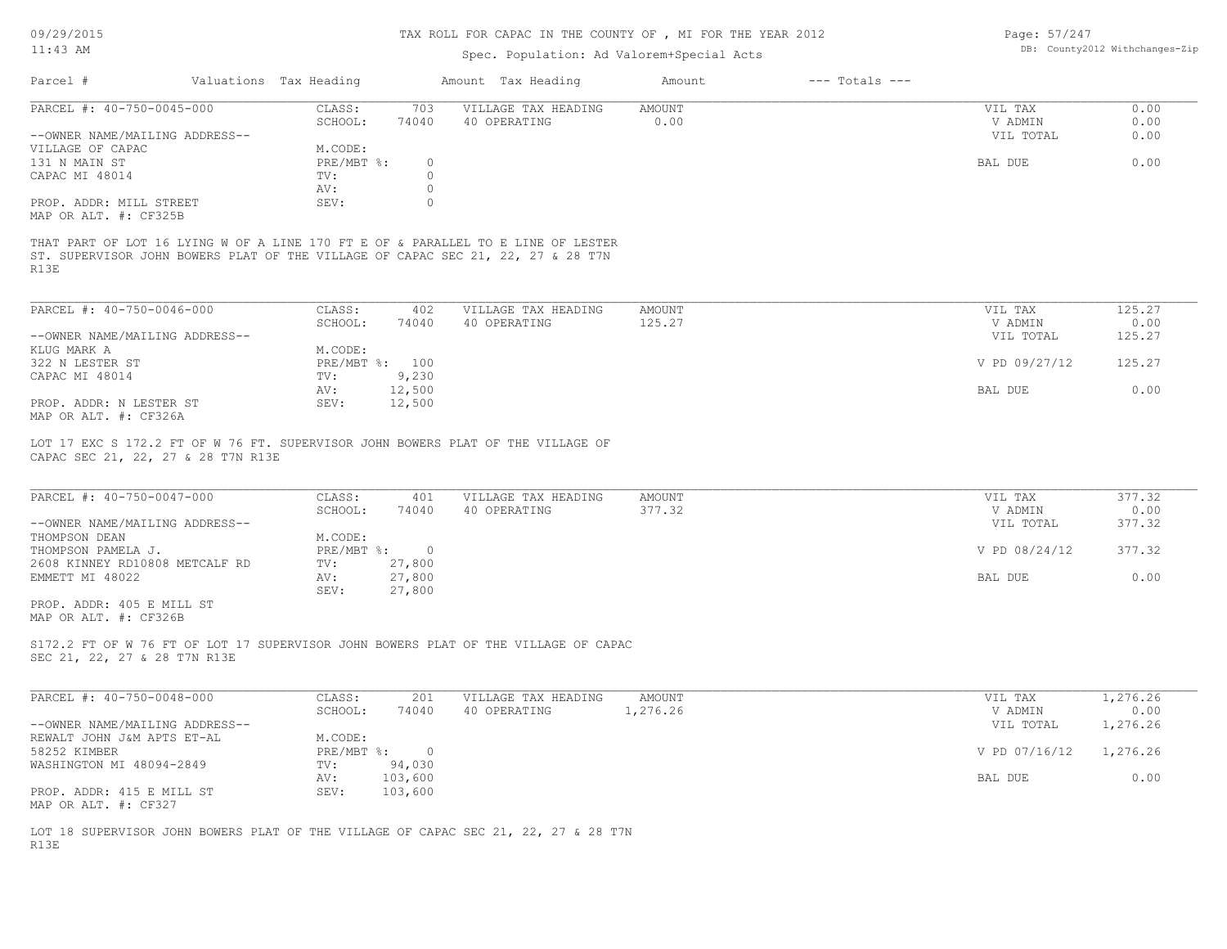| 09/29/2015                                                      |                        |                | TAX ROLL FOR CAPAC IN THE COUNTY OF , MI FOR THE YEAR 2012                                                                                                          |                       |                    | Page: 57/247       |                                |
|-----------------------------------------------------------------|------------------------|----------------|---------------------------------------------------------------------------------------------------------------------------------------------------------------------|-----------------------|--------------------|--------------------|--------------------------------|
| $11:43$ AM                                                      |                        |                | Spec. Population: Ad Valorem+Special Acts                                                                                                                           |                       |                    |                    | DB: County2012 Withchanges-Zip |
| Parcel #                                                        | Valuations Tax Heading |                | Amount Tax Heading                                                                                                                                                  | Amount                | $---$ Totals $---$ |                    |                                |
| PARCEL #: 40-750-0045-000                                       | CLASS:<br>SCHOOL:      | 703<br>74040   | VILLAGE TAX HEADING<br>40 OPERATING                                                                                                                                 | <b>AMOUNT</b><br>0.00 |                    | VIL TAX<br>V ADMIN | 0.00<br>0.00                   |
| --OWNER NAME/MAILING ADDRESS--<br>VILLAGE OF CAPAC              | M.CODE:                |                |                                                                                                                                                                     |                       |                    | VIL TOTAL          | 0.00                           |
| 131 N MAIN ST                                                   | PRE/MBT %:             | $\circ$        |                                                                                                                                                                     |                       |                    | BAL DUE            | 0.00                           |
| CAPAC MI 48014                                                  | TV:                    | $\circ$        |                                                                                                                                                                     |                       |                    |                    |                                |
|                                                                 | AV:                    | $\circ$        |                                                                                                                                                                     |                       |                    |                    |                                |
| PROP. ADDR: MILL STREET<br>MAP OR ALT. #: CF325B                | SEV:                   | $\circ$        |                                                                                                                                                                     |                       |                    |                    |                                |
| R13E                                                            |                        |                | THAT PART OF LOT 16 LYING W OF A LINE 170 FT E OF & PARALLEL TO E LINE OF LESTER<br>ST. SUPERVISOR JOHN BOWERS PLAT OF THE VILLAGE OF CAPAC SEC 21, 22, 27 & 28 T7N |                       |                    |                    |                                |
| PARCEL #: 40-750-0046-000                                       | CLASS:                 | 402            | VILLAGE TAX HEADING                                                                                                                                                 | <b>AMOUNT</b>         |                    | VIL TAX            | 125.27                         |
|                                                                 | SCHOOL:                | 74040          | 40 OPERATING                                                                                                                                                        | 125.27                |                    | V ADMIN            | 0.00                           |
| --OWNER NAME/MAILING ADDRESS--                                  |                        |                |                                                                                                                                                                     |                       |                    | VIL TOTAL          | 125.27                         |
| KLUG MARK A                                                     | M.CODE:                |                |                                                                                                                                                                     |                       |                    |                    |                                |
| 322 N LESTER ST                                                 | PRE/MBT %: 100         |                |                                                                                                                                                                     |                       |                    | V PD 09/27/12      | 125.27                         |
| CAPAC MI 48014                                                  | TV:                    | 9,230          |                                                                                                                                                                     |                       |                    |                    |                                |
|                                                                 | AV:                    | 12,500         |                                                                                                                                                                     |                       |                    | BAL DUE            | 0.00                           |
| PROP. ADDR: N LESTER ST<br>MAP OR ALT. #: CF326A                | SEV:                   | 12,500         |                                                                                                                                                                     |                       |                    |                    |                                |
| CAPAC SEC 21, 22, 27 & 28 T7N R13E<br>PARCEL #: 40-750-0047-000 | CLASS:                 | 401            | LOT 17 EXC S 172.2 FT OF W 76 FT. SUPERVISOR JOHN BOWERS PLAT OF THE VILLAGE OF<br>VILLAGE TAX HEADING                                                              | <b>AMOUNT</b>         |                    | VIL TAX            | 377.32                         |
|                                                                 | SCHOOL:                | 74040          | 40 OPERATING                                                                                                                                                        | 377.32                |                    | V ADMIN            | 0.00                           |
| --OWNER NAME/MAILING ADDRESS--                                  |                        |                |                                                                                                                                                                     |                       |                    | VIL TOTAL          | 377.32                         |
| THOMPSON DEAN                                                   | M.CODE:                |                |                                                                                                                                                                     |                       |                    |                    |                                |
| THOMPSON PAMELA J.                                              | $PRE/MBT$ $\div$       | $\circ$        |                                                                                                                                                                     |                       |                    | V PD 08/24/12      | 377.32                         |
| 2608 KINNEY RD10808 METCALF RD                                  | TV:                    | 27,800         |                                                                                                                                                                     |                       |                    |                    |                                |
| EMMETT MI 48022                                                 | AV:                    | 27,800         |                                                                                                                                                                     |                       |                    | BAL DUE            | 0.00                           |
| PROP. ADDR: 405 E MILL ST<br>MAP OR ALT. #: CF326B              | SEV:                   | 27,800         |                                                                                                                                                                     |                       |                    |                    |                                |
| SEC 21, 22, 27 & 28 T7N R13E                                    |                        |                | S172.2 FT OF W 76 FT OF LOT 17 SUPERVISOR JOHN BOWERS PLAT OF THE VILLAGE OF CAPAC                                                                                  |                       |                    |                    |                                |
| PARCEL #: 40-750-0048-000                                       | CLASS:                 | 201            | VILLAGE TAX HEADING                                                                                                                                                 | <b>AMOUNT</b>         |                    | VIL TAX            | 1,276.26                       |
|                                                                 | SCHOOL:                | 74040          | 40 OPERATING                                                                                                                                                        | 1,276.26              |                    | V ADMIN            | 0.00                           |
| --OWNER NAME/MAILING ADDRESS--                                  |                        |                |                                                                                                                                                                     |                       |                    | VIL TOTAL          | 1,276.26                       |
| REWALT JOHN J&M APTS ET-AL                                      | M.CODE:                |                |                                                                                                                                                                     |                       |                    |                    |                                |
| 58252 KIMBER                                                    | PRE/MBT %:             | $\overline{0}$ |                                                                                                                                                                     |                       |                    | V PD 07/16/12      | 1,276.26                       |
| WASHINGTON MI 48094-2849                                        | TV:                    | 94,030         |                                                                                                                                                                     |                       |                    |                    |                                |
|                                                                 | AV:<br>103,600         |                |                                                                                                                                                                     |                       |                    | BAL DUE            | 0.00                           |
| PROP. ADDR: 415 E MILL ST                                       | 103,600<br>SEV:        |                |                                                                                                                                                                     |                       |                    |                    |                                |

MAP OR ALT. #: CF327

R13E LOT 18 SUPERVISOR JOHN BOWERS PLAT OF THE VILLAGE OF CAPAC SEC 21, 22, 27 & 28 T7N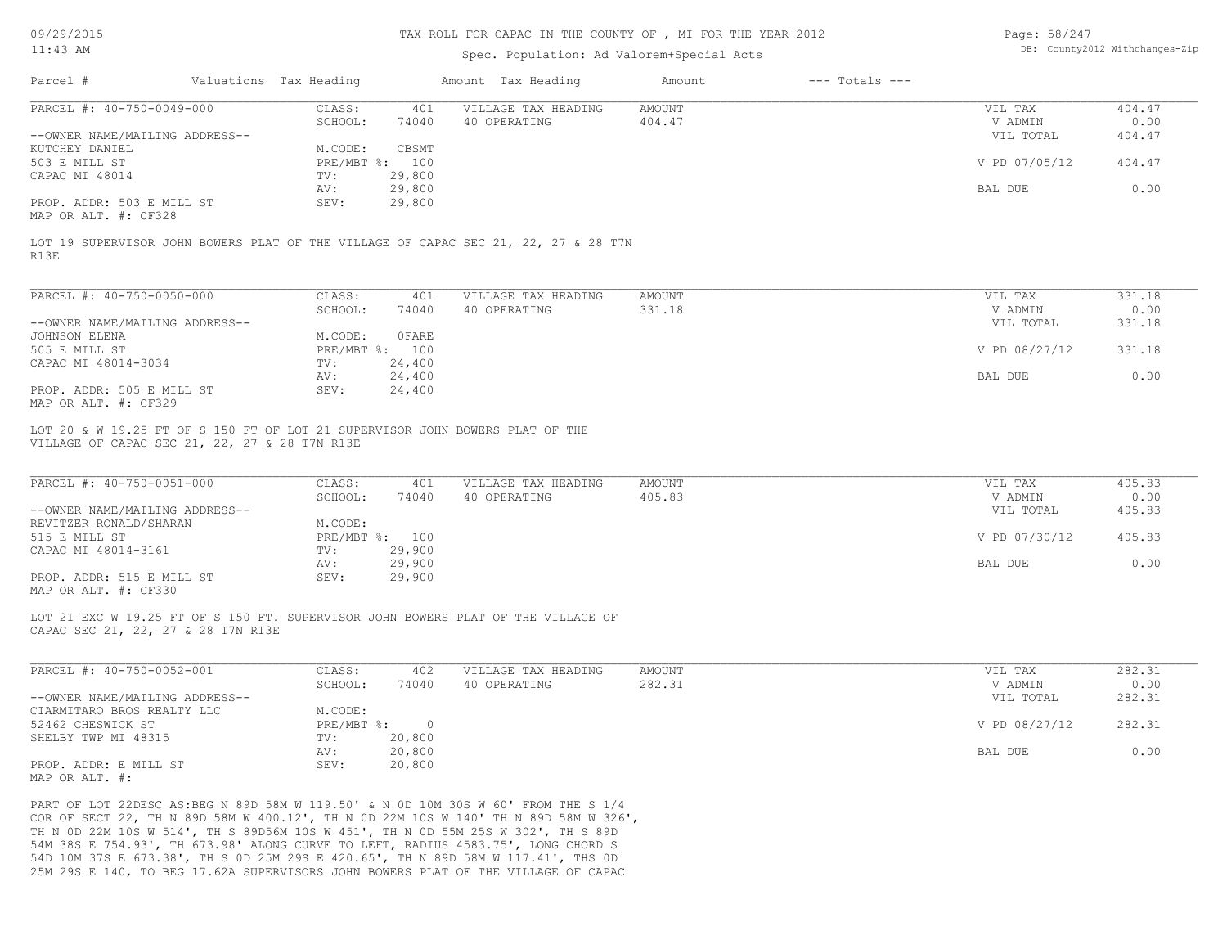# TAX ROLL FOR CAPAC IN THE COUNTY OF , MI FOR THE YEAR 2012

# Spec. Population: Ad Valorem+Special Acts

| Page: 58/247 |                                |
|--------------|--------------------------------|
|              | DB: County2012 Withchanges-Zip |

|                                | Valuations Tax Heading |                | Amount Tax Heading                                                                 | Amount | $---$ Totals $---$ |               |        |
|--------------------------------|------------------------|----------------|------------------------------------------------------------------------------------|--------|--------------------|---------------|--------|
| PARCEL #: 40-750-0049-000      | CLASS:                 | 401            | VILLAGE TAX HEADING                                                                | AMOUNT |                    | VIL TAX       | 404.47 |
|                                | SCHOOL:                | 74040          | 40 OPERATING                                                                       | 404.47 |                    | V ADMIN       | 0.00   |
| --OWNER NAME/MAILING ADDRESS-- |                        |                |                                                                                    |        |                    | VIL TOTAL     | 404.47 |
| KUTCHEY DANIEL                 | M.CODE:                | CBSMT          |                                                                                    |        |                    |               |        |
| 503 E MILL ST                  |                        | PRE/MBT %: 100 |                                                                                    |        |                    | V PD 07/05/12 | 404.47 |
| CAPAC MI 48014                 | TV:                    | 29,800         |                                                                                    |        |                    |               |        |
|                                | AV:                    | 29,800         |                                                                                    |        |                    | BAL DUE       | 0.00   |
| PROP. ADDR: 503 E MILL ST      | SEV:                   | 29,800         |                                                                                    |        |                    |               |        |
| MAP OR ALT. #: CF328           |                        |                |                                                                                    |        |                    |               |        |
|                                |                        |                |                                                                                    |        |                    |               |        |
| R13E                           |                        |                | LOT 19 SUPERVISOR JOHN BOWERS PLAT OF THE VILLAGE OF CAPAC SEC 21, 22, 27 & 28 T7N |        |                    |               |        |

| PARCEL #: 40-750-0050-000      | CLASS:     | 401    | VILLAGE TAX HEADING | AMOUNT | VIL TAX       | 331.18 |
|--------------------------------|------------|--------|---------------------|--------|---------------|--------|
|                                | SCHOOL:    | 74040  | 40 OPERATING        | 331.18 | V ADMIN       | 0.00   |
| --OWNER NAME/MAILING ADDRESS-- |            |        |                     |        | VIL TOTAL     | 331.18 |
| JOHNSON ELENA                  | M.CODE:    | OFARE  |                     |        |               |        |
| 505 E MILL ST                  | PRE/MBT %: | 100    |                     |        | V PD 08/27/12 | 331.18 |
| CAPAC MI 48014-3034            | TV:        | 24,400 |                     |        |               |        |
|                                | AV:        | 24,400 |                     |        | BAL DUE       | 0.00   |
| PROP. ADDR: 505 E MILL ST      | SEV:       | 24,400 |                     |        |               |        |
| MAP OR ALT. #: CF329           |            |        |                     |        |               |        |

VILLAGE OF CAPAC SEC 21, 22, 27 & 28 T7N R13E LOT 20 & W 19.25 FT OF S 150 FT OF LOT 21 SUPERVISOR JOHN BOWERS PLAT OF THE

| PARCEL #: 40-750-0051-000      | CLASS:  | 401            | VILLAGE TAX HEADING | AMOUNT | VIL TAX       | 405.83 |
|--------------------------------|---------|----------------|---------------------|--------|---------------|--------|
|                                | SCHOOL: | 74040          | 40 OPERATING        | 405.83 | V ADMIN       | 0.00   |
| --OWNER NAME/MAILING ADDRESS-- |         |                |                     |        | VIL TOTAL     | 405.83 |
| REVITZER RONALD/SHARAN         | M.CODE: |                |                     |        |               |        |
| 515 E MILL ST                  |         | PRE/MBT %: 100 |                     |        | V PD 07/30/12 | 405.83 |
| CAPAC MI 48014-3161            | TV:     | 29,900         |                     |        |               |        |
|                                | AV:     | 29,900         |                     |        | BAL DUE       | 0.00   |
| PROP. ADDR: 515 E MILL ST      | SEV:    | 29,900         |                     |        |               |        |
| MAP OR ALT. #: CF330           |         |                |                     |        |               |        |

LOT 21 EXC W 19.25 FT OF S 150 FT. SUPERVISOR JOHN BOWERS PLAT OF THE VILLAGE OF

CAPAC SEC 21, 22, 27 & 28 T7N R13E

| PARCEL #: 40-750-0052-001      | CLASS:       | 402    | VILLAGE TAX HEADING | AMOUNT | VIL TAX       | 282.31 |
|--------------------------------|--------------|--------|---------------------|--------|---------------|--------|
|                                | SCHOOL:      | 74040  | 40 OPERATING        | 282.31 | V ADMIN       | 0.00   |
| --OWNER NAME/MAILING ADDRESS-- |              |        |                     |        | VIL TOTAL     | 282.31 |
| CIARMITARO BROS REALTY LLC     | M.CODE:      |        |                     |        |               |        |
| 52462 CHESWICK ST              | $PRE/MBT$ %: |        |                     |        | V PD 08/27/12 | 282.31 |
| SHELBY TWP MI 48315            | TV:          | 20,800 |                     |        |               |        |
|                                | AV:          | 20,800 |                     |        | BAL DUE       | 0.00   |
| PROP. ADDR: E MILL ST          | SEV:         | 20,800 |                     |        |               |        |
| MAP OR ALT. #:                 |              |        |                     |        |               |        |

25M 29S E 140, TO BEG 17.62A SUPERVISORS JOHN BOWERS PLAT OF THE VILLAGE OF CAPAC 54D 10M 37S E 673.38', TH S 0D 25M 29S E 420.65', TH N 89D 58M W 117.41', THS 0D 54M 38S E 754.93', TH 673.98' ALONG CURVE TO LEFT, RADIUS 4583.75', LONG CHORD S TH N 0D 22M 10S W 514', TH S 89D56M 10S W 451', TH N 0D 55M 25S W 302', TH S 89D COR OF SECT 22, TH N 89D 58M W 400.12', TH N 0D 22M 10S W 140' TH N 89D 58M W 326', PART OF LOT 22DESC AS:BEG N 89D 58M W 119.50' & N 0D 10M 30S W 60' FROM THE S 1/4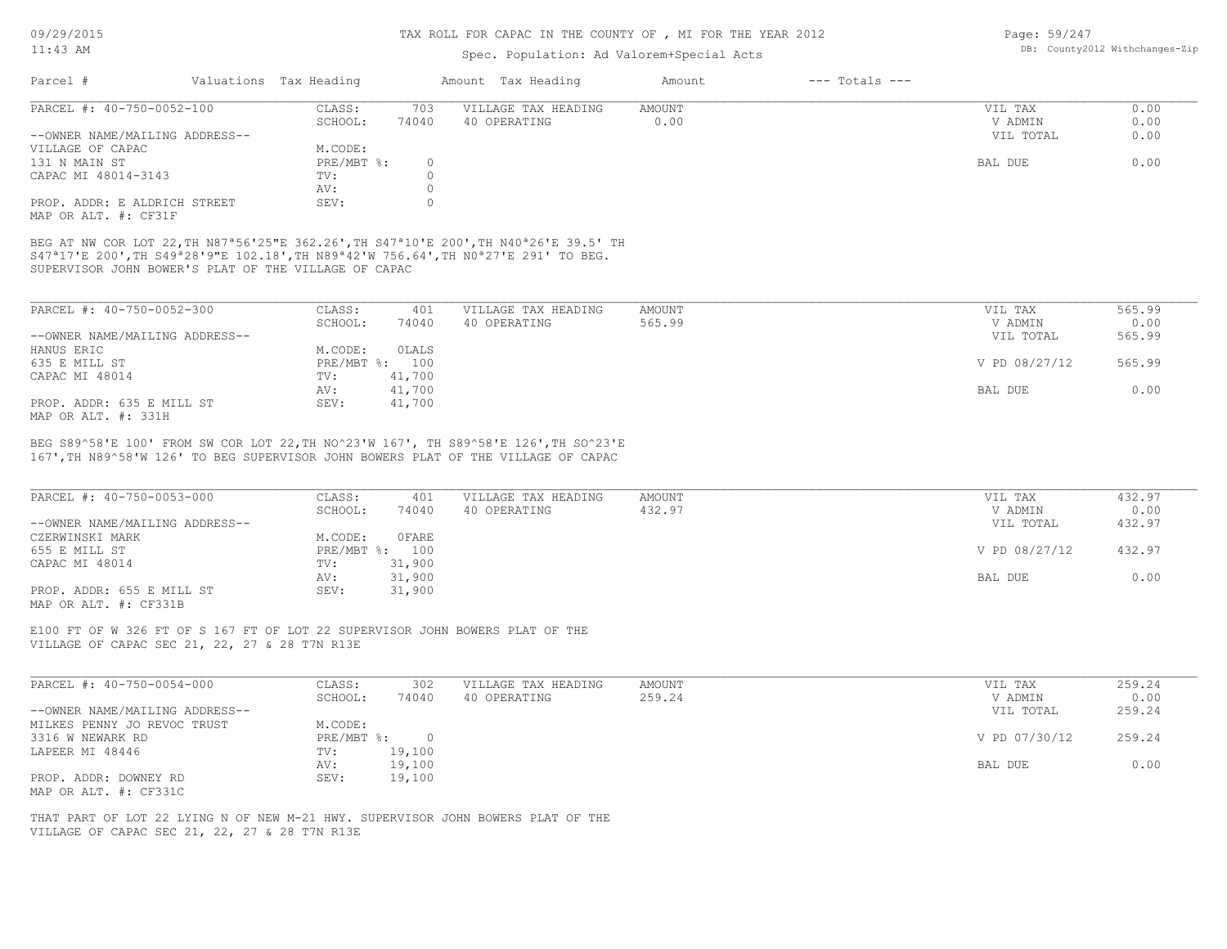# Spec. Population: Ad Valorem+Special Acts

| Page: 59/247 |                                |
|--------------|--------------------------------|
|              | DB: County2012 Withchanges-Zip |

| Parcel #                       | Valuations Tax Heading |       | Amount Tax Heading  | Amount | $---$ Totals $---$ |           |      |
|--------------------------------|------------------------|-------|---------------------|--------|--------------------|-----------|------|
| PARCEL #: 40-750-0052-100      | CLASS:                 | 703   | VILLAGE TAX HEADING | AMOUNT |                    | VIL TAX   | 0.00 |
|                                | SCHOOL:                | 74040 | 40 OPERATING        | 0.00   |                    | V ADMIN   | 0.00 |
| --OWNER NAME/MAILING ADDRESS-- |                        |       |                     |        |                    | VIL TOTAL | 0.00 |
| VILLAGE OF CAPAC               | M.CODE:                |       |                     |        |                    |           |      |
| 131 N MAIN ST                  | PRE/MBT %:             |       |                     |        |                    | BAL DUE   | 0.00 |
| CAPAC MI 48014-3143            | TV:                    |       |                     |        |                    |           |      |
|                                | AV:                    |       |                     |        |                    |           |      |
| PROP. ADDR: E ALDRICH STREET   | SEV:                   |       |                     |        |                    |           |      |
| MAP OR ALT. #: CF31F           |                        |       |                     |        |                    |           |      |

SUPERVISOR JOHN BOWER'S PLAT OF THE VILLAGE OF CAPAC S47ª17'E 200',TH S49ª28'9"E 102.18',TH N89ª42'W 756.64',TH N0ª27'E 291' TO BEG. BEG AT NW COR LOT 22,TH N87ª56'25"E 362.26',TH S47ª10'E 200',TH N40ª26'E 39.5' TH

| PARCEL #: 40-750-0052-300      | CLASS:  | 401            | VILLAGE TAX HEADING | AMOUNT | VIL TAX       | 565.99 |
|--------------------------------|---------|----------------|---------------------|--------|---------------|--------|
|                                | SCHOOL: | 74040          | 40 OPERATING        | 565.99 | V ADMIN       | 0.00   |
| --OWNER NAME/MAILING ADDRESS-- |         |                |                     |        | VIL TOTAL     | 565.99 |
| HANUS ERIC                     | M.CODE: | OLALS          |                     |        |               |        |
| 635 E MILL ST                  |         | PRE/MBT %: 100 |                     |        | V PD 08/27/12 | 565.99 |
| CAPAC MI 48014                 | TV:     | 41,700         |                     |        |               |        |
|                                | AV:     | 41,700         |                     |        | BAL DUE       | 0.00   |
| PROP. ADDR: 635 E MILL ST      | SEV:    | 41,700         |                     |        |               |        |
| MAP OR ALT. #: 331H            |         |                |                     |        |               |        |

BEG S89^58'E 100' FROM SW COR LOT 22,TH NO^23'W 167', TH S89^58'E 126',TH SO^23'E

167',TH N89^58'W 126' TO BEG SUPERVISOR JOHN BOWERS PLAT OF THE VILLAGE OF CAPAC

| PARCEL #: 40-750-0053-000      | CLASS:  | 401            | VILLAGE TAX HEADING | AMOUNT | VIL TAX       | 432.97 |
|--------------------------------|---------|----------------|---------------------|--------|---------------|--------|
|                                | SCHOOL: | 74040          | 40 OPERATING        | 432.97 | V ADMIN       | 0.00   |
| --OWNER NAME/MAILING ADDRESS-- |         |                |                     |        | VIL TOTAL     | 432.97 |
| CZERWINSKI MARK                | M.CODE: | OFARE          |                     |        |               |        |
| 655 E MILL ST                  |         | PRE/MBT %: 100 |                     |        | V PD 08/27/12 | 432.97 |
| CAPAC MI 48014                 | TV:     | 31,900         |                     |        |               |        |
|                                | AV:     | 31,900         |                     |        | BAL DUE       | 0.00   |
| PROP. ADDR: 655 E MILL ST      | SEV:    | 31,900         |                     |        |               |        |
|                                |         |                |                     |        |               |        |

MAP OR ALT. #: CF331B

VILLAGE OF CAPAC SEC 21, 22, 27 & 28 T7N R13E E100 FT OF W 326 FT OF S 167 FT OF LOT 22 SUPERVISOR JOHN BOWERS PLAT OF THE

| PARCEL #: 40-750-0054-000      | CLASS:     | 302    | VILLAGE TAX HEADING | AMOUNT | VIL TAX       | 259.24 |
|--------------------------------|------------|--------|---------------------|--------|---------------|--------|
|                                | SCHOOL:    | 74040  | 40 OPERATING        | 259.24 | V ADMIN       | 0.00   |
| --OWNER NAME/MAILING ADDRESS-- |            |        |                     |        | VIL TOTAL     | 259.24 |
| MILKES PENNY JO REVOC TRUST    | M.CODE:    |        |                     |        |               |        |
| 3316 W NEWARK RD               | PRE/MBT %: |        |                     |        | V PD 07/30/12 | 259.24 |
| LAPEER MI 48446                | TV:        | 19,100 |                     |        |               |        |
|                                | AV:        | 19,100 |                     |        | BAL DUE       | 0.00   |
| PROP. ADDR: DOWNEY RD          | SEV:       | 19,100 |                     |        |               |        |
| MAP OR ALT. #: CF331C          |            |        |                     |        |               |        |

VILLAGE OF CAPAC SEC 21, 22, 27 & 28 T7N R13E THAT PART OF LOT 22 LYING N OF NEW M-21 HWY. SUPERVISOR JOHN BOWERS PLAT OF THE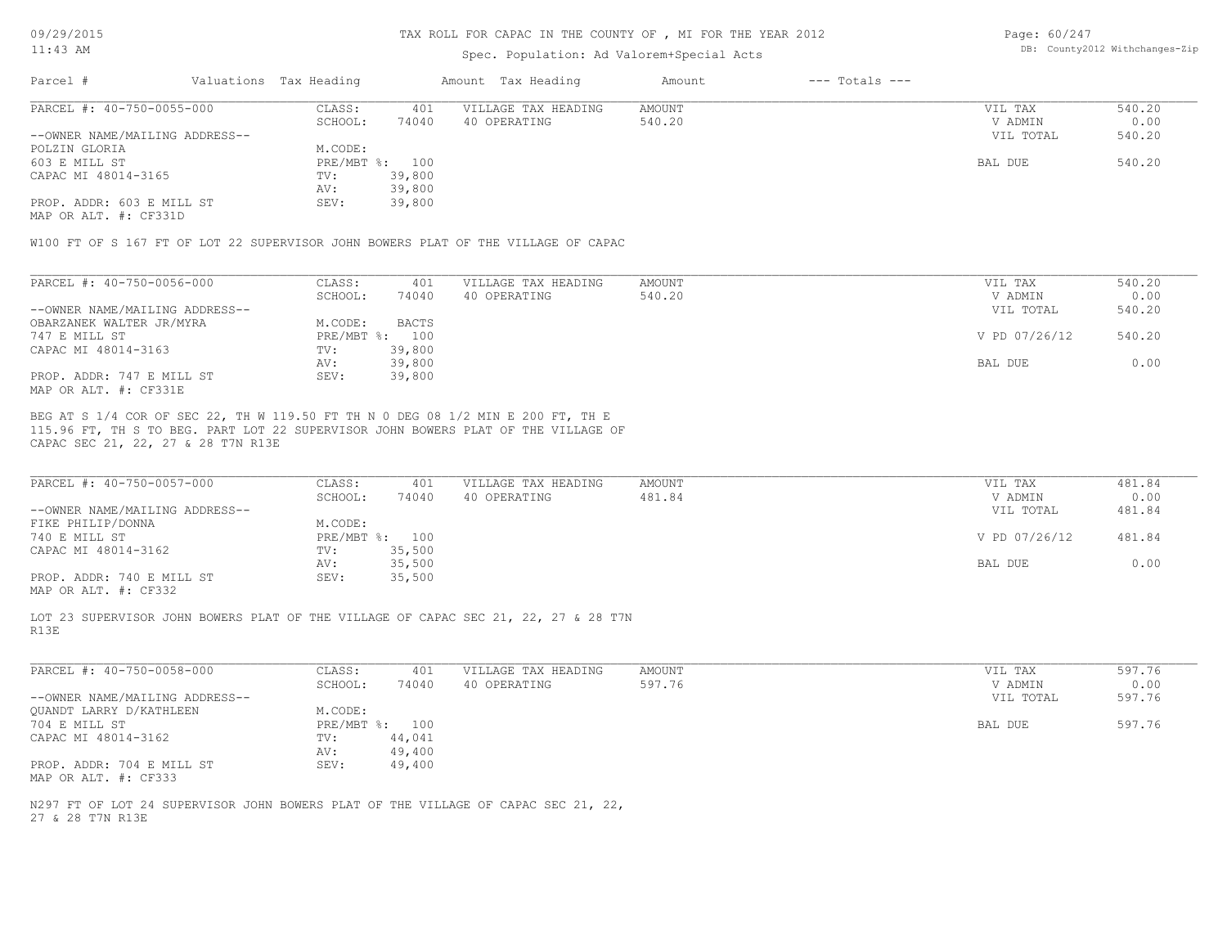## TAX ROLL FOR CAPAC IN THE COUNTY OF , MI FOR THE YEAR 2012

# Spec. Population: Ad Valorem+Special Acts

Page: 60/247 DB: County2012 Withchanges-Zip

| Parcel #<br>$---$ Totals $---$<br>Valuations Tax Heading<br>Amount Tax Heading<br>Amount |           |        |
|------------------------------------------------------------------------------------------|-----------|--------|
| PARCEL #: 40-750-0055-000<br>AMOUNT<br>CLASS:<br>401<br>VILLAGE TAX HEADING              | VIL TAX   | 540.20 |
| 74040<br>SCHOOL:<br>540.20<br>40 OPERATING                                               | V ADMIN   | 0.00   |
| --OWNER NAME/MAILING ADDRESS--                                                           | VIL TOTAL | 540.20 |
| POLZIN GLORIA<br>M.CODE:                                                                 |           |        |
| 603 E MILL ST<br>PRE/MBT %: 100                                                          | BAL DUE   | 540.20 |
| CAPAC MI 48014-3165<br>39,800<br>TV:                                                     |           |        |
| 39,800<br>AV:                                                                            |           |        |
| PROP. ADDR: 603 E MILL ST<br>39,800<br>SEV:                                              |           |        |

MAP OR ALT. #: CF331D

W100 FT OF S 167 FT OF LOT 22 SUPERVISOR JOHN BOWERS PLAT OF THE VILLAGE OF CAPAC

| PARCEL #: 40-750-0056-000      | CLASS:                    | 401    | VILLAGE TAX HEADING | AMOUNT | VIL TAX       | 540.20 |
|--------------------------------|---------------------------|--------|---------------------|--------|---------------|--------|
|                                | SCHOOL:                   | 74040  | 40 OPERATING        | 540.20 | V ADMIN       | 0.00   |
| --OWNER NAME/MAILING ADDRESS-- |                           |        |                     |        | VIL TOTAL     | 540.20 |
| OBARZANEK WALTER JR/MYRA       | M.CODE:                   | BACTS  |                     |        |               |        |
| 747 E MILL ST                  | $PRE/MBT$ $\frac{1}{6}$ : | 100    |                     |        | V PD 07/26/12 | 540.20 |
| CAPAC MI 48014-3163            | TV:                       | 39,800 |                     |        |               |        |
|                                | AV:                       | 39,800 |                     |        | BAL DUE       | 0.00   |
| PROP. ADDR: 747 E MILL ST      | SEV:                      | 39,800 |                     |        |               |        |
| MAP OR ALT. #: CF331E          |                           |        |                     |        |               |        |

CAPAC SEC 21, 22, 27 & 28 T7N R13E 115.96 FT, TH S TO BEG. PART LOT 22 SUPERVISOR JOHN BOWERS PLAT OF THE VILLAGE OF BEG AT S 1/4 COR OF SEC 22, TH W 119.50 FT TH N 0 DEG 08 1/2 MIN E 200 FT, TH E

| PARCEL #: 40-750-0057-000      | CLASS:  | 401            | VILLAGE TAX HEADING | AMOUNT | VIL TAX       | 481.84 |
|--------------------------------|---------|----------------|---------------------|--------|---------------|--------|
|                                | SCHOOL: | 74040          | 40 OPERATING        | 481.84 | V ADMIN       | 0.00   |
| --OWNER NAME/MAILING ADDRESS-- |         |                |                     |        | VIL TOTAL     | 481.84 |
| FIKE PHILIP/DONNA              | M.CODE: |                |                     |        |               |        |
| 740 E MILL ST                  |         | PRE/MBT %: 100 |                     |        | V PD 07/26/12 | 481.84 |
| CAPAC MI 48014-3162            | TV:     | 35,500         |                     |        |               |        |
|                                | AV:     | 35,500         |                     |        | BAL DUE       | 0.00   |
| PROP. ADDR: 740 E MILL ST      | SEV:    | 35,500         |                     |        |               |        |
|                                |         |                |                     |        |               |        |

MAP OR ALT. #: CF332

R13E LOT 23 SUPERVISOR JOHN BOWERS PLAT OF THE VILLAGE OF CAPAC SEC 21, 22, 27 & 28 T7N

| PARCEL #: 40-750-0058-000                         | CLASS:  | 401            | VILLAGE TAX HEADING | AMOUNT | VIL TAX   | 597.76 |
|---------------------------------------------------|---------|----------------|---------------------|--------|-----------|--------|
|                                                   | SCHOOL: | 74040          | 40 OPERATING        | 597.76 | V ADMIN   | 0.00   |
| --OWNER NAME/MAILING ADDRESS--                    |         |                |                     |        | VIL TOTAL | 597.76 |
| QUANDT LARRY D/KATHLEEN                           | M.CODE: |                |                     |        |           |        |
| 704 E MILL ST                                     |         | PRE/MBT %: 100 |                     |        | BAL DUE   | 597.76 |
| CAPAC MI 48014-3162                               | TV:     | 44,041         |                     |        |           |        |
|                                                   | AV:     | 49,400         |                     |        |           |        |
| PROP. ADDR: 704 E MILL ST<br>MAP OR ALT. #: CF333 | SEV:    | 49,400         |                     |        |           |        |

27 & 28 T7N R13E N297 FT OF LOT 24 SUPERVISOR JOHN BOWERS PLAT OF THE VILLAGE OF CAPAC SEC 21, 22,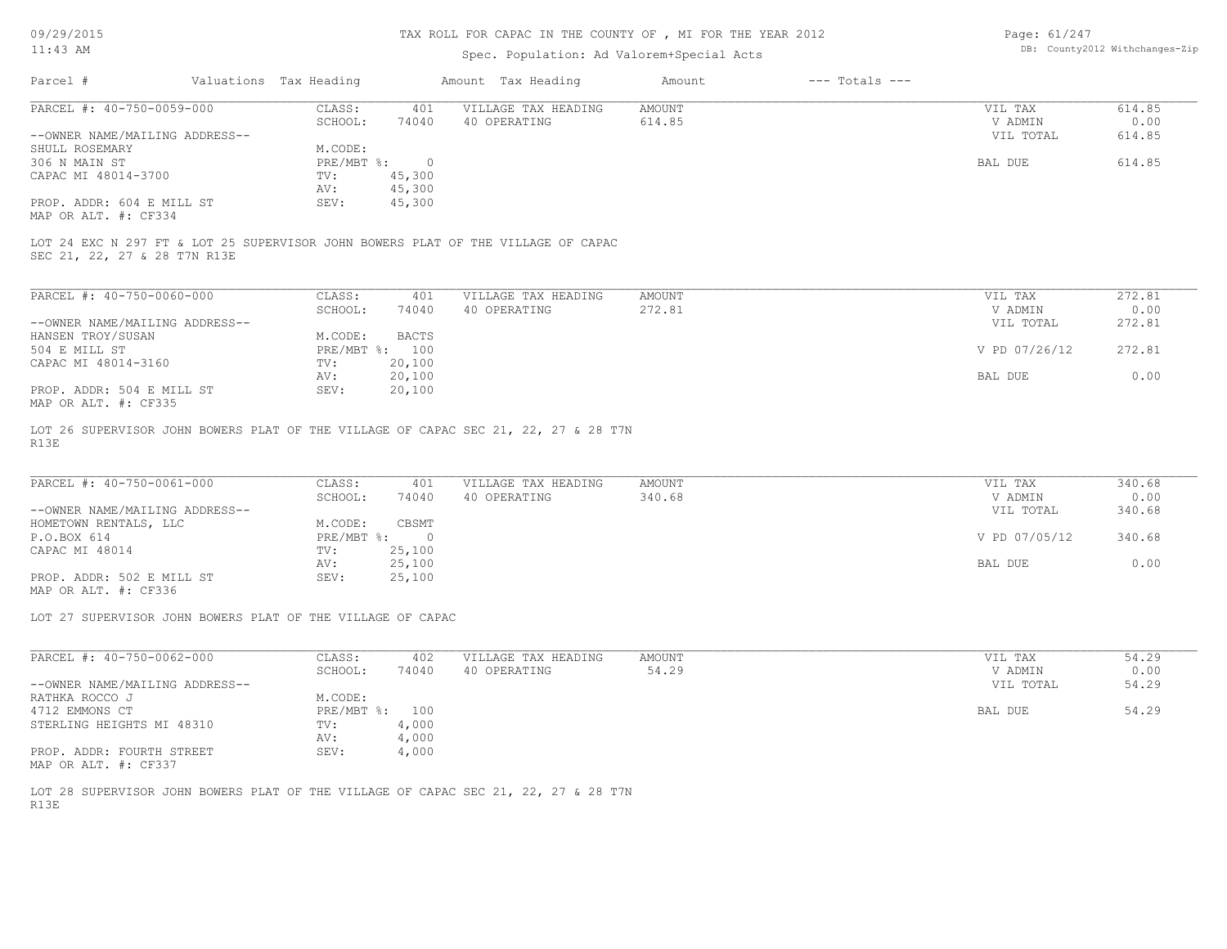## TAX ROLL FOR CAPAC IN THE COUNTY OF , MI FOR THE YEAR 2012

# Spec. Population: Ad Valorem+Special Acts

Page: 61/247 DB: County2012 Withchanges-Zip

| Parcel #                       | Valuations Tax Heading |        | Amount Tax Heading  | Amount | $---$ Totals $---$ |           |        |
|--------------------------------|------------------------|--------|---------------------|--------|--------------------|-----------|--------|
| PARCEL #: 40-750-0059-000      | CLASS:                 | 401    | VILLAGE TAX HEADING | AMOUNT |                    | VIL TAX   | 614.85 |
|                                | SCHOOL:                | 74040  | 40 OPERATING        | 614.85 |                    | V ADMIN   | 0.00   |
| --OWNER NAME/MAILING ADDRESS-- |                        |        |                     |        |                    | VIL TOTAL | 614.85 |
| SHULL ROSEMARY                 | M.CODE:                |        |                     |        |                    |           |        |
| 306 N MAIN ST                  | PRE/MBT %:             |        |                     |        |                    | BAL DUE   | 614.85 |
| CAPAC MI 48014-3700            | TV:                    | 45,300 |                     |        |                    |           |        |
|                                | AV:                    | 45,300 |                     |        |                    |           |        |
| PROP. ADDR: 604 E MILL ST      | SEV:                   | 45,300 |                     |        |                    |           |        |
|                                |                        |        |                     |        |                    |           |        |

MAP OR ALT. #: CF334

SEC 21, 22, 27 & 28 T7N R13E LOT 24 EXC N 297 FT & LOT 25 SUPERVISOR JOHN BOWERS PLAT OF THE VILLAGE OF CAPAC

| PARCEL #: 40-750-0060-000      | CLASS:                    | 401    | VILLAGE TAX HEADING | AMOUNT | VIL TAX       | 272.81 |
|--------------------------------|---------------------------|--------|---------------------|--------|---------------|--------|
|                                | SCHOOL:                   | 74040  | 40 OPERATING        | 272.81 | V ADMIN       | 0.00   |
| --OWNER NAME/MAILING ADDRESS-- |                           |        |                     |        | VIL TOTAL     | 272.81 |
| HANSEN TROY/SUSAN              | M.CODE:                   | BACTS  |                     |        |               |        |
| 504 E MILL ST                  | $PRE/MBT$ $\frac{1}{6}$ : | 100    |                     |        | V PD 07/26/12 | 272.81 |
| CAPAC MI 48014-3160            | TV:                       | 20,100 |                     |        |               |        |
|                                | AV:                       | 20,100 |                     |        | BAL DUE       | 0.00   |
| PROP. ADDR: 504 E MILL ST      | SEV:                      | 20,100 |                     |        |               |        |
| MAP OR ALT. #: CF335           |                           |        |                     |        |               |        |

R13E LOT 26 SUPERVISOR JOHN BOWERS PLAT OF THE VILLAGE OF CAPAC SEC 21, 22, 27 & 28 T7N

| PARCEL #: 40-750-0061-000      | CLASS:     | 401    | VILLAGE TAX HEADING | AMOUNT | VIL TAX       | 340.68 |
|--------------------------------|------------|--------|---------------------|--------|---------------|--------|
|                                | SCHOOL:    | 74040  | 40 OPERATING        | 340.68 | V ADMIN       | 0.00   |
| --OWNER NAME/MAILING ADDRESS-- |            |        |                     |        | VIL TOTAL     | 340.68 |
| HOMETOWN RENTALS, LLC          | M.CODE:    | CBSMT  |                     |        |               |        |
| P.O.BOX 614                    | PRE/MBT %: |        |                     |        | V PD 07/05/12 | 340.68 |
| CAPAC MI 48014                 | TV:        | 25,100 |                     |        |               |        |
|                                | AV:        | 25,100 |                     |        | BAL DUE       | 0.00   |
| PROP. ADDR: 502 E MILL ST      | SEV:       | 25,100 |                     |        |               |        |
|                                |            |        |                     |        |               |        |

MAP OR ALT. #: CF336

LOT 27 SUPERVISOR JOHN BOWERS PLAT OF THE VILLAGE OF CAPAC

| PARCEL #: 40-750-0062-000                                                                                                                                                                                                                                                                                                                                                 | CLASS:                    | 402   | VILLAGE TAX HEADING | AMOUNT | VIL TAX   | 54.29 |
|---------------------------------------------------------------------------------------------------------------------------------------------------------------------------------------------------------------------------------------------------------------------------------------------------------------------------------------------------------------------------|---------------------------|-------|---------------------|--------|-----------|-------|
|                                                                                                                                                                                                                                                                                                                                                                           | SCHOOL:                   | 74040 | 40 OPERATING        | 54.29  | V ADMIN   | 0.00  |
| --OWNER NAME/MAILING ADDRESS--                                                                                                                                                                                                                                                                                                                                            |                           |       |                     |        | VIL TOTAL | 54.29 |
| RATHKA ROCCO J                                                                                                                                                                                                                                                                                                                                                            | M.CODE:                   |       |                     |        |           |       |
| 4712 EMMONS CT                                                                                                                                                                                                                                                                                                                                                            | $PRE/MBT$ $\frac{1}{6}$ : | 100   |                     |        | BAL DUE   | 54.29 |
| STERLING HEIGHTS MI 48310                                                                                                                                                                                                                                                                                                                                                 | TV:                       | 4,000 |                     |        |           |       |
|                                                                                                                                                                                                                                                                                                                                                                           | AV:                       | 4,000 |                     |        |           |       |
| PROP. ADDR: FOURTH STREET<br>$M \wedge D$ $\wedge$ $\wedge$ $\wedge$ $\wedge$ $\wedge$ $\wedge$ $\wedge$ $\wedge$ $\wedge$ $\wedge$ $\wedge$ $\wedge$ $\wedge$ $\wedge$ $\wedge$ $\wedge$ $\wedge$ $\wedge$ $\wedge$ $\wedge$ $\wedge$ $\wedge$ $\wedge$ $\wedge$ $\wedge$ $\wedge$ $\wedge$ $\wedge$ $\wedge$ $\wedge$ $\wedge$ $\wedge$ $\wedge$ $\wedge$ $\wedge$ $\w$ | SEV:                      | 4,000 |                     |        |           |       |

MAP OR ALT. #: CF337

R13E LOT 28 SUPERVISOR JOHN BOWERS PLAT OF THE VILLAGE OF CAPAC SEC 21, 22, 27 & 28 T7N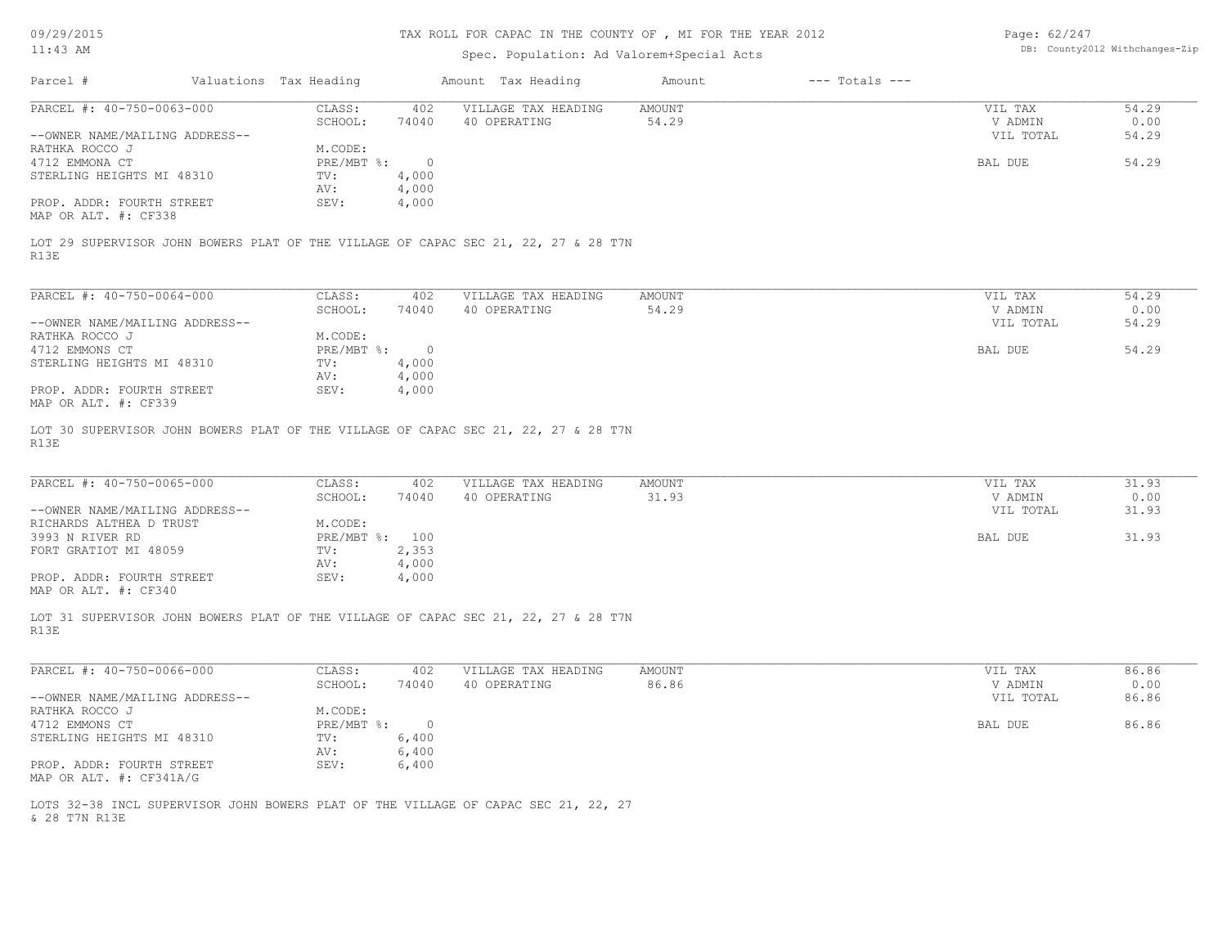| 09/29/2015                     |                        |                          | TAX ROLL FOR CAPAC IN THE COUNTY OF, MI FOR THE YEAR 2012                          | Page: 62/247    |                    |                                |               |
|--------------------------------|------------------------|--------------------------|------------------------------------------------------------------------------------|-----------------|--------------------|--------------------------------|---------------|
| $11:43$ AM                     |                        |                          | Spec. Population: Ad Valorem+Special Acts                                          |                 |                    | DB: County2012 Withchanges-Zip |               |
| Parcel #                       | Valuations Tax Heading |                          | Amount Tax Heading                                                                 | Amount          | $---$ Totals $---$ |                                |               |
| PARCEL #: 40-750-0063-000      | CLASS:                 | 402                      | VILLAGE TAX HEADING                                                                | AMOUNT          |                    | VIL TAX                        | 54.29         |
|                                | SCHOOL:                | 74040                    | 40 OPERATING                                                                       | 54.29           |                    | V ADMIN                        | 0.00          |
| --OWNER NAME/MAILING ADDRESS-- |                        |                          |                                                                                    |                 |                    | VIL TOTAL                      | 54.29         |
| RATHKA ROCCO J                 | M.CODE:                |                          |                                                                                    |                 |                    |                                |               |
| 4712 EMMONA CT                 | PRE/MBT %:             | $\overline{0}$           |                                                                                    |                 |                    | BAL DUE                        | 54.29         |
| STERLING HEIGHTS MI 48310      | TV:                    | 4,000                    |                                                                                    |                 |                    |                                |               |
|                                | AV:                    | 4,000                    |                                                                                    |                 |                    |                                |               |
| PROP. ADDR: FOURTH STREET      | SEV:                   | 4,000                    |                                                                                    |                 |                    |                                |               |
| MAP OR ALT. #: CF338           |                        |                          |                                                                                    |                 |                    |                                |               |
| R13E                           |                        |                          | LOT 29 SUPERVISOR JOHN BOWERS PLAT OF THE VILLAGE OF CAPAC SEC 21, 22, 27 & 28 T7N |                 |                    |                                |               |
| PARCEL #: 40-750-0064-000      | CLASS:                 | 402                      | VILLAGE TAX HEADING                                                                | AMOUNT          |                    | VIL TAX                        | 54.29         |
|                                | SCHOOL:                | 74040                    | 40 OPERATING                                                                       | 54.29           |                    | V ADMIN                        | 0.00          |
| --OWNER NAME/MAILING ADDRESS-- |                        |                          |                                                                                    |                 |                    | VIL TOTAL                      | 54.29         |
| RATHKA ROCCO J                 | M.CODE:                |                          |                                                                                    |                 |                    |                                |               |
| 4712 EMMONS CT                 | PRE/MBT %:             | $\overline{\phantom{0}}$ |                                                                                    |                 |                    | BAL DUE                        | 54.29         |
| STERLING HEIGHTS MI 48310      | TV:                    | 4,000                    |                                                                                    |                 |                    |                                |               |
|                                | AV:                    | 4,000                    |                                                                                    |                 |                    |                                |               |
| PROP. ADDR: FOURTH STREET      | SEV:                   | 4,000                    |                                                                                    |                 |                    |                                |               |
| MAP OR ALT. #: CF339           |                        |                          |                                                                                    |                 |                    |                                |               |
| PARCEL #: 40-750-0065-000      | CLASS:<br>SCHOOL:      | 402<br>74040             | VILLAGE TAX HEADING<br>40 OPERATING                                                | AMOUNT<br>31.93 |                    | VIL TAX<br>V ADMIN             | 31.93<br>0.00 |
| --OWNER NAME/MAILING ADDRESS-- |                        |                          |                                                                                    |                 |                    | VIL TOTAL                      | 31.93         |
| RICHARDS ALTHEA D TRUST        | M.CODE:                |                          |                                                                                    |                 |                    |                                |               |
| 3993 N RIVER RD                | PRE/MBT %: 100         |                          |                                                                                    |                 |                    | BAL DUE                        | 31.93         |
| FORT GRATIOT MI 48059          | TV:                    | 2,353                    |                                                                                    |                 |                    |                                |               |
|                                | AV:                    | 4,000                    |                                                                                    |                 |                    |                                |               |
| PROP. ADDR: FOURTH STREET      | SEV:                   | 4,000                    |                                                                                    |                 |                    |                                |               |
| MAP OR ALT. #: CF340           |                        |                          |                                                                                    |                 |                    |                                |               |
| R13E                           |                        |                          | LOT 31 SUPERVISOR JOHN BOWERS PLAT OF THE VILLAGE OF CAPAC SEC 21, 22, 27 & 28 T7N |                 |                    |                                |               |
| PARCEL #: 40-750-0066-000      | CLASS:                 | 402                      | VILLAGE TAX HEADING                                                                | AMOUNT          |                    | VIL TAX                        | 86.86         |
|                                | SCHOOL:                | 74040                    | 40 OPERATING                                                                       | 86.86           |                    | V ADMIN                        | 0.00          |
| --OWNER NAME/MAILING ADDRESS-- |                        |                          |                                                                                    |                 |                    | VIL TOTAL                      | 86.86         |
| RATHKA ROCCO J                 | M.CODE:                |                          |                                                                                    |                 |                    |                                |               |
| 4712 EMMONS CT                 | PRE/MBT %: 0           |                          |                                                                                    |                 |                    | BAL DUE                        | 86.86         |
| STERLING HEIGHTS MI 48310      | TV:                    | 6,400                    |                                                                                    |                 |                    |                                |               |
|                                | AV:                    | 6,400                    |                                                                                    |                 |                    |                                |               |
| PROP. ADDR: FOURTH STREET      | SEV:                   | 6,400                    |                                                                                    |                 |                    |                                |               |
| MAP OR ALT. #: CF341A/G        |                        |                          |                                                                                    |                 |                    |                                |               |
| & 28 T7N R13E                  |                        |                          | LOTS 32-38 INCL SUPERVISOR JOHN BOWERS PLAT OF THE VILLAGE OF CAPAC SEC 21, 22, 27 |                 |                    |                                |               |
|                                |                        |                          |                                                                                    |                 |                    |                                |               |
|                                |                        |                          |                                                                                    |                 |                    |                                |               |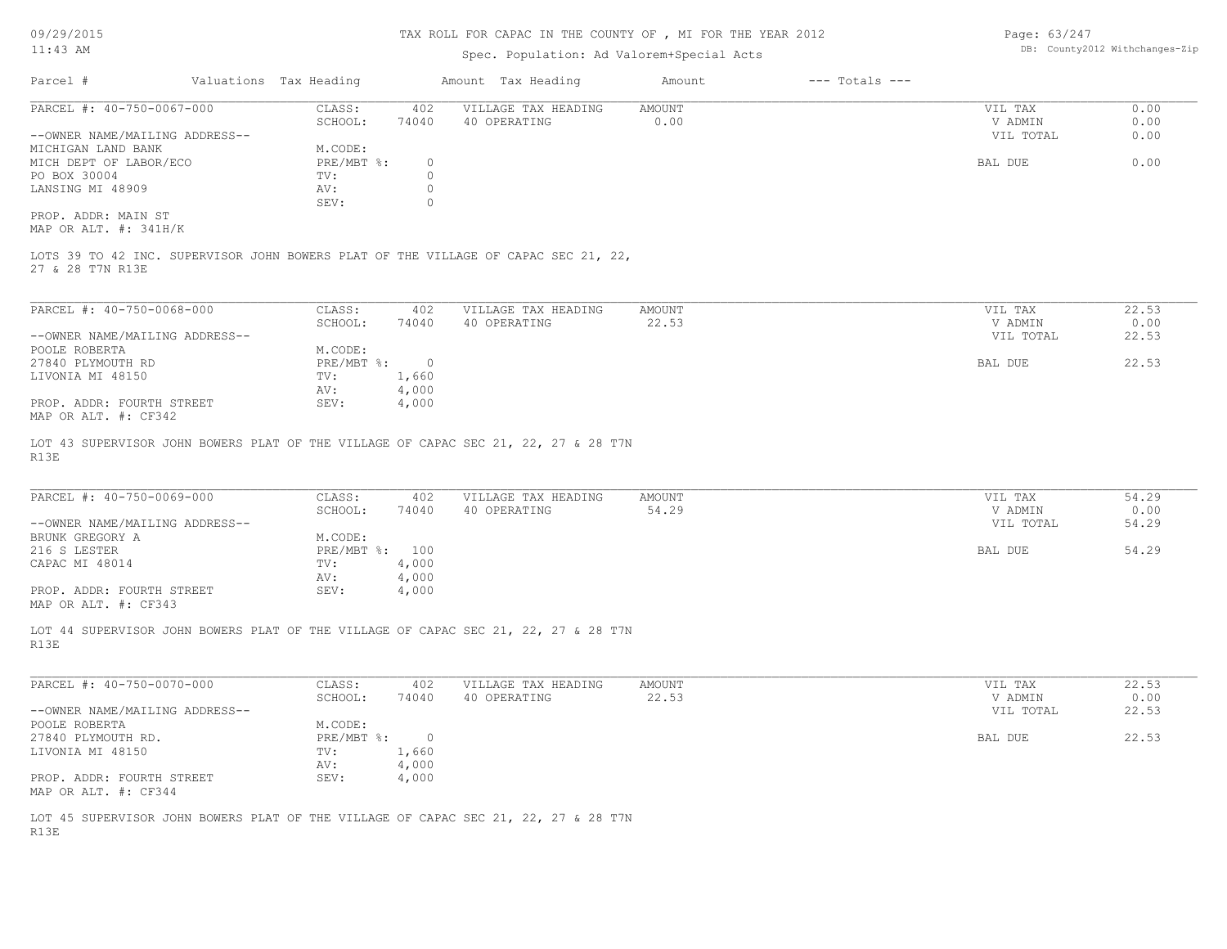## TAX ROLL FOR CAPAC IN THE COUNTY OF , MI FOR THE YEAR 2012

# Spec. Population: Ad Valorem+Special Acts

Page: 63/247 DB: County2012 Withchanges-Zip

| Parcel #                       | Valuations Tax Heading |       | Amount Tax Heading  | Amount | $---$ Totals $---$ |           |      |
|--------------------------------|------------------------|-------|---------------------|--------|--------------------|-----------|------|
| PARCEL #: 40-750-0067-000      | CLASS:                 | 402   | VILLAGE TAX HEADING | AMOUNT |                    | VIL TAX   | 0.00 |
|                                | SCHOOL:                | 74040 | 40 OPERATING        | 0.00   |                    | V ADMIN   | 0.00 |
| --OWNER NAME/MAILING ADDRESS-- |                        |       |                     |        |                    | VIL TOTAL | 0.00 |
| MICHIGAN LAND BANK             | M.CODE:                |       |                     |        |                    |           |      |
| MICH DEPT OF LABOR/ECO         | $PRE/MBT$ %:           |       |                     |        |                    | BAL DUE   | 0.00 |
| PO BOX 30004                   | TV:                    |       |                     |        |                    |           |      |
| LANSING MI 48909               | AV:                    |       |                     |        |                    |           |      |
|                                | SEV:                   |       |                     |        |                    |           |      |
| PROP. ADDR: MAIN ST            |                        |       |                     |        |                    |           |      |

MAP OR ALT. #: 341H/K

27 & 28 T7N R13E LOTS 39 TO 42 INC. SUPERVISOR JOHN BOWERS PLAT OF THE VILLAGE OF CAPAC SEC 21, 22,

| PARCEL #: 40-750-0068-000      | CLASS:     | 402   | VILLAGE TAX HEADING | AMOUNT | VIL TAX   | 22.53 |
|--------------------------------|------------|-------|---------------------|--------|-----------|-------|
|                                | SCHOOL:    | 74040 | 40 OPERATING        | 22.53  | V ADMIN   | 0.00  |
| --OWNER NAME/MAILING ADDRESS-- |            |       |                     |        | VIL TOTAL | 22.53 |
| POOLE ROBERTA                  | M.CODE:    |       |                     |        |           |       |
| 27840 PLYMOUTH RD              | PRE/MBT %: |       |                     |        | BAL DUE   | 22.53 |
| LIVONIA MI 48150               | TV:        | 1,660 |                     |        |           |       |
|                                | AV:        | 4,000 |                     |        |           |       |
| PROP. ADDR: FOURTH STREET      | SEV:       | 4,000 |                     |        |           |       |
| MAP OR ALT. #: CF342           |            |       |                     |        |           |       |

R13E LOT 43 SUPERVISOR JOHN BOWERS PLAT OF THE VILLAGE OF CAPAC SEC 21, 22, 27 & 28 T7N

| PARCEL #: 40-750-0069-000      | CLASS:       | 402   | VILLAGE TAX HEADING | AMOUNT | VIL TAX   | 54.29 |
|--------------------------------|--------------|-------|---------------------|--------|-----------|-------|
|                                | SCHOOL:      | 74040 | 40 OPERATING        | 54.29  | V ADMIN   | 0.00  |
| --OWNER NAME/MAILING ADDRESS-- |              |       |                     |        | VIL TOTAL | 54.29 |
| BRUNK GREGORY A                | M.CODE:      |       |                     |        |           |       |
| 216 S LESTER                   | $PRE/MBT$ %: | 100   |                     |        | BAL DUE   | 54.29 |
| CAPAC MI 48014                 | TV:          | 4,000 |                     |        |           |       |
|                                | AV:          | 4,000 |                     |        |           |       |
| PROP. ADDR: FOURTH STREET      | SEV:         | 4,000 |                     |        |           |       |
| MAP OR ALT. #: CF343           |              |       |                     |        |           |       |

 $\mathcal{L}_\mathcal{L} = \mathcal{L}_\mathcal{L} = \mathcal{L}_\mathcal{L} = \mathcal{L}_\mathcal{L} = \mathcal{L}_\mathcal{L} = \mathcal{L}_\mathcal{L} = \mathcal{L}_\mathcal{L} = \mathcal{L}_\mathcal{L} = \mathcal{L}_\mathcal{L} = \mathcal{L}_\mathcal{L} = \mathcal{L}_\mathcal{L} = \mathcal{L}_\mathcal{L} = \mathcal{L}_\mathcal{L} = \mathcal{L}_\mathcal{L} = \mathcal{L}_\mathcal{L} = \mathcal{L}_\mathcal{L} = \mathcal{L}_\mathcal{L}$ 

R13E LOT 44 SUPERVISOR JOHN BOWERS PLAT OF THE VILLAGE OF CAPAC SEC 21, 22, 27 & 28 T7N

| PARCEL #: 40-750-0070-000      | CLASS:       | 402   | VILLAGE TAX HEADING | AMOUNT | VIL TAX   | 22.53 |
|--------------------------------|--------------|-------|---------------------|--------|-----------|-------|
|                                | SCHOOL:      | 74040 | 40 OPERATING        | 22.53  | V ADMIN   | 0.00  |
| --OWNER NAME/MAILING ADDRESS-- |              |       |                     |        | VIL TOTAL | 22.53 |
| POOLE ROBERTA                  | M.CODE:      |       |                     |        |           |       |
| 27840 PLYMOUTH RD.             | $PRE/MBT$ %: |       |                     |        | BAL DUE   | 22.53 |
| LIVONIA MI 48150               | TV:          | 1,660 |                     |        |           |       |
|                                | AV:          | 4,000 |                     |        |           |       |
| PROP. ADDR: FOURTH STREET      | SEV:         | 4,000 |                     |        |           |       |
| MAP OR ALT. #: CF344           |              |       |                     |        |           |       |

R13E LOT 45 SUPERVISOR JOHN BOWERS PLAT OF THE VILLAGE OF CAPAC SEC 21, 22, 27 & 28 T7N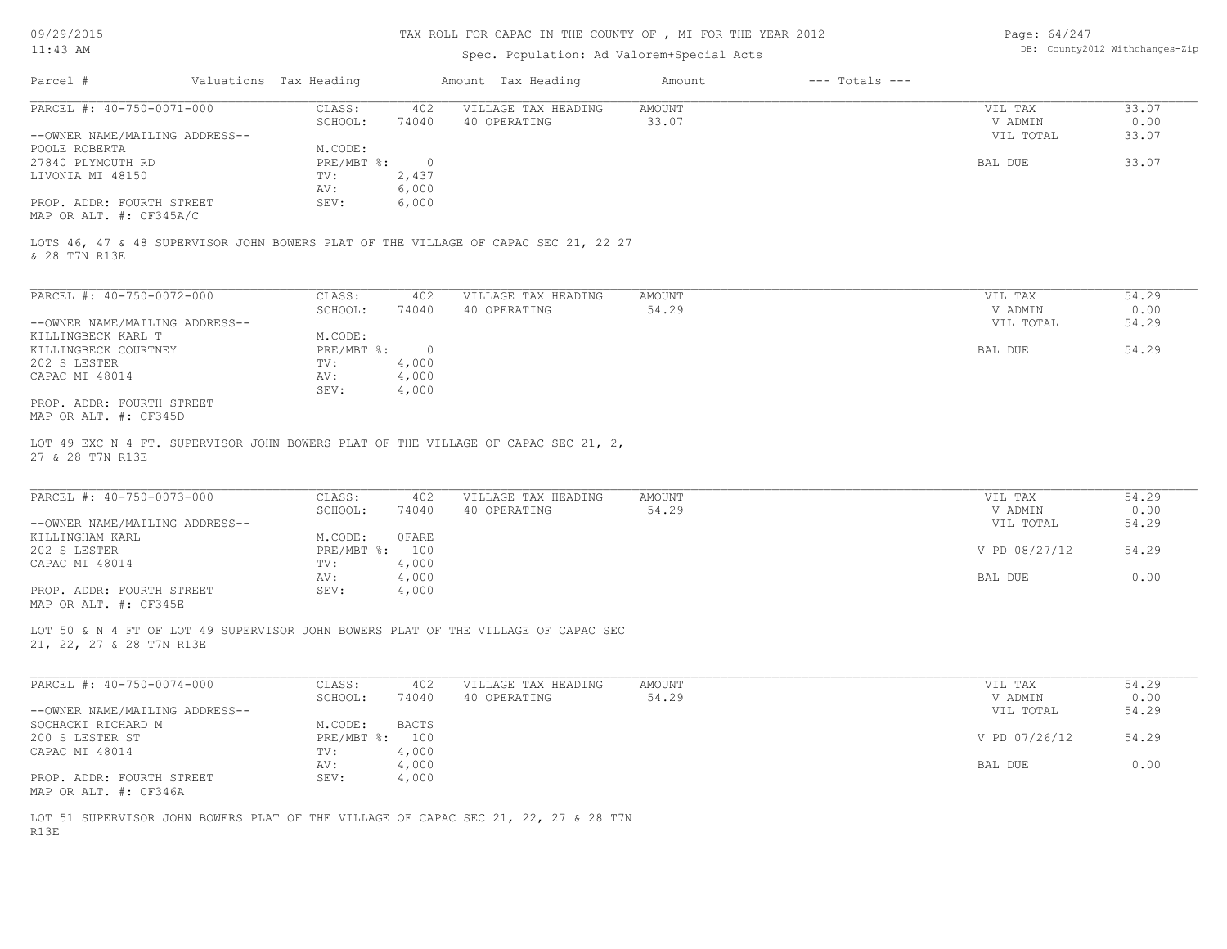## TAX ROLL FOR CAPAC IN THE COUNTY OF , MI FOR THE YEAR 2012

# Spec. Population: Ad Valorem+Special Acts

| Page: $64/247$ |                                |
|----------------|--------------------------------|
|                | DB: County2012 Withchanges-Zip |

| Parcel #                       | Valuations Tax Heading |       | Amount Tax Heading  | Amount | $---$ Totals $---$ |           |       |
|--------------------------------|------------------------|-------|---------------------|--------|--------------------|-----------|-------|
| PARCEL #: 40-750-0071-000      | CLASS:<br>402          |       | VILLAGE TAX HEADING | AMOUNT |                    | VIL TAX   | 33.07 |
|                                | SCHOOL:                | 74040 | 40 OPERATING        | 33.07  |                    | V ADMIN   | 0.00  |
| --OWNER NAME/MAILING ADDRESS-- |                        |       |                     |        |                    | VIL TOTAL | 33.07 |
| POOLE ROBERTA                  | M.CODE:                |       |                     |        |                    |           |       |
| 27840 PLYMOUTH RD              | PRE/MBT %:             |       |                     |        |                    | BAL DUE   | 33.07 |
| LIVONIA MI 48150               | TV:                    | 2,437 |                     |        |                    |           |       |
|                                | AV:                    | 6,000 |                     |        |                    |           |       |
| PROP. ADDR: FOURTH STREET      | SEV:                   | 6,000 |                     |        |                    |           |       |
|                                |                        |       |                     |        |                    |           |       |

MAP OR ALT. #: CF345A/C

& 28 T7N R13E LOTS 46, 47 & 48 SUPERVISOR JOHN BOWERS PLAT OF THE VILLAGE OF CAPAC SEC 21, 22 27

| PARCEL #: 40-750-0072-000      | CLASS:     | 402      | VILLAGE TAX HEADING | AMOUNT | VIL TAX   | 54.29 |
|--------------------------------|------------|----------|---------------------|--------|-----------|-------|
|                                | SCHOOL:    | 74040    | 40 OPERATING        | 54.29  | V ADMIN   | 0.00  |
| --OWNER NAME/MAILING ADDRESS-- |            |          |                     |        | VIL TOTAL | 54.29 |
| KILLINGBECK KARL T             | M.CODE:    |          |                     |        |           |       |
| KILLINGBECK COURTNEY           | PRE/MBT %: | $\Omega$ |                     |        | BAL DUE   | 54.29 |
| 202 S LESTER                   | TV:        | 4,000    |                     |        |           |       |
| CAPAC MI 48014                 | AV:        | 4,000    |                     |        |           |       |
|                                | SEV:       | 4,000    |                     |        |           |       |
| PROP. ADDR: FOURTH STREET      |            |          |                     |        |           |       |
| MAP OR ALT. #: CF345D          |            |          |                     |        |           |       |

27 & 28 T7N R13E LOT 49 EXC N 4 FT. SUPERVISOR JOHN BOWERS PLAT OF THE VILLAGE OF CAPAC SEC 21, 2,

| PARCEL #: 40-750-0073-000      | CLASS:       | 402   | VILLAGE TAX HEADING | AMOUNT | VIL TAX       | 54.29 |
|--------------------------------|--------------|-------|---------------------|--------|---------------|-------|
|                                | SCHOOL:      | 74040 | 40 OPERATING        | 54.29  | V ADMIN       | 0.00  |
| --OWNER NAME/MAILING ADDRESS-- |              |       |                     |        | VIL TOTAL     | 54.29 |
| KILLINGHAM KARL                | M.CODE:      | OFARE |                     |        |               |       |
| 202 S LESTER                   | $PRE/MBT$ %: | 100   |                     |        | V PD 08/27/12 | 54.29 |
| CAPAC MI 48014                 | TV:          | 4,000 |                     |        |               |       |
|                                | AV:          | 4,000 |                     |        | BAL DUE       | 0.00  |
| PROP. ADDR: FOURTH STREET      | SEV:         | 4,000 |                     |        |               |       |
| MAP OR ALT. #: CF345E          |              |       |                     |        |               |       |

 $\mathcal{L}_\mathcal{L} = \mathcal{L}_\mathcal{L} = \mathcal{L}_\mathcal{L} = \mathcal{L}_\mathcal{L} = \mathcal{L}_\mathcal{L} = \mathcal{L}_\mathcal{L} = \mathcal{L}_\mathcal{L} = \mathcal{L}_\mathcal{L} = \mathcal{L}_\mathcal{L} = \mathcal{L}_\mathcal{L} = \mathcal{L}_\mathcal{L} = \mathcal{L}_\mathcal{L} = \mathcal{L}_\mathcal{L} = \mathcal{L}_\mathcal{L} = \mathcal{L}_\mathcal{L} = \mathcal{L}_\mathcal{L} = \mathcal{L}_\mathcal{L}$ 

21, 22, 27 & 28 T7N R13E LOT 50 & N 4 FT OF LOT 49 SUPERVISOR JOHN BOWERS PLAT OF THE VILLAGE OF CAPAC SEC

| PARCEL #: 40-750-0074-000      | CLASS:     | 402          | VILLAGE TAX HEADING | AMOUNT | VIL TAX       | 54.29 |
|--------------------------------|------------|--------------|---------------------|--------|---------------|-------|
|                                | SCHOOL:    | 74040        | 40 OPERATING        | 54.29  | V ADMIN       | 0.00  |
| --OWNER NAME/MAILING ADDRESS-- |            |              |                     |        | VIL TOTAL     | 54.29 |
| SOCHACKI RICHARD M             | M.CODE:    | <b>BACTS</b> |                     |        |               |       |
| 200 S LESTER ST                | PRE/MBT %: | 100          |                     |        | V PD 07/26/12 | 54.29 |
| CAPAC MI 48014                 | TV:        | 4,000        |                     |        |               |       |
|                                | AV:        | 4,000        |                     |        | BAL DUE       | 0.00  |
| PROP. ADDR: FOURTH STREET      | SEV:       | 4,000        |                     |        |               |       |
| MAP OR ALT. #: CF346A          |            |              |                     |        |               |       |

R13E LOT 51 SUPERVISOR JOHN BOWERS PLAT OF THE VILLAGE OF CAPAC SEC 21, 22, 27 & 28 T7N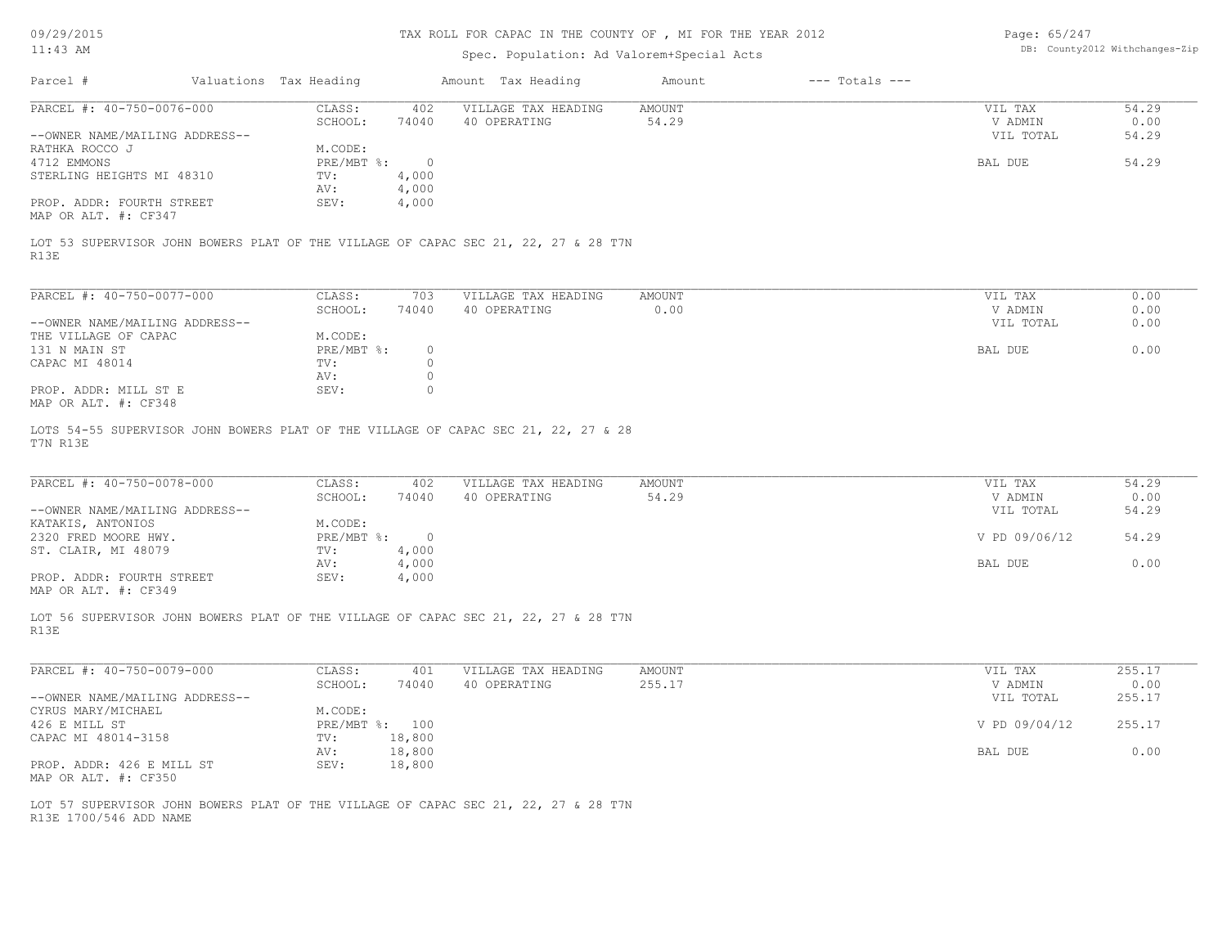| 09/29/2015                                                                                                   | TAX ROLL FOR CAPAC IN THE COUNTY OF , MI FOR THE YEAR 2012 |                         |                                           |                  |                                |                      | Page: 65/247   |  |  |
|--------------------------------------------------------------------------------------------------------------|------------------------------------------------------------|-------------------------|-------------------------------------------|------------------|--------------------------------|----------------------|----------------|--|--|
| $11:43$ AM                                                                                                   |                                                            |                         | Spec. Population: Ad Valorem+Special Acts |                  | DB: County2012 Withchanges-Zip |                      |                |  |  |
| Parcel #                                                                                                     | Valuations Tax Heading                                     |                         | Amount Tax Heading                        | Amount           | $---$ Totals $---$             |                      |                |  |  |
| PARCEL #: 40-750-0076-000                                                                                    | CLASS:<br>SCHOOL:                                          | 402<br>74040            | VILLAGE TAX HEADING<br>40 OPERATING       | AMOUNT<br>54.29  |                                | VIL TAX<br>V ADMIN   | 54.29<br>0.00  |  |  |
| --OWNER NAME/MAILING ADDRESS--<br>RATHKA ROCCO J                                                             | M.CODE:                                                    |                         |                                           |                  |                                | VIL TOTAL            | 54.29          |  |  |
| 4712 EMMONS<br>STERLING HEIGHTS MI 48310                                                                     | $PRE/MBT$ $\div$<br>TV:                                    | $\circ$<br>4,000        |                                           |                  |                                | BAL DUE              | 54.29          |  |  |
| PROP. ADDR: FOURTH STREET                                                                                    | AV:<br>SEV:                                                | 4,000<br>4,000          |                                           |                  |                                |                      |                |  |  |
| MAP OR ALT. #: CF347                                                                                         |                                                            |                         |                                           |                  |                                |                      |                |  |  |
| LOT 53 SUPERVISOR JOHN BOWERS PLAT OF THE VILLAGE OF CAPAC SEC 21, 22, 27 & 28 T7N<br>R13E                   |                                                            |                         |                                           |                  |                                |                      |                |  |  |
| PARCEL #: 40-750-0077-000                                                                                    | CLASS:                                                     | 703                     | VILLAGE TAX HEADING                       | AMOUNT           |                                | VIL TAX              | 0.00           |  |  |
| --OWNER NAME/MAILING ADDRESS--                                                                               | SCHOOL:                                                    | 74040                   | 40 OPERATING                              | 0.00             |                                | V ADMIN<br>VIL TOTAL | 0.00<br>0.00   |  |  |
| THE VILLAGE OF CAPAC<br>131 N MAIN ST                                                                        | M.CODE:<br>$PRE/MBT$ $\div$                                | $\circ$                 |                                           |                  |                                | BAL DUE              | 0.00           |  |  |
| CAPAC MI 48014                                                                                               | TV:                                                        | $\circ$                 |                                           |                  |                                |                      |                |  |  |
| PROP. ADDR: MILL ST E<br>MAP OR ALT. #: CF348                                                                | AV:<br>SEV:                                                | $\circ$<br>$\circ$      |                                           |                  |                                |                      |                |  |  |
| LOTS 54-55 SUPERVISOR JOHN BOWERS PLAT OF THE VILLAGE OF CAPAC SEC 21, 22, 27 & 28<br>T7N R13E               |                                                            |                         |                                           |                  |                                |                      |                |  |  |
|                                                                                                              |                                                            |                         |                                           |                  |                                |                      |                |  |  |
| PARCEL #: 40-750-0078-000                                                                                    | CLASS:<br>SCHOOL:                                          | 402<br>74040            | VILLAGE TAX HEADING<br>40 OPERATING       | AMOUNT<br>54.29  |                                | VIL TAX<br>V ADMIN   | 54.29<br>0.00  |  |  |
| --OWNER NAME/MAILING ADDRESS--<br>KATAKIS, ANTONIOS                                                          | M.CODE:                                                    |                         |                                           |                  |                                | VIL TOTAL            | 54.29          |  |  |
| 2320 FRED MOORE HWY.<br>ST. CLAIR, MI 48079                                                                  | $PRE/MBT$ $\div$<br>TV:                                    | $\overline{0}$<br>4,000 |                                           |                  |                                | V PD 09/06/12        | 54.29          |  |  |
|                                                                                                              | AV:                                                        | 4,000                   |                                           |                  |                                | BAL DUE              | 0.00           |  |  |
| PROP. ADDR: FOURTH STREET<br>MAP OR ALT. #: CF349                                                            | SEV:                                                       | 4,000                   |                                           |                  |                                |                      |                |  |  |
| LOT 56 SUPERVISOR JOHN BOWERS PLAT OF THE VILLAGE OF CAPAC SEC 21, 22, 27 & 28 T7N<br>R13E                   |                                                            |                         |                                           |                  |                                |                      |                |  |  |
|                                                                                                              |                                                            |                         |                                           |                  |                                |                      |                |  |  |
| PARCEL #: 40-750-0079-000                                                                                    | CLASS:<br>SCHOOL:                                          | 401<br>74040            | VILLAGE TAX HEADING<br>40 OPERATING       | AMOUNT<br>255.17 |                                | VIL TAX<br>V ADMIN   | 255.17<br>0.00 |  |  |
| --OWNER NAME/MAILING ADDRESS--                                                                               |                                                            |                         |                                           |                  |                                | VIL TOTAL            | 255.17         |  |  |
| CYRUS MARY/MICHAEL<br>426 E MILL ST                                                                          | M.CODE:<br>PRE/MBT %: 100                                  |                         |                                           |                  |                                | V PD 09/04/12        | 255.17         |  |  |
| CAPAC MI 48014-3158                                                                                          | TV:<br>AV:                                                 | 18,800<br>18,800        |                                           |                  |                                | BAL DUE              | 0.00           |  |  |
| PROP. ADDR: 426 E MILL ST<br>MAP OR ALT. #: CF350                                                            | SEV:                                                       | 18,800                  |                                           |                  |                                |                      |                |  |  |
| LOT 57 SUPERVISOR JOHN BOWERS PLAT OF THE VILLAGE OF CAPAC SEC 21, 22, 27 & 28 T7N<br>R13E 1700/546 ADD NAME |                                                            |                         |                                           |                  |                                |                      |                |  |  |
|                                                                                                              |                                                            |                         |                                           |                  |                                |                      |                |  |  |
|                                                                                                              |                                                            |                         |                                           |                  |                                |                      |                |  |  |
|                                                                                                              |                                                            |                         |                                           |                  |                                |                      |                |  |  |
|                                                                                                              |                                                            |                         |                                           |                  |                                |                      |                |  |  |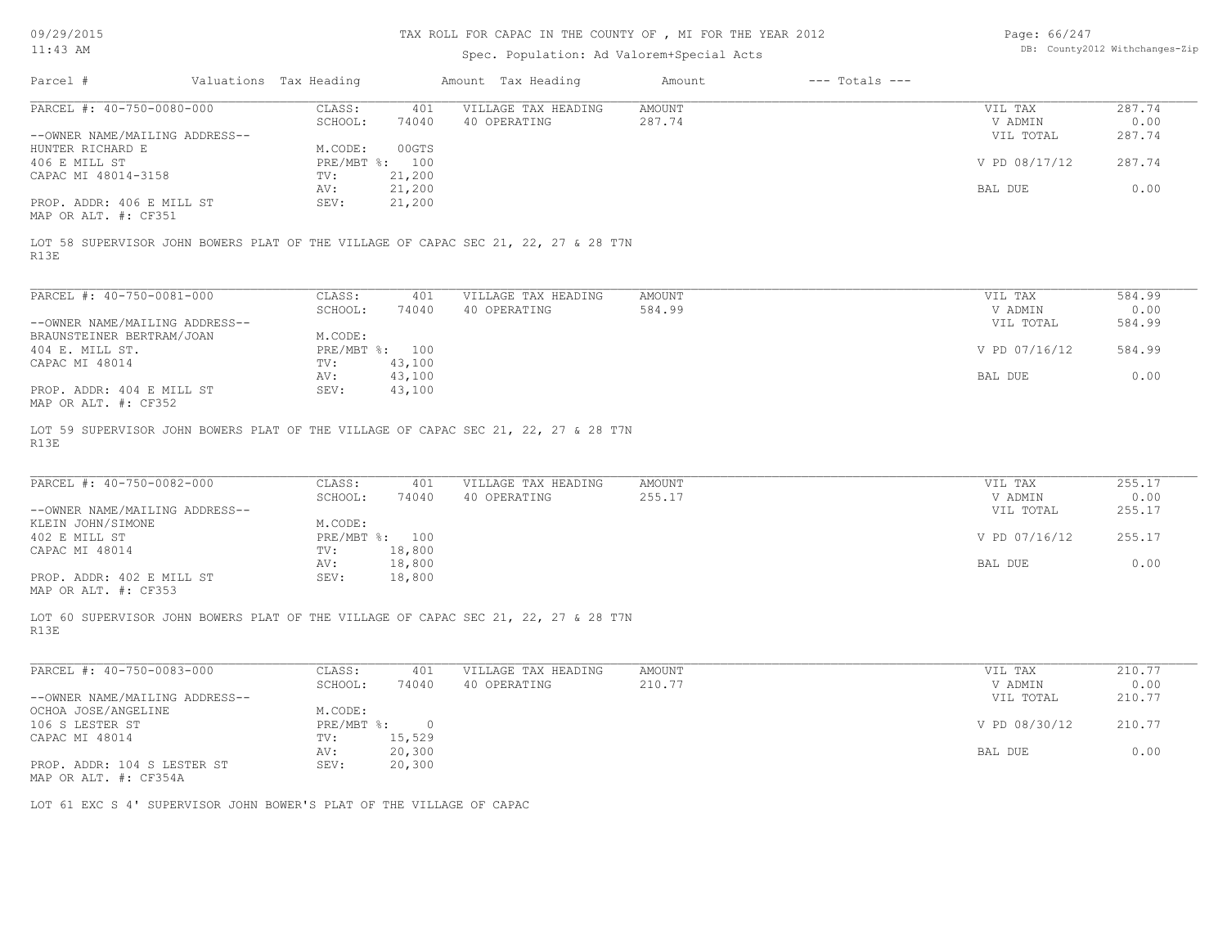| 09/29/2015<br>$11:43$ AM                             | TAX ROLL FOR CAPAC IN THE COUNTY OF , MI FOR THE YEAR 2012                         | Page: 66/247<br>DB: County2012 Withchanges-Zip |
|------------------------------------------------------|------------------------------------------------------------------------------------|------------------------------------------------|
|                                                      | Spec. Population: Ad Valorem+Special Acts                                          |                                                |
| Parcel #                                             | Valuations Tax Heading<br>$---$ Totals $---$<br>Amount Tax Heading<br>Amount       |                                                |
| PARCEL #: 40-750-0080-000                            | CLASS:<br>401<br>VILLAGE TAX HEADING<br><b>AMOUNT</b>                              | 287.74<br>VIL TAX                              |
|                                                      | 40 OPERATING<br>287.74<br>SCHOOL:<br>74040                                         | 0.00<br>V ADMIN                                |
| --OWNER NAME/MAILING ADDRESS--<br>HUNTER RICHARD E   | 00GTS<br>M.CODE:                                                                   | 287.74<br>VIL TOTAL                            |
| 406 E MILL ST                                        | PRE/MBT %: 100                                                                     | V PD 08/17/12<br>287.74                        |
| CAPAC MI 48014-3158                                  | TV:<br>21,200                                                                      |                                                |
|                                                      | 21,200<br>AV:                                                                      | 0.00<br>BAL DUE                                |
| PROP. ADDR: 406 E MILL ST<br>MAP OR ALT. #: CF351    | SEV:<br>21,200                                                                     |                                                |
|                                                      | LOT 58 SUPERVISOR JOHN BOWERS PLAT OF THE VILLAGE OF CAPAC SEC 21, 22, 27 & 28 T7N |                                                |
| R13E                                                 |                                                                                    |                                                |
| PARCEL #: 40-750-0081-000                            | CLASS:<br>401<br>VILLAGE TAX HEADING<br><b>AMOUNT</b>                              | VIL TAX<br>584.99                              |
|                                                      | SCHOOL:<br>74040<br>40 OPERATING<br>584.99                                         | V ADMIN<br>0.00                                |
| --OWNER NAME/MAILING ADDRESS--                       |                                                                                    | 584.99<br>VIL TOTAL                            |
| BRAUNSTEINER BERTRAM/JOAN                            | M.CODE:                                                                            |                                                |
| 404 E. MILL ST.                                      | PRE/MBT %: 100                                                                     | V PD 07/16/12<br>584.99                        |
| CAPAC MI 48014                                       | TV:<br>43,100                                                                      | 0.00                                           |
| PROP. ADDR: 404 E MILL ST<br>MAP OR ALT. #: CF352    | 43,100<br>AV:<br>43,100<br>SEV:                                                    | BAL DUE                                        |
| R13E                                                 | LOT 59 SUPERVISOR JOHN BOWERS PLAT OF THE VILLAGE OF CAPAC SEC 21, 22, 27 & 28 T7N |                                                |
| PARCEL #: 40-750-0082-000                            | CLASS:<br>401<br>VILLAGE TAX HEADING<br><b>AMOUNT</b>                              | 255.17<br>VIL TAX                              |
|                                                      | 255.17<br>SCHOOL:<br>40 OPERATING<br>74040                                         | 0.00<br>V ADMIN                                |
| --OWNER NAME/MAILING ADDRESS--                       |                                                                                    | 255.17<br>VIL TOTAL                            |
| KLEIN JOHN/SIMONE<br>402 E MILL ST                   | M.CODE:<br>PRE/MBT %: 100                                                          | V PD 07/16/12<br>255.17                        |
| CAPAC MI 48014                                       | 18,800<br>TV:                                                                      |                                                |
|                                                      | 18,800<br>AV:                                                                      | 0.00<br>BAL DUE                                |
| PROP. ADDR: 402 E MILL ST<br>MAP OR ALT. #: CF353    | 18,800<br>SEV:                                                                     |                                                |
| R13E                                                 | LOT 60 SUPERVISOR JOHN BOWERS PLAT OF THE VILLAGE OF CAPAC SEC 21, 22, 27 & 28 T7N |                                                |
| PARCEL #: 40-750-0083-000                            | CLASS:<br>VILLAGE TAX HEADING<br>401<br><b>AMOUNT</b>                              | 210.77<br>VIL TAX                              |
|                                                      | 210.77<br>SCHOOL:<br>40 OPERATING<br>74040                                         | 0.00<br>V ADMIN                                |
| --OWNER NAME/MAILING ADDRESS--                       |                                                                                    | VIL TOTAL<br>210.77                            |
| OCHOA JOSE/ANGELINE                                  | M.CODE:                                                                            |                                                |
| 106 S LESTER ST                                      | $PRE/MBT$ $\div$<br>$\overline{0}$                                                 | V PD 08/30/12<br>210.77                        |
| CAPAC MI 48014                                       | 15,529<br>TV:                                                                      |                                                |
| PROP. ADDR: 104 S LESTER ST<br>MAP OR ALT. #: CF354A | 20,300<br>AV:<br>SEV:<br>20,300                                                    | 0.00<br>BAL DUE                                |
|                                                      | LOT 61 EXC S 4' SUPERVISOR JOHN BOWER'S PLAT OF THE VILLAGE OF CAPAC               |                                                |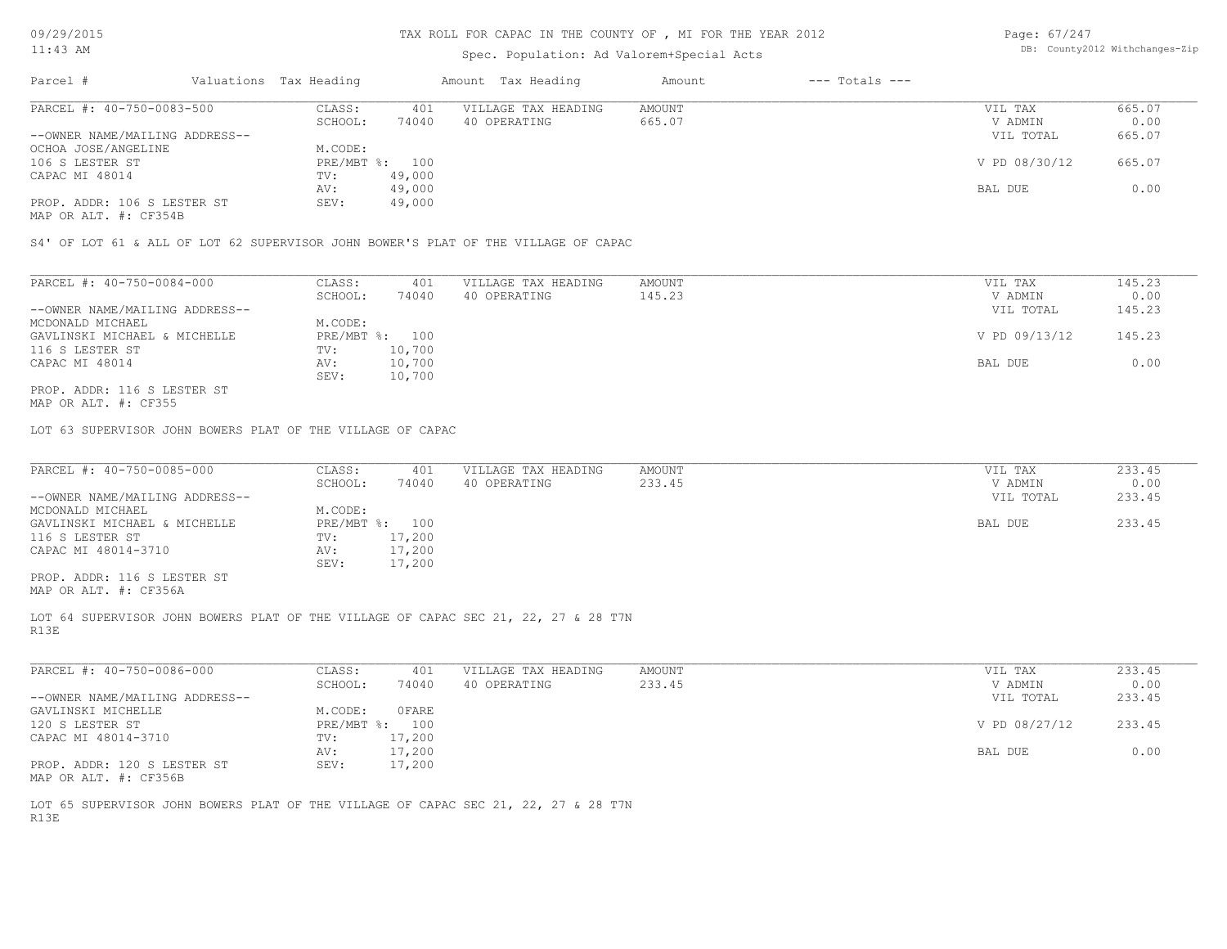# Spec. Population: Ad Valorem+Special Acts

| Page: 67/247 |                                |
|--------------|--------------------------------|
|              | DB: County2012 Withchanges-Zip |

| Parcel #                       | Valuations Tax Heading |        | Amount Tax Heading  | Amount | $---$ Totals $---$ |               |        |
|--------------------------------|------------------------|--------|---------------------|--------|--------------------|---------------|--------|
| PARCEL #: 40-750-0083-500      | CLASS:                 | 401    | VILLAGE TAX HEADING | AMOUNT |                    | VIL TAX       | 665.07 |
|                                | SCHOOL:                | 74040  | 40 OPERATING        | 665.07 |                    | V ADMIN       | 0.00   |
| --OWNER NAME/MAILING ADDRESS-- |                        |        |                     |        |                    | VIL TOTAL     | 665.07 |
| OCHOA JOSE/ANGELINE            | M.CODE:                |        |                     |        |                    |               |        |
| 106 S LESTER ST                | PRE/MBT %: 100         |        |                     |        |                    | V PD 08/30/12 | 665.07 |
| CAPAC MI 48014                 | TV:                    | 49,000 |                     |        |                    |               |        |
|                                | AV:                    | 49,000 |                     |        |                    | BAL DUE       | 0.00   |
| PROP. ADDR: 106 S LESTER ST    | SEV:                   | 49,000 |                     |        |                    |               |        |
|                                |                        |        |                     |        |                    |               |        |

MAP OR ALT. #: CF354B

S4' OF LOT 61 & ALL OF LOT 62 SUPERVISOR JOHN BOWER'S PLAT OF THE VILLAGE OF CAPAC

| PARCEL #: 40-750-0084-000      | CLASS:         | 401    | VILLAGE TAX HEADING | AMOUNT | VIL TAX       | 145.23 |
|--------------------------------|----------------|--------|---------------------|--------|---------------|--------|
|                                | SCHOOL:        | 74040  | 40 OPERATING        | 145.23 | V ADMIN       | 0.00   |
| --OWNER NAME/MAILING ADDRESS-- |                |        |                     |        | VIL TOTAL     | 145.23 |
| MCDONALD MICHAEL               | M.CODE:        |        |                     |        |               |        |
| GAVLINSKI MICHAEL & MICHELLE   | PRE/MBT %: 100 |        |                     |        | V PD 09/13/12 | 145.23 |
| 116 S LESTER ST                | TV:            | 10,700 |                     |        |               |        |
| CAPAC MI 48014                 | AV:            | 10,700 |                     |        | BAL DUE       | 0.00   |
|                                | SEV:           | 10,700 |                     |        |               |        |
| PROP. ADDR: 116 S LESTER ST    |                |        |                     |        |               |        |

MAP OR ALT. #: CF355

LOT 63 SUPERVISOR JOHN BOWERS PLAT OF THE VILLAGE OF CAPAC

| PARCEL #: 40-750-0085-000      | CLASS:  | 401            | VILLAGE TAX HEADING | AMOUNT | VIL TAX   | 233.45 |
|--------------------------------|---------|----------------|---------------------|--------|-----------|--------|
|                                | SCHOOL: | 74040          | 40 OPERATING        | 233.45 | V ADMIN   | 0.00   |
| --OWNER NAME/MAILING ADDRESS-- |         |                |                     |        | VIL TOTAL | 233.45 |
| MCDONALD MICHAEL               | M.CODE: |                |                     |        |           |        |
| GAVLINSKI MICHAEL & MICHELLE   |         | PRE/MBT %: 100 |                     |        | BAL DUE   | 233.45 |
| 116 S LESTER ST                | TV:     | 17,200         |                     |        |           |        |
| CAPAC MI 48014-3710            | AV:     | 17,200         |                     |        |           |        |
|                                | SEV:    | 17,200         |                     |        |           |        |
| PROP. ADDR: 116 S LESTER ST    |         |                |                     |        |           |        |
| MAP OR ALT. #: CF356A          |         |                |                     |        |           |        |

R13E LOT 64 SUPERVISOR JOHN BOWERS PLAT OF THE VILLAGE OF CAPAC SEC 21, 22, 27 & 28 T7N

| PARCEL #: 40-750-0086-000      | CLASS:       | 401    | VILLAGE TAX HEADING | AMOUNT | VIL TAX       | 233.45 |
|--------------------------------|--------------|--------|---------------------|--------|---------------|--------|
|                                | SCHOOL:      | 74040  | 40 OPERATING        | 233.45 | V ADMIN       | 0.00   |
| --OWNER NAME/MAILING ADDRESS-- |              |        |                     |        | VIL TOTAL     | 233.45 |
| GAVLINSKI MICHELLE             | M.CODE:      | OFARE  |                     |        |               |        |
| 120 S LESTER ST                | $PRE/MBT$ %: | 100    |                     |        | V PD 08/27/12 | 233.45 |
| CAPAC MI 48014-3710            | TV:          | 17,200 |                     |        |               |        |
|                                | AV:          | 17,200 |                     |        | BAL DUE       | 0.00   |
| PROP. ADDR: 120 S LESTER ST    | SEV:         | 17,200 |                     |        |               |        |
| MAP OR ALT. #: CF356B          |              |        |                     |        |               |        |

R13E LOT 65 SUPERVISOR JOHN BOWERS PLAT OF THE VILLAGE OF CAPAC SEC 21, 22, 27 & 28 T7N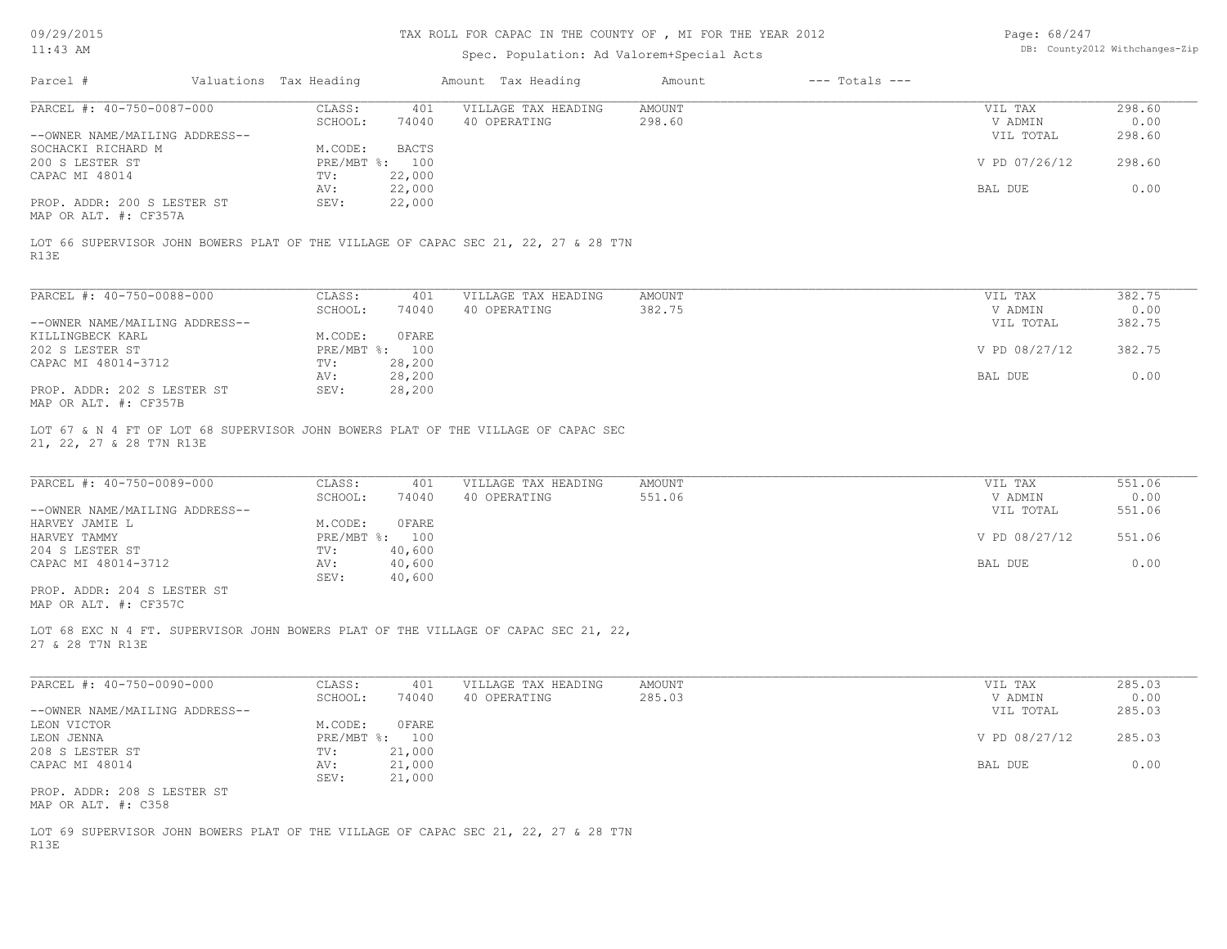## TAX ROLL FOR CAPAC IN THE COUNTY OF , MI FOR THE YEAR 2012

# Spec. Population: Ad Valorem+Special Acts

| Page: 68/247 |                                |
|--------------|--------------------------------|
|              | DB: County2012 Withchanges-Zip |

| Parcel #                       | Valuations Tax Heading |                | Amount Tax Heading                                                                 | Amount | $---$ Totals $---$ |               |        |
|--------------------------------|------------------------|----------------|------------------------------------------------------------------------------------|--------|--------------------|---------------|--------|
| PARCEL #: 40-750-0087-000      | CLASS:                 | 401            | VILLAGE TAX HEADING                                                                | AMOUNT |                    | VIL TAX       | 298.60 |
|                                | SCHOOL:                | 74040          | 40 OPERATING                                                                       | 298.60 |                    | V ADMIN       | 0.00   |
| --OWNER NAME/MAILING ADDRESS-- |                        |                |                                                                                    |        |                    | VIL TOTAL     | 298.60 |
| SOCHACKI RICHARD M             | M.CODE:                | BACTS          |                                                                                    |        |                    |               |        |
| 200 S LESTER ST                |                        | PRE/MBT %: 100 |                                                                                    |        |                    | V PD 07/26/12 | 298.60 |
| CAPAC MI 48014                 | TV:                    | 22,000         |                                                                                    |        |                    |               |        |
|                                | AV:                    | 22,000         |                                                                                    |        |                    | BAL DUE       | 0.00   |
| PROP. ADDR: 200 S LESTER ST    | SEV:                   | 22,000         |                                                                                    |        |                    |               |        |
| MAP OR ALT. #: CF357A          |                        |                |                                                                                    |        |                    |               |        |
|                                |                        |                |                                                                                    |        |                    |               |        |
| R13E                           |                        |                | LOT 66 SUPERVISOR JOHN BOWERS PLAT OF THE VILLAGE OF CAPAC SEC 21, 22, 27 & 28 T7N |        |                    |               |        |

| PARCEL #: 40-750-0088-000      | CLASS:       | 401          | VILLAGE TAX HEADING | AMOUNT | VIL TAX       | 382.75 |
|--------------------------------|--------------|--------------|---------------------|--------|---------------|--------|
|                                | SCHOOL:      | 74040        | 40 OPERATING        | 382.75 | V ADMIN       | 0.00   |
| --OWNER NAME/MAILING ADDRESS-- |              |              |                     |        | VIL TOTAL     | 382.75 |
| KILLINGBECK KARL               | M.CODE:      | <b>OFARE</b> |                     |        |               |        |
| 202 S LESTER ST                | $PRE/MBT$ %: | 100          |                     |        | V PD 08/27/12 | 382.75 |
| CAPAC MI 48014-3712            | TV:          | 28,200       |                     |        |               |        |
|                                | AV:          | 28,200       |                     |        | BAL DUE       | 0.00   |
| PROP. ADDR: 202 S LESTER ST    | SEV:         | 28,200       |                     |        |               |        |
| MAP OR ALT. #: CF357B          |              |              |                     |        |               |        |

21, 22, 27 & 28 T7N R13E LOT 67 & N 4 FT OF LOT 68 SUPERVISOR JOHN BOWERS PLAT OF THE VILLAGE OF CAPAC SEC

| PARCEL #: 40-750-0089-000      | CLASS:  | 401            | VILLAGE TAX HEADING | AMOUNT | VIL TAX       | 551.06 |
|--------------------------------|---------|----------------|---------------------|--------|---------------|--------|
|                                | SCHOOL: | 74040          | 40 OPERATING        | 551.06 | V ADMIN       | 0.00   |
| --OWNER NAME/MAILING ADDRESS-- |         |                |                     |        | VIL TOTAL     | 551.06 |
| HARVEY JAMIE L                 | M.CODE: | OFARE          |                     |        |               |        |
| HARVEY TAMMY                   |         | PRE/MBT %: 100 |                     |        | V PD 08/27/12 | 551.06 |
| 204 S LESTER ST                | TV:     | 40,600         |                     |        |               |        |
| CAPAC MI 48014-3712            | AV:     | 40,600         |                     |        | BAL DUE       | 0.00   |
|                                | SEV:    | 40,600         |                     |        |               |        |
| PROP. ADDR: 204 S LESTER ST    |         |                |                     |        |               |        |

MAP OR ALT. #: CF357C

27 & 28 T7N R13E LOT 68 EXC N 4 FT. SUPERVISOR JOHN BOWERS PLAT OF THE VILLAGE OF CAPAC SEC 21, 22,

| PARCEL #: 40-750-0090-000      | CLASS:  | 401            | VILLAGE TAX HEADING | AMOUNT | VIL TAX       | 285.03 |
|--------------------------------|---------|----------------|---------------------|--------|---------------|--------|
|                                | SCHOOL: | 74040          | 40 OPERATING        | 285.03 | V ADMIN       | 0.00   |
| --OWNER NAME/MAILING ADDRESS-- |         |                |                     |        | VIL TOTAL     | 285.03 |
| LEON VICTOR                    | M.CODE: | OFARE          |                     |        |               |        |
| LEON JENNA                     |         | PRE/MBT %: 100 |                     |        | V PD 08/27/12 | 285.03 |
| 208 S LESTER ST                | TV:     | 21,000         |                     |        |               |        |
| CAPAC MI 48014                 | AV:     | 21,000         |                     |        | BAL DUE       | 0.00   |
|                                | SEV:    | 21,000         |                     |        |               |        |
| PROP. ADDR: 208 S LESTER ST    |         |                |                     |        |               |        |
| MAP OR ALT. #: C358            |         |                |                     |        |               |        |

R13E LOT 69 SUPERVISOR JOHN BOWERS PLAT OF THE VILLAGE OF CAPAC SEC 21, 22, 27 & 28 T7N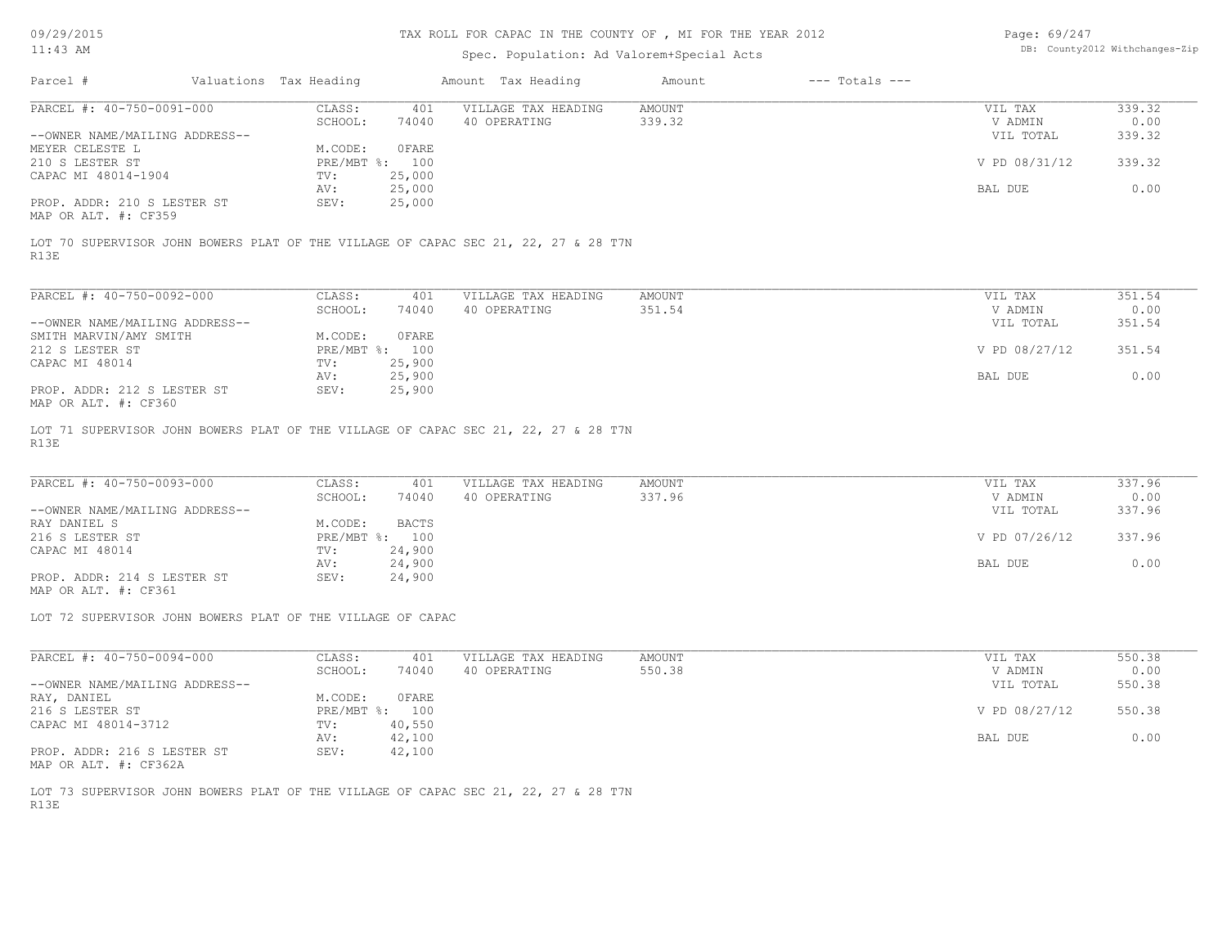## TAX ROLL FOR CAPAC IN THE COUNTY OF , MI FOR THE YEAR 2012

# Spec. Population: Ad Valorem+Special Acts

| Page: 69/247 |                                |
|--------------|--------------------------------|
|              | DB: County2012 Withchanges-Zip |

| Parcel #                       | Valuations Tax Heading |        | Amount Tax Heading  | Amount | $---$ Totals $---$ |               |        |
|--------------------------------|------------------------|--------|---------------------|--------|--------------------|---------------|--------|
| PARCEL #: 40-750-0091-000      | CLASS:                 | 401    | VILLAGE TAX HEADING | AMOUNT |                    | VIL TAX       | 339.32 |
|                                | SCHOOL:                | 74040  | 40 OPERATING        | 339.32 |                    | V ADMIN       | 0.00   |
| --OWNER NAME/MAILING ADDRESS-- |                        |        |                     |        |                    | VIL TOTAL     | 339.32 |
| MEYER CELESTE L                | M.CODE:                | OFARE  |                     |        |                    |               |        |
| 210 S LESTER ST                | PRE/MBT %: 100         |        |                     |        |                    | V PD 08/31/12 | 339.32 |
| CAPAC MI 48014-1904            | TV:                    | 25,000 |                     |        |                    |               |        |
|                                | AV:                    | 25,000 |                     |        |                    | BAL DUE       | 0.00   |
| PROP. ADDR: 210 S LESTER ST    | SEV:                   | 25,000 |                     |        |                    |               |        |
|                                |                        |        |                     |        |                    |               |        |

MAP OR ALT. #: CF359

R13E LOT 70 SUPERVISOR JOHN BOWERS PLAT OF THE VILLAGE OF CAPAC SEC 21, 22, 27 & 28 T7N

| PARCEL #: 40-750-0092-000      | CLASS:       | 401    | VILLAGE TAX HEADING | AMOUNT | VIL TAX       | 351.54 |
|--------------------------------|--------------|--------|---------------------|--------|---------------|--------|
|                                | SCHOOL:      | 74040  | 40 OPERATING        | 351.54 | V ADMIN       | 0.00   |
| --OWNER NAME/MAILING ADDRESS-- |              |        |                     |        | VIL TOTAL     | 351.54 |
| SMITH MARVIN/AMY SMITH         | M.CODE:      | OFARE  |                     |        |               |        |
| 212 S LESTER ST                | $PRE/MBT$ %: | 100    |                     |        | V PD 08/27/12 | 351.54 |
| CAPAC MI 48014                 | TV:          | 25,900 |                     |        |               |        |
|                                | AV:          | 25,900 |                     |        | BAL DUE       | 0.00   |
| PROP. ADDR: 212 S LESTER ST    | SEV:         | 25,900 |                     |        |               |        |
| MAP OR ALT. #: CF360           |              |        |                     |        |               |        |

R13E LOT 71 SUPERVISOR JOHN BOWERS PLAT OF THE VILLAGE OF CAPAC SEC 21, 22, 27 & 28 T7N

| 74040<br>337.96<br>40 OPERATING<br>SCHOOL:    | V ADMIN<br>VIL TOTAL | 0.00<br>337.96 |
|-----------------------------------------------|----------------------|----------------|
| --OWNER NAME/MAILING ADDRESS--                |                      |                |
|                                               |                      |                |
| BACTS<br>RAY DANIEL S<br>M.CODE:              |                      |                |
| 216 S LESTER ST<br>PRE/MBT %: 100             | V PD 07/26/12        | 337.96         |
| 24,900<br>CAPAC MI 48014<br>TV:               |                      |                |
| 24,900<br>AV:                                 | BAL DUE              | 0.00           |
| PROP. ADDR: 214 S LESTER ST<br>24,900<br>SEV: |                      |                |

MAP OR ALT. #: CF361

LOT 72 SUPERVISOR JOHN BOWERS PLAT OF THE VILLAGE OF CAPAC

| PARCEL #: 40-750-0094-000      | CLASS:       | 401    | VILLAGE TAX HEADING | AMOUNT | VIL TAX       | 550.38 |
|--------------------------------|--------------|--------|---------------------|--------|---------------|--------|
|                                | SCHOOL:      | 74040  | 40 OPERATING        | 550.38 | V ADMIN       | 0.00   |
| --OWNER NAME/MAILING ADDRESS-- |              |        |                     |        | VIL TOTAL     | 550.38 |
| RAY, DANIEL                    | M.CODE:      | OFARE  |                     |        |               |        |
| 216 S LESTER ST                | $PRE/MBT$ %: | 100    |                     |        | V PD 08/27/12 | 550.38 |
| CAPAC MI 48014-3712            | TV:          | 40,550 |                     |        |               |        |
|                                | AV:          | 42,100 |                     |        | BAL DUE       | 0.00   |
| PROP. ADDR: 216 S LESTER ST    | SEV:         | 42,100 |                     |        |               |        |

MAP OR ALT. #: CF362A

R13E LOT 73 SUPERVISOR JOHN BOWERS PLAT OF THE VILLAGE OF CAPAC SEC 21, 22, 27 & 28 T7N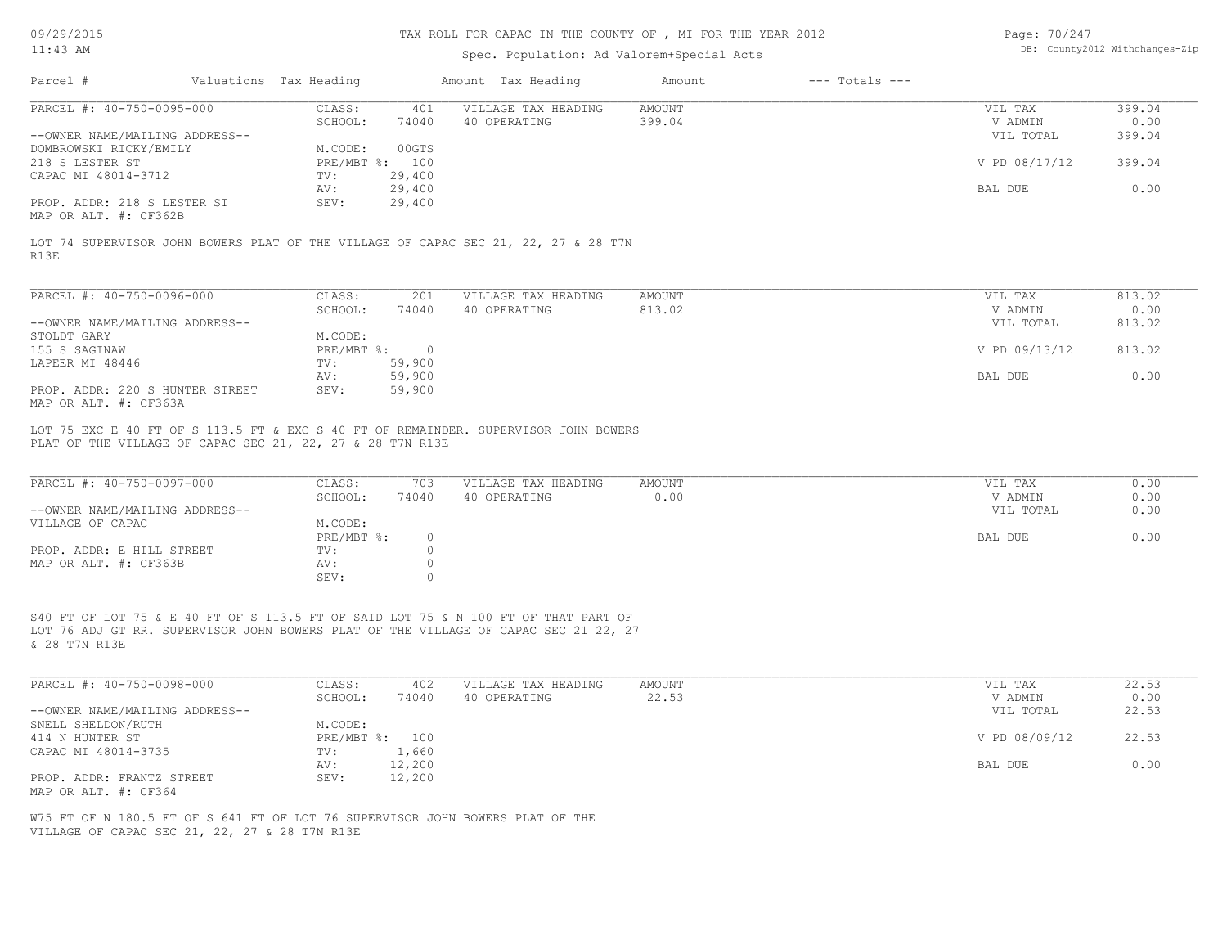#### TAX ROLL FOR CAPAC IN THE COUNTY OF , MI FOR THE YEAR 2012

# Spec. Population: Ad Valorem+Special Acts

| Page: 70/247 |                                |
|--------------|--------------------------------|
|              | DB: County2012 Withchanges-Zip |

|                                                                                                                     | Valuations Tax Heading |                | Amount Tax Heading                  | Amount                  |                    |                          |
|---------------------------------------------------------------------------------------------------------------------|------------------------|----------------|-------------------------------------|-------------------------|--------------------|--------------------------|
| PARCEL #: 40-750-0095-000                                                                                           | CLASS:                 | 401            | VILLAGE TAX HEADING                 | AMOUNT                  | VIL TAX            | 399.04                   |
|                                                                                                                     | SCHOOL:                | 74040          | 40 OPERATING                        | 399.04                  | V ADMIN            | 0.00                     |
| --OWNER NAME/MAILING ADDRESS--                                                                                      |                        |                |                                     |                         | VIL TOTAL          | 399.04                   |
| DOMBROWSKI RICKY/EMILY                                                                                              | M.CODE:                | 00GTS          |                                     |                         |                    |                          |
| 218 S LESTER ST                                                                                                     | PRE/MBT %: 100         |                |                                     |                         | V PD 08/17/12      | 399.04                   |
| CAPAC MI 48014-3712                                                                                                 | TV:                    | 29,400         |                                     |                         |                    |                          |
|                                                                                                                     | AV:                    | 29,400         |                                     |                         | BAL DUE            | 0.00                     |
|                                                                                                                     |                        |                |                                     |                         |                    |                          |
| PROP. ADDR: 218 S LESTER ST                                                                                         | SEV:                   | 29,400         |                                     |                         |                    |                          |
| MAP OR ALT. #: CF362B<br>LOT 74 SUPERVISOR JOHN BOWERS PLAT OF THE VILLAGE OF CAPAC SEC 21, 22, 27 & 28 T7N<br>R13E |                        |                |                                     |                         |                    |                          |
| PARCEL #: 40-750-0096-000                                                                                           | CLASS:<br>SCHOOL:      | 201<br>74040   | VILLAGE TAX HEADING<br>40 OPERATING | <b>AMOUNT</b><br>813.02 | VIL TAX<br>V ADMIN |                          |
| --OWNER NAME/MAILING ADDRESS--                                                                                      |                        |                |                                     |                         | VIL TOTAL          | 813.02<br>0.00<br>813.02 |
| STOLDT GARY                                                                                                         | M.CODE:                |                |                                     |                         |                    |                          |
| 155 S SAGINAW                                                                                                       | PRE/MBT %:             | $\overline{0}$ |                                     |                         | V PD 09/13/12      | 813.02                   |
| LAPEER MI 48446                                                                                                     | TV:                    | 59,900         |                                     |                         |                    |                          |
|                                                                                                                     | AV:                    | 59,900         |                                     |                         | BAL DUE            | 0.00                     |

SEV: 0 MAP OR ALT.  $\#$ : CF363B  $\qquad \qquad \text{AV:}$  0<br>SEV: 0 PROP. ADDR: E HILL STREET TV: 0 PRE/MBT  $\text{\$:}\quad \quad 0\quad \quad$ VILLAGE OF CAPAC M.CODE: --OWNER NAME/MAILING ADDRESS-- VIL TOTAL 0.00 SCHOOL: 74040 40 OPERATING 0.00 V ADMIN 0.00 PARCEL #: 40-750-0097-000 CLASS: 703 VILLAGE TAX HEADING AMOUNT AMOUNT VIL TAX VIL TAX 0.00<br>SCHOOL: 74040 40 OPERATING 0.00 000 VADMIN 0.00

 $\mathcal{L}_\mathcal{L} = \mathcal{L}_\mathcal{L} = \mathcal{L}_\mathcal{L} = \mathcal{L}_\mathcal{L} = \mathcal{L}_\mathcal{L} = \mathcal{L}_\mathcal{L} = \mathcal{L}_\mathcal{L} = \mathcal{L}_\mathcal{L} = \mathcal{L}_\mathcal{L} = \mathcal{L}_\mathcal{L} = \mathcal{L}_\mathcal{L} = \mathcal{L}_\mathcal{L} = \mathcal{L}_\mathcal{L} = \mathcal{L}_\mathcal{L} = \mathcal{L}_\mathcal{L} = \mathcal{L}_\mathcal{L} = \mathcal{L}_\mathcal{L}$ 

& 28 T7N R13E LOT 76 ADJ GT RR. SUPERVISOR JOHN BOWERS PLAT OF THE VILLAGE OF CAPAC SEC 21 22, 27 S40 FT OF LOT 75 & E 40 FT OF S 113.5 FT OF SAID LOT 75 & N 100 FT OF THAT PART OF

| PARCEL #: 40-750-0098-000      | CLASS:  | 402            | VILLAGE TAX HEADING | AMOUNT | VIL TAX       | 22.53 |
|--------------------------------|---------|----------------|---------------------|--------|---------------|-------|
|                                | SCHOOL: | 74040          | 40 OPERATING        | 22.53  | V ADMIN       | 0.00  |
| --OWNER NAME/MAILING ADDRESS-- |         |                |                     |        | VIL TOTAL     | 22.53 |
| SNELL SHELDON/RUTH             | M.CODE: |                |                     |        |               |       |
| 414 N HUNTER ST                |         | PRE/MBT %: 100 |                     |        | V PD 08/09/12 | 22.53 |
| CAPAC MI 48014-3735            | TV:     | 1,660          |                     |        |               |       |
|                                | AV:     | 12,200         |                     |        | BAL DUE       | 0.00  |
| PROP. ADDR: FRANTZ STREET      | SEV:    | 12,200         |                     |        |               |       |
| MAP OR ALT. #: CF364           |         |                |                     |        |               |       |

VILLAGE OF CAPAC SEC 21, 22, 27 & 28 T7N R13E W75 FT OF N 180.5 FT OF S 641 FT OF LOT 76 SUPERVISOR JOHN BOWERS PLAT OF THE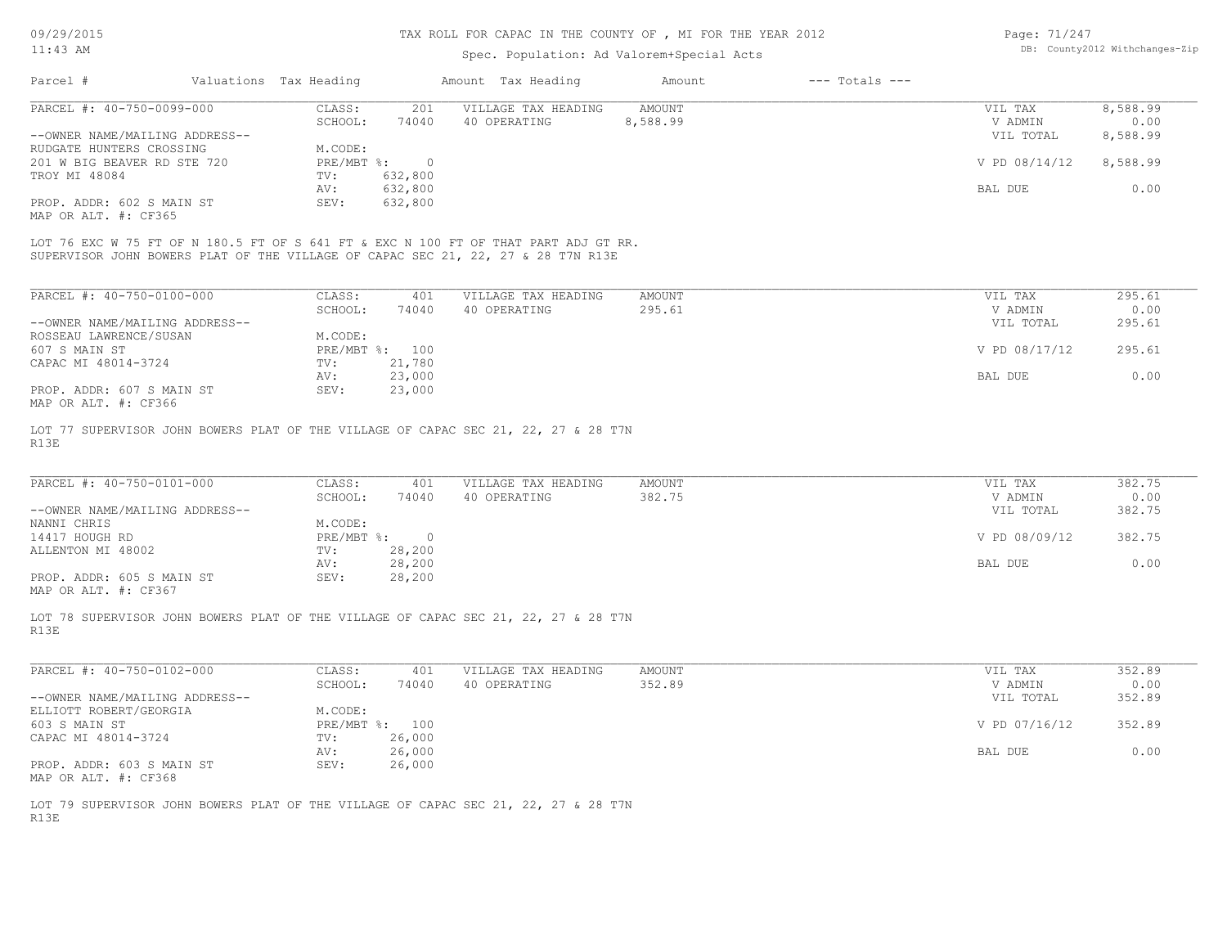| Page: 71/247 |                                |
|--------------|--------------------------------|
|              | DB: County2012 Withchanges-Zip |

|                                                                                            |                        |                    | TAX ROLL FOR CAPAC IN THE COUNTY OF , MI FOR THE YEAR 2012 |                  |                    | Page: 71/247         |                                |
|--------------------------------------------------------------------------------------------|------------------------|--------------------|------------------------------------------------------------|------------------|--------------------|----------------------|--------------------------------|
| $11:43$ AM                                                                                 |                        |                    | Spec. Population: Ad Valorem+Special Acts                  |                  |                    |                      | DB: County2012 Withchanges-Zip |
| Parcel #                                                                                   | Valuations Tax Heading |                    | Amount Tax Heading                                         | Amount           | $---$ Totals $---$ |                      |                                |
| PARCEL #: 40-750-0099-000                                                                  | CLASS:                 | 201                | VILLAGE TAX HEADING                                        | <b>AMOUNT</b>    |                    | VIL TAX              | 8,588.99                       |
| --OWNER NAME/MAILING ADDRESS--                                                             | SCHOOL:                | 74040              | 40 OPERATING                                               | 8,588.99         |                    | V ADMIN<br>VIL TOTAL | 0.00<br>8,588.99               |
| RUDGATE HUNTERS CROSSING                                                                   | M.CODE:                |                    |                                                            |                  |                    |                      |                                |
| 201 W BIG BEAVER RD STE 720                                                                | $PRE/MBT$ $\div$       | $\overline{0}$     |                                                            |                  |                    | V PD 08/14/12        | 8,588.99                       |
| TROY MI 48084                                                                              | TV:<br>AV:             | 632,800<br>632,800 |                                                            |                  |                    | BAL DUE              | 0.00                           |
| PROP. ADDR: 602 S MAIN ST                                                                  | SEV:                   | 632,800            |                                                            |                  |                    |                      |                                |
| MAP OR ALT. #: CF365                                                                       |                        |                    |                                                            |                  |                    |                      |                                |
| LOT 76 EXC W 75 FT OF N 180.5 FT OF S 641 FT & EXC N 100 FT OF THAT PART ADJ GT RR.        |                        |                    |                                                            |                  |                    |                      |                                |
| SUPERVISOR JOHN BOWERS PLAT OF THE VILLAGE OF CAPAC SEC 21, 22, 27 & 28 T7N R13E           |                        |                    |                                                            |                  |                    |                      |                                |
|                                                                                            |                        |                    |                                                            |                  |                    |                      |                                |
| PARCEL #: 40-750-0100-000                                                                  | CLASS:                 | 401                | VILLAGE TAX HEADING                                        | <b>AMOUNT</b>    |                    | VIL TAX              | 295.61                         |
|                                                                                            | SCHOOL:                | 74040              | 40 OPERATING                                               | 295.61           |                    | V ADMIN              | 0.00                           |
| --OWNER NAME/MAILING ADDRESS--                                                             |                        |                    |                                                            |                  |                    | VIL TOTAL            | 295.61                         |
| ROSSEAU LAWRENCE/SUSAN                                                                     | M.CODE:                |                    |                                                            |                  |                    |                      |                                |
| 607 S MAIN ST                                                                              | PRE/MBT %: 100         |                    |                                                            |                  |                    | V PD 08/17/12        | 295.61                         |
| CAPAC MI 48014-3724                                                                        | TV:                    | 21,780             |                                                            |                  |                    |                      |                                |
| PROP. ADDR: 607 S MAIN ST                                                                  | AV:<br>SEV:            | 23,000<br>23,000   |                                                            |                  |                    | <b>BAL DUE</b>       | 0.00                           |
| MAP OR ALT. #: CF366                                                                       |                        |                    |                                                            |                  |                    |                      |                                |
|                                                                                            |                        |                    |                                                            |                  |                    |                      |                                |
|                                                                                            |                        |                    |                                                            |                  |                    |                      |                                |
|                                                                                            |                        |                    |                                                            |                  |                    |                      |                                |
|                                                                                            |                        |                    |                                                            |                  |                    |                      |                                |
| LOT 77 SUPERVISOR JOHN BOWERS PLAT OF THE VILLAGE OF CAPAC SEC 21, 22, 27 & 28 T7N<br>R13E |                        |                    |                                                            |                  |                    |                      |                                |
| PARCEL #: 40-750-0101-000                                                                  | CLASS:<br>SCHOOL:      | 401<br>74040       | VILLAGE TAX HEADING<br>40 OPERATING                        | AMOUNT<br>382.75 |                    | VIL TAX<br>V ADMIN   | 382.75<br>0.00                 |
| --OWNER NAME/MAILING ADDRESS--                                                             |                        |                    |                                                            |                  |                    | VIL TOTAL            | 382.75                         |
| NANNI CHRIS                                                                                | M.CODE:                |                    |                                                            |                  |                    |                      |                                |
| 14417 HOUGH RD                                                                             | PRE/MBT %:             | $\circ$            |                                                            |                  |                    | V PD 08/09/12        | 382.75                         |
| ALLENTON MI 48002                                                                          | TV:                    | 28,200             |                                                            |                  |                    |                      |                                |
|                                                                                            | AV:                    | 28,200             |                                                            |                  |                    | BAL DUE              | 0.00                           |
| PROP. ADDR: 605 S MAIN ST                                                                  | SEV:                   | 28,200             |                                                            |                  |                    |                      |                                |
| MAP OR ALT. #: CF367                                                                       |                        |                    |                                                            |                  |                    |                      |                                |
|                                                                                            |                        |                    |                                                            |                  |                    |                      |                                |
| LOT 78 SUPERVISOR JOHN BOWERS PLAT OF THE VILLAGE OF CAPAC SEC 21, 22, 27 & 28 T7N<br>R13E |                        |                    |                                                            |                  |                    |                      |                                |
|                                                                                            |                        |                    |                                                            |                  |                    |                      |                                |
| PARCEL #: 40-750-0102-000                                                                  | CLASS:                 | 401                | VILLAGE TAX HEADING                                        | <b>AMOUNT</b>    |                    | VIL TAX              | 352.89                         |
|                                                                                            | SCHOOL:                | 74040              | 40 OPERATING                                               | 352.89           |                    | V ADMIN              | 0.00                           |
| --OWNER NAME/MAILING ADDRESS--                                                             |                        |                    |                                                            |                  |                    | VIL TOTAL            | 352.89                         |
| ELLIOTT ROBERT/GEORGIA                                                                     | M.CODE:                |                    |                                                            |                  |                    |                      |                                |
| 603 S MAIN ST                                                                              | PRE/MBT %: 100         |                    |                                                            |                  |                    | V PD 07/16/12        | 352.89                         |
| CAPAC MI 48014-3724                                                                        | TV:<br>AV:             | 26,000<br>26,000   |                                                            |                  |                    | BAL DUE              | 0.00                           |

MAP OR ALT. #: CF368

R13E LOT 79 SUPERVISOR JOHN BOWERS PLAT OF THE VILLAGE OF CAPAC SEC 21, 22, 27 & 28 T7N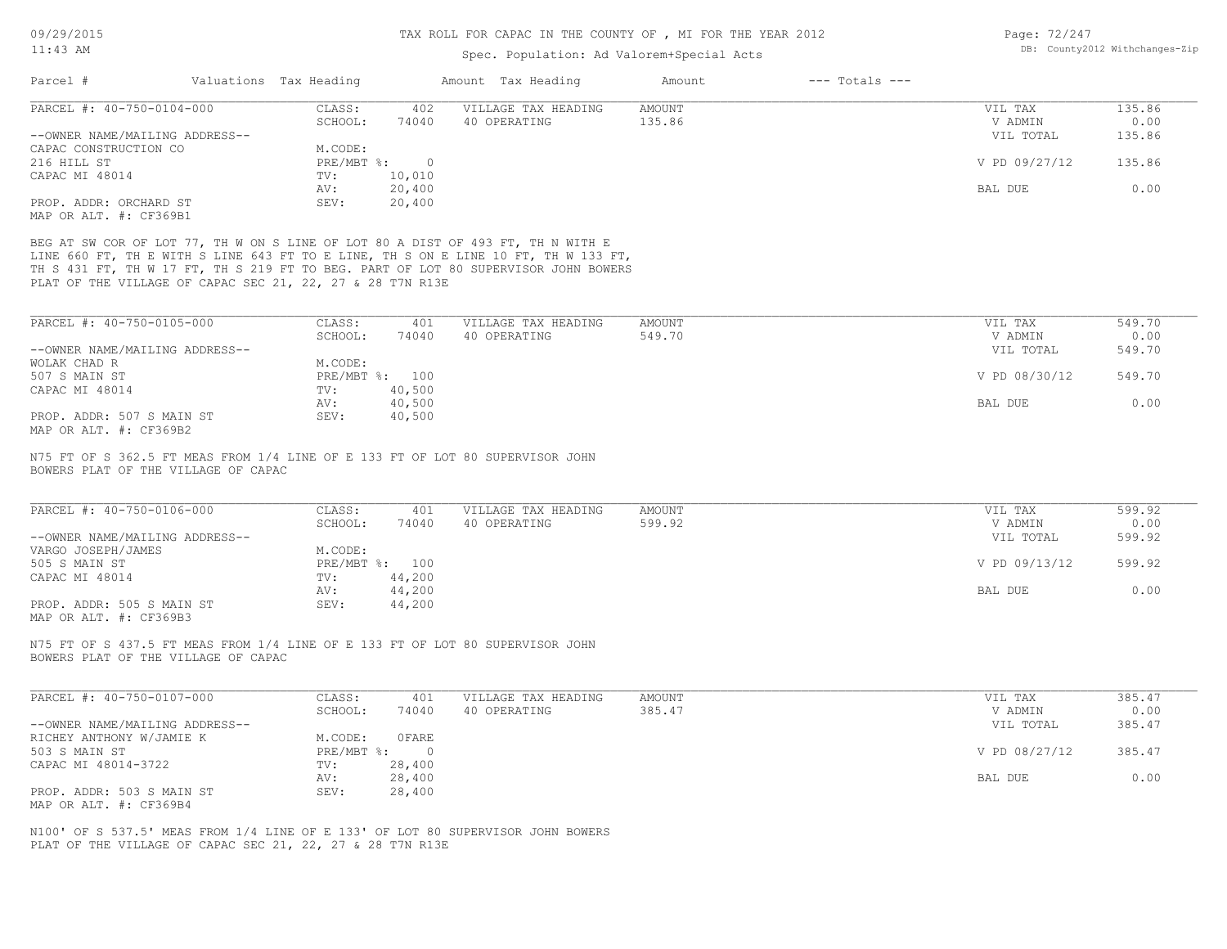| Page: 72/247 |                               |
|--------------|-------------------------------|
|              | DB: County2012 Withchanges-Zi |

| 11:43 AM                                                                                                                                                                                                                                                                                                                 |                                                       | Spec. Population: Ad Valorem+Special Acts |                         |                    |                                 | DB: County2012 Withchanges-Zip |  |
|--------------------------------------------------------------------------------------------------------------------------------------------------------------------------------------------------------------------------------------------------------------------------------------------------------------------------|-------------------------------------------------------|-------------------------------------------|-------------------------|--------------------|---------------------------------|--------------------------------|--|
| Parcel #                                                                                                                                                                                                                                                                                                                 | Valuations Tax Heading                                | Amount Tax Heading                        | Amount                  | $---$ Totals $---$ |                                 |                                |  |
| PARCEL #: 40-750-0104-000                                                                                                                                                                                                                                                                                                | CLASS:<br>402                                         | VILLAGE TAX HEADING                       | <b>AMOUNT</b>           |                    | VIL TAX                         | 135.86                         |  |
| --OWNER NAME/MAILING ADDRESS--                                                                                                                                                                                                                                                                                           | SCHOOL:<br>74040                                      | 40 OPERATING                              | 135.86                  |                    | V ADMIN<br>VIL TOTAL            | 0.00<br>135.86                 |  |
| CAPAC CONSTRUCTION CO                                                                                                                                                                                                                                                                                                    | M.CODE:                                               |                                           |                         |                    |                                 |                                |  |
| 216 HILL ST                                                                                                                                                                                                                                                                                                              | PRE/MBT %:<br>$\overline{0}$                          |                                           |                         |                    | V PD 09/27/12                   | 135.86                         |  |
| CAPAC MI 48014                                                                                                                                                                                                                                                                                                           | 10,010<br>TV:                                         |                                           |                         |                    |                                 |                                |  |
|                                                                                                                                                                                                                                                                                                                          | 20,400<br>AV:                                         |                                           |                         |                    | BAL DUE                         | 0.00                           |  |
| PROP. ADDR: ORCHARD ST                                                                                                                                                                                                                                                                                                   | SEV:<br>20,400                                        |                                           |                         |                    |                                 |                                |  |
| MAP OR ALT. #: CF369B1                                                                                                                                                                                                                                                                                                   |                                                       |                                           |                         |                    |                                 |                                |  |
| BEG AT SW COR OF LOT 77, TH W ON S LINE OF LOT 80 A DIST OF 493 FT, TH N WITH E<br>LINE 660 FT, TH E WITH S LINE 643 FT TO E LINE, TH S ON E LINE 10 FT, TH W 133 FT,<br>TH S 431 FT, TH W 17 FT, TH S 219 FT TO BEG. PART OF LOT 80 SUPERVISOR JOHN BOWERS<br>PLAT OF THE VILLAGE OF CAPAC SEC 21, 22, 27 & 28 T7N R13E |                                                       |                                           |                         |                    |                                 |                                |  |
| PARCEL #: 40-750-0105-000                                                                                                                                                                                                                                                                                                | CLASS:<br>401                                         | VILLAGE TAX HEADING                       | <b>AMOUNT</b>           |                    | VIL TAX                         | 549.70                         |  |
|                                                                                                                                                                                                                                                                                                                          | SCHOOL:<br>74040                                      | 40 OPERATING                              | 549.70                  |                    | V ADMIN                         | 0.00                           |  |
| --OWNER NAME/MAILING ADDRESS--                                                                                                                                                                                                                                                                                           |                                                       |                                           |                         |                    | VIL TOTAL                       | 549.70                         |  |
| WOLAK CHAD R                                                                                                                                                                                                                                                                                                             | M.CODE:                                               |                                           |                         |                    |                                 |                                |  |
| 507 S MAIN ST                                                                                                                                                                                                                                                                                                            | PRE/MBT %: 100                                        |                                           |                         |                    | V PD 08/30/12                   | 549.70                         |  |
| CAPAC MI 48014                                                                                                                                                                                                                                                                                                           | 40,500<br>TV:                                         |                                           |                         |                    |                                 |                                |  |
|                                                                                                                                                                                                                                                                                                                          | AV:<br>40,500                                         |                                           |                         |                    | BAL DUE                         | 0.00                           |  |
| PROP. ADDR: 507 S MAIN ST                                                                                                                                                                                                                                                                                                | SEV:<br>40,500                                        |                                           |                         |                    |                                 |                                |  |
| MAP OR ALT. #: CF369B2                                                                                                                                                                                                                                                                                                   |                                                       |                                           |                         |                    |                                 |                                |  |
| PARCEL #: 40-750-0106-000<br>--OWNER NAME/MAILING ADDRESS--                                                                                                                                                                                                                                                              | CLASS:<br>401<br>SCHOOL:<br>74040                     | VILLAGE TAX HEADING<br>40 OPERATING       | <b>AMOUNT</b><br>599.92 |                    | VIL TAX<br>V ADMIN<br>VIL TOTAL | 599.92<br>0.00<br>599.92       |  |
| VARGO JOSEPH/JAMES<br>505 S MAIN ST                                                                                                                                                                                                                                                                                      | M.CODE:<br>PRE/MBT %: 100                             |                                           |                         |                    | V PD 09/13/12                   | 599.92                         |  |
| CAPAC MI 48014                                                                                                                                                                                                                                                                                                           | 44,200<br>TV:<br>AV:<br>44,200                        |                                           |                         |                    | BAL DUE                         | 0.00                           |  |
| PROP. ADDR: 505 S MAIN ST                                                                                                                                                                                                                                                                                                | SEV:<br>44,200                                        |                                           |                         |                    |                                 |                                |  |
| MAP OR ALT. #: CF369B3                                                                                                                                                                                                                                                                                                   |                                                       |                                           |                         |                    |                                 |                                |  |
| N75 FT OF S 437.5 FT MEAS FROM 1/4 LINE OF E 133 FT OF LOT 80 SUPERVISOR JOHN<br>BOWERS PLAT OF THE VILLAGE OF CAPAC                                                                                                                                                                                                     |                                                       |                                           |                         |                    |                                 |                                |  |
| PARCEL #: 40-750-0107-000                                                                                                                                                                                                                                                                                                | CLASS:<br>401                                         | VILLAGE TAX HEADING                       | AMOUNT                  |                    | VIL TAX                         | 385.47                         |  |
|                                                                                                                                                                                                                                                                                                                          | 74040<br>SCHOOL:                                      | 40 OPERATING                              | 385.47                  |                    | V ADMIN                         | 0.00                           |  |
| --OWNER NAME/MAILING ADDRESS--                                                                                                                                                                                                                                                                                           |                                                       |                                           |                         |                    | VIL TOTAL                       | 385.47                         |  |
| RICHEY ANTHONY W/JAMIE K                                                                                                                                                                                                                                                                                                 | M.CODE: OFARE                                         |                                           |                         |                    |                                 |                                |  |
| 503 S MAIN ST                                                                                                                                                                                                                                                                                                            | $PRE/MBT$ $\frac{6}{3}$ :<br>$\overline{\phantom{0}}$ |                                           |                         |                    | V PD 08/27/12                   | 385.47                         |  |
| CAPAC MI 48014-3722                                                                                                                                                                                                                                                                                                      | 28,400<br>TV:                                         |                                           |                         |                    |                                 |                                |  |
|                                                                                                                                                                                                                                                                                                                          | 28,400<br>AV:                                         |                                           |                         |                    | BAL DUE                         | 0.00                           |  |
| PROP. ADDR: 503 S MAIN ST<br>MAP OR ALT. #: CF369B4                                                                                                                                                                                                                                                                      | 28,400<br>SEV:                                        |                                           |                         |                    |                                 |                                |  |
| N100' OF S 537.5' MEAS FROM 1/4 LINE OF E 133' OF LOT 80 SUPERVISOR JOHN BOWERS<br>PLAT OF THE VILLAGE OF CAPAC SEC 21, 22, 27 & 28 T7N R13E                                                                                                                                                                             |                                                       |                                           |                         |                    |                                 |                                |  |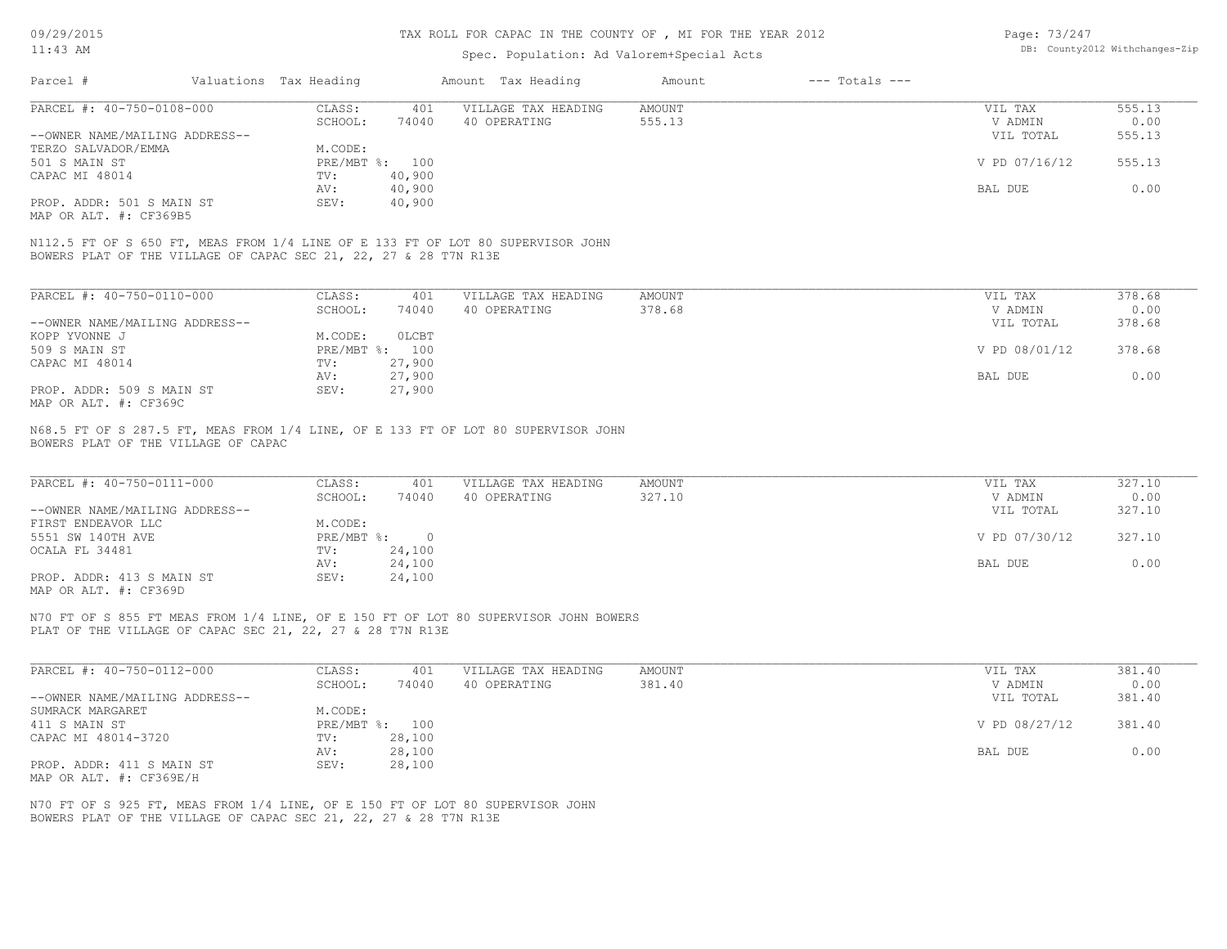#### TAX ROLL FOR CAPAC IN THE COUNTY OF , MI FOR THE YEAR 2012

### Spec. Population: Ad Valorem+Special Acts

| Page: 73/247 |                                |
|--------------|--------------------------------|
|              | DB: County2012 Withchanges-Zip |

| Parcel #                       | Valuations Tax Heading |                | Amount Tax Heading  | Amount | $---$ Totals $---$ |               |        |
|--------------------------------|------------------------|----------------|---------------------|--------|--------------------|---------------|--------|
| PARCEL #: 40-750-0108-000      | CLASS:                 | 401            | VILLAGE TAX HEADING | AMOUNT |                    | VIL TAX       | 555.13 |
|                                | SCHOOL:                | 74040          | 40 OPERATING        | 555.13 |                    | V ADMIN       | 0.00   |
| --OWNER NAME/MAILING ADDRESS-- |                        |                |                     |        |                    | VIL TOTAL     | 555.13 |
| TERZO SALVADOR/EMMA            | M.CODE:                |                |                     |        |                    |               |        |
| 501 S MAIN ST                  |                        | PRE/MBT %: 100 |                     |        |                    | V PD 07/16/12 | 555.13 |
| CAPAC MI 48014                 | TV:                    | 40,900         |                     |        |                    |               |        |
|                                | AV:                    | 40,900         |                     |        |                    | BAL DUE       | 0.00   |
| PROP. ADDR: 501 S MAIN ST      | SEV:                   | 40,900         |                     |        |                    |               |        |
| MAP OR ALT. #: CF369B5         |                        |                |                     |        |                    |               |        |
|                                |                        |                |                     |        |                    |               |        |

BOWERS PLAT OF THE VILLAGE OF CAPAC SEC 21, 22, 27 & 28 T7N R13E N112.5 FT OF S 650 FT, MEAS FROM 1/4 LINE OF E 133 FT OF LOT 80 SUPERVISOR JOHN

| PARCEL #: 40-750-0110-000      | CLASS:       | 401    | VILLAGE TAX HEADING | AMOUNT | VIL TAX       | 378.68 |
|--------------------------------|--------------|--------|---------------------|--------|---------------|--------|
|                                | SCHOOL:      | 74040  | 40 OPERATING        | 378.68 | V ADMIN       | 0.00   |
| --OWNER NAME/MAILING ADDRESS-- |              |        |                     |        | VIL TOTAL     | 378.68 |
| KOPP YVONNE J                  | M.CODE:      | OLCBT  |                     |        |               |        |
| 509 S MAIN ST                  | $PRE/MBT$ %: | 100    |                     |        | V PD 08/01/12 | 378.68 |
| CAPAC MI 48014                 | TV:          | 27,900 |                     |        |               |        |
|                                | AV:          | 27,900 |                     |        | BAL DUE       | 0.00   |
| PROP. ADDR: 509 S MAIN ST      | SEV:         | 27,900 |                     |        |               |        |
| MAP OR ALT. #: CF369C          |              |        |                     |        |               |        |

BOWERS PLAT OF THE VILLAGE OF CAPAC N68.5 FT OF S 287.5 FT, MEAS FROM 1/4 LINE, OF E 133 FT OF LOT 80 SUPERVISOR JOHN

| PARCEL #: 40-750-0111-000      | CLASS:       | 401    | VILLAGE TAX HEADING | AMOUNT | VIL TAX       | 327.10 |
|--------------------------------|--------------|--------|---------------------|--------|---------------|--------|
|                                | SCHOOL:      | 74040  | 40 OPERATING        | 327.10 | V ADMIN       | 0.00   |
| --OWNER NAME/MAILING ADDRESS-- |              |        |                     |        | VIL TOTAL     | 327.10 |
| FIRST ENDEAVOR LLC             | M.CODE:      |        |                     |        |               |        |
| 5551 SW 140TH AVE              | $PRE/MBT$ %: |        |                     |        | V PD 07/30/12 | 327.10 |
| OCALA FL 34481                 | TV:          | 24,100 |                     |        |               |        |
|                                | AV:          | 24,100 |                     |        | BAL DUE       | 0.00   |
| PROP. ADDR: 413 S MAIN ST      | SEV:         | 24,100 |                     |        |               |        |
| MAP OR ALT. #: CF369D          |              |        |                     |        |               |        |

PLAT OF THE VILLAGE OF CAPAC SEC 21, 22, 27 & 28 T7N R13E N70 FT OF S 855 FT MEAS FROM 1/4 LINE, OF E 150 FT OF LOT 80 SUPERVISOR JOHN BOWERS

| PARCEL #: 40-750-0112-000      | CLASS:  | 401            | VILLAGE TAX HEADING | AMOUNT | VIL TAX       | 381.40 |
|--------------------------------|---------|----------------|---------------------|--------|---------------|--------|
|                                | SCHOOL: | 74040          | 40 OPERATING        | 381.40 | V ADMIN       | 0.00   |
| --OWNER NAME/MAILING ADDRESS-- |         |                |                     |        | VIL TOTAL     | 381.40 |
| SUMRACK MARGARET               | M.CODE: |                |                     |        |               |        |
| 411 S MAIN ST                  |         | PRE/MBT %: 100 |                     |        | V PD 08/27/12 | 381.40 |
| CAPAC MI 48014-3720            | TV:     | 28,100         |                     |        |               |        |
|                                | AV:     | 28,100         |                     |        | BAL DUE       | 0.00   |
| PROP. ADDR: 411 S MAIN ST      | SEV:    | 28,100         |                     |        |               |        |
| MAP OR ALT. #: CF369E/H        |         |                |                     |        |               |        |

BOWERS PLAT OF THE VILLAGE OF CAPAC SEC 21, 22, 27 & 28 T7N R13E N70 FT OF S 925 FT, MEAS FROM 1/4 LINE, OF E 150 FT OF LOT 80 SUPERVISOR JOHN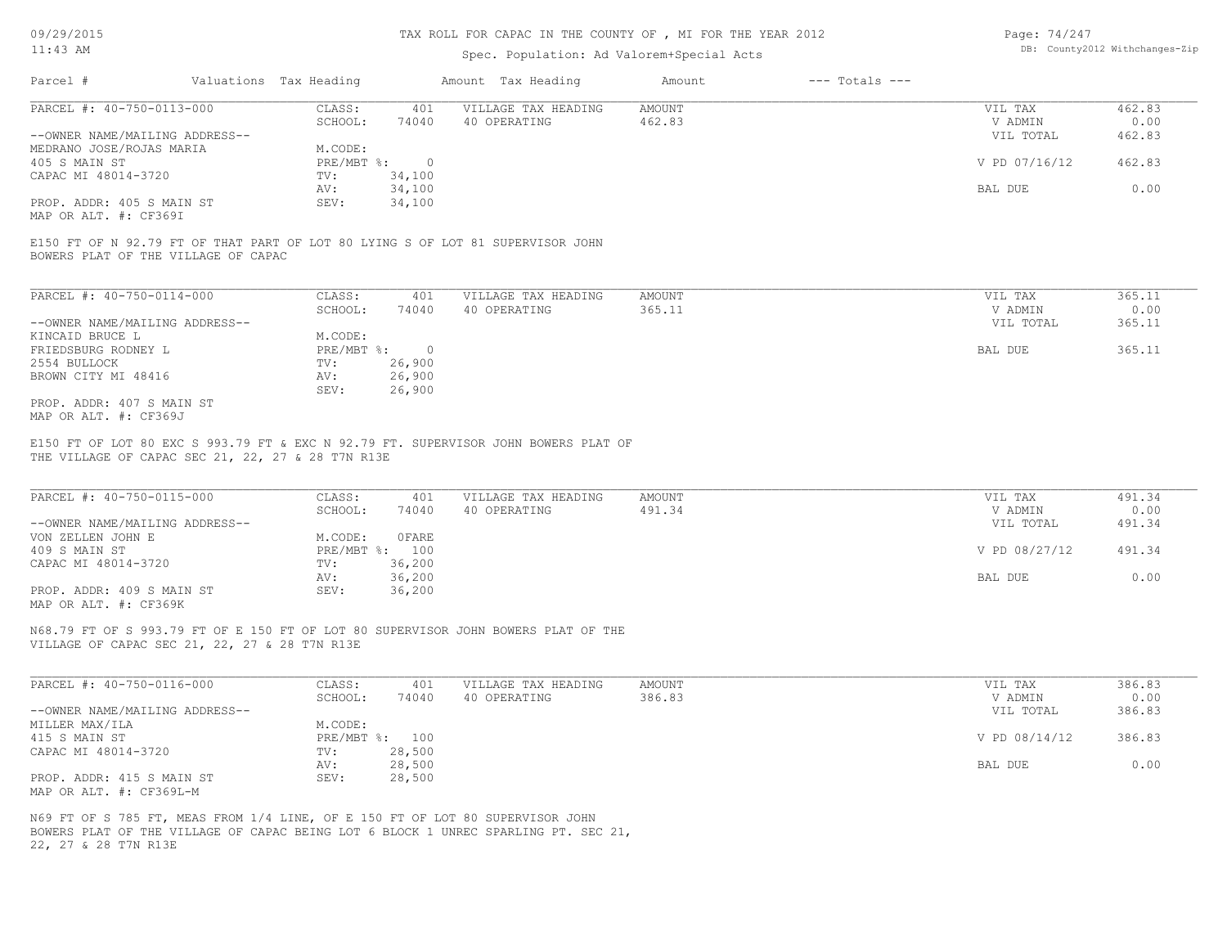#### TAX ROLL FOR CAPAC IN THE COUNTY OF , MI FOR THE YEAR 2012

# Spec. Population: Ad Valorem+Special Acts

| Page: 74/247 |                                |
|--------------|--------------------------------|
|              | DB: County2012 Withchanges-Zip |

| Parcel #                       | Valuations Tax Heading |        | Amount Tax Heading  | Amount | $---$ Totals $---$ |               |        |
|--------------------------------|------------------------|--------|---------------------|--------|--------------------|---------------|--------|
| PARCEL #: 40-750-0113-000      | CLASS:                 | 401    | VILLAGE TAX HEADING | AMOUNT |                    | VIL TAX       | 462.83 |
|                                | SCHOOL:                | 74040  | 40 OPERATING        | 462.83 |                    | V ADMIN       | 0.00   |
| --OWNER NAME/MAILING ADDRESS-- |                        |        |                     |        |                    | VIL TOTAL     | 462.83 |
| MEDRANO JOSE/ROJAS MARIA       | M.CODE:                |        |                     |        |                    |               |        |
| 405 S MAIN ST                  | PRE/MBT %:             |        |                     |        |                    | V PD 07/16/12 | 462.83 |
| CAPAC MI 48014-3720            | TV:                    | 34,100 |                     |        |                    |               |        |
|                                | AV:                    | 34,100 |                     |        |                    | BAL DUE       | 0.00   |
| PROP. ADDR: 405 S MAIN ST      | SEV:                   | 34,100 |                     |        |                    |               |        |
|                                |                        |        |                     |        |                    |               |        |

MAP OR ALT. #: CF369I

BOWERS PLAT OF THE VILLAGE OF CAPAC E150 FT OF N 92.79 FT OF THAT PART OF LOT 80 LYING S OF LOT 81 SUPERVISOR JOHN

| PARCEL #: 40-750-0114-000      | CLASS:     | 401      | VILLAGE TAX HEADING | AMOUNT | VIL TAX   | 365.11 |
|--------------------------------|------------|----------|---------------------|--------|-----------|--------|
|                                | SCHOOL:    | 74040    | 40 OPERATING        | 365.11 | V ADMIN   | 0.00   |
| --OWNER NAME/MAILING ADDRESS-- |            |          |                     |        | VIL TOTAL | 365.11 |
| KINCAID BRUCE L                | M.CODE:    |          |                     |        |           |        |
| FRIEDSBURG RODNEY L            | PRE/MBT %: | $\Omega$ |                     |        | BAL DUE   | 365.11 |
| 2554 BULLOCK                   | TV:        | 26,900   |                     |        |           |        |
| BROWN CITY MI 48416            | AV:        | 26,900   |                     |        |           |        |
|                                | SEV:       | 26,900   |                     |        |           |        |
| PROP. ADDR: 407 S MAIN ST      |            |          |                     |        |           |        |
| MAP OR ALT. #: CF369J          |            |          |                     |        |           |        |

THE VILLAGE OF CAPAC SEC 21, 22, 27 & 28 T7N R13E E150 FT OF LOT 80 EXC S 993.79 FT & EXC N 92.79 FT. SUPERVISOR JOHN BOWERS PLAT OF

| PARCEL #: 40-750-0115-000      | CLASS:  | 401            | VILLAGE TAX HEADING | AMOUNT | VIL TAX       | 491.34 |
|--------------------------------|---------|----------------|---------------------|--------|---------------|--------|
|                                | SCHOOL: | 74040          | 40 OPERATING        | 491.34 | V ADMIN       | 0.00   |
| --OWNER NAME/MAILING ADDRESS-- |         |                |                     |        | VIL TOTAL     | 491.34 |
| VON ZELLEN JOHN E              | M.CODE: | OFARE          |                     |        |               |        |
| 409 S MAIN ST                  |         | PRE/MBT %: 100 |                     |        | V PD 08/27/12 | 491.34 |
| CAPAC MI 48014-3720            | TV:     | 36,200         |                     |        |               |        |
|                                | AV:     | 36,200         |                     |        | BAL DUE       | 0.00   |
| PROP. ADDR: 409 S MAIN ST      | SEV:    | 36,200         |                     |        |               |        |
|                                |         |                |                     |        |               |        |

 $\mathcal{L}_\mathcal{L} = \mathcal{L}_\mathcal{L} = \mathcal{L}_\mathcal{L} = \mathcal{L}_\mathcal{L} = \mathcal{L}_\mathcal{L} = \mathcal{L}_\mathcal{L} = \mathcal{L}_\mathcal{L} = \mathcal{L}_\mathcal{L} = \mathcal{L}_\mathcal{L} = \mathcal{L}_\mathcal{L} = \mathcal{L}_\mathcal{L} = \mathcal{L}_\mathcal{L} = \mathcal{L}_\mathcal{L} = \mathcal{L}_\mathcal{L} = \mathcal{L}_\mathcal{L} = \mathcal{L}_\mathcal{L} = \mathcal{L}_\mathcal{L}$ 

MAP OR ALT. #: CF369K

VILLAGE OF CAPAC SEC 21, 22, 27 & 28 T7N R13E N68.79 FT OF S 993.79 FT OF E 150 FT OF LOT 80 SUPERVISOR JOHN BOWERS PLAT OF THE

| PARCEL #: 40-750-0116-000      | CLASS:  | 401            | VILLAGE TAX HEADING | AMOUNT | VIL TAX       | 386.83 |
|--------------------------------|---------|----------------|---------------------|--------|---------------|--------|
|                                | SCHOOL: | 74040          | 40 OPERATING        | 386.83 | V ADMIN       | 0.00   |
| --OWNER NAME/MAILING ADDRESS-- |         |                |                     |        | VIL TOTAL     | 386.83 |
| MILLER MAX/ILA                 | M.CODE: |                |                     |        |               |        |
| 415 S MAIN ST                  |         | PRE/MBT %: 100 |                     |        | V PD 08/14/12 | 386.83 |
| CAPAC MI 48014-3720            | TV:     | 28,500         |                     |        |               |        |
|                                | AV:     | 28,500         |                     |        | BAL DUE       | 0.00   |
| PROP. ADDR: 415 S MAIN ST      | SEV:    | 28,500         |                     |        |               |        |
| MAP OR ALT. #: CF369L-M        |         |                |                     |        |               |        |

22, 27 & 28 T7N R13E BOWERS PLAT OF THE VILLAGE OF CAPAC BEING LOT 6 BLOCK 1 UNREC SPARLING PT. SEC 21, N69 FT OF S 785 FT, MEAS FROM 1/4 LINE, OF E 150 FT OF LOT 80 SUPERVISOR JOHN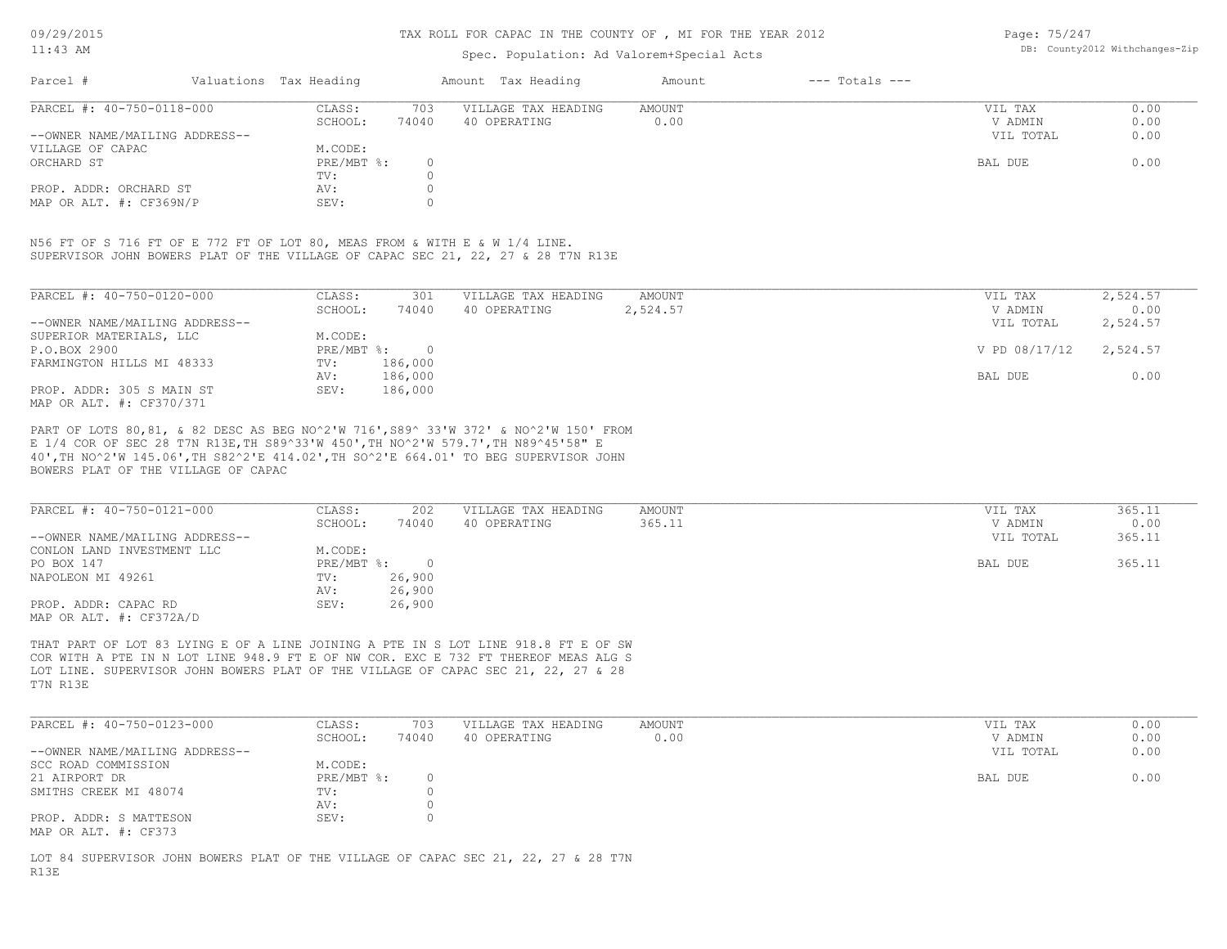#### TAX ROLL FOR CAPAC IN THE COUNTY OF , MI FOR THE YEAR 2012

### Spec. Population: Ad Valorem+Special Acts

Page: 75/247 DB: County2012 Withchanges-Zip

| Parcel #                       | Valuations Tax Heading |       | Amount Tax Heading  | Amount | $---$ Totals $---$ |           |      |
|--------------------------------|------------------------|-------|---------------------|--------|--------------------|-----------|------|
| PARCEL #: 40-750-0118-000      | CLASS:                 | 703   | VILLAGE TAX HEADING | AMOUNT |                    | VIL TAX   | 0.00 |
|                                | SCHOOL:                | 74040 | 40 OPERATING        | 0.00   |                    | V ADMIN   | 0.00 |
| --OWNER NAME/MAILING ADDRESS-- |                        |       |                     |        |                    | VIL TOTAL | 0.00 |
| VILLAGE OF CAPAC               | M.CODE:                |       |                     |        |                    |           |      |
| ORCHARD ST                     | PRE/MBT %:             |       |                     |        |                    | BAL DUE   | 0.00 |
|                                | TV:                    |       |                     |        |                    |           |      |
| PROP. ADDR: ORCHARD ST         | AV:                    |       |                     |        |                    |           |      |
| MAP OR ALT. #: CF369N/P        | SEV:                   |       |                     |        |                    |           |      |

SUPERVISOR JOHN BOWERS PLAT OF THE VILLAGE OF CAPAC SEC 21, 22, 27 & 28 T7N R13E N56 FT OF S 716 FT OF E 772 FT OF LOT 80, MEAS FROM & WITH E & W 1/4 LINE.

| PARCEL #: 40-750-0120-000      | CLASS:     | 301     | VILLAGE TAX HEADING | AMOUNT   | 2,524.57<br>VIL TAX       |  |
|--------------------------------|------------|---------|---------------------|----------|---------------------------|--|
|                                | SCHOOL:    | 74040   | 40 OPERATING        | 2,524.57 | 0.00<br>V ADMIN           |  |
| --OWNER NAME/MAILING ADDRESS-- |            |         |                     |          | 2,524.57<br>VIL TOTAL     |  |
| SUPERIOR MATERIALS, LLC        | M.CODE:    |         |                     |          |                           |  |
| P.O.BOX 2900                   | PRE/MBT %: | $\cap$  |                     |          | V PD 08/17/12<br>2,524.57 |  |
| FARMINGTON HILLS MI 48333      | TV:        | 186,000 |                     |          |                           |  |
|                                | AV:        | 186,000 |                     |          | 0.00<br>BAL DUE           |  |
| PROP. ADDR: 305 S MAIN ST      | SEV:       | 186,000 |                     |          |                           |  |
| MAP OR ALT. #: CF370/371       |            |         |                     |          |                           |  |

BOWERS PLAT OF THE VILLAGE OF CAPAC 40',TH NO^2'W 145.06',TH S82^2'E 414.02',TH SO^2'E 664.01' TO BEG SUPERVISOR JOHN E 1/4 COR OF SEC 28 T7N R13E,TH S89^33'W 450',TH NO^2'W 579.7',TH N89^45'58" E PART OF LOTS 80,81, & 82 DESC AS BEG NO^2'W 716',S89^ 33'W 372' & NO^2'W 150' FROM

| PARCEL #: 40-750-0121-000      | CLASS:     | 202    | VILLAGE TAX HEADING | AMOUNT | VIL TAX   | 365.11 |
|--------------------------------|------------|--------|---------------------|--------|-----------|--------|
|                                | SCHOOL:    | 74040  | 40 OPERATING        | 365.11 | V ADMIN   | 0.00   |
| --OWNER NAME/MAILING ADDRESS-- |            |        |                     |        | VIL TOTAL | 365.11 |
| CONLON LAND INVESTMENT LLC     | M.CODE:    |        |                     |        |           |        |
| PO BOX 147                     | PRE/MBT %: |        |                     |        | BAL DUE   | 365.11 |
| NAPOLEON MI 49261              | TV:        | 26,900 |                     |        |           |        |
|                                | AV:        | 26,900 |                     |        |           |        |
| PROP. ADDR: CAPAC RD           | SEV:       | 26,900 |                     |        |           |        |
| MAP OR ALT. #: CF372A/D        |            |        |                     |        |           |        |

T7N R13E LOT LINE. SUPERVISOR JOHN BOWERS PLAT OF THE VILLAGE OF CAPAC SEC 21, 22, 27 & 28 COR WITH A PTE IN N LOT LINE 948.9 FT E OF NW COR. EXC E 732 FT THEREOF MEAS ALG S THAT PART OF LOT 83 LYING E OF A LINE JOINING A PTE IN S LOT LINE 918.8 FT E OF SW

| PARCEL #: 40-750-0123-000      | CLASS:       | 703   | VILLAGE TAX HEADING | AMOUNT | VIL TAX   | 0.00 |
|--------------------------------|--------------|-------|---------------------|--------|-----------|------|
|                                | SCHOOL:      | 74040 | 40 OPERATING        | 0.00   | V ADMIN   | 0.00 |
| --OWNER NAME/MAILING ADDRESS-- |              |       |                     |        | VIL TOTAL | 0.00 |
| SCC ROAD COMMISSION            | M.CODE:      |       |                     |        |           |      |
| 21 AIRPORT DR                  | $PRE/MBT$ %: |       |                     |        | BAL DUE   | 0.00 |
| SMITHS CREEK MI 48074          | TV:          |       |                     |        |           |      |
|                                | AV:          |       |                     |        |           |      |
| PROP. ADDR: S MATTESON         | SEV:         |       |                     |        |           |      |
| MAP OR ALT. #: CF373           |              |       |                     |        |           |      |

R13E LOT 84 SUPERVISOR JOHN BOWERS PLAT OF THE VILLAGE OF CAPAC SEC 21, 22, 27 & 28 T7N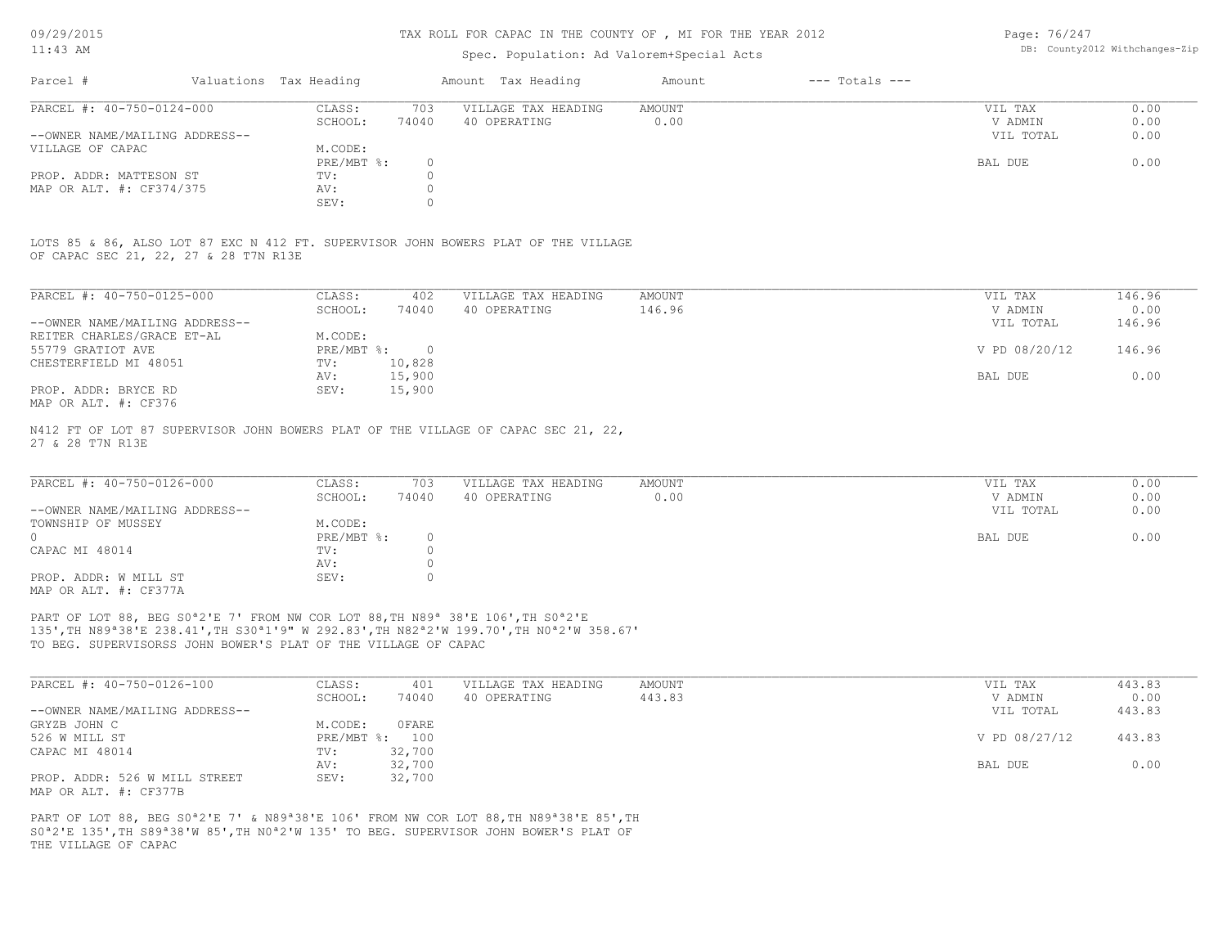#### TAX ROLL FOR CAPAC IN THE COUNTY OF , MI FOR THE YEAR 2012

# Spec. Population: Ad Valorem+Special Acts

Page: 76/247 DB: County2012 Withchanges-Zip

| Parcel #         |                                | Valuations Tax Heading |       | Amount Tax Heading  | Amount | $---$ Totals $---$ |           |      |
|------------------|--------------------------------|------------------------|-------|---------------------|--------|--------------------|-----------|------|
|                  | PARCEL #: 40-750-0124-000      | CLASS:                 | 703   | VILLAGE TAX HEADING | AMOUNT |                    | VIL TAX   | 0.00 |
|                  |                                | SCHOOL:                | 74040 | 40 OPERATING        | 0.00   |                    | V ADMIN   | 0.00 |
|                  | --OWNER NAME/MAILING ADDRESS-- |                        |       |                     |        |                    | VIL TOTAL | 0.00 |
| VILLAGE OF CAPAC |                                | M.CODE:                |       |                     |        |                    |           |      |
|                  |                                | $PRE/MBT$ %:           |       |                     |        |                    | BAL DUE   | 0.00 |
|                  | PROP. ADDR: MATTESON ST        | TV:                    |       |                     |        |                    |           |      |
|                  | MAP OR ALT. #: CF374/375       | AV:                    |       |                     |        |                    |           |      |
|                  |                                | SEV:                   |       |                     |        |                    |           |      |

OF CAPAC SEC 21, 22, 27 & 28 T7N R13E LOTS 85 & 86, ALSO LOT 87 EXC N 412 FT. SUPERVISOR JOHN BOWERS PLAT OF THE VILLAGE

| PARCEL #: 40-750-0125-000      | CLASS:     | 402    | VILLAGE TAX HEADING | AMOUNT | 146.96<br>VIL TAX       |  |
|--------------------------------|------------|--------|---------------------|--------|-------------------------|--|
|                                | SCHOOL:    | 74040  | 40 OPERATING        | 146.96 | 0.00<br>V ADMIN         |  |
| --OWNER NAME/MAILING ADDRESS-- |            |        |                     |        | 146.96<br>VIL TOTAL     |  |
| REITER CHARLES/GRACE ET-AL     | M.CODE:    |        |                     |        |                         |  |
| 55779 GRATIOT AVE              | PRE/MBT %: |        |                     |        | V PD 08/20/12<br>146.96 |  |
| CHESTERFIELD MI 48051          | TV:        | 10,828 |                     |        |                         |  |
|                                | AV:        | 15,900 |                     |        | 0.00<br>BAL DUE         |  |
| PROP. ADDR: BRYCE RD           | SEV:       | 15,900 |                     |        |                         |  |
| MAP OR ALT. #: CF376           |            |        |                     |        |                         |  |

27 & 28 T7N R13E N412 FT OF LOT 87 SUPERVISOR JOHN BOWERS PLAT OF THE VILLAGE OF CAPAC SEC 21, 22,

| PARCEL #: 40-750-0126-000      | CLASS:       | 703   | VILLAGE TAX HEADING | AMOUNT | VIL TAX   | 0.00 |
|--------------------------------|--------------|-------|---------------------|--------|-----------|------|
|                                | SCHOOL:      | 74040 | 40 OPERATING        | 0.00   | V ADMIN   | 0.00 |
| --OWNER NAME/MAILING ADDRESS-- |              |       |                     |        | VIL TOTAL | 0.00 |
| TOWNSHIP OF MUSSEY             | M.CODE:      |       |                     |        |           |      |
| $\Omega$                       | $PRE/MBT$ %: |       |                     |        | BAL DUE   | 0.00 |
| CAPAC MI 48014                 | TV:          |       |                     |        |           |      |
|                                | AV:          |       |                     |        |           |      |
| PROP. ADDR: W MILL ST          | SEV:         |       |                     |        |           |      |
| MAP OR ALT. #: CF377A          |              |       |                     |        |           |      |

TO BEG. SUPERVISORSS JOHN BOWER'S PLAT OF THE VILLAGE OF CAPAC 135',TH N89ª38'E 238.41',TH S30ª1'9" W 292.83',TH N82ª2'W 199.70',TH N0ª2'W 358.67' PART OF LOT 88, BEG S0<sup>ª2'E</sup> 7' FROM NW COR LOT 88, TH N89<sup>ª</sup> 38'E 106', TH S0<sup>ª2'E</sup>

| PARCEL #: 40-750-0126-100      | CLASS:  | 401            | VILLAGE TAX HEADING | AMOUNT | VIL TAX       | 443.83 |
|--------------------------------|---------|----------------|---------------------|--------|---------------|--------|
|                                | SCHOOL: | 74040          | 40 OPERATING        | 443.83 | V ADMIN       | 0.00   |
| --OWNER NAME/MAILING ADDRESS-- |         |                |                     |        | VIL TOTAL     | 443.83 |
| GRYZB JOHN C                   | M.CODE: | 0 FARE         |                     |        |               |        |
| 526 W MILL ST                  |         | PRE/MBT %: 100 |                     |        | V PD 08/27/12 | 443.83 |
| CAPAC MI 48014                 | TV:     | 32,700         |                     |        |               |        |
|                                | AV:     | 32,700         |                     |        | BAL DUE       | 0.00   |
| PROP. ADDR: 526 W MILL STREET  | SEV:    | 32,700         |                     |        |               |        |
| MAP OR ALT. #: CF377B          |         |                |                     |        |               |        |

THE VILLAGE OF CAPAC S0ª2'E 135',TH S89ª38'W 85',TH N0ª2'W 135' TO BEG. SUPERVISOR JOHN BOWER'S PLAT OF PART OF LOT 88, BEG S0ª2'E 7' & N89ª38'E 106' FROM NW COR LOT 88,TH N89ª38'E 85',TH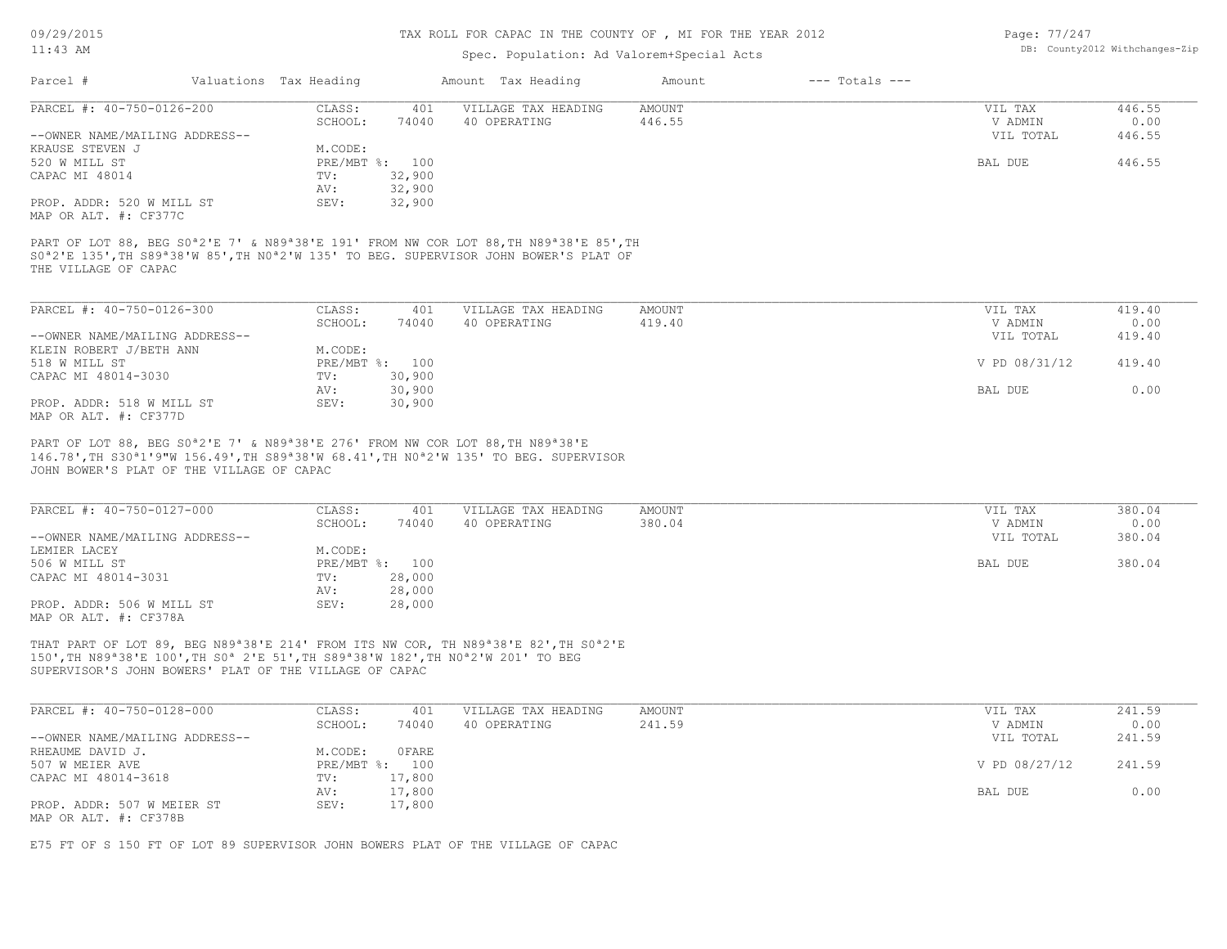#### TAX ROLL FOR CAPAC IN THE COUNTY OF , MI FOR THE YEAR 2012

# Spec. Population: Ad Valorem+Special Acts

| Page: 77/247 |                                |
|--------------|--------------------------------|
|              | DB: County2012 Withchanges-Zip |

|                                                    |                        |                  | Spec. ropulation. Au valuiem special Acts                                                                                   |                         |                    |                    |                |
|----------------------------------------------------|------------------------|------------------|-----------------------------------------------------------------------------------------------------------------------------|-------------------------|--------------------|--------------------|----------------|
| Parcel #                                           | Valuations Tax Heading |                  | Amount Tax Heading                                                                                                          | Amount                  | $---$ Totals $---$ |                    |                |
| PARCEL #: 40-750-0126-200                          | CLASS:<br>SCHOOL:      | 401<br>74040     | VILLAGE TAX HEADING<br>40 OPERATING                                                                                         | <b>AMOUNT</b><br>446.55 |                    | VIL TAX<br>V ADMIN | 446.55<br>0.00 |
| --OWNER NAME/MAILING ADDRESS--                     |                        |                  |                                                                                                                             |                         |                    | VIL TOTAL          | 446.55         |
| KRAUSE STEVEN J                                    | M.CODE:                |                  |                                                                                                                             |                         |                    |                    |                |
| 520 W MILL ST                                      |                        | PRE/MBT %: 100   |                                                                                                                             |                         |                    | BAL DUE            | 446.55         |
| CAPAC MI 48014                                     | TV:                    | 32,900           |                                                                                                                             |                         |                    |                    |                |
|                                                    | AV:                    | 32,900           |                                                                                                                             |                         |                    |                    |                |
| PROP. ADDR: 520 W MILL ST<br>MAP OR ALT. #: CF377C | SEV:                   | 32,900           |                                                                                                                             |                         |                    |                    |                |
| THE VILLAGE OF CAPAC                               |                        |                  | S0 <sup>a</sup> 2'E 135', TH S89 <sup>a</sup> 38'W 85', TH N0 <sup>a</sup> 2'W 135' TO BEG. SUPERVISOR JOHN BOWER'S PLAT OF |                         |                    |                    |                |
| PARCEL #: 40-750-0126-300                          | CLASS:                 | 401              | VILLAGE TAX HEADING                                                                                                         | AMOUNT                  |                    | VIL TAX            | 419.40         |
|                                                    | SCHOOL:                | 74040            | 40 OPERATING                                                                                                                | 419.40                  |                    | V ADMIN            | 0.00           |
| --OWNER NAME/MAILING ADDRESS--                     |                        |                  |                                                                                                                             |                         |                    | VIL TOTAL          | 419.40         |
| KLEIN ROBERT J/BETH ANN                            | M.CODE:                |                  |                                                                                                                             |                         |                    |                    |                |
| 518 W MILL ST                                      |                        | PRE/MBT %: 100   |                                                                                                                             |                         |                    | V PD 08/31/12      | 419.40         |
| CAPAC MI 48014-3030                                | TV:                    | 30,900           |                                                                                                                             |                         |                    |                    |                |
| PROP. ADDR: 518 W MILL ST                          | AV:<br>SEV:            | 30,900<br>30,900 |                                                                                                                             |                         |                    | BAL DUE            | 0.00           |
| MAP OR ALT. #: CF377D                              |                        |                  |                                                                                                                             |                         |                    |                    |                |
|                                                    |                        |                  | PART OF LOT 88, BEG S0 <sup>a</sup> 2'E 7' & N89 <sup>a</sup> 38'E 276' FROM NW COR LOT 88, TH N89 <sup>a</sup> 38'E        |                         |                    |                    |                |
|                                                    |                        |                  | 146.78', TH S30 <sup>a</sup> 1'9"W 156.49', TH S89 <sup>a</sup> 38'W 68.41', TH N0 <sup>a</sup> 2'W 135' TO BEG. SUPERVISOR |                         |                    |                    |                |
| JOHN BOWER'S PLAT OF THE VILLAGE OF CAPAC          |                        |                  |                                                                                                                             |                         |                    |                    |                |
| PARCEL #: 40-750-0127-000                          | CLASS:                 | 401              | VILLAGE TAX HEADING                                                                                                         | AMOUNT                  |                    | VIL TAX            | 380.04         |
|                                                    | SCHOOL:                | 74040            | 40 OPERATING                                                                                                                | 380.04                  |                    | V ADMIN            | 0.00           |
| --OWNER NAME/MAILING ADDRESS--                     |                        |                  |                                                                                                                             |                         |                    | VIL TOTAL          | 380.04         |

MAP OR ALT. #: CF378A PROP. ADDR: 506 W MILL ST SEV: 28,000 AV: 28,000 CAPAC MI 48014-3031 TV: 28,000 506 W MILL ST PRE/MBT %: 100 BAL DUE 380.04 LEMIER LACEY M.CODE:

SUPERVISOR'S JOHN BOWERS' PLAT OF THE VILLAGE OF CAPAC 150',TH N89ª38'E 100',TH S0ª 2'E 51',TH S89ª38'W 182',TH N0ª2'W 201' TO BEG THAT PART OF LOT 89, BEG N89ª38'E 214' FROM ITS NW COR, TH N89ª38'E 82',TH S0ª2'E

| PARCEL #: 40-750-0128-000      | CLASS:     | 401    | VILLAGE TAX HEADING | AMOUNT | VIL TAX       | 241.59 |
|--------------------------------|------------|--------|---------------------|--------|---------------|--------|
|                                | SCHOOL:    | 74040  | 40 OPERATING        | 241.59 | V ADMIN       | 0.00   |
| --OWNER NAME/MAILING ADDRESS-- |            |        |                     |        | VIL TOTAL     | 241.59 |
| RHEAUME DAVID J.               | M.CODE:    | OFARE  |                     |        |               |        |
| 507 W MEIER AVE                | PRE/MBT %: | 100    |                     |        | V PD 08/27/12 | 241.59 |
| CAPAC MI 48014-3618            | TV:        | 17,800 |                     |        |               |        |
|                                | AV:        | 17,800 |                     |        | BAL DUE       | 0.00   |
| PROP. ADDR: 507 W MEIER ST     | SEV:       | 17,800 |                     |        |               |        |
| MAP OR ALT. #: CF378B          |            |        |                     |        |               |        |

 $\mathcal{L}_\mathcal{L} = \mathcal{L}_\mathcal{L} = \mathcal{L}_\mathcal{L} = \mathcal{L}_\mathcal{L} = \mathcal{L}_\mathcal{L} = \mathcal{L}_\mathcal{L} = \mathcal{L}_\mathcal{L} = \mathcal{L}_\mathcal{L} = \mathcal{L}_\mathcal{L} = \mathcal{L}_\mathcal{L} = \mathcal{L}_\mathcal{L} = \mathcal{L}_\mathcal{L} = \mathcal{L}_\mathcal{L} = \mathcal{L}_\mathcal{L} = \mathcal{L}_\mathcal{L} = \mathcal{L}_\mathcal{L} = \mathcal{L}_\mathcal{L}$ 

E75 FT OF S 150 FT OF LOT 89 SUPERVISOR JOHN BOWERS PLAT OF THE VILLAGE OF CAPAC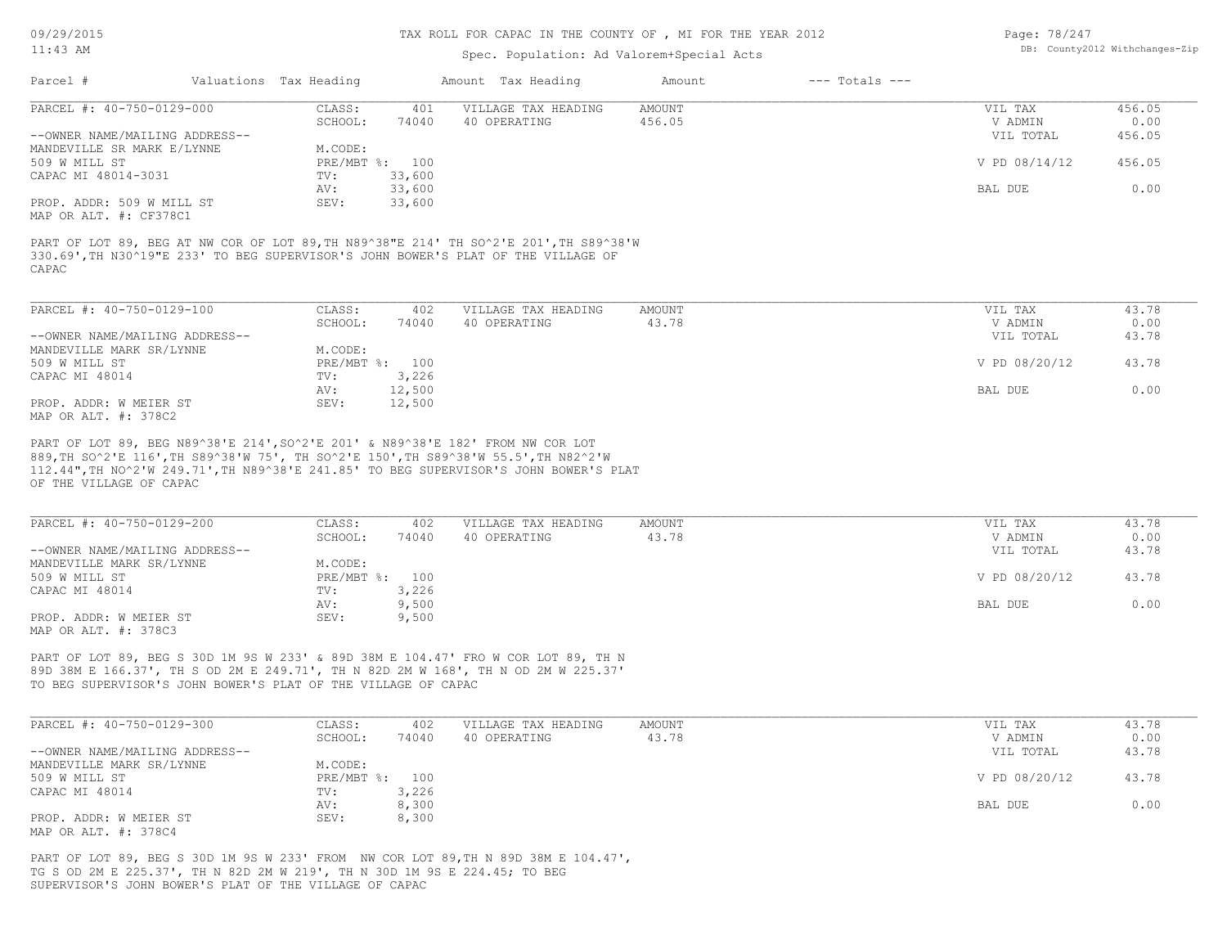#### TAX ROLL FOR CAPAC IN THE COUNTY OF , MI FOR THE YEAR 2012

# Spec. Population: Ad Valorem+Special Acts

| Page: 78/247 |                                |
|--------------|--------------------------------|
|              | DB: County2012 Withchanges-Zip |

| Parcel #                       | Valuations Tax Heading |        | Amount Tax Heading  | Amount | $---$ Totals $---$ |               |        |
|--------------------------------|------------------------|--------|---------------------|--------|--------------------|---------------|--------|
| PARCEL #: 40-750-0129-000      | CLASS:                 | 401    | VILLAGE TAX HEADING | AMOUNT |                    | VIL TAX       | 456.05 |
|                                | SCHOOL:                | 74040  | 40 OPERATING        | 456.05 |                    | V ADMIN       | 0.00   |
| --OWNER NAME/MAILING ADDRESS-- |                        |        |                     |        |                    | VIL TOTAL     | 456.05 |
| MANDEVILLE SR MARK E/LYNNE     | M.CODE:                |        |                     |        |                    |               |        |
| 509 W MILL ST                  | PRE/MBT %: 100         |        |                     |        |                    | V PD 08/14/12 | 456.05 |
| CAPAC MI 48014-3031            | TV:                    | 33,600 |                     |        |                    |               |        |
|                                | AV:                    | 33,600 |                     |        |                    | BAL DUE       | 0.00   |
| PROP. ADDR: 509 W MILL ST      | SEV:                   | 33,600 |                     |        |                    |               |        |
| MAP OR ALT. #: CF378C1         |                        |        |                     |        |                    |               |        |

CAPAC 330.69',TH N30^19"E 233' TO BEG SUPERVISOR'S JOHN BOWER'S PLAT OF THE VILLAGE OF PART OF LOT 89, BEG AT NW COR OF LOT 89,TH N89^38"E 214' TH SO^2'E 201',TH S89^38'W

| PARCEL #: 40-750-0129-100      | CLASS:  | 402            | VILLAGE TAX HEADING | AMOUNT | VIL TAX       | 43.78 |
|--------------------------------|---------|----------------|---------------------|--------|---------------|-------|
|                                | SCHOOL: | 74040          | 40 OPERATING        | 43.78  | V ADMIN       | 0.00  |
| --OWNER NAME/MAILING ADDRESS-- |         |                |                     |        | VIL TOTAL     | 43.78 |
| MANDEVILLE MARK SR/LYNNE       | M.CODE: |                |                     |        |               |       |
| 509 W MILL ST                  |         | PRE/MBT %: 100 |                     |        | V PD 08/20/12 | 43.78 |
| CAPAC MI 48014                 | TV:     | 3,226          |                     |        |               |       |
|                                | AV:     | 12,500         |                     |        | BAL DUE       | 0.00  |
| PROP. ADDR: W MEIER ST         | SEV:    | 12,500         |                     |        |               |       |
| MAP OR ALT. #: 378C2           |         |                |                     |        |               |       |

OF THE VILLAGE OF CAPAC 112.44",TH NO^2'W 249.71',TH N89^38'E 241.85' TO BEG SUPERVISOR'S JOHN BOWER'S PLAT 889,TH SO^2'E 116',TH S89^38'W 75', TH SO^2'E 150',TH S89^38'W 55.5',TH N82^2'W PART OF LOT 89, BEG N89^38'E 214',SO^2'E 201' & N89^38'E 182' FROM NW COR LOT

| PARCEL #: 40-750-0129-200      | CLASS:         | 402   | VILLAGE TAX HEADING | AMOUNT | VIL TAX       | 43.78 |
|--------------------------------|----------------|-------|---------------------|--------|---------------|-------|
|                                | SCHOOL:        | 74040 | 40 OPERATING        | 43.78  | V ADMIN       | 0.00  |
| --OWNER NAME/MAILING ADDRESS-- |                |       |                     |        | VIL TOTAL     | 43.78 |
| MANDEVILLE MARK SR/LYNNE       | M.CODE:        |       |                     |        |               |       |
| 509 W MILL ST                  | PRE/MBT %: 100 |       |                     |        | V PD 08/20/12 | 43.78 |
| CAPAC MI 48014                 | TV:            | 3,226 |                     |        |               |       |
|                                | AV:            | 9,500 |                     |        | BAL DUE       | 0.00  |
| PROP. ADDR: W MEIER ST         | SEV:           | 9,500 |                     |        |               |       |
| MAP OR ALT. #: 378C3           |                |       |                     |        |               |       |

TO BEG SUPERVISOR'S JOHN BOWER'S PLAT OF THE VILLAGE OF CAPAC 89D 38M E 166.37', TH S OD 2M E 249.71', TH N 82D 2M W 168', TH N OD 2M W 225.37' PART OF LOT 89, BEG S 30D 1M 9S W 233' & 89D 38M E 104.47' FRO W COR LOT 89, TH N

| PARCEL #: 40-750-0129-300      | CLASS:         | 402   | VILLAGE TAX HEADING | AMOUNT | VIL TAX       | 43.78 |
|--------------------------------|----------------|-------|---------------------|--------|---------------|-------|
|                                | SCHOOL:        | 74040 | 40 OPERATING        | 43.78  | V ADMIN       | 0.00  |
| --OWNER NAME/MAILING ADDRESS-- |                |       |                     |        | VIL TOTAL     | 43.78 |
| MANDEVILLE MARK SR/LYNNE       | M.CODE:        |       |                     |        |               |       |
| 509 W MILL ST                  | PRE/MBT %: 100 |       |                     |        | V PD 08/20/12 | 43.78 |
| CAPAC MI 48014                 | TV:            | 3,226 |                     |        |               |       |
|                                | AV:            | 8,300 |                     |        | BAL DUE       | 0.00  |
| PROP. ADDR: W MEIER ST         | SEV:           | 8,300 |                     |        |               |       |
| MAP OR ALT. #: 378C4           |                |       |                     |        |               |       |

SUPERVISOR'S JOHN BOWER'S PLAT OF THE VILLAGE OF CAPAC TG S OD 2M E 225.37', TH N 82D 2M W 219', TH N 30D 1M 9S E 224.45; TO BEG PART OF LOT 89, BEG S 30D 1M 9S W 233' FROM NW COR LOT 89,TH N 89D 38M E 104.47',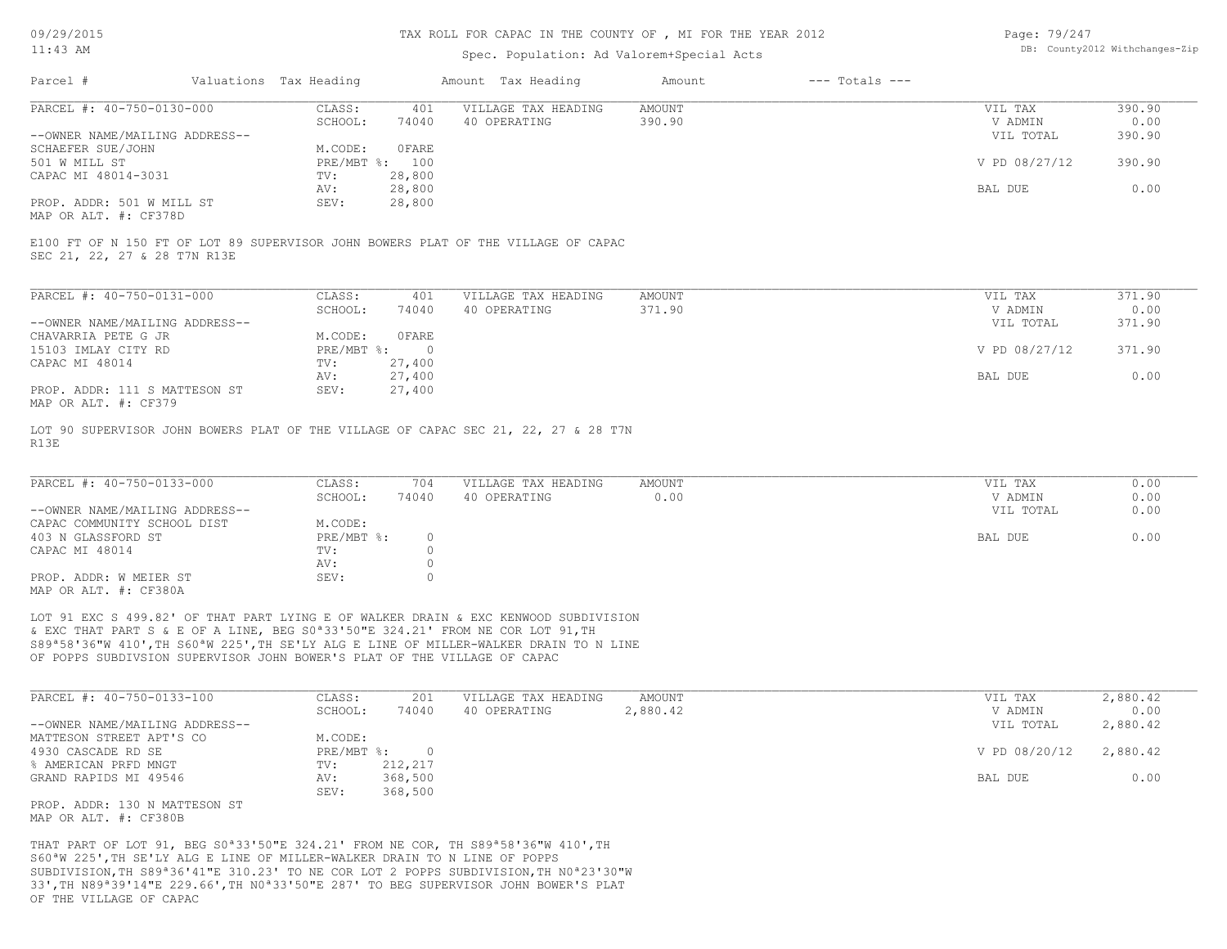#### TAX ROLL FOR CAPAC IN THE COUNTY OF , MI FOR THE YEAR 2012

# Spec. Population: Ad Valorem+Special Acts

| Page: 79/247 |                                |
|--------------|--------------------------------|
|              | DB: County2012 Withchanges-Zip |

| Parcel #                       | Valuations Tax Heading |        | Amount Tax Heading  | Amount | $---$ Totals $---$ |               |        |
|--------------------------------|------------------------|--------|---------------------|--------|--------------------|---------------|--------|
| PARCEL #: 40-750-0130-000      | CLASS:                 | 401    | VILLAGE TAX HEADING | AMOUNT |                    | VIL TAX       | 390.90 |
|                                | SCHOOL:                | 74040  | 40 OPERATING        | 390.90 |                    | V ADMIN       | 0.00   |
| --OWNER NAME/MAILING ADDRESS-- |                        |        |                     |        |                    | VIL TOTAL     | 390.90 |
| SCHAEFER SUE/JOHN              | M.CODE:                | OFARE  |                     |        |                    |               |        |
| 501 W MILL ST                  | PRE/MBT %: 100         |        |                     |        |                    | V PD 08/27/12 | 390.90 |
| CAPAC MI 48014-3031            | TV:                    | 28,800 |                     |        |                    |               |        |
|                                | AV:                    | 28,800 |                     |        |                    | BAL DUE       | 0.00   |
| PROP. ADDR: 501 W MILL ST      | SEV:                   | 28,800 |                     |        |                    |               |        |
|                                |                        |        |                     |        |                    |               |        |

MAP OR ALT. #: CF378D

SEC 21, 22, 27 & 28 T7N R13E E100 FT OF N 150 FT OF LOT 89 SUPERVISOR JOHN BOWERS PLAT OF THE VILLAGE OF CAPAC

| PARCEL #: 40-750-0131-000      | CLASS:     | 401      | VILLAGE TAX HEADING | AMOUNT | VIL TAX       | 371.90 |
|--------------------------------|------------|----------|---------------------|--------|---------------|--------|
|                                | SCHOOL:    | 74040    | 40 OPERATING        | 371.90 | V ADMIN       | 0.00   |
| --OWNER NAME/MAILING ADDRESS-- |            |          |                     |        | VIL TOTAL     | 371.90 |
| CHAVARRIA PETE G JR            | M.CODE:    | OFARE    |                     |        |               |        |
| 15103 IMLAY CITY RD            | PRE/MBT %: | $\Omega$ |                     |        | V PD 08/27/12 | 371.90 |
| CAPAC MI 48014                 | TV:        | 27,400   |                     |        |               |        |
|                                | AV:        | 27,400   |                     |        | BAL DUE       | 0.00   |
| PROP. ADDR: 111 S MATTESON ST  | SEV:       | 27,400   |                     |        |               |        |
| MAP OR ALT. #: CF379           |            |          |                     |        |               |        |

R13E LOT 90 SUPERVISOR JOHN BOWERS PLAT OF THE VILLAGE OF CAPAC SEC 21, 22, 27 & 28 T7N

| PARCEL #: 40-750-0133-000      | CLASS:       | 704   | VILLAGE TAX HEADING | AMOUNT | VIL TAX   | 0.00 |
|--------------------------------|--------------|-------|---------------------|--------|-----------|------|
|                                | SCHOOL:      | 74040 | 40 OPERATING        | 0.00   | V ADMIN   | 0.00 |
| --OWNER NAME/MAILING ADDRESS-- |              |       |                     |        | VIL TOTAL | 0.00 |
| CAPAC COMMUNITY SCHOOL DIST    | M.CODE:      |       |                     |        |           |      |
| 403 N GLASSFORD ST             | $PRE/MBT$ %: |       |                     |        | BAL DUE   | 0.00 |
| CAPAC MI 48014                 | TV:          |       |                     |        |           |      |
|                                | AV:          |       |                     |        |           |      |
| PROP. ADDR: W MEIER ST         | SEV:         |       |                     |        |           |      |
| MAP OR ALT. #: CF380A          |              |       |                     |        |           |      |

OF POPPS SUBDIVSION SUPERVISOR JOHN BOWER'S PLAT OF THE VILLAGE OF CAPAC S89ª58'36"W 410',TH S60ªW 225',TH SE'LY ALG E LINE OF MILLER-WALKER DRAIN TO N LINE & EXC THAT PART S & E OF A LINE, BEG S0ª33'50"E 324.21' FROM NE COR LOT 91,TH LOT 91 EXC S 499.82' OF THAT PART LYING E OF WALKER DRAIN & EXC KENWOOD SUBDIVISION

| PARCEL #: 40-750-0133-100      | CLASS:     | 201     | VILLAGE TAX HEADING | AMOUNT   | VIL TAX       | 2,880.42 |
|--------------------------------|------------|---------|---------------------|----------|---------------|----------|
|                                | SCHOOL:    | 74040   | 40 OPERATING        | 2,880.42 | V ADMIN       | 0.00     |
| --OWNER NAME/MAILING ADDRESS-- |            |         |                     |          | VIL TOTAL     | 2,880.42 |
| MATTESON STREET APT'S CO       | M.CODE:    |         |                     |          |               |          |
| 4930 CASCADE RD SE             | PRE/MBT %: |         |                     |          | V PD 08/20/12 | 2,880.42 |
| % AMERICAN PRFD MNGT           | TV:        | 212,217 |                     |          |               |          |
| GRAND RAPIDS MI 49546          | AV:        | 368,500 |                     |          | BAL DUE       | 0.00     |
|                                | SEV:       | 368,500 |                     |          |               |          |
| PROP. ADDR: 130 N MATTESON ST  |            |         |                     |          |               |          |

MAP OR ALT. #: CF380B

OF THE VILLAGE OF CAPAC 33',TH N89ª39'14"E 229.66',TH N0ª33'50"E 287' TO BEG SUPERVISOR JOHN BOWER'S PLAT SUBDIVISION,TH S89ª36'41"E 310.23' TO NE COR LOT 2 POPPS SUBDIVISION,TH N0ª23'30"W S60ªW 225',TH SE'LY ALG E LINE OF MILLER-WALKER DRAIN TO N LINE OF POPPS THAT PART OF LOT 91, BEG S0ª33'50"E 324.21' FROM NE COR, TH S89ª58'36"W 410',TH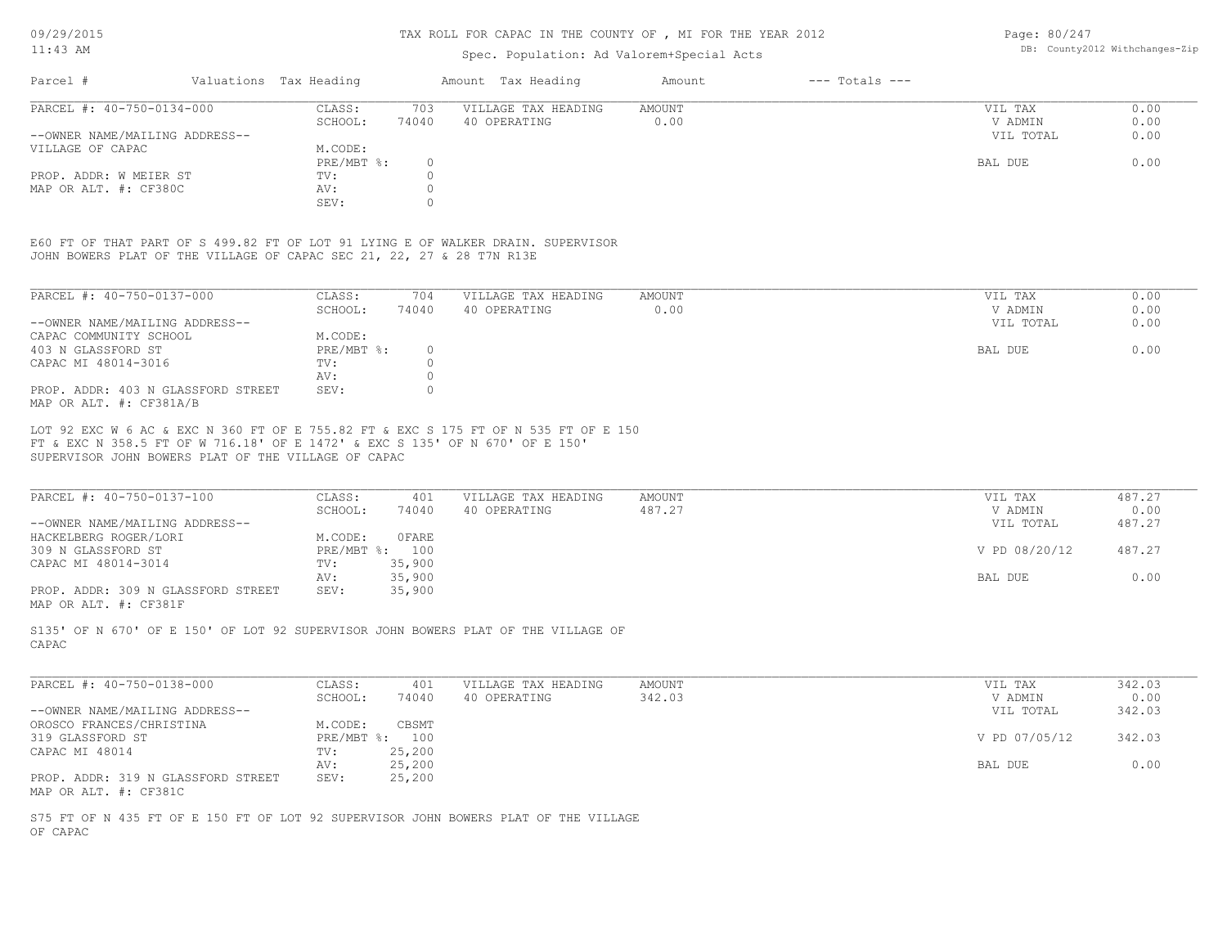#### TAX ROLL FOR CAPAC IN THE COUNTY OF , MI FOR THE YEAR 2012

# Spec. Population: Ad Valorem+Special Acts

Page: 80/247 DB: County2012 Withchanges-Zip

| Parcel #                       | Valuations Tax Heading |       | Amount Tax Heading  | Amount | $---$ Totals $---$ |           |      |
|--------------------------------|------------------------|-------|---------------------|--------|--------------------|-----------|------|
| PARCEL #: 40-750-0134-000      | CLASS:                 | 703   | VILLAGE TAX HEADING | AMOUNT |                    | VIL TAX   | 0.00 |
|                                | SCHOOL:                | 74040 | 40 OPERATING        | 0.00   |                    | V ADMIN   | 0.00 |
| --OWNER NAME/MAILING ADDRESS-- |                        |       |                     |        |                    | VIL TOTAL | 0.00 |
| VILLAGE OF CAPAC               | M.CODE:                |       |                     |        |                    |           |      |
|                                | $PRE/MBT$ %:           |       |                     |        |                    | BAL DUE   | 0.00 |
| PROP. ADDR: W MEIER ST         | TV:                    |       |                     |        |                    |           |      |
| MAP OR ALT. #: CF380C          | AV:                    |       |                     |        |                    |           |      |
|                                | SEV:                   |       |                     |        |                    |           |      |

JOHN BOWERS PLAT OF THE VILLAGE OF CAPAC SEC 21, 22, 27 & 28 T7N R13E E60 FT OF THAT PART OF S 499.82 FT OF LOT 91 LYING E OF WALKER DRAIN. SUPERVISOR

| PARCEL #: 40-750-0137-000                                     | CLASS:     | 704   | VILLAGE TAX HEADING | AMOUNT | 0.00<br>VIL TAX   |
|---------------------------------------------------------------|------------|-------|---------------------|--------|-------------------|
|                                                               | SCHOOL:    | 74040 | 40 OPERATING        | 0.00   | 0.00<br>V ADMIN   |
| --OWNER NAME/MAILING ADDRESS--                                |            |       |                     |        | 0.00<br>VIL TOTAL |
| CAPAC COMMUNITY SCHOOL                                        | M.CODE:    |       |                     |        |                   |
| 403 N GLASSFORD ST                                            | PRE/MBT %: |       |                     |        | 0.00<br>BAL DUE   |
| CAPAC MI 48014-3016                                           | TV:        |       |                     |        |                   |
|                                                               | AV:        |       |                     |        |                   |
| PROP. ADDR: 403 N GLASSFORD STREET<br>MAP OR ALT. #: CF381A/B | SEV:       |       |                     |        |                   |

SUPERVISOR JOHN BOWERS PLAT OF THE VILLAGE OF CAPAC FT & EXC N 358.5 FT OF W 716.18' OF E 1472' & EXC S 135' OF N 670' OF E 150' LOT 92 EXC W 6 AC & EXC N 360 FT OF E 755.82 FT & EXC S 175 FT OF N 535 FT OF E 150

| PARCEL #: 40-750-0137-100          | CLASS:  | 401            | VILLAGE TAX HEADING | AMOUNT | VIL TAX       | 487.27 |
|------------------------------------|---------|----------------|---------------------|--------|---------------|--------|
|                                    | SCHOOL: | 74040          | 40 OPERATING        | 487.27 | V ADMIN       | 0.00   |
| --OWNER NAME/MAILING ADDRESS--     |         |                |                     |        | VIL TOTAL     | 487.27 |
| HACKELBERG ROGER/LORI              | M.CODE: | 0FARE          |                     |        |               |        |
| 309 N GLASSFORD ST                 |         | PRE/MBT %: 100 |                     |        | V PD 08/20/12 | 487.27 |
| CAPAC MI 48014-3014                | TV:     | 35,900         |                     |        |               |        |
|                                    | AV:     | 35,900         |                     |        | BAL DUE       | 0.00   |
| PROP. ADDR: 309 N GLASSFORD STREET | SEV:    | 35,900         |                     |        |               |        |
| MAP OR ALT. #: CF381F              |         |                |                     |        |               |        |

CAPAC S135' OF N 670' OF E 150' OF LOT 92 SUPERVISOR JOHN BOWERS PLAT OF THE VILLAGE OF

| PARCEL #: 40-750-0138-000          | CLASS:     | 401    | VILLAGE TAX HEADING | AMOUNT | VIL TAX       | 342.03 |
|------------------------------------|------------|--------|---------------------|--------|---------------|--------|
|                                    | SCHOOL:    | 74040  | 40 OPERATING        | 342.03 | V ADMIN       | 0.00   |
| --OWNER NAME/MAILING ADDRESS--     |            |        |                     |        | VIL TOTAL     | 342.03 |
| OROSCO FRANCES/CHRISTINA           | M.CODE:    | CBSMT  |                     |        |               |        |
| 319 GLASSFORD ST                   | PRE/MBT %: | 100    |                     |        | V PD 07/05/12 | 342.03 |
| CAPAC MI 48014                     | TV:        | 25,200 |                     |        |               |        |
|                                    | AV:        | 25,200 |                     |        | BAL DUE       | 0.00   |
| PROP. ADDR: 319 N GLASSFORD STREET | SEV:       | 25,200 |                     |        |               |        |
| MAP OR ALT. #: CF381C              |            |        |                     |        |               |        |

OF CAPAC S75 FT OF N 435 FT OF E 150 FT OF LOT 92 SUPERVISOR JOHN BOWERS PLAT OF THE VILLAGE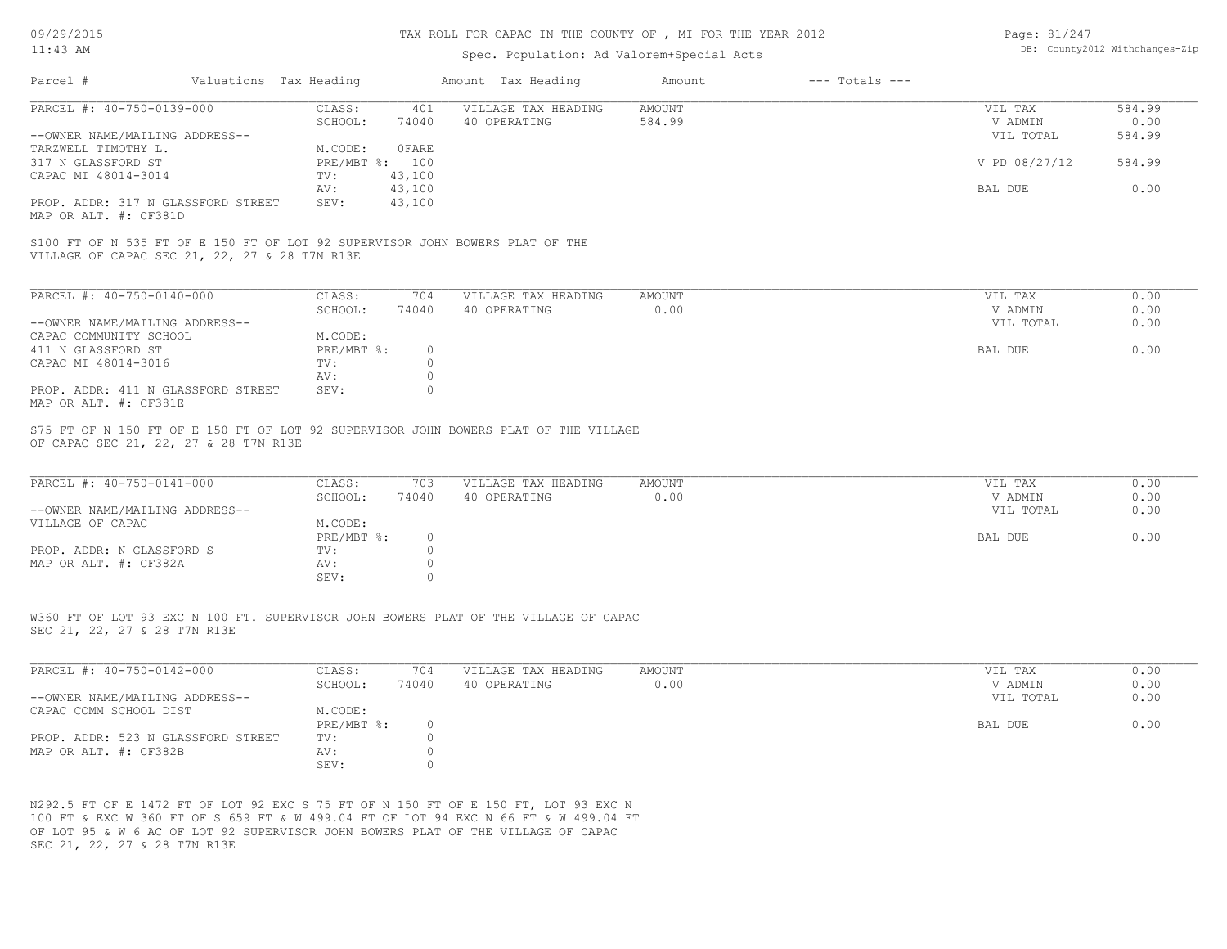# 11:43 AM

#### TAX ROLL FOR CAPAC IN THE COUNTY OF , MI FOR THE YEAR 2012

# Spec. Population: Ad Valorem+Special Acts

| Page: 81/247 |                                |
|--------------|--------------------------------|
|              | DB: County2012 Withchanges-Zip |

| Parcel #                                                    | Valuations Tax Heading |                | Amount Tax Heading  | Amount | $---$ Totals $---$ |               |        |
|-------------------------------------------------------------|------------------------|----------------|---------------------|--------|--------------------|---------------|--------|
| PARCEL #: 40-750-0139-000                                   | CLASS:                 | 401            | VILLAGE TAX HEADING | AMOUNT |                    | VIL TAX       | 584.99 |
|                                                             | SCHOOL:                | 74040          | 40 OPERATING        | 584.99 |                    | V ADMIN       | 0.00   |
| --OWNER NAME/MAILING ADDRESS--                              |                        |                |                     |        |                    | VIL TOTAL     | 584.99 |
| TARZWELL TIMOTHY L.                                         | M.CODE:                | OFARE          |                     |        |                    |               |        |
| 317 N GLASSFORD ST                                          |                        | PRE/MBT %: 100 |                     |        |                    | V PD 08/27/12 | 584.99 |
| CAPAC MI 48014-3014                                         | TV:                    | 43,100         |                     |        |                    |               |        |
|                                                             | AV:                    | 43,100         |                     |        |                    | BAL DUE       | 0.00   |
| PROP. ADDR: 317 N GLASSFORD STREET<br>MAP OR ALT. #: CF381D | SEV:                   | 43,100         |                     |        |                    |               |        |

VILLAGE OF CAPAC SEC 21, 22, 27 & 28 T7N R13E S100 FT OF N 535 FT OF E 150 FT OF LOT 92 SUPERVISOR JOHN BOWERS PLAT OF THE

| PARCEL #: 40-750-0140-000          | CLASS:     | 704   | VILLAGE TAX HEADING | AMOUNT | VIL TAX   | 0.00 |
|------------------------------------|------------|-------|---------------------|--------|-----------|------|
|                                    | SCHOOL:    | 74040 | 40 OPERATING        | 0.00   | V ADMIN   | 0.00 |
| --OWNER NAME/MAILING ADDRESS--     |            |       |                     |        | VIL TOTAL | 0.00 |
| CAPAC COMMUNITY SCHOOL             | M.CODE:    |       |                     |        |           |      |
| 411 N GLASSFORD ST                 | PRE/MBT %: | 0.    |                     |        | BAL DUE   | 0.00 |
| CAPAC MI 48014-3016                | TV:        |       |                     |        |           |      |
|                                    | AV:        |       |                     |        |           |      |
| PROP. ADDR: 411 N GLASSFORD STREET | SEV:       |       |                     |        |           |      |
| MAP OR ALT. #: CF381E              |            |       |                     |        |           |      |

OF CAPAC SEC 21, 22, 27 & 28 T7N R13E S75 FT OF N 150 FT OF E 150 FT OF LOT 92 SUPERVISOR JOHN BOWERS PLAT OF THE VILLAGE

| PARCEL #: 40-750-0141-000      | CLASS:       | 703   | VILLAGE TAX HEADING | AMOUNT | VIL TAX   | 0.00 |
|--------------------------------|--------------|-------|---------------------|--------|-----------|------|
|                                | SCHOOL:      | 74040 | 40 OPERATING        | 0.00   | V ADMIN   | 0.00 |
| --OWNER NAME/MAILING ADDRESS-- |              |       |                     |        | VIL TOTAL | 0.00 |
| VILLAGE OF CAPAC               | M.CODE:      |       |                     |        |           |      |
|                                | $PRE/MBT$ %: |       |                     |        | BAL DUE   | 0.00 |
| PROP. ADDR: N GLASSFORD S      | TV:          |       |                     |        |           |      |
| MAP OR ALT. #: CF382A          | AV:          |       |                     |        |           |      |
|                                | SEV:         |       |                     |        |           |      |

SEC 21, 22, 27 & 28 T7N R13E W360 FT OF LOT 93 EXC N 100 FT. SUPERVISOR JOHN BOWERS PLAT OF THE VILLAGE OF CAPAC

| PARCEL #: 40-750-0142-000          | CLASS:     | 704   | VILLAGE TAX HEADING | AMOUNT | VIL TAX   | 0.00 |
|------------------------------------|------------|-------|---------------------|--------|-----------|------|
|                                    | SCHOOL:    | 74040 | 40 OPERATING        | 00.0   | V ADMIN   | 0.00 |
| --OWNER NAME/MAILING ADDRESS--     |            |       |                     |        | VIL TOTAL | 0.00 |
| CAPAC COMM SCHOOL DIST             | M.CODE:    |       |                     |        |           |      |
|                                    | PRE/MBT %: |       |                     |        | BAL DUE   | 0.00 |
| PROP. ADDR: 523 N GLASSFORD STREET | TV:        |       |                     |        |           |      |
| MAP OR ALT. #: CF382B              | AV:        |       |                     |        |           |      |
|                                    | SEV:       |       |                     |        |           |      |

SEC 21, 22, 27 & 28 T7N R13E OF LOT 95 & W 6 AC OF LOT 92 SUPERVISOR JOHN BOWERS PLAT OF THE VILLAGE OF CAPAC 100 FT & EXC W 360 FT OF S 659 FT & W 499.04 FT OF LOT 94 EXC N 66 FT & W 499.04 FT N292.5 FT OF E 1472 FT OF LOT 92 EXC S 75 FT OF N 150 FT OF E 150 FT, LOT 93 EXC N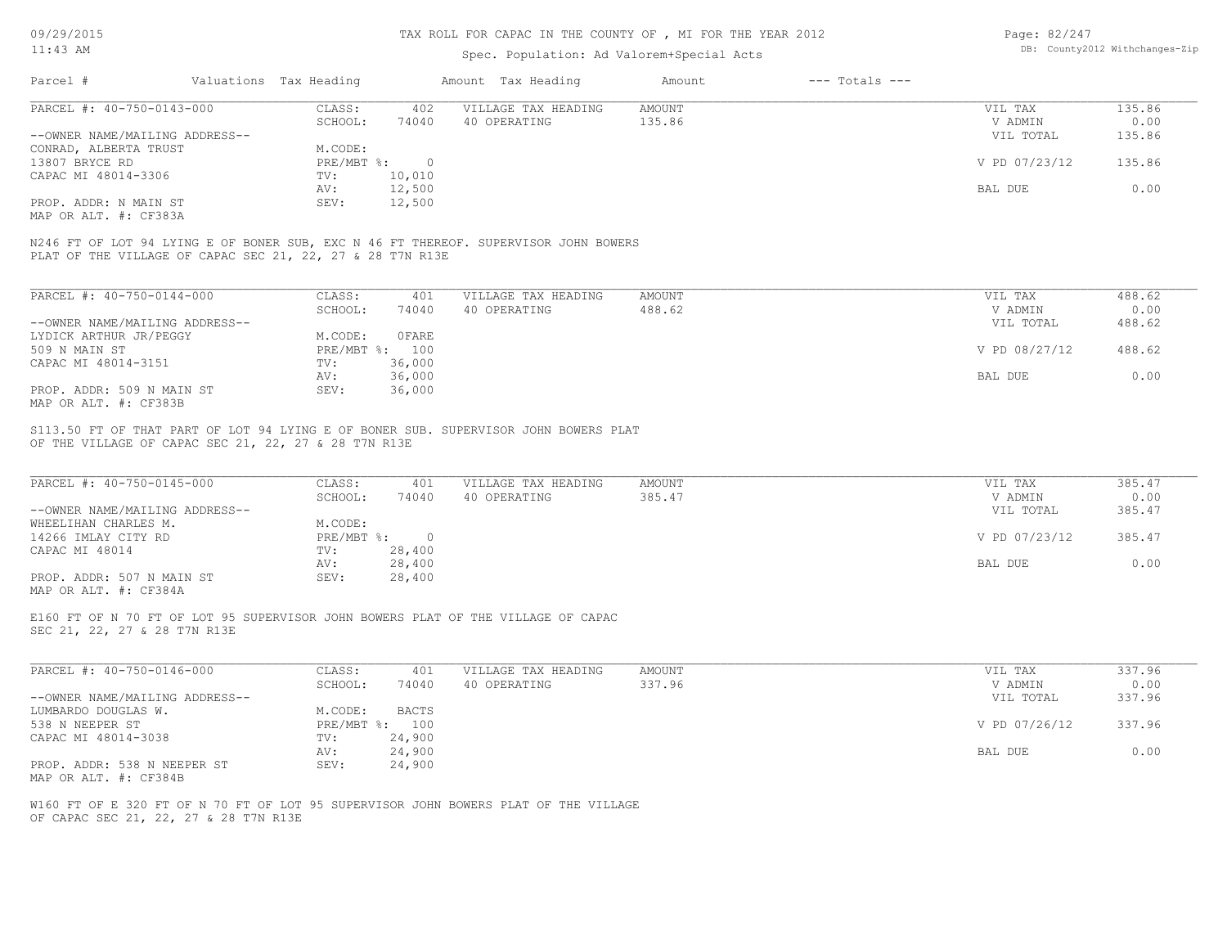| 09/29/2015                                           | TAX ROLL FOR CAPAC IN THE COUNTY OF , MI FOR THE YEAR 2012 |                        |                  |                                                                                     |               |                                | Page: 82/247  |        |  |
|------------------------------------------------------|------------------------------------------------------------|------------------------|------------------|-------------------------------------------------------------------------------------|---------------|--------------------------------|---------------|--------|--|
| $11:43$ AM                                           |                                                            |                        |                  | Spec. Population: Ad Valorem+Special Acts                                           |               | DB: County2012 Withchanges-Zip |               |        |  |
| Parcel #                                             |                                                            | Valuations Tax Heading |                  | Amount Tax Heading                                                                  | Amount        | $---$ Totals $---$             |               |        |  |
| PARCEL #: 40-750-0143-000                            |                                                            | CLASS:                 | 402              | VILLAGE TAX HEADING                                                                 | AMOUNT        |                                | VIL TAX       | 135.86 |  |
|                                                      |                                                            | SCHOOL:                | 74040            | 40 OPERATING                                                                        | 135.86        |                                | V ADMIN       | 0.00   |  |
| --OWNER NAME/MAILING ADDRESS--                       |                                                            |                        |                  |                                                                                     |               |                                | VIL TOTAL     | 135.86 |  |
| CONRAD, ALBERTA TRUST                                |                                                            | M.CODE:                |                  |                                                                                     |               |                                |               |        |  |
| 13807 BRYCE RD                                       |                                                            | PRE/MBT %:             | $\overline{0}$   |                                                                                     |               |                                | V PD 07/23/12 | 135.86 |  |
| CAPAC MI 48014-3306                                  |                                                            | TV:                    | 10,010           |                                                                                     |               |                                |               |        |  |
|                                                      |                                                            | AV:                    | 12,500           |                                                                                     |               |                                | BAL DUE       | 0.00   |  |
| PROP. ADDR: N MAIN ST<br>MAP OR ALT. #: CF383A       |                                                            | SEV:                   | 12,500           |                                                                                     |               |                                |               |        |  |
|                                                      | PLAT OF THE VILLAGE OF CAPAC SEC 21, 22, 27 & 28 T7N R13E  |                        |                  | N246 FT OF LOT 94 LYING E OF BONER SUB, EXC N 46 FT THEREOF. SUPERVISOR JOHN BOWERS |               |                                |               |        |  |
|                                                      |                                                            |                        |                  |                                                                                     |               |                                |               |        |  |
| PARCEL #: 40-750-0144-000                            |                                                            | CLASS:                 | 401              | VILLAGE TAX HEADING                                                                 | <b>AMOUNT</b> |                                | VIL TAX       | 488.62 |  |
|                                                      |                                                            | SCHOOL:                | 74040            | 40 OPERATING                                                                        | 488.62        |                                | V ADMIN       | 0.00   |  |
| --OWNER NAME/MAILING ADDRESS--                       |                                                            |                        |                  |                                                                                     |               |                                | VIL TOTAL     | 488.62 |  |
| LYDICK ARTHUR JR/PEGGY                               |                                                            | M.CODE:                | OFARE            |                                                                                     |               |                                |               |        |  |
| 509 N MAIN ST                                        |                                                            |                        | PRE/MBT %: 100   |                                                                                     |               |                                | V PD 08/27/12 | 488.62 |  |
| CAPAC MI 48014-3151                                  |                                                            | TV:                    | 36,000           |                                                                                     |               |                                |               |        |  |
|                                                      |                                                            | AV:                    | 36,000           |                                                                                     |               |                                | BAL DUE       | 0.00   |  |
| PROP. ADDR: 509 N MAIN ST<br>MAP OR ALT. #: CF383B   |                                                            | SEV:                   | 36,000           |                                                                                     |               |                                |               |        |  |
| PARCEL #: 40-750-0145-000                            |                                                            | CLASS:                 | 401              | VILLAGE TAX HEADING                                                                 | AMOUNT        |                                | VIL TAX       | 385.47 |  |
|                                                      |                                                            | SCHOOL:                | 74040            | 40 OPERATING                                                                        | 385.47        |                                | V ADMIN       | 0.00   |  |
| --OWNER NAME/MAILING ADDRESS--                       |                                                            |                        |                  |                                                                                     |               |                                | VIL TOTAL     | 385.47 |  |
| WHEELIHAN CHARLES M.                                 |                                                            | M.CODE:                |                  |                                                                                     |               |                                |               |        |  |
| 14266 IMLAY CITY RD                                  |                                                            | PRE/MBT %:             | $\overline{0}$   |                                                                                     |               |                                | V PD 07/23/12 | 385.47 |  |
| CAPAC MI 48014                                       |                                                            | TV:<br>AV:             | 28,400<br>28,400 |                                                                                     |               |                                | BAL DUE       | 0.00   |  |
| PROP. ADDR: 507 N MAIN ST                            |                                                            | SEV:                   | 28,400           |                                                                                     |               |                                |               |        |  |
| MAP OR ALT. #: CF384A                                |                                                            |                        |                  |                                                                                     |               |                                |               |        |  |
| SEC 21, 22, 27 & 28 T7N R13E                         |                                                            |                        |                  | E160 FT OF N 70 FT OF LOT 95 SUPERVISOR JOHN BOWERS PLAT OF THE VILLAGE OF CAPAC    |               |                                |               |        |  |
|                                                      |                                                            |                        |                  |                                                                                     |               |                                |               |        |  |
| PARCEL #: 40-750-0146-000                            |                                                            | CLASS:                 | 401              | VILLAGE TAX HEADING                                                                 | <b>AMOUNT</b> |                                | VIL TAX       | 337.96 |  |
|                                                      |                                                            | SCHOOL:                | 74040            | 40 OPERATING                                                                        | 337.96        |                                | V ADMIN       | 0.00   |  |
| --OWNER NAME/MAILING ADDRESS--                       |                                                            |                        |                  |                                                                                     |               |                                | VIL TOTAL     | 337.96 |  |
| LUMBARDO DOUGLAS W.                                  |                                                            | M.CODE:                | <b>BACTS</b>     |                                                                                     |               |                                |               |        |  |
| 538 N NEEPER ST                                      |                                                            |                        | PRE/MBT %: 100   |                                                                                     |               |                                | V PD 07/26/12 | 337.96 |  |
| CAPAC MI 48014-3038                                  |                                                            | TV:                    | 24,900           |                                                                                     |               |                                |               |        |  |
|                                                      |                                                            | AV:                    | 24,900           |                                                                                     |               |                                | BAL DUE       | 0.00   |  |
| PROP. ADDR: 538 N NEEPER ST<br>MAP OR ALT. #: CF384B |                                                            | SEV:                   | 24,900           |                                                                                     |               |                                |               |        |  |
|                                                      | OF CAPAC SEC 21, 22, 27 & 28 T7N R13E                      |                        |                  | W160 FT OF E 320 FT OF N 70 FT OF LOT 95 SUPERVISOR JOHN BOWERS PLAT OF THE VILLAGE |               |                                |               |        |  |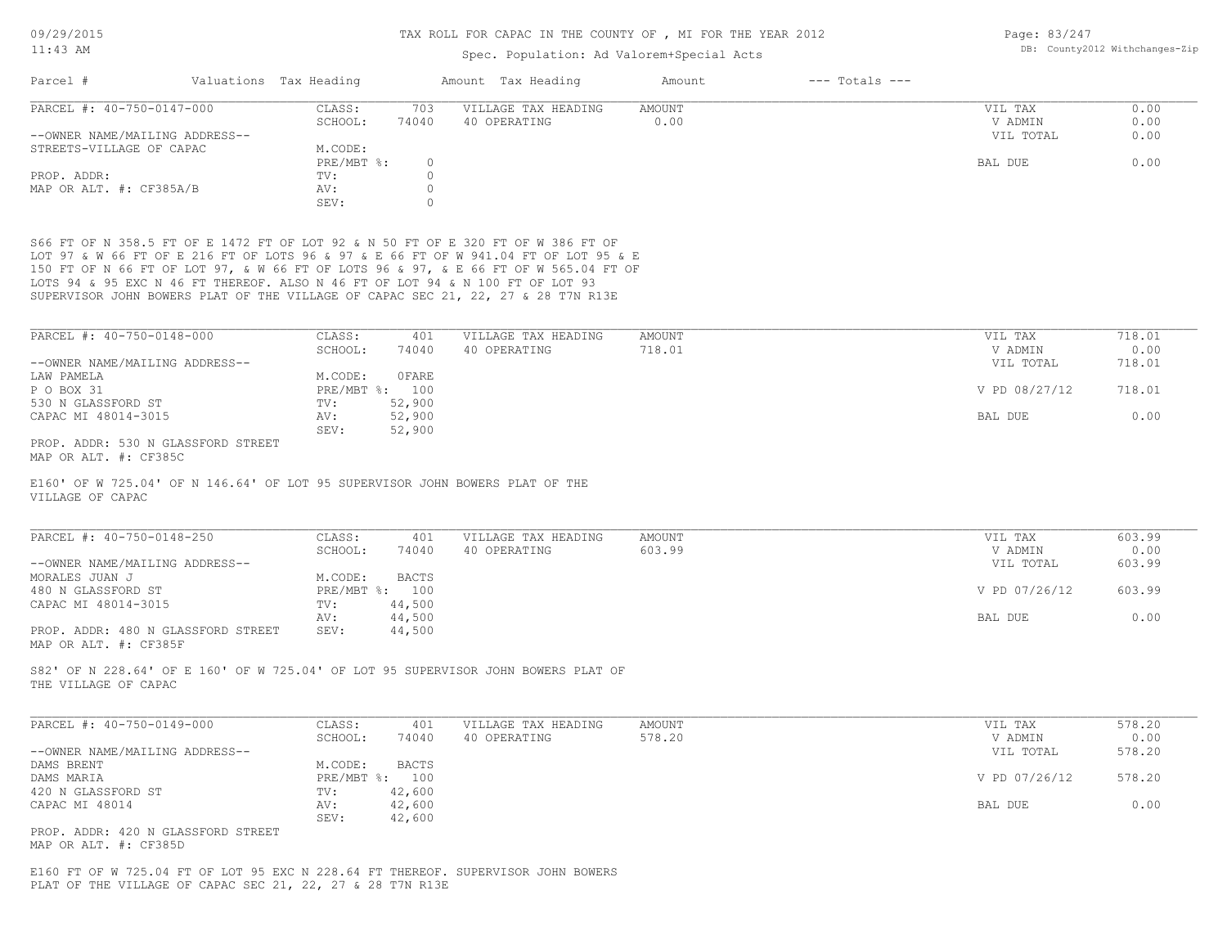| 09/29/2015<br>$11:43$ AM                                                                                                                                                                                                                                       |                        |                    | TAX ROLL FOR CAPAC IN THE COUNTY OF , MI FOR THE YEAR 2012 | Page: 83/247<br>DB: County2012 Withchanges-Zip |                    |               |        |
|----------------------------------------------------------------------------------------------------------------------------------------------------------------------------------------------------------------------------------------------------------------|------------------------|--------------------|------------------------------------------------------------|------------------------------------------------|--------------------|---------------|--------|
|                                                                                                                                                                                                                                                                |                        |                    | Spec. Population: Ad Valorem+Special Acts                  |                                                |                    |               |        |
| Parcel #                                                                                                                                                                                                                                                       | Valuations Tax Heading |                    | Amount Tax Heading                                         | Amount                                         | $---$ Totals $---$ |               |        |
| PARCEL #: 40-750-0147-000                                                                                                                                                                                                                                      | CLASS:                 | 703                | VILLAGE TAX HEADING                                        | <b>AMOUNT</b>                                  |                    | VIL TAX       | 0.00   |
|                                                                                                                                                                                                                                                                | SCHOOL:                | 74040              | 40 OPERATING                                               | 0.00                                           |                    | V ADMIN       | 0.00   |
| --OWNER NAME/MAILING ADDRESS--                                                                                                                                                                                                                                 |                        |                    |                                                            |                                                |                    | VIL TOTAL     | 0.00   |
| STREETS-VILLAGE OF CAPAC                                                                                                                                                                                                                                       | M.CODE:                |                    |                                                            |                                                |                    |               |        |
|                                                                                                                                                                                                                                                                | PRE/MBT %:             | $\Omega$           |                                                            |                                                |                    | BAL DUE       | 0.00   |
| PROP. ADDR:                                                                                                                                                                                                                                                    | TV:                    | $\Omega$           |                                                            |                                                |                    |               |        |
| MAP OR ALT. #: CF385A/B                                                                                                                                                                                                                                        | AV:<br>SEV:            | $\circ$<br>$\circ$ |                                                            |                                                |                    |               |        |
| S66 FT OF N 358.5 FT OF E 1472 FT OF LOT 92 & N 50 FT OF E 320 FT OF W 386 FT OF<br>LOT 97 & W 66 FT OF E 216 FT OF LOTS 96 & 97 & E 66 FT OF W 941.04 FT OF LOT 95 & E<br>150 FT OF N 66 FT OF LOT 97, & W 66 FT OF LOTS 96 & 97, & E 66 FT OF W 565.04 FT OF |                        |                    |                                                            |                                                |                    |               |        |
| LOTS 94 & 95 EXC N 46 FT THEREOF. ALSO N 46 FT OF LOT 94 & N 100 FT OF LOT 93<br>SUPERVISOR JOHN BOWERS PLAT OF THE VILLAGE OF CAPAC SEC 21, 22, 27 & 28 T7N R13E                                                                                              |                        |                    |                                                            |                                                |                    |               |        |
| PARCEL #: 40-750-0148-000                                                                                                                                                                                                                                      | CLASS:                 | 401                | VILLAGE TAX HEADING                                        | <b>AMOUNT</b>                                  |                    | VIL TAX       | 718.01 |
|                                                                                                                                                                                                                                                                | SCHOOL:                | 74040              | 40 OPERATING                                               | 718.01                                         |                    | V ADMIN       | 0.00   |
| --OWNER NAME/MAILING ADDRESS--                                                                                                                                                                                                                                 |                        |                    |                                                            |                                                |                    | VIL TOTAL     | 718.01 |
| LAW PAMELA                                                                                                                                                                                                                                                     | M.CODE:                | OFARE              |                                                            |                                                |                    |               |        |
| P O BOX 31                                                                                                                                                                                                                                                     | PRE/MBT %: 100         |                    |                                                            |                                                |                    | V PD 08/27/12 | 718.01 |
| 530 N GLASSFORD ST                                                                                                                                                                                                                                             | TV:                    | 52,900             |                                                            |                                                |                    |               |        |
| CAPAC MI 48014-3015                                                                                                                                                                                                                                            | AV:                    | 52,900             |                                                            |                                                |                    | BAL DUE       | 0.00   |
|                                                                                                                                                                                                                                                                | SEV:                   | 52,900             |                                                            |                                                |                    |               |        |
| PROP. ADDR: 530 N GLASSFORD STREET<br>MAP OR ALT. #: CF385C                                                                                                                                                                                                    |                        |                    |                                                            |                                                |                    |               |        |
| E160' OF W 725.04' OF N 146.64' OF LOT 95 SUPERVISOR JOHN BOWERS PLAT OF THE<br>VILLAGE OF CAPAC                                                                                                                                                               |                        |                    |                                                            |                                                |                    |               |        |
|                                                                                                                                                                                                                                                                |                        |                    |                                                            |                                                |                    |               |        |
| PARCEL #: 40-750-0148-250                                                                                                                                                                                                                                      | CLASS:                 | 401                | VILLAGE TAX HEADING                                        | <b>AMOUNT</b>                                  |                    | VIL TAX       | 603.99 |
|                                                                                                                                                                                                                                                                | SCHOOL:                | 74040              | 40 OPERATING                                               | 603.99                                         |                    | V ADMIN       | 0.00   |
| --OWNER NAME/MAILING ADDRESS--                                                                                                                                                                                                                                 |                        |                    |                                                            |                                                |                    | VIL TOTAL     | 603.99 |
| MORALES JUAN J                                                                                                                                                                                                                                                 | M.CODE:                | <b>BACTS</b>       |                                                            |                                                |                    |               |        |
| 480 N GLASSFORD ST                                                                                                                                                                                                                                             | PRE/MBT %: 100         |                    |                                                            |                                                |                    | V PD 07/26/12 | 603.99 |
| CAPAC MI 48014-3015                                                                                                                                                                                                                                            | TV:                    | 44,500             |                                                            |                                                |                    |               |        |
|                                                                                                                                                                                                                                                                | AV:                    | 44,500             |                                                            |                                                |                    | BAL DUE       | 0.00   |
| PROP. ADDR: 480 N GLASSFORD STREET<br>MAP OR ALT. #: CF385F                                                                                                                                                                                                    | SEV:                   | 44,500             |                                                            |                                                |                    |               |        |
| S82' OF N 228.64' OF E 160' OF W 725.04' OF LOT 95 SUPERVISOR JOHN BOWERS PLAT OF<br>THE VILLAGE OF CAPAC                                                                                                                                                      |                        |                    |                                                            |                                                |                    |               |        |
| PARCEL #: 40-750-0149-000                                                                                                                                                                                                                                      | CLASS:                 | 401                | VILLAGE TAX HEADING                                        | <b>AMOUNT</b>                                  |                    | VIL TAX       | 578.20 |
|                                                                                                                                                                                                                                                                | SCHOOL:                | 74040              | 40 OPERATING                                               | 578.20                                         |                    | V ADMIN       | 0.00   |

|                                | SCHOOL: | 74040          | 40 OPERATING | 578.20 | V ADMIN       | U.UU   |
|--------------------------------|---------|----------------|--------------|--------|---------------|--------|
| --OWNER NAME/MAILING ADDRESS-- |         |                |              |        | VIL TOTAL     | 578.20 |
| DAMS BRENT                     | M.CODE: | BACTS          |              |        |               |        |
| DAMS MARIA                     |         | PRE/MBT %: 100 |              |        | V PD 07/26/12 | 578.20 |
| 420 N GLASSFORD ST             | TV:     | 42,600         |              |        |               |        |
| CAPAC MI 48014                 | AV:     | 42,600         |              |        | BAL DUE       | 0.00   |
|                                | SEV:    | 42,600         |              |        |               |        |
|                                |         |                |              |        |               |        |

MAP OR ALT. #: CF385D PROP. ADDR: 420 N GLASSFORD STREET

PLAT OF THE VILLAGE OF CAPAC SEC 21, 22, 27 & 28 T7N R13E E160 FT OF W 725.04 FT OF LOT 95 EXC N 228.64 FT THEREOF. SUPERVISOR JOHN BOWERS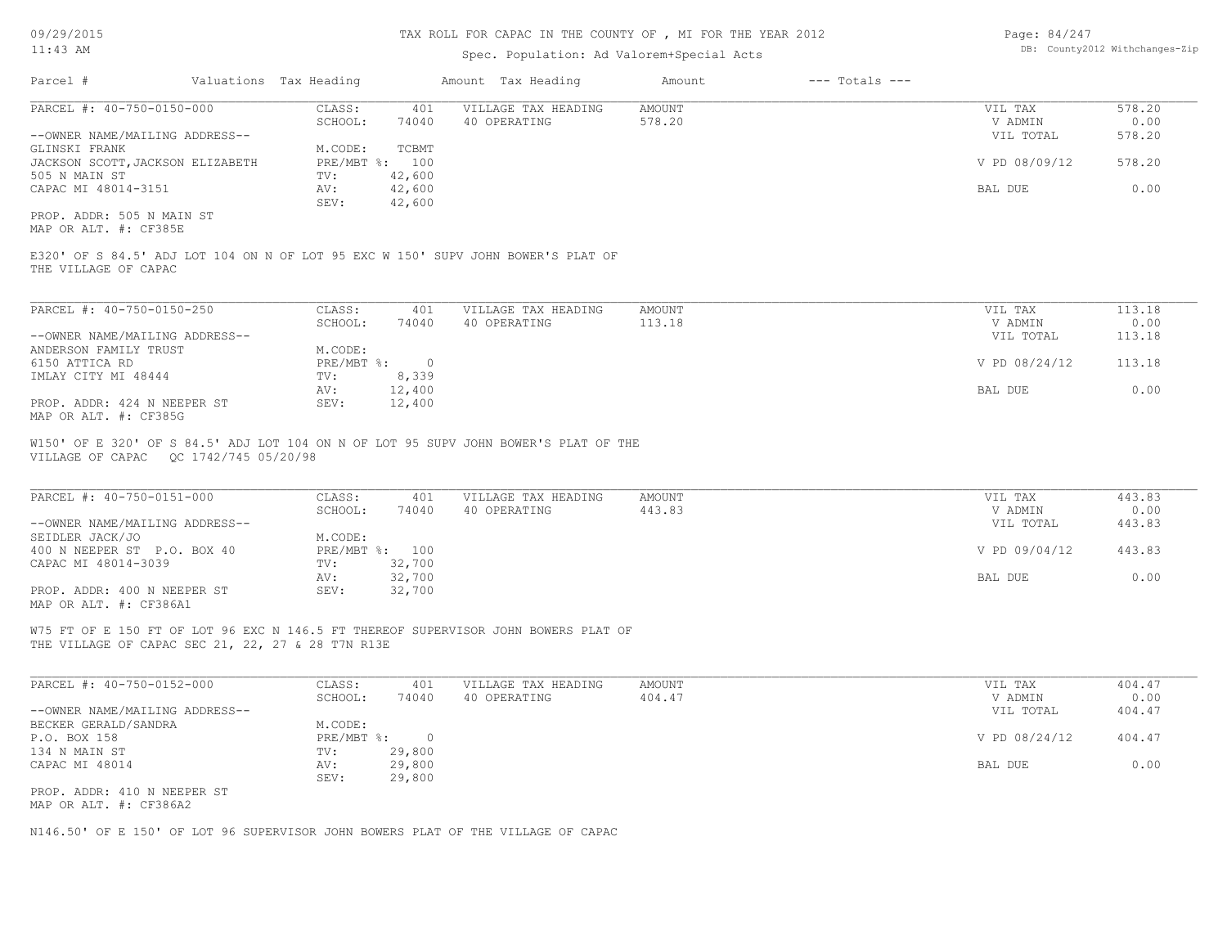### 11:43 AM

#### TAX ROLL FOR CAPAC IN THE COUNTY OF , MI FOR THE YEAR 2012

# Spec. Population: Ad Valorem+Special Acts

| Page: 84/247 |                                |
|--------------|--------------------------------|
|              | DB: County2012 Withchanges-Zip |

| Parcel #                         | Valuations Tax Heading |        | Amount Tax Heading  | Amount | $---$ Totals $---$ |               |        |
|----------------------------------|------------------------|--------|---------------------|--------|--------------------|---------------|--------|
| PARCEL #: 40-750-0150-000        | CLASS:                 | 401    | VILLAGE TAX HEADING | AMOUNT |                    | VIL TAX       | 578.20 |
|                                  | SCHOOL:                | 74040  | 40 OPERATING        | 578.20 |                    | V ADMIN       | 0.00   |
| --OWNER NAME/MAILING ADDRESS--   |                        |        |                     |        |                    | VIL TOTAL     | 578.20 |
| GLINSKI FRANK                    | M.CODE:                | TCBMT  |                     |        |                    |               |        |
| JACKSON SCOTT, JACKSON ELIZABETH | PRE/MBT %: 100         |        |                     |        |                    | V PD 08/09/12 | 578.20 |
| 505 N MAIN ST                    | TV:                    | 42,600 |                     |        |                    |               |        |
| CAPAC MI 48014-3151              | AV:                    | 42,600 |                     |        |                    | BAL DUE       | 0.00   |
|                                  | SEV:                   | 42,600 |                     |        |                    |               |        |
| PROP. ADDR: 505 N MAIN ST        |                        |        |                     |        |                    |               |        |

MAP OR ALT. #: CF385E

THE VILLAGE OF CAPAC E320' OF S 84.5' ADJ LOT 104 ON N OF LOT 95 EXC W 150' SUPV JOHN BOWER'S PLAT OF

| PARCEL #: 40-750-0150-250      | CLASS:     | 401    | VILLAGE TAX HEADING | AMOUNT | VIL TAX       | 113.18 |
|--------------------------------|------------|--------|---------------------|--------|---------------|--------|
|                                | SCHOOL:    | 74040  | 40 OPERATING        | 113.18 | V ADMIN       | 0.00   |
| --OWNER NAME/MAILING ADDRESS-- |            |        |                     |        | VIL TOTAL     | 113.18 |
| ANDERSON FAMILY TRUST          | M.CODE:    |        |                     |        |               |        |
| 6150 ATTICA RD                 | PRE/MBT %: |        |                     |        | V PD 08/24/12 | 113.18 |
| IMLAY CITY MI 48444            | TV:        | 8,339  |                     |        |               |        |
|                                | AV:        | 12,400 |                     |        | BAL DUE       | 0.00   |
| PROP. ADDR: 424 N NEEPER ST    | SEV:       | 12,400 |                     |        |               |        |
| MAP OR ALT. #: CF385G          |            |        |                     |        |               |        |

VILLAGE OF CAPAC QC 1742/745 05/20/98 W150' OF E 320' OF S 84.5' ADJ LOT 104 ON N OF LOT 95 SUPV JOHN BOWER'S PLAT OF THE

| PARCEL #: 40-750-0151-000      | CLASS:     | 401    | VILLAGE TAX HEADING | AMOUNT | VIL TAX       | 443.83 |
|--------------------------------|------------|--------|---------------------|--------|---------------|--------|
|                                | SCHOOL:    | 74040  | 40 OPERATING        | 443.83 | V ADMIN       | 0.00   |
| --OWNER NAME/MAILING ADDRESS-- |            |        |                     |        | VIL TOTAL     | 443.83 |
| SEIDLER JACK/JO                | M.CODE:    |        |                     |        |               |        |
| 400 N NEEPER ST P.O. BOX 40    | PRE/MBT %: | 100    |                     |        | V PD 09/04/12 | 443.83 |
| CAPAC MI 48014-3039            | TV:        | 32,700 |                     |        |               |        |
|                                | AV:        | 32,700 |                     |        | BAL DUE       | 0.00   |
| PROP. ADDR: 400 N NEEPER ST    | SEV:       | 32,700 |                     |        |               |        |
| MAP OR ALT. #: CF386A1         |            |        |                     |        |               |        |

 $\mathcal{L}_\mathcal{L} = \mathcal{L}_\mathcal{L} = \mathcal{L}_\mathcal{L} = \mathcal{L}_\mathcal{L} = \mathcal{L}_\mathcal{L} = \mathcal{L}_\mathcal{L} = \mathcal{L}_\mathcal{L} = \mathcal{L}_\mathcal{L} = \mathcal{L}_\mathcal{L} = \mathcal{L}_\mathcal{L} = \mathcal{L}_\mathcal{L} = \mathcal{L}_\mathcal{L} = \mathcal{L}_\mathcal{L} = \mathcal{L}_\mathcal{L} = \mathcal{L}_\mathcal{L} = \mathcal{L}_\mathcal{L} = \mathcal{L}_\mathcal{L}$ 

THE VILLAGE OF CAPAC SEC 21, 22, 27 & 28 T7N R13E W75 FT OF E 150 FT OF LOT 96 EXC N 146.5 FT THEREOF SUPERVISOR JOHN BOWERS PLAT OF

| PARCEL #: 40-750-0152-000      | CLASS:     | 401    | VILLAGE TAX HEADING | AMOUNT | VIL TAX       | 404.47 |
|--------------------------------|------------|--------|---------------------|--------|---------------|--------|
|                                | SCHOOL:    | 74040  | 40 OPERATING        | 404.47 | V ADMIN       | 0.00   |
| --OWNER NAME/MAILING ADDRESS-- |            |        |                     |        | VIL TOTAL     | 404.47 |
| BECKER GERALD/SANDRA           | M.CODE:    |        |                     |        |               |        |
| P.O. BOX 158                   | PRE/MBT %: |        |                     |        | V PD 08/24/12 | 404.47 |
| 134 N MAIN ST                  | TV:        | 29,800 |                     |        |               |        |
| CAPAC MI 48014                 | AV:        | 29,800 |                     |        | BAL DUE       | 0.00   |
|                                | SEV:       | 29,800 |                     |        |               |        |
| PROP. ADDR: 410 N NEEPER ST    |            |        |                     |        |               |        |
| MAP OR ALT. #: CF386A2         |            |        |                     |        |               |        |

N146.50' OF E 150' OF LOT 96 SUPERVISOR JOHN BOWERS PLAT OF THE VILLAGE OF CAPAC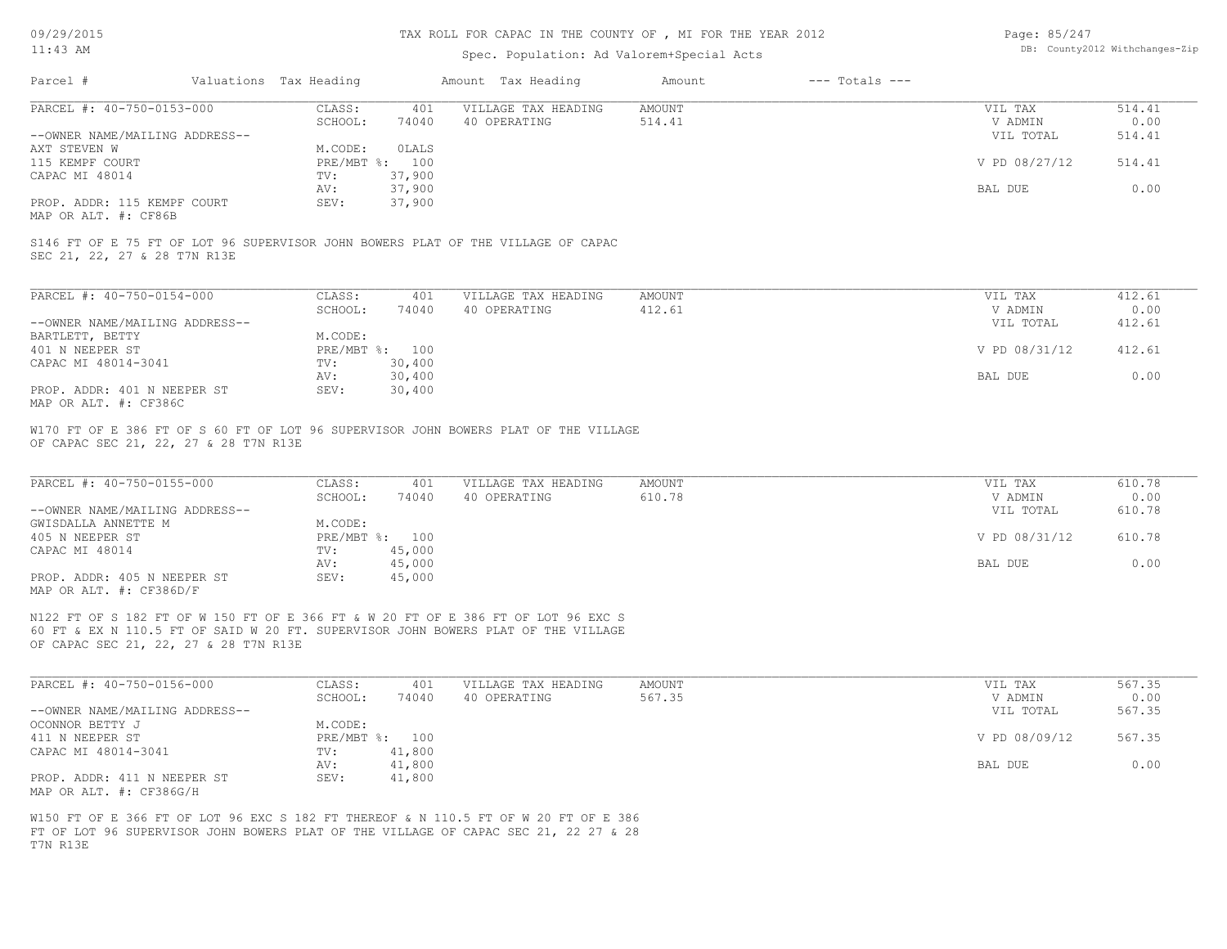#### TAX ROLL FOR CAPAC IN THE COUNTY OF , MI FOR THE YEAR 2012

# Spec. Population: Ad Valorem+Special Acts

| Page: 85/247 |                                |
|--------------|--------------------------------|
|              | DB: County2012 Withchanges-Zip |

|                                                                                                                                          |                        |                  |                     | DB: County2012 Withchanges-Zip |                    |               |        |
|------------------------------------------------------------------------------------------------------------------------------------------|------------------------|------------------|---------------------|--------------------------------|--------------------|---------------|--------|
| Parcel #                                                                                                                                 | Valuations Tax Heading |                  | Amount Tax Heading  | Amount                         | $---$ Totals $---$ |               |        |
| PARCEL #: 40-750-0153-000                                                                                                                | CLASS:                 | 401              | VILLAGE TAX HEADING | <b>AMOUNT</b>                  |                    | VIL TAX       | 514.41 |
|                                                                                                                                          | SCHOOL:                | 74040            | 40 OPERATING        | 514.41                         |                    | V ADMIN       | 0.00   |
| --OWNER NAME/MAILING ADDRESS--                                                                                                           |                        |                  |                     |                                |                    | VIL TOTAL     | 514.41 |
| AXT STEVEN W                                                                                                                             | M.CODE:                | OLALS            |                     |                                |                    |               |        |
| 115 KEMPF COURT                                                                                                                          | PRE/MBT %:             | 100              |                     |                                |                    | V PD 08/27/12 | 514.41 |
| CAPAC MI 48014                                                                                                                           | TV:                    | 37,900           |                     |                                |                    |               |        |
|                                                                                                                                          | AV:                    | 37,900           |                     |                                |                    | BAL DUE       | 0.00   |
|                                                                                                                                          |                        | 37,900           |                     |                                |                    |               |        |
| PROP. ADDR: 115 KEMPF COURT                                                                                                              | SEV:                   |                  |                     |                                |                    |               |        |
| MAP OR ALT. #: CF86B<br>S146 FT OF E 75 FT OF LOT 96 SUPERVISOR JOHN BOWERS PLAT OF THE VILLAGE OF CAPAC<br>SEC 21, 22, 27 & 28 T7N R13E |                        |                  |                     |                                |                    |               |        |
| PARCEL #: 40-750-0154-000                                                                                                                | CLASS:                 | 401              | VILLAGE TAX HEADING | <b>AMOUNT</b>                  |                    | VIL TAX       | 412.61 |
|                                                                                                                                          | SCHOOL:                | 74040            | 40 OPERATING        | 412.61                         |                    | V ADMIN       | 0.00   |
| --OWNER NAME/MAILING ADDRESS--                                                                                                           |                        |                  |                     |                                |                    | VIL TOTAL     | 412.61 |
| BARTLETT, BETTY                                                                                                                          | M.CODE:                |                  |                     |                                |                    |               |        |
| 401 N NEEPER ST                                                                                                                          | PRE/MBT %: 100         |                  |                     |                                |                    | V PD 08/31/12 | 412.61 |
| CAPAC MI 48014-3041                                                                                                                      | TV:                    | 30,400           |                     |                                |                    |               |        |
| PROP. ADDR: 401 N NEEPER ST                                                                                                              | AV:<br>SEV:            | 30,400<br>30,400 |                     |                                |                    | BAL DUE       | 0.00   |

| PARCEL #: 40-750-0155-000      | CLASS:       | 401    | VILLAGE TAX HEADING | AMOUNT | VIL TAX       | 610.78 |
|--------------------------------|--------------|--------|---------------------|--------|---------------|--------|
|                                | SCHOOL:      | 74040  | 40 OPERATING        | 610.78 | V ADMIN       | 0.00   |
| --OWNER NAME/MAILING ADDRESS-- |              |        |                     |        | VIL TOTAL     | 610.78 |
| GWISDALLA ANNETTE M            | M.CODE:      |        |                     |        |               |        |
| 405 N NEEPER ST                | $PRE/MBT$ %: | 100    |                     |        | V PD 08/31/12 | 610.78 |
| CAPAC MI 48014                 | TV:          | 45,000 |                     |        |               |        |
|                                | AV:          | 45,000 |                     |        | BAL DUE       | 0.00   |
| PROP. ADDR: 405 N NEEPER ST    | SEV:         | 45,000 |                     |        |               |        |
| MAP OR ALT. #: CF386D/F        |              |        |                     |        |               |        |

OF CAPAC SEC 21, 22, 27 & 28 T7N R13E 60 FT & EX N 110.5 FT OF SAID W 20 FT. SUPERVISOR JOHN BOWERS PLAT OF THE VILLAGE N122 FT OF S 182 FT OF W 150 FT OF E 366 FT & W 20 FT OF E 386 FT OF LOT 96 EXC S

| PARCEL #: 40-750-0156-000      | CLASS:  | 401            | VILLAGE TAX HEADING | AMOUNT | VIL TAX       | 567.35 |
|--------------------------------|---------|----------------|---------------------|--------|---------------|--------|
|                                | SCHOOL: | 74040          | 40 OPERATING        | 567.35 | V ADMIN       | 0.00   |
| --OWNER NAME/MAILING ADDRESS-- |         |                |                     |        | VIL TOTAL     | 567.35 |
| OCONNOR BETTY J                | M.CODE: |                |                     |        |               |        |
| 411 N NEEPER ST                |         | PRE/MBT %: 100 |                     |        | V PD 08/09/12 | 567.35 |
| CAPAC MI 48014-3041            | TV:     | 41,800         |                     |        |               |        |
|                                | AV:     | 41,800         |                     |        | BAL DUE       | 0.00   |
| PROP. ADDR: 411 N NEEPER ST    | SEV:    | 41,800         |                     |        |               |        |
| MAP OR ALT. #: CF386G/H        |         |                |                     |        |               |        |

T7N R13E FT OF LOT 96 SUPERVISOR JOHN BOWERS PLAT OF THE VILLAGE OF CAPAC SEC 21, 22 27 & 28 W150 FT OF E 366 FT OF LOT 96 EXC S 182 FT THEREOF & N 110.5 FT OF W 20 FT OF E 386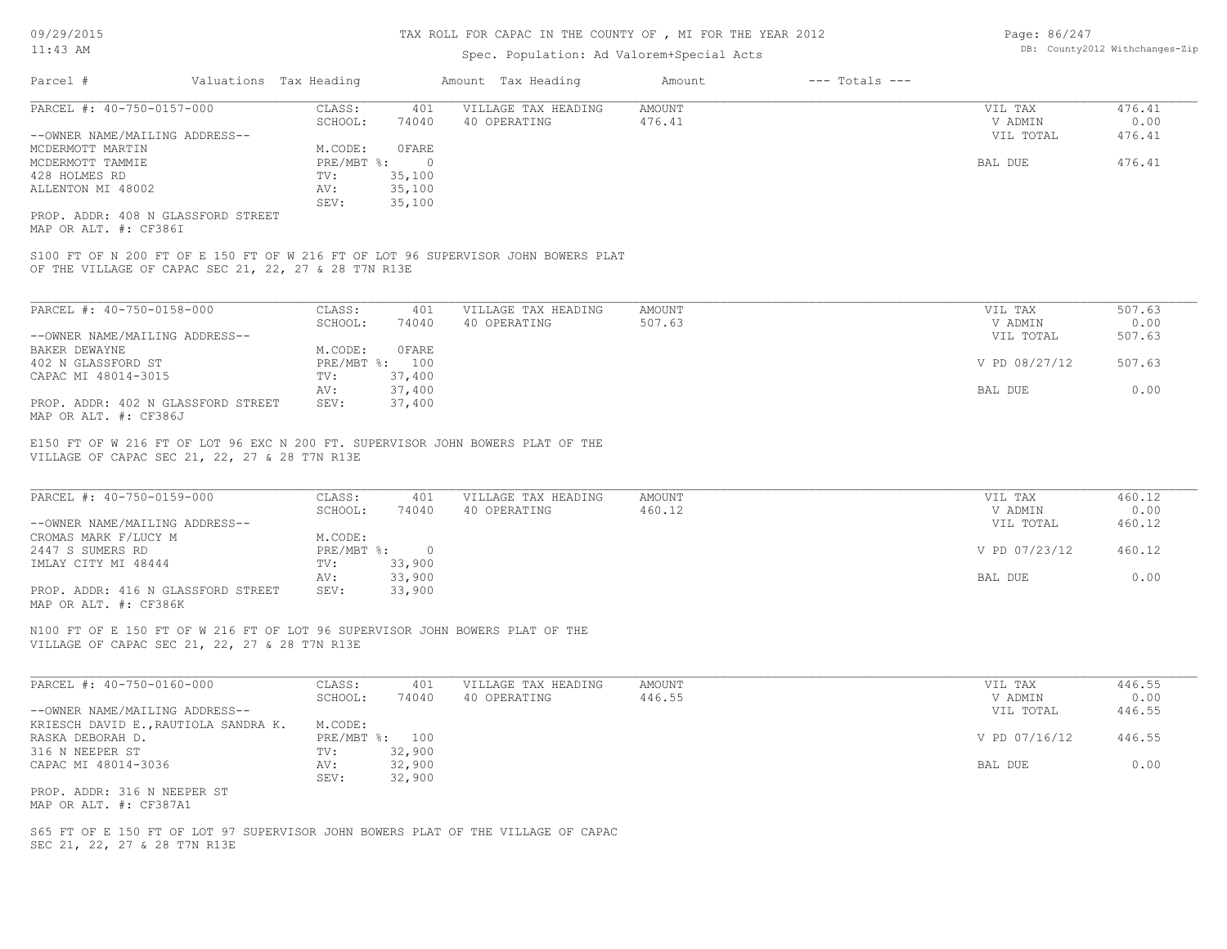#### TAX ROLL FOR CAPAC IN THE COUNTY OF , MI FOR THE YEAR 2012

# Spec. Population: Ad Valorem+Special Acts

| Page: 86/247 |                                |
|--------------|--------------------------------|
|              | DB: County2012 Withchanges-Zip |

| Parcel #                       | Valuations Tax Heading |        | Amount Tax Heading  | Amount | $---$ Totals $---$ |           |        |
|--------------------------------|------------------------|--------|---------------------|--------|--------------------|-----------|--------|
| PARCEL #: 40-750-0157-000      | CLASS:                 | 401    | VILLAGE TAX HEADING | AMOUNT |                    | VIL TAX   | 476.41 |
|                                | SCHOOL:                | 74040  | 40 OPERATING        | 476.41 |                    | V ADMIN   | 0.00   |
| --OWNER NAME/MAILING ADDRESS-- |                        |        |                     |        |                    | VIL TOTAL | 476.41 |
| MCDERMOTT MARTIN               | M.CODE:                | OFARE  |                     |        |                    |           |        |
| MCDERMOTT TAMMIE               | $PRE/MBT$ %:           | - 0    |                     |        |                    | BAL DUE   | 476.41 |
| 428 HOLMES RD                  | TV:                    | 35,100 |                     |        |                    |           |        |
| ALLENTON MI 48002              | AV:                    | 35,100 |                     |        |                    |           |        |
|                                | SEV:                   | 35,100 |                     |        |                    |           |        |
|                                |                        |        |                     |        |                    |           |        |

MAP OR ALT. #: CF386I PROP. ADDR: 408 N GLASSFORD STREET

OF THE VILLAGE OF CAPAC SEC 21, 22, 27 & 28 T7N R13E S100 FT OF N 200 FT OF E 150 FT OF W 216 FT OF LOT 96 SUPERVISOR JOHN BOWERS PLAT

| PARCEL #: 40-750-0158-000          | CLASS:  | 401            | VILLAGE TAX HEADING | AMOUNT | VIL TAX       | 507.63 |
|------------------------------------|---------|----------------|---------------------|--------|---------------|--------|
|                                    | SCHOOL: | 74040          | 40 OPERATING        | 507.63 | V ADMIN       | 0.00   |
| --OWNER NAME/MAILING ADDRESS--     |         |                |                     |        | VIL TOTAL     | 507.63 |
| BAKER DEWAYNE                      | M.CODE: | OFARE          |                     |        |               |        |
| 402 N GLASSFORD ST                 |         | PRE/MBT %: 100 |                     |        | V PD 08/27/12 | 507.63 |
| CAPAC MI 48014-3015                | TV:     | 37,400         |                     |        |               |        |
|                                    | AV:     | 37,400         |                     |        | BAL DUE       | 0.00   |
| PROP. ADDR: 402 N GLASSFORD STREET | SEV:    | 37,400         |                     |        |               |        |
| MAP OR ALT. #: CF386J              |         |                |                     |        |               |        |

VILLAGE OF CAPAC SEC 21, 22, 27 & 28 T7N R13E E150 FT OF W 216 FT OF LOT 96 EXC N 200 FT. SUPERVISOR JOHN BOWERS PLAT OF THE

| PARCEL #: 40-750-0159-000          | CLASS:     | 401    | VILLAGE TAX HEADING | AMOUNT | VIL TAX       | 460.12 |
|------------------------------------|------------|--------|---------------------|--------|---------------|--------|
|                                    | SCHOOL:    | 74040  | 40 OPERATING        | 460.12 | V ADMIN       | 0.00   |
| --OWNER NAME/MAILING ADDRESS--     |            |        |                     |        | VIL TOTAL     | 460.12 |
| CROMAS MARK F/LUCY M               | M.CODE:    |        |                     |        |               |        |
| 2447 S SUMERS RD                   | PRE/MBT %: | $\cap$ |                     |        | V PD 07/23/12 | 460.12 |
| IMLAY CITY MI 48444                | TV:        | 33,900 |                     |        |               |        |
|                                    | AV:        | 33,900 |                     |        | BAL DUE       | 0.00   |
| PROP. ADDR: 416 N GLASSFORD STREET | SEV:       | 33,900 |                     |        |               |        |
| MAP OR ALT. #: CF386K              |            |        |                     |        |               |        |

 $\mathcal{L}_\mathcal{L} = \mathcal{L}_\mathcal{L} = \mathcal{L}_\mathcal{L} = \mathcal{L}_\mathcal{L} = \mathcal{L}_\mathcal{L} = \mathcal{L}_\mathcal{L} = \mathcal{L}_\mathcal{L} = \mathcal{L}_\mathcal{L} = \mathcal{L}_\mathcal{L} = \mathcal{L}_\mathcal{L} = \mathcal{L}_\mathcal{L} = \mathcal{L}_\mathcal{L} = \mathcal{L}_\mathcal{L} = \mathcal{L}_\mathcal{L} = \mathcal{L}_\mathcal{L} = \mathcal{L}_\mathcal{L} = \mathcal{L}_\mathcal{L}$ 

VILLAGE OF CAPAC SEC 21, 22, 27 & 28 T7N R13E N100 FT OF E 150 FT OF W 216 FT OF LOT 96 SUPERVISOR JOHN BOWERS PLAT OF THE

| PARCEL #: 40-750-0160-000            | CLASS:  | 401            | VILLAGE TAX HEADING | AMOUNT | VIL TAX       | 446.55 |
|--------------------------------------|---------|----------------|---------------------|--------|---------------|--------|
|                                      | SCHOOL: | 74040          | 40 OPERATING        | 446.55 | V ADMIN       | 0.00   |
| --OWNER NAME/MAILING ADDRESS--       |         |                |                     |        | VIL TOTAL     | 446.55 |
| KRIESCH DAVID E., RAUTIOLA SANDRA K. | M.CODE: |                |                     |        |               |        |
| RASKA DEBORAH D.                     |         | PRE/MBT %: 100 |                     |        | V PD 07/16/12 | 446.55 |
| 316 N NEEPER ST                      | TV:     | 32,900         |                     |        |               |        |
| CAPAC MI 48014-3036                  | AV:     | 32,900         |                     |        | BAL DUE       | 0.00   |
|                                      | SEV:    | 32,900         |                     |        |               |        |
| PROP. ADDR: 316 N NEEPER ST          |         |                |                     |        |               |        |
|                                      |         |                |                     |        |               |        |

MAP OR ALT. #: CF387A1

SEC 21, 22, 27 & 28 T7N R13E S65 FT OF E 150 FT OF LOT 97 SUPERVISOR JOHN BOWERS PLAT OF THE VILLAGE OF CAPAC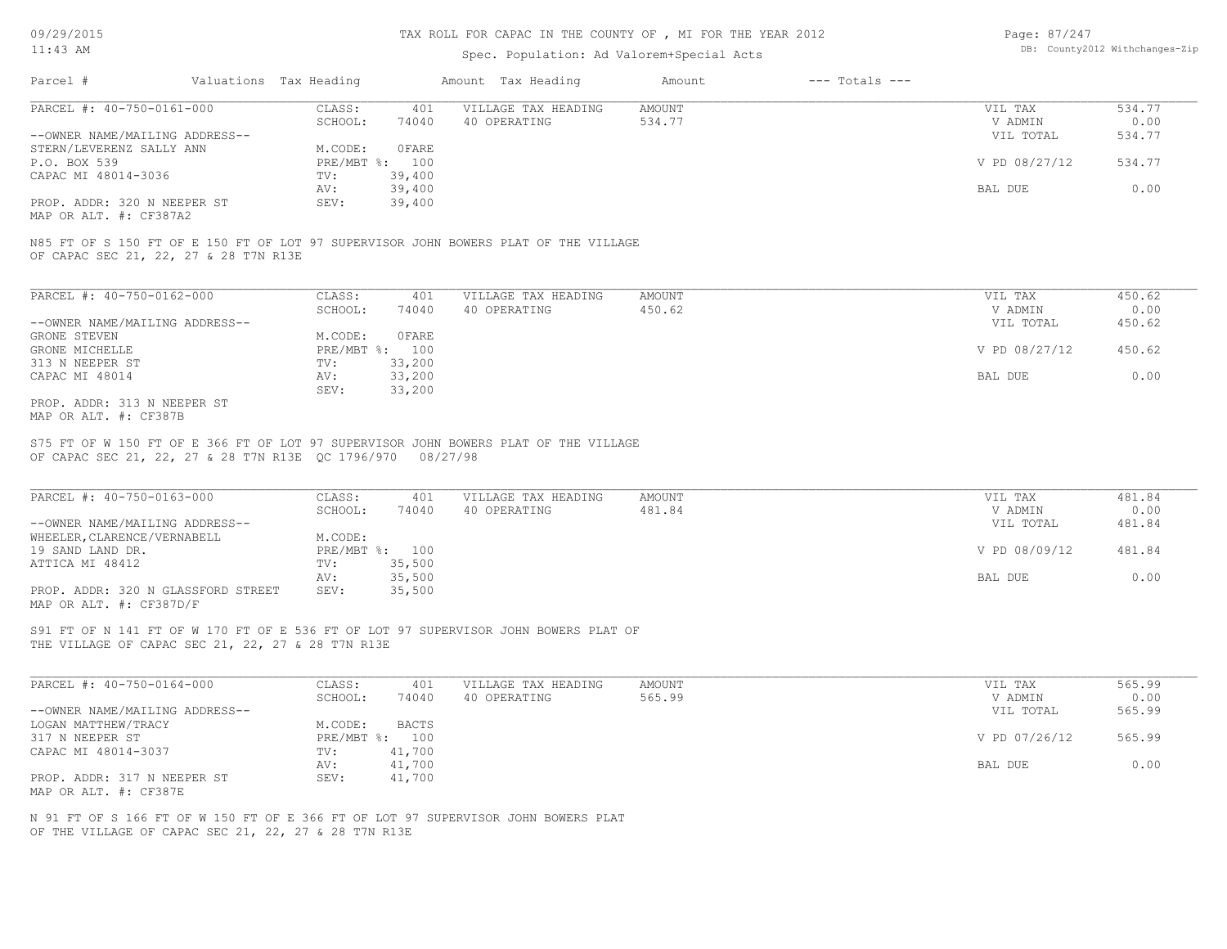#### TAX ROLL FOR CAPAC IN THE COUNTY OF , MI FOR THE YEAR 2012

### Spec. Population: Ad Valorem+Special Acts

Page: 87/247 DB: County2012 Withchanges-Zip

| Parcel #                       | Valuations Tax Heading |        | Amount Tax Heading  | Amount | $---$ Totals $---$ |               |        |
|--------------------------------|------------------------|--------|---------------------|--------|--------------------|---------------|--------|
| PARCEL #: 40-750-0161-000      | CLASS:                 | 401    | VILLAGE TAX HEADING | AMOUNT |                    | VIL TAX       | 534.77 |
|                                | SCHOOL:                | 74040  | 40 OPERATING        | 534.77 |                    | V ADMIN       | 0.00   |
| --OWNER NAME/MAILING ADDRESS-- |                        |        |                     |        |                    | VIL TOTAL     | 534.77 |
| STERN/LEVERENZ SALLY ANN       | M.CODE:                | OFARE  |                     |        |                    |               |        |
| P.O. BOX 539                   | PRE/MBT %: 100         |        |                     |        |                    | V PD 08/27/12 | 534.77 |
| CAPAC MI 48014-3036            | TV:                    | 39,400 |                     |        |                    |               |        |
|                                | AV:                    | 39,400 |                     |        |                    | BAL DUE       | 0.00   |
| PROP. ADDR: 320 N NEEPER ST    | SEV:                   | 39,400 |                     |        |                    |               |        |
|                                |                        |        |                     |        |                    |               |        |

MAP OR ALT. #: CF387A2

OF CAPAC SEC 21, 22, 27 & 28 T7N R13E N85 FT OF S 150 FT OF E 150 FT OF LOT 97 SUPERVISOR JOHN BOWERS PLAT OF THE VILLAGE

| PARCEL #: 40-750-0162-000      | CLASS:       | 401    | VILLAGE TAX HEADING | AMOUNT | VIL TAX       | 450.62 |
|--------------------------------|--------------|--------|---------------------|--------|---------------|--------|
|                                | SCHOOL:      | 74040  | 40 OPERATING        | 450.62 | V ADMIN       | 0.00   |
| --OWNER NAME/MAILING ADDRESS-- |              |        |                     |        | VIL TOTAL     | 450.62 |
| GRONE STEVEN                   | M.CODE:      | OFARE  |                     |        |               |        |
| GRONE MICHELLE                 | $PRE/MBT$ %: | 100    |                     |        | V PD 08/27/12 | 450.62 |
| 313 N NEEPER ST                | TV:          | 33,200 |                     |        |               |        |
| CAPAC MI 48014                 | AV:          | 33,200 |                     |        | BAL DUE       | 0.00   |
|                                | SEV:         | 33,200 |                     |        |               |        |
| PROP. ADDR: 313 N NEEPER ST    |              |        |                     |        |               |        |

MAP OR ALT. #: CF387B

OF CAPAC SEC 21, 22, 27 & 28 T7N R13E QC 1796/970 08/27/98 S75 FT OF W 150 FT OF E 366 FT OF LOT 97 SUPERVISOR JOHN BOWERS PLAT OF THE VILLAGE

| PARCEL #: 40-750-0163-000          | CLASS:       | 401    | VILLAGE TAX HEADING | AMOUNT | VIL TAX       | 481.84 |
|------------------------------------|--------------|--------|---------------------|--------|---------------|--------|
|                                    | SCHOOL:      | 74040  | 40 OPERATING        | 481.84 | V ADMIN       | 0.00   |
| --OWNER NAME/MAILING ADDRESS--     |              |        |                     |        | VIL TOTAL     | 481.84 |
| WHEELER, CLARENCE/VERNABELL        | M.CODE:      |        |                     |        |               |        |
| 19 SAND LAND DR.                   | $PRE/MBT$ %: | 100    |                     |        | V PD 08/09/12 | 481.84 |
| ATTICA MI 48412                    | TV:          | 35,500 |                     |        |               |        |
|                                    | AV:          | 35,500 |                     |        | BAL DUE       | 0.00   |
| PROP. ADDR: 320 N GLASSFORD STREET | SEV:         | 35,500 |                     |        |               |        |
| MAP OR ALT. #: CF387D/F            |              |        |                     |        |               |        |

 $\mathcal{L}_\mathcal{L} = \mathcal{L}_\mathcal{L} = \mathcal{L}_\mathcal{L} = \mathcal{L}_\mathcal{L} = \mathcal{L}_\mathcal{L} = \mathcal{L}_\mathcal{L} = \mathcal{L}_\mathcal{L} = \mathcal{L}_\mathcal{L} = \mathcal{L}_\mathcal{L} = \mathcal{L}_\mathcal{L} = \mathcal{L}_\mathcal{L} = \mathcal{L}_\mathcal{L} = \mathcal{L}_\mathcal{L} = \mathcal{L}_\mathcal{L} = \mathcal{L}_\mathcal{L} = \mathcal{L}_\mathcal{L} = \mathcal{L}_\mathcal{L}$ 

THE VILLAGE OF CAPAC SEC 21, 22, 27 & 28 T7N R13E S91 FT OF N 141 FT OF W 170 FT OF E 536 FT OF LOT 97 SUPERVISOR JOHN BOWERS PLAT OF

| PARCEL #: 40-750-0164-000      | CLASS:  | 401            | VILLAGE TAX HEADING | AMOUNT | VIL TAX       | 565.99 |
|--------------------------------|---------|----------------|---------------------|--------|---------------|--------|
|                                | SCHOOL: | 74040          | 40 OPERATING        | 565.99 | V ADMIN       | 0.00   |
| --OWNER NAME/MAILING ADDRESS-- |         |                |                     |        | VIL TOTAL     | 565.99 |
| LOGAN MATTHEW/TRACY            | M.CODE: | <b>BACTS</b>   |                     |        |               |        |
| 317 N NEEPER ST                |         | PRE/MBT %: 100 |                     |        | V PD 07/26/12 | 565.99 |
| CAPAC MI 48014-3037            | TV:     | 41,700         |                     |        |               |        |
|                                | AV:     | 41,700         |                     |        | BAL DUE       | 0.00   |
| PROP. ADDR: 317 N NEEPER ST    | SEV:    | 41,700         |                     |        |               |        |
| MAP OR ALT. #: CF387E          |         |                |                     |        |               |        |

OF THE VILLAGE OF CAPAC SEC 21, 22, 27 & 28 T7N R13E N 91 FT OF S 166 FT OF W 150 FT OF E 366 FT OF LOT 97 SUPERVISOR JOHN BOWERS PLAT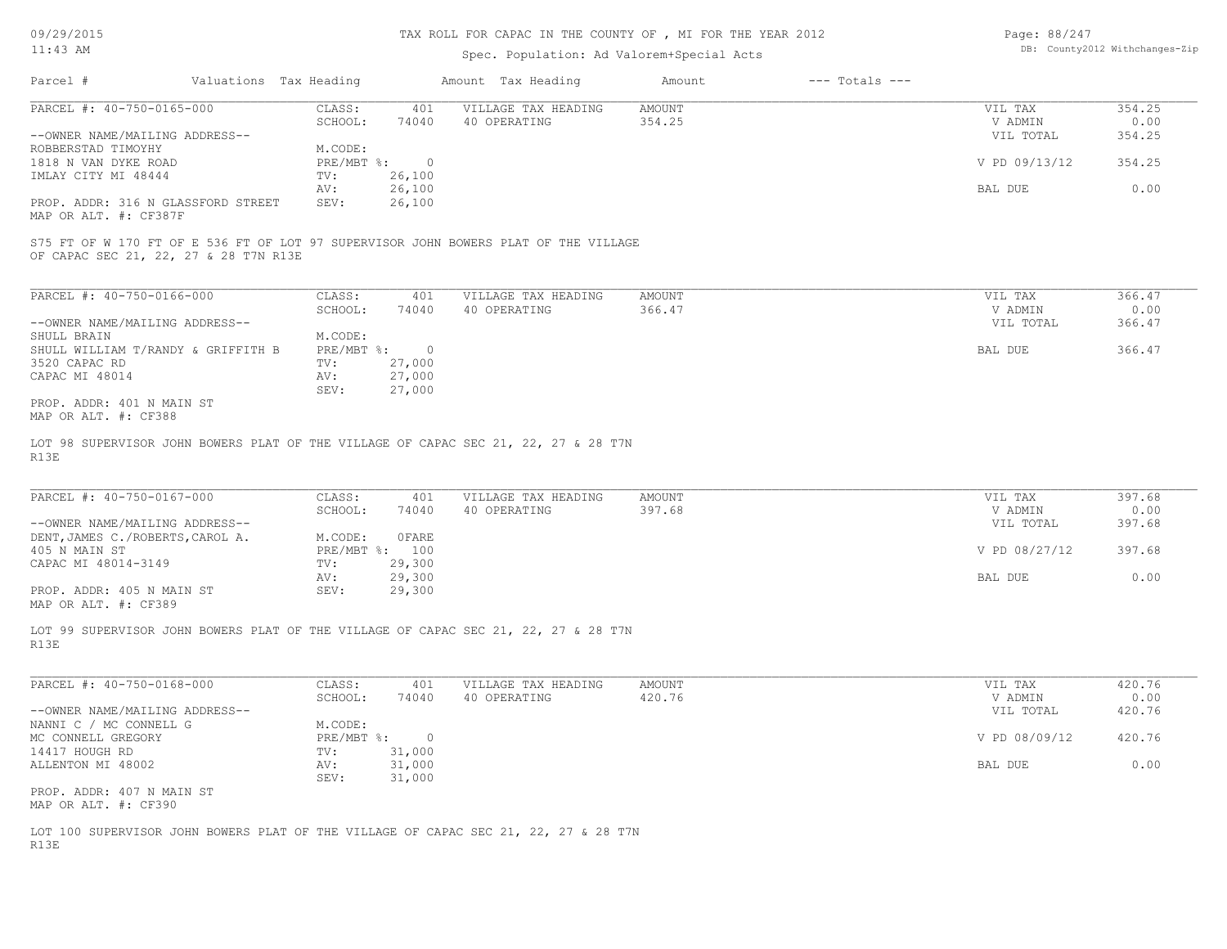#### TAX ROLL FOR CAPAC IN THE COUNTY OF , MI FOR THE YEAR 2012

# Spec. Population: Ad Valorem+Special Acts

| Page: 88/247 |                                |
|--------------|--------------------------------|
|              | DB: County2012 Withchanges-Zip |

| Parcel #                                                    | Valuations Tax Heading |          | Amount Tax Heading                                                                  | Amount | $---$ Totals $---$ |               |        |
|-------------------------------------------------------------|------------------------|----------|-------------------------------------------------------------------------------------|--------|--------------------|---------------|--------|
| PARCEL #: 40-750-0165-000                                   | CLASS:                 | 401      | VILLAGE TAX HEADING                                                                 | AMOUNT |                    | VIL TAX       | 354.25 |
|                                                             | SCHOOL:                | 74040    | 40 OPERATING                                                                        | 354.25 |                    | V ADMIN       | 0.00   |
| --OWNER NAME/MAILING ADDRESS--                              |                        |          |                                                                                     |        |                    | VIL TOTAL     | 354.25 |
| ROBBERSTAD TIMOYHY                                          | M.CODE:                |          |                                                                                     |        |                    |               |        |
| 1818 N VAN DYKE ROAD                                        | PRE/MBT %:             | $\Omega$ |                                                                                     |        |                    | V PD 09/13/12 | 354.25 |
| IMLAY CITY MI 48444                                         | TV:                    | 26,100   |                                                                                     |        |                    |               |        |
|                                                             | AV:                    | 26,100   |                                                                                     |        |                    | BAL DUE       | 0.00   |
| PROP. ADDR: 316 N GLASSFORD STREET<br>MAP OR ALT. #: CF387F | SEV:                   | 26,100   |                                                                                     |        |                    |               |        |
| OF CAPAC SEC 21, 22, 27 & 28 T7N R13E                       |                        |          | S75 FT OF W 170 FT OF E 536 FT OF LOT 97 SUPERVISOR JOHN BOWERS PLAT OF THE VILLAGE |        |                    |               |        |
|                                                             |                        |          |                                                                                     |        |                    |               |        |
| PARCEL #: 40-750-0166-000                                   | CLASS:                 | 401      | VILLAGE TAX HEADING                                                                 | AMOUNT |                    | VIL TAX       | 366.47 |

| PARCEL #: 40-750-0166-000          | CLASS:       | -401   | VILLAGE TAX HEADING | AMOUNT | VIL TAX   | 366.47 |
|------------------------------------|--------------|--------|---------------------|--------|-----------|--------|
|                                    | SCHOOL:      | 74040  | 40 OPERATING        | 366.47 | V ADMIN   | 0.00   |
| --OWNER NAME/MAILING ADDRESS--     |              |        |                     |        | VIL TOTAL | 366.47 |
| SHULL BRAIN                        | M.CODE:      |        |                     |        |           |        |
| SHULL WILLIAM T/RANDY & GRIFFITH B | $PRE/MBT$ %: |        |                     |        | BAL DUE   | 366.47 |
| 3520 CAPAC RD                      | TV:          | 27,000 |                     |        |           |        |
| CAPAC MI 48014                     | AV:          | 27,000 |                     |        |           |        |
|                                    | SEV:         | 27,000 |                     |        |           |        |
| PROP. ADDR: 401 N MAIN ST          |              |        |                     |        |           |        |
| MAP OR ALT. #: CF388               |              |        |                     |        |           |        |

R13E LOT 98 SUPERVISOR JOHN BOWERS PLAT OF THE VILLAGE OF CAPAC SEC 21, 22, 27 & 28 T7N

| PARCEL #: 40-750-0167-000        | CLASS:     | 401    | VILLAGE TAX HEADING | AMOUNT | VIL TAX       | 397.68 |
|----------------------------------|------------|--------|---------------------|--------|---------------|--------|
|                                  | SCHOOL:    | 74040  | 40 OPERATING        | 397.68 | V ADMIN       | 0.00   |
| --OWNER NAME/MAILING ADDRESS--   |            |        |                     |        | VIL TOTAL     | 397.68 |
| DENT, JAMES C./ROBERTS, CAROL A. | M.CODE:    | 0 FARE |                     |        |               |        |
| 405 N MAIN ST                    | PRE/MBT %: | 100    |                     |        | V PD 08/27/12 | 397.68 |
| CAPAC MI 48014-3149              | TV:        | 29,300 |                     |        |               |        |
|                                  | AV:        | 29,300 |                     |        | BAL DUE       | 0.00   |
| PROP. ADDR: 405 N MAIN ST        | SEV:       | 29,300 |                     |        |               |        |
| MAP OR ALT. #: CF389             |            |        |                     |        |               |        |

LOT 99 SUPERVISOR JOHN BOWERS PLAT OF THE VILLAGE OF CAPAC SEC 21, 22, 27 & 28 T7N

R13E

| PARCEL #: 40-750-0168-000      | CLASS:     | 401    | VILLAGE TAX HEADING | AMOUNT | VIL TAX       | 420.76 |
|--------------------------------|------------|--------|---------------------|--------|---------------|--------|
|                                | SCHOOL:    | 74040  | 40 OPERATING        | 420.76 | V ADMIN       | 0.00   |
| --OWNER NAME/MAILING ADDRESS-- |            |        |                     |        | VIL TOTAL     | 420.76 |
| NANNI C / MC CONNELL G         | M.CODE:    |        |                     |        |               |        |
| MC CONNELL GREGORY             | PRE/MBT %: |        |                     |        | V PD 08/09/12 | 420.76 |
| 14417 HOUGH RD                 | TV:        | 31,000 |                     |        |               |        |
| ALLENTON MI 48002              | AV:        | 31,000 |                     |        | BAL DUE       | 0.00   |
|                                | SEV:       | 31,000 |                     |        |               |        |
| PROP. ADDR: 407 N MAIN ST      |            |        |                     |        |               |        |
|                                |            |        |                     |        |               |        |

MAP OR ALT. #: CF390

R13E LOT 100 SUPERVISOR JOHN BOWERS PLAT OF THE VILLAGE OF CAPAC SEC 21, 22, 27 & 28 T7N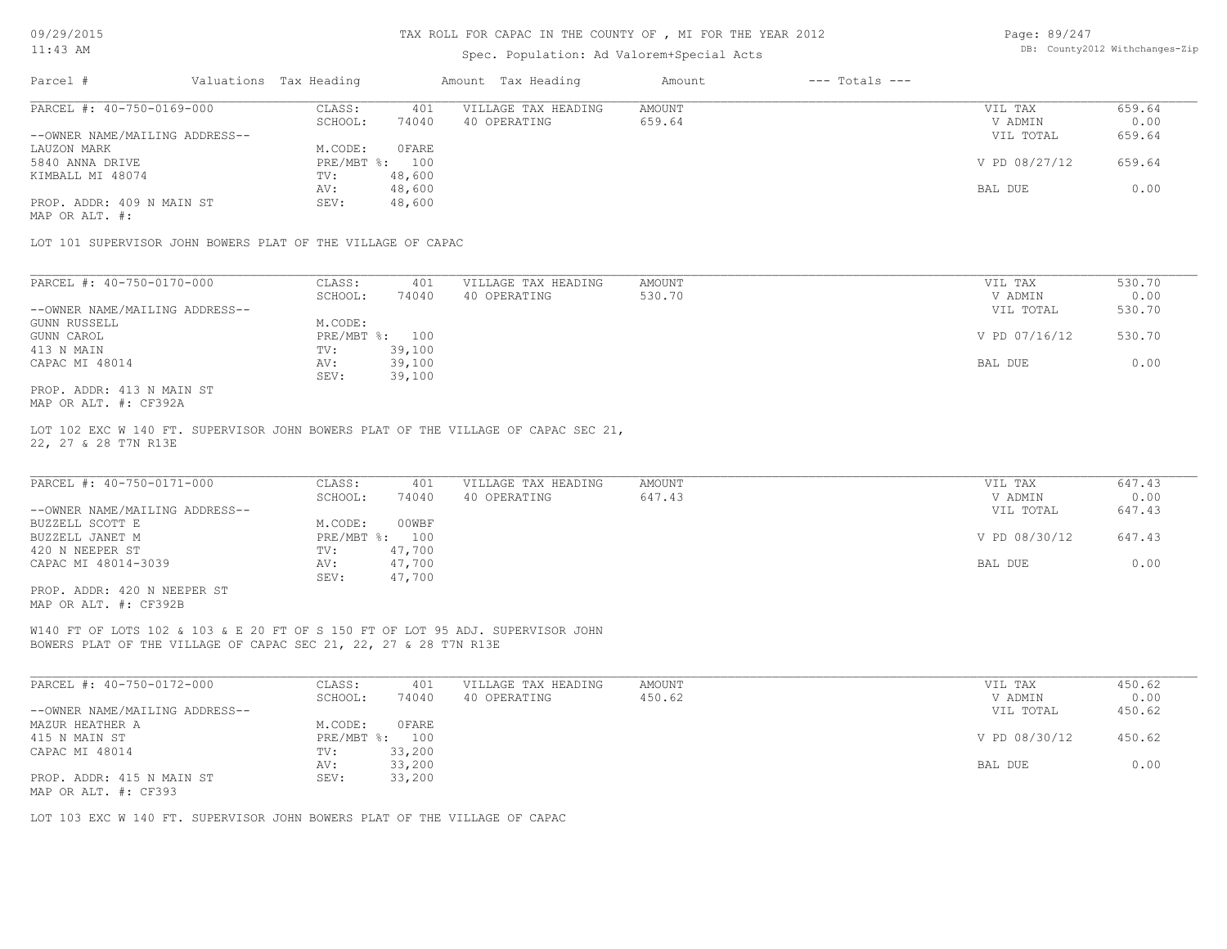#### TAX ROLL FOR CAPAC IN THE COUNTY OF , MI FOR THE YEAR 2012

# Spec. Population: Ad Valorem+Special Acts

| Page: 89/247 |                                |
|--------------|--------------------------------|
|              | DB: County2012 Withchanges-Zip |

| PARCEL #: 40-750-0169-000<br>CLASS:<br>VILLAGE TAX HEADING<br>401<br>AMOUNT<br>VIL TAX | 659.64 |
|----------------------------------------------------------------------------------------|--------|
| SCHOOL:<br>74040<br>40 OPERATING<br>659.64<br>V ADMIN                                  | 0.00   |
| --OWNER NAME/MAILING ADDRESS--<br>VIL TOTAL                                            | 659.64 |
| 0 FARE<br>M.CODE:<br>LAUZON MARK                                                       |        |
| $PRE/MBT$ %:<br>V PD 08/27/12<br>5840 ANNA DRIVE<br>100                                | 659.64 |
| KIMBALL MI 48074<br>48,600<br>TV:                                                      |        |
| 48,600<br>BAL DUE<br>AV:                                                               | 0.00   |
| PROP. ADDR: 409 N MAIN ST<br>48,600<br>SEV:                                            |        |

MAP OR ALT. #:

LOT 101 SUPERVISOR JOHN BOWERS PLAT OF THE VILLAGE OF CAPAC

| PARCEL #: 40-750-0170-000      | CLASS:  | 401            | VILLAGE TAX HEADING | AMOUNT | VIL TAX       | 530.70 |
|--------------------------------|---------|----------------|---------------------|--------|---------------|--------|
|                                | SCHOOL: | 74040          | 40 OPERATING        | 530.70 | V ADMIN       | 0.00   |
| --OWNER NAME/MAILING ADDRESS-- |         |                |                     |        | VIL TOTAL     | 530.70 |
| GUNN RUSSELL                   | M.CODE: |                |                     |        |               |        |
| GUNN CAROL                     |         | PRE/MBT %: 100 |                     |        | V PD 07/16/12 | 530.70 |
| 413 N MAIN                     | TV:     | 39,100         |                     |        |               |        |
| CAPAC MI 48014                 | AV:     | 39,100         |                     |        | BAL DUE       | 0.00   |
|                                | SEV:    | 39,100         |                     |        |               |        |
| PROP. ADDR: 413 N MAIN ST      |         |                |                     |        |               |        |

MAP OR ALT. #: CF392A

22, 27 & 28 T7N R13E LOT 102 EXC W 140 FT. SUPERVISOR JOHN BOWERS PLAT OF THE VILLAGE OF CAPAC SEC 21,

| PARCEL #: 40-750-0171-000      | CLASS:  | 401            | VILLAGE TAX HEADING | AMOUNT | VIL TAX       | 647.43 |
|--------------------------------|---------|----------------|---------------------|--------|---------------|--------|
|                                | SCHOOL: | 74040          | 40 OPERATING        | 647.43 | V ADMIN       | 0.00   |
| --OWNER NAME/MAILING ADDRESS-- |         |                |                     |        | VIL TOTAL     | 647.43 |
| BUZZELL SCOTT E                | M.CODE: | 00WBF          |                     |        |               |        |
| BUZZELL JANET M                |         | PRE/MBT %: 100 |                     |        | V PD 08/30/12 | 647.43 |
| 420 N NEEPER ST                | TV:     | 47,700         |                     |        |               |        |
| CAPAC MI 48014-3039            | AV:     | 47,700         |                     |        | BAL DUE       | 0.00   |
|                                | SEV:    | 47,700         |                     |        |               |        |
| PROP. ADDR: 420 N NEEPER ST    |         |                |                     |        |               |        |

MAP OR ALT. #: CF392B

BOWERS PLAT OF THE VILLAGE OF CAPAC SEC 21, 22, 27 & 28 T7N R13E W140 FT OF LOTS 102 & 103 & E 20 FT OF S 150 FT OF LOT 95 ADJ. SUPERVISOR JOHN

| PARCEL #: 40-750-0172-000      | CLASS:     | 401    | VILLAGE TAX HEADING | AMOUNT | VIL TAX       | 450.62 |
|--------------------------------|------------|--------|---------------------|--------|---------------|--------|
|                                | SCHOOL:    | 74040  | 40 OPERATING        | 450.62 | V ADMIN       | 0.00   |
| --OWNER NAME/MAILING ADDRESS-- |            |        |                     |        | VIL TOTAL     | 450.62 |
| MAZUR HEATHER A                | M.CODE:    | 0 FARE |                     |        |               |        |
| 415 N MAIN ST                  | PRE/MBT %: | 100    |                     |        | V PD 08/30/12 | 450.62 |
| CAPAC MI 48014                 | TV:        | 33,200 |                     |        |               |        |
|                                | AV:        | 33,200 |                     |        | BAL DUE       | 0.00   |
| PROP. ADDR: 415 N MAIN ST      | SEV:       | 33,200 |                     |        |               |        |
| MAP OR ALT. #: CF393           |            |        |                     |        |               |        |

LOT 103 EXC W 140 FT. SUPERVISOR JOHN BOWERS PLAT OF THE VILLAGE OF CAPAC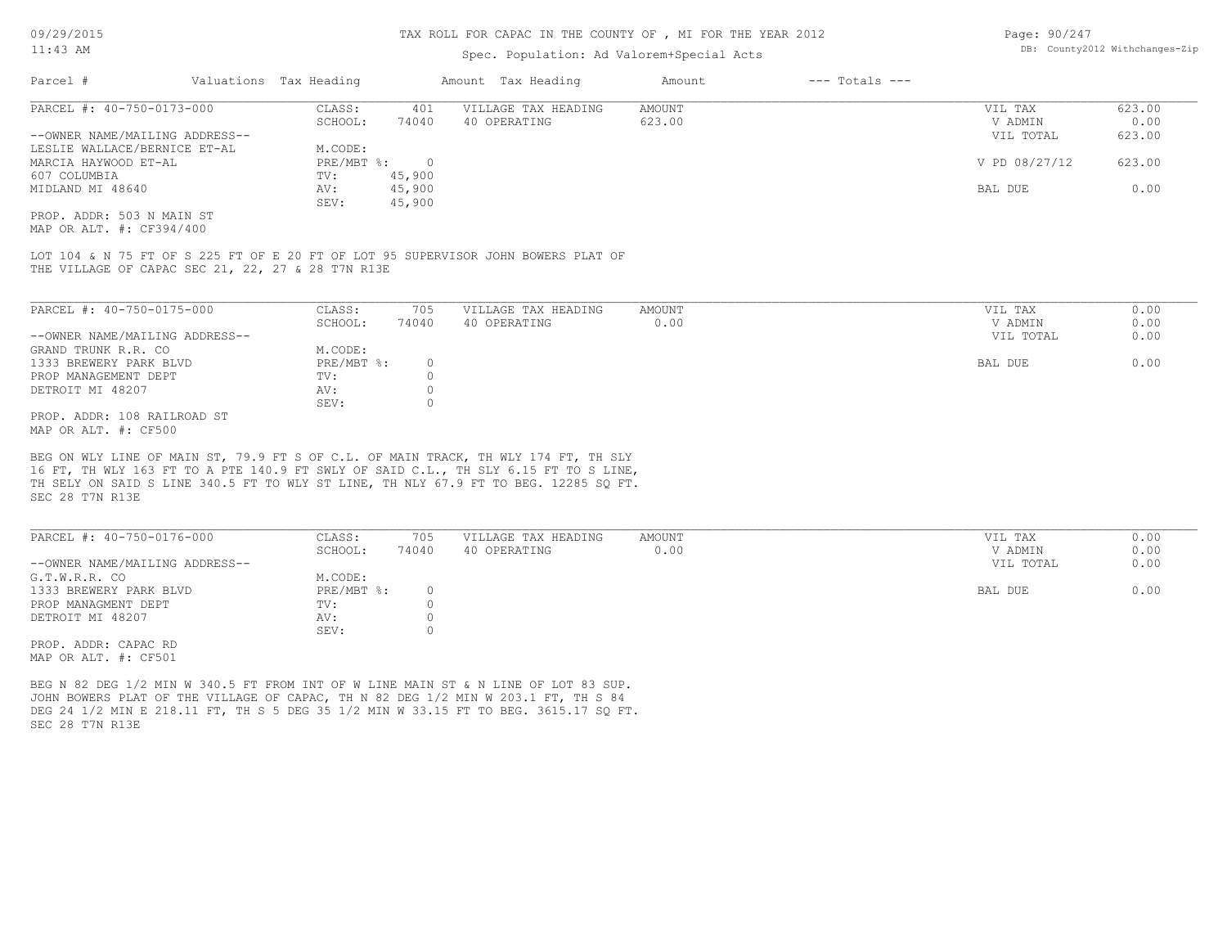#### TAX ROLL FOR CAPAC IN THE COUNTY OF , MI FOR THE YEAR 2012

# Spec. Population: Ad Valorem+Special Acts

| Page: 90/247 |                                |
|--------------|--------------------------------|
|              | DB: County2012 Withchanges-Zip |

| Parcel #                       | Valuations Tax Heading |        | Amount Tax Heading  | Amount | $---$ Totals $---$ |               |        |
|--------------------------------|------------------------|--------|---------------------|--------|--------------------|---------------|--------|
| PARCEL #: 40-750-0173-000      | CLASS:                 | 401    | VILLAGE TAX HEADING | AMOUNT |                    | VIL TAX       | 623.00 |
|                                | SCHOOL:                | 74040  | 40 OPERATING        | 623.00 |                    | V ADMIN       | 0.00   |
| --OWNER NAME/MAILING ADDRESS-- |                        |        |                     |        |                    | VIL TOTAL     | 623.00 |
| LESLIE WALLACE/BERNICE ET-AL   | M.CODE:                |        |                     |        |                    |               |        |
| MARCIA HAYWOOD ET-AL           | PRE/MBT %:             |        |                     |        |                    | V PD 08/27/12 | 623.00 |
| 607 COLUMBIA                   | TV:                    | 45,900 |                     |        |                    |               |        |
| MIDLAND MI 48640               | AV:                    | 45,900 |                     |        |                    | BAL DUE       | 0.00   |
|                                | SEV:                   | 45,900 |                     |        |                    |               |        |
| PROP. ADDR: 503 N MAIN ST      |                        |        |                     |        |                    |               |        |

MAP OR ALT. #: CF394/400

THE VILLAGE OF CAPAC SEC 21, 22, 27 & 28 T7N R13E LOT 104 & N 75 FT OF S 225 FT OF E 20 FT OF LOT 95 SUPERVISOR JOHN BOWERS PLAT OF

| PARCEL #: 40-750-0175-000      | CLASS:       | 705   | VILLAGE TAX HEADING | AMOUNT | VIL TAX   | 0.00 |
|--------------------------------|--------------|-------|---------------------|--------|-----------|------|
|                                | SCHOOL:      | 74040 | 40 OPERATING        | 0.00   | V ADMIN   | 0.00 |
| --OWNER NAME/MAILING ADDRESS-- |              |       |                     |        | VIL TOTAL | 0.00 |
| GRAND TRUNK R.R. CO            | M.CODE:      |       |                     |        |           |      |
| 1333 BREWERY PARK BLVD         | $PRE/MBT$ %: |       |                     |        | BAL DUE   | 0.00 |
| PROP MANAGEMENT DEPT           | TV:          |       |                     |        |           |      |
| DETROIT MI 48207               | AV:          |       |                     |        |           |      |
|                                | SEV:         |       |                     |        |           |      |
| PROP. ADDR: 108 RAILROAD ST    |              |       |                     |        |           |      |
|                                |              |       |                     |        |           |      |

MAP OR ALT. #: CF500

SEC 28 T7N R13E TH SELY ON SAID S LINE 340.5 FT TO WLY ST LINE, TH NLY 67.9 FT TO BEG. 12285 SQ FT. 16 FT, TH WLY 163 FT TO A PTE 140.9 FT SWLY OF SAID C.L., TH SLY 6.15 FT TO S LINE, BEG ON WLY LINE OF MAIN ST, 79.9 FT S OF C.L. OF MAIN TRACK, TH WLY 174 FT, TH SLY

| PARCEL #: 40-750-0176-000      | CLASS:       | 705   | VILLAGE TAX HEADING | AMOUNT | VIL TAX   | 0.00 |
|--------------------------------|--------------|-------|---------------------|--------|-----------|------|
|                                | SCHOOL:      | 74040 | 40 OPERATING        | 0.00   | V ADMIN   | 0.00 |
| --OWNER NAME/MAILING ADDRESS-- |              |       |                     |        | VIL TOTAL | 0.00 |
| G.T.W.R.R. CO                  | M.CODE:      |       |                     |        |           |      |
| 1333 BREWERY PARK BLVD         | $PRE/MBT$ %: |       |                     |        | BAL DUE   | 0.00 |
| PROP MANAGMENT DEPT            | TV:          |       |                     |        |           |      |
| DETROIT MI 48207               | AV:          |       |                     |        |           |      |
|                                | SEV:         |       |                     |        |           |      |
| PROP. ADDR: CAPAC RD           |              |       |                     |        |           |      |

MAP OR ALT. #: CF501

SEC 28 T7N R13E DEG 24 1/2 MIN E 218.11 FT, TH S 5 DEG 35 1/2 MIN W 33.15 FT TO BEG. 3615.17 SO FT. JOHN BOWERS PLAT OF THE VILLAGE OF CAPAC, TH N 82 DEG 1/2 MIN W 203.1 FT, TH S 84 BEG N 82 DEG 1/2 MIN W 340.5 FT FROM INT OF W LINE MAIN ST & N LINE OF LOT 83 SUP.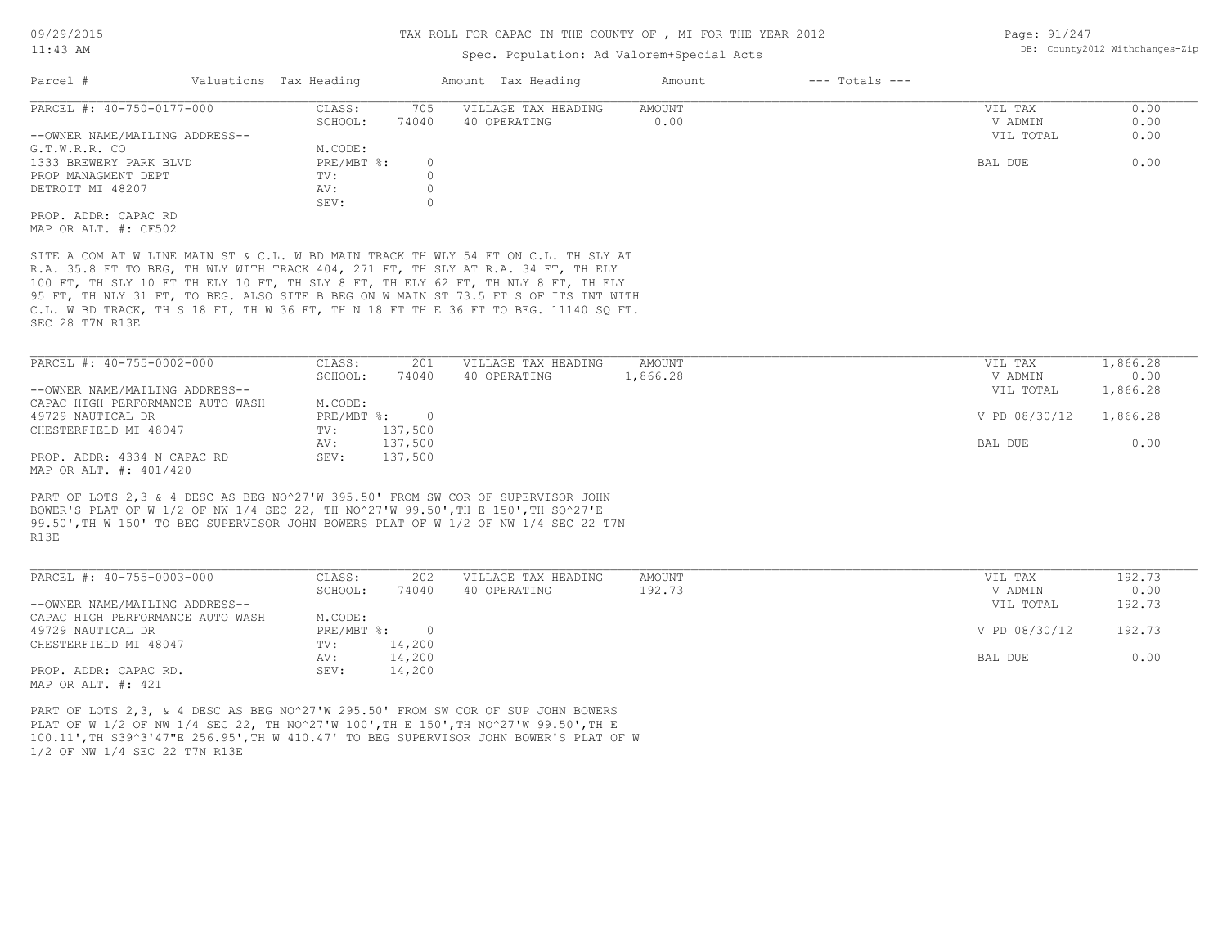#### TAX ROLL FOR CAPAC IN THE COUNTY OF , MI FOR THE YEAR 2012

# Spec. Population: Ad Valorem+Special Act

| YEAR 2012 | Page: 91/247                   |  |
|-----------|--------------------------------|--|
| 5S        | DB: County2012 Withchanges-Zip |  |
|           |                                |  |

| Parcel #                       | Valuations Tax Heading |       | Amount Tax Heading  | Amount | $---$ Totals $---$ |           |      |
|--------------------------------|------------------------|-------|---------------------|--------|--------------------|-----------|------|
| PARCEL #: 40-750-0177-000      | CLASS:                 | 705   | VILLAGE TAX HEADING | AMOUNT |                    | VIL TAX   | 0.00 |
|                                | SCHOOL:                | 74040 | 40 OPERATING        | 0.00   |                    | V ADMIN   | 0.00 |
| --OWNER NAME/MAILING ADDRESS-- |                        |       |                     |        |                    | VIL TOTAL | 0.00 |
| G.T.W.R.R. CO                  | M.CODE:                |       |                     |        |                    |           |      |
| 1333 BREWERY PARK BLVD         | $PRE/MBT$ %:           |       |                     |        |                    | BAL DUE   | 0.00 |
| PROP MANAGMENT DEPT            | TV:                    |       |                     |        |                    |           |      |
| DETROIT MI 48207               | AV:                    |       |                     |        |                    |           |      |
|                                | SEV:                   |       |                     |        |                    |           |      |
| PROP. ADDR: CAPAC RD           |                        |       |                     |        |                    |           |      |
|                                |                        |       |                     |        |                    |           |      |

MAP OR ALT. #: CF502

SEC 28 T7N R13E C.L. W BD TRACK, TH S 18 FT, TH W 36 FT, TH N 18 FT TH E 36 FT TO BEG. 11140 SQ FT. 95 FT, TH NLY 31 FT, TO BEG. ALSO SITE B BEG ON W MAIN ST 73.5 FT S OF ITS INT WITH 100 FT, TH SLY 10 FT TH ELY 10 FT, TH SLY 8 FT, TH ELY 62 FT, TH NLY 8 FT, TH ELY R.A. 35.8 FT TO BEG, TH WLY WITH TRACK 404, 271 FT, TH SLY AT R.A. 34 FT, TH ELY SITE A COM AT W LINE MAIN ST & C.L. W BD MAIN TRACK TH WLY 54 FT ON C.L. TH SLY AT

| PARCEL #: 40-755-0002-000        | CLASS:     | 201     | VILLAGE TAX HEADING | AMOUNT   | VIL TAX       | 1,866.28 |
|----------------------------------|------------|---------|---------------------|----------|---------------|----------|
|                                  | SCHOOL:    | 74040   | 40 OPERATING        | 1,866.28 | V ADMIN       | 0.00     |
| --OWNER NAME/MAILING ADDRESS--   |            |         |                     |          | VIL TOTAL     | 1,866.28 |
| CAPAC HIGH PERFORMANCE AUTO WASH | M.CODE:    |         |                     |          |               |          |
| 49729 NAUTICAL DR                | PRE/MBT %: |         |                     |          | V PD 08/30/12 | 1,866.28 |
| CHESTERFIELD MI 48047            | TV:        | 137,500 |                     |          |               |          |
|                                  | AV:        | 137,500 |                     |          | BAL DUE       | 0.00     |
| PROP. ADDR: 4334 N CAPAC RD      | SEV:       | 137,500 |                     |          |               |          |

MAP OR ALT. #: 401/420

R13E 99.50',TH W 150' TO BEG SUPERVISOR JOHN BOWERS PLAT OF W 1/2 OF NW 1/4 SEC 22 T7N BOWER'S PLAT OF W 1/2 OF NW 1/4 SEC 22, TH NO^27'W 99.50',TH E 150',TH SO^27'E PART OF LOTS 2,3 & 4 DESC AS BEG NO^27'W 395.50' FROM SW COR OF SUPERVISOR JOHN

| PARCEL #: 40-755-0003-000        | CLASS:     | 202    | VILLAGE TAX HEADING | AMOUNT | VIL TAX       | 192.73 |
|----------------------------------|------------|--------|---------------------|--------|---------------|--------|
|                                  | SCHOOL:    | 74040  | 40 OPERATING        | 192.73 | V ADMIN       | 0.00   |
| --OWNER NAME/MAILING ADDRESS--   |            |        |                     |        | VIL TOTAL     | 192.73 |
| CAPAC HIGH PERFORMANCE AUTO WASH | M.CODE:    |        |                     |        |               |        |
| 49729 NAUTICAL DR                | PRE/MBT %: | $\cap$ |                     |        | V PD 08/30/12 | 192.73 |
| CHESTERFIELD MI 48047            | TV:        | 14,200 |                     |        |               |        |
|                                  | AV:        | 14,200 |                     |        | BAL DUE       | 0.00   |
| PROP. ADDR: CAPAC RD.            | SEV:       | 14,200 |                     |        |               |        |
|                                  |            |        |                     |        |               |        |

MAP OR ALT. #: 421

1/2 OF NW 1/4 SEC 22 T7N R13E 100.11',TH S39^3'47"E 256.95',TH W 410.47' TO BEG SUPERVISOR JOHN BOWER'S PLAT OF W PLAT OF W 1/2 OF NW 1/4 SEC 22, TH NO^27'W 100',TH E 150',TH NO^27'W 99.50',TH E PART OF LOTS 2,3, & 4 DESC AS BEG NO^27'W 295.50' FROM SW COR OF SUP JOHN BOWERS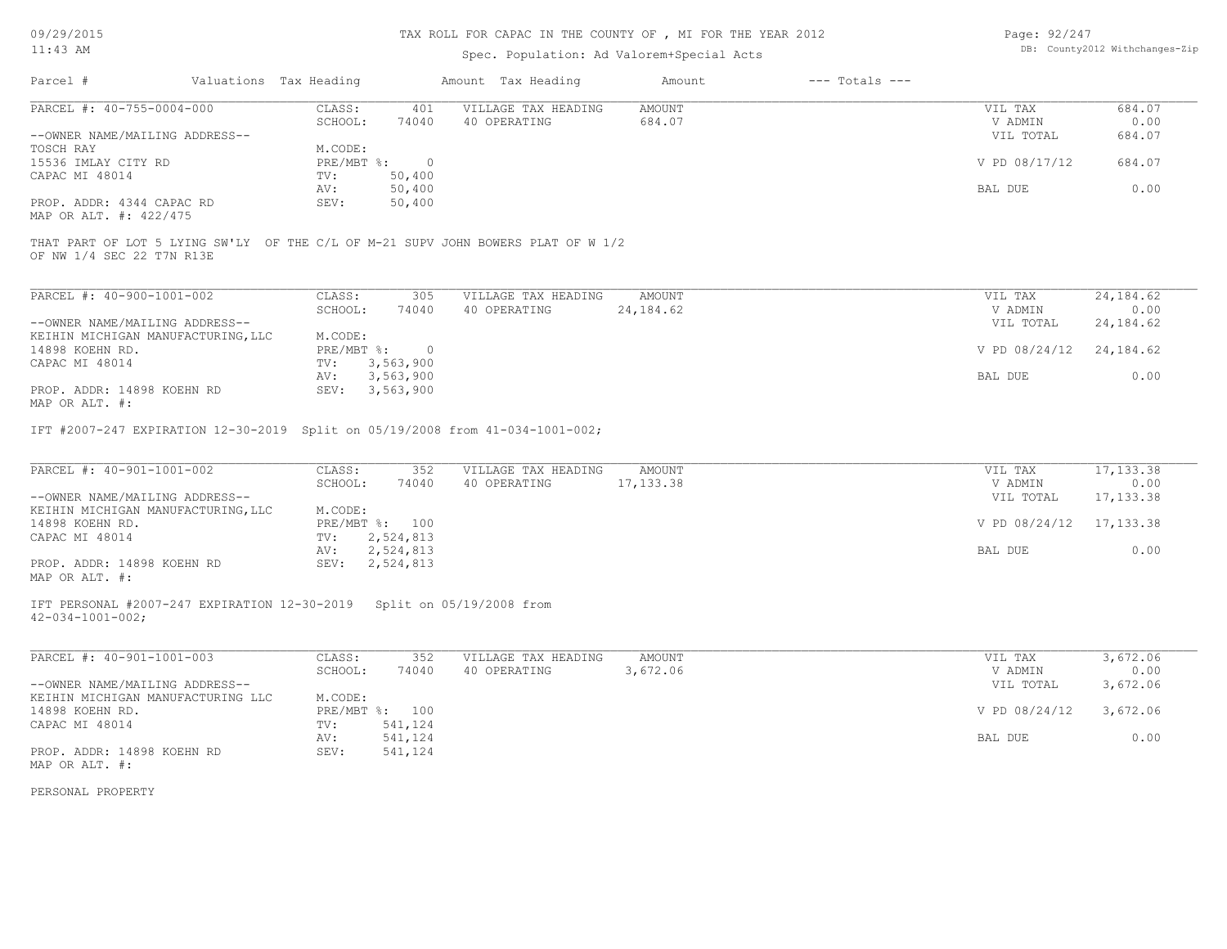# TAX ROLL FOR CAPAC IN THE COUNTY OF , MI FOR THE YEAR 2012

# Spec. Population: Ad Valorem+Special Acts

| Page: 92/247 |                                |
|--------------|--------------------------------|
|              | DB: County2012 Withchanges-Zip |

|                                                                                                               |                                              |                                     | Spec. Population: Ad Valorem+Special Acts |                    |                                 |                                  |
|---------------------------------------------------------------------------------------------------------------|----------------------------------------------|-------------------------------------|-------------------------------------------|--------------------|---------------------------------|----------------------------------|
| Parcel #<br>Valuations Tax Heading                                                                            |                                              | Amount Tax Heading                  | Amount                                    | $---$ Totals $---$ |                                 |                                  |
| PARCEL #: 40-755-0004-000                                                                                     | CLASS:<br>401                                | VILLAGE TAX HEADING                 | <b>AMOUNT</b>                             |                    | VIL TAX                         | 684.07                           |
|                                                                                                               | SCHOOL:<br>74040                             | 40 OPERATING                        | 684.07                                    |                    | V ADMIN                         | 0.00                             |
| --OWNER NAME/MAILING ADDRESS--                                                                                |                                              |                                     |                                           |                    | VIL TOTAL                       | 684.07                           |
| TOSCH RAY                                                                                                     | M.CODE:                                      |                                     |                                           |                    |                                 |                                  |
| 15536 IMLAY CITY RD                                                                                           | PRE/MBT %: 0                                 |                                     |                                           |                    | V PD 08/17/12                   | 684.07                           |
| CAPAC MI 48014                                                                                                | 50,400<br>TV:                                |                                     |                                           |                    |                                 |                                  |
|                                                                                                               | AV:<br>50,400                                |                                     |                                           |                    | BAL DUE                         | 0.00                             |
| PROP. ADDR: 4344 CAPAC RD                                                                                     | 50,400<br>SEV:                               |                                     |                                           |                    |                                 |                                  |
| MAP OR ALT. #: 422/475                                                                                        |                                              |                                     |                                           |                    |                                 |                                  |
| THAT PART OF LOT 5 LYING SW'LY OF THE C/L OF M-21 SUPV JOHN BOWERS PLAT OF W 1/2<br>OF NW 1/4 SEC 22 T7N R13E |                                              |                                     |                                           |                    |                                 |                                  |
| PARCEL #: 40-900-1001-002                                                                                     | CLASS:<br>305                                | VILLAGE TAX HEADING                 | <b>AMOUNT</b>                             |                    | VIL TAX                         | 24, 184.62                       |
|                                                                                                               |                                              | 40 OPERATING                        | 24, 184.62                                |                    | V ADMIN                         | 0.00                             |
|                                                                                                               | SCHOOL:<br>74040                             |                                     |                                           |                    |                                 |                                  |
| --OWNER NAME/MAILING ADDRESS--                                                                                |                                              |                                     |                                           |                    | VIL TOTAL                       | 24, 184.62                       |
| KEIHIN MICHIGAN MANUFACTURING, LLC                                                                            | M.CODE:                                      |                                     |                                           |                    |                                 |                                  |
| 14898 KOEHN RD.                                                                                               | $PRE/MBT$ $\div$ 0                           |                                     |                                           |                    | V PD 08/24/12 24,184.62         |                                  |
| CAPAC MI 48014                                                                                                | TV:<br>3,563,900                             |                                     |                                           |                    |                                 |                                  |
|                                                                                                               | 3,563,900<br>AV:                             |                                     |                                           |                    | BAL DUE                         | 0.00                             |
| PROP. ADDR: 14898 KOEHN RD<br>MAP OR ALT. #:                                                                  | SEV: 3,563,900                               |                                     |                                           |                    |                                 |                                  |
|                                                                                                               |                                              |                                     |                                           |                    |                                 |                                  |
| PARCEL #: 40-901-1001-002<br>--OWNER NAME/MAILING ADDRESS--<br>KEIHIN MICHIGAN MANUFACTURING, LLC             | CLASS:<br>352<br>SCHOOL:<br>74040<br>M.CODE: | VILLAGE TAX HEADING<br>40 OPERATING | AMOUNT<br>17, 133.38                      |                    | VIL TAX<br>V ADMIN<br>VIL TOTAL | 17, 133.38<br>0.00<br>17, 133.38 |
| 14898 KOEHN RD.                                                                                               | PRE/MBT %: 100                               |                                     |                                           |                    | V PD 08/24/12 17,133.38         |                                  |
| CAPAC MI 48014                                                                                                | 2,524,813<br>$TV$ :<br>2,524,813<br>AV:      |                                     |                                           |                    | BAL DUE                         | 0.00                             |
| PROP. ADDR: 14898 KOEHN RD                                                                                    | SEV: 2,524,813                               |                                     |                                           |                    |                                 |                                  |
| MAP OR ALT. #:                                                                                                |                                              |                                     |                                           |                    |                                 |                                  |
| IFT PERSONAL #2007-247 EXPIRATION 12-30-2019 Split on 05/19/2008 from<br>$42 - 034 - 1001 - 002$ ;            |                                              |                                     |                                           |                    |                                 |                                  |
| PARCEL #: 40-901-1001-003                                                                                     | CLASS:<br>352<br>SCHOOL:                     | VILLAGE TAX HEADING<br>40 OPERATING | <b>AMOUNT</b><br>3,672.06                 |                    | VIL TAX                         | 3,672.06                         |
| --OWNER NAME/MAILING ADDRESS--                                                                                | 74040                                        |                                     |                                           |                    | V ADMIN                         | 0.00                             |
|                                                                                                               |                                              |                                     |                                           |                    | VIL TOTAL                       | 3,672.06                         |
| KEIHIN MICHIGAN MANUFACTURING LLC                                                                             | M.CODE:                                      |                                     |                                           |                    |                                 |                                  |
| 14898 KOEHN RD.                                                                                               | PRE/MBT %: 100                               |                                     |                                           |                    | V PD 08/24/12                   | 3,672.06                         |
| CAPAC MI 48014                                                                                                | 541,124<br>TV:                               |                                     |                                           |                    |                                 |                                  |
|                                                                                                               | 541,124<br>AV:                               |                                     |                                           |                    | BAL DUE                         | 0.00                             |
| PROP. ADDR: 14898 KOEHN RD                                                                                    | 541,124<br>SEV:                              |                                     |                                           |                    |                                 |                                  |
| MAP OR ALT. #:                                                                                                |                                              |                                     |                                           |                    |                                 |                                  |
|                                                                                                               |                                              |                                     |                                           |                    |                                 |                                  |
| PERSONAL PROPERTY                                                                                             |                                              |                                     |                                           |                    |                                 |                                  |
|                                                                                                               |                                              |                                     |                                           |                    |                                 |                                  |
|                                                                                                               |                                              |                                     |                                           |                    |                                 |                                  |
|                                                                                                               |                                              |                                     |                                           |                    |                                 |                                  |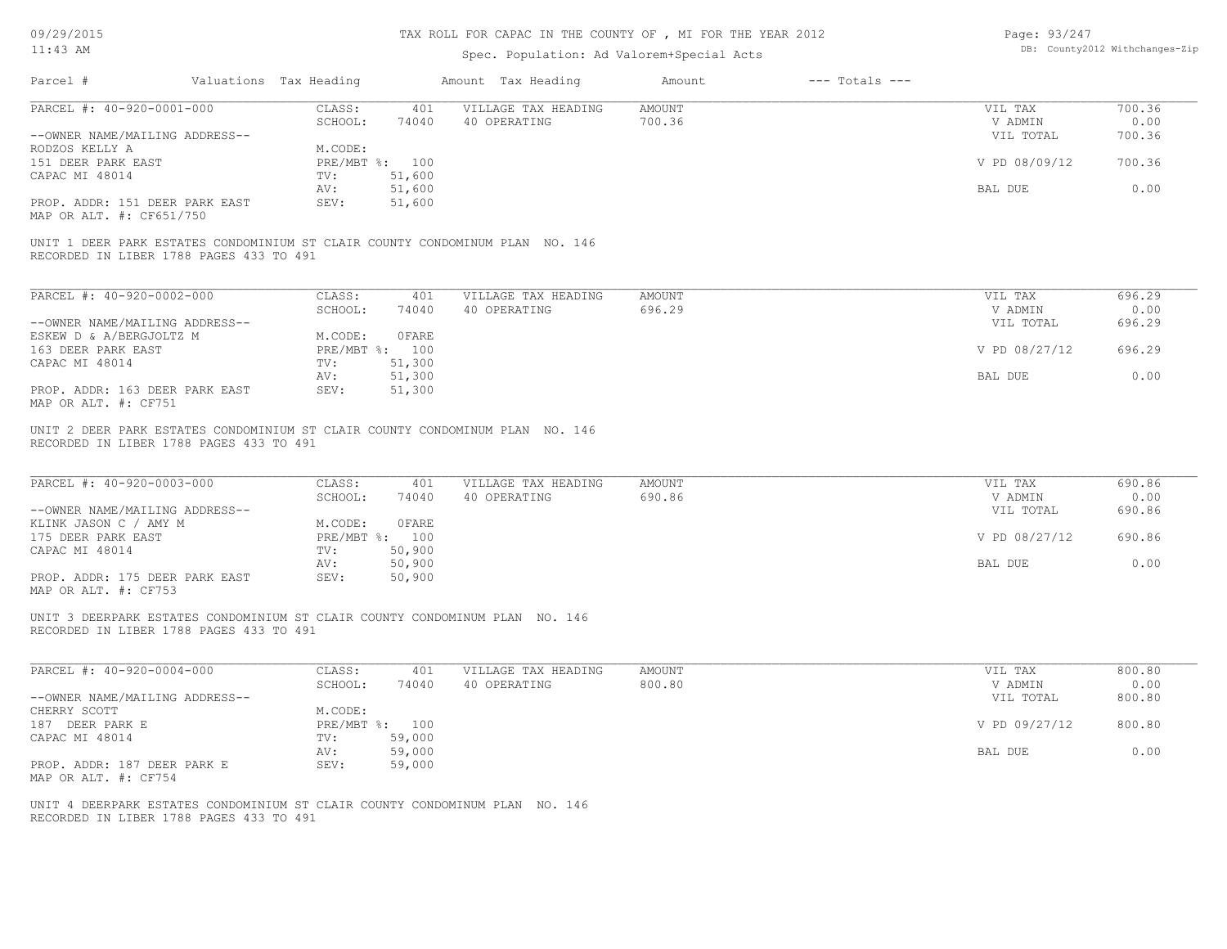# TAX ROLL FOR CAPAC IN THE COUNTY OF , MI FOR THE YEAR 2012

| Page: 93/247 |                                |
|--------------|--------------------------------|
|              | DB: County2012 Withchanges-Zip |

| $11:43$ AM                                                                                                              |                        |                          | Spec. Population: Ad Valorem+Special Acts |                         |                    |                    | DB: County2012 Withchanges-Zip |
|-------------------------------------------------------------------------------------------------------------------------|------------------------|--------------------------|-------------------------------------------|-------------------------|--------------------|--------------------|--------------------------------|
| Parcel #                                                                                                                | Valuations Tax Heading |                          | Amount Tax Heading                        | Amount                  | $---$ Totals $---$ |                    |                                |
| PARCEL #: 40-920-0001-000                                                                                               | CLASS:<br>SCHOOL:      | 401<br>74040             | VILLAGE TAX HEADING<br>40 OPERATING       | <b>AMOUNT</b><br>700.36 |                    | VIL TAX<br>V ADMIN | 700.36<br>0.00                 |
| --OWNER NAME/MAILING ADDRESS--<br>RODZOS KELLY A                                                                        | M.CODE:                |                          |                                           |                         |                    | VIL TOTAL          | 700.36                         |
| 151 DEER PARK EAST<br>CAPAC MI 48014                                                                                    | TV:                    | PRE/MBT %: 100<br>51,600 |                                           |                         |                    | V PD 08/09/12      | 700.36                         |
| PROP. ADDR: 151 DEER PARK EAST                                                                                          | AV:<br>SEV:            | 51,600<br>51,600         |                                           |                         |                    | BAL DUE            | 0.00                           |
| MAP OR ALT. #: CF651/750                                                                                                |                        |                          |                                           |                         |                    |                    |                                |
| UNIT 1 DEER PARK ESTATES CONDOMINIUM ST CLAIR COUNTY CONDOMINUM PLAN NO. 146<br>RECORDED IN LIBER 1788 PAGES 433 TO 491 |                        |                          |                                           |                         |                    |                    |                                |
| PARCEL #: 40-920-0002-000                                                                                               | CLASS:                 | 401                      | VILLAGE TAX HEADING                       | <b>AMOUNT</b>           |                    | VIL TAX            | 696.29                         |
|                                                                                                                         | SCHOOL:                | 74040                    | 40 OPERATING                              | 696.29                  |                    | V ADMIN            | 0.00                           |
| --OWNER NAME/MAILING ADDRESS--                                                                                          | M.CODE:                | 0FARE                    |                                           |                         |                    | VIL TOTAL          | 696.29                         |
| ESKEW D & A/BERGJOLTZ M<br>163 DEER PARK EAST                                                                           |                        | PRE/MBT %: 100           |                                           |                         |                    | V PD 08/27/12      | 696.29                         |
| CAPAC MI 48014                                                                                                          | TV:                    | 51,300                   |                                           |                         |                    |                    |                                |
|                                                                                                                         | AV:                    | 51,300                   |                                           |                         |                    | BAL DUE            | 0.00                           |
| PROP. ADDR: 163 DEER PARK EAST<br>MAP OR ALT. #: CF751                                                                  | SEV:                   | 51,300                   |                                           |                         |                    |                    |                                |
| PARCEL #: 40-920-0003-000                                                                                               | CLASS:<br>SCHOOL:      | 401<br>74040             | VILLAGE TAX HEADING<br>40 OPERATING       | <b>AMOUNT</b><br>690.86 |                    | VIL TAX<br>V ADMIN | 690.86<br>0.00                 |
| --OWNER NAME/MAILING ADDRESS--<br>KLINK JASON C / AMY M                                                                 | M.CODE:                | OFARE                    |                                           |                         |                    | VIL TOTAL          | 690.86                         |
| 175 DEER PARK EAST<br>CAPAC MI 48014                                                                                    | TV:                    | PRE/MBT %: 100<br>50,900 |                                           |                         |                    | V PD 08/27/12      | 690.86                         |
|                                                                                                                         | AV:                    | 50,900                   |                                           |                         |                    | <b>BAL DUE</b>     | 0.00                           |
| PROP. ADDR: 175 DEER PARK EAST<br>MAP OR ALT. #: CF753                                                                  | SEV:                   | 50,900                   |                                           |                         |                    |                    |                                |
| UNIT 3 DEERPARK ESTATES CONDOMINIUM ST CLAIR COUNTY CONDOMINUM PLAN NO. 146<br>RECORDED IN LIBER 1788 PAGES 433 TO 491  |                        |                          |                                           |                         |                    |                    |                                |
| PARCEL #: 40-920-0004-000                                                                                               | CLASS:                 | 401                      | VILLAGE TAX HEADING                       | <b>AMOUNT</b>           |                    | VIL TAX            | 800.80                         |
|                                                                                                                         | SCHOOL:                | 74040                    | 40 OPERATING                              | 800.80                  |                    | V ADMIN            | 0.00                           |
| --OWNER NAME/MAILING ADDRESS--<br>CHERRY SCOTT                                                                          |                        |                          |                                           |                         |                    | VIL TOTAL          | 800.80                         |
| 187 DEER PARK E                                                                                                         | M.CODE:                | PRE/MBT %: 100           |                                           |                         |                    | V PD 09/27/12      | 800.80                         |
| CAPAC MI 48014                                                                                                          | TV:                    | 59,000                   |                                           |                         |                    |                    |                                |
|                                                                                                                         | AV:<br>SEV:            | 59,000<br>59,000         |                                           |                         |                    | BAL DUE            | 0.00                           |
| PROP. ADDR: 187 DEER PARK E<br>MAP OR ALT. #: CF754                                                                     |                        |                          |                                           |                         |                    |                    |                                |
|                                                                                                                         |                        |                          |                                           |                         |                    |                    |                                |
| UNIT 4 DEERPARK ESTATES CONDOMINIUM ST CLAIR COUNTY CONDOMINUM PLAN NO. 146<br>RECORDED IN LIBER 1788 PAGES 433 TO 491  |                        |                          |                                           |                         |                    |                    |                                |
|                                                                                                                         |                        |                          |                                           |                         |                    |                    |                                |
|                                                                                                                         |                        |                          |                                           |                         |                    |                    |                                |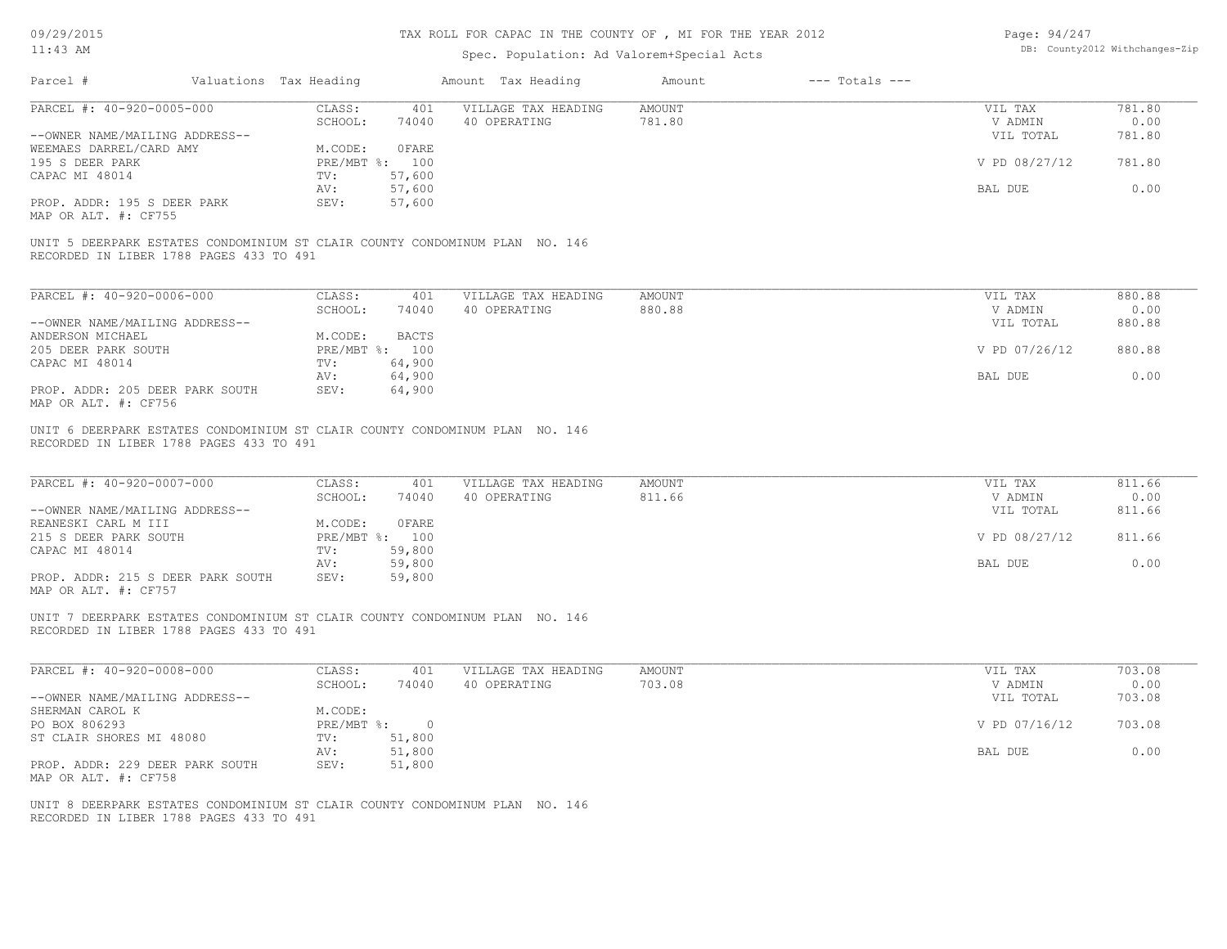# TAX ROLL FOR CAPAC IN THE COUNTY OF , MI FOR THE YEAR 2012

# Spec. Population: Ad Valorem+Special Acts

| Page: 94/247 |                                |
|--------------|--------------------------------|
|              | DB: County2012 Withchanges-Zip |

|                                                                                                                        |                |              | Amount Tax Heading  | Amount        | $---$ Totals $---$ |               |        |
|------------------------------------------------------------------------------------------------------------------------|----------------|--------------|---------------------|---------------|--------------------|---------------|--------|
| PARCEL #: 40-920-0005-000                                                                                              | CLASS:         | 401          | VILLAGE TAX HEADING | AMOUNT        |                    | VIL TAX       | 781.80 |
|                                                                                                                        | SCHOOL:        | 74040        | 40 OPERATING        | 781.80        |                    | V ADMIN       | 0.00   |
| --OWNER NAME/MAILING ADDRESS--                                                                                         |                |              |                     |               |                    | VIL TOTAL     | 781.80 |
| WEEMAES DARREL/CARD AMY                                                                                                | M.CODE:        | OFARE        |                     |               |                    |               |        |
| 195 S DEER PARK                                                                                                        | PRE/MBT %: 100 |              |                     |               |                    | V PD 08/27/12 | 781.80 |
| CAPAC MI 48014                                                                                                         | TV:            | 57,600       |                     |               |                    |               |        |
|                                                                                                                        | AV:            | 57,600       |                     |               |                    | BAL DUE       | 0.00   |
| PROP. ADDR: 195 S DEER PARK                                                                                            | SEV:           | 57,600       |                     |               |                    |               |        |
| MAP OR ALT. #: CF755                                                                                                   |                |              |                     |               |                    |               |        |
| UNIT 5 DEERPARK ESTATES CONDOMINIUM ST CLAIR COUNTY CONDOMINUM PLAN NO. 146<br>RECORDED IN LIBER 1788 PAGES 433 TO 491 |                |              |                     |               |                    |               |        |
| PARCEL #: 40-920-0006-000                                                                                              | CLASS: 401     |              | VILLAGE TAX HEADING | <b>AMOUNT</b> |                    | VIL TAX       | 880.88 |
|                                                                                                                        | SCHOOL:        | 74040        | 40 OPERATING        | 880.88        |                    | V ADMIN       | 0.00   |
| --OWNER NAME/MAILING ADDRESS--                                                                                         |                |              |                     |               |                    | VIL TOTAL     | 880.88 |
| ANDERSON MICHAEL                                                                                                       | M.CODE:        | <b>BACTS</b> |                     |               |                    |               |        |
| 205 DEER PARK SOUTH                                                                                                    | PRE/MBT %: 100 |              |                     |               |                    | V PD 07/26/12 | 880.88 |
|                                                                                                                        |                |              |                     |               |                    |               |        |
| CAPAC MI 48014                                                                                                         | TV:            | 64,900       |                     |               |                    |               |        |
|                                                                                                                        | AV:            | 64,900       |                     |               |                    | BAL DUE       | 0.00   |
| PROP. ADDR: 205 DEER PARK SOUTH<br>MAP OR ALT. #: CF756                                                                | SEV:           | 64,900       |                     |               |                    |               |        |
| RECORDED IN LIBER 1788 PAGES 433 TO 491                                                                                |                |              |                     |               |                    |               |        |
| PARCEL #: 40-920-0007-000                                                                                              | CLASS:         | 401          | VILLAGE TAX HEADING | AMOUNT        |                    | VIL TAX       | 811.66 |
|                                                                                                                        | SCHOOL:        | 74040        | 40 OPERATING        | 811.66        |                    | V ADMIN       | 0.00   |
| --OWNER NAME/MAILING ADDRESS--                                                                                         |                |              |                     |               |                    | VIL TOTAL     | 811.66 |
| REANESKI CARL M III                                                                                                    | M.CODE:        | OFARE        |                     |               |                    |               |        |
| 215 S DEER PARK SOUTH                                                                                                  | PRE/MBT %: 100 |              |                     |               |                    | V PD 08/27/12 | 811.66 |
| CAPAC MI 48014                                                                                                         | $TV$ :         | 59,800       |                     |               |                    |               |        |
|                                                                                                                        | AV:            | 59,800       |                     |               |                    | BAL DUE       | 0.00   |
| PROP. ADDR: 215 S DEER PARK SOUTH<br>MAP OR ALT. #: CF757                                                              | SEV:           | 59,800       |                     |               |                    |               |        |
| UNIT 7 DEERPARK ESTATES CONDOMINIUM ST CLAIR COUNTY CONDOMINUM PLAN NO. 146<br>RECORDED IN LIBER 1788 PAGES 433 TO 491 |                |              |                     |               |                    |               |        |
| PARCEL #: 40-920-0008-000                                                                                              | CLASS:         | 401          | VILLAGE TAX HEADING | AMOUNT        |                    | VIL TAX       | 703.08 |
|                                                                                                                        | SCHOOL:        | 74040        | 40 OPERATING        | 703.08        |                    | V ADMIN       | 0.00   |
| --OWNER NAME/MAILING ADDRESS--                                                                                         |                |              |                     |               |                    | VIL TOTAL     | 703.08 |
| SHERMAN CAROL K                                                                                                        | M.CODE:        |              |                     |               |                    |               |        |
| PO BOX 806293                                                                                                          | PRE/MBT %: 0   |              |                     |               |                    | V PD 07/16/12 | 703.08 |
| ST CLAIR SHORES MI 48080                                                                                               | TV:            | 51,800       |                     |               |                    |               |        |
|                                                                                                                        | AV:            | 51,800       |                     |               |                    | BAL DUE       | 0.00   |
| PROP. ADDR: 229 DEER PARK SOUTH<br>MAP OR ALT. #: CF758                                                                | SEV:           | 51,800       |                     |               |                    |               |        |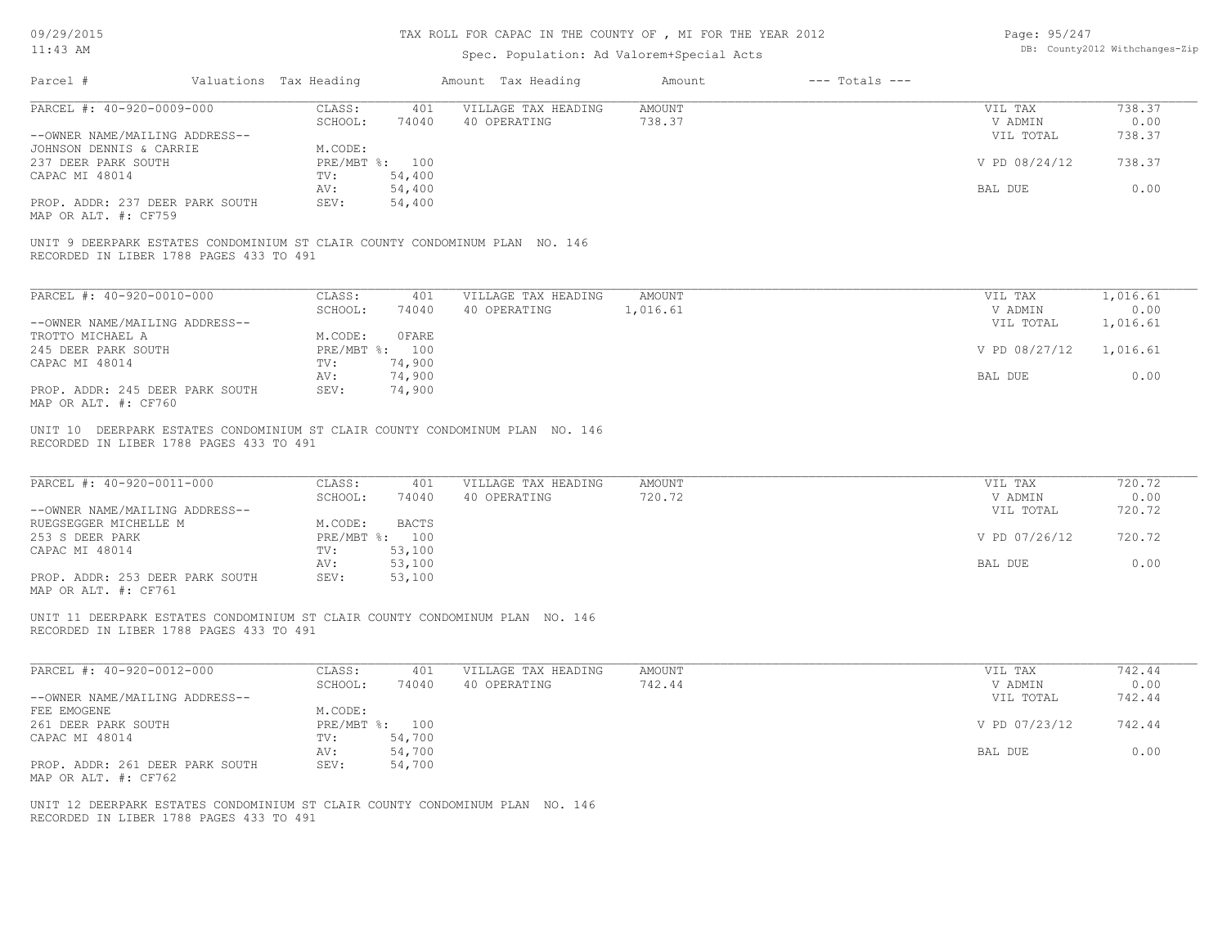# TAX ROLL FOR CAPAC IN THE COUNTY OF , MI FOR THE YEAR 2012

# Spec. Population: Ad Valorem+Special Acts

| Page: 95/247 |                                |
|--------------|--------------------------------|
|              | DB: County2012 Withchanges-Zip |

| Parcel #                                                                                                                | Valuations Tax Heading                     | Amount Tax Heading                  | Amount                  | $---$ Totals $---$ |                      |                |
|-------------------------------------------------------------------------------------------------------------------------|--------------------------------------------|-------------------------------------|-------------------------|--------------------|----------------------|----------------|
| PARCEL #: 40-920-0009-000                                                                                               | CLASS:<br>401<br>SCHOOL:<br>74040          | VILLAGE TAX HEADING<br>40 OPERATING | <b>AMOUNT</b><br>738.37 |                    | VIL TAX<br>V ADMIN   | 738.37<br>0.00 |
| --OWNER NAME/MAILING ADDRESS--                                                                                          |                                            |                                     |                         |                    | VIL TOTAL            | 738.37         |
| JOHNSON DENNIS & CARRIE<br>237 DEER PARK SOUTH<br>CAPAC MI 48014                                                        | M.CODE:<br>PRE/MBT %: 100<br>54,400<br>TV: |                                     |                         |                    | V PD 08/24/12        | 738.37         |
|                                                                                                                         | 54,400<br>AV:                              |                                     |                         |                    | BAL DUE              | 0.00           |
| PROP. ADDR: 237 DEER PARK SOUTH<br>MAP OR ALT. #: CF759                                                                 | 54,400<br>SEV:                             |                                     |                         |                    |                      |                |
| UNIT 9 DEERPARK ESTATES CONDOMINIUM ST CLAIR COUNTY CONDOMINUM PLAN NO. 146<br>RECORDED IN LIBER 1788 PAGES 433 TO 491  |                                            |                                     |                         |                    |                      |                |
| PARCEL #: 40-920-0010-000                                                                                               | CLASS:<br>401                              | VILLAGE TAX HEADING                 | AMOUNT                  |                    | VIL TAX              | 1,016.61       |
|                                                                                                                         | SCHOOL:<br>74040                           | 40 OPERATING                        | 1,016.61                |                    | V ADMIN              | 0.00           |
| --OWNER NAME/MAILING ADDRESS--                                                                                          |                                            |                                     |                         |                    | VIL TOTAL            | 1,016.61       |
| TROTTO MICHAEL A                                                                                                        | <b>OFARE</b><br>M.CODE:                    |                                     |                         |                    |                      |                |
| 245 DEER PARK SOUTH<br>CAPAC MI 48014                                                                                   | PRE/MBT %: 100<br>74,900<br>TV:            |                                     |                         |                    | V PD 08/27/12        | 1,016.61       |
|                                                                                                                         | AV:<br>74,900                              |                                     |                         |                    | BAL DUE              | 0.00           |
| PROP. ADDR: 245 DEER PARK SOUTH<br>MAP OR ALT. #: CF760                                                                 | SEV:<br>74,900                             |                                     |                         |                    |                      |                |
| UNIT 10 DEERPARK ESTATES CONDOMINIUM ST CLAIR COUNTY CONDOMINUM PLAN NO. 146<br>RECORDED IN LIBER 1788 PAGES 433 TO 491 |                                            |                                     |                         |                    |                      |                |
|                                                                                                                         |                                            |                                     |                         |                    |                      |                |
| PARCEL #: 40-920-0011-000                                                                                               | CLASS:<br>401<br>SCHOOL:<br>74040          | VILLAGE TAX HEADING<br>40 OPERATING | AMOUNT<br>720.72        |                    | VIL TAX<br>V ADMIN   | 720.72<br>0.00 |
| --OWNER NAME/MAILING ADDRESS--                                                                                          |                                            |                                     |                         |                    | VIL TOTAL            | 720.72         |
| RUEGSEGGER MICHELLE M                                                                                                   | M.CODE:<br>BACTS                           |                                     |                         |                    |                      |                |
| 253 S DEER PARK                                                                                                         | PRE/MBT %: 100                             |                                     |                         |                    | V PD 07/26/12        | 720.72         |
| CAPAC MI 48014                                                                                                          | 53,100<br>TV:<br>53,100<br>AV:             |                                     |                         |                    | BAL DUE              | 0.00           |
| PROP. ADDR: 253 DEER PARK SOUTH<br>MAP OR ALT. #: CF761                                                                 | SEV:<br>53,100                             |                                     |                         |                    |                      |                |
| UNIT 11 DEERPARK ESTATES CONDOMINIUM ST CLAIR COUNTY CONDOMINUM PLAN NO. 146<br>RECORDED IN LIBER 1788 PAGES 433 TO 491 |                                            |                                     |                         |                    |                      |                |
|                                                                                                                         |                                            |                                     |                         |                    |                      |                |
| PARCEL #: 40-920-0012-000                                                                                               | CLASS:<br>401                              | VILLAGE TAX HEADING                 | AMOUNT                  |                    | VIL TAX              | 742.44         |
| --OWNER NAME/MAILING ADDRESS--                                                                                          | SCHOOL:<br>74040                           | 40 OPERATING                        | 742.44                  |                    | V ADMIN<br>VIL TOTAL | 0.00<br>742.44 |
| FEE EMOGENE<br>261 DEER PARK SOUTH                                                                                      | M.CODE:<br>PRE/MBT %: 100                  |                                     |                         |                    | V PD 07/23/12        | 742.44         |
| CAPAC MI 48014                                                                                                          | 54,700<br>TV:                              |                                     |                         |                    |                      |                |
| PROP. ADDR: 261 DEER PARK SOUTH<br>MAP OR ALT. #: CF762                                                                 | 54,700<br>AV:<br>SEV:<br>54,700            |                                     |                         |                    | BAL DUE              | 0.00           |

RECORDED IN LIBER 1788 PAGES 433 TO 491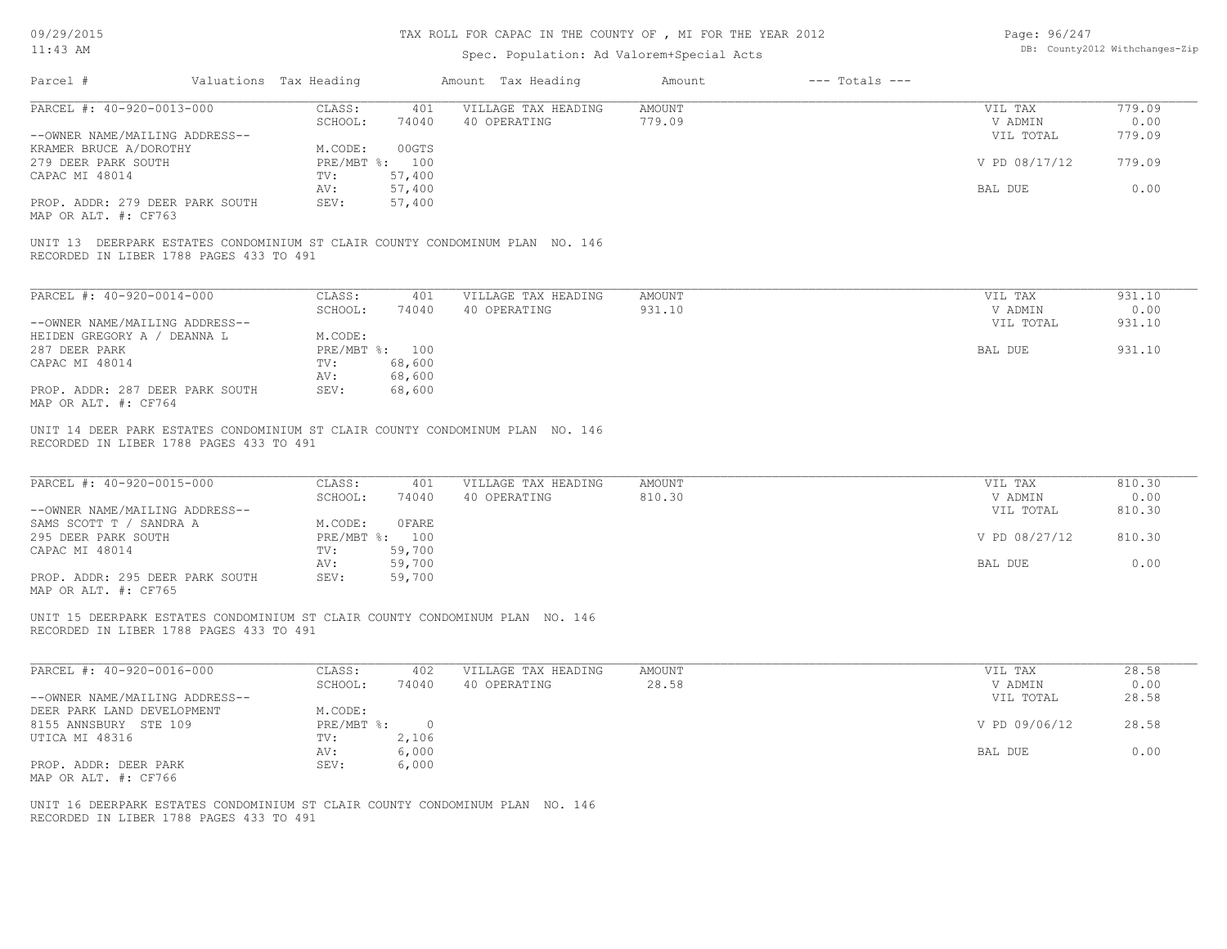# TAX ROLL FOR CAPAC IN THE COUNTY OF , MI FOR THE YEAR 2012

# Spec. Population: Ad Valorem+Special Acts

| Page: 96/247 |                                |
|--------------|--------------------------------|
|              | DB: County2012 Withchanges-Zip |

|                                                          |                        |                |                             | spec. ropulation. Ad valorem-special Acts                                    |               |                    |               |        |
|----------------------------------------------------------|------------------------|----------------|-----------------------------|------------------------------------------------------------------------------|---------------|--------------------|---------------|--------|
| Parcel #                                                 | Valuations Tax Heading |                |                             | Amount Tax Heading                                                           | Amount        | $---$ Totals $---$ |               |        |
| PARCEL #: 40-920-0013-000                                |                        | CLASS:         | 401                         | VILLAGE TAX HEADING                                                          | <b>AMOUNT</b> |                    | VIL TAX       | 779.09 |
|                                                          |                        | SCHOOL:        | 74040                       | 40 OPERATING                                                                 | 779.09        |                    | V ADMIN       | 0.00   |
| --OWNER NAME/MAILING ADDRESS--<br>KRAMER BRUCE A/DOROTHY |                        | M.CODE:        | 00GTS                       |                                                                              |               |                    | VIL TOTAL     | 779.09 |
| 279 DEER PARK SOUTH                                      |                        | PRE/MBT %: 100 |                             |                                                                              |               |                    | V PD 08/17/12 | 779.09 |
| CAPAC MI 48014                                           |                        | TV:            | 57,400                      |                                                                              |               |                    |               |        |
|                                                          |                        | AV:            | 57,400                      |                                                                              |               |                    | BAL DUE       | 0.00   |
| PROP. ADDR: 279 DEER PARK SOUTH                          |                        | SEV:           | 57,400                      |                                                                              |               |                    |               |        |
| MAP OR ALT. #: CF763                                     |                        |                |                             |                                                                              |               |                    |               |        |
| RECORDED IN LIBER 1788 PAGES 433 TO 491                  |                        |                |                             | UNIT 13 DEERPARK ESTATES CONDOMINIUM ST CLAIR COUNTY CONDOMINUM PLAN NO. 146 |               |                    |               |        |
| PARCEL #: 40-920-0014-000                                |                        | CLASS:         | 401                         | VILLAGE TAX HEADING                                                          | <b>AMOUNT</b> |                    | VIL TAX       | 931.10 |
|                                                          |                        | SCHOOL:        | 74040                       | 40 OPERATING                                                                 | 931.10        |                    | V ADMIN       | 0.00   |
| --OWNER NAME/MAILING ADDRESS--                           |                        |                |                             |                                                                              |               |                    | VIL TOTAL     | 931.10 |
| HEIDEN GREGORY A / DEANNA L                              |                        | M.CODE:        |                             |                                                                              |               |                    |               |        |
| 287 DEER PARK                                            |                        | PRE/MBT %: 100 |                             |                                                                              |               |                    | BAL DUE       | 931.10 |
| CAPAC MI 48014                                           |                        | TV:            | 68,600                      |                                                                              |               |                    |               |        |
|                                                          |                        | AV:            | 68,600                      |                                                                              |               |                    |               |        |
| PROP. ADDR: 287 DEER PARK SOUTH<br>MAP OR ALT. #: CF764  |                        | SEV:           | 68,600                      |                                                                              |               |                    |               |        |
| PARCEL #: 40-920-0015-000                                |                        | CLASS:         | 401                         | VILLAGE TAX HEADING                                                          | <b>AMOUNT</b> |                    | VIL TAX       | 810.30 |
|                                                          |                        | SCHOOL:        | 74040                       | 40 OPERATING                                                                 | 810.30        |                    | V ADMIN       | 0.00   |
| --OWNER NAME/MAILING ADDRESS--                           |                        |                |                             |                                                                              |               |                    | VIL TOTAL     | 810.30 |
| SAMS SCOTT T / SANDRA A                                  |                        | M.CODE:        | OFARE                       |                                                                              |               |                    |               |        |
| 295 DEER PARK SOUTH                                      |                        | PRE/MBT %: 100 |                             |                                                                              |               |                    | V PD 08/27/12 | 810.30 |
| CAPAC MI 48014                                           |                        | TV:            | 59,700                      |                                                                              |               |                    |               |        |
|                                                          |                        | AV:            | 59,700                      |                                                                              |               |                    | BAL DUE       | 0.00   |
| PROP. ADDR: 295 DEER PARK SOUTH<br>MAP OR ALT. #: CF765  |                        | SEV:           | 59,700                      |                                                                              |               |                    |               |        |
| RECORDED IN LIBER 1788 PAGES 433 TO 491                  |                        |                |                             | UNIT 15 DEERPARK ESTATES CONDOMINIUM ST CLAIR COUNTY CONDOMINUM PLAN NO. 146 |               |                    |               |        |
| PARCEL #: 40-920-0016-000                                |                        | CLASS:         | 402                         | VILLAGE TAX HEADING                                                          | <b>AMOUNT</b> |                    | VIL TAX       | 28.58  |
|                                                          |                        | SCHOOL:        | 74040                       | 40 OPERATING                                                                 | 28.58         |                    | V ADMIN       | 0.00   |
| --OWNER NAME/MAILING ADDRESS--                           |                        |                |                             |                                                                              |               |                    | VIL TOTAL     | 28.58  |
| DEER PARK LAND DEVELOPMENT                               |                        | M.CODE:        |                             |                                                                              |               |                    |               |        |
| 8155 ANNSBURY STE 109                                    |                        |                | $PRE/MBT$ $\frac{1}{6}$ : 0 |                                                                              |               |                    | V PD 09/06/12 | 28.58  |
| UTICA MI 48316                                           |                        | TV:            | 2,106                       |                                                                              |               |                    |               |        |
|                                                          |                        | AV:            | 6,000                       |                                                                              |               |                    | BAL DUE       | 0.00   |
| PROP. ADDR: DEER PARK                                    |                        | SEV:           | 6,000                       |                                                                              |               |                    |               |        |
| MAP OR ALT. #: CF766                                     |                        |                |                             |                                                                              |               |                    |               |        |
| RECORDED IN LIBER 1788 PAGES 433 TO 491                  |                        |                |                             | UNIT 16 DEERPARK ESTATES CONDOMINIUM ST CLAIR COUNTY CONDOMINUM PLAN NO. 146 |               |                    |               |        |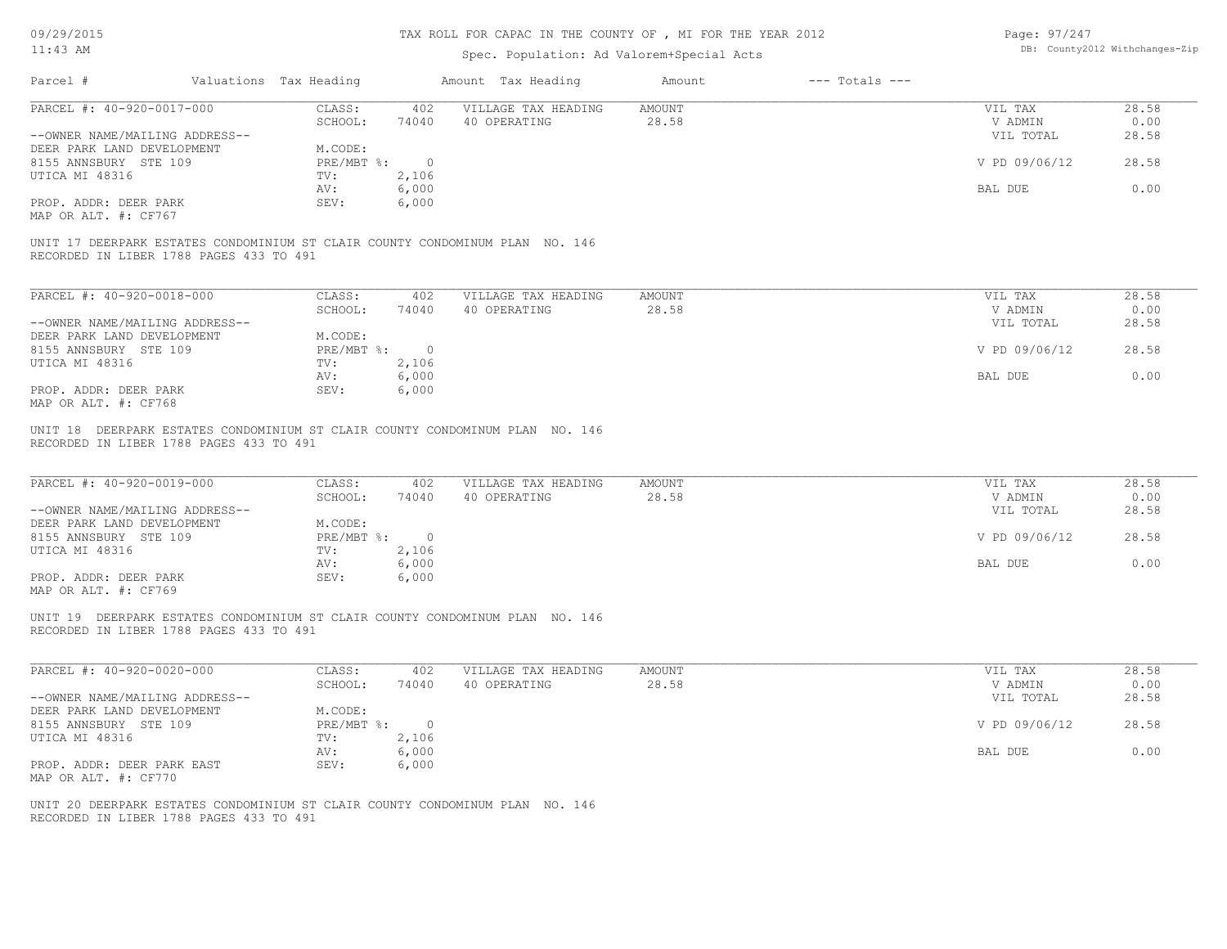# TAX ROLL FOR CAPAC IN THE COUNTY OF , MI FOR THE YEAR 2012

# Spec. Population: Ad Valorem+Special Acts

| Page: 97/247 |                                |
|--------------|--------------------------------|
|              | DB: County2012 Withchanges-Zip |

| PARCEL #: 40-920-0017-000                                                                                               | CLASS:<br>SCHOOL:<br>74040 | 402<br>VILLAGE TAX HEADING                 | <b>AMOUNT</b><br>28.58 | VIL TAX                         | 28.58<br>0.00          |
|-------------------------------------------------------------------------------------------------------------------------|----------------------------|--------------------------------------------|------------------------|---------------------------------|------------------------|
| --OWNER NAME/MAILING ADDRESS--                                                                                          |                            | 40 OPERATING                               |                        | V ADMIN<br>VIL TOTAL            | 28.58                  |
| DEER PARK LAND DEVELOPMENT                                                                                              | M.CODE:                    |                                            |                        |                                 |                        |
| 8155 ANNSBURY STE 109                                                                                                   | $PRE/MBT$ %:<br>$\sim$ 0   |                                            |                        | V PD 09/06/12                   | 28.58                  |
| UTICA MI 48316                                                                                                          | 2,106<br>TV:               |                                            |                        |                                 |                        |
|                                                                                                                         | 6,000<br>AV:               |                                            |                        | BAL DUE                         | 0.00                   |
| PROP. ADDR: DEER PARK                                                                                                   | SEV:<br>6,000              |                                            |                        |                                 |                        |
| MAP OR ALT. #: CF767                                                                                                    |                            |                                            |                        |                                 |                        |
| UNIT 17 DEERPARK ESTATES CONDOMINIUM ST CLAIR COUNTY CONDOMINUM PLAN NO. 146<br>RECORDED IN LIBER 1788 PAGES 433 TO 491 |                            |                                            |                        |                                 |                        |
| PARCEL #: 40-920-0018-000                                                                                               | CLASS:<br>402              | VILLAGE TAX HEADING                        | <b>AMOUNT</b>          | VIL TAX                         | 28.58                  |
|                                                                                                                         | SCHOOL:<br>74040           | 40 OPERATING                               | 28.58                  | V ADMIN                         | 0.00                   |
| --OWNER NAME/MAILING ADDRESS--                                                                                          |                            |                                            |                        | VIL TOTAL                       | 28.58                  |
| DEER PARK LAND DEVELOPMENT                                                                                              | M.CODE:                    |                                            |                        |                                 |                        |
| 8155 ANNSBURY STE 109                                                                                                   | $PRE/MBT$ $\div$ 0         |                                            |                        | V PD 09/06/12                   | 28.58                  |
| UTICA MI 48316                                                                                                          | 2,106<br>TV:               |                                            |                        |                                 |                        |
|                                                                                                                         | 6,000<br>AV:               |                                            |                        | BAL DUE                         | 0.00                   |
| PROP. ADDR: DEER PARK                                                                                                   | SEV:<br>6,000              |                                            |                        |                                 |                        |
| MAP OR ALT. #: CF768                                                                                                    |                            |                                            |                        |                                 |                        |
| UNIT 18 DEERPARK ESTATES CONDOMINIUM ST CLAIR COUNTY CONDOMINUM PLAN NO. 146<br>RECORDED IN LIBER 1788 PAGES 433 TO 491 |                            |                                            |                        |                                 |                        |
| PARCEL #: 40-920-0019-000<br>--OWNER NAME/MAILING ADDRESS--                                                             | CLASS:<br>SCHOOL:<br>74040 | 402<br>VILLAGE TAX HEADING<br>40 OPERATING | AMOUNT<br>28.58        | VIL TAX<br>V ADMIN<br>VIL TOTAL | 28.58<br>0.00<br>28.58 |
| DEER PARK LAND DEVELOPMENT                                                                                              | M.CODE:                    |                                            |                        |                                 |                        |
| 8155 ANNSBURY STE 109                                                                                                   | $PRE/MBT$ $\div$ 0         |                                            |                        | V PD 09/06/12                   | 28.58                  |
| UTICA MI 48316                                                                                                          | 2,106<br>TV:               |                                            |                        |                                 |                        |
|                                                                                                                         | 6,000<br>AV:               |                                            |                        | BAL DUE                         | 0.00                   |
| PROP. ADDR: DEER PARK<br>MAP OR ALT. #: CF769                                                                           | SEV:<br>6,000              |                                            |                        |                                 |                        |
| UNIT 19 DEERPARK ESTATES CONDOMINIUM ST CLAIR COUNTY CONDOMINUM PLAN NO. 146<br>RECORDED IN LIBER 1788 PAGES 433 TO 491 |                            |                                            |                        |                                 |                        |
|                                                                                                                         |                            |                                            |                        |                                 |                        |
| PARCEL #: 40-920-0020-000                                                                                               | CLASS:                     | 402<br>VILLAGE TAX HEADING                 | AMOUNT                 | VIL TAX                         | 28.58                  |
|                                                                                                                         | SCHOOL:<br>74040           | 40 OPERATING                               | 28.58                  | V ADMIN                         | 0.00                   |
| --OWNER NAME/MAILING ADDRESS--                                                                                          |                            |                                            |                        | VIL TOTAL                       | 28.58                  |
| DEER PARK LAND DEVELOPMENT<br>8155 ANNSBURY STE 109                                                                     | M.CODE:<br>PRE/MBT %: 0    |                                            |                        | V PD 09/06/12                   | 28.58                  |
| UTICA MI 48316                                                                                                          | 2,106<br>TV:               |                                            |                        |                                 |                        |
|                                                                                                                         | 6,000<br>AV:               |                                            |                        | BAL DUE                         | 0.00                   |
| PROP. ADDR: DEER PARK EAST                                                                                              | SEV:<br>6,000              |                                            |                        |                                 |                        |
| MAP OR ALT. #: CF770                                                                                                    |                            |                                            |                        |                                 |                        |
| UNIT 20 DEERPARK ESTATES CONDOMINIUM ST CLAIR COUNTY CONDOMINUM PLAN NO. 146                                            |                            |                                            |                        |                                 |                        |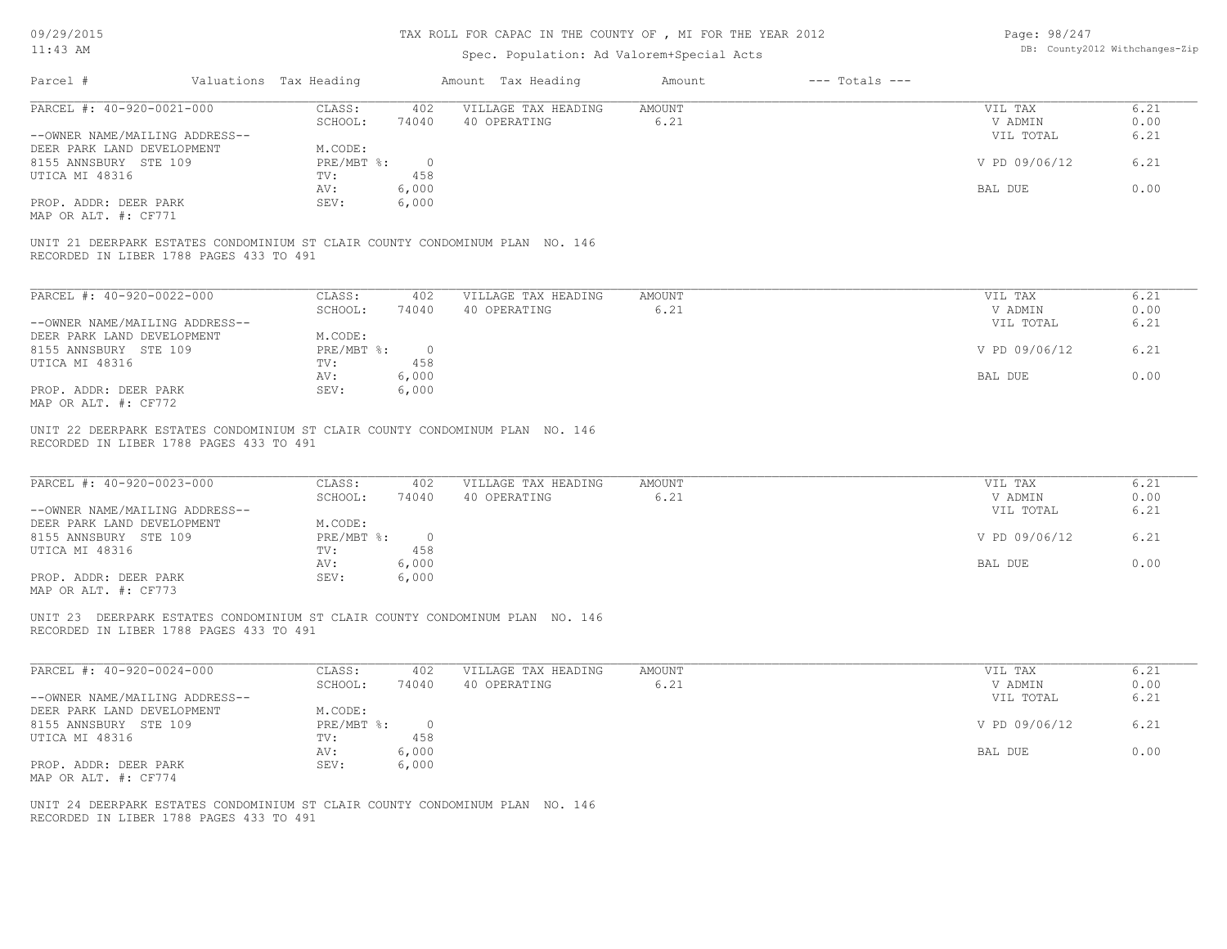# TAX ROLL FOR CAPAC IN THE COUNTY OF , MI FOR THE YEAR 2012

Page: 98/247 DB: County2012 Withchanges-Zip

| $11:43$ AM                                                                                                              |                                              | Spec. Population: Ad Valorem+Special Acts | DB: County2012 Withchanges-Zip |                                 |                      |
|-------------------------------------------------------------------------------------------------------------------------|----------------------------------------------|-------------------------------------------|--------------------------------|---------------------------------|----------------------|
| Parcel #                                                                                                                | Valuations Tax Heading                       | Amount Tax Heading                        | $---$ Totals $---$<br>Amount   |                                 |                      |
| PARCEL #: 40-920-0021-000                                                                                               | CLASS:<br>402                                | VILLAGE TAX HEADING                       | <b>AMOUNT</b>                  | VIL TAX                         | 6.21                 |
|                                                                                                                         | SCHOOL:<br>74040                             | 40 OPERATING                              | 6.21                           | V ADMIN                         | 0.00                 |
| --OWNER NAME/MAILING ADDRESS--                                                                                          |                                              |                                           |                                | VIL TOTAL                       | 6.21                 |
| DEER PARK LAND DEVELOPMENT                                                                                              | M.CODE:                                      |                                           |                                |                                 |                      |
| 8155 ANNSBURY STE 109                                                                                                   | $PRE/MBT$ $\div$<br>$\circ$                  |                                           |                                | V PD 09/06/12                   | 6.21                 |
| UTICA MI 48316                                                                                                          | 458<br>TV:                                   |                                           |                                |                                 |                      |
|                                                                                                                         | 6,000<br>AV:                                 |                                           |                                | BAL DUE                         | 0.00                 |
| PROP. ADDR: DEER PARK<br>MAP OR ALT. #: CF771                                                                           | 6,000<br>SEV:                                |                                           |                                |                                 |                      |
|                                                                                                                         |                                              |                                           |                                |                                 |                      |
| UNIT 21 DEERPARK ESTATES CONDOMINIUM ST CLAIR COUNTY CONDOMINUM PLAN NO. 146<br>RECORDED IN LIBER 1788 PAGES 433 TO 491 |                                              |                                           |                                |                                 |                      |
| PARCEL #: 40-920-0022-000                                                                                               | CLASS:<br>402                                | VILLAGE TAX HEADING                       | <b>AMOUNT</b>                  | VIL TAX                         | 6.21                 |
|                                                                                                                         | SCHOOL:<br>74040                             | 40 OPERATING                              | 6.21                           | V ADMIN                         | 0.00                 |
| --OWNER NAME/MAILING ADDRESS--                                                                                          |                                              |                                           |                                | VIL TOTAL                       | 6.21                 |
| DEER PARK LAND DEVELOPMENT                                                                                              | M.CODE:                                      |                                           |                                |                                 |                      |
| 8155 ANNSBURY STE 109                                                                                                   | $PRE/MBT$ %:<br>$\overline{0}$               |                                           |                                | V PD 09/06/12                   | 6.21                 |
| UTICA MI 48316                                                                                                          | 458<br>TV:                                   |                                           |                                |                                 |                      |
|                                                                                                                         | 6,000<br>AV:                                 |                                           |                                | BAL DUE                         | 0.00                 |
| PROP. ADDR: DEER PARK                                                                                                   | SEV:<br>6,000                                |                                           |                                |                                 |                      |
| MAP OR ALT. #: CF772                                                                                                    |                                              |                                           |                                |                                 |                      |
| PARCEL #: 40-920-0023-000<br>--OWNER NAME/MAILING ADDRESS--<br>DEER PARK LAND DEVELOPMENT                               | CLASS:<br>402<br>SCHOOL:<br>74040<br>M.CODE: | VILLAGE TAX HEADING<br>40 OPERATING       | AMOUNT<br>6.21                 | VIL TAX<br>V ADMIN<br>VIL TOTAL | 6.21<br>0.00<br>6.21 |
| 8155 ANNSBURY STE 109                                                                                                   | PRE/MBT %:<br>$\overline{0}$<br>458          |                                           |                                | V PD 09/06/12                   | 6.21                 |
| UTICA MI 48316                                                                                                          | TV:<br>6,000<br>AV:                          |                                           |                                | BAL DUE                         | 0.00                 |
| PROP. ADDR: DEER PARK                                                                                                   | SEV:<br>6,000                                |                                           |                                |                                 |                      |
| MAP OR ALT. #: CF773                                                                                                    |                                              |                                           |                                |                                 |                      |
| UNIT 23 DEERPARK ESTATES CONDOMINIUM ST CLAIR COUNTY CONDOMINUM PLAN NO. 146<br>RECORDED IN LIBER 1788 PAGES 433 TO 491 |                                              |                                           |                                |                                 |                      |
| PARCEL #: 40-920-0024-000                                                                                               | CLASS:<br>402<br>SCHOOL:                     | VILLAGE TAX HEADING<br>40 OPERATING       | AMOUNT<br>6.21                 | VIL TAX<br>V ADMIN              | 6.21<br>0.00         |
| --OWNER NAME/MAILING ADDRESS--                                                                                          | 74040                                        |                                           |                                | VIL TOTAL                       | 6.21                 |
| DEER PARK LAND DEVELOPMENT                                                                                              | M.CODE:                                      |                                           |                                |                                 |                      |
| 8155 ANNSBURY STE 109                                                                                                   | PRE/MBT %:<br>$\circ$                        |                                           |                                | V PD 09/06/12                   | 6.21                 |
| UTICA MI 48316                                                                                                          | 458<br>TV:                                   |                                           |                                |                                 |                      |
|                                                                                                                         | 6,000<br>AV:                                 |                                           |                                | BAL DUE                         | 0.00                 |
| PROP. ADDR: DEER PARK                                                                                                   | SEV:<br>6,000                                |                                           |                                |                                 |                      |
| MAP OR ALT. #: CF774                                                                                                    |                                              |                                           |                                |                                 |                      |
|                                                                                                                         |                                              |                                           |                                |                                 |                      |
| UNIT 24 DEERPARK ESTATES CONDOMINIUM ST CLAIR COUNTY CONDOMINUM PLAN NO. 146                                            |                                              |                                           |                                |                                 |                      |
| RECORDED IN LIBER 1788 PAGES 433 TO 491                                                                                 |                                              |                                           |                                |                                 |                      |
|                                                                                                                         |                                              |                                           |                                |                                 |                      |
|                                                                                                                         |                                              |                                           |                                |                                 |                      |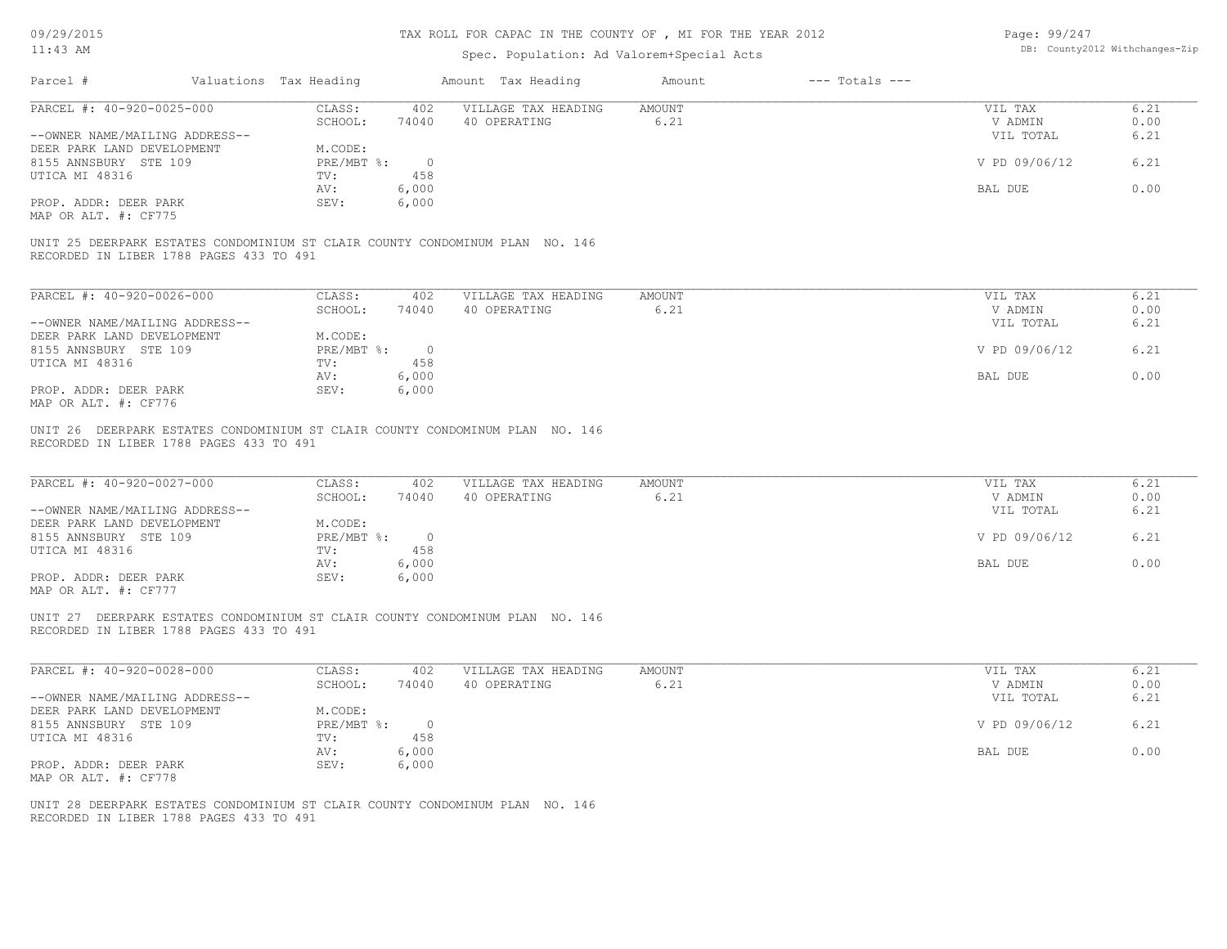# TAX ROLL FOR CAPAC IN THE COUNTY OF , MI FOR THE YEAR 2012

Page: 99/247 DB: County2012 Withchanges-Zip

| TT: 40 MM                                                                                                                                                                             |                                                                                                             | Spec. Population: Ad Valorem+Special Acts |                              |                                                             | DD. COUNCYZOIZ WICHCHANGES SIP       |
|---------------------------------------------------------------------------------------------------------------------------------------------------------------------------------------|-------------------------------------------------------------------------------------------------------------|-------------------------------------------|------------------------------|-------------------------------------------------------------|--------------------------------------|
| Parcel #                                                                                                                                                                              | Valuations Tax Heading                                                                                      | Amount Tax Heading                        | $---$ Totals $---$<br>Amount |                                                             |                                      |
| PARCEL #: 40-920-0025-000                                                                                                                                                             | CLASS:<br>402                                                                                               | VILLAGE TAX HEADING                       | <b>AMOUNT</b>                | VIL TAX                                                     | 6.21                                 |
|                                                                                                                                                                                       | SCHOOL:<br>74040                                                                                            | 40 OPERATING                              | 6.21                         | V ADMIN                                                     | 0.00                                 |
| --OWNER NAME/MAILING ADDRESS--                                                                                                                                                        |                                                                                                             |                                           |                              | VIL TOTAL                                                   | 6.21                                 |
| DEER PARK LAND DEVELOPMENT                                                                                                                                                            | M.CODE:                                                                                                     |                                           |                              |                                                             |                                      |
| 8155 ANNSBURY STE 109                                                                                                                                                                 | $PRE/MBT$ %:<br>$\overline{0}$                                                                              |                                           |                              | V PD 09/06/12                                               | 6.21                                 |
| UTICA MI 48316                                                                                                                                                                        | TV:<br>458                                                                                                  |                                           |                              |                                                             |                                      |
|                                                                                                                                                                                       | 6,000<br>AV:                                                                                                |                                           |                              | BAL DUE                                                     | 0.00                                 |
| PROP. ADDR: DEER PARK<br>MAP OR ALT. #: CF775                                                                                                                                         | SEV:<br>6,000                                                                                               |                                           |                              |                                                             |                                      |
|                                                                                                                                                                                       |                                                                                                             |                                           |                              |                                                             |                                      |
| UNIT 25 DEERPARK ESTATES CONDOMINIUM ST CLAIR COUNTY CONDOMINUM PLAN NO. 146<br>RECORDED IN LIBER 1788 PAGES 433 TO 491                                                               |                                                                                                             |                                           |                              |                                                             |                                      |
| PARCEL #: 40-920-0026-000                                                                                                                                                             | CLASS:<br>402                                                                                               | VILLAGE TAX HEADING                       | AMOUNT                       | VIL TAX                                                     | 6.21                                 |
|                                                                                                                                                                                       | SCHOOL:<br>74040                                                                                            | 40 OPERATING                              | 6.21                         | V ADMIN                                                     | 0.00                                 |
| --OWNER NAME/MAILING ADDRESS--                                                                                                                                                        |                                                                                                             |                                           |                              | VIL TOTAL                                                   | 6.21                                 |
| DEER PARK LAND DEVELOPMENT                                                                                                                                                            | M.CODE:                                                                                                     |                                           |                              |                                                             |                                      |
| 8155 ANNSBURY STE 109                                                                                                                                                                 | PRE/MBT %:<br>$\overline{0}$                                                                                |                                           |                              | V PD 09/06/12                                               | 6.21                                 |
| UTICA MI 48316                                                                                                                                                                        | 458<br>TV:                                                                                                  |                                           |                              |                                                             |                                      |
|                                                                                                                                                                                       | AV:<br>6,000                                                                                                |                                           |                              | BAL DUE                                                     | 0.00                                 |
| PROP. ADDR: DEER PARK<br>MAP OR ALT. #: CF776                                                                                                                                         | SEV:<br>6,000                                                                                               |                                           |                              |                                                             |                                      |
| PARCEL #: 40-920-0027-000<br>--OWNER NAME/MAILING ADDRESS--<br>DEER PARK LAND DEVELOPMENT<br>8155 ANNSBURY STE 109<br>UTICA MI 48316<br>PROP. ADDR: DEER PARK<br>MAP OR ALT. #: CF777 | CLASS:<br>402<br>SCHOOL:<br>74040<br>M.CODE:<br>PRE/MBT %: 0<br>458<br>TV:<br>6,000<br>AV:<br>6,000<br>SEV: | VILLAGE TAX HEADING<br>40 OPERATING       | AMOUNT<br>6.21               | VIL TAX<br>V ADMIN<br>VIL TOTAL<br>V PD 09/06/12<br>BAL DUE | 6.21<br>0.00<br>6.21<br>6.21<br>0.00 |
| UNIT 27 DEERPARK ESTATES CONDOMINIUM ST CLAIR COUNTY CONDOMINUM PLAN NO. 146<br>RECORDED IN LIBER 1788 PAGES 433 TO 491                                                               |                                                                                                             |                                           |                              |                                                             |                                      |
| PARCEL #: 40-920-0028-000                                                                                                                                                             | CLASS:<br>402                                                                                               | VILLAGE TAX HEADING                       | <b>AMOUNT</b>                | VIL TAX                                                     | 6.21                                 |
| --OWNER NAME/MAILING ADDRESS--                                                                                                                                                        | SCHOOL:<br>74040                                                                                            | 40 OPERATING                              | 6.21                         | V ADMIN<br>VIL TOTAL                                        | 0.00<br>6.21                         |
| DEER PARK LAND DEVELOPMENT                                                                                                                                                            | M.CODE:                                                                                                     |                                           |                              |                                                             |                                      |
| 8155 ANNSBURY STE 109                                                                                                                                                                 | $\overline{0}$<br>$PRE/MBT$ $\frac{1}{6}$ :                                                                 |                                           |                              | V PD 09/06/12                                               | 6.21                                 |
| UTICA MI 48316                                                                                                                                                                        | TV:<br>458                                                                                                  |                                           |                              |                                                             |                                      |
|                                                                                                                                                                                       | 6,000<br>AV:                                                                                                |                                           |                              | BAL DUE                                                     | 0.00                                 |
| PROP. ADDR: DEER PARK                                                                                                                                                                 | SEV:<br>6,000                                                                                               |                                           |                              |                                                             |                                      |
| MAP OR ALT. #: CF778                                                                                                                                                                  |                                                                                                             |                                           |                              |                                                             |                                      |
| UNIT 28 DEERPARK ESTATES CONDOMINIUM ST CLAIR COUNTY CONDOMINUM PLAN NO. 146<br>RECORDED IN LIBER 1788 PAGES 433 TO 491                                                               |                                                                                                             |                                           |                              |                                                             |                                      |
|                                                                                                                                                                                       |                                                                                                             |                                           |                              |                                                             |                                      |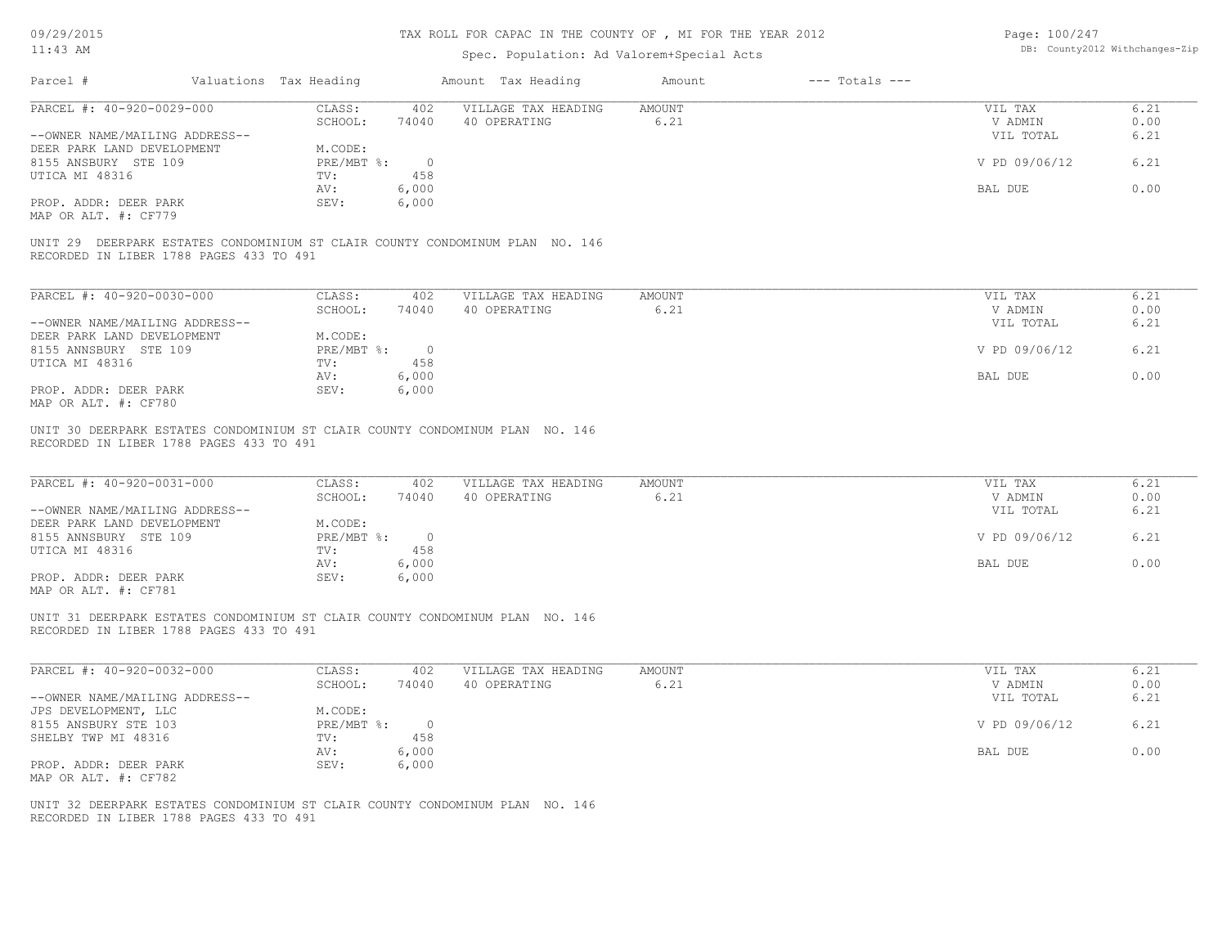# TAX ROLL FOR CAPAC IN THE COUNTY OF , MI FOR THE YEAR 2012

| Page: 100/247 |                                |
|---------------|--------------------------------|
|               | DB: County2012 Withchanges-Zip |

| $11:43$ AM                                                                                                              |                        |                              |                | Spec. Population: Ad Valorem+Special Acts                                    | DB: County2012 Withchanges-Zip |                    |                                 |                      |
|-------------------------------------------------------------------------------------------------------------------------|------------------------|------------------------------|----------------|------------------------------------------------------------------------------|--------------------------------|--------------------|---------------------------------|----------------------|
| Parcel #                                                                                                                | Valuations Tax Heading |                              |                | Amount Tax Heading                                                           | Amount                         | $---$ Totals $---$ |                                 |                      |
| PARCEL #: 40-920-0029-000                                                                                               |                        | CLASS:                       | 402            | VILLAGE TAX HEADING                                                          | <b>AMOUNT</b>                  |                    | VIL TAX                         | 6.21                 |
|                                                                                                                         |                        | SCHOOL:                      | 74040          | 40 OPERATING                                                                 | 6.21                           |                    | V ADMIN                         | 0.00                 |
| --OWNER NAME/MAILING ADDRESS--                                                                                          |                        |                              |                |                                                                              |                                |                    | VIL TOTAL                       | 6.21                 |
| DEER PARK LAND DEVELOPMENT                                                                                              |                        | M.CODE:                      |                |                                                                              |                                |                    |                                 |                      |
| 8155 ANSBURY STE 109                                                                                                    |                        | $PRE/MBT$ $\div$             | $\circ$        |                                                                              |                                |                    | V PD 09/06/12                   | 6.21                 |
| UTICA MI 48316                                                                                                          |                        | TV:                          | 458            |                                                                              |                                |                    |                                 |                      |
|                                                                                                                         |                        | AV:                          | 6,000          |                                                                              |                                |                    | BAL DUE                         | 0.00                 |
| PROP. ADDR: DEER PARK                                                                                                   |                        | SEV:                         | 6,000          |                                                                              |                                |                    |                                 |                      |
| MAP OR ALT. #: CF779                                                                                                    |                        |                              |                |                                                                              |                                |                    |                                 |                      |
| RECORDED IN LIBER 1788 PAGES 433 TO 491                                                                                 |                        |                              |                | UNIT 29 DEERPARK ESTATES CONDOMINIUM ST CLAIR COUNTY CONDOMINUM PLAN NO. 146 |                                |                    |                                 |                      |
| PARCEL #: 40-920-0030-000                                                                                               |                        | CLASS:                       | 402            | VILLAGE TAX HEADING                                                          | <b>AMOUNT</b>                  |                    | VIL TAX                         | 6.21                 |
|                                                                                                                         |                        | SCHOOL:                      | 74040          | 40 OPERATING                                                                 | 6.21                           |                    | V ADMIN                         | 0.00                 |
| --OWNER NAME/MAILING ADDRESS--                                                                                          |                        |                              |                |                                                                              |                                |                    | VIL TOTAL                       | 6.21                 |
| DEER PARK LAND DEVELOPMENT                                                                                              |                        | M.CODE:                      |                |                                                                              |                                |                    |                                 |                      |
| 8155 ANNSBURY STE 109                                                                                                   |                        | $PRE/MBT$ $\div$             | $\circ$        |                                                                              |                                |                    | V PD 09/06/12                   | 6.21                 |
| UTICA MI 48316                                                                                                          |                        | TV:                          | 458            |                                                                              |                                |                    |                                 |                      |
|                                                                                                                         |                        | AV:                          | 6,000          |                                                                              |                                |                    | BAL DUE                         | 0.00                 |
| PROP. ADDR: DEER PARK                                                                                                   |                        | SEV:                         | 6,000          |                                                                              |                                |                    |                                 |                      |
| MAP OR ALT. #: CF780                                                                                                    |                        |                              |                |                                                                              |                                |                    |                                 |                      |
| PARCEL #: 40-920-0031-000<br>--OWNER NAME/MAILING ADDRESS--<br>DEER PARK LAND DEVELOPMENT                               |                        | CLASS:<br>SCHOOL:<br>M.CODE: | 402<br>74040   | VILLAGE TAX HEADING<br>40 OPERATING                                          | <b>AMOUNT</b><br>6.21          |                    | VIL TAX<br>V ADMIN<br>VIL TOTAL | 6.21<br>0.00<br>6.21 |
| 8155 ANNSBURY STE 109                                                                                                   |                        | PRE/MBT %:                   | $\circ$        |                                                                              |                                |                    | V PD 09/06/12                   | 6.21                 |
| UTICA MI 48316                                                                                                          |                        | TV:                          | 458            |                                                                              |                                |                    |                                 |                      |
|                                                                                                                         |                        | AV:                          | 6,000          |                                                                              |                                |                    | BAL DUE                         | 0.00                 |
| PROP. ADDR: DEER PARK<br>MAP OR ALT. #: CF781                                                                           |                        | SEV:                         | 6,000          |                                                                              |                                |                    |                                 |                      |
| UNIT 31 DEERPARK ESTATES CONDOMINIUM ST CLAIR COUNTY CONDOMINUM PLAN NO. 146<br>RECORDED IN LIBER 1788 PAGES 433 TO 491 |                        |                              |                |                                                                              |                                |                    |                                 |                      |
| PARCEL #: 40-920-0032-000                                                                                               |                        | CLASS:<br>SCHOOL:            | 402<br>74040   | VILLAGE TAX HEADING<br>40 OPERATING                                          | <b>AMOUNT</b><br>6.21          |                    | VIL TAX<br>V ADMIN              | 6.21<br>0.00         |
| --OWNER NAME/MAILING ADDRESS--                                                                                          |                        |                              |                |                                                                              |                                |                    | VIL TOTAL                       | 6.21                 |
| JPS DEVELOPMENT, LLC                                                                                                    |                        | M.CODE:                      |                |                                                                              |                                |                    |                                 |                      |
| 8155 ANSBURY STE 103                                                                                                    |                        | $PRE/MBT$ $\div$             | $\overline{0}$ |                                                                              |                                |                    | V PD 09/06/12                   | 6.21                 |
| SHELBY TWP MI 48316                                                                                                     |                        | TV:                          | 458            |                                                                              |                                |                    |                                 |                      |
|                                                                                                                         |                        | AV:                          | 6,000          |                                                                              |                                |                    | BAL DUE                         | 0.00                 |
| PROP. ADDR: DEER PARK                                                                                                   |                        | SEV:                         | 6,000          |                                                                              |                                |                    |                                 |                      |
| MAP OR ALT. #: CF782                                                                                                    |                        |                              |                |                                                                              |                                |                    |                                 |                      |
|                                                                                                                         |                        |                              |                |                                                                              |                                |                    |                                 |                      |
| UNIT 32 DEERPARK ESTATES CONDOMINIUM ST CLAIR COUNTY CONDOMINUM PLAN NO. 146<br>RECORDED IN LIBER 1788 PAGES 433 TO 491 |                        |                              |                |                                                                              |                                |                    |                                 |                      |
|                                                                                                                         |                        |                              |                |                                                                              |                                |                    |                                 |                      |
|                                                                                                                         |                        |                              |                |                                                                              |                                |                    |                                 |                      |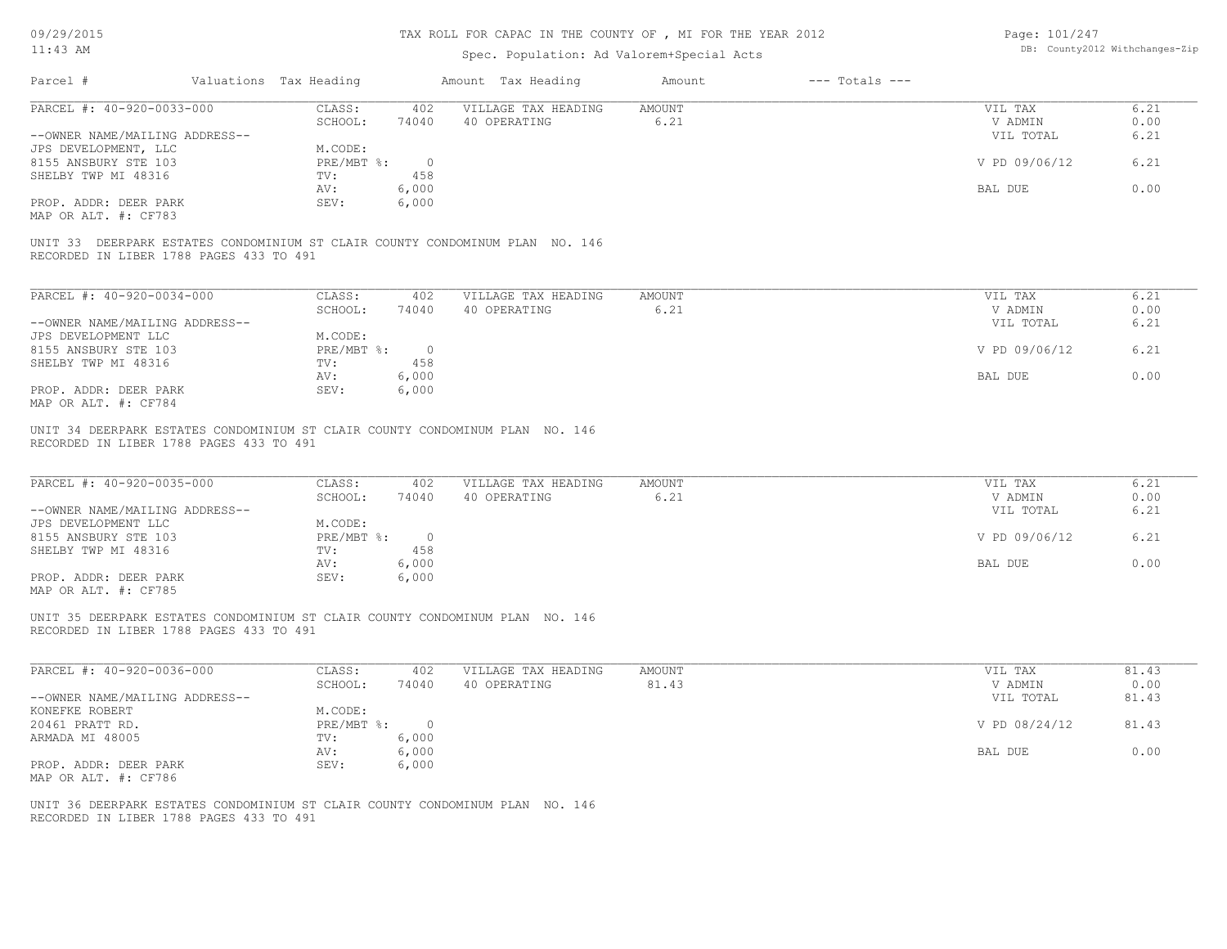# TAX ROLL FOR CAPAC IN THE COUNTY OF , MI FOR THE YEAR 2012

Page: 101/247

| $11:43$ AM                                                  |                        |                       | Spec. Population: Ad Valorem+Special Acts                                    |                       |                    |                                 | DB: County2012 Withchanges-Zip |
|-------------------------------------------------------------|------------------------|-----------------------|------------------------------------------------------------------------------|-----------------------|--------------------|---------------------------------|--------------------------------|
| Parcel #                                                    | Valuations Tax Heading |                       | Amount Tax Heading                                                           | Amount                | $---$ Totals $---$ |                                 |                                |
| PARCEL #: 40-920-0033-000                                   | CLASS:<br>SCHOOL:      | 402<br>74040          | VILLAGE TAX HEADING<br>40 OPERATING                                          | <b>AMOUNT</b><br>6.21 |                    | VIL TAX<br>V ADMIN              | 6.21<br>0.00                   |
| --OWNER NAME/MAILING ADDRESS--<br>JPS DEVELOPMENT, LLC      | M.CODE:                |                       |                                                                              |                       |                    | VIL TOTAL                       | 6.21                           |
| 8155 ANSBURY STE 103<br>SHELBY TWP MI 48316                 | PRE/MBT %:<br>TV:      | $\overline{0}$<br>458 |                                                                              |                       |                    | V PD 09/06/12                   | 6.21                           |
|                                                             | AV:                    | 6,000                 |                                                                              |                       |                    | BAL DUE                         | 0.00                           |
| PROP. ADDR: DEER PARK<br>MAP OR ALT. #: CF783               | SEV:                   | 6,000                 |                                                                              |                       |                    |                                 |                                |
| RECORDED IN LIBER 1788 PAGES 433 TO 491                     |                        |                       | UNIT 33 DEERPARK ESTATES CONDOMINIUM ST CLAIR COUNTY CONDOMINUM PLAN NO. 146 |                       |                    |                                 |                                |
| PARCEL #: 40-920-0034-000                                   | CLASS:                 | 402                   | VILLAGE TAX HEADING                                                          | AMOUNT                |                    | VIL TAX                         | 6.21                           |
| --OWNER NAME/MAILING ADDRESS--                              | SCHOOL:                | 74040                 | 40 OPERATING                                                                 | 6.21                  |                    | V ADMIN<br>VIL TOTAL            | 0.00<br>6.21                   |
| JPS DEVELOPMENT LLC<br>8155 ANSBURY STE 103                 | M.CODE:<br>PRE/MBT %:  | $\overline{0}$        |                                                                              |                       |                    | V PD 09/06/12                   | 6.21                           |
| SHELBY TWP MI 48316                                         | TV:                    | 458                   |                                                                              |                       |                    |                                 |                                |
| PROP. ADDR: DEER PARK<br>MAP OR ALT. #: CF784               | AV:<br>SEV:            | 6,000<br>6,000        |                                                                              |                       |                    | BAL DUE                         | 0.00                           |
| PARCEL #: 40-920-0035-000<br>--OWNER NAME/MAILING ADDRESS-- | CLASS:<br>SCHOOL:      | 402<br>74040          | VILLAGE TAX HEADING<br>40 OPERATING                                          | AMOUNT<br>6.21        |                    | VIL TAX<br>V ADMIN<br>VIL TOTAL | 6.21<br>0.00<br>6.21           |
| JPS DEVELOPMENT LLC<br>8155 ANSBURY STE 103                 | M.CODE:<br>PRE/MBT %:  | $\overline{0}$        |                                                                              |                       |                    | V PD 09/06/12                   | 6.21                           |
| SHELBY TWP MI 48316                                         | TV:<br>AV:             | 458<br>6,000          |                                                                              |                       |                    | BAL DUE                         | 0.00                           |
| PROP. ADDR: DEER PARK<br>MAP OR ALT. #: CF785               | SEV:                   | 6,000                 |                                                                              |                       |                    |                                 |                                |
| RECORDED IN LIBER 1788 PAGES 433 TO 491                     |                        |                       | UNIT 35 DEERPARK ESTATES CONDOMINIUM ST CLAIR COUNTY CONDOMINUM PLAN NO. 146 |                       |                    |                                 |                                |
| PARCEL #: 40-920-0036-000                                   | CLASS:<br>SCHOOL:      | 402<br>74040          | VILLAGE TAX HEADING<br>40 OPERATING                                          | AMOUNT<br>81.43       |                    | VIL TAX<br>V ADMIN              | 81.43<br>0.00                  |
| --OWNER NAME/MAILING ADDRESS--<br>KONEFKE ROBERT            | M.CODE:                |                       |                                                                              |                       |                    | VIL TOTAL                       | 81.43                          |
| 20461 PRATT RD.                                             | PRE/MBT %:             | $\circ$               |                                                                              |                       |                    | V PD 08/24/12                   | 81.43                          |
| ARMADA MI 48005                                             | TV: 6,000<br>AV:       | 6,000                 |                                                                              |                       |                    | BAL DUE                         | 0.00                           |
| PROP. ADDR: DEER PARK<br>MAP OR ALT. #: CF786               | SEV:                   | 6,000                 |                                                                              |                       |                    |                                 |                                |
| RECORDED IN LIBER 1788 PAGES 433 TO 491                     |                        |                       | UNIT 36 DEERPARK ESTATES CONDOMINIUM ST CLAIR COUNTY CONDOMINUM PLAN NO. 146 |                       |                    |                                 |                                |
|                                                             |                        |                       |                                                                              |                       |                    |                                 |                                |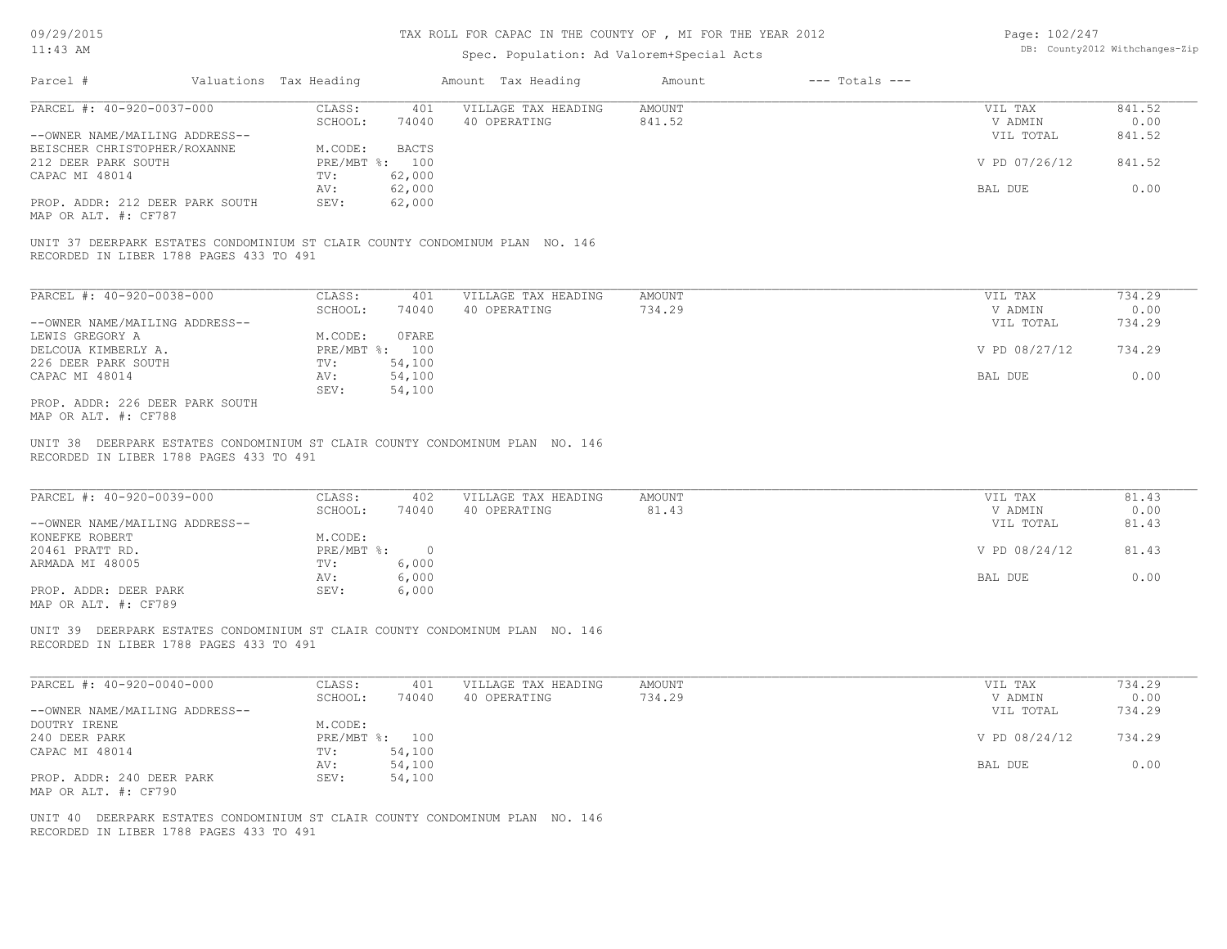#### TAX ROLL FOR CAPAC IN THE COUNTY OF , MI FOR THE YEAR 2012

# Spec. Population: Ad Valorem+Special Acts

| Page: 102/247 |                                |
|---------------|--------------------------------|
|               | DB: County2012 Withchanges-Zip |

| Parcel #                                                                                                                | Valuations Tax Heading | Amount Tax Heading         | Amount | $---$ Totals $---$ |               |        |
|-------------------------------------------------------------------------------------------------------------------------|------------------------|----------------------------|--------|--------------------|---------------|--------|
| PARCEL #: 40-920-0037-000                                                                                               | CLASS:                 | VILLAGE TAX HEADING<br>401 | AMOUNT |                    | VIL TAX       | 841.52 |
|                                                                                                                         | SCHOOL:                | 74040<br>40 OPERATING      | 841.52 |                    | V ADMIN       | 0.00   |
| --OWNER NAME/MAILING ADDRESS--                                                                                          |                        |                            |        |                    | VIL TOTAL     | 841.52 |
| BEISCHER CHRISTOPHER/ROXANNE                                                                                            | M.CODE:                | <b>BACTS</b>               |        |                    |               |        |
| 212 DEER PARK SOUTH                                                                                                     | PRE/MBT %:             | 100                        |        |                    | V PD 07/26/12 | 841.52 |
| CAPAC MI 48014                                                                                                          | TV:                    | 62,000                     |        |                    |               |        |
|                                                                                                                         | AV:                    | 62,000                     |        |                    | BAL DUE       | 0.00   |
| PROP. ADDR: 212 DEER PARK SOUTH<br>MAP OR ALT. #: CF787                                                                 | SEV:                   | 62,000                     |        |                    |               |        |
| UNIT 37 DEERPARK ESTATES CONDOMINIUM ST CLAIR COUNTY CONDOMINUM PLAN NO. 146<br>RECORDED IN LIBER 1788 PAGES 433 TO 491 |                        |                            |        |                    |               |        |
| PARCEL #: 40-920-0038-000                                                                                               | CLASS:                 | 401<br>VILLAGE TAX HEADING | AMOUNT |                    | VIL TAX       | 734.29 |
|                                                                                                                         | SCHOOL:                | 74040<br>40 OPERATING      | 734.29 |                    | V ADMIN       | 0.00   |
| --OWNER NAME/MAILING ADDRESS--                                                                                          |                        |                            |        |                    | VIL TOTAL     | 734.29 |
| LEWIS GREGORY A                                                                                                         | M.CODE:                | OFARE                      |        |                    |               |        |
| DELCOUA KIMBERLY A.                                                                                                     | PRE/MBT %: 100         |                            |        |                    | V PD 08/27/12 | 734.29 |
| 226 DEER PARK SOUTH                                                                                                     | TV:                    | 54,100                     |        |                    |               |        |
| CAPAC MI 48014                                                                                                          | AV:                    | 54,100                     |        |                    | BAL DUE       | 0.00   |
| PROP. ADDR: 226 DEER PARK SOUTH                                                                                         | SEV:                   | 54,100                     |        |                    |               |        |

RECORDED IN LIBER 1788 PAGES 433 TO 491 UNIT 38 DEERPARK ESTATES CONDOMINIUM ST CLAIR COUNTY CONDOMINUM PLAN NO. 146

| PARCEL #: 40-920-0039-000      | CLASS:     | 402   | VILLAGE TAX HEADING | AMOUNT | VIL TAX       | 81.43 |
|--------------------------------|------------|-------|---------------------|--------|---------------|-------|
|                                | SCHOOL:    | 74040 | 40 OPERATING        | 81.43  | V ADMIN       | 0.00  |
| --OWNER NAME/MAILING ADDRESS-- |            |       |                     |        | VIL TOTAL     | 81.43 |
| KONEFKE ROBERT                 | M.CODE:    |       |                     |        |               |       |
| 20461 PRATT RD.                | PRE/MBT %: | - 0   |                     |        | V PD 08/24/12 | 81.43 |
| ARMADA MI 48005                | TV:        | 6,000 |                     |        |               |       |
|                                | AV:        | 6,000 |                     |        | BAL DUE       | 0.00  |
| PROP. ADDR: DEER PARK          | SEV:       | 6,000 |                     |        |               |       |
| MAP OR ALT. #: CF789           |            |       |                     |        |               |       |

 $\mathcal{L}_\mathcal{L} = \mathcal{L}_\mathcal{L} = \mathcal{L}_\mathcal{L} = \mathcal{L}_\mathcal{L} = \mathcal{L}_\mathcal{L} = \mathcal{L}_\mathcal{L} = \mathcal{L}_\mathcal{L} = \mathcal{L}_\mathcal{L} = \mathcal{L}_\mathcal{L} = \mathcal{L}_\mathcal{L} = \mathcal{L}_\mathcal{L} = \mathcal{L}_\mathcal{L} = \mathcal{L}_\mathcal{L} = \mathcal{L}_\mathcal{L} = \mathcal{L}_\mathcal{L} = \mathcal{L}_\mathcal{L} = \mathcal{L}_\mathcal{L}$ 

RECORDED IN LIBER 1788 PAGES 433 TO 491 UNIT 39 DEERPARK ESTATES CONDOMINIUM ST CLAIR COUNTY CONDOMINUM PLAN NO. 146

| PARCEL #: 40-920-0040-000      | CLASS:     | 401    | VILLAGE TAX HEADING | AMOUNT | VIL TAX       | 734.29 |
|--------------------------------|------------|--------|---------------------|--------|---------------|--------|
|                                | SCHOOL:    | 74040  | 40 OPERATING        | 734.29 | V ADMIN       | 0.00   |
| --OWNER NAME/MAILING ADDRESS-- |            |        |                     |        | VIL TOTAL     | 734.29 |
| DOUTRY IRENE                   | M.CODE:    |        |                     |        |               |        |
| 240 DEER PARK                  | PRE/MBT %: | 100    |                     |        | V PD 08/24/12 | 734.29 |
| CAPAC MI 48014                 | TV:        | 54,100 |                     |        |               |        |
|                                | AV:        | 54,100 |                     |        | BAL DUE       | 0.00   |
| PROP. ADDR: 240 DEER PARK      | SEV:       | 54,100 |                     |        |               |        |
| MAP OR ALT. #: CF790           |            |        |                     |        |               |        |

RECORDED IN LIBER 1788 PAGES 433 TO 491 UNIT 40 DEERPARK ESTATES CONDOMINIUM ST CLAIR COUNTY CONDOMINUM PLAN NO. 146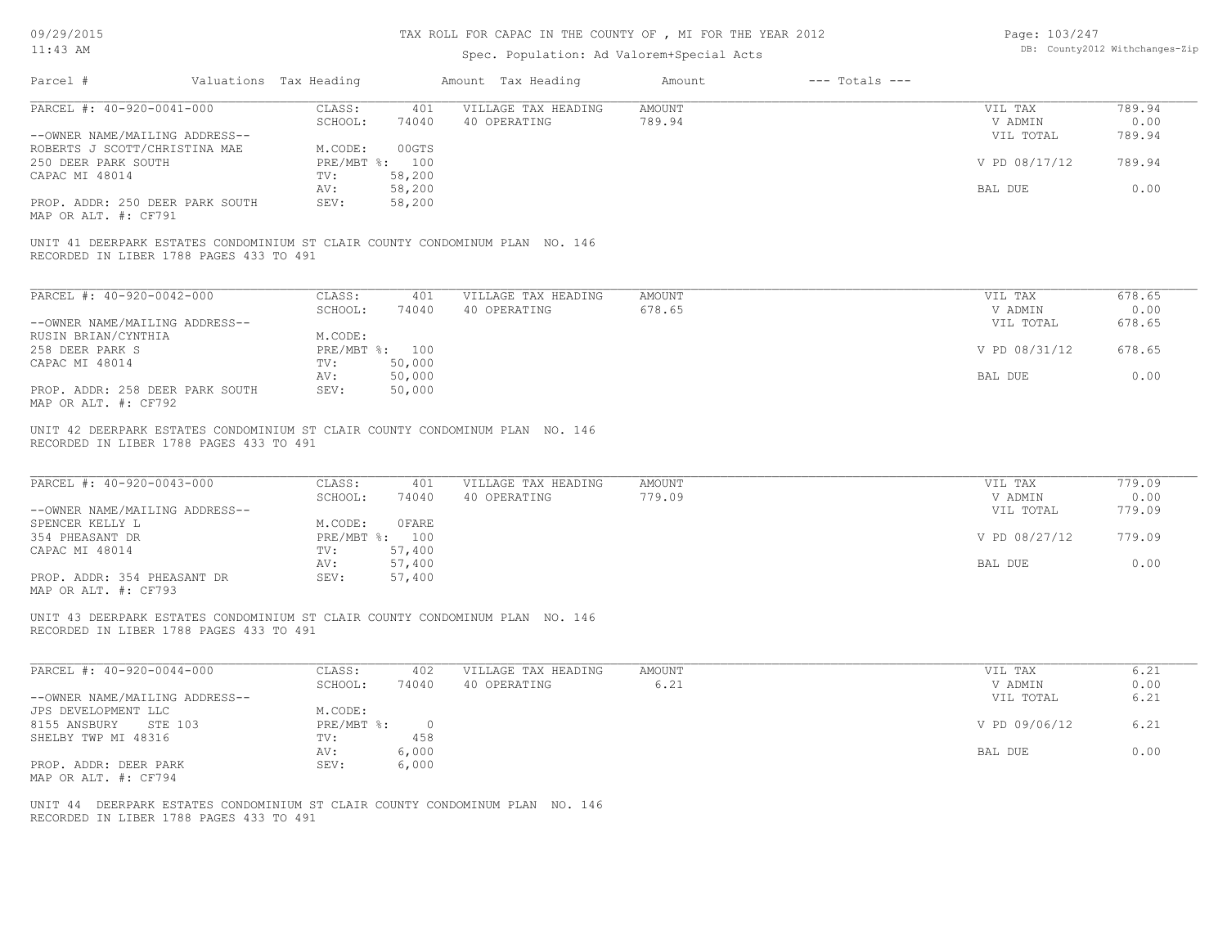# TAX ROLL FOR CAPAC IN THE COUNTY OF , MI FOR THE YEAR 2012

| Page: 103/247 |                                |
|---------------|--------------------------------|
|               | DB: County2012 Withchanges-Zip |

| 11:43 AM                                                                                                                |  |                        | Spec. Population: Ad Valorem+Special Acts | DB: County2012 Withchanges-Zip                                               |               |                    |                |        |
|-------------------------------------------------------------------------------------------------------------------------|--|------------------------|-------------------------------------------|------------------------------------------------------------------------------|---------------|--------------------|----------------|--------|
| Parcel #                                                                                                                |  | Valuations Tax Heading |                                           | Amount Tax Heading                                                           | Amount        | $---$ Totals $---$ |                |        |
| PARCEL #: 40-920-0041-000                                                                                               |  | CLASS:                 | 401                                       | VILLAGE TAX HEADING                                                          | <b>AMOUNT</b> |                    | VIL TAX        | 789.94 |
|                                                                                                                         |  | SCHOOL:                | 74040                                     | 40 OPERATING                                                                 | 789.94        |                    | V ADMIN        | 0.00   |
| --OWNER NAME/MAILING ADDRESS--                                                                                          |  |                        |                                           |                                                                              |               |                    | VIL TOTAL      | 789.94 |
| ROBERTS J SCOTT/CHRISTINA MAE                                                                                           |  | M.CODE:                | 00GTS                                     |                                                                              |               |                    |                |        |
| 250 DEER PARK SOUTH                                                                                                     |  |                        | PRE/MBT %: 100                            |                                                                              |               |                    | V PD 08/17/12  | 789.94 |
| CAPAC MI 48014                                                                                                          |  | TV:                    | 58,200                                    |                                                                              |               |                    |                |        |
|                                                                                                                         |  | AV:                    | 58,200                                    |                                                                              |               |                    | <b>BAL DUE</b> | 0.00   |
| PROP. ADDR: 250 DEER PARK SOUTH                                                                                         |  | SEV:                   | 58,200                                    |                                                                              |               |                    |                |        |
| MAP OR ALT. #: CF791                                                                                                    |  |                        |                                           |                                                                              |               |                    |                |        |
| UNIT 41 DEERPARK ESTATES CONDOMINIUM ST CLAIR COUNTY CONDOMINUM PLAN NO. 146<br>RECORDED IN LIBER 1788 PAGES 433 TO 491 |  |                        |                                           |                                                                              |               |                    |                |        |
| PARCEL #: 40-920-0042-000                                                                                               |  | CLASS:                 | 401                                       | VILLAGE TAX HEADING                                                          | <b>AMOUNT</b> |                    | VIL TAX        | 678.65 |
|                                                                                                                         |  | SCHOOL:                | 74040                                     | 40 OPERATING                                                                 | 678.65        |                    | V ADMIN        | 0.00   |
| --OWNER NAME/MAILING ADDRESS--                                                                                          |  |                        |                                           |                                                                              |               |                    | VIL TOTAL      | 678.65 |
| RUSIN BRIAN/CYNTHIA                                                                                                     |  | M.CODE:                |                                           |                                                                              |               |                    |                |        |
| 258 DEER PARK S                                                                                                         |  |                        | PRE/MBT %: 100                            |                                                                              |               |                    | V PD 08/31/12  | 678.65 |
| CAPAC MI 48014                                                                                                          |  | TV:                    | 50,000                                    |                                                                              |               |                    |                |        |
|                                                                                                                         |  | AV:                    | 50,000                                    |                                                                              |               |                    | BAL DUE        | 0.00   |
| PROP. ADDR: 258 DEER PARK SOUTH<br>MAP OR ALT. #: CF792                                                                 |  | SEV:                   | 50,000                                    |                                                                              |               |                    |                |        |
| PARCEL #: 40-920-0043-000                                                                                               |  | CLASS:                 | 401                                       | VILLAGE TAX HEADING                                                          | AMOUNT        |                    | VIL TAX        | 779.09 |
|                                                                                                                         |  | SCHOOL:                | 74040                                     | 40 OPERATING                                                                 | 779.09        |                    | V ADMIN        | 0.00   |
| --OWNER NAME/MAILING ADDRESS--                                                                                          |  |                        |                                           |                                                                              |               |                    | VIL TOTAL      | 779.09 |
| SPENCER KELLY L                                                                                                         |  | M.CODE:                | OFARE                                     |                                                                              |               |                    |                |        |
| 354 PHEASANT DR                                                                                                         |  |                        | PRE/MBT %: 100                            |                                                                              |               |                    | V PD 08/27/12  | 779.09 |
| CAPAC MI 48014                                                                                                          |  | TV:                    | 57,400                                    |                                                                              |               |                    |                |        |
|                                                                                                                         |  | AV:                    | 57,400                                    |                                                                              |               |                    | BAL DUE        | 0.00   |
| PROP. ADDR: 354 PHEASANT DR<br>MAP OR ALT. #: CF793                                                                     |  | SEV:                   | 57,400                                    |                                                                              |               |                    |                |        |
| RECORDED IN LIBER 1788 PAGES 433 TO 491                                                                                 |  |                        |                                           | UNIT 43 DEERPARK ESTATES CONDOMINIUM ST CLAIR COUNTY CONDOMINUM PLAN NO. 146 |               |                    |                |        |
| PARCEL #: 40-920-0044-000                                                                                               |  | CLASS:                 | 402                                       | VILLAGE TAX HEADING                                                          | <b>AMOUNT</b> |                    | VIL TAX        | 6.21   |
|                                                                                                                         |  | SCHOOL:                | 74040                                     | 40 OPERATING                                                                 | 6.21          |                    | V ADMIN        | 0.00   |
| --OWNER NAME/MAILING ADDRESS--                                                                                          |  |                        |                                           |                                                                              |               |                    | VIL TOTAL      | 6.21   |
| JPS DEVELOPMENT LLC                                                                                                     |  | M.CODE:                |                                           |                                                                              |               |                    |                |        |
| 8155 ANSBURY<br>STE 103                                                                                                 |  | $PRE/MBT$ $\div$       | $\circ$                                   |                                                                              |               |                    | V PD 09/06/12  | 6.21   |
| SHELBY TWP MI 48316                                                                                                     |  | TV:                    | 458                                       |                                                                              |               |                    |                |        |
|                                                                                                                         |  | AV:                    | 6,000                                     |                                                                              |               |                    | BAL DUE        | 0.00   |
| PROP. ADDR: DEER PARK<br>MAP OR ALT. #: CF794                                                                           |  | SEV:                   | 6,000                                     |                                                                              |               |                    |                |        |
| RECORDED IN LIBER 1788 PAGES 433 TO 491                                                                                 |  |                        |                                           | UNIT 44 DEERPARK ESTATES CONDOMINIUM ST CLAIR COUNTY CONDOMINUM PLAN NO. 146 |               |                    |                |        |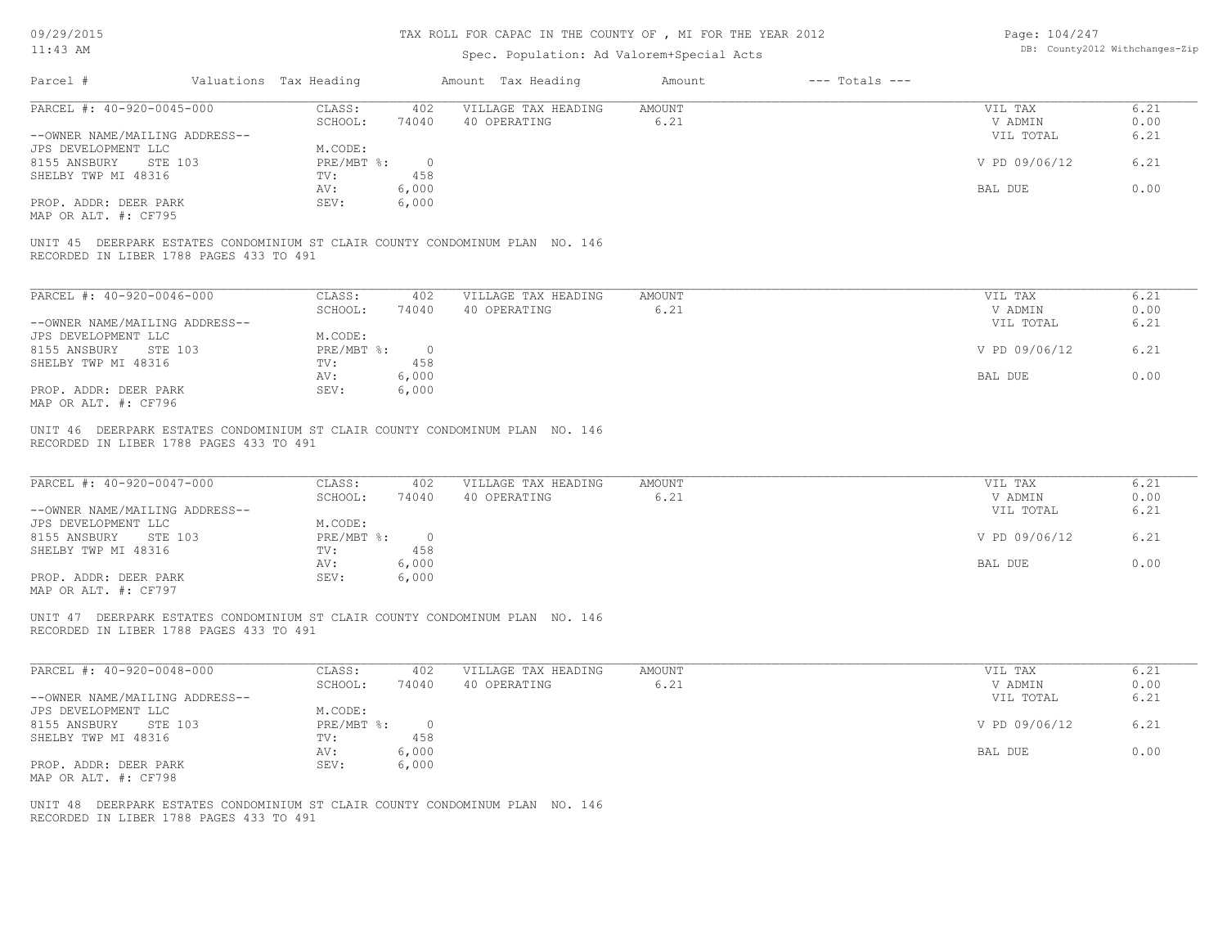# TAX ROLL FOR CAPAC IN THE COUNTY OF , MI FOR THE YEAR 2012

Page: 104/247

| $11:43$ AM                                            |                                                                              | Spec. Population: Ad Valorem+Special Acts  | DB: County2012 Withchanges-Zip |                      |              |
|-------------------------------------------------------|------------------------------------------------------------------------------|--------------------------------------------|--------------------------------|----------------------|--------------|
| Parcel #                                              | Valuations Tax Heading                                                       | Amount Tax Heading                         | $---$ Totals $---$<br>Amount   |                      |              |
| PARCEL #: 40-920-0045-000                             | CLASS:                                                                       | 402<br>VILLAGE TAX HEADING                 | AMOUNT                         | VIL TAX              | 6.21         |
|                                                       | SCHOOL:<br>74040                                                             | 40 OPERATING                               | 6.21                           | V ADMIN              | 0.00         |
| --OWNER NAME/MAILING ADDRESS--                        |                                                                              |                                            |                                | VIL TOTAL            | 6.21         |
| JPS DEVELOPMENT LLC                                   | M.CODE:                                                                      |                                            |                                |                      |              |
| 8155 ANSBURY<br>STE 103                               | $PRE/MBT$ $\div$                                                             | $\circ$                                    |                                | V PD 09/06/12        | 6.21         |
| SHELBY TWP MI 48316                                   | TV:                                                                          | 458                                        |                                |                      |              |
| PROP. ADDR: DEER PARK                                 | 6,000<br>AV:<br>SEV:                                                         |                                            |                                | BAL DUE              | 0.00         |
| MAP OR ALT. #: CF795                                  | 6,000                                                                        |                                            |                                |                      |              |
| RECORDED IN LIBER 1788 PAGES 433 TO 491               | UNIT 45 DEERPARK ESTATES CONDOMINIUM ST CLAIR COUNTY CONDOMINUM PLAN NO. 146 |                                            |                                |                      |              |
| PARCEL #: 40-920-0046-000                             | CLASS:                                                                       | 402<br>VILLAGE TAX HEADING                 | <b>AMOUNT</b>                  | VIL TAX              | 6.21         |
|                                                       | SCHOOL:<br>74040                                                             | 40 OPERATING                               | 6.21                           | V ADMIN              | 0.00         |
| --OWNER NAME/MAILING ADDRESS--                        |                                                                              |                                            |                                | VIL TOTAL            | 6.21         |
| JPS DEVELOPMENT LLC                                   | M.CODE:                                                                      |                                            |                                |                      |              |
| 8155 ANSBURY<br>STE 103                               | PRE/MBT %:                                                                   | $\circ$                                    |                                | V PD 09/06/12        | 6.21         |
| SHELBY TWP MI 48316                                   | TV:                                                                          | 458                                        |                                |                      |              |
|                                                       | 6,000<br>AV:                                                                 |                                            |                                | BAL DUE              | 0.00         |
| PROP. ADDR: DEER PARK<br>MAP OR ALT. #: CF796         | 6,000<br>SEV:                                                                |                                            |                                |                      |              |
| PARCEL #: 40-920-0047-000                             | CLASS:<br>SCHOOL:                                                            | 402<br>VILLAGE TAX HEADING<br>40 OPERATING | <b>AMOUNT</b>                  | VIL TAX              | 6.21<br>0.00 |
| --OWNER NAME/MAILING ADDRESS--                        | 74040                                                                        |                                            | 6.21                           | V ADMIN<br>VIL TOTAL | 6.21         |
| JPS DEVELOPMENT LLC                                   | M.CODE:                                                                      |                                            |                                |                      |              |
| 8155 ANSBURY<br>STE 103                               | $PRE/MBT$ $\div$                                                             | $\overline{0}$                             |                                | V PD 09/06/12        | 6.21         |
| SHELBY TWP MI 48316                                   | TV:                                                                          | 458                                        |                                |                      |              |
|                                                       | 6,000<br>AV:                                                                 |                                            |                                | BAL DUE              | 0.00         |
| PROP. ADDR: DEER PARK                                 | SEV:<br>6,000                                                                |                                            |                                |                      |              |
| MAP OR ALT. #: CF797                                  |                                                                              |                                            |                                |                      |              |
| RECORDED IN LIBER 1788 PAGES 433 TO 491               | UNIT 47 DEERPARK ESTATES CONDOMINIUM ST CLAIR COUNTY CONDOMINUM PLAN NO. 146 |                                            |                                |                      |              |
| PARCEL #: 40-920-0048-000                             | CLASS:                                                                       | 402<br>VILLAGE TAX HEADING                 | <b>AMOUNT</b>                  | VIL TAX              | 6.21         |
|                                                       | SCHOOL:<br>74040                                                             | 40 OPERATING                               | 6.21                           | V ADMIN              | 0.00         |
| --OWNER NAME/MAILING ADDRESS--<br>JPS DEVELOPMENT LLC | M.CODE:                                                                      |                                            |                                | VIL TOTAL            | 6.21         |
| 8155 ANSBURY<br>STE 103                               | PRE/MBT %:                                                                   | $\overline{0}$                             |                                | V PD 09/06/12        | 6.21         |
| SHELBY TWP MI 48316                                   | TV:                                                                          | 458                                        |                                |                      |              |
|                                                       | 6,000<br>AV:                                                                 |                                            |                                | BAL DUE              | 0.00         |
| PROP. ADDR: DEER PARK                                 | 6,000<br>SEV:                                                                |                                            |                                |                      |              |
| MAP OR ALT. #: CF798                                  |                                                                              |                                            |                                |                      |              |
|                                                       | UNIT 48 DEERPARK ESTATES CONDOMINIUM ST CLAIR COUNTY CONDOMINUM PLAN NO. 146 |                                            |                                |                      |              |
| RECORDED IN LIBER 1788 PAGES 433 TO 491               |                                                                              |                                            |                                |                      |              |
|                                                       |                                                                              |                                            |                                |                      |              |
|                                                       |                                                                              |                                            |                                |                      |              |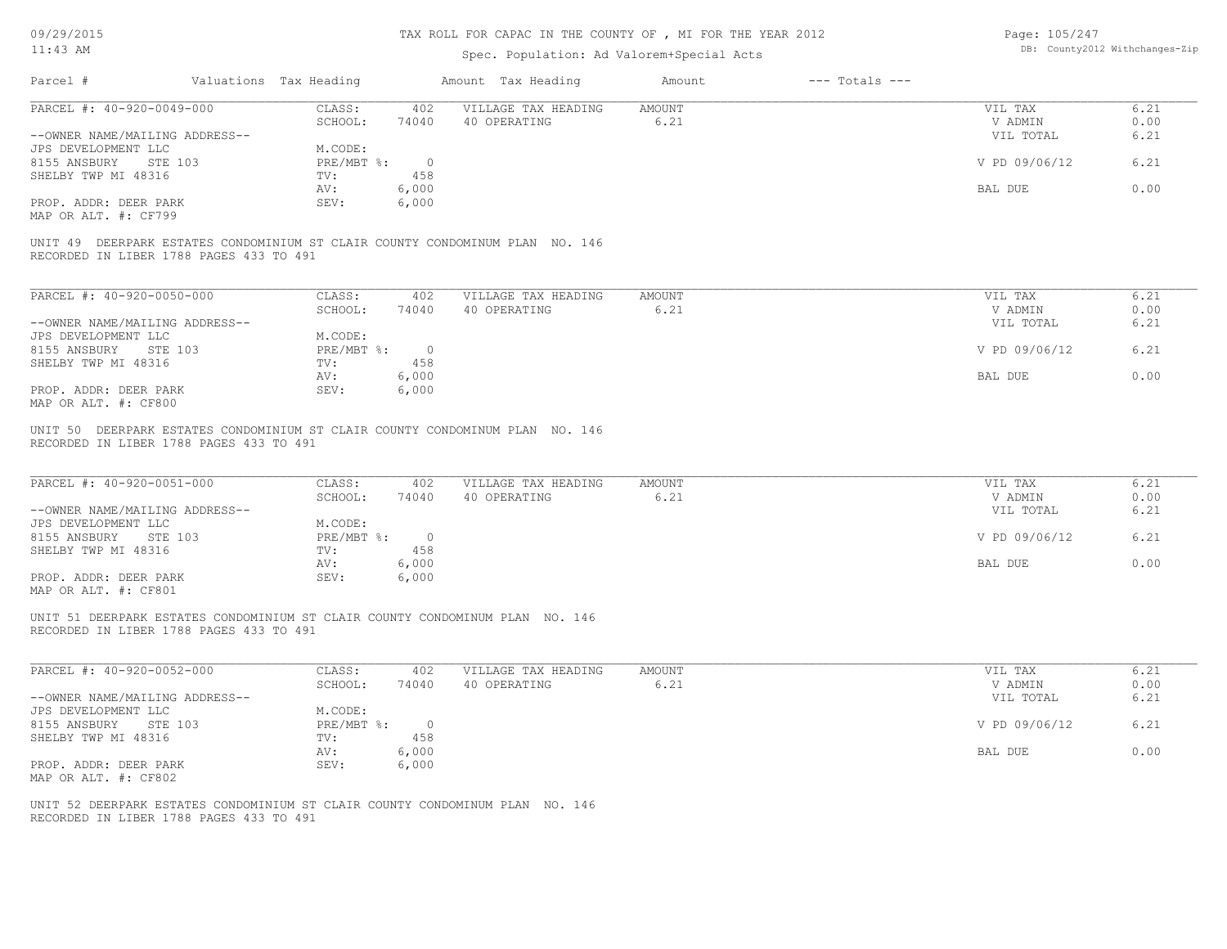# TAX ROLL FOR CAPAC IN THE COUNTY OF , MI FOR THE YEAR 2012

| Page: 105/247 |                                |
|---------------|--------------------------------|
|               | DB: County2012 Withchanges-Zip |

| Parcel #<br>Valuations Tax Heading<br>Amount Tax Heading<br>Amount<br>$---$ Totals $---$<br>PARCEL #: 40-920-0049-000<br>6.21<br>CLASS:<br>402<br>VILLAGE TAX HEADING<br>AMOUNT<br>VIL TAX<br>0.00<br>SCHOOL:<br>74040<br>40 OPERATING<br>6.21<br>V ADMIN<br>--OWNER NAME/MAILING ADDRESS--<br>VIL TOTAL<br>6.21<br>JPS DEVELOPMENT LLC<br>M.CODE:<br>6.21<br>8155 ANSBURY<br>STE 103<br>$PRE/MBT$ $\frac{1}{6}$ :<br>$\overline{\phantom{0}}$<br>V PD 09/06/12<br>SHELBY TWP MI 48316<br>458<br>TV:<br>6,000<br>0.00<br>AV:<br>BAL DUE<br>PROP. ADDR: DEER PARK<br>SEV:<br>6,000<br>MAP OR ALT. #: CF799<br>UNIT 49 DEERPARK ESTATES CONDOMINIUM ST CLAIR COUNTY CONDOMINUM PLAN NO. 146<br>RECORDED IN LIBER 1788 PAGES 433 TO 491<br>PARCEL #: 40-920-0050-000<br>6.21<br>CLASS:<br>402<br>VILLAGE TAX HEADING<br>AMOUNT<br>VIL TAX<br>40 OPERATING<br>6.21<br>V ADMIN<br>0.00<br>SCHOOL:<br>74040<br>--OWNER NAME/MAILING ADDRESS--<br>VIL TOTAL<br>6.21<br>JPS DEVELOPMENT LLC<br>M.CODE:<br>6.21<br>8155 ANSBURY STE 103<br>PRE/MBT %:<br>$\overline{\phantom{0}}$<br>V PD 09/06/12<br>458<br>SHELBY TWP MI 48316<br>TV:<br>0.00<br>AV:<br>6,000<br>BAL DUE<br>PROP. ADDR: DEER PARK<br>SEV:<br>6,000<br>MAP OR ALT. #: CF800<br>UNIT 50 DEERPARK ESTATES CONDOMINIUM ST CLAIR COUNTY CONDOMINUM PLAN NO. 146<br>RECORDED IN LIBER 1788 PAGES 433 TO 491<br>PARCEL #: 40-920-0051-000<br>CLASS:<br>402<br>VILLAGE TAX HEADING<br><b>AMOUNT</b><br>VIL TAX<br>6.21<br>SCHOOL:<br>6.21<br>V ADMIN<br>0.00<br>74040<br>40 OPERATING<br>6.21<br>--OWNER NAME/MAILING ADDRESS--<br>VIL TOTAL<br>JPS DEVELOPMENT LLC<br>M.CODE:<br>$PRE/MBT$ $\div$<br>6.21<br>8155 ANSBURY STE 103<br>$\overline{\phantom{0}}$<br>V PD 09/06/12<br>SHELBY TWP MI 48316<br>TV:<br>458<br>0.00<br>6,000<br>BAL DUE<br>AV:<br>PROP. ADDR: DEER PARK<br>SEV:<br>6,000<br>MAP OR ALT. #: CF801<br>UNIT 51 DEERPARK ESTATES CONDOMINIUM ST CLAIR COUNTY CONDOMINUM PLAN NO. 146<br>RECORDED IN LIBER 1788 PAGES 433 TO 491<br>PARCEL #: 40-920-0052-000<br>6.21<br>CLASS:<br>402<br>VILLAGE TAX HEADING<br>AMOUNT<br>VIL TAX<br>SCHOOL:<br>6.21<br>74040<br>40 OPERATING<br>V ADMIN<br>0.00<br>--OWNER NAME/MAILING ADDRESS--<br>6.21<br>VIL TOTAL<br>JPS DEVELOPMENT LLC<br>M.CODE:<br>6.21<br>8155 ANSBURY STE 103<br>$PRE/MBT$ %:<br>V PD 09/06/12<br>$\overline{0}$<br>SHELBY TWP MI 48316<br>458<br>TV:<br>BAL DUE<br>0.00<br>6,000<br>AV:<br>SEV:<br>6,000<br>PROP. ADDR: DEER PARK<br>MAP OR ALT. #: CF802<br>UNIT 52 DEERPARK ESTATES CONDOMINIUM ST CLAIR COUNTY CONDOMINUM PLAN NO. 146<br>RECORDED IN LIBER 1788 PAGES 433 TO 491 | 11:43 AM |  | Spec. Population: Ad Valorem+Special Acts | DB: County2012 Withchanges-Zip |  |  |
|-------------------------------------------------------------------------------------------------------------------------------------------------------------------------------------------------------------------------------------------------------------------------------------------------------------------------------------------------------------------------------------------------------------------------------------------------------------------------------------------------------------------------------------------------------------------------------------------------------------------------------------------------------------------------------------------------------------------------------------------------------------------------------------------------------------------------------------------------------------------------------------------------------------------------------------------------------------------------------------------------------------------------------------------------------------------------------------------------------------------------------------------------------------------------------------------------------------------------------------------------------------------------------------------------------------------------------------------------------------------------------------------------------------------------------------------------------------------------------------------------------------------------------------------------------------------------------------------------------------------------------------------------------------------------------------------------------------------------------------------------------------------------------------------------------------------------------------------------------------------------------------------------------------------------------------------------------------------------------------------------------------------------------------------------------------------------------------------------------------------------------------------------------------------------------------------------------------------------------------------------------------------------------------------------------------------------------------------------------------------------------------------------------------------------------------------------------------------------------------------------------------------------------------------------------------------------------------------------------------------------|----------|--|-------------------------------------------|--------------------------------|--|--|
|                                                                                                                                                                                                                                                                                                                                                                                                                                                                                                                                                                                                                                                                                                                                                                                                                                                                                                                                                                                                                                                                                                                                                                                                                                                                                                                                                                                                                                                                                                                                                                                                                                                                                                                                                                                                                                                                                                                                                                                                                                                                                                                                                                                                                                                                                                                                                                                                                                                                                                                                                                                                                         |          |  |                                           |                                |  |  |
|                                                                                                                                                                                                                                                                                                                                                                                                                                                                                                                                                                                                                                                                                                                                                                                                                                                                                                                                                                                                                                                                                                                                                                                                                                                                                                                                                                                                                                                                                                                                                                                                                                                                                                                                                                                                                                                                                                                                                                                                                                                                                                                                                                                                                                                                                                                                                                                                                                                                                                                                                                                                                         |          |  |                                           |                                |  |  |
|                                                                                                                                                                                                                                                                                                                                                                                                                                                                                                                                                                                                                                                                                                                                                                                                                                                                                                                                                                                                                                                                                                                                                                                                                                                                                                                                                                                                                                                                                                                                                                                                                                                                                                                                                                                                                                                                                                                                                                                                                                                                                                                                                                                                                                                                                                                                                                                                                                                                                                                                                                                                                         |          |  |                                           |                                |  |  |
|                                                                                                                                                                                                                                                                                                                                                                                                                                                                                                                                                                                                                                                                                                                                                                                                                                                                                                                                                                                                                                                                                                                                                                                                                                                                                                                                                                                                                                                                                                                                                                                                                                                                                                                                                                                                                                                                                                                                                                                                                                                                                                                                                                                                                                                                                                                                                                                                                                                                                                                                                                                                                         |          |  |                                           |                                |  |  |
|                                                                                                                                                                                                                                                                                                                                                                                                                                                                                                                                                                                                                                                                                                                                                                                                                                                                                                                                                                                                                                                                                                                                                                                                                                                                                                                                                                                                                                                                                                                                                                                                                                                                                                                                                                                                                                                                                                                                                                                                                                                                                                                                                                                                                                                                                                                                                                                                                                                                                                                                                                                                                         |          |  |                                           |                                |  |  |
|                                                                                                                                                                                                                                                                                                                                                                                                                                                                                                                                                                                                                                                                                                                                                                                                                                                                                                                                                                                                                                                                                                                                                                                                                                                                                                                                                                                                                                                                                                                                                                                                                                                                                                                                                                                                                                                                                                                                                                                                                                                                                                                                                                                                                                                                                                                                                                                                                                                                                                                                                                                                                         |          |  |                                           |                                |  |  |
|                                                                                                                                                                                                                                                                                                                                                                                                                                                                                                                                                                                                                                                                                                                                                                                                                                                                                                                                                                                                                                                                                                                                                                                                                                                                                                                                                                                                                                                                                                                                                                                                                                                                                                                                                                                                                                                                                                                                                                                                                                                                                                                                                                                                                                                                                                                                                                                                                                                                                                                                                                                                                         |          |  |                                           |                                |  |  |
|                                                                                                                                                                                                                                                                                                                                                                                                                                                                                                                                                                                                                                                                                                                                                                                                                                                                                                                                                                                                                                                                                                                                                                                                                                                                                                                                                                                                                                                                                                                                                                                                                                                                                                                                                                                                                                                                                                                                                                                                                                                                                                                                                                                                                                                                                                                                                                                                                                                                                                                                                                                                                         |          |  |                                           |                                |  |  |
|                                                                                                                                                                                                                                                                                                                                                                                                                                                                                                                                                                                                                                                                                                                                                                                                                                                                                                                                                                                                                                                                                                                                                                                                                                                                                                                                                                                                                                                                                                                                                                                                                                                                                                                                                                                                                                                                                                                                                                                                                                                                                                                                                                                                                                                                                                                                                                                                                                                                                                                                                                                                                         |          |  |                                           |                                |  |  |
|                                                                                                                                                                                                                                                                                                                                                                                                                                                                                                                                                                                                                                                                                                                                                                                                                                                                                                                                                                                                                                                                                                                                                                                                                                                                                                                                                                                                                                                                                                                                                                                                                                                                                                                                                                                                                                                                                                                                                                                                                                                                                                                                                                                                                                                                                                                                                                                                                                                                                                                                                                                                                         |          |  |                                           |                                |  |  |
|                                                                                                                                                                                                                                                                                                                                                                                                                                                                                                                                                                                                                                                                                                                                                                                                                                                                                                                                                                                                                                                                                                                                                                                                                                                                                                                                                                                                                                                                                                                                                                                                                                                                                                                                                                                                                                                                                                                                                                                                                                                                                                                                                                                                                                                                                                                                                                                                                                                                                                                                                                                                                         |          |  |                                           |                                |  |  |
|                                                                                                                                                                                                                                                                                                                                                                                                                                                                                                                                                                                                                                                                                                                                                                                                                                                                                                                                                                                                                                                                                                                                                                                                                                                                                                                                                                                                                                                                                                                                                                                                                                                                                                                                                                                                                                                                                                                                                                                                                                                                                                                                                                                                                                                                                                                                                                                                                                                                                                                                                                                                                         |          |  |                                           |                                |  |  |
|                                                                                                                                                                                                                                                                                                                                                                                                                                                                                                                                                                                                                                                                                                                                                                                                                                                                                                                                                                                                                                                                                                                                                                                                                                                                                                                                                                                                                                                                                                                                                                                                                                                                                                                                                                                                                                                                                                                                                                                                                                                                                                                                                                                                                                                                                                                                                                                                                                                                                                                                                                                                                         |          |  |                                           |                                |  |  |
|                                                                                                                                                                                                                                                                                                                                                                                                                                                                                                                                                                                                                                                                                                                                                                                                                                                                                                                                                                                                                                                                                                                                                                                                                                                                                                                                                                                                                                                                                                                                                                                                                                                                                                                                                                                                                                                                                                                                                                                                                                                                                                                                                                                                                                                                                                                                                                                                                                                                                                                                                                                                                         |          |  |                                           |                                |  |  |
|                                                                                                                                                                                                                                                                                                                                                                                                                                                                                                                                                                                                                                                                                                                                                                                                                                                                                                                                                                                                                                                                                                                                                                                                                                                                                                                                                                                                                                                                                                                                                                                                                                                                                                                                                                                                                                                                                                                                                                                                                                                                                                                                                                                                                                                                                                                                                                                                                                                                                                                                                                                                                         |          |  |                                           |                                |  |  |
|                                                                                                                                                                                                                                                                                                                                                                                                                                                                                                                                                                                                                                                                                                                                                                                                                                                                                                                                                                                                                                                                                                                                                                                                                                                                                                                                                                                                                                                                                                                                                                                                                                                                                                                                                                                                                                                                                                                                                                                                                                                                                                                                                                                                                                                                                                                                                                                                                                                                                                                                                                                                                         |          |  |                                           |                                |  |  |
|                                                                                                                                                                                                                                                                                                                                                                                                                                                                                                                                                                                                                                                                                                                                                                                                                                                                                                                                                                                                                                                                                                                                                                                                                                                                                                                                                                                                                                                                                                                                                                                                                                                                                                                                                                                                                                                                                                                                                                                                                                                                                                                                                                                                                                                                                                                                                                                                                                                                                                                                                                                                                         |          |  |                                           |                                |  |  |
|                                                                                                                                                                                                                                                                                                                                                                                                                                                                                                                                                                                                                                                                                                                                                                                                                                                                                                                                                                                                                                                                                                                                                                                                                                                                                                                                                                                                                                                                                                                                                                                                                                                                                                                                                                                                                                                                                                                                                                                                                                                                                                                                                                                                                                                                                                                                                                                                                                                                                                                                                                                                                         |          |  |                                           |                                |  |  |
|                                                                                                                                                                                                                                                                                                                                                                                                                                                                                                                                                                                                                                                                                                                                                                                                                                                                                                                                                                                                                                                                                                                                                                                                                                                                                                                                                                                                                                                                                                                                                                                                                                                                                                                                                                                                                                                                                                                                                                                                                                                                                                                                                                                                                                                                                                                                                                                                                                                                                                                                                                                                                         |          |  |                                           |                                |  |  |
|                                                                                                                                                                                                                                                                                                                                                                                                                                                                                                                                                                                                                                                                                                                                                                                                                                                                                                                                                                                                                                                                                                                                                                                                                                                                                                                                                                                                                                                                                                                                                                                                                                                                                                                                                                                                                                                                                                                                                                                                                                                                                                                                                                                                                                                                                                                                                                                                                                                                                                                                                                                                                         |          |  |                                           |                                |  |  |
|                                                                                                                                                                                                                                                                                                                                                                                                                                                                                                                                                                                                                                                                                                                                                                                                                                                                                                                                                                                                                                                                                                                                                                                                                                                                                                                                                                                                                                                                                                                                                                                                                                                                                                                                                                                                                                                                                                                                                                                                                                                                                                                                                                                                                                                                                                                                                                                                                                                                                                                                                                                                                         |          |  |                                           |                                |  |  |
|                                                                                                                                                                                                                                                                                                                                                                                                                                                                                                                                                                                                                                                                                                                                                                                                                                                                                                                                                                                                                                                                                                                                                                                                                                                                                                                                                                                                                                                                                                                                                                                                                                                                                                                                                                                                                                                                                                                                                                                                                                                                                                                                                                                                                                                                                                                                                                                                                                                                                                                                                                                                                         |          |  |                                           |                                |  |  |
|                                                                                                                                                                                                                                                                                                                                                                                                                                                                                                                                                                                                                                                                                                                                                                                                                                                                                                                                                                                                                                                                                                                                                                                                                                                                                                                                                                                                                                                                                                                                                                                                                                                                                                                                                                                                                                                                                                                                                                                                                                                                                                                                                                                                                                                                                                                                                                                                                                                                                                                                                                                                                         |          |  |                                           |                                |  |  |
|                                                                                                                                                                                                                                                                                                                                                                                                                                                                                                                                                                                                                                                                                                                                                                                                                                                                                                                                                                                                                                                                                                                                                                                                                                                                                                                                                                                                                                                                                                                                                                                                                                                                                                                                                                                                                                                                                                                                                                                                                                                                                                                                                                                                                                                                                                                                                                                                                                                                                                                                                                                                                         |          |  |                                           |                                |  |  |
|                                                                                                                                                                                                                                                                                                                                                                                                                                                                                                                                                                                                                                                                                                                                                                                                                                                                                                                                                                                                                                                                                                                                                                                                                                                                                                                                                                                                                                                                                                                                                                                                                                                                                                                                                                                                                                                                                                                                                                                                                                                                                                                                                                                                                                                                                                                                                                                                                                                                                                                                                                                                                         |          |  |                                           |                                |  |  |
|                                                                                                                                                                                                                                                                                                                                                                                                                                                                                                                                                                                                                                                                                                                                                                                                                                                                                                                                                                                                                                                                                                                                                                                                                                                                                                                                                                                                                                                                                                                                                                                                                                                                                                                                                                                                                                                                                                                                                                                                                                                                                                                                                                                                                                                                                                                                                                                                                                                                                                                                                                                                                         |          |  |                                           |                                |  |  |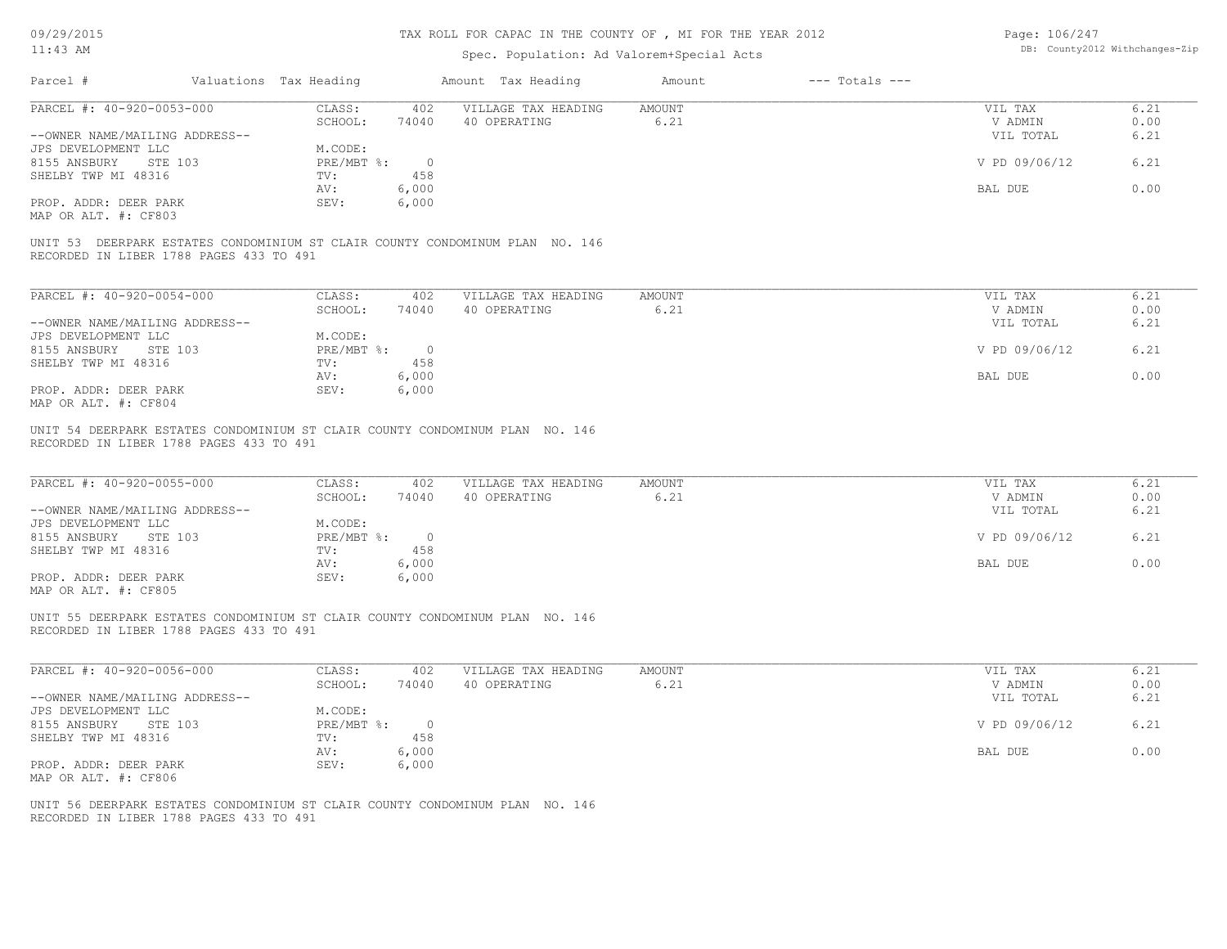# TAX ROLL FOR CAPAC IN THE COUNTY OF , MI FOR THE YEAR 2012

Page: 106/247

| Valuations Tax Heading<br>Amount Tax Heading<br>Amount<br>$---$ Totals $---$<br>CLASS:<br>VILLAGE TAX HEADING<br>VIL TAX<br>6.21<br>402<br>AMOUNT<br>6.21<br>0.00<br>SCHOOL:<br>74040<br>40 OPERATING<br>V ADMIN<br>6.21<br>VIL TOTAL<br>M.CODE:<br>$\circ$<br>6.21<br>$PRE/MBT$ %:<br>V PD 09/06/12<br>458<br>TV:<br>0.00<br>6,000<br>BAL DUE<br>AV:<br>6,000<br>SEV:<br>UNIT 53 DEERPARK ESTATES CONDOMINIUM ST CLAIR COUNTY CONDOMINUM PLAN NO. 146<br>RECORDED IN LIBER 1788 PAGES 433 TO 491<br>CLASS:<br>VILLAGE TAX HEADING<br><b>AMOUNT</b><br>6.21<br>402<br>VIL TAX<br>6.21<br>0.00<br>SCHOOL:<br>74040<br>40 OPERATING<br>V ADMIN<br>VIL TOTAL<br>6.21<br>M.CODE:<br>6.21<br>$PRE/MBT$ $\div$<br>$\overline{0}$<br>V PD 09/06/12<br>458<br>TV:<br>0.00<br>AV:<br>6,000<br>BAL DUE<br>SEV:<br>6,000<br>UNIT 54 DEERPARK ESTATES CONDOMINIUM ST CLAIR COUNTY CONDOMINUM PLAN NO. 146<br>RECORDED IN LIBER 1788 PAGES 433 TO 491<br>6.21<br>CLASS:<br>VILLAGE TAX HEADING<br><b>AMOUNT</b><br>402<br>VIL TAX<br>SCHOOL:<br>6.21<br>0.00<br>74040<br>40 OPERATING<br>V ADMIN<br>6.21<br>VIL TOTAL<br>M.CODE:<br>$PRE/MBT$ $\div$<br>$\circ$<br>V PD 09/06/12<br>6.21<br>458<br>TV:<br>0.00<br>6,000<br>BAL DUE<br>AV:<br>SEV:<br>6,000<br>UNIT 55 DEERPARK ESTATES CONDOMINIUM ST CLAIR COUNTY CONDOMINUM PLAN NO. 146<br>RECORDED IN LIBER 1788 PAGES 433 TO 491<br>CLASS:<br>VILLAGE TAX HEADING<br><b>AMOUNT</b><br>VIL TAX<br>6.21<br>402<br>SCHOOL:<br>6.21<br>74040<br>40 OPERATING<br>V ADMIN<br>0.00<br>VIL TOTAL<br>6.21<br>M.CODE: |
|-----------------------------------------------------------------------------------------------------------------------------------------------------------------------------------------------------------------------------------------------------------------------------------------------------------------------------------------------------------------------------------------------------------------------------------------------------------------------------------------------------------------------------------------------------------------------------------------------------------------------------------------------------------------------------------------------------------------------------------------------------------------------------------------------------------------------------------------------------------------------------------------------------------------------------------------------------------------------------------------------------------------------------------------------------------------------------------------------------------------------------------------------------------------------------------------------------------------------------------------------------------------------------------------------------------------------------------------------------------------------------------------------------------------------------------------------------------------------------------------------------------------------------------------------------|
|                                                                                                                                                                                                                                                                                                                                                                                                                                                                                                                                                                                                                                                                                                                                                                                                                                                                                                                                                                                                                                                                                                                                                                                                                                                                                                                                                                                                                                                                                                                                                     |
|                                                                                                                                                                                                                                                                                                                                                                                                                                                                                                                                                                                                                                                                                                                                                                                                                                                                                                                                                                                                                                                                                                                                                                                                                                                                                                                                                                                                                                                                                                                                                     |
|                                                                                                                                                                                                                                                                                                                                                                                                                                                                                                                                                                                                                                                                                                                                                                                                                                                                                                                                                                                                                                                                                                                                                                                                                                                                                                                                                                                                                                                                                                                                                     |
|                                                                                                                                                                                                                                                                                                                                                                                                                                                                                                                                                                                                                                                                                                                                                                                                                                                                                                                                                                                                                                                                                                                                                                                                                                                                                                                                                                                                                                                                                                                                                     |
|                                                                                                                                                                                                                                                                                                                                                                                                                                                                                                                                                                                                                                                                                                                                                                                                                                                                                                                                                                                                                                                                                                                                                                                                                                                                                                                                                                                                                                                                                                                                                     |
|                                                                                                                                                                                                                                                                                                                                                                                                                                                                                                                                                                                                                                                                                                                                                                                                                                                                                                                                                                                                                                                                                                                                                                                                                                                                                                                                                                                                                                                                                                                                                     |
|                                                                                                                                                                                                                                                                                                                                                                                                                                                                                                                                                                                                                                                                                                                                                                                                                                                                                                                                                                                                                                                                                                                                                                                                                                                                                                                                                                                                                                                                                                                                                     |
|                                                                                                                                                                                                                                                                                                                                                                                                                                                                                                                                                                                                                                                                                                                                                                                                                                                                                                                                                                                                                                                                                                                                                                                                                                                                                                                                                                                                                                                                                                                                                     |
|                                                                                                                                                                                                                                                                                                                                                                                                                                                                                                                                                                                                                                                                                                                                                                                                                                                                                                                                                                                                                                                                                                                                                                                                                                                                                                                                                                                                                                                                                                                                                     |
|                                                                                                                                                                                                                                                                                                                                                                                                                                                                                                                                                                                                                                                                                                                                                                                                                                                                                                                                                                                                                                                                                                                                                                                                                                                                                                                                                                                                                                                                                                                                                     |
|                                                                                                                                                                                                                                                                                                                                                                                                                                                                                                                                                                                                                                                                                                                                                                                                                                                                                                                                                                                                                                                                                                                                                                                                                                                                                                                                                                                                                                                                                                                                                     |
|                                                                                                                                                                                                                                                                                                                                                                                                                                                                                                                                                                                                                                                                                                                                                                                                                                                                                                                                                                                                                                                                                                                                                                                                                                                                                                                                                                                                                                                                                                                                                     |
|                                                                                                                                                                                                                                                                                                                                                                                                                                                                                                                                                                                                                                                                                                                                                                                                                                                                                                                                                                                                                                                                                                                                                                                                                                                                                                                                                                                                                                                                                                                                                     |
|                                                                                                                                                                                                                                                                                                                                                                                                                                                                                                                                                                                                                                                                                                                                                                                                                                                                                                                                                                                                                                                                                                                                                                                                                                                                                                                                                                                                                                                                                                                                                     |
|                                                                                                                                                                                                                                                                                                                                                                                                                                                                                                                                                                                                                                                                                                                                                                                                                                                                                                                                                                                                                                                                                                                                                                                                                                                                                                                                                                                                                                                                                                                                                     |
|                                                                                                                                                                                                                                                                                                                                                                                                                                                                                                                                                                                                                                                                                                                                                                                                                                                                                                                                                                                                                                                                                                                                                                                                                                                                                                                                                                                                                                                                                                                                                     |
|                                                                                                                                                                                                                                                                                                                                                                                                                                                                                                                                                                                                                                                                                                                                                                                                                                                                                                                                                                                                                                                                                                                                                                                                                                                                                                                                                                                                                                                                                                                                                     |
|                                                                                                                                                                                                                                                                                                                                                                                                                                                                                                                                                                                                                                                                                                                                                                                                                                                                                                                                                                                                                                                                                                                                                                                                                                                                                                                                                                                                                                                                                                                                                     |
|                                                                                                                                                                                                                                                                                                                                                                                                                                                                                                                                                                                                                                                                                                                                                                                                                                                                                                                                                                                                                                                                                                                                                                                                                                                                                                                                                                                                                                                                                                                                                     |
|                                                                                                                                                                                                                                                                                                                                                                                                                                                                                                                                                                                                                                                                                                                                                                                                                                                                                                                                                                                                                                                                                                                                                                                                                                                                                                                                                                                                                                                                                                                                                     |
|                                                                                                                                                                                                                                                                                                                                                                                                                                                                                                                                                                                                                                                                                                                                                                                                                                                                                                                                                                                                                                                                                                                                                                                                                                                                                                                                                                                                                                                                                                                                                     |
|                                                                                                                                                                                                                                                                                                                                                                                                                                                                                                                                                                                                                                                                                                                                                                                                                                                                                                                                                                                                                                                                                                                                                                                                                                                                                                                                                                                                                                                                                                                                                     |
|                                                                                                                                                                                                                                                                                                                                                                                                                                                                                                                                                                                                                                                                                                                                                                                                                                                                                                                                                                                                                                                                                                                                                                                                                                                                                                                                                                                                                                                                                                                                                     |
|                                                                                                                                                                                                                                                                                                                                                                                                                                                                                                                                                                                                                                                                                                                                                                                                                                                                                                                                                                                                                                                                                                                                                                                                                                                                                                                                                                                                                                                                                                                                                     |
|                                                                                                                                                                                                                                                                                                                                                                                                                                                                                                                                                                                                                                                                                                                                                                                                                                                                                                                                                                                                                                                                                                                                                                                                                                                                                                                                                                                                                                                                                                                                                     |
|                                                                                                                                                                                                                                                                                                                                                                                                                                                                                                                                                                                                                                                                                                                                                                                                                                                                                                                                                                                                                                                                                                                                                                                                                                                                                                                                                                                                                                                                                                                                                     |
|                                                                                                                                                                                                                                                                                                                                                                                                                                                                                                                                                                                                                                                                                                                                                                                                                                                                                                                                                                                                                                                                                                                                                                                                                                                                                                                                                                                                                                                                                                                                                     |
|                                                                                                                                                                                                                                                                                                                                                                                                                                                                                                                                                                                                                                                                                                                                                                                                                                                                                                                                                                                                                                                                                                                                                                                                                                                                                                                                                                                                                                                                                                                                                     |
| 6.21<br>$PRE/MBT$ %:<br>$\circ$<br>V PD 09/06/12                                                                                                                                                                                                                                                                                                                                                                                                                                                                                                                                                                                                                                                                                                                                                                                                                                                                                                                                                                                                                                                                                                                                                                                                                                                                                                                                                                                                                                                                                                    |
|                                                                                                                                                                                                                                                                                                                                                                                                                                                                                                                                                                                                                                                                                                                                                                                                                                                                                                                                                                                                                                                                                                                                                                                                                                                                                                                                                                                                                                                                                                                                                     |
| 0.00                                                                                                                                                                                                                                                                                                                                                                                                                                                                                                                                                                                                                                                                                                                                                                                                                                                                                                                                                                                                                                                                                                                                                                                                                                                                                                                                                                                                                                                                                                                                                |
|                                                                                                                                                                                                                                                                                                                                                                                                                                                                                                                                                                                                                                                                                                                                                                                                                                                                                                                                                                                                                                                                                                                                                                                                                                                                                                                                                                                                                                                                                                                                                     |
|                                                                                                                                                                                                                                                                                                                                                                                                                                                                                                                                                                                                                                                                                                                                                                                                                                                                                                                                                                                                                                                                                                                                                                                                                                                                                                                                                                                                                                                                                                                                                     |
|                                                                                                                                                                                                                                                                                                                                                                                                                                                                                                                                                                                                                                                                                                                                                                                                                                                                                                                                                                                                                                                                                                                                                                                                                                                                                                                                                                                                                                                                                                                                                     |
| 458<br>$\text{TV}$ :<br>6,000<br>BAL DUE<br>AV:<br>SEV:<br>6,000<br>UNIT 56 DEERPARK ESTATES CONDOMINIUM ST CLAIR COUNTY CONDOMINUM PLAN NO. 146<br>RECORDED IN LIBER 1788 PAGES 433 TO 491                                                                                                                                                                                                                                                                                                                                                                                                                                                                                                                                                                                                                                                                                                                                                                                                                                                                                                                                                                                                                                                                                                                                                                                                                                                                                                                                                         |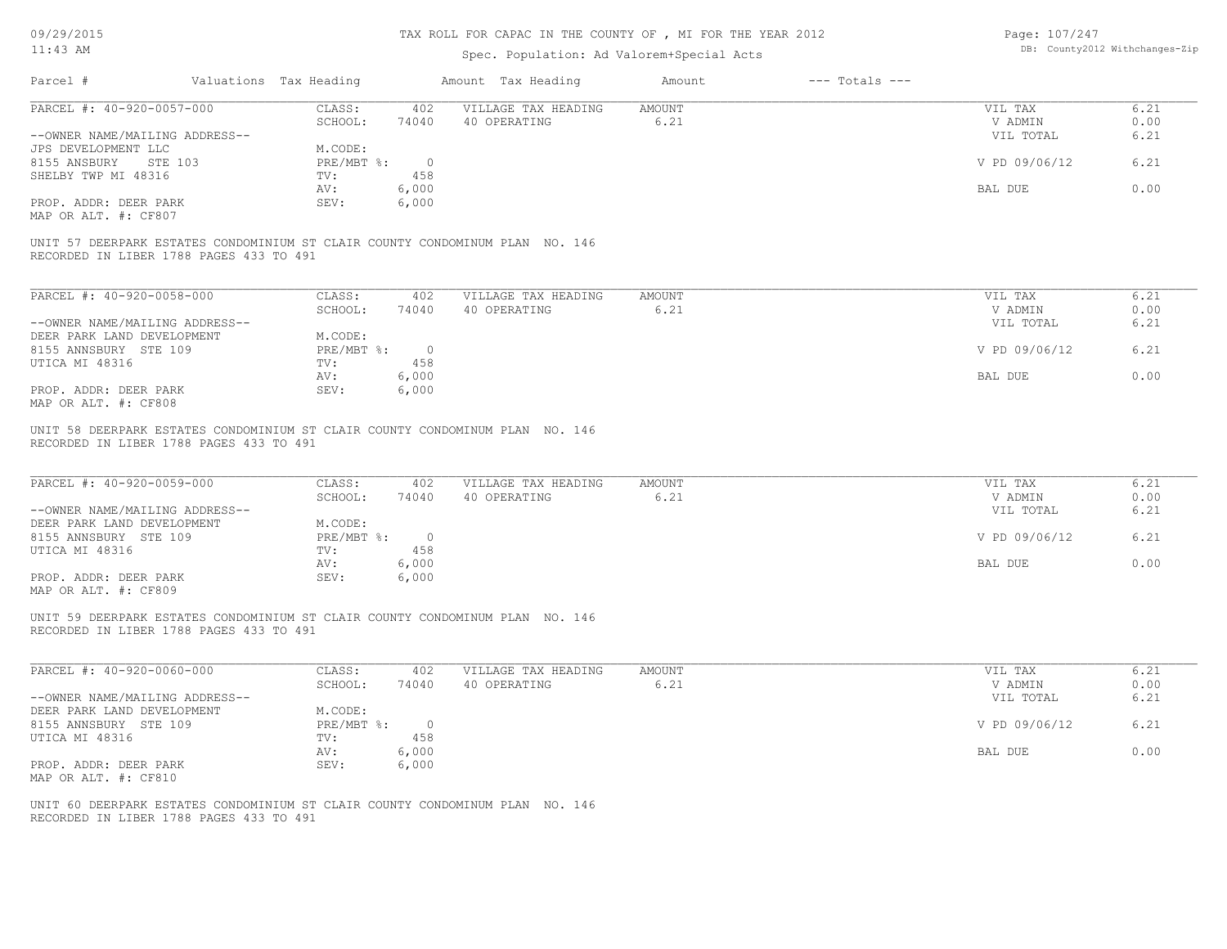# TAX ROLL FOR CAPAC IN THE COUNTY OF , MI FOR THE YEAR 2012

| Page: 107/247 |                                |
|---------------|--------------------------------|
|               | DB: County2012 Withchanges-Zip |

| 09/29/2013<br>$11:43$ AM                                                                                                                                                              |                        |                                                                  |                                                  | TAX ROLL FOR CAPAC IN THE COUNTI OF , MI FOR THE IEAR ZUIZ<br>Spec. Population: Ad Valorem+Special Acts |                       |                    | rage: $101/241$                                             | DB: County2012 Withchanges-Zip       |
|---------------------------------------------------------------------------------------------------------------------------------------------------------------------------------------|------------------------|------------------------------------------------------------------|--------------------------------------------------|---------------------------------------------------------------------------------------------------------|-----------------------|--------------------|-------------------------------------------------------------|--------------------------------------|
| Parcel #                                                                                                                                                                              | Valuations Tax Heading |                                                                  |                                                  | Amount Tax Heading                                                                                      | Amount                | $---$ Totals $---$ |                                                             |                                      |
| PARCEL #: 40-920-0057-000                                                                                                                                                             |                        | CLASS:<br>SCHOOL:                                                | 402<br>74040                                     | VILLAGE TAX HEADING<br>40 OPERATING                                                                     | AMOUNT<br>6.21        |                    | VIL TAX<br>V ADMIN                                          | 6.21<br>0.00                         |
| --OWNER NAME/MAILING ADDRESS--<br>JPS DEVELOPMENT LLC                                                                                                                                 |                        | M.CODE:                                                          |                                                  |                                                                                                         |                       |                    | VIL TOTAL                                                   | 6.21                                 |
| 8155 ANSBURY                                                                                                                                                                          | STE 103                | $PRE/MBT$ $\div$                                                 | $\overline{0}$                                   |                                                                                                         |                       |                    | V PD 09/06/12                                               | 6.21                                 |
| SHELBY TWP MI 48316                                                                                                                                                                   |                        | TV:<br>AV:                                                       | 458<br>6,000                                     |                                                                                                         |                       |                    | BAL DUE                                                     | 0.00                                 |
| PROP. ADDR: DEER PARK<br>MAP OR ALT. #: CF807                                                                                                                                         |                        | SEV:                                                             | 6,000                                            |                                                                                                         |                       |                    |                                                             |                                      |
| RECORDED IN LIBER 1788 PAGES 433 TO 491                                                                                                                                               |                        |                                                                  |                                                  | UNIT 57 DEERPARK ESTATES CONDOMINIUM ST CLAIR COUNTY CONDOMINUM PLAN NO. 146                            |                       |                    |                                                             |                                      |
| PARCEL #: 40-920-0058-000                                                                                                                                                             |                        | CLASS:                                                           | 402                                              | VILLAGE TAX HEADING                                                                                     | AMOUNT                |                    | VIL TAX                                                     | 6.21                                 |
| --OWNER NAME/MAILING ADDRESS--                                                                                                                                                        |                        | SCHOOL:                                                          | 74040                                            | 40 OPERATING                                                                                            | 6.21                  |                    | V ADMIN<br>VIL TOTAL                                        | 0.00<br>6.21                         |
| DEER PARK LAND DEVELOPMENT                                                                                                                                                            |                        | M.CODE:                                                          |                                                  |                                                                                                         |                       |                    |                                                             |                                      |
| 8155 ANNSBURY STE 109                                                                                                                                                                 |                        | PRE/MBT %:                                                       | $\overline{0}$                                   |                                                                                                         |                       |                    | V PD 09/06/12                                               | 6.21                                 |
| UTICA MI 48316                                                                                                                                                                        |                        | TV:<br>AV:                                                       | 458                                              |                                                                                                         |                       |                    | BAL DUE                                                     | 0.00                                 |
| PROP. ADDR: DEER PARK<br>MAP OR ALT. #: CF808                                                                                                                                         |                        | SEV:                                                             | 6,000<br>6,000                                   |                                                                                                         |                       |                    |                                                             |                                      |
| PARCEL #: 40-920-0059-000<br>--OWNER NAME/MAILING ADDRESS--<br>DEER PARK LAND DEVELOPMENT<br>8155 ANNSBURY STE 109<br>UTICA MI 48316<br>PROP. ADDR: DEER PARK<br>MAP OR ALT. #: CF809 |                        | CLASS:<br>SCHOOL:<br>M.CODE:<br>PRE/MBT %:<br>TV:<br>AV:<br>SEV: | 402<br>74040<br>$\circ$<br>458<br>6,000<br>6,000 | VILLAGE TAX HEADING<br>40 OPERATING                                                                     | <b>AMOUNT</b><br>6.21 |                    | VIL TAX<br>V ADMIN<br>VIL TOTAL<br>V PD 09/06/12<br>BAL DUE | 6.21<br>0.00<br>6.21<br>6.21<br>0.00 |
| RECORDED IN LIBER 1788 PAGES 433 TO 491                                                                                                                                               |                        |                                                                  |                                                  | UNIT 59 DEERPARK ESTATES CONDOMINIUM ST CLAIR COUNTY CONDOMINUM PLAN NO. 146                            |                       |                    |                                                             |                                      |
| PARCEL #: $40-920-0060-000$<br>--OWNER NAME/MAILING ADDRESS--                                                                                                                         |                        | CLASS:<br>SCHOOL:                                                | 402<br>74040                                     | VILLAGE TAX HEADING<br>40 OPERATING                                                                     | <b>AMOUNT</b><br>6.21 |                    | VIL TAX<br>V ADMIN<br>VIL TOTAL                             | 6.21<br>0.00<br>6.21                 |
| DEER PARK LAND DEVELOPMENT<br>8155 ANNSBURY STE 109                                                                                                                                   |                        | M.CODE:<br>PRE/MBT %:                                            | $\circ$                                          |                                                                                                         |                       |                    | V PD 09/06/12                                               | 6.21                                 |
| UTICA MI 48316                                                                                                                                                                        |                        | TV:<br>AV:                                                       | 458<br>6,000                                     |                                                                                                         |                       |                    | BAL DUE                                                     | 0.00                                 |
| PROP. ADDR: DEER PARK<br>MAP OR ALT. #: CF810                                                                                                                                         |                        | SEV:                                                             | 6,000                                            |                                                                                                         |                       |                    |                                                             |                                      |
| RECORDED IN LIBER 1788 PAGES 433 TO 491                                                                                                                                               |                        |                                                                  |                                                  | UNIT 60 DEERPARK ESTATES CONDOMINIUM ST CLAIR COUNTY CONDOMINUM PLAN NO. 146                            |                       |                    |                                                             |                                      |
|                                                                                                                                                                                       |                        |                                                                  |                                                  |                                                                                                         |                       |                    |                                                             |                                      |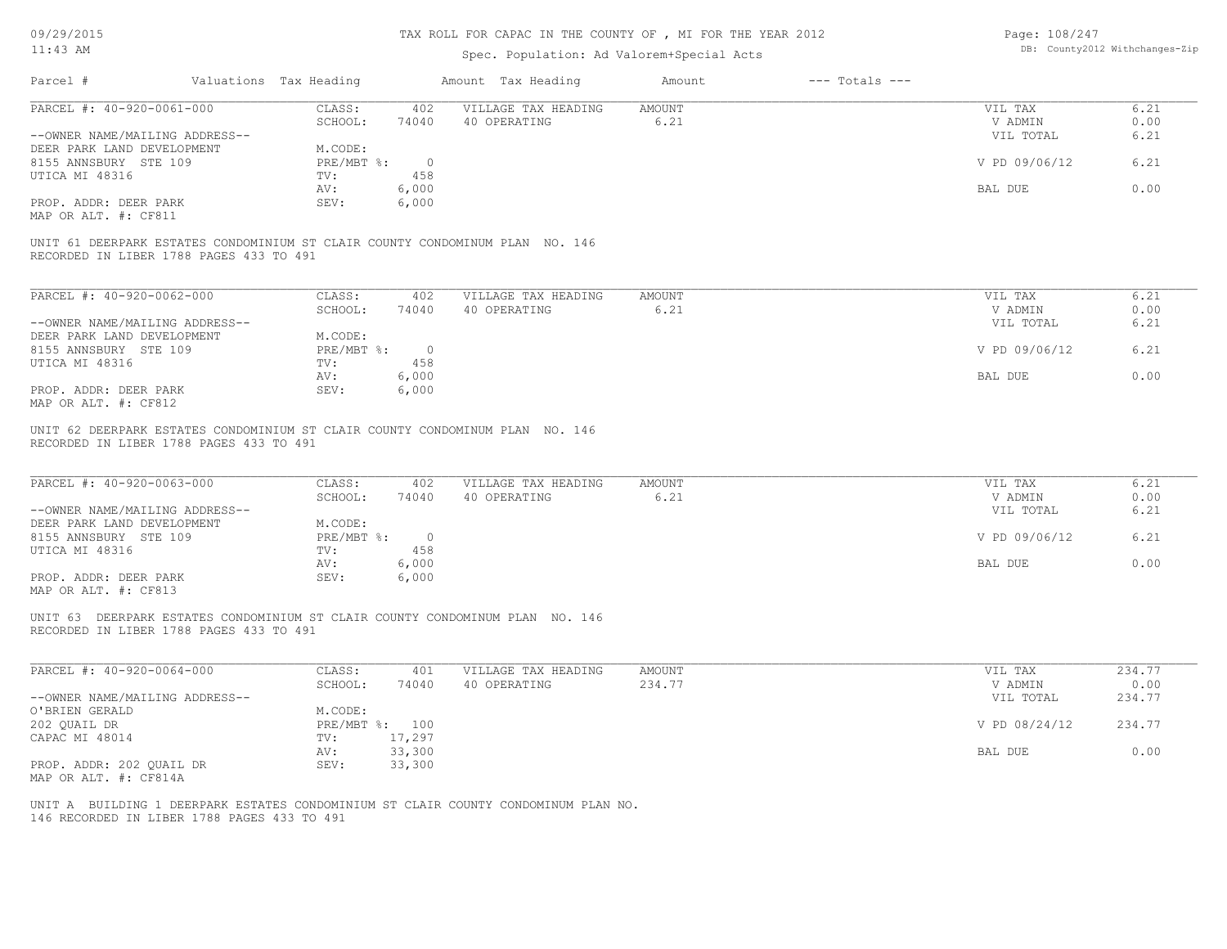# TAX ROLL FOR CAPAC IN THE COUNTY OF , MI FOR THE YEAR 2012

| Page: 108/247 |                                |
|---------------|--------------------------------|
|               | DB: County2012 Withchanges-Zip |

| $11:43$ AM                                                                                                                                                                            |                                                                        | Spec. Population: Ad Valorem+Special Acts                                                      |                              | DB: County2012 Withchanges-Zip                              |                                      |
|---------------------------------------------------------------------------------------------------------------------------------------------------------------------------------------|------------------------------------------------------------------------|------------------------------------------------------------------------------------------------|------------------------------|-------------------------------------------------------------|--------------------------------------|
| Parcel #                                                                                                                                                                              | Valuations Tax Heading                                                 | Amount Tax Heading                                                                             | $---$ Totals $---$<br>Amount |                                                             |                                      |
| PARCEL #: 40-920-0061-000                                                                                                                                                             | CLASS:                                                                 | VILLAGE TAX HEADING<br>402                                                                     | <b>AMOUNT</b>                | VIL TAX                                                     | 6.21                                 |
|                                                                                                                                                                                       | SCHOOL:                                                                | 74040<br>40 OPERATING                                                                          | 6.21                         | V ADMIN                                                     | 0.00                                 |
| --OWNER NAME/MAILING ADDRESS--<br>DEER PARK LAND DEVELOPMENT                                                                                                                          | M.CODE:                                                                |                                                                                                |                              | VIL TOTAL                                                   | 6.21                                 |
| 8155 ANNSBURY STE 109                                                                                                                                                                 | $PRE/MBT$ $\frac{1}{6}$ :                                              | $\overline{0}$                                                                                 |                              | V PD 09/06/12                                               | 6.21                                 |
| UTICA MI 48316                                                                                                                                                                        | TV:                                                                    | 458                                                                                            |                              |                                                             |                                      |
|                                                                                                                                                                                       | AV:                                                                    | 6,000                                                                                          |                              | BAL DUE                                                     | 0.00                                 |
| PROP. ADDR: DEER PARK                                                                                                                                                                 | SEV:                                                                   | 6,000                                                                                          |                              |                                                             |                                      |
| MAP OR ALT. #: CF811                                                                                                                                                                  |                                                                        |                                                                                                |                              |                                                             |                                      |
| UNIT 61 DEERPARK ESTATES CONDOMINIUM ST CLAIR COUNTY CONDOMINUM PLAN NO. 146<br>RECORDED IN LIBER 1788 PAGES 433 TO 491                                                               |                                                                        |                                                                                                |                              |                                                             |                                      |
| PARCEL #: 40-920-0062-000                                                                                                                                                             | CLASS:                                                                 | 402<br>VILLAGE TAX HEADING                                                                     | AMOUNT                       | VIL TAX                                                     | 6.21                                 |
|                                                                                                                                                                                       | SCHOOL:                                                                | 74040<br>40 OPERATING                                                                          | 6.21                         | V ADMIN                                                     | 0.00                                 |
| --OWNER NAME/MAILING ADDRESS--                                                                                                                                                        |                                                                        |                                                                                                |                              | VIL TOTAL                                                   | 6.21                                 |
| DEER PARK LAND DEVELOPMENT                                                                                                                                                            | M.CODE:                                                                |                                                                                                |                              |                                                             |                                      |
| 8155 ANNSBURY STE 109                                                                                                                                                                 | PRE/MBT %:                                                             | $\overline{0}$                                                                                 |                              | V PD 09/06/12                                               | 6.21                                 |
| UTICA MI 48316                                                                                                                                                                        | TV:                                                                    | 458                                                                                            |                              |                                                             |                                      |
|                                                                                                                                                                                       | AV:                                                                    | 6,000                                                                                          |                              | BAL DUE                                                     | 0.00                                 |
| PROP. ADDR: DEER PARK<br>MAP OR ALT. #: CF812                                                                                                                                         | SEV:                                                                   | 6,000                                                                                          |                              |                                                             |                                      |
| PARCEL #: 40-920-0063-000<br>--OWNER NAME/MAILING ADDRESS--<br>DEER PARK LAND DEVELOPMENT<br>8155 ANNSBURY STE 109<br>UTICA MI 48316<br>PROP. ADDR: DEER PARK<br>MAP OR ALT. #: CF813 | CLASS:<br>SCHOOL:<br>M.CODE:<br>$PRE/MBT$ $\div$<br>TV:<br>AV:<br>SEV: | VILLAGE TAX HEADING<br>402<br>74040<br>40 OPERATING<br>$\overline{0}$<br>458<br>6,000<br>6,000 | <b>AMOUNT</b><br>6.21        | VIL TAX<br>V ADMIN<br>VIL TOTAL<br>V PD 09/06/12<br>BAL DUE | 6.21<br>0.00<br>6.21<br>6.21<br>0.00 |
| UNIT 63 DEERPARK ESTATES CONDOMINIUM ST CLAIR COUNTY CONDOMINUM PLAN NO. 146<br>RECORDED IN LIBER 1788 PAGES 433 TO 491                                                               |                                                                        |                                                                                                |                              |                                                             |                                      |
| PARCEL #: 40-920-0064-000                                                                                                                                                             | CLASS:                                                                 | VILLAGE TAX HEADING<br>401                                                                     | <b>AMOUNT</b>                | VIL TAX                                                     | 234.77                               |
|                                                                                                                                                                                       | SCHOOL:                                                                | 74040<br>40 OPERATING                                                                          | 234.77                       | V ADMIN                                                     | 0.00                                 |
| --OWNER NAME/MAILING ADDRESS--                                                                                                                                                        |                                                                        |                                                                                                |                              | VIL TOTAL                                                   | 234.77                               |
| O'BRIEN GERALD<br>202 QUAIL DR                                                                                                                                                        | M.CODE:<br>PRE/MBT %: 100                                              |                                                                                                |                              | V PD 08/24/12                                               | 234.77                               |
| CAPAC MI 48014                                                                                                                                                                        | TV: 17,297                                                             |                                                                                                |                              |                                                             |                                      |
|                                                                                                                                                                                       | 33,300<br>AV:                                                          |                                                                                                |                              | BAL DUE                                                     | 0.00                                 |
| PROP. ADDR: 202 QUAIL DR                                                                                                                                                              | SEV:<br>33,300                                                         |                                                                                                |                              |                                                             |                                      |
| MAP OR ALT. #: CF814A                                                                                                                                                                 |                                                                        |                                                                                                |                              |                                                             |                                      |
|                                                                                                                                                                                       |                                                                        |                                                                                                |                              |                                                             |                                      |
|                                                                                                                                                                                       |                                                                        | UNIT A BUILDING 1 DEERPARK ESTATES CONDOMINIUM ST CLAIR COUNTY CONDOMINUM PLAN NO.             |                              |                                                             |                                      |
| 146 RECORDED IN LIBER 1788 PAGES 433 TO 491                                                                                                                                           |                                                                        |                                                                                                |                              |                                                             |                                      |
|                                                                                                                                                                                       |                                                                        |                                                                                                |                              |                                                             |                                      |
|                                                                                                                                                                                       |                                                                        |                                                                                                |                              |                                                             |                                      |
|                                                                                                                                                                                       |                                                                        |                                                                                                |                              |                                                             |                                      |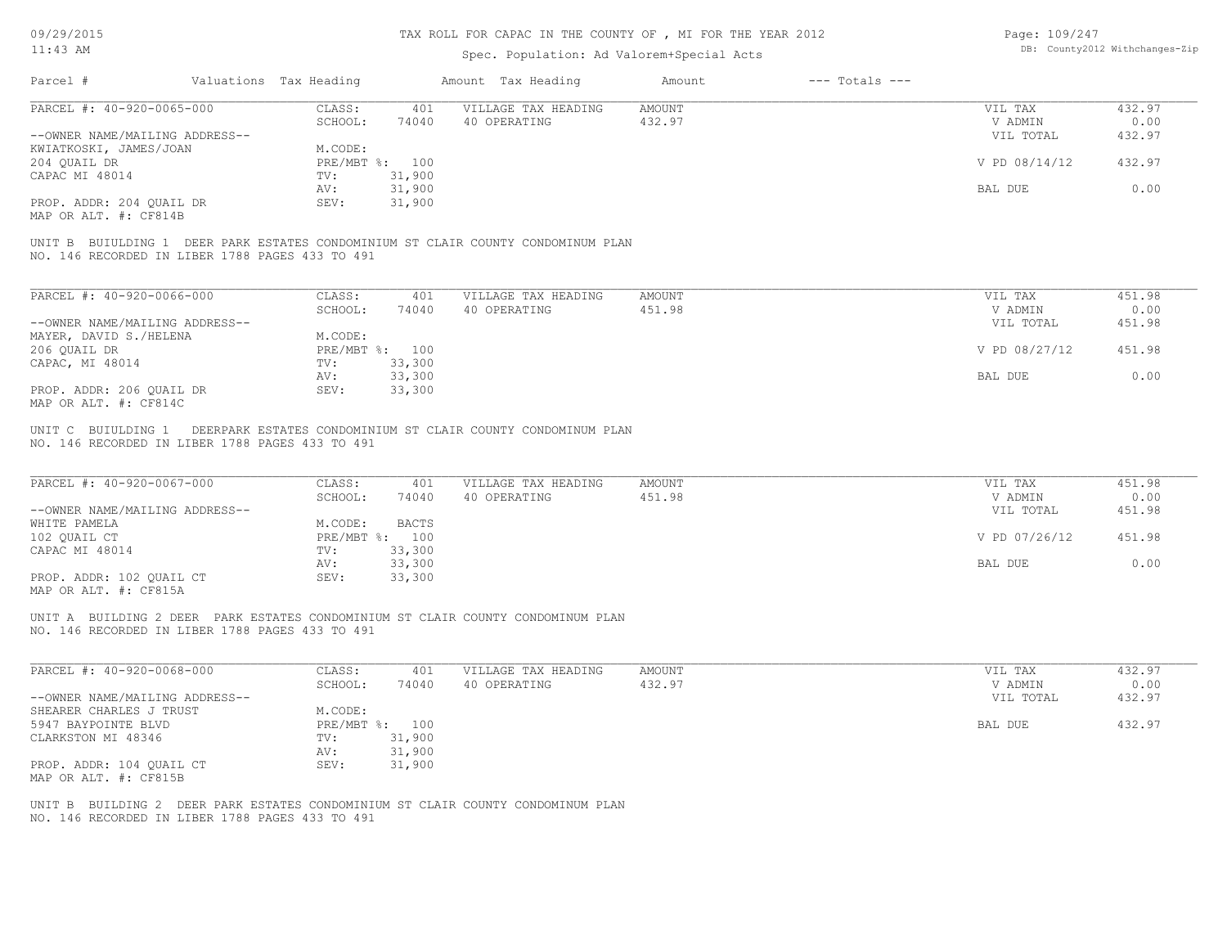#### TAX ROLL FOR CAPAC IN THE COUNTY OF , MI FOR THE YEAR 2012

### Spec. Population: Ad Valorem+Special Acts

| Page: 109/247 |                                |
|---------------|--------------------------------|
|               | DB: County2012 Withchanges-Zip |

| Parcel #                       | Valuations Tax Heading |                | Amount Tax Heading  | Amount | $---$ Totals $---$ |               |        |
|--------------------------------|------------------------|----------------|---------------------|--------|--------------------|---------------|--------|
| PARCEL #: 40-920-0065-000      | CLASS:                 | 401            | VILLAGE TAX HEADING | AMOUNT |                    | VIL TAX       | 432.97 |
|                                | SCHOOL:                | 74040          | 40 OPERATING        | 432.97 |                    | V ADMIN       | 0.00   |
| --OWNER NAME/MAILING ADDRESS-- |                        |                |                     |        |                    | VIL TOTAL     | 432.97 |
| KWIATKOSKI, JAMES/JOAN         | M.CODE:                |                |                     |        |                    |               |        |
| 204 QUAIL DR                   |                        | PRE/MBT %: 100 |                     |        |                    | V PD 08/14/12 | 432.97 |
| CAPAC MI 48014                 | TV:                    | 31,900         |                     |        |                    |               |        |
|                                | AV:                    | 31,900         |                     |        |                    | BAL DUE       | 0.00   |
| PROP. ADDR: 204 QUAIL DR       | SEV:                   | 31,900         |                     |        |                    |               |        |
| MAP OR ALT. #: CF814B          |                        |                |                     |        |                    |               |        |
|                                |                        |                |                     |        |                    |               |        |

NO. 146 RECORDED IN LIBER 1788 PAGES 433 TO 491 UNIT B BUIULDING 1 DEER PARK ESTATES CONDOMINIUM ST CLAIR COUNTY CONDOMINUM PLAN

| PARCEL #: 40-920-0066-000      | CLASS:     | 401    | VILLAGE TAX HEADING | AMOUNT | VIL TAX       | 451.98 |
|--------------------------------|------------|--------|---------------------|--------|---------------|--------|
|                                | SCHOOL:    | 74040  | 40 OPERATING        | 451.98 | V ADMIN       | 0.00   |
| --OWNER NAME/MAILING ADDRESS-- |            |        |                     |        | VIL TOTAL     | 451.98 |
| MAYER, DAVID S./HELENA         | M.CODE:    |        |                     |        |               |        |
| 206 OUAIL DR                   | PRE/MBT %: | 100    |                     |        | V PD 08/27/12 | 451.98 |
| CAPAC, MI 48014                | TV:        | 33,300 |                     |        |               |        |
|                                | AV:        | 33,300 |                     |        | BAL DUE       | 0.00   |
| PROP. ADDR: 206 OUAIL DR       | SEV:       | 33,300 |                     |        |               |        |
| MAP OR ALT. #: CF814C          |            |        |                     |        |               |        |

NO. 146 RECORDED IN LIBER 1788 PAGES 433 TO 491 UNIT C BUIULDING 1 DEERPARK ESTATES CONDOMINIUM ST CLAIR COUNTY CONDOMINUM PLAN

| PARCEL #: 40-920-0067-000      | CLASS:  | 401            | VILLAGE TAX HEADING | AMOUNT | VIL TAX       | 451.98 |
|--------------------------------|---------|----------------|---------------------|--------|---------------|--------|
|                                | SCHOOL: | 74040          | 40 OPERATING        | 451.98 | V ADMIN       | 0.00   |
| --OWNER NAME/MAILING ADDRESS-- |         |                |                     |        | VIL TOTAL     | 451.98 |
| WHITE PAMELA                   | M.CODE: | <b>BACTS</b>   |                     |        |               |        |
| 102 QUAIL CT                   |         | PRE/MBT %: 100 |                     |        | V PD 07/26/12 | 451.98 |
| CAPAC MI 48014                 | TV:     | 33,300         |                     |        |               |        |
|                                | AV:     | 33,300         |                     |        | BAL DUE       | 0.00   |
| PROP. ADDR: 102 QUAIL CT       | SEV:    | 33,300         |                     |        |               |        |
|                                |         |                |                     |        |               |        |

MAP OR ALT. #: CF815A

NO. 146 RECORDED IN LIBER 1788 PAGES 433 TO 491 UNIT A BUILDING 2 DEER PARK ESTATES CONDOMINIUM ST CLAIR COUNTY CONDOMINUM PLAN

| PARCEL #: 40-920-0068-000      | CLASS:  | 401            | VILLAGE TAX HEADING | AMOUNT | VIL TAX   | 432.97 |
|--------------------------------|---------|----------------|---------------------|--------|-----------|--------|
|                                | SCHOOL: | 74040          | 40 OPERATING        | 432.97 | V ADMIN   | 0.00   |
| --OWNER NAME/MAILING ADDRESS-- |         |                |                     |        | VIL TOTAL | 432.97 |
| SHEARER CHARLES J TRUST        | M.CODE: |                |                     |        |           |        |
| 5947 BAYPOINTE BLVD            |         | PRE/MBT %: 100 |                     |        | BAL DUE   | 432.97 |
| CLARKSTON MI 48346             | TV:     | 31,900         |                     |        |           |        |
|                                | AV:     | 31,900         |                     |        |           |        |
| PROP. ADDR: 104 OUAIL CT       | SEV:    | 31,900         |                     |        |           |        |
| MAP OR ALT. #: CF815B          |         |                |                     |        |           |        |

NO. 146 RECORDED IN LIBER 1788 PAGES 433 TO 491 UNIT B BUILDING 2 DEER PARK ESTATES CONDOMINIUM ST CLAIR COUNTY CONDOMINUM PLAN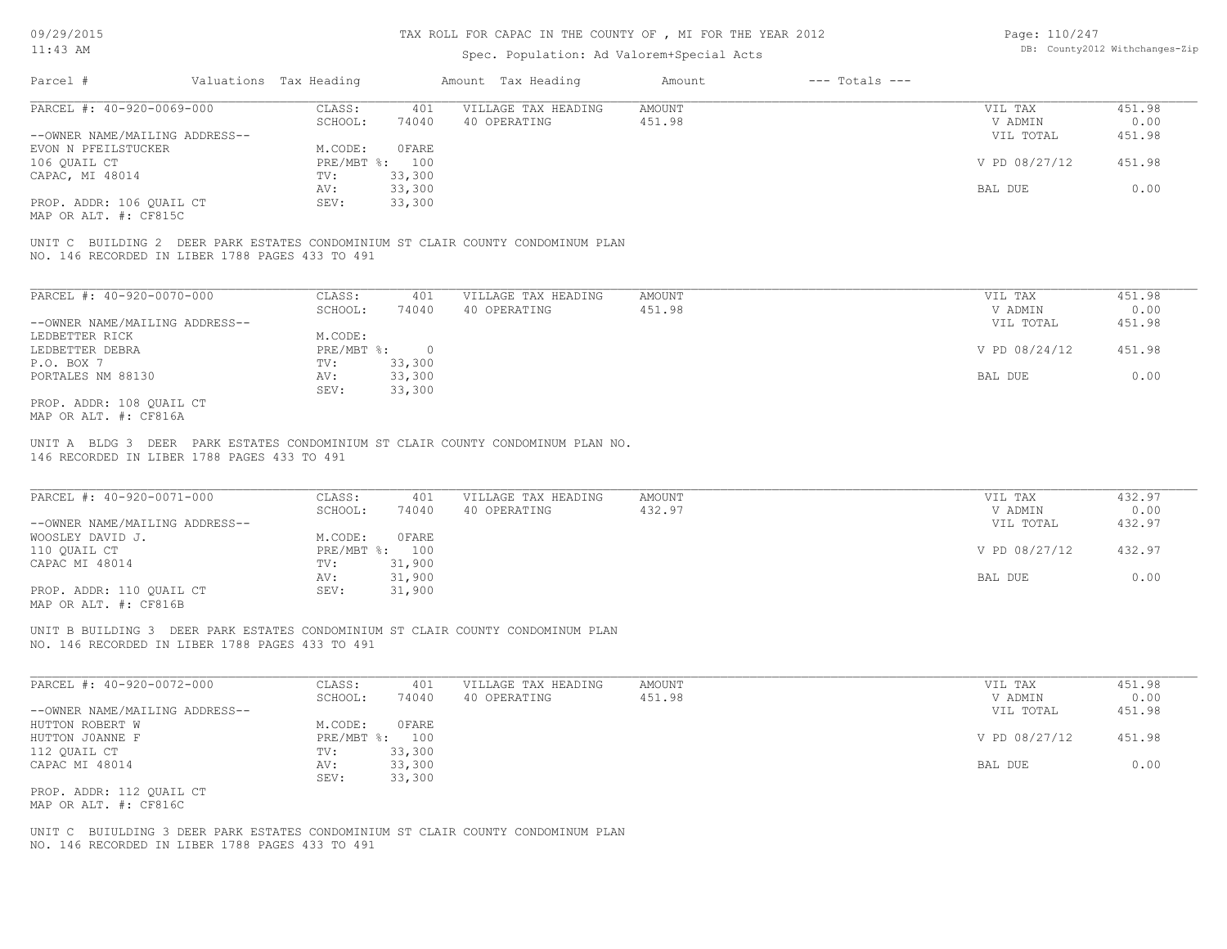### Spec. Population: Ad Valorem+Special Acts

| Page: 110/247 |                                |
|---------------|--------------------------------|
|               | DB: County2012 Withchanges-Zip |

| Parcel #                       | Valuations Tax Heading |        | Amount Tax Heading  | Amount | $---$ Totals $---$ |               |        |
|--------------------------------|------------------------|--------|---------------------|--------|--------------------|---------------|--------|
| PARCEL #: 40-920-0069-000      | CLASS:                 | 401    | VILLAGE TAX HEADING | AMOUNT |                    | VIL TAX       | 451.98 |
|                                | SCHOOL:                | 74040  | 40 OPERATING        | 451.98 |                    | V ADMIN       | 0.00   |
| --OWNER NAME/MAILING ADDRESS-- |                        |        |                     |        |                    | VIL TOTAL     | 451.98 |
| EVON N PFEILSTUCKER            | M.CODE:                | OFARE  |                     |        |                    |               |        |
| 106 OUAIL CT                   | PRE/MBT %: 100         |        |                     |        |                    | V PD 08/27/12 | 451.98 |
| CAPAC, MI 48014                | TV:                    | 33,300 |                     |        |                    |               |        |
|                                | AV:                    | 33,300 |                     |        |                    | BAL DUE       | 0.00   |
| PROP. ADDR: 106 OUAIL CT       | SEV:                   | 33,300 |                     |        |                    |               |        |
|                                |                        |        |                     |        |                    |               |        |

MAP OR ALT. #: CF815C

NO. 146 RECORDED IN LIBER 1788 PAGES 433 TO 491 UNIT C BUILDING 2 DEER PARK ESTATES CONDOMINIUM ST CLAIR COUNTY CONDOMINUM PLAN

| PARCEL #: 40-920-0070-000      | CLASS:     | 401    | VILLAGE TAX HEADING | AMOUNT | VIL TAX       | 451.98 |
|--------------------------------|------------|--------|---------------------|--------|---------------|--------|
|                                | SCHOOL:    | 74040  | 40 OPERATING        | 451.98 | V ADMIN       | 0.00   |
| --OWNER NAME/MAILING ADDRESS-- |            |        |                     |        | VIL TOTAL     | 451.98 |
| LEDBETTER RICK                 | M.CODE:    |        |                     |        |               |        |
| LEDBETTER DEBRA                | PRE/MBT %: |        |                     |        | V PD 08/24/12 | 451.98 |
| P.O. BOX 7                     | TV:        | 33,300 |                     |        |               |        |
| PORTALES NM 88130              | AV:        | 33,300 |                     |        | BAL DUE       | 0.00   |
|                                | SEV:       | 33,300 |                     |        |               |        |
| PROP. ADDR: 108 OUAIL CT       |            |        |                     |        |               |        |

MAP OR ALT. #: CF816A

146 RECORDED IN LIBER 1788 PAGES 433 TO 491 UNIT A BLDG 3 DEER PARK ESTATES CONDOMINIUM ST CLAIR COUNTY CONDOMINUM PLAN NO.

| PARCEL #: 40-920-0071-000      | CLASS:     | 401    | VILLAGE TAX HEADING | AMOUNT | VIL TAX       | 432.97 |
|--------------------------------|------------|--------|---------------------|--------|---------------|--------|
|                                | SCHOOL:    | 74040  | 40 OPERATING        | 432.97 | V ADMIN       | 0.00   |
| --OWNER NAME/MAILING ADDRESS-- |            |        |                     |        | VIL TOTAL     | 432.97 |
| WOOSLEY DAVID J.               | M.CODE:    | 0FARE  |                     |        |               |        |
| 110 OUAIL CT                   | PRE/MBT %: | 100    |                     |        | V PD 08/27/12 | 432.97 |
| CAPAC MI 48014                 | TV:        | 31,900 |                     |        |               |        |
|                                | AV:        | 31,900 |                     |        | BAL DUE       | 0.00   |
| PROP. ADDR: 110 OUAIL CT       | SEV:       | 31,900 |                     |        |               |        |
|                                |            |        |                     |        |               |        |

 $\mathcal{L}_\mathcal{L} = \mathcal{L}_\mathcal{L} = \mathcal{L}_\mathcal{L} = \mathcal{L}_\mathcal{L} = \mathcal{L}_\mathcal{L} = \mathcal{L}_\mathcal{L} = \mathcal{L}_\mathcal{L} = \mathcal{L}_\mathcal{L} = \mathcal{L}_\mathcal{L} = \mathcal{L}_\mathcal{L} = \mathcal{L}_\mathcal{L} = \mathcal{L}_\mathcal{L} = \mathcal{L}_\mathcal{L} = \mathcal{L}_\mathcal{L} = \mathcal{L}_\mathcal{L} = \mathcal{L}_\mathcal{L} = \mathcal{L}_\mathcal{L}$ 

MAP OR ALT. #: CF816B

NO. 146 RECORDED IN LIBER 1788 PAGES 433 TO 491 UNIT B BUILDING 3 DEER PARK ESTATES CONDOMINIUM ST CLAIR COUNTY CONDOMINUM PLAN

| PARCEL #: 40-920-0072-000      | CLASS:     | 401    | VILLAGE TAX HEADING | AMOUNT | VIL TAX       | 451.98 |
|--------------------------------|------------|--------|---------------------|--------|---------------|--------|
|                                | SCHOOL:    | 74040  | 40 OPERATING        | 451.98 | V ADMIN       | 0.00   |
| --OWNER NAME/MAILING ADDRESS-- |            |        |                     |        | VIL TOTAL     | 451.98 |
| HUTTON ROBERT W                | M.CODE:    | OFARE  |                     |        |               |        |
| HUTTON JOANNE F                | PRE/MBT %: | 100    |                     |        | V PD 08/27/12 | 451.98 |
| 112 QUAIL CT                   | TV:        | 33,300 |                     |        |               |        |
| CAPAC MI 48014                 | AV:        | 33,300 |                     |        | BAL DUE       | 0.00   |
|                                | SEV:       | 33,300 |                     |        |               |        |
| PROP. ADDR: 112 QUAIL CT       |            |        |                     |        |               |        |

MAP OR ALT. #: CF816C

NO. 146 RECORDED IN LIBER 1788 PAGES 433 TO 491 UNIT C BUIULDING 3 DEER PARK ESTATES CONDOMINIUM ST CLAIR COUNTY CONDOMINUM PLAN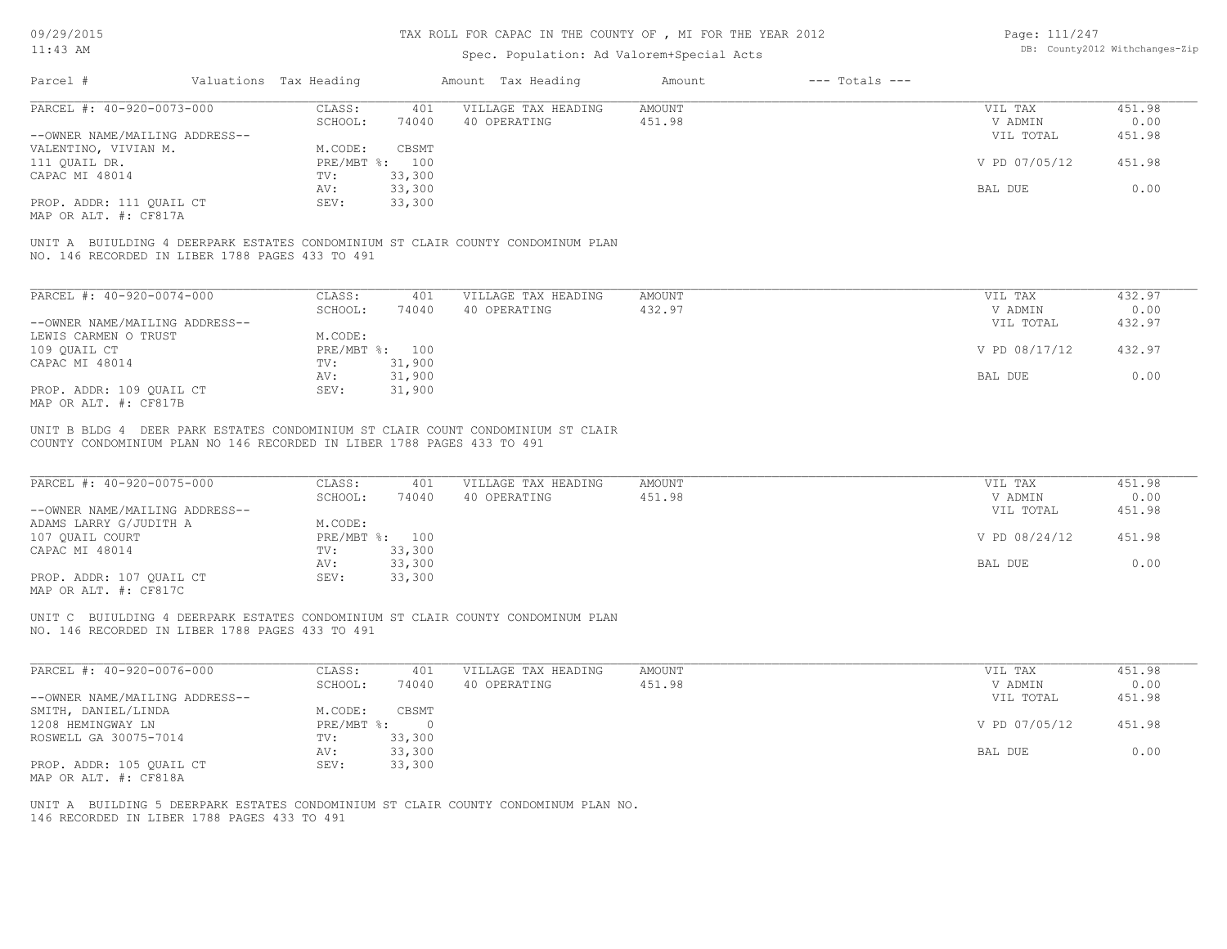#### TAX ROLL FOR CAPAC IN THE COUNTY OF , MI FOR THE YEAR 2012

### Spec. Population: Ad Valorem+Special Acts

| Page: 111/247 |                                |
|---------------|--------------------------------|
|               | DB: County2012 Withchanges-Zip |

| Parcel #                                          | Valuations Tax Heading |                           | Amount Tax Heading                                                              | Amount | $---$ Totals $---$ |               |        |
|---------------------------------------------------|------------------------|---------------------------|---------------------------------------------------------------------------------|--------|--------------------|---------------|--------|
| PARCEL #: 40-920-0073-000                         | CLASS:                 | 401                       | VILLAGE TAX HEADING                                                             | AMOUNT |                    | VIL TAX       | 451.98 |
|                                                   | SCHOOL:                | 74040                     | 40 OPERATING                                                                    | 451.98 |                    | V ADMIN       | 0.00   |
| --OWNER NAME/MAILING ADDRESS--                    |                        |                           |                                                                                 |        |                    | VIL TOTAL     | 451.98 |
| VALENTINO, VIVIAN M.                              | M.CODE:                | CBSMT                     |                                                                                 |        |                    |               |        |
| 111 QUAIL DR.                                     |                        | PRE/MBT %: 100            |                                                                                 |        |                    | V PD 07/05/12 | 451.98 |
| CAPAC MI 48014                                    | TV:                    | 33,300                    |                                                                                 |        |                    |               |        |
|                                                   | AV:                    | 33,300                    |                                                                                 |        |                    | BAL DUE       | 0.00   |
| PROP. ADDR: 111 QUAIL CT<br>MAP OR ALT. #: CF817A | SEV:                   | 33,300                    |                                                                                 |        |                    |               |        |
| NO. 146 RECORDED IN LIBER 1788 PAGES 433 TO 491   |                        |                           | UNIT A BUIULDING 4 DEERPARK ESTATES CONDOMINIUM ST CLAIR COUNTY CONDOMINUM PLAN |        |                    |               |        |
|                                                   |                        |                           |                                                                                 |        |                    |               |        |
| PARCEL #: 40-920-0074-000                         | CLASS:                 | 401                       | VILLAGE TAX HEADING                                                             | AMOUNT |                    | VIL TAX       | 432.97 |
|                                                   | SCHOOL:                | 74040                     | 40 OPERATING                                                                    | 432.97 |                    | V ADMIN       | 0.00   |
| --OWNER NAME/MAILING ADDRESS--                    |                        |                           |                                                                                 |        |                    | VIL TOTAL     | 432.97 |
| LEWIS CARMEN O TRUST                              | M.CODE:                |                           |                                                                                 |        |                    |               |        |
| 109 QUAIL CT                                      |                        | $PRE/MBT$ $\div$ :<br>100 |                                                                                 |        |                    | V PD 08/17/12 | 432.97 |
| CAPAC MI 48014                                    | TV:                    | 31,900                    |                                                                                 |        |                    |               |        |
|                                                   | AV:                    | 31,900                    |                                                                                 |        |                    | BAL DUE       | 0.00   |

MAP OR ALT. #: CF817B PROP. ADDR: 109 QUAIL CT SEV: 31,900

COUNTY CONDOMINIUM PLAN NO 146 RECORDED IN LIBER 1788 PAGES 433 TO 491 UNIT B BLDG 4 DEER PARK ESTATES CONDOMINIUM ST CLAIR COUNT CONDOMINIUM ST CLAIR

| PARCEL #: 40-920-0075-000      | CLASS:  | 401            | VILLAGE TAX HEADING | AMOUNT | VIL TAX       | 451.98 |
|--------------------------------|---------|----------------|---------------------|--------|---------------|--------|
|                                | SCHOOL: | 74040          | 40 OPERATING        | 451.98 | V ADMIN       | 0.00   |
| --OWNER NAME/MAILING ADDRESS-- |         |                |                     |        | VIL TOTAL     | 451.98 |
| ADAMS LARRY G/JUDITH A         | M.CODE: |                |                     |        |               |        |
| 107 QUAIL COURT                |         | PRE/MBT %: 100 |                     |        | V PD 08/24/12 | 451.98 |
| CAPAC MI 48014                 | TV:     | 33,300         |                     |        |               |        |
|                                | AV:     | 33,300         |                     |        | BAL DUE       | 0.00   |
| PROP. ADDR: 107 QUAIL CT       | SEV:    | 33,300         |                     |        |               |        |
| MAP OR ALT. #: CF817C          |         |                |                     |        |               |        |

UNIT C BUIULDING 4 DEERPARK ESTATES CONDOMINIUM ST CLAIR COUNTY CONDOMINUM PLAN

NO. 146 RECORDED IN LIBER 1788 PAGES 433 TO 491

| PARCEL #: 40-920-0076-000      | CLASS:     | 401    | VILLAGE TAX HEADING | AMOUNT | VIL TAX       | 451.98 |
|--------------------------------|------------|--------|---------------------|--------|---------------|--------|
|                                | SCHOOL:    | 74040  | 40 OPERATING        | 451.98 | V ADMIN       | 0.00   |
| --OWNER NAME/MAILING ADDRESS-- |            |        |                     |        | VIL TOTAL     | 451.98 |
| SMITH, DANIEL/LINDA            | M.CODE:    | CBSMT  |                     |        |               |        |
| 1208 HEMINGWAY LN              | PRE/MBT %: |        |                     |        | V PD 07/05/12 | 451.98 |
| ROSWELL GA 30075-7014          | TV:        | 33,300 |                     |        |               |        |
|                                | AV:        | 33,300 |                     |        | BAL DUE       | 0.00   |
| PROP. ADDR: 105 QUAIL CT       | SEV:       | 33,300 |                     |        |               |        |
| MAP OR ALT. #: CF818A          |            |        |                     |        |               |        |

146 RECORDED IN LIBER 1788 PAGES 433 TO 491 UNIT A BUILDING 5 DEERPARK ESTATES CONDOMINIUM ST CLAIR COUNTY CONDOMINUM PLAN NO.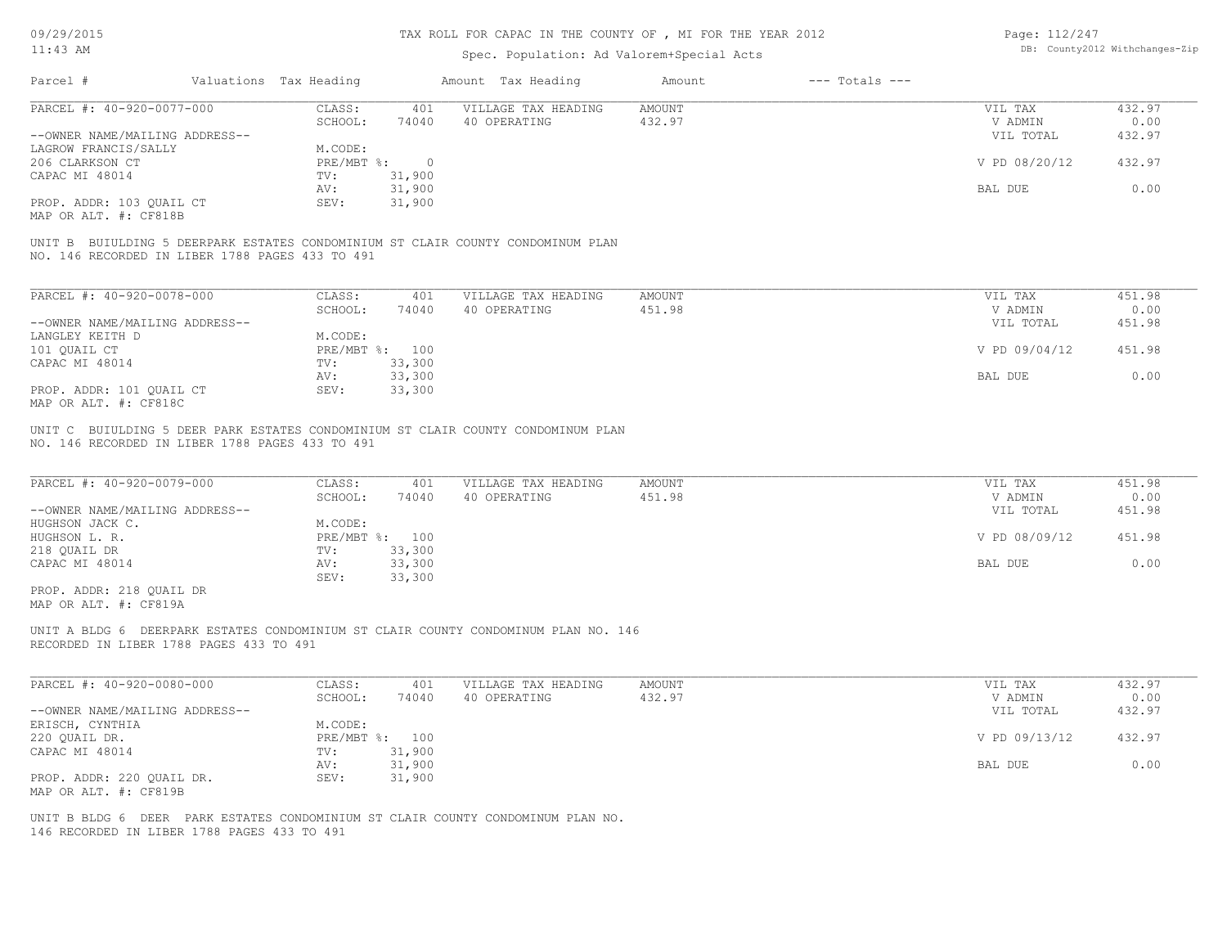| 09/29/2015                                                                   |                        |                   |                | TAX ROLL FOR CAPAC IN THE COUNTY OF, MI FOR THE YEAR 2012                          |                         |                    | Page: 112/247      | DB: County2012 Withchanges-Zip |
|------------------------------------------------------------------------------|------------------------|-------------------|----------------|------------------------------------------------------------------------------------|-------------------------|--------------------|--------------------|--------------------------------|
| $11:43$ AM                                                                   |                        |                   |                | Spec. Population: Ad Valorem+Special Acts                                          |                         |                    |                    |                                |
| Parcel #                                                                     | Valuations Tax Heading |                   |                | Amount Tax Heading                                                                 | Amount                  | $---$ Totals $---$ |                    |                                |
| PARCEL #: 40-920-0077-000                                                    |                        | CLASS:            | 401            | VILLAGE TAX HEADING                                                                | AMOUNT                  |                    | VIL TAX            | 432.97                         |
|                                                                              |                        | SCHOOL:           | 74040          | 40 OPERATING                                                                       | 432.97                  |                    | V ADMIN            | 0.00                           |
| --OWNER NAME/MAILING ADDRESS--                                               |                        |                   |                |                                                                                    |                         |                    | VIL TOTAL          | 432.97                         |
| LAGROW FRANCIS/SALLY                                                         |                        | M.CODE:           |                |                                                                                    |                         |                    |                    |                                |
|                                                                              |                        |                   |                |                                                                                    |                         |                    |                    |                                |
| 206 CLARKSON CT                                                              |                        | PRE/MBT %:        | $\overline{0}$ |                                                                                    |                         |                    | V PD 08/20/12      | 432.97                         |
| CAPAC MI 48014                                                               |                        | TV:               | 31,900         |                                                                                    |                         |                    |                    |                                |
|                                                                              |                        | AV:               | 31,900         |                                                                                    |                         |                    | BAL DUE            | 0.00                           |
| PROP. ADDR: 103 QUAIL CT                                                     |                        | SEV:              | 31,900         |                                                                                    |                         |                    |                    |                                |
| MAP OR ALT. #: CF818B                                                        |                        |                   |                |                                                                                    |                         |                    |                    |                                |
| NO. 146 RECORDED IN LIBER 1788 PAGES 433 TO 491                              |                        |                   |                | UNIT B BUIULDING 5 DEERPARK ESTATES CONDOMINIUM ST CLAIR COUNTY CONDOMINUM PLAN    |                         |                    |                    |                                |
| PARCEL #: 40-920-0078-000                                                    |                        | CLASS:            | 401            | VILLAGE TAX HEADING                                                                | <b>AMOUNT</b>           |                    | VIL TAX            | 451.98                         |
|                                                                              |                        | SCHOOL:           | 74040          | 40 OPERATING                                                                       | 451.98                  |                    | V ADMIN            | 0.00                           |
| --OWNER NAME/MAILING ADDRESS--                                               |                        |                   |                |                                                                                    |                         |                    | VIL TOTAL          | 451.98                         |
| LANGLEY KEITH D                                                              |                        | M.CODE:           |                |                                                                                    |                         |                    |                    |                                |
| 101 QUAIL CT                                                                 |                        |                   | PRE/MBT %: 100 |                                                                                    |                         |                    | V PD 09/04/12      | 451.98                         |
| CAPAC MI 48014                                                               |                        | TV:               | 33,300         |                                                                                    |                         |                    |                    |                                |
|                                                                              |                        | AV:               | 33,300         |                                                                                    |                         |                    | BAL DUE            | 0.00                           |
| PROP. ADDR: 101 QUAIL CT                                                     |                        | SEV:              | 33,300         |                                                                                    |                         |                    |                    |                                |
| MAP OR ALT. #: CF818C                                                        |                        |                   |                |                                                                                    |                         |                    |                    |                                |
|                                                                              |                        |                   |                |                                                                                    |                         |                    |                    |                                |
| NO. 146 RECORDED IN LIBER 1788 PAGES 433 TO 491<br>PARCEL #: 40-920-0079-000 |                        | CLASS:<br>SCHOOL: | 401<br>74040   | VILLAGE TAX HEADING<br>40 OPERATING                                                | <b>AMOUNT</b><br>451.98 |                    | VIL TAX<br>V ADMIN | 451.98<br>0.00                 |
| --OWNER NAME/MAILING ADDRESS--                                               |                        |                   |                |                                                                                    |                         |                    | VIL TOTAL          | 451.98                         |
| HUGHSON JACK C.                                                              |                        | M.CODE:           |                |                                                                                    |                         |                    |                    |                                |
| HUGHSON L. R.                                                                |                        |                   | PRE/MBT %: 100 |                                                                                    |                         |                    | V PD 08/09/12      | 451.98                         |
| 218 QUAIL DR                                                                 |                        | TV:               | 33,300         |                                                                                    |                         |                    |                    |                                |
| CAPAC MI 48014                                                               |                        | AV:               | 33,300         |                                                                                    |                         |                    | BAL DUE            | 0.00                           |
|                                                                              |                        | SEV:              | 33,300         |                                                                                    |                         |                    |                    |                                |
| PROP. ADDR: 218 QUAIL DR                                                     |                        |                   |                |                                                                                    |                         |                    |                    |                                |
| MAP OR ALT. #: CF819A                                                        |                        |                   |                |                                                                                    |                         |                    |                    |                                |
| RECORDED IN LIBER 1788 PAGES 433 TO 491                                      |                        |                   |                | UNIT A BLDG 6 DEERPARK ESTATES CONDOMINIUM ST CLAIR COUNTY CONDOMINUM PLAN NO. 146 |                         |                    |                    |                                |
| PARCEL #: 40-920-0080-000                                                    |                        | CLASS:            | 401            | VILLAGE TAX HEADING                                                                | AMOUNT                  |                    | VIL TAX            | 432.97                         |
|                                                                              |                        | SCHOOL:           | 74040          | 40 OPERATING                                                                       | 432.97                  |                    | V ADMIN            | 0.00                           |
| --OWNER NAME/MAILING ADDRESS-                                                |                        |                   |                |                                                                                    |                         |                    | VIL TOTAL          | 432.97                         |
| ERISCH, CYNTHIA                                                              |                        | M.CODE:           |                |                                                                                    |                         |                    |                    |                                |
|                                                                              |                        |                   | PRE/MBT %: 100 |                                                                                    |                         |                    |                    |                                |
| 220 QUAIL DR.                                                                |                        |                   |                |                                                                                    |                         |                    | V PD 09/13/12      | 432.97                         |
| CAPAC MI 48014                                                               |                        | $\text{TV}$ :     | 31,900         |                                                                                    |                         |                    |                    |                                |
|                                                                              |                        | AV:               | 31,900         |                                                                                    |                         |                    | BAL DUE            | 0.00                           |
| PROP. ADDR: 220 QUAIL DR.                                                    |                        | SEV:              | 31,900         |                                                                                    |                         |                    |                    |                                |
| MAP OR ALT. #: CF819B                                                        |                        |                   |                |                                                                                    |                         |                    |                    |                                |
| 146 RECORDED IN LIBER 1788 PAGES 433 TO 491                                  |                        |                   |                | UNIT B BLDG 6 DEER PARK ESTATES CONDOMINIUM ST CLAIR COUNTY CONDOMINUM PLAN NO.    |                         |                    |                    |                                |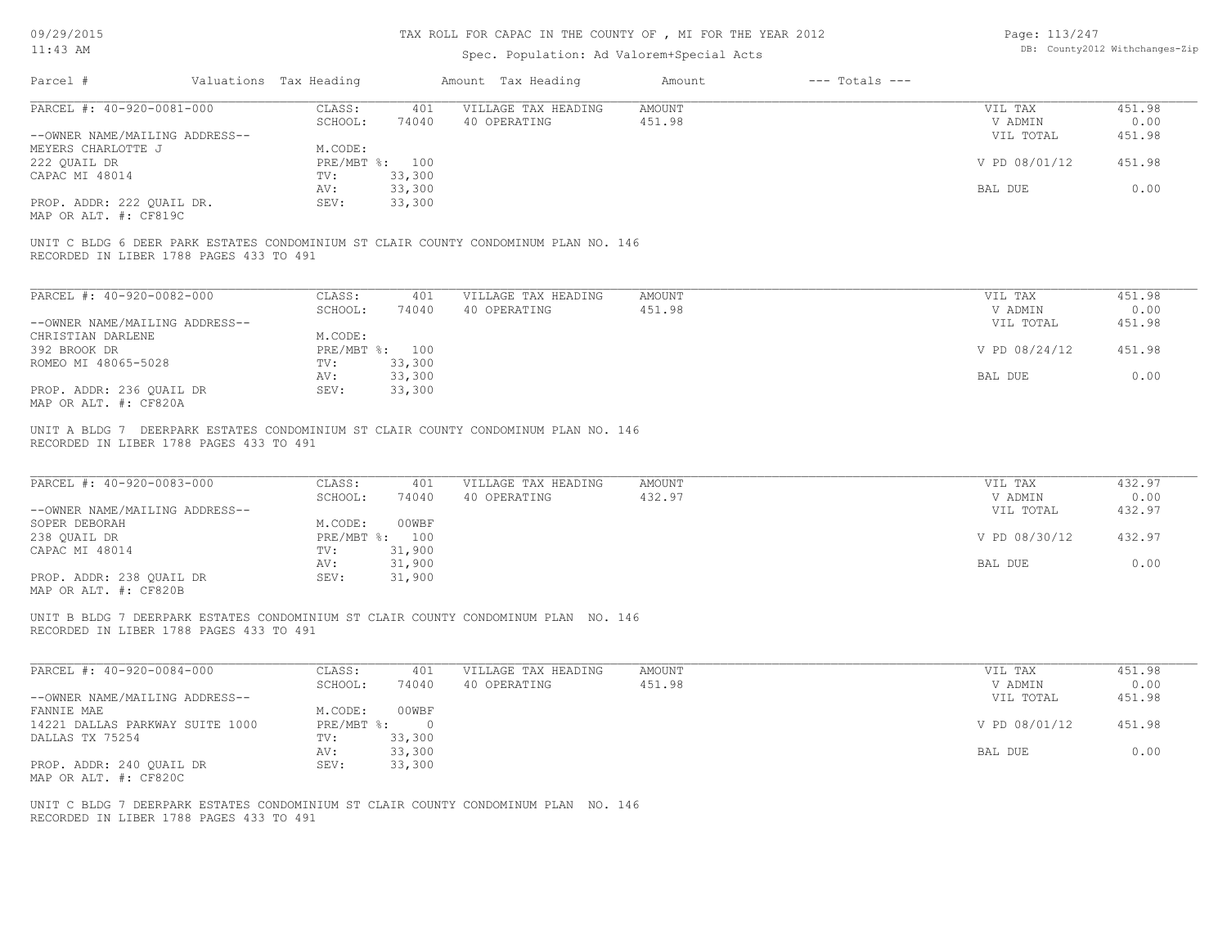09/29/2015

# TAX ROLL FOR CAPAC IN THE COUNTY OF , MI FOR THE YEAR 2012

| Page: 113/247 |                                |
|---------------|--------------------------------|
|               | DB: County2012 Withchanges-Zip |

| $11:43$ AM                                                                                                                     |                              |                       | Spec. Population: Ad Valorem+Special Acts |                         |                    |                                 | DB: County2012 Withchanges-Zip |
|--------------------------------------------------------------------------------------------------------------------------------|------------------------------|-----------------------|-------------------------------------------|-------------------------|--------------------|---------------------------------|--------------------------------|
| Parcel #                                                                                                                       | Valuations Tax Heading       |                       | Amount Tax Heading                        | Amount                  | $---$ Totals $---$ |                                 |                                |
| PARCEL #: 40-920-0081-000                                                                                                      | CLASS:                       | 401                   | VILLAGE TAX HEADING                       | <b>AMOUNT</b>           |                    | VIL TAX                         | 451.98                         |
|                                                                                                                                | SCHOOL:                      | 74040                 | 40 OPERATING                              | 451.98                  |                    | V ADMIN                         | 0.00                           |
| --OWNER NAME/MAILING ADDRESS--                                                                                                 |                              |                       |                                           |                         |                    | VIL TOTAL                       | 451.98                         |
| MEYERS CHARLOTTE J                                                                                                             | M.CODE:                      |                       |                                           |                         |                    |                                 |                                |
| 222 OUAIL DR                                                                                                                   |                              | PRE/MBT %: 100        |                                           |                         |                    | V PD 08/01/12                   | 451.98                         |
| CAPAC MI 48014                                                                                                                 | TV:                          | 33,300                |                                           |                         |                    |                                 |                                |
|                                                                                                                                | AV:                          | 33,300                |                                           |                         |                    | BAL DUE                         | 0.00                           |
| PROP. ADDR: 222 QUAIL DR.<br>MAP OR ALT. #: CF819C                                                                             | SEV:                         | 33,300                |                                           |                         |                    |                                 |                                |
| UNIT C BLDG 6 DEER PARK ESTATES CONDOMINIUM ST CLAIR COUNTY CONDOMINUM PLAN NO. 146<br>RECORDED IN LIBER 1788 PAGES 433 TO 491 |                              |                       |                                           |                         |                    |                                 |                                |
| PARCEL #: 40-920-0082-000                                                                                                      | CLASS:                       | 401                   | VILLAGE TAX HEADING                       | <b>AMOUNT</b>           |                    | VIL TAX                         | 451.98                         |
|                                                                                                                                | SCHOOL:                      | 74040                 | 40 OPERATING                              | 451.98                  |                    | V ADMIN                         | 0.00                           |
| --OWNER NAME/MAILING ADDRESS--                                                                                                 |                              |                       |                                           |                         |                    | VIL TOTAL                       | 451.98                         |
| CHRISTIAN DARLENE                                                                                                              | M.CODE:                      |                       |                                           |                         |                    |                                 |                                |
| 392 BROOK DR                                                                                                                   |                              | PRE/MBT %: 100        |                                           |                         |                    | V PD 08/24/12                   | 451.98                         |
| ROMEO MI 48065-5028                                                                                                            | TV:                          | 33,300                |                                           |                         |                    |                                 |                                |
|                                                                                                                                | AV:                          | 33,300                |                                           |                         |                    | BAL DUE                         | 0.00                           |
| PROP. ADDR: 236 QUAIL DR                                                                                                       | SEV:                         | 33,300                |                                           |                         |                    |                                 |                                |
| MAP OR ALT. #: CF820A                                                                                                          |                              |                       |                                           |                         |                    |                                 |                                |
| PARCEL #: 40-920-0083-000<br>--OWNER NAME/MAILING ADDRESS--<br>SOPER DEBORAH                                                   | CLASS:<br>SCHOOL:<br>M.CODE: | 401<br>74040<br>00WBF | VILLAGE TAX HEADING<br>40 OPERATING       | <b>AMOUNT</b><br>432.97 |                    | VIL TAX<br>V ADMIN<br>VIL TOTAL | 432.97<br>0.00<br>432.97       |
| 238 QUAIL DR                                                                                                                   |                              | PRE/MBT %: 100        |                                           |                         |                    | V PD 08/30/12                   | 432.97                         |
| CAPAC MI 48014                                                                                                                 | TV:                          | 31,900                |                                           |                         |                    |                                 |                                |
|                                                                                                                                | AV:                          | 31,900                |                                           |                         |                    | BAL DUE                         | 0.00                           |
| PROP. ADDR: 238 QUAIL DR<br>MAP OR ALT. #: CF820B                                                                              | SEV:                         | 31,900                |                                           |                         |                    |                                 |                                |
| UNIT B BLDG 7 DEERPARK ESTATES CONDOMINIUM ST CLAIR COUNTY CONDOMINUM PLAN NO. 146<br>RECORDED IN LIBER 1788 PAGES 433 TO 491  |                              |                       |                                           |                         |                    |                                 |                                |
| PARCEL #: 40-920-0084-000                                                                                                      | CLASS:<br>SCHOOL:            | 401                   | VILLAGE TAX HEADING<br>40 OPERATING       | <b>AMOUNT</b><br>451.98 |                    | VIL TAX                         | 451.98<br>0.00                 |
| --OWNER NAME/MAILING ADDRESS--                                                                                                 |                              | 74040                 |                                           |                         |                    | V ADMIN<br>VIL TOTAL            | 451.98                         |
| FANNIE MAE                                                                                                                     | M.CODE:                      | 00WBF                 |                                           |                         |                    |                                 |                                |
| 14221 DALLAS PARKWAY SUITE 1000                                                                                                | PRE/MBT %:                   | $\overline{0}$        |                                           |                         |                    | V PD 08/01/12                   | 451.98                         |
| DALLAS TX 75254                                                                                                                | TV:                          | 33,300                |                                           |                         |                    |                                 |                                |
|                                                                                                                                | AV:                          | 33,300                |                                           |                         |                    | BAL DUE                         | 0.00                           |
| PROP. ADDR: 240 QUAIL DR                                                                                                       | SEV:                         | 33,300                |                                           |                         |                    |                                 |                                |
| MAP OR ALT. #: CF820C                                                                                                          |                              |                       |                                           |                         |                    |                                 |                                |
|                                                                                                                                |                              |                       |                                           |                         |                    |                                 |                                |
| UNIT C BLDG 7 DEERPARK ESTATES CONDOMINIUM ST CLAIR COUNTY CONDOMINUM PLAN NO. 146<br>RECORDED IN LIBER 1788 PAGES 433 TO 491  |                              |                       |                                           |                         |                    |                                 |                                |
|                                                                                                                                |                              |                       |                                           |                         |                    |                                 |                                |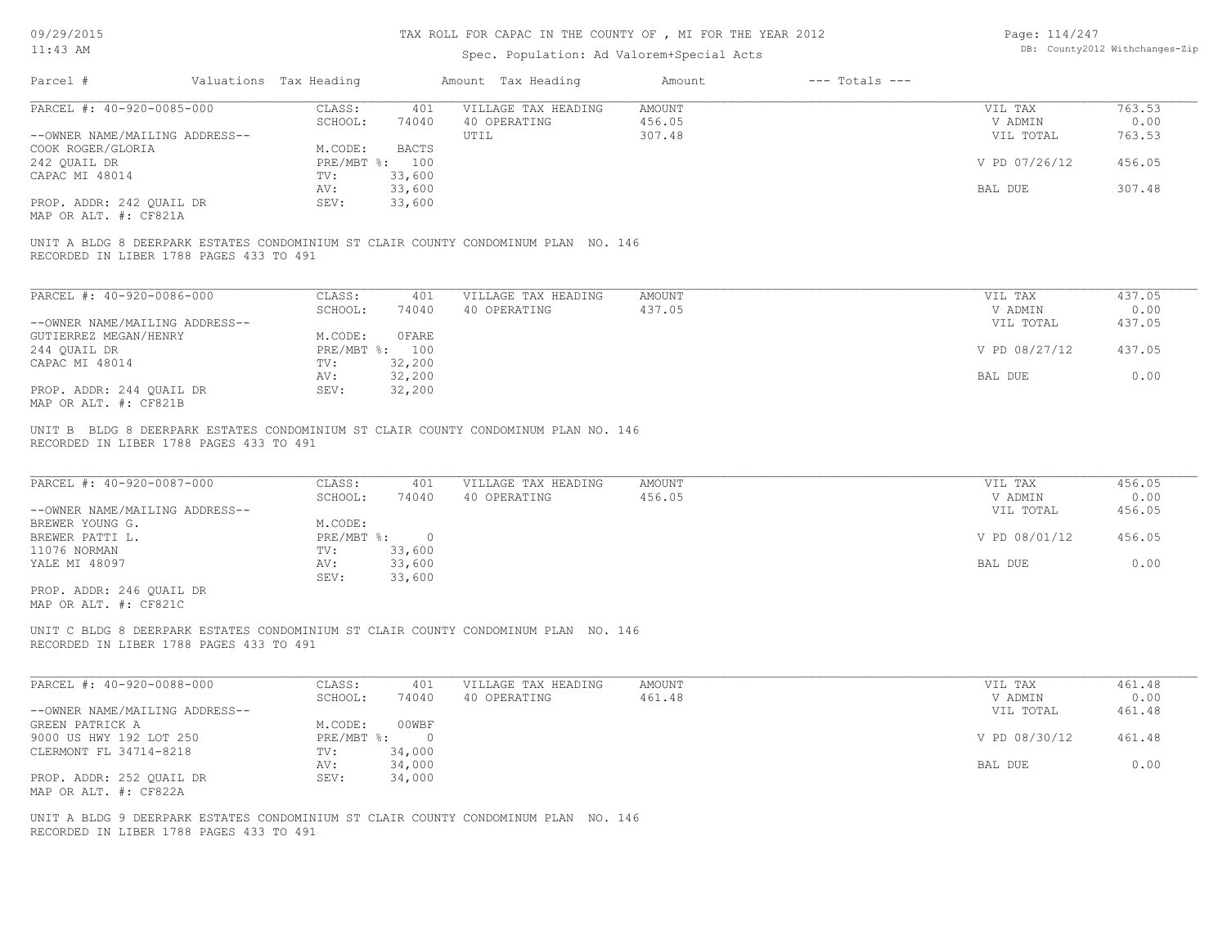Page: 114/247 DB: County2012 Withchanges-Zip

| Valuations Tax Heading<br>$---$ Totals $---$<br>Parcel #<br>Amount Tax Heading<br>Amount<br>PARCEL #: 40-920-0085-000<br>CLASS:<br>VILLAGE TAX HEADING<br><b>AMOUNT</b><br>VIL TAX<br>763.53<br>401<br>40 OPERATING<br>456.05<br>SCHOOL:<br>74040<br>V ADMIN<br>0.00<br>307.48<br>--OWNER NAME/MAILING ADDRESS--<br>UTIL<br>VIL TOTAL<br>763.53<br>M.CODE:<br><b>BACTS</b><br>242 QUAIL DR<br>456.05<br>PRE/MBT %: 100<br>V PD 07/26/12<br>33,600<br>TV:<br>33,600<br>307.48<br>AV:<br>BAL DUE<br>33,600<br>PROP. ADDR: 242 QUAIL DR<br>SEV:<br>MAP OR ALT. #: CF821A<br>UNIT A BLDG 8 DEERPARK ESTATES CONDOMINIUM ST CLAIR COUNTY CONDOMINUM PLAN NO. 146<br>RECORDED IN LIBER 1788 PAGES 433 TO 491<br>PARCEL #: 40-920-0086-000<br>CLASS:<br>VILLAGE TAX HEADING<br>437.05<br>401<br>AMOUNT<br>VIL TAX<br>437.05<br>0.00<br>SCHOOL:<br>74040<br>40 OPERATING<br>V ADMIN<br>--OWNER NAME/MAILING ADDRESS--<br>437.05<br>VIL TOTAL<br>OFARE<br>GUTIERREZ MEGAN/HENRY<br>M.CODE:<br>PRE/MBT %: 100<br>V PD 08/27/12<br>437.05<br>CAPAC MI 48014<br>32,200<br>TV:<br>32,200<br>0.00<br>BAL DUE<br>AV:<br>32,200<br>PROP. ADDR: 244 QUAIL DR<br>SEV:<br>MAP OR ALT. #: CF821B<br>UNIT B BLDG 8 DEERPARK ESTATES CONDOMINIUM ST CLAIR COUNTY CONDOMINUM PLAN NO. 146<br>RECORDED IN LIBER 1788 PAGES 433 TO 491<br>PARCEL #: 40-920-0087-000<br>VILLAGE TAX HEADING<br>CLASS:<br><b>AMOUNT</b><br>456.05<br>401<br>VIL TAX<br>SCHOOL:<br>40 OPERATING<br>V ADMIN<br>0.00<br>74040<br>456.05<br>456.05<br>--OWNER NAME/MAILING ADDRESS--<br>VIL TOTAL<br>M.CODE:<br>PRE/MBT %:<br>$\overline{0}$<br>V PD 08/01/12<br>456.05<br>33,600<br>11076 NORMAN<br>TV:<br>33,600<br>0.00<br>AV:<br>BAL DUE<br>33,600<br>SEV:<br>PROP. ADDR: 246 QUAIL DR<br>MAP OR ALT. #: CF821C<br>UNIT C BLDG 8 DEERPARK ESTATES CONDOMINIUM ST CLAIR COUNTY CONDOMINUM PLAN NO. 146<br>RECORDED IN LIBER 1788 PAGES 433 TO 491<br>PARCEL #: 40-920-0088-000<br>CLASS:<br>VILLAGE TAX HEADING<br>AMOUNT<br>461.48<br>401<br>VIL TAX<br>SCHOOL:<br>74040<br>40 OPERATING<br>461.48<br>V ADMIN<br>0.00<br>--OWNER NAME/MAILING ADDRESS--<br>461.48<br>VIL TOTAL<br>M.CODE:<br>00WBF<br>V PD 08/30/12<br>9000 US HWY 192 LOT 250<br>$PRE/MBT$ %:<br>$\overline{0}$<br>461.48<br>CLERMONT FL 34714-8218<br>34,000<br>TV:<br>34,000<br>BAL DUE<br>0.00<br>AV:<br>34,000<br>PROP. ADDR: 252 QUAIL DR<br>SEV:<br>MAP OR ALT. #: CF822A<br>UNIT A BLDG 9 DEERPARK ESTATES CONDOMINIUM ST CLAIR COUNTY CONDOMINUM PLAN NO. 146<br>RECORDED IN LIBER 1788 PAGES 433 TO 491 | U <i>JI 4 JI 4</i> U 1 J<br>$11:43$ AM |  | THA NUMBER CAPACING THE COUNTING THE FOR THE TEAR ZUIZ<br>Spec. Population: Ad Valorem+Special Acts |  | rayt. 114/44/ | DB: County2012 Withchanges-Zip |
|----------------------------------------------------------------------------------------------------------------------------------------------------------------------------------------------------------------------------------------------------------------------------------------------------------------------------------------------------------------------------------------------------------------------------------------------------------------------------------------------------------------------------------------------------------------------------------------------------------------------------------------------------------------------------------------------------------------------------------------------------------------------------------------------------------------------------------------------------------------------------------------------------------------------------------------------------------------------------------------------------------------------------------------------------------------------------------------------------------------------------------------------------------------------------------------------------------------------------------------------------------------------------------------------------------------------------------------------------------------------------------------------------------------------------------------------------------------------------------------------------------------------------------------------------------------------------------------------------------------------------------------------------------------------------------------------------------------------------------------------------------------------------------------------------------------------------------------------------------------------------------------------------------------------------------------------------------------------------------------------------------------------------------------------------------------------------------------------------------------------------------------------------------------------------------------------------------------------------------------------------------------------------------------------------------------------------------------------------------------------------------------------------------------------------------------------------------------------------------------------------------------------------------------|----------------------------------------|--|-----------------------------------------------------------------------------------------------------|--|---------------|--------------------------------|
|                                                                                                                                                                                                                                                                                                                                                                                                                                                                                                                                                                                                                                                                                                                                                                                                                                                                                                                                                                                                                                                                                                                                                                                                                                                                                                                                                                                                                                                                                                                                                                                                                                                                                                                                                                                                                                                                                                                                                                                                                                                                                                                                                                                                                                                                                                                                                                                                                                                                                                                                        |                                        |  |                                                                                                     |  |               |                                |
|                                                                                                                                                                                                                                                                                                                                                                                                                                                                                                                                                                                                                                                                                                                                                                                                                                                                                                                                                                                                                                                                                                                                                                                                                                                                                                                                                                                                                                                                                                                                                                                                                                                                                                                                                                                                                                                                                                                                                                                                                                                                                                                                                                                                                                                                                                                                                                                                                                                                                                                                        |                                        |  |                                                                                                     |  |               |                                |
|                                                                                                                                                                                                                                                                                                                                                                                                                                                                                                                                                                                                                                                                                                                                                                                                                                                                                                                                                                                                                                                                                                                                                                                                                                                                                                                                                                                                                                                                                                                                                                                                                                                                                                                                                                                                                                                                                                                                                                                                                                                                                                                                                                                                                                                                                                                                                                                                                                                                                                                                        |                                        |  |                                                                                                     |  |               |                                |
|                                                                                                                                                                                                                                                                                                                                                                                                                                                                                                                                                                                                                                                                                                                                                                                                                                                                                                                                                                                                                                                                                                                                                                                                                                                                                                                                                                                                                                                                                                                                                                                                                                                                                                                                                                                                                                                                                                                                                                                                                                                                                                                                                                                                                                                                                                                                                                                                                                                                                                                                        | COOK ROGER/GLORIA                      |  |                                                                                                     |  |               |                                |
|                                                                                                                                                                                                                                                                                                                                                                                                                                                                                                                                                                                                                                                                                                                                                                                                                                                                                                                                                                                                                                                                                                                                                                                                                                                                                                                                                                                                                                                                                                                                                                                                                                                                                                                                                                                                                                                                                                                                                                                                                                                                                                                                                                                                                                                                                                                                                                                                                                                                                                                                        | CAPAC MI 48014                         |  |                                                                                                     |  |               |                                |
|                                                                                                                                                                                                                                                                                                                                                                                                                                                                                                                                                                                                                                                                                                                                                                                                                                                                                                                                                                                                                                                                                                                                                                                                                                                                                                                                                                                                                                                                                                                                                                                                                                                                                                                                                                                                                                                                                                                                                                                                                                                                                                                                                                                                                                                                                                                                                                                                                                                                                                                                        |                                        |  |                                                                                                     |  |               |                                |
|                                                                                                                                                                                                                                                                                                                                                                                                                                                                                                                                                                                                                                                                                                                                                                                                                                                                                                                                                                                                                                                                                                                                                                                                                                                                                                                                                                                                                                                                                                                                                                                                                                                                                                                                                                                                                                                                                                                                                                                                                                                                                                                                                                                                                                                                                                                                                                                                                                                                                                                                        |                                        |  |                                                                                                     |  |               |                                |
|                                                                                                                                                                                                                                                                                                                                                                                                                                                                                                                                                                                                                                                                                                                                                                                                                                                                                                                                                                                                                                                                                                                                                                                                                                                                                                                                                                                                                                                                                                                                                                                                                                                                                                                                                                                                                                                                                                                                                                                                                                                                                                                                                                                                                                                                                                                                                                                                                                                                                                                                        |                                        |  |                                                                                                     |  |               |                                |
|                                                                                                                                                                                                                                                                                                                                                                                                                                                                                                                                                                                                                                                                                                                                                                                                                                                                                                                                                                                                                                                                                                                                                                                                                                                                                                                                                                                                                                                                                                                                                                                                                                                                                                                                                                                                                                                                                                                                                                                                                                                                                                                                                                                                                                                                                                                                                                                                                                                                                                                                        |                                        |  |                                                                                                     |  |               |                                |
|                                                                                                                                                                                                                                                                                                                                                                                                                                                                                                                                                                                                                                                                                                                                                                                                                                                                                                                                                                                                                                                                                                                                                                                                                                                                                                                                                                                                                                                                                                                                                                                                                                                                                                                                                                                                                                                                                                                                                                                                                                                                                                                                                                                                                                                                                                                                                                                                                                                                                                                                        |                                        |  |                                                                                                     |  |               |                                |
|                                                                                                                                                                                                                                                                                                                                                                                                                                                                                                                                                                                                                                                                                                                                                                                                                                                                                                                                                                                                                                                                                                                                                                                                                                                                                                                                                                                                                                                                                                                                                                                                                                                                                                                                                                                                                                                                                                                                                                                                                                                                                                                                                                                                                                                                                                                                                                                                                                                                                                                                        | 244 QUAIL DR                           |  |                                                                                                     |  |               |                                |
|                                                                                                                                                                                                                                                                                                                                                                                                                                                                                                                                                                                                                                                                                                                                                                                                                                                                                                                                                                                                                                                                                                                                                                                                                                                                                                                                                                                                                                                                                                                                                                                                                                                                                                                                                                                                                                                                                                                                                                                                                                                                                                                                                                                                                                                                                                                                                                                                                                                                                                                                        |                                        |  |                                                                                                     |  |               |                                |
|                                                                                                                                                                                                                                                                                                                                                                                                                                                                                                                                                                                                                                                                                                                                                                                                                                                                                                                                                                                                                                                                                                                                                                                                                                                                                                                                                                                                                                                                                                                                                                                                                                                                                                                                                                                                                                                                                                                                                                                                                                                                                                                                                                                                                                                                                                                                                                                                                                                                                                                                        |                                        |  |                                                                                                     |  |               |                                |
|                                                                                                                                                                                                                                                                                                                                                                                                                                                                                                                                                                                                                                                                                                                                                                                                                                                                                                                                                                                                                                                                                                                                                                                                                                                                                                                                                                                                                                                                                                                                                                                                                                                                                                                                                                                                                                                                                                                                                                                                                                                                                                                                                                                                                                                                                                                                                                                                                                                                                                                                        | BREWER YOUNG G.                        |  |                                                                                                     |  |               |                                |
|                                                                                                                                                                                                                                                                                                                                                                                                                                                                                                                                                                                                                                                                                                                                                                                                                                                                                                                                                                                                                                                                                                                                                                                                                                                                                                                                                                                                                                                                                                                                                                                                                                                                                                                                                                                                                                                                                                                                                                                                                                                                                                                                                                                                                                                                                                                                                                                                                                                                                                                                        | BREWER PATTI L.                        |  |                                                                                                     |  |               |                                |
|                                                                                                                                                                                                                                                                                                                                                                                                                                                                                                                                                                                                                                                                                                                                                                                                                                                                                                                                                                                                                                                                                                                                                                                                                                                                                                                                                                                                                                                                                                                                                                                                                                                                                                                                                                                                                                                                                                                                                                                                                                                                                                                                                                                                                                                                                                                                                                                                                                                                                                                                        | YALE MI 48097                          |  |                                                                                                     |  |               |                                |
|                                                                                                                                                                                                                                                                                                                                                                                                                                                                                                                                                                                                                                                                                                                                                                                                                                                                                                                                                                                                                                                                                                                                                                                                                                                                                                                                                                                                                                                                                                                                                                                                                                                                                                                                                                                                                                                                                                                                                                                                                                                                                                                                                                                                                                                                                                                                                                                                                                                                                                                                        |                                        |  |                                                                                                     |  |               |                                |
|                                                                                                                                                                                                                                                                                                                                                                                                                                                                                                                                                                                                                                                                                                                                                                                                                                                                                                                                                                                                                                                                                                                                                                                                                                                                                                                                                                                                                                                                                                                                                                                                                                                                                                                                                                                                                                                                                                                                                                                                                                                                                                                                                                                                                                                                                                                                                                                                                                                                                                                                        |                                        |  |                                                                                                     |  |               |                                |
|                                                                                                                                                                                                                                                                                                                                                                                                                                                                                                                                                                                                                                                                                                                                                                                                                                                                                                                                                                                                                                                                                                                                                                                                                                                                                                                                                                                                                                                                                                                                                                                                                                                                                                                                                                                                                                                                                                                                                                                                                                                                                                                                                                                                                                                                                                                                                                                                                                                                                                                                        |                                        |  |                                                                                                     |  |               |                                |
|                                                                                                                                                                                                                                                                                                                                                                                                                                                                                                                                                                                                                                                                                                                                                                                                                                                                                                                                                                                                                                                                                                                                                                                                                                                                                                                                                                                                                                                                                                                                                                                                                                                                                                                                                                                                                                                                                                                                                                                                                                                                                                                                                                                                                                                                                                                                                                                                                                                                                                                                        |                                        |  |                                                                                                     |  |               |                                |
|                                                                                                                                                                                                                                                                                                                                                                                                                                                                                                                                                                                                                                                                                                                                                                                                                                                                                                                                                                                                                                                                                                                                                                                                                                                                                                                                                                                                                                                                                                                                                                                                                                                                                                                                                                                                                                                                                                                                                                                                                                                                                                                                                                                                                                                                                                                                                                                                                                                                                                                                        | GREEN PATRICK A                        |  |                                                                                                     |  |               |                                |
|                                                                                                                                                                                                                                                                                                                                                                                                                                                                                                                                                                                                                                                                                                                                                                                                                                                                                                                                                                                                                                                                                                                                                                                                                                                                                                                                                                                                                                                                                                                                                                                                                                                                                                                                                                                                                                                                                                                                                                                                                                                                                                                                                                                                                                                                                                                                                                                                                                                                                                                                        |                                        |  |                                                                                                     |  |               |                                |
|                                                                                                                                                                                                                                                                                                                                                                                                                                                                                                                                                                                                                                                                                                                                                                                                                                                                                                                                                                                                                                                                                                                                                                                                                                                                                                                                                                                                                                                                                                                                                                                                                                                                                                                                                                                                                                                                                                                                                                                                                                                                                                                                                                                                                                                                                                                                                                                                                                                                                                                                        |                                        |  |                                                                                                     |  |               |                                |
|                                                                                                                                                                                                                                                                                                                                                                                                                                                                                                                                                                                                                                                                                                                                                                                                                                                                                                                                                                                                                                                                                                                                                                                                                                                                                                                                                                                                                                                                                                                                                                                                                                                                                                                                                                                                                                                                                                                                                                                                                                                                                                                                                                                                                                                                                                                                                                                                                                                                                                                                        |                                        |  |                                                                                                     |  |               |                                |
|                                                                                                                                                                                                                                                                                                                                                                                                                                                                                                                                                                                                                                                                                                                                                                                                                                                                                                                                                                                                                                                                                                                                                                                                                                                                                                                                                                                                                                                                                                                                                                                                                                                                                                                                                                                                                                                                                                                                                                                                                                                                                                                                                                                                                                                                                                                                                                                                                                                                                                                                        |                                        |  |                                                                                                     |  |               |                                |
|                                                                                                                                                                                                                                                                                                                                                                                                                                                                                                                                                                                                                                                                                                                                                                                                                                                                                                                                                                                                                                                                                                                                                                                                                                                                                                                                                                                                                                                                                                                                                                                                                                                                                                                                                                                                                                                                                                                                                                                                                                                                                                                                                                                                                                                                                                                                                                                                                                                                                                                                        |                                        |  |                                                                                                     |  |               |                                |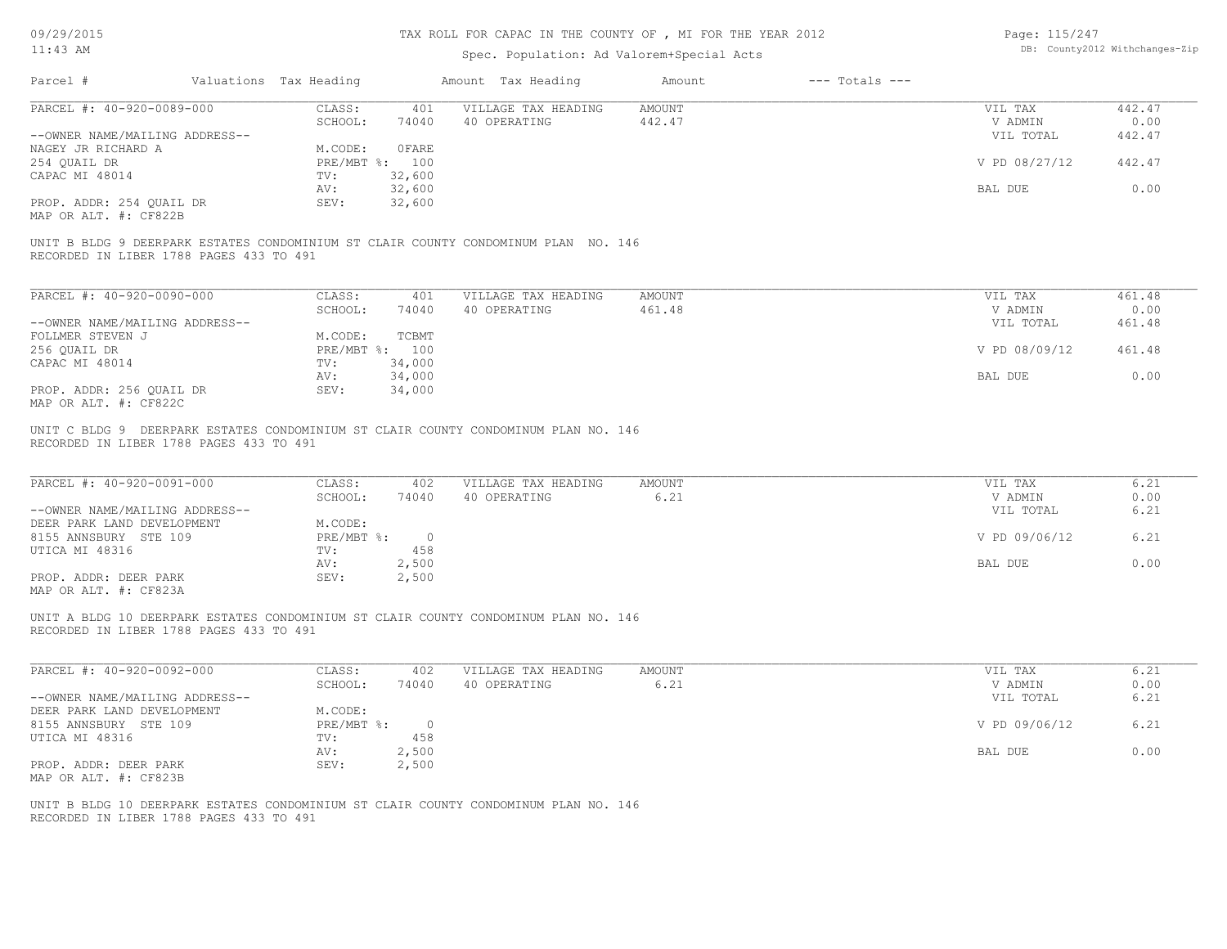09/29/2015

# TAX ROLL FOR CAPAC IN THE COUNTY OF , MI FOR THE YEAR 2012

| Page: 115/247 |                                |
|---------------|--------------------------------|
|               | DB: County2012 Withchanges-Zip |

| 11:43 AM                                                     |                         |                                | Spec. Population: Ad Valorem+Special Acts                                           |                         |                    |                      | DB: County2012 Withchanges-Zip |
|--------------------------------------------------------------|-------------------------|--------------------------------|-------------------------------------------------------------------------------------|-------------------------|--------------------|----------------------|--------------------------------|
| Parcel #                                                     | Valuations Tax Heading  |                                | Amount Tax Heading                                                                  | Amount                  | $---$ Totals $---$ |                      |                                |
| PARCEL #: 40-920-0089-000                                    | CLASS:<br>SCHOOL:       | 401<br>74040                   | VILLAGE TAX HEADING<br>40 OPERATING                                                 | <b>AMOUNT</b><br>442.47 |                    | VIL TAX<br>V ADMIN   | 442.47<br>0.00                 |
| --OWNER NAME/MAILING ADDRESS--                               |                         |                                |                                                                                     |                         |                    | VIL TOTAL            | 442.47                         |
| NAGEY JR RICHARD A<br>254 QUAIL DR                           | M.CODE:                 | <b>OFARE</b><br>PRE/MBT %: 100 |                                                                                     |                         |                    | V PD 08/27/12        | 442.47                         |
| CAPAC MI 48014                                               | TV:<br>AV:              | 32,600<br>32,600               |                                                                                     |                         |                    | BAL DUE              | 0.00                           |
| PROP. ADDR: 254 QUAIL DR<br>MAP OR ALT. #: CF822B            | SEV:                    | 32,600                         |                                                                                     |                         |                    |                      |                                |
| RECORDED IN LIBER 1788 PAGES 433 TO 491                      |                         |                                | UNIT B BLDG 9 DEERPARK ESTATES CONDOMINIUM ST CLAIR COUNTY CONDOMINUM PLAN NO. 146  |                         |                    |                      |                                |
| PARCEL #: 40-920-0090-000                                    | CLASS:                  | 401                            | VILLAGE TAX HEADING                                                                 | <b>AMOUNT</b>           |                    | VIL TAX              | 461.48                         |
| --OWNER NAME/MAILING ADDRESS--                               | SCHOOL:                 | 74040                          | 40 OPERATING                                                                        | 461.48                  |                    | V ADMIN<br>VIL TOTAL | 0.00<br>461.48                 |
| FOLLMER STEVEN J                                             | M.CODE:                 | TCBMT                          |                                                                                     |                         |                    |                      |                                |
| 256 QUAIL DR<br>CAPAC MI 48014                               | TV:                     | PRE/MBT %: 100<br>34,000       |                                                                                     |                         |                    | V PD 08/09/12        | 461.48                         |
|                                                              | AV:                     | 34,000                         |                                                                                     |                         |                    | BAL DUE              | 0.00                           |
| PROP. ADDR: 256 QUAIL DR<br>MAP OR ALT. #: CF822C            | SEV:                    | 34,000                         |                                                                                     |                         |                    |                      |                                |
| PARCEL #: 40-920-0091-000                                    | CLASS:<br>SCHOOL:       | 402<br>74040                   | VILLAGE TAX HEADING<br>40 OPERATING                                                 | <b>AMOUNT</b><br>6.21   |                    | VIL TAX<br>V ADMIN   | 6.21<br>0.00                   |
| --OWNER NAME/MAILING ADDRESS--<br>DEER PARK LAND DEVELOPMENT | M.CODE:                 |                                |                                                                                     |                         |                    | VIL TOTAL            | 6.21                           |
| 8155 ANNSBURY STE 109<br>UTICA MI 48316                      | $PRE/MBT$ $\div$<br>TV: | $\overline{0}$<br>458          |                                                                                     |                         |                    | V PD 09/06/12        | 6.21                           |
|                                                              | AV:                     | 2,500                          |                                                                                     |                         |                    | BAL DUE              | 0.00                           |
| PROP. ADDR: DEER PARK<br>MAP OR ALT. #: CF823A               | SEV:                    | 2,500                          |                                                                                     |                         |                    |                      |                                |
| RECORDED IN LIBER 1788 PAGES 433 TO 491                      |                         |                                | UNIT A BLDG 10 DEERPARK ESTATES CONDOMINIUM ST CLAIR COUNTY CONDOMINUM PLAN NO. 146 |                         |                    |                      |                                |
| PARCEL #: 40-920-0092-000                                    | CLASS:                  | 402                            | VILLAGE TAX HEADING                                                                 | <b>AMOUNT</b>           |                    | VIL TAX              | 6.21                           |
| --OWNER NAME/MAILING ADDRESS--                               | SCHOOL:                 | 74040                          | 40 OPERATING                                                                        | 6.21                    |                    | V ADMIN<br>VIL TOTAL | 0.00<br>6.21                   |
| DEER PARK LAND DEVELOPMENT<br>8155 ANNSBURY STE 109          | M.CODE:<br>PRE/MBT %:   | $\circ$                        |                                                                                     |                         |                    | V PD 09/06/12        | 6.21                           |
| UTICA MI 48316                                               | TV:<br>AV:              | 458<br>2,500                   |                                                                                     |                         |                    | BAL DUE              | 0.00                           |
| PROP. ADDR: DEER PARK<br>MAP OR ALT. #: CF823B               | SEV:                    | 2,500                          |                                                                                     |                         |                    |                      |                                |
| RECORDED IN LIBER 1788 PAGES 433 TO 491                      |                         |                                | UNIT B BLDG 10 DEERPARK ESTATES CONDOMINIUM ST CLAIR COUNTY CONDOMINUM PLAN NO. 146 |                         |                    |                      |                                |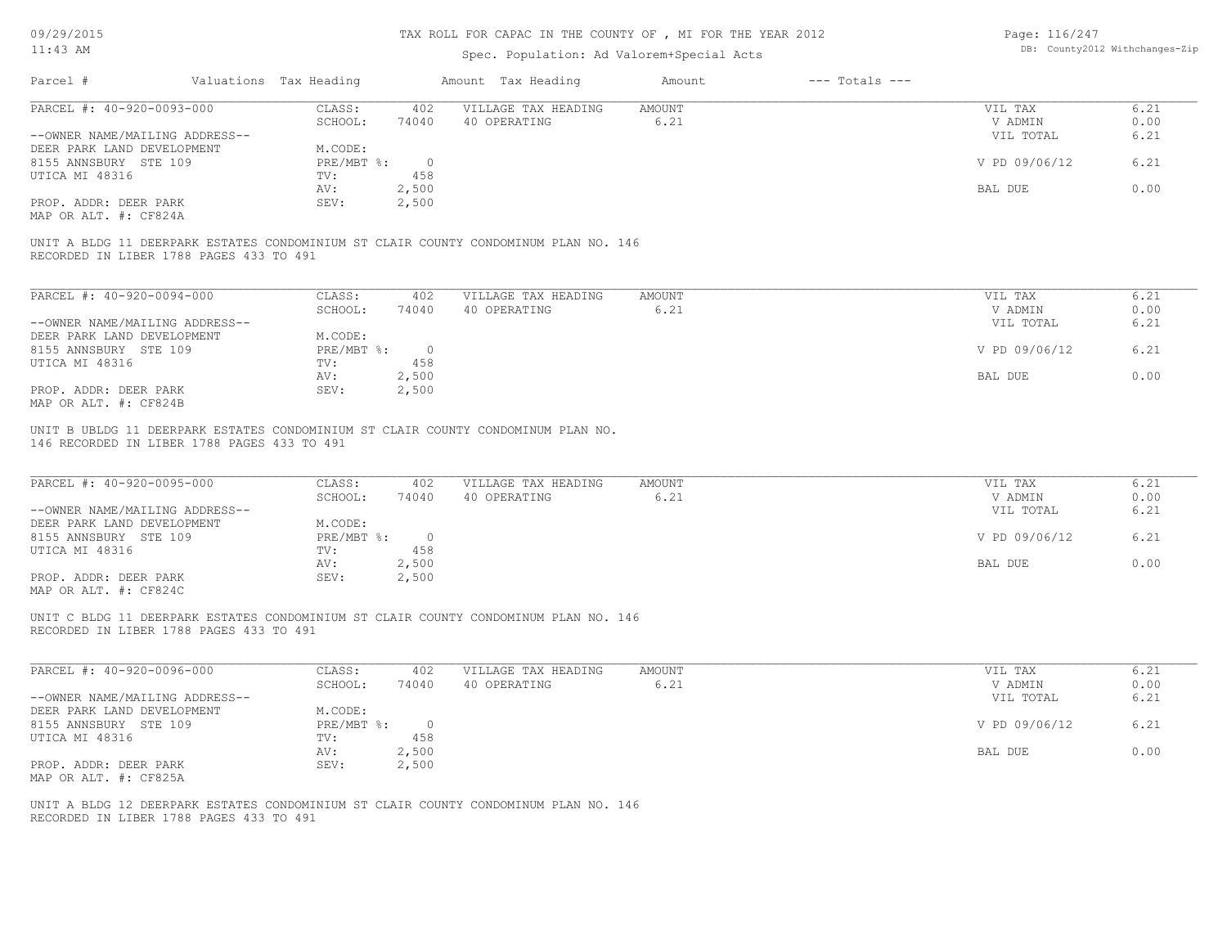| 09/29/2015<br>$11:43$ AM                            |                             |                       | TAX ROLL FOR CAPAC IN THE COUNTY OF, MI FOR THE YEAR 2012<br>Spec. Population: Ad Valorem+Special Acts |                |                    | Page: 116/247      | DB: County2012 Withchanges-Zip |
|-----------------------------------------------------|-----------------------------|-----------------------|--------------------------------------------------------------------------------------------------------|----------------|--------------------|--------------------|--------------------------------|
| Parcel #                                            | Valuations Tax Heading      |                       | Amount Tax Heading                                                                                     | Amount         | $---$ Totals $---$ |                    |                                |
| PARCEL #: 40-920-0093-000                           | CLASS:                      | 402                   | VILLAGE TAX HEADING                                                                                    | AMOUNT         |                    | VIL TAX            | 6.21                           |
|                                                     | SCHOOL:                     | 74040                 | 40 OPERATING                                                                                           | 6.21           |                    | V ADMIN            | 0.00                           |
| --OWNER NAME/MAILING ADDRESS--                      |                             |                       |                                                                                                        |                |                    | VIL TOTAL          | 6.21                           |
| DEER PARK LAND DEVELOPMENT<br>8155 ANNSBURY STE 109 | M.CODE:<br>PRE/MBT %:       | $\overline{0}$        |                                                                                                        |                |                    | V PD 09/06/12      | 6.21                           |
| UTICA MI 48316                                      | TV:                         | 458                   |                                                                                                        |                |                    |                    |                                |
|                                                     | AV:                         | 2,500                 |                                                                                                        |                |                    | BAL DUE            | 0.00                           |
| PROP. ADDR: DEER PARK<br>MAP OR ALT. #: CF824A      | SEV:                        | 2,500                 |                                                                                                        |                |                    |                    |                                |
| RECORDED IN LIBER 1788 PAGES 433 TO 491             |                             |                       | UNIT A BLDG 11 DEERPARK ESTATES CONDOMINIUM ST CLAIR COUNTY CONDOMINUM PLAN NO. 146                    |                |                    |                    |                                |
|                                                     |                             |                       |                                                                                                        |                |                    |                    |                                |
| PARCEL #: 40-920-0094-000                           | CLASS:                      | 402                   | VILLAGE TAX HEADING                                                                                    | AMOUNT         |                    | VIL TAX            | 6.21                           |
|                                                     | SCHOOL:                     | 74040                 | 40 OPERATING                                                                                           | 6.21           |                    | V ADMIN            | 0.00                           |
| --OWNER NAME/MAILING ADDRESS--                      |                             |                       |                                                                                                        |                |                    | VIL TOTAL          | 6.21                           |
| DEER PARK LAND DEVELOPMENT<br>8155 ANNSBURY STE 109 | M.CODE:<br>$PRE/MBT$ $\div$ | $\overline{0}$        |                                                                                                        |                |                    | V PD 09/06/12      | 6.21                           |
| UTICA MI 48316                                      | TV:                         | 458                   |                                                                                                        |                |                    |                    |                                |
|                                                     | AV:                         | 2,500                 |                                                                                                        |                |                    | BAL DUE            | 0.00                           |
| PROP. ADDR: DEER PARK                               | SEV:                        | 2,500                 |                                                                                                        |                |                    |                    |                                |
| MAP OR ALT. #: CF824B                               |                             |                       |                                                                                                        |                |                    |                    |                                |
|                                                     |                             |                       | UNIT B UBLDG 11 DEERPARK ESTATES CONDOMINIUM ST CLAIR COUNTY CONDOMINUM PLAN NO.                       |                |                    |                    |                                |
| 146 RECORDED IN LIBER 1788 PAGES 433 TO 491         |                             |                       |                                                                                                        |                |                    |                    |                                |
|                                                     |                             |                       |                                                                                                        |                |                    |                    |                                |
| PARCEL #: 40-920-0095-000                           | CLASS:<br>SCHOOL:           | 402<br>74040          | VILLAGE TAX HEADING<br>40 OPERATING                                                                    | AMOUNT<br>6.21 |                    | VIL TAX<br>V ADMIN | 6.21<br>0.00                   |
| --OWNER NAME/MAILING ADDRESS--                      |                             |                       |                                                                                                        |                |                    | VIL TOTAL          | 6.21                           |
| DEER PARK LAND DEVELOPMENT                          | M.CODE:                     |                       |                                                                                                        |                |                    |                    |                                |
| 8155 ANNSBURY STE 109                               | PRE/MBT %:                  | $\overline{0}$        |                                                                                                        |                |                    | V PD 09/06/12      | 6.21                           |
| UTICA MI 48316                                      | TV:<br>AV:                  | 458<br>2,500          |                                                                                                        |                |                    | BAL DUE            | 0.00                           |
| PROP. ADDR: DEER PARK                               | SEV:                        | 2,500                 |                                                                                                        |                |                    |                    |                                |
| MAP OR ALT. #: CF824C                               |                             |                       |                                                                                                        |                |                    |                    |                                |
|                                                     |                             |                       | UNIT C BLDG 11 DEERPARK ESTATES CONDOMINIUM ST CLAIR COUNTY CONDOMINUM PLAN NO. 146                    |                |                    |                    |                                |
| RECORDED IN LIBER 1788 PAGES 433 TO 491             |                             |                       |                                                                                                        |                |                    |                    |                                |
|                                                     |                             |                       |                                                                                                        |                |                    |                    |                                |
| PARCEL #: 40-920-0096-000                           | CLASS:                      | 402                   | VILLAGE TAX HEADING                                                                                    | <b>AMOUNT</b>  |                    | VIL TAX            | 6.21                           |
|                                                     | SCHOOL:                     | 74040                 | 40 OPERATING                                                                                           | 6.21           |                    | V ADMIN            | 0.00                           |
| --OWNER NAME/MAILING ADDRESS--                      |                             |                       |                                                                                                        |                |                    | VIL TOTAL          | 6.21                           |
| DEER PARK LAND DEVELOPMENT                          | M.CODE:                     |                       |                                                                                                        |                |                    |                    |                                |
| 8155 ANNSBURY STE 109<br>UTICA MI 48316             | PRE/MBT %:<br>TV:           | $\overline{0}$<br>458 |                                                                                                        |                |                    | V PD 09/06/12      | 6.21                           |
|                                                     | AV:                         | 2,500                 |                                                                                                        |                |                    | <b>BAL DUE</b>     | 0.00                           |
| PROP. ADDR: DEER PARK                               | SEV:                        | 2,500                 |                                                                                                        |                |                    |                    |                                |

RECORDED IN LIBER 1788 PAGES 433 TO 491 UNIT A BLDG 12 DEERPARK ESTATES CONDOMINIUM ST CLAIR COUNTY CONDOMINUM PLAN NO. 146

MAP OR ALT. #: CF825A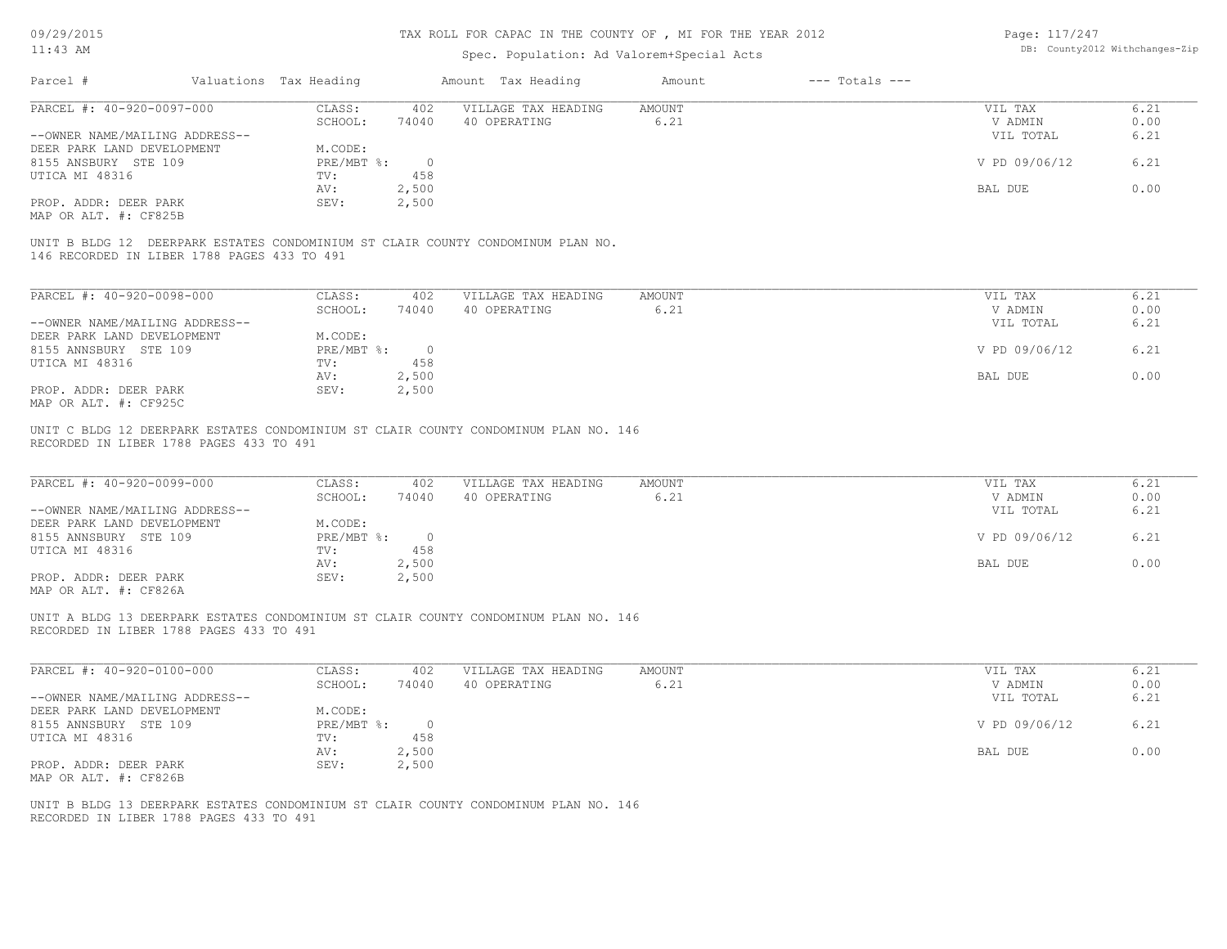| 09/29/2015                                                                                                                     | TAX ROLL FOR CAPAC IN THE COUNTY OF , MI FOR THE YEAR 2012 |                        |                |  |                                     |                                           |  |                    | Page: 117/247<br>DB: County2012 Withchanges-Zip |                      |  |
|--------------------------------------------------------------------------------------------------------------------------------|------------------------------------------------------------|------------------------|----------------|--|-------------------------------------|-------------------------------------------|--|--------------------|-------------------------------------------------|----------------------|--|
| 11:43 AM                                                                                                                       |                                                            |                        |                |  |                                     | Spec. Population: Ad Valorem+Special Acts |  |                    |                                                 |                      |  |
| Parcel #                                                                                                                       |                                                            | Valuations Tax Heading |                |  | Amount Tax Heading                  | Amount                                    |  | $---$ Totals $---$ |                                                 |                      |  |
| PARCEL #: 40-920-0097-000                                                                                                      |                                                            | CLASS:<br>SCHOOL:      | 402<br>74040   |  | VILLAGE TAX HEADING<br>40 OPERATING | AMOUNT<br>6.21                            |  |                    | VIL TAX<br>V ADMIN                              | 6.21<br>0.00         |  |
| --OWNER NAME/MAILING ADDRESS--                                                                                                 |                                                            |                        |                |  |                                     |                                           |  |                    | VIL TOTAL                                       | 6.21                 |  |
| DEER PARK LAND DEVELOPMENT                                                                                                     |                                                            | M.CODE:                |                |  |                                     |                                           |  |                    |                                                 |                      |  |
| 8155 ANSBURY STE 109                                                                                                           |                                                            | $PRE/MBT$ $\div$       | $\overline{0}$ |  |                                     |                                           |  |                    | V PD 09/06/12                                   | 6.21                 |  |
| UTICA MI 48316                                                                                                                 |                                                            | TV:<br>AV:             | 458<br>2,500   |  |                                     |                                           |  |                    | BAL DUE                                         | 0.00                 |  |
| PROP. ADDR: DEER PARK                                                                                                          |                                                            | SEV:                   | 2,500          |  |                                     |                                           |  |                    |                                                 |                      |  |
| MAP OR ALT. #: CF825B                                                                                                          |                                                            |                        |                |  |                                     |                                           |  |                    |                                                 |                      |  |
| UNIT B BLDG 12 DEERPARK ESTATES CONDOMINIUM ST CLAIR COUNTY CONDOMINUM PLAN NO.<br>146 RECORDED IN LIBER 1788 PAGES 433 TO 491 |                                                            |                        |                |  |                                     |                                           |  |                    |                                                 |                      |  |
| PARCEL #: 40-920-0098-000                                                                                                      |                                                            | CLASS:                 | 402            |  | VILLAGE TAX HEADING                 | AMOUNT                                    |  |                    | VIL TAX                                         | 6.21                 |  |
|                                                                                                                                |                                                            | SCHOOL:                | 74040          |  | 40 OPERATING                        | 6.21                                      |  |                    | V ADMIN                                         | 0.00                 |  |
| --OWNER NAME/MAILING ADDRESS--                                                                                                 |                                                            |                        |                |  |                                     |                                           |  |                    | VIL TOTAL                                       | 6.21                 |  |
| DEER PARK LAND DEVELOPMENT                                                                                                     |                                                            | M.CODE:                |                |  |                                     |                                           |  |                    |                                                 |                      |  |
| 8155 ANNSBURY STE 109                                                                                                          |                                                            | $PRE/MBT$ %:           | $\overline{0}$ |  |                                     |                                           |  |                    | V PD 09/06/12                                   | 6.21                 |  |
| UTICA MI 48316                                                                                                                 |                                                            | TV:                    | 458            |  |                                     |                                           |  |                    |                                                 |                      |  |
|                                                                                                                                |                                                            | AV:                    | 2,500          |  |                                     |                                           |  |                    | BAL DUE                                         | 0.00                 |  |
| PROP. ADDR: DEER PARK<br>MAP OR ALT. #: CF925C                                                                                 |                                                            | SEV:                   | 2,500          |  |                                     |                                           |  |                    |                                                 |                      |  |
| PARCEL #: 40-920-0099-000<br>--OWNER NAME/MAILING ADDRESS--                                                                    |                                                            | CLASS:<br>SCHOOL:      | 402<br>74040   |  | VILLAGE TAX HEADING<br>40 OPERATING | AMOUNT<br>6.21                            |  |                    | VIL TAX<br>V ADMIN<br>VIL TOTAL                 | 6.21<br>0.00<br>6.21 |  |
| DEER PARK LAND DEVELOPMENT<br>8155 ANNSBURY STE 109                                                                            |                                                            | M.CODE:<br>PRE/MBT %:  | $\overline{0}$ |  |                                     |                                           |  |                    | V PD 09/06/12                                   | 6.21                 |  |
| UTICA MI 48316                                                                                                                 |                                                            | TV:                    | 458            |  |                                     |                                           |  |                    |                                                 |                      |  |
|                                                                                                                                |                                                            | AV:                    | 2,500          |  |                                     |                                           |  |                    | BAL DUE                                         | 0.00                 |  |
| PROP. ADDR: DEER PARK<br>MAP OR ALT. #: CF826A                                                                                 |                                                            | SEV:                   | 2,500          |  |                                     |                                           |  |                    |                                                 |                      |  |
| UNIT A BLDG 13 DEERPARK ESTATES CONDOMINIUM ST CLAIR COUNTY CONDOMINUM PLAN NO. 146<br>RECORDED IN LIBER 1788 PAGES 433 TO 491 |                                                            |                        |                |  |                                     |                                           |  |                    |                                                 |                      |  |
| PARCEL #: 40-920-0100-000                                                                                                      |                                                            | CLASS:                 | 402            |  | VILLAGE TAX HEADING                 | AMOUNT                                    |  |                    | VIL TAX                                         | 6.21                 |  |
|                                                                                                                                |                                                            | SCHOOL:                | 74040          |  | 40 OPERATING                        | 6.21                                      |  |                    | V ADMIN                                         | 0.00                 |  |
| --OWNER NAME/MAILING ADDRESS--<br>DEER PARK LAND DEVELOPMENT                                                                   |                                                            | M.CODE:                |                |  |                                     |                                           |  |                    | VIL TOTAL                                       | 6.21                 |  |
| 8155 ANNSBURY STE 109                                                                                                          |                                                            | $PRE/MBT$ %:           | $\overline{0}$ |  |                                     |                                           |  |                    | V PD 09/06/12                                   | 6.21                 |  |
| UTICA MI 48316                                                                                                                 |                                                            | TV:                    | 458            |  |                                     |                                           |  |                    |                                                 |                      |  |
|                                                                                                                                |                                                            | AV:                    | 2,500          |  |                                     |                                           |  |                    | BAL DUE                                         | 0.00                 |  |
| PROP. ADDR: DEER PARK                                                                                                          |                                                            | SEV:                   | 2,500          |  |                                     |                                           |  |                    |                                                 |                      |  |
| MAP OR ALT. #: CF826B                                                                                                          |                                                            |                        |                |  |                                     |                                           |  |                    |                                                 |                      |  |
| UNIT B BLDG 13 DEERPARK ESTATES CONDOMINIUM ST CLAIR COUNTY CONDOMINUM PLAN NO. 146<br>RECORDED IN LIBER 1788 PAGES 433 TO 491 |                                                            |                        |                |  |                                     |                                           |  |                    |                                                 |                      |  |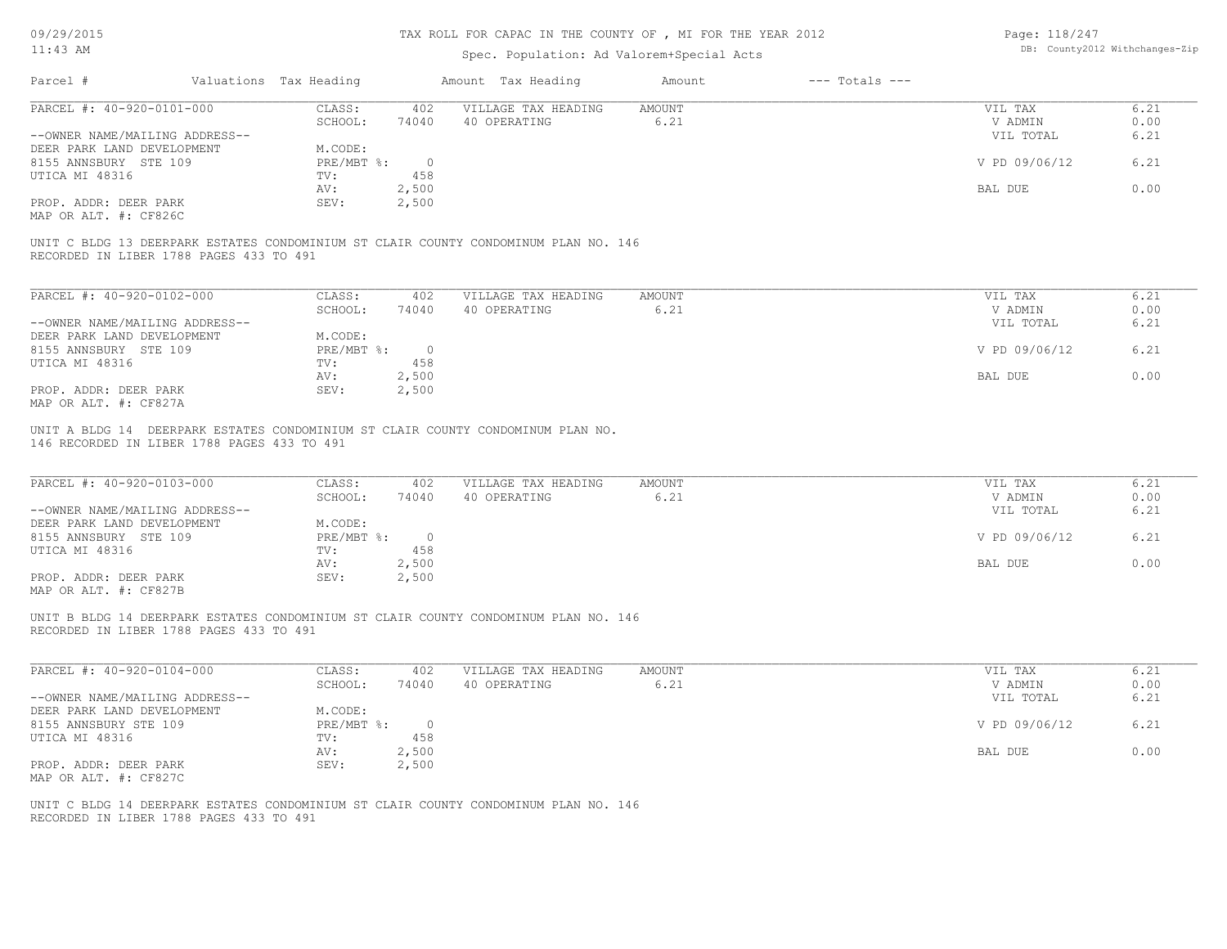| $11:43$ AM                                                                                                                                                                                                |                                   |                | TAX ROLL FOR CAPAC IN THE COUNTY OF, MI FOR THE YEAR 2012 | Page: 118/247<br>DB: County2012 Withchanges-Zip |                    |                    |              |
|-----------------------------------------------------------------------------------------------------------------------------------------------------------------------------------------------------------|-----------------------------------|----------------|-----------------------------------------------------------|-------------------------------------------------|--------------------|--------------------|--------------|
|                                                                                                                                                                                                           |                                   |                | Spec. Population: Ad Valorem+Special Acts                 |                                                 |                    |                    |              |
| Parcel #<br>Valuations Tax Heading                                                                                                                                                                        |                                   |                | Amount Tax Heading                                        | Amount                                          | $---$ Totals $---$ |                    |              |
| PARCEL #: 40-920-0101-000                                                                                                                                                                                 | CLASS:<br>402                     |                | VILLAGE TAX HEADING                                       | <b>AMOUNT</b>                                   |                    | VIL TAX            | 6.21         |
|                                                                                                                                                                                                           | SCHOOL:<br>74040                  |                | 40 OPERATING                                              | 6.21                                            |                    | V ADMIN            | 0.00         |
| --OWNER NAME/MAILING ADDRESS--<br>DEER PARK LAND DEVELOPMENT                                                                                                                                              | M.CODE:                           |                |                                                           |                                                 |                    | VIL TOTAL          | 6.21         |
| 8155 ANNSBURY STE 109                                                                                                                                                                                     | PRE/MBT %:                        | $\overline{0}$ |                                                           |                                                 |                    | V PD 09/06/12      | 6.21         |
| UTICA MI 48316                                                                                                                                                                                            | 458<br>TV:                        |                |                                                           |                                                 |                    |                    |              |
|                                                                                                                                                                                                           | 2,500<br>AV:                      |                |                                                           |                                                 |                    | BAL DUE            | 0.00         |
| PROP. ADDR: DEER PARK                                                                                                                                                                                     | SEV:<br>2,500                     |                |                                                           |                                                 |                    |                    |              |
| MAP OR ALT. #: CF826C                                                                                                                                                                                     |                                   |                |                                                           |                                                 |                    |                    |              |
| UNIT C BLDG 13 DEERPARK ESTATES CONDOMINIUM ST CLAIR COUNTY CONDOMINUM PLAN NO. 146<br>RECORDED IN LIBER 1788 PAGES 433 TO 491                                                                            |                                   |                |                                                           |                                                 |                    |                    |              |
| PARCEL #: 40-920-0102-000                                                                                                                                                                                 | CLASS:<br>402                     |                | VILLAGE TAX HEADING                                       | AMOUNT                                          |                    | VIL TAX            | 6.21         |
|                                                                                                                                                                                                           | SCHOOL:<br>74040                  |                | 40 OPERATING                                              | 6.21                                            |                    | V ADMIN            | 0.00         |
| --OWNER NAME/MAILING ADDRESS--                                                                                                                                                                            |                                   |                |                                                           |                                                 |                    | VIL TOTAL          | 6.21         |
| DEER PARK LAND DEVELOPMENT                                                                                                                                                                                | M.CODE:                           |                |                                                           |                                                 |                    |                    |              |
|                                                                                                                                                                                                           |                                   | $\overline{0}$ |                                                           |                                                 |                    | V PD 09/06/12      | 6.21         |
|                                                                                                                                                                                                           | PRE/MBT %:                        |                |                                                           |                                                 |                    |                    |              |
|                                                                                                                                                                                                           | TV:<br>458                        |                |                                                           |                                                 |                    |                    |              |
|                                                                                                                                                                                                           | 2,500<br>AV:                      |                |                                                           |                                                 |                    | BAL DUE            | 0.00         |
|                                                                                                                                                                                                           | SEV:<br>2,500                     |                |                                                           |                                                 |                    |                    |              |
| 8155 ANNSBURY STE 109<br>PROP. ADDR: DEER PARK<br>MAP OR ALT. #: CF827A<br>UNIT A BLDG 14 DEERPARK ESTATES CONDOMINIUM ST CLAIR COUNTY CONDOMINUM PLAN NO.<br>146 RECORDED IN LIBER 1788 PAGES 433 TO 491 |                                   |                |                                                           |                                                 |                    |                    |              |
| PARCEL #: 40-920-0103-000                                                                                                                                                                                 | CLASS:<br>402<br>SCHOOL:<br>74040 |                | VILLAGE TAX HEADING<br>40 OPERATING                       | <b>AMOUNT</b><br>6.21                           |                    | VIL TAX<br>V ADMIN | 6.21<br>0.00 |
| --OWNER NAME/MAILING ADDRESS--                                                                                                                                                                            |                                   |                |                                                           |                                                 |                    | VIL TOTAL          | 6.21         |
| DEER PARK LAND DEVELOPMENT                                                                                                                                                                                | M.CODE:                           |                |                                                           |                                                 |                    |                    |              |
|                                                                                                                                                                                                           | PRE/MBT %:                        | $\overline{0}$ |                                                           |                                                 |                    | V PD 09/06/12      | 6.21         |
| 8155 ANNSBURY STE 109                                                                                                                                                                                     | 458<br>TV:                        |                |                                                           |                                                 |                    |                    |              |
|                                                                                                                                                                                                           | 2,500<br>AV:                      |                |                                                           |                                                 |                    | BAL DUE            | 0.00         |
| PROP. ADDR: DEER PARK                                                                                                                                                                                     | 2,500<br>SEV:                     |                |                                                           |                                                 |                    |                    |              |
| UTICA MI 48316<br>UTICA MI 48316<br>MAP OR ALT. #: CF827B<br>UNIT B BLDG 14 DEERPARK ESTATES CONDOMINIUM ST CLAIR COUNTY CONDOMINUM PLAN NO. 146<br>RECORDED IN LIBER 1788 PAGES 433 TO 491               |                                   |                |                                                           |                                                 |                    |                    |              |
| PARCEL #: 40-920-0104-000                                                                                                                                                                                 | CLASS:<br>402                     |                | VILLAGE TAX HEADING                                       | <b>AMOUNT</b>                                   |                    | VIL TAX            | 6.21         |
|                                                                                                                                                                                                           | SCHOOL:<br>74040                  |                | 40 OPERATING                                              | 6.21                                            |                    | V ADMIN            | 0.00         |
| --OWNER NAME/MAILING ADDRESS--                                                                                                                                                                            |                                   |                |                                                           |                                                 |                    | VIL TOTAL          | 6.21         |
|                                                                                                                                                                                                           | M.CODE:                           |                |                                                           |                                                 |                    |                    |              |
|                                                                                                                                                                                                           | PRE/MBT %:                        | $\overline{0}$ |                                                           |                                                 |                    | V PD 09/06/12      | 6.21         |
| DEER PARK LAND DEVELOPMENT<br>8155 ANNSBURY STE 109<br>UTICA MI 48316                                                                                                                                     | TV:<br>458                        |                |                                                           |                                                 |                    |                    |              |
| PROP. ADDR: DEER PARK                                                                                                                                                                                     | 2,500<br>AV:<br>2,500<br>SEV:     |                |                                                           |                                                 |                    | BAL DUE            | 0.00         |

RECORDED IN LIBER 1788 PAGES 433 TO 491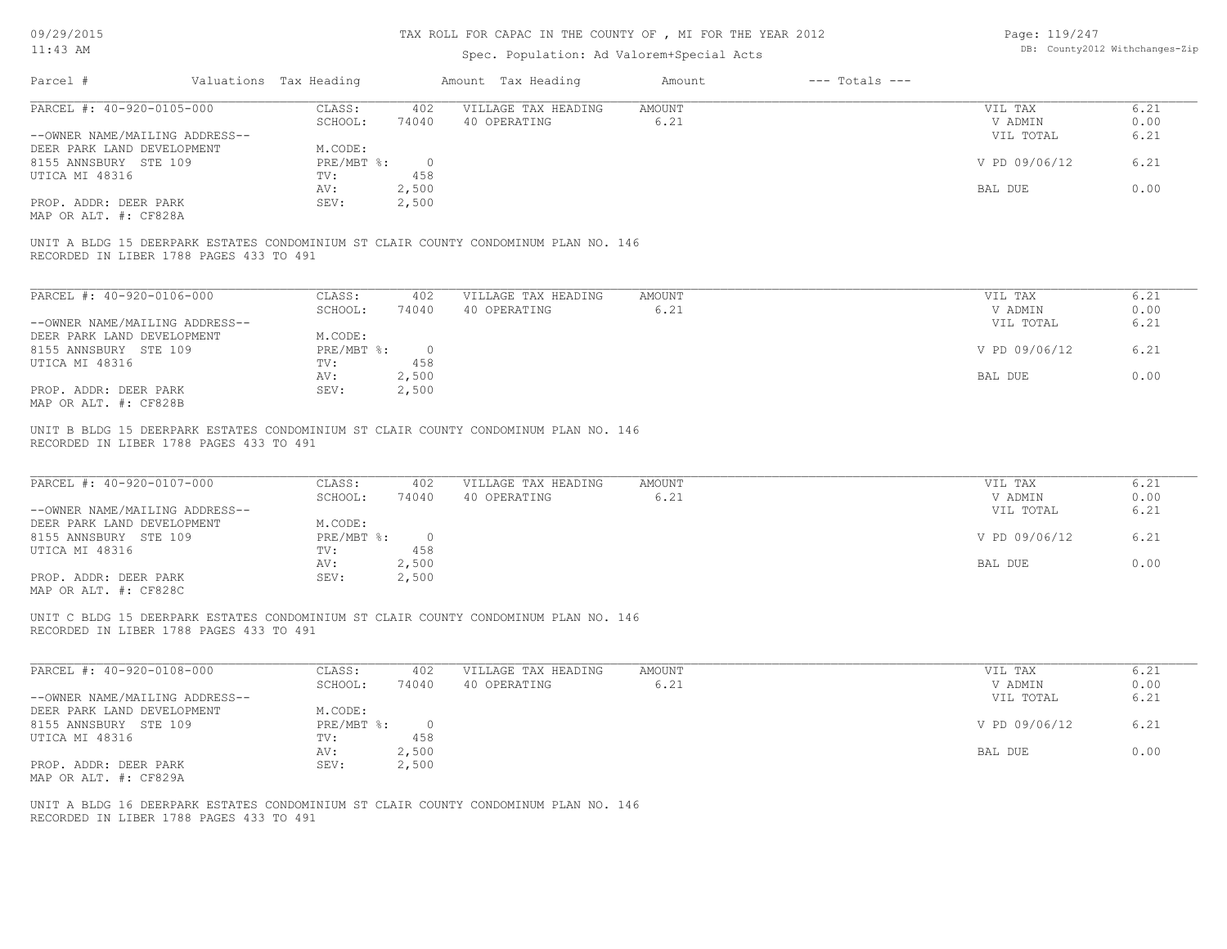| 09/29/2015                                     |                        |                | TAX ROLL FOR CAPAC IN THE COUNTY OF, MI FOR THE YEAR 2012                           |                |                    | Page: 119/247      |                                |
|------------------------------------------------|------------------------|----------------|-------------------------------------------------------------------------------------|----------------|--------------------|--------------------|--------------------------------|
| $11:43$ AM                                     |                        |                | Spec. Population: Ad Valorem+Special Acts                                           |                |                    |                    | DB: County2012 Withchanges-Zip |
| Parcel #                                       | Valuations Tax Heading |                | Amount Tax Heading                                                                  | Amount         | $---$ Totals $---$ |                    |                                |
| PARCEL #: 40-920-0105-000                      | CLASS:                 | 402            | VILLAGE TAX HEADING                                                                 | <b>AMOUNT</b>  |                    | VIL TAX            | 6.21                           |
|                                                | SCHOOL:                | 74040          | 40 OPERATING                                                                        | 6.21           |                    | V ADMIN            | 0.00                           |
| --OWNER NAME/MAILING ADDRESS--                 |                        |                |                                                                                     |                |                    | VIL TOTAL          | 6.21                           |
| DEER PARK LAND DEVELOPMENT                     | M.CODE:                |                |                                                                                     |                |                    |                    |                                |
| 8155 ANNSBURY STE 109                          | PRE/MBT %:             | $\circ$        |                                                                                     |                |                    | V PD 09/06/12      | 6.21                           |
| UTICA MI 48316                                 | TV:                    | 458            |                                                                                     |                |                    |                    |                                |
|                                                | AV:                    | 2,500          |                                                                                     |                |                    | BAL DUE            | 0.00                           |
| PROP. ADDR: DEER PARK<br>MAP OR ALT. #: CF828A | SEV:                   | 2,500          |                                                                                     |                |                    |                    |                                |
| RECORDED IN LIBER 1788 PAGES 433 TO 491        |                        |                | UNIT A BLDG 15 DEERPARK ESTATES CONDOMINIUM ST CLAIR COUNTY CONDOMINUM PLAN NO. 146 |                |                    |                    |                                |
| PARCEL #: 40-920-0106-000                      | CLASS:                 | 402            | VILLAGE TAX HEADING                                                                 | <b>AMOUNT</b>  |                    | VIL TAX            | 6.21                           |
|                                                | SCHOOL:                | 74040          | 40 OPERATING                                                                        | 6.21           |                    | V ADMIN            | 0.00                           |
| --OWNER NAME/MAILING ADDRESS--                 |                        |                |                                                                                     |                |                    | VIL TOTAL          | 6.21                           |
| DEER PARK LAND DEVELOPMENT                     | M.CODE:                |                |                                                                                     |                |                    |                    |                                |
| 8155 ANNSBURY STE 109                          | PRE/MBT %:             | $\circ$        |                                                                                     |                |                    | V PD 09/06/12      | 6.21                           |
| UTICA MI 48316                                 | TV:                    | 458            |                                                                                     |                |                    |                    |                                |
|                                                | AV:                    | 2,500          |                                                                                     |                |                    | BAL DUE            | 0.00                           |
| PROP. ADDR: DEER PARK                          | SEV:                   | 2,500          |                                                                                     |                |                    |                    |                                |
| MAP OR ALT. #: CF828B                          |                        |                |                                                                                     |                |                    |                    |                                |
| PARCEL #: 40-920-0107-000                      | CLASS:<br>SCHOOL:      | 402<br>74040   | VILLAGE TAX HEADING<br>40 OPERATING                                                 | AMOUNT<br>6.21 |                    | VIL TAX<br>V ADMIN | 6.21<br>0.00                   |
| --OWNER NAME/MAILING ADDRESS--                 |                        |                |                                                                                     |                |                    | VIL TOTAL          | 6.21                           |
| DEER PARK LAND DEVELOPMENT                     | M.CODE:                |                |                                                                                     |                |                    |                    |                                |
| 8155 ANNSBURY STE 109                          | $PRE/MBT$ $\div$       | $\overline{0}$ |                                                                                     |                |                    | V PD 09/06/12      | 6.21                           |
| UTICA MI 48316                                 | TV:                    | 458            |                                                                                     |                |                    |                    |                                |
|                                                | AV:                    | 2,500          |                                                                                     |                |                    | BAL DUE            | 0.00                           |
| PROP. ADDR: DEER PARK                          | SEV:                   | 2,500          |                                                                                     |                |                    |                    |                                |
| MAP OR ALT. #: CF828C                          |                        |                |                                                                                     |                |                    |                    |                                |
| RECORDED IN LIBER 1788 PAGES 433 TO 491        |                        |                | UNIT C BLDG 15 DEERPARK ESTATES CONDOMINIUM ST CLAIR COUNTY CONDOMINUM PLAN NO. 146 |                |                    |                    |                                |
| PARCEL #: 40-920-0108-000                      | CLASS:<br>SCHOOL:      | 402<br>74040   | VILLAGE TAX HEADING<br>40 OPERATING                                                 | AMOUNT<br>6.21 |                    | VIL TAX<br>V ADMIN | 6.21<br>0.00                   |
| --OWNER NAME/MAILING ADDRESS--                 |                        |                |                                                                                     |                |                    | VIL TOTAL          | 6.21                           |
| DEER PARK LAND DEVELOPMENT                     | M.CODE:                |                |                                                                                     |                |                    |                    |                                |
| 8155 ANNSBURY STE 109                          | PRE/MBT %: 0           |                |                                                                                     |                |                    | V PD 09/06/12      | 6.21                           |
| UTICA MI 48316                                 | TV:                    | 458            |                                                                                     |                |                    |                    |                                |
|                                                | AV:                    | 2,500          |                                                                                     |                |                    | BAL DUE            | 0.00                           |
| PROP. ADDR: DEER PARK                          | SEV:                   | 2,500          |                                                                                     |                |                    |                    |                                |
| MAP OR ALT. #: CF829A                          |                        |                |                                                                                     |                |                    |                    |                                |
|                                                |                        |                |                                                                                     |                |                    |                    |                                |
|                                                |                        |                | UNIT A BLDG 16 DEERPARK ESTATES CONDOMINIUM ST CLAIR COUNTY CONDOMINUM PLAN NO. 146 |                |                    |                    |                                |
| RECORDED IN LIBER 1788 PAGES 433 TO 491        |                        |                |                                                                                     |                |                    |                    |                                |
|                                                |                        |                |                                                                                     |                |                    |                    |                                |
|                                                |                        |                |                                                                                     |                |                    |                    |                                |
|                                                |                        |                |                                                                                     |                |                    |                    |                                |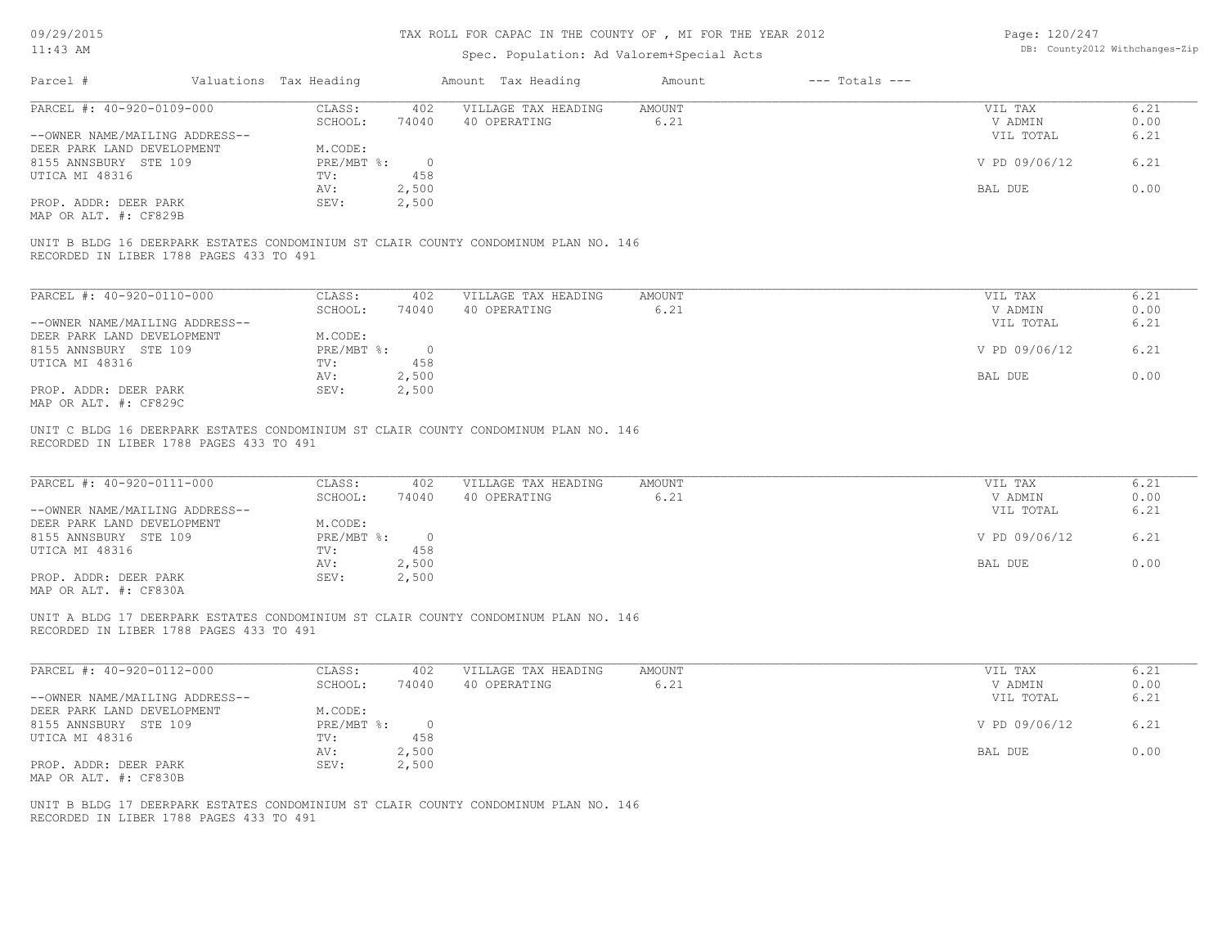| DB: County2012 Withchanges-Zip<br>$11:43$ AM<br>Spec. Population: Ad Valorem+Special Acts<br>Parcel #<br>Valuations Tax Heading<br>Amount Tax Heading<br>$---$ Totals $---$<br>Amount<br>PARCEL #: 40-920-0109-000<br>CLASS:<br>VILLAGE TAX HEADING<br><b>AMOUNT</b><br>VIL TAX<br>402<br>SCHOOL:<br>74040<br>40 OPERATING<br>6.21<br>V ADMIN<br>--OWNER NAME/MAILING ADDRESS--<br>VIL TOTAL<br>DEER PARK LAND DEVELOPMENT<br>M.CODE:<br>V PD 09/06/12<br>8155 ANNSBURY STE 109<br>$PRE/MBT$ $\div$<br>$\overline{0}$<br>UTICA MI 48316<br>TV:<br>458<br>2,500<br>BAL DUE<br>AV:<br>PROP. ADDR: DEER PARK<br>2,500<br>SEV:<br>MAP OR ALT. #: CF829B<br>UNIT B BLDG 16 DEERPARK ESTATES CONDOMINIUM ST CLAIR COUNTY CONDOMINUM PLAN NO. 146<br>RECORDED IN LIBER 1788 PAGES 433 TO 491<br>PARCEL #: 40-920-0110-000<br>CLASS:<br>402<br>VILLAGE TAX HEADING<br>AMOUNT<br>VIL TAX<br>6.21<br>SCHOOL:<br>74040<br>40 OPERATING<br>V ADMIN<br>--OWNER NAME/MAILING ADDRESS--<br>VIL TOTAL<br>DEER PARK LAND DEVELOPMENT<br>M.CODE:<br>8155 ANNSBURY STE 109<br>$PRE/MBT$ $\div$<br>$\overline{\phantom{0}}$<br>V PD 09/06/12<br>458<br>UTICA MI 48316<br>TV:<br>2,500<br>BAL DUE<br>AV:<br>PROP. ADDR: DEER PARK<br>SEV:<br>2,500<br>MAP OR ALT. #: CF829C<br>UNIT C BLDG 16 DEERPARK ESTATES CONDOMINIUM ST CLAIR COUNTY CONDOMINUM PLAN NO. 146<br>RECORDED IN LIBER 1788 PAGES 433 TO 491<br>PARCEL #: 40-920-0111-000<br>CLASS:<br>VILLAGE TAX HEADING<br><b>AMOUNT</b><br>402<br>VIL TAX<br>40 OPERATING<br>6.21<br>SCHOOL:<br>74040<br>V ADMIN<br>--OWNER NAME/MAILING ADDRESS--<br>VIL TOTAL<br>DEER PARK LAND DEVELOPMENT<br>M.CODE:<br>PRE/MBT %:<br>8155 ANNSBURY STE 109<br>$\overline{0}$<br>V PD 09/06/12<br>458<br>UTICA MI 48316<br>TV:<br>2,500<br>BAL DUE<br>AV:<br>PROP. ADDR: DEER PARK<br>2,500<br>SEV:<br>MAP OR ALT. #: CF830A<br>UNIT A BLDG 17 DEERPARK ESTATES CONDOMINIUM ST CLAIR COUNTY CONDOMINUM PLAN NO. 146<br>RECORDED IN LIBER 1788 PAGES 433 TO 491<br>PARCEL #: 40-920-0112-000<br>CLASS:<br>VILLAGE TAX HEADING<br><b>AMOUNT</b><br>402<br>VIL TAX<br>SCHOOL:<br>40 OPERATING<br>6.21<br>V ADMIN<br>74040<br>--OWNER NAME/MAILING ADDRESS--<br>VIL TOTAL<br>DEER PARK LAND DEVELOPMENT<br>M.CODE:<br>V PD 09/06/12<br>$\overline{0}$<br>$PRE/MBT$ $\div$<br>8155 ANNSBURY STE 109<br>UTICA MI 48316<br>TV:<br>458<br>2,500<br>AV:<br>BAL DUE<br>PROP. ADDR: DEER PARK<br>SEV:<br>2,500<br>MAP OR ALT. #: CF830B<br>UNIT B BLDG 17 DEERPARK ESTATES CONDOMINIUM ST CLAIR COUNTY CONDOMINUM PLAN NO. 146 |  | TAX ROLL FOR CAPAC IN THE COUNTY OF , MI FOR THE YEAR 2012 |  | Page: 120/247 |              |
|-----------------------------------------------------------------------------------------------------------------------------------------------------------------------------------------------------------------------------------------------------------------------------------------------------------------------------------------------------------------------------------------------------------------------------------------------------------------------------------------------------------------------------------------------------------------------------------------------------------------------------------------------------------------------------------------------------------------------------------------------------------------------------------------------------------------------------------------------------------------------------------------------------------------------------------------------------------------------------------------------------------------------------------------------------------------------------------------------------------------------------------------------------------------------------------------------------------------------------------------------------------------------------------------------------------------------------------------------------------------------------------------------------------------------------------------------------------------------------------------------------------------------------------------------------------------------------------------------------------------------------------------------------------------------------------------------------------------------------------------------------------------------------------------------------------------------------------------------------------------------------------------------------------------------------------------------------------------------------------------------------------------------------------------------------------------------------------------------------------------------------------------------------------------------------------------------------------------------------------------------------------------------------------------------------------------------------------------------------------------------------------------------------------------------------------------------------------------------------------------------------------------------------------------|--|------------------------------------------------------------|--|---------------|--------------|
|                                                                                                                                                                                                                                                                                                                                                                                                                                                                                                                                                                                                                                                                                                                                                                                                                                                                                                                                                                                                                                                                                                                                                                                                                                                                                                                                                                                                                                                                                                                                                                                                                                                                                                                                                                                                                                                                                                                                                                                                                                                                                                                                                                                                                                                                                                                                                                                                                                                                                                                                         |  |                                                            |  |               |              |
|                                                                                                                                                                                                                                                                                                                                                                                                                                                                                                                                                                                                                                                                                                                                                                                                                                                                                                                                                                                                                                                                                                                                                                                                                                                                                                                                                                                                                                                                                                                                                                                                                                                                                                                                                                                                                                                                                                                                                                                                                                                                                                                                                                                                                                                                                                                                                                                                                                                                                                                                         |  |                                                            |  |               |              |
|                                                                                                                                                                                                                                                                                                                                                                                                                                                                                                                                                                                                                                                                                                                                                                                                                                                                                                                                                                                                                                                                                                                                                                                                                                                                                                                                                                                                                                                                                                                                                                                                                                                                                                                                                                                                                                                                                                                                                                                                                                                                                                                                                                                                                                                                                                                                                                                                                                                                                                                                         |  |                                                            |  |               | 6.21         |
|                                                                                                                                                                                                                                                                                                                                                                                                                                                                                                                                                                                                                                                                                                                                                                                                                                                                                                                                                                                                                                                                                                                                                                                                                                                                                                                                                                                                                                                                                                                                                                                                                                                                                                                                                                                                                                                                                                                                                                                                                                                                                                                                                                                                                                                                                                                                                                                                                                                                                                                                         |  |                                                            |  |               | 0.00         |
|                                                                                                                                                                                                                                                                                                                                                                                                                                                                                                                                                                                                                                                                                                                                                                                                                                                                                                                                                                                                                                                                                                                                                                                                                                                                                                                                                                                                                                                                                                                                                                                                                                                                                                                                                                                                                                                                                                                                                                                                                                                                                                                                                                                                                                                                                                                                                                                                                                                                                                                                         |  |                                                            |  |               | 6.21         |
|                                                                                                                                                                                                                                                                                                                                                                                                                                                                                                                                                                                                                                                                                                                                                                                                                                                                                                                                                                                                                                                                                                                                                                                                                                                                                                                                                                                                                                                                                                                                                                                                                                                                                                                                                                                                                                                                                                                                                                                                                                                                                                                                                                                                                                                                                                                                                                                                                                                                                                                                         |  |                                                            |  |               |              |
|                                                                                                                                                                                                                                                                                                                                                                                                                                                                                                                                                                                                                                                                                                                                                                                                                                                                                                                                                                                                                                                                                                                                                                                                                                                                                                                                                                                                                                                                                                                                                                                                                                                                                                                                                                                                                                                                                                                                                                                                                                                                                                                                                                                                                                                                                                                                                                                                                                                                                                                                         |  |                                                            |  |               | 6.21         |
|                                                                                                                                                                                                                                                                                                                                                                                                                                                                                                                                                                                                                                                                                                                                                                                                                                                                                                                                                                                                                                                                                                                                                                                                                                                                                                                                                                                                                                                                                                                                                                                                                                                                                                                                                                                                                                                                                                                                                                                                                                                                                                                                                                                                                                                                                                                                                                                                                                                                                                                                         |  |                                                            |  |               |              |
|                                                                                                                                                                                                                                                                                                                                                                                                                                                                                                                                                                                                                                                                                                                                                                                                                                                                                                                                                                                                                                                                                                                                                                                                                                                                                                                                                                                                                                                                                                                                                                                                                                                                                                                                                                                                                                                                                                                                                                                                                                                                                                                                                                                                                                                                                                                                                                                                                                                                                                                                         |  |                                                            |  |               | 0.00         |
|                                                                                                                                                                                                                                                                                                                                                                                                                                                                                                                                                                                                                                                                                                                                                                                                                                                                                                                                                                                                                                                                                                                                                                                                                                                                                                                                                                                                                                                                                                                                                                                                                                                                                                                                                                                                                                                                                                                                                                                                                                                                                                                                                                                                                                                                                                                                                                                                                                                                                                                                         |  |                                                            |  |               |              |
|                                                                                                                                                                                                                                                                                                                                                                                                                                                                                                                                                                                                                                                                                                                                                                                                                                                                                                                                                                                                                                                                                                                                                                                                                                                                                                                                                                                                                                                                                                                                                                                                                                                                                                                                                                                                                                                                                                                                                                                                                                                                                                                                                                                                                                                                                                                                                                                                                                                                                                                                         |  |                                                            |  |               |              |
|                                                                                                                                                                                                                                                                                                                                                                                                                                                                                                                                                                                                                                                                                                                                                                                                                                                                                                                                                                                                                                                                                                                                                                                                                                                                                                                                                                                                                                                                                                                                                                                                                                                                                                                                                                                                                                                                                                                                                                                                                                                                                                                                                                                                                                                                                                                                                                                                                                                                                                                                         |  |                                                            |  |               |              |
|                                                                                                                                                                                                                                                                                                                                                                                                                                                                                                                                                                                                                                                                                                                                                                                                                                                                                                                                                                                                                                                                                                                                                                                                                                                                                                                                                                                                                                                                                                                                                                                                                                                                                                                                                                                                                                                                                                                                                                                                                                                                                                                                                                                                                                                                                                                                                                                                                                                                                                                                         |  |                                                            |  |               |              |
|                                                                                                                                                                                                                                                                                                                                                                                                                                                                                                                                                                                                                                                                                                                                                                                                                                                                                                                                                                                                                                                                                                                                                                                                                                                                                                                                                                                                                                                                                                                                                                                                                                                                                                                                                                                                                                                                                                                                                                                                                                                                                                                                                                                                                                                                                                                                                                                                                                                                                                                                         |  |                                                            |  |               |              |
|                                                                                                                                                                                                                                                                                                                                                                                                                                                                                                                                                                                                                                                                                                                                                                                                                                                                                                                                                                                                                                                                                                                                                                                                                                                                                                                                                                                                                                                                                                                                                                                                                                                                                                                                                                                                                                                                                                                                                                                                                                                                                                                                                                                                                                                                                                                                                                                                                                                                                                                                         |  |                                                            |  |               | 6.21<br>0.00 |
|                                                                                                                                                                                                                                                                                                                                                                                                                                                                                                                                                                                                                                                                                                                                                                                                                                                                                                                                                                                                                                                                                                                                                                                                                                                                                                                                                                                                                                                                                                                                                                                                                                                                                                                                                                                                                                                                                                                                                                                                                                                                                                                                                                                                                                                                                                                                                                                                                                                                                                                                         |  |                                                            |  |               |              |
|                                                                                                                                                                                                                                                                                                                                                                                                                                                                                                                                                                                                                                                                                                                                                                                                                                                                                                                                                                                                                                                                                                                                                                                                                                                                                                                                                                                                                                                                                                                                                                                                                                                                                                                                                                                                                                                                                                                                                                                                                                                                                                                                                                                                                                                                                                                                                                                                                                                                                                                                         |  |                                                            |  |               | 6.21         |
|                                                                                                                                                                                                                                                                                                                                                                                                                                                                                                                                                                                                                                                                                                                                                                                                                                                                                                                                                                                                                                                                                                                                                                                                                                                                                                                                                                                                                                                                                                                                                                                                                                                                                                                                                                                                                                                                                                                                                                                                                                                                                                                                                                                                                                                                                                                                                                                                                                                                                                                                         |  |                                                            |  |               |              |
|                                                                                                                                                                                                                                                                                                                                                                                                                                                                                                                                                                                                                                                                                                                                                                                                                                                                                                                                                                                                                                                                                                                                                                                                                                                                                                                                                                                                                                                                                                                                                                                                                                                                                                                                                                                                                                                                                                                                                                                                                                                                                                                                                                                                                                                                                                                                                                                                                                                                                                                                         |  |                                                            |  |               | 6.21         |
|                                                                                                                                                                                                                                                                                                                                                                                                                                                                                                                                                                                                                                                                                                                                                                                                                                                                                                                                                                                                                                                                                                                                                                                                                                                                                                                                                                                                                                                                                                                                                                                                                                                                                                                                                                                                                                                                                                                                                                                                                                                                                                                                                                                                                                                                                                                                                                                                                                                                                                                                         |  |                                                            |  |               | 0.00         |
|                                                                                                                                                                                                                                                                                                                                                                                                                                                                                                                                                                                                                                                                                                                                                                                                                                                                                                                                                                                                                                                                                                                                                                                                                                                                                                                                                                                                                                                                                                                                                                                                                                                                                                                                                                                                                                                                                                                                                                                                                                                                                                                                                                                                                                                                                                                                                                                                                                                                                                                                         |  |                                                            |  |               |              |
|                                                                                                                                                                                                                                                                                                                                                                                                                                                                                                                                                                                                                                                                                                                                                                                                                                                                                                                                                                                                                                                                                                                                                                                                                                                                                                                                                                                                                                                                                                                                                                                                                                                                                                                                                                                                                                                                                                                                                                                                                                                                                                                                                                                                                                                                                                                                                                                                                                                                                                                                         |  |                                                            |  |               |              |
|                                                                                                                                                                                                                                                                                                                                                                                                                                                                                                                                                                                                                                                                                                                                                                                                                                                                                                                                                                                                                                                                                                                                                                                                                                                                                                                                                                                                                                                                                                                                                                                                                                                                                                                                                                                                                                                                                                                                                                                                                                                                                                                                                                                                                                                                                                                                                                                                                                                                                                                                         |  |                                                            |  |               |              |
|                                                                                                                                                                                                                                                                                                                                                                                                                                                                                                                                                                                                                                                                                                                                                                                                                                                                                                                                                                                                                                                                                                                                                                                                                                                                                                                                                                                                                                                                                                                                                                                                                                                                                                                                                                                                                                                                                                                                                                                                                                                                                                                                                                                                                                                                                                                                                                                                                                                                                                                                         |  |                                                            |  |               | 6.21         |
|                                                                                                                                                                                                                                                                                                                                                                                                                                                                                                                                                                                                                                                                                                                                                                                                                                                                                                                                                                                                                                                                                                                                                                                                                                                                                                                                                                                                                                                                                                                                                                                                                                                                                                                                                                                                                                                                                                                                                                                                                                                                                                                                                                                                                                                                                                                                                                                                                                                                                                                                         |  |                                                            |  |               | 0.00         |
|                                                                                                                                                                                                                                                                                                                                                                                                                                                                                                                                                                                                                                                                                                                                                                                                                                                                                                                                                                                                                                                                                                                                                                                                                                                                                                                                                                                                                                                                                                                                                                                                                                                                                                                                                                                                                                                                                                                                                                                                                                                                                                                                                                                                                                                                                                                                                                                                                                                                                                                                         |  |                                                            |  |               | 6.21         |
|                                                                                                                                                                                                                                                                                                                                                                                                                                                                                                                                                                                                                                                                                                                                                                                                                                                                                                                                                                                                                                                                                                                                                                                                                                                                                                                                                                                                                                                                                                                                                                                                                                                                                                                                                                                                                                                                                                                                                                                                                                                                                                                                                                                                                                                                                                                                                                                                                                                                                                                                         |  |                                                            |  |               |              |
|                                                                                                                                                                                                                                                                                                                                                                                                                                                                                                                                                                                                                                                                                                                                                                                                                                                                                                                                                                                                                                                                                                                                                                                                                                                                                                                                                                                                                                                                                                                                                                                                                                                                                                                                                                                                                                                                                                                                                                                                                                                                                                                                                                                                                                                                                                                                                                                                                                                                                                                                         |  |                                                            |  |               | 6.21         |
|                                                                                                                                                                                                                                                                                                                                                                                                                                                                                                                                                                                                                                                                                                                                                                                                                                                                                                                                                                                                                                                                                                                                                                                                                                                                                                                                                                                                                                                                                                                                                                                                                                                                                                                                                                                                                                                                                                                                                                                                                                                                                                                                                                                                                                                                                                                                                                                                                                                                                                                                         |  |                                                            |  |               |              |
|                                                                                                                                                                                                                                                                                                                                                                                                                                                                                                                                                                                                                                                                                                                                                                                                                                                                                                                                                                                                                                                                                                                                                                                                                                                                                                                                                                                                                                                                                                                                                                                                                                                                                                                                                                                                                                                                                                                                                                                                                                                                                                                                                                                                                                                                                                                                                                                                                                                                                                                                         |  |                                                            |  |               | 0.00         |
|                                                                                                                                                                                                                                                                                                                                                                                                                                                                                                                                                                                                                                                                                                                                                                                                                                                                                                                                                                                                                                                                                                                                                                                                                                                                                                                                                                                                                                                                                                                                                                                                                                                                                                                                                                                                                                                                                                                                                                                                                                                                                                                                                                                                                                                                                                                                                                                                                                                                                                                                         |  |                                                            |  |               |              |
|                                                                                                                                                                                                                                                                                                                                                                                                                                                                                                                                                                                                                                                                                                                                                                                                                                                                                                                                                                                                                                                                                                                                                                                                                                                                                                                                                                                                                                                                                                                                                                                                                                                                                                                                                                                                                                                                                                                                                                                                                                                                                                                                                                                                                                                                                                                                                                                                                                                                                                                                         |  |                                                            |  |               |              |
|                                                                                                                                                                                                                                                                                                                                                                                                                                                                                                                                                                                                                                                                                                                                                                                                                                                                                                                                                                                                                                                                                                                                                                                                                                                                                                                                                                                                                                                                                                                                                                                                                                                                                                                                                                                                                                                                                                                                                                                                                                                                                                                                                                                                                                                                                                                                                                                                                                                                                                                                         |  |                                                            |  |               |              |
|                                                                                                                                                                                                                                                                                                                                                                                                                                                                                                                                                                                                                                                                                                                                                                                                                                                                                                                                                                                                                                                                                                                                                                                                                                                                                                                                                                                                                                                                                                                                                                                                                                                                                                                                                                                                                                                                                                                                                                                                                                                                                                                                                                                                                                                                                                                                                                                                                                                                                                                                         |  |                                                            |  |               | 6.21         |
|                                                                                                                                                                                                                                                                                                                                                                                                                                                                                                                                                                                                                                                                                                                                                                                                                                                                                                                                                                                                                                                                                                                                                                                                                                                                                                                                                                                                                                                                                                                                                                                                                                                                                                                                                                                                                                                                                                                                                                                                                                                                                                                                                                                                                                                                                                                                                                                                                                                                                                                                         |  |                                                            |  |               | 0.00         |
|                                                                                                                                                                                                                                                                                                                                                                                                                                                                                                                                                                                                                                                                                                                                                                                                                                                                                                                                                                                                                                                                                                                                                                                                                                                                                                                                                                                                                                                                                                                                                                                                                                                                                                                                                                                                                                                                                                                                                                                                                                                                                                                                                                                                                                                                                                                                                                                                                                                                                                                                         |  |                                                            |  |               | 6.21         |
|                                                                                                                                                                                                                                                                                                                                                                                                                                                                                                                                                                                                                                                                                                                                                                                                                                                                                                                                                                                                                                                                                                                                                                                                                                                                                                                                                                                                                                                                                                                                                                                                                                                                                                                                                                                                                                                                                                                                                                                                                                                                                                                                                                                                                                                                                                                                                                                                                                                                                                                                         |  |                                                            |  |               |              |
|                                                                                                                                                                                                                                                                                                                                                                                                                                                                                                                                                                                                                                                                                                                                                                                                                                                                                                                                                                                                                                                                                                                                                                                                                                                                                                                                                                                                                                                                                                                                                                                                                                                                                                                                                                                                                                                                                                                                                                                                                                                                                                                                                                                                                                                                                                                                                                                                                                                                                                                                         |  |                                                            |  |               | 6.21         |
|                                                                                                                                                                                                                                                                                                                                                                                                                                                                                                                                                                                                                                                                                                                                                                                                                                                                                                                                                                                                                                                                                                                                                                                                                                                                                                                                                                                                                                                                                                                                                                                                                                                                                                                                                                                                                                                                                                                                                                                                                                                                                                                                                                                                                                                                                                                                                                                                                                                                                                                                         |  |                                                            |  |               |              |
|                                                                                                                                                                                                                                                                                                                                                                                                                                                                                                                                                                                                                                                                                                                                                                                                                                                                                                                                                                                                                                                                                                                                                                                                                                                                                                                                                                                                                                                                                                                                                                                                                                                                                                                                                                                                                                                                                                                                                                                                                                                                                                                                                                                                                                                                                                                                                                                                                                                                                                                                         |  |                                                            |  |               | 0.00         |
|                                                                                                                                                                                                                                                                                                                                                                                                                                                                                                                                                                                                                                                                                                                                                                                                                                                                                                                                                                                                                                                                                                                                                                                                                                                                                                                                                                                                                                                                                                                                                                                                                                                                                                                                                                                                                                                                                                                                                                                                                                                                                                                                                                                                                                                                                                                                                                                                                                                                                                                                         |  |                                                            |  |               |              |
|                                                                                                                                                                                                                                                                                                                                                                                                                                                                                                                                                                                                                                                                                                                                                                                                                                                                                                                                                                                                                                                                                                                                                                                                                                                                                                                                                                                                                                                                                                                                                                                                                                                                                                                                                                                                                                                                                                                                                                                                                                                                                                                                                                                                                                                                                                                                                                                                                                                                                                                                         |  |                                                            |  |               |              |
| RECORDED IN LIBER 1788 PAGES 433 TO 491                                                                                                                                                                                                                                                                                                                                                                                                                                                                                                                                                                                                                                                                                                                                                                                                                                                                                                                                                                                                                                                                                                                                                                                                                                                                                                                                                                                                                                                                                                                                                                                                                                                                                                                                                                                                                                                                                                                                                                                                                                                                                                                                                                                                                                                                                                                                                                                                                                                                                                 |  |                                                            |  |               |              |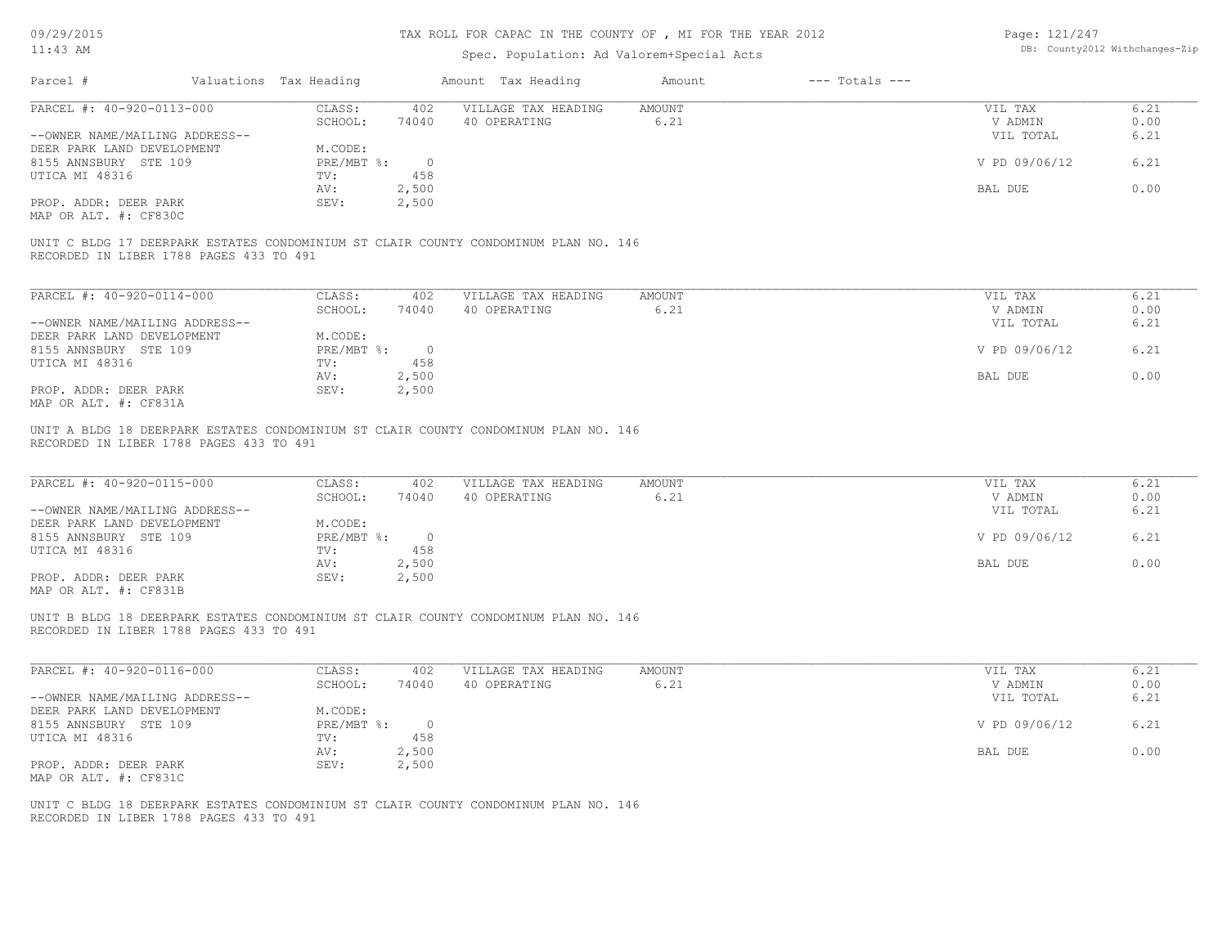| DB: County2012 Withchanges-Zip<br>$11:43$ AM<br>Spec. Population: Ad Valorem+Special Acts<br>Parcel #<br>Valuations Tax Heading<br>Amount Tax Heading<br>$---$ Totals $---$<br>Amount<br>PARCEL #: 40-920-0113-000<br>VILLAGE TAX HEADING<br>CLASS:<br>402<br>AMOUNT<br>VIL TAX<br>SCHOOL:<br>74040<br>40 OPERATING<br>6.21<br>V ADMIN<br>--OWNER NAME/MAILING ADDRESS--<br>VIL TOTAL<br>DEER PARK LAND DEVELOPMENT<br>M.CODE:<br>V PD 09/06/12<br>8155 ANNSBURY STE 109<br>$PRE/MBT$ $\div$<br>$\overline{0}$<br>458<br>TV:<br>2,500<br>BAL DUE<br>AV:<br>PROP. ADDR: DEER PARK<br>SEV:<br>2,500<br>MAP OR ALT. #: CF830C<br>UNIT C BLDG 17 DEERPARK ESTATES CONDOMINIUM ST CLAIR COUNTY CONDOMINUM PLAN NO. 146<br>RECORDED IN LIBER 1788 PAGES 433 TO 491<br>PARCEL #: 40-920-0114-000<br>CLASS:<br>402<br>VILLAGE TAX HEADING<br>AMOUNT<br>VIL TAX<br>40 OPERATING<br>SCHOOL:<br>74040<br>6.21<br>V ADMIN<br>--OWNER NAME/MAILING ADDRESS--<br>VIL TOTAL<br>DEER PARK LAND DEVELOPMENT<br>M.CODE:<br>V PD 09/06/12<br>8155 ANNSBURY STE 109<br>$PRE/MBT$ $\div$<br>$\overline{\phantom{0}}$<br>458<br>TV:<br>2,500<br>BAL DUE<br>AV:<br>PROP. ADDR: DEER PARK<br>2,500<br>SEV:<br>MAP OR ALT. #: CF831A<br>UNIT A BLDG 18 DEERPARK ESTATES CONDOMINIUM ST CLAIR COUNTY CONDOMINUM PLAN NO. 146<br>RECORDED IN LIBER 1788 PAGES 433 TO 491<br>PARCEL #: 40-920-0115-000<br>CLASS:<br>VILLAGE TAX HEADING<br><b>AMOUNT</b><br>402<br>VIL TAX<br>6.21<br>SCHOOL:<br>74040<br>40 OPERATING<br>V ADMIN<br>--OWNER NAME/MAILING ADDRESS--<br>VIL TOTAL<br>DEER PARK LAND DEVELOPMENT<br>M.CODE:<br>PRE/MBT %:<br>$\overline{0}$<br>V PD 09/06/12<br>8155 ANNSBURY STE 109<br>TV:<br>458<br>2,500<br>AV:<br>BAL DUE<br>PROP. ADDR: DEER PARK<br>SEV:<br>2,500<br>UNIT B BLDG 18 DEERPARK ESTATES CONDOMINIUM ST CLAIR COUNTY CONDOMINUM PLAN NO. 146<br>RECORDED IN LIBER 1788 PAGES 433 TO 491<br>PARCEL #: 40-920-0116-000<br>CLASS:<br>402<br>VILLAGE TAX HEADING<br>AMOUNT<br>VIL TAX<br>6.21<br>SCHOOL:<br>74040<br>40 OPERATING<br>V ADMIN<br>--OWNER NAME/MAILING ADDRESS--<br>VIL TOTAL<br>DEER PARK LAND DEVELOPMENT<br>M.CODE:<br>V PD 09/06/12<br>PRE/MBT %: 0<br>8155 ANNSBURY STE 109<br>UTICA MI 48316<br>458<br>TV:<br>2,500<br>AV:<br>BAL DUE<br>SEV:<br>2,500<br>PROP. ADDR: DEER PARK<br>MAP OR ALT. #: CF831C<br>UNIT C BLDG 18 DEERPARK ESTATES CONDOMINIUM ST CLAIR COUNTY CONDOMINUM PLAN NO. 146 | 09/29/2015 |  | TAX ROLL FOR CAPAC IN THE COUNTY OF , MI FOR THE YEAR 2012 |  | Page: 121/247 |              |
|----------------------------------------------------------------------------------------------------------------------------------------------------------------------------------------------------------------------------------------------------------------------------------------------------------------------------------------------------------------------------------------------------------------------------------------------------------------------------------------------------------------------------------------------------------------------------------------------------------------------------------------------------------------------------------------------------------------------------------------------------------------------------------------------------------------------------------------------------------------------------------------------------------------------------------------------------------------------------------------------------------------------------------------------------------------------------------------------------------------------------------------------------------------------------------------------------------------------------------------------------------------------------------------------------------------------------------------------------------------------------------------------------------------------------------------------------------------------------------------------------------------------------------------------------------------------------------------------------------------------------------------------------------------------------------------------------------------------------------------------------------------------------------------------------------------------------------------------------------------------------------------------------------------------------------------------------------------------------------------------------------------------------------------------------------------------------------------------------------------------------------------------------------------------------------------------------------------------------------------------------------------------------------------------------------------------------------------------------------------------------------------------------------------------|------------|--|------------------------------------------------------------|--|---------------|--------------|
|                                                                                                                                                                                                                                                                                                                                                                                                                                                                                                                                                                                                                                                                                                                                                                                                                                                                                                                                                                                                                                                                                                                                                                                                                                                                                                                                                                                                                                                                                                                                                                                                                                                                                                                                                                                                                                                                                                                                                                                                                                                                                                                                                                                                                                                                                                                                                                                                                      |            |  |                                                            |  |               |              |
| UTICA MI 48316<br>UTICA MI 48316<br>UTICA MI 48316<br>MAP OR ALT. #: CF831B                                                                                                                                                                                                                                                                                                                                                                                                                                                                                                                                                                                                                                                                                                                                                                                                                                                                                                                                                                                                                                                                                                                                                                                                                                                                                                                                                                                                                                                                                                                                                                                                                                                                                                                                                                                                                                                                                                                                                                                                                                                                                                                                                                                                                                                                                                                                          |            |  |                                                            |  |               |              |
|                                                                                                                                                                                                                                                                                                                                                                                                                                                                                                                                                                                                                                                                                                                                                                                                                                                                                                                                                                                                                                                                                                                                                                                                                                                                                                                                                                                                                                                                                                                                                                                                                                                                                                                                                                                                                                                                                                                                                                                                                                                                                                                                                                                                                                                                                                                                                                                                                      |            |  |                                                            |  |               | 6.21         |
|                                                                                                                                                                                                                                                                                                                                                                                                                                                                                                                                                                                                                                                                                                                                                                                                                                                                                                                                                                                                                                                                                                                                                                                                                                                                                                                                                                                                                                                                                                                                                                                                                                                                                                                                                                                                                                                                                                                                                                                                                                                                                                                                                                                                                                                                                                                                                                                                                      |            |  |                                                            |  |               | 0.00         |
|                                                                                                                                                                                                                                                                                                                                                                                                                                                                                                                                                                                                                                                                                                                                                                                                                                                                                                                                                                                                                                                                                                                                                                                                                                                                                                                                                                                                                                                                                                                                                                                                                                                                                                                                                                                                                                                                                                                                                                                                                                                                                                                                                                                                                                                                                                                                                                                                                      |            |  |                                                            |  |               | 6.21         |
|                                                                                                                                                                                                                                                                                                                                                                                                                                                                                                                                                                                                                                                                                                                                                                                                                                                                                                                                                                                                                                                                                                                                                                                                                                                                                                                                                                                                                                                                                                                                                                                                                                                                                                                                                                                                                                                                                                                                                                                                                                                                                                                                                                                                                                                                                                                                                                                                                      |            |  |                                                            |  |               |              |
|                                                                                                                                                                                                                                                                                                                                                                                                                                                                                                                                                                                                                                                                                                                                                                                                                                                                                                                                                                                                                                                                                                                                                                                                                                                                                                                                                                                                                                                                                                                                                                                                                                                                                                                                                                                                                                                                                                                                                                                                                                                                                                                                                                                                                                                                                                                                                                                                                      |            |  |                                                            |  |               | 6.21         |
|                                                                                                                                                                                                                                                                                                                                                                                                                                                                                                                                                                                                                                                                                                                                                                                                                                                                                                                                                                                                                                                                                                                                                                                                                                                                                                                                                                                                                                                                                                                                                                                                                                                                                                                                                                                                                                                                                                                                                                                                                                                                                                                                                                                                                                                                                                                                                                                                                      |            |  |                                                            |  |               |              |
|                                                                                                                                                                                                                                                                                                                                                                                                                                                                                                                                                                                                                                                                                                                                                                                                                                                                                                                                                                                                                                                                                                                                                                                                                                                                                                                                                                                                                                                                                                                                                                                                                                                                                                                                                                                                                                                                                                                                                                                                                                                                                                                                                                                                                                                                                                                                                                                                                      |            |  |                                                            |  |               | 0.00         |
|                                                                                                                                                                                                                                                                                                                                                                                                                                                                                                                                                                                                                                                                                                                                                                                                                                                                                                                                                                                                                                                                                                                                                                                                                                                                                                                                                                                                                                                                                                                                                                                                                                                                                                                                                                                                                                                                                                                                                                                                                                                                                                                                                                                                                                                                                                                                                                                                                      |            |  |                                                            |  |               |              |
|                                                                                                                                                                                                                                                                                                                                                                                                                                                                                                                                                                                                                                                                                                                                                                                                                                                                                                                                                                                                                                                                                                                                                                                                                                                                                                                                                                                                                                                                                                                                                                                                                                                                                                                                                                                                                                                                                                                                                                                                                                                                                                                                                                                                                                                                                                                                                                                                                      |            |  |                                                            |  |               |              |
|                                                                                                                                                                                                                                                                                                                                                                                                                                                                                                                                                                                                                                                                                                                                                                                                                                                                                                                                                                                                                                                                                                                                                                                                                                                                                                                                                                                                                                                                                                                                                                                                                                                                                                                                                                                                                                                                                                                                                                                                                                                                                                                                                                                                                                                                                                                                                                                                                      |            |  |                                                            |  |               |              |
|                                                                                                                                                                                                                                                                                                                                                                                                                                                                                                                                                                                                                                                                                                                                                                                                                                                                                                                                                                                                                                                                                                                                                                                                                                                                                                                                                                                                                                                                                                                                                                                                                                                                                                                                                                                                                                                                                                                                                                                                                                                                                                                                                                                                                                                                                                                                                                                                                      |            |  |                                                            |  |               | 6.21         |
|                                                                                                                                                                                                                                                                                                                                                                                                                                                                                                                                                                                                                                                                                                                                                                                                                                                                                                                                                                                                                                                                                                                                                                                                                                                                                                                                                                                                                                                                                                                                                                                                                                                                                                                                                                                                                                                                                                                                                                                                                                                                                                                                                                                                                                                                                                                                                                                                                      |            |  |                                                            |  |               | 0.00         |
|                                                                                                                                                                                                                                                                                                                                                                                                                                                                                                                                                                                                                                                                                                                                                                                                                                                                                                                                                                                                                                                                                                                                                                                                                                                                                                                                                                                                                                                                                                                                                                                                                                                                                                                                                                                                                                                                                                                                                                                                                                                                                                                                                                                                                                                                                                                                                                                                                      |            |  |                                                            |  |               | 6.21         |
|                                                                                                                                                                                                                                                                                                                                                                                                                                                                                                                                                                                                                                                                                                                                                                                                                                                                                                                                                                                                                                                                                                                                                                                                                                                                                                                                                                                                                                                                                                                                                                                                                                                                                                                                                                                                                                                                                                                                                                                                                                                                                                                                                                                                                                                                                                                                                                                                                      |            |  |                                                            |  |               |              |
|                                                                                                                                                                                                                                                                                                                                                                                                                                                                                                                                                                                                                                                                                                                                                                                                                                                                                                                                                                                                                                                                                                                                                                                                                                                                                                                                                                                                                                                                                                                                                                                                                                                                                                                                                                                                                                                                                                                                                                                                                                                                                                                                                                                                                                                                                                                                                                                                                      |            |  |                                                            |  |               | 6.21         |
|                                                                                                                                                                                                                                                                                                                                                                                                                                                                                                                                                                                                                                                                                                                                                                                                                                                                                                                                                                                                                                                                                                                                                                                                                                                                                                                                                                                                                                                                                                                                                                                                                                                                                                                                                                                                                                                                                                                                                                                                                                                                                                                                                                                                                                                                                                                                                                                                                      |            |  |                                                            |  |               |              |
|                                                                                                                                                                                                                                                                                                                                                                                                                                                                                                                                                                                                                                                                                                                                                                                                                                                                                                                                                                                                                                                                                                                                                                                                                                                                                                                                                                                                                                                                                                                                                                                                                                                                                                                                                                                                                                                                                                                                                                                                                                                                                                                                                                                                                                                                                                                                                                                                                      |            |  |                                                            |  |               | 0.00         |
|                                                                                                                                                                                                                                                                                                                                                                                                                                                                                                                                                                                                                                                                                                                                                                                                                                                                                                                                                                                                                                                                                                                                                                                                                                                                                                                                                                                                                                                                                                                                                                                                                                                                                                                                                                                                                                                                                                                                                                                                                                                                                                                                                                                                                                                                                                                                                                                                                      |            |  |                                                            |  |               |              |
|                                                                                                                                                                                                                                                                                                                                                                                                                                                                                                                                                                                                                                                                                                                                                                                                                                                                                                                                                                                                                                                                                                                                                                                                                                                                                                                                                                                                                                                                                                                                                                                                                                                                                                                                                                                                                                                                                                                                                                                                                                                                                                                                                                                                                                                                                                                                                                                                                      |            |  |                                                            |  |               |              |
|                                                                                                                                                                                                                                                                                                                                                                                                                                                                                                                                                                                                                                                                                                                                                                                                                                                                                                                                                                                                                                                                                                                                                                                                                                                                                                                                                                                                                                                                                                                                                                                                                                                                                                                                                                                                                                                                                                                                                                                                                                                                                                                                                                                                                                                                                                                                                                                                                      |            |  |                                                            |  |               | 6.21         |
|                                                                                                                                                                                                                                                                                                                                                                                                                                                                                                                                                                                                                                                                                                                                                                                                                                                                                                                                                                                                                                                                                                                                                                                                                                                                                                                                                                                                                                                                                                                                                                                                                                                                                                                                                                                                                                                                                                                                                                                                                                                                                                                                                                                                                                                                                                                                                                                                                      |            |  |                                                            |  |               | 0.00         |
|                                                                                                                                                                                                                                                                                                                                                                                                                                                                                                                                                                                                                                                                                                                                                                                                                                                                                                                                                                                                                                                                                                                                                                                                                                                                                                                                                                                                                                                                                                                                                                                                                                                                                                                                                                                                                                                                                                                                                                                                                                                                                                                                                                                                                                                                                                                                                                                                                      |            |  |                                                            |  |               | 6.21         |
|                                                                                                                                                                                                                                                                                                                                                                                                                                                                                                                                                                                                                                                                                                                                                                                                                                                                                                                                                                                                                                                                                                                                                                                                                                                                                                                                                                                                                                                                                                                                                                                                                                                                                                                                                                                                                                                                                                                                                                                                                                                                                                                                                                                                                                                                                                                                                                                                                      |            |  |                                                            |  |               | 6.21         |
|                                                                                                                                                                                                                                                                                                                                                                                                                                                                                                                                                                                                                                                                                                                                                                                                                                                                                                                                                                                                                                                                                                                                                                                                                                                                                                                                                                                                                                                                                                                                                                                                                                                                                                                                                                                                                                                                                                                                                                                                                                                                                                                                                                                                                                                                                                                                                                                                                      |            |  |                                                            |  |               |              |
|                                                                                                                                                                                                                                                                                                                                                                                                                                                                                                                                                                                                                                                                                                                                                                                                                                                                                                                                                                                                                                                                                                                                                                                                                                                                                                                                                                                                                                                                                                                                                                                                                                                                                                                                                                                                                                                                                                                                                                                                                                                                                                                                                                                                                                                                                                                                                                                                                      |            |  |                                                            |  |               | 0.00         |
|                                                                                                                                                                                                                                                                                                                                                                                                                                                                                                                                                                                                                                                                                                                                                                                                                                                                                                                                                                                                                                                                                                                                                                                                                                                                                                                                                                                                                                                                                                                                                                                                                                                                                                                                                                                                                                                                                                                                                                                                                                                                                                                                                                                                                                                                                                                                                                                                                      |            |  |                                                            |  |               |              |
|                                                                                                                                                                                                                                                                                                                                                                                                                                                                                                                                                                                                                                                                                                                                                                                                                                                                                                                                                                                                                                                                                                                                                                                                                                                                                                                                                                                                                                                                                                                                                                                                                                                                                                                                                                                                                                                                                                                                                                                                                                                                                                                                                                                                                                                                                                                                                                                                                      |            |  |                                                            |  |               |              |
|                                                                                                                                                                                                                                                                                                                                                                                                                                                                                                                                                                                                                                                                                                                                                                                                                                                                                                                                                                                                                                                                                                                                                                                                                                                                                                                                                                                                                                                                                                                                                                                                                                                                                                                                                                                                                                                                                                                                                                                                                                                                                                                                                                                                                                                                                                                                                                                                                      |            |  |                                                            |  |               |              |
|                                                                                                                                                                                                                                                                                                                                                                                                                                                                                                                                                                                                                                                                                                                                                                                                                                                                                                                                                                                                                                                                                                                                                                                                                                                                                                                                                                                                                                                                                                                                                                                                                                                                                                                                                                                                                                                                                                                                                                                                                                                                                                                                                                                                                                                                                                                                                                                                                      |            |  |                                                            |  |               | 6.21<br>0.00 |
|                                                                                                                                                                                                                                                                                                                                                                                                                                                                                                                                                                                                                                                                                                                                                                                                                                                                                                                                                                                                                                                                                                                                                                                                                                                                                                                                                                                                                                                                                                                                                                                                                                                                                                                                                                                                                                                                                                                                                                                                                                                                                                                                                                                                                                                                                                                                                                                                                      |            |  |                                                            |  |               | 6.21         |
|                                                                                                                                                                                                                                                                                                                                                                                                                                                                                                                                                                                                                                                                                                                                                                                                                                                                                                                                                                                                                                                                                                                                                                                                                                                                                                                                                                                                                                                                                                                                                                                                                                                                                                                                                                                                                                                                                                                                                                                                                                                                                                                                                                                                                                                                                                                                                                                                                      |            |  |                                                            |  |               |              |
|                                                                                                                                                                                                                                                                                                                                                                                                                                                                                                                                                                                                                                                                                                                                                                                                                                                                                                                                                                                                                                                                                                                                                                                                                                                                                                                                                                                                                                                                                                                                                                                                                                                                                                                                                                                                                                                                                                                                                                                                                                                                                                                                                                                                                                                                                                                                                                                                                      |            |  |                                                            |  |               | 6.21         |
|                                                                                                                                                                                                                                                                                                                                                                                                                                                                                                                                                                                                                                                                                                                                                                                                                                                                                                                                                                                                                                                                                                                                                                                                                                                                                                                                                                                                                                                                                                                                                                                                                                                                                                                                                                                                                                                                                                                                                                                                                                                                                                                                                                                                                                                                                                                                                                                                                      |            |  |                                                            |  |               |              |
|                                                                                                                                                                                                                                                                                                                                                                                                                                                                                                                                                                                                                                                                                                                                                                                                                                                                                                                                                                                                                                                                                                                                                                                                                                                                                                                                                                                                                                                                                                                                                                                                                                                                                                                                                                                                                                                                                                                                                                                                                                                                                                                                                                                                                                                                                                                                                                                                                      |            |  |                                                            |  |               | 0.00         |
|                                                                                                                                                                                                                                                                                                                                                                                                                                                                                                                                                                                                                                                                                                                                                                                                                                                                                                                                                                                                                                                                                                                                                                                                                                                                                                                                                                                                                                                                                                                                                                                                                                                                                                                                                                                                                                                                                                                                                                                                                                                                                                                                                                                                                                                                                                                                                                                                                      |            |  |                                                            |  |               |              |
|                                                                                                                                                                                                                                                                                                                                                                                                                                                                                                                                                                                                                                                                                                                                                                                                                                                                                                                                                                                                                                                                                                                                                                                                                                                                                                                                                                                                                                                                                                                                                                                                                                                                                                                                                                                                                                                                                                                                                                                                                                                                                                                                                                                                                                                                                                                                                                                                                      |            |  |                                                            |  |               |              |
|                                                                                                                                                                                                                                                                                                                                                                                                                                                                                                                                                                                                                                                                                                                                                                                                                                                                                                                                                                                                                                                                                                                                                                                                                                                                                                                                                                                                                                                                                                                                                                                                                                                                                                                                                                                                                                                                                                                                                                                                                                                                                                                                                                                                                                                                                                                                                                                                                      |            |  |                                                            |  |               |              |
| RECORDED IN LIBER 1788 PAGES 433 TO 491                                                                                                                                                                                                                                                                                                                                                                                                                                                                                                                                                                                                                                                                                                                                                                                                                                                                                                                                                                                                                                                                                                                                                                                                                                                                                                                                                                                                                                                                                                                                                                                                                                                                                                                                                                                                                                                                                                                                                                                                                                                                                                                                                                                                                                                                                                                                                                              |            |  |                                                            |  |               |              |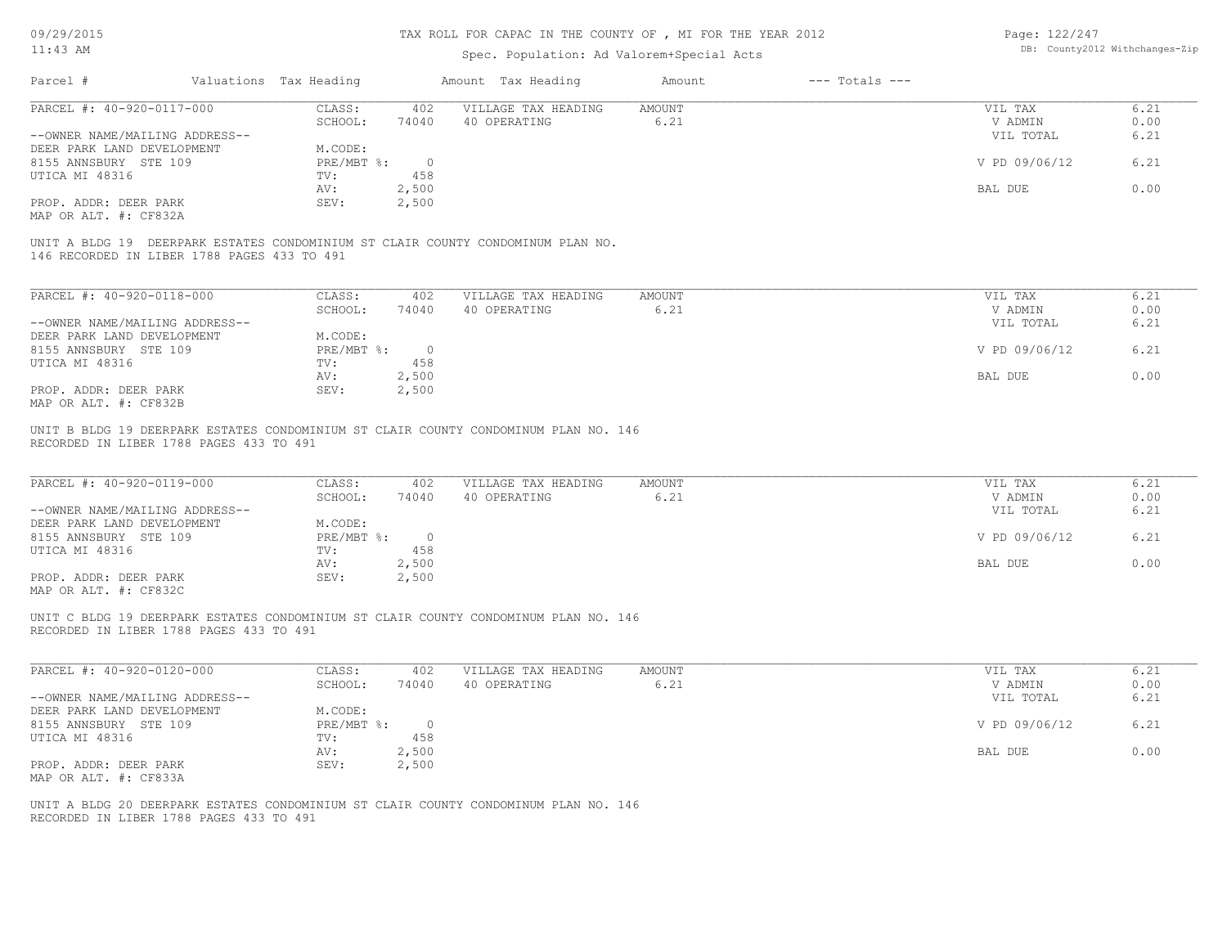| 09/29/2015                                                   |                                             |                        |              | TAX ROLL FOR CAPAC IN THE COUNTY OF , MI FOR THE YEAR 2012                          |                       |                    | Page: 122/247      |                                |
|--------------------------------------------------------------|---------------------------------------------|------------------------|--------------|-------------------------------------------------------------------------------------|-----------------------|--------------------|--------------------|--------------------------------|
| $11:43$ AM                                                   |                                             |                        |              | Spec. Population: Ad Valorem+Special Acts                                           |                       |                    |                    | DB: County2012 Withchanges-Zip |
| Parcel #                                                     |                                             | Valuations Tax Heading |              | Amount Tax Heading                                                                  | Amount                | $---$ Totals $---$ |                    |                                |
| PARCEL #: 40-920-0117-000                                    |                                             | CLASS:                 | 402          | VILLAGE TAX HEADING                                                                 | AMOUNT                |                    | VIL TAX            | 6.21                           |
|                                                              |                                             | SCHOOL:                | 74040        | 40 OPERATING                                                                        | 6.21                  |                    | V ADMIN            | 0.00                           |
| --OWNER NAME/MAILING ADDRESS--                               |                                             |                        |              |                                                                                     |                       |                    | VIL TOTAL          | 6.21                           |
| DEER PARK LAND DEVELOPMENT                                   |                                             | M.CODE:                |              |                                                                                     |                       |                    |                    |                                |
| 8155 ANNSBURY STE 109                                        |                                             | PRE/MBT %:             | $\circ$      |                                                                                     |                       |                    | V PD 09/06/12      | 6.21                           |
| UTICA MI 48316                                               |                                             | TV:                    | 458          |                                                                                     |                       |                    |                    |                                |
|                                                              |                                             | AV:                    | 2,500        |                                                                                     |                       |                    | BAL DUE            | 0.00                           |
| PROP. ADDR: DEER PARK<br>MAP OR ALT. #: CF832A               |                                             | SEV:                   | 2,500        |                                                                                     |                       |                    |                    |                                |
|                                                              | 146 RECORDED IN LIBER 1788 PAGES 433 TO 491 |                        |              | UNIT A BLDG 19 DEERPARK ESTATES CONDOMINIUM ST CLAIR COUNTY CONDOMINUM PLAN NO.     |                       |                    |                    |                                |
| PARCEL #: 40-920-0118-000                                    |                                             | CLASS:                 | 402          | VILLAGE TAX HEADING                                                                 | <b>AMOUNT</b>         |                    | VIL TAX            | 6.21                           |
|                                                              |                                             | SCHOOL:                | 74040        | 40 OPERATING                                                                        | 6.21                  |                    | V ADMIN            | 0.00                           |
| --OWNER NAME/MAILING ADDRESS--                               |                                             |                        |              |                                                                                     |                       |                    | VIL TOTAL          | 6.21                           |
| DEER PARK LAND DEVELOPMENT                                   |                                             | M.CODE:                |              |                                                                                     |                       |                    |                    |                                |
| 8155 ANNSBURY STE 109                                        |                                             | PRE/MBT %:             | $\circ$      |                                                                                     |                       |                    | V PD 09/06/12      | 6.21                           |
| UTICA MI 48316                                               |                                             | TV:                    | 458          |                                                                                     |                       |                    |                    |                                |
|                                                              |                                             | AV:                    | 2,500        |                                                                                     |                       |                    | BAL DUE            | 0.00                           |
| PROP. ADDR: DEER PARK                                        |                                             | SEV:                   | 2,500        |                                                                                     |                       |                    |                    |                                |
| MAP OR ALT. #: CF832B                                        |                                             |                        |              |                                                                                     |                       |                    |                    |                                |
| PARCEL #: 40-920-0119-000                                    |                                             | CLASS:<br>SCHOOL:      | 402<br>74040 | VILLAGE TAX HEADING<br>40 OPERATING                                                 | <b>AMOUNT</b><br>6.21 |                    | VIL TAX<br>V ADMIN | 6.21<br>0.00                   |
| --OWNER NAME/MAILING ADDRESS--<br>DEER PARK LAND DEVELOPMENT |                                             | M.CODE:                |              |                                                                                     |                       |                    | VIL TOTAL          | 6.21                           |
| 8155 ANNSBURY STE 109                                        |                                             | PRE/MBT %:             | $\circ$      |                                                                                     |                       |                    | V PD 09/06/12      | 6.21                           |
| UTICA MI 48316                                               |                                             | TV:                    | 458          |                                                                                     |                       |                    |                    |                                |
|                                                              |                                             | AV:                    | 2,500        |                                                                                     |                       |                    | BAL DUE            | 0.00                           |
| PROP. ADDR: DEER PARK                                        |                                             | SEV:                   | 2,500        |                                                                                     |                       |                    |                    |                                |
| MAP OR ALT. #: CF832C                                        |                                             |                        |              |                                                                                     |                       |                    |                    |                                |
|                                                              | RECORDED IN LIBER 1788 PAGES 433 TO 491     |                        |              | UNIT C BLDG 19 DEERPARK ESTATES CONDOMINIUM ST CLAIR COUNTY CONDOMINUM PLAN NO. 146 |                       |                    |                    |                                |
| PARCEL #: 40-920-0120-000                                    |                                             | CLASS:<br>SCHOOL:      | 402<br>74040 | VILLAGE TAX HEADING<br>40 OPERATING                                                 | <b>AMOUNT</b><br>6.21 |                    | VIL TAX<br>V ADMIN | 6.21<br>0.00                   |
| --OWNER NAME/MAILING ADDRESS--                               |                                             |                        |              |                                                                                     |                       |                    | VIL TOTAL          | 6.21                           |
| DEER PARK LAND DEVELOPMENT                                   |                                             | M.CODE:                |              |                                                                                     |                       |                    |                    |                                |
| 8155 ANNSBURY STE 109                                        |                                             | PRE/MBT %:             | $\circ$      |                                                                                     |                       |                    | V PD 09/06/12      | 6.21                           |
| UTICA MI 48316                                               |                                             | TV:                    | 458          |                                                                                     |                       |                    |                    |                                |
|                                                              |                                             | AV:                    | 2,500        |                                                                                     |                       |                    | BAL DUE            | 0.00                           |
| PROP. ADDR: DEER PARK                                        |                                             | SEV:                   | 2,500        |                                                                                     |                       |                    |                    |                                |
| MAP OR ALT. #: CF833A                                        |                                             |                        |              |                                                                                     |                       |                    |                    |                                |
|                                                              | RECORDED IN LIBER 1788 PAGES 433 TO 491     |                        |              | UNIT A BLDG 20 DEERPARK ESTATES CONDOMINIUM ST CLAIR COUNTY CONDOMINUM PLAN NO. 146 |                       |                    |                    |                                |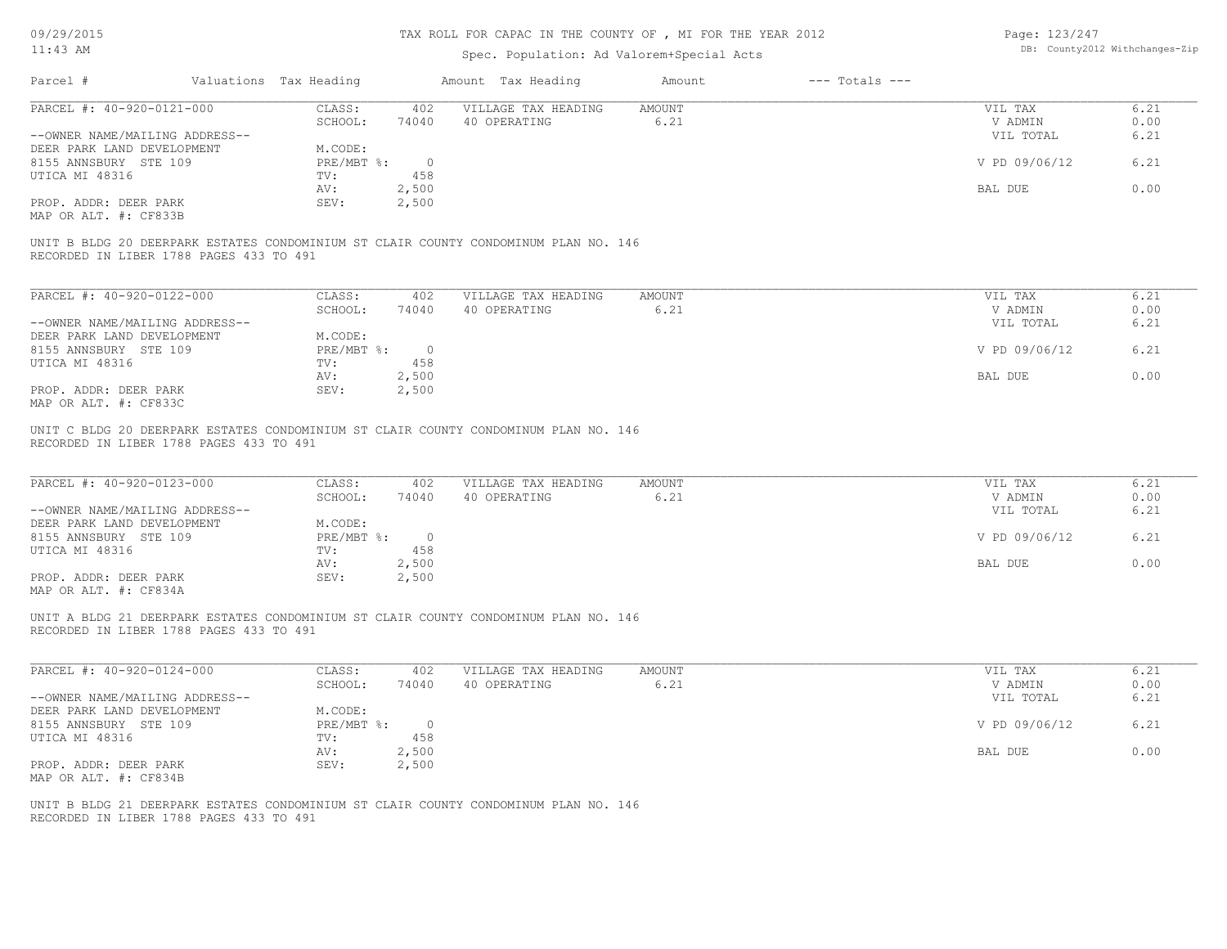| 09/29/2015                                                                                                                     |                                              | TAX ROLL FOR CAPAC IN THE COUNTY OF , MI FOR THE YEAR 2012 |                       |                    | Page: 123/247      |                                |
|--------------------------------------------------------------------------------------------------------------------------------|----------------------------------------------|------------------------------------------------------------|-----------------------|--------------------|--------------------|--------------------------------|
| $11:43$ AM                                                                                                                     |                                              | Spec. Population: Ad Valorem+Special Acts                  |                       |                    |                    | DB: County2012 Withchanges-Zip |
| Parcel #                                                                                                                       | Valuations Tax Heading                       | Amount Tax Heading                                         | Amount                | $---$ Totals $---$ |                    |                                |
| PARCEL #: 40-920-0121-000                                                                                                      | CLASS:<br>402                                | VILLAGE TAX HEADING                                        | AMOUNT                |                    | VIL TAX            | 6.21                           |
|                                                                                                                                | SCHOOL:<br>74040                             | 40 OPERATING                                               | 6.21                  |                    | V ADMIN            | 0.00                           |
| --OWNER NAME/MAILING ADDRESS--                                                                                                 |                                              |                                                            |                       |                    | VIL TOTAL          | 6.21                           |
| DEER PARK LAND DEVELOPMENT                                                                                                     | M.CODE:                                      |                                                            |                       |                    |                    |                                |
| 8155 ANNSBURY STE 109                                                                                                          | $PRE/MBT$ $\div$<br>$\overline{0}$           |                                                            |                       |                    | V PD 09/06/12      | 6.21                           |
| UTICA MI 48316                                                                                                                 | 458<br>TV:                                   |                                                            |                       |                    |                    |                                |
|                                                                                                                                | 2,500<br>AV:                                 |                                                            |                       |                    | BAL DUE            | 0.00                           |
| PROP. ADDR: DEER PARK<br>MAP OR ALT. #: CF833B                                                                                 | SEV:<br>2,500                                |                                                            |                       |                    |                    |                                |
| UNIT B BLDG 20 DEERPARK ESTATES CONDOMINIUM ST CLAIR COUNTY CONDOMINUM PLAN NO. 146<br>RECORDED IN LIBER 1788 PAGES 433 TO 491 |                                              |                                                            |                       |                    |                    |                                |
|                                                                                                                                |                                              |                                                            |                       |                    |                    |                                |
| PARCEL #: 40-920-0122-000                                                                                                      | CLASS:<br>402                                | VILLAGE TAX HEADING                                        | AMOUNT                |                    | VIL TAX            | 6.21                           |
|                                                                                                                                | SCHOOL:<br>74040                             | 40 OPERATING                                               | 6.21                  |                    | V ADMIN            | 0.00                           |
| --OWNER NAME/MAILING ADDRESS--                                                                                                 |                                              |                                                            |                       |                    | VIL TOTAL          | 6.21                           |
| DEER PARK LAND DEVELOPMENT                                                                                                     | M.CODE:                                      |                                                            |                       |                    |                    |                                |
| 8155 ANNSBURY STE 109                                                                                                          | $PRE/MBT$ $\div$<br>$\overline{\phantom{0}}$ |                                                            |                       |                    | V PD 09/06/12      | 6.21                           |
| UTICA MI 48316                                                                                                                 | 458<br>TV:                                   |                                                            |                       |                    |                    |                                |
|                                                                                                                                | 2,500<br>AV:                                 |                                                            |                       |                    | BAL DUE            | 0.00                           |
| PROP. ADDR: DEER PARK                                                                                                          | 2,500<br>SEV:                                |                                                            |                       |                    |                    |                                |
| MAP OR ALT. #: CF833C                                                                                                          |                                              |                                                            |                       |                    |                    |                                |
| PARCEL #: 40-920-0123-000                                                                                                      | CLASS:<br>402<br>SCHOOL:<br>74040            | VILLAGE TAX HEADING<br>40 OPERATING                        | <b>AMOUNT</b><br>6.21 |                    | VIL TAX<br>V ADMIN | 6.21<br>0.00                   |
| --OWNER NAME/MAILING ADDRESS--                                                                                                 |                                              |                                                            |                       |                    | VIL TOTAL          | 6.21                           |
| DEER PARK LAND DEVELOPMENT                                                                                                     | M.CODE:                                      |                                                            |                       |                    |                    |                                |
| 8155 ANNSBURY STE 109                                                                                                          | PRE/MBT %:<br>$\overline{0}$                 |                                                            |                       |                    | V PD 09/06/12      | 6.21                           |
| UTICA MI 48316                                                                                                                 | TV:<br>458                                   |                                                            |                       |                    |                    |                                |
|                                                                                                                                | 2,500<br>AV:                                 |                                                            |                       |                    | BAL DUE            | 0.00                           |
| PROP. ADDR: DEER PARK                                                                                                          | SEV:<br>2,500                                |                                                            |                       |                    |                    |                                |
| MAP OR ALT. #: CF834A                                                                                                          |                                              |                                                            |                       |                    |                    |                                |
| UNIT A BLDG 21 DEERPARK ESTATES CONDOMINIUM ST CLAIR COUNTY CONDOMINUM PLAN NO. 146<br>RECORDED IN LIBER 1788 PAGES 433 TO 491 |                                              |                                                            |                       |                    |                    |                                |
| PARCEL #: 40-920-0124-000                                                                                                      | CLASS:<br>402                                | VILLAGE TAX HEADING                                        | AMOUNT                |                    | VIL TAX            | 6.21                           |
|                                                                                                                                | SCHOOL:<br>74040                             | 40 OPERATING                                               | 6.21                  |                    | V ADMIN            | 0.00                           |
| --OWNER NAME/MAILING ADDRESS--                                                                                                 |                                              |                                                            |                       |                    | VIL TOTAL          | 6.21                           |
| DEER PARK LAND DEVELOPMENT                                                                                                     | M.CODE:                                      |                                                            |                       |                    |                    |                                |
| 8155 ANNSBURY STE 109                                                                                                          | PRE/MBT %: 0                                 |                                                            |                       |                    | V PD 09/06/12      | 6.21                           |
| UTICA MI 48316                                                                                                                 | 458<br>TV:                                   |                                                            |                       |                    |                    |                                |
|                                                                                                                                | 2,500<br>AV:                                 |                                                            |                       |                    | BAL DUE            | 0.00                           |
| PROP. ADDR: DEER PARK                                                                                                          | SEV:<br>2,500                                |                                                            |                       |                    |                    |                                |
| MAP OR ALT. #: CF834B                                                                                                          |                                              |                                                            |                       |                    |                    |                                |
| UNIT B BLDG 21 DEERPARK ESTATES CONDOMINIUM ST CLAIR COUNTY CONDOMINUM PLAN NO. 146<br>RECORDED IN LIBER 1788 PAGES 433 TO 491 |                                              |                                                            |                       |                    |                    |                                |
|                                                                                                                                |                                              |                                                            |                       |                    |                    |                                |
|                                                                                                                                |                                              |                                                            |                       |                    |                    |                                |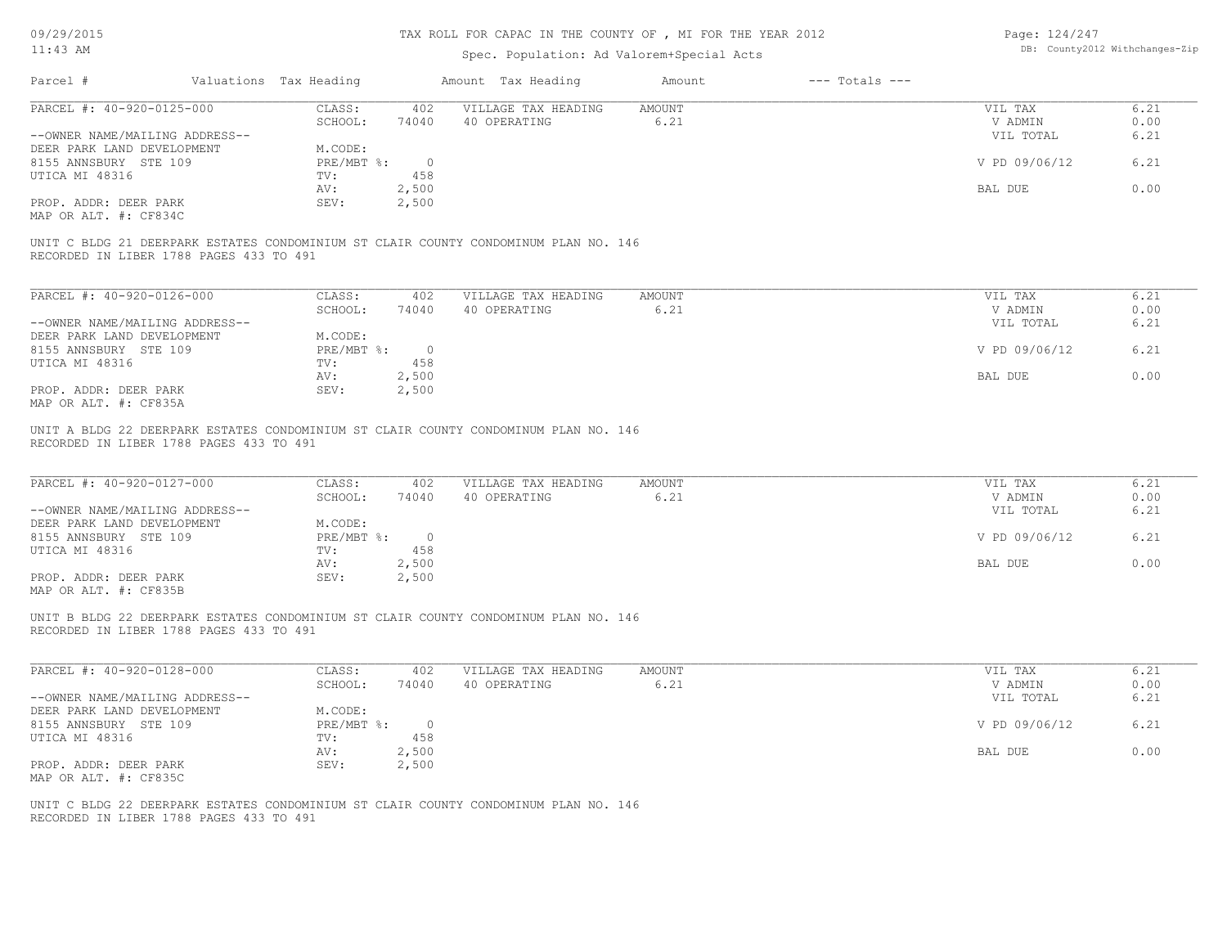| 09/29/2015                                                                                                                     |                        |                | TAX ROLL FOR CAPAC IN THE COUNTY OF , MI FOR THE YEAR 2012 |               |                    | Page: 124/247  |                                |
|--------------------------------------------------------------------------------------------------------------------------------|------------------------|----------------|------------------------------------------------------------|---------------|--------------------|----------------|--------------------------------|
| $11:43$ AM                                                                                                                     |                        |                | Spec. Population: Ad Valorem+Special Acts                  |               |                    |                | DB: County2012 Withchanges-Zip |
| Parcel #                                                                                                                       | Valuations Tax Heading |                | Amount Tax Heading                                         | Amount        | $---$ Totals $---$ |                |                                |
| PARCEL #: 40-920-0125-000                                                                                                      | CLASS:                 | 402            | VILLAGE TAX HEADING                                        | <b>AMOUNT</b> |                    | VIL TAX        | 6.21                           |
|                                                                                                                                | SCHOOL:                | 74040          | 40 OPERATING                                               | 6.21          |                    | V ADMIN        | 0.00                           |
| --OWNER NAME/MAILING ADDRESS--                                                                                                 |                        |                |                                                            |               |                    | VIL TOTAL      | 6.21                           |
| DEER PARK LAND DEVELOPMENT                                                                                                     | M.CODE:                |                |                                                            |               |                    |                |                                |
| 8155 ANNSBURY STE 109                                                                                                          | PRE/MBT %:             | $\overline{0}$ |                                                            |               |                    | V PD 09/06/12  | 6.21                           |
| UTICA MI 48316                                                                                                                 | TV:                    | 458            |                                                            |               |                    |                |                                |
| PROP. ADDR: DEER PARK                                                                                                          | AV:<br>SEV:            | 2,500<br>2,500 |                                                            |               |                    | BAL DUE        | 0.00                           |
| MAP OR ALT. #: CF834C                                                                                                          |                        |                |                                                            |               |                    |                |                                |
|                                                                                                                                |                        |                |                                                            |               |                    |                |                                |
| UNIT C BLDG 21 DEERPARK ESTATES CONDOMINIUM ST CLAIR COUNTY CONDOMINUM PLAN NO. 146<br>RECORDED IN LIBER 1788 PAGES 433 TO 491 |                        |                |                                                            |               |                    |                |                                |
| PARCEL #: 40-920-0126-000                                                                                                      | CLASS:                 | 402            | VILLAGE TAX HEADING                                        | AMOUNT        |                    | VIL TAX        | 6.21                           |
|                                                                                                                                | SCHOOL:                | 74040          | 40 OPERATING                                               | 6.21          |                    | V ADMIN        | 0.00                           |
| --OWNER NAME/MAILING ADDRESS--                                                                                                 |                        |                |                                                            |               |                    | VIL TOTAL      | 6.21                           |
| DEER PARK LAND DEVELOPMENT                                                                                                     | M.CODE:                |                |                                                            |               |                    |                |                                |
| 8155 ANNSBURY STE 109                                                                                                          | $PRE/MBT$ $\div$       | $\circ$        |                                                            |               |                    | V PD 09/06/12  | 6.21                           |
| UTICA MI 48316                                                                                                                 | TV:                    | 458            |                                                            |               |                    |                |                                |
|                                                                                                                                | AV:                    | 2,500          |                                                            |               |                    | <b>BAL DUE</b> | 0.00                           |
| PROP. ADDR: DEER PARK<br>MAP OR ALT. #: CF835A                                                                                 | SEV:                   | 2,500          |                                                            |               |                    |                |                                |
| PARCEL #: 40-920-0127-000                                                                                                      | CLASS:                 | 402            | VILLAGE TAX HEADING                                        | <b>AMOUNT</b> |                    | VIL TAX        | 6.21                           |
|                                                                                                                                | SCHOOL:                | 74040          | 40 OPERATING                                               | 6.21          |                    | V ADMIN        | 0.00                           |
| --OWNER NAME/MAILING ADDRESS--<br>DEER PARK LAND DEVELOPMENT                                                                   | M.CODE:                |                |                                                            |               |                    | VIL TOTAL      | 6.21                           |
| 8155 ANNSBURY STE 109                                                                                                          | PRE/MBT %:             | $\overline{0}$ |                                                            |               |                    | V PD 09/06/12  | 6.21                           |
| UTICA MI 48316                                                                                                                 | TV:                    | 458            |                                                            |               |                    |                |                                |
|                                                                                                                                | AV:                    | 2,500          |                                                            |               |                    | BAL DUE        | 0.00                           |
| PROP. ADDR: DEER PARK<br>MAP OR ALT. #: CF835B                                                                                 | SEV:                   | 2,500          |                                                            |               |                    |                |                                |
| UNIT B BLDG 22 DEERPARK ESTATES CONDOMINIUM ST CLAIR COUNTY CONDOMINUM PLAN NO. 146<br>RECORDED IN LIBER 1788 PAGES 433 TO 491 |                        |                |                                                            |               |                    |                |                                |
| PARCEL #: 40-920-0128-000                                                                                                      | CLASS:                 | 402            | VILLAGE TAX HEADING                                        | <b>AMOUNT</b> |                    | VIL TAX        | 6.21                           |
|                                                                                                                                | SCHOOL:                | 74040          | 40 OPERATING                                               | 6.21          |                    | V ADMIN        | 0.00                           |
| --OWNER NAME/MAILING ADDRESS--                                                                                                 |                        |                |                                                            |               |                    | VIL TOTAL      | 6.21                           |
| DEER PARK LAND DEVELOPMENT                                                                                                     | M.CODE:                |                |                                                            |               |                    |                |                                |
| 8155 ANNSBURY STE 109                                                                                                          | PRE/MBT %:             | $\overline{0}$ |                                                            |               |                    | V PD 09/06/12  | 6.21                           |
| UTICA MI 48316                                                                                                                 | TV:                    | 458            |                                                            |               |                    |                |                                |
|                                                                                                                                | AV:                    | 2,500          |                                                            |               |                    | BAL DUE        | 0.00                           |
| PROP. ADDR: DEER PARK<br>MAP OR ALT. #: CF835C                                                                                 | SEV:                   | 2,500          |                                                            |               |                    |                |                                |
| UNIT C BLDG 22 DEERPARK ESTATES CONDOMINIUM ST CLAIR COUNTY CONDOMINUM PLAN NO. 146<br>RECORDED IN LIBER 1788 PAGES 433 TO 491 |                        |                |                                                            |               |                    |                |                                |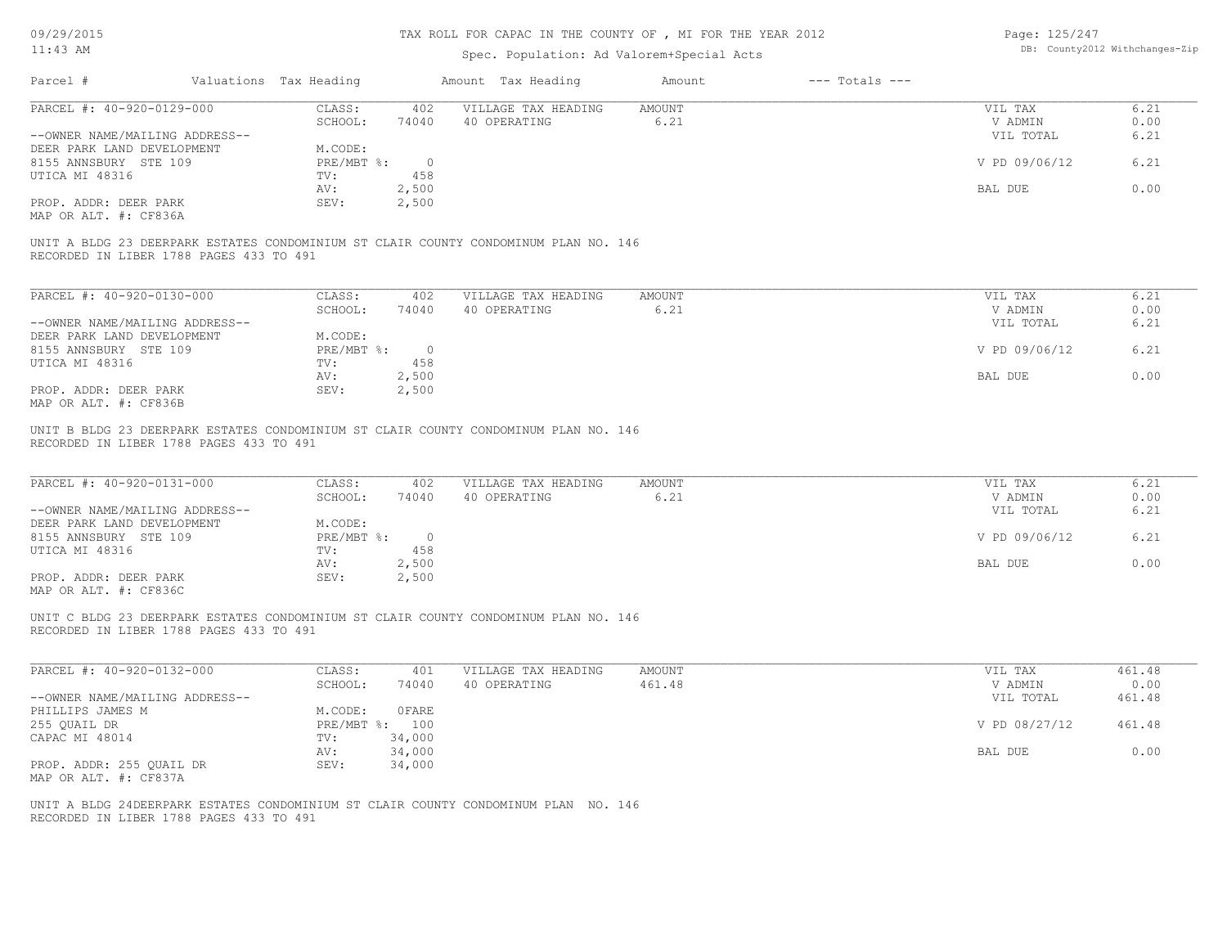| 09/29/2015                              |                        |                | TAX ROLL FOR CAPAC IN THE COUNTY OF, MI FOR THE YEAR 2012                           |                |                    | Page: 125/247      |                                |
|-----------------------------------------|------------------------|----------------|-------------------------------------------------------------------------------------|----------------|--------------------|--------------------|--------------------------------|
| $11:43$ AM                              |                        |                | Spec. Population: Ad Valorem+Special Acts                                           |                |                    |                    | DB: County2012 Withchanges-Zip |
| Parcel #                                | Valuations Tax Heading |                | Amount Tax Heading                                                                  | Amount         | $---$ Totals $---$ |                    |                                |
| PARCEL #: 40-920-0129-000               | CLASS:                 | 402            | VILLAGE TAX HEADING                                                                 | <b>AMOUNT</b>  |                    | VIL TAX            | 6.21                           |
|                                         | SCHOOL:                | 74040          | 40 OPERATING                                                                        | 6.21           |                    | V ADMIN            | 0.00                           |
| --OWNER NAME/MAILING ADDRESS--          |                        |                |                                                                                     |                |                    | VIL TOTAL          | 6.21                           |
| DEER PARK LAND DEVELOPMENT              | M.CODE:                |                |                                                                                     |                |                    |                    |                                |
| 8155 ANNSBURY STE 109                   | PRE/MBT %:             | $\circ$        |                                                                                     |                |                    | V PD 09/06/12      | 6.21                           |
| UTICA MI 48316                          | TV:                    | 458            |                                                                                     |                |                    |                    |                                |
|                                         | AV:                    | 2,500          |                                                                                     |                |                    | BAL DUE            | 0.00                           |
| PROP. ADDR: DEER PARK                   | SEV:                   | 2,500          |                                                                                     |                |                    |                    |                                |
| MAP OR ALT. #: CF836A                   |                        |                |                                                                                     |                |                    |                    |                                |
| RECORDED IN LIBER 1788 PAGES 433 TO 491 |                        |                | UNIT A BLDG 23 DEERPARK ESTATES CONDOMINIUM ST CLAIR COUNTY CONDOMINUM PLAN NO. 146 |                |                    |                    |                                |
| PARCEL #: 40-920-0130-000               | CLASS:                 | 402            | VILLAGE TAX HEADING                                                                 | <b>AMOUNT</b>  |                    | VIL TAX            | 6.21                           |
|                                         | SCHOOL:                | 74040          | 40 OPERATING                                                                        | 6.21           |                    | V ADMIN            | 0.00                           |
| --OWNER NAME/MAILING ADDRESS--          |                        |                |                                                                                     |                |                    | VIL TOTAL          | 6.21                           |
| DEER PARK LAND DEVELOPMENT              | M.CODE:                |                |                                                                                     |                |                    |                    |                                |
| 8155 ANNSBURY STE 109                   | PRE/MBT %:             | $\overline{0}$ |                                                                                     |                |                    | V PD 09/06/12      | 6.21                           |
| UTICA MI 48316                          | TV:                    | 458            |                                                                                     |                |                    |                    |                                |
|                                         | AV:                    | 2,500          |                                                                                     |                |                    | BAL DUE            | 0.00                           |
| PROP. ADDR: DEER PARK                   | SEV:                   | 2,500          |                                                                                     |                |                    |                    |                                |
| MAP OR ALT. #: CF836B                   |                        |                |                                                                                     |                |                    |                    |                                |
| PARCEL #: 40-920-0131-000               | CLASS:<br>SCHOOL:      | 402<br>74040   | VILLAGE TAX HEADING<br>40 OPERATING                                                 | AMOUNT<br>6.21 |                    | VIL TAX<br>V ADMIN | 6.21<br>0.00                   |
| --OWNER NAME/MAILING ADDRESS--          |                        |                |                                                                                     |                |                    | VIL TOTAL          | 6.21                           |
| DEER PARK LAND DEVELOPMENT              | M.CODE:                |                |                                                                                     |                |                    |                    |                                |
| 8155 ANNSBURY STE 109                   | $PRE/MBT$ $\div$       | $\overline{0}$ |                                                                                     |                |                    | V PD 09/06/12      | 6.21                           |
| UTICA MI 48316                          | TV:                    | 458            |                                                                                     |                |                    |                    |                                |
|                                         | AV:                    | 2,500          |                                                                                     |                |                    | BAL DUE            | 0.00                           |
| PROP. ADDR: DEER PARK                   | SEV:                   | 2,500          |                                                                                     |                |                    |                    |                                |
| MAP OR ALT. #: CF836C                   |                        |                |                                                                                     |                |                    |                    |                                |
| RECORDED IN LIBER 1788 PAGES 433 TO 491 |                        |                | UNIT C BLDG 23 DEERPARK ESTATES CONDOMINIUM ST CLAIR COUNTY CONDOMINUM PLAN NO. 146 |                |                    |                    |                                |
| PARCEL #: 40-920-0132-000               | CLASS:                 | 401            | VILLAGE TAX HEADING                                                                 | AMOUNT         |                    | VIL TAX            | 461.48                         |
|                                         | SCHOOL:                | 74040          | 40 OPERATING                                                                        | 461.48         |                    | V ADMIN            | 0.00                           |
| --OWNER NAME/MAILING ADDRESS--          |                        |                |                                                                                     |                |                    | VIL TOTAL          | 461.48                         |
| PHILLIPS JAMES M                        | M.CODE:                | 0 FARE         |                                                                                     |                |                    |                    |                                |
| 255 QUAIL DR                            | PRE/MBT %: 100         |                |                                                                                     |                |                    | V PD 08/27/12      | 461.48                         |
| CAPAC MI 48014                          | TV:                    | 34,000         |                                                                                     |                |                    |                    |                                |
|                                         | AV:                    | 34,000         |                                                                                     |                |                    | BAL DUE            | 0.00                           |
| PROP. ADDR: 255 QUAIL DR                | SEV:                   | 34,000         |                                                                                     |                |                    |                    |                                |
| MAP OR ALT. #: CF837A                   |                        |                |                                                                                     |                |                    |                    |                                |
|                                         |                        |                |                                                                                     |                |                    |                    |                                |
|                                         |                        |                | UNIT A BLDG 24DEERPARK ESTATES CONDOMINIUM ST CLAIR COUNTY CONDOMINUM PLAN NO. 146  |                |                    |                    |                                |
| RECORDED IN LIBER 1788 PAGES 433 TO 491 |                        |                |                                                                                     |                |                    |                    |                                |
|                                         |                        |                |                                                                                     |                |                    |                    |                                |
|                                         |                        |                |                                                                                     |                |                    |                    |                                |
|                                         |                        |                |                                                                                     |                |                    |                    |                                |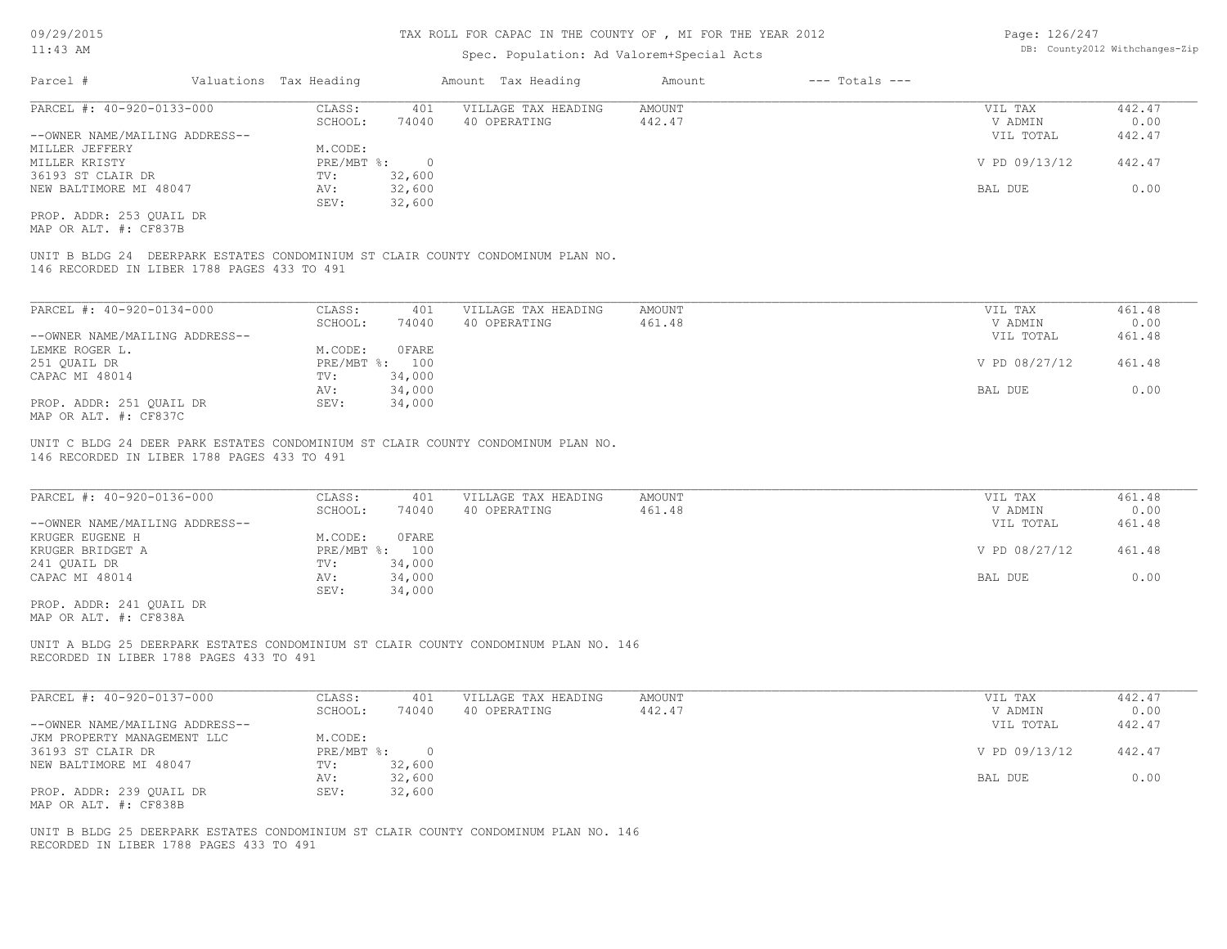#### TAX ROLL FOR CAPAC IN THE COUNTY OF , MI FOR THE YEAR 2012

# Spec. Population: Ad Valorem+Special Acts

Page: 126/247 DB: County2012 Withchanges-Zip

| Parcel #                       | Valuations Tax Heading |        | Amount Tax Heading  | Amount | $---$ Totals $---$ |               |        |
|--------------------------------|------------------------|--------|---------------------|--------|--------------------|---------------|--------|
| PARCEL #: 40-920-0133-000      | CLASS:                 | 401    | VILLAGE TAX HEADING | AMOUNT |                    | VIL TAX       | 442.47 |
|                                | SCHOOL:                | 74040  | 40 OPERATING        | 442.47 |                    | V ADMIN       | 0.00   |
| --OWNER NAME/MAILING ADDRESS-- |                        |        |                     |        |                    | VIL TOTAL     | 442.47 |
| MILLER JEFFERY                 | M.CODE:                |        |                     |        |                    |               |        |
| MILLER KRISTY                  | PRE/MBT %:             |        |                     |        |                    | V PD 09/13/12 | 442.47 |
| 36193 ST CLAIR DR              | TV:                    | 32,600 |                     |        |                    |               |        |
| NEW BALTIMORE MI 48047         | AV:                    | 32,600 |                     |        |                    | BAL DUE       | 0.00   |
|                                | SEV:                   | 32,600 |                     |        |                    |               |        |
| PROP. ADDR: 253 OUAIL DR       |                        |        |                     |        |                    |               |        |

MAP OR ALT. #: CF837B

146 RECORDED IN LIBER 1788 PAGES 433 TO 491 UNIT B BLDG 24 DEERPARK ESTATES CONDOMINIUM ST CLAIR COUNTY CONDOMINUM PLAN NO.

| PARCEL #: 40-920-0134-000      | CLASS:  | 401            | VILLAGE TAX HEADING | AMOUNT | VIL TAX       | 461.48 |
|--------------------------------|---------|----------------|---------------------|--------|---------------|--------|
|                                | SCHOOL: | 74040          | 40 OPERATING        | 461.48 | V ADMIN       | 0.00   |
| --OWNER NAME/MAILING ADDRESS-- |         |                |                     |        | VIL TOTAL     | 461.48 |
| LEMKE ROGER L.                 | M.CODE: | OFARE          |                     |        |               |        |
| 251 OUAIL DR                   |         | PRE/MBT %: 100 |                     |        | V PD 08/27/12 | 461.48 |
| CAPAC MI 48014                 | TV:     | 34,000         |                     |        |               |        |
|                                | AV:     | 34,000         |                     |        | BAL DUE       | 0.00   |
| PROP. ADDR: 251 OUAIL DR       | SEV:    | 34,000         |                     |        |               |        |
| MAP OR ALT. #: CF837C          |         |                |                     |        |               |        |

146 RECORDED IN LIBER 1788 PAGES 433 TO 491 UNIT C BLDG 24 DEER PARK ESTATES CONDOMINIUM ST CLAIR COUNTY CONDOMINUM PLAN NO.

| PARCEL #: 40-920-0136-000      | CLASS:  | 401            | VILLAGE TAX HEADING | AMOUNT | VIL TAX       | 461.48 |
|--------------------------------|---------|----------------|---------------------|--------|---------------|--------|
|                                | SCHOOL: | 74040          | 40 OPERATING        | 461.48 | V ADMIN       | 0.00   |
| --OWNER NAME/MAILING ADDRESS-- |         |                |                     |        | VIL TOTAL     | 461.48 |
| KRUGER EUGENE H                | M.CODE: | OFARE          |                     |        |               |        |
| KRUGER BRIDGET A               |         | PRE/MBT %: 100 |                     |        | V PD 08/27/12 | 461.48 |
| 241 QUAIL DR                   | TV:     | 34,000         |                     |        |               |        |
| CAPAC MI 48014                 | AV:     | 34,000         |                     |        | BAL DUE       | 0.00   |
|                                | SEV:    | 34,000         |                     |        |               |        |
| PROP. ADDR: 241 OUAIL DR       |         |                |                     |        |               |        |

MAP OR ALT. #: CF838A

RECORDED IN LIBER 1788 PAGES 433 TO 491 UNIT A BLDG 25 DEERPARK ESTATES CONDOMINIUM ST CLAIR COUNTY CONDOMINUM PLAN NO. 146

| PARCEL #: 40-920-0137-000      | CLASS:       | 401    | VILLAGE TAX HEADING | AMOUNT | VIL TAX       | 442.47 |
|--------------------------------|--------------|--------|---------------------|--------|---------------|--------|
|                                | SCHOOL:      | 74040  | 40 OPERATING        | 442.47 | V ADMIN       | 0.00   |
| --OWNER NAME/MAILING ADDRESS-- |              |        |                     |        | VIL TOTAL     | 442.47 |
| JKM PROPERTY MANAGEMENT LLC    | M.CODE:      |        |                     |        |               |        |
| 36193 ST CLAIR DR              | $PRE/MBT$ %: |        |                     |        | V PD 09/13/12 | 442.47 |
| NEW BALTIMORE MI 48047         | TV:          | 32,600 |                     |        |               |        |
|                                | AV:          | 32,600 |                     |        | BAL DUE       | 0.00   |
| PROP. ADDR: 239 QUAIL DR       | SEV:         | 32,600 |                     |        |               |        |
| MAP OR ALT. #: CF838B          |              |        |                     |        |               |        |

RECORDED IN LIBER 1788 PAGES 433 TO 491 UNIT B BLDG 25 DEERPARK ESTATES CONDOMINIUM ST CLAIR COUNTY CONDOMINUM PLAN NO. 146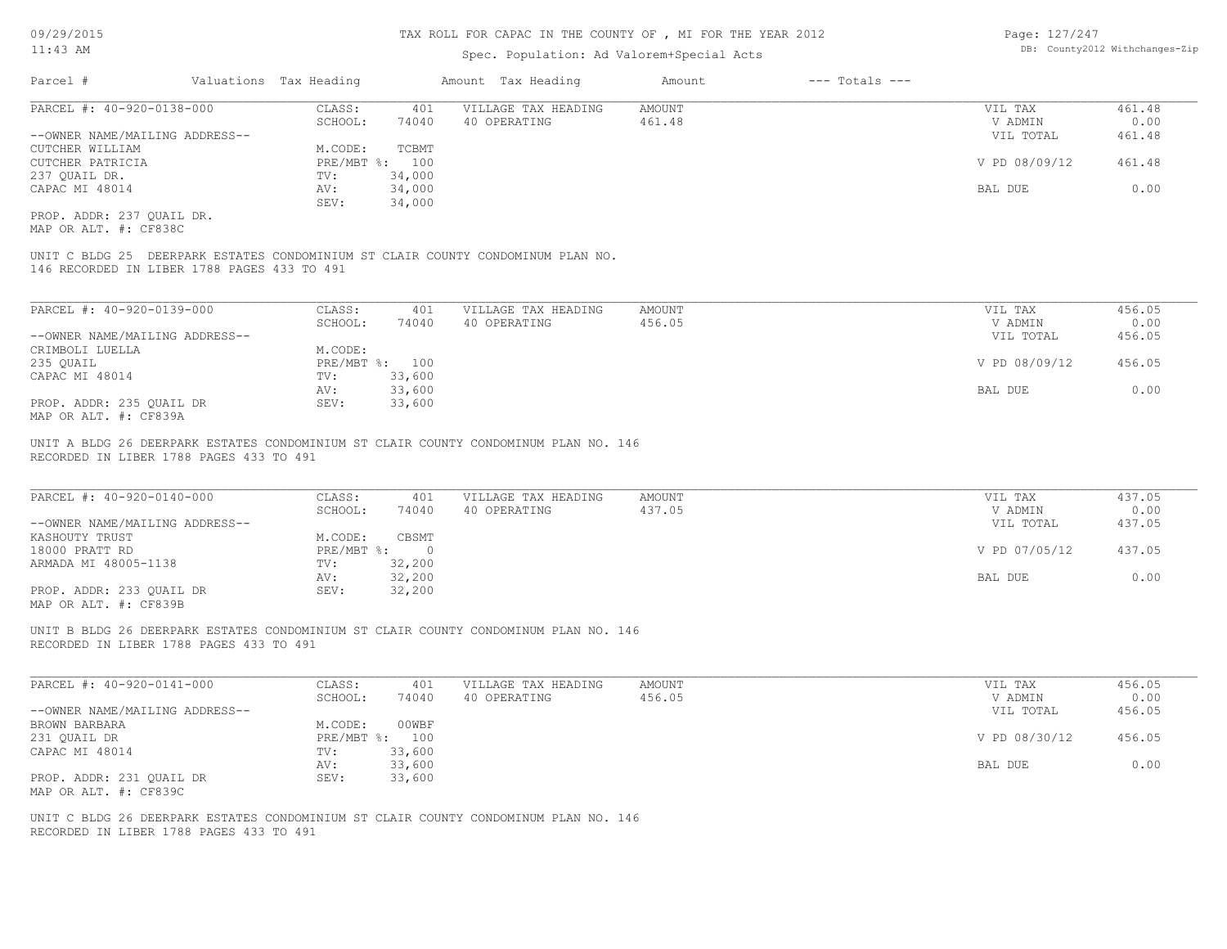# Spec. Population: Ad Valorem+Special Acts

| Page: 127/247 |                                |
|---------------|--------------------------------|
|               | DB: County2012 Withchanges-Zip |

| Parcel #                       | Valuations Tax Heading |        | Amount Tax Heading  | Amount | $---$ Totals $---$ |               |        |
|--------------------------------|------------------------|--------|---------------------|--------|--------------------|---------------|--------|
| PARCEL #: 40-920-0138-000      | CLASS:                 | 401    | VILLAGE TAX HEADING | AMOUNT |                    | VIL TAX       | 461.48 |
|                                | SCHOOL:                | 74040  | 40 OPERATING        | 461.48 |                    | V ADMIN       | 0.00   |
| --OWNER NAME/MAILING ADDRESS-- |                        |        |                     |        |                    | VIL TOTAL     | 461.48 |
| CUTCHER WILLIAM                | M.CODE:                | TCBMT  |                     |        |                    |               |        |
| CUTCHER PATRICIA               | PRE/MBT %: 100         |        |                     |        |                    | V PD 08/09/12 | 461.48 |
| 237 QUAIL DR.                  | TV:                    | 34,000 |                     |        |                    |               |        |
| CAPAC MI 48014                 | AV:                    | 34,000 |                     |        |                    | BAL DUE       | 0.00   |
|                                | SEV:                   | 34,000 |                     |        |                    |               |        |
| PROP. ADDR: 237 OUAIL DR.      |                        |        |                     |        |                    |               |        |

MAP OR ALT. #: CF838C

146 RECORDED IN LIBER 1788 PAGES 433 TO 491 UNIT C BLDG 25 DEERPARK ESTATES CONDOMINIUM ST CLAIR COUNTY CONDOMINUM PLAN NO.

| PARCEL #: 40-920-0139-000      | CLASS:  | 401            | VILLAGE TAX HEADING | AMOUNT | VIL TAX       | 456.05 |
|--------------------------------|---------|----------------|---------------------|--------|---------------|--------|
|                                | SCHOOL: | 74040          | 40 OPERATING        | 456.05 | V ADMIN       | 0.00   |
| --OWNER NAME/MAILING ADDRESS-- |         |                |                     |        | VIL TOTAL     | 456.05 |
| CRIMBOLI LUELLA                | M.CODE: |                |                     |        |               |        |
| 235 QUAIL                      |         | PRE/MBT %: 100 |                     |        | V PD 08/09/12 | 456.05 |
| CAPAC MI 48014                 | TV:     | 33,600         |                     |        |               |        |
|                                | AV:     | 33,600         |                     |        | BAL DUE       | 0.00   |
| PROP. ADDR: 235 OUAIL DR       | SEV:    | 33,600         |                     |        |               |        |
| MAP OR ALT. #: CF839A          |         |                |                     |        |               |        |

RECORDED IN LIBER 1788 PAGES 433 TO 491 UNIT A BLDG 26 DEERPARK ESTATES CONDOMINIUM ST CLAIR COUNTY CONDOMINUM PLAN NO. 146

| PARCEL #: 40-920-0140-000                             | CLASS:       | 401    | VILLAGE TAX HEADING | AMOUNT | VIL TAX       | 437.05 |
|-------------------------------------------------------|--------------|--------|---------------------|--------|---------------|--------|
|                                                       | SCHOOL:      | 74040  | 40 OPERATING        | 437.05 | V ADMIN       | 0.00   |
| --OWNER NAME/MAILING ADDRESS--                        |              |        |                     |        | VIL TOTAL     | 437.05 |
| KASHOUTY TRUST                                        | M.CODE:      | CBSMT  |                     |        |               |        |
| 18000 PRATT RD                                        | $PRE/MBT$ %: | $\Box$ |                     |        | V PD 07/05/12 | 437.05 |
| ARMADA MI 48005-1138                                  | TV:          | 32,200 |                     |        |               |        |
|                                                       | AV:          | 32,200 |                     |        | BAL DUE       | 0.00   |
| PROP. ADDR: 233 OUAIL DR                              | SEV:         | 32,200 |                     |        |               |        |
| $\cdots$ $\cdots$ $\cdots$ $\cdots$ $\cdots$ $\cdots$ |              |        |                     |        |               |        |

 $\mathcal{L}_\mathcal{L} = \mathcal{L}_\mathcal{L} = \mathcal{L}_\mathcal{L} = \mathcal{L}_\mathcal{L} = \mathcal{L}_\mathcal{L} = \mathcal{L}_\mathcal{L} = \mathcal{L}_\mathcal{L} = \mathcal{L}_\mathcal{L} = \mathcal{L}_\mathcal{L} = \mathcal{L}_\mathcal{L} = \mathcal{L}_\mathcal{L} = \mathcal{L}_\mathcal{L} = \mathcal{L}_\mathcal{L} = \mathcal{L}_\mathcal{L} = \mathcal{L}_\mathcal{L} = \mathcal{L}_\mathcal{L} = \mathcal{L}_\mathcal{L}$ 

MAP OR ALT. #: CF839B

RECORDED IN LIBER 1788 PAGES 433 TO 491 UNIT B BLDG 26 DEERPARK ESTATES CONDOMINIUM ST CLAIR COUNTY CONDOMINUM PLAN NO. 146

| PARCEL #: 40-920-0141-000      | CLASS:  | 401            | VILLAGE TAX HEADING | AMOUNT | VIL TAX       | 456.05 |
|--------------------------------|---------|----------------|---------------------|--------|---------------|--------|
|                                | SCHOOL: | 74040          | 40 OPERATING        | 456.05 | V ADMIN       | 0.00   |
| --OWNER NAME/MAILING ADDRESS-- |         |                |                     |        | VIL TOTAL     | 456.05 |
| BROWN BARBARA                  | M.CODE: | 00WBF          |                     |        |               |        |
| 231 QUAIL DR                   |         | PRE/MBT %: 100 |                     |        | V PD 08/30/12 | 456.05 |
| CAPAC MI 48014                 | TV:     | 33,600         |                     |        |               |        |
|                                | AV:     | 33,600         |                     |        | BAL DUE       | 0.00   |
| PROP. ADDR: 231 OUAIL DR       | SEV:    | 33,600         |                     |        |               |        |
| MAP OR ALT. #: CF839C          |         |                |                     |        |               |        |

RECORDED IN LIBER 1788 PAGES 433 TO 491 UNIT C BLDG 26 DEERPARK ESTATES CONDOMINIUM ST CLAIR COUNTY CONDOMINUM PLAN NO. 146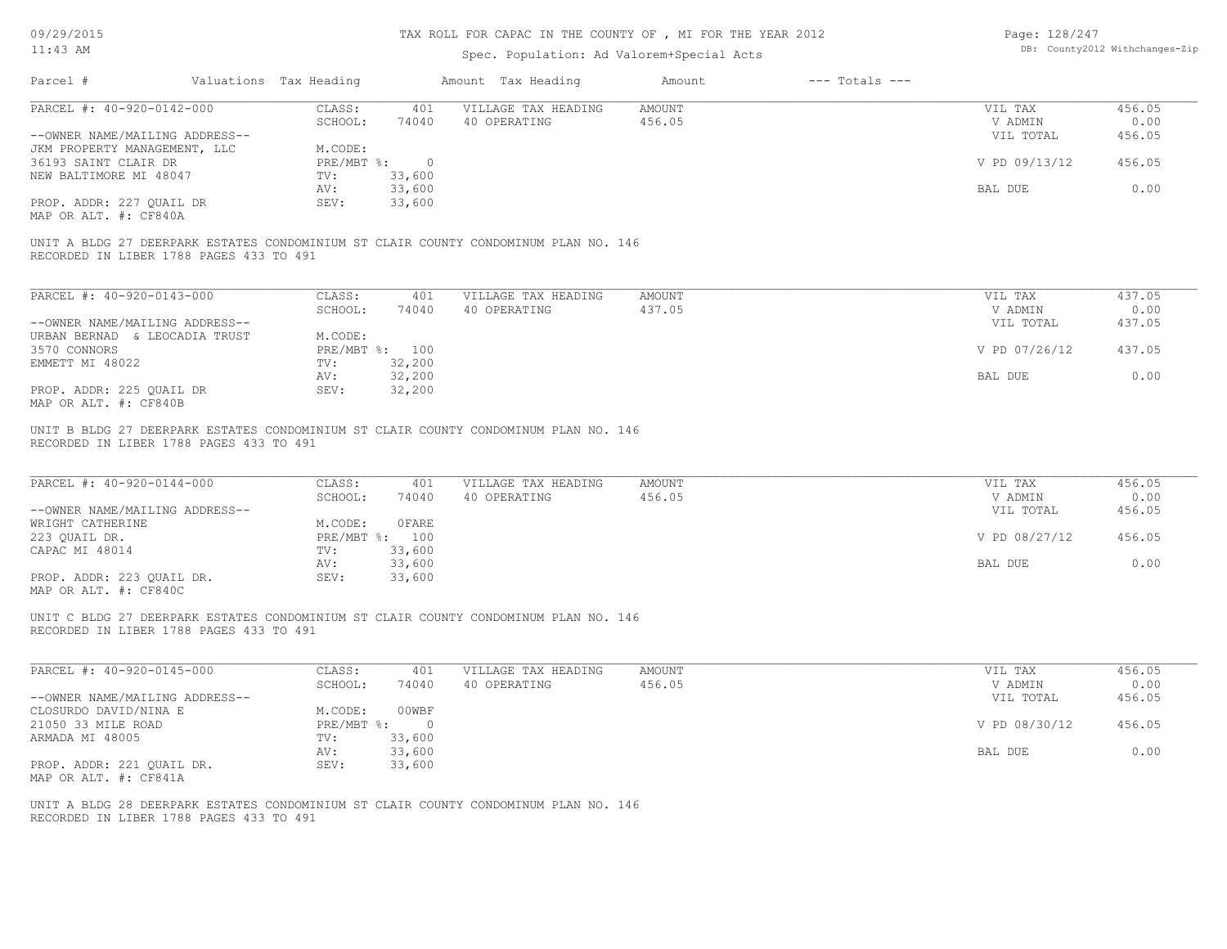09/29/2015

# TAX ROLL FOR CAPAC IN THE COUNTY OF , MI FOR THE YEAR 2012

| Page: 128/247 |                                |
|---------------|--------------------------------|
|               | DB: County2012 Withchanges-Zip |

| 11:43 AM                                                             |                        |                         |                          | Spec. Population: Ad Valorem+Special Acts                                           | DB: County2012 Withchanges-Zip |                    |                      |                |
|----------------------------------------------------------------------|------------------------|-------------------------|--------------------------|-------------------------------------------------------------------------------------|--------------------------------|--------------------|----------------------|----------------|
| Parcel #                                                             | Valuations Tax Heading |                         |                          | Amount Tax Heading                                                                  | Amount                         | $---$ Totals $---$ |                      |                |
| PARCEL #: 40-920-0142-000                                            |                        | CLASS:<br>SCHOOL:       | 401<br>74040             | VILLAGE TAX HEADING<br>40 OPERATING                                                 | <b>AMOUNT</b><br>456.05        |                    | VIL TAX<br>V ADMIN   | 456.05<br>0.00 |
| --OWNER NAME/MAILING ADDRESS--<br>JKM PROPERTY MANAGEMENT, LLC       |                        | M.CODE:                 |                          |                                                                                     |                                |                    | VIL TOTAL            | 456.05         |
| 36193 SAINT CLAIR DR<br>NEW BALTIMORE MI 48047                       |                        | $PRE/MBT$ $\div$<br>TV: | $\overline{0}$<br>33,600 |                                                                                     |                                |                    | V PD 09/13/12        | 456.05         |
| PROP. ADDR: 227 QUAIL DR                                             |                        | AV:<br>SEV:             | 33,600<br>33,600         |                                                                                     |                                |                    | BAL DUE              | 0.00           |
| MAP OR ALT. #: CF840A                                                |                        |                         |                          |                                                                                     |                                |                    |                      |                |
| RECORDED IN LIBER 1788 PAGES 433 TO 491                              |                        |                         |                          | UNIT A BLDG 27 DEERPARK ESTATES CONDOMINIUM ST CLAIR COUNTY CONDOMINUM PLAN NO. 146 |                                |                    |                      |                |
| PARCEL #: 40-920-0143-000                                            |                        | CLASS:                  | 401                      | VILLAGE TAX HEADING                                                                 | <b>AMOUNT</b>                  |                    | VIL TAX              | 437.05         |
| --OWNER NAME/MAILING ADDRESS--                                       |                        | SCHOOL:                 | 74040                    | 40 OPERATING                                                                        | 437.05                         |                    | V ADMIN<br>VIL TOTAL | 0.00<br>437.05 |
| URBAN BERNAD & LEOCADIA TRUST                                        |                        | M.CODE:                 |                          |                                                                                     |                                |                    |                      |                |
| 3570 CONNORS<br>EMMETT MI 48022                                      |                        | TV:                     | PRE/MBT %: 100<br>32,200 |                                                                                     |                                |                    | V PD 07/26/12        | 437.05         |
|                                                                      |                        | AV:                     | 32,200                   |                                                                                     |                                |                    | BAL DUE              | 0.00           |
| PROP. ADDR: 225 QUAIL DR<br>MAP OR ALT. #: CF840B                    |                        | SEV:                    | 32,200                   |                                                                                     |                                |                    |                      |                |
| RECORDED IN LIBER 1788 PAGES 433 TO 491<br>PARCEL #: 40-920-0144-000 |                        | CLASS:                  | 401                      | VILLAGE TAX HEADING                                                                 | <b>AMOUNT</b>                  |                    | VIL TAX              | 456.05         |
|                                                                      |                        | SCHOOL:                 | 74040                    | 40 OPERATING                                                                        | 456.05                         |                    | V ADMIN              | 0.00           |
| --OWNER NAME/MAILING ADDRESS--<br>WRIGHT CATHERINE                   |                        | M.CODE:                 | OFARE                    |                                                                                     |                                |                    | VIL TOTAL            | 456.05         |
| 223 QUAIL DR.                                                        |                        |                         | PRE/MBT %: 100           |                                                                                     |                                |                    | V PD 08/27/12        | 456.05         |
| CAPAC MI 48014                                                       |                        | TV:<br>AV:              | 33,600<br>33,600         |                                                                                     |                                |                    | <b>BAL DUE</b>       | 0.00           |
| PROP. ADDR: 223 QUAIL DR.<br>MAP OR ALT. #: CF840C                   |                        | SEV:                    | 33,600                   |                                                                                     |                                |                    |                      |                |
| RECORDED IN LIBER 1788 PAGES 433 TO 491                              |                        |                         |                          | UNIT C BLDG 27 DEERPARK ESTATES CONDOMINIUM ST CLAIR COUNTY CONDOMINUM PLAN NO. 146 |                                |                    |                      |                |
| PARCEL #: 40-920-0145-000                                            |                        | CLASS:                  | 401                      | VILLAGE TAX HEADING                                                                 | <b>AMOUNT</b>                  |                    | VIL TAX              | 456.05         |
| --OWNER NAME/MAILING ADDRESS--                                       |                        | SCHOOL:                 | 74040                    | 40 OPERATING                                                                        | 456.05                         |                    | V ADMIN<br>VIL TOTAL | 0.00<br>456.05 |
| CLOSURDO DAVID/NINA E                                                |                        | M.CODE:                 | 00WBF                    |                                                                                     |                                |                    |                      |                |
| 21050 33 MILE ROAD<br>ARMADA MI 48005                                |                        | PRE/MBT %:<br>TV:       | $\overline{0}$<br>33,600 |                                                                                     |                                |                    | V PD 08/30/12        | 456.05         |
|                                                                      |                        | AV:                     | 33,600                   |                                                                                     |                                |                    | BAL DUE              | 0.00           |
| PROP. ADDR: 221 QUAIL DR.<br>MAP OR ALT. #: CF841A                   |                        | SEV:                    | 33,600                   |                                                                                     |                                |                    |                      |                |
|                                                                      |                        |                         |                          |                                                                                     |                                |                    |                      |                |
|                                                                      |                        |                         |                          | UNIT A BLDG 28 DEERPARK ESTATES CONDOMINIUM ST CLAIR COUNTY CONDOMINUM PLAN NO. 146 |                                |                    |                      |                |
| RECORDED IN LIBER 1788 PAGES 433 TO 491                              |                        |                         |                          |                                                                                     |                                |                    |                      |                |
|                                                                      |                        |                         |                          |                                                                                     |                                |                    |                      |                |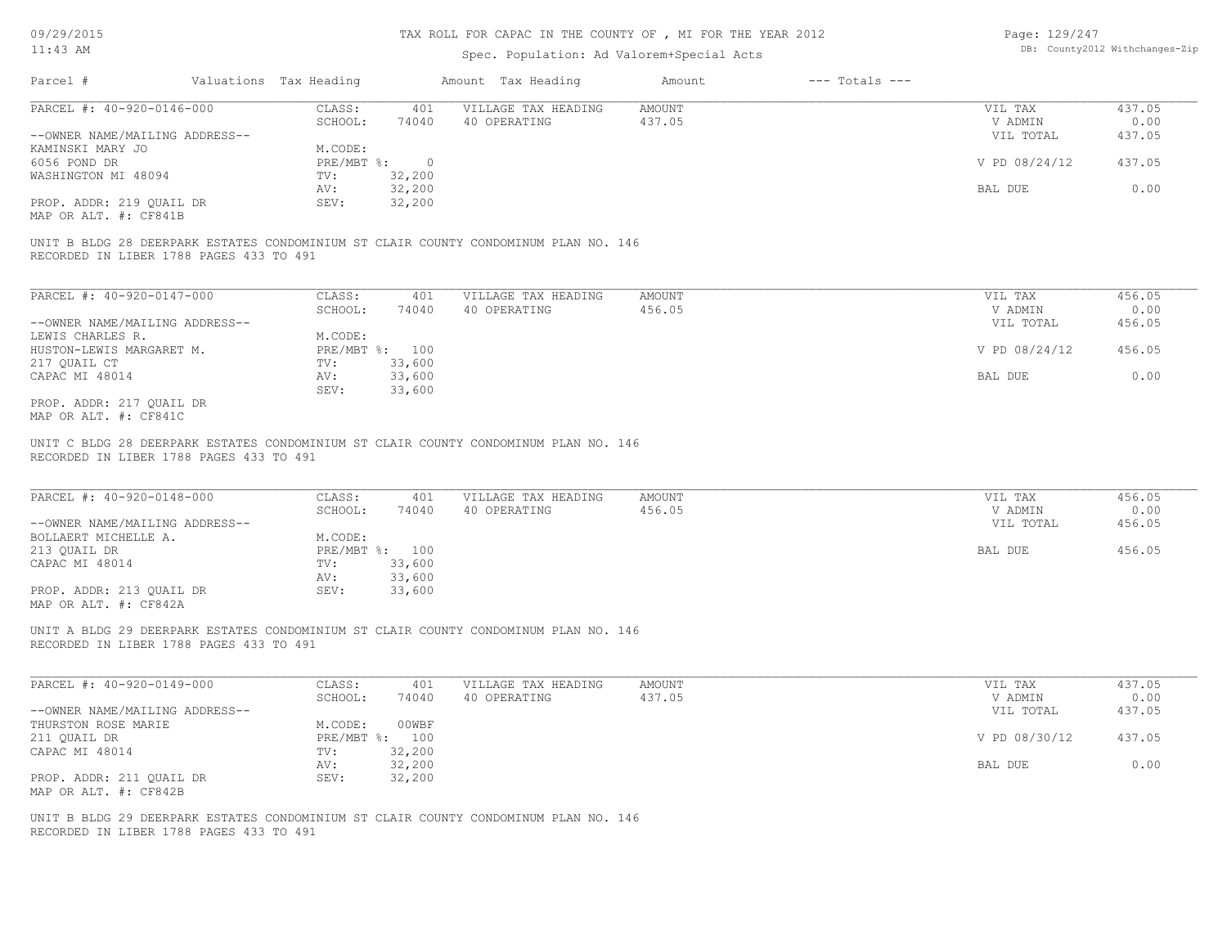#### TAX ROLL FOR CAPAC IN THE COUNTY OF , MI FOR THE YEAR 2012

### Spec. Population: Ad Valorem+Special Acts

| Page: 129/247 |                                |
|---------------|--------------------------------|
|               | DB: County2012 Withchanges-Zip |

| Parcel #                       | Valuations Tax Heading |        | Amount Tax Heading  | Amount | $---$ Totals $---$ |               |        |
|--------------------------------|------------------------|--------|---------------------|--------|--------------------|---------------|--------|
| PARCEL #: 40-920-0146-000      | CLASS:                 | 401    | VILLAGE TAX HEADING | AMOUNT |                    | VIL TAX       | 437.05 |
|                                | SCHOOL:                | 74040  | 40 OPERATING        | 437.05 |                    | V ADMIN       | 0.00   |
| --OWNER NAME/MAILING ADDRESS-- |                        |        |                     |        |                    | VIL TOTAL     | 437.05 |
| KAMINSKI MARY JO               | M.CODE:                |        |                     |        |                    |               |        |
| 6056 POND DR                   | PRE/MBT %:             |        |                     |        |                    | V PD 08/24/12 | 437.05 |
| WASHINGTON MI 48094            | TV:                    | 32,200 |                     |        |                    |               |        |
|                                | AV:                    | 32,200 |                     |        |                    | BAL DUE       | 0.00   |
| PROP. ADDR: 219 OUAIL DR       | SEV:                   | 32,200 |                     |        |                    |               |        |
| $1.135$ $0.5$ $1.75$ $1.75$    |                        |        |                     |        |                    |               |        |

MAP OR ALT. #: CF841B

RECORDED IN LIBER 1788 PAGES 433 TO 491 UNIT B BLDG 28 DEERPARK ESTATES CONDOMINIUM ST CLAIR COUNTY CONDOMINUM PLAN NO. 146

| PARCEL #: 40-920-0147-000      | CLASS:       | 401    | VILLAGE TAX HEADING | AMOUNT | VIL TAX       | 456.05 |
|--------------------------------|--------------|--------|---------------------|--------|---------------|--------|
|                                | SCHOOL:      | 74040  | 40 OPERATING        | 456.05 | V ADMIN       | 0.00   |
| --OWNER NAME/MAILING ADDRESS-- |              |        |                     |        | VIL TOTAL     | 456.05 |
| LEWIS CHARLES R.               | M.CODE:      |        |                     |        |               |        |
| HUSTON-LEWIS MARGARET M.       | $PRE/MBT$ %: | 100    |                     |        | V PD 08/24/12 | 456.05 |
| 217 OUAIL CT                   | TV:          | 33,600 |                     |        |               |        |
| CAPAC MI 48014                 | AV:          | 33,600 |                     |        | BAL DUE       | 0.00   |
|                                | SEV:         | 33,600 |                     |        |               |        |
| PROP. ADDR: 217 OUAIL DR       |              |        |                     |        |               |        |

MAP OR ALT. #: CF841C

RECORDED IN LIBER 1788 PAGES 433 TO 491 UNIT C BLDG 28 DEERPARK ESTATES CONDOMINIUM ST CLAIR COUNTY CONDOMINUM PLAN NO. 146

| PARCEL #: 40-920-0148-000      | CLASS:     | 401    | VILLAGE TAX HEADING | AMOUNT | VIL TAX   | 456.05 |
|--------------------------------|------------|--------|---------------------|--------|-----------|--------|
|                                | SCHOOL:    | 74040  | 40 OPERATING        | 456.05 | V ADMIN   | 0.00   |
| --OWNER NAME/MAILING ADDRESS-- |            |        |                     |        | VIL TOTAL | 456.05 |
| BOLLAERT MICHELLE A.           | M.CODE:    |        |                     |        |           |        |
| 213 OUAIL DR                   | PRE/MBT %: | 100    |                     |        | BAL DUE   | 456.05 |
| CAPAC MI 48014                 | TV:        | 33,600 |                     |        |           |        |
|                                | AV:        | 33,600 |                     |        |           |        |
| PROP. ADDR: 213 OUAIL DR       | SEV:       | 33,600 |                     |        |           |        |
| MAP OR ALT. #: CF842A          |            |        |                     |        |           |        |

 $\mathcal{L}_\mathcal{L} = \mathcal{L}_\mathcal{L} = \mathcal{L}_\mathcal{L} = \mathcal{L}_\mathcal{L} = \mathcal{L}_\mathcal{L} = \mathcal{L}_\mathcal{L} = \mathcal{L}_\mathcal{L} = \mathcal{L}_\mathcal{L} = \mathcal{L}_\mathcal{L} = \mathcal{L}_\mathcal{L} = \mathcal{L}_\mathcal{L} = \mathcal{L}_\mathcal{L} = \mathcal{L}_\mathcal{L} = \mathcal{L}_\mathcal{L} = \mathcal{L}_\mathcal{L} = \mathcal{L}_\mathcal{L} = \mathcal{L}_\mathcal{L}$ 

RECORDED IN LIBER 1788 PAGES 433 TO 491 UNIT A BLDG 29 DEERPARK ESTATES CONDOMINIUM ST CLAIR COUNTY CONDOMINUM PLAN NO. 146

| PARCEL #: 40-920-0149-000      | CLASS:  | 401            | VILLAGE TAX HEADING | AMOUNT | VIL TAX       | 437.05 |
|--------------------------------|---------|----------------|---------------------|--------|---------------|--------|
|                                | SCHOOL: | 74040          | 40 OPERATING        | 437.05 | V ADMIN       | 0.00   |
| --OWNER NAME/MAILING ADDRESS-- |         |                |                     |        | VIL TOTAL     | 437.05 |
| THURSTON ROSE MARIE            | M.CODE: | 00WBF          |                     |        |               |        |
| 211 QUAIL DR                   |         | PRE/MBT %: 100 |                     |        | V PD 08/30/12 | 437.05 |
| CAPAC MI 48014                 | TV:     | 32,200         |                     |        |               |        |
|                                | AV:     | 32,200         |                     |        | BAL DUE       | 0.00   |
| PROP. ADDR: 211 QUAIL DR       | SEV:    | 32,200         |                     |        |               |        |
| MAP OR ALT. #: CF842B          |         |                |                     |        |               |        |

RECORDED IN LIBER 1788 PAGES 433 TO 491 UNIT B BLDG 29 DEERPARK ESTATES CONDOMINIUM ST CLAIR COUNTY CONDOMINUM PLAN NO. 146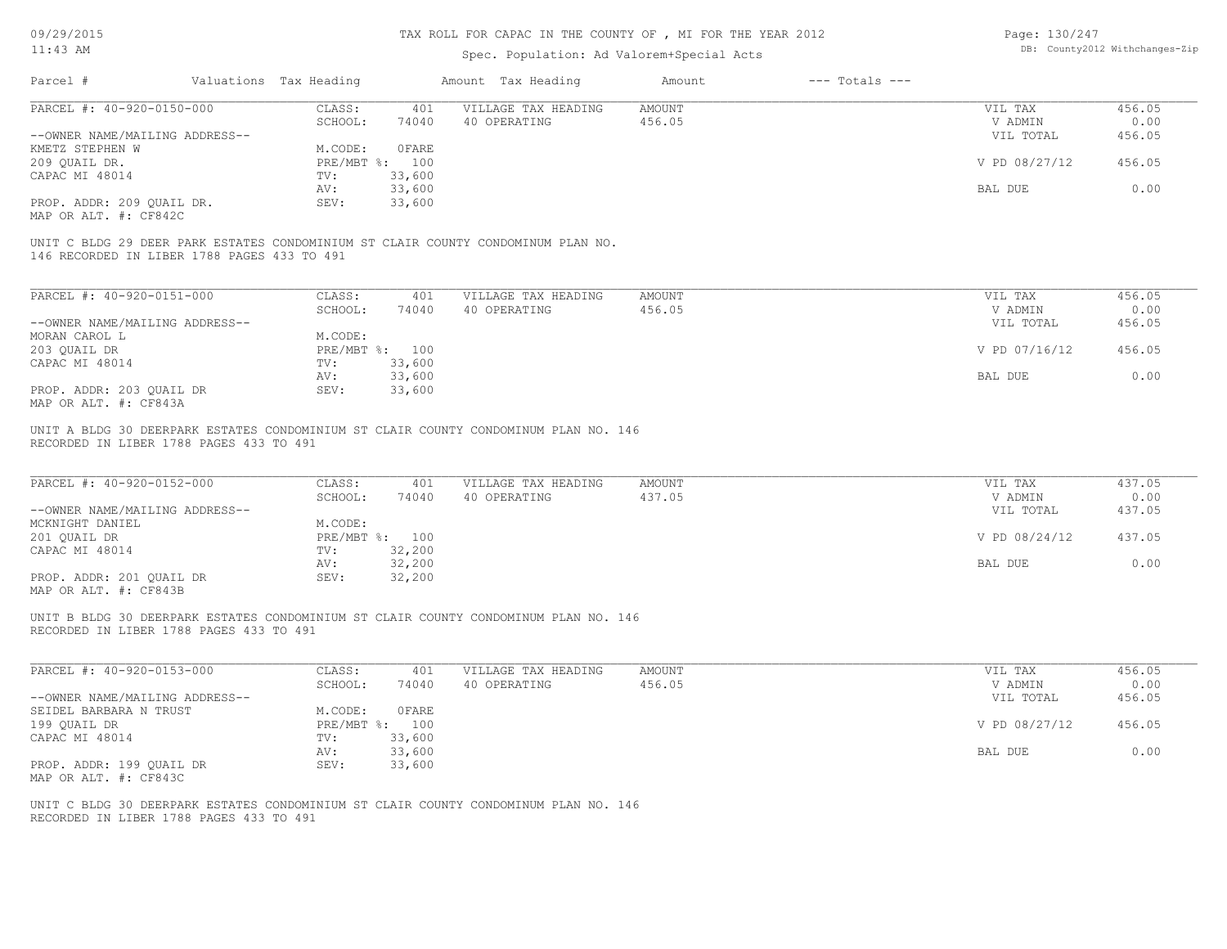### TAX ROLL FOR CAPAC IN THE COUNTY OF , MI FOR THE YEAR 2012

# Spec. Population: Ad Valorem+Special Acts

Page: 130/247 DB: County2012 Withchanges-Zip

| Parcel #                                    | Valuations Tax Heading |                | Amount Tax Heading                                                               | Amount | $---$ Totals $---$ |               |        |
|---------------------------------------------|------------------------|----------------|----------------------------------------------------------------------------------|--------|--------------------|---------------|--------|
| PARCEL #: 40-920-0150-000                   | CLASS:                 | 401            | VILLAGE TAX HEADING                                                              | AMOUNT |                    | VIL TAX       | 456.05 |
|                                             | SCHOOL:                | 74040          | 40 OPERATING                                                                     | 456.05 |                    | V ADMIN       | 0.00   |
| --OWNER NAME/MAILING ADDRESS--              |                        |                |                                                                                  |        |                    | VIL TOTAL     | 456.05 |
| KMETZ STEPHEN W                             | M.CODE:                | OFARE          |                                                                                  |        |                    |               |        |
| 209 OUAIL DR.                               |                        | PRE/MBT %: 100 |                                                                                  |        |                    | V PD 08/27/12 | 456.05 |
| CAPAC MI 48014                              | TV:                    | 33,600         |                                                                                  |        |                    |               |        |
|                                             | AV:                    | 33,600         |                                                                                  |        |                    | BAL DUE       | 0.00   |
| PROP. ADDR: 209 QUAIL DR.                   | SEV:                   | 33,600         |                                                                                  |        |                    |               |        |
| MAP OR ALT. #: CF842C                       |                        |                |                                                                                  |        |                    |               |        |
|                                             |                        |                |                                                                                  |        |                    |               |        |
| 146 RECORDED IN LIBER 1788 PAGES 433 TO 491 |                        |                | UNIT C BLDG 29 DEER PARK ESTATES CONDOMINIUM ST CLAIR COUNTY CONDOMINUM PLAN NO. |        |                    |               |        |
|                                             |                        |                |                                                                                  |        |                    |               |        |

| PARCEL #: 40-920-0151-000      | CLASS:     | 401    | VILLAGE TAX HEADING | AMOUNT | VIL TAX       | 456.05 |
|--------------------------------|------------|--------|---------------------|--------|---------------|--------|
|                                | SCHOOL:    | 74040  | 40 OPERATING        | 456.05 | V ADMIN       | 0.00   |
| --OWNER NAME/MAILING ADDRESS-- |            |        |                     |        | VIL TOTAL     | 456.05 |
| MORAN CAROL L                  | M.CODE:    |        |                     |        |               |        |
| 203 OUAIL DR                   | PRE/MBT %: | 100    |                     |        | V PD 07/16/12 | 456.05 |
| CAPAC MI 48014                 | TV:        | 33,600 |                     |        |               |        |
|                                | AV:        | 33,600 |                     |        | BAL DUE       | 0.00   |
| PROP. ADDR: 203 OUAIL DR       | SEV:       | 33,600 |                     |        |               |        |
| MAP OR ALT. #: CF843A          |            |        |                     |        |               |        |

RECORDED IN LIBER 1788 PAGES 433 TO 491 UNIT A BLDG 30 DEERPARK ESTATES CONDOMINIUM ST CLAIR COUNTY CONDOMINUM PLAN NO. 146

| PARCEL #: 40-920-0152-000      | CLASS:  | 401            | VILLAGE TAX HEADING | AMOUNT | VIL TAX       | 437.05 |
|--------------------------------|---------|----------------|---------------------|--------|---------------|--------|
|                                | SCHOOL: | 74040          | 40 OPERATING        | 437.05 | V ADMIN       | 0.00   |
| --OWNER NAME/MAILING ADDRESS-- |         |                |                     |        | VIL TOTAL     | 437.05 |
| MCKNIGHT DANIEL                | M.CODE: |                |                     |        |               |        |
| 201 QUAIL DR                   |         | PRE/MBT %: 100 |                     |        | V PD 08/24/12 | 437.05 |
| CAPAC MI 48014                 | TV:     | 32,200         |                     |        |               |        |
|                                | AV:     | 32,200         |                     |        | BAL DUE       | 0.00   |
| PROP. ADDR: 201 OUAIL DR       | SEV:    | 32,200         |                     |        |               |        |
| MAP OR ALT. #: CF843B          |         |                |                     |        |               |        |

RECORDED IN LIBER 1788 PAGES 433 TO 491 UNIT B BLDG 30 DEERPARK ESTATES CONDOMINIUM ST CLAIR COUNTY CONDOMINUM PLAN NO. 146

| PARCEL #: 40-920-0153-000      | CLASS:     | 401    | VILLAGE TAX HEADING | AMOUNT | VIL TAX       | 456.05 |
|--------------------------------|------------|--------|---------------------|--------|---------------|--------|
|                                | SCHOOL:    | 74040  | 40 OPERATING        | 456.05 | V ADMIN       | 0.00   |
| --OWNER NAME/MAILING ADDRESS-- |            |        |                     |        | VIL TOTAL     | 456.05 |
| SEIDEL BARBARA N TRUST         | M.CODE:    | OFARE  |                     |        |               |        |
| 199 OUAIL DR                   | PRE/MBT %: | 100    |                     |        | V PD 08/27/12 | 456.05 |
| CAPAC MI 48014                 | TV:        | 33,600 |                     |        |               |        |
|                                | AV:        | 33,600 |                     |        | BAL DUE       | 0.00   |
| PROP. ADDR: 199 QUAIL DR       | SEV:       | 33,600 |                     |        |               |        |
| MAP OR ALT. #: CF843C          |            |        |                     |        |               |        |

 $\mathcal{L}_\mathcal{L} = \mathcal{L}_\mathcal{L} = \mathcal{L}_\mathcal{L} = \mathcal{L}_\mathcal{L} = \mathcal{L}_\mathcal{L} = \mathcal{L}_\mathcal{L} = \mathcal{L}_\mathcal{L} = \mathcal{L}_\mathcal{L} = \mathcal{L}_\mathcal{L} = \mathcal{L}_\mathcal{L} = \mathcal{L}_\mathcal{L} = \mathcal{L}_\mathcal{L} = \mathcal{L}_\mathcal{L} = \mathcal{L}_\mathcal{L} = \mathcal{L}_\mathcal{L} = \mathcal{L}_\mathcal{L} = \mathcal{L}_\mathcal{L}$ 

RECORDED IN LIBER 1788 PAGES 433 TO 491 UNIT C BLDG 30 DEERPARK ESTATES CONDOMINIUM ST CLAIR COUNTY CONDOMINUM PLAN NO. 146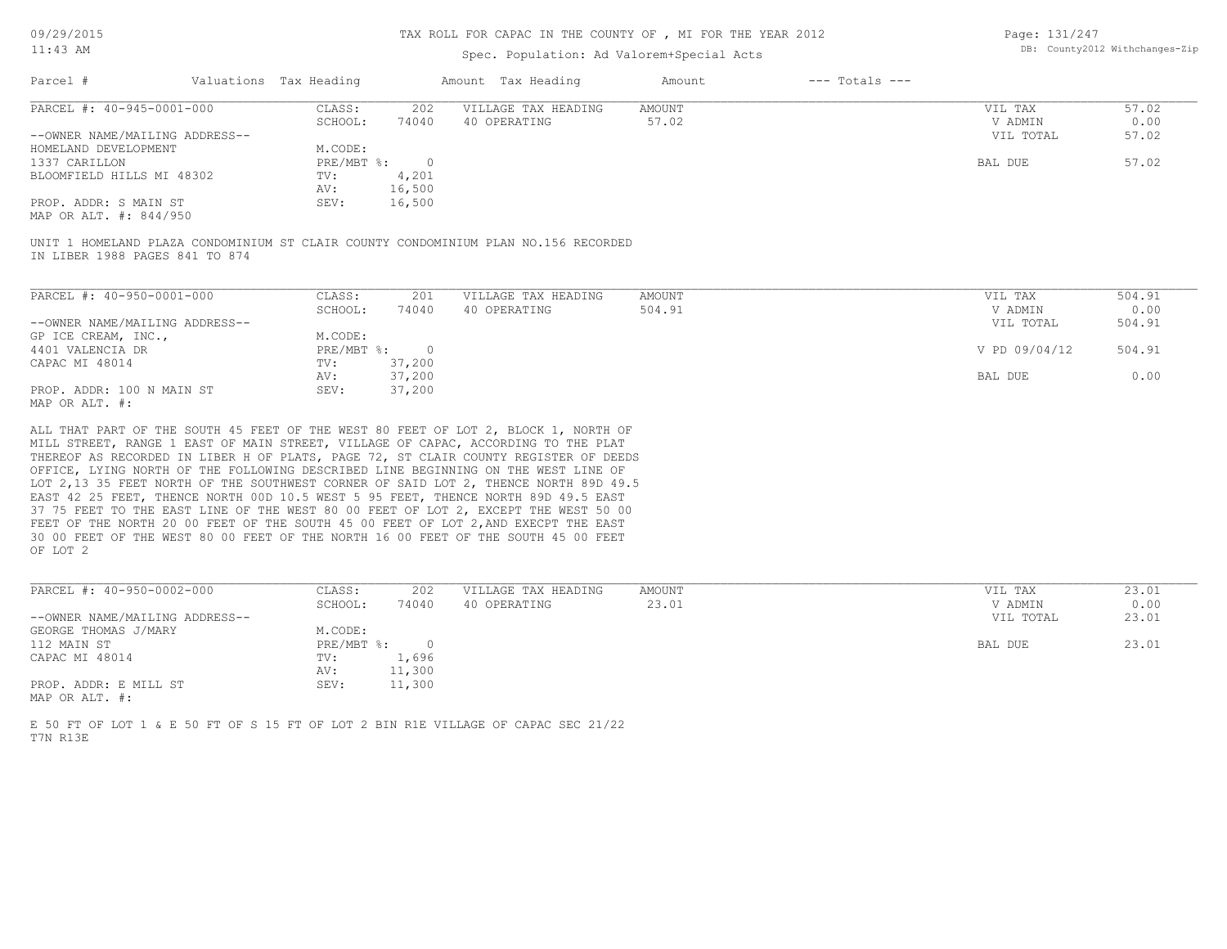# Spec. Population: Ad Valorem+Special Acts

Page: 131/247 DB: County2012 Withchanges-Zip

| Parcel #                       |         | Valuations Tax Heading |              | Amount Tax Heading  | Amount | $---$ Totals $---$ |           |       |
|--------------------------------|---------|------------------------|--------------|---------------------|--------|--------------------|-----------|-------|
| PARCEL #: 40-945-0001-000      |         | CLASS:                 | 202          | VILLAGE TAX HEADING | AMOUNT |                    | VIL TAX   | 57.02 |
|                                | SCHOOL: | 74040                  | 40 OPERATING | 57.02               |        | V ADMIN            | 0.00      |       |
| --OWNER NAME/MAILING ADDRESS-- |         |                        |              |                     |        |                    | VIL TOTAL | 57.02 |
| HOMELAND DEVELOPMENT           |         | M.CODE:                |              |                     |        |                    |           |       |
| 1337 CARILLON                  |         | PRE/MBT %:             |              |                     |        |                    | BAL DUE   | 57.02 |
| BLOOMFIELD HILLS MI 48302      |         | TV:                    | 4,201        |                     |        |                    |           |       |
|                                |         | AV:                    | 16,500       |                     |        |                    |           |       |
| PROP. ADDR: S MAIN ST          |         | SEV:                   | 16,500       |                     |        |                    |           |       |
|                                |         |                        |              |                     |        |                    |           |       |

MAP OR ALT. #: 844/950

IN LIBER 1988 PAGES 841 TO 874 UNIT 1 HOMELAND PLAZA CONDOMINIUM ST CLAIR COUNTY CONDOMINIUM PLAN NO.156 RECORDED

| PARCEL #: 40-950-0001-000      | CLASS:     | 201    | VILLAGE TAX HEADING | AMOUNT | VIL TAX       | 504.91 |
|--------------------------------|------------|--------|---------------------|--------|---------------|--------|
|                                | SCHOOL:    | 74040  | 40 OPERATING        | 504.91 | V ADMIN       | 0.00   |
| --OWNER NAME/MAILING ADDRESS-- |            |        |                     |        | VIL TOTAL     | 504.91 |
| GP ICE CREAM, INC.,            | M.CODE:    |        |                     |        |               |        |
| 4401 VALENCIA DR               | PRE/MBT %: |        |                     |        | V PD 09/04/12 | 504.91 |
| CAPAC MI 48014                 | TV:        | 37,200 |                     |        |               |        |
|                                | AV:        | 37,200 |                     |        | BAL DUE       | 0.00   |
| PROP. ADDR: 100 N MAIN ST      | SEV:       | 37,200 |                     |        |               |        |
| MAP OR ALT. #:                 |            |        |                     |        |               |        |

OF LOT 2 30 00 FEET OF THE WEST 80 00 FEET OF THE NORTH 16 00 FEET OF THE SOUTH 45 00 FEET FEET OF THE NORTH 20 00 FEET OF THE SOUTH 45 00 FEET OF LOT 2,AND EXECPT THE EAST 37 75 FEET TO THE EAST LINE OF THE WEST 80 00 FEET OF LOT 2, EXCEPT THE WEST 50 00 EAST 42 25 FEET, THENCE NORTH 00D 10.5 WEST 5 95 FEET, THENCE NORTH 89D 49.5 EAST LOT 2,13 35 FEET NORTH OF THE SOUTHWEST CORNER OF SAID LOT 2, THENCE NORTH 89D 49.5 OFFICE, LYING NORTH OF THE FOLLOWING DESCRIBED LINE BEGINNING ON THE WEST LINE OF THEREOF AS RECORDED IN LIBER H OF PLATS, PAGE 72, ST CLAIR COUNTY REGISTER OF DEEDS MILL STREET, RANGE 1 EAST OF MAIN STREET, VILLAGE OF CAPAC, ACCORDING TO THE PLAT ALL THAT PART OF THE SOUTH 45 FEET OF THE WEST 80 FEET OF LOT 2, BLOCK 1, NORTH OF

| PARCEL #: 40-950-0002-000      | CLASS:     | 202    | VILLAGE TAX HEADING | AMOUNT | VIL TAX   | 23.01 |
|--------------------------------|------------|--------|---------------------|--------|-----------|-------|
|                                | SCHOOL:    | 74040  | 40 OPERATING        | 23.01  | V ADMIN   | 0.00  |
| --OWNER NAME/MAILING ADDRESS-- |            |        |                     |        | VIL TOTAL | 23.01 |
| GEORGE THOMAS J/MARY           | M.CODE:    |        |                     |        |           |       |
| 112 MAIN ST                    | PRE/MBT %: |        |                     |        | BAL DUE   | 23.01 |
| CAPAC MI 48014                 | TV:        | 1,696  |                     |        |           |       |
|                                | AV:        | 11,300 |                     |        |           |       |
| PROP. ADDR: E MILL ST          | SEV:       | 11,300 |                     |        |           |       |
| MAP OR ALT. #:                 |            |        |                     |        |           |       |

 $\mathcal{L}_\mathcal{L} = \mathcal{L}_\mathcal{L} = \mathcal{L}_\mathcal{L} = \mathcal{L}_\mathcal{L} = \mathcal{L}_\mathcal{L} = \mathcal{L}_\mathcal{L} = \mathcal{L}_\mathcal{L} = \mathcal{L}_\mathcal{L} = \mathcal{L}_\mathcal{L} = \mathcal{L}_\mathcal{L} = \mathcal{L}_\mathcal{L} = \mathcal{L}_\mathcal{L} = \mathcal{L}_\mathcal{L} = \mathcal{L}_\mathcal{L} = \mathcal{L}_\mathcal{L} = \mathcal{L}_\mathcal{L} = \mathcal{L}_\mathcal{L}$ 

T7N R13E E 50 FT OF LOT 1 & E 50 FT OF S 15 FT OF LOT 2 BIN R1E VILLAGE OF CAPAC SEC 21/22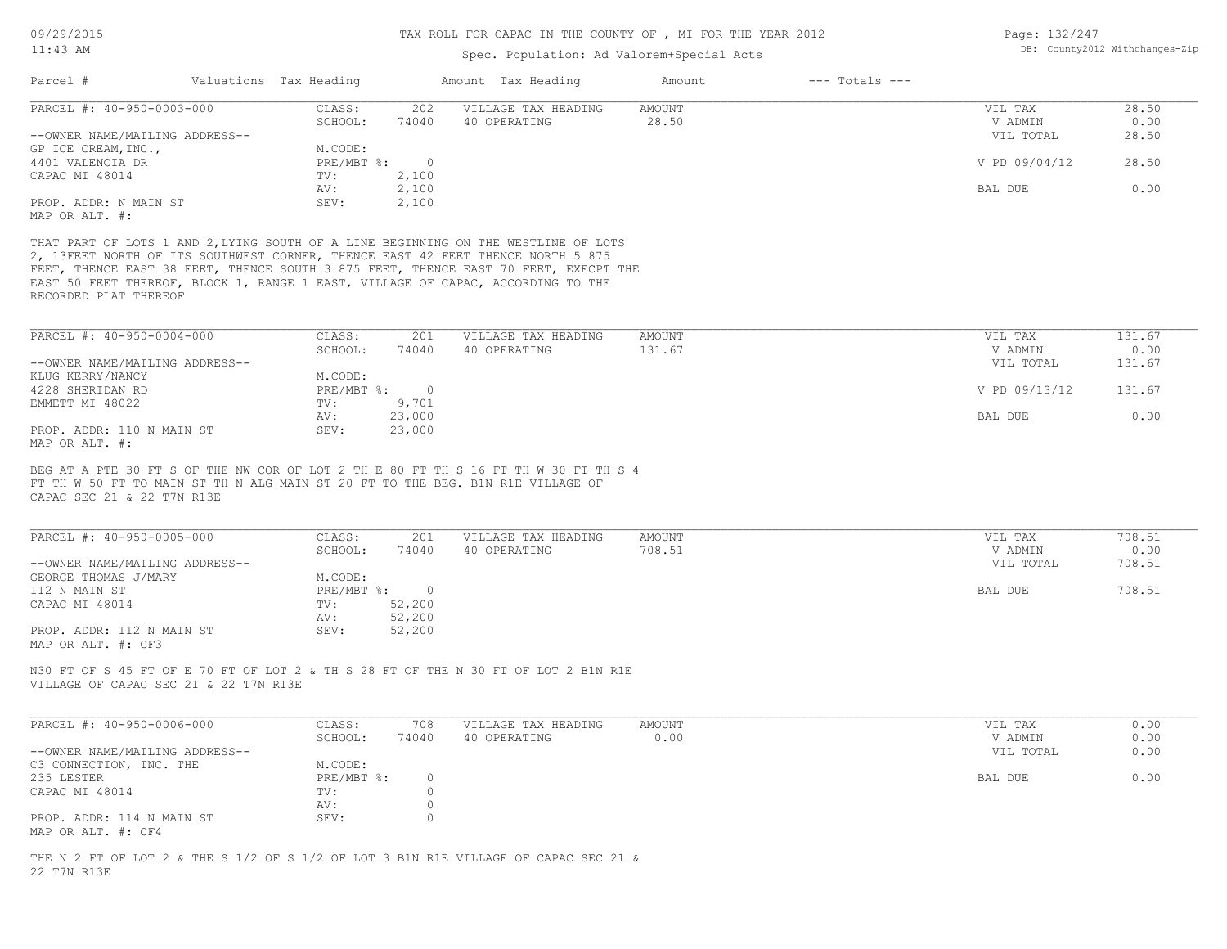| Page: 132/247 |                                |
|---------------|--------------------------------|
|               | DB: County2012 Withchanges-Zip |

| Parcel #<br>Valuations Tax Heading                                                                                                                                                                                                                                                                                                                                       |                               |                          | Amount Tax Heading                  | Amount                  | $---$ Totals $---$ |                    |                |
|--------------------------------------------------------------------------------------------------------------------------------------------------------------------------------------------------------------------------------------------------------------------------------------------------------------------------------------------------------------------------|-------------------------------|--------------------------|-------------------------------------|-------------------------|--------------------|--------------------|----------------|
| PARCEL #: 40-950-0003-000                                                                                                                                                                                                                                                                                                                                                | CLASS:<br>SCHOOL:             | 202<br>74040             | VILLAGE TAX HEADING<br>40 OPERATING | <b>AMOUNT</b><br>28.50  |                    | VIL TAX<br>V ADMIN | 28.50<br>0.00  |
| --OWNER NAME/MAILING ADDRESS--                                                                                                                                                                                                                                                                                                                                           |                               |                          |                                     |                         |                    | VIL TOTAL          | 28.50          |
| GP ICE CREAM, INC.,                                                                                                                                                                                                                                                                                                                                                      | M.CODE:                       |                          |                                     |                         |                    |                    |                |
| 4401 VALENCIA DR<br>CAPAC MI 48014                                                                                                                                                                                                                                                                                                                                       | PRE/MBT %:<br>TV:             | $\overline{0}$<br>2,100  |                                     |                         |                    | V PD 09/04/12      | 28.50          |
|                                                                                                                                                                                                                                                                                                                                                                          | AV:                           | 2,100                    |                                     |                         |                    | BAL DUE            | 0.00           |
| PROP. ADDR: N MAIN ST<br>MAP OR ALT. #:                                                                                                                                                                                                                                                                                                                                  | SEV:                          | 2,100                    |                                     |                         |                    |                    |                |
| THAT PART OF LOTS 1 AND 2, LYING SOUTH OF A LINE BEGINNING ON THE WESTLINE OF LOTS<br>2, 13FEET NORTH OF ITS SOUTHWEST CORNER, THENCE EAST 42 FEET THENCE NORTH 5 875<br>FEET, THENCE EAST 38 FEET, THENCE SOUTH 3 875 FEET, THENCE EAST 70 FEET, EXECPT THE<br>EAST 50 FEET THEREOF, BLOCK 1, RANGE 1 EAST, VILLAGE OF CAPAC, ACCORDING TO THE<br>RECORDED PLAT THEREOF |                               |                          |                                     |                         |                    |                    |                |
| PARCEL #: 40-950-0004-000                                                                                                                                                                                                                                                                                                                                                | CLASS:                        | 201                      | VILLAGE TAX HEADING                 | AMOUNT                  |                    | VIL TAX            | 131.67         |
|                                                                                                                                                                                                                                                                                                                                                                          | SCHOOL:                       | 74040                    | 40 OPERATING                        | 131.67                  |                    | V ADMIN            | 0.00           |
| --OWNER NAME/MAILING ADDRESS--                                                                                                                                                                                                                                                                                                                                           |                               |                          |                                     |                         |                    | VIL TOTAL          | 131.67         |
| KLUG KERRY/NANCY<br>4228 SHERIDAN RD                                                                                                                                                                                                                                                                                                                                     | M.CODE:<br>$PRE/MBT$ $\div$ 0 |                          |                                     |                         |                    | V PD 09/13/12      | 131.67         |
| EMMETT MI 48022                                                                                                                                                                                                                                                                                                                                                          | TV:                           | 9,701                    |                                     |                         |                    |                    |                |
|                                                                                                                                                                                                                                                                                                                                                                          | AV:                           | 23,000                   |                                     |                         |                    | BAL DUE            | 0.00           |
| PROP. ADDR: 110 N MAIN ST                                                                                                                                                                                                                                                                                                                                                | SEV:                          | 23,000                   |                                     |                         |                    |                    |                |
| MAP OR ALT. #:<br>BEG AT A PTE 30 FT S OF THE NW COR OF LOT 2 TH E 80 FT TH S 16 FT TH W 30 FT TH S 4<br>FT TH W 50 FT TO MAIN ST TH N ALG MAIN ST 20 FT TO THE BEG. B1N R1E VILLAGE OF                                                                                                                                                                                  |                               |                          |                                     |                         |                    |                    |                |
| CAPAC SEC 21 & 22 T7N R13E                                                                                                                                                                                                                                                                                                                                               |                               |                          |                                     |                         |                    |                    |                |
| PARCEL #: 40-950-0005-000                                                                                                                                                                                                                                                                                                                                                | CLASS:<br>SCHOOL:             | 201<br>74040             | VILLAGE TAX HEADING<br>40 OPERATING | <b>AMOUNT</b><br>708.51 |                    | VIL TAX<br>V ADMIN | 708.51<br>0.00 |
| --OWNER NAME/MAILING ADDRESS--                                                                                                                                                                                                                                                                                                                                           |                               |                          |                                     |                         |                    | VIL TOTAL          | 708.51         |
| GEORGE THOMAS J/MARY                                                                                                                                                                                                                                                                                                                                                     | M.CODE:                       |                          |                                     |                         |                    |                    |                |
| 112 N MAIN ST<br>CAPAC MI 48014                                                                                                                                                                                                                                                                                                                                          | $PRE/MBT$ $\div$<br>TV:       | $\overline{0}$<br>52,200 |                                     |                         |                    | BAL DUE            | 708.51         |
|                                                                                                                                                                                                                                                                                                                                                                          | AV:                           | 52,200                   |                                     |                         |                    |                    |                |
| PROP. ADDR: 112 N MAIN ST<br>MAP OR ALT. #: CF3                                                                                                                                                                                                                                                                                                                          | SEV:                          | 52,200                   |                                     |                         |                    |                    |                |
| N30 FT OF S 45 FT OF E 70 FT OF LOT 2 & TH S 28 FT OF THE N 30 FT OF LOT 2 B1N R1E<br>VILLAGE OF CAPAC SEC 21 & 22 T7N R13E                                                                                                                                                                                                                                              |                               |                          |                                     |                         |                    |                    |                |
| PARCEL #: 40-950-0006-000                                                                                                                                                                                                                                                                                                                                                | CLASS:                        | 708                      | VILLAGE TAX HEADING                 | AMOUNT                  |                    | VIL TAX            | 0.00           |
|                                                                                                                                                                                                                                                                                                                                                                          | SCHOOL:                       | 74040                    | 40 OPERATING                        | 0.00                    |                    | V ADMIN            | 0.00           |
| --OWNER NAME/MAILING ADDRESS--<br>C3 CONNECTION, INC. THE                                                                                                                                                                                                                                                                                                                | M.CODE:                       |                          |                                     |                         |                    | VIL TOTAL          | 0.00           |
| 235 LESTER                                                                                                                                                                                                                                                                                                                                                               | PRE/MBT %:                    | $\circ$                  |                                     |                         |                    | BAL DUE            | 0.00           |
| CAPAC MI 48014                                                                                                                                                                                                                                                                                                                                                           | TV:                           | $\circ$                  |                                     |                         |                    |                    |                |
| PROP. ADDR: 114 N MAIN ST<br>MAP OR ALT. #: CF4                                                                                                                                                                                                                                                                                                                          | AV:<br>SEV:                   | $\circ$<br>$\circ$       |                                     |                         |                    |                    |                |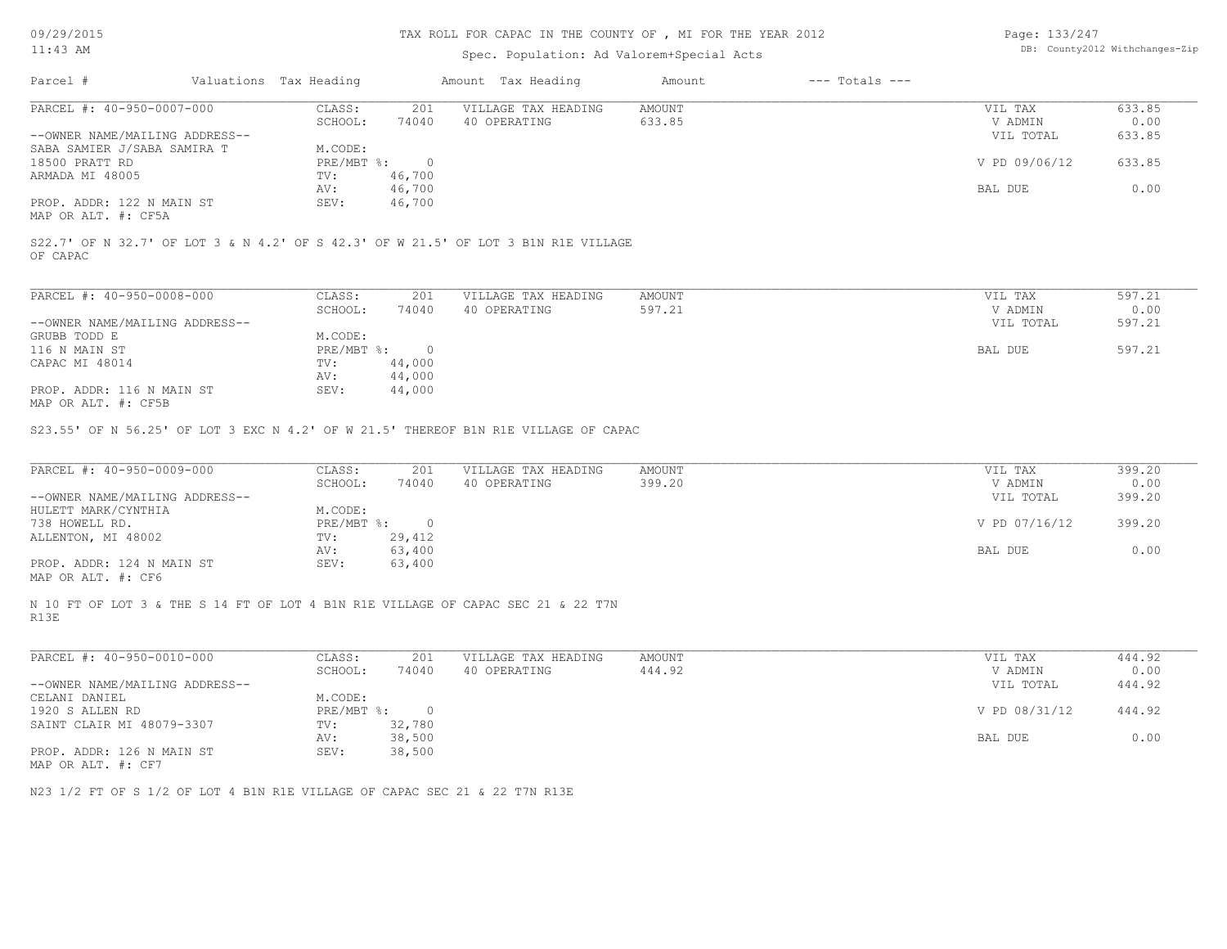09/29/2015

# TAX ROLL FOR CAPAC IN THE COUNTY OF , MI FOR THE YEAR 2012

| Page: 133/247 |                                |
|---------------|--------------------------------|
|               | DB: County2012 Withchanges-Zip |

| $11:43$ AM                                                                         |                              |                          | Spec. Population: Ad Valorem+Special Acts                                          |                  |                    |                                 | DB: County2012 Withchanges-Zip |
|------------------------------------------------------------------------------------|------------------------------|--------------------------|------------------------------------------------------------------------------------|------------------|--------------------|---------------------------------|--------------------------------|
| Parcel #                                                                           | Valuations Tax Heading       |                          | Amount Tax Heading                                                                 | Amount           | $---$ Totals $---$ |                                 |                                |
| PARCEL #: 40-950-0007-000                                                          | CLASS:                       | 201                      | VILLAGE TAX HEADING                                                                | AMOUNT           |                    | VIL TAX                         | 633.85                         |
|                                                                                    | SCHOOL:                      | 74040                    | 40 OPERATING                                                                       | 633.85           |                    | V ADMIN                         | 0.00                           |
| --OWNER NAME/MAILING ADDRESS--                                                     |                              |                          |                                                                                    |                  |                    | VIL TOTAL                       | 633.85                         |
| SABA SAMIER J/SABA SAMIRA T                                                        | M.CODE:                      |                          |                                                                                    |                  |                    |                                 |                                |
| 18500 PRATT RD                                                                     | $PRE/MBT$ %:                 | $\overline{0}$           |                                                                                    |                  |                    | V PD 09/06/12                   | 633.85                         |
| ARMADA MI 48005                                                                    | TV:                          | 46,700                   |                                                                                    |                  |                    |                                 |                                |
|                                                                                    | AV:                          | 46,700                   |                                                                                    |                  |                    | BAL DUE                         | 0.00                           |
| PROP. ADDR: 122 N MAIN ST                                                          | SEV:                         | 46,700                   |                                                                                    |                  |                    |                                 |                                |
|                                                                                    |                              |                          |                                                                                    |                  |                    |                                 |                                |
| MAP OR ALT. #: CF5A                                                                |                              |                          |                                                                                    |                  |                    |                                 |                                |
| OF CAPAC                                                                           |                              |                          | S22.7' OF N 32.7' OF LOT 3 & N 4.2' OF S 42.3' OF W 21.5' OF LOT 3 B1N R1E VILLAGE |                  |                    |                                 |                                |
| PARCEL #: 40-950-0008-000                                                          | CLASS:                       | 201                      | VILLAGE TAX HEADING                                                                | AMOUNT           |                    | VIL TAX                         | 597.21                         |
|                                                                                    | SCHOOL:                      | 74040                    | 40 OPERATING                                                                       | 597.21           |                    | V ADMIN                         | 0.00                           |
| --OWNER NAME/MAILING ADDRESS--                                                     |                              |                          |                                                                                    |                  |                    | VIL TOTAL                       | 597.21                         |
|                                                                                    |                              |                          |                                                                                    |                  |                    |                                 |                                |
| GRUBB TODD E                                                                       | M.CODE:                      |                          |                                                                                    |                  |                    |                                 |                                |
| 116 N MAIN ST                                                                      | PRE/MBT %:                   | $\overline{0}$           |                                                                                    |                  |                    | <b>BAL DUE</b>                  | 597.21                         |
| CAPAC MI 48014                                                                     | TV:                          | 44,000                   |                                                                                    |                  |                    |                                 |                                |
|                                                                                    | AV:                          | 44,000                   |                                                                                    |                  |                    |                                 |                                |
| PROP. ADDR: 116 N MAIN ST                                                          | SEV:                         | 44,000                   |                                                                                    |                  |                    |                                 |                                |
| MAP OR ALT. #: CF5B                                                                |                              |                          |                                                                                    |                  |                    |                                 |                                |
| PARCEL #: 40-950-0009-000<br>--OWNER NAME/MAILING ADDRESS--<br>HULETT MARK/CYNTHIA | CLASS:<br>SCHOOL:<br>M.CODE: | 201<br>74040             | VILLAGE TAX HEADING<br>40 OPERATING                                                | AMOUNT<br>399.20 |                    | VIL TAX<br>V ADMIN<br>VIL TOTAL | 399.20<br>0.00<br>399.20       |
| 738 HOWELL RD.                                                                     | PRE/MBT %:                   | $\overline{\phantom{0}}$ |                                                                                    |                  |                    | V PD 07/16/12                   | 399.20                         |
| ALLENTON, MI 48002                                                                 | TV:                          | 29,412                   |                                                                                    |                  |                    |                                 |                                |
|                                                                                    | AV:                          | 63,400                   |                                                                                    |                  |                    | BAL DUE                         | 0.00                           |
| PROP. ADDR: 124 N MAIN ST<br>MAP OR ALT. #: CF6                                    | SEV:                         | 63,400                   |                                                                                    |                  |                    |                                 |                                |
| R13E                                                                               |                              |                          | N 10 FT OF LOT 3 & THE S 14 FT OF LOT 4 B1N R1E VILLAGE OF CAPAC SEC 21 & 22 T7N   |                  |                    |                                 |                                |
| PARCEL #: 40-950-0010-000                                                          | CLASS:                       | 201                      | VILLAGE TAX HEADING                                                                | AMOUNT           |                    | VIL TAX                         | 444.92                         |
|                                                                                    | SCHOOL:                      | 74040                    | 40 OPERATING                                                                       | 444.92           |                    | V ADMIN                         | 0.00                           |
| --OWNER NAME/MAILING ADDRESS--                                                     |                              |                          |                                                                                    |                  |                    | VIL TOTAL                       | 444.92                         |
|                                                                                    |                              |                          |                                                                                    |                  |                    |                                 |                                |
| CELANI DANIEL                                                                      | M.CODE:                      |                          |                                                                                    |                  |                    |                                 |                                |
| 1920 S ALLEN RD                                                                    | $PRE/MBT$ $\div$             | $\overline{0}$           |                                                                                    |                  |                    | V PD 08/31/12                   | 444.92                         |
| SAINT CLAIR MI 48079-3307                                                          | TV:                          | 32,780                   |                                                                                    |                  |                    |                                 |                                |
|                                                                                    | AV:                          | 38,500                   |                                                                                    |                  |                    | BAL DUE                         | 0.00                           |
| PROP. ADDR: 126 N MAIN ST                                                          | SEV:                         | 38,500                   |                                                                                    |                  |                    |                                 |                                |
| MAP OR ALT. #: CF7                                                                 |                              |                          |                                                                                    |                  |                    |                                 |                                |
|                                                                                    |                              |                          |                                                                                    |                  |                    |                                 |                                |
| N23 1/2 FT OF S 1/2 OF LOT 4 B1N R1E VILLAGE OF CAPAC SEC 21 & 22 T7N R13E         |                              |                          |                                                                                    |                  |                    |                                 |                                |
|                                                                                    |                              |                          |                                                                                    |                  |                    |                                 |                                |
|                                                                                    |                              |                          |                                                                                    |                  |                    |                                 |                                |
|                                                                                    |                              |                          |                                                                                    |                  |                    |                                 |                                |
|                                                                                    |                              |                          |                                                                                    |                  |                    |                                 |                                |
|                                                                                    |                              |                          |                                                                                    |                  |                    |                                 |                                |
|                                                                                    |                              |                          |                                                                                    |                  |                    |                                 |                                |
|                                                                                    |                              |                          |                                                                                    |                  |                    |                                 |                                |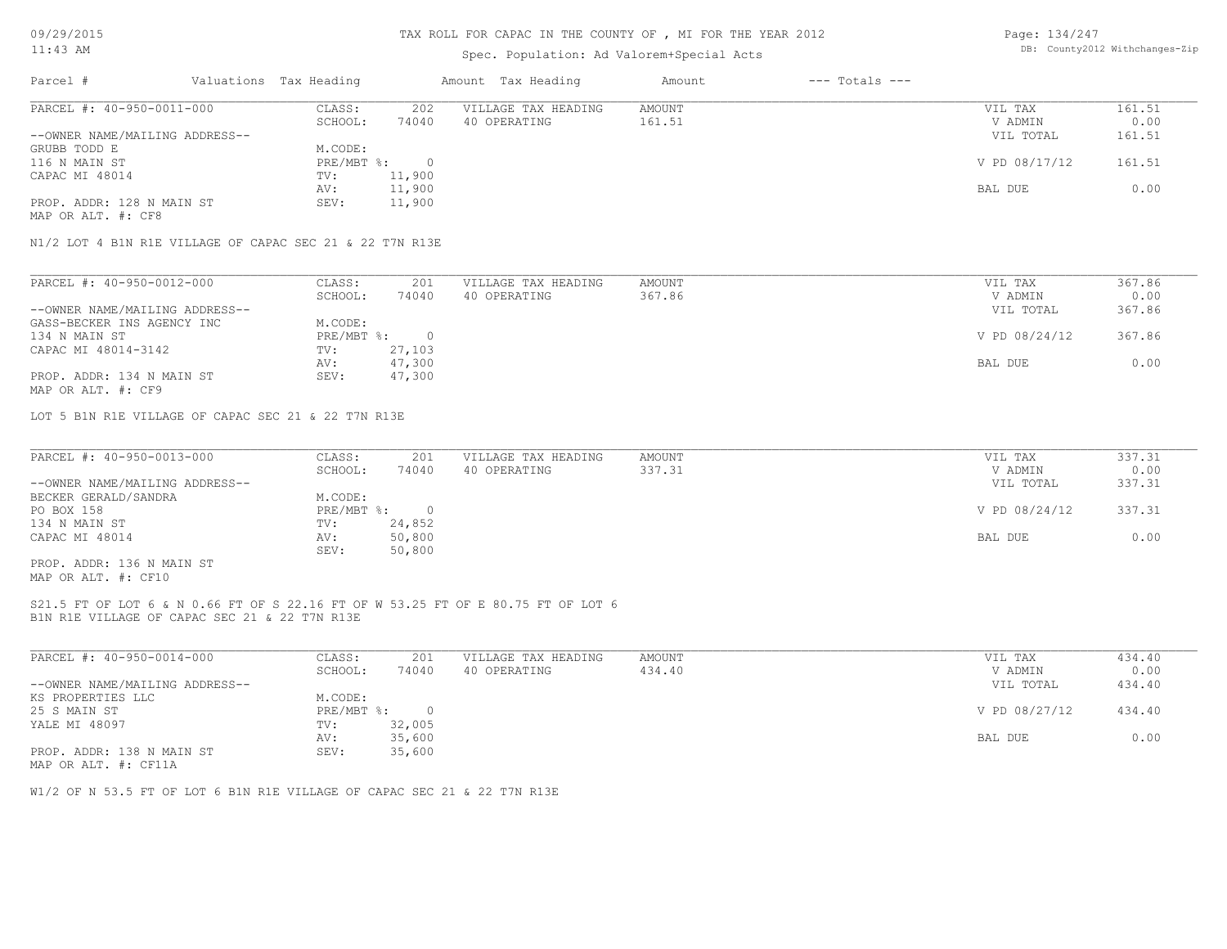### TAX ROLL FOR CAPAC IN THE COUNTY OF , MI FOR THE YEAR 2012

# Spec. Population: Ad Valorem+Special Acts

| Page: 134/247 |                                |
|---------------|--------------------------------|
|               | DB: County2012 Withchanges-Zip |

|        |               | $---$ Totals $---$ | Amount | Amount Tax Heading  |        | Valuations Tax Heading | Parcel #                                                                       |
|--------|---------------|--------------------|--------|---------------------|--------|------------------------|--------------------------------------------------------------------------------|
| 161.51 | VIL TAX       |                    | AMOUNT | VILLAGE TAX HEADING | 202    | CLASS:                 | PARCEL #: 40-950-0011-000                                                      |
| 0.00   | V ADMIN       |                    | 161.51 | 40 OPERATING        | 74040  | SCHOOL:                |                                                                                |
| 161.51 | VIL TOTAL     |                    |        |                     |        |                        | --OWNER NAME/MAILING ADDRESS--                                                 |
|        |               |                    |        |                     |        | M.CODE:                | GRUBB TODD E                                                                   |
| 161.51 | V PD 08/17/12 |                    |        |                     |        | $PRE/MBT$ %:           | 116 N MAIN ST                                                                  |
|        |               |                    |        |                     | 11,900 | TV:                    | CAPAC MI 48014                                                                 |
| 0.00   | BAL DUE       |                    |        |                     | 11,900 | AV:                    |                                                                                |
|        |               |                    |        |                     | 11,900 | SEV:                   | PROP. ADDR: 128 N MAIN ST                                                      |
|        |               |                    |        |                     |        |                        |                                                                                |
|        |               |                    |        |                     |        |                        | MAP OR ALT. #: CF8<br>N1/2 LOT 4 B1N R1E VILLAGE OF CAPAC SEC 21 & 22 T7N R13E |

| PARCEL #: 40-950-0012-000      | CLASS:     | 201    | VILLAGE TAX HEADING | AMOUNT | VIL TAX       | 367.86 |
|--------------------------------|------------|--------|---------------------|--------|---------------|--------|
|                                | SCHOOL:    | 74040  | 40 OPERATING        | 367.86 | V ADMIN       | 0.00   |
| --OWNER NAME/MAILING ADDRESS-- |            |        |                     |        | VIL TOTAL     | 367.86 |
| GASS-BECKER INS AGENCY INC     | M.CODE:    |        |                     |        |               |        |
| 134 N MAIN ST                  | PRE/MBT %: |        |                     |        | V PD 08/24/12 | 367.86 |
| CAPAC MI 48014-3142            | TV:        | 27,103 |                     |        |               |        |
|                                | AV:        | 47,300 |                     |        | BAL DUE       | 0.00   |
| PROP. ADDR: 134 N MAIN ST      | SEV:       | 47,300 |                     |        |               |        |
| MAP OR ALT. #: CF9             |            |        |                     |        |               |        |

LOT 5 B1N R1E VILLAGE OF CAPAC SEC 21 & 22 T7N R13E

| PARCEL #: 40-950-0013-000      | CLASS:       | 201    | VILLAGE TAX HEADING | AMOUNT | VIL TAX       | 337.31 |
|--------------------------------|--------------|--------|---------------------|--------|---------------|--------|
|                                | SCHOOL:      | 74040  | 40 OPERATING        | 337.31 | V ADMIN       | 0.00   |
| --OWNER NAME/MAILING ADDRESS-- |              |        |                     |        | VIL TOTAL     | 337.31 |
| BECKER GERALD/SANDRA           | M.CODE:      |        |                     |        |               |        |
| PO BOX 158                     | $PRE/MBT$ %: |        |                     |        | V PD 08/24/12 | 337.31 |
| 134 N MAIN ST                  | TV:          | 24,852 |                     |        |               |        |
| CAPAC MI 48014                 | AV:          | 50,800 |                     |        | BAL DUE       | 0.00   |
|                                | SEV:         | 50,800 |                     |        |               |        |
| PROP. ADDR: 136 N MAIN ST      |              |        |                     |        |               |        |

MAP OR ALT. #: CF10

#### B1N R1E VILLAGE OF CAPAC SEC 21 & 22 T7N R13E S21.5 FT OF LOT 6 & N 0.66 FT OF S 22.16 FT OF W 53.25 FT OF E 80.75 FT OF LOT 6

| PARCEL #: 40-950-0014-000      | CLASS:     | 201    | VILLAGE TAX HEADING | AMOUNT | VIL TAX       | 434.40 |
|--------------------------------|------------|--------|---------------------|--------|---------------|--------|
|                                | SCHOOL:    | 74040  | 40 OPERATING        | 434.40 | V ADMIN       | 0.00   |
| --OWNER NAME/MAILING ADDRESS-- |            |        |                     |        | VIL TOTAL     | 434.40 |
| KS PROPERTIES LLC              | M.CODE:    |        |                     |        |               |        |
| 25 S MAIN ST                   | PRE/MBT %: |        |                     |        | V PD 08/27/12 | 434.40 |
| YALE MI 48097                  | TV:        | 32,005 |                     |        |               |        |
|                                | AV:        | 35,600 |                     |        | BAL DUE       | 0.00   |
| PROP. ADDR: 138 N MAIN ST      | SEV:       | 35,600 |                     |        |               |        |

MAP OR ALT. #: CF11A

W1/2 OF N 53.5 FT OF LOT 6 B1N R1E VILLAGE OF CAPAC SEC 21 & 22 T7N R13E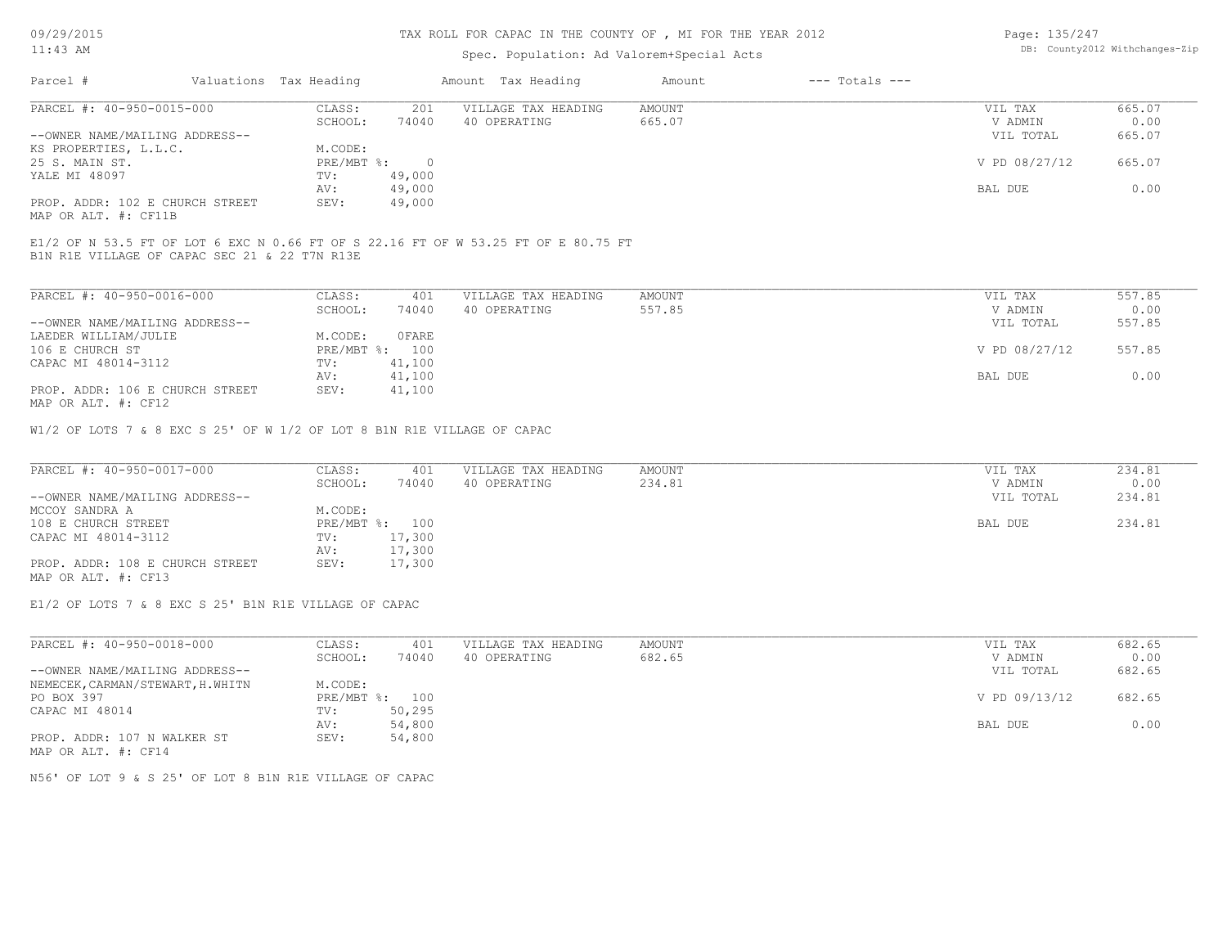# TAX ROLL FOR CAPAC IN THE COUNTY OF , MI FOR THE YEAR 2012

# Spec. Population: Ad Valorem+Special Acts

Page: 135/247 DB: County2012 Withchanges-Zip

| Parcel #                        | Valuations Tax Heading |        | Amount Tax Heading  | Amount | $---$ Totals $---$ |               |        |
|---------------------------------|------------------------|--------|---------------------|--------|--------------------|---------------|--------|
| PARCEL #: 40-950-0015-000       | CLASS:                 | 201    | VILLAGE TAX HEADING | AMOUNT |                    | VIL TAX       | 665.07 |
|                                 | SCHOOL:                | 74040  | 40 OPERATING        | 665.07 |                    | V ADMIN       | 0.00   |
| --OWNER NAME/MAILING ADDRESS--  |                        |        |                     |        |                    | VIL TOTAL     | 665.07 |
| KS PROPERTIES, L.L.C.           | M.CODE:                |        |                     |        |                    |               |        |
| 25 S. MAIN ST.                  | PRE/MBT %:             |        |                     |        |                    | V PD 08/27/12 | 665.07 |
| YALE MI 48097                   | TV:                    | 49,000 |                     |        |                    |               |        |
|                                 | AV:                    | 49,000 |                     |        |                    | BAL DUE       | 0.00   |
| PROP. ADDR: 102 E CHURCH STREET | SEV:                   | 49,000 |                     |        |                    |               |        |
|                                 |                        |        |                     |        |                    |               |        |

MAP OR ALT. #: CF11B

B1N R1E VILLAGE OF CAPAC SEC 21 & 22 T7N R13E E1/2 OF N 53.5 FT OF LOT 6 EXC N 0.66 FT OF S 22.16 FT OF W 53.25 FT OF E 80.75 FT

| PARCEL #: 40-950-0016-000                                        | CLASS:       | 401    | VILLAGE TAX HEADING | AMOUNT | VIL TAX       | 557.85 |
|------------------------------------------------------------------|--------------|--------|---------------------|--------|---------------|--------|
|                                                                  | SCHOOL:      | 74040  | 40 OPERATING        | 557.85 | V ADMIN       | 0.00   |
| --OWNER NAME/MAILING ADDRESS--                                   |              |        |                     |        | VIL TOTAL     | 557.85 |
| LAEDER WILLIAM/JULIE                                             | M.CODE:      | 0 FARE |                     |        |               |        |
| 106 E CHURCH ST                                                  | $PRE/MBT$ %: | 100    |                     |        | V PD 08/27/12 | 557.85 |
| CAPAC MI 48014-3112                                              | TV:          | 41,100 |                     |        |               |        |
|                                                                  | AV:          | 41,100 |                     |        | BAL DUE       | 0.00   |
| PROP. ADDR: 106 E CHURCH STREET<br>$MAD$ $CD$ $ATH$ $H$ , $CD12$ | SEV:         | 41,100 |                     |        |               |        |

MAP OR ALT. #: CF12

W1/2 OF LOTS 7 & 8 EXC S 25' OF W 1/2 OF LOT 8 B1N R1E VILLAGE OF CAPAC

| PARCEL #: 40-950-0017-000       | CLASS:  | 401            | VILLAGE TAX HEADING | AMOUNT | VIL TAX   | 234.81 |
|---------------------------------|---------|----------------|---------------------|--------|-----------|--------|
|                                 | SCHOOL: | 74040          | 40 OPERATING        | 234.81 | V ADMIN   | 0.00   |
| --OWNER NAME/MAILING ADDRESS--  |         |                |                     |        | VIL TOTAL | 234.81 |
| MCCOY SANDRA A                  | M.CODE: |                |                     |        |           |        |
| 108 E CHURCH STREET             |         | PRE/MBT %: 100 |                     |        | BAL DUE   | 234.81 |
| CAPAC MI 48014-3112             | TV:     | 17,300         |                     |        |           |        |
|                                 | AV:     | 17,300         |                     |        |           |        |
| PROP. ADDR: 108 E CHURCH STREET | SEV:    | 17,300         |                     |        |           |        |
| MAP OR ALT. #: CF13             |         |                |                     |        |           |        |

E1/2 OF LOTS 7 & 8 EXC S 25' B1N R1E VILLAGE OF CAPAC

| PARCEL #: 40-950-0018-000        | CLASS:     | 401    | VILLAGE TAX HEADING | AMOUNT | VIL TAX       | 682.65 |
|----------------------------------|------------|--------|---------------------|--------|---------------|--------|
|                                  | SCHOOL:    | 74040  | 40 OPERATING        | 682.65 | V ADMIN       | 0.00   |
| --OWNER NAME/MAILING ADDRESS--   |            |        |                     |        | VIL TOTAL     | 682.65 |
| NEMECEK, CARMAN/STEWART, H.WHITN | M.CODE:    |        |                     |        |               |        |
| PO BOX 397                       | PRE/MBT %: | 100    |                     |        | V PD 09/13/12 | 682.65 |
| CAPAC MI 48014                   | TV:        | 50,295 |                     |        |               |        |
|                                  | AV:        | 54,800 |                     |        | BAL DUE       | 0.00   |
| PROP. ADDR: 107 N WALKER ST      | SEV:       | 54,800 |                     |        |               |        |
| MAP OR ALT. #: CF14              |            |        |                     |        |               |        |

N56' OF LOT 9 & S 25' OF LOT 8 B1N R1E VILLAGE OF CAPAC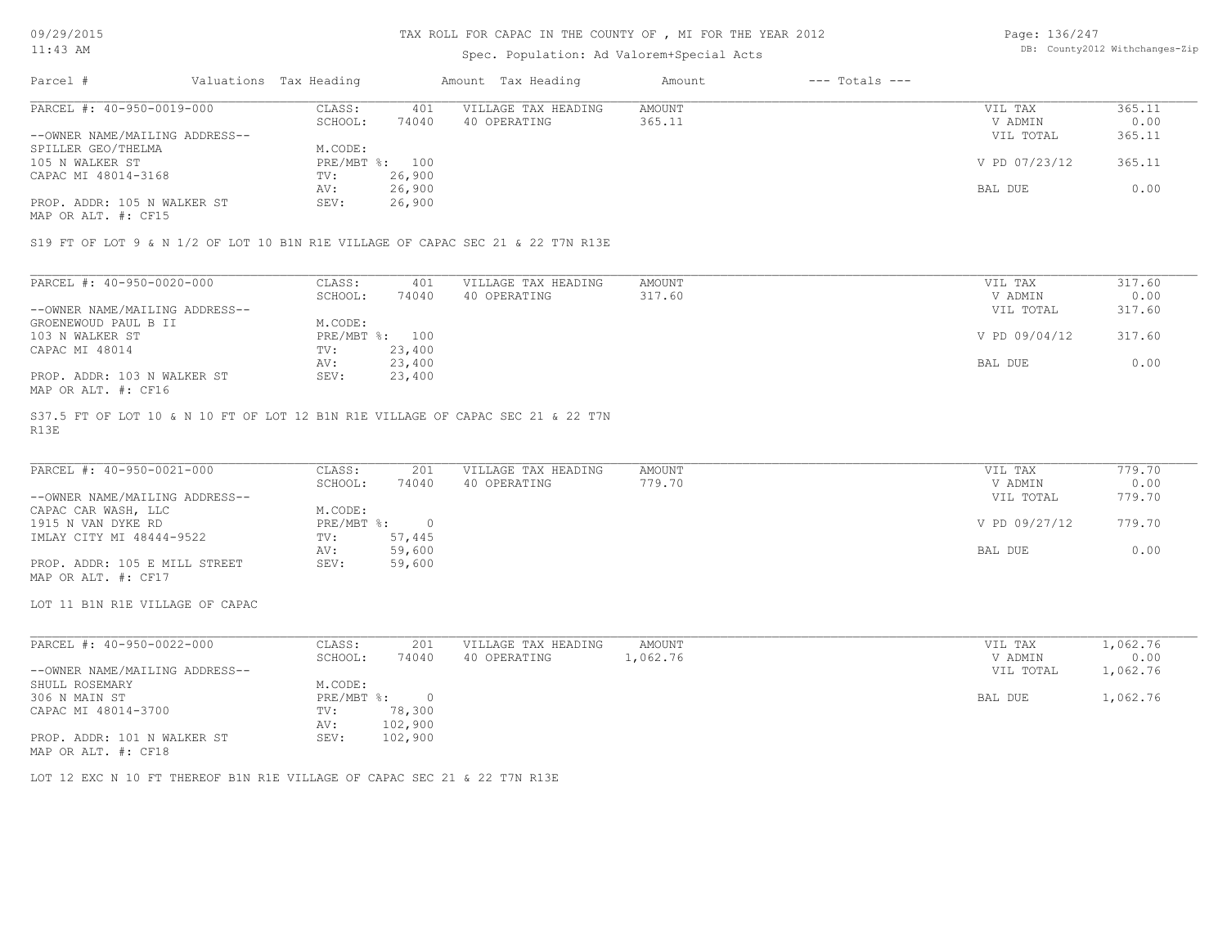### TAX ROLL FOR CAPAC IN THE COUNTY OF , MI FOR THE YEAR 2012

# Spec. Population: Ad Valorem+Special Acts

Page: 136/247 DB: County2012 Withchanges-Zip

| Parcel #                       | Valuations Tax Heading |        | Amount Tax Heading  | Amount | $---$ Totals $---$ |               |        |
|--------------------------------|------------------------|--------|---------------------|--------|--------------------|---------------|--------|
| PARCEL #: 40-950-0019-000      | CLASS:                 | 401    | VILLAGE TAX HEADING | AMOUNT |                    | VIL TAX       | 365.11 |
|                                | SCHOOL:                | 74040  | 40 OPERATING        | 365.11 |                    | V ADMIN       | 0.00   |
| --OWNER NAME/MAILING ADDRESS-- |                        |        |                     |        |                    | VIL TOTAL     | 365.11 |
| SPILLER GEO/THELMA             | M.CODE:                |        |                     |        |                    |               |        |
| 105 N WALKER ST                | PRE/MBT %: 100         |        |                     |        |                    | V PD 07/23/12 | 365.11 |
| CAPAC MI 48014-3168            | TV:                    | 26,900 |                     |        |                    |               |        |
|                                | AV:                    | 26,900 |                     |        |                    | BAL DUE       | 0.00   |
| PROP. ADDR: 105 N WALKER ST    | SEV:                   | 26,900 |                     |        |                    |               |        |
|                                |                        |        |                     |        |                    |               |        |

MAP OR ALT. #: CF15

S19 FT OF LOT 9 & N 1/2 OF LOT 10 B1N R1E VILLAGE OF CAPAC SEC 21 & 22 T7N R13E

| PARCEL #: 40-950-0020-000      | CLASS:  | 401            | VILLAGE TAX HEADING | AMOUNT | VIL TAX       | 317.60 |
|--------------------------------|---------|----------------|---------------------|--------|---------------|--------|
|                                | SCHOOL: | 74040          | 40 OPERATING        | 317.60 | V ADMIN       | 0.00   |
| --OWNER NAME/MAILING ADDRESS-- |         |                |                     |        | VIL TOTAL     | 317.60 |
| GROENEWOUD PAUL B II           | M.CODE: |                |                     |        |               |        |
| 103 N WALKER ST                |         | PRE/MBT %: 100 |                     |        | V PD 09/04/12 | 317.60 |
| CAPAC MI 48014                 | TV:     | 23,400         |                     |        |               |        |
|                                | AV:     | 23,400         |                     |        | BAL DUE       | 0.00   |
| PROP. ADDR: 103 N WALKER ST    | SEV:    | 23,400         |                     |        |               |        |
| MAP OR ALT. #: CF16            |         |                |                     |        |               |        |

R13E S37.5 FT OF LOT 10 & N 10 FT OF LOT 12 B1N R1E VILLAGE OF CAPAC SEC 21 & 22 T7N

| PARCEL #: 40-950-0021-000      | CLASS:     | 201    | VILLAGE TAX HEADING | AMOUNT | VIL TAX       | 779.70 |
|--------------------------------|------------|--------|---------------------|--------|---------------|--------|
|                                | SCHOOL:    | 74040  | 40 OPERATING        | 779.70 | V ADMIN       | 0.00   |
| --OWNER NAME/MAILING ADDRESS-- |            |        |                     |        | VIL TOTAL     | 779.70 |
| CAPAC CAR WASH, LLC            | M.CODE:    |        |                     |        |               |        |
| 1915 N VAN DYKE RD             | PRE/MBT %: |        |                     |        | V PD 09/27/12 | 779.70 |
| IMLAY CITY MI 48444-9522       | TV:        | 57,445 |                     |        |               |        |
|                                | AV:        | 59,600 |                     |        | BAL DUE       | 0.00   |
| PROP. ADDR: 105 E MILL STREET  | SEV:       | 59,600 |                     |        |               |        |
| MAP OR ALT. #: CF17            |            |        |                     |        |               |        |

LOT 11 B1N R1E VILLAGE OF CAPAC

| PARCEL #: 40-950-0022-000      | 201<br>CLASS:    | VILLAGE TAX HEADING<br>AMOUNT | VIL TAX   | 1,062.76 |
|--------------------------------|------------------|-------------------------------|-----------|----------|
|                                | 74040<br>SCHOOL: | 1,062.76<br>40 OPERATING      | V ADMIN   | 0.00     |
| --OWNER NAME/MAILING ADDRESS-- |                  |                               | VIL TOTAL | 1,062.76 |
| SHULL ROSEMARY                 | M.CODE:          |                               |           |          |
| 306 N MAIN ST                  | PRE/MBT %:       |                               | BAL DUE   | 1,062.76 |
| CAPAC MI 48014-3700            | 78,300<br>TV:    |                               |           |          |
|                                | 102,900<br>AV:   |                               |           |          |
| PROP. ADDR: 101 N WALKER ST    | 102,900<br>SEV:  |                               |           |          |
| MAP OR ALT. #: CF18            |                  |                               |           |          |

LOT 12 EXC N 10 FT THEREOF B1N R1E VILLAGE OF CAPAC SEC 21 & 22 T7N R13E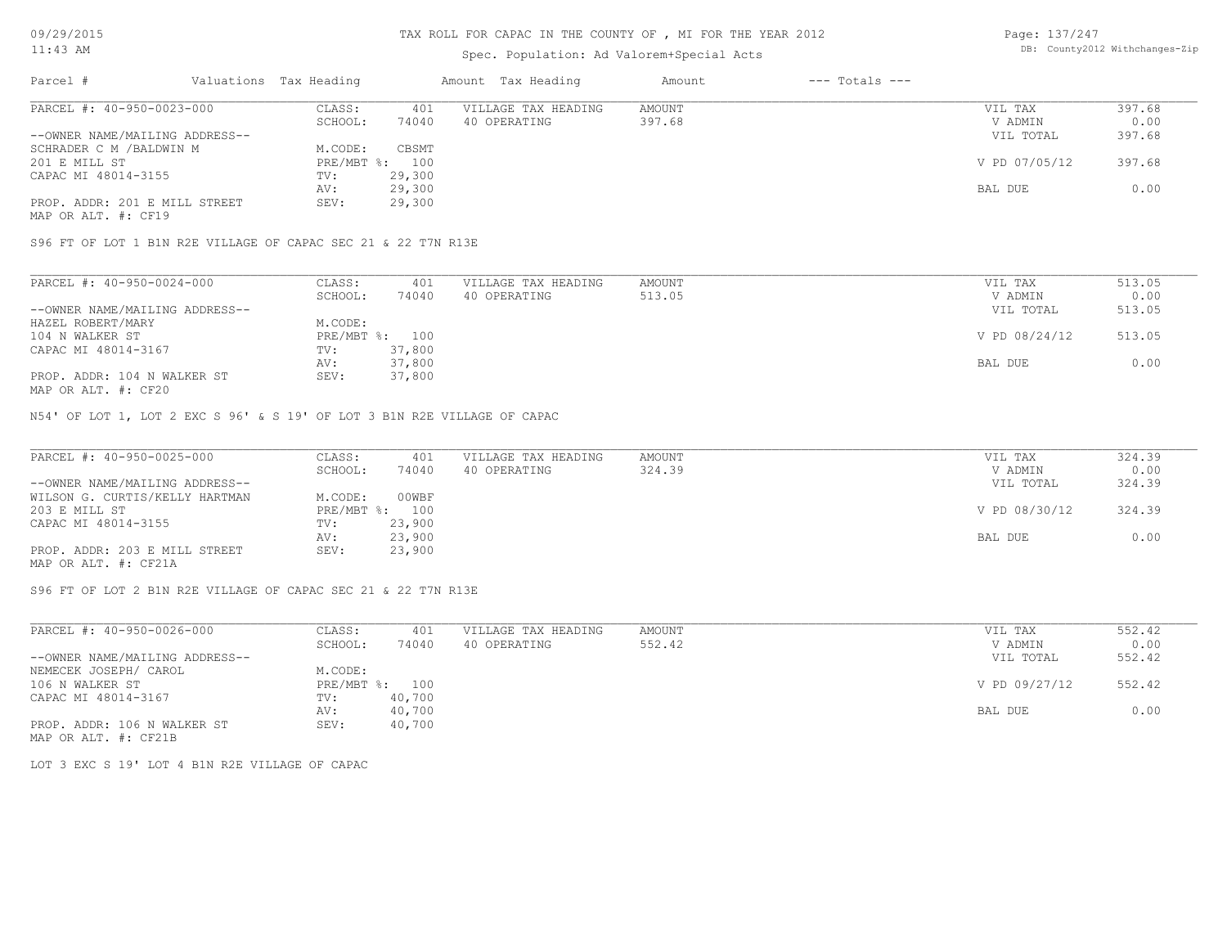# Spec. Population: Ad Valorem+Special Acts

| Page: 137/247 |                                |
|---------------|--------------------------------|
|               | DB: County2012 Withchanges-Zip |

| Parcel #                       | Valuations Tax Heading |        | Amount Tax Heading  | Amount | $---$ Totals $---$ |               |        |
|--------------------------------|------------------------|--------|---------------------|--------|--------------------|---------------|--------|
| PARCEL #: 40-950-0023-000      | CLASS:                 | 401    | VILLAGE TAX HEADING | AMOUNT |                    | VIL TAX       | 397.68 |
|                                | SCHOOL:                | 74040  | 40 OPERATING        | 397.68 |                    | V ADMIN       | 0.00   |
| --OWNER NAME/MAILING ADDRESS-- |                        |        |                     |        |                    | VIL TOTAL     | 397.68 |
| SCHRADER C M / BALDWIN M       | M.CODE:                | CBSMT  |                     |        |                    |               |        |
| 201 E MILL ST                  | PRE/MBT %: 100         |        |                     |        |                    | V PD 07/05/12 | 397.68 |
| CAPAC MI 48014-3155            | TV:                    | 29,300 |                     |        |                    |               |        |
|                                | AV:                    | 29,300 |                     |        |                    | BAL DUE       | 0.00   |
| PROP. ADDR: 201 E MILL STREET  | SEV:                   | 29,300 |                     |        |                    |               |        |
|                                |                        |        |                     |        |                    |               |        |

MAP OR ALT. #: CF19

S96 FT OF LOT 1 B1N R2E VILLAGE OF CAPAC SEC 21 & 22 T7N R13E

| PARCEL #: 40-950-0024-000      | CLASS:  | 401            | VILLAGE TAX HEADING | AMOUNT | VIL TAX       | 513.05 |
|--------------------------------|---------|----------------|---------------------|--------|---------------|--------|
|                                | SCHOOL: | 74040          | 40 OPERATING        | 513.05 | V ADMIN       | 0.00   |
| --OWNER NAME/MAILING ADDRESS-- |         |                |                     |        | VIL TOTAL     | 513.05 |
| HAZEL ROBERT/MARY              | M.CODE: |                |                     |        |               |        |
| 104 N WALKER ST                |         | PRE/MBT %: 100 |                     |        | V PD 08/24/12 | 513.05 |
| CAPAC MI 48014-3167            | TV:     | 37,800         |                     |        |               |        |
|                                | AV:     | 37,800         |                     |        | BAL DUE       | 0.00   |
| PROP. ADDR: 104 N WALKER ST    | SEV:    | 37,800         |                     |        |               |        |
|                                |         |                |                     |        |               |        |

MAP OR ALT. #: CF20

N54' OF LOT 1, LOT 2 EXC S 96' & S 19' OF LOT 3 B1N R2E VILLAGE OF CAPAC

| PARCEL #: 40-950-0025-000      | CLASS:  | 401            | VILLAGE TAX HEADING | AMOUNT | VIL TAX       | 324.39 |
|--------------------------------|---------|----------------|---------------------|--------|---------------|--------|
|                                | SCHOOL: | 74040          | 40 OPERATING        | 324.39 | V ADMIN       | 0.00   |
| --OWNER NAME/MAILING ADDRESS-- |         |                |                     |        | VIL TOTAL     | 324.39 |
| WILSON G. CURTIS/KELLY HARTMAN | M.CODE: | 00WBF          |                     |        |               |        |
| 203 E MILL ST                  |         | PRE/MBT %: 100 |                     |        | V PD 08/30/12 | 324.39 |
| CAPAC MI 48014-3155            | TV:     | 23,900         |                     |        |               |        |
|                                | AV:     | 23,900         |                     |        | BAL DUE       | 0.00   |
| PROP. ADDR: 203 E MILL STREET  | SEV:    | 23,900         |                     |        |               |        |
| MAP OR ALT. #: CF21A           |         |                |                     |        |               |        |

S96 FT OF LOT 2 B1N R2E VILLAGE OF CAPAC SEC 21 & 22 T7N R13E

| PARCEL #: 40-950-0026-000      | CLASS:       | 401    | VILLAGE TAX HEADING | AMOUNT | VIL TAX       | 552.42 |
|--------------------------------|--------------|--------|---------------------|--------|---------------|--------|
|                                | SCHOOL:      | 74040  | 40 OPERATING        | 552.42 | V ADMIN       | 0.00   |
| --OWNER NAME/MAILING ADDRESS-- |              |        |                     |        | VIL TOTAL     | 552.42 |
| NEMECEK JOSEPH/ CAROL          | M.CODE:      |        |                     |        |               |        |
| 106 N WALKER ST                | $PRE/MBT$ %: | 100    |                     |        | V PD 09/27/12 | 552.42 |
| CAPAC MI 48014-3167            | TV:          | 40,700 |                     |        |               |        |
|                                | AV:          | 40,700 |                     |        | BAL DUE       | 0.00   |
| PROP. ADDR: 106 N WALKER ST    | SEV:         | 40,700 |                     |        |               |        |
| MAP OR ALT. #: CF21B           |              |        |                     |        |               |        |

LOT 3 EXC S 19' LOT 4 B1N R2E VILLAGE OF CAPAC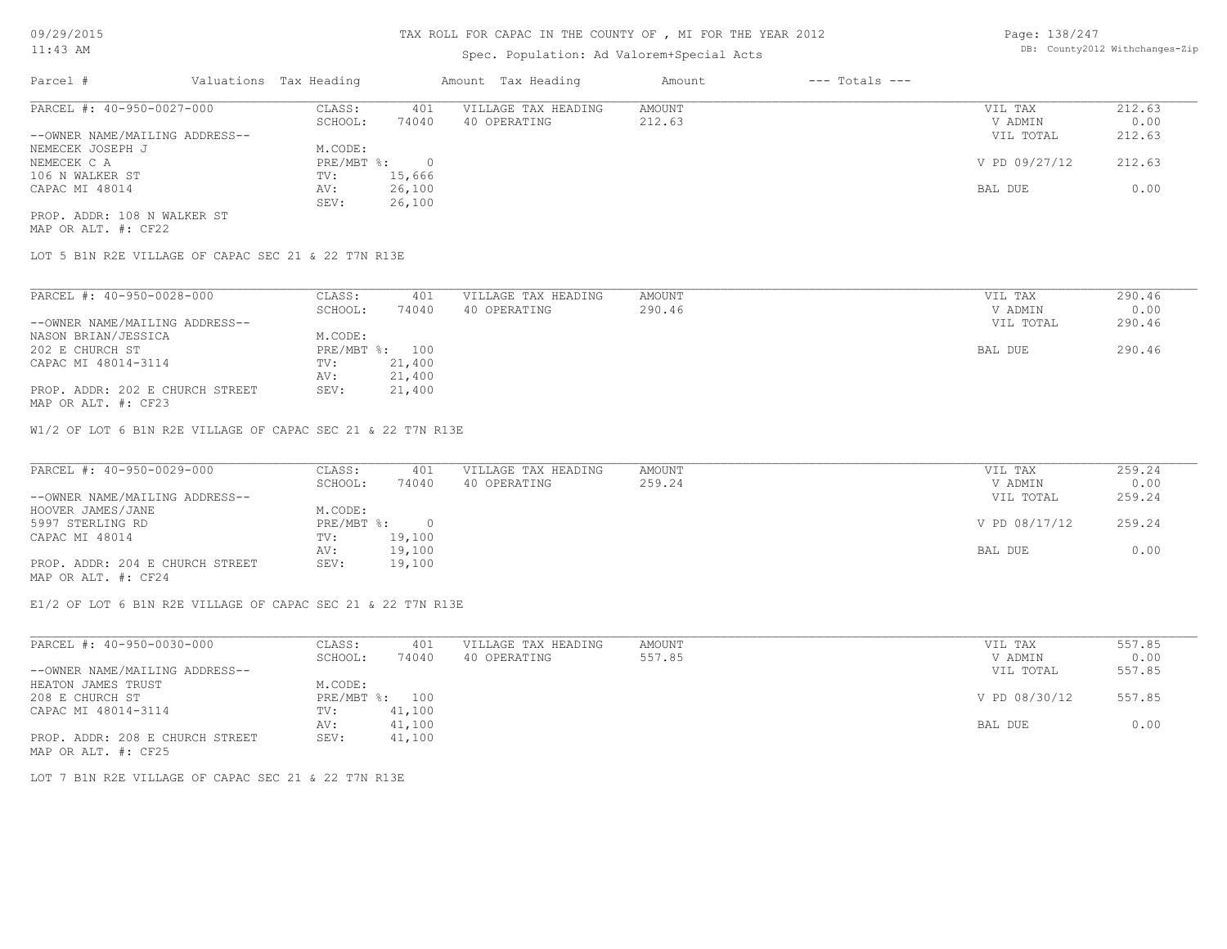# Spec. Population: Ad Valorem+Special Acts

Page: 138/247 DB: County2012 Withchanges-Zip

| Parcel #                       | Valuations Tax Heading |        | Amount Tax Heading  | Amount | $---$ Totals $---$ |               |        |
|--------------------------------|------------------------|--------|---------------------|--------|--------------------|---------------|--------|
| PARCEL #: 40-950-0027-000      | CLASS:                 | 401    | VILLAGE TAX HEADING | AMOUNT |                    | VIL TAX       | 212.63 |
|                                | SCHOOL:                | 74040  | 40 OPERATING        | 212.63 |                    | V ADMIN       | 0.00   |
| --OWNER NAME/MAILING ADDRESS-- |                        |        |                     |        |                    | VIL TOTAL     | 212.63 |
| NEMECEK JOSEPH J               | M.CODE:                |        |                     |        |                    |               |        |
| NEMECEK C A                    | $PRE/MBT$ %:           |        |                     |        |                    | V PD 09/27/12 | 212.63 |
| 106 N WALKER ST                | TV:                    | 15,666 |                     |        |                    |               |        |
| CAPAC MI 48014                 | AV:                    | 26,100 |                     |        |                    | BAL DUE       | 0.00   |
|                                | SEV:                   | 26,100 |                     |        |                    |               |        |
| PROP. ADDR: 108 N WALKER ST    |                        |        |                     |        |                    |               |        |

MAP OR ALT. #: CF22

LOT 5 B1N R2E VILLAGE OF CAPAC SEC 21 & 22 T7N R13E

| PARCEL #: 40-950-0028-000                        | CLASS:     | 401    | VILLAGE TAX HEADING | AMOUNT | VIL TAX   | 290.46 |
|--------------------------------------------------|------------|--------|---------------------|--------|-----------|--------|
|                                                  | SCHOOL:    | 74040  | 40 OPERATING        | 290.46 | V ADMIN   | 0.00   |
| --OWNER NAME/MAILING ADDRESS--                   |            |        |                     |        | VIL TOTAL | 290.46 |
| NASON BRIAN/JESSICA                              | M.CODE:    |        |                     |        |           |        |
| 202 E CHURCH ST                                  | PRE/MBT %: | 100    |                     |        | BAL DUE   | 290.46 |
| CAPAC MI 48014-3114                              | TV:        | 21,400 |                     |        |           |        |
|                                                  | AV:        | 21,400 |                     |        |           |        |
| PROP. ADDR: 202 E CHURCH STREET<br>$\frac{1}{2}$ | SEV:       | 21,400 |                     |        |           |        |

MAP OR ALT. #: CF23

W1/2 OF LOT 6 B1N R2E VILLAGE OF CAPAC SEC 21 & 22 T7N R13E

| PARCEL #: 40-950-0029-000       | CLASS:       | 401    | VILLAGE TAX HEADING | AMOUNT | VIL TAX       | 259.24 |
|---------------------------------|--------------|--------|---------------------|--------|---------------|--------|
|                                 | SCHOOL:      | 74040  | 40 OPERATING        | 259.24 | V ADMIN       | 0.00   |
| --OWNER NAME/MAILING ADDRESS--  |              |        |                     |        | VIL TOTAL     | 259.24 |
| HOOVER JAMES/JANE               | M.CODE:      |        |                     |        |               |        |
| 5997 STERLING RD                | $PRE/MBT$ %: |        |                     |        | V PD 08/17/12 | 259.24 |
| CAPAC MI 48014                  | TV:          | 19,100 |                     |        |               |        |
|                                 | AV:          | 19,100 |                     |        | BAL DUE       | 0.00   |
| PROP. ADDR: 204 E CHURCH STREET | SEV:         | 19,100 |                     |        |               |        |
| MAP OR ALT. #: CF24             |              |        |                     |        |               |        |

E1/2 OF LOT 6 B1N R2E VILLAGE OF CAPAC SEC 21 & 22 T7N R13E

MAP OR ALT. #: CF25 PROP. ADDR: 208 E CHURCH STREET SEV: 41,100 AV: 41,100 AV: 41,100 AV: 41,100 BAL DUE 0.00 CAPAC MI 48014-3114 TV: 41,100<br>AV: 41,100 208 E CHURCH ST PRE/MBT %: 100 V PD 08/30/12 557.85 HEATON JAMES TRUST<br>
208 E CHURCH ST

208 E CHURCH ST

209 E CHURCH ST

209 E CHURCH ST

209 E CHURCH ST

209 E CHURCH ST

209 E CHURCH ST

209 E CHURCH ST

209 E CHURCH ST

209 E CHURCH ST --OWNER NAME/MAILING ADDRESS-- VIL TOTAL 557.85 SCHOOL: 74040 40 OPERATING 557.85 Shows that the second values of  $\sim$  557.85 Shows that the second values of  $\sim$  0.00 PARCEL #: 40-950-0030-000 CLASS: 401 VILLAGE TAX HEADING AMOUNT AMOUNT VIL TAX 557.85<br>SCHOOL: 74040 40 OPERATING 557.85 VADMIN 0.00  $\mathcal{L}_\mathcal{L} = \mathcal{L}_\mathcal{L} = \mathcal{L}_\mathcal{L} = \mathcal{L}_\mathcal{L} = \mathcal{L}_\mathcal{L} = \mathcal{L}_\mathcal{L} = \mathcal{L}_\mathcal{L} = \mathcal{L}_\mathcal{L} = \mathcal{L}_\mathcal{L} = \mathcal{L}_\mathcal{L} = \mathcal{L}_\mathcal{L} = \mathcal{L}_\mathcal{L} = \mathcal{L}_\mathcal{L} = \mathcal{L}_\mathcal{L} = \mathcal{L}_\mathcal{L} = \mathcal{L}_\mathcal{L} = \mathcal{L}_\mathcal{L}$ 

LOT 7 B1N R2E VILLAGE OF CAPAC SEC 21 & 22 T7N R13E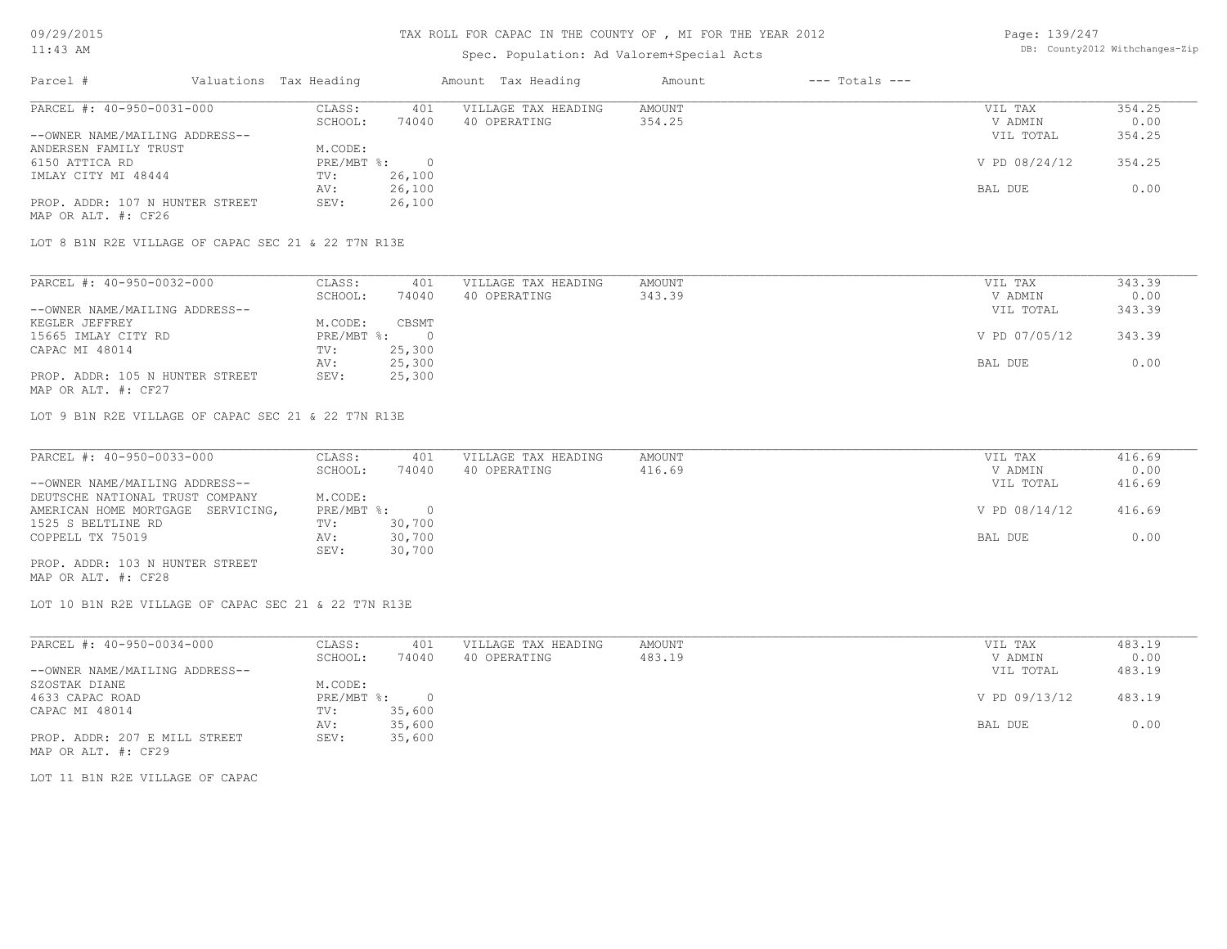# TAX ROLL FOR CAPAC IN THE COUNTY OF , MI FOR THE YEAR 2012

# Spec. Population: Ad Valorem+Special Acts

| Page: 139/247 |                                |
|---------------|--------------------------------|
|               | DB: County2012 Withchanges-Zip |

| Parcel #                                               | Valuations Tax Heading |          | Amount Tax Heading  | Amount | $---$ Totals $---$ |               |        |
|--------------------------------------------------------|------------------------|----------|---------------------|--------|--------------------|---------------|--------|
| PARCEL #: 40-950-0031-000                              | CLASS:                 | 401      | VILLAGE TAX HEADING | AMOUNT |                    | VIL TAX       | 354.25 |
|                                                        | SCHOOL:                | 74040    | 40 OPERATING        | 354.25 |                    | V ADMIN       | 0.00   |
| --OWNER NAME/MAILING ADDRESS--                         |                        |          |                     |        |                    | VIL TOTAL     | 354.25 |
| ANDERSEN FAMILY TRUST                                  | M.CODE:                |          |                     |        |                    |               |        |
| 6150 ATTICA RD                                         | PRE/MBT %:             | $\Omega$ |                     |        |                    | V PD 08/24/12 | 354.25 |
| IMLAY CITY MI 48444                                    | TV:                    | 26,100   |                     |        |                    |               |        |
|                                                        | AV:                    | 26,100   |                     |        |                    | BAL DUE       | 0.00   |
| PROP. ADDR: 107 N HUNTER STREET<br>MAP OR ALT. #: CF26 | SEV:                   | 26,100   |                     |        |                    |               |        |
| LOT 8 B1N R2E VILLAGE OF CAPAC SEC 21 & 22 T7N R13E    |                        |          |                     |        |                    |               |        |
|                                                        |                        |          |                     |        |                    |               |        |
| PARCEL #: 40-950-0032-000                              | CLASS:                 | 401      | VILLAGE TAX HEADING | AMOUNT |                    | VIL TAX       | 343.39 |
|                                                        | SCHOOL:                | 74040    | 40 OPERATING        | 343.39 |                    | V ADMIN       | 0.00   |
| --OWNER NAME/MAILING ADDRESS--                         |                        |          |                     |        |                    | VIL TOTAL     | 343.39 |

|                                 |            |        |               | .      |
|---------------------------------|------------|--------|---------------|--------|
| KEGLER JEFFREY                  | M.CODE:    | CBSMT  |               |        |
| 15665 IMLAY CITY RD             | PRE/MBT %: | $\cap$ | V PD 07/05/12 | 343.39 |
| CAPAC MI 48014                  | TV:        | 25,300 |               |        |
|                                 | AV:        | 25,300 | BAL DUE       | 0.00   |
| PROP. ADDR: 105 N HUNTER STREET | SEV:       | 25,300 |               |        |
| MAP OR ALT. #: CF27             |            |        |               |        |

LOT 9 B1N R2E VILLAGE OF CAPAC SEC 21 & 22 T7N R13E

| PARCEL #: 40-950-0033-000         | CLASS:       | 401    | VILLAGE TAX HEADING | AMOUNT | VIL TAX       | 416.69 |
|-----------------------------------|--------------|--------|---------------------|--------|---------------|--------|
|                                   | SCHOOL:      | 74040  | 40 OPERATING        | 416.69 | V ADMIN       | 0.00   |
| --OWNER NAME/MAILING ADDRESS--    |              |        |                     |        | VIL TOTAL     | 416.69 |
| DEUTSCHE NATIONAL TRUST COMPANY   | M.CODE:      |        |                     |        |               |        |
| AMERICAN HOME MORTGAGE SERVICING, | $PRE/MBT$ %: |        |                     |        | V PD 08/14/12 | 416.69 |
| 1525 S BELTLINE RD                | TV:          | 30,700 |                     |        |               |        |
| COPPELL TX 75019                  | AV:          | 30,700 |                     |        | BAL DUE       | 0.00   |
|                                   | SEV:         | 30,700 |                     |        |               |        |
| PROP. ADDR: 103 N HUNTER STREET   |              |        |                     |        |               |        |

MAP OR ALT. #: CF28

LOT 10 B1N R2E VILLAGE OF CAPAC SEC 21 & 22 T7N R13E

| PARCEL #: 40-950-0034-000      | CLASS:       | 401    | VILLAGE TAX HEADING | AMOUNT | VIL TAX       | 483.19 |
|--------------------------------|--------------|--------|---------------------|--------|---------------|--------|
|                                | SCHOOL:      | 74040  | 40 OPERATING        | 483.19 | V ADMIN       | 0.00   |
| --OWNER NAME/MAILING ADDRESS-- |              |        |                     |        | VIL TOTAL     | 483.19 |
| SZOSTAK DIANE                  | M.CODE:      |        |                     |        |               |        |
| 4633 CAPAC ROAD                | $PRE/MBT$ %: |        |                     |        | V PD 09/13/12 | 483.19 |
| CAPAC MI 48014                 | TV:          | 35,600 |                     |        |               |        |
|                                | AV:          | 35,600 |                     |        | BAL DUE       | 0.00   |
| PROP. ADDR: 207 E MILL STREET  | SEV:         | 35,600 |                     |        |               |        |
| MAP OR ALT. #: CF29            |              |        |                     |        |               |        |

LOT 11 B1N R2E VILLAGE OF CAPAC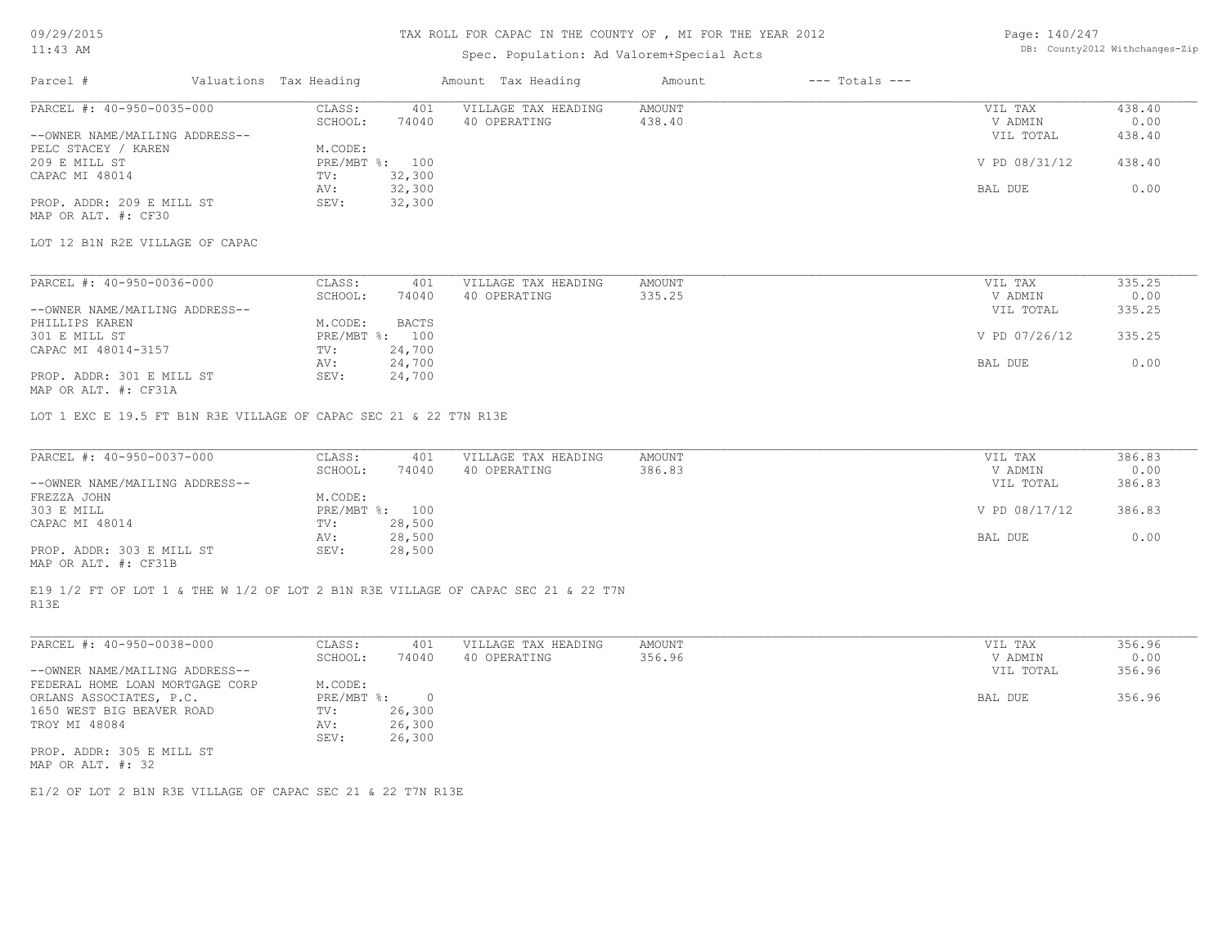### TAX ROLL FOR CAPAC IN THE COUNTY OF , MI FOR THE YEAR 2012

# Spec. Population: Ad Valorem+Special Acts

Page: 140/247 DB: County2012 Withchanges-Zip

| Parcel #                        | Valuations Tax Heading |              | Amount Tax Heading  | Amount | $---$ Totals $---$ |               |        |
|---------------------------------|------------------------|--------------|---------------------|--------|--------------------|---------------|--------|
| PARCEL #: 40-950-0035-000       | CLASS:                 | 401          | VILLAGE TAX HEADING | AMOUNT |                    | VIL TAX       | 438.40 |
|                                 | SCHOOL:                | 74040        | 40 OPERATING        | 438.40 |                    | V ADMIN       | 0.00   |
| --OWNER NAME/MAILING ADDRESS--  |                        |              |                     |        |                    | VIL TOTAL     | 438.40 |
| PELC STACEY / KAREN             | M.CODE:                |              |                     |        |                    |               |        |
| 209 E MILL ST                   | $PRE/MBT$ %:           | 100          |                     |        |                    | V PD 08/31/12 | 438.40 |
| CAPAC MI 48014                  | TV:                    | 32,300       |                     |        |                    |               |        |
|                                 | AV:                    | 32,300       |                     |        |                    | BAL DUE       | 0.00   |
| PROP. ADDR: 209 E MILL ST       | SEV:                   | 32,300       |                     |        |                    |               |        |
| MAP OR ALT. #: CF30             |                        |              |                     |        |                    |               |        |
| LOT 12 B1N R2E VILLAGE OF CAPAC |                        |              |                     |        |                    |               |        |
| PARCEL #: 40-950-0036-000       | CLASS:                 | 401          | VILLAGE TAX HEADING | AMOUNT |                    | VIL TAX       | 335.25 |
|                                 | SCHOOL:                | 74040        | 40 OPERATING        | 335.25 |                    | V ADMIN       | 0.00   |
| --OWNER NAME/MAILING ADDRESS--  |                        |              |                     |        |                    | VIL TOTAL     | 335.25 |
| PHILLIPS KAREN                  | M.CODE:                | <b>BACTS</b> |                     |        |                    |               |        |
| 301 E MILL ST                   | $PRE/MBT$ $\div$       | 100          |                     |        |                    | V PD 07/26/12 | 335.25 |
| CAPAC MI 48014-3157             | TV:                    | 24,700       |                     |        |                    |               |        |
|                                 | AV:                    | 24,700       |                     |        |                    | BAL DUE       | 0.00   |

MAP OR ALT. #: CF31A PROP. ADDR: 301 E MILL ST SEV: 24,700 AV: 24,700 BAL DUE 0.00

LOT 1 EXC E 19.5 FT B1N R3E VILLAGE OF CAPAC SEC 21 & 22 T7N R13E

| PARCEL #: 40-950-0037-000      | CLASS:  | 401            | VILLAGE TAX HEADING | AMOUNT | VIL TAX       | 386.83 |
|--------------------------------|---------|----------------|---------------------|--------|---------------|--------|
|                                | SCHOOL: | 74040          | 40 OPERATING        | 386.83 | V ADMIN       | 0.00   |
| --OWNER NAME/MAILING ADDRESS-- |         |                |                     |        | VIL TOTAL     | 386.83 |
| FREZZA JOHN                    | M.CODE: |                |                     |        |               |        |
| 303 E MILL                     |         | PRE/MBT %: 100 |                     |        | V PD 08/17/12 | 386.83 |
| CAPAC MI 48014                 | TV:     | 28,500         |                     |        |               |        |
|                                | AV:     | 28,500         |                     |        | BAL DUE       | 0.00   |
| PROP. ADDR: 303 E MILL ST      | SEV:    | 28,500         |                     |        |               |        |
|                                |         |                |                     |        |               |        |

MAP OR ALT. #: CF31B

R13E E19 1/2 FT OF LOT 1 & THE W 1/2 OF LOT 2 B1N R3E VILLAGE OF CAPAC SEC 21 & 22 T7N

| PARCEL #: 40-950-0038-000       | CLASS:       | 401    | VILLAGE TAX HEADING | AMOUNT | VIL TAX   | 356.96 |
|---------------------------------|--------------|--------|---------------------|--------|-----------|--------|
|                                 | SCHOOL:      | 74040  | 40 OPERATING        | 356.96 | V ADMIN   | 0.00   |
| --OWNER NAME/MAILING ADDRESS--  |              |        |                     |        | VIL TOTAL | 356.96 |
| FEDERAL HOME LOAN MORTGAGE CORP | M.CODE:      |        |                     |        |           |        |
| ORLANS ASSOCIATES, P.C.         | $PRE/MBT$ %: |        |                     |        | BAL DUE   | 356.96 |
| 1650 WEST BIG BEAVER ROAD       | TV:          | 26,300 |                     |        |           |        |
| TROY MI 48084                   | AV:          | 26,300 |                     |        |           |        |
|                                 | SEV:         | 26,300 |                     |        |           |        |
| PROP. ADDR: 305 E MILL ST       |              |        |                     |        |           |        |
| MAP OR ALT. #: 32               |              |        |                     |        |           |        |

E1/2 OF LOT 2 B1N R3E VILLAGE OF CAPAC SEC 21 & 22 T7N R13E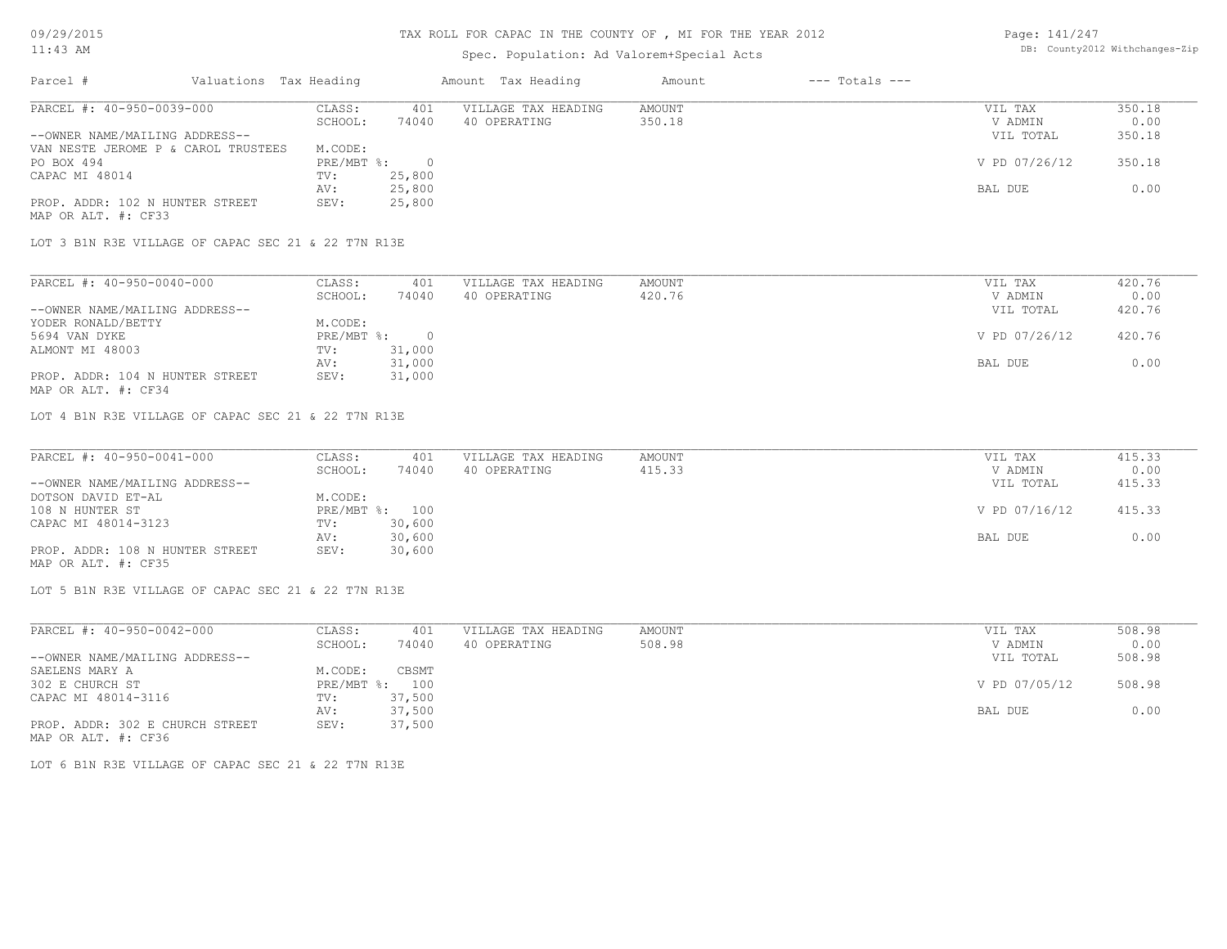# TAX ROLL FOR CAPAC IN THE COUNTY OF , MI FOR THE YEAR 2012

# Spec. Population: Ad Valorem+Special Acts

Page: 141/247 DB: County2012 Withchanges-Zip

| Parcel #                            | Valuations Tax Heading |        | Amount Tax Heading  | Amount | $---$ Totals $---$ |               |        |
|-------------------------------------|------------------------|--------|---------------------|--------|--------------------|---------------|--------|
| PARCEL #: 40-950-0039-000           | CLASS:                 | 401    | VILLAGE TAX HEADING | AMOUNT |                    | VIL TAX       | 350.18 |
|                                     | SCHOOL:                | 74040  | 40 OPERATING        | 350.18 |                    | V ADMIN       | 0.00   |
| --OWNER NAME/MAILING ADDRESS--      |                        |        |                     |        |                    | VIL TOTAL     | 350.18 |
| VAN NESTE JEROME P & CAROL TRUSTEES | M.CODE:                |        |                     |        |                    |               |        |
| PO BOX 494                          | $PRE/MBT$ %:           |        |                     |        |                    | V PD 07/26/12 | 350.18 |
| CAPAC MI 48014                      | TV:                    | 25,800 |                     |        |                    |               |        |
|                                     | AV:                    | 25,800 |                     |        |                    | BAL DUE       | 0.00   |
| PROP. ADDR: 102 N HUNTER STREET     | SEV:                   | 25,800 |                     |        |                    |               |        |
| MAP OR ALT. #: CF33                 |                        |        |                     |        |                    |               |        |

LOT 3 B1N R3E VILLAGE OF CAPAC SEC 21 & 22 T7N R13E

| PARCEL #: 40-950-0040-000       | CLASS:     | 401    | VILLAGE TAX HEADING | AMOUNT | VIL TAX       | 420.76 |
|---------------------------------|------------|--------|---------------------|--------|---------------|--------|
|                                 | SCHOOL:    | 74040  | 40 OPERATING        | 420.76 | V ADMIN       | 0.00   |
| --OWNER NAME/MAILING ADDRESS--  |            |        |                     |        | VIL TOTAL     | 420.76 |
| YODER RONALD/BETTY              | M.CODE:    |        |                     |        |               |        |
| 5694 VAN DYKE                   | PRE/MBT %: |        |                     |        | V PD 07/26/12 | 420.76 |
| ALMONT MI 48003                 | TV:        | 31,000 |                     |        |               |        |
|                                 | AV:        | 31,000 |                     |        | BAL DUE       | 0.00   |
| PROP. ADDR: 104 N HUNTER STREET | SEV:       | 31,000 |                     |        |               |        |
| MAP OR ALT. #: CF34             |            |        |                     |        |               |        |

LOT 4 B1N R3E VILLAGE OF CAPAC SEC 21 & 22 T7N R13E

| PARCEL #: 40-950-0041-000       | CLASS:  | 401            | VILLAGE TAX HEADING | AMOUNT | VIL TAX       | 415.33 |
|---------------------------------|---------|----------------|---------------------|--------|---------------|--------|
|                                 | SCHOOL: | 74040          | 40 OPERATING        | 415.33 | V ADMIN       | 0.00   |
| --OWNER NAME/MAILING ADDRESS--  |         |                |                     |        | VIL TOTAL     | 415.33 |
| DOTSON DAVID ET-AL              | M.CODE: |                |                     |        |               |        |
| 108 N HUNTER ST                 |         | PRE/MBT %: 100 |                     |        | V PD 07/16/12 | 415.33 |
| CAPAC MI 48014-3123             | TV:     | 30,600         |                     |        |               |        |
|                                 | AV:     | 30,600         |                     |        | BAL DUE       | 0.00   |
| PROP. ADDR: 108 N HUNTER STREET | SEV:    | 30,600         |                     |        |               |        |
| MAP OR ALT. #: CF35             |         |                |                     |        |               |        |

LOT 5 B1N R3E VILLAGE OF CAPAC SEC 21 & 22 T7N R13E

| PARCEL #: 40-950-0042-000       | CLASS:  | 401            | VILLAGE TAX HEADING | AMOUNT | VIL TAX       | 508.98 |
|---------------------------------|---------|----------------|---------------------|--------|---------------|--------|
|                                 | SCHOOL: | 74040          | 40 OPERATING        | 508.98 | V ADMIN       | 0.00   |
| --OWNER NAME/MAILING ADDRESS--  |         |                |                     |        | VIL TOTAL     | 508.98 |
| SAELENS MARY A                  | M.CODE: | CBSMT          |                     |        |               |        |
| 302 E CHURCH ST                 |         | PRE/MBT %: 100 |                     |        | V PD 07/05/12 | 508.98 |
| CAPAC MI 48014-3116             | TV:     | 37,500         |                     |        |               |        |
|                                 | AV:     | 37,500         |                     |        | BAL DUE       | 0.00   |
| PROP. ADDR: 302 E CHURCH STREET | SEV:    | 37,500         |                     |        |               |        |
| MAP OR ALT. #: CF36             |         |                |                     |        |               |        |

LOT 6 B1N R3E VILLAGE OF CAPAC SEC 21 & 22 T7N R13E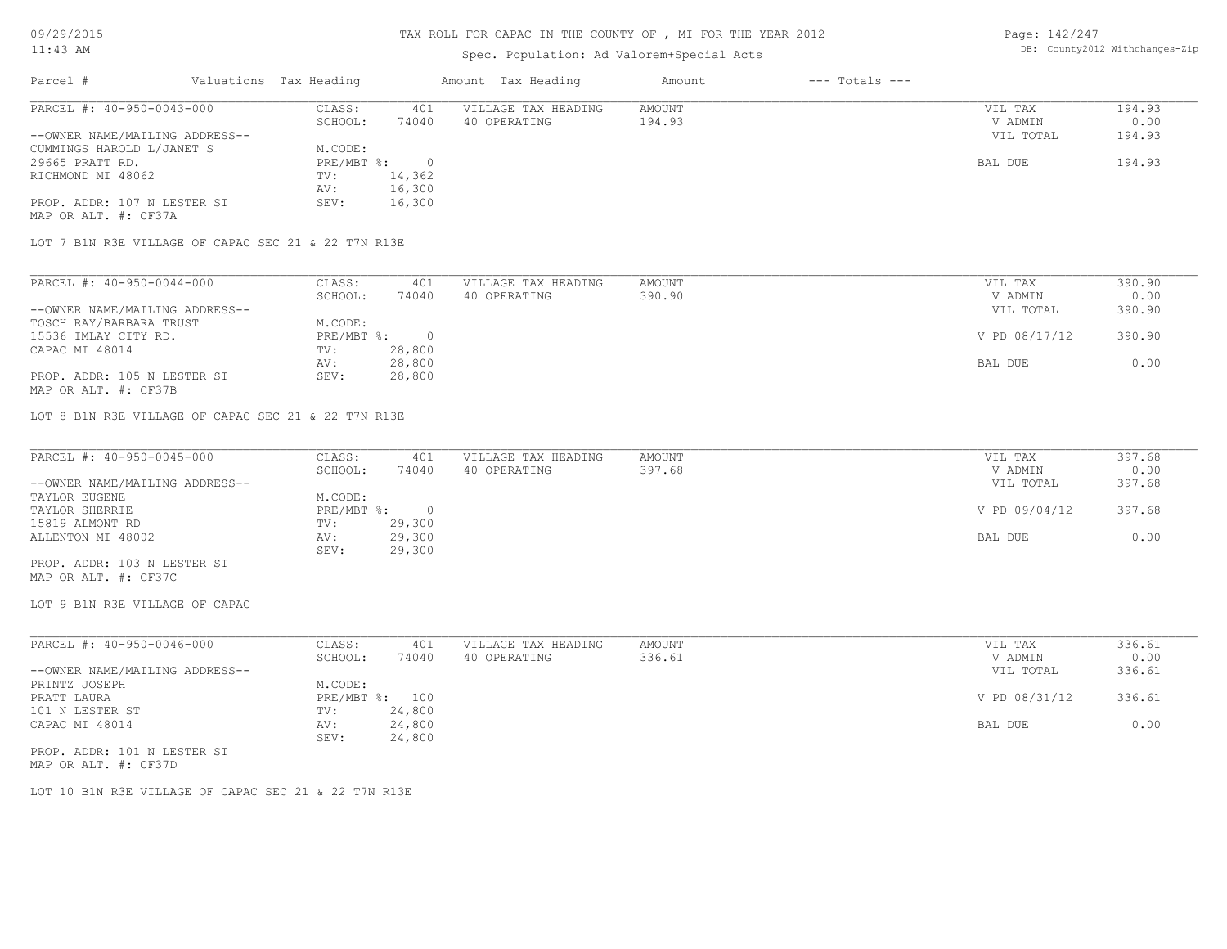# TAX ROLL FOR CAPAC IN THE COUNTY OF , MI FOR THE YEAR 2012

# Spec. Population: Ad Valorem+Special Acts

Page: 142/247 DB: County2012 Withchanges-Zip

| Parcel #                       | Valuations Tax Heading |        | Amount Tax Heading  | Amount | $---$ Totals $---$ |           |        |
|--------------------------------|------------------------|--------|---------------------|--------|--------------------|-----------|--------|
| PARCEL #: 40-950-0043-000      | CLASS:                 | 401    | VILLAGE TAX HEADING | AMOUNT |                    | VIL TAX   | 194.93 |
|                                | SCHOOL:                | 74040  | 40 OPERATING        | 194.93 |                    | V ADMIN   | 0.00   |
| --OWNER NAME/MAILING ADDRESS-- |                        |        |                     |        |                    | VIL TOTAL | 194.93 |
| CUMMINGS HAROLD L/JANET S      | M.CODE:                |        |                     |        |                    |           |        |
| 29665 PRATT RD.                | $PRE/MBT$ %:           |        |                     |        |                    | BAL DUE   | 194.93 |
| RICHMOND MI 48062              | TV:                    | 14,362 |                     |        |                    |           |        |
|                                | AV:                    | 16,300 |                     |        |                    |           |        |
| PROP. ADDR: 107 N LESTER ST    | SEV:                   | 16,300 |                     |        |                    |           |        |
| MAP OR ALT. #: CF37A           |                        |        |                     |        |                    |           |        |
|                                |                        |        |                     |        |                    |           |        |

LOT 7 B1N R3E VILLAGE OF CAPAC SEC 21 & 22 T7N R13E

| PARCEL #: 40-950-0044-000      | CLASS:     | 401    | VILLAGE TAX HEADING | AMOUNT | VIL TAX       | 390.90 |
|--------------------------------|------------|--------|---------------------|--------|---------------|--------|
|                                | SCHOOL:    | 74040  | 40 OPERATING        | 390.90 | V ADMIN       | 0.00   |
| --OWNER NAME/MAILING ADDRESS-- |            |        |                     |        | VIL TOTAL     | 390.90 |
| TOSCH RAY/BARBARA TRUST        | M.CODE:    |        |                     |        |               |        |
| 15536 IMLAY CITY RD.           | PRE/MBT %: |        |                     |        | V PD 08/17/12 | 390.90 |
| CAPAC MI 48014                 | TV:        | 28,800 |                     |        |               |        |
|                                | AV:        | 28,800 |                     |        | BAL DUE       | 0.00   |
| PROP. ADDR: 105 N LESTER ST    | SEV:       | 28,800 |                     |        |               |        |
| MAP OR ALT. #: CF37B           |            |        |                     |        |               |        |

LOT 8 B1N R3E VILLAGE OF CAPAC SEC 21 & 22 T7N R13E

| PARCEL #: 40-950-0045-000      | CLASS:     | 401    | VILLAGE TAX HEADING | AMOUNT | VIL TAX       | 397.68 |
|--------------------------------|------------|--------|---------------------|--------|---------------|--------|
|                                | SCHOOL:    | 74040  | 40 OPERATING        | 397.68 | V ADMIN       | 0.00   |
| --OWNER NAME/MAILING ADDRESS-- |            |        |                     |        | VIL TOTAL     | 397.68 |
| TAYLOR EUGENE                  | M.CODE:    |        |                     |        |               |        |
| TAYLOR SHERRIE                 | PRE/MBT %: |        |                     |        | V PD 09/04/12 | 397.68 |
| 15819 ALMONT RD                | TV:        | 29,300 |                     |        |               |        |
| ALLENTON MI 48002              | AV:        | 29,300 |                     |        | BAL DUE       | 0.00   |
|                                | SEV:       | 29,300 |                     |        |               |        |
| PROP. ADDR: 103 N LESTER ST    |            |        |                     |        |               |        |

MAP OR ALT. #: CF37C

LOT 9 B1N R3E VILLAGE OF CAPAC

| PARCEL #: 40-950-0046-000      | CLASS:  | 401            | VILLAGE TAX HEADING | AMOUNT | VIL TAX       | 336.61 |
|--------------------------------|---------|----------------|---------------------|--------|---------------|--------|
|                                | SCHOOL: | 74040          | 40 OPERATING        | 336.61 | V ADMIN       | 0.00   |
| --OWNER NAME/MAILING ADDRESS-- |         |                |                     |        | VIL TOTAL     | 336.61 |
| PRINTZ JOSEPH                  | M.CODE: |                |                     |        |               |        |
| PRATT LAURA                    |         | PRE/MBT %: 100 |                     |        | V PD 08/31/12 | 336.61 |
| 101 N LESTER ST                | TV:     | 24,800         |                     |        |               |        |
| CAPAC MI 48014                 | AV:     | 24,800         |                     |        | BAL DUE       | 0.00   |
|                                | SEV:    | 24,800         |                     |        |               |        |
| PROP. ADDR: 101 N LESTER ST    |         |                |                     |        |               |        |

MAP OR ALT. #: CF37D

LOT 10 B1N R3E VILLAGE OF CAPAC SEC 21 & 22 T7N R13E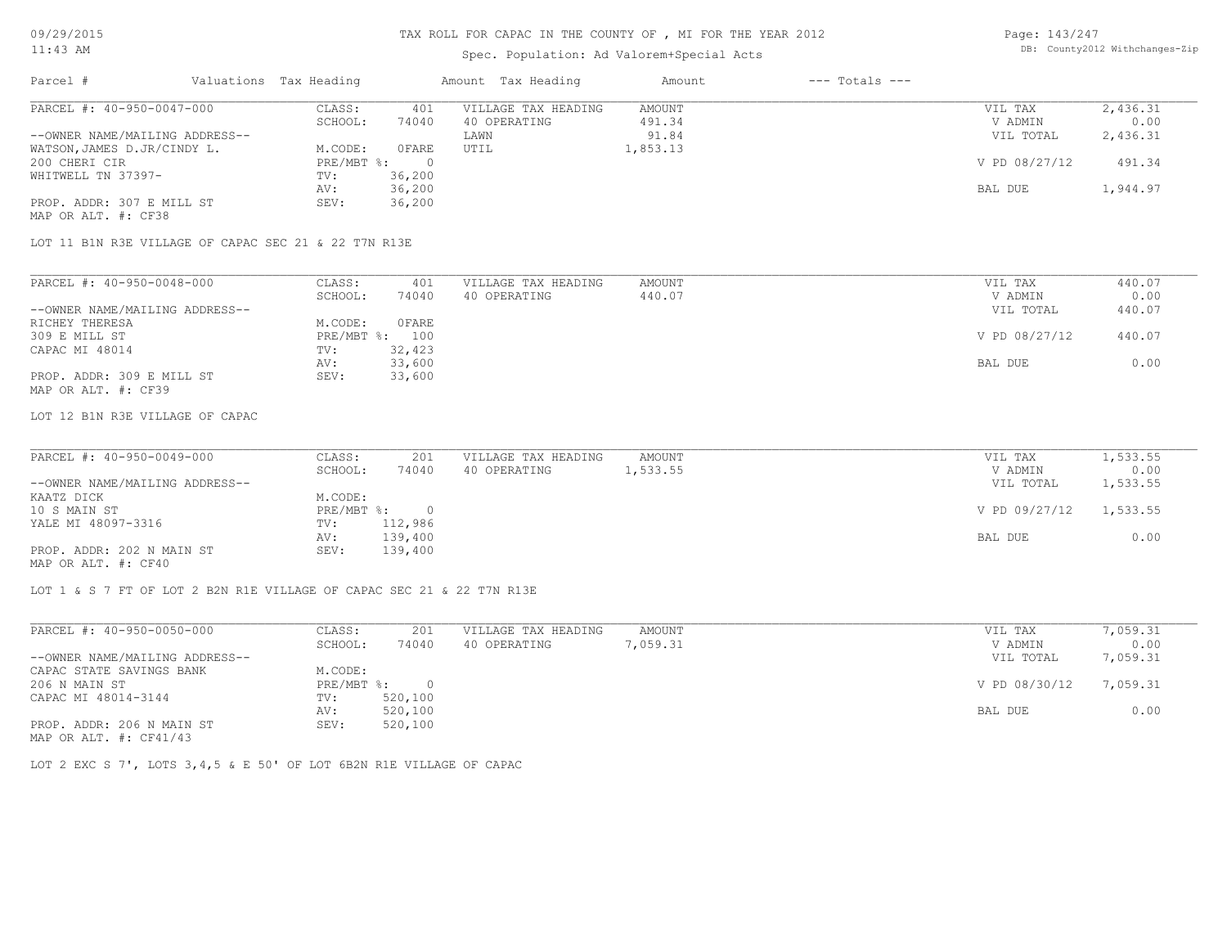# Spec. Population: Ad Valorem+Special Acts

| Page: 143/247 |                                |
|---------------|--------------------------------|
|               | DB: County2012 Withchanges-Zip |

| Parcel #                       |         | Valuations Tax Heading |              | Amount Tax Heading  | Amount   | $---$ Totals $---$ |               |          |
|--------------------------------|---------|------------------------|--------------|---------------------|----------|--------------------|---------------|----------|
| PARCEL #: 40-950-0047-000      |         | CLASS:                 | 401          | VILLAGE TAX HEADING | AMOUNT   |                    | VIL TAX       | 2,436.31 |
|                                | SCHOOL: | 74040                  | 40 OPERATING | 491.34              |          | V ADMIN            | 0.00          |          |
| --OWNER NAME/MAILING ADDRESS-- |         |                        |              | LAWN                | 91.84    |                    | VIL TOTAL     | 2,436.31 |
| WATSON, JAMES D.JR/CINDY L.    |         | M.CODE:                | OFARE        | UTIL                | 1,853.13 |                    |               |          |
| 200 CHERI CIR                  |         | $PRE/MBT$ %:           |              |                     |          |                    | V PD 08/27/12 | 491.34   |
| WHITWELL TN 37397-             |         | TV:                    | 36,200       |                     |          |                    |               |          |
|                                |         | AV:                    | 36,200       |                     |          |                    | BAL DUE       | 1,944.97 |
| PROP. ADDR: 307 E MILL ST      |         | SEV:                   | 36,200       |                     |          |                    |               |          |
| MAP OR ALT. #: CF38            |         |                        |              |                     |          |                    |               |          |

LOT 11 B1N R3E VILLAGE OF CAPAC SEC 21 & 22 T7N R13E

| PARCEL #: 40-950-0048-000      | CLASS:  | 401            | VILLAGE TAX HEADING | AMOUNT | VIL TAX       | 440.07 |
|--------------------------------|---------|----------------|---------------------|--------|---------------|--------|
|                                | SCHOOL: | 74040          | 40 OPERATING        | 440.07 | V ADMIN       | 0.00   |
| --OWNER NAME/MAILING ADDRESS-- |         |                |                     |        | VIL TOTAL     | 440.07 |
| RICHEY THERESA                 | M.CODE: | OFARE          |                     |        |               |        |
| 309 E MILL ST                  |         | PRE/MBT %: 100 |                     |        | V PD 08/27/12 | 440.07 |
| CAPAC MI 48014                 | TV:     | 32,423         |                     |        |               |        |
|                                | AV:     | 33,600         |                     |        | BAL DUE       | 0.00   |
| PROP. ADDR: 309 E MILL ST      | SEV:    | 33,600         |                     |        |               |        |
| MAP OR ALT. #: CF39            |         |                |                     |        |               |        |

LOT 12 B1N R3E VILLAGE OF CAPAC

| PARCEL #: 40-950-0049-000      | CLASS:       | 201     | VILLAGE TAX HEADING | AMOUNT   | VIL TAX       | 1,533.55 |
|--------------------------------|--------------|---------|---------------------|----------|---------------|----------|
|                                | SCHOOL:      | 74040   | 40 OPERATING        | 1,533.55 | V ADMIN       | 0.00     |
| --OWNER NAME/MAILING ADDRESS-- |              |         |                     |          | VIL TOTAL     | 1,533.55 |
| KAATZ DICK                     | M.CODE:      |         |                     |          |               |          |
| 10 S MAIN ST                   | $PRE/MBT$ %: |         |                     |          | V PD 09/27/12 | 1,533.55 |
| YALE MI 48097-3316             | TV:          | 112,986 |                     |          |               |          |
|                                | AV:          | 139,400 |                     |          | BAL DUE       | 0.00     |
| PROP. ADDR: 202 N MAIN ST      | SEV:         | 139,400 |                     |          |               |          |
| MAP OR ALT. #: CF40            |              |         |                     |          |               |          |

LOT 1 & S 7 FT OF LOT 2 B2N R1E VILLAGE OF CAPAC SEC 21 & 22 T7N R13E

| PARCEL #: 40-950-0050-000      | CLASS:     | 201      | VILLAGE TAX HEADING | AMOUNT   | VIL TAX       | 7,059.31 |
|--------------------------------|------------|----------|---------------------|----------|---------------|----------|
|                                | SCHOOL:    | 74040    | 40 OPERATING        | 7,059.31 | V ADMIN       | 0.00     |
| --OWNER NAME/MAILING ADDRESS-- |            |          |                     |          | VIL TOTAL     | 7,059.31 |
| CAPAC STATE SAVINGS BANK       | M.CODE:    |          |                     |          |               |          |
| 206 N MAIN ST                  | PRE/MBT %: | $\Omega$ |                     |          | V PD 08/30/12 | 7,059.31 |
| CAPAC MI 48014-3144            | TV:        | 520,100  |                     |          |               |          |
|                                | AV:        | 520,100  |                     |          | BAL DUE       | 0.00     |
| PROP. ADDR: 206 N MAIN ST      | SEV:       | 520,100  |                     |          |               |          |
| MAP OR ALT. $\#$ : CF41/43     |            |          |                     |          |               |          |

LOT 2 EXC S 7', LOTS 3,4,5 & E 50' OF LOT 6B2N R1E VILLAGE OF CAPAC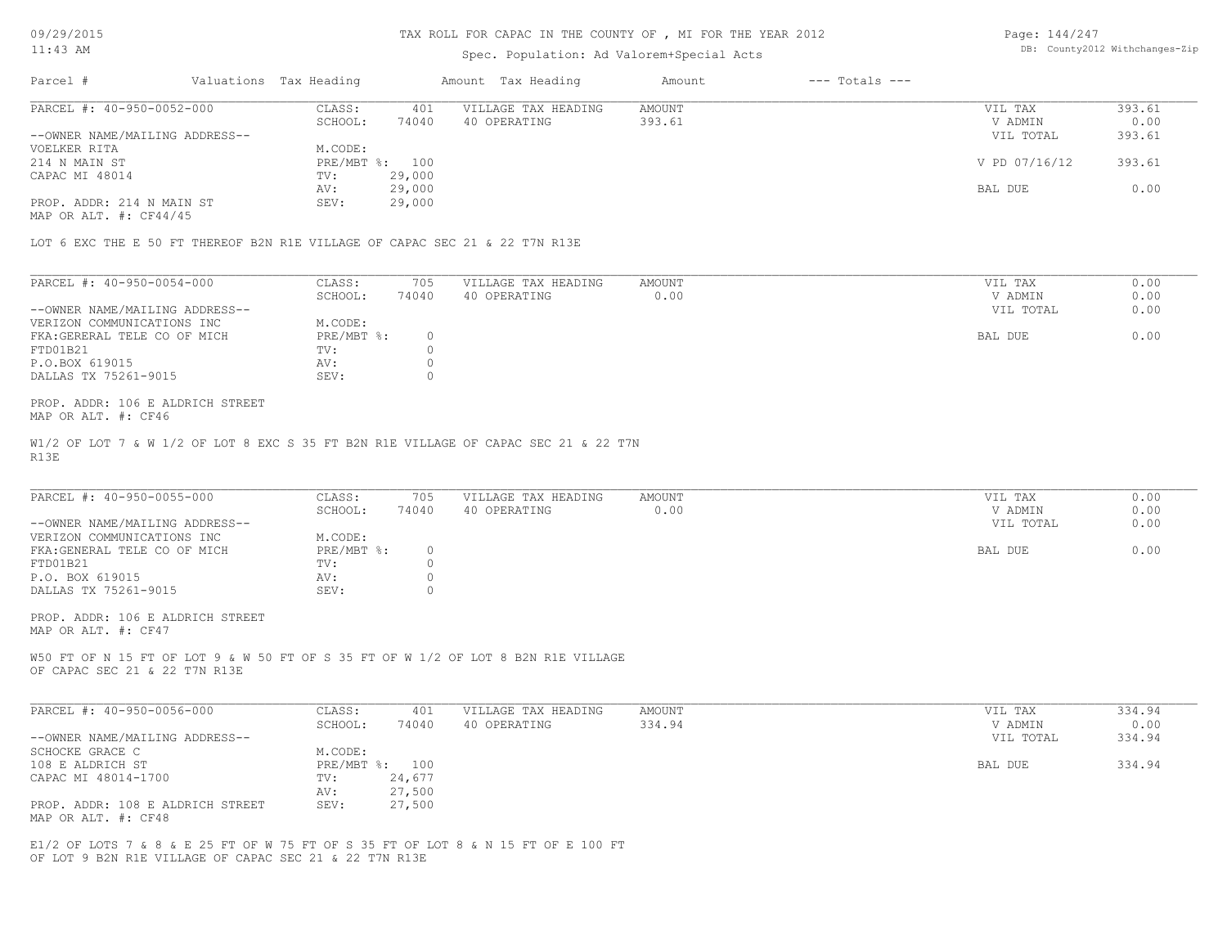#### TAX ROLL FOR CAPAC IN THE COUNTY OF , MI FOR THE YEAR 2012

### Spec. Population: Ad Valorem+Special Acts

Page: 144/247 DB: County2012 Withchanges-Zip

| Parcel #                       | Valuations Tax Heading |        | Amount Tax Heading  | Amount | $---$ Totals $---$ |               |        |
|--------------------------------|------------------------|--------|---------------------|--------|--------------------|---------------|--------|
| PARCEL #: 40-950-0052-000      | CLASS:                 | 401    | VILLAGE TAX HEADING | AMOUNT |                    | VIL TAX       | 393.61 |
|                                | SCHOOL:                | 74040  | 40 OPERATING        | 393.61 |                    | V ADMIN       | 0.00   |
| --OWNER NAME/MAILING ADDRESS-- |                        |        |                     |        |                    | VIL TOTAL     | 393.61 |
| VOELKER RITA                   | M.CODE:                |        |                     |        |                    |               |        |
| 214 N MAIN ST                  | PRE/MBT %: 100         |        |                     |        |                    | V PD 07/16/12 | 393.61 |
| CAPAC MI 48014                 | TV:                    | 29,000 |                     |        |                    |               |        |
|                                | AV:                    | 29,000 |                     |        |                    | BAL DUE       | 0.00   |
| PROP. ADDR: 214 N MAIN ST      | SEV:                   | 29,000 |                     |        |                    |               |        |
|                                |                        |        |                     |        |                    |               |        |

MAP OR ALT. #: CF44/45

LOT 6 EXC THE E 50 FT THEREOF B2N R1E VILLAGE OF CAPAC SEC 21 & 22 T7N R13E

| PARCEL #: 40-950-0054-000      | CLASS:     | 705   | VILLAGE TAX HEADING | AMOUNT | VIL TAX   | 0.00 |
|--------------------------------|------------|-------|---------------------|--------|-----------|------|
|                                | SCHOOL:    | 74040 | 40 OPERATING        | 0.00   | V ADMIN   | 0.00 |
| --OWNER NAME/MAILING ADDRESS-- |            |       |                     |        | VIL TOTAL | 0.00 |
| VERIZON COMMUNICATIONS INC     | M.CODE:    |       |                     |        |           |      |
| FKA: GERERAL TELE CO OF MICH   | PRE/MBT %: |       |                     |        | BAL DUE   | 0.00 |
| FTD01B21                       | TV:        |       |                     |        |           |      |
| P.O.BOX 619015                 | AV:        |       |                     |        |           |      |
| DALLAS TX 75261-9015           | SEV:       |       |                     |        |           |      |

MAP OR ALT. #: CF46 PROP. ADDR: 106 E ALDRICH STREET

R13E W1/2 OF LOT 7 & W 1/2 OF LOT 8 EXC S 35 FT B2N R1E VILLAGE OF CAPAC SEC 21 & 22 T7N

| PARCEL #: 40-950-0055-000<br>AMOUNT<br>VILLAGE TAX HEADING<br>CLASS:<br>705 | VIL TAX   | 0.00 |
|-----------------------------------------------------------------------------|-----------|------|
| 74040<br>40 OPERATING<br>0.00<br>SCHOOL:                                    | V ADMIN   | 0.00 |
| --OWNER NAME/MAILING ADDRESS--                                              | VIL TOTAL | 0.00 |
| VERIZON COMMUNICATIONS INC<br>M.CODE:                                       |           |      |
| PRE/MBT %:<br>FKA: GENERAL TELE CO OF MICH                                  | BAL DUE   | 0.00 |
| FTD01B21<br>TV:                                                             |           |      |
| P.O. BOX 619015<br>AV:                                                      |           |      |
| SEV:<br>DALLAS TX 75261-9015                                                |           |      |

MAP OR ALT. #: CF47 PROP. ADDR: 106 E ALDRICH STREET

OF CAPAC SEC 21 & 22 T7N R13E W50 FT OF N 15 FT OF LOT 9 & W 50 FT OF S 35 FT OF W 1/2 OF LOT 8 B2N R1E VILLAGE

| PARCEL #: 40-950-0056-000        | CLASS:  | 401            | VILLAGE TAX HEADING | AMOUNT | VIL TAX   | 334.94 |
|----------------------------------|---------|----------------|---------------------|--------|-----------|--------|
|                                  | SCHOOL: | 74040          | 40 OPERATING        | 334.94 | V ADMIN   | 0.00   |
| --OWNER NAME/MAILING ADDRESS--   |         |                |                     |        | VIL TOTAL | 334.94 |
| SCHOCKE GRACE C                  | M.CODE: |                |                     |        |           |        |
| 108 E ALDRICH ST                 |         | PRE/MBT %: 100 |                     |        | BAL DUE   | 334.94 |
| CAPAC MI 48014-1700              | TV:     | 24,677         |                     |        |           |        |
|                                  | AV:     | 27,500         |                     |        |           |        |
| PROP. ADDR: 108 E ALDRICH STREET | SEV:    | 27,500         |                     |        |           |        |
| MAP OR ALT. #: CF48              |         |                |                     |        |           |        |

OF LOT 9 B2N R1E VILLAGE OF CAPAC SEC 21 & 22 T7N R13E E1/2 OF LOTS 7 & 8 & E 25 FT OF W 75 FT OF S 35 FT OF LOT 8 & N 15 FT OF E 100 FT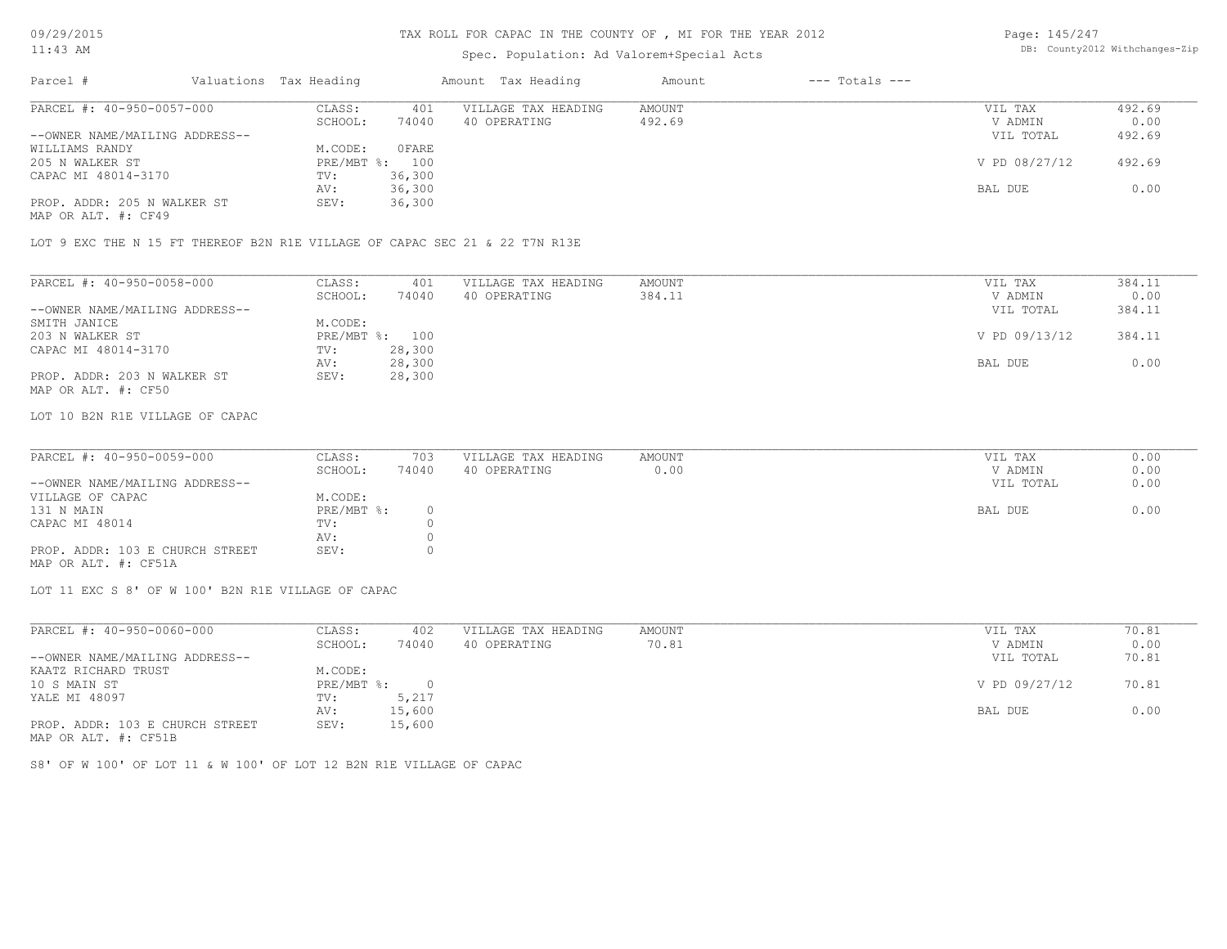# Spec. Population: Ad Valorem+Special Acts

Page: 145/247 DB: County2012 Withchanges-Zip

| Parcel #                       | Valuations Tax Heading |        | Amount Tax Heading  | Amount | $---$ Totals $---$ |               |        |
|--------------------------------|------------------------|--------|---------------------|--------|--------------------|---------------|--------|
| PARCEL #: 40-950-0057-000      | CLASS:                 | 401    | VILLAGE TAX HEADING | AMOUNT |                    | VIL TAX       | 492.69 |
|                                | SCHOOL:                | 74040  | 40 OPERATING        | 492.69 |                    | V ADMIN       | 0.00   |
| --OWNER NAME/MAILING ADDRESS-- |                        |        |                     |        |                    | VIL TOTAL     | 492.69 |
| WILLIAMS RANDY                 | M.CODE:                | OFARE  |                     |        |                    |               |        |
| 205 N WALKER ST                | PRE/MBT %: 100         |        |                     |        |                    | V PD 08/27/12 | 492.69 |
| CAPAC MI 48014-3170            | TV:                    | 36,300 |                     |        |                    |               |        |
|                                | AV:                    | 36,300 |                     |        |                    | BAL DUE       | 0.00   |
| PROP. ADDR: 205 N WALKER ST    | SEV:                   | 36,300 |                     |        |                    |               |        |
|                                |                        |        |                     |        |                    |               |        |

MAP OR ALT. #: CF49

LOT 9 EXC THE N 15 FT THEREOF B2N R1E VILLAGE OF CAPAC SEC 21 & 22 T7N R13E

| PARCEL #: 40-950-0058-000      | CLASS:  | 401            | VILLAGE TAX HEADING | AMOUNT | VIL TAX       | 384.11 |
|--------------------------------|---------|----------------|---------------------|--------|---------------|--------|
|                                | SCHOOL: | 74040          | 40 OPERATING        | 384.11 | V ADMIN       | 0.00   |
| --OWNER NAME/MAILING ADDRESS-- |         |                |                     |        | VIL TOTAL     | 384.11 |
| SMITH JANICE                   | M.CODE: |                |                     |        |               |        |
| 203 N WALKER ST                |         | PRE/MBT %: 100 |                     |        | V PD 09/13/12 | 384.11 |
| CAPAC MI 48014-3170            | TV:     | 28,300         |                     |        |               |        |
|                                | AV:     | 28,300         |                     |        | BAL DUE       | 0.00   |
| PROP. ADDR: 203 N WALKER ST    | SEV:    | 28,300         |                     |        |               |        |
| MAP OR ALT. #: CF50            |         |                |                     |        |               |        |

LOT 10 B2N R1E VILLAGE OF CAPAC

| PARCEL #: 40-950-0059-000       | CLASS:     | 703      | VILLAGE TAX HEADING | AMOUNT | VIL TAX   | 0.00 |
|---------------------------------|------------|----------|---------------------|--------|-----------|------|
|                                 | SCHOOL:    | 74040    | 40 OPERATING        | 0.00   | V ADMIN   | 0.00 |
| --OWNER NAME/MAILING ADDRESS--  |            |          |                     |        | VIL TOTAL | 0.00 |
| VILLAGE OF CAPAC                | M.CODE:    |          |                     |        |           |      |
| 131 N MAIN                      | PRE/MBT %: | $\Omega$ |                     |        | BAL DUE   | 0.00 |
| CAPAC MI 48014                  | TV:        |          |                     |        |           |      |
|                                 | AV:        |          |                     |        |           |      |
| PROP. ADDR: 103 E CHURCH STREET | SEV:       |          |                     |        |           |      |
| MAP OR ALT. #: CF51A            |            |          |                     |        |           |      |

 $\_$  , and the state of the state of the state of the state of the state of the state of the state of the state of the state of the state of the state of the state of the state of the state of the state of the state of the

LOT 11 EXC S 8' OF W 100' B2N R1E VILLAGE OF CAPAC

| PARCEL #: 40-950-0060-000       | CLASS:       | 402    | VILLAGE TAX HEADING | AMOUNT | VIL TAX       | 70.81 |
|---------------------------------|--------------|--------|---------------------|--------|---------------|-------|
|                                 | SCHOOL:      | 74040  | 40 OPERATING        | 70.81  | V ADMIN       | 0.00  |
| --OWNER NAME/MAILING ADDRESS--  |              |        |                     |        | VIL TOTAL     | 70.81 |
| KAATZ RICHARD TRUST             | M.CODE:      |        |                     |        |               |       |
| 10 S MAIN ST                    | $PRE/MBT$ %: |        |                     |        | V PD 09/27/12 | 70.81 |
| YALE MI 48097                   | TV:          | 5,217  |                     |        |               |       |
|                                 | AV:          | 15,600 |                     |        | BAL DUE       | 0.00  |
| PROP. ADDR: 103 E CHURCH STREET | SEV:         | 15,600 |                     |        |               |       |
| $\frac{1}{2}$                   |              |        |                     |        |               |       |

MAP OR ALT. #: CF51B

S8' OF W 100' OF LOT 11 & W 100' OF LOT 12 B2N R1E VILLAGE OF CAPAC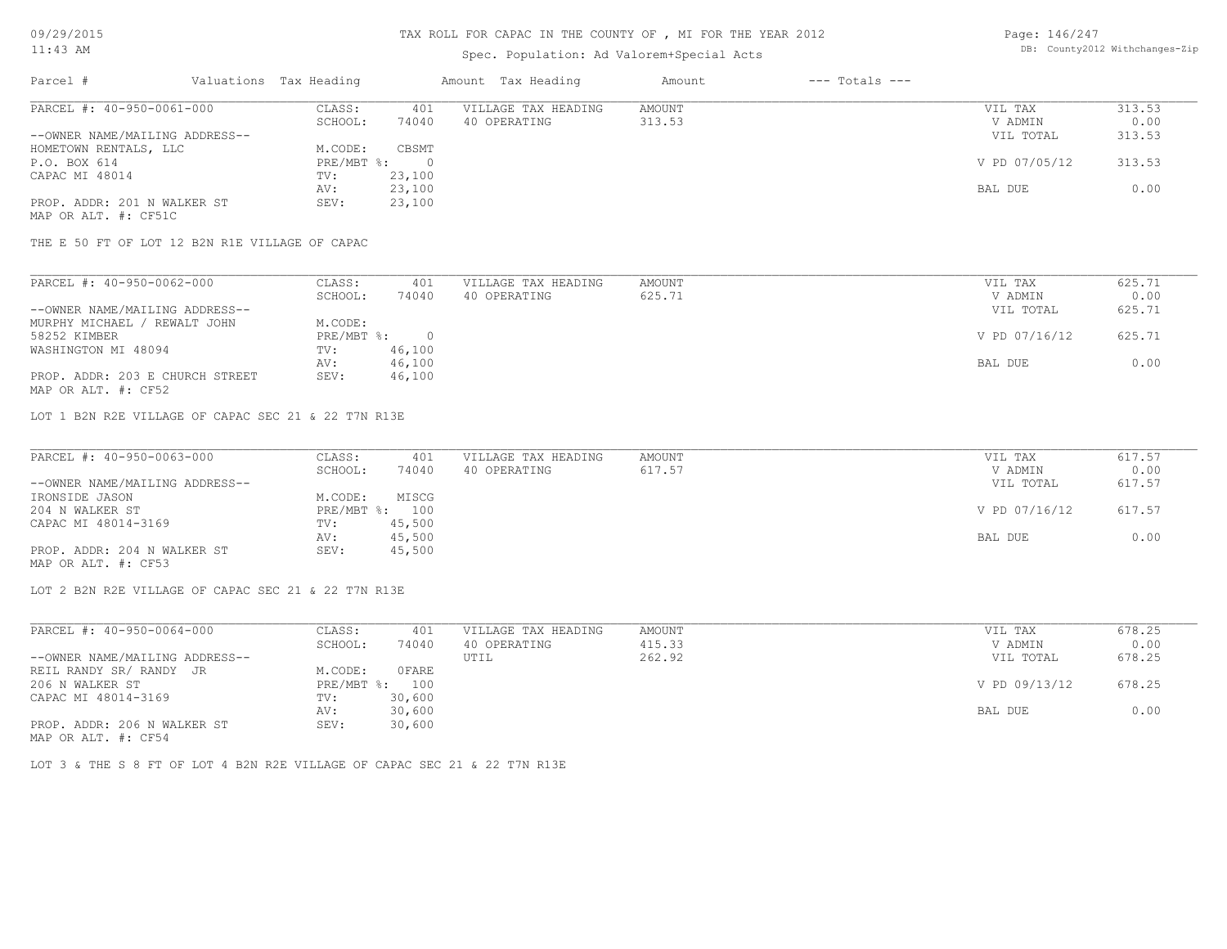# Spec. Population: Ad Valorem+Special Acts

| Page: 146/247 |                                |
|---------------|--------------------------------|
|               | DB: County2012 Withchanges-Zip |

| Parcel #                       | Valuations Tax Heading |        | Amount Tax Heading  | Amount | $---$ Totals $---$ |               |        |
|--------------------------------|------------------------|--------|---------------------|--------|--------------------|---------------|--------|
| PARCEL #: 40-950-0061-000      | CLASS:                 | 401    | VILLAGE TAX HEADING | AMOUNT |                    | VIL TAX       | 313.53 |
|                                | SCHOOL:                | 74040  | 40 OPERATING        | 313.53 |                    | V ADMIN       | 0.00   |
| --OWNER NAME/MAILING ADDRESS-- |                        |        |                     |        |                    | VIL TOTAL     | 313.53 |
| HOMETOWN RENTALS, LLC          | M.CODE:                | CBSMT  |                     |        |                    |               |        |
| P.O. BOX 614                   | $PRE/MBT$ %:           |        |                     |        |                    | V PD 07/05/12 | 313.53 |
| CAPAC MI 48014                 | TV:                    | 23,100 |                     |        |                    |               |        |
|                                | AV:                    | 23,100 |                     |        |                    | BAL DUE       | 0.00   |
| PROP. ADDR: 201 N WALKER ST    | SEV:                   | 23,100 |                     |        |                    |               |        |
| MAP OR ALT. #: CF51C           |                        |        |                     |        |                    |               |        |

THE E 50 FT OF LOT 12 B2N R1E VILLAGE OF CAPAC

| PARCEL #: 40-950-0062-000       | CLASS:     | 401    | VILLAGE TAX HEADING | AMOUNT | VIL TAX       | 625.71 |
|---------------------------------|------------|--------|---------------------|--------|---------------|--------|
|                                 | SCHOOL:    | 74040  | 40 OPERATING        | 625.71 | V ADMIN       | 0.00   |
| --OWNER NAME/MAILING ADDRESS--  |            |        |                     |        | VIL TOTAL     | 625.71 |
| MURPHY MICHAEL / REWALT JOHN    | M.CODE:    |        |                     |        |               |        |
| 58252 KIMBER                    | PRE/MBT %: |        |                     |        | V PD 07/16/12 | 625.71 |
| WASHINGTON MI 48094             | TV:        | 46,100 |                     |        |               |        |
|                                 | AV:        | 46,100 |                     |        | BAL DUE       | 0.00   |
| PROP. ADDR: 203 E CHURCH STREET | SEV:       | 46,100 |                     |        |               |        |
| MAP OR ALT. #: CF52             |            |        |                     |        |               |        |

LOT 1 B2N R2E VILLAGE OF CAPAC SEC 21 & 22 T7N R13E

| PARCEL #: 40-950-0063-000      | CLASS:  | 401            | VILLAGE TAX HEADING | AMOUNT | VIL TAX       | 617.57 |
|--------------------------------|---------|----------------|---------------------|--------|---------------|--------|
|                                | SCHOOL: | 74040          | 40 OPERATING        | 617.57 | V ADMIN       | 0.00   |
| --OWNER NAME/MAILING ADDRESS-- |         |                |                     |        | VIL TOTAL     | 617.57 |
| IRONSIDE JASON                 | M.CODE: | MISCG          |                     |        |               |        |
| 204 N WALKER ST                |         | PRE/MBT %: 100 |                     |        | V PD 07/16/12 | 617.57 |
| CAPAC MI 48014-3169            | TV:     | 45,500         |                     |        |               |        |
|                                | AV:     | 45,500         |                     |        | BAL DUE       | 0.00   |
| PROP. ADDR: 204 N WALKER ST    | SEV:    | 45,500         |                     |        |               |        |
| MAP OR ALT. #: CF53            |         |                |                     |        |               |        |

LOT 2 B2N R2E VILLAGE OF CAPAC SEC 21 & 22 T7N R13E

| PARCEL #: 40-950-0064-000      | CLASS:     | 401    | VILLAGE TAX HEADING | AMOUNT | VIL TAX       | 678.25 |  |
|--------------------------------|------------|--------|---------------------|--------|---------------|--------|--|
|                                | SCHOOL:    | 74040  | 40 OPERATING        | 415.33 | V ADMIN       | 0.00   |  |
| --OWNER NAME/MAILING ADDRESS-- |            |        | UTIL                | 262.92 | VIL TOTAL     | 678.25 |  |
| REIL RANDY SR/ RANDY JR        | M.CODE:    | OFARE  |                     |        |               |        |  |
| 206 N WALKER ST                | PRE/MBT %: | 100    |                     |        | V PD 09/13/12 | 678.25 |  |
| CAPAC MI 48014-3169            | TV:        | 30,600 |                     |        |               |        |  |
|                                | AV:        | 30,600 |                     |        | BAL DUE       | 0.00   |  |
| PROP. ADDR: 206 N WALKER ST    | SEV:       | 30,600 |                     |        |               |        |  |
|                                |            |        |                     |        |               |        |  |

MAP OR ALT. #: CF54

LOT 3 & THE S 8 FT OF LOT 4 B2N R2E VILLAGE OF CAPAC SEC 21 & 22 T7N R13E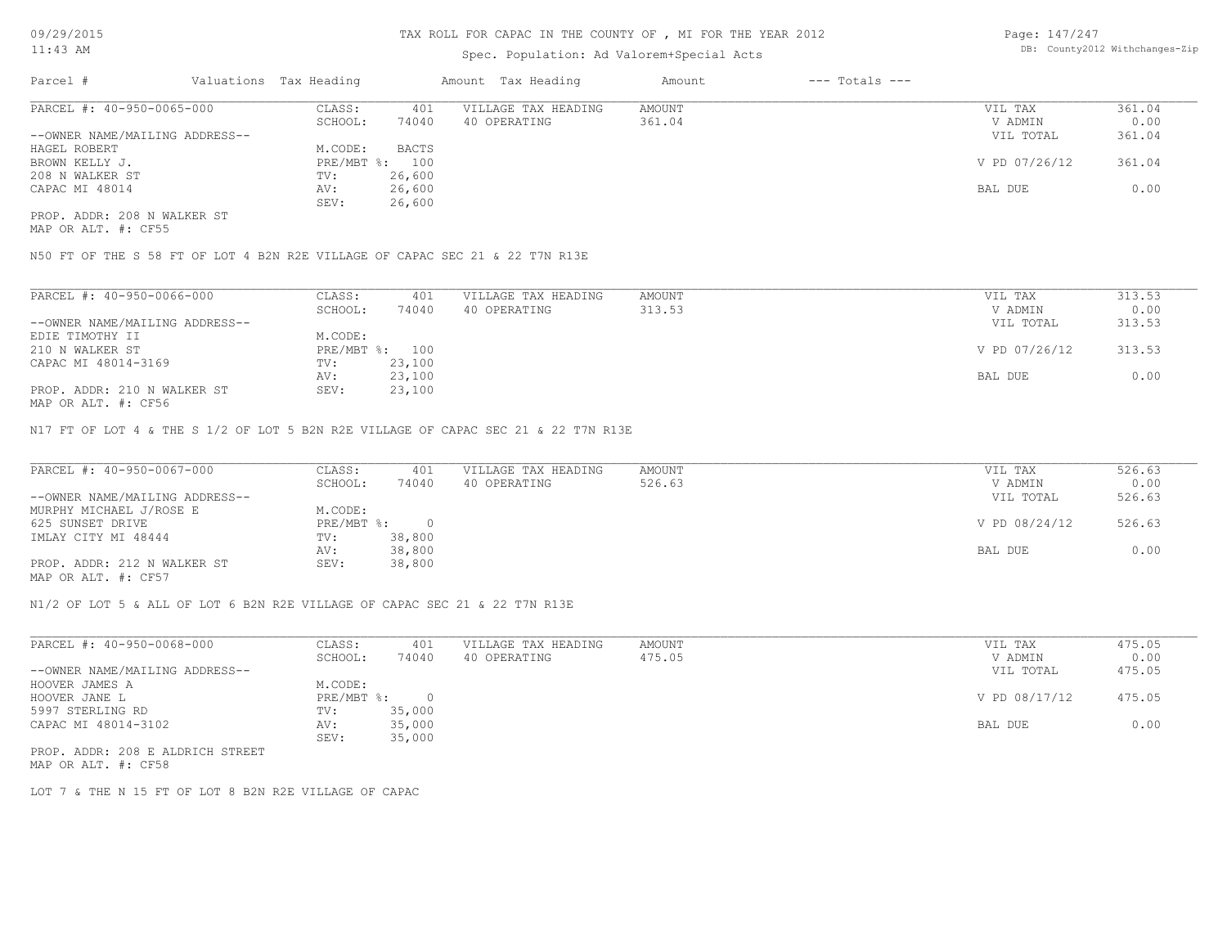# Spec. Population: Ad Valorem+Special Acts

Page: 147/247 DB: County2012 Withchanges-Zip

| Parcel #                       | Valuations Tax Heading |        | Amount Tax Heading  | Amount | $---$ Totals $---$ |               |        |
|--------------------------------|------------------------|--------|---------------------|--------|--------------------|---------------|--------|
| PARCEL #: 40-950-0065-000      | CLASS:                 | 401    | VILLAGE TAX HEADING | AMOUNT |                    | VIL TAX       | 361.04 |
|                                | SCHOOL:                | 74040  | 40 OPERATING        | 361.04 |                    | V ADMIN       | 0.00   |
| --OWNER NAME/MAILING ADDRESS-- |                        |        |                     |        |                    | VIL TOTAL     | 361.04 |
| HAGEL ROBERT                   | M.CODE:                | BACTS  |                     |        |                    |               |        |
| BROWN KELLY J.                 | PRE/MBT %: 100         |        |                     |        |                    | V PD 07/26/12 | 361.04 |
| 208 N WALKER ST                | TV:                    | 26,600 |                     |        |                    |               |        |
| CAPAC MI 48014                 | AV:                    | 26,600 |                     |        |                    | BAL DUE       | 0.00   |
|                                | SEV:                   | 26,600 |                     |        |                    |               |        |
| PROP. ADDR: 208 N WALKER ST    |                        |        |                     |        |                    |               |        |

MAP OR ALT. #: CF55

N50 FT OF THE S 58 FT OF LOT 4 B2N R2E VILLAGE OF CAPAC SEC 21 & 22 T7N R13E

| PARCEL #: 40-950-0066-000      | CLASS:     | 401    | VILLAGE TAX HEADING | AMOUNT | VIL TAX       | 313.53 |
|--------------------------------|------------|--------|---------------------|--------|---------------|--------|
|                                | SCHOOL:    | 74040  | 40 OPERATING        | 313.53 | V ADMIN       | 0.00   |
| --OWNER NAME/MAILING ADDRESS-- |            |        |                     |        | VIL TOTAL     | 313.53 |
| EDIE TIMOTHY II                | M.CODE:    |        |                     |        |               |        |
| 210 N WALKER ST                | PRE/MBT %: | 100    |                     |        | V PD 07/26/12 | 313.53 |
| CAPAC MI 48014-3169            | TV:        | 23,100 |                     |        |               |        |
|                                | AV:        | 23,100 |                     |        | BAL DUE       | 0.00   |
| PROP. ADDR: 210 N WALKER ST    | SEV:       | 23,100 |                     |        |               |        |
| $\frac{1}{2}$                  |            |        |                     |        |               |        |

MAP OR ALT. #: CF56

N17 FT OF LOT 4 & THE S 1/2 OF LOT 5 B2N R2E VILLAGE OF CAPAC SEC 21 & 22 T7N R13E

| PARCEL #: 40-950-0067-000      | CLASS:     | 401    | VILLAGE TAX HEADING | AMOUNT | VIL TAX       | 526.63 |
|--------------------------------|------------|--------|---------------------|--------|---------------|--------|
|                                | SCHOOL:    | 74040  | 40 OPERATING        | 526.63 | V ADMIN       | 0.00   |
| --OWNER NAME/MAILING ADDRESS-- |            |        |                     |        | VIL TOTAL     | 526.63 |
| MURPHY MICHAEL J/ROSE E        | M.CODE:    |        |                     |        |               |        |
| 625 SUNSET DRIVE               | PRE/MBT %: |        |                     |        | V PD 08/24/12 | 526.63 |
| IMLAY CITY MI 48444            | TV:        | 38,800 |                     |        |               |        |
|                                | AV:        | 38,800 |                     |        | BAL DUE       | 0.00   |
| PROP. ADDR: 212 N WALKER ST    | SEV:       | 38,800 |                     |        |               |        |
| MAP OR ALT. #: CF57            |            |        |                     |        |               |        |

N1/2 OF LOT 5 & ALL OF LOT 6 B2N R2E VILLAGE OF CAPAC SEC 21 & 22 T7N R13E

| PARCEL #: 40-950-0068-000      | CLASS:     | 401    | VILLAGE TAX HEADING | AMOUNT | VIL TAX       | 475.05 |
|--------------------------------|------------|--------|---------------------|--------|---------------|--------|
|                                | SCHOOL:    | 74040  | 40 OPERATING        | 475.05 | V ADMIN       | 0.00   |
| --OWNER NAME/MAILING ADDRESS-- |            |        |                     |        | VIL TOTAL     | 475.05 |
| HOOVER JAMES A                 | M.CODE:    |        |                     |        |               |        |
| HOOVER JANE L                  | PRE/MBT %: |        |                     |        | V PD 08/17/12 | 475.05 |
| 5997 STERLING RD               | TV:        | 35,000 |                     |        |               |        |
| CAPAC MI 48014-3102            | AV:        | 35,000 |                     |        | BAL DUE       | 0.00   |
|                                | SEV:       | 35,000 |                     |        |               |        |
|                                |            |        |                     |        |               |        |

MAP OR ALT. #: CF58 PROP. ADDR: 208 E ALDRICH STREET

LOT 7 & THE N 15 FT OF LOT 8 B2N R2E VILLAGE OF CAPAC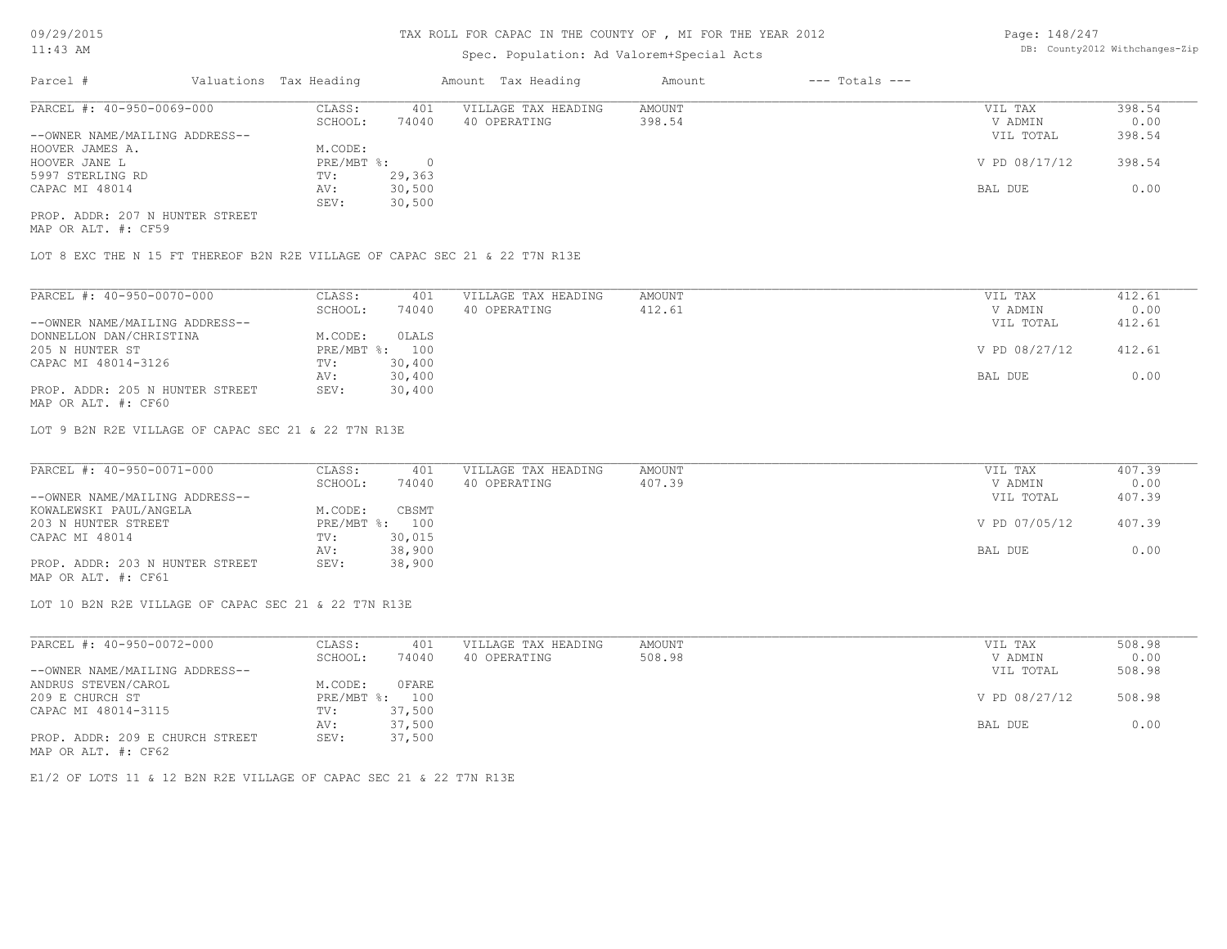# Spec. Population: Ad Valorem+Special Acts

| Page: 148/247 |                                |
|---------------|--------------------------------|
|               | DB: County2012 Withchanges-Zip |

| Parcel #                        | Valuations Tax Heading |        | Amount Tax Heading  | Amount | $---$ Totals $---$ |               |        |
|---------------------------------|------------------------|--------|---------------------|--------|--------------------|---------------|--------|
| PARCEL #: 40-950-0069-000       | CLASS:                 | 401    | VILLAGE TAX HEADING | AMOUNT |                    | VIL TAX       | 398.54 |
|                                 | SCHOOL:                | 74040  | 40 OPERATING        | 398.54 |                    | V ADMIN       | 0.00   |
| --OWNER NAME/MAILING ADDRESS--  |                        |        |                     |        |                    | VIL TOTAL     | 398.54 |
| HOOVER JAMES A.                 | M.CODE:                |        |                     |        |                    |               |        |
| HOOVER JANE L                   | $PRE/MBT$ %:           |        |                     |        |                    | V PD 08/17/12 | 398.54 |
| 5997 STERLING RD                | TV:                    | 29,363 |                     |        |                    |               |        |
| CAPAC MI 48014                  | AV:                    | 30,500 |                     |        |                    | BAL DUE       | 0.00   |
|                                 | SEV:                   | 30,500 |                     |        |                    |               |        |
| PROP. ADDR: 207 N HUNTER STREET |                        |        |                     |        |                    |               |        |

MAP OR ALT. #: CF59

LOT 8 EXC THE N 15 FT THEREOF B2N R2E VILLAGE OF CAPAC SEC 21 & 22 T7N R13E

| CLASS:  | 401    | VILLAGE TAX HEADING | AMOUNT | VIL TAX       | 412.61 |
|---------|--------|---------------------|--------|---------------|--------|
| SCHOOL: | 74040  | 40 OPERATING        | 412.61 | V ADMIN       | 0.00   |
|         |        |                     |        | VIL TOTAL     | 412.61 |
| M.CODE: | OLALS  |                     |        |               |        |
|         | 100    |                     |        | V PD 08/27/12 | 412.61 |
| TV:     | 30,400 |                     |        |               |        |
| AV:     | 30,400 |                     |        | BAL DUE       | 0.00   |
| SEV:    | 30,400 |                     |        |               |        |
|         |        | $PRE/MBT$ %:        |        |               |        |

MAP OR ALT. #: CF60

LOT 9 B2N R2E VILLAGE OF CAPAC SEC 21 & 22 T7N R13E

| PARCEL #: 40-950-0071-000       | CLASS:  | 401            | VILLAGE TAX HEADING | AMOUNT | VIL TAX       | 407.39 |
|---------------------------------|---------|----------------|---------------------|--------|---------------|--------|
|                                 | SCHOOL: | 74040          | 40 OPERATING        | 407.39 | V ADMIN       | 0.00   |
| --OWNER NAME/MAILING ADDRESS--  |         |                |                     |        | VIL TOTAL     | 407.39 |
| KOWALEWSKI PAUL/ANGELA          | M.CODE: | CBSMT          |                     |        |               |        |
| 203 N HUNTER STREET             |         | PRE/MBT %: 100 |                     |        | V PD 07/05/12 | 407.39 |
| CAPAC MI 48014                  | TV:     | 30,015         |                     |        |               |        |
|                                 | AV:     | 38,900         |                     |        | BAL DUE       | 0.00   |
| PROP. ADDR: 203 N HUNTER STREET | SEV:    | 38,900         |                     |        |               |        |
| MAP OR ALT. #: CF61             |         |                |                     |        |               |        |

LOT 10 B2N R2E VILLAGE OF CAPAC SEC 21 & 22 T7N R13E

| PARCEL #: 40-950-0072-000       | CLASS:  | 401            | VILLAGE TAX HEADING | AMOUNT | VIL TAX       | 508.98 |
|---------------------------------|---------|----------------|---------------------|--------|---------------|--------|
|                                 | SCHOOL: | 74040          | 40 OPERATING        | 508.98 | V ADMIN       | 0.00   |
| --OWNER NAME/MAILING ADDRESS--  |         |                |                     |        | VIL TOTAL     | 508.98 |
| ANDRUS STEVEN/CAROL             | M.CODE: | OFARE          |                     |        |               |        |
| 209 E CHURCH ST                 |         | PRE/MBT %: 100 |                     |        | V PD 08/27/12 | 508.98 |
| CAPAC MI 48014-3115             | TV:     | 37,500         |                     |        |               |        |
|                                 | AV:     | 37,500         |                     |        | BAL DUE       | 0.00   |
| PROP. ADDR: 209 E CHURCH STREET | SEV:    | 37,500         |                     |        |               |        |
| MAP OR ALT. #: CF62             |         |                |                     |        |               |        |

E1/2 OF LOTS 11 & 12 B2N R2E VILLAGE OF CAPAC SEC 21 & 22 T7N R13E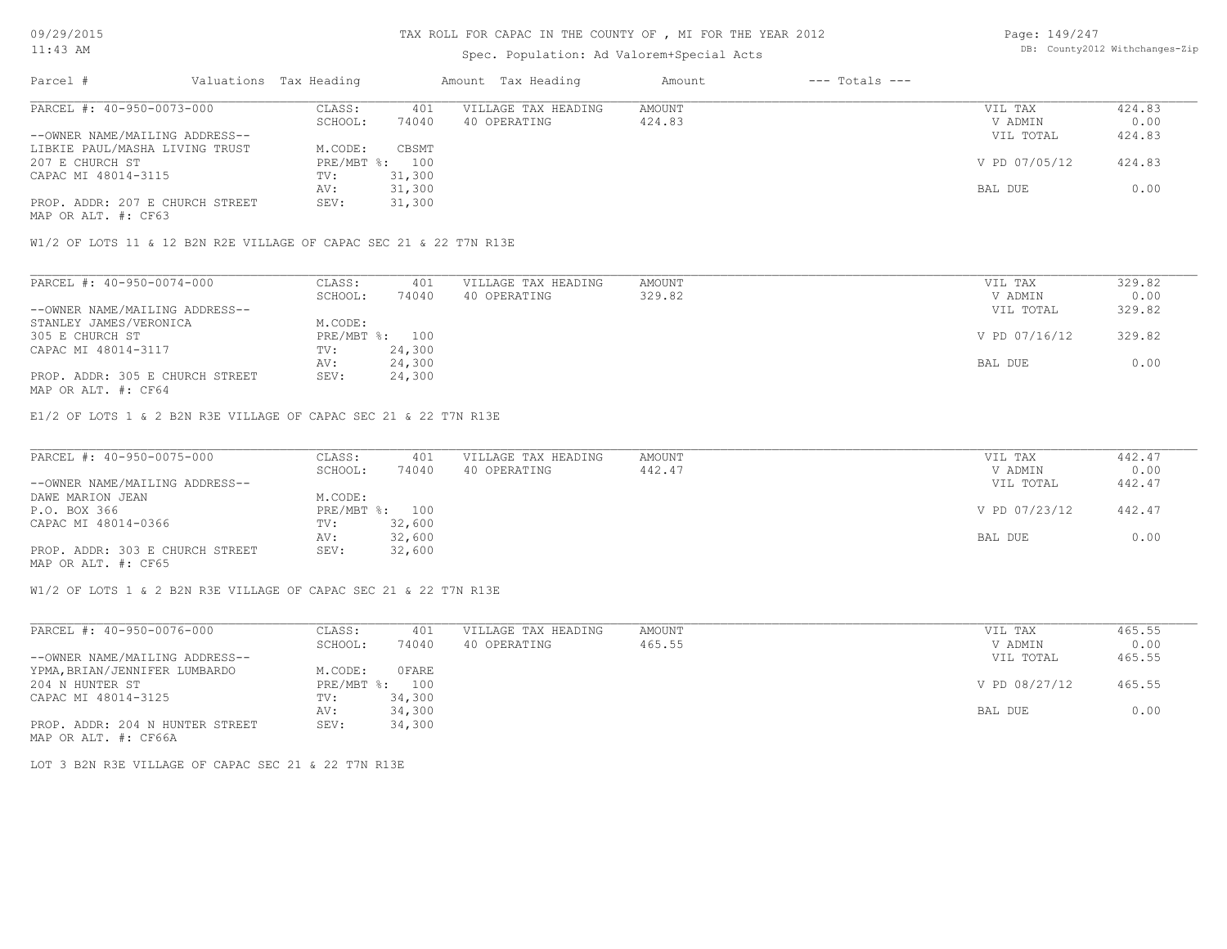# Spec. Population: Ad Valorem+Special Acts

Page: 149/247 DB: County2012 Withchanges-Zip

| Parcel #                        | Valuations Tax Heading |                | Amount Tax Heading  | Amount | $---$ Totals $---$ |               |        |
|---------------------------------|------------------------|----------------|---------------------|--------|--------------------|---------------|--------|
| PARCEL #: 40-950-0073-000       | CLASS:                 | 401            | VILLAGE TAX HEADING | AMOUNT |                    | VIL TAX       | 424.83 |
|                                 | SCHOOL:                | 74040          | 40 OPERATING        | 424.83 |                    | V ADMIN       | 0.00   |
| --OWNER NAME/MAILING ADDRESS--  |                        |                |                     |        |                    | VIL TOTAL     | 424.83 |
| LIBKIE PAUL/MASHA LIVING TRUST  | M.CODE:                | CBSMT          |                     |        |                    |               |        |
| 207 E CHURCH ST                 |                        | PRE/MBT %: 100 |                     |        |                    | V PD 07/05/12 | 424.83 |
| CAPAC MI 48014-3115             | TV:                    | 31,300         |                     |        |                    |               |        |
|                                 | AV:                    | 31,300         |                     |        |                    | BAL DUE       | 0.00   |
| PROP. ADDR: 207 E CHURCH STREET | SEV:                   | 31,300         |                     |        |                    |               |        |
|                                 |                        |                |                     |        |                    |               |        |

MAP OR ALT. #: CF63

W1/2 OF LOTS 11 & 12 B2N R2E VILLAGE OF CAPAC SEC 21 & 22 T7N R13E

| PARCEL #: 40-950-0074-000       | CLASS:  | 401            | VILLAGE TAX HEADING | AMOUNT | VIL TAX       | 329.82 |
|---------------------------------|---------|----------------|---------------------|--------|---------------|--------|
|                                 | SCHOOL: | 74040          | 40 OPERATING        | 329.82 | V ADMIN       | 0.00   |
| --OWNER NAME/MAILING ADDRESS--  |         |                |                     |        | VIL TOTAL     | 329.82 |
| STANLEY JAMES/VERONICA          | M.CODE: |                |                     |        |               |        |
| 305 E CHURCH ST                 |         | PRE/MBT %: 100 |                     |        | V PD 07/16/12 | 329.82 |
| CAPAC MI 48014-3117             | TV:     | 24,300         |                     |        |               |        |
|                                 | AV:     | 24,300         |                     |        | BAL DUE       | 0.00   |
| PROP. ADDR: 305 E CHURCH STREET | SEV:    | 24,300         |                     |        |               |        |
| MAP OR ALT. #: CF64             |         |                |                     |        |               |        |

E1/2 OF LOTS 1 & 2 B2N R3E VILLAGE OF CAPAC SEC 21 & 22 T7N R13E

| PARCEL #: 40-950-0075-000       | CLASS:  | 401            | VILLAGE TAX HEADING | AMOUNT | VIL TAX       | 442.47 |
|---------------------------------|---------|----------------|---------------------|--------|---------------|--------|
|                                 | SCHOOL: | 74040          | 40 OPERATING        | 442.47 | V ADMIN       | 0.00   |
| --OWNER NAME/MAILING ADDRESS--  |         |                |                     |        | VIL TOTAL     | 442.47 |
| DAWE MARION JEAN                | M.CODE: |                |                     |        |               |        |
| P.O. BOX 366                    |         | PRE/MBT %: 100 |                     |        | V PD 07/23/12 | 442.47 |
| CAPAC MI 48014-0366             | TV:     | 32,600         |                     |        |               |        |
|                                 | AV:     | 32,600         |                     |        | BAL DUE       | 0.00   |
| PROP. ADDR: 303 E CHURCH STREET | SEV:    | 32,600         |                     |        |               |        |
| MAP OR ALT. #: CF65             |         |                |                     |        |               |        |

W1/2 OF LOTS 1 & 2 B2N R3E VILLAGE OF CAPAC SEC 21 & 22 T7N R13E

| PARCEL #: 40-950-0076-000       | CLASS:     | 401    | VILLAGE TAX HEADING | AMOUNT | VIL TAX       | 465.55 |
|---------------------------------|------------|--------|---------------------|--------|---------------|--------|
|                                 | SCHOOL:    | 74040  | 40 OPERATING        | 465.55 | V ADMIN       | 0.00   |
| --OWNER NAME/MAILING ADDRESS--  |            |        |                     |        | VIL TOTAL     | 465.55 |
| YPMA, BRIAN/JENNIFER LUMBARDO   | M.CODE:    | OFARE  |                     |        |               |        |
| 204 N HUNTER ST                 | PRE/MBT %: | 100    |                     |        | V PD 08/27/12 | 465.55 |
| CAPAC MI 48014-3125             | TV:        | 34,300 |                     |        |               |        |
|                                 | AV:        | 34,300 |                     |        | BAL DUE       | 0.00   |
| PROP. ADDR: 204 N HUNTER STREET | SEV:       | 34,300 |                     |        |               |        |
| MAP OR ALT. #: CF66A            |            |        |                     |        |               |        |

LOT 3 B2N R3E VILLAGE OF CAPAC SEC 21 & 22 T7N R13E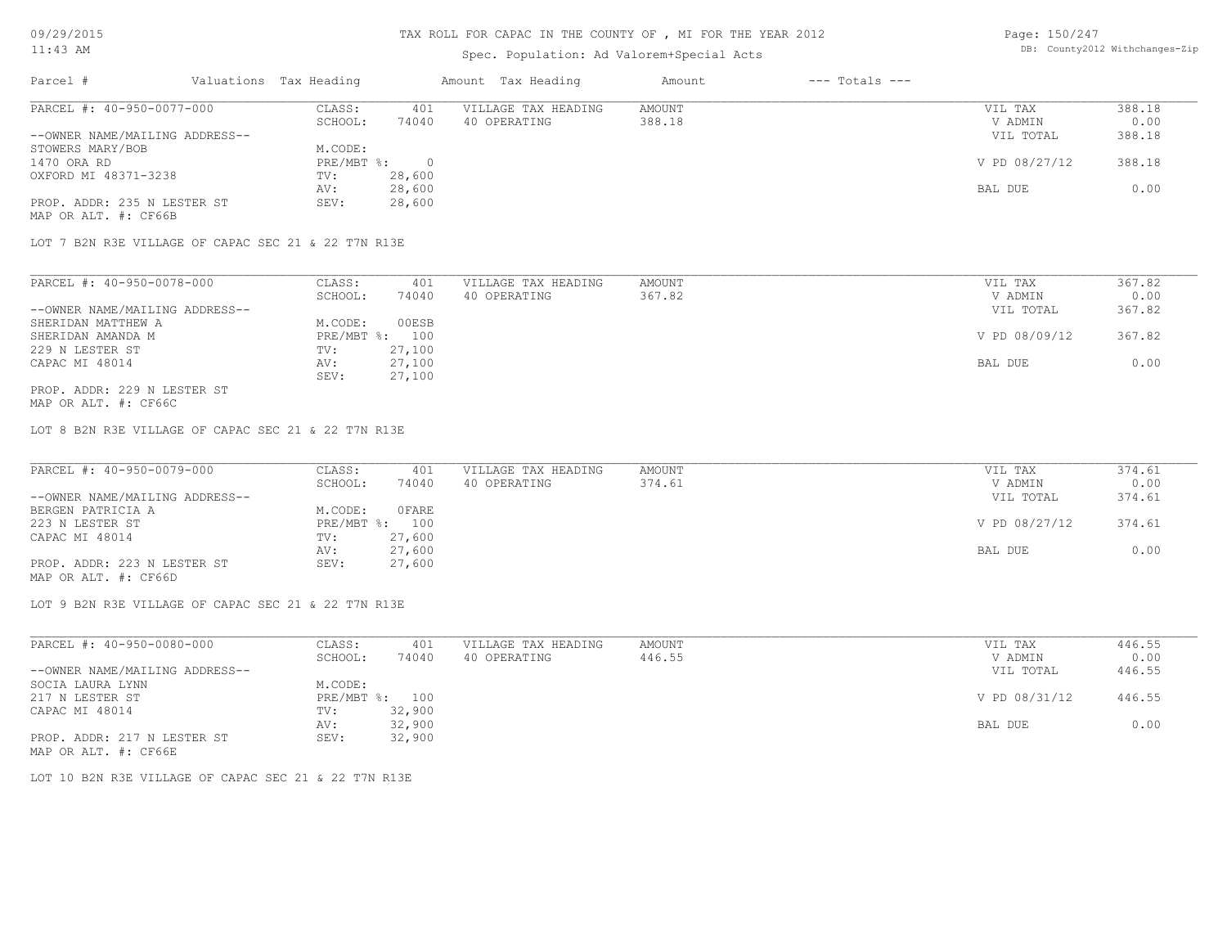### TAX ROLL FOR CAPAC IN THE COUNTY OF , MI FOR THE YEAR 2012

# Spec. Population: Ad Valorem+Special Acts

Page: 150/247 DB: County2012 Withchanges-Zip

| Parcel #                       | Valuations Tax Heading |        | Amount Tax Heading  | Amount | $---$ Totals $---$ |               |        |
|--------------------------------|------------------------|--------|---------------------|--------|--------------------|---------------|--------|
| PARCEL #: 40-950-0077-000      | CLASS:                 | 401    | VILLAGE TAX HEADING | AMOUNT |                    | VIL TAX       | 388.18 |
|                                | SCHOOL:                | 74040  | 40 OPERATING        | 388.18 |                    | V ADMIN       | 0.00   |
| --OWNER NAME/MAILING ADDRESS-- |                        |        |                     |        |                    | VIL TOTAL     | 388.18 |
| STOWERS MARY/BOB               | M.CODE:                |        |                     |        |                    |               |        |
| 1470 ORA RD                    | PRE/MBT %:             |        |                     |        |                    | V PD 08/27/12 | 388.18 |
| OXFORD MI 48371-3238           | TV:                    | 28,600 |                     |        |                    |               |        |
|                                | AV:                    | 28,600 |                     |        |                    | BAL DUE       | 0.00   |
| PROP. ADDR: 235 N LESTER ST    | SEV:                   | 28,600 |                     |        |                    |               |        |
| MAP OR ALT. #: CF66B           |                        |        |                     |        |                    |               |        |

LOT 7 B2N R3E VILLAGE OF CAPAC SEC 21 & 22 T7N R13E

| PARCEL #: 40-950-0078-000      | CLASS:     | 401    | VILLAGE TAX HEADING | AMOUNT | VIL TAX       | 367.82 |
|--------------------------------|------------|--------|---------------------|--------|---------------|--------|
|                                | SCHOOL:    | 74040  | 40 OPERATING        | 367.82 | V ADMIN       | 0.00   |
| --OWNER NAME/MAILING ADDRESS-- |            |        |                     |        | VIL TOTAL     | 367.82 |
| SHERIDAN MATTHEW A             | M.CODE:    | 00ESB  |                     |        |               |        |
| SHERIDAN AMANDA M              | PRE/MBT %: | 100    |                     |        | V PD 08/09/12 | 367.82 |
| 229 N LESTER ST                | TV:        | 27,100 |                     |        |               |        |
| CAPAC MI 48014                 | AV:        | 27,100 |                     |        | BAL DUE       | 0.00   |
|                                | SEV:       | 27,100 |                     |        |               |        |
| PROP. ADDR: 229 N LESTER ST    |            |        |                     |        |               |        |

MAP OR ALT. #: CF66C

LOT 8 B2N R3E VILLAGE OF CAPAC SEC 21 & 22 T7N R13E

| PARCEL #: 40-950-0079-000      | CLASS:  | 401            | VILLAGE TAX HEADING | AMOUNT | VIL TAX       | 374.61 |
|--------------------------------|---------|----------------|---------------------|--------|---------------|--------|
|                                | SCHOOL: | 74040          | 40 OPERATING        | 374.61 | V ADMIN       | 0.00   |
| --OWNER NAME/MAILING ADDRESS-- |         |                |                     |        | VIL TOTAL     | 374.61 |
| BERGEN PATRICIA A              | M.CODE: | OFARE          |                     |        |               |        |
| 223 N LESTER ST                |         | PRE/MBT %: 100 |                     |        | V PD 08/27/12 | 374.61 |
| CAPAC MI 48014                 | TV:     | 27,600         |                     |        |               |        |
|                                | AV:     | 27,600         |                     |        | BAL DUE       | 0.00   |
| PROP. ADDR: 223 N LESTER ST    | SEV:    | 27,600         |                     |        |               |        |
| MAP OR ALT. #: CF66D           |         |                |                     |        |               |        |

LOT 9 B2N R3E VILLAGE OF CAPAC SEC 21 & 22 T7N R13E

| PARCEL #: 40-950-0080-000      | CLASS:  | 401            | VILLAGE TAX HEADING | AMOUNT | VIL TAX       | 446.55 |
|--------------------------------|---------|----------------|---------------------|--------|---------------|--------|
|                                | SCHOOL: | 74040          | 40 OPERATING        | 446.55 | V ADMIN       | 0.00   |
| --OWNER NAME/MAILING ADDRESS-- |         |                |                     |        | VIL TOTAL     | 446.55 |
| SOCIA LAURA LYNN               | M.CODE: |                |                     |        |               |        |
| 217 N LESTER ST                |         | PRE/MBT %: 100 |                     |        | V PD 08/31/12 | 446.55 |
| CAPAC MI 48014                 | TV:     | 32,900         |                     |        |               |        |
|                                | AV:     | 32,900         |                     |        | BAL DUE       | 0.00   |
| PROP. ADDR: 217 N LESTER ST    | SEV:    | 32,900         |                     |        |               |        |
| MAP OR ALT. #: CF66E           |         |                |                     |        |               |        |

LOT 10 B2N R3E VILLAGE OF CAPAC SEC 21 & 22 T7N R13E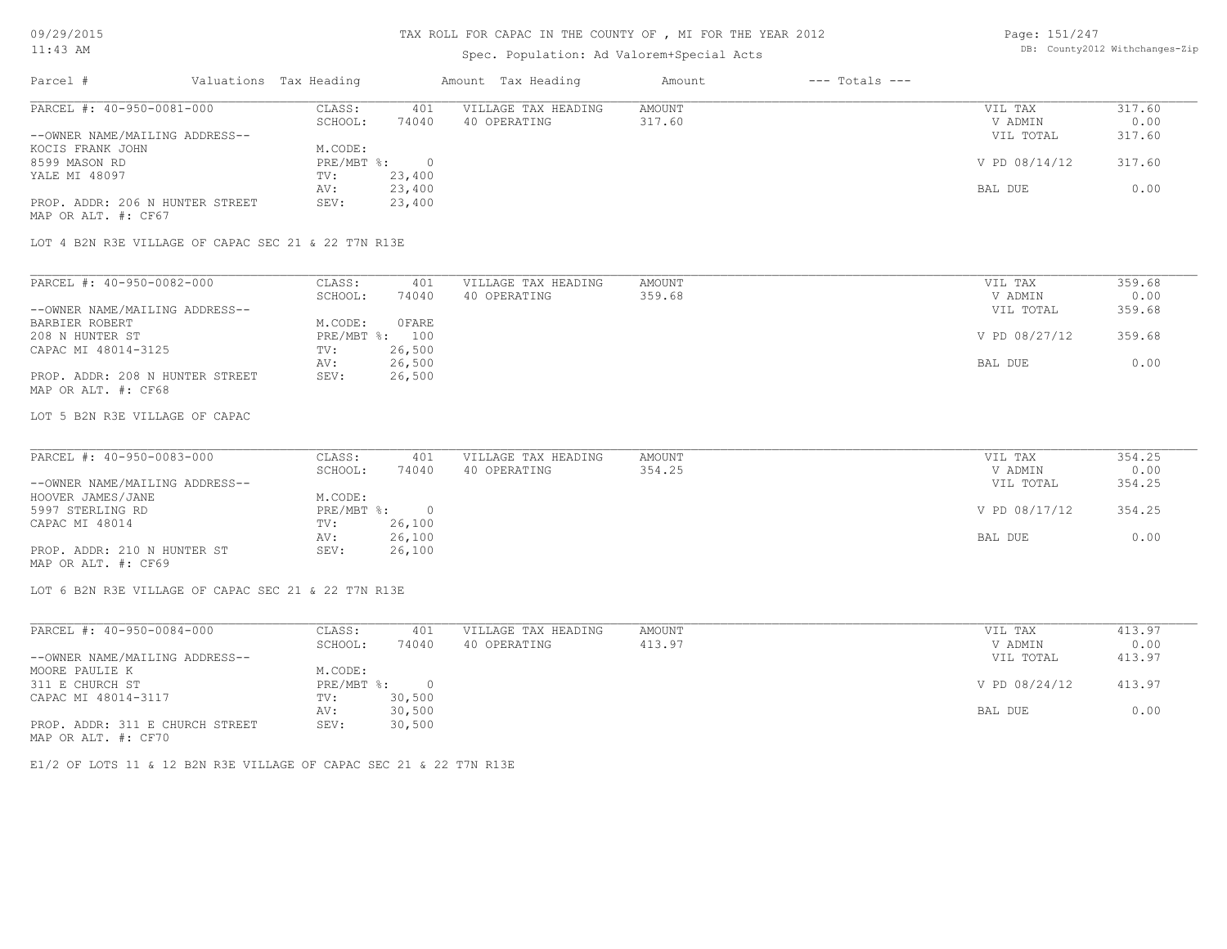### TAX ROLL FOR CAPAC IN THE COUNTY OF , MI FOR THE YEAR 2012

# Spec. Population: Ad Valorem+Special Acts

Page: 151/247 DB: County2012 Withchanges-Zip

| Parcel #                        | Valuations Tax Heading |        | Amount Tax Heading  | Amount | $---$ Totals $---$ |               |        |
|---------------------------------|------------------------|--------|---------------------|--------|--------------------|---------------|--------|
| PARCEL #: 40-950-0081-000       | CLASS:                 | 401    | VILLAGE TAX HEADING | AMOUNT |                    | VIL TAX       | 317.60 |
|                                 | SCHOOL:                | 74040  | 40 OPERATING        | 317.60 |                    | V ADMIN       | 0.00   |
| --OWNER NAME/MAILING ADDRESS--  |                        |        |                     |        |                    | VIL TOTAL     | 317.60 |
| KOCIS FRANK JOHN                | M.CODE:                |        |                     |        |                    |               |        |
| 8599 MASON RD                   | $PRE/MBT$ %:           |        |                     |        |                    | V PD 08/14/12 | 317.60 |
| YALE MI 48097                   | TV:                    | 23,400 |                     |        |                    |               |        |
|                                 | AV:                    | 23,400 |                     |        |                    | BAL DUE       | 0.00   |
| PROP. ADDR: 206 N HUNTER STREET | SEV:                   | 23,400 |                     |        |                    |               |        |
| MAP OR ALT. #: CF67             |                        |        |                     |        |                    |               |        |

LOT 4 B2N R3E VILLAGE OF CAPAC SEC 21 & 22 T7N R13E

| PARCEL #: 40-950-0082-000       | CLASS:  | 401            | VILLAGE TAX HEADING | AMOUNT | VIL TAX       | 359.68 |
|---------------------------------|---------|----------------|---------------------|--------|---------------|--------|
|                                 | SCHOOL: | 74040          | 40 OPERATING        | 359.68 | V ADMIN       | 0.00   |
| --OWNER NAME/MAILING ADDRESS--  |         |                |                     |        | VIL TOTAL     | 359.68 |
| BARBIER ROBERT                  | M.CODE: | OFARE          |                     |        |               |        |
| 208 N HUNTER ST                 |         | PRE/MBT %: 100 |                     |        | V PD 08/27/12 | 359.68 |
| CAPAC MI 48014-3125             | TV:     | 26,500         |                     |        |               |        |
|                                 | AV:     | 26,500         |                     |        | BAL DUE       | 0.00   |
| PROP. ADDR: 208 N HUNTER STREET | SEV:    | 26,500         |                     |        |               |        |
| MAP OR ALT. #: CF68             |         |                |                     |        |               |        |

LOT 5 B2N R3E VILLAGE OF CAPAC

| PARCEL #: 40-950-0083-000      | CLASS:     | 401    | VILLAGE TAX HEADING | AMOUNT | VIL TAX       | 354.25 |
|--------------------------------|------------|--------|---------------------|--------|---------------|--------|
|                                | SCHOOL:    | 74040  | 40 OPERATING        | 354.25 | V ADMIN       | 0.00   |
| --OWNER NAME/MAILING ADDRESS-- |            |        |                     |        | VIL TOTAL     | 354.25 |
| HOOVER JAMES/JANE              | M.CODE:    |        |                     |        |               |        |
| 5997 STERLING RD               | PRE/MBT %: |        |                     |        | V PD 08/17/12 | 354.25 |
| CAPAC MI 48014                 | TV:        | 26,100 |                     |        |               |        |
|                                | AV:        | 26,100 |                     |        | BAL DUE       | 0.00   |
| PROP. ADDR: 210 N HUNTER ST    | SEV:       | 26,100 |                     |        |               |        |
| MAP OR ALT. #: CF69            |            |        |                     |        |               |        |

LOT 6 B2N R3E VILLAGE OF CAPAC SEC 21 & 22 T7N R13E

| PARCEL #: 40-950-0084-000       | CLASS:     | 401      | VILLAGE TAX HEADING | AMOUNT | VIL TAX       | 413.97 |
|---------------------------------|------------|----------|---------------------|--------|---------------|--------|
|                                 | SCHOOL:    | 74040    | 40 OPERATING        | 413.97 | V ADMIN       | 0.00   |
| --OWNER NAME/MAILING ADDRESS--  |            |          |                     |        | VIL TOTAL     | 413.97 |
| MOORE PAULIE K                  | M.CODE:    |          |                     |        |               |        |
| 311 E CHURCH ST                 | PRE/MBT %: | $\Omega$ |                     |        | V PD 08/24/12 | 413.97 |
| CAPAC MI 48014-3117             | TV:        | 30,500   |                     |        |               |        |
|                                 | AV:        | 30,500   |                     |        | BAL DUE       | 0.00   |
| PROP. ADDR: 311 E CHURCH STREET | SEV:       | 30,500   |                     |        |               |        |
| MAP OR ALT. #: CF70             |            |          |                     |        |               |        |

E1/2 OF LOTS 11 & 12 B2N R3E VILLAGE OF CAPAC SEC 21 & 22 T7N R13E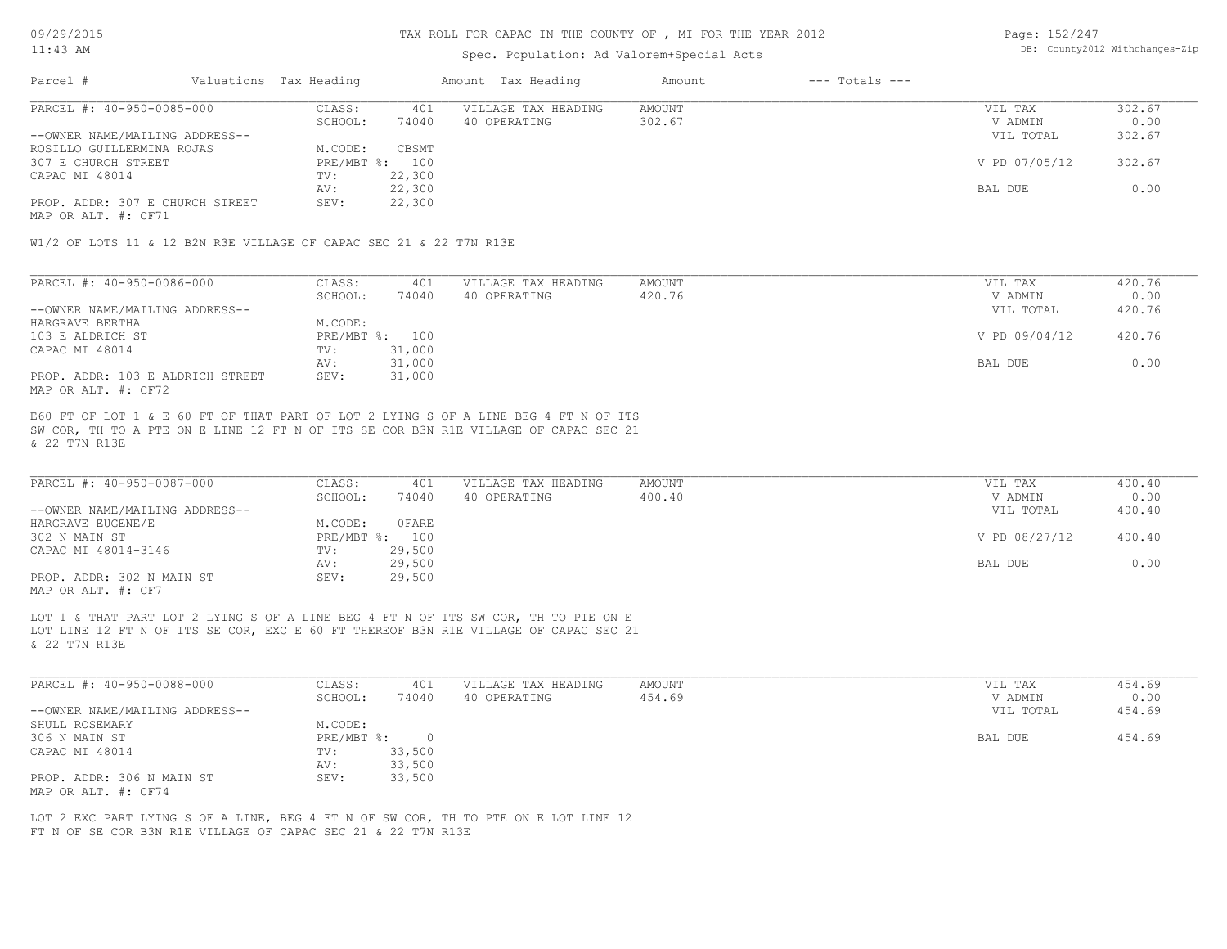### Spec. Population: Ad Valorem+Special Acts

Page: 152/247 DB: County2012 Withchanges-Zip

| Parcel #                        | Valuations Tax Heading |        | Amount Tax Heading  | Amount | $---$ Totals $---$ |               |        |
|---------------------------------|------------------------|--------|---------------------|--------|--------------------|---------------|--------|
| PARCEL #: 40-950-0085-000       | CLASS:                 | 401    | VILLAGE TAX HEADING | AMOUNT |                    | VIL TAX       | 302.67 |
|                                 | SCHOOL:                | 74040  | 40 OPERATING        | 302.67 |                    | V ADMIN       | 0.00   |
| --OWNER NAME/MAILING ADDRESS--  |                        |        |                     |        |                    | VIL TOTAL     | 302.67 |
| ROSILLO GUILLERMINA ROJAS       | M.CODE:                | CBSMT  |                     |        |                    |               |        |
| 307 E CHURCH STREET             | PRE/MBT %: 100         |        |                     |        |                    | V PD 07/05/12 | 302.67 |
| CAPAC MI 48014                  | TV:                    | 22,300 |                     |        |                    |               |        |
|                                 | AV:                    | 22,300 |                     |        |                    | BAL DUE       | 0.00   |
| PROP. ADDR: 307 E CHURCH STREET | SEV:                   | 22,300 |                     |        |                    |               |        |
|                                 |                        |        |                     |        |                    |               |        |

MAP OR ALT. #: CF71

W1/2 OF LOTS 11 & 12 B2N R3E VILLAGE OF CAPAC SEC 21 & 22 T7N R13E

| PARCEL #: 40-950-0086-000        | CLASS:  | 401            | VILLAGE TAX HEADING | AMOUNT | VIL TAX       | 420.76 |
|----------------------------------|---------|----------------|---------------------|--------|---------------|--------|
|                                  | SCHOOL: | 74040          | 40 OPERATING        | 420.76 | V ADMIN       | 0.00   |
| --OWNER NAME/MAILING ADDRESS--   |         |                |                     |        | VIL TOTAL     | 420.76 |
| HARGRAVE BERTHA                  | M.CODE: |                |                     |        |               |        |
| 103 E ALDRICH ST                 |         | PRE/MBT %: 100 |                     |        | V PD 09/04/12 | 420.76 |
| CAPAC MI 48014                   | TV:     | 31,000         |                     |        |               |        |
|                                  | AV:     | 31,000         |                     |        | BAL DUE       | 0.00   |
| PROP. ADDR: 103 E ALDRICH STREET | SEV:    | 31,000         |                     |        |               |        |
| MAP OR ALT. #: CF72              |         |                |                     |        |               |        |

& 22 T7N R13E SW COR, TH TO A PTE ON E LINE 12 FT N OF ITS SE COR B3N R1E VILLAGE OF CAPAC SEC 21 E60 FT OF LOT 1 & E 60 FT OF THAT PART OF LOT 2 LYING S OF A LINE BEG 4 FT N OF ITS

| PARCEL #: 40-950-0087-000      | CLASS:  | 401            | VILLAGE TAX HEADING | AMOUNT | VIL TAX       | 400.40 |
|--------------------------------|---------|----------------|---------------------|--------|---------------|--------|
|                                | SCHOOL: | 74040          | 40 OPERATING        | 400.40 | V ADMIN       | 0.00   |
| --OWNER NAME/MAILING ADDRESS-- |         |                |                     |        | VIL TOTAL     | 400.40 |
| HARGRAVE EUGENE/E              | M.CODE: | 0 FARE         |                     |        |               |        |
| 302 N MAIN ST                  |         | PRE/MBT %: 100 |                     |        | V PD 08/27/12 | 400.40 |
| CAPAC MI 48014-3146            | TV:     | 29,500         |                     |        |               |        |
|                                | AV:     | 29,500         |                     |        | BAL DUE       | 0.00   |
| PROP. ADDR: 302 N MAIN ST      | SEV:    | 29,500         |                     |        |               |        |
| MAP OR ALT. #: CF7             |         |                |                     |        |               |        |

& 22 T7N R13E LOT LINE 12 FT N OF ITS SE COR, EXC E 60 FT THEREOF B3N R1E VILLAGE OF CAPAC SEC 21 LOT 1 & THAT PART LOT 2 LYING S OF A LINE BEG 4 FT N OF ITS SW COR, TH TO PTE ON E

| PARCEL #: 40-950-0088-000      | CLASS:     | 401    | VILLAGE TAX HEADING | AMOUNT | VIL TAX   | 454.69 |
|--------------------------------|------------|--------|---------------------|--------|-----------|--------|
|                                | SCHOOL:    | 74040  | 40 OPERATING        | 454.69 | V ADMIN   | 0.00   |
| --OWNER NAME/MAILING ADDRESS-- |            |        |                     |        | VIL TOTAL | 454.69 |
| SHULL ROSEMARY                 | M.CODE:    |        |                     |        |           |        |
| 306 N MAIN ST                  | PRE/MBT %: |        |                     |        | BAL DUE   | 454.69 |
| CAPAC MI 48014                 | TV:        | 33,500 |                     |        |           |        |
|                                | AV:        | 33,500 |                     |        |           |        |
| PROP. ADDR: 306 N MAIN ST      | SEV:       | 33,500 |                     |        |           |        |
| MAP OR ALT. #: CF74            |            |        |                     |        |           |        |

FT N OF SE COR B3N R1E VILLAGE OF CAPAC SEC 21 & 22 T7N R13E LOT 2 EXC PART LYING S OF A LINE, BEG 4 FT N OF SW COR, TH TO PTE ON E LOT LINE 12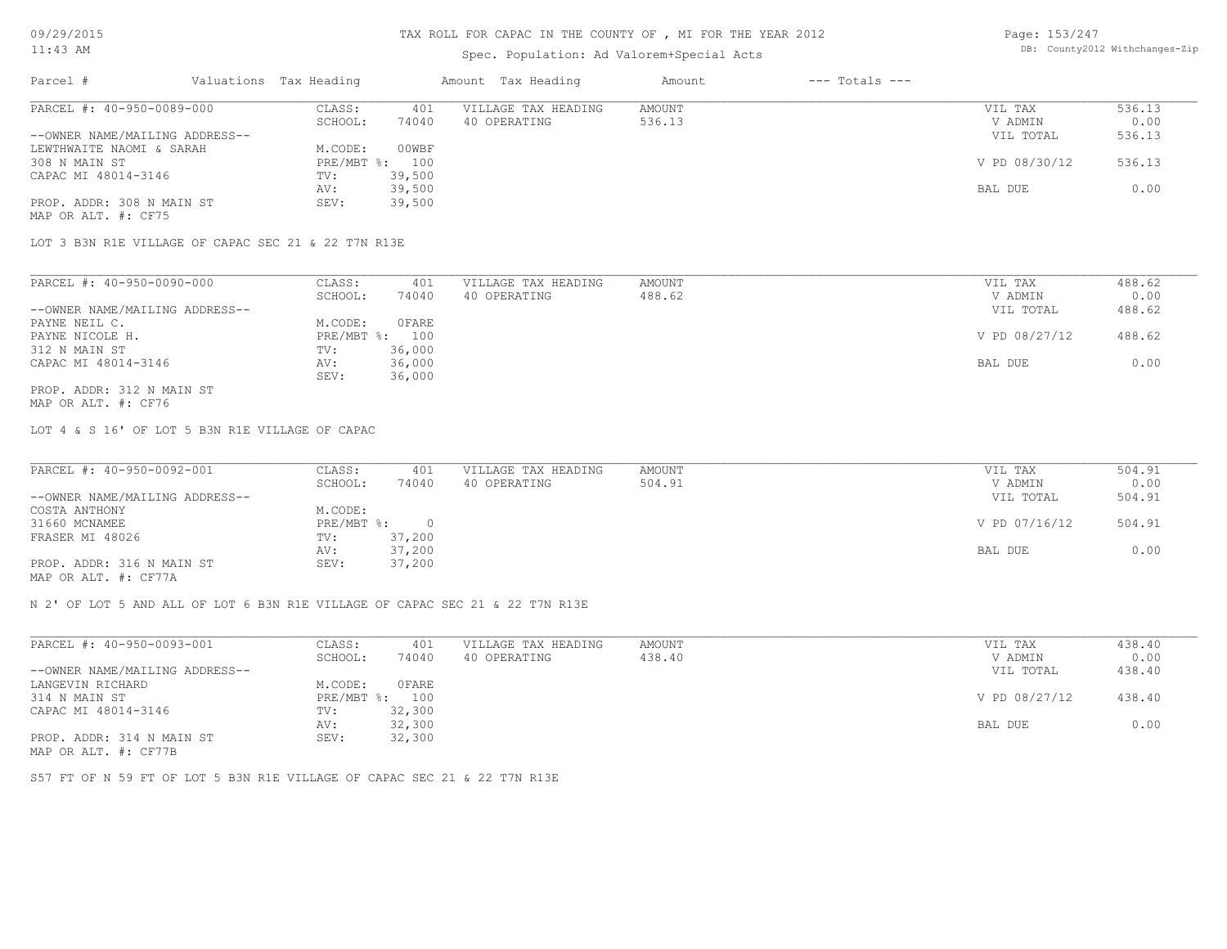# Spec. Population: Ad Valorem+Special Acts

| Page: 153/247 |                                |
|---------------|--------------------------------|
|               | DB: County2012 Withchanges-Zip |

| Parcel #                       | Valuations Tax Heading |        | Amount Tax Heading  | Amount | $---$ Totals $---$ |               |        |
|--------------------------------|------------------------|--------|---------------------|--------|--------------------|---------------|--------|
| PARCEL #: 40-950-0089-000      | CLASS:                 | 401    | VILLAGE TAX HEADING | AMOUNT |                    | VIL TAX       | 536.13 |
|                                | SCHOOL:                | 74040  | 40 OPERATING        | 536.13 |                    | V ADMIN       | 0.00   |
| --OWNER NAME/MAILING ADDRESS-- |                        |        |                     |        |                    | VIL TOTAL     | 536.13 |
| LEWTHWAITE NAOMI & SARAH       | M.CODE:                | 00WBF  |                     |        |                    |               |        |
| 308 N MAIN ST                  | $PRE/MBT$ %:           | 100    |                     |        |                    | V PD 08/30/12 | 536.13 |
| CAPAC MI 48014-3146            | TV:                    | 39,500 |                     |        |                    |               |        |
|                                | AV:                    | 39,500 |                     |        |                    | BAL DUE       | 0.00   |
| PROP. ADDR: 308 N MAIN ST      | SEV:                   | 39,500 |                     |        |                    |               |        |
| MAP OR ALT. #: CF75            |                        |        |                     |        |                    |               |        |

LOT 3 B3N R1E VILLAGE OF CAPAC SEC 21 & 22 T7N R13E

| PARCEL #: 40-950-0090-000      | CLASS:     | 401    | VILLAGE TAX HEADING | AMOUNT | VIL TAX       | 488.62 |
|--------------------------------|------------|--------|---------------------|--------|---------------|--------|
|                                | SCHOOL:    | 74040  | 40 OPERATING        | 488.62 | V ADMIN       | 0.00   |
| --OWNER NAME/MAILING ADDRESS-- |            |        |                     |        | VIL TOTAL     | 488.62 |
| PAYNE NEIL C.                  | M.CODE:    | OFARE  |                     |        |               |        |
| PAYNE NICOLE H.                | PRE/MBT %: | 100    |                     |        | V PD 08/27/12 | 488.62 |
| 312 N MAIN ST                  | TV:        | 36,000 |                     |        |               |        |
| CAPAC MI 48014-3146            | AV:        | 36,000 |                     |        | BAL DUE       | 0.00   |
|                                | SEV:       | 36,000 |                     |        |               |        |
| PROP. ADDR: 312 N MAIN ST      |            |        |                     |        |               |        |

MAP OR ALT. #: CF76

LOT 4 & S 16' OF LOT 5 B3N R1E VILLAGE OF CAPAC

| PARCEL #: 40-950-0092-001                             | CLASS:     | 401    | VILLAGE TAX HEADING | AMOUNT | VIL TAX       | 504.91 |
|-------------------------------------------------------|------------|--------|---------------------|--------|---------------|--------|
|                                                       | SCHOOL:    | 74040  | 40 OPERATING        | 504.91 | V ADMIN       | 0.00   |
| --OWNER NAME/MAILING ADDRESS--                        |            |        |                     |        | VIL TOTAL     | 504.91 |
| COSTA ANTHONY                                         | M.CODE:    |        |                     |        |               |        |
| 31660 MCNAMEE                                         | PRE/MBT %: |        |                     |        | V PD 07/16/12 | 504.91 |
| FRASER MI 48026                                       | TV:        | 37,200 |                     |        |               |        |
|                                                       | AV:        | 37,200 |                     |        | BAL DUE       | 0.00   |
| PROP. ADDR: 316 N MAIN ST                             | SEV:       | 37,200 |                     |        |               |        |
| $\cdots$ $\cdots$ $\cdots$ $\cdots$ $\cdots$ $\cdots$ |            |        |                     |        |               |        |

MAP OR ALT. #: CF77A

N 2' OF LOT 5 AND ALL OF LOT 6 B3N R1E VILLAGE OF CAPAC SEC 21 & 22 T7N R13E

| PARCEL #: 40-950-0093-001      | CLASS:     | 401    | VILLAGE TAX HEADING | AMOUNT | VIL TAX       | 438.40 |
|--------------------------------|------------|--------|---------------------|--------|---------------|--------|
|                                | SCHOOL:    | 74040  | 40 OPERATING        | 438.40 | V ADMIN       | 0.00   |
| --OWNER NAME/MAILING ADDRESS-- |            |        |                     |        | VIL TOTAL     | 438.40 |
| LANGEVIN RICHARD               | M.CODE:    | OFARE  |                     |        |               |        |
| 314 N MAIN ST                  | PRE/MBT %: | 100    |                     |        | V PD 08/27/12 | 438.40 |
| CAPAC MI 48014-3146            | TV:        | 32,300 |                     |        |               |        |
|                                | AV:        | 32,300 |                     |        | BAL DUE       | 0.00   |
| PROP. ADDR: 314 N MAIN ST      | SEV:       | 32,300 |                     |        |               |        |
| MAP OR ALT. #: CF77B           |            |        |                     |        |               |        |

S57 FT OF N 59 FT OF LOT 5 B3N R1E VILLAGE OF CAPAC SEC 21 & 22 T7N R13E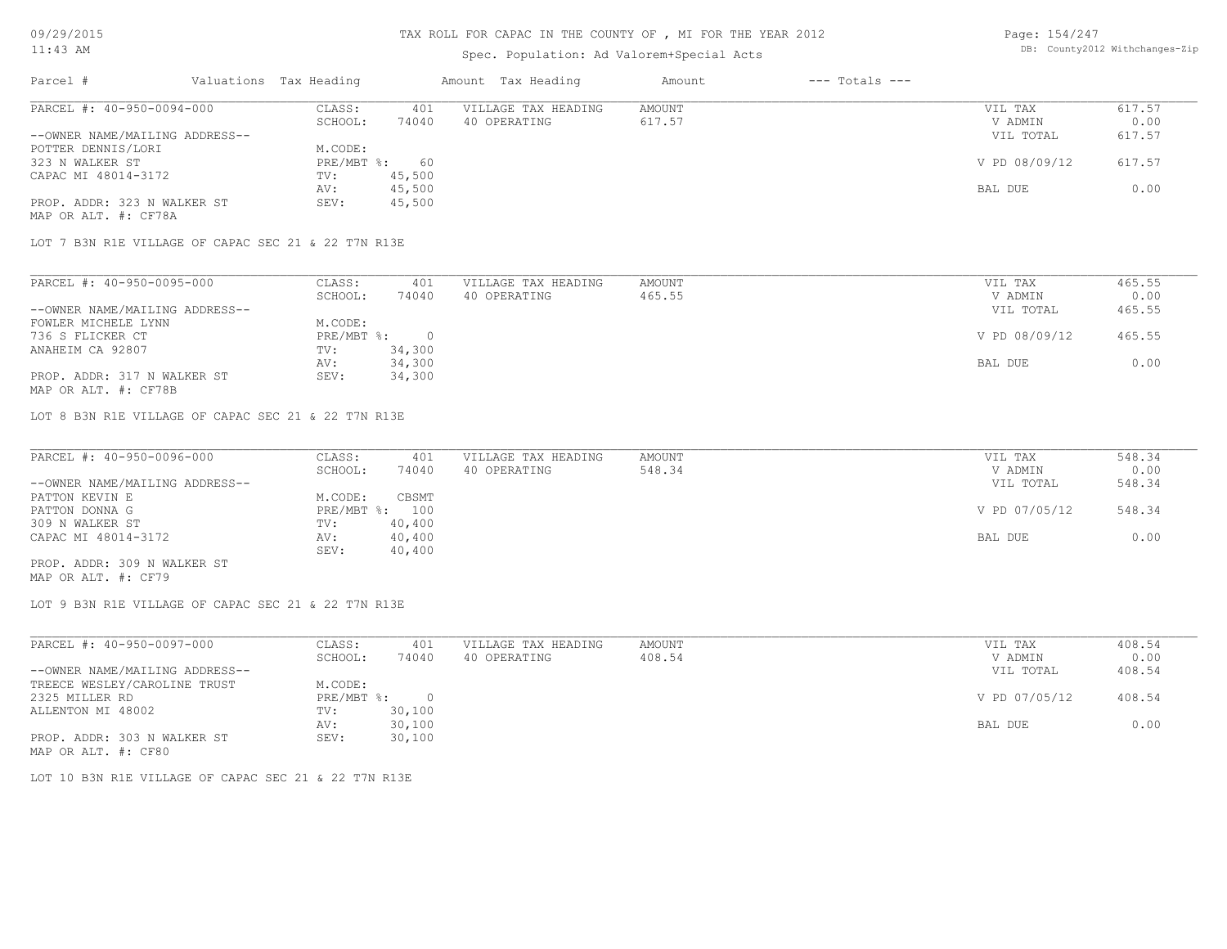# TAX ROLL FOR CAPAC IN THE COUNTY OF , MI FOR THE YEAR 2012

### Spec. Population: Ad Valorem+Special Acts

Page: 154/247 DB: County2012 Withchanges-Zip

| Parcel #                       | Valuations Tax Heading |        | Amount Tax Heading  | Amount | $---$ Totals $---$ |               |        |
|--------------------------------|------------------------|--------|---------------------|--------|--------------------|---------------|--------|
| PARCEL #: 40-950-0094-000      | CLASS:                 | 401    | VILLAGE TAX HEADING | AMOUNT |                    | VIL TAX       | 617.57 |
|                                | SCHOOL:                | 74040  | 40 OPERATING        | 617.57 |                    | V ADMIN       | 0.00   |
| --OWNER NAME/MAILING ADDRESS-- |                        |        |                     |        |                    | VIL TOTAL     | 617.57 |
| POTTER DENNIS/LORI             | M.CODE:                |        |                     |        |                    |               |        |
| 323 N WALKER ST                | $PRE/MBT$ %:           | 60     |                     |        |                    | V PD 08/09/12 | 617.57 |
| CAPAC MI 48014-3172            | TV:                    | 45,500 |                     |        |                    |               |        |
|                                | AV:                    | 45,500 |                     |        |                    | BAL DUE       | 0.00   |
| PROP. ADDR: 323 N WALKER ST    | SEV:                   | 45,500 |                     |        |                    |               |        |
| MAP OR ALT. #: CF78A           |                        |        |                     |        |                    |               |        |

LOT 7 B3N R1E VILLAGE OF CAPAC SEC 21 & 22 T7N R13E

| PARCEL #: 40-950-0095-000      | CLASS:     | 401    | VILLAGE TAX HEADING | AMOUNT | VIL TAX       | 465.55 |
|--------------------------------|------------|--------|---------------------|--------|---------------|--------|
|                                | SCHOOL:    | 74040  | 40 OPERATING        | 465.55 | V ADMIN       | 0.00   |
| --OWNER NAME/MAILING ADDRESS-- |            |        |                     |        | VIL TOTAL     | 465.55 |
| FOWLER MICHELE LYNN            | M.CODE:    |        |                     |        |               |        |
| 736 S FLICKER CT               | PRE/MBT %: |        |                     |        | V PD 08/09/12 | 465.55 |
| ANAHEIM CA 92807               | TV:        | 34,300 |                     |        |               |        |
|                                | AV:        | 34,300 |                     |        | BAL DUE       | 0.00   |
| PROP. ADDR: 317 N WALKER ST    | SEV:       | 34,300 |                     |        |               |        |
| MAP OR ALT. #: CF78B           |            |        |                     |        |               |        |

LOT 8 B3N R1E VILLAGE OF CAPAC SEC 21 & 22 T7N R13E

| PARCEL #: 40-950-0096-000      | CLASS:  | 401            | VILLAGE TAX HEADING | AMOUNT | VIL TAX       | 548.34 |
|--------------------------------|---------|----------------|---------------------|--------|---------------|--------|
|                                | SCHOOL: | 74040          | 40 OPERATING        | 548.34 | V ADMIN       | 0.00   |
| --OWNER NAME/MAILING ADDRESS-- |         |                |                     |        | VIL TOTAL     | 548.34 |
| PATTON KEVIN E                 | M.CODE: | CBSMT          |                     |        |               |        |
| PATTON DONNA G                 |         | PRE/MBT %: 100 |                     |        | V PD 07/05/12 | 548.34 |
| 309 N WALKER ST                | TV:     | 40,400         |                     |        |               |        |
| CAPAC MI 48014-3172            | AV:     | 40,400         |                     |        | BAL DUE       | 0.00   |
|                                | SEV:    | 40,400         |                     |        |               |        |
| PROP. ADDR: 309 N WALKER ST    |         |                |                     |        |               |        |

MAP OR ALT. #: CF79

LOT 9 B3N R1E VILLAGE OF CAPAC SEC 21 & 22 T7N R13E

| PARCEL #: 40-950-0097-000      | CLASS:     | 401    | VILLAGE TAX HEADING | AMOUNT | VIL TAX       | 408.54 |
|--------------------------------|------------|--------|---------------------|--------|---------------|--------|
|                                | SCHOOL:    | 74040  | 40 OPERATING        | 408.54 | V ADMIN       | 0.00   |
| --OWNER NAME/MAILING ADDRESS-- |            |        |                     |        | VIL TOTAL     | 408.54 |
| TREECE WESLEY/CAROLINE TRUST   | M.CODE:    |        |                     |        |               |        |
| 2325 MILLER RD                 | PRE/MBT %: |        |                     |        | V PD 07/05/12 | 408.54 |
| ALLENTON MI 48002              | TV:        | 30,100 |                     |        |               |        |
|                                | AV:        | 30,100 |                     |        | BAL DUE       | 0.00   |
| PROP. ADDR: 303 N WALKER ST    | SEV:       | 30,100 |                     |        |               |        |
| MAP OR ALT. #: CF80            |            |        |                     |        |               |        |

LOT 10 B3N R1E VILLAGE OF CAPAC SEC 21 & 22 T7N R13E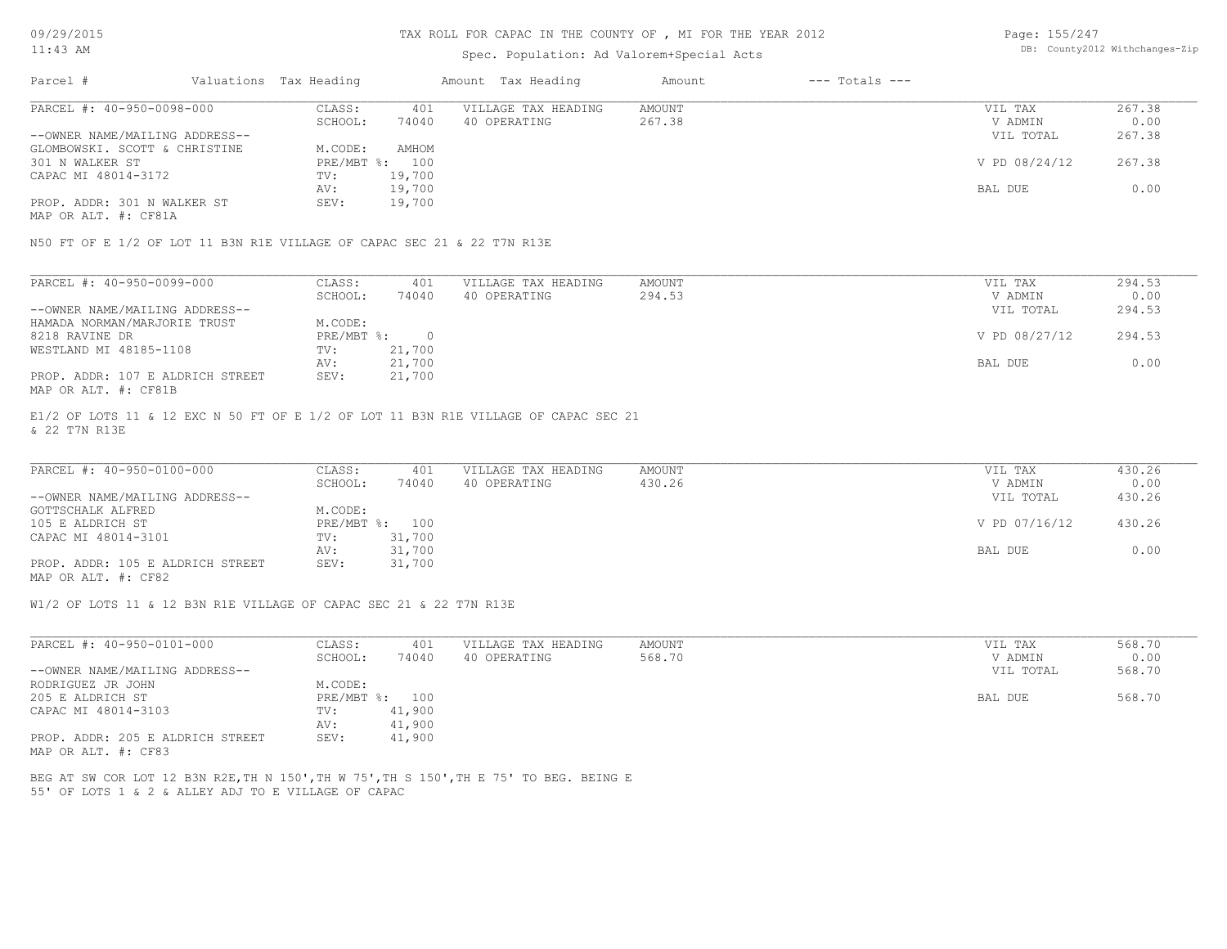#### TAX ROLL FOR CAPAC IN THE COUNTY OF , MI FOR THE YEAR 2012

### Spec. Population: Ad Valorem+Special Acts

Page: 155/247 DB: County2012 Withchanges-Zip

| Parcel #                       | Valuations Tax Heading |        | Amount Tax Heading  | Amount | $---$ Totals $---$ |               |        |
|--------------------------------|------------------------|--------|---------------------|--------|--------------------|---------------|--------|
| PARCEL #: 40-950-0098-000      | CLASS:                 | 401    | VILLAGE TAX HEADING | AMOUNT |                    | VIL TAX       | 267.38 |
|                                | SCHOOL:                | 74040  | 40 OPERATING        | 267.38 |                    | V ADMIN       | 0.00   |
| --OWNER NAME/MAILING ADDRESS-- |                        |        |                     |        |                    | VIL TOTAL     | 267.38 |
| GLOMBOWSKI. SCOTT & CHRISTINE  | M.CODE:                | AMHOM  |                     |        |                    |               |        |
| 301 N WALKER ST                | PRE/MBT %: 100         |        |                     |        |                    | V PD 08/24/12 | 267.38 |
| CAPAC MI 48014-3172            | TV:                    | 19,700 |                     |        |                    |               |        |
|                                | AV:                    | 19,700 |                     |        |                    | BAL DUE       | 0.00   |
| PROP. ADDR: 301 N WALKER ST    | SEV:                   | 19,700 |                     |        |                    |               |        |
|                                |                        |        |                     |        |                    |               |        |

MAP OR ALT. #: CF81A

N50 FT OF E 1/2 OF LOT 11 B3N R1E VILLAGE OF CAPAC SEC 21 & 22 T7N R13E

| PARCEL #: 40-950-0099-000        | CLASS:     | 401    | VILLAGE TAX HEADING | AMOUNT | VIL TAX       | 294.53 |
|----------------------------------|------------|--------|---------------------|--------|---------------|--------|
|                                  | SCHOOL:    | 74040  | 40 OPERATING        | 294.53 | V ADMIN       | 0.00   |
| --OWNER NAME/MAILING ADDRESS--   |            |        |                     |        | VIL TOTAL     | 294.53 |
| HAMADA NORMAN/MARJORIE TRUST     | M.CODE:    |        |                     |        |               |        |
| 8218 RAVINE DR                   | PRE/MBT %: |        |                     |        | V PD 08/27/12 | 294.53 |
| WESTLAND MI 48185-1108           | TV:        | 21,700 |                     |        |               |        |
|                                  | AV:        | 21,700 |                     |        | BAL DUE       | 0.00   |
| PROP. ADDR: 107 E ALDRICH STREET | SEV:       | 21,700 |                     |        |               |        |
| MAP OR ALT. #: CF81B             |            |        |                     |        |               |        |

& 22 T7N R13E E1/2 OF LOTS 11 & 12 EXC N 50 FT OF E 1/2 OF LOT 11 B3N R1E VILLAGE OF CAPAC SEC 21

| PARCEL #: 40-950-0100-000        | CLASS:       | 401    | VILLAGE TAX HEADING | AMOUNT | VIL TAX       | 430.26 |
|----------------------------------|--------------|--------|---------------------|--------|---------------|--------|
|                                  | SCHOOL:      | 74040  | 40 OPERATING        | 430.26 | V ADMIN       | 0.00   |
| --OWNER NAME/MAILING ADDRESS--   |              |        |                     |        | VIL TOTAL     | 430.26 |
| GOTTSCHALK ALFRED                | M.CODE:      |        |                     |        |               |        |
| 105 E ALDRICH ST                 | $PRE/MBT$ %: | 100    |                     |        | V PD 07/16/12 | 430.26 |
| CAPAC MI 48014-3101              | TV:          | 31,700 |                     |        |               |        |
|                                  | AV:          | 31,700 |                     |        | BAL DUE       | 0.00   |
| PROP. ADDR: 105 E ALDRICH STREET | SEV:         | 31,700 |                     |        |               |        |
| MAP OR ALT. #: CF82              |              |        |                     |        |               |        |

 $\_$  , and the state of the state of the state of the state of the state of the state of the state of the state of the state of the state of the state of the state of the state of the state of the state of the state of the

W1/2 OF LOTS 11 & 12 B3N R1E VILLAGE OF CAPAC SEC 21 & 22 T7N R13E

| PARCEL #: 40-950-0101-000        | CLASS:  | 401            | VILLAGE TAX HEADING | AMOUNT | VIL TAX   | 568.70 |
|----------------------------------|---------|----------------|---------------------|--------|-----------|--------|
|                                  | SCHOOL: | 74040          | 40 OPERATING        | 568.70 | V ADMIN   | 0.00   |
| --OWNER NAME/MAILING ADDRESS--   |         |                |                     |        | VIL TOTAL | 568.70 |
| RODRIGUEZ JR JOHN                | M.CODE: |                |                     |        |           |        |
| 205 E ALDRICH ST                 |         | PRE/MBT %: 100 |                     |        | BAL DUE   | 568.70 |
| CAPAC MI 48014-3103              | TV:     | 41,900         |                     |        |           |        |
|                                  | AV:     | 41,900         |                     |        |           |        |
| PROP. ADDR: 205 E ALDRICH STREET | SEV:    | 41,900         |                     |        |           |        |
| MAP OR ALT. #: CF83              |         |                |                     |        |           |        |

55' OF LOTS 1 & 2 & ALLEY ADJ TO E VILLAGE OF CAPAC BEG AT SW COR LOT 12 B3N R2E,TH N 150',TH W 75',TH S 150',TH E 75' TO BEG. BEING E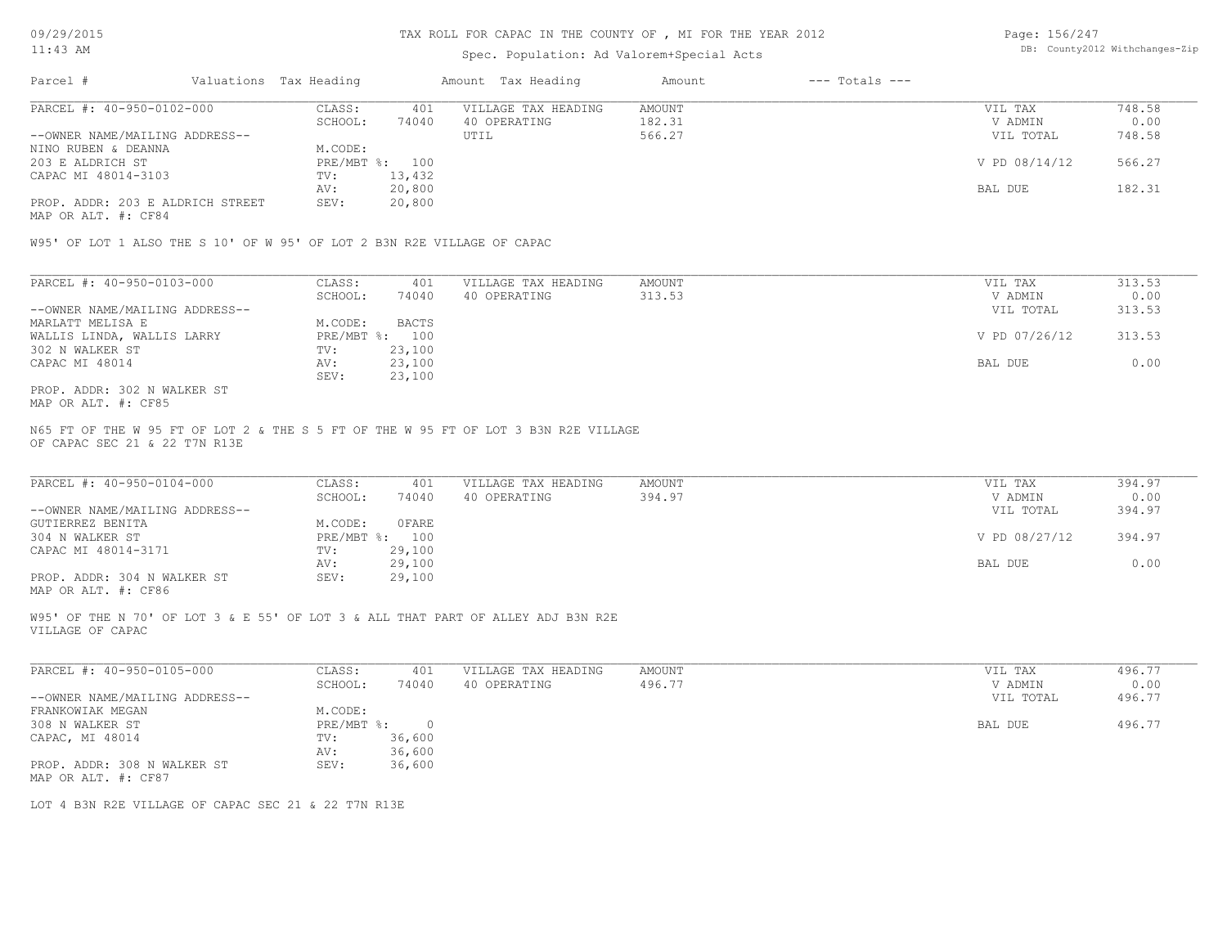### Spec. Population: Ad Valorem+Special Acts

| Page: 156/247 |                                |
|---------------|--------------------------------|
|               | DB: County2012 Withchanges-Zip |

| Parcel #                         | Valuations Tax Heading |        | Amount Tax Heading  | Amount | $---$ Totals $---$ |               |        |
|----------------------------------|------------------------|--------|---------------------|--------|--------------------|---------------|--------|
| PARCEL #: 40-950-0102-000        | CLASS:                 | 401    | VILLAGE TAX HEADING | AMOUNT |                    | VIL TAX       | 748.58 |
|                                  | SCHOOL:                | 74040  | 40 OPERATING        | 182.31 |                    | V ADMIN       | 0.00   |
| --OWNER NAME/MAILING ADDRESS--   |                        |        | UTIL                | 566.27 |                    | VIL TOTAL     | 748.58 |
| NINO RUBEN & DEANNA              | M.CODE:                |        |                     |        |                    |               |        |
| 203 E ALDRICH ST                 | PRE/MBT %: 100         |        |                     |        |                    | V PD 08/14/12 | 566.27 |
| CAPAC MI 48014-3103              | TV:                    | 13,432 |                     |        |                    |               |        |
|                                  | AV:                    | 20,800 |                     |        |                    | BAL DUE       | 182.31 |
| PROP. ADDR: 203 E ALDRICH STREET | SEV:                   | 20,800 |                     |        |                    |               |        |
|                                  |                        |        |                     |        |                    |               |        |

MAP OR ALT. #: CF84

W95' OF LOT 1 ALSO THE S 10' OF W 95' OF LOT 2 B3N R2E VILLAGE OF CAPAC

| PARCEL #: 40-950-0103-000      | CLASS:  | 401            | VILLAGE TAX HEADING | AMOUNT | VIL TAX       | 313.53 |
|--------------------------------|---------|----------------|---------------------|--------|---------------|--------|
|                                | SCHOOL: | 74040          | 40 OPERATING        | 313.53 | V ADMIN       | 0.00   |
| --OWNER NAME/MAILING ADDRESS-- |         |                |                     |        | VIL TOTAL     | 313.53 |
| MARLATT MELISA E               | M.CODE: | <b>BACTS</b>   |                     |        |               |        |
| WALLIS LINDA, WALLIS LARRY     |         | PRE/MBT %: 100 |                     |        | V PD 07/26/12 | 313.53 |
| 302 N WALKER ST                | TV:     | 23,100         |                     |        |               |        |
| CAPAC MI 48014                 | AV:     | 23,100         |                     |        | BAL DUE       | 0.00   |
|                                | SEV:    | 23,100         |                     |        |               |        |
| PROP. ADDR: 302 N WALKER ST    |         |                |                     |        |               |        |

MAP OR ALT. #: CF85

OF CAPAC SEC 21 & 22 T7N R13E N65 FT OF THE W 95 FT OF LOT 2 & THE S 5 FT OF THE W 95 FT OF LOT 3 B3N R2E VILLAGE

| PARCEL #: 40-950-0104-000      | CLASS:  | 401            | VILLAGE TAX HEADING | AMOUNT | VIL TAX       | 394.97 |
|--------------------------------|---------|----------------|---------------------|--------|---------------|--------|
|                                | SCHOOL: | 74040          | 40 OPERATING        | 394.97 | V ADMIN       | 0.00   |
| --OWNER NAME/MAILING ADDRESS-- |         |                |                     |        | VIL TOTAL     | 394.97 |
| GUTIERREZ BENITA               | M.CODE: | OFARE          |                     |        |               |        |
| 304 N WALKER ST                |         | PRE/MBT %: 100 |                     |        | V PD 08/27/12 | 394.97 |
| CAPAC MI 48014-3171            | TV:     | 29,100         |                     |        |               |        |
|                                | AV:     | 29,100         |                     |        | BAL DUE       | 0.00   |
| PROP. ADDR: 304 N WALKER ST    | SEV:    | 29,100         |                     |        |               |        |
|                                |         |                |                     |        |               |        |

MAP OR ALT. #: CF86

VILLAGE OF CAPAC W95' OF THE N 70' OF LOT 3 & E 55' OF LOT 3 & ALL THAT PART OF ALLEY ADJ B3N R2E

| PARCEL #: 40-950-0105-000      | CLASS:     | 401    | VILLAGE TAX HEADING | AMOUNT | VIL TAX |           | 496.77 |
|--------------------------------|------------|--------|---------------------|--------|---------|-----------|--------|
|                                | SCHOOL:    | 74040  | 40 OPERATING        | 496.77 |         | V ADMIN   | 0.00   |
| --OWNER NAME/MAILING ADDRESS-- |            |        |                     |        |         | VIL TOTAL | 496.77 |
| FRANKOWIAK MEGAN               | M.CODE:    |        |                     |        |         |           |        |
| 308 N WALKER ST                | PRE/MBT %: |        |                     |        | BAL DUE |           | 496.77 |
| CAPAC, MI 48014                | TV:        | 36,600 |                     |        |         |           |        |
|                                | AV:        | 36,600 |                     |        |         |           |        |
| PROP. ADDR: 308 N WALKER ST    | SEV:       | 36,600 |                     |        |         |           |        |
| MAP OR ALT. #: CF87            |            |        |                     |        |         |           |        |

 $\_$  , and the state of the state of the state of the state of the state of the state of the state of the state of the state of the state of the state of the state of the state of the state of the state of the state of the

LOT 4 B3N R2E VILLAGE OF CAPAC SEC 21 & 22 T7N R13E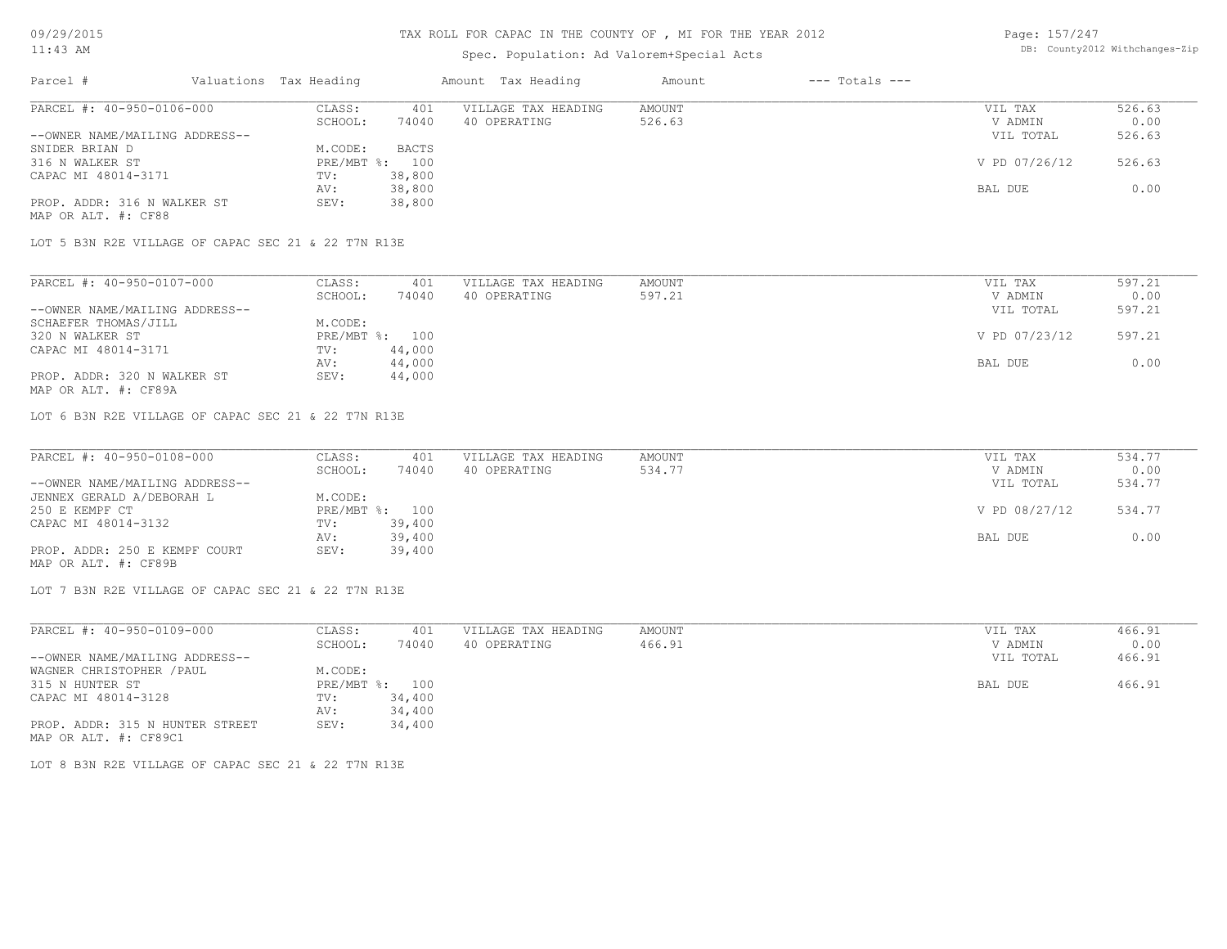# Spec. Population: Ad Valorem+Special Acts

| Page: 157/247 |                                |
|---------------|--------------------------------|
|               | DB: County2012 Withchanges-Zip |

| Parcel #                       |         | Valuations Tax Heading |              | Amount Tax Heading  | Amount | $---$ Totals $---$ |               |        |
|--------------------------------|---------|------------------------|--------------|---------------------|--------|--------------------|---------------|--------|
| PARCEL #: 40-950-0106-000      |         | CLASS:                 | 401          | VILLAGE TAX HEADING | AMOUNT |                    | VIL TAX       | 526.63 |
|                                | SCHOOL: | 74040                  | 40 OPERATING | 526.63              |        | V ADMIN            | 0.00          |        |
| --OWNER NAME/MAILING ADDRESS-- |         |                        |              |                     |        |                    | VIL TOTAL     | 526.63 |
| SNIDER BRIAN D                 |         | M.CODE:                | <b>BACTS</b> |                     |        |                    |               |        |
| 316 N WALKER ST                |         | PRE/MBT %: 100         |              |                     |        |                    | V PD 07/26/12 | 526.63 |
| CAPAC MI 48014-3171            |         | TV:                    | 38,800       |                     |        |                    |               |        |
|                                |         | AV:                    | 38,800       |                     |        |                    | BAL DUE       | 0.00   |
| PROP. ADDR: 316 N WALKER ST    |         | SEV:                   | 38,800       |                     |        |                    |               |        |
| MAP OR ALT. #: CF88            |         |                        |              |                     |        |                    |               |        |

LOT 5 B3N R2E VILLAGE OF CAPAC SEC 21 & 22 T7N R13E

| PARCEL #: 40-950-0107-000      | CLASS:  | 401            | VILLAGE TAX HEADING | AMOUNT | VIL TAX       | 597.21 |
|--------------------------------|---------|----------------|---------------------|--------|---------------|--------|
|                                | SCHOOL: | 74040          | 40 OPERATING        | 597.21 | V ADMIN       | 0.00   |
| --OWNER NAME/MAILING ADDRESS-- |         |                |                     |        | VIL TOTAL     | 597.21 |
| SCHAEFER THOMAS/JILL           | M.CODE: |                |                     |        |               |        |
| 320 N WALKER ST                |         | PRE/MBT %: 100 |                     |        | V PD 07/23/12 | 597.21 |
| CAPAC MI 48014-3171            | TV:     | 44,000         |                     |        |               |        |
|                                | AV:     | 44,000         |                     |        | BAL DUE       | 0.00   |
| PROP. ADDR: 320 N WALKER ST    | SEV:    | 44,000         |                     |        |               |        |
| MAP OR ALT. #: CF89A           |         |                |                     |        |               |        |

LOT 6 B3N R2E VILLAGE OF CAPAC SEC 21 & 22 T7N R13E

| PARCEL #: 40-950-0108-000      | CLASS:  | 401            | VILLAGE TAX HEADING | AMOUNT | VIL TAX       | 534.77 |
|--------------------------------|---------|----------------|---------------------|--------|---------------|--------|
|                                | SCHOOL: | 74040          | 40 OPERATING        | 534.77 | V ADMIN       | 0.00   |
| --OWNER NAME/MAILING ADDRESS-- |         |                |                     |        | VIL TOTAL     | 534.77 |
| JENNEX GERALD A/DEBORAH L      | M.CODE: |                |                     |        |               |        |
| 250 E KEMPF CT                 |         | PRE/MBT %: 100 |                     |        | V PD 08/27/12 | 534.77 |
| CAPAC MI 48014-3132            | TV:     | 39,400         |                     |        |               |        |
|                                | AV:     | 39,400         |                     |        | BAL DUE       | 0.00   |
| PROP. ADDR: 250 E KEMPF COURT  | SEV:    | 39,400         |                     |        |               |        |
| MAP OR ALT. #: CF89B           |         |                |                     |        |               |        |

LOT 7 B3N R2E VILLAGE OF CAPAC SEC 21 & 22 T7N R13E

| PARCEL #: 40-950-0109-000       | CLASS:       | 401    | VILLAGE TAX HEADING | AMOUNT | VIL TAX   | 466.91 |
|---------------------------------|--------------|--------|---------------------|--------|-----------|--------|
|                                 | SCHOOL:      | 74040  | 40 OPERATING        | 466.91 | V ADMIN   | 0.00   |
| --OWNER NAME/MAILING ADDRESS--  |              |        |                     |        | VIL TOTAL | 466.91 |
| WAGNER CHRISTOPHER / PAUL       | M.CODE:      |        |                     |        |           |        |
| 315 N HUNTER ST                 | $PRE/MBT$ %: | 100    |                     |        | BAL DUE   | 466.91 |
| CAPAC MI 48014-3128             | TV:          | 34,400 |                     |        |           |        |
|                                 | AV:          | 34,400 |                     |        |           |        |
| PROP. ADDR: 315 N HUNTER STREET | SEV:         | 34,400 |                     |        |           |        |
| MAP OR ALT. #: CF89C1           |              |        |                     |        |           |        |

LOT 8 B3N R2E VILLAGE OF CAPAC SEC 21 & 22 T7N R13E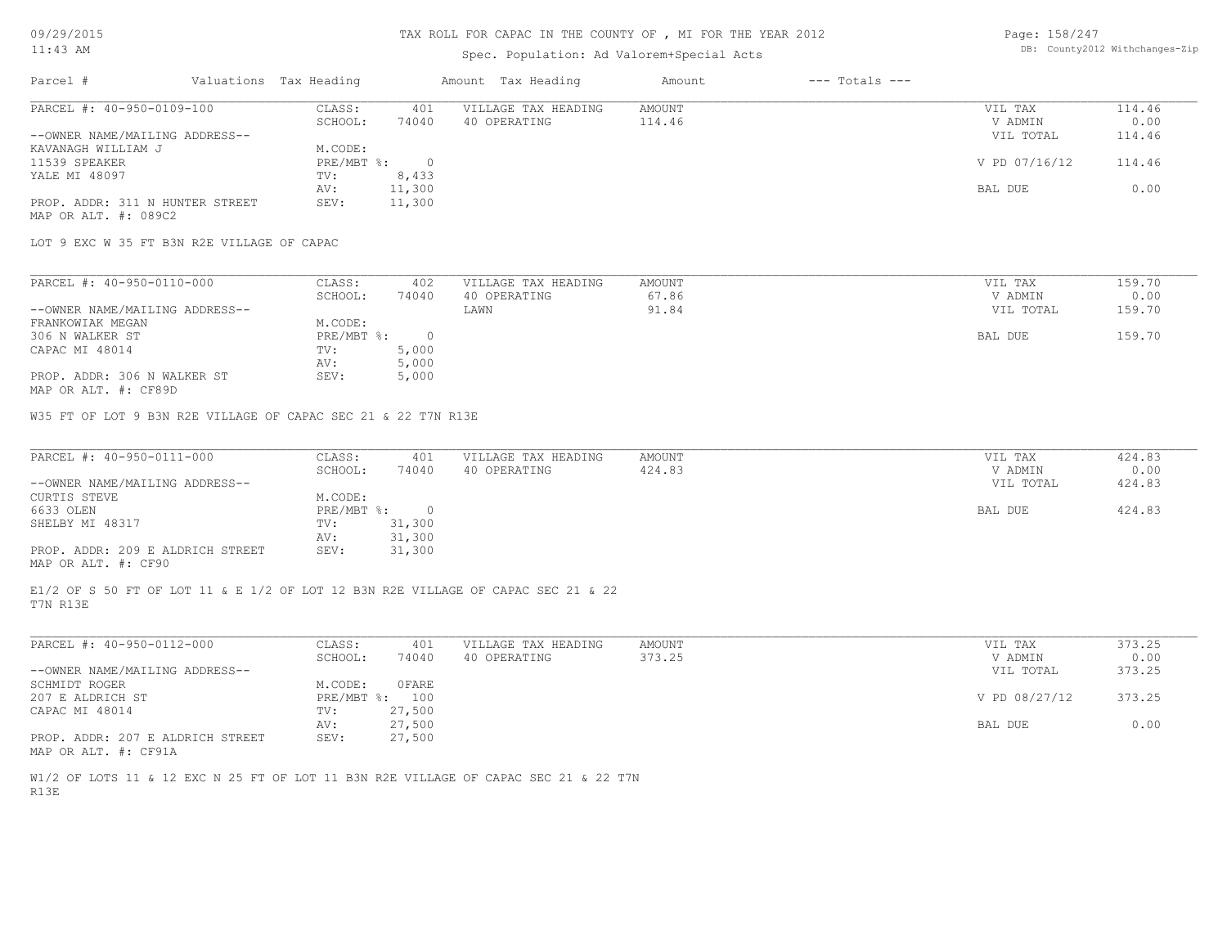# Spec. Population: Ad Valorem+Special Acts

| Page: 158/247 |                                |
|---------------|--------------------------------|
|               | DB: County2012 Withchanges-Zip |

| Parcel #                        |  | Valuations Tax Heading |        | Amount Tax Heading  | Amount | $---$ Totals $---$ |               |        |
|---------------------------------|--|------------------------|--------|---------------------|--------|--------------------|---------------|--------|
| PARCEL #: 40-950-0109-100       |  | CLASS:                 | 401    | VILLAGE TAX HEADING | AMOUNT |                    | VIL TAX       | 114.46 |
|                                 |  | SCHOOL:                | 74040  | 40 OPERATING        | 114.46 |                    | V ADMIN       | 0.00   |
| --OWNER NAME/MAILING ADDRESS--  |  |                        |        |                     |        |                    | VIL TOTAL     | 114.46 |
| KAVANAGH WILLIAM J              |  | M.CODE:                |        |                     |        |                    |               |        |
| 11539 SPEAKER                   |  | PRE/MBT %:             |        |                     |        |                    | V PD 07/16/12 | 114.46 |
| YALE MI 48097                   |  | TV:                    | 8,433  |                     |        |                    |               |        |
|                                 |  | AV:                    | 11,300 |                     |        |                    | BAL DUE       | 0.00   |
| PROP. ADDR: 311 N HUNTER STREET |  | SEV:                   | 11,300 |                     |        |                    |               |        |
|                                 |  |                        |        |                     |        |                    |               |        |

MAP OR ALT. #: 089C2

LOT 9 EXC W 35 FT B3N R2E VILLAGE OF CAPAC

| PARCEL #: 40-950-0110-000      | CLASS:     | 402   | VILLAGE TAX HEADING | AMOUNT | VIL TAX   | 159.70 |
|--------------------------------|------------|-------|---------------------|--------|-----------|--------|
|                                | SCHOOL:    | 74040 | 40 OPERATING        | 67.86  | V ADMIN   | 0.00   |
| --OWNER NAME/MAILING ADDRESS-- |            |       | LAWN                | 91.84  | VIL TOTAL | 159.70 |
| FRANKOWIAK MEGAN               | M.CODE:    |       |                     |        |           |        |
| 306 N WALKER ST                | PRE/MBT %: |       |                     |        | BAL DUE   | 159.70 |
| CAPAC MI 48014                 | TV:        | 5,000 |                     |        |           |        |
|                                | AV:        | 5,000 |                     |        |           |        |
| PROP. ADDR: 306 N WALKER ST    | SEV:       | 5,000 |                     |        |           |        |
|                                |            |       |                     |        |           |        |

MAP OR ALT. #: CF89D

W35 FT OF LOT 9 B3N R2E VILLAGE OF CAPAC SEC 21 & 22 T7N R13E

| PARCEL #: 40-950-0111-000        | CLASS:       | 401    | VILLAGE TAX HEADING | AMOUNT | VIL TAX   | 424.83 |
|----------------------------------|--------------|--------|---------------------|--------|-----------|--------|
|                                  | SCHOOL:      | 74040  | 40 OPERATING        | 424.83 | V ADMIN   | 0.00   |
| --OWNER NAME/MAILING ADDRESS--   |              |        |                     |        | VIL TOTAL | 424.83 |
| CURTIS STEVE                     | M.CODE:      |        |                     |        |           |        |
| 6633 OLEN                        | $PRE/MBT$ %: |        |                     |        | BAL DUE   | 424.83 |
| SHELBY MI 48317                  | TV:          | 31,300 |                     |        |           |        |
|                                  | AV:          | 31,300 |                     |        |           |        |
| PROP. ADDR: 209 E ALDRICH STREET | SEV:         | 31,300 |                     |        |           |        |
| MAP OR ALT. #: CF90              |              |        |                     |        |           |        |

T7N R13E E1/2 OF S 50 FT OF LOT 11 & E 1/2 OF LOT 12 B3N R2E VILLAGE OF CAPAC SEC 21 & 22

| PARCEL #: 40-950-0112-000        | CLASS:  | 401            | VILLAGE TAX HEADING | AMOUNT | VIL TAX       | 373.25 |
|----------------------------------|---------|----------------|---------------------|--------|---------------|--------|
|                                  | SCHOOL: | 74040          | 40 OPERATING        | 373.25 | V ADMIN       | 0.00   |
| --OWNER NAME/MAILING ADDRESS--   |         |                |                     |        | VIL TOTAL     | 373.25 |
| SCHMIDT ROGER                    | M.CODE: | 0 FARE         |                     |        |               |        |
| 207 E ALDRICH ST                 |         | PRE/MBT %: 100 |                     |        | V PD 08/27/12 | 373.25 |
| CAPAC MI 48014                   | TV:     | 27,500         |                     |        |               |        |
|                                  | AV:     | 27,500         |                     |        | BAL DUE       | 0.00   |
| PROP. ADDR: 207 E ALDRICH STREET | SEV:    | 27,500         |                     |        |               |        |
|                                  |         |                |                     |        |               |        |

MAP OR ALT. #: CF91A

R13E W1/2 OF LOTS 11 & 12 EXC N 25 FT OF LOT 11 B3N R2E VILLAGE OF CAPAC SEC 21 & 22 T7N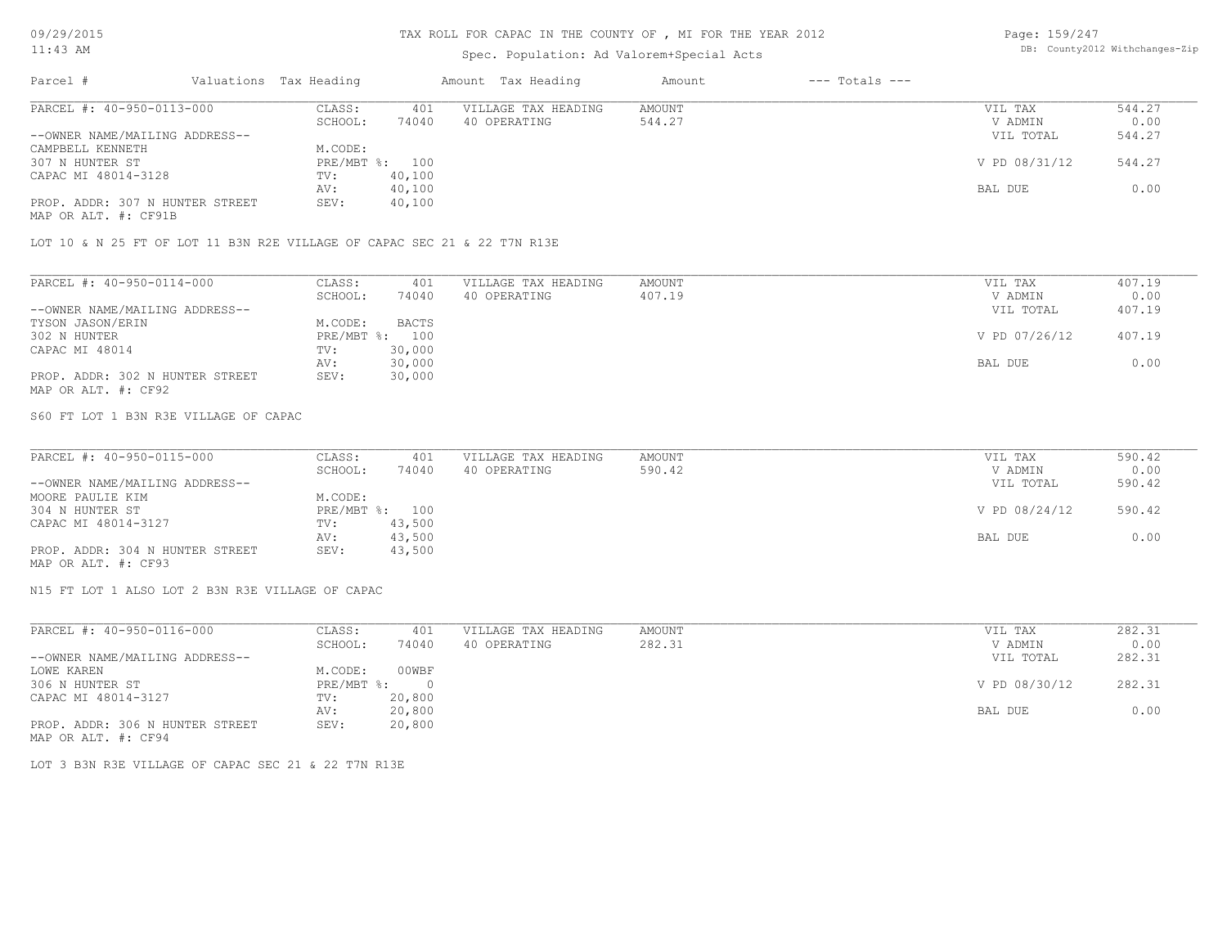### TAX ROLL FOR CAPAC IN THE COUNTY OF , MI FOR THE YEAR 2012

### Spec. Population: Ad Valorem+Special Acts

Page: 159/247 DB: County2012 Withchanges-Zip

| Parcel #                        | Valuations Tax Heading |        | Amount Tax Heading  | Amount | $---$ Totals $---$ |               |        |
|---------------------------------|------------------------|--------|---------------------|--------|--------------------|---------------|--------|
| PARCEL #: 40-950-0113-000       | CLASS:                 | 401    | VILLAGE TAX HEADING | AMOUNT |                    | VIL TAX       | 544.27 |
|                                 | SCHOOL:                | 74040  | 40 OPERATING        | 544.27 |                    | V ADMIN       | 0.00   |
| --OWNER NAME/MAILING ADDRESS--  |                        |        |                     |        |                    | VIL TOTAL     | 544.27 |
| CAMPBELL KENNETH                | M.CODE:                |        |                     |        |                    |               |        |
| 307 N HUNTER ST                 | PRE/MBT %: 100         |        |                     |        |                    | V PD 08/31/12 | 544.27 |
| CAPAC MI 48014-3128             | TV:                    | 40,100 |                     |        |                    |               |        |
|                                 | AV:                    | 40,100 |                     |        |                    | BAL DUE       | 0.00   |
| PROP. ADDR: 307 N HUNTER STREET | SEV:                   | 40,100 |                     |        |                    |               |        |
| MAP OR ALT. #: CF91B            |                        |        |                     |        |                    |               |        |

LOT 10 & N 25 FT OF LOT 11 B3N R2E VILLAGE OF CAPAC SEC 21 & 22 T7N R13E

| PARCEL #: 40-950-0114-000       | CLASS:  | 401            | VILLAGE TAX HEADING | AMOUNT | VIL TAX       | 407.19 |
|---------------------------------|---------|----------------|---------------------|--------|---------------|--------|
|                                 | SCHOOL: | 74040          | 40 OPERATING        | 407.19 | V ADMIN       | 0.00   |
| --OWNER NAME/MAILING ADDRESS--  |         |                |                     |        | VIL TOTAL     | 407.19 |
| TYSON JASON/ERIN                | M.CODE: | <b>BACTS</b>   |                     |        |               |        |
| 302 N HUNTER                    |         | PRE/MBT %: 100 |                     |        | V PD 07/26/12 | 407.19 |
| CAPAC MI 48014                  | TV:     | 30,000         |                     |        |               |        |
|                                 | AV:     | 30,000         |                     |        | BAL DUE       | 0.00   |
| PROP. ADDR: 302 N HUNTER STREET | SEV:    | 30,000         |                     |        |               |        |
| MAP OR ALT. #: CF92             |         |                |                     |        |               |        |

S60 FT LOT 1 B3N R3E VILLAGE OF CAPAC

| PARCEL #: 40-950-0115-000       | CLASS:  | 401            | VILLAGE TAX HEADING | AMOUNT | VIL TAX       | 590.42 |
|---------------------------------|---------|----------------|---------------------|--------|---------------|--------|
|                                 | SCHOOL: | 74040          | 40 OPERATING        | 590.42 | V ADMIN       | 0.00   |
| --OWNER NAME/MAILING ADDRESS--  |         |                |                     |        | VIL TOTAL     | 590.42 |
| MOORE PAULIE KIM                | M.CODE: |                |                     |        |               |        |
| 304 N HUNTER ST                 |         | PRE/MBT %: 100 |                     |        | V PD 08/24/12 | 590.42 |
| CAPAC MI 48014-3127             | TV:     | 43,500         |                     |        |               |        |
|                                 | AV:     | 43,500         |                     |        | BAL DUE       | 0.00   |
| PROP. ADDR: 304 N HUNTER STREET | SEV:    | 43,500         |                     |        |               |        |
| MAP OR ALT. #: CF93             |         |                |                     |        |               |        |

N15 FT LOT 1 ALSO LOT 2 B3N R3E VILLAGE OF CAPAC

| PARCEL #: 40-950-0116-000       | CLASS:     | 401    | VILLAGE TAX HEADING | AMOUNT | VIL TAX       | 282.31 |
|---------------------------------|------------|--------|---------------------|--------|---------------|--------|
|                                 | SCHOOL:    | 74040  | 40 OPERATING        | 282.31 | V ADMIN       | 0.00   |
| --OWNER NAME/MAILING ADDRESS--  |            |        |                     |        | VIL TOTAL     | 282.31 |
| LOWE KAREN                      | M.CODE:    | 00WBF  |                     |        |               |        |
| 306 N HUNTER ST                 | PRE/MBT %: | - 0    |                     |        | V PD 08/30/12 | 282.31 |
| CAPAC MI 48014-3127             | TV:        | 20,800 |                     |        |               |        |
|                                 | AV:        | 20,800 |                     |        | BAL DUE       | 0.00   |
| PROP. ADDR: 306 N HUNTER STREET | SEV:       | 20,800 |                     |        |               |        |
| MAP OR ALT. #: CF94             |            |        |                     |        |               |        |

LOT 3 B3N R3E VILLAGE OF CAPAC SEC 21 & 22 T7N R13E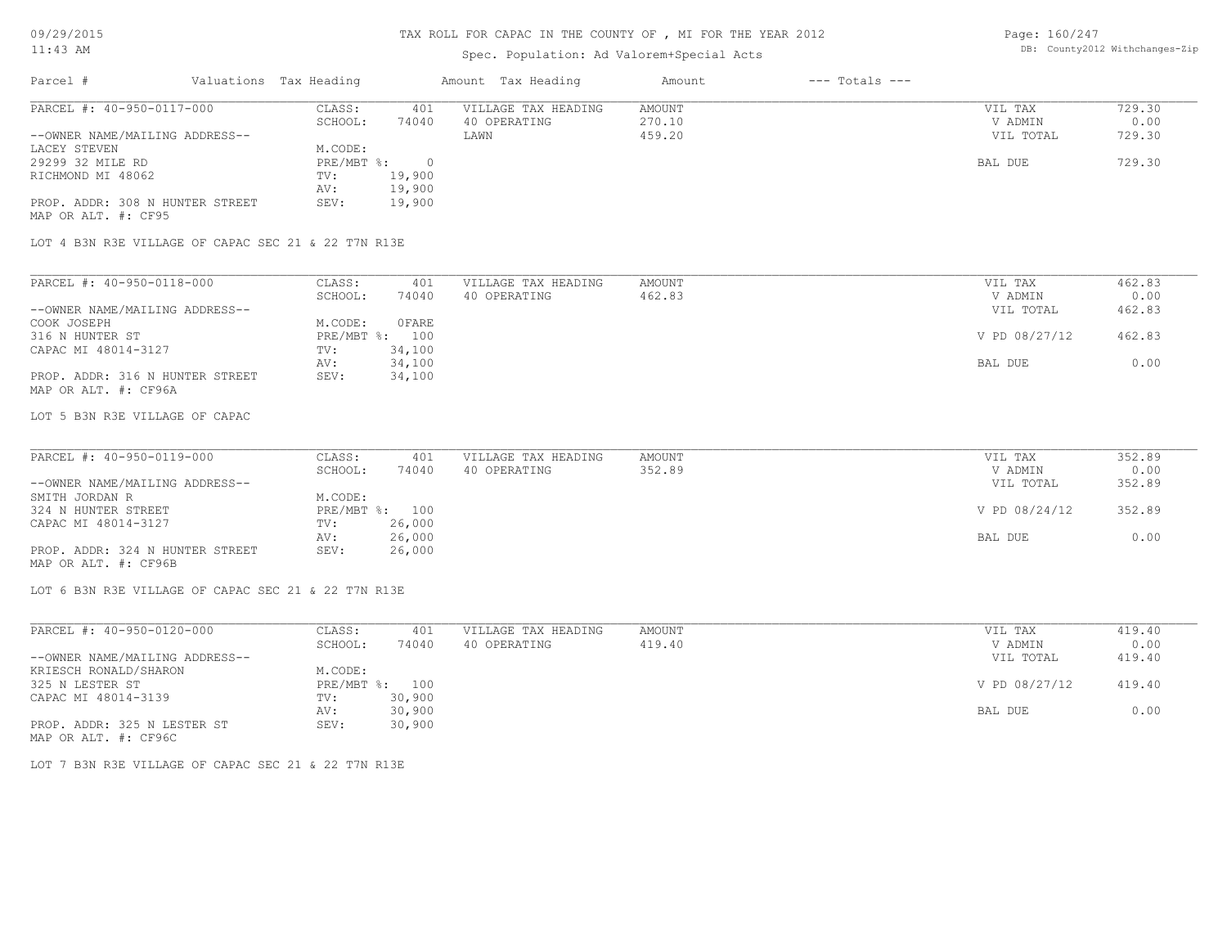# Spec. Population: Ad Valorem+Special Acts

Page: 160/247 DB: County2012 Withchanges-Zip

| Parcel #                        | Valuations Tax Heading |        | Amount Tax Heading  | Amount | $---$ Totals $---$ |           |        |
|---------------------------------|------------------------|--------|---------------------|--------|--------------------|-----------|--------|
| PARCEL #: 40-950-0117-000       | CLASS:                 | 401    | VILLAGE TAX HEADING | AMOUNT |                    | VIL TAX   | 729.30 |
|                                 | SCHOOL:                | 74040  | 40 OPERATING        | 270.10 |                    | V ADMIN   | 0.00   |
| --OWNER NAME/MAILING ADDRESS--  |                        |        | LAWN                | 459.20 |                    | VIL TOTAL | 729.30 |
| LACEY STEVEN                    | M.CODE:                |        |                     |        |                    |           |        |
| 29299 32 MILE RD                | $PRE/MBT$ %:           |        |                     |        |                    | BAL DUE   | 729.30 |
| RICHMOND MI 48062               | TV:                    | 19,900 |                     |        |                    |           |        |
|                                 | AV:                    | 19,900 |                     |        |                    |           |        |
| PROP. ADDR: 308 N HUNTER STREET | SEV:                   | 19,900 |                     |        |                    |           |        |
| MAP OR ALT. #: CF95             |                        |        |                     |        |                    |           |        |

LOT 4 B3N R3E VILLAGE OF CAPAC SEC 21 & 22 T7N R13E

| PARCEL #: 40-950-0118-000       | CLASS:  | 401            | VILLAGE TAX HEADING | AMOUNT | VIL TAX       | 462.83 |
|---------------------------------|---------|----------------|---------------------|--------|---------------|--------|
|                                 | SCHOOL: | 74040          | 40 OPERATING        | 462.83 | V ADMIN       | 0.00   |
| --OWNER NAME/MAILING ADDRESS--  |         |                |                     |        | VIL TOTAL     | 462.83 |
| COOK JOSEPH                     | M.CODE: | OFARE          |                     |        |               |        |
| 316 N HUNTER ST                 |         | PRE/MBT %: 100 |                     |        | V PD 08/27/12 | 462.83 |
| CAPAC MI 48014-3127             | TV:     | 34,100         |                     |        |               |        |
|                                 | AV:     | 34,100         |                     |        | BAL DUE       | 0.00   |
| PROP. ADDR: 316 N HUNTER STREET | SEV:    | 34,100         |                     |        |               |        |
| MAP OR ALT. #: CF96A            |         |                |                     |        |               |        |

LOT 5 B3N R3E VILLAGE OF CAPAC

| PARCEL #: 40-950-0119-000       | CLASS:  | 401            | VILLAGE TAX HEADING | AMOUNT | VIL TAX       | 352.89 |
|---------------------------------|---------|----------------|---------------------|--------|---------------|--------|
|                                 | SCHOOL: | 74040          | 40 OPERATING        | 352.89 | V ADMIN       | 0.00   |
| --OWNER NAME/MAILING ADDRESS--  |         |                |                     |        | VIL TOTAL     | 352.89 |
| SMITH JORDAN R                  | M.CODE: |                |                     |        |               |        |
| 324 N HUNTER STREET             |         | PRE/MBT %: 100 |                     |        | V PD 08/24/12 | 352.89 |
| CAPAC MI 48014-3127             | TV:     | 26,000         |                     |        |               |        |
|                                 | AV:     | 26,000         |                     |        | BAL DUE       | 0.00   |
| PROP. ADDR: 324 N HUNTER STREET | SEV:    | 26,000         |                     |        |               |        |
| MAP OR ALT. #: CF96B            |         |                |                     |        |               |        |

LOT 6 B3N R3E VILLAGE OF CAPAC SEC 21 & 22 T7N R13E

| PARCEL #: 40-950-0120-000      | CLASS:       | 401    | VILLAGE TAX HEADING | AMOUNT | VIL TAX       | 419.40 |
|--------------------------------|--------------|--------|---------------------|--------|---------------|--------|
|                                | SCHOOL:      | 74040  | 40 OPERATING        | 419.40 | V ADMIN       | 0.00   |
| --OWNER NAME/MAILING ADDRESS-- |              |        |                     |        | VIL TOTAL     | 419.40 |
| KRIESCH RONALD/SHARON          | M.CODE:      |        |                     |        |               |        |
| 325 N LESTER ST                | $PRE/MBT$ %: | 100    |                     |        | V PD 08/27/12 | 419.40 |
| CAPAC MI 48014-3139            | TV:          | 30,900 |                     |        |               |        |
|                                | AV:          | 30,900 |                     |        | BAL DUE       | 0.00   |
| PROP. ADDR: 325 N LESTER ST    | SEV:         | 30,900 |                     |        |               |        |
| MAP OR ALT. #: CF96C           |              |        |                     |        |               |        |

LOT 7 B3N R3E VILLAGE OF CAPAC SEC 21 & 22 T7N R13E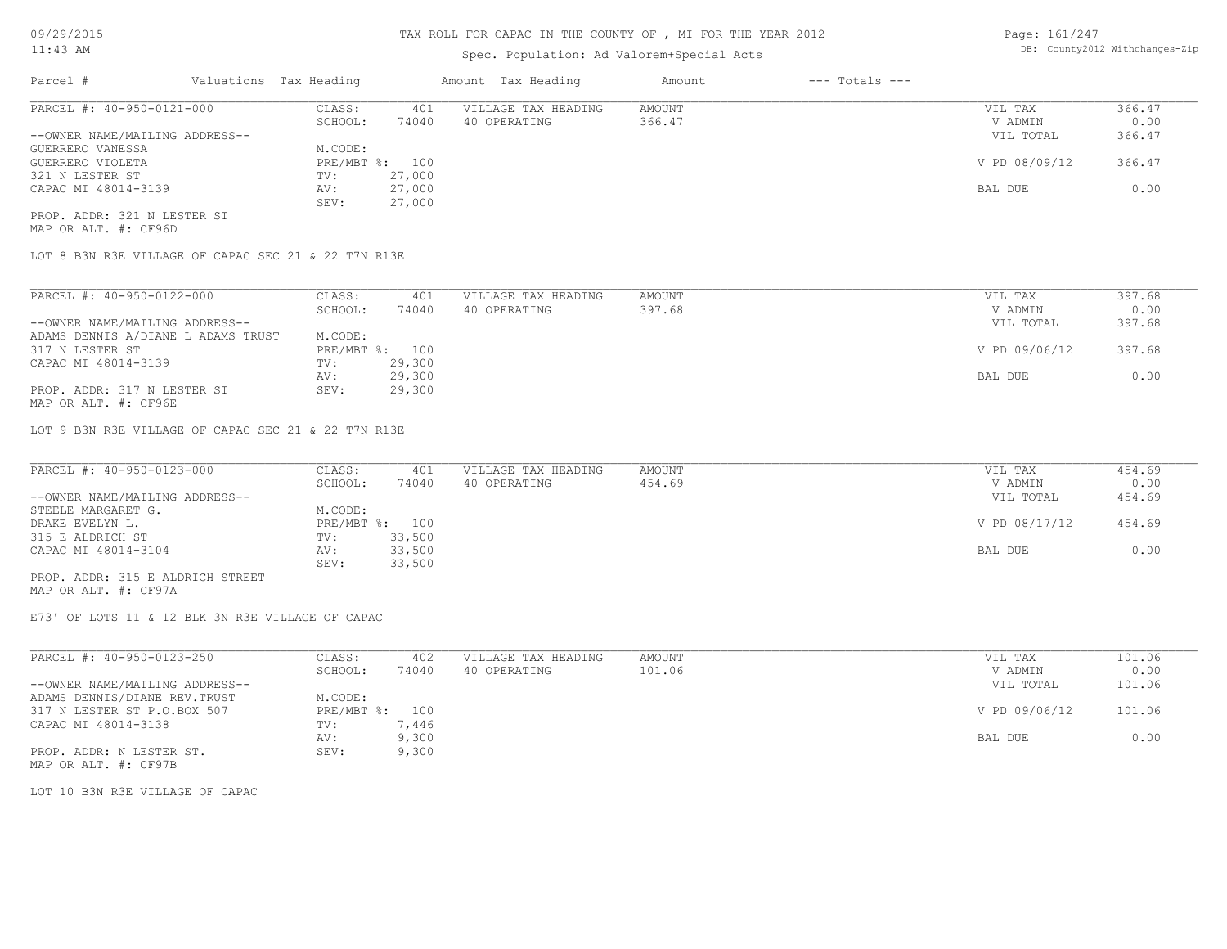# Spec. Population: Ad Valorem+Special Acts

Page: 161/247 DB: County2012 Withchanges-Zip

| Parcel #                       | Valuations Tax Heading |        | Amount Tax Heading  | Amount | $---$ Totals $---$ |               |        |
|--------------------------------|------------------------|--------|---------------------|--------|--------------------|---------------|--------|
| PARCEL #: 40-950-0121-000      | CLASS:                 | 401    | VILLAGE TAX HEADING | AMOUNT |                    | VIL TAX       | 366.47 |
|                                | SCHOOL:                | 74040  | 40 OPERATING        | 366.47 |                    | V ADMIN       | 0.00   |
| --OWNER NAME/MAILING ADDRESS-- |                        |        |                     |        |                    | VIL TOTAL     | 366.47 |
| GUERRERO VANESSA               | M.CODE:                |        |                     |        |                    |               |        |
| GUERRERO VIOLETA               | PRE/MBT %: 100         |        |                     |        |                    | V PD 08/09/12 | 366.47 |
| 321 N LESTER ST                | TV:                    | 27,000 |                     |        |                    |               |        |
| CAPAC MI 48014-3139            | AV:                    | 27,000 |                     |        |                    | BAL DUE       | 0.00   |
|                                | SEV:                   | 27,000 |                     |        |                    |               |        |
| PROP. ADDR: 321 N LESTER ST    |                        |        |                     |        |                    |               |        |

MAP OR ALT. #: CF96D

LOT 8 B3N R3E VILLAGE OF CAPAC SEC 21 & 22 T7N R13E

| PARCEL #: 40-950-0122-000          | CLASS:       | 401    | VILLAGE TAX HEADING | AMOUNT | VIL TAX       | 397.68 |
|------------------------------------|--------------|--------|---------------------|--------|---------------|--------|
|                                    | SCHOOL:      | 74040  | 40 OPERATING        | 397.68 | V ADMIN       | 0.00   |
| --OWNER NAME/MAILING ADDRESS--     |              |        |                     |        | VIL TOTAL     | 397.68 |
| ADAMS DENNIS A/DIANE L ADAMS TRUST | M.CODE:      |        |                     |        |               |        |
| 317 N LESTER ST                    | $PRE/MBT$ %: | 100    |                     |        | V PD 09/06/12 | 397.68 |
| CAPAC MI 48014-3139                | TV:          | 29,300 |                     |        |               |        |
|                                    | AV:          | 29,300 |                     |        | BAL DUE       | 0.00   |
| PROP. ADDR: 317 N LESTER ST        | SEV:         | 29,300 |                     |        |               |        |
| MAP OR ALT. #: CF96E               |              |        |                     |        |               |        |

LOT 9 B3N R3E VILLAGE OF CAPAC SEC 21 & 22 T7N R13E

| PARCEL #: 40-950-0123-000        | CLASS:  | 401            | VILLAGE TAX HEADING | AMOUNT | VIL TAX       | 454.69 |
|----------------------------------|---------|----------------|---------------------|--------|---------------|--------|
|                                  | SCHOOL: | 74040          | 40 OPERATING        | 454.69 | V ADMIN       | 0.00   |
| --OWNER NAME/MAILING ADDRESS--   |         |                |                     |        | VIL TOTAL     | 454.69 |
| STEELE MARGARET G.               | M.CODE: |                |                     |        |               |        |
| DRAKE EVELYN L.                  |         | PRE/MBT %: 100 |                     |        | V PD 08/17/12 | 454.69 |
| 315 E ALDRICH ST                 | TV:     | 33,500         |                     |        |               |        |
| CAPAC MI 48014-3104              | AV:     | 33,500         |                     |        | BAL DUE       | 0.00   |
|                                  | SEV:    | 33,500         |                     |        |               |        |
| PROP. ADDR: 315 E ALDRICH STREET |         |                |                     |        |               |        |

MAP OR ALT. #: CF97A

E73' OF LOTS 11 & 12 BLK 3N R3E VILLAGE OF CAPAC

| PARCEL #: 40-950-0123-250      | CLASS:     | 402   | VILLAGE TAX HEADING | AMOUNT | 101.06<br>VIL TAX       |
|--------------------------------|------------|-------|---------------------|--------|-------------------------|
|                                | SCHOOL:    | 74040 | 40 OPERATING        | 101.06 | 0.00<br>V ADMIN         |
| --OWNER NAME/MAILING ADDRESS-- |            |       |                     |        | 101.06<br>VIL TOTAL     |
| ADAMS DENNIS/DIANE REV. TRUST  | M.CODE:    |       |                     |        |                         |
| 317 N LESTER ST P.O.BOX 507    | PRE/MBT %: | 100   |                     |        | V PD 09/06/12<br>101.06 |
| CAPAC MI 48014-3138            | TV:        | , 446 |                     |        |                         |
|                                | AV:        | 9,300 |                     |        | 0.00<br>BAL DUE         |
| PROP. ADDR: N LESTER ST.       | SEV:       | 9,300 |                     |        |                         |
| MAP OR ALT. #: CF97B           |            |       |                     |        |                         |

LOT 10 B3N R3E VILLAGE OF CAPAC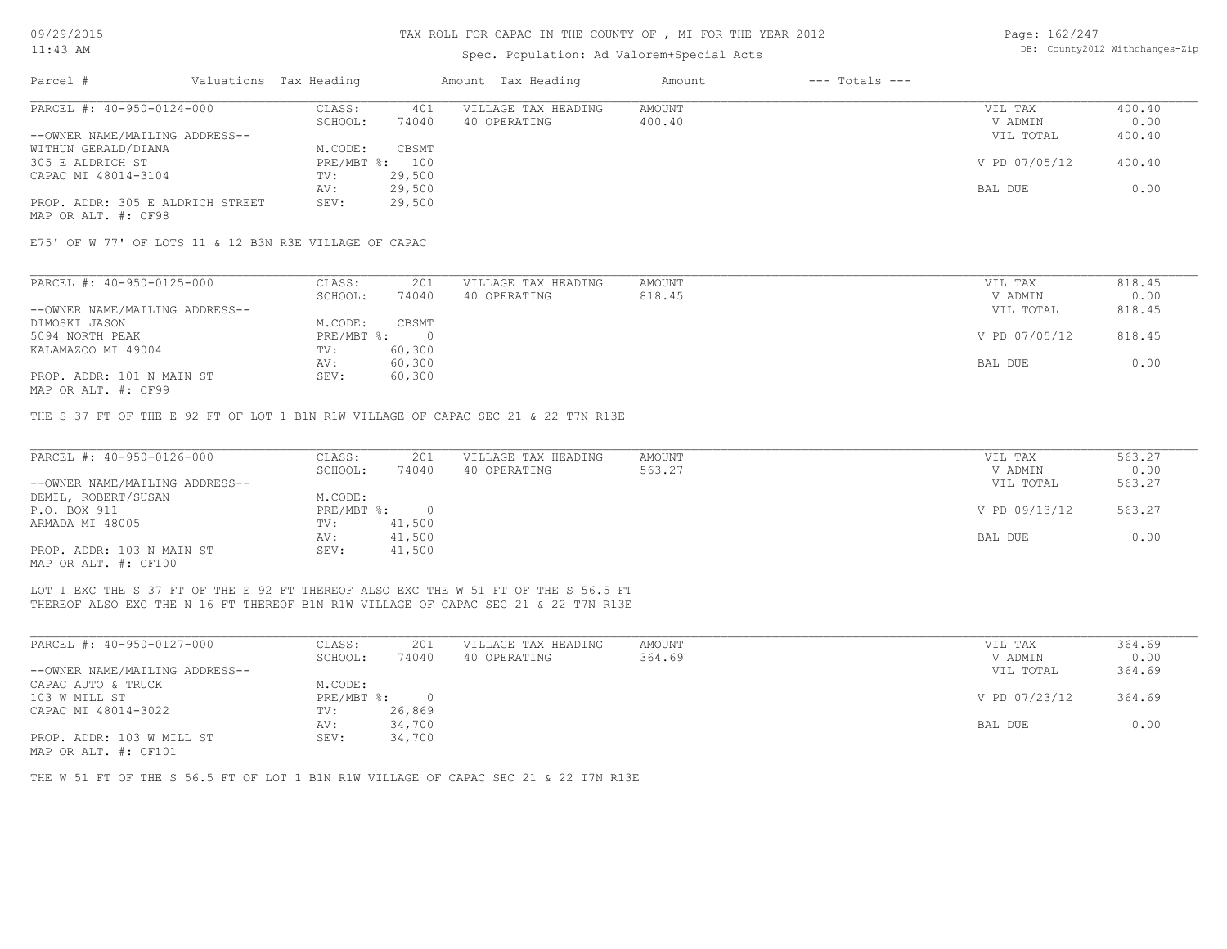### Spec. Population: Ad Valorem+Special Acts

| Page: 162/247 |                                |
|---------------|--------------------------------|
|               | DB: County2012 Withchanges-Zip |

| Parcel #                         | Valuations Tax Heading |        | Amount Tax Heading  | Amount | $---$ Totals $---$ |               |        |
|----------------------------------|------------------------|--------|---------------------|--------|--------------------|---------------|--------|
| PARCEL #: 40-950-0124-000        | CLASS:                 | 401    | VILLAGE TAX HEADING | AMOUNT |                    | VIL TAX       | 400.40 |
|                                  | SCHOOL:                | 74040  | 40 OPERATING        | 400.40 |                    | V ADMIN       | 0.00   |
| --OWNER NAME/MAILING ADDRESS--   |                        |        |                     |        |                    | VIL TOTAL     | 400.40 |
| WITHUN GERALD/DIANA              | M.CODE:                | CBSMT  |                     |        |                    |               |        |
| 305 E ALDRICH ST                 | PRE/MBT %: 100         |        |                     |        |                    | V PD 07/05/12 | 400.40 |
| CAPAC MI 48014-3104              | TV:                    | 29,500 |                     |        |                    |               |        |
|                                  | AV:                    | 29,500 |                     |        |                    | BAL DUE       | 0.00   |
| PROP. ADDR: 305 E ALDRICH STREET | SEV:                   | 29,500 |                     |        |                    |               |        |
| MAP OR ALT. #: CF98              |                        |        |                     |        |                    |               |        |

E75' OF W 77' OF LOTS 11 & 12 B3N R3E VILLAGE OF CAPAC

| PARCEL #: 40-950-0125-000      | CLASS:     | 201    | VILLAGE TAX HEADING | AMOUNT | VIL TAX       | 818.45 |
|--------------------------------|------------|--------|---------------------|--------|---------------|--------|
|                                | SCHOOL:    | 74040  | 40 OPERATING        | 818.45 | V ADMIN       | 0.00   |
| --OWNER NAME/MAILING ADDRESS-- |            |        |                     |        | VIL TOTAL     | 818.45 |
| DIMOSKI JASON                  | M.CODE:    | CBSMT  |                     |        |               |        |
| 5094 NORTH PEAK                | PRE/MBT %: |        |                     |        | V PD 07/05/12 | 818.45 |
| KALAMAZOO MI 49004             | TV:        | 60,300 |                     |        |               |        |
|                                | AV:        | 60,300 |                     |        | BAL DUE       | 0.00   |
| PROP. ADDR: 101 N MAIN ST      | SEV:       | 60,300 |                     |        |               |        |
|                                |            |        |                     |        |               |        |

MAP OR ALT. #: CF99

THE S 37 FT OF THE E 92 FT OF LOT 1 B1N R1W VILLAGE OF CAPAC SEC 21 & 22 T7N R13E

| PARCEL #: 40-950-0126-000      | CLASS:       | 201    | VILLAGE TAX HEADING | AMOUNT | VIL TAX       | 563.27 |
|--------------------------------|--------------|--------|---------------------|--------|---------------|--------|
|                                | SCHOOL:      | 74040  | 40 OPERATING        | 563.27 | V ADMIN       | 0.00   |
| --OWNER NAME/MAILING ADDRESS-- |              |        |                     |        | VIL TOTAL     | 563.27 |
| DEMIL, ROBERT/SUSAN            | M.CODE:      |        |                     |        |               |        |
| P.O. BOX 911                   | $PRE/MBT$ %: |        |                     |        | V PD 09/13/12 | 563.27 |
| ARMADA MI 48005                | TV:          | 41,500 |                     |        |               |        |
|                                | AV:          | 41,500 |                     |        | BAL DUE       | 0.00   |
| PROP. ADDR: 103 N MAIN ST      | SEV:         | 41,500 |                     |        |               |        |
| MAP OR ALT. #: CF100           |              |        |                     |        |               |        |

THEREOF ALSO EXC THE N 16 FT THEREOF B1N R1W VILLAGE OF CAPAC SEC 21 & 22 T7N R13E LOT 1 EXC THE S 37 FT OF THE E 92 FT THEREOF ALSO EXC THE W 51 FT OF THE S 56.5 FT

| PARCEL #: 40-950-0127-000      | CLASS:       | 201    | VILLAGE TAX HEADING | AMOUNT | VIL TAX       | 364.69 |
|--------------------------------|--------------|--------|---------------------|--------|---------------|--------|
|                                | SCHOOL:      | 74040  | 40 OPERATING        | 364.69 | V ADMIN       | 0.00   |
| --OWNER NAME/MAILING ADDRESS-- |              |        |                     |        | VIL TOTAL     | 364.69 |
| CAPAC AUTO & TRUCK             | M.CODE:      |        |                     |        |               |        |
| 103 W MILL ST                  | $PRE/MBT$ %: |        |                     |        | V PD 07/23/12 | 364.69 |
| CAPAC MI 48014-3022            | TV:          | 26,869 |                     |        |               |        |
|                                | AV:          | 34,700 |                     |        | BAL DUE       | 0.00   |
| PROP. ADDR: 103 W MILL ST      | SEV:         | 34,700 |                     |        |               |        |
| MAP OR ALT. #: CF101           |              |        |                     |        |               |        |

THE W 51 FT OF THE S 56.5 FT OF LOT 1 B1N R1W VILLAGE OF CAPAC SEC 21 & 22 T7N R13E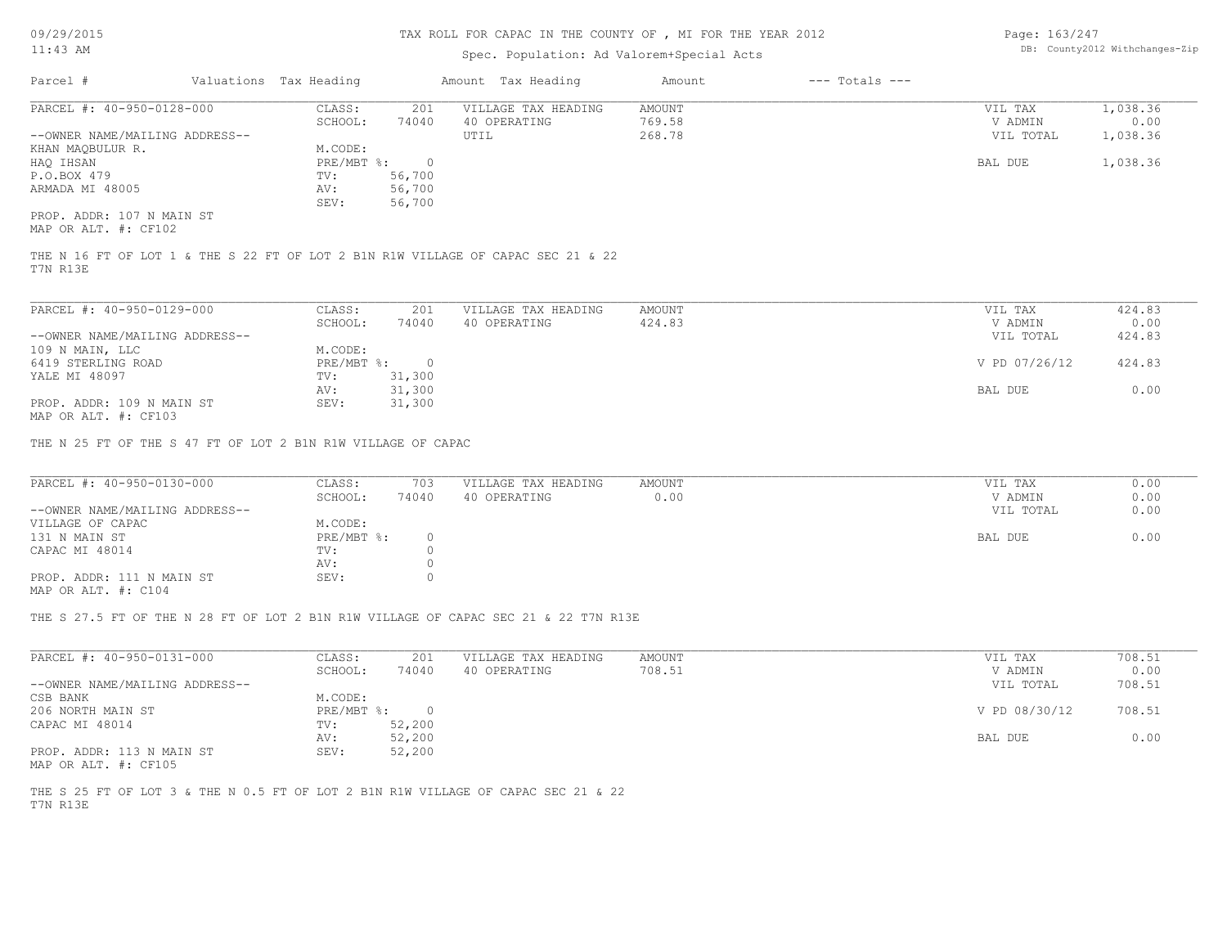### TAX ROLL FOR CAPAC IN THE COUNTY OF , MI FOR THE YEAR 2012

### Spec. Population: Ad Valorem+Special Acts

Page: 163/247 DB: County2012 Withchanges-Zip

| Parcel #                       | Valuations Tax Heading |        | Amount Tax Heading  | Amount | $---$ Totals $---$ |           |          |
|--------------------------------|------------------------|--------|---------------------|--------|--------------------|-----------|----------|
| PARCEL #: 40-950-0128-000      | CLASS:                 | 201    | VILLAGE TAX HEADING | AMOUNT |                    | VIL TAX   | 1,038.36 |
|                                | SCHOOL:                | 74040  | 40 OPERATING        | 769.58 |                    | V ADMIN   | 0.00     |
| --OWNER NAME/MAILING ADDRESS-- |                        |        | UTIL                | 268.78 |                    | VIL TOTAL | 1,038.36 |
| KHAN MAOBULUR R.               | M.CODE:                |        |                     |        |                    |           |          |
| HAO IHSAN                      | $PRE/MBT$ %:           |        |                     |        |                    | BAL DUE   | 1,038.36 |
| P.O.BOX 479                    | TV:                    | 56,700 |                     |        |                    |           |          |
| ARMADA MI 48005                | AV:                    | 56,700 |                     |        |                    |           |          |
|                                | SEV:                   | 56,700 |                     |        |                    |           |          |
| PROP. ADDR: 107 N MAIN ST      |                        |        |                     |        |                    |           |          |

MAP OR ALT. #: CF102

T7N R13E THE N 16 FT OF LOT 1 & THE S 22 FT OF LOT 2 B1N R1W VILLAGE OF CAPAC SEC 21 & 22

| PARCEL #: 40-950-0129-000      | CLASS:       | 201    | VILLAGE TAX HEADING | AMOUNT | VIL TAX       | 424.83 |
|--------------------------------|--------------|--------|---------------------|--------|---------------|--------|
|                                | SCHOOL:      | 74040  | 40 OPERATING        | 424.83 | V ADMIN       | 0.00   |
| --OWNER NAME/MAILING ADDRESS-- |              |        |                     |        | VIL TOTAL     | 424.83 |
| 109 N MAIN, LLC                | M.CODE:      |        |                     |        |               |        |
| 6419 STERLING ROAD             | $PRE/MBT$ %: |        |                     |        | V PD 07/26/12 | 424.83 |
| YALE MI 48097                  | TV:          | 31,300 |                     |        |               |        |
|                                | AV:          | 31,300 |                     |        | BAL DUE       | 0.00   |
| PROP. ADDR: 109 N MAIN ST      | SEV:         | 31,300 |                     |        |               |        |
| MAP OR ALT. #: CF103           |              |        |                     |        |               |        |

THE N 25 FT OF THE S 47 FT OF LOT 2 B1N R1W VILLAGE OF CAPAC

| PARCEL #: 40-950-0130-000      | CLASS:     | 703   | VILLAGE TAX HEADING | AMOUNT | VIL TAX   | 0.00 |
|--------------------------------|------------|-------|---------------------|--------|-----------|------|
|                                | SCHOOL:    | 74040 | 40 OPERATING        | 0.00   | V ADMIN   | 0.00 |
| --OWNER NAME/MAILING ADDRESS-- |            |       |                     |        | VIL TOTAL | 0.00 |
| VILLAGE OF CAPAC               | M.CODE:    |       |                     |        |           |      |
| 131 N MAIN ST                  | PRE/MBT %: |       |                     |        | BAL DUE   | 0.00 |
| CAPAC MI 48014                 | TV:        |       |                     |        |           |      |
|                                | AV:        |       |                     |        |           |      |
| PROP. ADDR: 111 N MAIN ST      | SEV:       |       |                     |        |           |      |
| MAP OR ALT. #: C104            |            |       |                     |        |           |      |

THE S 27.5 FT OF THE N 28 FT OF LOT 2 B1N R1W VILLAGE OF CAPAC SEC 21 & 22 T7N R13E

| PARCEL #: 40-950-0131-000      | CLASS:     | 201    | VILLAGE TAX HEADING | AMOUNT | VIL TAX       | 708.51 |
|--------------------------------|------------|--------|---------------------|--------|---------------|--------|
|                                | SCHOOL:    | 74040  | 40 OPERATING        | 708.51 | V ADMIN       | 0.00   |
| --OWNER NAME/MAILING ADDRESS-- |            |        |                     |        | VIL TOTAL     | 708.51 |
| CSB BANK                       | M.CODE:    |        |                     |        |               |        |
| 206 NORTH MAIN ST              | PRE/MBT %: |        |                     |        | V PD 08/30/12 | 708.51 |
| CAPAC MI 48014                 | TV:        | 52,200 |                     |        |               |        |
|                                | AV:        | 52,200 |                     |        | BAL DUE       | 0.00   |
| PROP. ADDR: 113 N MAIN ST      | SEV:       | 52,200 |                     |        |               |        |

MAP OR ALT. #: CF105

T7N R13E THE S 25 FT OF LOT 3 & THE N 0.5 FT OF LOT 2 B1N R1W VILLAGE OF CAPAC SEC 21 & 22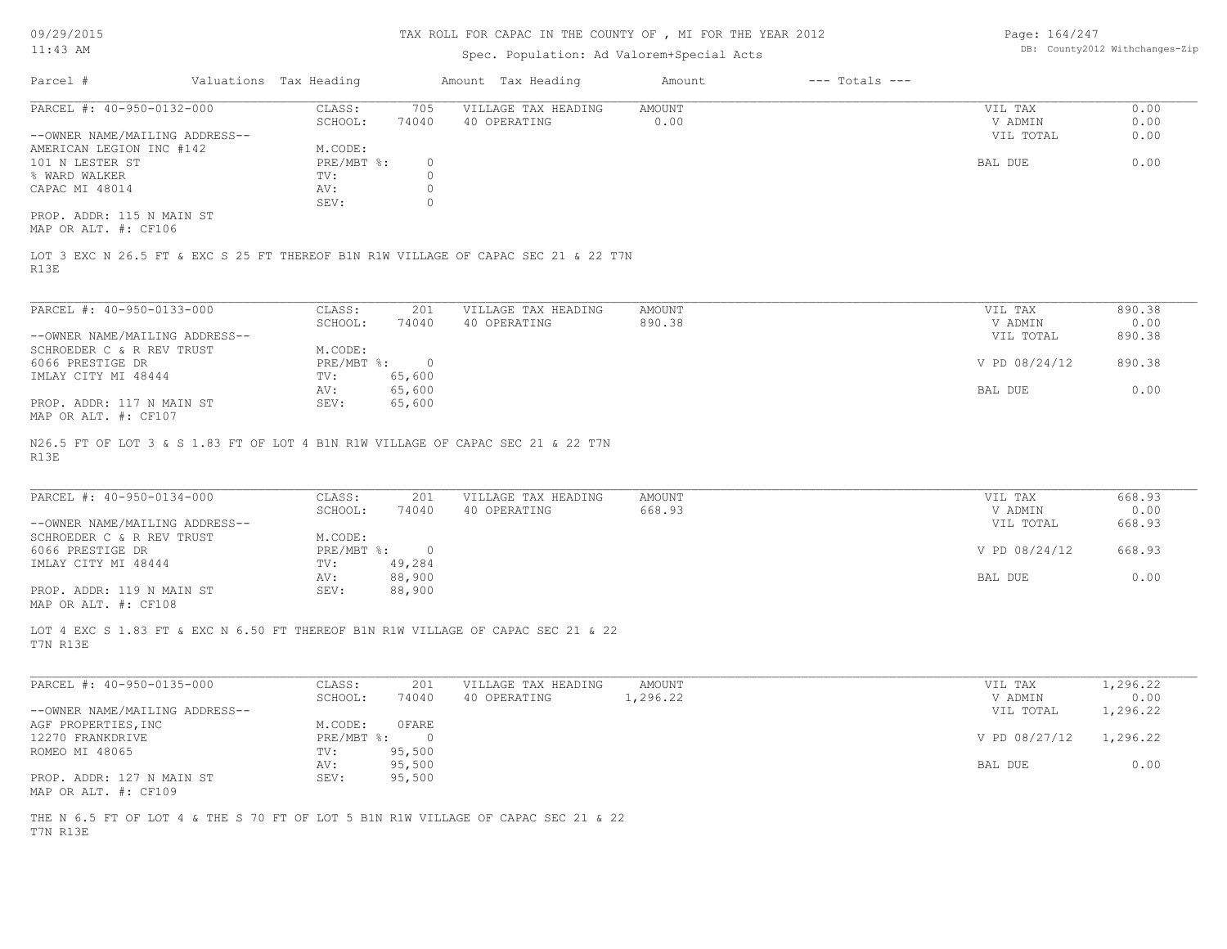#### TAX ROLL FOR CAPAC IN THE COUNTY OF , MI FOR THE YEAR 2012

# Spec. Population: Ad Valorem+Special Acts

Page: 164/247 DB: County2012 Withchanges-Zip

| Parcel #                       | Valuations Tax Heading |       | Amount Tax Heading  | Amount | $---$ Totals $---$ |           |      |
|--------------------------------|------------------------|-------|---------------------|--------|--------------------|-----------|------|
| PARCEL #: 40-950-0132-000      | CLASS:                 | 705   | VILLAGE TAX HEADING | AMOUNT |                    | VIL TAX   | 0.00 |
|                                | SCHOOL:                | 74040 | 40 OPERATING        | 0.00   |                    | V ADMIN   | 0.00 |
| --OWNER NAME/MAILING ADDRESS-- |                        |       |                     |        |                    | VIL TOTAL | 0.00 |
| AMERICAN LEGION INC #142       | M.CODE:                |       |                     |        |                    |           |      |
| 101 N LESTER ST                | PRE/MBT %:             |       |                     |        |                    | BAL DUE   | 0.00 |
| % WARD WALKER                  | TV:                    |       |                     |        |                    |           |      |
| CAPAC MI 48014                 | AV:                    |       |                     |        |                    |           |      |
|                                | SEV:                   |       |                     |        |                    |           |      |
| PROP. ADDR: 115 N MAIN ST      |                        |       |                     |        |                    |           |      |

MAP OR ALT. #: CF106

R13E LOT 3 EXC N 26.5 FT & EXC S 25 FT THEREOF B1N R1W VILLAGE OF CAPAC SEC 21 & 22 T7N

| PARCEL #: 40-950-0133-000      | CLASS:     | 201    | VILLAGE TAX HEADING | AMOUNT | VIL TAX       | 890.38 |
|--------------------------------|------------|--------|---------------------|--------|---------------|--------|
|                                | SCHOOL:    | 74040  | 40 OPERATING        | 890.38 | V ADMIN       | 0.00   |
| --OWNER NAME/MAILING ADDRESS-- |            |        |                     |        | VIL TOTAL     | 890.38 |
| SCHROEDER C & R REV TRUST      | M.CODE:    |        |                     |        |               |        |
| 6066 PRESTIGE DR               | PRE/MBT %: |        |                     |        | V PD 08/24/12 | 890.38 |
| IMLAY CITY MI 48444            | TV:        | 65,600 |                     |        |               |        |
|                                | AV:        | 65,600 |                     |        | BAL DUE       | 0.00   |
| PROP. ADDR: 117 N MAIN ST      | SEV:       | 65,600 |                     |        |               |        |
| $\frac{1}{2}$                  |            |        |                     |        |               |        |

MAP OR ALT. #: CF107

R13E N26.5 FT OF LOT 3 & S 1.83 FT OF LOT 4 B1N R1W VILLAGE OF CAPAC SEC 21 & 22 T7N

| PARCEL #: 40-950-0134-000      | CLASS:                    | 201    | VILLAGE TAX HEADING | AMOUNT | VIL TAX       | 668.93 |
|--------------------------------|---------------------------|--------|---------------------|--------|---------------|--------|
|                                | SCHOOL:                   | 74040  | 40 OPERATING        | 668.93 | V ADMIN       | 0.00   |
| --OWNER NAME/MAILING ADDRESS-- |                           |        |                     |        | VIL TOTAL     | 668.93 |
| SCHROEDER C & R REV TRUST      | M.CODE:                   |        |                     |        |               |        |
| 6066 PRESTIGE DR               | $PRE/MBT$ $\frac{1}{6}$ : | $\cap$ |                     |        | V PD 08/24/12 | 668.93 |
| IMLAY CITY MI 48444            | TV:                       | 49,284 |                     |        |               |        |
|                                | AV:                       | 88,900 |                     |        | BAL DUE       | 0.00   |
| PROP. ADDR: 119 N MAIN ST      | SEV:                      | 88,900 |                     |        |               |        |

 $\_$  , and the state of the state of the state of the state of the state of the state of the state of the state of the state of the state of the state of the state of the state of the state of the state of the state of the

MAP OR ALT. #: CF108

T7N R13E LOT 4 EXC S 1.83 FT & EXC N 6.50 FT THEREOF B1N R1W VILLAGE OF CAPAC SEC 21 & 22

| PARCEL #: 40-950-0135-000      | CLASS:     | 201    | VILLAGE TAX HEADING | AMOUNT   | VIL TAX       | 1,296.22 |
|--------------------------------|------------|--------|---------------------|----------|---------------|----------|
|                                | SCHOOL:    | 74040  | 40 OPERATING        | 1,296.22 | V ADMIN       | 0.00     |
| --OWNER NAME/MAILING ADDRESS-- |            |        |                     |          | VIL TOTAL     | 1,296.22 |
| AGF PROPERTIES, INC            | M.CODE:    | OFARE  |                     |          |               |          |
| 12270 FRANKDRIVE               | PRE/MBT %: |        |                     |          | V PD 08/27/12 | 1,296.22 |
| ROMEO MI 48065                 | TV:        | 95,500 |                     |          |               |          |
|                                | AV:        | 95,500 |                     |          | BAL DUE       | 0.00     |
| PROP. ADDR: 127 N MAIN ST      | SEV:       | 95,500 |                     |          |               |          |
| MAP OR ALT. #: CF109           |            |        |                     |          |               |          |

T7N R13E THE N 6.5 FT OF LOT 4 & THE S 70 FT OF LOT 5 B1N R1W VILLAGE OF CAPAC SEC 21 & 22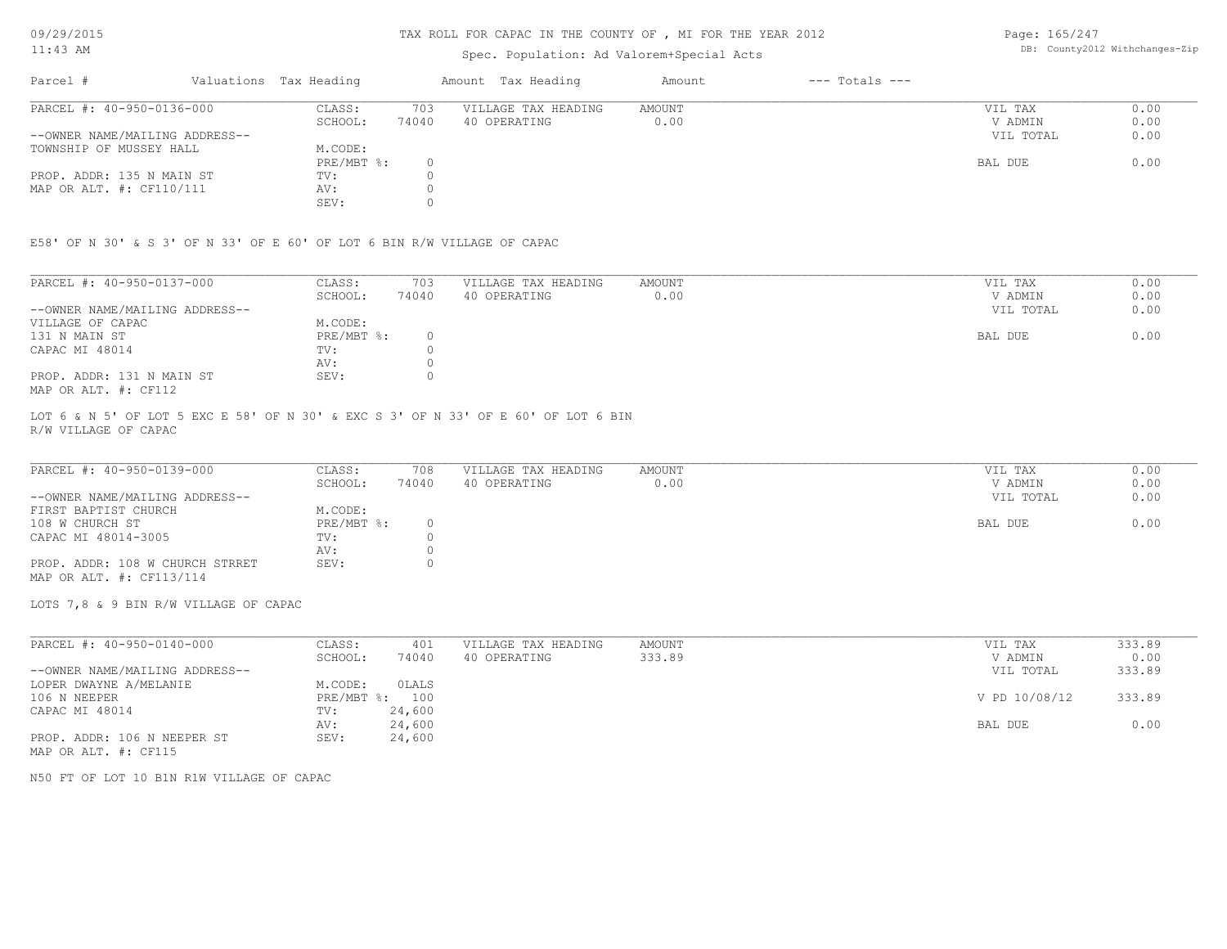### TAX ROLL FOR CAPAC IN THE COUNTY OF , MI FOR THE YEAR 2012

# Spec. Population: Ad Valorem+Special Acts

Page: 165/247 DB: County2012 Withchanges-Zip

| Parcel #                       | Valuations Tax Heading |       | Amount Tax Heading  | Amount | $---$ Totals $---$ |           |      |
|--------------------------------|------------------------|-------|---------------------|--------|--------------------|-----------|------|
| PARCEL #: 40-950-0136-000      | CLASS:                 | 703   | VILLAGE TAX HEADING | AMOUNT |                    | VIL TAX   | 0.00 |
|                                | SCHOOL:                | 74040 | 40 OPERATING        | 0.00   |                    | V ADMIN   | 0.00 |
| --OWNER NAME/MAILING ADDRESS-- |                        |       |                     |        |                    | VIL TOTAL | 0.00 |
| TOWNSHIP OF MUSSEY HALL        | M.CODE:                |       |                     |        |                    |           |      |
|                                | $PRE/MBT$ %:           |       |                     |        |                    | BAL DUE   | 0.00 |
| PROP. ADDR: 135 N MAIN ST      | TV:                    |       |                     |        |                    |           |      |
| MAP OR ALT. $\#$ : CF110/111   | AV:                    |       |                     |        |                    |           |      |
|                                | SEV:                   |       |                     |        |                    |           |      |

E58' OF N 30' & S 3' OF N 33' OF E 60' OF LOT 6 BIN R/W VILLAGE OF CAPAC

| PARCEL #: 40-950-0137-000      | CLASS:     | 703   | VILLAGE TAX HEADING | AMOUNT | VIL TAX   | 0.00 |
|--------------------------------|------------|-------|---------------------|--------|-----------|------|
|                                | SCHOOL:    | 74040 | 40 OPERATING        | 0.00   | V ADMIN   | 0.00 |
| --OWNER NAME/MAILING ADDRESS-- |            |       |                     |        | VIL TOTAL | 0.00 |
| VILLAGE OF CAPAC               | M.CODE:    |       |                     |        |           |      |
| 131 N MAIN ST                  | PRE/MBT %: |       |                     |        | BAL DUE   | 0.00 |
| CAPAC MI 48014                 | TV:        |       |                     |        |           |      |
|                                | AV:        |       |                     |        |           |      |
| PROP. ADDR: 131 N MAIN ST      | SEV:       |       |                     |        |           |      |
| MAP OR ALT. #: CF112           |            |       |                     |        |           |      |

R/W VILLAGE OF CAPAC LOT 6 & N 5' OF LOT 5 EXC E 58' OF N 30' & EXC S 3' OF N 33' OF E 60' OF LOT 6 BIN

| PARCEL #: 40-950-0139-000       | CLASS:     | 708   | VILLAGE TAX HEADING | AMOUNT | VIL TAX   | 0.00 |
|---------------------------------|------------|-------|---------------------|--------|-----------|------|
|                                 | SCHOOL:    | 74040 | 40 OPERATING        | 0.00   | V ADMIN   | 0.00 |
| --OWNER NAME/MAILING ADDRESS--  |            |       |                     |        | VIL TOTAL | 0.00 |
| FIRST BAPTIST CHURCH            | M.CODE:    |       |                     |        |           |      |
| 108 W CHURCH ST                 | PRE/MBT %: |       |                     |        | BAL DUE   | 0.00 |
| CAPAC MI 48014-3005             | TV:        |       |                     |        |           |      |
|                                 | AV:        |       |                     |        |           |      |
| PROP. ADDR: 108 W CHURCH STRRET | SEV:       |       |                     |        |           |      |
| MAP OR ALT. #: CF113/114        |            |       |                     |        |           |      |

LOTS 7,8 & 9 BIN R/W VILLAGE OF CAPAC

| PARCEL #: 40-950-0140-000      | CLASS:  | 401            | VILLAGE TAX HEADING | AMOUNT | VIL TAX       | 333.89 |
|--------------------------------|---------|----------------|---------------------|--------|---------------|--------|
|                                | SCHOOL: | 74040          | 40 OPERATING        | 333.89 | V ADMIN       | 0.00   |
| --OWNER NAME/MAILING ADDRESS-- |         |                |                     |        | VIL TOTAL     | 333.89 |
| LOPER DWAYNE A/MELANIE         | M.CODE: | OLALS          |                     |        |               |        |
| 106 N NEEPER                   |         | PRE/MBT %: 100 |                     |        | V PD 10/08/12 | 333.89 |
| CAPAC MI 48014                 | TV:     | 24,600         |                     |        |               |        |
|                                | AV:     | 24,600         |                     |        | BAL DUE       | 0.00   |
| PROP. ADDR: 106 N NEEPER ST    | SEV:    | 24,600         |                     |        |               |        |
| MAP OR ALT. #: CF115           |         |                |                     |        |               |        |

N50 FT OF LOT 10 B1N R1W VILLAGE OF CAPAC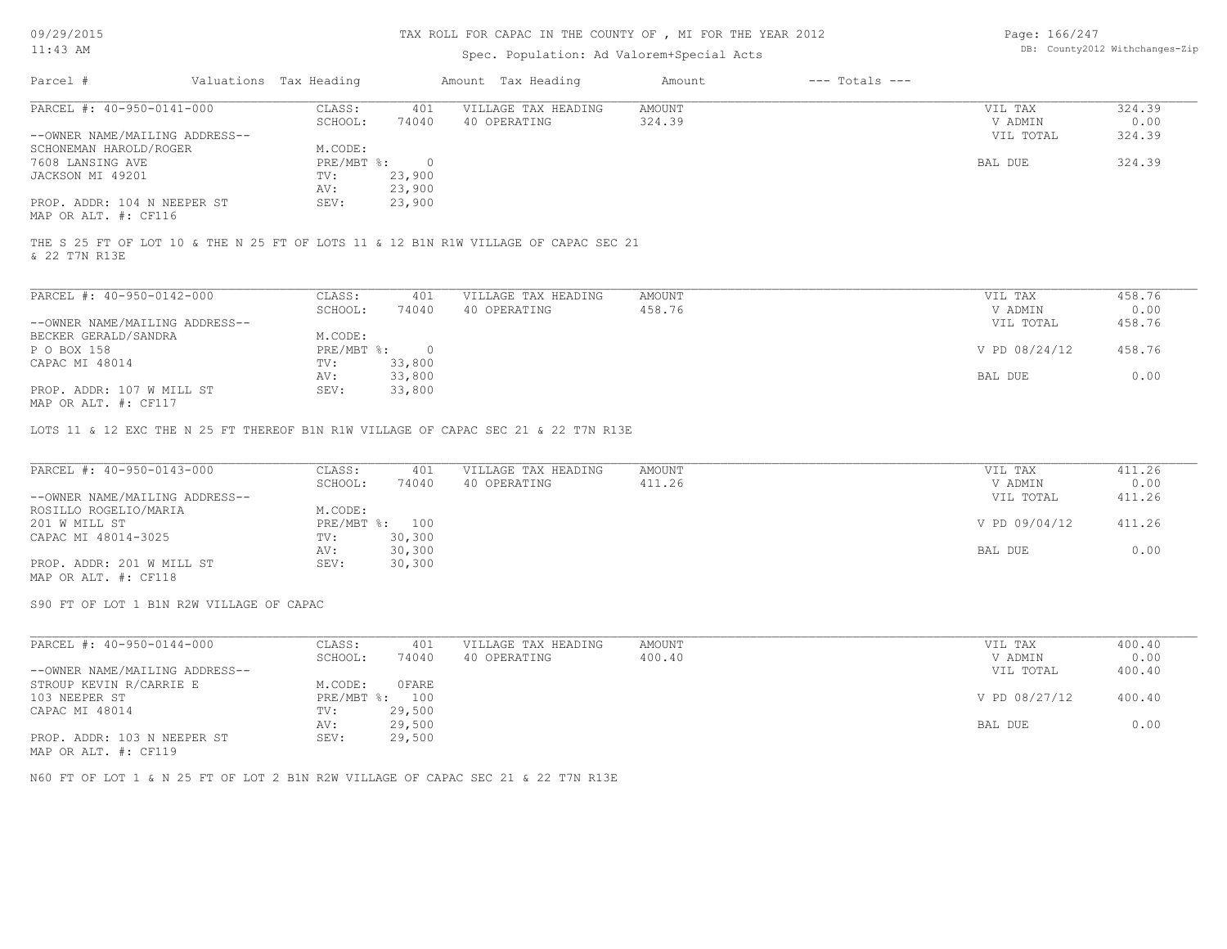### TAX ROLL FOR CAPAC IN THE COUNTY OF , MI FOR THE YEAR 2012

### Spec. Population: Ad Valorem+Special Acts

| Page: 166/247 |                                |
|---------------|--------------------------------|
|               | DB: County2012 Withchanges-Zip |

| Parcel #                       | Valuations Tax Heading |        | Amount Tax Heading  | Amount | $---$ Totals $---$ |           |        |
|--------------------------------|------------------------|--------|---------------------|--------|--------------------|-----------|--------|
| PARCEL #: 40-950-0141-000      | CLASS:                 | 401    | VILLAGE TAX HEADING | AMOUNT |                    | VIL TAX   | 324.39 |
|                                | SCHOOL:                | 74040  | 40 OPERATING        | 324.39 |                    | V ADMIN   | 0.00   |
| --OWNER NAME/MAILING ADDRESS-- |                        |        |                     |        |                    | VIL TOTAL | 324.39 |
| SCHONEMAN HAROLD/ROGER         | M.CODE:                |        |                     |        |                    |           |        |
| 7608 LANSING AVE               | $PRE/MBT$ %:           |        |                     |        |                    | BAL DUE   | 324.39 |
| JACKSON MI 49201               | TV:                    | 23,900 |                     |        |                    |           |        |
|                                | AV:                    | 23,900 |                     |        |                    |           |        |
| PROP. ADDR: 104 N NEEPER ST    | SEV:                   | 23,900 |                     |        |                    |           |        |
|                                |                        |        |                     |        |                    |           |        |

MAP OR ALT. #: CF116

& 22 T7N R13E THE S 25 FT OF LOT 10 & THE N 25 FT OF LOTS 11 & 12 B1N R1W VILLAGE OF CAPAC SEC 21

| PARCEL #: 40-950-0142-000      | CLASS:     | 401    | VILLAGE TAX HEADING | AMOUNT | VIL TAX |               | 458.76 |
|--------------------------------|------------|--------|---------------------|--------|---------|---------------|--------|
|                                | SCHOOL:    | 74040  | 40 OPERATING        | 458.76 | V ADMIN |               | 0.00   |
| --OWNER NAME/MAILING ADDRESS-- |            |        |                     |        |         | VIL TOTAL     | 458.76 |
| BECKER GERALD/SANDRA           | M.CODE:    |        |                     |        |         |               |        |
| P O BOX 158                    | PRE/MBT %: |        |                     |        |         | V PD 08/24/12 | 458.76 |
| CAPAC MI 48014                 | TV:        | 33,800 |                     |        |         |               |        |
|                                | AV:        | 33,800 |                     |        | BAL DUE |               | 0.00   |
| PROP. ADDR: 107 W MILL ST      | SEV:       | 33,800 |                     |        |         |               |        |
| MAP OR ALT. #: CF117           |            |        |                     |        |         |               |        |

LOTS 11 & 12 EXC THE N 25 FT THEREOF B1N R1W VILLAGE OF CAPAC SEC 21 & 22 T7N R13E

| PARCEL #: 40-950-0143-000      | CLASS:  | 401            | VILLAGE TAX HEADING | AMOUNT | VIL TAX       | 411.26 |
|--------------------------------|---------|----------------|---------------------|--------|---------------|--------|
|                                | SCHOOL: | 74040          | 40 OPERATING        | 411.26 | V ADMIN       | 0.00   |
| --OWNER NAME/MAILING ADDRESS-- |         |                |                     |        | VIL TOTAL     | 411.26 |
| ROSILLO ROGELIO/MARIA          | M.CODE: |                |                     |        |               |        |
| 201 W MILL ST                  |         | PRE/MBT %: 100 |                     |        | V PD 09/04/12 | 411.26 |
| CAPAC MI 48014-3025            | TV:     | 30,300         |                     |        |               |        |
|                                | AV:     | 30,300         |                     |        | BAL DUE       | 0.00   |
| PROP. ADDR: 201 W MILL ST      | SEV:    | 30,300         |                     |        |               |        |
| MAP OR ALT. #: CF118           |         |                |                     |        |               |        |

S90 FT OF LOT 1 B1N R2W VILLAGE OF CAPAC

| PARCEL #: 40-950-0144-000      | CLASS:       | 401    | VILLAGE TAX HEADING | AMOUNT | VIL TAX       | 400.40 |
|--------------------------------|--------------|--------|---------------------|--------|---------------|--------|
|                                | SCHOOL:      | 74040  | 40 OPERATING        | 400.40 | V ADMIN       | 0.00   |
| --OWNER NAME/MAILING ADDRESS-- |              |        |                     |        | VIL TOTAL     | 400.40 |
| STROUP KEVIN R/CARRIE E        | M.CODE:      | 0FARE  |                     |        |               |        |
| 103 NEEPER ST                  | $PRE/MBT$ %: | 100    |                     |        | V PD 08/27/12 | 400.40 |
| CAPAC MI 48014                 | TV:          | 29,500 |                     |        |               |        |
|                                | AV:          | 29,500 |                     |        | BAL DUE       | 0.00   |
| PROP. ADDR: 103 N NEEPER ST    | SEV:         | 29,500 |                     |        |               |        |
| MAP OR ALT. #: CF119           |              |        |                     |        |               |        |

N60 FT OF LOT 1 & N 25 FT OF LOT 2 B1N R2W VILLAGE OF CAPAC SEC 21 & 22 T7N R13E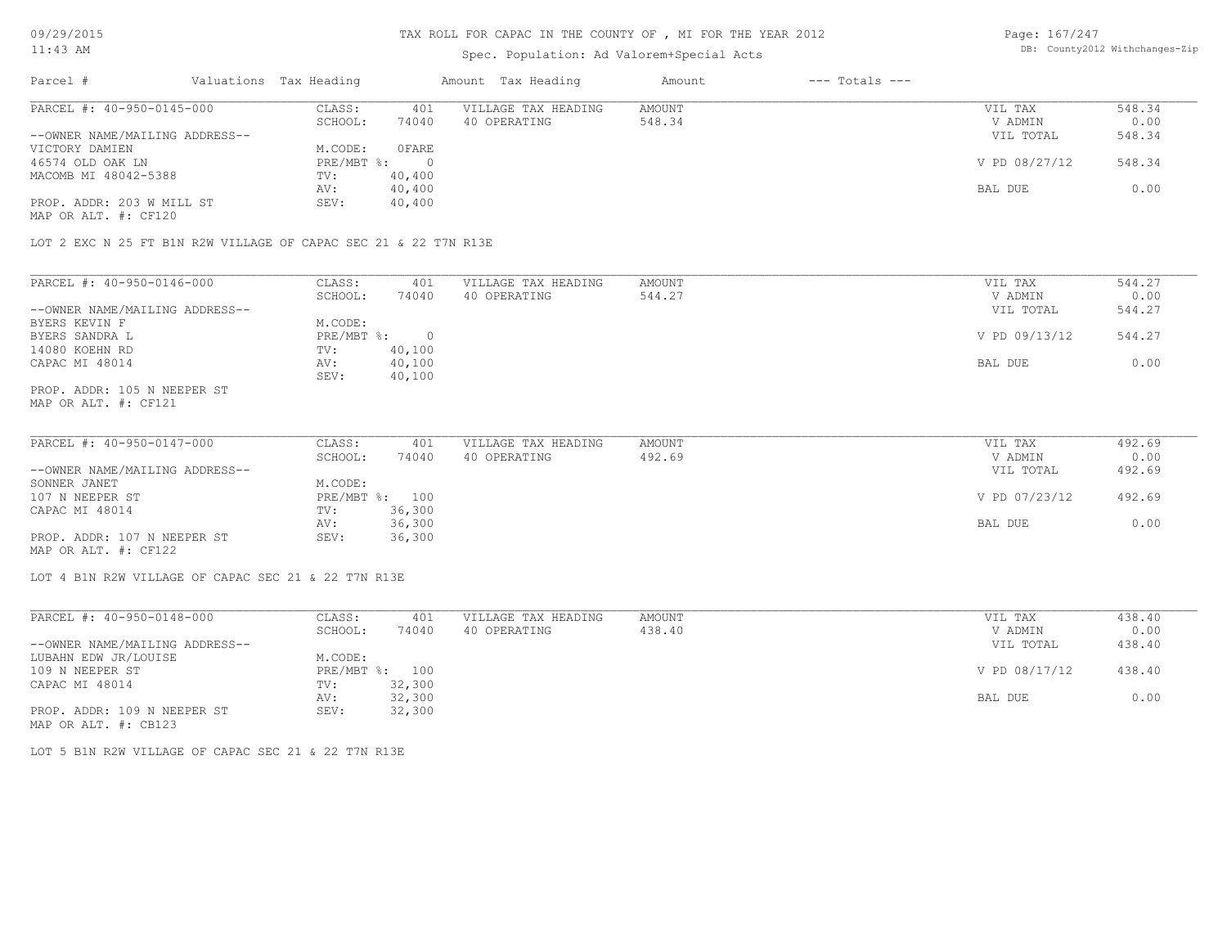### TAX ROLL FOR CAPAC IN THE COUNTY OF , MI FOR THE YEAR 2012

# Spec. Population: Ad Valorem+Special Acts

Page: 167/247 DB: County2012 Withchanges-Zip

| Parcel #                       | Valuations Tax Heading |        | Amount Tax Heading  | Amount | $---$ Totals $---$ |               |        |
|--------------------------------|------------------------|--------|---------------------|--------|--------------------|---------------|--------|
| PARCEL #: 40-950-0145-000      | CLASS:                 | 401    | VILLAGE TAX HEADING | AMOUNT |                    | VIL TAX       | 548.34 |
|                                | SCHOOL:                | 74040  | 40 OPERATING        | 548.34 |                    | V ADMIN       | 0.00   |
| --OWNER NAME/MAILING ADDRESS-- |                        |        |                     |        |                    | VIL TOTAL     | 548.34 |
| VICTORY DAMIEN                 | M.CODE:                | OFARE  |                     |        |                    |               |        |
| 46574 OLD OAK LN               | $PRE/MBT$ %:           |        |                     |        |                    | V PD 08/27/12 | 548.34 |
| MACOMB MI 48042-5388           | TV:                    | 40,400 |                     |        |                    |               |        |
|                                | AV:                    | 40,400 |                     |        |                    | BAL DUE       | 0.00   |
| PROP. ADDR: 203 W MILL ST      | SEV:                   | 40,400 |                     |        |                    |               |        |
| MAP OR ALT. #: CF120           |                        |        |                     |        |                    |               |        |

LOT 2 EXC N 25 FT B1N R2W VILLAGE OF CAPAC SEC 21 & 22 T7N R13E

| PARCEL #: 40-950-0146-000      | CLASS:       | 401    | VILLAGE TAX HEADING | AMOUNT | VIL TAX       | 544.27 |
|--------------------------------|--------------|--------|---------------------|--------|---------------|--------|
|                                | SCHOOL:      | 74040  | 40 OPERATING        | 544.27 | V ADMIN       | 0.00   |
| --OWNER NAME/MAILING ADDRESS-- |              |        |                     |        | VIL TOTAL     | 544.27 |
| BYERS KEVIN F                  | M.CODE:      |        |                     |        |               |        |
| BYERS SANDRA L                 | $PRE/MBT$ %: |        |                     |        | V PD 09/13/12 | 544.27 |
| 14080 KOEHN RD                 | TV:          | 40,100 |                     |        |               |        |
| CAPAC MI 48014                 | AV:          | 40,100 |                     |        | BAL DUE       | 0.00   |
|                                | SEV:         | 40,100 |                     |        |               |        |
| PROP. ADDR: 105 N NEEPER ST    |              |        |                     |        |               |        |

MAP OR ALT. #: CF121

| PARCEL #: 40-950-0147-000<br>AMOUNT<br>CLASS:<br>VILLAGE TAX HEADING<br>401 | VIL TAX       | 492.69 |
|-----------------------------------------------------------------------------|---------------|--------|
| 74040<br>492.69<br>40 OPERATING<br>SCHOOL:                                  | V ADMIN       | 0.00   |
| --OWNER NAME/MAILING ADDRESS--                                              | VIL TOTAL     | 492.69 |
| SONNER JANET<br>M.CODE:                                                     |               |        |
| 107 N NEEPER ST<br>PRE/MBT %: 100                                           | V PD 07/23/12 | 492.69 |
| 36,300<br>CAPAC MI 48014<br>TV:                                             |               |        |
| 36,300<br>AV:                                                               | BAL DUE       | 0.00   |
| PROP. ADDR: 107 N NEEPER ST<br>36,300<br>SEV:                               |               |        |

MAP OR ALT. #: CF122

LOT 4 B1N R2W VILLAGE OF CAPAC SEC 21 & 22 T7N R13E

| PARCEL #: 40-950-0148-000      | CLASS:  | 401            | VILLAGE TAX HEADING | AMOUNT | VIL TAX       | 438.40 |
|--------------------------------|---------|----------------|---------------------|--------|---------------|--------|
|                                | SCHOOL: | 74040          | 40 OPERATING        | 438.40 | V ADMIN       | 0.00   |
| --OWNER NAME/MAILING ADDRESS-- |         |                |                     |        | VIL TOTAL     | 438.40 |
| LUBAHN EDW JR/LOUISE           | M.CODE: |                |                     |        |               |        |
| 109 N NEEPER ST                |         | PRE/MBT %: 100 |                     |        | V PD 08/17/12 | 438.40 |
| CAPAC MI 48014                 | TV:     | 32,300         |                     |        |               |        |
|                                | AV:     | 32,300         |                     |        | BAL DUE       | 0.00   |
| PROP. ADDR: 109 N NEEPER ST    | SEV:    | 32,300         |                     |        |               |        |
| MAP OR ALT. #: CB123           |         |                |                     |        |               |        |

LOT 5 B1N R2W VILLAGE OF CAPAC SEC 21 & 22 T7N R13E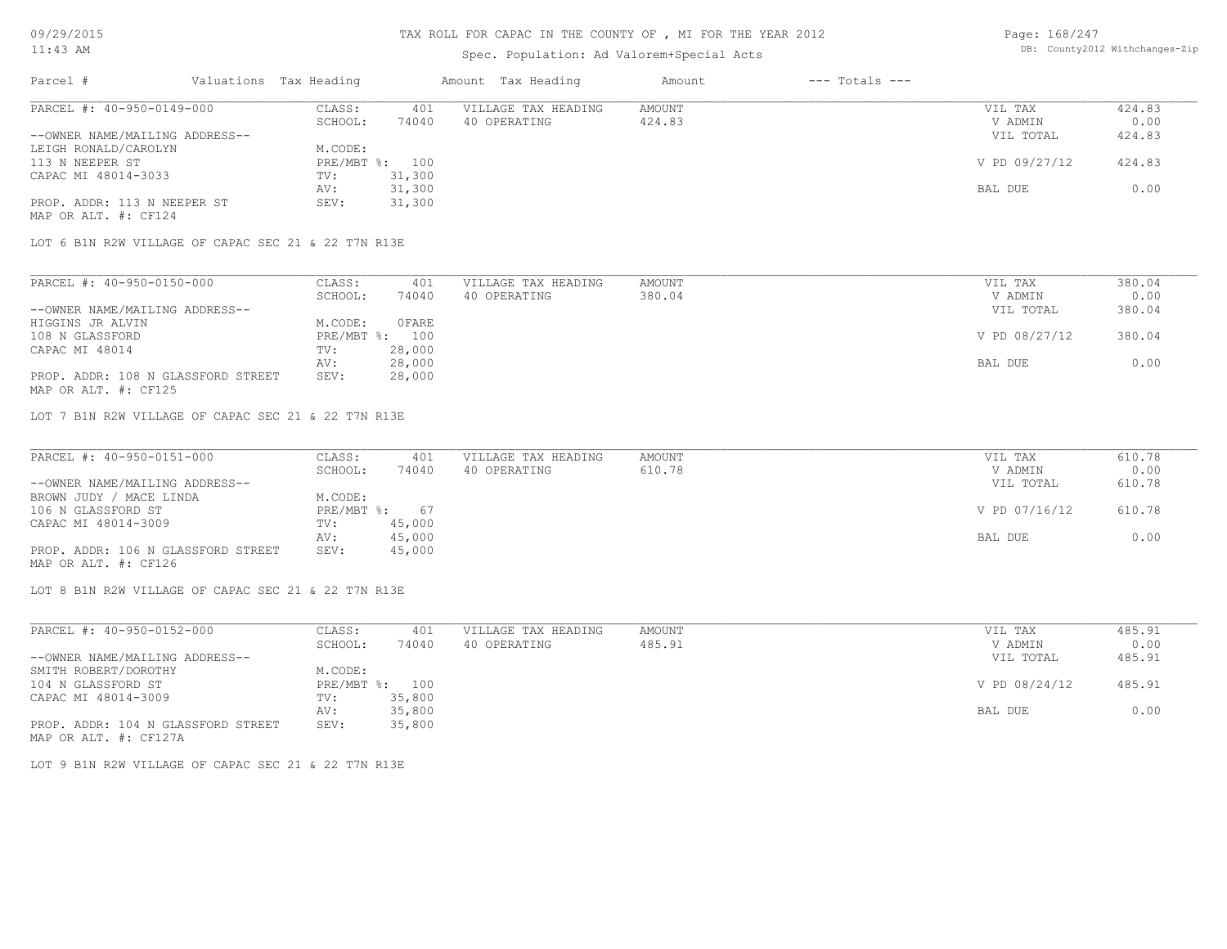### TAX ROLL FOR CAPAC IN THE COUNTY OF , MI FOR THE YEAR 2012

# Spec. Population: Ad Valorem+Special Acts

| Page: 168/247 |                                |
|---------------|--------------------------------|
|               | DB: County2012 Withchanges-Zip |

| Parcel #                                            | Valuations Tax Heading |        | Amount Tax Heading  | Amount | $---$ Totals $---$ |               |        |
|-----------------------------------------------------|------------------------|--------|---------------------|--------|--------------------|---------------|--------|
| PARCEL #: 40-950-0149-000                           | CLASS:                 | 401    | VILLAGE TAX HEADING | AMOUNT |                    | VIL TAX       | 424.83 |
|                                                     | SCHOOL:                | 74040  | 40 OPERATING        | 424.83 |                    | V ADMIN       | 0.00   |
| --OWNER NAME/MAILING ADDRESS--                      |                        |        |                     |        |                    | VIL TOTAL     | 424.83 |
| LEIGH RONALD/CAROLYN                                | M.CODE:                |        |                     |        |                    |               |        |
| 113 N NEEPER ST                                     | PRE/MBT %: 100         |        |                     |        |                    | V PD 09/27/12 | 424.83 |
| CAPAC MI 48014-3033                                 | TV:                    | 31,300 |                     |        |                    |               |        |
|                                                     | AV:                    | 31,300 |                     |        |                    | BAL DUE       | 0.00   |
| PROP. ADDR: 113 N NEEPER ST<br>MAP OR ALT. #: CF124 | SEV:                   | 31,300 |                     |        |                    |               |        |

LOT 6 B1N R2W VILLAGE OF CAPAC SEC 21 & 22 T7N R13E

| PARCEL #: 40-950-0150-000          | CLASS:  | 401            | VILLAGE TAX HEADING | AMOUNT | VIL TAX       | 380.04 |
|------------------------------------|---------|----------------|---------------------|--------|---------------|--------|
|                                    | SCHOOL: | 74040          | 40 OPERATING        | 380.04 | V ADMIN       | 0.00   |
| --OWNER NAME/MAILING ADDRESS--     |         |                |                     |        | VIL TOTAL     | 380.04 |
| HIGGINS JR ALVIN                   | M.CODE: | OFARE          |                     |        |               |        |
| 108 N GLASSFORD                    |         | PRE/MBT %: 100 |                     |        | V PD 08/27/12 | 380.04 |
| CAPAC MI 48014                     | TV:     | 28,000         |                     |        |               |        |
|                                    | AV:     | 28,000         |                     |        | BAL DUE       | 0.00   |
| PROP. ADDR: 108 N GLASSFORD STREET | SEV:    | 28,000         |                     |        |               |        |
| MAP OR ALT. #: CF125               |         |                |                     |        |               |        |

LOT 7 B1N R2W VILLAGE OF CAPAC SEC 21 & 22 T7N R13E

| PARCEL #: 40-950-0151-000          | CLASS:       | 401    | VILLAGE TAX HEADING | AMOUNT | VIL TAX       | 610.78 |
|------------------------------------|--------------|--------|---------------------|--------|---------------|--------|
|                                    | SCHOOL:      | 74040  | 40 OPERATING        | 610.78 | V ADMIN       | 0.00   |
| --OWNER NAME/MAILING ADDRESS--     |              |        |                     |        | VIL TOTAL     | 610.78 |
| BROWN JUDY / MACE LINDA            | M.CODE:      |        |                     |        |               |        |
| 106 N GLASSFORD ST                 | $PRE/MBT$ %: | 67     |                     |        | V PD 07/16/12 | 610.78 |
| CAPAC MI 48014-3009                | TV:          | 45,000 |                     |        |               |        |
|                                    | AV:          | 45,000 |                     |        | BAL DUE       | 0.00   |
| PROP. ADDR: 106 N GLASSFORD STREET | SEV:         | 45,000 |                     |        |               |        |
| MAP OR ALT. #: CF126               |              |        |                     |        |               |        |

LOT 8 B1N R2W VILLAGE OF CAPAC SEC 21 & 22 T7N R13E

| PARCEL #: 40-950-0152-000          | CLASS:       | 401    | VILLAGE TAX HEADING | AMOUNT | VIL TAX       | 485.91 |
|------------------------------------|--------------|--------|---------------------|--------|---------------|--------|
|                                    | SCHOOL:      | 74040  | 40 OPERATING        | 485.91 | V ADMIN       | 0.00   |
| --OWNER NAME/MAILING ADDRESS--     |              |        |                     |        | VIL TOTAL     | 485.91 |
| SMITH ROBERT/DOROTHY               | M.CODE:      |        |                     |        |               |        |
| 104 N GLASSFORD ST                 | $PRE/MBT$ %: | 100    |                     |        | V PD 08/24/12 | 485.91 |
| CAPAC MI 48014-3009                | TV:          | 35,800 |                     |        |               |        |
|                                    | AV:          | 35,800 |                     |        | BAL DUE       | 0.00   |
| PROP. ADDR: 104 N GLASSFORD STREET | SEV:         | 35,800 |                     |        |               |        |
| MAP OR ALT. #: CF127A              |              |        |                     |        |               |        |

LOT 9 B1N R2W VILLAGE OF CAPAC SEC 21 & 22 T7N R13E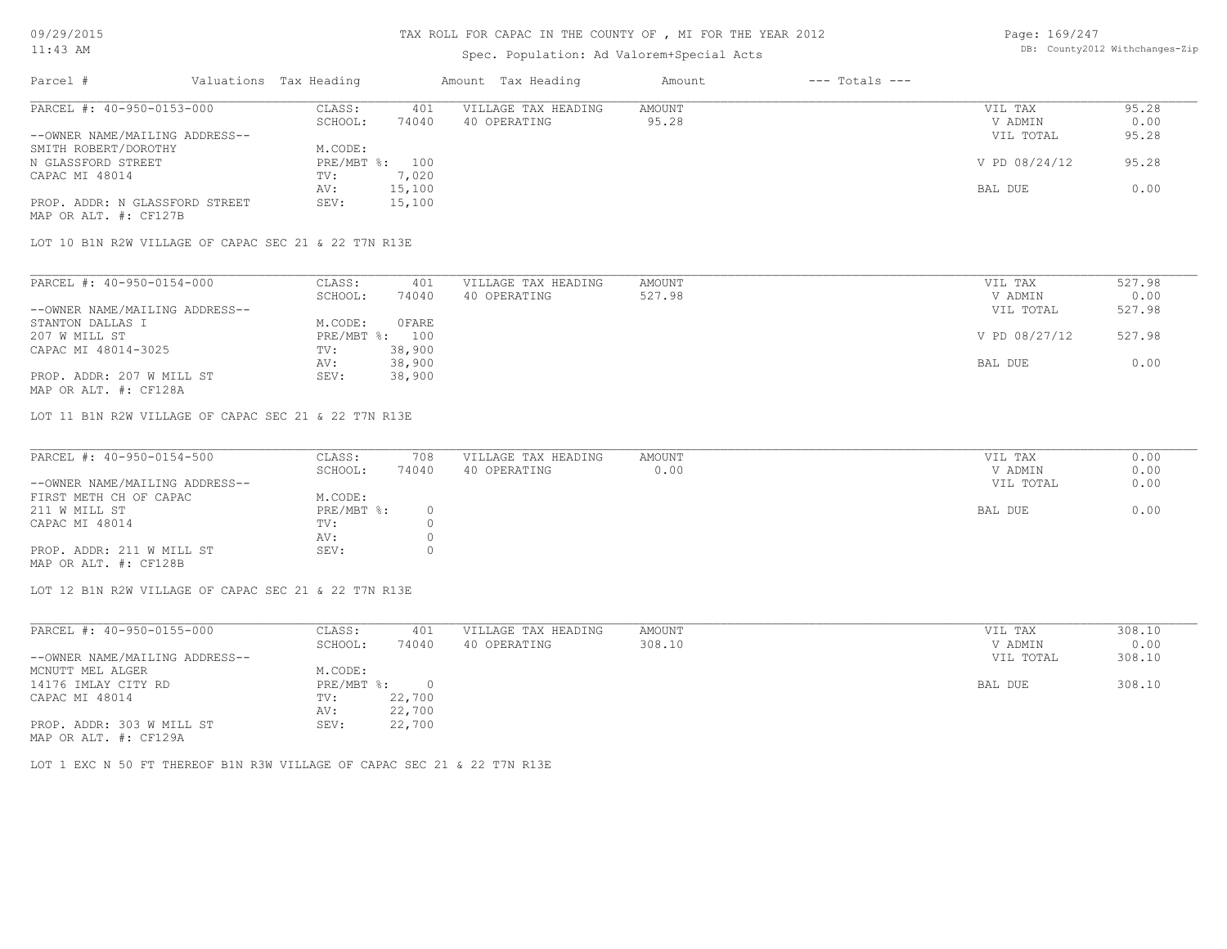### TAX ROLL FOR CAPAC IN THE COUNTY OF , MI FOR THE YEAR 2012

# Spec. Population: Ad Valorem+Special Acts

Page: 169/247 DB: County2012 Withchanges-Zip

| Parcel #                       | Valuations Tax Heading |                | Amount Tax Heading  | Amount | $---$ Totals $---$ |               |       |
|--------------------------------|------------------------|----------------|---------------------|--------|--------------------|---------------|-------|
| PARCEL #: 40-950-0153-000      | CLASS:                 | 401            | VILLAGE TAX HEADING | AMOUNT |                    | VIL TAX       | 95.28 |
|                                | SCHOOL:                | 74040          | 40 OPERATING        | 95.28  |                    | V ADMIN       | 0.00  |
| --OWNER NAME/MAILING ADDRESS-- |                        |                |                     |        |                    | VIL TOTAL     | 95.28 |
| SMITH ROBERT/DOROTHY           | M.CODE:                |                |                     |        |                    |               |       |
| N GLASSFORD STREET             |                        | PRE/MBT %: 100 |                     |        |                    | V PD 08/24/12 | 95.28 |
| CAPAC MI 48014                 | TV:                    | 7,020          |                     |        |                    |               |       |
|                                | AV:                    | 15,100         |                     |        |                    | BAL DUE       | 0.00  |
| PROP. ADDR: N GLASSFORD STREET | SEV:                   | 15,100         |                     |        |                    |               |       |
| MAP OR ALT. #: CF127B          |                        |                |                     |        |                    |               |       |

| PARCEL #: 40-950-0154-000      | CLASS:  | 401            | VILLAGE TAX HEADING | AMOUNT | VIL TAX       | 527.98 |
|--------------------------------|---------|----------------|---------------------|--------|---------------|--------|
|                                | SCHOOL: | 74040          | 40 OPERATING        | 527.98 | V ADMIN       | 0.00   |
| --OWNER NAME/MAILING ADDRESS-- |         |                |                     |        | VIL TOTAL     | 527.98 |
| STANTON DALLAS I               | M.CODE: | OFARE          |                     |        |               |        |
| 207 W MILL ST                  |         | PRE/MBT %: 100 |                     |        | V PD 08/27/12 | 527.98 |
| CAPAC MI 48014-3025            | TV:     | 38,900         |                     |        |               |        |
|                                | AV:     | 38,900         |                     |        | BAL DUE       | 0.00   |
| PROP. ADDR: 207 W MILL ST      | SEV:    | 38,900         |                     |        |               |        |
|                                |         |                |                     |        |               |        |

MAP OR ALT. #: CF128A

LOT 11 B1N R2W VILLAGE OF CAPAC SEC 21 & 22 T7N R13E

| PARCEL #: 40-950-0154-500      | CLASS:     | 708   | VILLAGE TAX HEADING | AMOUNT | VIL TAX   | 0.00 |
|--------------------------------|------------|-------|---------------------|--------|-----------|------|
|                                | SCHOOL:    | 74040 | 40 OPERATING        | 0.00   | V ADMIN   | 0.00 |
| --OWNER NAME/MAILING ADDRESS-- |            |       |                     |        | VIL TOTAL | 0.00 |
| FIRST METH CH OF CAPAC         | M.CODE:    |       |                     |        |           |      |
| 211 W MILL ST                  | PRE/MBT %: |       |                     |        | BAL DUE   | 0.00 |
| CAPAC MI 48014                 | TV:        |       |                     |        |           |      |
|                                | AV:        |       |                     |        |           |      |
| PROP. ADDR: 211 W MILL ST      | SEV:       |       |                     |        |           |      |
| MAP OR ALT. #: CF128B          |            |       |                     |        |           |      |

 $\_$  , and the state of the state of the state of the state of the state of the state of the state of the state of the state of the state of the state of the state of the state of the state of the state of the state of the

LOT 12 B1N R2W VILLAGE OF CAPAC SEC 21 & 22 T7N R13E

| PARCEL #: 40-950-0155-000      | CLASS:     | 401    | VILLAGE TAX HEADING | AMOUNT | 308.10<br>VIL TAX   |
|--------------------------------|------------|--------|---------------------|--------|---------------------|
|                                | SCHOOL:    | 74040  | 40 OPERATING        | 308.10 | 0.00<br>V ADMIN     |
| --OWNER NAME/MAILING ADDRESS-- |            |        |                     |        | 308.10<br>VIL TOTAL |
| MCNUTT MEL ALGER               | M.CODE:    |        |                     |        |                     |
| 14176 IMLAY CITY RD            | PRE/MBT %: |        |                     |        | 308.10<br>BAL DUE   |
| CAPAC MI 48014                 | TV:        | 22,700 |                     |        |                     |
|                                | AV:        | 22,700 |                     |        |                     |
| PROP. ADDR: 303 W MILL ST      | SEV:       | 22,700 |                     |        |                     |
| MAP OR ALT. #: CF129A          |            |        |                     |        |                     |

LOT 1 EXC N 50 FT THEREOF B1N R3W VILLAGE OF CAPAC SEC 21 & 22 T7N R13E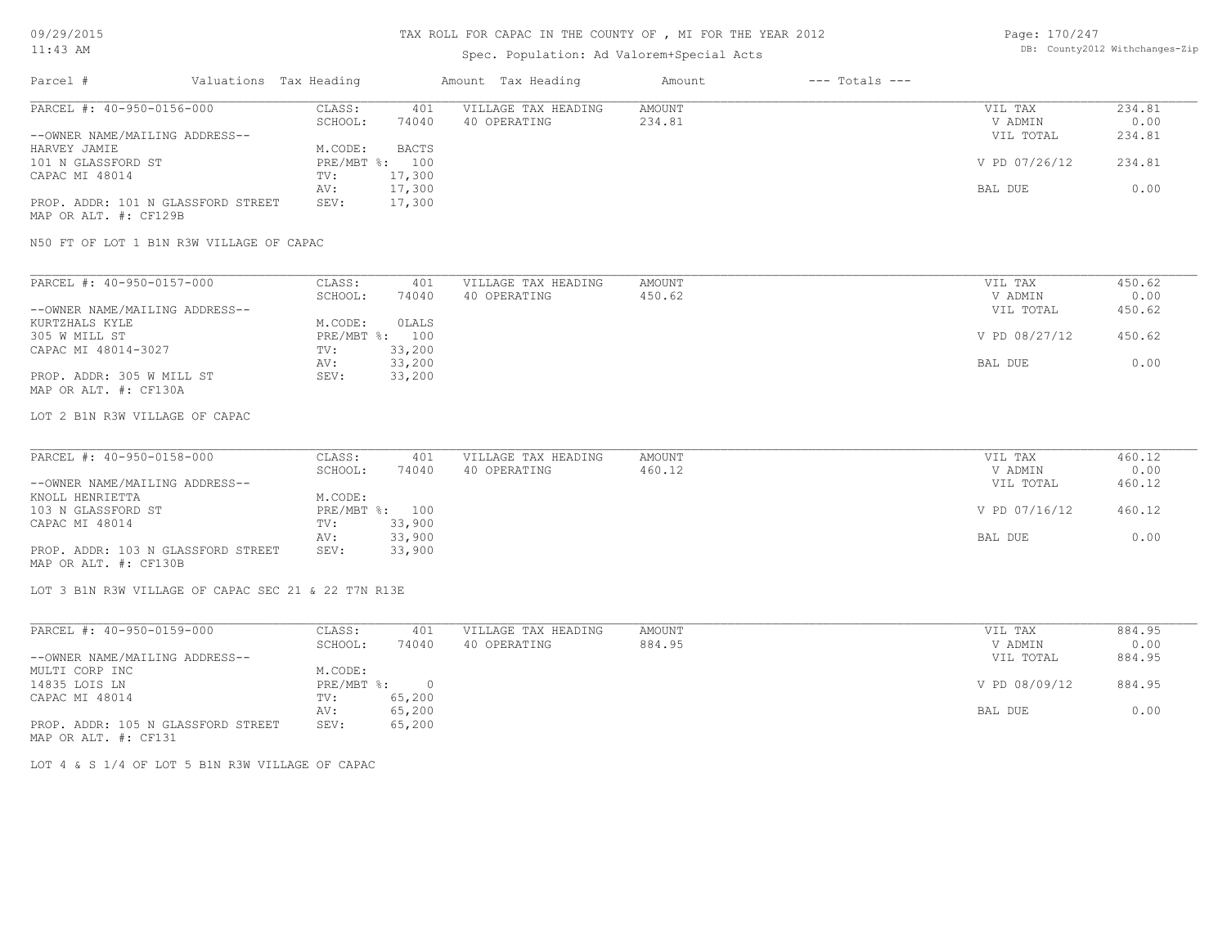### 11:43 AM

# TAX ROLL FOR CAPAC IN THE COUNTY OF , MI FOR THE YEAR 2012

# Spec. Population: Ad Valorem+Special Acts

| Page: 170/247 |                                |
|---------------|--------------------------------|
|               | DB: County2012 Withchanges-Zip |

| Parcel #                           | Valuations Tax Heading |                | Amount Tax Heading  | Amount | $---$ Totals $---$ |               |        |
|------------------------------------|------------------------|----------------|---------------------|--------|--------------------|---------------|--------|
| PARCEL #: 40-950-0156-000          | CLASS:                 | 401            | VILLAGE TAX HEADING | AMOUNT |                    | VIL TAX       | 234.81 |
|                                    | SCHOOL:                | 74040          | 40 OPERATING        | 234.81 |                    | V ADMIN       | 0.00   |
| --OWNER NAME/MAILING ADDRESS--     |                        |                |                     |        |                    | VIL TOTAL     | 234.81 |
| HARVEY JAMIE                       | M.CODE:                | <b>BACTS</b>   |                     |        |                    |               |        |
| 101 N GLASSFORD ST                 |                        | PRE/MBT %: 100 |                     |        |                    | V PD 07/26/12 | 234.81 |
| CAPAC MI 48014                     | TV:                    | 17,300         |                     |        |                    |               |        |
|                                    | AV:                    | 17,300         |                     |        |                    | BAL DUE       | 0.00   |
| PROP. ADDR: 101 N GLASSFORD STREET | SEV:                   | 17,300         |                     |        |                    |               |        |
| MAP OR ALT. #: CF129B              |                        |                |                     |        |                    |               |        |

N50 FT OF LOT 1 B1N R3W VILLAGE OF CAPAC

| PARCEL #: 40-950-0157-000      | CLASS:  | 401            | VILLAGE TAX HEADING | AMOUNT | VIL TAX       | 450.62 |
|--------------------------------|---------|----------------|---------------------|--------|---------------|--------|
|                                | SCHOOL: | 74040          | 40 OPERATING        | 450.62 | V ADMIN       | 0.00   |
| --OWNER NAME/MAILING ADDRESS-- |         |                |                     |        | VIL TOTAL     | 450.62 |
| KURTZHALS KYLE                 | M.CODE: | OLALS          |                     |        |               |        |
| 305 W MILL ST                  |         | PRE/MBT %: 100 |                     |        | V PD 08/27/12 | 450.62 |
| CAPAC MI 48014-3027            | TV:     | 33,200         |                     |        |               |        |
|                                | AV:     | 33,200         |                     |        | BAL DUE       | 0.00   |
| PROP. ADDR: 305 W MILL ST      | SEV:    | 33,200         |                     |        |               |        |
| MAP OR ALT. #: CF130A          |         |                |                     |        |               |        |

LOT 2 B1N R3W VILLAGE OF CAPAC

| PARCEL #: 40-950-0158-000          | CLASS:  | 401            | VILLAGE TAX HEADING | AMOUNT | VIL TAX       | 460.12 |
|------------------------------------|---------|----------------|---------------------|--------|---------------|--------|
|                                    | SCHOOL: | 74040          | 40 OPERATING        | 460.12 | V ADMIN       | 0.00   |
| --OWNER NAME/MAILING ADDRESS--     |         |                |                     |        | VIL TOTAL     | 460.12 |
| KNOLL HENRIETTA                    | M.CODE: |                |                     |        |               |        |
| 103 N GLASSFORD ST                 |         | PRE/MBT %: 100 |                     |        | V PD 07/16/12 | 460.12 |
| CAPAC MI 48014                     | TV:     | 33,900         |                     |        |               |        |
|                                    | AV:     | 33,900         |                     |        | BAL DUE       | 0.00   |
| PROP. ADDR: 103 N GLASSFORD STREET | SEV:    | 33,900         |                     |        |               |        |
| MAP OR ALT. #: CF130B              |         |                |                     |        |               |        |

LOT 3 B1N R3W VILLAGE OF CAPAC SEC 21 & 22 T7N R13E

| PARCEL #: 40-950-0159-000          | CLASS:     | 401        | VILLAGE TAX HEADING | AMOUNT | VIL TAX       | 884.95 |
|------------------------------------|------------|------------|---------------------|--------|---------------|--------|
|                                    | SCHOOL:    | 74040      | 40 OPERATING        | 884.95 | V ADMIN       | 0.00   |
| --OWNER NAME/MAILING ADDRESS--     |            |            |                     |        | VIL TOTAL     | 884.95 |
| MULTI CORP INC                     | M.CODE:    |            |                     |        |               |        |
| 14835 LOIS LN                      | PRE/MBT %: | $\bigcirc$ |                     |        | V PD 08/09/12 | 884.95 |
| CAPAC MI 48014                     | TV:        | 65,200     |                     |        |               |        |
|                                    | AV:        | 65,200     |                     |        | BAL DUE       | 0.00   |
| PROP. ADDR: 105 N GLASSFORD STREET | SEV:       | 65,200     |                     |        |               |        |
| MAP OR ALT. #: CF131               |            |            |                     |        |               |        |

LOT 4 & S 1/4 OF LOT 5 B1N R3W VILLAGE OF CAPAC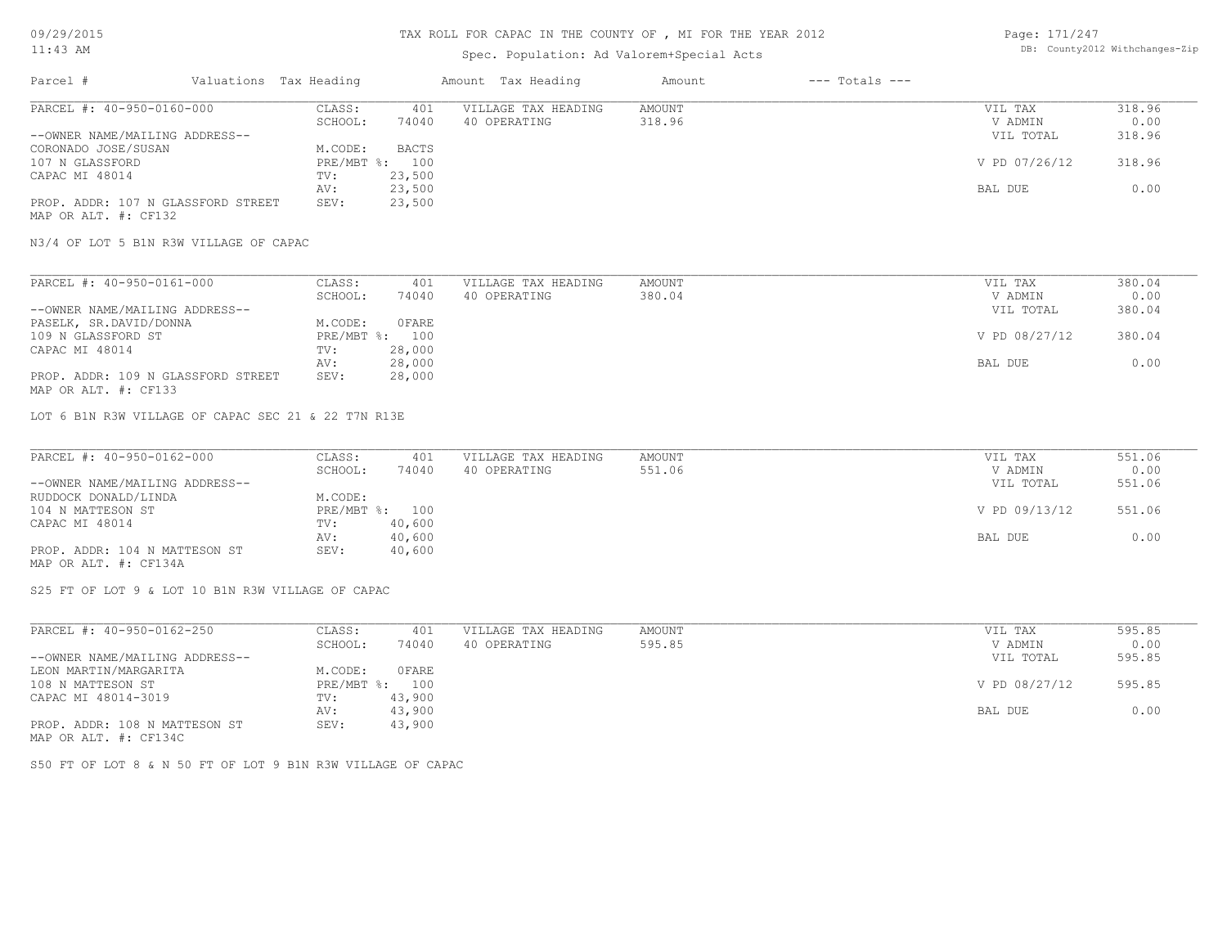# Spec. Population: Ad Valorem+Special Acts

| Page: 171/247 |                                |
|---------------|--------------------------------|
|               | DB: County2012 Withchanges-Zip |

| Parcel #                           | Valuations Tax Heading |              | Amount Tax Heading  | Amount | $---$ Totals $---$ |               |        |
|------------------------------------|------------------------|--------------|---------------------|--------|--------------------|---------------|--------|
| PARCEL #: 40-950-0160-000          | CLASS:                 | 401          | VILLAGE TAX HEADING | AMOUNT |                    | VIL TAX       | 318.96 |
|                                    | SCHOOL:                | 74040        | 40 OPERATING        | 318.96 |                    | V ADMIN       | 0.00   |
| --OWNER NAME/MAILING ADDRESS--     |                        |              |                     |        |                    | VIL TOTAL     | 318.96 |
| CORONADO JOSE/SUSAN                | M.CODE:                | <b>BACTS</b> |                     |        |                    |               |        |
| 107 N GLASSFORD                    | $PRE/MBT$ %:           | 100          |                     |        |                    | V PD 07/26/12 | 318.96 |
| CAPAC MI 48014                     | TV:                    | 23,500       |                     |        |                    |               |        |
|                                    | AV:                    | 23,500       |                     |        |                    | BAL DUE       | 0.00   |
| PROP. ADDR: 107 N GLASSFORD STREET | SEV:                   | 23,500       |                     |        |                    |               |        |
| MAP OR ALT. #: CF132               |                        |              |                     |        |                    |               |        |

N3/4 OF LOT 5 B1N R3W VILLAGE OF CAPAC

| PARCEL #: 40-950-0161-000          | CLASS:  | 401            | VILLAGE TAX HEADING | AMOUNT | VIL TAX       | 380.04 |
|------------------------------------|---------|----------------|---------------------|--------|---------------|--------|
|                                    | SCHOOL: | 74040          | 40 OPERATING        | 380.04 | V ADMIN       | 0.00   |
| --OWNER NAME/MAILING ADDRESS--     |         |                |                     |        | VIL TOTAL     | 380.04 |
| PASELK, SR.DAVID/DONNA             | M.CODE: | 0 FARE         |                     |        |               |        |
| 109 N GLASSFORD ST                 |         | PRE/MBT %: 100 |                     |        | V PD 08/27/12 | 380.04 |
| CAPAC MI 48014                     | TV:     | 28,000         |                     |        |               |        |
|                                    | AV:     | 28,000         |                     |        | BAL DUE       | 0.00   |
| PROP. ADDR: 109 N GLASSFORD STREET | SEV:    | 28,000         |                     |        |               |        |
| MAP OR ALT. #: CF133               |         |                |                     |        |               |        |

LOT 6 B1N R3W VILLAGE OF CAPAC SEC 21 & 22 T7N R13E

| PARCEL #: 40-950-0162-000      | CLASS:  | 401            | VILLAGE TAX HEADING | AMOUNT | VIL TAX       | 551.06 |
|--------------------------------|---------|----------------|---------------------|--------|---------------|--------|
|                                | SCHOOL: | 74040          | 40 OPERATING        | 551.06 | V ADMIN       | 0.00   |
| --OWNER NAME/MAILING ADDRESS-- |         |                |                     |        | VIL TOTAL     | 551.06 |
| RUDDOCK DONALD/LINDA           | M.CODE: |                |                     |        |               |        |
| 104 N MATTESON ST              |         | PRE/MBT %: 100 |                     |        | V PD 09/13/12 | 551.06 |
| CAPAC MI 48014                 | TV:     | 40,600         |                     |        |               |        |
|                                | AV:     | 40,600         |                     |        | BAL DUE       | 0.00   |
| PROP. ADDR: 104 N MATTESON ST  | SEV:    | 40,600         |                     |        |               |        |
| MAP OR ALT. #: CF134A          |         |                |                     |        |               |        |

S25 FT OF LOT 9 & LOT 10 B1N R3W VILLAGE OF CAPAC

| PARCEL #: 40-950-0162-250      | CLASS:                    | 401    | VILLAGE TAX HEADING | AMOUNT | VIL TAX       | 595.85 |
|--------------------------------|---------------------------|--------|---------------------|--------|---------------|--------|
|                                | SCHOOL:                   | 74040  | 40 OPERATING        | 595.85 | V ADMIN       | 0.00   |
| --OWNER NAME/MAILING ADDRESS-- |                           |        |                     |        | VIL TOTAL     | 595.85 |
| LEON MARTIN/MARGARITA          | M.CODE:                   | OFARE  |                     |        |               |        |
| 108 N MATTESON ST              | $PRE/MBT$ $\frac{1}{6}$ : | 100    |                     |        | V PD 08/27/12 | 595.85 |
| CAPAC MI 48014-3019            | TV:                       | 43,900 |                     |        |               |        |
|                                | AV:                       | 43,900 |                     |        | BAL DUE       | 0.00   |
| PROP. ADDR: 108 N MATTESON ST  | SEV:                      | 43,900 |                     |        |               |        |
| MAP OR ALT. #: CF134C          |                           |        |                     |        |               |        |

S50 FT OF LOT 8 & N 50 FT OF LOT 9 B1N R3W VILLAGE OF CAPAC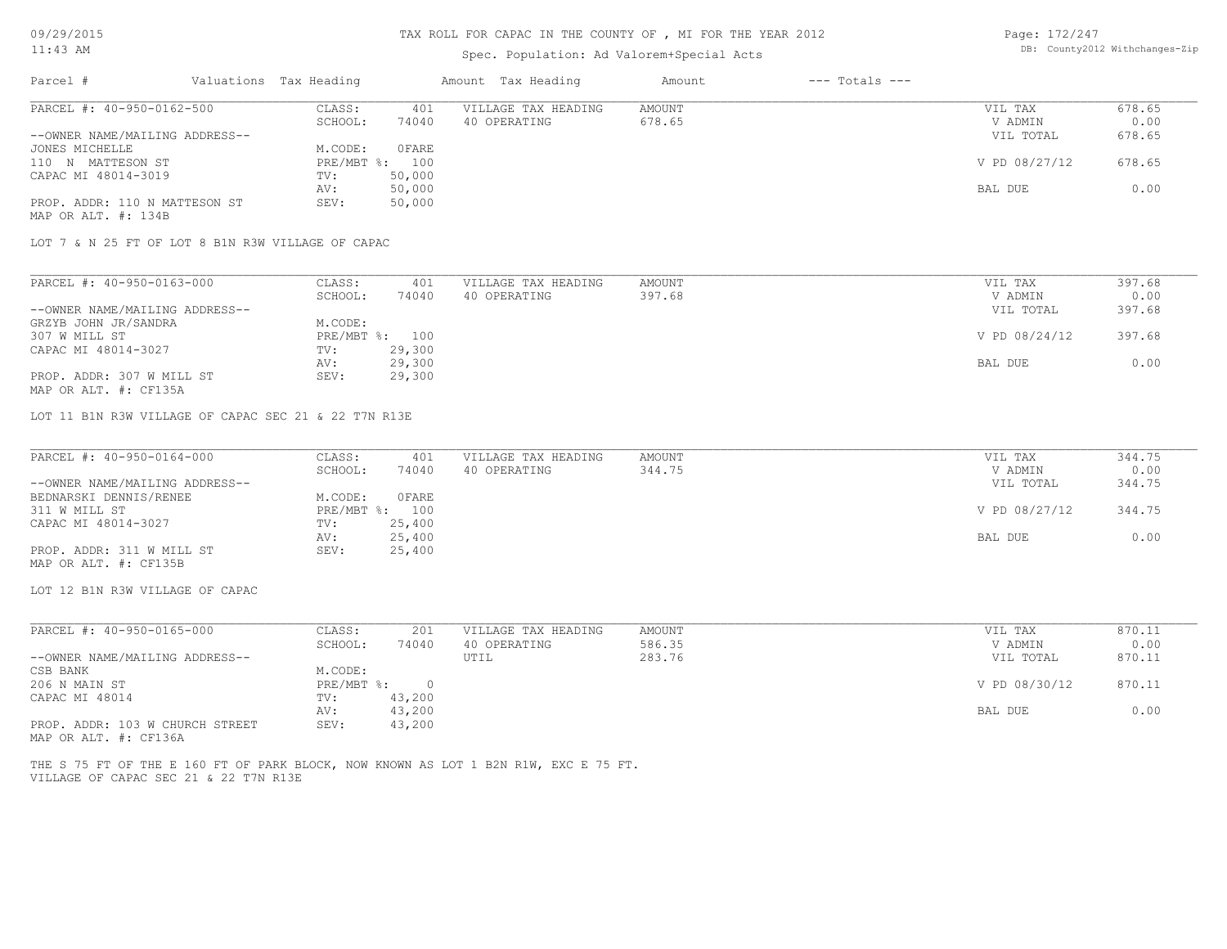### Spec. Population: Ad Valorem+Special Acts

| Page: 172/247 |                                |
|---------------|--------------------------------|
|               | DB: County2012 Withchanges-Zip |

| Parcel #                       | Valuations Tax Heading |        | Amount Tax Heading  | Amount | $---$ Totals $---$ |               |        |
|--------------------------------|------------------------|--------|---------------------|--------|--------------------|---------------|--------|
| PARCEL #: 40-950-0162-500      | CLASS:                 | 401    | VILLAGE TAX HEADING | AMOUNT |                    | VIL TAX       | 678.65 |
|                                | SCHOOL:                | 74040  | 40 OPERATING        | 678.65 |                    | V ADMIN       | 0.00   |
| --OWNER NAME/MAILING ADDRESS-- |                        |        |                     |        |                    | VIL TOTAL     | 678.65 |
| JONES MICHELLE                 | M.CODE:                | OFARE  |                     |        |                    |               |        |
| 110 N MATTESON ST              | PRE/MBT %: 100         |        |                     |        |                    | V PD 08/27/12 | 678.65 |
| CAPAC MI 48014-3019            | TV:                    | 50,000 |                     |        |                    |               |        |
|                                | AV:                    | 50,000 |                     |        |                    | BAL DUE       | 0.00   |
| PROP. ADDR: 110 N MATTESON ST  | SEV:                   | 50,000 |                     |        |                    |               |        |
| MAP OR ALT. #: 134B            |                        |        |                     |        |                    |               |        |

LOT 7 & N 25 FT OF LOT 8 B1N R3W VILLAGE OF CAPAC

| PARCEL #: 40-950-0163-000      | CLASS:         | 401    | VILLAGE TAX HEADING | AMOUNT | VIL TAX       | 397.68 |
|--------------------------------|----------------|--------|---------------------|--------|---------------|--------|
|                                | SCHOOL:        | 74040  | 40 OPERATING        | 397.68 | V ADMIN       | 0.00   |
| --OWNER NAME/MAILING ADDRESS-- |                |        |                     |        | VIL TOTAL     | 397.68 |
| GRZYB JOHN JR/SANDRA           | M.CODE:        |        |                     |        |               |        |
| 307 W MILL ST                  | PRE/MBT %: 100 |        |                     |        | V PD 08/24/12 | 397.68 |
| CAPAC MI 48014-3027            | TV:            | 29,300 |                     |        |               |        |
|                                | AV:            | 29,300 |                     |        | BAL DUE       | 0.00   |
| PROP. ADDR: 307 W MILL ST      | SEV:           | 29,300 |                     |        |               |        |

MAP OR ALT. #: CF135A

LOT 11 B1N R3W VILLAGE OF CAPAC SEC 21 & 22 T7N R13E

| PARCEL #: 40-950-0164-000      | CLASS:  | 401            | VILLAGE TAX HEADING | AMOUNT | VIL TAX       | 344.75 |
|--------------------------------|---------|----------------|---------------------|--------|---------------|--------|
|                                | SCHOOL: | 74040          | 40 OPERATING        | 344.75 | V ADMIN       | 0.00   |
| --OWNER NAME/MAILING ADDRESS-- |         |                |                     |        | VIL TOTAL     | 344.75 |
| BEDNARSKI DENNIS/RENEE         | M.CODE: | 0FARE          |                     |        |               |        |
| 311 W MILL ST                  |         | PRE/MBT %: 100 |                     |        | V PD 08/27/12 | 344.75 |
| CAPAC MI 48014-3027            | TV:     | 25,400         |                     |        |               |        |
|                                | AV:     | 25,400         |                     |        | BAL DUE       | 0.00   |
| PROP. ADDR: 311 W MILL ST      | SEV:    | 25,400         |                     |        |               |        |
| MAP OR ALT. #: CF135B          |         |                |                     |        |               |        |

LOT 12 B1N R3W VILLAGE OF CAPAC

| PARCEL #: 40-950-0165-000       | CLASS:     | 201    | VILLAGE TAX HEADING | AMOUNT | VIL TAX       | 870.11 |
|---------------------------------|------------|--------|---------------------|--------|---------------|--------|
|                                 | SCHOOL:    | 74040  | 40 OPERATING        | 586.35 | V ADMIN       | 0.00   |
| --OWNER NAME/MAILING ADDRESS--  |            |        | UTIL                | 283.76 | VIL TOTAL     | 870.11 |
| CSB BANK                        | M.CODE:    |        |                     |        |               |        |
| 206 N MAIN ST                   | PRE/MBT %: |        |                     |        | V PD 08/30/12 | 870.11 |
| CAPAC MI 48014                  | TV:        | 43,200 |                     |        |               |        |
|                                 | AV:        | 43,200 |                     |        | BAL DUE       | 0.00   |
| PROP. ADDR: 103 W CHURCH STREET | SEV:       | 43,200 |                     |        |               |        |

MAP OR ALT. #: CF136A

VILLAGE OF CAPAC SEC 21 & 22 T7N R13E THE S 75 FT OF THE E 160 FT OF PARK BLOCK, NOW KNOWN AS LOT 1 B2N R1W, EXC E 75 FT.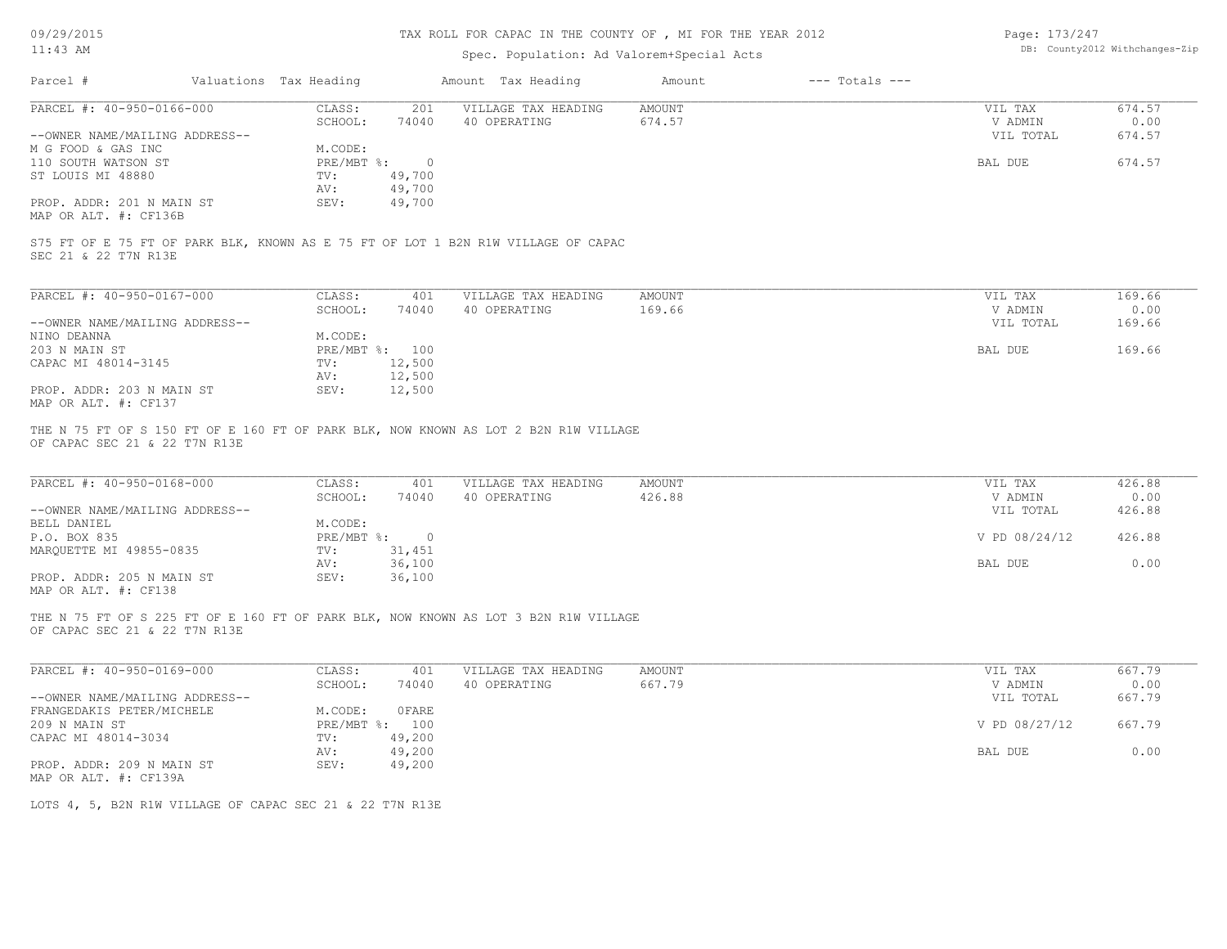# TAX ROLL FOR CAPAC IN THE COUNTY OF , MI FOR THE YEAR 2012

# Spec. Population: Ad Valorem+Special Acts

Page: 173/247 DB: County2012 Withchanges-Zip

| PARCEL #: 40-950-0166-000                                                                                                                                                                                   | CLASS:<br>201                      | VILLAGE TAX HEADING                 | <b>AMOUNT</b>           | VIL TAX                         | 674.57                   |
|-------------------------------------------------------------------------------------------------------------------------------------------------------------------------------------------------------------|------------------------------------|-------------------------------------|-------------------------|---------------------------------|--------------------------|
|                                                                                                                                                                                                             | SCHOOL:<br>74040                   | 40 OPERATING                        | 674.57                  | V ADMIN                         | 0.00                     |
| --OWNER NAME/MAILING ADDRESS--                                                                                                                                                                              |                                    |                                     |                         | VIL TOTAL                       | 674.57                   |
| M G FOOD & GAS INC                                                                                                                                                                                          | M.CODE:                            |                                     |                         |                                 |                          |
| 110 SOUTH WATSON ST                                                                                                                                                                                         | $PRE/MBT$ $\div$<br>$\overline{0}$ |                                     |                         | BAL DUE                         | 674.57                   |
| ST LOUIS MI 48880                                                                                                                                                                                           | TV:<br>49,700                      |                                     |                         |                                 |                          |
|                                                                                                                                                                                                             | AV:<br>49,700                      |                                     |                         |                                 |                          |
| PROP. ADDR: 201 N MAIN ST                                                                                                                                                                                   | 49,700<br>SEV:                     |                                     |                         |                                 |                          |
| MAP OR ALT. #: CF136B                                                                                                                                                                                       |                                    |                                     |                         |                                 |                          |
| S75 FT OF E 75 FT OF PARK BLK, KNOWN AS E 75 FT OF LOT 1 B2N R1W VILLAGE OF CAPAC<br>SEC 21 & 22 T7N R13E                                                                                                   |                                    |                                     |                         |                                 |                          |
| PARCEL #: 40-950-0167-000                                                                                                                                                                                   | CLASS:<br>401                      | VILLAGE TAX HEADING                 | <b>AMOUNT</b>           | VIL TAX                         | 169.66                   |
|                                                                                                                                                                                                             | SCHOOL:<br>74040                   | 40 OPERATING                        | 169.66                  | V ADMIN                         | 0.00                     |
| --OWNER NAME/MAILING ADDRESS--                                                                                                                                                                              |                                    |                                     |                         | VIL TOTAL                       | 169.66                   |
| NINO DEANNA                                                                                                                                                                                                 | M.CODE:                            |                                     |                         |                                 |                          |
| 203 N MAIN ST                                                                                                                                                                                               | PRE/MBT %: 100                     |                                     |                         | BAL DUE                         | 169.66                   |
| CAPAC MI 48014-3145                                                                                                                                                                                         | 12,500<br>TV:                      |                                     |                         |                                 |                          |
|                                                                                                                                                                                                             | 12,500<br>AV:                      |                                     |                         |                                 |                          |
| PROP. ADDR: 203 N MAIN ST                                                                                                                                                                                   | 12,500<br>SEV:                     |                                     |                         |                                 |                          |
|                                                                                                                                                                                                             |                                    |                                     |                         |                                 |                          |
|                                                                                                                                                                                                             |                                    |                                     |                         |                                 |                          |
| MAP OR ALT. #: CF137<br>THE N 75 FT OF S 150 FT OF E 160 FT OF PARK BLK, NOW KNOWN AS LOT 2 B2N R1W VILLAGE<br>OF CAPAC SEC 21 & 22 T7N R13E<br>PARCEL #: 40-950-0168-000<br>--OWNER NAME/MAILING ADDRESS-- | CLASS:<br>401<br>SCHOOL:<br>74040  | VILLAGE TAX HEADING<br>40 OPERATING | <b>AMOUNT</b><br>426.88 | VIL TAX<br>V ADMIN<br>VIL TOTAL | 426.88<br>0.00<br>426.88 |
| BELL DANIEL                                                                                                                                                                                                 | M.CODE:                            |                                     |                         |                                 |                          |
|                                                                                                                                                                                                             | PRE/MBT %: 0                       |                                     |                         | V PD 08/24/12                   | 426.88                   |
| P.O. BOX 835<br>MARQUETTE MI 49855-0835                                                                                                                                                                     | 31,451<br>TV:                      |                                     |                         |                                 |                          |
| PROP. ADDR: 205 N MAIN ST<br>MAP OR ALT. #: CF138                                                                                                                                                           | 36,100<br>AV:<br>SEV:<br>36,100    |                                     |                         | BAL DUE                         | 0.00                     |
| THE N 75 FT OF S 225 FT OF E 160 FT OF PARK BLK, NOW KNOWN AS LOT 3 B2N R1W VILLAGE<br>OF CAPAC SEC 21 & 22 T7N R13E                                                                                        |                                    |                                     |                         |                                 |                          |
| PARCEL #: 40-950-0169-000                                                                                                                                                                                   | CLASS:<br>401                      | VILLAGE TAX HEADING                 | <b>AMOUNT</b>           | VIL TAX                         | 667.79                   |
|                                                                                                                                                                                                             | SCHOOL:<br>74040                   | 40 OPERATING                        | 667.79                  | V ADMIN                         | 0.00                     |
|                                                                                                                                                                                                             | M.CODE:<br><b>OFARE</b>            |                                     |                         | VIL TOTAL                       | 667.79                   |
|                                                                                                                                                                                                             | PRE/MBT %: 100                     |                                     |                         | V PD 08/27/12                   | 667.79                   |
|                                                                                                                                                                                                             | 49,200<br>TV:                      |                                     |                         |                                 |                          |
| --OWNER NAME/MAILING ADDRESS--<br>FRANGEDAKIS PETER/MICHELE<br>209 N MAIN ST<br>CAPAC MI 48014-3034                                                                                                         | 49,200<br>AV:                      |                                     |                         | BAL DUE                         | 0.00                     |
| PROP. ADDR: 209 N MAIN ST                                                                                                                                                                                   | SEV:<br>49,200                     |                                     |                         |                                 |                          |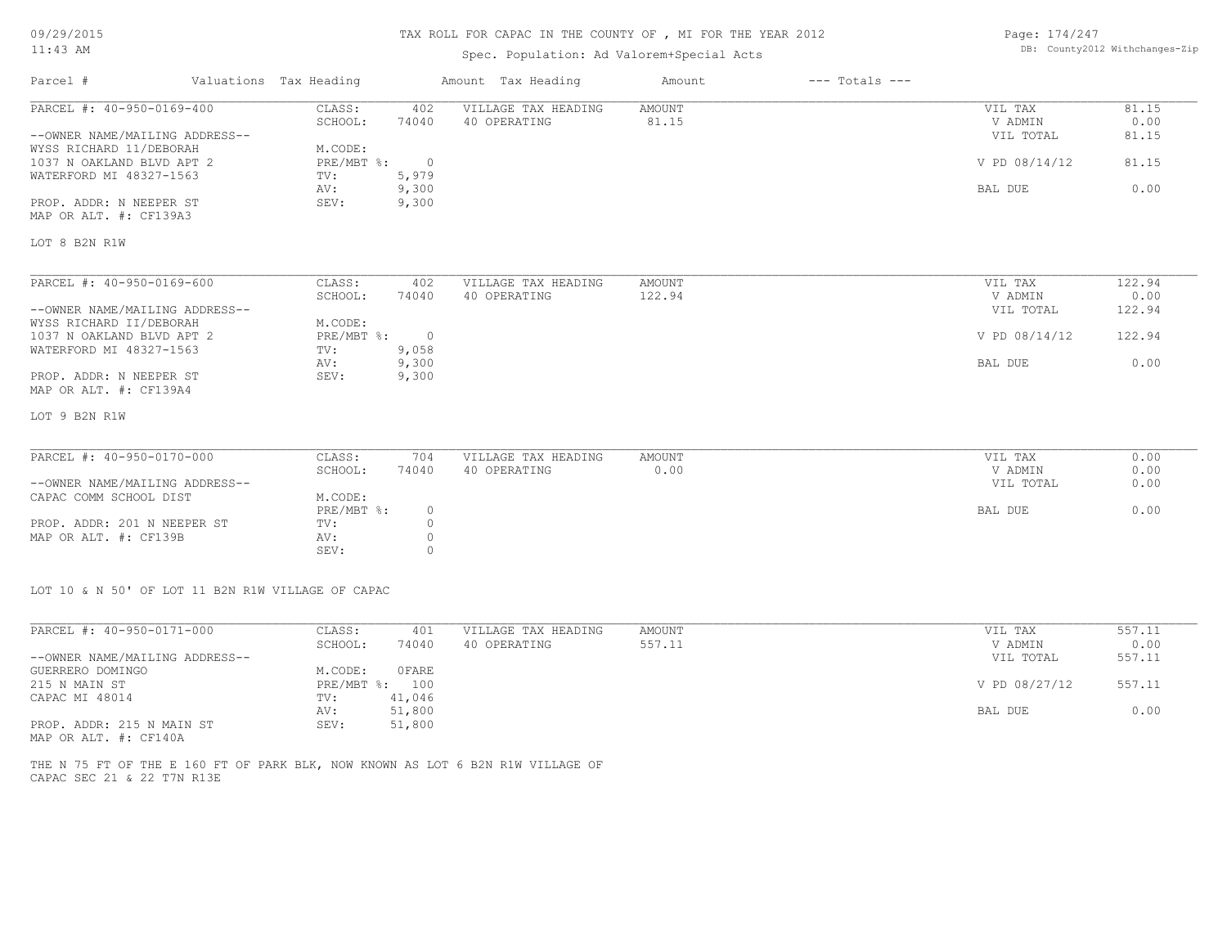### TAX ROLL FOR CAPAC IN THE COUNTY OF , MI FOR THE YEAR 2012

# Spec. Population: Ad Valorem+Special Acts

Page: 174/247 DB: County2012 Withchanges-Zip

| Parcel #                                                  | Valuations Tax Heading |                         | Amount Tax Heading  | Amount        | $---$ Totals $---$ |               |        |
|-----------------------------------------------------------|------------------------|-------------------------|---------------------|---------------|--------------------|---------------|--------|
| PARCEL #: 40-950-0169-400                                 | CLASS:                 | 402                     | VILLAGE TAX HEADING | <b>AMOUNT</b> |                    | VIL TAX       | 81.15  |
|                                                           | SCHOOL:                | 74040                   | 40 OPERATING        | 81.15         |                    | V ADMIN       | 0.00   |
| --OWNER NAME/MAILING ADDRESS--<br>WYSS RICHARD 11/DEBORAH | M.CODE:                |                         |                     |               |                    | VIL TOTAL     | 81.15  |
| 1037 N OAKLAND BLVD APT 2<br>WATERFORD MI 48327-1563      | PRE/MBT %:<br>TV:      | $\overline{0}$<br>5,979 |                     |               |                    | V PD 08/14/12 | 81.15  |
|                                                           | AV:                    | 9,300                   |                     |               |                    | BAL DUE       | 0.00   |
| PROP. ADDR: N NEEPER ST<br>MAP OR ALT. #: CF139A3         | SEV:                   | 9,300                   |                     |               |                    |               |        |
| LOT 8 B2N R1W                                             |                        |                         |                     |               |                    |               |        |
| PARCEL #: 40-950-0169-600                                 | CLASS:                 | 402                     | VILLAGE TAX HEADING | <b>AMOUNT</b> |                    | VIL TAX       | 122.94 |
|                                                           | SCHOOL:                | 74040                   | 40 OPERATING        | 122.94        |                    | V ADMIN       | 0.00   |
| --OWNER NAME/MAILING ADDRESS--                            |                        |                         |                     |               |                    | VIL TOTAL     | 122.94 |
| WYSS RICHARD II/DEBORAH                                   | M.CODE:                |                         |                     |               |                    |               |        |
| 1037 N OAKLAND BLVD APT 2                                 | PRE/MBT %:             | $\overline{0}$          |                     |               |                    | V PD 08/14/12 | 122.94 |
| WATERFORD MI 48327-1563                                   | TV:                    | 9,058                   |                     |               |                    |               |        |
|                                                           | AV:                    | 9,300                   |                     |               |                    | BAL DUE       | 0.00   |
| PROP. ADDR: N NEEPER ST                                   | SEV:                   | 9,300                   |                     |               |                    |               |        |
| MAP OR ALT. #: CF139A4                                    |                        |                         |                     |               |                    |               |        |
| LOT 9 B2N R1W                                             |                        |                         |                     |               |                    |               |        |
| PARCEL #: 40-950-0170-000                                 | CLASS:                 | 704                     | VILLAGE TAX HEADING | <b>AMOUNT</b> |                    | VIL TAX       | 0.00   |
|                                                           | SCHOOL:                | 74040                   | 40 OPERATING        | 0.00          |                    | V ADMIN       | 0.00   |
| --OWNER NAME/MAILING ADDRESS--                            |                        |                         |                     |               |                    | VIL TOTAL     | 0.00   |
| CAPAC COMM SCHOOL DIST                                    | M.CODE:                |                         |                     |               |                    |               |        |
|                                                           | PRE/MBT %:             | $\circ$                 |                     |               |                    | BAL DUE       | 0.00   |
| PROP. ADDR: 201 N NEEPER ST                               | TV:                    | $\circ$                 |                     |               |                    |               |        |
| MAP OR ALT. #: CF139B                                     | AV:                    |                         |                     |               |                    |               |        |
|                                                           | SEV:                   | $\Omega$                |                     |               |                    |               |        |

LOT 10 & N 50' OF LOT 11 B2N R1W VILLAGE OF CAPAC

| PARCEL #: 40-950-0171-000      | CLASS:       | 401    | VILLAGE TAX HEADING | AMOUNT | 557.11<br>VIL TAX       |  |
|--------------------------------|--------------|--------|---------------------|--------|-------------------------|--|
|                                | SCHOOL:      | 74040  | 40 OPERATING        | 557.11 | 0.00<br>V ADMIN         |  |
| --OWNER NAME/MAILING ADDRESS-- |              |        |                     |        | 557.11<br>VIL TOTAL     |  |
| GUERRERO DOMINGO               | M.CODE:      | OFARE  |                     |        |                         |  |
| 215 N MAIN ST                  | $PRE/MBT$ %: | 100    |                     |        | 557.11<br>V PD 08/27/12 |  |
| CAPAC MI 48014                 | TV:          | 41,046 |                     |        |                         |  |
|                                | AV:          | 51,800 |                     |        | 0.00<br>BAL DUE         |  |
| PROP. ADDR: 215 N MAIN ST      | SEV:         | 51,800 |                     |        |                         |  |
| MAP OR ALT. #: CF140A          |              |        |                     |        |                         |  |

CAPAC SEC 21 & 22 T7N R13E THE N 75 FT OF THE E 160 FT OF PARK BLK, NOW KNOWN AS LOT 6 B2N R1W VILLAGE OF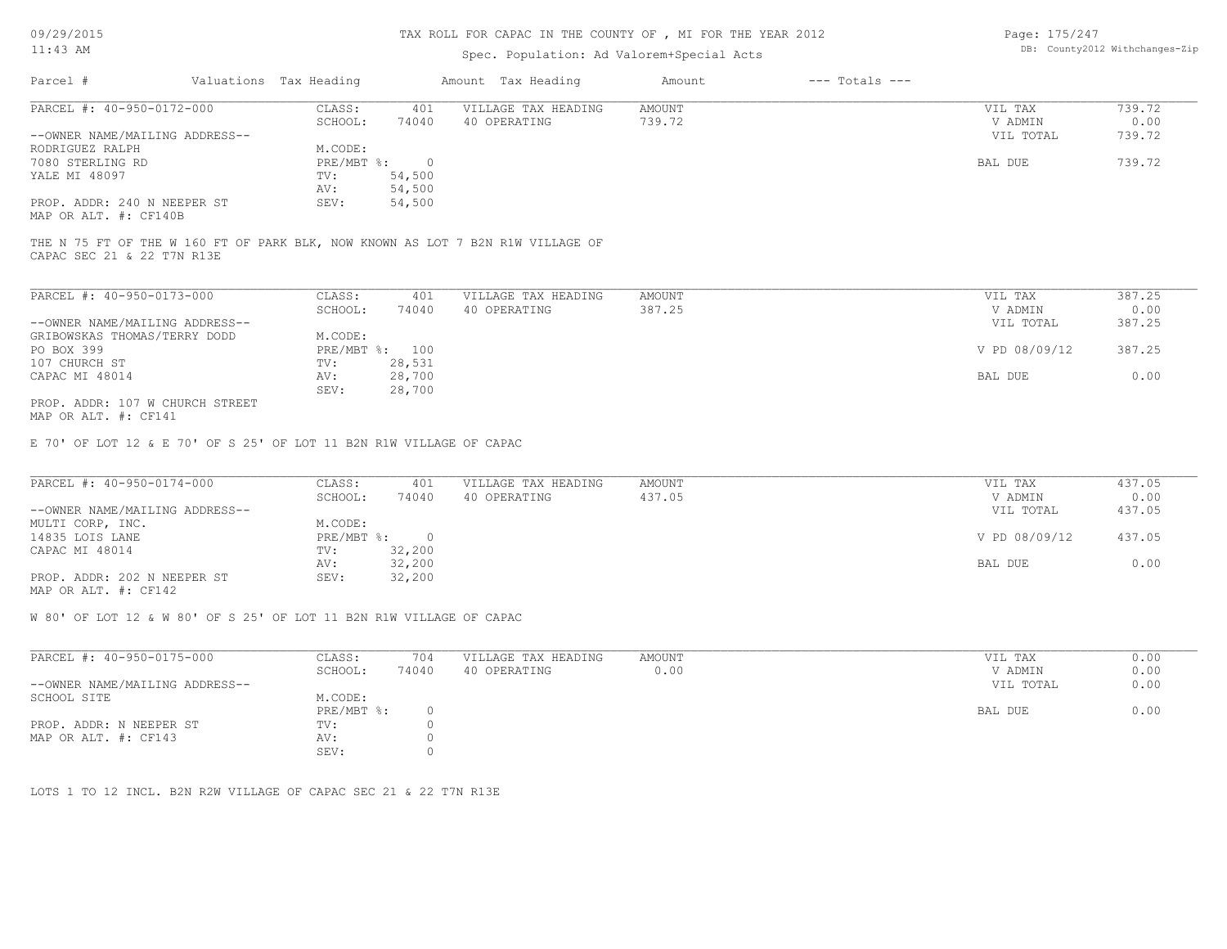# TAX ROLL FOR CAPAC IN THE COUNTY OF , MI FOR THE YEAR 2012

### Spec. Population: Ad Valorem+Special Acts

Page: 175/247 DB: County2012 Withchanges-Zip

| Parcel #                       | Valuations Tax Heading |        | Amount Tax Heading  | Amount | $---$ Totals $---$ |           |        |
|--------------------------------|------------------------|--------|---------------------|--------|--------------------|-----------|--------|
| PARCEL #: 40-950-0172-000      | CLASS:<br>401          |        | VILLAGE TAX HEADING | AMOUNT |                    | VIL TAX   | 739.72 |
|                                | SCHOOL:                | 74040  | 40 OPERATING        | 739.72 |                    | V ADMIN   | 0.00   |
| --OWNER NAME/MAILING ADDRESS-- |                        |        |                     |        |                    | VIL TOTAL | 739.72 |
| RODRIGUEZ RALPH                | M.CODE:                |        |                     |        |                    |           |        |
| 7080 STERLING RD               | PRE/MBT %:             |        |                     |        |                    | BAL DUE   | 739.72 |
| YALE MI 48097                  | TV:                    | 54,500 |                     |        |                    |           |        |
|                                | AV:                    | 54,500 |                     |        |                    |           |        |
| PROP. ADDR: 240 N NEEPER ST    | SEV:                   | 54,500 |                     |        |                    |           |        |
|                                |                        |        |                     |        |                    |           |        |

MAP OR ALT. #: CF140B

CAPAC SEC 21 & 22 T7N R13E THE N 75 FT OF THE W 160 FT OF PARK BLK, NOW KNOWN AS LOT 7 B2N R1W VILLAGE OF

| PARCEL #: 40-950-0173-000       | CLASS:       | 401    | VILLAGE TAX HEADING | AMOUNT | VIL TAX       | 387.25 |
|---------------------------------|--------------|--------|---------------------|--------|---------------|--------|
|                                 | SCHOOL:      | 74040  | 40 OPERATING        | 387.25 | V ADMIN       | 0.00   |
| --OWNER NAME/MAILING ADDRESS--  |              |        |                     |        | VIL TOTAL     | 387.25 |
| GRIBOWSKAS THOMAS/TERRY DODD    | M.CODE:      |        |                     |        |               |        |
| PO BOX 399                      | $PRE/MBT$ %: | 100    |                     |        | V PD 08/09/12 | 387.25 |
| 107 CHURCH ST                   | TV:          | 28,531 |                     |        |               |        |
| CAPAC MI 48014                  | AV:          | 28,700 |                     |        | BAL DUE       | 0.00   |
|                                 | SEV:         | 28,700 |                     |        |               |        |
| PROP. ADDR: 107 W CHURCH STREET |              |        |                     |        |               |        |

MAP OR ALT. #: CF141

E 70' OF LOT 12 & E 70' OF S 25' OF LOT 11 B2N R1W VILLAGE OF CAPAC

| PARCEL #: 40-950-0174-000      | CLASS:       | 401    | VILLAGE TAX HEADING | AMOUNT | VIL TAX       | 437.05 |
|--------------------------------|--------------|--------|---------------------|--------|---------------|--------|
|                                | SCHOOL:      | 74040  | 40 OPERATING        | 437.05 | V ADMIN       | 0.00   |
| --OWNER NAME/MAILING ADDRESS-- |              |        |                     |        | VIL TOTAL     | 437.05 |
| MULTI CORP, INC.               | M.CODE:      |        |                     |        |               |        |
| 14835 LOIS LANE                | $PRE/MBT$ %: |        |                     |        | V PD 08/09/12 | 437.05 |
| CAPAC MI 48014                 | TV:          | 32,200 |                     |        |               |        |
|                                | AV:          | 32,200 |                     |        | BAL DUE       | 0.00   |
| PROP. ADDR: 202 N NEEPER ST    | SEV:         | 32,200 |                     |        |               |        |
| MAP OR ALT. #: CF142           |              |        |                     |        |               |        |

W 80' OF LOT 12 & W 80' OF S 25' OF LOT 11 B2N R1W VILLAGE OF CAPAC

| PARCEL #: 40-950-0175-000      | CLASS:     | 704   | VILLAGE TAX HEADING | AMOUNT | VIL TAX   | 0.00 |
|--------------------------------|------------|-------|---------------------|--------|-----------|------|
|                                | SCHOOL:    | 74040 | 40 OPERATING        | 0.00   | V ADMIN   | 0.00 |
| --OWNER NAME/MAILING ADDRESS-- |            |       |                     |        | VIL TOTAL | 0.00 |
| SCHOOL SITE                    | M.CODE:    |       |                     |        |           |      |
|                                | PRE/MBT %: |       |                     |        | BAL DUE   | 0.00 |
| PROP. ADDR: N NEEPER ST        | TV:        |       |                     |        |           |      |
| MAP OR ALT. #: CF143           | AV:        |       |                     |        |           |      |
|                                | SEV:       |       |                     |        |           |      |

LOTS 1 TO 12 INCL. B2N R2W VILLAGE OF CAPAC SEC 21 & 22 T7N R13E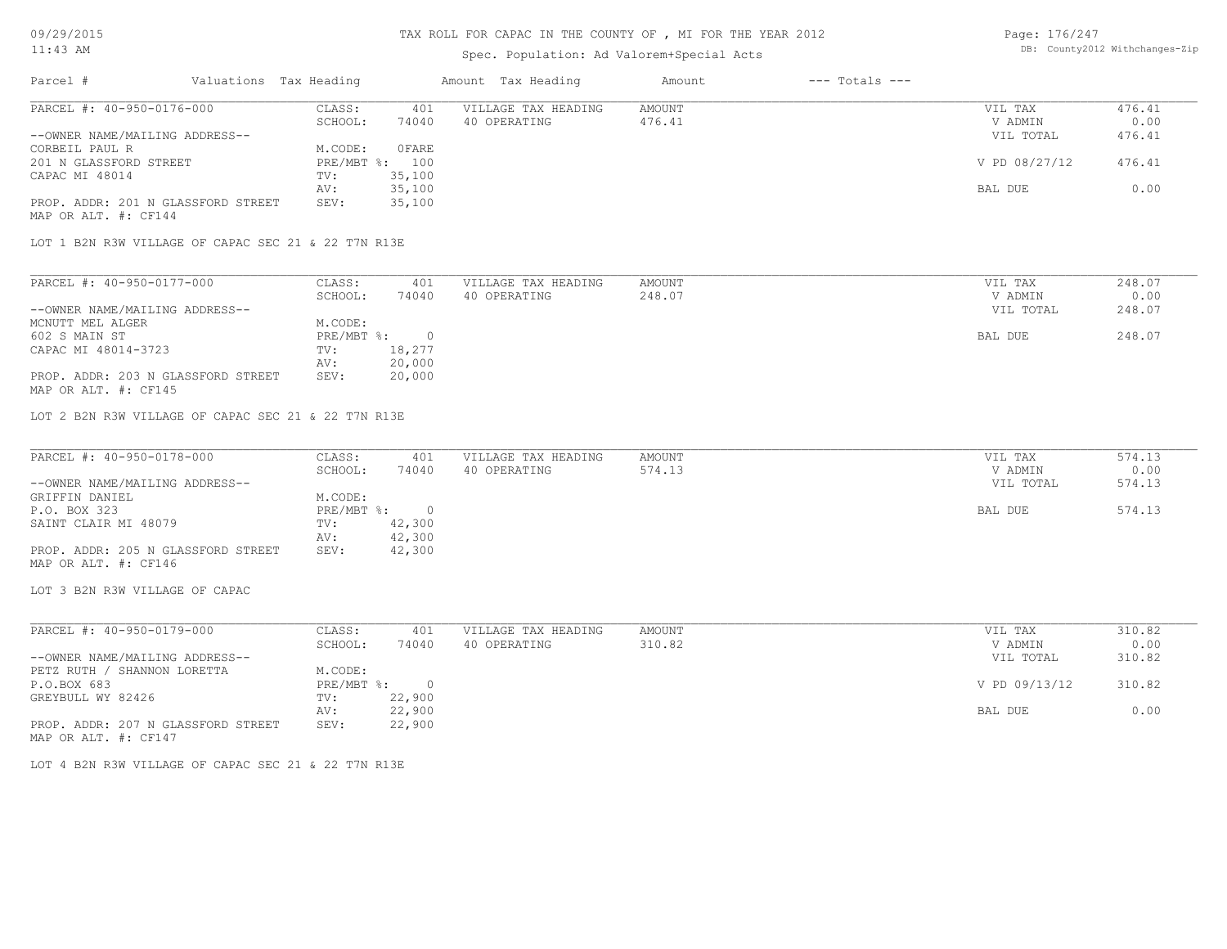# TAX ROLL FOR CAPAC IN THE COUNTY OF , MI FOR THE YEAR 2012

# Spec. Population: Ad Valorem+Special Acts

| Page: 176/247 |                                |
|---------------|--------------------------------|
|               | DB: County2012 Withchanges-Zip |

| Parcel #                                            | Valuations Tax Heading |                | Amount Tax Heading  | Amount | $---$ Totals $---$ |               |        |
|-----------------------------------------------------|------------------------|----------------|---------------------|--------|--------------------|---------------|--------|
| PARCEL #: 40-950-0176-000                           | CLASS:                 | 401            | VILLAGE TAX HEADING | AMOUNT |                    | VIL TAX       | 476.41 |
|                                                     | SCHOOL:                | 74040          | 40 OPERATING        | 476.41 |                    | V ADMIN       | 0.00   |
| --OWNER NAME/MAILING ADDRESS--                      |                        |                |                     |        |                    | VIL TOTAL     | 476.41 |
| CORBEIL PAUL R                                      | M.CODE:                | OFARE          |                     |        |                    |               |        |
| 201 N GLASSFORD STREET                              |                        | PRE/MBT %: 100 |                     |        |                    | V PD 08/27/12 | 476.41 |
| CAPAC MI 48014                                      | TV:                    | 35,100         |                     |        |                    |               |        |
|                                                     | AV:                    | 35,100         |                     |        |                    | BAL DUE       | 0.00   |
| PROP. ADDR: 201 N GLASSFORD STREET                  | SEV:                   | 35,100         |                     |        |                    |               |        |
| MAP OR ALT. #: CF144                                |                        |                |                     |        |                    |               |        |
|                                                     |                        |                |                     |        |                    |               |        |
| LOT 1 B2N R3W VILLAGE OF CAPAC SEC 21 & 22 T7N R13E |                        |                |                     |        |                    |               |        |

| PARCEL #: 40-950-0177-000          | CLASS:     | 401    | VILLAGE TAX HEADING | AMOUNT | 248.07<br>VIL TAX   |
|------------------------------------|------------|--------|---------------------|--------|---------------------|
|                                    | SCHOOL:    | 74040  | 40 OPERATING        | 248.07 | 0.00<br>V ADMIN     |
| --OWNER NAME/MAILING ADDRESS--     |            |        |                     |        | 248.07<br>VIL TOTAL |
| MCNUTT MEL ALGER                   | M.CODE:    |        |                     |        |                     |
| 602 S MAIN ST                      | PRE/MBT %: |        |                     |        | 248.07<br>BAL DUE   |
| CAPAC MI 48014-3723                | TV:        | 18,277 |                     |        |                     |
|                                    | AV:        | 20,000 |                     |        |                     |
| PROP. ADDR: 203 N GLASSFORD STREET | SEV:       | 20,000 |                     |        |                     |
| MAP OR ALT. #: CF145               |            |        |                     |        |                     |

LOT 2 B2N R3W VILLAGE OF CAPAC SEC 21 & 22 T7N R13E

| PARCEL #: 40-950-0178-000          | CLASS:       | 401    | VILLAGE TAX HEADING | AMOUNT | VIL TAX |           | 574.13 |
|------------------------------------|--------------|--------|---------------------|--------|---------|-----------|--------|
|                                    | SCHOOL:      | 74040  | 40 OPERATING        | 574.13 |         | V ADMIN   | 0.00   |
| --OWNER NAME/MAILING ADDRESS--     |              |        |                     |        |         | VIL TOTAL | 574.13 |
| GRIFFIN DANIEL                     | M.CODE:      |        |                     |        |         |           |        |
| P.O. BOX 323                       | $PRE/MBT$ %: |        |                     |        | BAL DUE |           | 574.13 |
| SAINT CLAIR MI 48079               | TV:          | 42,300 |                     |        |         |           |        |
|                                    | AV:          | 42,300 |                     |        |         |           |        |
| PROP. ADDR: 205 N GLASSFORD STREET | SEV:         | 42,300 |                     |        |         |           |        |
| MAP OR ALT. #: CF146               |              |        |                     |        |         |           |        |

LOT 3 B2N R3W VILLAGE OF CAPAC

| PARCEL #: 40-950-0179-000          | CLASS:     | 401    | VILLAGE TAX HEADING | AMOUNT | VIL TAX       | 310.82 |
|------------------------------------|------------|--------|---------------------|--------|---------------|--------|
|                                    | SCHOOL:    | 74040  | 40 OPERATING        | 310.82 | V ADMIN       | 0.00   |
| --OWNER NAME/MAILING ADDRESS--     |            |        |                     |        | VIL TOTAL     | 310.82 |
| PETZ RUTH / SHANNON LORETTA        | M.CODE:    |        |                     |        |               |        |
| P.O.BOX 683                        | PRE/MBT %: | - 0    |                     |        | V PD 09/13/12 | 310.82 |
| GREYBULL WY 82426                  | TV:        | 22,900 |                     |        |               |        |
|                                    | AV:        | 22,900 |                     |        | BAL DUE       | 0.00   |
| PROP. ADDR: 207 N GLASSFORD STREET | SEV:       | 22,900 |                     |        |               |        |
| MAP OR ALT. #: CF147               |            |        |                     |        |               |        |

LOT 4 B2N R3W VILLAGE OF CAPAC SEC 21 & 22 T7N R13E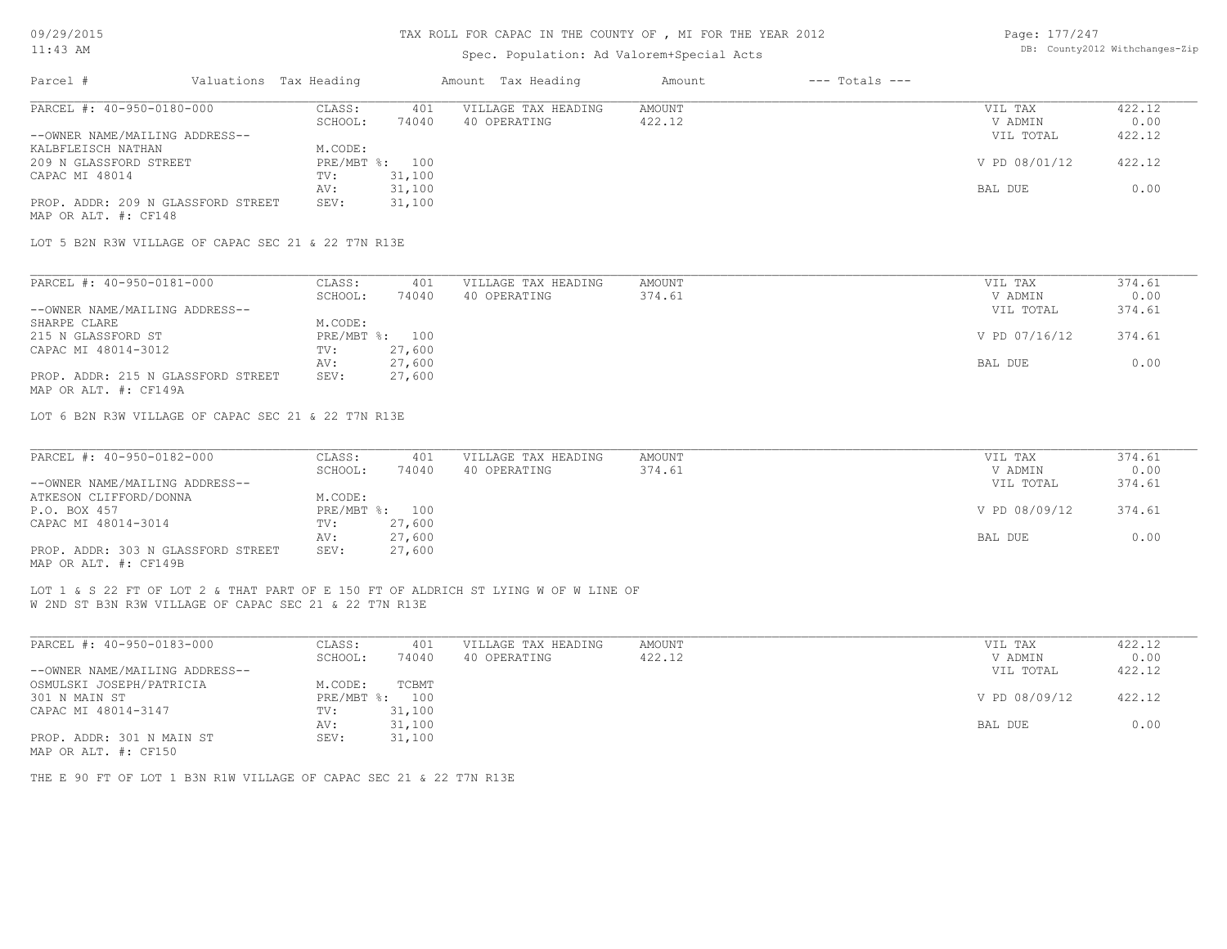| 09/29/2015                                        |                                                        |                        |                          | TAX ROLL FOR CAPAC IN THE COUNTY OF, MI FOR THE YEAR 2012                           |                  |                    | Page: 177/247      |                                |  |
|---------------------------------------------------|--------------------------------------------------------|------------------------|--------------------------|-------------------------------------------------------------------------------------|------------------|--------------------|--------------------|--------------------------------|--|
| $11:43$ AM                                        |                                                        |                        |                          | Spec. Population: Ad Valorem+Special Acts                                           |                  |                    |                    | DB: County2012 Withchanges-Zip |  |
| Parcel #                                          |                                                        | Valuations Tax Heading |                          | Amount Tax Heading                                                                  | Amount           | $---$ Totals $---$ |                    |                                |  |
| PARCEL #: 40-950-0180-000                         |                                                        | CLASS:<br>SCHOOL:      | 401<br>74040             | VILLAGE TAX HEADING<br>40 OPERATING                                                 | AMOUNT<br>422.12 |                    | VIL TAX<br>V ADMIN | 422.12<br>0.00                 |  |
| --OWNER NAME/MAILING ADDRESS--                    |                                                        |                        |                          |                                                                                     |                  |                    | VIL TOTAL          | 422.12                         |  |
| KALBFLEISCH NATHAN                                |                                                        | M.CODE:                |                          |                                                                                     |                  |                    |                    |                                |  |
| 209 N GLASSFORD STREET                            |                                                        |                        | PRE/MBT %: 100           |                                                                                     |                  |                    | V PD 08/01/12      | 422.12                         |  |
| CAPAC MI 48014                                    |                                                        | TV:                    | 31,100                   |                                                                                     |                  |                    |                    |                                |  |
|                                                   |                                                        | AV:                    | 31,100                   |                                                                                     |                  |                    | BAL DUE            | 0.00                           |  |
| MAP OR ALT. #: CF148                              | PROP. ADDR: 209 N GLASSFORD STREET                     | SEV:                   | 31,100                   |                                                                                     |                  |                    |                    |                                |  |
|                                                   | LOT 5 B2N R3W VILLAGE OF CAPAC SEC 21 & 22 T7N R13E    |                        |                          |                                                                                     |                  |                    |                    |                                |  |
| PARCEL #: 40-950-0181-000                         |                                                        | CLASS:                 | 401                      | VILLAGE TAX HEADING                                                                 | <b>AMOUNT</b>    |                    | VIL TAX            | 374.61                         |  |
|                                                   |                                                        | SCHOOL:                | 74040                    | 40 OPERATING                                                                        | 374.61           |                    | V ADMIN            | 0.00                           |  |
| --OWNER NAME/MAILING ADDRESS--                    |                                                        |                        |                          |                                                                                     |                  |                    | VIL TOTAL          | 374.61                         |  |
| SHARPE CLARE                                      |                                                        | M.CODE:                |                          |                                                                                     |                  |                    |                    |                                |  |
| 215 N GLASSFORD ST                                |                                                        |                        | PRE/MBT %: 100           |                                                                                     |                  |                    | V PD 07/16/12      | 374.61                         |  |
| CAPAC MI 48014-3012                               |                                                        | TV:                    | 27,600                   |                                                                                     |                  |                    |                    |                                |  |
|                                                   |                                                        | AV:                    | 27,600                   |                                                                                     |                  |                    | BAL DUE            | 0.00                           |  |
| MAP OR ALT. #: CF149A                             | PROP. ADDR: 215 N GLASSFORD STREET                     | SEV:                   | 27,600                   |                                                                                     |                  |                    |                    |                                |  |
|                                                   | LOT 6 B2N R3W VILLAGE OF CAPAC SEC 21 & 22 T7N R13E    |                        |                          |                                                                                     |                  |                    |                    |                                |  |
| PARCEL #: 40-950-0182-000                         |                                                        | CLASS:                 | 401                      | VILLAGE TAX HEADING                                                                 | <b>AMOUNT</b>    |                    | VIL TAX            | 374.61                         |  |
|                                                   |                                                        | SCHOOL:                | 74040                    | 40 OPERATING                                                                        | 374.61           |                    | V ADMIN            | 0.00                           |  |
| --OWNER NAME/MAILING ADDRESS--                    |                                                        |                        |                          |                                                                                     |                  |                    | VIL TOTAL          | 374.61                         |  |
| ATKESON CLIFFORD/DONNA                            |                                                        | M.CODE:                |                          |                                                                                     |                  |                    |                    |                                |  |
| P.O. BOX 457<br>CAPAC MI 48014-3014               |                                                        | TV:                    | PRE/MBT %: 100<br>27,600 |                                                                                     |                  |                    | V PD 08/09/12      | 374.61                         |  |
|                                                   |                                                        | AV:                    | 27,600                   |                                                                                     |                  |                    | BAL DUE            | 0.00                           |  |
| MAP OR ALT. #: CF149B                             | PROP. ADDR: 303 N GLASSFORD STREET                     | SEV:                   | 27,600                   |                                                                                     |                  |                    |                    |                                |  |
|                                                   | W 2ND ST B3N R3W VILLAGE OF CAPAC SEC 21 & 22 T7N R13E |                        |                          | LOT 1 & S 22 FT OF LOT 2 & THAT PART OF E 150 FT OF ALDRICH ST LYING W OF W LINE OF |                  |                    |                    |                                |  |
| PARCEL #: 40-950-0183-000                         |                                                        | CLASS:                 | 401                      | VILLAGE TAX HEADING                                                                 | <b>AMOUNT</b>    |                    | VIL TAX            | 422.12                         |  |
|                                                   |                                                        | SCHOOL:                | 74040                    | 40 OPERATING                                                                        | 422.12           |                    | V ADMIN            | 0.00                           |  |
| --OWNER NAME/MAILING ADDRESS--                    |                                                        |                        |                          |                                                                                     |                  |                    | VIL TOTAL          | 422.12                         |  |
| OSMULSKI JOSEPH/PATRICIA                          |                                                        | M.CODE:                | TCBMT                    |                                                                                     |                  |                    |                    |                                |  |
| 301 N MAIN ST                                     |                                                        |                        | PRE/MBT %: 100           |                                                                                     |                  |                    | V PD 08/09/12      | 422.12                         |  |
| CAPAC MI 48014-3147                               |                                                        | TV:                    | 31,100                   |                                                                                     |                  |                    |                    |                                |  |
|                                                   |                                                        | AV:                    | 31,100                   |                                                                                     |                  |                    | BAL DUE            | 0.00                           |  |
| PROP. ADDR: 301 N MAIN ST<br>MAP OR ALT. #: CF150 |                                                        | SEV:                   | 31,100                   |                                                                                     |                  |                    |                    |                                |  |
|                                                   |                                                        |                        |                          |                                                                                     |                  |                    |                    |                                |  |

THE E 90 FT OF LOT 1 B3N R1W VILLAGE OF CAPAC SEC 21 & 22 T7N R13E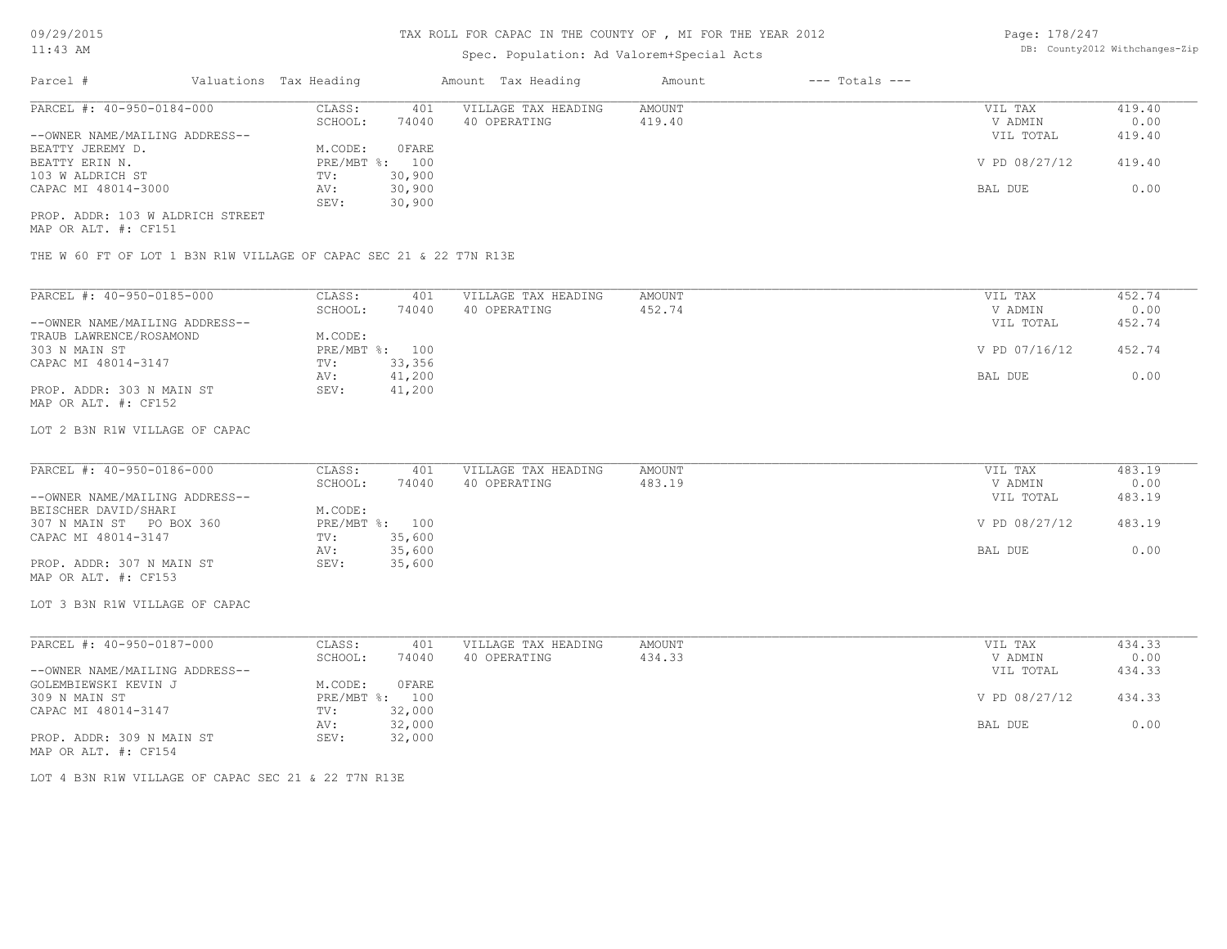# Spec. Population: Ad Valorem+Special Acts

Page: 178/247 DB: County2012 Withchanges-Zip

| Parcel #                         | Valuations Tax Heading |        | Amount Tax Heading  | Amount | $---$ Totals $---$ |               |        |
|----------------------------------|------------------------|--------|---------------------|--------|--------------------|---------------|--------|
| PARCEL #: 40-950-0184-000        | CLASS:                 | 401    | VILLAGE TAX HEADING | AMOUNT |                    | VIL TAX       | 419.40 |
|                                  | SCHOOL:                | 74040  | 40 OPERATING        | 419.40 |                    | V ADMIN       | 0.00   |
| --OWNER NAME/MAILING ADDRESS--   |                        |        |                     |        |                    | VIL TOTAL     | 419.40 |
| BEATTY JEREMY D.                 | M.CODE:                | 0 FARE |                     |        |                    |               |        |
| BEATTY ERIN N.                   | PRE/MBT %: 100         |        |                     |        |                    | V PD 08/27/12 | 419.40 |
| 103 W ALDRICH ST                 | TV:                    | 30,900 |                     |        |                    |               |        |
| CAPAC MI 48014-3000              | AV:                    | 30,900 |                     |        |                    | BAL DUE       | 0.00   |
|                                  | SEV:                   | 30,900 |                     |        |                    |               |        |
| PROP. ADDR: 103 W ALDRICH STREET |                        |        |                     |        |                    |               |        |

MAP OR ALT. #: CF151

THE W 60 FT OF LOT 1 B3N R1W VILLAGE OF CAPAC SEC 21 & 22 T7N R13E

| PARCEL #: 40-950-0185-000      | CLASS:     | 401    | VILLAGE TAX HEADING | AMOUNT | VIL TAX       | 452.74 |
|--------------------------------|------------|--------|---------------------|--------|---------------|--------|
|                                | SCHOOL:    | 74040  | 40 OPERATING        | 452.74 | V ADMIN       | 0.00   |
| --OWNER NAME/MAILING ADDRESS-- |            |        |                     |        | VIL TOTAL     | 452.74 |
| TRAUB LAWRENCE/ROSAMOND        | M.CODE:    |        |                     |        |               |        |
| 303 N MAIN ST                  | PRE/MBT %: | 100    |                     |        | V PD 07/16/12 | 452.74 |
| CAPAC MI 48014-3147            | TV:        | 33,356 |                     |        |               |        |
|                                | AV:        | 41,200 |                     |        | BAL DUE       | 0.00   |
| PROP. ADDR: 303 N MAIN ST      | SEV:       | 41,200 |                     |        |               |        |
| MAP OR ALT. #: CF152           |            |        |                     |        |               |        |

#### LOT 2 B3N R1W VILLAGE OF CAPAC

| PARCEL #: 40-950-0186-000      | CLASS:  | 401            | VILLAGE TAX HEADING | AMOUNT | VIL TAX       | 483.19 |
|--------------------------------|---------|----------------|---------------------|--------|---------------|--------|
|                                | SCHOOL: | 74040          | 40 OPERATING        | 483.19 | V ADMIN       | 0.00   |
| --OWNER NAME/MAILING ADDRESS-- |         |                |                     |        | VIL TOTAL     | 483.19 |
| BEISCHER DAVID/SHARI           | M.CODE: |                |                     |        |               |        |
| 307 N MAIN ST PO BOX 360       |         | PRE/MBT %: 100 |                     |        | V PD 08/27/12 | 483.19 |
| CAPAC MI 48014-3147            | TV:     | 35,600         |                     |        |               |        |
|                                | AV:     | 35,600         |                     |        | BAL DUE       | 0.00   |
| PROP. ADDR: 307 N MAIN ST      | SEV:    | 35,600         |                     |        |               |        |
| MAP OR ALT. #: CF153           |         |                |                     |        |               |        |

LOT 3 B3N R1W VILLAGE OF CAPAC

| PARCEL #: 40-950-0187-000      | CLASS:  | 401            | VILLAGE TAX HEADING | AMOUNT | VIL TAX       | 434.33 |
|--------------------------------|---------|----------------|---------------------|--------|---------------|--------|
|                                | SCHOOL: | 74040          | 40 OPERATING        | 434.33 | V ADMIN       | 0.00   |
| --OWNER NAME/MAILING ADDRESS-- |         |                |                     |        | VIL TOTAL     | 434.33 |
| GOLEMBIEWSKI KEVIN J           | M.CODE: | OFARE          |                     |        |               |        |
| 309 N MAIN ST                  |         | PRE/MBT %: 100 |                     |        | V PD 08/27/12 | 434.33 |
| CAPAC MI 48014-3147            | TV:     | 32,000         |                     |        |               |        |
|                                | AV:     | 32,000         |                     |        | BAL DUE       | 0.00   |
| PROP. ADDR: 309 N MAIN ST      | SEV:    | 32,000         |                     |        |               |        |
| MAP OR ALT. #: CF154           |         |                |                     |        |               |        |

LOT 4 B3N R1W VILLAGE OF CAPAC SEC 21 & 22 T7N R13E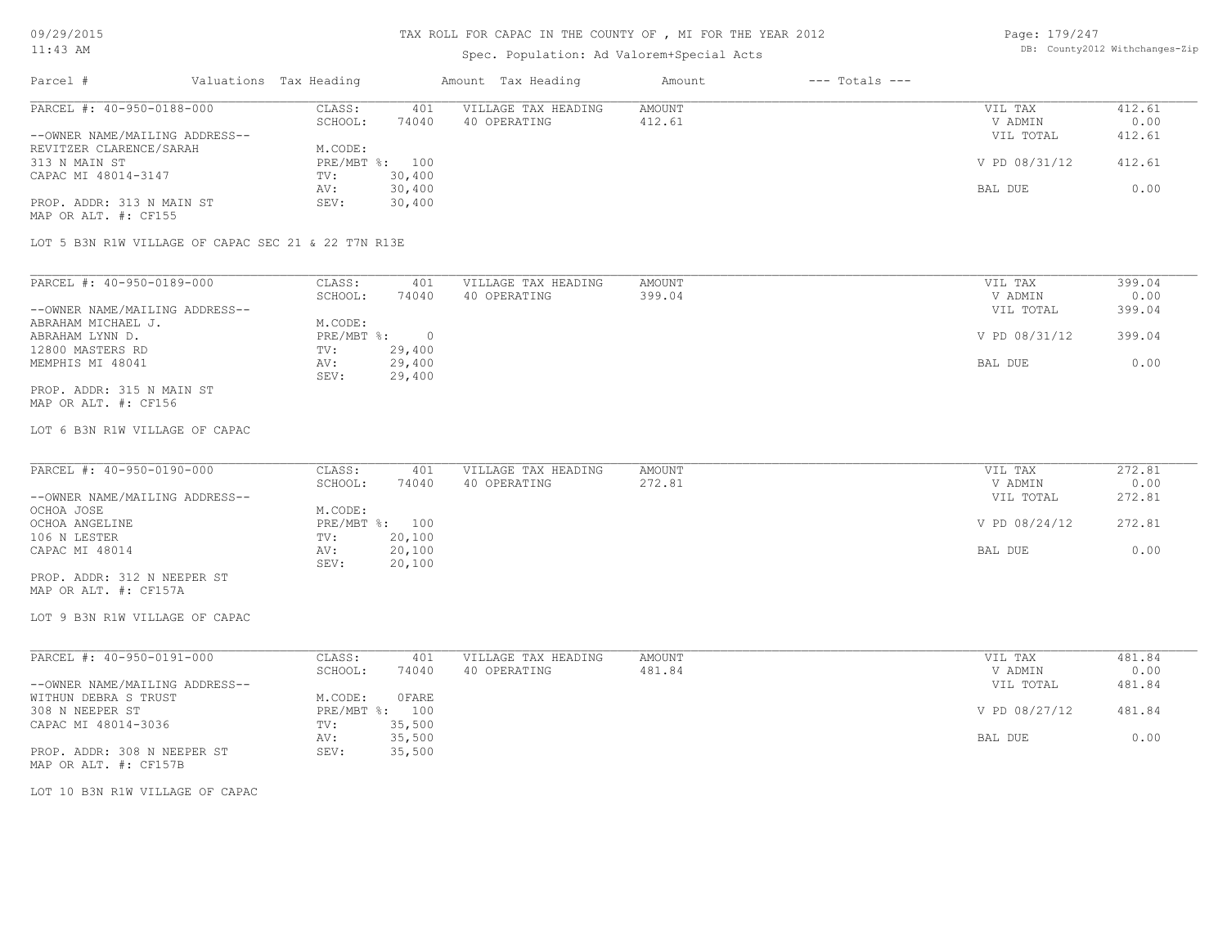# Spec. Population: Ad Valorem+Special Acts

| Page: 179/247 |                                |
|---------------|--------------------------------|
|               | DB: County2012 Withchanges-Zip |

| Parcel #                                          | Valuations Tax Heading |                | Amount Tax Heading            | Amount | $---$ Totals $---$ |               |        |
|---------------------------------------------------|------------------------|----------------|-------------------------------|--------|--------------------|---------------|--------|
| PARCEL #: 40-950-0188-000                         | CLASS:                 | 401            | AMOUNT<br>VILLAGE TAX HEADING |        | VIL TAX            | 412.61        |        |
|                                                   | SCHOOL:                | 74040          | 40 OPERATING                  | 412.61 |                    | V ADMIN       | 0.00   |
| --OWNER NAME/MAILING ADDRESS--                    |                        |                |                               |        |                    | VIL TOTAL     | 412.61 |
| REVITZER CLARENCE/SARAH                           | M.CODE:                |                |                               |        |                    |               |        |
| 313 N MAIN ST                                     |                        | PRE/MBT %: 100 |                               |        |                    | V PD 08/31/12 | 412.61 |
| CAPAC MI 48014-3147                               | TV:                    | 30,400         |                               |        |                    |               |        |
|                                                   | AV:                    | 30,400         |                               |        |                    | BAL DUE       | 0.00   |
| PROP. ADDR: 313 N MAIN ST<br>MAP OR ALT. #: CF155 | SEV:                   | 30,400         |                               |        |                    |               |        |

LOT 5 B3N R1W VILLAGE OF CAPAC SEC 21 & 22 T7N R13E

| PARCEL #: 40-950-0189-000      | CLASS:     | 401    | VILLAGE TAX HEADING | AMOUNT | VIL TAX       | 399.04 |
|--------------------------------|------------|--------|---------------------|--------|---------------|--------|
|                                | SCHOOL:    | 74040  | 40 OPERATING        | 399.04 | V ADMIN       | 0.00   |
| --OWNER NAME/MAILING ADDRESS-- |            |        |                     |        | VIL TOTAL     | 399.04 |
| ABRAHAM MICHAEL J.             | M.CODE:    |        |                     |        |               |        |
| ABRAHAM LYNN D.                | PRE/MBT %: |        |                     |        | V PD 08/31/12 | 399.04 |
| 12800 MASTERS RD               | TV:        | 29,400 |                     |        |               |        |
| MEMPHIS MI 48041               | AV:        | 29,400 |                     |        | BAL DUE       | 0.00   |
|                                | SEV:       | 29,400 |                     |        |               |        |
| PROP. ADDR: 315 N MAIN ST      |            |        |                     |        |               |        |

MAP OR ALT. #: CF156

#### LOT 6 B3N R1W VILLAGE OF CAPAC

| PARCEL #: 40-950-0190-000      | CLASS:  | 401            | VILLAGE TAX HEADING | AMOUNT | VIL TAX       | 272.81<br>0.00<br>V ADMIN<br>272.81<br>VIL TOTAL<br>272.81 |
|--------------------------------|---------|----------------|---------------------|--------|---------------|------------------------------------------------------------|
|                                | SCHOOL: | 74040          | 40 OPERATING        | 272.81 |               |                                                            |
| --OWNER NAME/MAILING ADDRESS-- |         |                |                     |        |               |                                                            |
| OCHOA JOSE                     | M.CODE: |                |                     |        |               |                                                            |
| OCHOA ANGELINE                 |         | PRE/MBT %: 100 |                     |        | V PD 08/24/12 |                                                            |
| 106 N LESTER                   | TV:     | 20,100         |                     |        |               |                                                            |
| CAPAC MI 48014                 | AV:     | 20,100         |                     |        | BAL DUE       | 0.00                                                       |
|                                | SEV:    | 20,100         |                     |        |               |                                                            |
| PROP. ADDR: 312 N NEEPER ST    |         |                |                     |        |               |                                                            |

MAP OR ALT. #: CF157A

LOT 9 B3N R1W VILLAGE OF CAPAC

| PARCEL #: 40-950-0191-000      | CLASS:           | 401    | VILLAGE TAX HEADING | AMOUNT | 481.84<br>VIL TAX       |      |
|--------------------------------|------------------|--------|---------------------|--------|-------------------------|------|
|                                | SCHOOL:          | 74040  | 40 OPERATING        | 481.84 | V ADMIN                 | 0.00 |
| --OWNER NAME/MAILING ADDRESS-- |                  |        |                     |        | 481.84<br>VIL TOTAL     |      |
| WITHUN DEBRA S TRUST           | M.CODE:          | OFARE  |                     |        |                         |      |
| 308 N NEEPER ST                | $PRE/MBT$ $\div$ | 100    |                     |        | V PD 08/27/12<br>481.84 |      |
| CAPAC MI 48014-3036            | TV:              | 35,500 |                     |        |                         |      |
|                                | AV:              | 35,500 |                     |        | BAL DUE                 | 0.00 |
| PROP. ADDR: 308 N NEEPER ST    | SEV:             | 35,500 |                     |        |                         |      |
| MAP OR ALT. #: CF157B          |                  |        |                     |        |                         |      |

LOT 10 B3N R1W VILLAGE OF CAPAC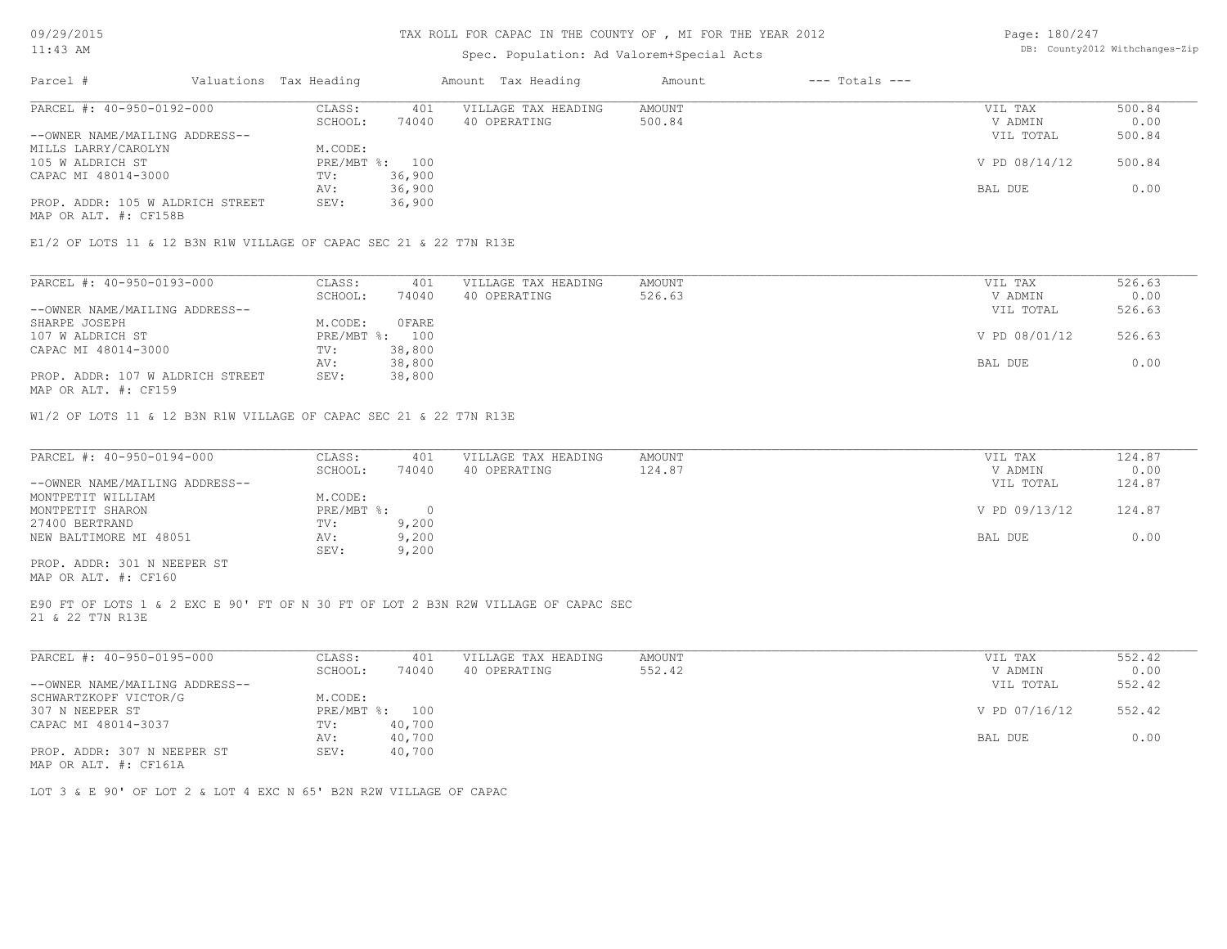### TAX ROLL FOR CAPAC IN THE COUNTY OF , MI FOR THE YEAR 2012

# Spec. Population: Ad Valorem+Special Acts

Page: 180/247 DB: County2012 Withchanges-Zip

| Parcel #                         | Valuations Tax Heading |        | Amount Tax Heading  | Amount | $---$ Totals $---$ |               |        |
|----------------------------------|------------------------|--------|---------------------|--------|--------------------|---------------|--------|
| PARCEL #: 40-950-0192-000        | CLASS:                 | 401    | VILLAGE TAX HEADING | AMOUNT |                    | VIL TAX       | 500.84 |
|                                  | SCHOOL:                | 74040  | 40 OPERATING        | 500.84 |                    | V ADMIN       | 0.00   |
| --OWNER NAME/MAILING ADDRESS--   |                        |        |                     |        |                    | VIL TOTAL     | 500.84 |
| MILLS LARRY/CAROLYN              | M.CODE:                |        |                     |        |                    |               |        |
| 105 W ALDRICH ST                 | PRE/MBT %: 100         |        |                     |        |                    | V PD 08/14/12 | 500.84 |
| CAPAC MI 48014-3000              | TV:                    | 36,900 |                     |        |                    |               |        |
|                                  | AV:                    | 36,900 |                     |        |                    | BAL DUE       | 0.00   |
| PROP. ADDR: 105 W ALDRICH STREET | SEV:                   | 36,900 |                     |        |                    |               |        |
|                                  |                        |        |                     |        |                    |               |        |

MAP OR ALT. #: CF158B

E1/2 OF LOTS 11 & 12 B3N R1W VILLAGE OF CAPAC SEC 21 & 22 T7N R13E

| PARCEL #: 40-950-0193-000        | CLASS:     | 401    | VILLAGE TAX HEADING | AMOUNT | VIL TAX       | 526.63 |
|----------------------------------|------------|--------|---------------------|--------|---------------|--------|
|                                  | SCHOOL:    | 74040  | 40 OPERATING        | 526.63 | V ADMIN       | 0.00   |
| --OWNER NAME/MAILING ADDRESS--   |            |        |                     |        | VIL TOTAL     | 526.63 |
| SHARPE JOSEPH                    | M.CODE:    | OFARE  |                     |        |               |        |
| 107 W ALDRICH ST                 | PRE/MBT %: | 100    |                     |        | V PD 08/01/12 | 526.63 |
| CAPAC MI 48014-3000              | TV:        | 38,800 |                     |        |               |        |
|                                  | AV:        | 38,800 |                     |        | BAL DUE       | 0.00   |
| PROP. ADDR: 107 W ALDRICH STREET | SEV:       | 38,800 |                     |        |               |        |
|                                  |            |        |                     |        |               |        |

MAP OR ALT. #: CF159

W1/2 OF LOTS 11 & 12 B3N R1W VILLAGE OF CAPAC SEC 21 & 22 T7N R13E

| PARCEL #: 40-950-0194-000      | CLASS:       | 401   | VILLAGE TAX HEADING | AMOUNT | VIL TAX       | 124.87 |
|--------------------------------|--------------|-------|---------------------|--------|---------------|--------|
|                                | SCHOOL:      | 74040 | 40 OPERATING        | 124.87 | V ADMIN       | 0.00   |
| --OWNER NAME/MAILING ADDRESS-- |              |       |                     |        | VIL TOTAL     | 124.87 |
| MONTPETIT WILLIAM              | M.CODE:      |       |                     |        |               |        |
| MONTPETIT SHARON               | $PRE/MBT$ %: |       |                     |        | V PD 09/13/12 | 124.87 |
| 27400 BERTRAND                 | TV:          | 9,200 |                     |        |               |        |
| NEW BALTIMORE MI 48051         | AV:          | 9,200 |                     |        | BAL DUE       | 0.00   |
|                                | SEV:         | 9,200 |                     |        |               |        |
| PROP. ADDR: 301 N NEEPER ST    |              |       |                     |        |               |        |

MAP OR ALT. #: CF160

21 & 22 T7N R13E E90 FT OF LOTS 1 & 2 EXC E 90' FT OF N 30 FT OF LOT 2 B3N R2W VILLAGE OF CAPAC SEC

| PARCEL #: 40-950-0195-000      | CLASS:     | 401    | VILLAGE TAX HEADING | AMOUNT | VIL TAX       | 552.42 |
|--------------------------------|------------|--------|---------------------|--------|---------------|--------|
|                                | SCHOOL:    | 74040  | 40 OPERATING        | 552.42 | V ADMIN       | 0.00   |
| --OWNER NAME/MAILING ADDRESS-- |            |        |                     |        | VIL TOTAL     | 552.42 |
| SCHWARTZKOPF VICTOR/G          | M.CODE:    |        |                     |        |               |        |
| 307 N NEEPER ST                | PRE/MBT %: | 100    |                     |        | V PD 07/16/12 | 552.42 |
| CAPAC MI 48014-3037            | TV:        | 40,700 |                     |        |               |        |
|                                | AV:        | 40,700 |                     |        | BAL DUE       | 0.00   |
| PROP. ADDR: 307 N NEEPER ST    | SEV:       | 40,700 |                     |        |               |        |
| $\frac{1}{2}$                  |            |        |                     |        |               |        |

MAP OR ALT. #: CF161A

LOT 3 & E 90' OF LOT 2 & LOT 4 EXC N 65' B2N R2W VILLAGE OF CAPAC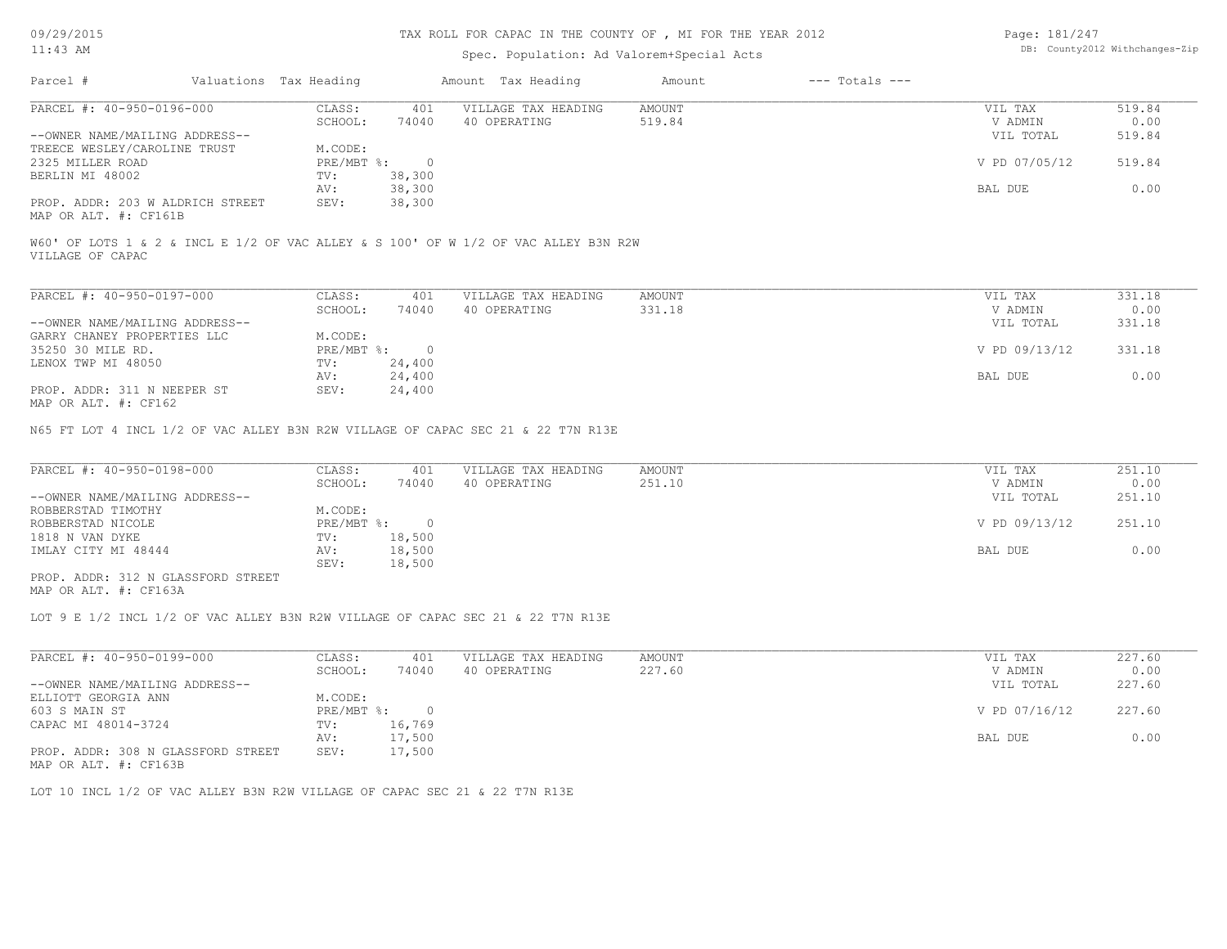### TAX ROLL FOR CAPAC IN THE COUNTY OF , MI FOR THE YEAR 2012

### Spec. Population: Ad Valorem+Special Acts

Page: 181/247 DB: County2012 Withchanges-Zip

| Parcel #                         |  | Valuations Tax Heading |        | Amount Tax Heading  | Amount | $---$ Totals $---$ |               |        |
|----------------------------------|--|------------------------|--------|---------------------|--------|--------------------|---------------|--------|
| PARCEL #: 40-950-0196-000        |  | CLASS:                 | 401    | VILLAGE TAX HEADING | AMOUNT |                    | VIL TAX       | 519.84 |
|                                  |  | SCHOOL:                | 74040  | 40 OPERATING        | 519.84 |                    | V ADMIN       | 0.00   |
| --OWNER NAME/MAILING ADDRESS--   |  |                        |        |                     |        |                    | VIL TOTAL     | 519.84 |
| TREECE WESLEY/CAROLINE TRUST     |  | M.CODE:                |        |                     |        |                    |               |        |
| 2325 MILLER ROAD                 |  | PRE/MBT %:             |        |                     |        |                    | V PD 07/05/12 | 519.84 |
| BERLIN MI 48002                  |  | TV:                    | 38,300 |                     |        |                    |               |        |
|                                  |  | AV:                    | 38,300 |                     |        |                    | BAL DUE       | 0.00   |
| PROP. ADDR: 203 W ALDRICH STREET |  | SEV:                   | 38,300 |                     |        |                    |               |        |
|                                  |  |                        |        |                     |        |                    |               |        |

MAP OR ALT. #: CF161B

VILLAGE OF CAPAC W60' OF LOTS 1 & 2 & INCL E 1/2 OF VAC ALLEY & S 100' OF W 1/2 OF VAC ALLEY B3N R2W

| PARCEL #: 40-950-0197-000                                                                   | CLASS:     | 401    | VILLAGE TAX HEADING | AMOUNT | VIL TAX       | 331.18 |
|---------------------------------------------------------------------------------------------|------------|--------|---------------------|--------|---------------|--------|
|                                                                                             | SCHOOL:    | 74040  | 40 OPERATING        | 331.18 | V ADMIN       | 0.00   |
| --OWNER NAME/MAILING ADDRESS--                                                              |            |        |                     |        | VIL TOTAL     | 331.18 |
| GARRY CHANEY PROPERTIES LLC                                                                 | M.CODE:    |        |                     |        |               |        |
| 35250 30 MILE RD.                                                                           | PRE/MBT %: |        |                     |        | V PD 09/13/12 | 331.18 |
| LENOX TWP MI 48050                                                                          | TV:        | 24,400 |                     |        |               |        |
|                                                                                             | AV:        | 24,400 |                     |        | BAL DUE       | 0.00   |
| PROP. ADDR: 311 N NEEPER ST<br>$M \land D$ $\land T$ $m$ $\#$ , $\land T$ $\land C$ $\land$ | SEV:       | 24,400 |                     |        |               |        |

MAP OR ALT. #: CF162

N65 FT LOT 4 INCL 1/2 OF VAC ALLEY B3N R2W VILLAGE OF CAPAC SEC 21 & 22 T7N R13E

| PARCEL #: 40-950-0198-000          | CLASS:     | 401    | VILLAGE TAX HEADING | AMOUNT | VIL TAX       | 251.10 |
|------------------------------------|------------|--------|---------------------|--------|---------------|--------|
|                                    | SCHOOL:    | 74040  | 40 OPERATING        | 251.10 | V ADMIN       | 0.00   |
| --OWNER NAME/MAILING ADDRESS--     |            |        |                     |        | VIL TOTAL     | 251.10 |
| ROBBERSTAD TIMOTHY                 | M.CODE:    |        |                     |        |               |        |
| ROBBERSTAD NICOLE                  | PRE/MBT %: |        |                     |        | V PD 09/13/12 | 251.10 |
| 1818 N VAN DYKE                    | TV:        | 18,500 |                     |        |               |        |
| IMLAY CITY MI 48444                | AV:        | 18,500 |                     |        | BAL DUE       | 0.00   |
|                                    | SEV:       | 18,500 |                     |        |               |        |
| PROP. ADDR: 312 N GLASSFORD STREET |            |        |                     |        |               |        |

MAP OR ALT. #: CF163A

LOT 9 E 1/2 INCL 1/2 OF VAC ALLEY B3N R2W VILLAGE OF CAPAC SEC 21 & 22 T7N R13E

| PARCEL #: 40-950-0199-000          | CLASS:     | 401    | VILLAGE TAX HEADING | AMOUNT | VIL TAX       | 227.60 |
|------------------------------------|------------|--------|---------------------|--------|---------------|--------|
|                                    | SCHOOL:    | 74040  | 40 OPERATING        | 227.60 | V ADMIN       | 0.00   |
| --OWNER NAME/MAILING ADDRESS--     |            |        |                     |        | VIL TOTAL     | 227.60 |
| ELLIOTT GEORGIA ANN                | M.CODE:    |        |                     |        |               |        |
| 603 S MAIN ST                      | PRE/MBT %: |        |                     |        | V PD 07/16/12 | 227.60 |
| CAPAC MI 48014-3724                | TV:        | 16,769 |                     |        |               |        |
|                                    | AV:        | 17,500 |                     |        | BAL DUE       | 0.00   |
| PROP. ADDR: 308 N GLASSFORD STREET | SEV:       | 17,500 |                     |        |               |        |

MAP OR ALT. #: CF163B

LOT 10 INCL 1/2 OF VAC ALLEY B3N R2W VILLAGE OF CAPAC SEC 21 & 22 T7N R13E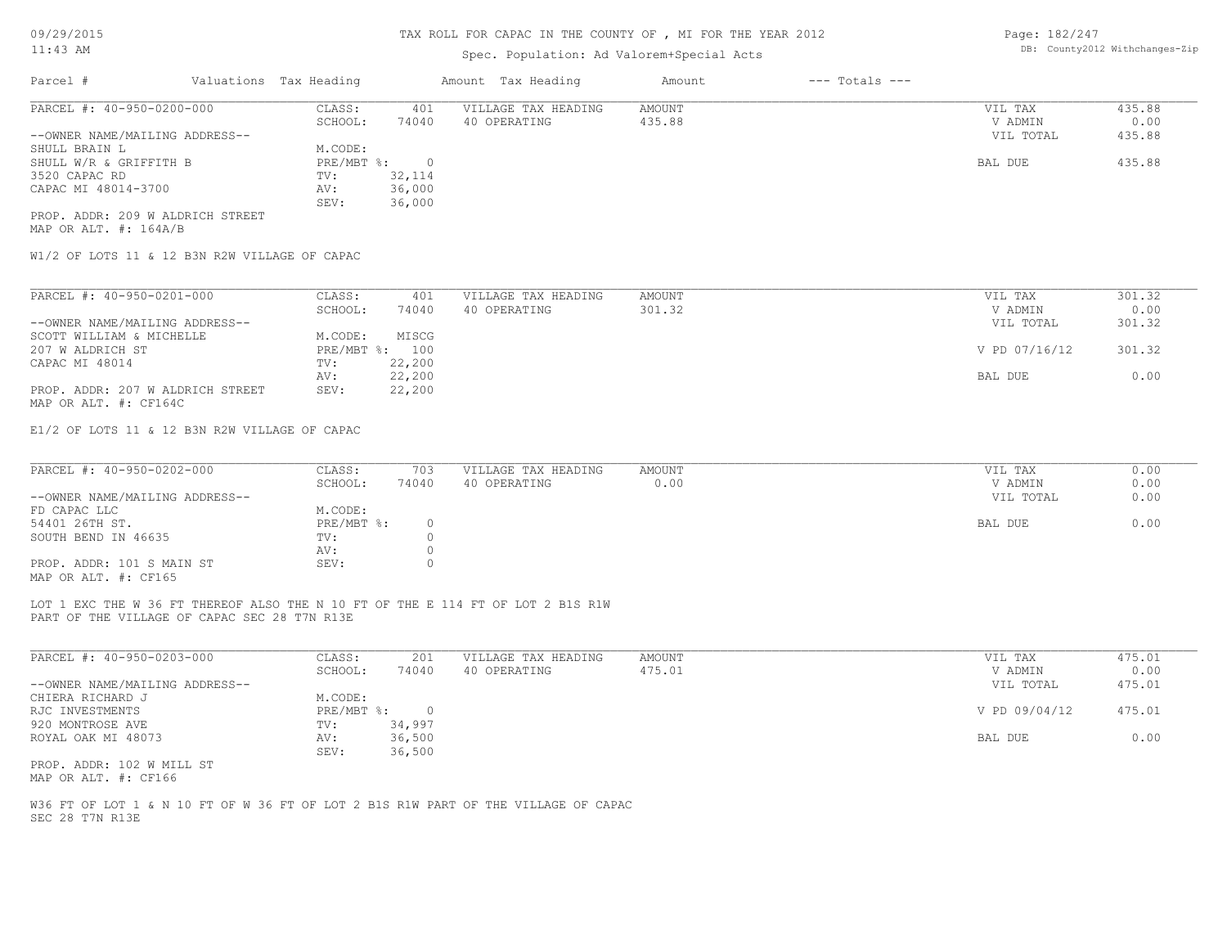## Spec. Population: Ad Valorem+Special Acts

| Page: 182/247 |                                |
|---------------|--------------------------------|
|               | DB: County2012 Withchanges-Zip |

| Parcel #                         | Valuations Tax Heading |        | Amount Tax Heading  | Amount | $---$ Totals $---$ |           |        |
|----------------------------------|------------------------|--------|---------------------|--------|--------------------|-----------|--------|
| PARCEL #: 40-950-0200-000        | CLASS:                 | 401    | VILLAGE TAX HEADING | AMOUNT |                    | VIL TAX   | 435.88 |
|                                  | SCHOOL:                | 74040  | 40 OPERATING        | 435.88 |                    | V ADMIN   | 0.00   |
| --OWNER NAME/MAILING ADDRESS--   |                        |        |                     |        |                    | VIL TOTAL | 435.88 |
| SHULL BRAIN L                    | M.CODE:                |        |                     |        |                    |           |        |
| SHULL W/R & GRIFFITH B           | $PRE/MBT$ %:           |        |                     |        |                    | BAL DUE   | 435.88 |
| 3520 CAPAC RD                    | TV:                    | 32,114 |                     |        |                    |           |        |
| CAPAC MI 48014-3700              | AV:                    | 36,000 |                     |        |                    |           |        |
|                                  | SEV:                   | 36,000 |                     |        |                    |           |        |
| PROP. ADDR: 209 W ALDRICH STREET |                        |        |                     |        |                    |           |        |

MAP OR ALT. #: 164A/B

W1/2 OF LOTS 11 & 12 B3N R2W VILLAGE OF CAPAC

| PARCEL #: 40-950-0201-000        | CLASS:  | 401            | VILLAGE TAX HEADING | AMOUNT | VIL TAX       | 301.32 |
|----------------------------------|---------|----------------|---------------------|--------|---------------|--------|
|                                  | SCHOOL: | 74040          | 40 OPERATING        | 301.32 | V ADMIN       | 0.00   |
| --OWNER NAME/MAILING ADDRESS--   |         |                |                     |        | VIL TOTAL     | 301.32 |
| SCOTT WILLIAM & MICHELLE         | M.CODE: | MISCG          |                     |        |               |        |
| 207 W ALDRICH ST                 |         | PRE/MBT %: 100 |                     |        | V PD 07/16/12 | 301.32 |
| CAPAC MI 48014                   | TV:     | 22,200         |                     |        |               |        |
|                                  | AV:     | 22,200         |                     |        | BAL DUE       | 0.00   |
| PROP. ADDR: 207 W ALDRICH STREET | SEV:    | 22,200         |                     |        |               |        |
| MAP OR ALT. #: CF164C            |         |                |                     |        |               |        |

E1/2 OF LOTS 11 & 12 B3N R2W VILLAGE OF CAPAC

| PARCEL #: 40-950-0202-000      | CLASS:     | 703   | VILLAGE TAX HEADING | AMOUNT | VIL TAX   | 0.00 |
|--------------------------------|------------|-------|---------------------|--------|-----------|------|
|                                | SCHOOL:    | 74040 | 40 OPERATING        | 0.00   | V ADMIN   | 0.00 |
| --OWNER NAME/MAILING ADDRESS-- |            |       |                     |        | VIL TOTAL | 0.00 |
| FD CAPAC LLC                   | M.CODE:    |       |                     |        |           |      |
| 54401 26TH ST.                 | PRE/MBT %: |       |                     |        | BAL DUE   | 0.00 |
| SOUTH BEND IN 46635            | TV:        |       |                     |        |           |      |
|                                | AV:        |       |                     |        |           |      |
| PROP. ADDR: 101 S MAIN ST      | SEV:       |       |                     |        |           |      |
| MAP OR ALT. #: CF165           |            |       |                     |        |           |      |

PART OF THE VILLAGE OF CAPAC SEC 28 T7N R13E LOT 1 EXC THE W 36 FT THEREOF ALSO THE N 10 FT OF THE E 114 FT OF LOT 2 B1S R1W

| PARCEL #: 40-950-0203-000      | CLASS:     | 201    | VILLAGE TAX HEADING | AMOUNT | 475.01<br>VIL TAX       |
|--------------------------------|------------|--------|---------------------|--------|-------------------------|
|                                | SCHOOL:    | 74040  | 40 OPERATING        | 475.01 | 0.00<br>V ADMIN         |
| --OWNER NAME/MAILING ADDRESS-- |            |        |                     |        | VIL TOTAL<br>475.01     |
| CHIERA RICHARD J               | M.CODE:    |        |                     |        |                         |
| RJC INVESTMENTS                | PRE/MBT %: |        |                     |        | V PD 09/04/12<br>475.01 |
| 920 MONTROSE AVE               | TV:        | 34,997 |                     |        |                         |
| ROYAL OAK MI 48073             | AV:        | 36,500 |                     |        | 0.00<br>BAL DUE         |
|                                | SEV:       | 36,500 |                     |        |                         |
| PROP. ADDR: 102 W MILL ST      |            |        |                     |        |                         |

MAP OR ALT. #: CF166

SEC 28 T7N R13E W36 FT OF LOT 1 & N 10 FT OF W 36 FT OF LOT 2 B1S R1W PART OF THE VILLAGE OF CAPAC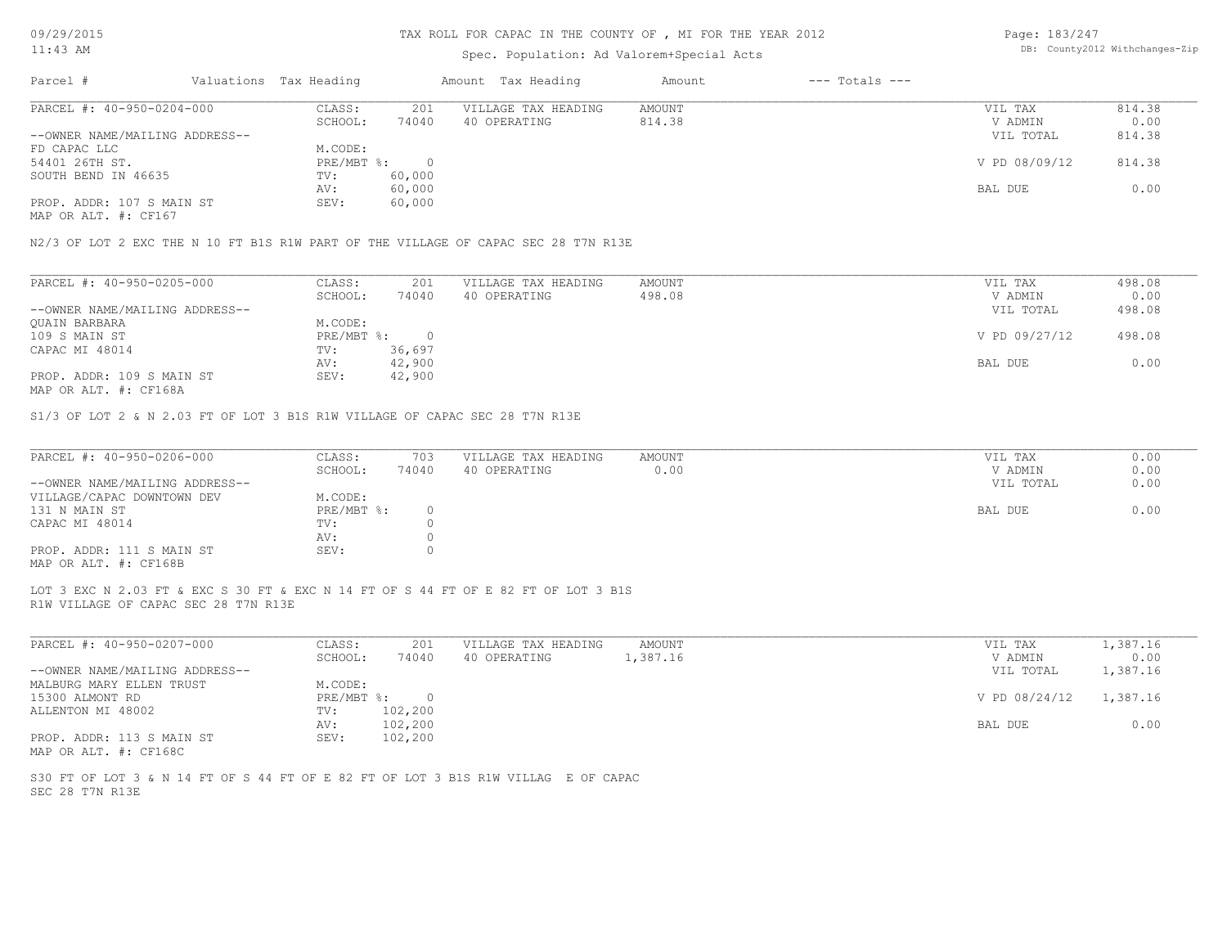### TAX ROLL FOR CAPAC IN THE COUNTY OF , MI FOR THE YEAR 2012

### Spec. Population: Ad Valorem+Special Acts

Page: 183/247 DB: County2012 Withchanges-Zip

| Parcel #                       |  | Valuations Tax Heading |        | Amount Tax Heading  | Amount | $---$ Totals $---$ |               |        |
|--------------------------------|--|------------------------|--------|---------------------|--------|--------------------|---------------|--------|
| PARCEL #: 40-950-0204-000      |  | CLASS:                 | 201    | VILLAGE TAX HEADING | AMOUNT |                    | VIL TAX       | 814.38 |
|                                |  | SCHOOL:                | 74040  | 40 OPERATING        | 814.38 |                    | V ADMIN       | 0.00   |
| --OWNER NAME/MAILING ADDRESS-- |  |                        |        |                     |        |                    | VIL TOTAL     | 814.38 |
| FD CAPAC LLC                   |  | M.CODE:                |        |                     |        |                    |               |        |
| 54401 26TH ST.                 |  | PRE/MBT %:             |        |                     |        |                    | V PD 08/09/12 | 814.38 |
| SOUTH BEND IN 46635            |  | TV:                    | 60,000 |                     |        |                    |               |        |
|                                |  | AV:                    | 60,000 |                     |        |                    | BAL DUE       | 0.00   |
| PROP. ADDR: 107 S MAIN ST      |  | SEV:                   | 60,000 |                     |        |                    |               |        |
|                                |  |                        |        |                     |        |                    |               |        |

MAP OR ALT. #: CF167

N2/3 OF LOT 2 EXC THE N 10 FT B1S R1W PART OF THE VILLAGE OF CAPAC SEC 28 T7N R13E

| PARCEL #: 40-950-0205-000      | CLASS:     | 201    | VILLAGE TAX HEADING | AMOUNT | VIL TAX       | 498.08 |
|--------------------------------|------------|--------|---------------------|--------|---------------|--------|
|                                | SCHOOL:    | 74040  | 40 OPERATING        | 498.08 | V ADMIN       | 0.00   |
| --OWNER NAME/MAILING ADDRESS-- |            |        |                     |        | VIL TOTAL     | 498.08 |
| QUAIN BARBARA                  | M.CODE:    |        |                     |        |               |        |
| 109 S MAIN ST                  | PRE/MBT %: |        |                     |        | V PD 09/27/12 | 498.08 |
| CAPAC MI 48014                 | TV:        | 36,697 |                     |        |               |        |
|                                | AV:        | 42,900 |                     |        | BAL DUE       | 0.00   |
| PROP. ADDR: 109 S MAIN ST      | SEV:       | 42,900 |                     |        |               |        |
| MAP OR ALT. #: CF168A          |            |        |                     |        |               |        |

S1/3 OF LOT 2 & N 2.03 FT OF LOT 3 B1S R1W VILLAGE OF CAPAC SEC 28 T7N R13E

| PARCEL #: 40-950-0206-000      | CLASS:       | 703   | VILLAGE TAX HEADING | AMOUNT | VIL TAX   | 0.00 |
|--------------------------------|--------------|-------|---------------------|--------|-----------|------|
|                                | SCHOOL:      | 74040 | 40 OPERATING        | 0.00   | V ADMIN   | 0.00 |
| --OWNER NAME/MAILING ADDRESS-- |              |       |                     |        | VIL TOTAL | 0.00 |
| VILLAGE/CAPAC DOWNTOWN DEV     | M.CODE:      |       |                     |        |           |      |
| 131 N MAIN ST                  | $PRE/MBT$ %: |       |                     |        | BAL DUE   | 0.00 |
| CAPAC MI 48014                 | TV:          |       |                     |        |           |      |
|                                | AV:          |       |                     |        |           |      |
| PROP. ADDR: 111 S MAIN ST      | SEV:         |       |                     |        |           |      |
| MAP OR ALT. #: CF168B          |              |       |                     |        |           |      |

R1W VILLAGE OF CAPAC SEC 28 T7N R13E LOT 3 EXC N 2.03 FT & EXC S 30 FT & EXC N 14 FT OF S 44 FT OF E 82 FT OF LOT 3 B1S

| PARCEL #: 40-950-0207-000      | CLASS:       | 201     | VILLAGE TAX HEADING | AMOUNT   | VIL TAX       | 1,387.16 |
|--------------------------------|--------------|---------|---------------------|----------|---------------|----------|
|                                | SCHOOL:      | 74040   | 40 OPERATING        | 1,387.16 | V ADMIN       | 0.00     |
| --OWNER NAME/MAILING ADDRESS-- |              |         |                     |          | VIL TOTAL     | 1,387.16 |
| MALBURG MARY ELLEN TRUST       | M.CODE:      |         |                     |          |               |          |
| 15300 ALMONT RD                | $PRE/MBT$ %: |         |                     |          | V PD 08/24/12 | 1,387.16 |
| ALLENTON MI 48002              | TV:          | 102,200 |                     |          |               |          |
|                                | AV:          | 102,200 |                     |          | BAL DUE       | 0.00     |
| PROP. ADDR: 113 S MAIN ST      | SEV:         | 102,200 |                     |          |               |          |
| MAP OR ALT. #: CF168C          |              |         |                     |          |               |          |

SEC 28 T7N R13E S30 FT OF LOT 3 & N 14 FT OF S 44 FT OF E 82 FT OF LOT 3 B1S R1W VILLAG E OF CAPAC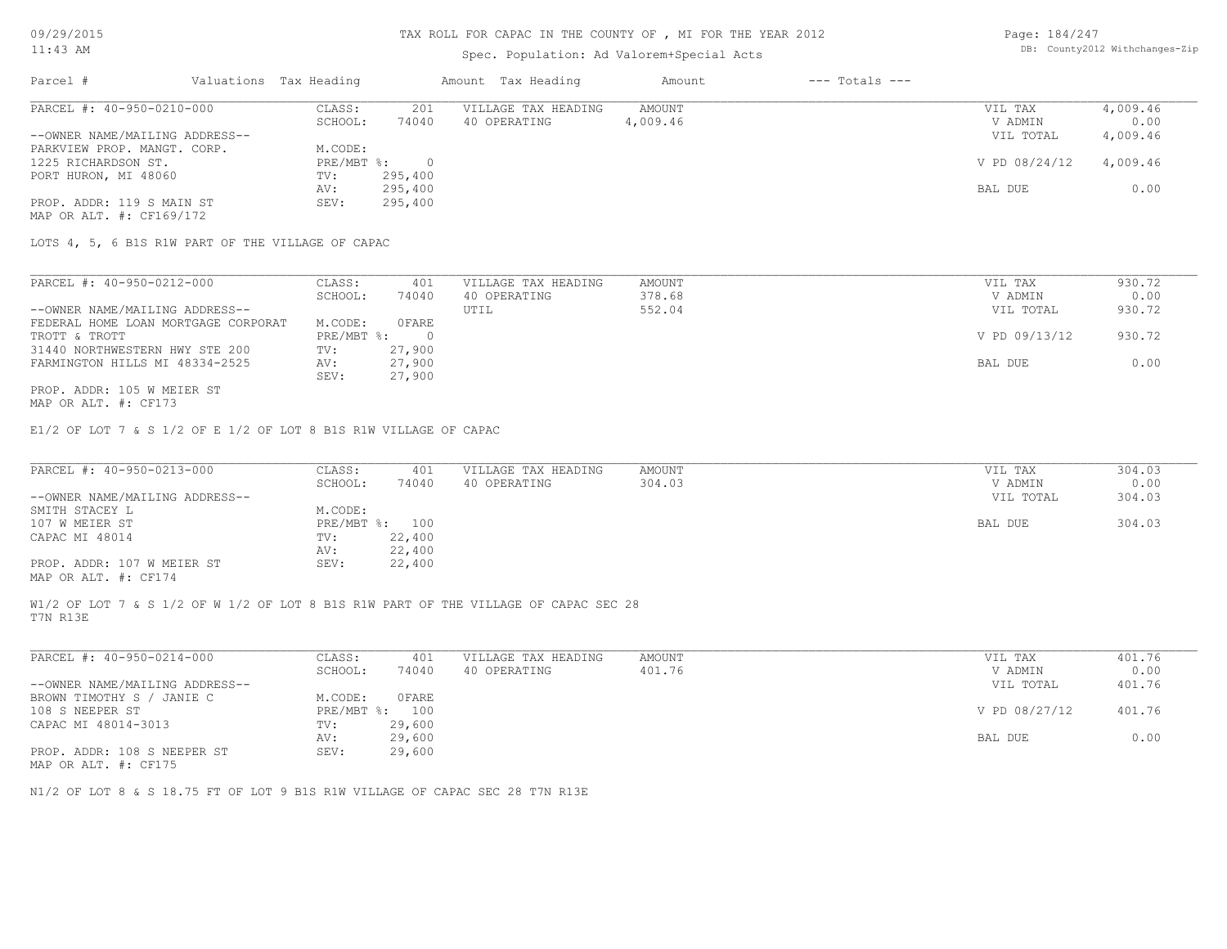## Spec. Population: Ad Valorem+Special Acts

| Page: 184/247 |                                |
|---------------|--------------------------------|
|               | DB: County2012 Withchanges-Zip |

| Parcel #                       | Valuations Tax Heading |         | Amount Tax Heading  | Amount   | $---$ Totals $---$ |               |          |
|--------------------------------|------------------------|---------|---------------------|----------|--------------------|---------------|----------|
| PARCEL #: 40-950-0210-000      | CLASS:                 | 201     | VILLAGE TAX HEADING | AMOUNT   |                    | VIL TAX       | 4,009.46 |
|                                | SCHOOL:                | 74040   | 40 OPERATING        | 4,009.46 |                    | V ADMIN       | 0.00     |
| --OWNER NAME/MAILING ADDRESS-- |                        |         |                     |          |                    | VIL TOTAL     | 4,009.46 |
| PARKVIEW PROP. MANGT. CORP.    | M.CODE:                |         |                     |          |                    |               |          |
| 1225 RICHARDSON ST.            | PRE/MBT %:             |         |                     |          |                    | V PD 08/24/12 | 4,009.46 |
| PORT HURON, MI 48060           | TV:                    | 295,400 |                     |          |                    |               |          |
|                                | AV:                    | 295,400 |                     |          |                    | BAL DUE       | 0.00     |
| PROP. ADDR: 119 S MAIN ST      | SEV:                   | 295,400 |                     |          |                    |               |          |
| MAP OR ALT. #: CF169/172       |                        |         |                     |          |                    |               |          |

LOTS 4, 5, 6 B1S R1W PART OF THE VILLAGE OF CAPAC

| PARCEL #: 40-950-0212-000           | CLASS:     | 401    | VILLAGE TAX HEADING | AMOUNT | VIL TAX       | 930.72 |
|-------------------------------------|------------|--------|---------------------|--------|---------------|--------|
|                                     | SCHOOL:    | 74040  | 40 OPERATING        | 378.68 | V ADMIN       | 0.00   |
| --OWNER NAME/MAILING ADDRESS--      |            |        | UTIL                | 552.04 | VIL TOTAL     | 930.72 |
| FEDERAL HOME LOAN MORTGAGE CORPORAT | M.CODE:    | OFARE  |                     |        |               |        |
| TROTT & TROTT                       | PRE/MBT %: |        |                     |        | V PD 09/13/12 | 930.72 |
| 31440 NORTHWESTERN HWY STE 200      | TV:        | 27,900 |                     |        |               |        |
| FARMINGTON HILLS MI 48334-2525      | AV:        | 27,900 |                     |        | BAL DUE       | 0.00   |
|                                     | SEV:       | 27,900 |                     |        |               |        |
| PROP. ADDR: 105 W MEIER ST          |            |        |                     |        |               |        |

MAP OR ALT. #: CF173

E1/2 OF LOT 7 & S 1/2 OF E 1/2 OF LOT 8 B1S R1W VILLAGE OF CAPAC

| PARCEL #: 40-950-0213-000      | CLASS:  | 401            | VILLAGE TAX HEADING | AMOUNT | VIL TAX   | 304.03 |
|--------------------------------|---------|----------------|---------------------|--------|-----------|--------|
|                                | SCHOOL: | 74040          | 40 OPERATING        | 304.03 | V ADMIN   | 0.00   |
| --OWNER NAME/MAILING ADDRESS-- |         |                |                     |        | VIL TOTAL | 304.03 |
| SMITH STACEY L                 | M.CODE: |                |                     |        |           |        |
| 107 W MEIER ST                 |         | PRE/MBT %: 100 |                     |        | BAL DUE   | 304.03 |
| CAPAC MI 48014                 | TV:     | 22,400         |                     |        |           |        |
|                                | AV:     | 22,400         |                     |        |           |        |
| PROP. ADDR: 107 W MEIER ST     | SEV:    | 22,400         |                     |        |           |        |
| MAP OR ALT. #: CF174           |         |                |                     |        |           |        |

T7N R13E W1/2 OF LOT 7 & S 1/2 OF W 1/2 OF LOT 8 B1S R1W PART OF THE VILLAGE OF CAPAC SEC 28

| PARCEL #: 40-950-0214-000      | CLASS:       | 401    | VILLAGE TAX HEADING | AMOUNT | VIL TAX       | 401.76 |
|--------------------------------|--------------|--------|---------------------|--------|---------------|--------|
|                                | SCHOOL:      | 74040  | 40 OPERATING        | 401.76 | V ADMIN       | 0.00   |
| --OWNER NAME/MAILING ADDRESS-- |              |        |                     |        | VIL TOTAL     | 401.76 |
| BROWN TIMOTHY S / JANIE C      | M.CODE:      | OFARE  |                     |        |               |        |
| 108 S NEEPER ST                | $PRE/MBT$ %: | 100    |                     |        | V PD 08/27/12 | 401.76 |
| CAPAC MI 48014-3013            | TV:          | 29,600 |                     |        |               |        |
|                                | AV:          | 29,600 |                     |        | BAL DUE       | 0.00   |
| PROP. ADDR: 108 S NEEPER ST    | SEV:         | 29,600 |                     |        |               |        |

MAP OR ALT. #: CF175

N1/2 OF LOT 8 & S 18.75 FT OF LOT 9 B1S R1W VILLAGE OF CAPAC SEC 28 T7N R13E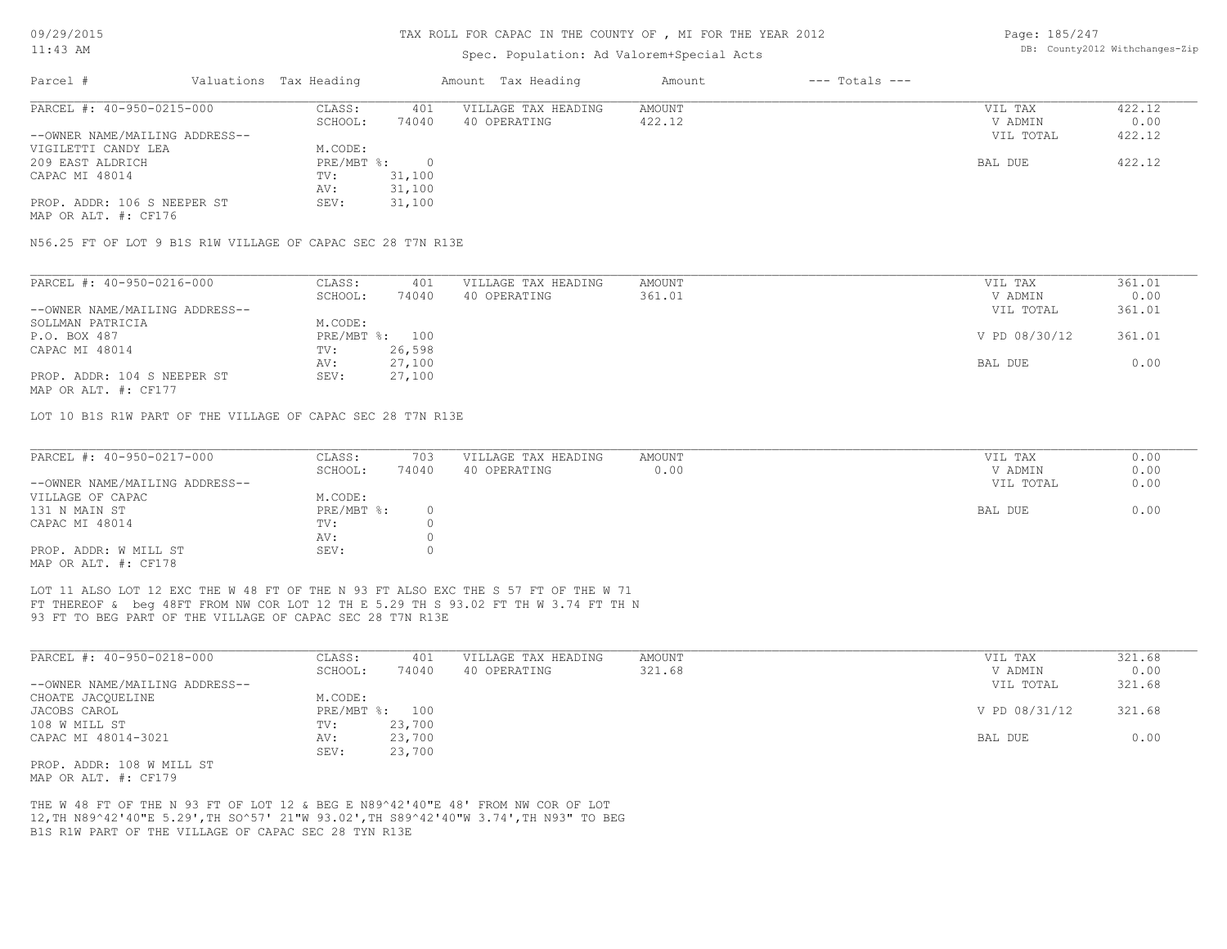#### TAX ROLL FOR CAPAC IN THE COUNTY OF , MI FOR THE YEAR 2012

### Spec. Population: Ad Valorem+Special Acts

Page: 185/247 DB: County2012 Withchanges-Zip

| Parcel #                       | Valuations Tax Heading | Amount Tax Heading |                     | Amount | $---$ Totals $---$ |           |        |
|--------------------------------|------------------------|--------------------|---------------------|--------|--------------------|-----------|--------|
| PARCEL #: 40-950-0215-000      | CLASS:                 | 401                | VILLAGE TAX HEADING | AMOUNT |                    | VIL TAX   | 422.12 |
|                                | SCHOOL:                | 74040              | 40 OPERATING        | 422.12 |                    | V ADMIN   | 0.00   |
| --OWNER NAME/MAILING ADDRESS-- |                        |                    |                     |        |                    | VIL TOTAL | 422.12 |
| VIGILETTI CANDY LEA            | M.CODE:                |                    |                     |        |                    |           |        |
| 209 EAST ALDRICH               | $PRE/MBT$ %:           | $\Omega$           |                     |        |                    | BAL DUE   | 422.12 |
| CAPAC MI 48014                 | TV:                    | 31,100             |                     |        |                    |           |        |
|                                | AV:                    | 31,100             |                     |        |                    |           |        |
| PROP. ADDR: 106 S NEEPER ST    | SEV:                   | 31,100             |                     |        |                    |           |        |
| MAP OR ALT. #: CF176           |                        |                    |                     |        |                    |           |        |
|                                |                        |                    |                     |        |                    |           |        |

N56.25 FT OF LOT 9 B1S R1W VILLAGE OF CAPAC SEC 28 T7N R13E

| PARCEL #: 40-950-0216-000      | CLASS:  | 401            | VILLAGE TAX HEADING | AMOUNT | VIL TAX       | 361.01 |
|--------------------------------|---------|----------------|---------------------|--------|---------------|--------|
|                                | SCHOOL: | 74040          | 40 OPERATING        | 361.01 | V ADMIN       | 0.00   |
| --OWNER NAME/MAILING ADDRESS-- |         |                |                     |        | VIL TOTAL     | 361.01 |
| SOLLMAN PATRICIA               | M.CODE: |                |                     |        |               |        |
| P.O. BOX 487                   |         | PRE/MBT %: 100 |                     |        | V PD 08/30/12 | 361.01 |
| CAPAC MI 48014                 | TV:     | 26,598         |                     |        |               |        |
|                                | AV:     | 27,100         |                     |        | BAL DUE       | 0.00   |
| PROP. ADDR: 104 S NEEPER ST    | SEV:    | 27,100         |                     |        |               |        |
| MAP OR ALT. #: CF177           |         |                |                     |        |               |        |

LOT 10 B1S R1W PART OF THE VILLAGE OF CAPAC SEC 28 T7N R13E

| PARCEL #: 40-950-0217-000      | CLASS:     | 703   | VILLAGE TAX HEADING | AMOUNT | VIL TAX   | 0.00 |
|--------------------------------|------------|-------|---------------------|--------|-----------|------|
|                                | SCHOOL:    | 74040 | 40 OPERATING        | 0.00   | V ADMIN   | 0.00 |
| --OWNER NAME/MAILING ADDRESS-- |            |       |                     |        | VIL TOTAL | 0.00 |
| VILLAGE OF CAPAC               | M.CODE:    |       |                     |        |           |      |
| 131 N MAIN ST                  | PRE/MBT %: |       |                     |        | BAL DUE   | 0.00 |
| CAPAC MI 48014                 | TV:        |       |                     |        |           |      |
|                                | AV:        |       |                     |        |           |      |
| PROP. ADDR: W MILL ST          | SEV:       |       |                     |        |           |      |
| MAD OD ATTL # + CE178          |            |       |                     |        |           |      |

 $\mathcal{L}_\mathcal{L} = \mathcal{L}_\mathcal{L} = \mathcal{L}_\mathcal{L} = \mathcal{L}_\mathcal{L} = \mathcal{L}_\mathcal{L} = \mathcal{L}_\mathcal{L} = \mathcal{L}_\mathcal{L} = \mathcal{L}_\mathcal{L} = \mathcal{L}_\mathcal{L} = \mathcal{L}_\mathcal{L} = \mathcal{L}_\mathcal{L} = \mathcal{L}_\mathcal{L} = \mathcal{L}_\mathcal{L} = \mathcal{L}_\mathcal{L} = \mathcal{L}_\mathcal{L} = \mathcal{L}_\mathcal{L} = \mathcal{L}_\mathcal{L}$ 

MAP OR ALT. #: CF178

93 FT TO BEG PART OF THE VILLAGE OF CAPAC SEC 28 T7N R13E FT THEREOF & beg 48FT FROM NW COR LOT 12 TH E 5.29 TH S 93.02 FT TH W 3.74 FT TH N LOT 11 ALSO LOT 12 EXC THE W 48 FT OF THE N 93 FT ALSO EXC THE S 57 FT OF THE W 71

| PARCEL #: 40-950-0218-000      | CLASS:     | 401    | VILLAGE TAX HEADING | AMOUNT | VIL TAX       | 321.68 |
|--------------------------------|------------|--------|---------------------|--------|---------------|--------|
|                                | SCHOOL:    | 74040  | 40 OPERATING        | 321.68 | V ADMIN       | 0.00   |
| --OWNER NAME/MAILING ADDRESS-- |            |        |                     |        | VIL TOTAL     | 321.68 |
| CHOATE JACOUELINE              | M.CODE:    |        |                     |        |               |        |
| JACOBS CAROL                   | PRE/MBT %: | 100    |                     |        | V PD 08/31/12 | 321.68 |
| 108 W MILL ST                  | TV:        | 23,700 |                     |        |               |        |
| CAPAC MI 48014-3021            | AV:        | 23,700 |                     |        | BAL DUE       | 0.00   |
|                                | SEV:       | 23,700 |                     |        |               |        |
| PROP. ADDR: 108 W MILL ST      |            |        |                     |        |               |        |

MAP OR ALT. #: CF179

B1S R1W PART OF THE VILLAGE OF CAPAC SEC 28 TYN R13E 12,TH N89^42'40"E 5.29',TH SO^57' 21"W 93.02',TH S89^42'40"W 3.74',TH N93" TO BEG THE W 48 FT OF THE N 93 FT OF LOT 12 & BEG E N89^42'40"E 48' FROM NW COR OF LOT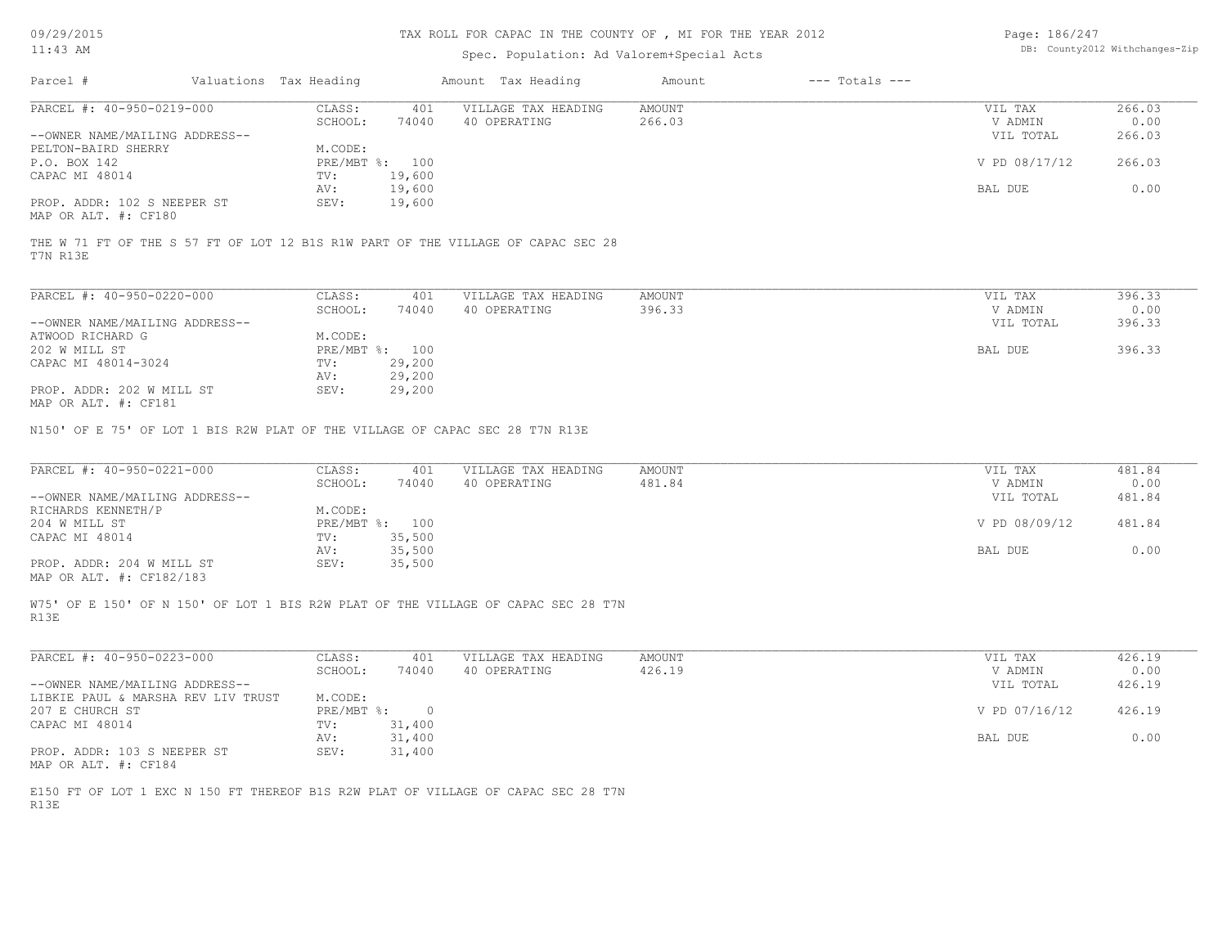09/29/2015

## TAX ROLL FOR CAPAC IN THE COUNTY OF , MI FOR THE YEAR 2012

| Page: 186/247 |                                |
|---------------|--------------------------------|
|               | DB: County2012 Withchanges-Zip |

| UY/29/2015<br>$11:43$ AM                                                                     |                        | TAX ROLL FOR CAPAC IN THE COUNTY OF , MI FOR THE YEAR ZUIZ | Page: $186/Z4/$<br>DB: County2012 Withchanges-Zip |                         |                    |                      |                |
|----------------------------------------------------------------------------------------------|------------------------|------------------------------------------------------------|---------------------------------------------------|-------------------------|--------------------|----------------------|----------------|
| Parcel #                                                                                     | Valuations Tax Heading |                                                            | Amount Tax Heading                                | Amount                  | $---$ Totals $---$ |                      |                |
| PARCEL #: 40-950-0219-000                                                                    | CLASS:<br>SCHOOL:      | 401<br>74040                                               | VILLAGE TAX HEADING<br>40 OPERATING               | <b>AMOUNT</b><br>266.03 |                    | VIL TAX<br>V ADMIN   | 266.03<br>0.00 |
| --OWNER NAME/MAILING ADDRESS--<br>PELTON-BAIRD SHERRY                                        | M.CODE:                |                                                            |                                                   |                         |                    | VIL TOTAL            | 266.03         |
| P.O. BOX 142                                                                                 | PRE/MBT %: 100         |                                                            |                                                   |                         |                    | V PD 08/17/12        | 266.03         |
| CAPAC MI 48014                                                                               | TV:<br>AV:             | 19,600<br>19,600                                           |                                                   |                         |                    | BAL DUE              | 0.00           |
| PROP. ADDR: 102 S NEEPER ST<br>MAP OR ALT. #: CF180                                          | SEV:                   | 19,600                                                     |                                                   |                         |                    |                      |                |
| THE W 71 FT OF THE S 57 FT OF LOT 12 B1S R1W PART OF THE VILLAGE OF CAPAC SEC 28<br>T7N R13E |                        |                                                            |                                                   |                         |                    |                      |                |
| PARCEL #: 40-950-0220-000                                                                    | CLASS:                 | 401                                                        | VILLAGE TAX HEADING                               | <b>AMOUNT</b>           |                    | VIL TAX              | 396.33         |
| --OWNER NAME/MAILING ADDRESS--                                                               | SCHOOL:                | 74040                                                      | 40 OPERATING                                      | 396.33                  |                    | V ADMIN<br>VIL TOTAL | 0.00<br>396.33 |
| ATWOOD RICHARD G                                                                             | M.CODE:                |                                                            |                                                   |                         |                    |                      |                |
| 202 W MILL ST                                                                                | PRE/MBT %: 100         |                                                            |                                                   |                         |                    | BAL DUE              | 396.33         |
| CAPAC MI 48014-3024                                                                          | TV:                    | 29,200                                                     |                                                   |                         |                    |                      |                |
| PROP. ADDR: 202 W MILL ST                                                                    | AV:<br>SEV:            | 29,200<br>29,200                                           |                                                   |                         |                    |                      |                |
| MAP OR ALT. #: CF181                                                                         |                        |                                                            |                                                   |                         |                    |                      |                |
| PARCEL #: 40-950-0221-000                                                                    | CLASS:<br>SCHOOL:      | 401<br>74040                                               | VILLAGE TAX HEADING<br>40 OPERATING               | <b>AMOUNT</b><br>481.84 |                    | VIL TAX<br>V ADMIN   | 481.84<br>0.00 |
| --OWNER NAME/MAILING ADDRESS--<br>RICHARDS KENNETH/P                                         | M.CODE:                |                                                            |                                                   |                         |                    | VIL TOTAL            | 481.84         |
| 204 W MILL ST<br>CAPAC MI 48014                                                              | PRE/MBT %: 100<br>TV:  | 35,500                                                     |                                                   |                         |                    | V PD 08/09/12        | 481.84         |
|                                                                                              | AV:                    | 35,500                                                     |                                                   |                         |                    | BAL DUE              | 0.00           |
| PROP. ADDR: 204 W MILL ST<br>MAP OR ALT. #: CF182/183                                        | SEV:                   | 35,500                                                     |                                                   |                         |                    |                      |                |
| W75' OF E 150' OF N 150' OF LOT 1 BIS R2W PLAT OF THE VILLAGE OF CAPAC SEC 28 T7N<br>R13E    |                        |                                                            |                                                   |                         |                    |                      |                |
| PARCEL #: 40-950-0223-000                                                                    | CLASS:                 | 401                                                        | VILLAGE TAX HEADING                               | <b>AMOUNT</b>           |                    | VIL TAX              | 426.19         |
|                                                                                              | SCHOOL:                | 74040                                                      | 40 OPERATING                                      | 426.19                  |                    | V ADMIN              | 0.00           |
| --OWNER NAME/MAILING ADDRESS--<br>LIBKIE PAUL & MARSHA REV LIV TRUST                         | M.CODE:                |                                                            |                                                   |                         |                    | VIL TOTAL            | 426.19         |
| 207 E CHURCH ST                                                                              | PRE/MBT %:             | $\overline{0}$                                             |                                                   |                         |                    | V PD 07/16/12        | 426.19         |
| CAPAC MI 48014                                                                               | TV:                    | 31,400                                                     |                                                   |                         |                    |                      |                |
| PROP. ADDR: 103 S NEEPER ST                                                                  | AV:<br>SEV:            | 31,400<br>31,400                                           |                                                   |                         |                    | BAL DUE              | 0.00           |
| MAP OR ALT. #: CF184                                                                         |                        |                                                            |                                                   |                         |                    |                      |                |
| E150 FT OF LOT 1 EXC N 150 FT THEREOF B1S R2W PLAT OF VILLAGE OF CAPAC SEC 28 T7N<br>R13E    |                        |                                                            |                                                   |                         |                    |                      |                |
|                                                                                              |                        |                                                            |                                                   |                         |                    |                      |                |
|                                                                                              |                        |                                                            |                                                   |                         |                    |                      |                |
|                                                                                              |                        |                                                            |                                                   |                         |                    |                      |                |
|                                                                                              |                        |                                                            |                                                   |                         |                    |                      |                |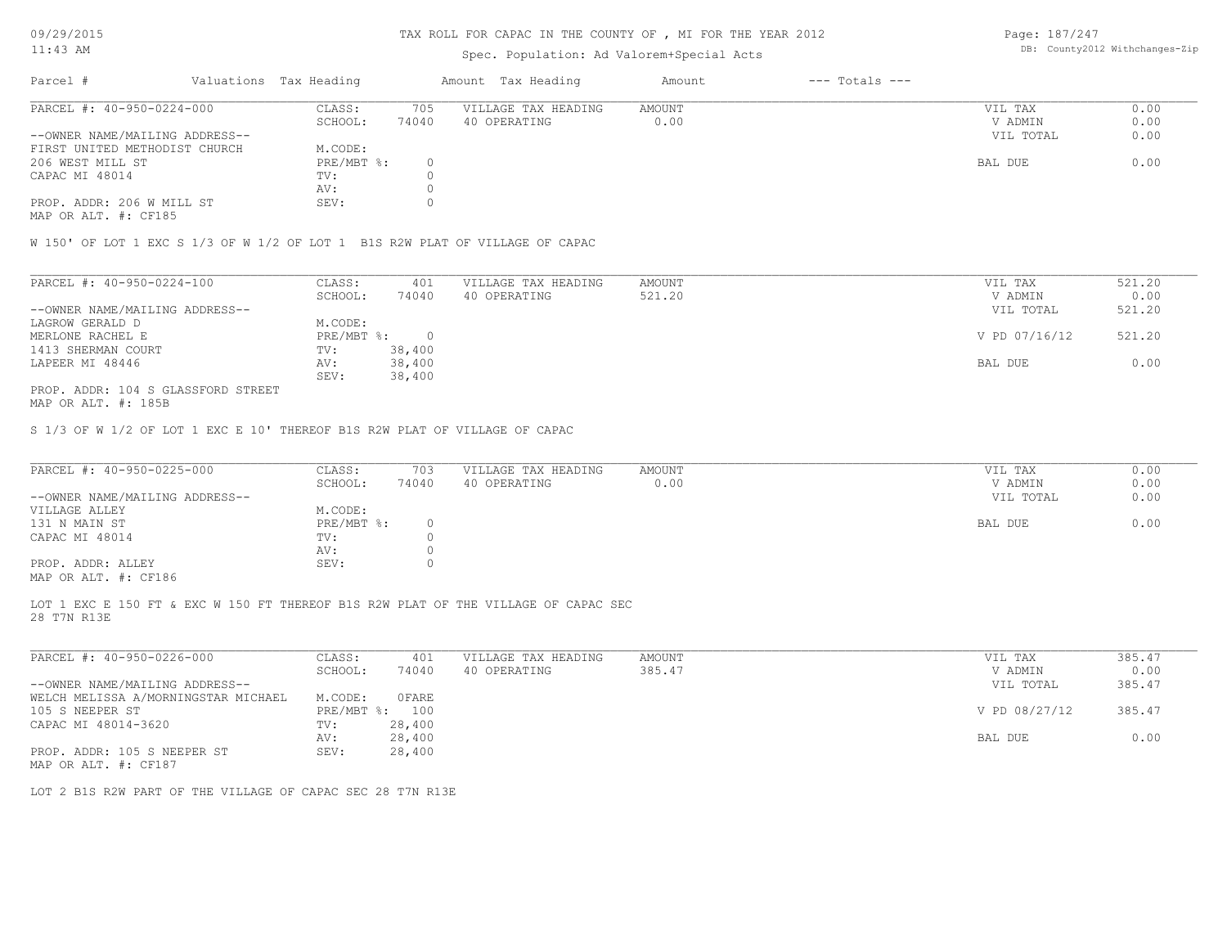### TAX ROLL FOR CAPAC IN THE COUNTY OF , MI FOR THE YEAR 2012

## Spec. Population: Ad Valorem+Special Acts

Page: 187/247 DB: County2012 Withchanges-Zip

| Parcel #<br>Valuations Tax Heading |              |       | Amount Tax Heading  | Amount | $---$ Totals $---$ |           |      |
|------------------------------------|--------------|-------|---------------------|--------|--------------------|-----------|------|
| PARCEL #: 40-950-0224-000          | CLASS:       | 705   | VILLAGE TAX HEADING | AMOUNT |                    | VIL TAX   | 0.00 |
|                                    | SCHOOL:      | 74040 | 40 OPERATING        | 0.00   |                    | V ADMIN   | 0.00 |
| --OWNER NAME/MAILING ADDRESS--     |              |       |                     |        |                    | VIL TOTAL | 0.00 |
| FIRST UNITED METHODIST CHURCH      | M.CODE:      |       |                     |        |                    |           |      |
| 206 WEST MILL ST                   | $PRE/MBT$ %: |       |                     |        |                    | BAL DUE   | 0.00 |
| CAPAC MI 48014                     | TV:          |       |                     |        |                    |           |      |
|                                    | AV:          |       |                     |        |                    |           |      |
| PROP. ADDR: 206 W MILL ST          | SEV:         |       |                     |        |                    |           |      |

MAP OR ALT. #: CF185

W 150' OF LOT 1 EXC S 1/3 OF W 1/2 OF LOT 1 B1S R2W PLAT OF VILLAGE OF CAPAC

| PARCEL #: 40-950-0224-100          | CLASS:     | 401    | VILLAGE TAX HEADING | AMOUNT | VIL TAX       | 521.20 |
|------------------------------------|------------|--------|---------------------|--------|---------------|--------|
|                                    | SCHOOL:    | 74040  | 40 OPERATING        | 521.20 | V ADMIN       | 0.00   |
| --OWNER NAME/MAILING ADDRESS--     |            |        |                     |        | VIL TOTAL     | 521.20 |
| LAGROW GERALD D                    | M.CODE:    |        |                     |        |               |        |
| MERLONE RACHEL E                   | PRE/MBT %: |        |                     |        | V PD 07/16/12 | 521.20 |
| 1413 SHERMAN COURT                 | TV:        | 38,400 |                     |        |               |        |
| LAPEER MI 48446                    | AV:        | 38,400 |                     |        | BAL DUE       | 0.00   |
|                                    | SEV:       | 38,400 |                     |        |               |        |
| PROP. ADDR: 104 S GLASSFORD STREET |            |        |                     |        |               |        |

MAP OR ALT. #: 185B

S 1/3 OF W 1/2 OF LOT 1 EXC E 10' THEREOF B1S R2W PLAT OF VILLAGE OF CAPAC

| PARCEL #: 40-950-0225-000                    | CLASS:     | 703   | VILLAGE TAX HEADING | AMOUNT | VIL TAX   | 0.00 |
|----------------------------------------------|------------|-------|---------------------|--------|-----------|------|
|                                              | SCHOOL:    | 74040 | 40 OPERATING        | 0.00   | V ADMIN   | 0.00 |
| --OWNER NAME/MAILING ADDRESS--               |            |       |                     |        | VIL TOTAL | 0.00 |
| VILLAGE ALLEY                                | M.CODE:    |       |                     |        |           |      |
| 131 N MAIN ST                                | PRE/MBT %: |       |                     |        | BAL DUE   | 0.00 |
| CAPAC MI 48014                               | TV:        |       |                     |        |           |      |
|                                              | AV:        |       |                     |        |           |      |
| PROP. ADDR: ALLEY                            | SEV:       |       |                     |        |           |      |
| $\cdots$ $\cdots$ $\cdots$ $\cdots$ $\cdots$ |            |       |                     |        |           |      |

MAP OR ALT. #: CF186

28 T7N R13E LOT 1 EXC E 150 FT & EXC W 150 FT THEREOF B1S R2W PLAT OF THE VILLAGE OF CAPAC SEC

| PARCEL #: 40-950-0226-000           | CLASS:     | 401    | VILLAGE TAX HEADING | AMOUNT | VIL TAX       | 385.47 |
|-------------------------------------|------------|--------|---------------------|--------|---------------|--------|
|                                     | SCHOOL:    | 74040  | 40 OPERATING        | 385.47 | V ADMIN       | 0.00   |
| --OWNER NAME/MAILING ADDRESS--      |            |        |                     |        | VIL TOTAL     | 385.47 |
| WELCH MELISSA A/MORNINGSTAR MICHAEL | M.CODE:    | OFARE  |                     |        |               |        |
| 105 S NEEPER ST                     | PRE/MBT %: | 100    |                     |        | V PD 08/27/12 | 385.47 |
| CAPAC MI 48014-3620                 | TV:        | 28,400 |                     |        |               |        |
|                                     | AV:        | 28,400 |                     |        | BAL DUE       | 0.00   |
| PROP. ADDR: 105 S NEEPER ST         | SEV:       | 28,400 |                     |        |               |        |
| MAP OR ALT. #: CF187                |            |        |                     |        |               |        |

LOT 2 B1S R2W PART OF THE VILLAGE OF CAPAC SEC 28 T7N R13E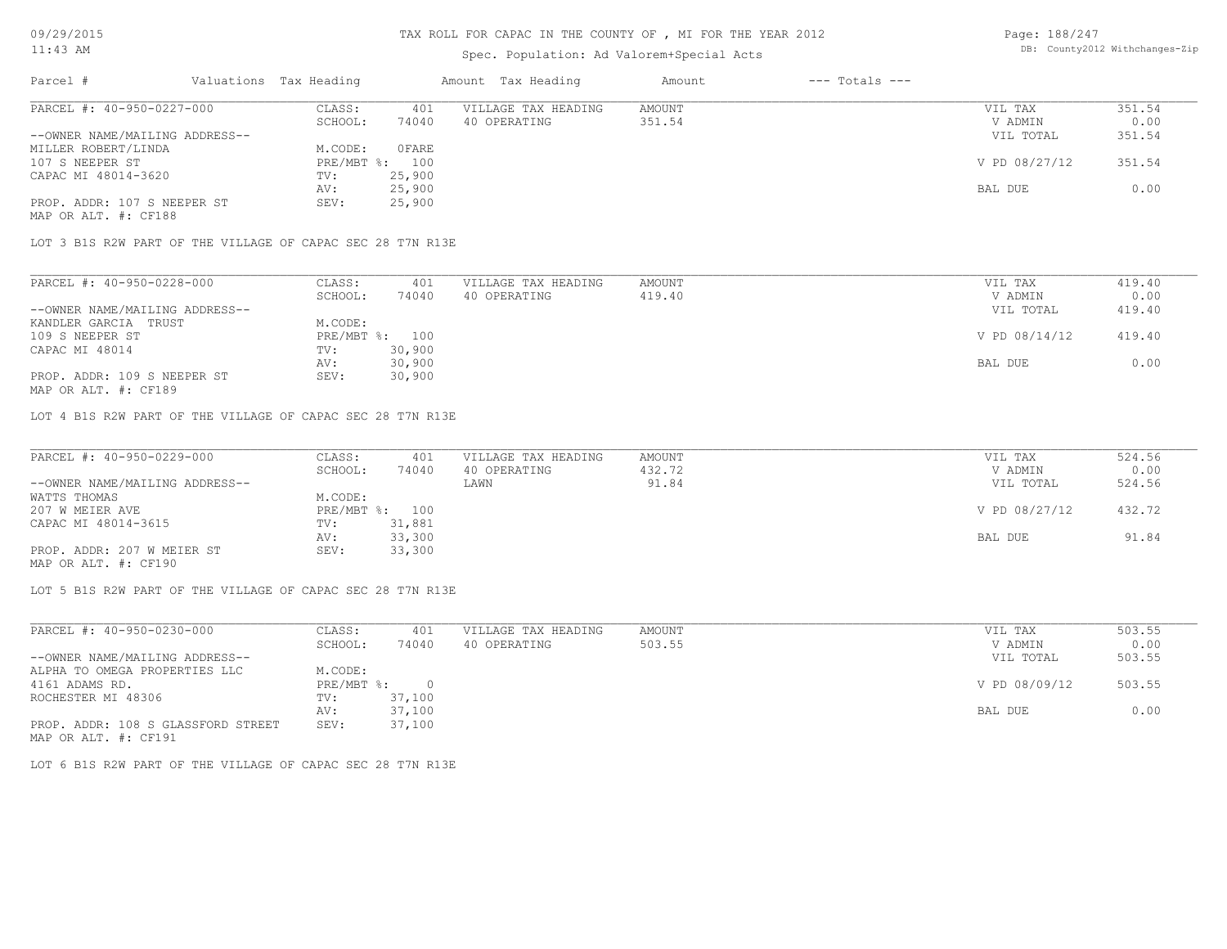## Spec. Population: Ad Valorem+Special Acts

| Page: 188/247 |                                |
|---------------|--------------------------------|
|               | DB: County2012 Withchanges-Zip |

| Parcel #                       | Valuations Tax Heading |        | Amount Tax Heading  | Amount | $---$ Totals $---$ |               |        |
|--------------------------------|------------------------|--------|---------------------|--------|--------------------|---------------|--------|
| PARCEL #: 40-950-0227-000      | CLASS:                 | 401    | VILLAGE TAX HEADING | AMOUNT |                    | VIL TAX       | 351.54 |
|                                | SCHOOL:                | 74040  | 40 OPERATING        | 351.54 |                    | V ADMIN       | 0.00   |
| --OWNER NAME/MAILING ADDRESS-- |                        |        |                     |        |                    | VIL TOTAL     | 351.54 |
| MILLER ROBERT/LINDA            | M.CODE:                | OFARE  |                     |        |                    |               |        |
| 107 S NEEPER ST                | PRE/MBT %: 100         |        |                     |        |                    | V PD 08/27/12 | 351.54 |
| CAPAC MI 48014-3620            | TV:                    | 25,900 |                     |        |                    |               |        |
|                                | AV:                    | 25,900 |                     |        |                    | BAL DUE       | 0.00   |
| PROP. ADDR: 107 S NEEPER ST    | SEV:                   | 25,900 |                     |        |                    |               |        |
|                                |                        |        |                     |        |                    |               |        |

MAP OR ALT. #: CF188

LOT 3 B1S R2W PART OF THE VILLAGE OF CAPAC SEC 28 T7N R13E

| SCHOOL:<br>74040<br>419.40<br>40 OPERATING<br>M.CODE:<br>PRE/MBT %: 100 | V ADMIN<br>VIL TOTAL | 0.00<br>419.40 |
|-------------------------------------------------------------------------|----------------------|----------------|
| --OWNER NAME/MAILING ADDRESS--                                          |                      |                |
| KANDLER GARCIA TRUST<br>109 S NEEPER ST                                 |                      |                |
|                                                                         |                      |                |
|                                                                         | V PD 08/14/12        | 419.40         |
| 30,900<br>CAPAC MI 48014<br>TV:                                         |                      |                |
| 30,900<br>AV:                                                           | BAL DUE              | 0.00           |
| PROP. ADDR: 109 S NEEPER ST<br>30,900<br>SEV:                           |                      |                |

MAP OR ALT. #: CF189

LOT 4 B1S R2W PART OF THE VILLAGE OF CAPAC SEC 28 T7N R13E

| PARCEL #: 40-950-0229-000      | CLASS:  | 401            | VILLAGE TAX HEADING | AMOUNT | VIL TAX       | 524.56 |
|--------------------------------|---------|----------------|---------------------|--------|---------------|--------|
|                                | SCHOOL: | 74040          | 40 OPERATING        | 432.72 | V ADMIN       | 0.00   |
| --OWNER NAME/MAILING ADDRESS-- |         |                | LAWN                | 91.84  | VIL TOTAL     | 524.56 |
| WATTS THOMAS                   | M.CODE: |                |                     |        |               |        |
| 207 W MEIER AVE                |         | PRE/MBT %: 100 |                     |        | V PD 08/27/12 | 432.72 |
| CAPAC MI 48014-3615            | TV:     | 31,881         |                     |        |               |        |
|                                | AV:     | 33,300         |                     |        | BAL DUE       | 91.84  |
| PROP. ADDR: 207 W MEIER ST     | SEV:    | 33,300         |                     |        |               |        |
| MAP OR ALT. #: CF190           |         |                |                     |        |               |        |

LOT 5 B1S R2W PART OF THE VILLAGE OF CAPAC SEC 28 T7N R13E

| PARCEL #: 40-950-0230-000          | CLASS:     | 401      | VILLAGE TAX HEADING | AMOUNT | VIL TAX       | 503.55 |
|------------------------------------|------------|----------|---------------------|--------|---------------|--------|
|                                    | SCHOOL:    | 74040    | 40 OPERATING        | 503.55 | V ADMIN       | 0.00   |
| --OWNER NAME/MAILING ADDRESS--     |            |          |                     |        | VIL TOTAL     | 503.55 |
| ALPHA TO OMEGA PROPERTIES LLC      | M.CODE:    |          |                     |        |               |        |
| 4161 ADAMS RD.                     | PRE/MBT %: | $\Omega$ |                     |        | V PD 08/09/12 | 503.55 |
| ROCHESTER MI 48306                 | TV:        | 37,100   |                     |        |               |        |
|                                    | AV:        | 37,100   |                     |        | BAL DUE       | 0.00   |
| PROP. ADDR: 108 S GLASSFORD STREET | SEV:       | 37,100   |                     |        |               |        |
| MAP OR ALT. #: CF191               |            |          |                     |        |               |        |

LOT 6 B1S R2W PART OF THE VILLAGE OF CAPAC SEC 28 T7N R13E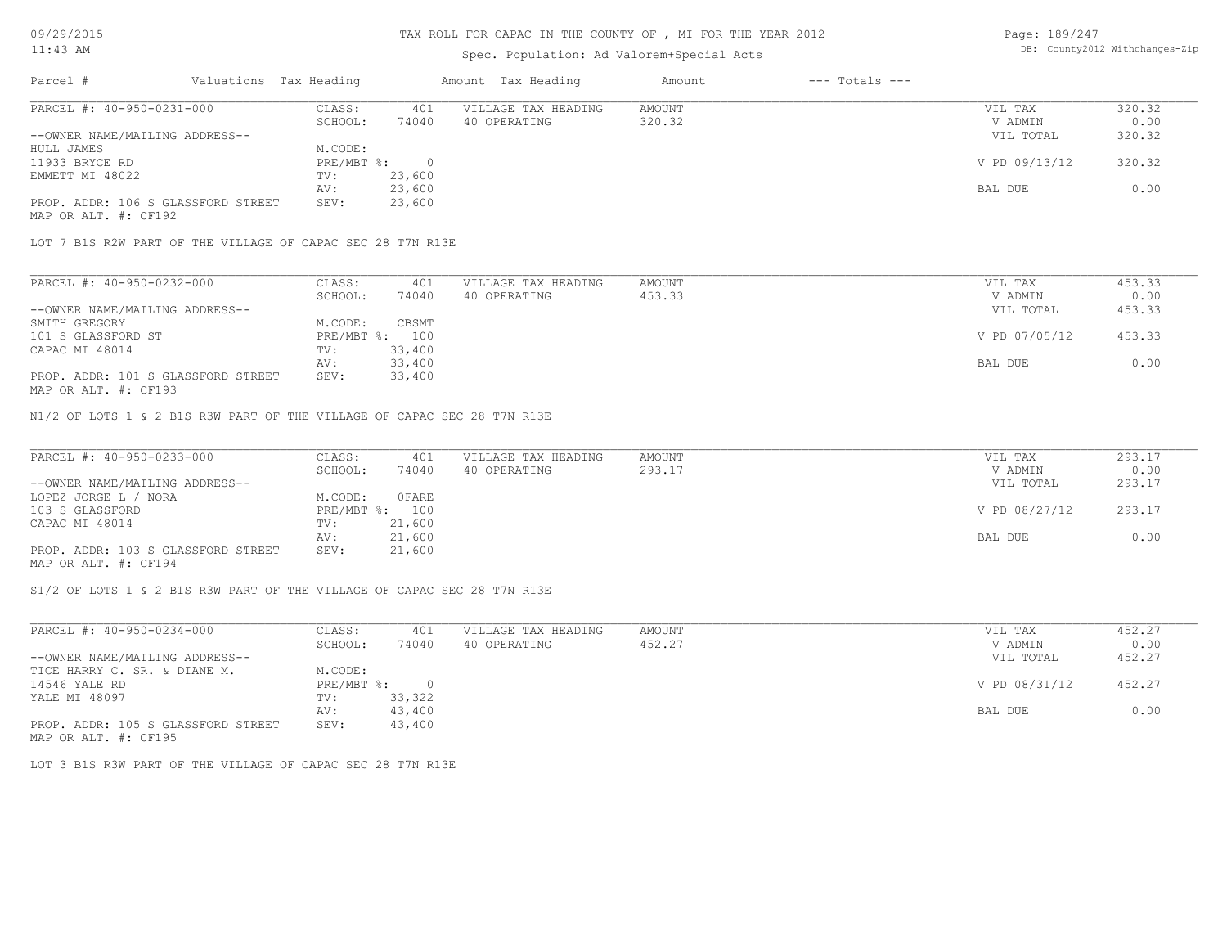### TAX ROLL FOR CAPAC IN THE COUNTY OF , MI FOR THE YEAR 2012

### Spec. Population: Ad Valorem+Special Acts

| Page: 189/247 |                                |
|---------------|--------------------------------|
|               | DB: County2012 Withchanges-Zip |

| Parcel #                           | Valuations Tax Heading |        | Amount Tax Heading  | Amount | $---$ Totals $---$ |               |        |
|------------------------------------|------------------------|--------|---------------------|--------|--------------------|---------------|--------|
| PARCEL #: 40-950-0231-000          | CLASS:                 | 401    | VILLAGE TAX HEADING | AMOUNT |                    | VIL TAX       | 320.32 |
|                                    | SCHOOL:                | 74040  | 40 OPERATING        | 320.32 |                    | V ADMIN       | 0.00   |
| --OWNER NAME/MAILING ADDRESS--     |                        |        |                     |        |                    | VIL TOTAL     | 320.32 |
| HULL JAMES                         | M.CODE:                |        |                     |        |                    |               |        |
| 11933 BRYCE RD                     | $PRE/MBT$ %:           |        |                     |        |                    | V PD 09/13/12 | 320.32 |
| EMMETT MI 48022                    | TV:                    | 23,600 |                     |        |                    |               |        |
|                                    | AV:                    | 23,600 |                     |        |                    | BAL DUE       | 0.00   |
| PROP. ADDR: 106 S GLASSFORD STREET | SEV:                   | 23,600 |                     |        |                    |               |        |
|                                    |                        |        |                     |        |                    |               |        |

MAP OR ALT. #: CF192

LOT 7 B1S R2W PART OF THE VILLAGE OF CAPAC SEC 28 T7N R13E

| PARCEL #: 40-950-0232-000          | CLASS:  | 401            | VILLAGE TAX HEADING | AMOUNT | VIL TAX       | 453.33 |
|------------------------------------|---------|----------------|---------------------|--------|---------------|--------|
|                                    | SCHOOL: | 74040          | 40 OPERATING        | 453.33 | V ADMIN       | 0.00   |
| --OWNER NAME/MAILING ADDRESS--     |         |                |                     |        | VIL TOTAL     | 453.33 |
| SMITH GREGORY                      | M.CODE: | CBSMT          |                     |        |               |        |
| 101 S GLASSFORD ST                 |         | PRE/MBT %: 100 |                     |        | V PD 07/05/12 | 453.33 |
| CAPAC MI 48014                     | TV:     | 33,400         |                     |        |               |        |
|                                    | AV:     | 33,400         |                     |        | BAL DUE       | 0.00   |
| PROP. ADDR: 101 S GLASSFORD STREET | SEV:    | 33,400         |                     |        |               |        |
|                                    |         |                |                     |        |               |        |

MAP OR ALT. #: CF193

N1/2 OF LOTS 1 & 2 B1S R3W PART OF THE VILLAGE OF CAPAC SEC 28 T7N R13E

| PARCEL #: 40-950-0233-000          | CLASS:  | 401            | VILLAGE TAX HEADING | AMOUNT | VIL TAX       | 293.17 |
|------------------------------------|---------|----------------|---------------------|--------|---------------|--------|
|                                    | SCHOOL: | 74040          | 40 OPERATING        | 293.17 | V ADMIN       | 0.00   |
| --OWNER NAME/MAILING ADDRESS--     |         |                |                     |        | VIL TOTAL     | 293.17 |
| LOPEZ JORGE L / NORA               | M.CODE: | OFARE          |                     |        |               |        |
| 103 S GLASSFORD                    |         | PRE/MBT %: 100 |                     |        | V PD 08/27/12 | 293.17 |
| CAPAC MI 48014                     | TV:     | 21,600         |                     |        |               |        |
|                                    | AV:     | 21,600         |                     |        | BAL DUE       | 0.00   |
| PROP. ADDR: 103 S GLASSFORD STREET | SEV:    | 21,600         |                     |        |               |        |
| MAP OR ALT. #: CF194               |         |                |                     |        |               |        |

S1/2 OF LOTS 1 & 2 B1S R3W PART OF THE VILLAGE OF CAPAC SEC 28 T7N R13E

| PARCEL #: 40-950-0234-000          | CLASS:     | 401    | VILLAGE TAX HEADING | AMOUNT | VIL TAX       | 452.27 |
|------------------------------------|------------|--------|---------------------|--------|---------------|--------|
|                                    | SCHOOL:    | 74040  | 40 OPERATING        | 452.27 | V ADMIN       | 0.00   |
| --OWNER NAME/MAILING ADDRESS--     |            |        |                     |        | VIL TOTAL     | 452.27 |
| TICE HARRY C. SR. & DIANE M.       | M.CODE:    |        |                     |        |               |        |
| 14546 YALE RD                      | PRE/MBT %: |        |                     |        | V PD 08/31/12 | 452.27 |
| YALE MI 48097                      | TV:        | 33,322 |                     |        |               |        |
|                                    | AV:        | 43,400 |                     |        | BAL DUE       | 0.00   |
| PROP. ADDR: 105 S GLASSFORD STREET | SEV:       | 43,400 |                     |        |               |        |
| MAP OR ALT. #: CF195               |            |        |                     |        |               |        |

LOT 3 B1S R3W PART OF THE VILLAGE OF CAPAC SEC 28 T7N R13E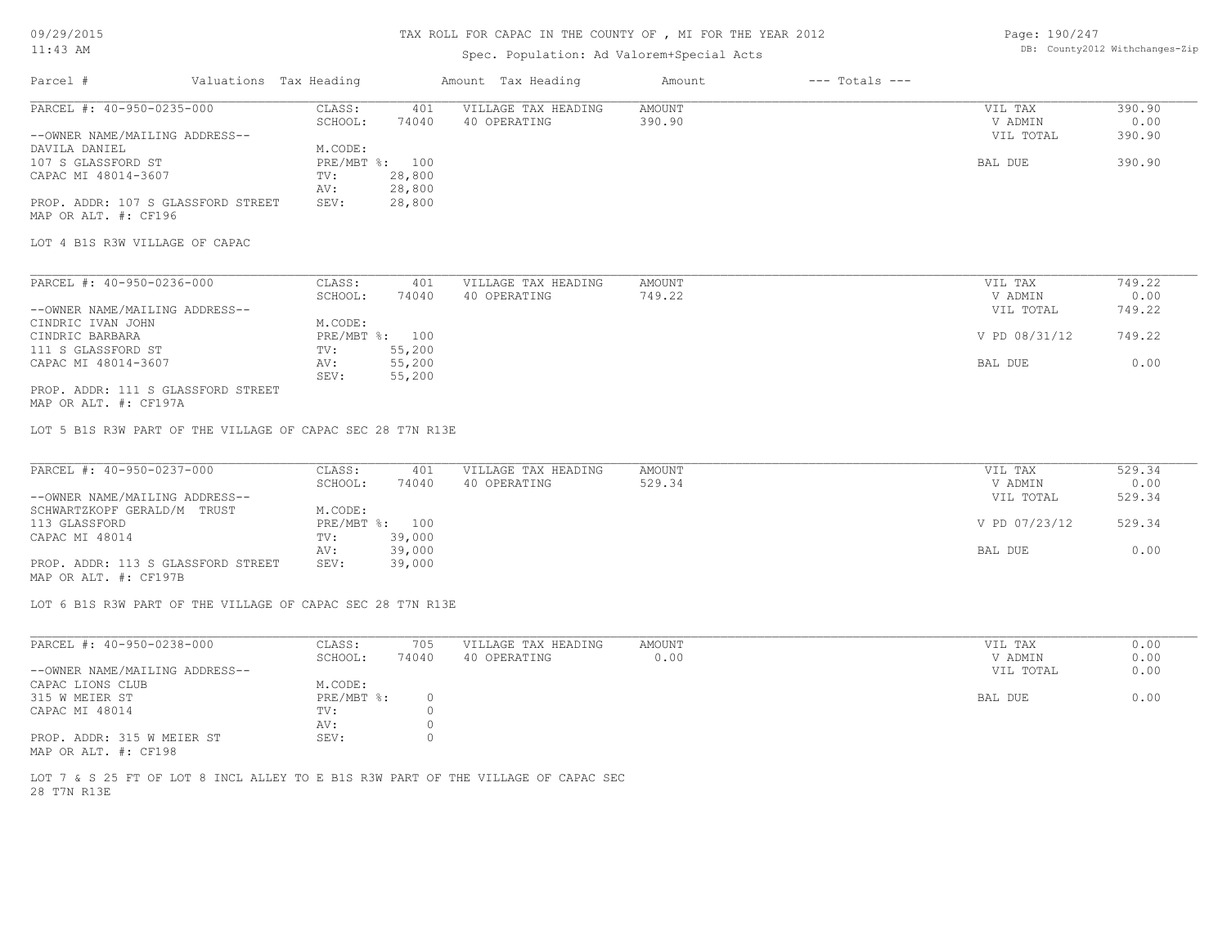09/29/2015

#### TAX ROLL FOR CAPAC IN THE COUNTY OF , MI FOR THE YEAR 2012

Page: 190/247

| $11:43$ AM                                                  |                        |                | TAX ROLL FOR CAPAC IN THE COUNTY OF , MI FOR THE YEAR 2012 |               |                    | Page: 190/247 |                                |
|-------------------------------------------------------------|------------------------|----------------|------------------------------------------------------------|---------------|--------------------|---------------|--------------------------------|
|                                                             |                        |                | Spec. Population: Ad Valorem+Special Acts                  |               |                    |               | DB: County2012 Withchanges-Zip |
| Parcel #                                                    | Valuations Tax Heading |                | Amount Tax Heading                                         | Amount        | $---$ Totals $---$ |               |                                |
| PARCEL #: 40-950-0235-000                                   | CLASS:                 | 401            | VILLAGE TAX HEADING                                        | <b>AMOUNT</b> |                    | VIL TAX       | 390.90                         |
|                                                             | SCHOOL:                | 74040          | 40 OPERATING                                               | 390.90        |                    | V ADMIN       | 0.00                           |
| --OWNER NAME/MAILING ADDRESS--                              |                        |                |                                                            |               |                    | VIL TOTAL     | 390.90                         |
| DAVILA DANIEL                                               | M.CODE:                |                |                                                            |               |                    |               |                                |
| 107 S GLASSFORD ST                                          |                        | PRE/MBT %: 100 |                                                            |               |                    | BAL DUE       | 390.90                         |
| CAPAC MI 48014-3607                                         | TV:                    | 28,800         |                                                            |               |                    |               |                                |
|                                                             | AV:                    | 28,800         |                                                            |               |                    |               |                                |
| PROP. ADDR: 107 S GLASSFORD STREET                          | SEV:                   | 28,800         |                                                            |               |                    |               |                                |
| MAP OR ALT. #: CF196                                        |                        |                |                                                            |               |                    |               |                                |
|                                                             |                        |                |                                                            |               |                    |               |                                |
| LOT 4 B1S R3W VILLAGE OF CAPAC                              |                        |                |                                                            |               |                    |               |                                |
|                                                             |                        |                |                                                            |               |                    |               |                                |
| PARCEL #: 40-950-0236-000                                   | CLASS:                 | 401            | VILLAGE TAX HEADING                                        | <b>AMOUNT</b> |                    | VIL TAX       | 749.22                         |
|                                                             | SCHOOL:                | 74040          | 40 OPERATING                                               | 749.22        |                    | V ADMIN       | 0.00                           |
| --OWNER NAME/MAILING ADDRESS--                              |                        |                |                                                            |               |                    | VIL TOTAL     | 749.22                         |
| CINDRIC IVAN JOHN                                           | M.CODE:                |                |                                                            |               |                    |               |                                |
| CINDRIC BARBARA                                             |                        | PRE/MBT %: 100 |                                                            |               |                    | V PD 08/31/12 | 749.22                         |
| 111 S GLASSFORD ST                                          | TV:                    | 55,200         |                                                            |               |                    |               |                                |
| CAPAC MI 48014-3607                                         | AV:                    | 55,200         |                                                            |               |                    | BAL DUE       | 0.00                           |
|                                                             | SEV:                   | 55,200         |                                                            |               |                    |               |                                |
| PROP. ADDR: 111 S GLASSFORD STREET<br>MAP OR ALT. #: CF197A |                        |                |                                                            |               |                    |               |                                |
|                                                             |                        |                |                                                            |               |                    |               |                                |
|                                                             |                        |                |                                                            |               |                    |               |                                |
| LOT 5 B1S R3W PART OF THE VILLAGE OF CAPAC SEC 28 T7N R13E  |                        |                |                                                            |               |                    |               |                                |
| PARCEL #: 40-950-0237-000                                   | CLASS:                 | 401            | VILLAGE TAX HEADING                                        | AMOUNT        |                    | VIL TAX       | 529.34                         |
|                                                             | SCHOOL:                | 74040          | 40 OPERATING                                               | 529.34        |                    | V ADMIN       | 0.00                           |
| --OWNER NAME/MAILING ADDRESS--                              |                        |                |                                                            |               |                    | VIL TOTAL     | 529.34                         |
| SCHWARTZKOPF GERALD/M TRUST                                 | M.CODE:                |                |                                                            |               |                    |               |                                |
| 113 GLASSFORD                                               |                        | PRE/MBT %: 100 |                                                            |               |                    | V PD 07/23/12 | 529.34                         |
| CAPAC MI 48014                                              | TV:                    | 39,000         |                                                            |               |                    |               |                                |
|                                                             | AV:                    | 39,000         |                                                            |               |                    | BAL DUE       | 0.00                           |
| PROP. ADDR: 113 S GLASSFORD STREET<br>MAP OR ALT. #: CF197B | SEV:                   | 39,000         |                                                            |               |                    |               |                                |
| LOT 6 B1S R3W PART OF THE VILLAGE OF CAPAC SEC 28 T7N R13E  |                        |                |                                                            |               |                    |               |                                |
| PARCEL #: 40-950-0238-000                                   | CLASS:                 | 705            | VILLAGE TAX HEADING                                        | <b>AMOUNT</b> |                    | VIL TAX       | 0.00                           |
|                                                             | SCHOOL:                | 74040          | 40 OPERATING                                               | 0.00          |                    | V ADMIN       | 0.00                           |
| --OWNER NAME/MAILING ADDRESS--                              |                        |                |                                                            |               |                    | VIL TOTAL     | 0.00                           |
| CAPAC LIONS CLUB                                            | M.CODE:                |                |                                                            |               |                    |               |                                |
|                                                             |                        |                |                                                            |               |                    |               |                                |
| 315 W MEIER ST                                              | PRE/MBT %:             | $\circ$        |                                                            |               |                    | BAL DUE       | 0.00                           |
| CAPAC MI 48014                                              | TV:                    | $\circ$        |                                                            |               |                    |               |                                |
|                                                             | AV:                    | $\circ$        |                                                            |               |                    |               |                                |
| PROP. ADDR: 315 W MEIER ST                                  | SEV:                   | 0              |                                                            |               |                    |               |                                |
| MAP OR ALT. #: CF198                                        |                        |                |                                                            |               |                    |               |                                |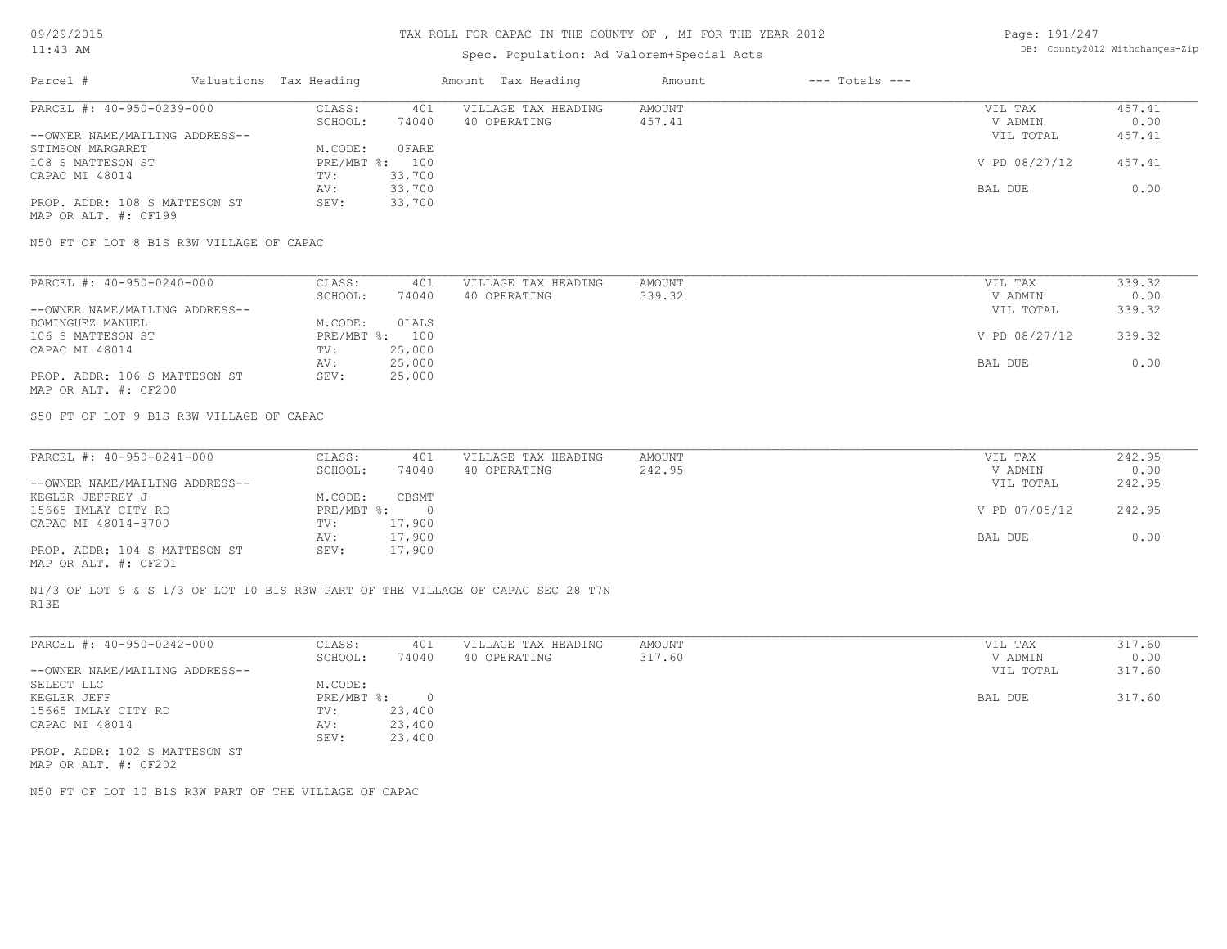## Spec. Population: Ad Valorem+Special Acts

Page: 191/247 DB: County2012 Withchanges-Zip

| Parcel #                       | Valuations Tax Heading |        | Amount Tax Heading  | Amount | $---$ Totals $---$ |               |        |
|--------------------------------|------------------------|--------|---------------------|--------|--------------------|---------------|--------|
| PARCEL #: 40-950-0239-000      | CLASS:                 | 401    | VILLAGE TAX HEADING | AMOUNT |                    | VIL TAX       | 457.41 |
|                                | SCHOOL:                | 74040  | 40 OPERATING        | 457.41 |                    | V ADMIN       | 0.00   |
| --OWNER NAME/MAILING ADDRESS-- |                        |        |                     |        |                    | VIL TOTAL     | 457.41 |
| STIMSON MARGARET               | M.CODE:                | 0 FARE |                     |        |                    |               |        |
| 108 S MATTESON ST              | PRE/MBT %: 100         |        |                     |        |                    | V PD 08/27/12 | 457.41 |
| CAPAC MI 48014                 | TV:                    | 33,700 |                     |        |                    |               |        |
|                                | AV:                    | 33,700 |                     |        |                    | BAL DUE       | 0.00   |
| PROP. ADDR: 108 S MATTESON ST  | SEV:                   | 33,700 |                     |        |                    |               |        |
|                                |                        |        |                     |        |                    |               |        |

MAP OR ALT. #: CF199

N50 FT OF LOT 8 B1S R3W VILLAGE OF CAPAC

| PARCEL #: 40-950-0240-000      | CLASS:     | 401    | VILLAGE TAX HEADING | AMOUNT | VIL TAX       | 339.32 |
|--------------------------------|------------|--------|---------------------|--------|---------------|--------|
|                                | SCHOOL:    | 74040  | 40 OPERATING        | 339.32 | V ADMIN       | 0.00   |
| --OWNER NAME/MAILING ADDRESS-- |            |        |                     |        | VIL TOTAL     | 339.32 |
| DOMINGUEZ MANUEL               | M.CODE:    | OLALS  |                     |        |               |        |
| 106 S MATTESON ST              | PRE/MBT %: | 100    |                     |        | V PD 08/27/12 | 339.32 |
| CAPAC MI 48014                 | TV:        | 25,000 |                     |        |               |        |
|                                | AV:        | 25,000 |                     |        | BAL DUE       | 0.00   |
| PROP. ADDR: 106 S MATTESON ST  | SEV:       | 25,000 |                     |        |               |        |
| MAP OR ALT. #: CF200           |            |        |                     |        |               |        |

S50 FT OF LOT 9 B1S R3W VILLAGE OF CAPAC

| PARCEL #: 40-950-0241-000      | CLASS:       | 401    | VILLAGE TAX HEADING | AMOUNT | VIL TAX       | 242.95 |
|--------------------------------|--------------|--------|---------------------|--------|---------------|--------|
|                                | SCHOOL:      | 74040  | 40 OPERATING        | 242.95 | V ADMIN       | 0.00   |
| --OWNER NAME/MAILING ADDRESS-- |              |        |                     |        | VIL TOTAL     | 242.95 |
| KEGLER JEFFREY J               | M.CODE:      | CBSMT  |                     |        |               |        |
| 15665 IMLAY CITY RD            | $PRE/MBT$ %: |        |                     |        | V PD 07/05/12 | 242.95 |
| CAPAC MI 48014-3700            | TV:          | 17,900 |                     |        |               |        |
|                                | AV:          | 17,900 |                     |        | BAL DUE       | 0.00   |
| PROP. ADDR: 104 S MATTESON ST  | SEV:         | 17,900 |                     |        |               |        |
| ---- -- --- " ---              |              |        |                     |        |               |        |

MAP OR ALT. #: CF201

R13E N1/3 OF LOT 9 & S 1/3 OF LOT 10 B1S R3W PART OF THE VILLAGE OF CAPAC SEC 28 T7N

| PARCEL #: 40-950-0242-000      | CLASS:       | 401    | VILLAGE TAX HEADING | AMOUNT | VIL TAX   | 317.60 |
|--------------------------------|--------------|--------|---------------------|--------|-----------|--------|
|                                | SCHOOL:      | 74040  | 40 OPERATING        | 317.60 | V ADMIN   | 0.00   |
| --OWNER NAME/MAILING ADDRESS-- |              |        |                     |        | VIL TOTAL | 317.60 |
| SELECT LLC                     | M.CODE:      |        |                     |        |           |        |
| KEGLER JEFF                    | $PRE/MBT$ %: |        |                     |        | BAL DUE   | 317.60 |
| 15665 IMLAY CITY RD            | TV:          | 23,400 |                     |        |           |        |
| CAPAC MI 48014                 | AV:          | 23,400 |                     |        |           |        |
|                                | SEV:         | 23,400 |                     |        |           |        |
| PROP. ADDR: 102 S MATTESON ST  |              |        |                     |        |           |        |

MAP OR ALT. #: CF202

N50 FT OF LOT 10 B1S R3W PART OF THE VILLAGE OF CAPAC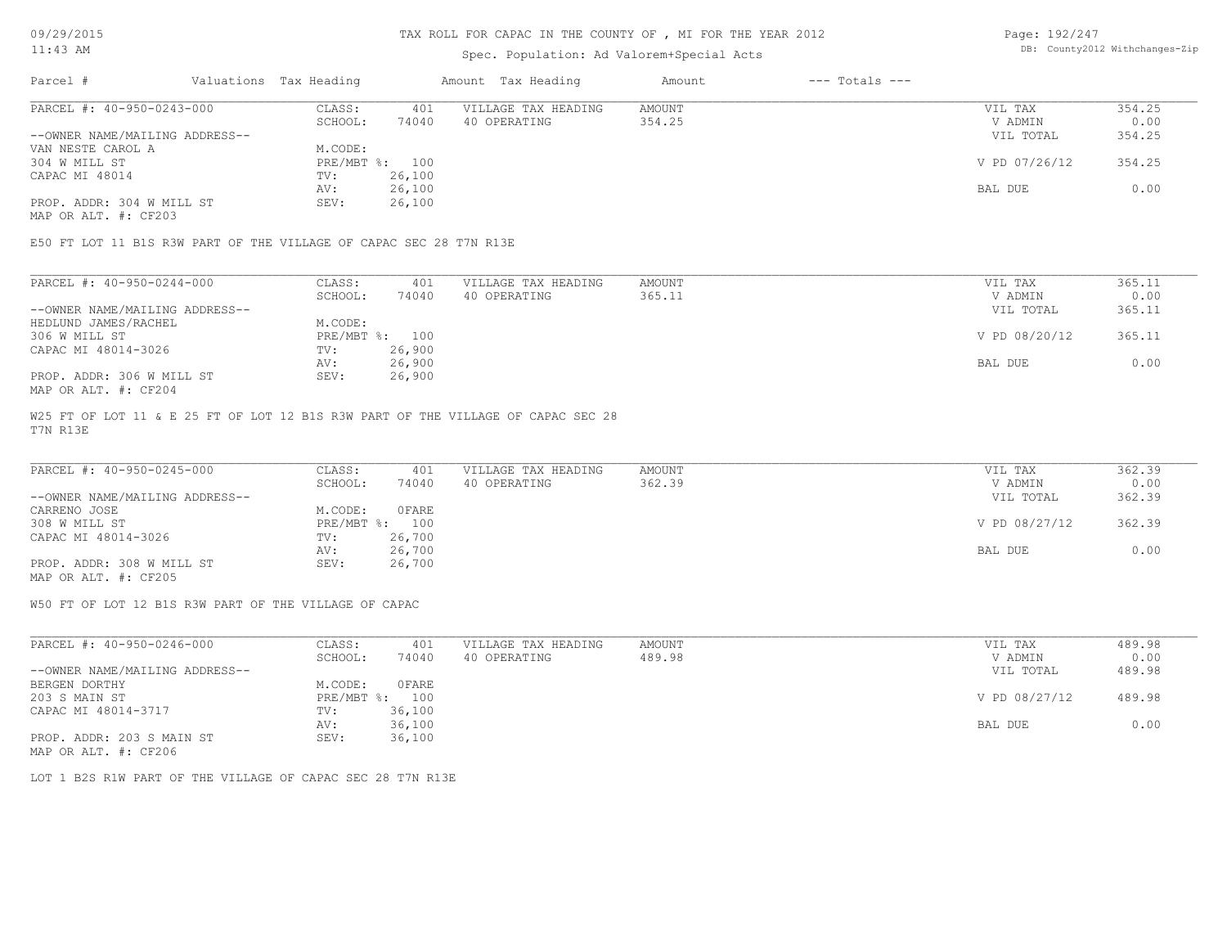## TAX ROLL FOR CAPAC IN THE COUNTY OF , MI FOR THE YEAR 2012

## Spec. Population: Ad Valorem+Special Acts

Page: 192/247 DB: County2012 Withchanges-Zip

| Parcel #                       | Valuations Tax Heading |        | Amount Tax Heading  | Amount | $---$ Totals $---$ |               |        |
|--------------------------------|------------------------|--------|---------------------|--------|--------------------|---------------|--------|
| PARCEL #: 40-950-0243-000      | CLASS:                 | 401    | VILLAGE TAX HEADING | AMOUNT |                    | VIL TAX       | 354.25 |
|                                | SCHOOL:                | 74040  | 40 OPERATING        | 354.25 |                    | V ADMIN       | 0.00   |
| --OWNER NAME/MAILING ADDRESS-- |                        |        |                     |        |                    | VIL TOTAL     | 354.25 |
| VAN NESTE CAROL A              | M.CODE:                |        |                     |        |                    |               |        |
| 304 W MILL ST                  | PRE/MBT %: 100         |        |                     |        |                    | V PD 07/26/12 | 354.25 |
| CAPAC MI 48014                 | TV:                    | 26,100 |                     |        |                    |               |        |
|                                | AV:                    | 26,100 |                     |        |                    | BAL DUE       | 0.00   |
| PROP. ADDR: 304 W MILL ST      | SEV:                   | 26,100 |                     |        |                    |               |        |
|                                |                        |        |                     |        |                    |               |        |

MAP OR ALT. #: CF203

E50 FT LOT 11 B1S R3W PART OF THE VILLAGE OF CAPAC SEC 28 T7N R13E

| PARCEL #: 40-950-0244-000      | CLASS:  | 401            | VILLAGE TAX HEADING | AMOUNT | VIL TAX       | 365.11 |
|--------------------------------|---------|----------------|---------------------|--------|---------------|--------|
|                                | SCHOOL: | 74040          | 40 OPERATING        | 365.11 | V ADMIN       | 0.00   |
| --OWNER NAME/MAILING ADDRESS-- |         |                |                     |        | VIL TOTAL     | 365.11 |
| HEDLUND JAMES/RACHEL           | M.CODE: |                |                     |        |               |        |
| 306 W MILL ST                  |         | PRE/MBT %: 100 |                     |        | V PD 08/20/12 | 365.11 |
| CAPAC MI 48014-3026            | TV:     | 26,900         |                     |        |               |        |
|                                | AV:     | 26,900         |                     |        | BAL DUE       | 0.00   |
| PROP. ADDR: 306 W MILL ST      | SEV:    | 26,900         |                     |        |               |        |
| MAP OR ALT. #: CF204           |         |                |                     |        |               |        |

T7N R13E W25 FT OF LOT 11 & E 25 FT OF LOT 12 B1S R3W PART OF THE VILLAGE OF CAPAC SEC 28

| PARCEL #: 40-950-0245-000      | CLASS:     | 401    | VILLAGE TAX HEADING | AMOUNT | VIL TAX       | 362.39 |
|--------------------------------|------------|--------|---------------------|--------|---------------|--------|
|                                | SCHOOL:    | 74040  | 40 OPERATING        | 362.39 | V ADMIN       | 0.00   |
| --OWNER NAME/MAILING ADDRESS-- |            |        |                     |        | VIL TOTAL     | 362.39 |
| CARRENO JOSE                   | M.CODE:    | 0FARE  |                     |        |               |        |
| 308 W MILL ST                  | PRE/MBT %: | 100    |                     |        | V PD 08/27/12 | 362.39 |
| CAPAC MI 48014-3026            | TV:        | 26,700 |                     |        |               |        |
|                                | AV:        | 26,700 |                     |        | BAL DUE       | 0.00   |
| PROP. ADDR: 308 W MILL ST      | SEV:       | 26,700 |                     |        |               |        |
| MAP OR ALT. #: CF205           |            |        |                     |        |               |        |

W50 FT OF LOT 12 B1S R3W PART OF THE VILLAGE OF CAPAC

| PARCEL #: 40-950-0246-000      | CLASS:  | 401            | VILLAGE TAX HEADING | AMOUNT | VIL TAX       | 489.98 |
|--------------------------------|---------|----------------|---------------------|--------|---------------|--------|
|                                | SCHOOL: | 74040          | 40 OPERATING        | 489.98 | V ADMIN       | 0.00   |
| --OWNER NAME/MAILING ADDRESS-- |         |                |                     |        | VIL TOTAL     | 489.98 |
| BERGEN DORTHY                  | M.CODE: | OFARE          |                     |        |               |        |
| 203 S MAIN ST                  |         | PRE/MBT %: 100 |                     |        | V PD 08/27/12 | 489.98 |
| CAPAC MI 48014-3717            | TV:     | 36,100         |                     |        |               |        |
|                                | AV:     | 36,100         |                     |        | BAL DUE       | 0.00   |
| PROP. ADDR: 203 S MAIN ST      | SEV:    | 36,100         |                     |        |               |        |
| MAP OR ALT. #: CF206           |         |                |                     |        |               |        |

LOT 1 B2S R1W PART OF THE VILLAGE OF CAPAC SEC 28 T7N R13E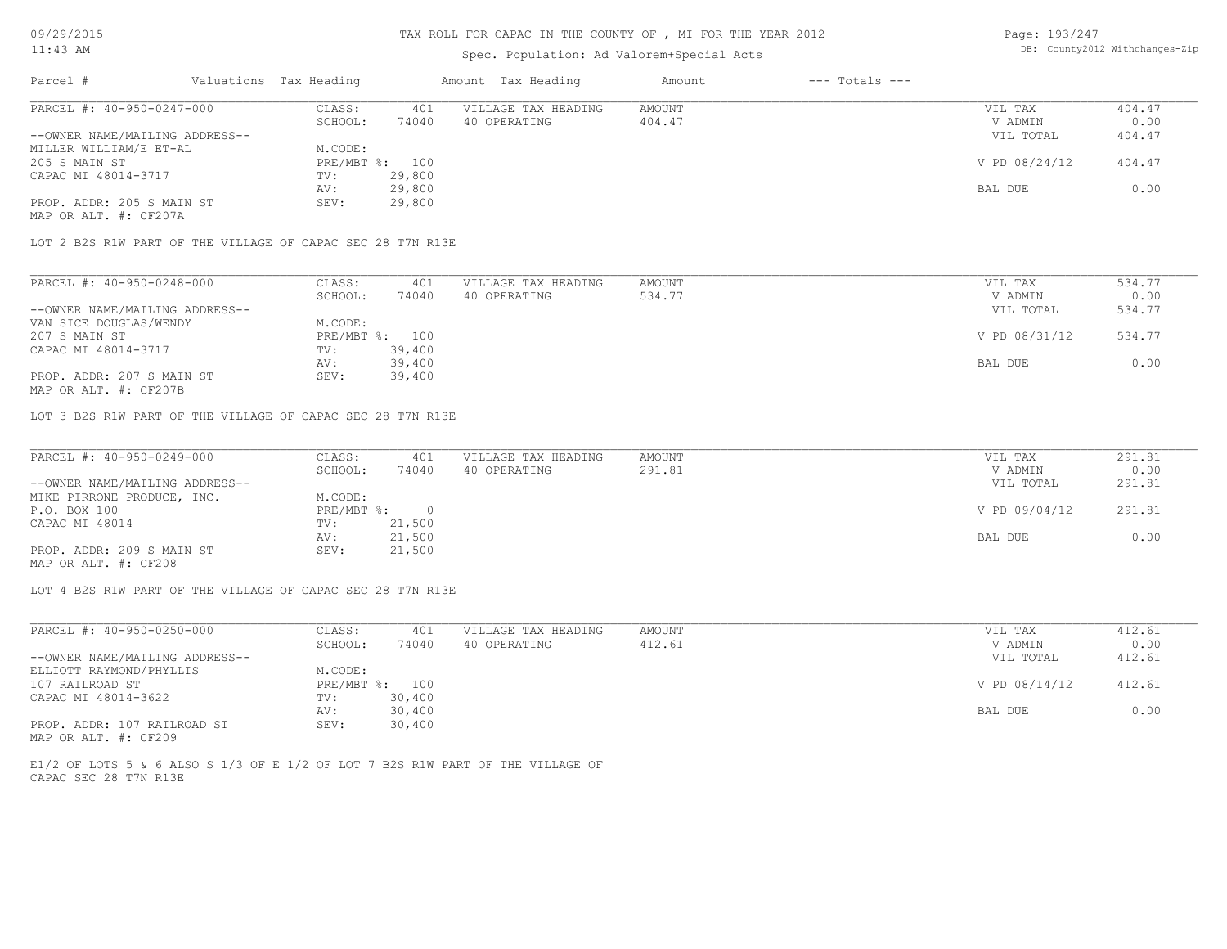## TAX ROLL FOR CAPAC IN THE COUNTY OF , MI FOR THE YEAR 2012

### Spec. Population: Ad Valorem+Special Acts

Page: 193/247 DB: County2012 Withchanges-Zip

| Parcel #                       | Valuations Tax Heading |        | Amount Tax Heading  | Amount | $---$ Totals $---$ |               |        |
|--------------------------------|------------------------|--------|---------------------|--------|--------------------|---------------|--------|
| PARCEL #: 40-950-0247-000      | CLASS:                 | 401    | VILLAGE TAX HEADING | AMOUNT |                    | VIL TAX       | 404.47 |
|                                | SCHOOL:                | 74040  | 40 OPERATING        | 404.47 |                    | V ADMIN       | 0.00   |
| --OWNER NAME/MAILING ADDRESS-- |                        |        |                     |        |                    | VIL TOTAL     | 404.47 |
| MILLER WILLIAM/E ET-AL         | M.CODE:                |        |                     |        |                    |               |        |
| 205 S MAIN ST                  | PRE/MBT %:             | 100    |                     |        |                    | V PD 08/24/12 | 404.47 |
| CAPAC MI 48014-3717            | TV:                    | 29,800 |                     |        |                    |               |        |
|                                | AV:                    | 29,800 |                     |        |                    | BAL DUE       | 0.00   |
| PROP. ADDR: 205 S MAIN ST      | SEV:                   | 29,800 |                     |        |                    |               |        |
| MAP OR ALT. #: CF207A          |                        |        |                     |        |                    |               |        |

LOT 2 B2S R1W PART OF THE VILLAGE OF CAPAC SEC 28 T7N R13E

| PARCEL #: 40-950-0248-000      | CLASS:  | 401            | VILLAGE TAX HEADING | AMOUNT | VIL TAX       | 534.77 |
|--------------------------------|---------|----------------|---------------------|--------|---------------|--------|
|                                | SCHOOL: | 74040          | 40 OPERATING        | 534.77 | V ADMIN       | 0.00   |
| --OWNER NAME/MAILING ADDRESS-- |         |                |                     |        | VIL TOTAL     | 534.77 |
| VAN SICE DOUGLAS/WENDY         | M.CODE: |                |                     |        |               |        |
| 207 S MAIN ST                  |         | PRE/MBT %: 100 |                     |        | V PD 08/31/12 | 534.77 |
| CAPAC MI 48014-3717            | TV:     | 39,400         |                     |        |               |        |
|                                | AV:     | 39,400         |                     |        | BAL DUE       | 0.00   |
| PROP. ADDR: 207 S MAIN ST      | SEV:    | 39,400         |                     |        |               |        |
|                                |         |                |                     |        |               |        |

MAP OR ALT. #: CF207B

LOT 3 B2S R1W PART OF THE VILLAGE OF CAPAC SEC 28 T7N R13E

| PARCEL #: 40-950-0249-000      | CLASS:       | 401    | VILLAGE TAX HEADING | AMOUNT | VIL TAX       | 291.81 |
|--------------------------------|--------------|--------|---------------------|--------|---------------|--------|
|                                | SCHOOL:      | 74040  | 40 OPERATING        | 291.81 | V ADMIN       | 0.00   |
| --OWNER NAME/MAILING ADDRESS-- |              |        |                     |        | VIL TOTAL     | 291.81 |
| MIKE PIRRONE PRODUCE, INC.     | M.CODE:      |        |                     |        |               |        |
| P.O. BOX 100                   | $PRE/MBT$ %: |        |                     |        | V PD 09/04/12 | 291.81 |
| CAPAC MI 48014                 | TV:          | 21,500 |                     |        |               |        |
|                                | AV:          | 21,500 |                     |        | BAL DUE       | 0.00   |
| PROP. ADDR: 209 S MAIN ST      | SEV:         | 21,500 |                     |        |               |        |
| MAP OR ALT. #: CF208           |              |        |                     |        |               |        |

LOT 4 B2S R1W PART OF THE VILLAGE OF CAPAC SEC 28 T7N R13E

| PARCEL #: 40-950-0250-000      | CLASS:       | 401    | VILLAGE TAX HEADING | AMOUNT | VIL TAX       | 412.61 |
|--------------------------------|--------------|--------|---------------------|--------|---------------|--------|
|                                | SCHOOL:      | 74040  | 40 OPERATING        | 412.61 | V ADMIN       | 0.00   |
| --OWNER NAME/MAILING ADDRESS-- |              |        |                     |        | VIL TOTAL     | 412.61 |
| ELLIOTT RAYMOND/PHYLLIS        | M.CODE:      |        |                     |        |               |        |
| 107 RAILROAD ST                | $PRE/MBT$ %: | 100    |                     |        | V PD 08/14/12 | 412.61 |
| CAPAC MI 48014-3622            | TV:          | 30,400 |                     |        |               |        |
|                                | AV:          | 30,400 |                     |        | BAL DUE       | 0.00   |
| PROP. ADDR: 107 RAILROAD ST    | SEV:         | 30,400 |                     |        |               |        |

MAP OR ALT. #: CF209

CAPAC SEC 28 T7N R13E E1/2 OF LOTS 5 & 6 ALSO S 1/3 OF E 1/2 OF LOT 7 B2S R1W PART OF THE VILLAGE OF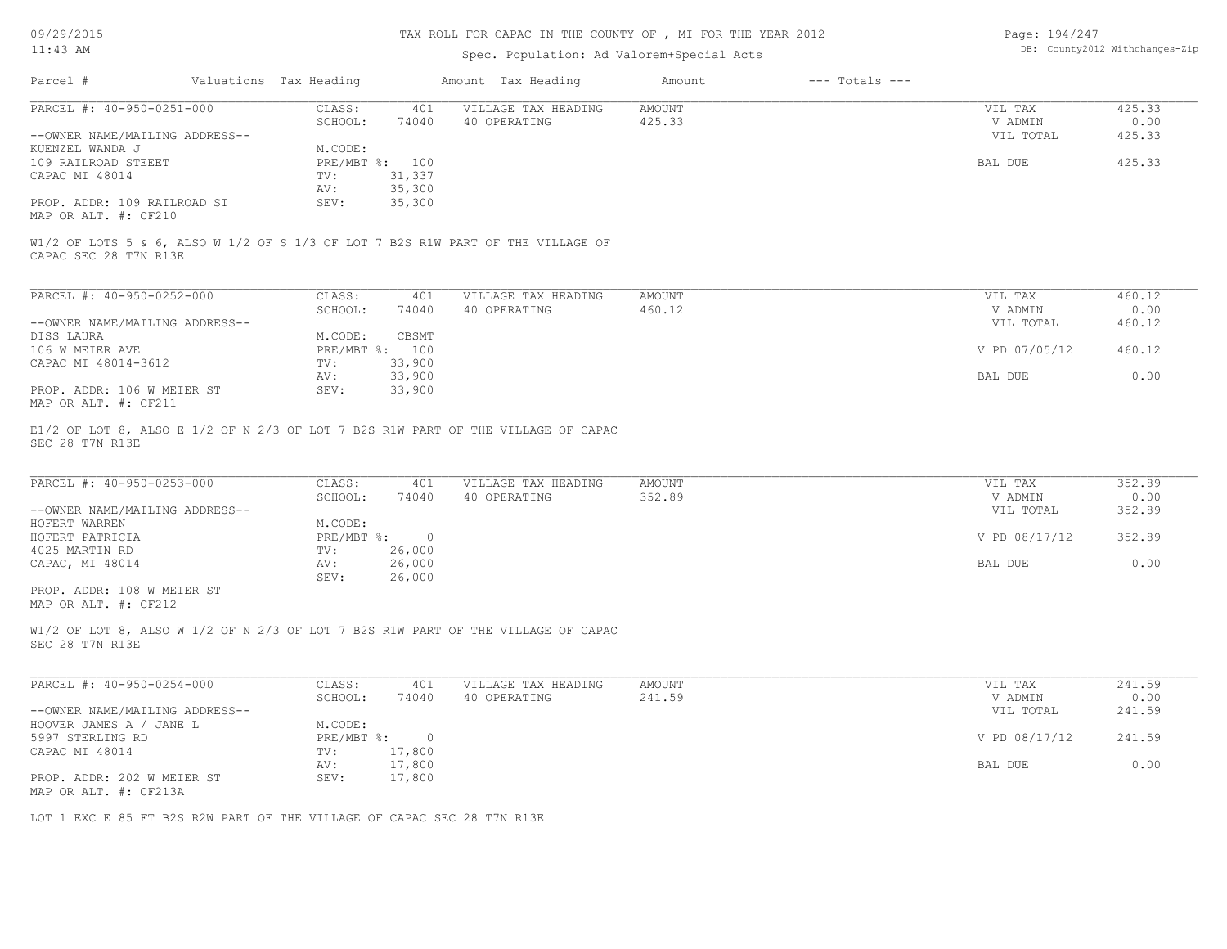### TAX ROLL FOR CAPAC IN THE COUNTY OF , MI FOR THE YEAR 2012

### Spec. Population: Ad Valorem+Special Acts

| Page: 194/247 |                                |
|---------------|--------------------------------|
|               | DB: County2012 Withchanges-Zip |

| Parcel #                       | Valuations Tax Heading |        | Amount Tax Heading                                                              | Amount | $---$ Totals $---$ |           |        |
|--------------------------------|------------------------|--------|---------------------------------------------------------------------------------|--------|--------------------|-----------|--------|
| PARCEL #: 40-950-0251-000      | CLASS:                 | 401    | VILLAGE TAX HEADING                                                             | AMOUNT |                    | VIL TAX   | 425.33 |
|                                | SCHOOL:                | 74040  | 40 OPERATING                                                                    | 425.33 |                    | V ADMIN   | 0.00   |
| --OWNER NAME/MAILING ADDRESS-- |                        |        |                                                                                 |        |                    | VIL TOTAL | 425.33 |
| KUENZEL WANDA J                | M.CODE:                |        |                                                                                 |        |                    |           |        |
| 109 RAILROAD STEEET            | PRE/MBT %: 100         |        |                                                                                 |        |                    | BAL DUE   | 425.33 |
| CAPAC MI 48014                 | TV:                    | 31,337 |                                                                                 |        |                    |           |        |
|                                | AV:                    | 35,300 |                                                                                 |        |                    |           |        |
| PROP. ADDR: 109 RAILROAD ST    | SEV:                   | 35,300 |                                                                                 |        |                    |           |        |
| MAP OR ALT. #: CF210           |                        |        |                                                                                 |        |                    |           |        |
|                                |                        |        |                                                                                 |        |                    |           |        |
| CAPAC SEC 28 T7N R13E          |                        |        | W1/2 OF LOTS 5 & 6, ALSO W 1/2 OF S 1/3 OF LOT 7 B2S R1W PART OF THE VILLAGE OF |        |                    |           |        |
|                                |                        |        |                                                                                 |        |                    |           |        |

| PARCEL #: 40-950-0252-000      | CLASS:                    | 401    | VILLAGE TAX HEADING | AMOUNT | VIL TAX |               | 460.12 |
|--------------------------------|---------------------------|--------|---------------------|--------|---------|---------------|--------|
|                                | SCHOOL:                   | 74040  | 40 OPERATING        | 460.12 |         | V ADMIN       | 0.00   |
| --OWNER NAME/MAILING ADDRESS-- |                           |        |                     |        |         | VIL TOTAL     | 460.12 |
| DISS LAURA                     | M.CODE:                   | CBSMT  |                     |        |         |               |        |
| 106 W MEIER AVE                | $PRE/MBT$ $\frac{6}{3}$ : | 100    |                     |        |         | V PD 07/05/12 | 460.12 |
| CAPAC MI 48014-3612            | TV:                       | 33,900 |                     |        |         |               |        |
|                                | AV:                       | 33,900 |                     |        | BAL DUE |               | 0.00   |
| PROP. ADDR: 106 W MEIER ST     | SEV:                      | 33,900 |                     |        |         |               |        |
| MAP OR ALT. #: CF211           |                           |        |                     |        |         |               |        |

SEC 28 T7N R13E E1/2 OF LOT 8, ALSO E 1/2 OF N 2/3 OF LOT 7 B2S R1W PART OF THE VILLAGE OF CAPAC

| PARCEL #: 40-950-0253-000      | CLASS:       | 401    | VILLAGE TAX HEADING | AMOUNT | VIL TAX       | 352.89 |
|--------------------------------|--------------|--------|---------------------|--------|---------------|--------|
|                                | SCHOOL:      | 74040  | 40 OPERATING        | 352.89 | V ADMIN       | 0.00   |
| --OWNER NAME/MAILING ADDRESS-- |              |        |                     |        | VIL TOTAL     | 352.89 |
| HOFERT WARREN                  | M.CODE:      |        |                     |        |               |        |
| HOFERT PATRICIA                | $PRE/MBT$ %: |        |                     |        | V PD 08/17/12 | 352.89 |
| 4025 MARTIN RD                 | TV:          | 26,000 |                     |        |               |        |
| CAPAC, MI 48014                | AV:          | 26,000 |                     |        | BAL DUE       | 0.00   |
|                                | SEV:         | 26,000 |                     |        |               |        |
| PROP. ADDR: 108 W MEIER ST     |              |        |                     |        |               |        |

MAP OR ALT. #: CF212

SEC 28 T7N R13E W1/2 OF LOT 8, ALSO W 1/2 OF N 2/3 OF LOT 7 B2S R1W PART OF THE VILLAGE OF CAPAC

| PARCEL #: 40-950-0254-000      | CLASS:     | 401    | VILLAGE TAX HEADING | AMOUNT | VIL TAX       | 241.59 |
|--------------------------------|------------|--------|---------------------|--------|---------------|--------|
|                                | SCHOOL:    | 74040  | 40 OPERATING        | 241.59 | V ADMIN       | 0.00   |
| --OWNER NAME/MAILING ADDRESS-- |            |        |                     |        | VIL TOTAL     | 241.59 |
| HOOVER JAMES A / JANE L        | M.CODE:    |        |                     |        |               |        |
| 5997 STERLING RD               | PRE/MBT %: |        |                     |        | V PD 08/17/12 | 241.59 |
| CAPAC MI 48014                 | TV:        | 17,800 |                     |        |               |        |
|                                | AV:        | 17,800 |                     |        | BAL DUE       | 0.00   |
| PROP. ADDR: 202 W MEIER ST     | SEV:       | 17,800 |                     |        |               |        |
| MAP OR ALT. #: CF213A          |            |        |                     |        |               |        |

LOT 1 EXC E 85 FT B2S R2W PART OF THE VILLAGE OF CAPAC SEC 28 T7N R13E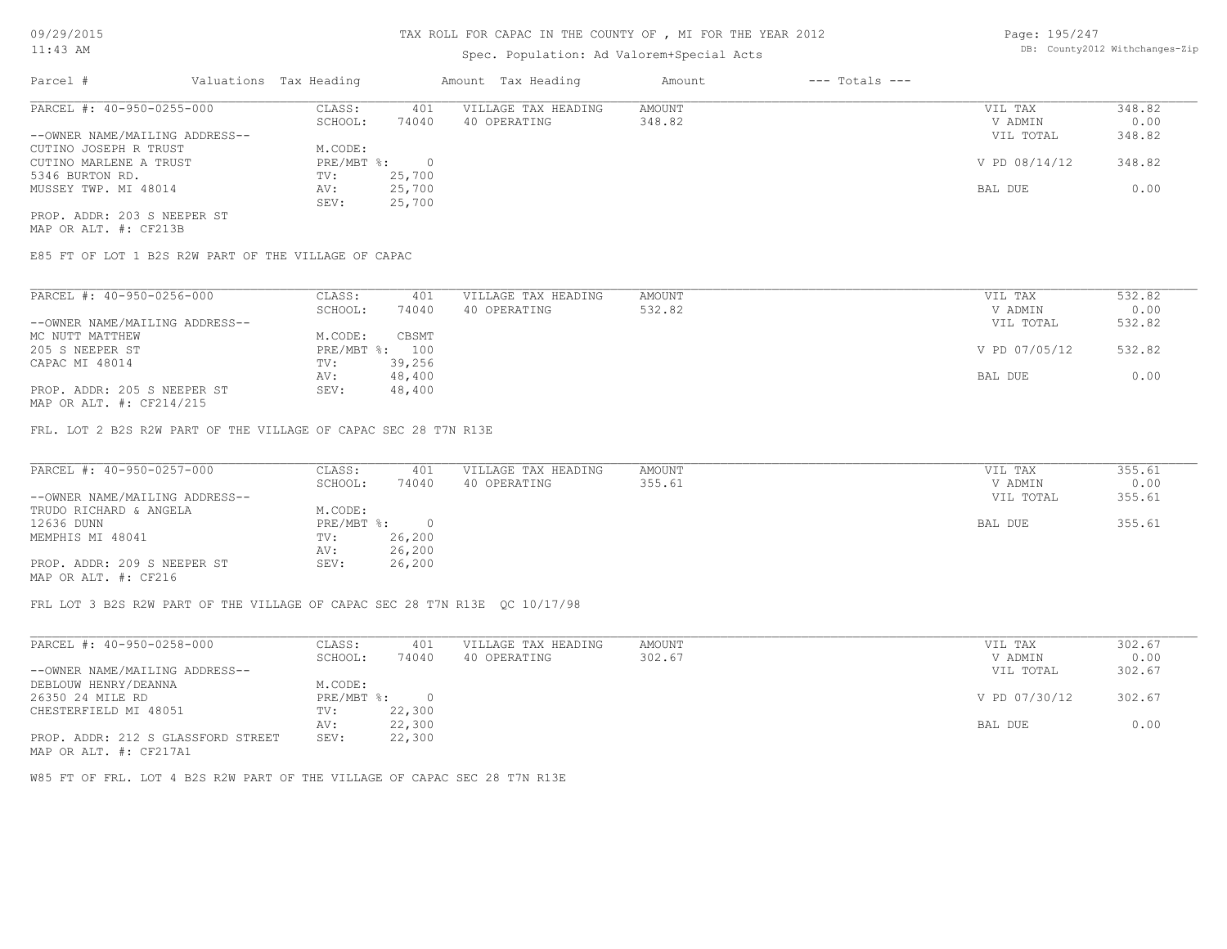## Spec. Population: Ad Valorem+Special Acts

| Page: 195/247 |                                |
|---------------|--------------------------------|
|               | DB: County2012 Withchanges-Zip |

| Parcel #                       | Valuations Tax Heading |        | Amount Tax Heading  | Amount | $---$ Totals $---$ |               |        |
|--------------------------------|------------------------|--------|---------------------|--------|--------------------|---------------|--------|
| PARCEL #: 40-950-0255-000      | CLASS:                 | 401    | VILLAGE TAX HEADING | AMOUNT |                    | VIL TAX       | 348.82 |
|                                | SCHOOL:                | 74040  | 40 OPERATING        | 348.82 |                    | V ADMIN       | 0.00   |
| --OWNER NAME/MAILING ADDRESS-- |                        |        |                     |        |                    | VIL TOTAL     | 348.82 |
| CUTINO JOSEPH R TRUST          | M.CODE:                |        |                     |        |                    |               |        |
| CUTINO MARLENE A TRUST         | PRE/MBT %:             |        |                     |        |                    | V PD 08/14/12 | 348.82 |
| 5346 BURTON RD.                | TV:                    | 25,700 |                     |        |                    |               |        |
| MUSSEY TWP. MI 48014           | AV:                    | 25,700 |                     |        |                    | BAL DUE       | 0.00   |
|                                | SEV:                   | 25,700 |                     |        |                    |               |        |
| PROP. ADDR: 203 S NEEPER ST    |                        |        |                     |        |                    |               |        |

MAP OR ALT. #: CF213B

E85 FT OF LOT 1 B2S R2W PART OF THE VILLAGE OF CAPAC

| PARCEL #: 40-950-0256-000      | CLASS:     | 401    | VILLAGE TAX HEADING | AMOUNT | VIL TAX       | 532.82 |
|--------------------------------|------------|--------|---------------------|--------|---------------|--------|
|                                | SCHOOL:    | 74040  | 40 OPERATING        | 532.82 | V ADMIN       | 0.00   |
| --OWNER NAME/MAILING ADDRESS-- |            |        |                     |        | VIL TOTAL     | 532.82 |
| MC NUTT MATTHEW                | M.CODE:    | CBSMT  |                     |        |               |        |
| 205 S NEEPER ST                | PRE/MBT %: | 100    |                     |        | V PD 07/05/12 | 532.82 |
| CAPAC MI 48014                 | TV:        | 39,256 |                     |        |               |        |
|                                | AV:        | 48,400 |                     |        | BAL DUE       | 0.00   |
| PROP. ADDR: 205 S NEEPER ST    | SEV:       | 48,400 |                     |        |               |        |
| $\cdots$                       |            |        |                     |        |               |        |

MAP OR ALT. #: CF214/215

FRL. LOT 2 B2S R2W PART OF THE VILLAGE OF CAPAC SEC 28 T7N R13E

| PARCEL #: 40-950-0257-000      | CLASS:     | 401    | VILLAGE TAX HEADING | AMOUNT | VIL TAX   | 355.61 |
|--------------------------------|------------|--------|---------------------|--------|-----------|--------|
|                                | SCHOOL:    | 74040  | 40 OPERATING        | 355.61 | V ADMIN   | 0.00   |
| --OWNER NAME/MAILING ADDRESS-- |            |        |                     |        | VIL TOTAL | 355.61 |
| TRUDO RICHARD & ANGELA         | M.CODE:    |        |                     |        |           |        |
| 12636 DUNN                     | PRE/MBT %: |        |                     |        | BAL DUE   | 355.61 |
| MEMPHIS MI 48041               | TV:        | 26,200 |                     |        |           |        |
|                                | AV:        | 26,200 |                     |        |           |        |
| PROP. ADDR: 209 S NEEPER ST    | SEV:       | 26,200 |                     |        |           |        |
| MAP OR ALT. #: CF216           |            |        |                     |        |           |        |

FRL LOT 3 B2S R2W PART OF THE VILLAGE OF CAPAC SEC 28 T7N R13E QC 10/17/98

| PARCEL #: 40-950-0258-000          | CLASS:     | 401    | VILLAGE TAX HEADING | AMOUNT | VIL TAX       | 302.67 |
|------------------------------------|------------|--------|---------------------|--------|---------------|--------|
|                                    | SCHOOL:    | 74040  | 40 OPERATING        | 302.67 | V ADMIN       | 0.00   |
| --OWNER NAME/MAILING ADDRESS--     |            |        |                     |        | VIL TOTAL     | 302.67 |
| DEBLOUW HENRY/DEANNA               | M.CODE:    |        |                     |        |               |        |
| 26350 24 MILE RD                   | PRE/MBT %: |        |                     |        | V PD 07/30/12 | 302.67 |
| CHESTERFIELD MI 48051              | TV:        | 22,300 |                     |        |               |        |
|                                    | AV:        | 22,300 |                     |        | BAL DUE       | 0.00   |
| PROP. ADDR: 212 S GLASSFORD STREET | SEV:       | 22,300 |                     |        |               |        |
| MAP OR ALT. #: CF217A1             |            |        |                     |        |               |        |

W85 FT OF FRL. LOT 4 B2S R2W PART OF THE VILLAGE OF CAPAC SEC 28 T7N R13E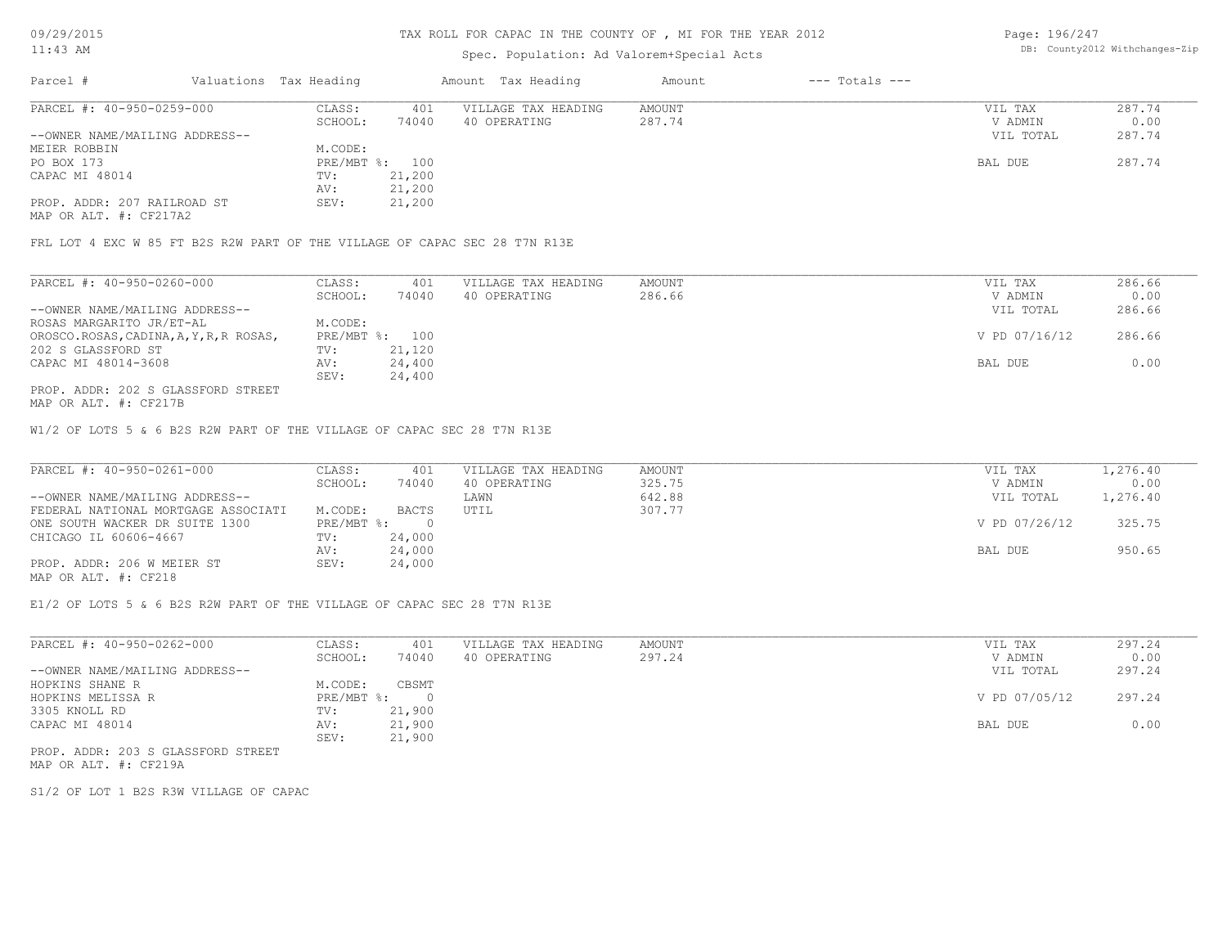### TAX ROLL FOR CAPAC IN THE COUNTY OF , MI FOR THE YEAR 2012

## Spec. Population: Ad Valorem+Special Acts

Page: 196/247 DB: County2012 Withchanges-Zip

| Parcel #                       | Valuations Tax Heading |        | Amount Tax Heading  | Amount | $---$ Totals $---$ |           |        |
|--------------------------------|------------------------|--------|---------------------|--------|--------------------|-----------|--------|
| PARCEL #: 40-950-0259-000      | CLASS:                 | 401    | VILLAGE TAX HEADING | AMOUNT |                    | VIL TAX   | 287.74 |
|                                | SCHOOL:                | 74040  | 40 OPERATING        | 287.74 |                    | V ADMIN   | 0.00   |
| --OWNER NAME/MAILING ADDRESS-- |                        |        |                     |        |                    | VIL TOTAL | 287.74 |
| MEIER ROBBIN                   | M.CODE:                |        |                     |        |                    |           |        |
| PO BOX 173                     | PRE/MBT %: 100         |        |                     |        |                    | BAL DUE   | 287.74 |
| CAPAC MI 48014                 | TV:                    | 21,200 |                     |        |                    |           |        |
|                                | AV:                    | 21,200 |                     |        |                    |           |        |
| PROP. ADDR: 207 RAILROAD ST    | SEV:                   | 21,200 |                     |        |                    |           |        |

MAP OR ALT. #: CF217A2

FRL LOT 4 EXC W 85 FT B2S R2W PART OF THE VILLAGE OF CAPAC SEC 28 T7N R13E

| PARCEL #: 40-950-0260-000               | CLASS:  | 401            | VILLAGE TAX HEADING | AMOUNT | VIL TAX       | 286.66 |
|-----------------------------------------|---------|----------------|---------------------|--------|---------------|--------|
|                                         | SCHOOL: | 74040          | 40 OPERATING        | 286.66 | V ADMIN       | 0.00   |
| --OWNER NAME/MAILING ADDRESS--          |         |                |                     |        | VIL TOTAL     | 286.66 |
| ROSAS MARGARITO JR/ET-AL                | M.CODE: |                |                     |        |               |        |
| OROSCO.ROSAS, CADINA, A, Y, R, R ROSAS, |         | PRE/MBT %: 100 |                     |        | V PD 07/16/12 | 286.66 |
| 202 S GLASSFORD ST                      | TV:     | 21,120         |                     |        |               |        |
| CAPAC MI 48014-3608                     | AV:     | 24,400         |                     |        | BAL DUE       | 0.00   |
|                                         | SEV:    | 24,400         |                     |        |               |        |
| PROP. ADDR: 202 S GLASSFORD STREET      |         |                |                     |        |               |        |

MAP OR ALT. #: CF217B

W1/2 OF LOTS 5 & 6 B2S R2W PART OF THE VILLAGE OF CAPAC SEC 28 T7N R13E

| PARCEL #: 40-950-0261-000           | CLASS:     | 401          | VILLAGE TAX HEADING | AMOUNT | VIL TAX       | 1,276.40 |
|-------------------------------------|------------|--------------|---------------------|--------|---------------|----------|
|                                     | SCHOOL:    | 74040        | 40 OPERATING        | 325.75 | V ADMIN       | 0.00     |
| --OWNER NAME/MAILING ADDRESS--      |            |              | LAWN                | 642.88 | VIL TOTAL     | 1,276.40 |
| FEDERAL NATIONAL MORTGAGE ASSOCIATI | M.CODE:    | <b>BACTS</b> | UTIL                | 307.77 |               |          |
| ONE SOUTH WACKER DR SUITE 1300      | PRE/MBT %: |              |                     |        | V PD 07/26/12 | 325.75   |
| CHICAGO IL 60606-4667               | TV:        | 24,000       |                     |        |               |          |
|                                     | AV:        | 24,000       |                     |        | BAL DUE       | 950.65   |
| PROP. ADDR: 206 W MEIER ST          | SEV:       | 24,000       |                     |        |               |          |
|                                     |            |              |                     |        |               |          |

MAP OR ALT. #: CF218

E1/2 OF LOTS 5 & 6 B2S R2W PART OF THE VILLAGE OF CAPAC SEC 28 T7N R13E

| PARCEL #: 40-950-0262-000      | CLASS:     | 401    | VILLAGE TAX HEADING | AMOUNT | VIL TAX       | 297.24 |
|--------------------------------|------------|--------|---------------------|--------|---------------|--------|
|                                | SCHOOL:    | 74040  | 40 OPERATING        | 297.24 | V ADMIN       | 0.00   |
| --OWNER NAME/MAILING ADDRESS-- |            |        |                     |        | VIL TOTAL     | 297.24 |
| HOPKINS SHANE R                | M.CODE:    | CBSMT  |                     |        |               |        |
| HOPKINS MELISSA R              | PRE/MBT %: |        |                     |        | V PD 07/05/12 | 297.24 |
| 3305 KNOLL RD                  | TV:        | 21,900 |                     |        |               |        |
| CAPAC MI 48014                 | AV:        | 21,900 |                     |        | BAL DUE       | 0.00   |
|                                | SEV:       | 21,900 |                     |        |               |        |

MAP OR ALT. #: CF219A PROP. ADDR: 203 S GLASSFORD STREET

S1/2 OF LOT 1 B2S R3W VILLAGE OF CAPAC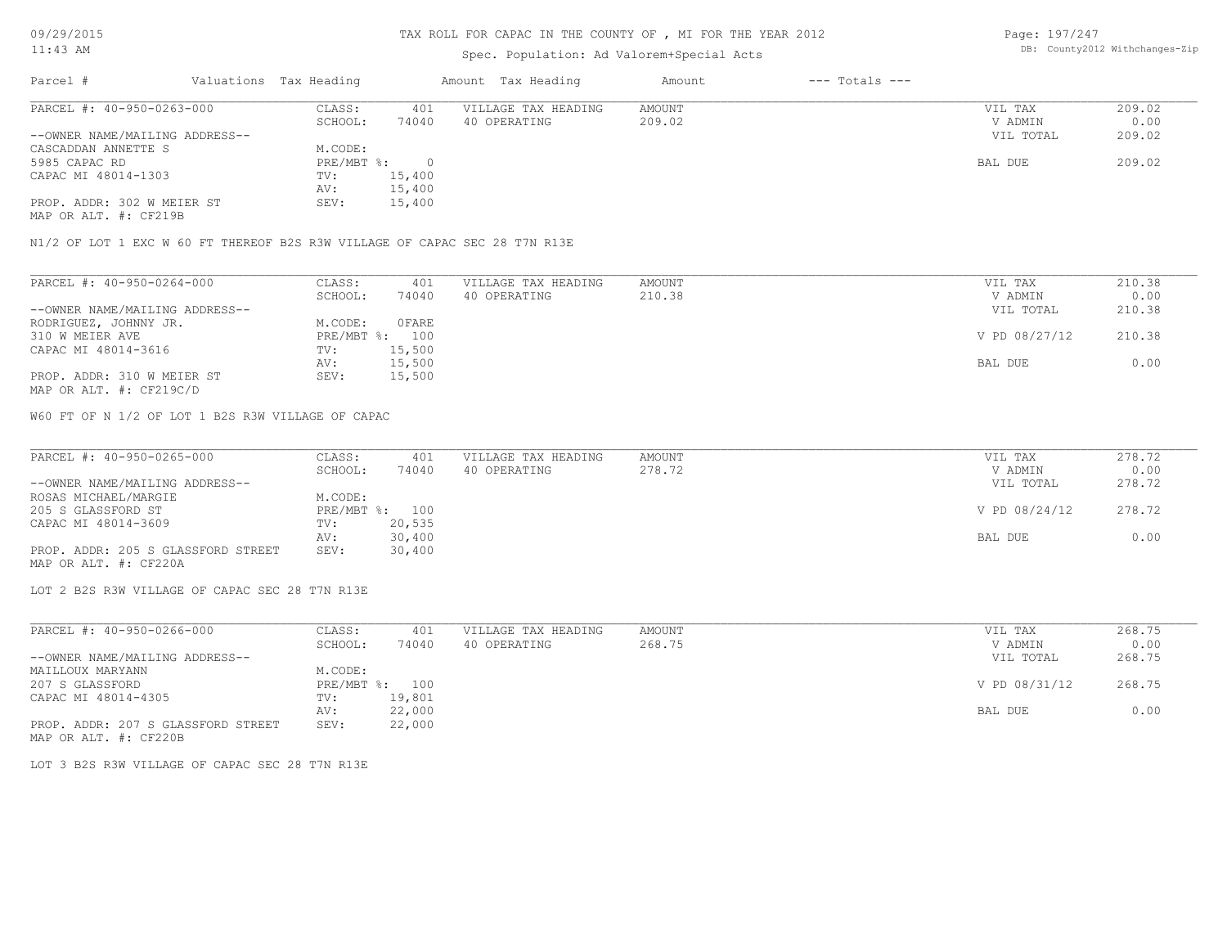### TAX ROLL FOR CAPAC IN THE COUNTY OF , MI FOR THE YEAR 2012

## Spec. Population: Ad Valorem+Special Acts

Page: 197/247 DB: County2012 Withchanges-Zip

| Parcel #                       | Valuations Tax Heading |        | Amount Tax Heading  | Amount | $---$ Totals $---$ |           |        |
|--------------------------------|------------------------|--------|---------------------|--------|--------------------|-----------|--------|
| PARCEL #: 40-950-0263-000      | CLASS:                 | 401    | VILLAGE TAX HEADING | AMOUNT |                    | VIL TAX   | 209.02 |
|                                | SCHOOL:                | 74040  | 40 OPERATING        | 209.02 |                    | V ADMIN   | 0.00   |
| --OWNER NAME/MAILING ADDRESS-- |                        |        |                     |        |                    | VIL TOTAL | 209.02 |
| CASCADDAN ANNETTE S            | M.CODE:                |        |                     |        |                    |           |        |
| 5985 CAPAC RD                  | PRE/MBT %:             |        |                     |        |                    | BAL DUE   | 209.02 |
| CAPAC MI 48014-1303            | TV:                    | 15,400 |                     |        |                    |           |        |
|                                | AV:                    | 15,400 |                     |        |                    |           |        |
| PROP. ADDR: 302 W MEIER ST     | SEV:                   | 15,400 |                     |        |                    |           |        |

MAP OR ALT. #: CF219B

N1/2 OF LOT 1 EXC W 60 FT THEREOF B2S R3W VILLAGE OF CAPAC SEC 28 T7N R13E

| PARCEL #: 40-950-0264-000      | CLASS:  | 401            | VILLAGE TAX HEADING | AMOUNT | VIL TAX       | 210.38 |
|--------------------------------|---------|----------------|---------------------|--------|---------------|--------|
|                                | SCHOOL: | 74040          | 40 OPERATING        | 210.38 | V ADMIN       | 0.00   |
| --OWNER NAME/MAILING ADDRESS-- |         |                |                     |        | VIL TOTAL     | 210.38 |
| RODRIGUEZ, JOHNNY JR.          | M.CODE: | OFARE          |                     |        |               |        |
| 310 W MEIER AVE                |         | PRE/MBT %: 100 |                     |        | V PD 08/27/12 | 210.38 |
| CAPAC MI 48014-3616            | TV:     | 15,500         |                     |        |               |        |
|                                | AV:     | 15,500         |                     |        | BAL DUE       | 0.00   |
| PROP. ADDR: 310 W MEIER ST     | SEV:    | 15,500         |                     |        |               |        |
| MAP OR ALT. #: CF219C/D        |         |                |                     |        |               |        |

W60 FT OF N 1/2 OF LOT 1 B2S R3W VILLAGE OF CAPAC

| PARCEL #: 40-950-0265-000          | CLASS:     | 401    | VILLAGE TAX HEADING | AMOUNT | VIL TAX |               | 278.72 |
|------------------------------------|------------|--------|---------------------|--------|---------|---------------|--------|
|                                    | SCHOOL:    | 74040  | 40 OPERATING        | 278.72 |         | V ADMIN       | 0.00   |
| --OWNER NAME/MAILING ADDRESS--     |            |        |                     |        |         | VIL TOTAL     | 278.72 |
| ROSAS MICHAEL/MARGIE               | M.CODE:    |        |                     |        |         |               |        |
| 205 S GLASSFORD ST                 | PRE/MBT %: | 100    |                     |        |         | V PD 08/24/12 | 278.72 |
| CAPAC MI 48014-3609                | TV:        | 20,535 |                     |        |         |               |        |
|                                    | AV:        | 30,400 |                     |        | BAL DUE |               | 0.00   |
| PROP. ADDR: 205 S GLASSFORD STREET | SEV:       | 30,400 |                     |        |         |               |        |
| MAP OR ALT. #: CF220A              |            |        |                     |        |         |               |        |

 $\mathcal{L}_\mathcal{L} = \mathcal{L}_\mathcal{L} = \mathcal{L}_\mathcal{L} = \mathcal{L}_\mathcal{L} = \mathcal{L}_\mathcal{L} = \mathcal{L}_\mathcal{L} = \mathcal{L}_\mathcal{L} = \mathcal{L}_\mathcal{L} = \mathcal{L}_\mathcal{L} = \mathcal{L}_\mathcal{L} = \mathcal{L}_\mathcal{L} = \mathcal{L}_\mathcal{L} = \mathcal{L}_\mathcal{L} = \mathcal{L}_\mathcal{L} = \mathcal{L}_\mathcal{L} = \mathcal{L}_\mathcal{L} = \mathcal{L}_\mathcal{L}$ 

LOT 2 B2S R3W VILLAGE OF CAPAC SEC 28 T7N R13E

| PARCEL #: 40-950-0266-000          | CLASS:       | 401    | VILLAGE TAX HEADING | AMOUNT | VIL TAX       | 268.75 |
|------------------------------------|--------------|--------|---------------------|--------|---------------|--------|
|                                    | SCHOOL:      | 74040  | 40 OPERATING        | 268.75 | V ADMIN       | 0.00   |
| --OWNER NAME/MAILING ADDRESS--     |              |        |                     |        | VIL TOTAL     | 268.75 |
| MAILLOUX MARYANN                   | M.CODE:      |        |                     |        |               |        |
| 207 S GLASSFORD                    | $PRE/MBT$ %: | 100    |                     |        | V PD 08/31/12 | 268.75 |
| CAPAC MI 48014-4305                | TV:          | 19,801 |                     |        |               |        |
|                                    | AV:          | 22,000 |                     |        | BAL DUE       | 0.00   |
| PROP. ADDR: 207 S GLASSFORD STREET | SEV:         | 22,000 |                     |        |               |        |
| MAP OR ALT. #: CF220B              |              |        |                     |        |               |        |

LOT 3 B2S R3W VILLAGE OF CAPAC SEC 28 T7N R13E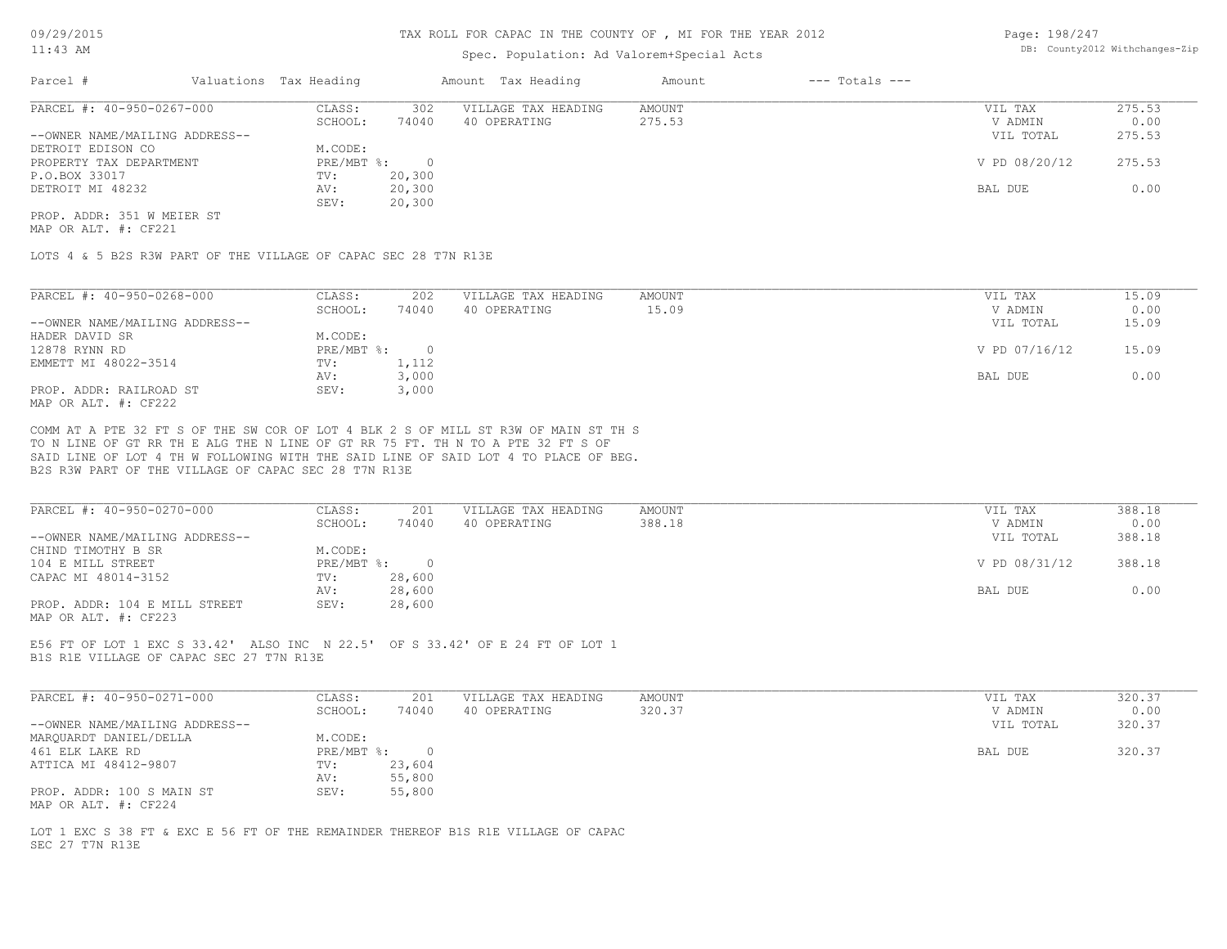### Spec. Population: Ad Valorem+Special Acts

Page: 198/247 DB: County2012 Withchanges-Zip

| Parcel #                       | Valuations Tax Heading |        | Amount Tax Heading  | Amount | $---$ Totals $---$ |               |        |
|--------------------------------|------------------------|--------|---------------------|--------|--------------------|---------------|--------|
| PARCEL #: 40-950-0267-000      | CLASS:                 | 302    | VILLAGE TAX HEADING | AMOUNT |                    | VIL TAX       | 275.53 |
|                                | SCHOOL:                | 74040  | 40 OPERATING        | 275.53 |                    | V ADMIN       | 0.00   |
| --OWNER NAME/MAILING ADDRESS-- |                        |        |                     |        |                    | VIL TOTAL     | 275.53 |
| DETROIT EDISON CO              | M.CODE:                |        |                     |        |                    |               |        |
| PROPERTY TAX DEPARTMENT        | PRE/MBT %:             |        |                     |        |                    | V PD 08/20/12 | 275.53 |
| P.O.BOX 33017                  | TV:                    | 20,300 |                     |        |                    |               |        |
| DETROIT MI 48232               | AV:                    | 20,300 |                     |        |                    | BAL DUE       | 0.00   |
|                                | SEV:                   | 20,300 |                     |        |                    |               |        |
| PROP. ADDR: 351 W MEIER ST     |                        |        |                     |        |                    |               |        |

MAP OR ALT. #: CF221

LOTS 4 & 5 B2S R3W PART OF THE VILLAGE OF CAPAC SEC 28 T7N R13E

| PARCEL #: 40-950-0268-000      | CLASS:     | 202      | VILLAGE TAX HEADING | AMOUNT | 15.09<br>VIL TAX       |
|--------------------------------|------------|----------|---------------------|--------|------------------------|
|                                | SCHOOL:    | 74040    | 40 OPERATING        | 15.09  | 0.00<br>V ADMIN        |
| --OWNER NAME/MAILING ADDRESS-- |            |          |                     |        | 15.09<br>VIL TOTAL     |
| HADER DAVID SR                 | M.CODE:    |          |                     |        |                        |
| 12878 RYNN RD                  | PRE/MBT %: | $\Omega$ |                     |        | V PD 07/16/12<br>15.09 |
| EMMETT MI 48022-3514           | TV:        | 1,112    |                     |        |                        |
|                                | AV:        | 3,000    |                     |        | 0.00<br>BAL DUE        |
| PROP. ADDR: RAILROAD ST        | SEV:       | 3,000    |                     |        |                        |
| MAP OR ALT. #: CF222           |            |          |                     |        |                        |

B2S R3W PART OF THE VILLAGE OF CAPAC SEC 28 T7N R13E SAID LINE OF LOT 4 TH W FOLLOWING WITH THE SAID LINE OF SAID LOT 4 TO PLACE OF BEG. TO N LINE OF GT RR TH E ALG THE N LINE OF GT RR 75 FT. TH N TO A PTE 32 FT S OF COMM AT A PTE 32 FT S OF THE SW COR OF LOT 4 BLK 2 S OF MILL ST R3W OF MAIN ST TH S

| PARCEL #: 40-950-0270-000      | CLASS:     | 201    | VILLAGE TAX HEADING | AMOUNT | VIL TAX       | 388.18 |
|--------------------------------|------------|--------|---------------------|--------|---------------|--------|
|                                | SCHOOL:    | 74040  | 40 OPERATING        | 388.18 | V ADMIN       | 0.00   |
| --OWNER NAME/MAILING ADDRESS-- |            |        |                     |        | VIL TOTAL     | 388.18 |
| CHIND TIMOTHY B SR             | M.CODE:    |        |                     |        |               |        |
| 104 E MILL STREET              | PRE/MBT %: |        |                     |        | V PD 08/31/12 | 388.18 |
| CAPAC MI 48014-3152            | TV:        | 28,600 |                     |        |               |        |
|                                | AV:        | 28,600 |                     |        | BAL DUE       | 0.00   |
| PROP. ADDR: 104 E MILL STREET  | SEV:       | 28,600 |                     |        |               |        |
| MAP OR ALT. #: CF223           |            |        |                     |        |               |        |

B1S R1E VILLAGE OF CAPAC SEC 27 T7N R13E E56 FT OF LOT 1 EXC S 33.42' ALSO INC N 22.5' OF S 33.42' OF E 24 FT OF LOT 1

| PARCEL #: 40-950-0271-000      | CLASS:     | 201    | VILLAGE TAX HEADING | AMOUNT | VIL TAX   | 320.37 |
|--------------------------------|------------|--------|---------------------|--------|-----------|--------|
|                                | SCHOOL:    | 74040  | 40 OPERATING        | 320.37 | V ADMIN   | 0.00   |
| --OWNER NAME/MAILING ADDRESS-- |            |        |                     |        | VIL TOTAL | 320.37 |
| MARQUARDT DANIEL/DELLA         | M.CODE:    |        |                     |        |           |        |
| 461 ELK LAKE RD                | PRE/MBT %: |        |                     |        | BAL DUE   | 320.37 |
| ATTICA MI 48412-9807           | TV:        | 23,604 |                     |        |           |        |
|                                | AV:        | 55,800 |                     |        |           |        |
| PROP. ADDR: 100 S MAIN ST      | SEV:       | 55,800 |                     |        |           |        |
| MAP OR ALT. #: CF224           |            |        |                     |        |           |        |

SEC 27 T7N R13E LOT 1 EXC S 38 FT & EXC E 56 FT OF THE REMAINDER THEREOF B1S R1E VILLAGE OF CAPAC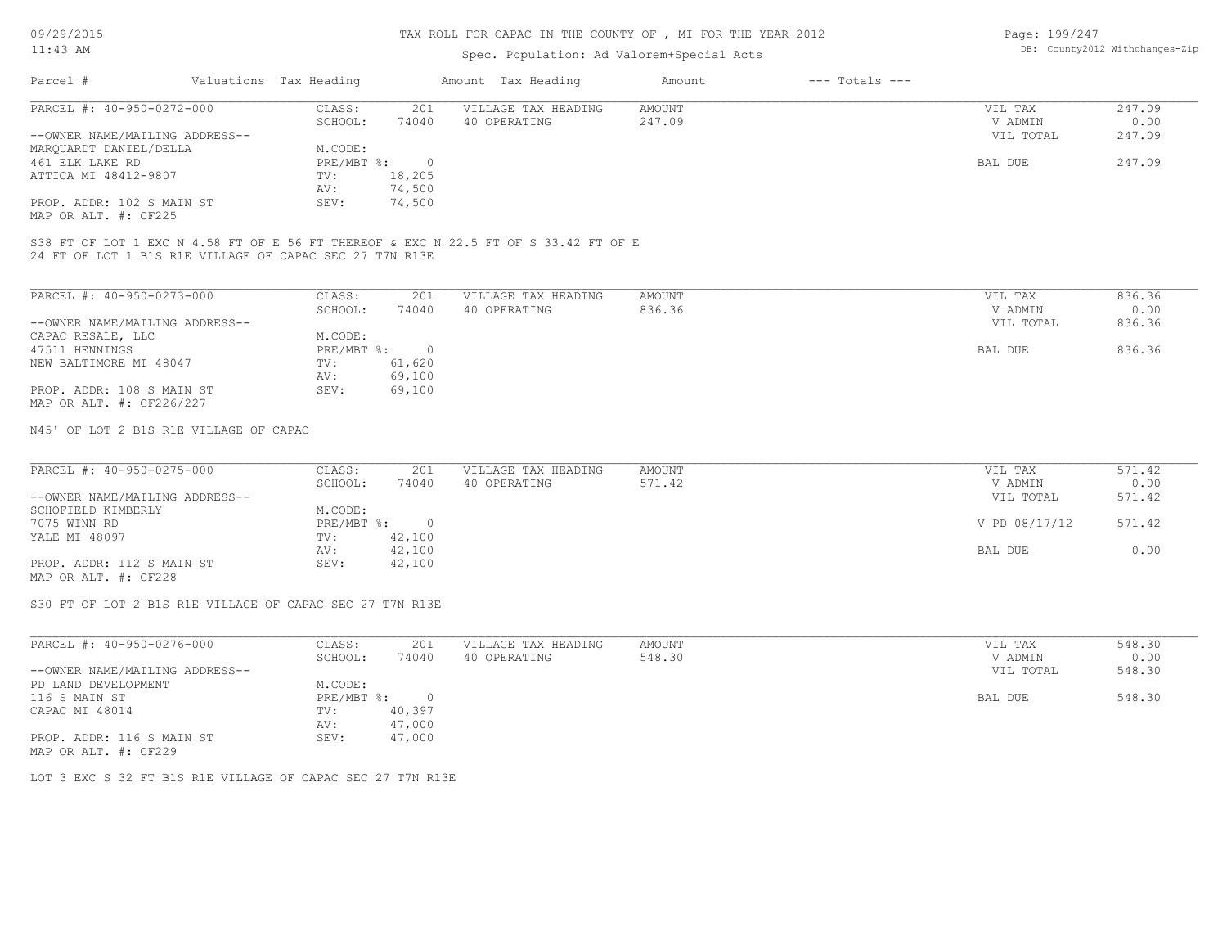## Spec. Population: Ad Valorem+Special Acts

Page: 199/247 DB: County2012 Withchanges-Zip

| Parcel #                       |         | Valuations Tax Heading |              | Amount Tax Heading  | Amount | $---$ Totals $---$ |           |        |
|--------------------------------|---------|------------------------|--------------|---------------------|--------|--------------------|-----------|--------|
| PARCEL #: 40-950-0272-000      |         | CLASS:                 | 201          | VILLAGE TAX HEADING | AMOUNT |                    | VIL TAX   | 247.09 |
|                                | SCHOOL: | 74040                  | 40 OPERATING | 247.09              |        | V ADMIN            | 0.00      |        |
| --OWNER NAME/MAILING ADDRESS-- |         |                        |              |                     |        |                    | VIL TOTAL | 247.09 |
| MARQUARDT DANIEL/DELLA         |         | M.CODE:                |              |                     |        |                    |           |        |
| 461 ELK LAKE RD                |         | $PRE/MBT$ %:           |              |                     |        |                    | BAL DUE   | 247.09 |
| ATTICA MI 48412-9807           |         | TV:                    | 18,205       |                     |        |                    |           |        |
|                                |         | AV:                    | 74,500       |                     |        |                    |           |        |
| PROP. ADDR: 102 S MAIN ST      |         | SEV:                   | 74,500       |                     |        |                    |           |        |
|                                |         |                        |              |                     |        |                    |           |        |

MAP OR ALT. #: CF225

24 FT OF LOT 1 B1S R1E VILLAGE OF CAPAC SEC 27 T7N R13E S38 FT OF LOT 1 EXC N 4.58 FT OF E 56 FT THEREOF & EXC N 22.5 FT OF S 33.42 FT OF E

| PARCEL #: 40-950-0273-000      | CLASS:     | 201    | VILLAGE TAX HEADING | AMOUNT | VIL TAX   | 836.36 |
|--------------------------------|------------|--------|---------------------|--------|-----------|--------|
|                                | SCHOOL:    | 74040  | 40 OPERATING        | 836.36 | V ADMIN   | 0.00   |
| --OWNER NAME/MAILING ADDRESS-- |            |        |                     |        | VIL TOTAL | 836.36 |
| CAPAC RESALE, LLC              | M.CODE:    |        |                     |        |           |        |
| 47511 HENNINGS                 | PRE/MBT %: |        |                     |        | BAL DUE   | 836.36 |
| NEW BALTIMORE MI 48047         | TV:        | 61,620 |                     |        |           |        |
|                                | AV:        | 69,100 |                     |        |           |        |
| PROP. ADDR: 108 S MAIN ST      | SEV:       | 69,100 |                     |        |           |        |
| MAP OR ALT. #: CF226/227       |            |        |                     |        |           |        |

N45' OF LOT 2 B1S R1E VILLAGE OF CAPAC

| PARCEL #: 40-950-0275-000      | CLASS:     | 201    | VILLAGE TAX HEADING | AMOUNT | VIL TAX       | 571.42 |
|--------------------------------|------------|--------|---------------------|--------|---------------|--------|
|                                | SCHOOL:    | 74040  | 40 OPERATING        | 571.42 | V ADMIN       | 0.00   |
| --OWNER NAME/MAILING ADDRESS-- |            |        |                     |        | VIL TOTAL     | 571.42 |
| SCHOFIELD KIMBERLY             | M.CODE:    |        |                     |        |               |        |
| 7075 WINN RD                   | PRE/MBT %: |        |                     |        | V PD 08/17/12 | 571.42 |
| YALE MI 48097                  | TV:        | 42,100 |                     |        |               |        |
|                                | AV:        | 42,100 |                     |        | BAL DUE       | 0.00   |
| PROP. ADDR: 112 S MAIN ST      | SEV:       | 42,100 |                     |        |               |        |
| MAP OR ALT. #: CF228           |            |        |                     |        |               |        |

S30 FT OF LOT 2 B1S R1E VILLAGE OF CAPAC SEC 27 T7N R13E

| PARCEL #: 40-950-0276-000      | CLASS:     | 201    | VILLAGE TAX HEADING | AMOUNT | VIL TAX   | 548.30 |
|--------------------------------|------------|--------|---------------------|--------|-----------|--------|
|                                | SCHOOL:    | 74040  | 40 OPERATING        | 548.30 | V ADMIN   | 0.00   |
| --OWNER NAME/MAILING ADDRESS-- |            |        |                     |        | VIL TOTAL | 548.30 |
| PD LAND DEVELOPMENT            | M.CODE:    |        |                     |        |           |        |
| 116 S MAIN ST                  | PRE/MBT %: |        |                     |        | BAL DUE   | 548.30 |
| CAPAC MI 48014                 | TV:        | 40,397 |                     |        |           |        |
|                                | AV:        | 47,000 |                     |        |           |        |
| PROP. ADDR: 116 S MAIN ST      | SEV:       | 47,000 |                     |        |           |        |
| MAP OR ALT. #: CF229           |            |        |                     |        |           |        |

LOT 3 EXC S 32 FT B1S R1E VILLAGE OF CAPAC SEC 27 T7N R13E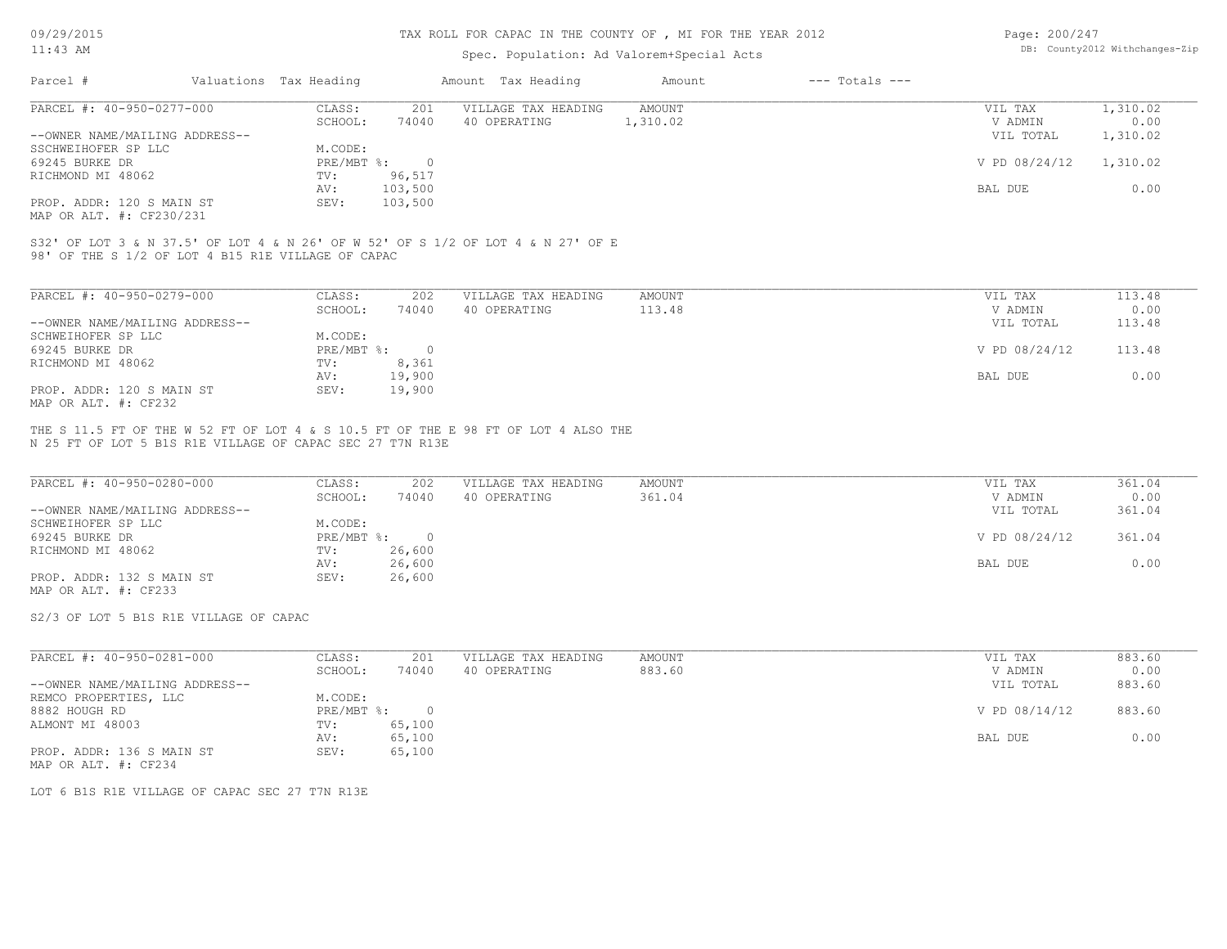#### TAX ROLL FOR CAPAC IN THE COUNTY OF , MI FOR THE YEAR 2012

### Spec. Population: Ad Valorem+Special Acts

| Page: 200/247 |                                |
|---------------|--------------------------------|
|               | DB: County2012 Withchanges-Zip |

| Parcel #                       | Valuations Tax Heading |         | Amount Tax Heading  | Amount   | $---$ Totals $---$ |               |          |
|--------------------------------|------------------------|---------|---------------------|----------|--------------------|---------------|----------|
| PARCEL #: 40-950-0277-000      | CLASS:                 | 201     | VILLAGE TAX HEADING | AMOUNT   |                    | VIL TAX       | 1,310.02 |
|                                | SCHOOL:                | 74040   | 40 OPERATING        | 1,310.02 |                    | V ADMIN       | 0.00     |
| --OWNER NAME/MAILING ADDRESS-- |                        |         |                     |          |                    | VIL TOTAL     | 1,310.02 |
| SSCHWEIHOFER SP LLC            | M.CODE:                |         |                     |          |                    |               |          |
| 69245 BURKE DR                 | PRE/MBT %:             |         |                     |          |                    | V PD 08/24/12 | 1,310.02 |
| RICHMOND MI 48062              | TV:                    | 96,517  |                     |          |                    |               |          |
|                                | AV:                    | 103,500 |                     |          |                    | BAL DUE       | 0.00     |
| PROP. ADDR: 120 S MAIN ST      | SEV:                   | 103,500 |                     |          |                    |               |          |
|                                |                        |         |                     |          |                    |               |          |

MAP OR ALT. #: CF230/231

98' OF THE S 1/2 OF LOT 4 B15 R1E VILLAGE OF CAPAC S32' OF LOT 3 & N 37.5' OF LOT 4 & N 26' OF W 52' OF S 1/2 OF LOT 4 & N 27' OF E

| PARCEL #: 40-950-0279-000      | CLASS:     | 202    | VILLAGE TAX HEADING | AMOUNT | VIL TAX       | 113.48 |
|--------------------------------|------------|--------|---------------------|--------|---------------|--------|
|                                | SCHOOL:    | 74040  | 40 OPERATING        | 113.48 | V ADMIN       | 0.00   |
| --OWNER NAME/MAILING ADDRESS-- |            |        |                     |        | VIL TOTAL     | 113.48 |
| SCHWEIHOFER SP LLC             | M.CODE:    |        |                     |        |               |        |
| 69245 BURKE DR                 | PRE/MBT %: |        |                     |        | V PD 08/24/12 | 113.48 |
| RICHMOND MI 48062              | TV:        | 8,361  |                     |        |               |        |
|                                | AV:        | 19,900 |                     |        | BAL DUE       | 0.00   |
| PROP. ADDR: 120 S MAIN ST      | SEV:       | 19,900 |                     |        |               |        |
| MAP OR ALT. #: CF232           |            |        |                     |        |               |        |

N 25 FT OF LOT 5 B1S R1E VILLAGE OF CAPAC SEC 27 T7N R13E THE S 11.5 FT OF THE W 52 FT OF LOT 4 & S 10.5 FT OF THE E 98 FT OF LOT 4 ALSO THE

| PARCEL #: 40-950-0280-000      | CLASS:     | 202    | VILLAGE TAX HEADING | AMOUNT | VIL TAX       | 361.04 |
|--------------------------------|------------|--------|---------------------|--------|---------------|--------|
|                                | SCHOOL:    | 74040  | 40 OPERATING        | 361.04 | V ADMIN       | 0.00   |
| --OWNER NAME/MAILING ADDRESS-- |            |        |                     |        | VIL TOTAL     | 361.04 |
| SCHWEIHOFER SP LLC             | M.CODE:    |        |                     |        |               |        |
| 69245 BURKE DR                 | PRE/MBT %: |        |                     |        | V PD 08/24/12 | 361.04 |
| RICHMOND MI 48062              | TV:        | 26,600 |                     |        |               |        |
|                                | AV:        | 26,600 |                     |        | BAL DUE       | 0.00   |
| PROP. ADDR: 132 S MAIN ST      | SEV:       | 26,600 |                     |        |               |        |

MAP OR ALT. #: CF233

S2/3 OF LOT 5 B1S R1E VILLAGE OF CAPAC

| PARCEL #: 40-950-0281-000      | CLASS:     | 201    | VILLAGE TAX HEADING | AMOUNT | VIL TAX       | 883.60 |
|--------------------------------|------------|--------|---------------------|--------|---------------|--------|
|                                | SCHOOL:    | 74040  | 40 OPERATING        | 883.60 | V ADMIN       | 0.00   |
| --OWNER NAME/MAILING ADDRESS-- |            |        |                     |        | VIL TOTAL     | 883.60 |
| REMCO PROPERTIES, LLC          | M.CODE:    |        |                     |        |               |        |
| 8882 HOUGH RD                  | PRE/MBT %: |        |                     |        | V PD 08/14/12 | 883.60 |
| ALMONT MI 48003                | TV:        | 65,100 |                     |        |               |        |
|                                | AV:        | 65,100 |                     |        | BAL DUE       | 0.00   |
| PROP. ADDR: 136 S MAIN ST      | SEV:       | 65,100 |                     |        |               |        |
| MAP OR ALT. #: CF234           |            |        |                     |        |               |        |

LOT 6 B1S R1E VILLAGE OF CAPAC SEC 27 T7N R13E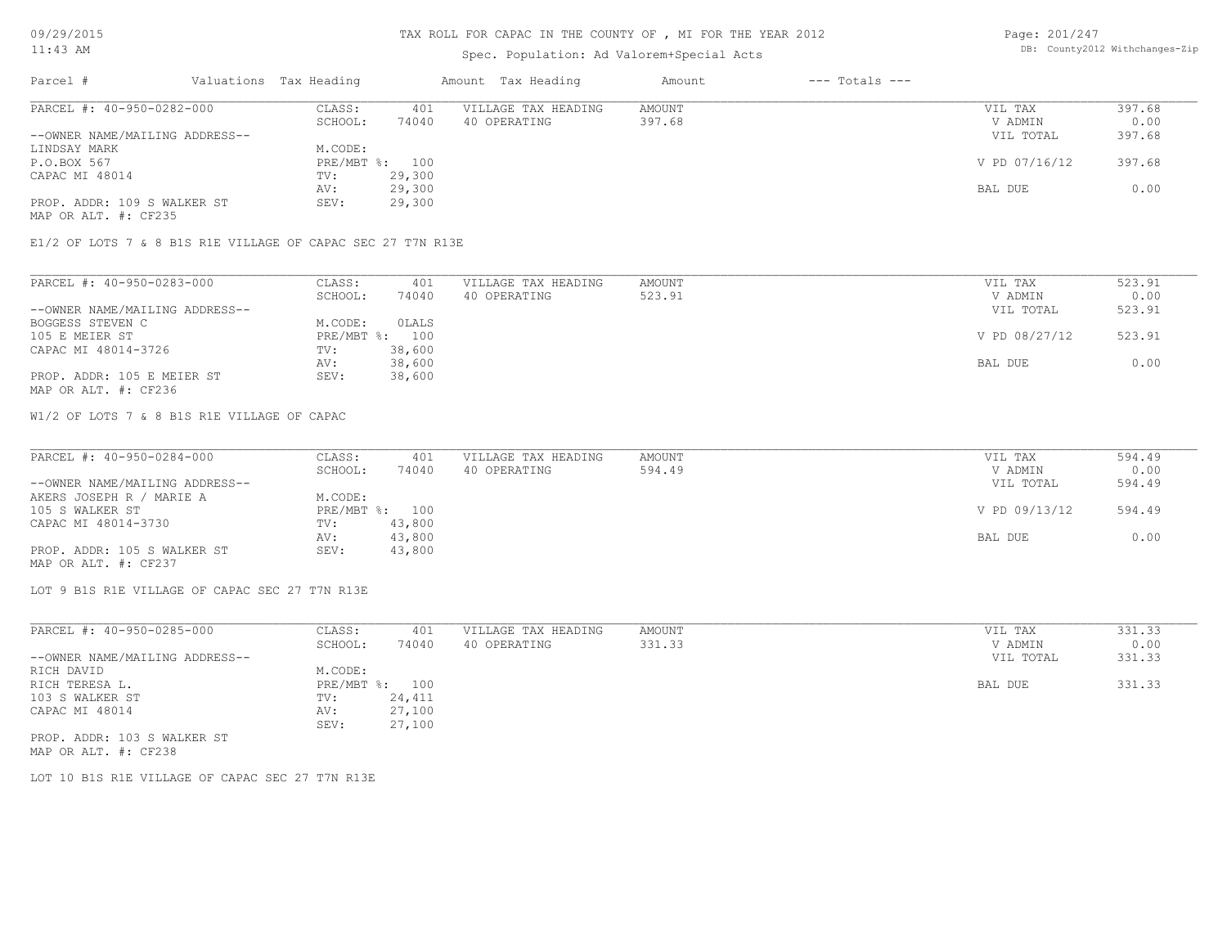### TAX ROLL FOR CAPAC IN THE COUNTY OF , MI FOR THE YEAR 2012

## Spec. Population: Ad Valorem+Special Acts

Page: 201/247 DB: County2012 Withchanges-Zip

| Parcel #                       | Valuations Tax Heading |        | Amount Tax Heading  | Amount | $---$ Totals $---$ |               |        |
|--------------------------------|------------------------|--------|---------------------|--------|--------------------|---------------|--------|
| PARCEL #: 40-950-0282-000      | CLASS:                 | 401    | VILLAGE TAX HEADING | AMOUNT |                    | VIL TAX       | 397.68 |
|                                | SCHOOL:                | 74040  | 40 OPERATING        | 397.68 |                    | V ADMIN       | 0.00   |
| --OWNER NAME/MAILING ADDRESS-- |                        |        |                     |        |                    | VIL TOTAL     | 397.68 |
| LINDSAY MARK                   | M.CODE:                |        |                     |        |                    |               |        |
| P.O.BOX 567                    | PRE/MBT %: 100         |        |                     |        |                    | V PD 07/16/12 | 397.68 |
| CAPAC MI 48014                 | TV:                    | 29,300 |                     |        |                    |               |        |
|                                | AV:                    | 29,300 |                     |        |                    | BAL DUE       | 0.00   |
| PROP. ADDR: 109 S WALKER ST    | SEV:                   | 29,300 |                     |        |                    |               |        |
|                                |                        |        |                     |        |                    |               |        |

MAP OR ALT. #: CF235

E1/2 OF LOTS 7 & 8 B1S R1E VILLAGE OF CAPAC SEC 27 T7N R13E

| PARCEL #: 40-950-0283-000      | CLASS:     | 401    | VILLAGE TAX HEADING | AMOUNT | VIL TAX       | 523.91 |
|--------------------------------|------------|--------|---------------------|--------|---------------|--------|
|                                | SCHOOL:    | 74040  | 40 OPERATING        | 523.91 | V ADMIN       | 0.00   |
| --OWNER NAME/MAILING ADDRESS-- |            |        |                     |        | VIL TOTAL     | 523.91 |
| BOGGESS STEVEN C               | M.CODE:    | OLALS  |                     |        |               |        |
| 105 E MEIER ST                 | PRE/MBT %: | 100    |                     |        | V PD 08/27/12 | 523.91 |
| CAPAC MI 48014-3726            | TV:        | 38,600 |                     |        |               |        |
|                                | AV:        | 38,600 |                     |        | BAL DUE       | 0.00   |
| PROP. ADDR: 105 E MEIER ST     | SEV:       | 38,600 |                     |        |               |        |
| MAP OR ALT. #: CF236           |            |        |                     |        |               |        |

W1/2 OF LOTS 7 & 8 B1S R1E VILLAGE OF CAPAC

| PARCEL #: 40-950-0284-000      | CLASS:  | 401            | VILLAGE TAX HEADING | AMOUNT | VIL TAX       | 594.49 |
|--------------------------------|---------|----------------|---------------------|--------|---------------|--------|
|                                | SCHOOL: | 74040          | 40 OPERATING        | 594.49 | V ADMIN       | 0.00   |
| --OWNER NAME/MAILING ADDRESS-- |         |                |                     |        | VIL TOTAL     | 594.49 |
| AKERS JOSEPH R / MARIE A       | M.CODE: |                |                     |        |               |        |
| 105 S WALKER ST                |         | PRE/MBT %: 100 |                     |        | V PD 09/13/12 | 594.49 |
| CAPAC MI 48014-3730            | TV:     | 43,800         |                     |        |               |        |
|                                | AV:     | 43,800         |                     |        | BAL DUE       | 0.00   |
| PROP. ADDR: 105 S WALKER ST    | SEV:    | 43,800         |                     |        |               |        |
| MAP OR ALT. #: CF237           |         |                |                     |        |               |        |

LOT 9 B1S R1E VILLAGE OF CAPAC SEC 27 T7N R13E

| PARCEL #: 40-950-0285-000      | CLASS:       | 401    | VILLAGE TAX HEADING | AMOUNT | VIL TAX   | 331.33 |
|--------------------------------|--------------|--------|---------------------|--------|-----------|--------|
|                                | SCHOOL:      | 74040  | 40 OPERATING        | 331.33 | V ADMIN   | 0.00   |
| --OWNER NAME/MAILING ADDRESS-- |              |        |                     |        | VIL TOTAL | 331.33 |
| RICH DAVID                     | M.CODE:      |        |                     |        |           |        |
| RICH TERESA L.                 | $PRE/MBT$ %: | 100    |                     |        | BAL DUE   | 331.33 |
| 103 S WALKER ST                | TV:          | 24,411 |                     |        |           |        |
| CAPAC MI 48014                 | AV:          | 27,100 |                     |        |           |        |
|                                | SEV:         | 27,100 |                     |        |           |        |
| PROP. ADDR: 103 S WALKER ST    |              |        |                     |        |           |        |
| MAP OR ALT. #: CF238           |              |        |                     |        |           |        |

LOT 10 B1S R1E VILLAGE OF CAPAC SEC 27 T7N R13E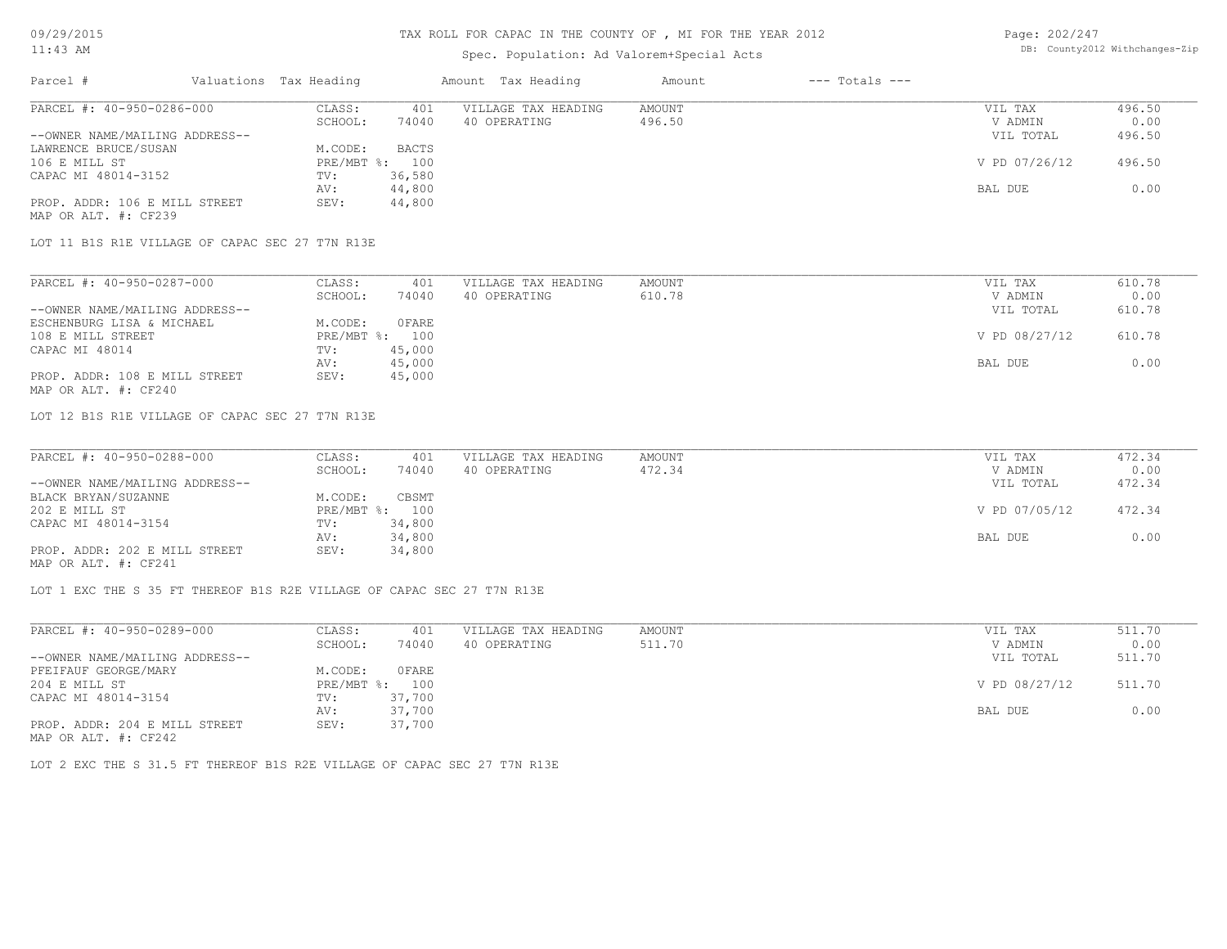## Spec. Population: Ad Valorem+Special Acts

| Page: 202/247 |                                |
|---------------|--------------------------------|
|               | DB: County2012 Withchanges-Zip |

| Parcel #                       | Valuations Tax Heading |              | Amount Tax Heading  | Amount | $---$ Totals $---$ |               |        |
|--------------------------------|------------------------|--------------|---------------------|--------|--------------------|---------------|--------|
| PARCEL #: 40-950-0286-000      | CLASS:                 | 401          | VILLAGE TAX HEADING | AMOUNT |                    | VIL TAX       | 496.50 |
|                                | SCHOOL:                | 74040        | 40 OPERATING        | 496.50 |                    | V ADMIN       | 0.00   |
| --OWNER NAME/MAILING ADDRESS-- |                        |              |                     |        |                    | VIL TOTAL     | 496.50 |
| LAWRENCE BRUCE/SUSAN           | M.CODE:                | <b>BACTS</b> |                     |        |                    |               |        |
| 106 E MILL ST                  | $PRE/MBT$ %:           | 100          |                     |        |                    | V PD 07/26/12 | 496.50 |
| CAPAC MI 48014-3152            | TV:                    | 36,580       |                     |        |                    |               |        |
|                                | AV:                    | 44,800       |                     |        |                    | BAL DUE       | 0.00   |
| PROP. ADDR: 106 E MILL STREET  | SEV:                   | 44,800       |                     |        |                    |               |        |
| MAP OR ALT. #: CF239           |                        |              |                     |        |                    |               |        |

LOT 11 B1S R1E VILLAGE OF CAPAC SEC 27 T7N R13E

| PARCEL #: 40-950-0287-000      | CLASS:  | 401            | VILLAGE TAX HEADING | AMOUNT | VIL TAX       | 610.78 |
|--------------------------------|---------|----------------|---------------------|--------|---------------|--------|
|                                | SCHOOL: | 74040          | 40 OPERATING        | 610.78 | V ADMIN       | 0.00   |
| --OWNER NAME/MAILING ADDRESS-- |         |                |                     |        | VIL TOTAL     | 610.78 |
| ESCHENBURG LISA & MICHAEL      | M.CODE: | OFARE          |                     |        |               |        |
| 108 E MILL STREET              |         | PRE/MBT %: 100 |                     |        | V PD 08/27/12 | 610.78 |
| CAPAC MI 48014                 | TV:     | 45,000         |                     |        |               |        |
|                                | AV:     | 45,000         |                     |        | BAL DUE       | 0.00   |
| PROP. ADDR: 108 E MILL STREET  | SEV:    | 45,000         |                     |        |               |        |
| MAP OR ALT. #: CF240           |         |                |                     |        |               |        |

LOT 12 B1S R1E VILLAGE OF CAPAC SEC 27 T7N R13E

| PARCEL #: 40-950-0288-000      | CLASS:  | 401            | VILLAGE TAX HEADING | AMOUNT | VIL TAX       | 472.34 |
|--------------------------------|---------|----------------|---------------------|--------|---------------|--------|
|                                | SCHOOL: | 74040          | 40 OPERATING        | 472.34 | V ADMIN       | 0.00   |
| --OWNER NAME/MAILING ADDRESS-- |         |                |                     |        | VIL TOTAL     | 472.34 |
| BLACK BRYAN/SUZANNE            | M.CODE: | CBSMT          |                     |        |               |        |
| 202 E MILL ST                  |         | PRE/MBT %: 100 |                     |        | V PD 07/05/12 | 472.34 |
| CAPAC MI 48014-3154            | TV:     | 34,800         |                     |        |               |        |
|                                | AV:     | 34,800         |                     |        | BAL DUE       | 0.00   |
| PROP. ADDR: 202 E MILL STREET  | SEV:    | 34,800         |                     |        |               |        |
| MAP OR ALT. #: CF241           |         |                |                     |        |               |        |

LOT 1 EXC THE S 35 FT THEREOF B1S R2E VILLAGE OF CAPAC SEC 27 T7N R13E

| PARCEL #: 40-950-0289-000      | CLASS:       | 401    | VILLAGE TAX HEADING | AMOUNT | VIL TAX       | 511.70 |
|--------------------------------|--------------|--------|---------------------|--------|---------------|--------|
|                                | SCHOOL:      | 74040  | 40 OPERATING        | 511.70 | V ADMIN       | 0.00   |
| --OWNER NAME/MAILING ADDRESS-- |              |        |                     |        | VIL TOTAL     | 511.70 |
| PFEIFAUF GEORGE/MARY           | M.CODE:      | 0 FARE |                     |        |               |        |
| 204 E MILL ST                  | $PRE/MBT$ %: | 100    |                     |        | V PD 08/27/12 | 511.70 |
| CAPAC MI 48014-3154            | TV:          | 37,700 |                     |        |               |        |
|                                | AV:          | 37,700 |                     |        | BAL DUE       | 0.00   |
| PROP. ADDR: 204 E MILL STREET  | SEV:         | 37,700 |                     |        |               |        |
| MAP OR ALT. #: CF242           |              |        |                     |        |               |        |

LOT 2 EXC THE S 31.5 FT THEREOF B1S R2E VILLAGE OF CAPAC SEC 27 T7N R13E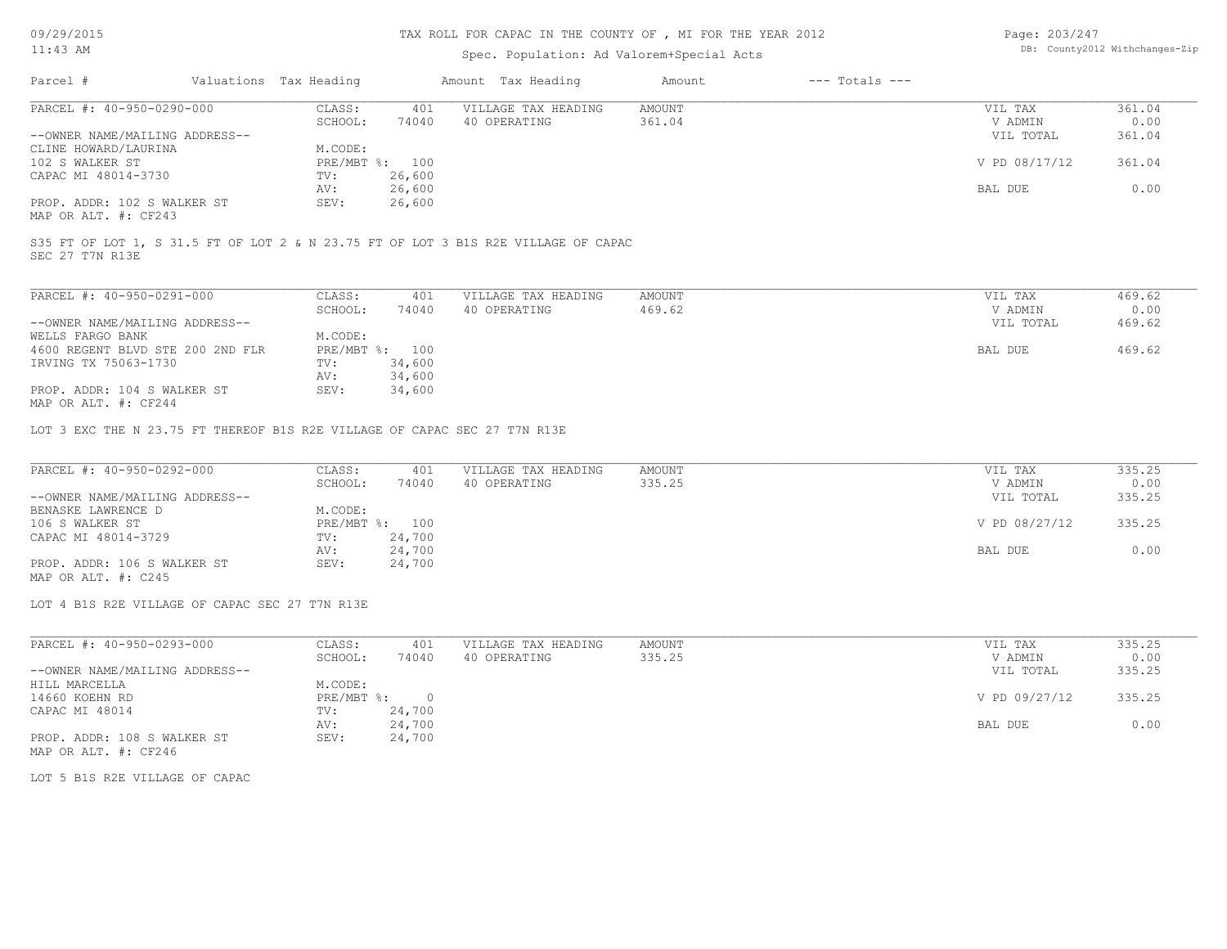## TAX ROLL FOR CAPAC IN THE COUNTY OF , MI FOR THE YEAR 2012

### Spec. Population: Ad Valorem+Special Acts

| Page: 203/247 |                                |
|---------------|--------------------------------|
|               | DB: County2012 Withchanges-Zip |

| Parcel #                       | Valuations Tax Heading |        | Amount Tax Heading  | Amount | $---$ Totals $---$ |               |        |
|--------------------------------|------------------------|--------|---------------------|--------|--------------------|---------------|--------|
| PARCEL #: 40-950-0290-000      | CLASS:                 | 401    | VILLAGE TAX HEADING | AMOUNT |                    | VIL TAX       | 361.04 |
|                                | SCHOOL:                | 74040  | 40 OPERATING        | 361.04 |                    | V ADMIN       | 0.00   |
| --OWNER NAME/MAILING ADDRESS-- |                        |        |                     |        |                    | VIL TOTAL     | 361.04 |
| CLINE HOWARD/LAURINA           | M.CODE:                |        |                     |        |                    |               |        |
| 102 S WALKER ST                | PRE/MBT %: 100         |        |                     |        |                    | V PD 08/17/12 | 361.04 |
| CAPAC MI 48014-3730            | TV:                    | 26,600 |                     |        |                    |               |        |
|                                | AV:                    | 26,600 |                     |        |                    | BAL DUE       | 0.00   |
| PROP. ADDR: 102 S WALKER ST    | SEV:                   | 26,600 |                     |        |                    |               |        |
|                                |                        |        |                     |        |                    |               |        |

MAP OR ALT. #: CF243

SEC 27 T7N R13E S35 FT OF LOT 1, S 31.5 FT OF LOT 2 & N 23.75 FT OF LOT 3 B1S R2E VILLAGE OF CAPAC

| PARCEL #: 40-950-0291-000                                                                                                                              | CLASS:       | 401    | VILLAGE TAX HEADING | AMOUNT | 469.62<br>VIL TAX   |  |
|--------------------------------------------------------------------------------------------------------------------------------------------------------|--------------|--------|---------------------|--------|---------------------|--|
|                                                                                                                                                        | SCHOOL:      | 74040  | 40 OPERATING        | 469.62 | 0.00<br>V ADMIN     |  |
| --OWNER NAME/MAILING ADDRESS--                                                                                                                         |              |        |                     |        | 469.62<br>VIL TOTAL |  |
| WELLS FARGO BANK                                                                                                                                       | M.CODE:      |        |                     |        |                     |  |
| 4600 REGENT BLVD STE 200 2ND FLR                                                                                                                       | $PRE/MBT$ %: | 100    |                     |        | 469.62<br>BAL DUE   |  |
| IRVING TX 75063-1730                                                                                                                                   | TV:          | 34,600 |                     |        |                     |  |
|                                                                                                                                                        | AV:          | 34,600 |                     |        |                     |  |
| PROP. ADDR: 104 S WALKER ST<br>$M \wedge D$ $\wedge D$ $\wedge T$ $\wedge T$ $\wedge T$ $\wedge$ $\wedge$ $\wedge$ $\wedge$ $\wedge$ $\wedge$ $\wedge$ | SEV:         | 34,600 |                     |        |                     |  |

MAP OR ALT. #: CF244

LOT 3 EXC THE N 23.75 FT THEREOF B1S R2E VILLAGE OF CAPAC SEC 27 T7N R13E

| PARCEL #: 40-950-0292-000      | CLASS:  | 401            | VILLAGE TAX HEADING | AMOUNT | VIL TAX       | 335.25 |
|--------------------------------|---------|----------------|---------------------|--------|---------------|--------|
|                                | SCHOOL: | 74040          | 40 OPERATING        | 335.25 | V ADMIN       | 0.00   |
| --OWNER NAME/MAILING ADDRESS-- |         |                |                     |        | VIL TOTAL     | 335.25 |
| BENASKE LAWRENCE D             | M.CODE: |                |                     |        |               |        |
| 106 S WALKER ST                |         | PRE/MBT %: 100 |                     |        | V PD 08/27/12 | 335.25 |
| CAPAC MI 48014-3729            | TV:     | 24,700         |                     |        |               |        |
|                                | AV:     | 24,700         |                     |        | BAL DUE       | 0.00   |
| PROP. ADDR: 106 S WALKER ST    | SEV:    | 24,700         |                     |        |               |        |
| MAP OR ALT. $\#$ : C245        |         |                |                     |        |               |        |

LOT 4 B1S R2E VILLAGE OF CAPAC SEC 27 T7N R13E

| PARCEL #: 40-950-0293-000      | CLASS:       | 401    | VILLAGE TAX HEADING | AMOUNT | VIL TAX       | 335.25 |
|--------------------------------|--------------|--------|---------------------|--------|---------------|--------|
|                                | SCHOOL:      | 74040  | 40 OPERATING        | 335.25 | V ADMIN       | 0.00   |
| --OWNER NAME/MAILING ADDRESS-- |              |        |                     |        | VIL TOTAL     | 335.25 |
| HILL MARCELLA                  | M.CODE:      |        |                     |        |               |        |
| 14660 KOEHN RD                 | $PRE/MBT$ %: |        |                     |        | V PD 09/27/12 | 335.25 |
| CAPAC MI 48014                 | TV:          | 24,700 |                     |        |               |        |
|                                | AV:          | 24,700 |                     |        | BAL DUE       | 0.00   |
| PROP. ADDR: 108 S WALKER ST    | SEV:         | 24,700 |                     |        |               |        |
| MAP OR ALT. #: CF246           |              |        |                     |        |               |        |

LOT 5 B1S R2E VILLAGE OF CAPAC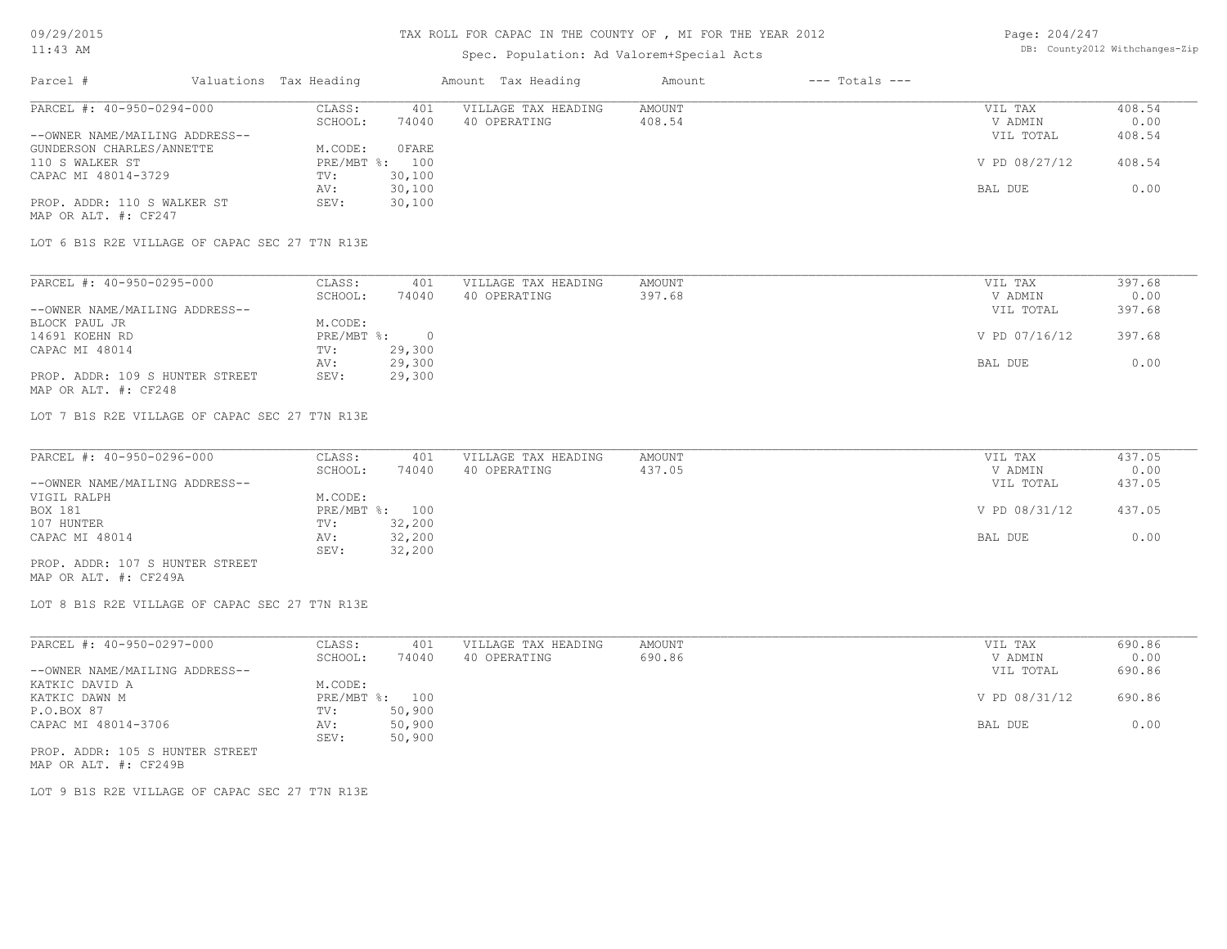## Spec. Population: Ad Valorem+Special Acts

| Page: 204/247 |                                |
|---------------|--------------------------------|
|               | DB: County2012 Withchanges-Zip |

| Parcel #                       | Valuations Tax Heading |        | Amount Tax Heading  | Amount | $---$ Totals $---$ |               |        |
|--------------------------------|------------------------|--------|---------------------|--------|--------------------|---------------|--------|
| PARCEL #: 40-950-0294-000      | CLASS:                 | 401    | VILLAGE TAX HEADING | AMOUNT |                    | VIL TAX       | 408.54 |
|                                | SCHOOL:                | 74040  | 40 OPERATING        | 408.54 |                    | V ADMIN       | 0.00   |
| --OWNER NAME/MAILING ADDRESS-- |                        |        |                     |        |                    | VIL TOTAL     | 408.54 |
| GUNDERSON CHARLES/ANNETTE      | M.CODE:                | OFARE  |                     |        |                    |               |        |
| 110 S WALKER ST                | $PRE/MBT$ %:           | 100    |                     |        |                    | V PD 08/27/12 | 408.54 |
| CAPAC MI 48014-3729            | TV:                    | 30,100 |                     |        |                    |               |        |
|                                | AV:                    | 30,100 |                     |        |                    | BAL DUE       | 0.00   |
| PROP. ADDR: 110 S WALKER ST    | SEV:                   | 30,100 |                     |        |                    |               |        |
| MAP OR ALT. #: CF247           |                        |        |                     |        |                    |               |        |

LOT 6 B1S R2E VILLAGE OF CAPAC SEC 27 T7N R13E

| PARCEL #: 40-950-0295-000       | CLASS:     | 401    | VILLAGE TAX HEADING | AMOUNT | VIL TAX       | 397.68 |
|---------------------------------|------------|--------|---------------------|--------|---------------|--------|
|                                 | SCHOOL:    | 74040  | 40 OPERATING        | 397.68 | V ADMIN       | 0.00   |
| --OWNER NAME/MAILING ADDRESS--  |            |        |                     |        | VIL TOTAL     | 397.68 |
| BLOCK PAUL JR                   | M.CODE:    |        |                     |        |               |        |
| 14691 KOEHN RD                  | PRE/MBT %: |        |                     |        | V PD 07/16/12 | 397.68 |
| CAPAC MI 48014                  | TV:        | 29,300 |                     |        |               |        |
|                                 | AV:        | 29,300 |                     |        | BAL DUE       | 0.00   |
| PROP. ADDR: 109 S HUNTER STREET | SEV:       | 29,300 |                     |        |               |        |
| MAP OR ALT. #: CF248            |            |        |                     |        |               |        |

LOT 7 B1S R2E VILLAGE OF CAPAC SEC 27 T7N R13E

| PARCEL #: 40-950-0296-000       | CLASS:  | 401            | VILLAGE TAX HEADING | AMOUNT | VIL TAX       | 437.05 |
|---------------------------------|---------|----------------|---------------------|--------|---------------|--------|
|                                 | SCHOOL: | 74040          | 40 OPERATING        | 437.05 | V ADMIN       | 0.00   |
| --OWNER NAME/MAILING ADDRESS--  |         |                |                     |        | VIL TOTAL     | 437.05 |
| VIGIL RALPH                     | M.CODE: |                |                     |        |               |        |
| BOX 181                         |         | PRE/MBT %: 100 |                     |        | V PD 08/31/12 | 437.05 |
| 107 HUNTER                      | TV:     | 32,200         |                     |        |               |        |
| CAPAC MI 48014                  | AV:     | 32,200         |                     |        | BAL DUE       | 0.00   |
|                                 | SEV:    | 32,200         |                     |        |               |        |
| PROP. ADDR: 107 S HUNTER STREET |         |                |                     |        |               |        |

MAP OR ALT. #: CF249A

LOT 8 B1S R2E VILLAGE OF CAPAC SEC 27 T7N R13E

| PARCEL #: 40-950-0297-000       | CLASS:       | 401    | VILLAGE TAX HEADING | AMOUNT | VIL TAX       | 690.86 |
|---------------------------------|--------------|--------|---------------------|--------|---------------|--------|
|                                 | SCHOOL:      | 74040  | 40 OPERATING        | 690.86 | V ADMIN       | 0.00   |
| --OWNER NAME/MAILING ADDRESS--  |              |        |                     |        | VIL TOTAL     | 690.86 |
| KATKIC DAVID A                  | M.CODE:      |        |                     |        |               |        |
| KATKIC DAWN M                   | $PRE/MBT$ %: | 100    |                     |        | V PD 08/31/12 | 690.86 |
| P.O.BOX 87                      | TV:          | 50,900 |                     |        |               |        |
| CAPAC MI 48014-3706             | AV:          | 50,900 |                     |        | BAL DUE       | 0.00   |
|                                 | SEV:         | 50,900 |                     |        |               |        |
| PROP. ADDR: 105 S HUNTER STREET |              |        |                     |        |               |        |

MAP OR ALT. #: CF249B

LOT 9 B1S R2E VILLAGE OF CAPAC SEC 27 T7N R13E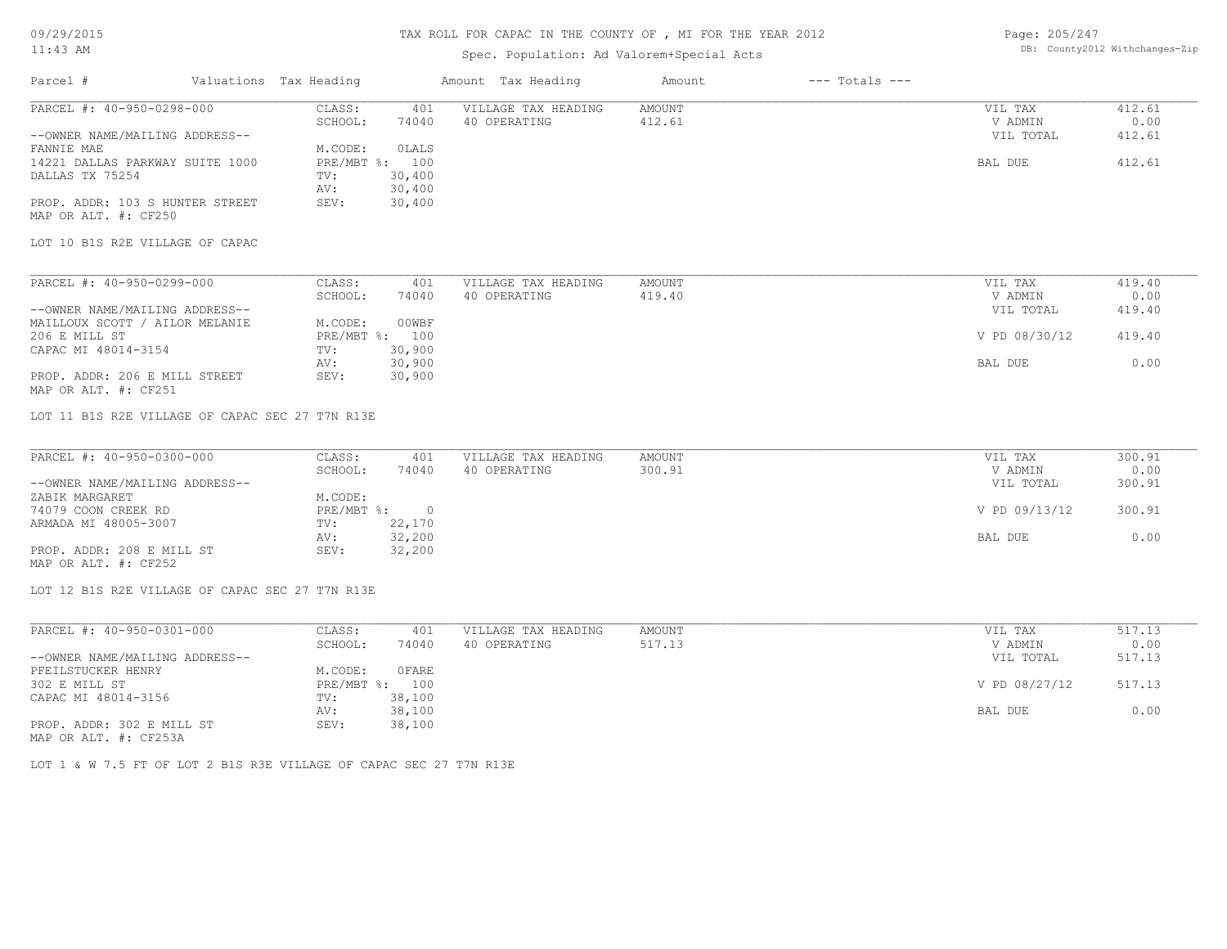### TAX ROLL FOR CAPAC IN THE COUNTY OF , MI FOR THE YEAR 2012

## Spec. Population: Ad Valorem+Special Acts

Page: 205/247 DB: County2012 Withchanges-Zip

| Parcel #                        | Valuations Tax Heading |                | Amount Tax Heading  | Amount | $---$ Totals $---$ |           |        |
|---------------------------------|------------------------|----------------|---------------------|--------|--------------------|-----------|--------|
| PARCEL #: 40-950-0298-000       | CLASS:                 | 401            | VILLAGE TAX HEADING | AMOUNT |                    | VIL TAX   | 412.61 |
|                                 | SCHOOL:                | 74040          | 40 OPERATING        | 412.61 |                    | V ADMIN   | 0.00   |
| --OWNER NAME/MAILING ADDRESS--  |                        |                |                     |        |                    | VIL TOTAL | 412.61 |
| FANNIE MAE                      | M.CODE:                | OLALS          |                     |        |                    |           |        |
| 14221 DALLAS PARKWAY SUITE 1000 |                        | PRE/MBT %: 100 |                     |        |                    | BAL DUE   | 412.61 |
| DALLAS TX 75254                 | TV:                    | 30,400         |                     |        |                    |           |        |
|                                 | AV:                    | 30,400         |                     |        |                    |           |        |
| PROP. ADDR: 103 S HUNTER STREET | SEV:                   | 30,400         |                     |        |                    |           |        |
| MAP OR ALT. #: CF250            |                        |                |                     |        |                    |           |        |
| LOT 10 B1S R2E VILLAGE OF CAPAC |                        |                |                     |        |                    |           |        |

| PARCEL #: 40-950-0299-000      | CLASS:  | 401            | VILLAGE TAX HEADING | AMOUNT | VIL TAX       | 419.40 |
|--------------------------------|---------|----------------|---------------------|--------|---------------|--------|
|                                | SCHOOL: | 74040          | 40 OPERATING        | 419.40 | V ADMIN       | 0.00   |
| --OWNER NAME/MAILING ADDRESS-- |         |                |                     |        | VIL TOTAL     | 419.40 |
| MAILLOUX SCOTT / AILOR MELANIE | M.CODE: | 00WBF          |                     |        |               |        |
| 206 E MILL ST                  |         | PRE/MBT %: 100 |                     |        | V PD 08/30/12 | 419.40 |
| CAPAC MI 48014-3154            | TV:     | 30,900         |                     |        |               |        |
|                                | AV:     | 30,900         |                     |        | BAL DUE       | 0.00   |
| PROP. ADDR: 206 E MILL STREET  | SEV:    | 30,900         |                     |        |               |        |
| MAP OR ALT. #: CF251           |         |                |                     |        |               |        |

LOT 11 B1S R2E VILLAGE OF CAPAC SEC 27 T7N R13E

| PARCEL #: 40-950-0300-000      | CLASS:     | 401    | VILLAGE TAX HEADING | AMOUNT | VIL TAX       | 300.91 |
|--------------------------------|------------|--------|---------------------|--------|---------------|--------|
|                                | SCHOOL:    | 74040  | 40 OPERATING        | 300.91 | V ADMIN       | 0.00   |
| --OWNER NAME/MAILING ADDRESS-- |            |        |                     |        | VIL TOTAL     | 300.91 |
| ZABIK MARGARET                 | M.CODE:    |        |                     |        |               |        |
| 74079 COON CREEK RD            | PRE/MBT %: |        |                     |        | V PD 09/13/12 | 300.91 |
| ARMADA MI 48005-3007           | TV:        | 22,170 |                     |        |               |        |
|                                | AV:        | 32,200 |                     |        | BAL DUE       | 0.00   |
| PROP. ADDR: 208 E MILL ST      | SEV:       | 32,200 |                     |        |               |        |
| MAP OR ALT. #: CF252           |            |        |                     |        |               |        |

LOT 12 B1S R2E VILLAGE OF CAPAC SEC 27 T7N R13E

| PARCEL #: 40-950-0301-000      | CLASS:       | 401    | VILLAGE TAX HEADING | AMOUNT | VIL TAX       | 517.13 |
|--------------------------------|--------------|--------|---------------------|--------|---------------|--------|
|                                | SCHOOL:      | 74040  | 40 OPERATING        | 517.13 | V ADMIN       | 0.00   |
| --OWNER NAME/MAILING ADDRESS-- |              |        |                     |        | VIL TOTAL     | 517.13 |
| PFEILSTUCKER HENRY             | M.CODE:      | OFARE  |                     |        |               |        |
| 302 E MILL ST                  | $PRE/MBT$ %: | 100    |                     |        | V PD 08/27/12 | 517.13 |
| CAPAC MI 48014-3156            | TV:          | 38,100 |                     |        |               |        |
|                                | AV:          | 38,100 |                     |        | BAL DUE       | 0.00   |
| PROP. ADDR: 302 E MILL ST      | SEV:         | 38,100 |                     |        |               |        |
|                                |              |        |                     |        |               |        |

MAP OR ALT. #: CF253A

LOT 1 & W 7.5 FT OF LOT 2 B1S R3E VILLAGE OF CAPAC SEC 27 T7N R13E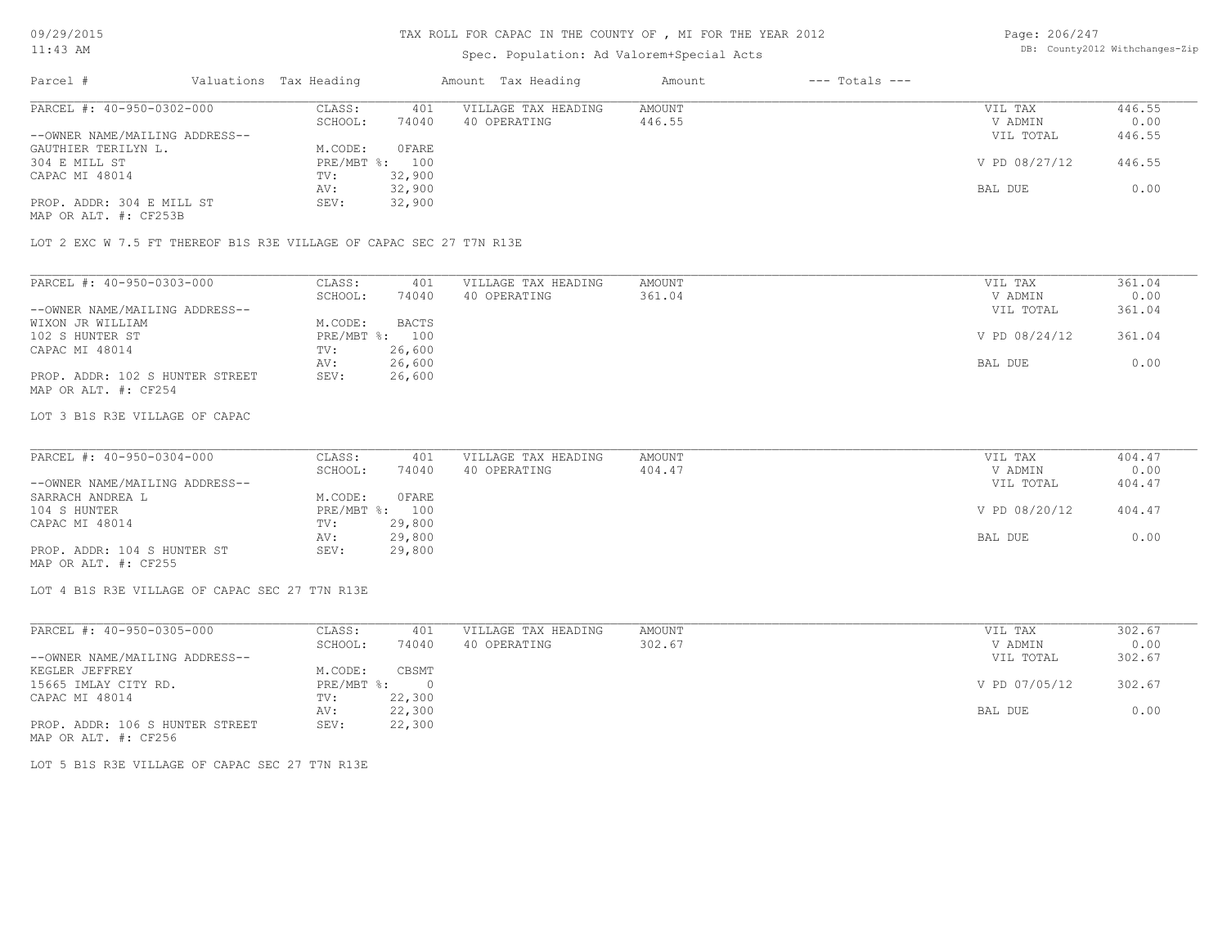## Spec. Population: Ad Valorem+Special Acts

Page: 206/247 DB: County2012 Withchanges-Zip

| Parcel #                  |                                | Valuations Tax Heading |        | Amount Tax Heading  | Amount | $---$ Totals $---$ |               |        |
|---------------------------|--------------------------------|------------------------|--------|---------------------|--------|--------------------|---------------|--------|
| PARCEL #: 40-950-0302-000 |                                | CLASS:                 | 401    | VILLAGE TAX HEADING | AMOUNT |                    | VIL TAX       | 446.55 |
|                           |                                | SCHOOL:                | 74040  | 40 OPERATING        | 446.55 |                    | V ADMIN       | 0.00   |
|                           | --OWNER NAME/MAILING ADDRESS-- |                        |        |                     |        |                    | VIL TOTAL     | 446.55 |
| GAUTHIER TERILYN L.       |                                | M.CODE:                | 0 FARE |                     |        |                    |               |        |
| 304 E MILL ST             |                                | $PRE/MBT$ %:           | 100    |                     |        |                    | V PD 08/27/12 | 446.55 |
| CAPAC MI 48014            |                                | TV:                    | 32,900 |                     |        |                    |               |        |
|                           |                                | AV:                    | 32,900 |                     |        |                    | BAL DUE       | 0.00   |
| PROP. ADDR: 304 E MILL ST |                                | SEV:                   | 32,900 |                     |        |                    |               |        |

MAP OR ALT. #: CF253B

LOT 2 EXC W 7.5 FT THEREOF B1S R3E VILLAGE OF CAPAC SEC 27 T7N R13E

| PARCEL #: 40-950-0303-000       | CLASS:  | 401            | VILLAGE TAX HEADING | AMOUNT | VIL TAX       | 361.04 |
|---------------------------------|---------|----------------|---------------------|--------|---------------|--------|
|                                 | SCHOOL: | 74040          | 40 OPERATING        | 361.04 | V ADMIN       | 0.00   |
| --OWNER NAME/MAILING ADDRESS--  |         |                |                     |        | VIL TOTAL     | 361.04 |
| WIXON JR WILLIAM                | M.CODE: | <b>BACTS</b>   |                     |        |               |        |
| 102 S HUNTER ST                 |         | PRE/MBT %: 100 |                     |        | V PD 08/24/12 | 361.04 |
| CAPAC MI 48014                  | TV:     | 26,600         |                     |        |               |        |
|                                 | AV:     | 26,600         |                     |        | BAL DUE       | 0.00   |
| PROP. ADDR: 102 S HUNTER STREET | SEV:    | 26,600         |                     |        |               |        |
| MAP OR ALT. #: CF254            |         |                |                     |        |               |        |

#### LOT 3 B1S R3E VILLAGE OF CAPAC

| PARCEL #: 40-950-0304-000      | CLASS:  | 401            | VILLAGE TAX HEADING | AMOUNT | VIL TAX       | 404.47 |
|--------------------------------|---------|----------------|---------------------|--------|---------------|--------|
|                                | SCHOOL: | 74040          | 40 OPERATING        | 404.47 | V ADMIN       | 0.00   |
| --OWNER NAME/MAILING ADDRESS-- |         |                |                     |        | VIL TOTAL     | 404.47 |
| SARRACH ANDREA L               | M.CODE: | <b>OFARE</b>   |                     |        |               |        |
| 104 S HUNTER                   |         | PRE/MBT %: 100 |                     |        | V PD 08/20/12 | 404.47 |
| CAPAC MI 48014                 | TV:     | 29,800         |                     |        |               |        |
|                                | AV:     | 29,800         |                     |        | BAL DUE       | 0.00   |
| PROP. ADDR: 104 S HUNTER ST    | SEV:    | 29,800         |                     |        |               |        |

 $\mathcal{L}_\mathcal{L} = \mathcal{L}_\mathcal{L} = \mathcal{L}_\mathcal{L} = \mathcal{L}_\mathcal{L} = \mathcal{L}_\mathcal{L} = \mathcal{L}_\mathcal{L} = \mathcal{L}_\mathcal{L} = \mathcal{L}_\mathcal{L} = \mathcal{L}_\mathcal{L} = \mathcal{L}_\mathcal{L} = \mathcal{L}_\mathcal{L} = \mathcal{L}_\mathcal{L} = \mathcal{L}_\mathcal{L} = \mathcal{L}_\mathcal{L} = \mathcal{L}_\mathcal{L} = \mathcal{L}_\mathcal{L} = \mathcal{L}_\mathcal{L}$ 

MAP OR ALT. #: CF255

LOT 4 B1S R3E VILLAGE OF CAPAC SEC 27 T7N R13E

| PARCEL #: 40-950-0305-000       | CLASS:     | 401     | VILLAGE TAX HEADING | AMOUNT | VIL TAX       | 302.67 |
|---------------------------------|------------|---------|---------------------|--------|---------------|--------|
|                                 | SCHOOL:    | 74040   | 40 OPERATING        | 302.67 | V ADMIN       | 0.00   |
| --OWNER NAME/MAILING ADDRESS--  |            |         |                     |        | VIL TOTAL     | 302.67 |
| KEGLER JEFFREY                  | M.CODE:    | CBSMT   |                     |        |               |        |
| 15665 IMLAY CITY RD.            | PRE/MBT %: | $\circ$ |                     |        | V PD 07/05/12 | 302.67 |
| CAPAC MI 48014                  | TV:        | 22,300  |                     |        |               |        |
|                                 | AV:        | 22,300  |                     |        | BAL DUE       | 0.00   |
| PROP. ADDR: 106 S HUNTER STREET | SEV:       | 22,300  |                     |        |               |        |
| MAP OR ALT. #: CF256            |            |         |                     |        |               |        |

LOT 5 B1S R3E VILLAGE OF CAPAC SEC 27 T7N R13E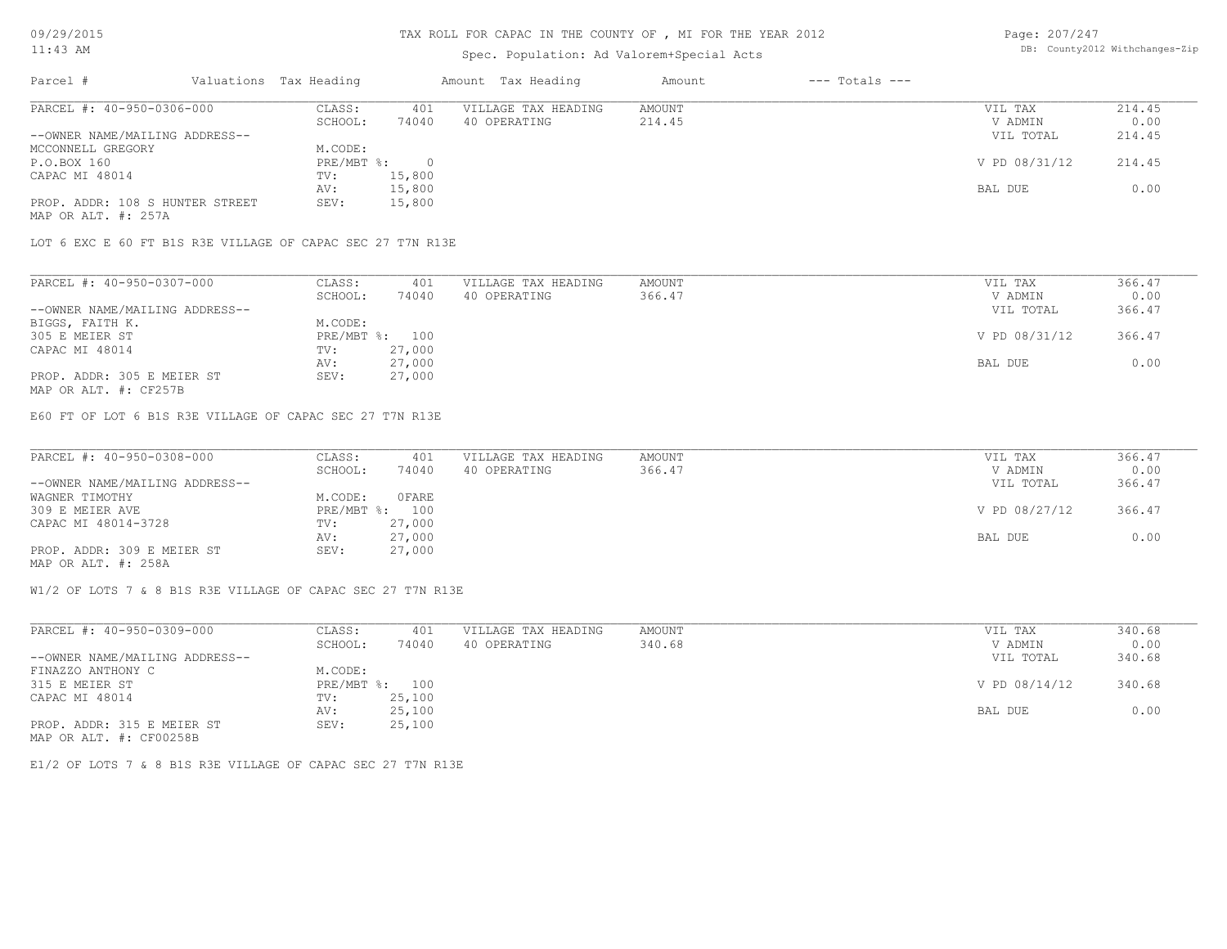### TAX ROLL FOR CAPAC IN THE COUNTY OF , MI FOR THE YEAR 2012

### Spec. Population: Ad Valorem+Special Acts

Page: 207/247 DB: County2012 Withchanges-Zip

| Parcel #                        | Valuations Tax Heading |        | Amount Tax Heading  | Amount | $---$ Totals $---$ |               |        |
|---------------------------------|------------------------|--------|---------------------|--------|--------------------|---------------|--------|
| PARCEL #: 40-950-0306-000       | CLASS:                 | 401    | VILLAGE TAX HEADING | AMOUNT |                    | VIL TAX       | 214.45 |
|                                 | SCHOOL:                | 74040  | 40 OPERATING        | 214.45 |                    | V ADMIN       | 0.00   |
| --OWNER NAME/MAILING ADDRESS--  |                        |        |                     |        |                    | VIL TOTAL     | 214.45 |
| MCCONNELL GREGORY               | M.CODE:                |        |                     |        |                    |               |        |
| P.O.BOX 160                     | PRE/MBT %:             |        |                     |        |                    | V PD 08/31/12 | 214.45 |
| CAPAC MI 48014                  | TV:                    | 15,800 |                     |        |                    |               |        |
|                                 | AV:                    | 15,800 |                     |        |                    | BAL DUE       | 0.00   |
| PROP. ADDR: 108 S HUNTER STREET | SEV:                   | 15,800 |                     |        |                    |               |        |
| MAP OR ALT. #: 257A             |                        |        |                     |        |                    |               |        |

LOT 6 EXC E 60 FT B1S R3E VILLAGE OF CAPAC SEC 27 T7N R13E

| PARCEL #: 40-950-0307-000      | CLASS:  | 401            | VILLAGE TAX HEADING | AMOUNT | VIL TAX       | 366.47 |
|--------------------------------|---------|----------------|---------------------|--------|---------------|--------|
|                                | SCHOOL: | 74040          | 40 OPERATING        | 366.47 | V ADMIN       | 0.00   |
| --OWNER NAME/MAILING ADDRESS-- |         |                |                     |        | VIL TOTAL     | 366.47 |
| BIGGS, FAITH K.                | M.CODE: |                |                     |        |               |        |
| 305 E MEIER ST                 |         | PRE/MBT %: 100 |                     |        | V PD 08/31/12 | 366.47 |
| CAPAC MI 48014                 | TV:     | 27,000         |                     |        |               |        |
|                                | AV:     | 27,000         |                     |        | BAL DUE       | 0.00   |
| PROP. ADDR: 305 E MEIER ST     | SEV:    | 27,000         |                     |        |               |        |
|                                |         |                |                     |        |               |        |

MAP OR ALT. #: CF257B

E60 FT OF LOT 6 B1S R3E VILLAGE OF CAPAC SEC 27 T7N R13E

| PARCEL #: 40-950-0308-000      | CLASS:  | 401            | VILLAGE TAX HEADING | AMOUNT | VIL TAX       | 366.47 |
|--------------------------------|---------|----------------|---------------------|--------|---------------|--------|
|                                | SCHOOL: | 74040          | 40 OPERATING        | 366.47 | V ADMIN       | 0.00   |
| --OWNER NAME/MAILING ADDRESS-- |         |                |                     |        | VIL TOTAL     | 366.47 |
| WAGNER TIMOTHY                 | M.CODE: | OFARE          |                     |        |               |        |
| 309 E MEIER AVE                |         | PRE/MBT %: 100 |                     |        | V PD 08/27/12 | 366.47 |
| CAPAC MI 48014-3728            | TV:     | 27,000         |                     |        |               |        |
|                                | AV:     | 27,000         |                     |        | BAL DUE       | 0.00   |
| PROP. ADDR: 309 E MEIER ST     | SEV:    | 27,000         |                     |        |               |        |
| MAP OR ALT. #: 258A            |         |                |                     |        |               |        |

W1/2 OF LOTS 7 & 8 B1S R3E VILLAGE OF CAPAC SEC 27 T7N R13E

| PARCEL #: 40-950-0309-000      | CLASS:                    | 401    | VILLAGE TAX HEADING | AMOUNT | VIL TAX       | 340.68 |
|--------------------------------|---------------------------|--------|---------------------|--------|---------------|--------|
|                                | SCHOOL:                   | 74040  | 40 OPERATING        | 340.68 | V ADMIN       | 0.00   |
| --OWNER NAME/MAILING ADDRESS-- |                           |        |                     |        | VIL TOTAL     | 340.68 |
| FINAZZO ANTHONY C              | M.CODE:                   |        |                     |        |               |        |
| 315 E MEIER ST                 | $PRE/MBT$ $\frac{1}{6}$ : | 100    |                     |        | V PD 08/14/12 | 340.68 |
| CAPAC MI 48014                 | TV:                       | 25,100 |                     |        |               |        |
|                                | AV:                       | 25,100 |                     |        | BAL DUE       | 0.00   |
| PROP. ADDR: 315 E MEIER ST     | SEV:                      | 25,100 |                     |        |               |        |
| MAP OR ALT. #: CF00258B        |                           |        |                     |        |               |        |

E1/2 OF LOTS 7 & 8 B1S R3E VILLAGE OF CAPAC SEC 27 T7N R13E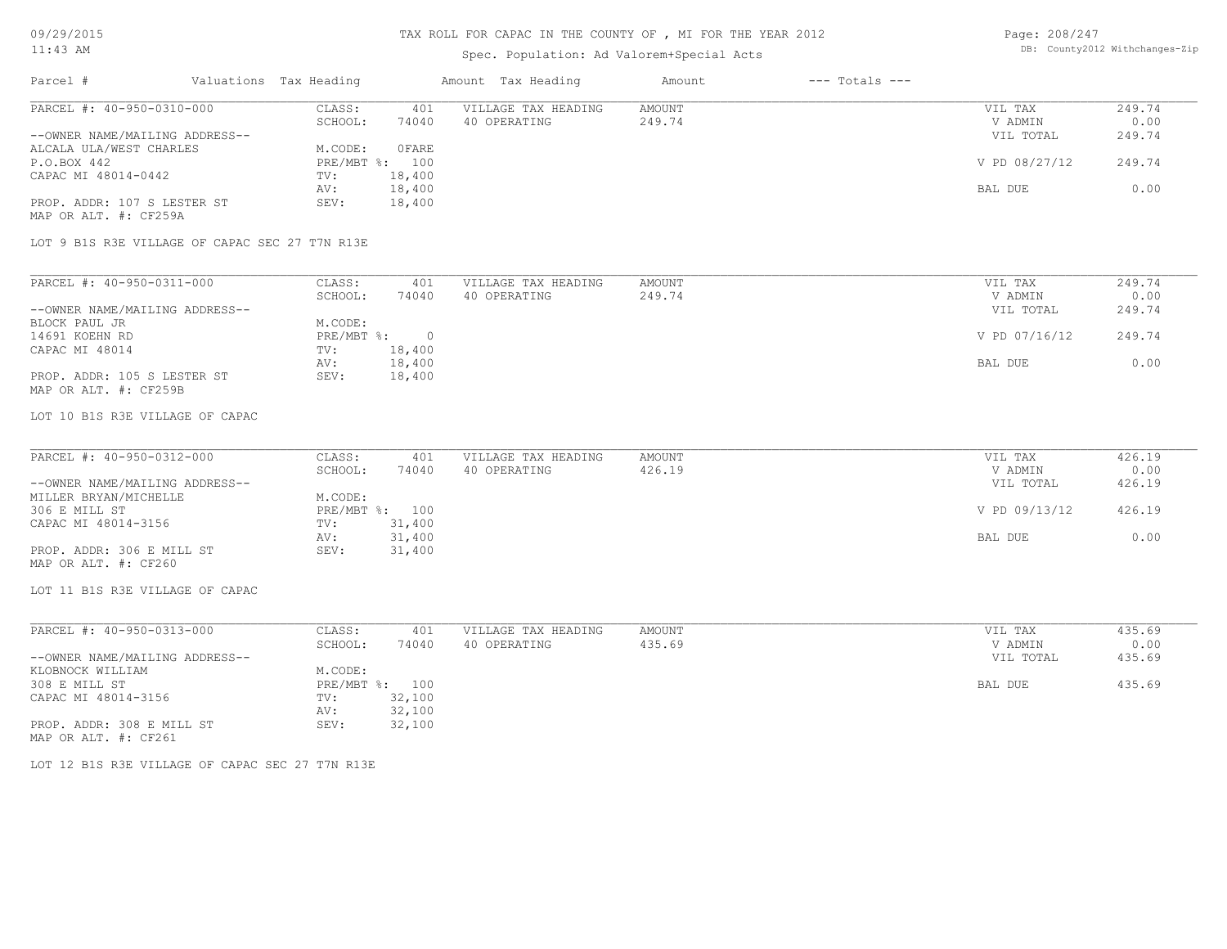### Spec. Population: Ad Valorem+Special Acts

| Page: 208/247 |                                |
|---------------|--------------------------------|
|               | DB: County2012 Withchanges-Zip |

| Parcel #                       | Valuations Tax Heading |              | Amount Tax Heading  | Amount | $---$ Totals $---$ |               |        |
|--------------------------------|------------------------|--------------|---------------------|--------|--------------------|---------------|--------|
| PARCEL #: 40-950-0310-000      | CLASS:                 | 401          | VILLAGE TAX HEADING | AMOUNT |                    | VIL TAX       | 249.74 |
|                                | SCHOOL:                | 74040        | 40 OPERATING        | 249.74 |                    | V ADMIN       | 0.00   |
| --OWNER NAME/MAILING ADDRESS-- |                        |              |                     |        |                    | VIL TOTAL     | 249.74 |
| ALCALA ULA/WEST CHARLES        | M.CODE:                | <b>OFARE</b> |                     |        |                    |               |        |
| P.O.BOX 442                    | PRE/MBT %: 100         |              |                     |        |                    | V PD 08/27/12 | 249.74 |
| CAPAC MI 48014-0442            | TV:                    | 18,400       |                     |        |                    |               |        |
|                                | AV:                    | 18,400       |                     |        |                    | BAL DUE       | 0.00   |
| PROP. ADDR: 107 S LESTER ST    | SEV:                   | 18,400       |                     |        |                    |               |        |
| MAP OR ALT. #: CF259A          |                        |              |                     |        |                    |               |        |

LOT 9 B1S R3E VILLAGE OF CAPAC SEC 27 T7N R13E

MAP OR ALT. #: CF259B PROP. ADDR: 105 S LESTER ST SEV: 18,400 AV: 18,400 BAL DUE 0.00 CAPAC MI 48014 TV: 18,400<br>
AV: 18,400 14691 KOEHN RD PRE/MBT %: 0 V PD 07/16/12 249.74 BLOCK PAUL JR M.CODE: --OWNER NAME/MAILING ADDRESS-- VIL TOTAL 249.74 SCHOOL: 74040 40 OPERATING 249.74 2000 2000 2000 V ADMIN 0.00 PARCEL #: 40-950-0311-000 CLASS: 401 VILLAGE TAX HEADING AMOUNT VIL TAX VIL TAX 249.74 9:00  $\mathcal{L}_\mathcal{L} = \mathcal{L}_\mathcal{L} = \mathcal{L}_\mathcal{L} = \mathcal{L}_\mathcal{L} = \mathcal{L}_\mathcal{L} = \mathcal{L}_\mathcal{L} = \mathcal{L}_\mathcal{L} = \mathcal{L}_\mathcal{L} = \mathcal{L}_\mathcal{L} = \mathcal{L}_\mathcal{L} = \mathcal{L}_\mathcal{L} = \mathcal{L}_\mathcal{L} = \mathcal{L}_\mathcal{L} = \mathcal{L}_\mathcal{L} = \mathcal{L}_\mathcal{L} = \mathcal{L}_\mathcal{L} = \mathcal{L}_\mathcal{L}$ 

LOT 10 B1S R3E VILLAGE OF CAPAC

| PARCEL #: 40-950-0312-000      | CLASS:  | 401            | VILLAGE TAX HEADING | AMOUNT | VIL TAX       | 426.19 |
|--------------------------------|---------|----------------|---------------------|--------|---------------|--------|
|                                | SCHOOL: | 74040          | 40 OPERATING        | 426.19 | V ADMIN       | 0.00   |
| --OWNER NAME/MAILING ADDRESS-- |         |                |                     |        | VIL TOTAL     | 426.19 |
| MILLER BRYAN/MICHELLE          | M.CODE: |                |                     |        |               |        |
| 306 E MILL ST                  |         | PRE/MBT %: 100 |                     |        | V PD 09/13/12 | 426.19 |
| CAPAC MI 48014-3156            | TV:     | 31,400         |                     |        |               |        |
|                                | AV:     | 31,400         |                     |        | BAL DUE       | 0.00   |
| PROP. ADDR: 306 E MILL ST      | SEV:    | 31,400         |                     |        |               |        |
| MAP OR ALT. #: CF260           |         |                |                     |        |               |        |

LOT 11 B1S R3E VILLAGE OF CAPAC

| PARCEL #: 40-950-0313-000      | CLASS:  | 401            | VILLAGE TAX HEADING | AMOUNT | VIL TAX   | 435.69 |
|--------------------------------|---------|----------------|---------------------|--------|-----------|--------|
|                                | SCHOOL: | 74040          | 40 OPERATING        | 435.69 | V ADMIN   | 0.00   |
| --OWNER NAME/MAILING ADDRESS-- |         |                |                     |        | VIL TOTAL | 435.69 |
| KLOBNOCK WILLIAM               | M.CODE: |                |                     |        |           |        |
| 308 E MILL ST                  |         | PRE/MBT %: 100 |                     |        | BAL DUE   | 435.69 |
| CAPAC MI 48014-3156            | TV:     | 32,100         |                     |        |           |        |
|                                | AV:     | 32,100         |                     |        |           |        |
| PROP. ADDR: 308 E MILL ST      | SEV:    | 32,100         |                     |        |           |        |
| MAP OR ALT. #: CF261           |         |                |                     |        |           |        |

LOT 12 B1S R3E VILLAGE OF CAPAC SEC 27 T7N R13E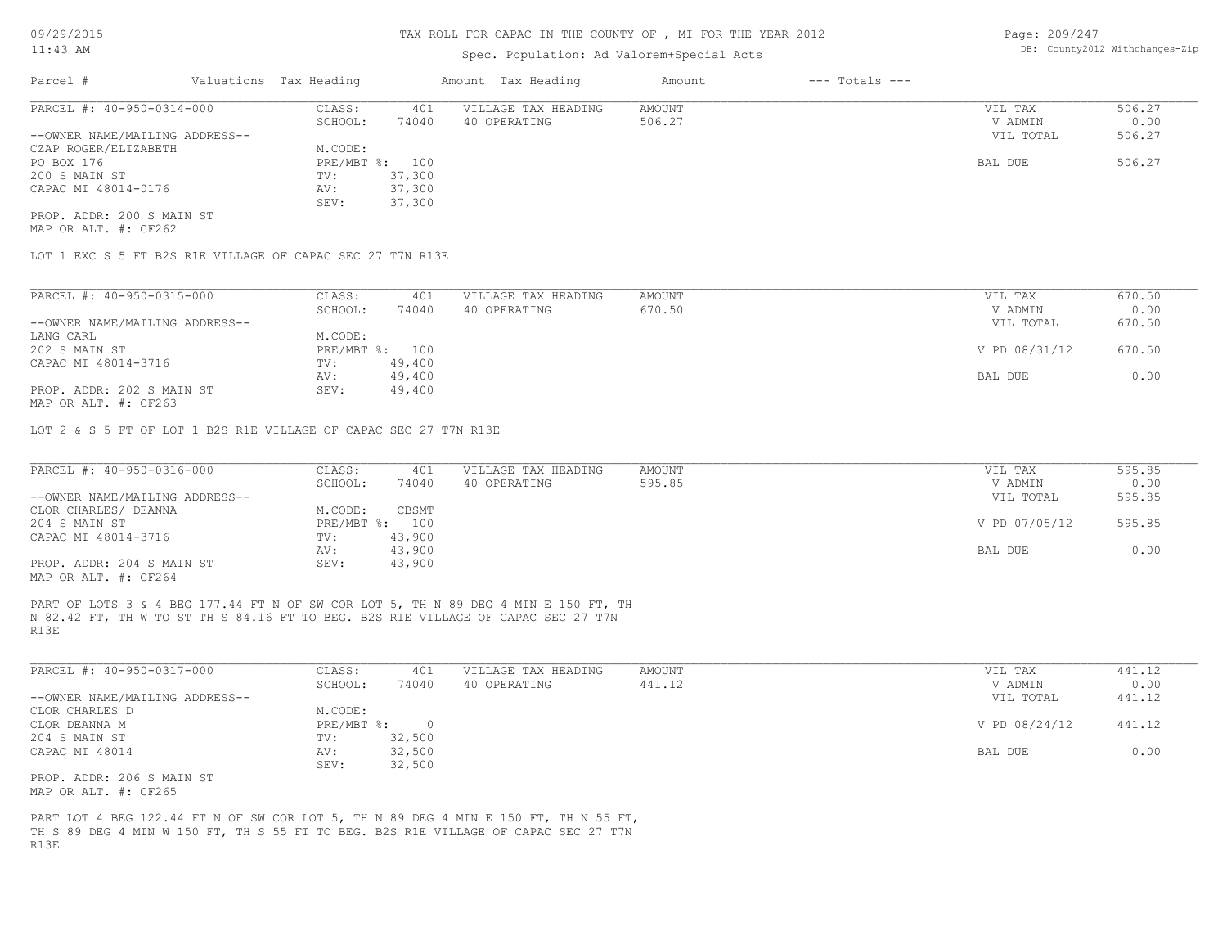### Spec. Population: Ad Valorem+Special Acts

Page: 209/247 DB: County2012 Withchanges-Zip

| Parcel #                       | Valuations Tax Heading |        | Amount Tax Heading  | Amount | $---$ Totals $---$ |           |        |
|--------------------------------|------------------------|--------|---------------------|--------|--------------------|-----------|--------|
| PARCEL #: 40-950-0314-000      | CLASS:                 | 401    | VILLAGE TAX HEADING | AMOUNT |                    | VIL TAX   | 506.27 |
|                                | SCHOOL:                | 74040  | 40 OPERATING        | 506.27 |                    | V ADMIN   | 0.00   |
| --OWNER NAME/MAILING ADDRESS-- |                        |        |                     |        |                    | VIL TOTAL | 506.27 |
| CZAP ROGER/ELIZABETH           | M.CODE:                |        |                     |        |                    |           |        |
| PO BOX 176                     | PRE/MBT %: 100         |        |                     |        |                    | BAL DUE   | 506.27 |
| 200 S MAIN ST                  | TV:                    | 37,300 |                     |        |                    |           |        |
| CAPAC MI 48014-0176            | AV:                    | 37,300 |                     |        |                    |           |        |
|                                | SEV:                   | 37,300 |                     |        |                    |           |        |
| PROP. ADDR: 200 S MAIN ST      |                        |        |                     |        |                    |           |        |

MAP OR ALT. #: CF262

LOT 1 EXC S 5 FT B2S R1E VILLAGE OF CAPAC SEC 27 T7N R13E

| PARCEL #: 40-950-0315-000                    | CLASS:     | 401    | VILLAGE TAX HEADING | AMOUNT | VIL TAX       | 670.50 |
|----------------------------------------------|------------|--------|---------------------|--------|---------------|--------|
|                                              | SCHOOL:    | 74040  | 40 OPERATING        | 670.50 | V ADMIN       | 0.00   |
| --OWNER NAME/MAILING ADDRESS--               |            |        |                     |        | VIL TOTAL     | 670.50 |
| LANG CARL                                    | M.CODE:    |        |                     |        |               |        |
| 202 S MAIN ST                                | PRE/MBT %: | 100    |                     |        | V PD 08/31/12 | 670.50 |
| CAPAC MI 48014-3716                          | TV:        | 49,400 |                     |        |               |        |
|                                              | AV:        | 49,400 |                     |        | BAL DUE       | 0.00   |
| PROP. ADDR: 202 S MAIN ST                    | SEV:       | 49,400 |                     |        |               |        |
| $\cdots$ $\cdots$ $\cdots$ $\cdots$ $\cdots$ |            |        |                     |        |               |        |

MAP OR ALT. #: CF263

LOT 2 & S 5 FT OF LOT 1 B2S R1E VILLAGE OF CAPAC SEC 27 T7N R13E

| PARCEL #: 40-950-0316-000      | CLASS:  | 401            | VILLAGE TAX HEADING | AMOUNT | VIL TAX       | 595.85 |
|--------------------------------|---------|----------------|---------------------|--------|---------------|--------|
|                                | SCHOOL: | 74040          | 40 OPERATING        | 595.85 | V ADMIN       | 0.00   |
| --OWNER NAME/MAILING ADDRESS-- |         |                |                     |        | VIL TOTAL     | 595.85 |
| CLOR CHARLES/ DEANNA           | M.CODE: | CBSMT          |                     |        |               |        |
| 204 S MAIN ST                  |         | PRE/MBT %: 100 |                     |        | V PD 07/05/12 | 595.85 |
| CAPAC MI 48014-3716            | TV:     | 43,900         |                     |        |               |        |
|                                | AV:     | 43,900         |                     |        | BAL DUE       | 0.00   |
| PROP. ADDR: 204 S MAIN ST      | SEV:    | 43,900         |                     |        |               |        |
| MAP OR ALT. #: CF264           |         |                |                     |        |               |        |

R13E N 82.42 FT, TH W TO ST TH S 84.16 FT TO BEG. B2S R1E VILLAGE OF CAPAC SEC 27 T7N PART OF LOTS 3 & 4 BEG 177.44 FT N OF SW COR LOT 5, TH N 89 DEG 4 MIN E 150 FT, TH

| PARCEL #: 40-950-0317-000      | CLASS:       | 401    | VILLAGE TAX HEADING | AMOUNT | VIL TAX       | 441.12 |
|--------------------------------|--------------|--------|---------------------|--------|---------------|--------|
|                                | SCHOOL:      | 74040  | 40 OPERATING        | 441.12 | V ADMIN       | 0.00   |
| --OWNER NAME/MAILING ADDRESS-- |              |        |                     |        | VIL TOTAL     | 441.12 |
| CLOR CHARLES D                 | M.CODE:      |        |                     |        |               |        |
| CLOR DEANNA M                  | $PRE/MBT$ %: |        |                     |        | V PD 08/24/12 | 441.12 |
| 204 S MAIN ST                  | TV:          | 32,500 |                     |        |               |        |
| CAPAC MI 48014                 | AV:          | 32,500 |                     |        | BAL DUE       | 0.00   |
|                                | SEV:         | 32,500 |                     |        |               |        |
| PROP. ADDR: 206 S MAIN ST      |              |        |                     |        |               |        |

MAP OR ALT. #: CF265

R13E TH S 89 DEG 4 MIN W 150 FT, TH S 55 FT TO BEG. B2S R1E VILLAGE OF CAPAC SEC 27 T7N PART LOT 4 BEG 122.44 FT N OF SW COR LOT 5, TH N 89 DEG 4 MIN E 150 FT, TH N 55 FT,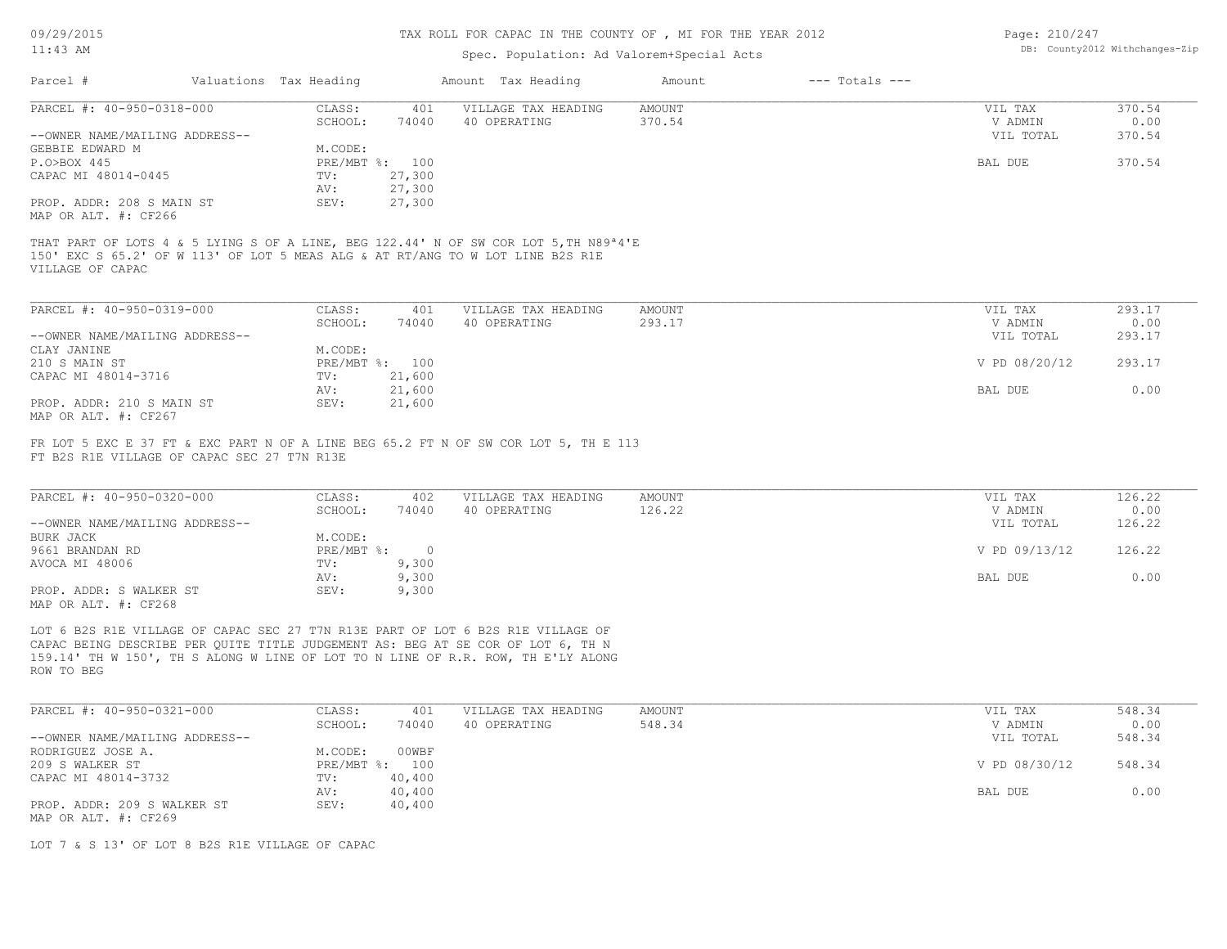09/29/2015

### TAX ROLL FOR CAPAC IN THE COUNTY OF , MI FOR THE YEAR 2012

| Page: 210/247 |                               |
|---------------|-------------------------------|
|               | DB: County2012 Withchanges-Zi |

| 09/29/2015                                        |                                             | TAX ROLL FOR CAPAC IN THE COUNTY OF , MI FOR THE YEAR ZUIZ |         |                                                                                                                                                                                    |                                |                    |               | Page: $\angle$ 10/24/ |  |  |
|---------------------------------------------------|---------------------------------------------|------------------------------------------------------------|---------|------------------------------------------------------------------------------------------------------------------------------------------------------------------------------------|--------------------------------|--------------------|---------------|-----------------------|--|--|
| $11:43$ AM                                        |                                             |                                                            |         |                                                                                                                                                                                    | DB: County2012 Withchanges-Zip |                    |               |                       |  |  |
| Parcel #                                          |                                             | Valuations Tax Heading                                     |         | Amount Tax Heading                                                                                                                                                                 | Amount                         | $---$ Totals $---$ |               |                       |  |  |
| PARCEL #: 40-950-0318-000                         |                                             | CLASS:                                                     | 401     | VILLAGE TAX HEADING                                                                                                                                                                | AMOUNT                         |                    | VIL TAX       | 370.54                |  |  |
|                                                   |                                             | SCHOOL:                                                    | 74040   | 40 OPERATING                                                                                                                                                                       | 370.54                         |                    | V ADMIN       | 0.00                  |  |  |
| --OWNER NAME/MAILING ADDRESS--                    |                                             |                                                            |         |                                                                                                                                                                                    |                                |                    | VIL TOTAL     | 370.54                |  |  |
| GEBBIE EDWARD M                                   |                                             | M.CODE:                                                    |         |                                                                                                                                                                                    |                                |                    |               |                       |  |  |
| P.O>BOX 445                                       |                                             | PRE/MBT %: 100                                             |         |                                                                                                                                                                                    |                                |                    | BAL DUE       | 370.54                |  |  |
| CAPAC MI 48014-0445                               |                                             | TV:                                                        | 27,300  |                                                                                                                                                                                    |                                |                    |               |                       |  |  |
|                                                   |                                             | AV:<br>SEV:                                                | 27,300  |                                                                                                                                                                                    |                                |                    |               |                       |  |  |
| PROP. ADDR: 208 S MAIN ST<br>MAP OR ALT. #: CF266 |                                             |                                                            | 27,300  |                                                                                                                                                                                    |                                |                    |               |                       |  |  |
|                                                   |                                             |                                                            |         | THAT PART OF LOTS 4 & 5 LYING S OF A LINE, BEG 122.44' N OF SW COR LOT 5, TH N89 <sup>a4'E</sup><br>150' EXC S 65.2' OF W 113' OF LOT 5 MEAS ALG & AT RT/ANG TO W LOT LINE B2S R1E |                                |                    |               |                       |  |  |
| VILLAGE OF CAPAC                                  |                                             |                                                            |         |                                                                                                                                                                                    |                                |                    |               |                       |  |  |
| PARCEL #: 40-950-0319-000                         |                                             | CLASS:                                                     | 401     | VILLAGE TAX HEADING                                                                                                                                                                | <b>AMOUNT</b>                  |                    | VIL TAX       | 293.17                |  |  |
|                                                   |                                             | SCHOOL:                                                    | 74040   | 40 OPERATING                                                                                                                                                                       | 293.17                         |                    | V ADMIN       | 0.00                  |  |  |
| --OWNER NAME/MAILING ADDRESS--                    |                                             |                                                            |         |                                                                                                                                                                                    |                                |                    | VIL TOTAL     | 293.17                |  |  |
| CLAY JANINE                                       |                                             | M.CODE:                                                    |         |                                                                                                                                                                                    |                                |                    |               |                       |  |  |
| 210 S MAIN ST                                     |                                             | PRE/MBT %: 100                                             |         |                                                                                                                                                                                    |                                |                    | V PD 08/20/12 | 293.17                |  |  |
| CAPAC MI 48014-3716                               |                                             | TV:                                                        | 21,600  |                                                                                                                                                                                    |                                |                    |               |                       |  |  |
|                                                   |                                             | AV:                                                        | 21,600  |                                                                                                                                                                                    |                                |                    | BAL DUE       | 0.00                  |  |  |
| PROP. ADDR: 210 S MAIN ST                         |                                             | SEV:                                                       | 21,600  |                                                                                                                                                                                    |                                |                    |               |                       |  |  |
| MAP OR ALT. #: CF267                              |                                             |                                                            |         |                                                                                                                                                                                    |                                |                    |               |                       |  |  |
|                                                   |                                             |                                                            |         | FR LOT 5 EXC E 37 FT & EXC PART N OF A LINE BEG 65.2 FT N OF SW COR LOT 5, TH E 113                                                                                                |                                |                    |               |                       |  |  |
|                                                   | FT B2S R1E VILLAGE OF CAPAC SEC 27 T7N R13E |                                                            |         |                                                                                                                                                                                    |                                |                    |               |                       |  |  |
| PARCEL #: 40-950-0320-000                         |                                             | CLASS:                                                     | 402     | VILLAGE TAX HEADING                                                                                                                                                                | AMOUNT                         |                    | VIL TAX       | 126.22                |  |  |
|                                                   |                                             | SCHOOL:                                                    | 74040   | 40 OPERATING                                                                                                                                                                       | 126.22                         |                    | V ADMIN       | 0.00                  |  |  |
| --OWNER NAME/MAILING ADDRESS--                    |                                             |                                                            |         |                                                                                                                                                                                    |                                |                    | VIL TOTAL     | 126.22                |  |  |
| <b>BURK JACK</b>                                  |                                             | M.CODE:                                                    |         |                                                                                                                                                                                    |                                |                    |               |                       |  |  |
| 9661 BRANDAN RD                                   |                                             | PRE/MBT %:                                                 | $\circ$ |                                                                                                                                                                                    |                                |                    | V PD 09/13/12 | 126.22                |  |  |
| AVOCA MI 48006                                    |                                             | TV:                                                        | 9,300   |                                                                                                                                                                                    |                                |                    |               |                       |  |  |
|                                                   |                                             | AV:                                                        | 9,300   |                                                                                                                                                                                    |                                |                    | BAL DUE       | 0.00                  |  |  |
| PROP. ADDR: S WALKER ST                           |                                             | SEV:                                                       | 9,300   |                                                                                                                                                                                    |                                |                    |               |                       |  |  |
| MAP OR ALT. #: CF268                              |                                             |                                                            |         |                                                                                                                                                                                    |                                |                    |               |                       |  |  |
|                                                   |                                             |                                                            |         | LOT 6 B2S R1E VILLAGE OF CAPAC SEC 27 T7N R13E PART OF LOT 6 B2S R1E VILLAGE OF                                                                                                    |                                |                    |               |                       |  |  |
|                                                   |                                             |                                                            |         | CAPAC BEING DESCRIBE PER QUITE TITLE JUDGEMENT AS: BEG AT SE COR OF LOT 6, TH N                                                                                                    |                                |                    |               |                       |  |  |
|                                                   |                                             |                                                            |         | 159.14' TH W 150', TH S ALONG W LINE OF LOT TO N LINE OF R.R. ROW, TH E'LY ALONG                                                                                                   |                                |                    |               |                       |  |  |
| ROW TO BEG                                        |                                             |                                                            |         |                                                                                                                                                                                    |                                |                    |               |                       |  |  |

| CLASS:  | 401    | VILLAGE TAX HEADING | AMOUNT | VIL TAX       | 548.34 |
|---------|--------|---------------------|--------|---------------|--------|
| SCHOOL: | 74040  | 40 OPERATING        | 548.34 | V ADMIN       | 0.00   |
|         |        |                     |        | VIL TOTAL     | 548.34 |
| M.CODE: | 00WBF  |                     |        |               |        |
|         | 100    |                     |        | V PD 08/30/12 | 548.34 |
| TV:     | 40,400 |                     |        |               |        |
| AV:     | 40,400 |                     |        | BAL DUE       | 0.00   |
| SEV:    | 40,400 |                     |        |               |        |
|         |        | PRE/MBT %:          |        |               |        |

 $\mathcal{L}_\mathcal{L} = \mathcal{L}_\mathcal{L} = \mathcal{L}_\mathcal{L} = \mathcal{L}_\mathcal{L} = \mathcal{L}_\mathcal{L} = \mathcal{L}_\mathcal{L} = \mathcal{L}_\mathcal{L} = \mathcal{L}_\mathcal{L} = \mathcal{L}_\mathcal{L} = \mathcal{L}_\mathcal{L} = \mathcal{L}_\mathcal{L} = \mathcal{L}_\mathcal{L} = \mathcal{L}_\mathcal{L} = \mathcal{L}_\mathcal{L} = \mathcal{L}_\mathcal{L} = \mathcal{L}_\mathcal{L} = \mathcal{L}_\mathcal{L}$ 

LOT 7 & S 13' OF LOT 8 B2S R1E VILLAGE OF CAPAC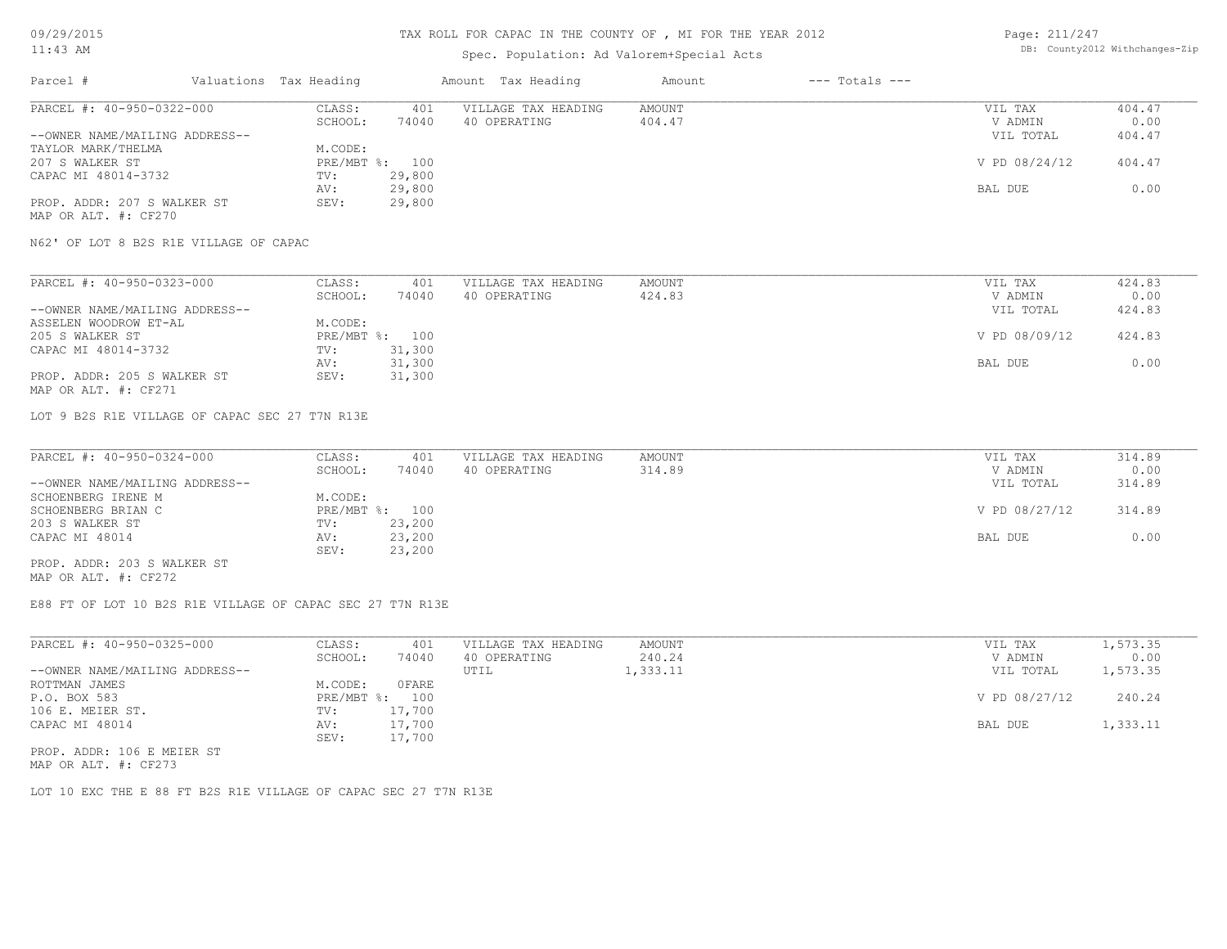## Spec. Population: Ad Valorem+Special Acts

| Page: 211/247 |                                |
|---------------|--------------------------------|
|               | DB: County2012 Withchanges-Zip |

| Parcel #                       | Valuations Tax Heading |        | Amount Tax Heading  | Amount | $---$ Totals $---$ |               |        |
|--------------------------------|------------------------|--------|---------------------|--------|--------------------|---------------|--------|
| PARCEL #: 40-950-0322-000      | CLASS:                 | 401    | VILLAGE TAX HEADING | AMOUNT |                    | VIL TAX       | 404.47 |
|                                | SCHOOL:                | 74040  | 40 OPERATING        | 404.47 |                    | V ADMIN       | 0.00   |
| --OWNER NAME/MAILING ADDRESS-- |                        |        |                     |        |                    | VIL TOTAL     | 404.47 |
| TAYLOR MARK/THELMA             | M.CODE:                |        |                     |        |                    |               |        |
| 207 S WALKER ST                | PRE/MBT %: 100         |        |                     |        |                    | V PD 08/24/12 | 404.47 |
| CAPAC MI 48014-3732            | TV:                    | 29,800 |                     |        |                    |               |        |
|                                | AV:                    | 29,800 |                     |        |                    | BAL DUE       | 0.00   |
| PROP. ADDR: 207 S WALKER ST    | SEV:                   | 29,800 |                     |        |                    |               |        |
| MAP OR ALT. #: CF270           |                        |        |                     |        |                    |               |        |

N62' OF LOT 8 B2S R1E VILLAGE OF CAPAC

| PARCEL #: 40-950-0323-000      | CLASS:  | 401            | VILLAGE TAX HEADING | AMOUNT | VIL TAX       | 424.83 |
|--------------------------------|---------|----------------|---------------------|--------|---------------|--------|
|                                | SCHOOL: | 74040          | 40 OPERATING        | 424.83 | V ADMIN       | 0.00   |
| --OWNER NAME/MAILING ADDRESS-- |         |                |                     |        | VIL TOTAL     | 424.83 |
| ASSELEN WOODROW ET-AL          | M.CODE: |                |                     |        |               |        |
| 205 S WALKER ST                |         | PRE/MBT %: 100 |                     |        | V PD 08/09/12 | 424.83 |
| CAPAC MI 48014-3732            | TV:     | 31,300         |                     |        |               |        |
|                                | AV:     | 31,300         |                     |        | BAL DUE       | 0.00   |
| PROP. ADDR: 205 S WALKER ST    | SEV:    | 31,300         |                     |        |               |        |
| MAP OR ALT. #: CF271           |         |                |                     |        |               |        |

LOT 9 B2S R1E VILLAGE OF CAPAC SEC 27 T7N R13E

| PARCEL #: 40-950-0324-000      | CLASS:  | 401            | VILLAGE TAX HEADING | AMOUNT | VIL TAX       | 314.89 |
|--------------------------------|---------|----------------|---------------------|--------|---------------|--------|
|                                | SCHOOL: | 74040          | 40 OPERATING        | 314.89 | V ADMIN       | 0.00   |
| --OWNER NAME/MAILING ADDRESS-- |         |                |                     |        | VIL TOTAL     | 314.89 |
| SCHOENBERG IRENE M             | M.CODE: |                |                     |        |               |        |
| SCHOENBERG BRIAN C             |         | PRE/MBT %: 100 |                     |        | V PD 08/27/12 | 314.89 |
| 203 S WALKER ST                | TV:     | 23,200         |                     |        |               |        |
| CAPAC MI 48014                 | AV:     | 23,200         |                     |        | BAL DUE       | 0.00   |
|                                | SEV:    | 23,200         |                     |        |               |        |
| PROP. ADDR: 203 S WALKER ST    |         |                |                     |        |               |        |

MAP OR ALT. #: CF272

E88 FT OF LOT 10 B2S R1E VILLAGE OF CAPAC SEC 27 T7N R13E

| PARCEL #: 40-950-0325-000      | CLASS:       | 401    | VILLAGE TAX HEADING | AMOUNT   | VIL TAX       | 1,573.35 |
|--------------------------------|--------------|--------|---------------------|----------|---------------|----------|
|                                | SCHOOL:      | 74040  | 40 OPERATING        | 240.24   | V ADMIN       | 0.00     |
| --OWNER NAME/MAILING ADDRESS-- |              |        | UTIL                | 1,333.11 | VIL TOTAL     | 1,573.35 |
| ROTTMAN JAMES                  | M.CODE:      | OFARE  |                     |          |               |          |
| P.O. BOX 583                   | $PRE/MBT$ %: | 100    |                     |          | V PD 08/27/12 | 240.24   |
| 106 E. MEIER ST.               | TV:          | 17,700 |                     |          |               |          |
| CAPAC MI 48014                 | AV:          | 17,700 |                     |          | BAL DUE       | 1,333.11 |
|                                | SEV:         | 17,700 |                     |          |               |          |
| PROP. ADDR: 106 E MEIER ST     |              |        |                     |          |               |          |

MAP OR ALT. #: CF273

LOT 10 EXC THE E 88 FT B2S R1E VILLAGE OF CAPAC SEC 27 T7N R13E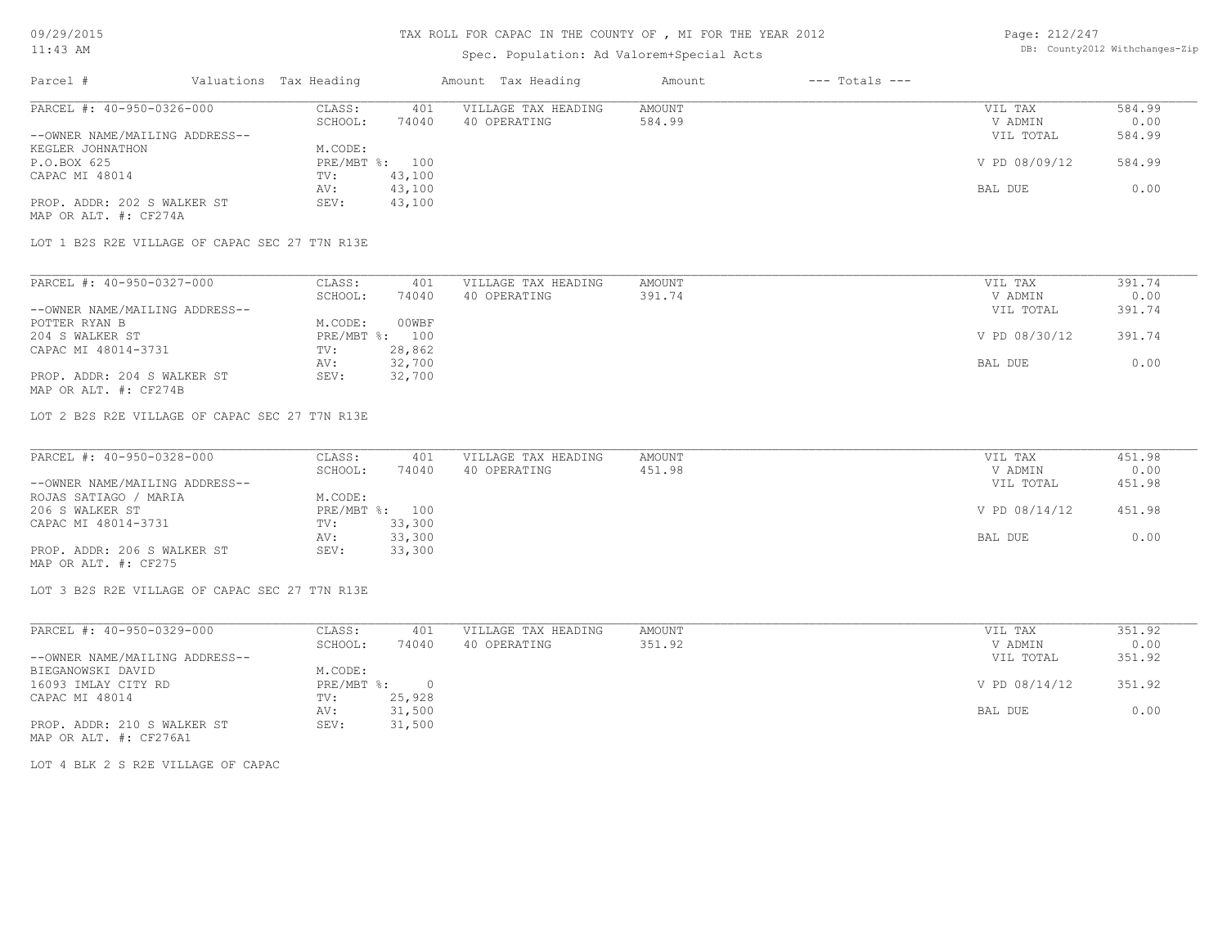### TAX ROLL FOR CAPAC IN THE COUNTY OF , MI FOR THE YEAR 2012

## Spec. Population: Ad Valorem+Special Acts

Page: 212/247 DB: County2012 Withchanges-Zip

| Parcel #                       | Valuations Tax Heading |        | Amount Tax Heading  | Amount | $---$ Totals $---$ |               |        |
|--------------------------------|------------------------|--------|---------------------|--------|--------------------|---------------|--------|
| PARCEL #: 40-950-0326-000      | CLASS:                 | 401    | VILLAGE TAX HEADING | AMOUNT |                    | VIL TAX       | 584.99 |
|                                | SCHOOL:                | 74040  | 40 OPERATING        | 584.99 |                    | V ADMIN       | 0.00   |
| --OWNER NAME/MAILING ADDRESS-- |                        |        |                     |        |                    | VIL TOTAL     | 584.99 |
| KEGLER JOHNATHON               | M.CODE:                |        |                     |        |                    |               |        |
| P.O.BOX 625                    | PRE/MBT %: 100         |        |                     |        |                    | V PD 08/09/12 | 584.99 |
| CAPAC MI 48014                 | TV:                    | 43,100 |                     |        |                    |               |        |
|                                | AV:                    | 43,100 |                     |        |                    | BAL DUE       | 0.00   |
| PROP. ADDR: 202 S WALKER ST    | SEV:                   | 43,100 |                     |        |                    |               |        |
| MAP OR ALT. #: CF274A          |                        |        |                     |        |                    |               |        |

LOT 1 B2S R2E VILLAGE OF CAPAC SEC 27 T7N R13E

| PARCEL #: 40-950-0327-000      | CLASS:  | 401            | VILLAGE TAX HEADING | AMOUNT | VIL TAX       | 391.74 |
|--------------------------------|---------|----------------|---------------------|--------|---------------|--------|
|                                | SCHOOL: | 74040          | 40 OPERATING        | 391.74 | V ADMIN       | 0.00   |
| --OWNER NAME/MAILING ADDRESS-- |         |                |                     |        | VIL TOTAL     | 391.74 |
| POTTER RYAN B                  | M.CODE: | 00WBF          |                     |        |               |        |
| 204 S WALKER ST                |         | PRE/MBT %: 100 |                     |        | V PD 08/30/12 | 391.74 |
| CAPAC MI 48014-3731            | TV:     | 28,862         |                     |        |               |        |
|                                | AV:     | 32,700         |                     |        | BAL DUE       | 0.00   |
| PROP. ADDR: 204 S WALKER ST    | SEV:    | 32,700         |                     |        |               |        |
| MAP OR ALT. #: CF274B          |         |                |                     |        |               |        |

LOT 2 B2S R2E VILLAGE OF CAPAC SEC 27 T7N R13E

| PARCEL #: 40-950-0328-000      | CLASS:  | 401            | VILLAGE TAX HEADING | AMOUNT | VIL TAX       | 451.98 |
|--------------------------------|---------|----------------|---------------------|--------|---------------|--------|
|                                | SCHOOL: | 74040          | 40 OPERATING        | 451.98 | V ADMIN       | 0.00   |
| --OWNER NAME/MAILING ADDRESS-- |         |                |                     |        | VIL TOTAL     | 451.98 |
| ROJAS SATIAGO / MARIA          | M.CODE: |                |                     |        |               |        |
| 206 S WALKER ST                |         | PRE/MBT %: 100 |                     |        | V PD 08/14/12 | 451.98 |
| CAPAC MI 48014-3731            | TV:     | 33,300         |                     |        |               |        |
|                                | AV:     | 33,300         |                     |        | BAL DUE       | 0.00   |
| PROP. ADDR: 206 S WALKER ST    | SEV:    | 33,300         |                     |        |               |        |
| MAP OR ALT. #: CF275           |         |                |                     |        |               |        |

LOT 3 B2S R2E VILLAGE OF CAPAC SEC 27 T7N R13E

| PARCEL #: 40-950-0329-000      | CLASS:     | 401    | VILLAGE TAX HEADING | AMOUNT | VIL TAX       | 351.92 |
|--------------------------------|------------|--------|---------------------|--------|---------------|--------|
|                                | SCHOOL:    | 74040  | 40 OPERATING        | 351.92 | V ADMIN       | 0.00   |
| --OWNER NAME/MAILING ADDRESS-- |            |        |                     |        | VIL TOTAL     | 351.92 |
| BIEGANOWSKI DAVID              | M.CODE:    |        |                     |        |               |        |
| 16093 IMLAY CITY RD            | PRE/MBT %: |        |                     |        | V PD 08/14/12 | 351.92 |
| CAPAC MI 48014                 | TV:        | 25,928 |                     |        |               |        |
|                                | AV:        | 31,500 |                     |        | BAL DUE       | 0.00   |
| PROP. ADDR: 210 S WALKER ST    | SEV:       | 31,500 |                     |        |               |        |
| MAP OR ALT. #: CF276A1         |            |        |                     |        |               |        |

LOT 4 BLK 2 S R2E VILLAGE OF CAPAC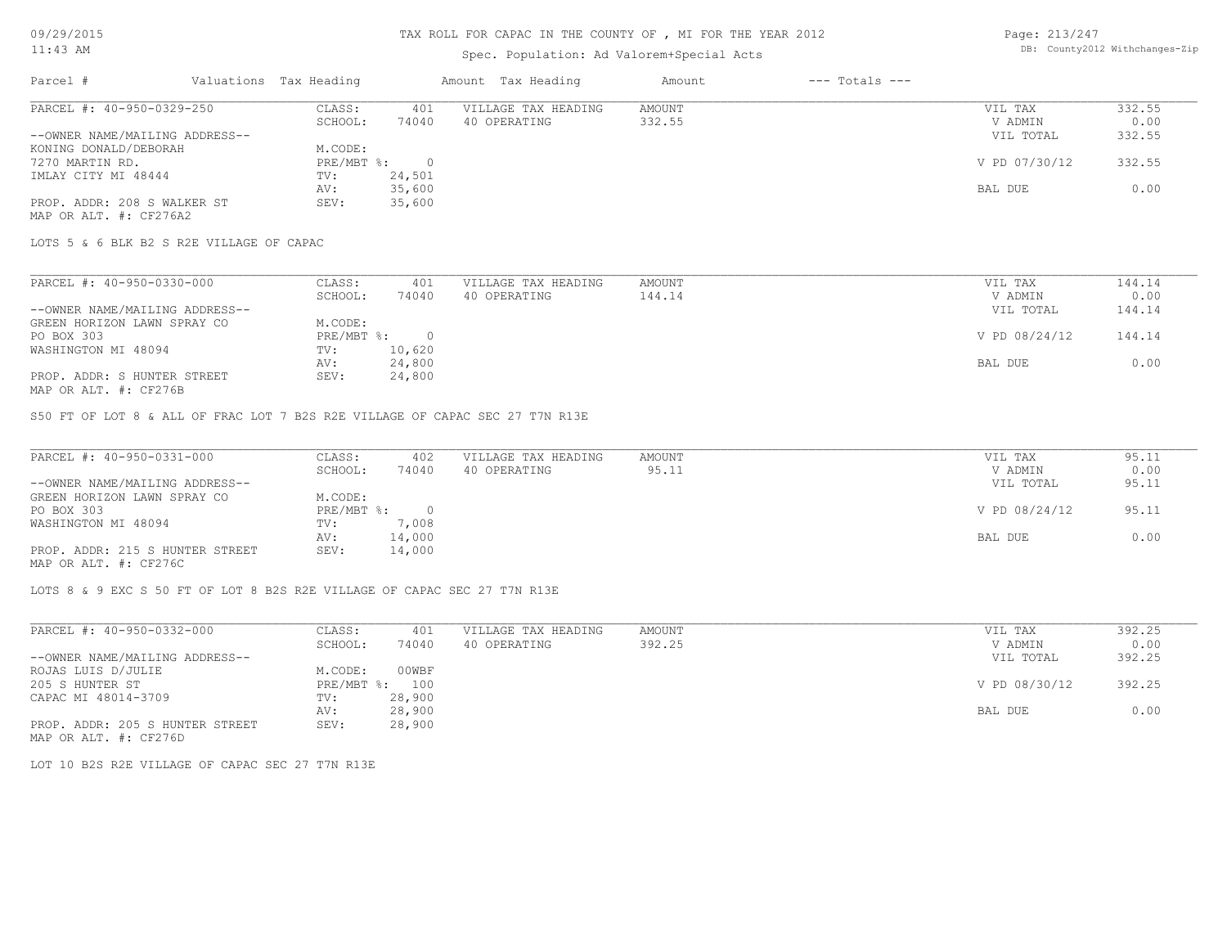## TAX ROLL FOR CAPAC IN THE COUNTY OF , MI FOR THE YEAR 2012

## Spec. Population: Ad Valorem+Special Acts

Page: 213/247 DB: County2012 Withchanges-Zip

| Parcel #                       | Valuations Tax Heading |        | Amount Tax Heading  | Amount | $---$ Totals $---$ |               |        |
|--------------------------------|------------------------|--------|---------------------|--------|--------------------|---------------|--------|
| PARCEL #: 40-950-0329-250      | CLASS:                 | 401    | VILLAGE TAX HEADING | AMOUNT |                    | VIL TAX       | 332.55 |
|                                | SCHOOL:                | 74040  | 40 OPERATING        | 332.55 |                    | V ADMIN       | 0.00   |
| --OWNER NAME/MAILING ADDRESS-- |                        |        |                     |        |                    | VIL TOTAL     | 332.55 |
| KONING DONALD/DEBORAH          | M.CODE:                |        |                     |        |                    |               |        |
| 7270 MARTIN RD.                | PRE/MBT %:             |        |                     |        |                    | V PD 07/30/12 | 332.55 |
| IMLAY CITY MI 48444            | TV:                    | 24,501 |                     |        |                    |               |        |
|                                | AV:                    | 35,600 |                     |        |                    | BAL DUE       | 0.00   |
| PROP. ADDR: 208 S WALKER ST    | SEV:                   | 35,600 |                     |        |                    |               |        |
| MAP OR ALT. #: CF276A2         |                        |        |                     |        |                    |               |        |

LOTS 5 & 6 BLK B2 S R2E VILLAGE OF CAPAC

| PARCEL #: 40-950-0330-000      | CLASS:     | 401    | VILLAGE TAX HEADING | AMOUNT | VIL TAX       | 144.14 |
|--------------------------------|------------|--------|---------------------|--------|---------------|--------|
|                                | SCHOOL:    | 74040  | 40 OPERATING        | 144.14 | V ADMIN       | 0.00   |
| --OWNER NAME/MAILING ADDRESS-- |            |        |                     |        | VIL TOTAL     | 144.14 |
| GREEN HORIZON LAWN SPRAY CO    | M.CODE:    |        |                     |        |               |        |
| PO BOX 303                     | PRE/MBT %: |        |                     |        | V PD 08/24/12 | 144.14 |
| WASHINGTON MI 48094            | TV:        | 10,620 |                     |        |               |        |
|                                | AV:        | 24,800 |                     |        | BAL DUE       | 0.00   |
| PROP. ADDR: S HUNTER STREET    | SEV:       | 24,800 |                     |        |               |        |
|                                |            |        |                     |        |               |        |

MAP OR ALT. #: CF276B

S50 FT OF LOT 8 & ALL OF FRAC LOT 7 B2S R2E VILLAGE OF CAPAC SEC 27 T7N R13E

| PARCEL #: 40-950-0331-000       | CLASS:     | 402    | VILLAGE TAX HEADING | AMOUNT | VIL TAX       | 95.11 |
|---------------------------------|------------|--------|---------------------|--------|---------------|-------|
|                                 | SCHOOL:    | 74040  | 40 OPERATING        | 95.11  | V ADMIN       | 0.00  |
| --OWNER NAME/MAILING ADDRESS--  |            |        |                     |        | VIL TOTAL     | 95.11 |
| GREEN HORIZON LAWN SPRAY CO     | M.CODE:    |        |                     |        |               |       |
| PO BOX 303                      | PRE/MBT %: |        |                     |        | V PD 08/24/12 | 95.11 |
| WASHINGTON MI 48094             | TV:        | 7,008  |                     |        |               |       |
|                                 | AV:        | 14,000 |                     |        | BAL DUE       | 0.00  |
| PROP. ADDR: 215 S HUNTER STREET | SEV:       | 14,000 |                     |        |               |       |
| MAP OR ALT. #: CF276C           |            |        |                     |        |               |       |

LOTS 8 & 9 EXC S 50 FT OF LOT 8 B2S R2E VILLAGE OF CAPAC SEC 27 T7N R13E

| PARCEL #: 40-950-0332-000                                                                                                                          | CLASS:     | 401    | VILLAGE TAX HEADING | AMOUNT | VIL TAX       | 392.25 |
|----------------------------------------------------------------------------------------------------------------------------------------------------|------------|--------|---------------------|--------|---------------|--------|
|                                                                                                                                                    | SCHOOL:    | 74040  | 40 OPERATING        | 392.25 | V ADMIN       | 0.00   |
| --OWNER NAME/MAILING ADDRESS--                                                                                                                     |            |        |                     |        | VIL TOTAL     | 392.25 |
| ROJAS LUIS D/JULIE                                                                                                                                 | M.CODE:    | 00WBF  |                     |        |               |        |
| 205 S HUNTER ST                                                                                                                                    | PRE/MBT %: | 100    |                     |        | V PD 08/30/12 | 392.25 |
| CAPAC MI 48014-3709                                                                                                                                | TV:        | 28,900 |                     |        |               |        |
|                                                                                                                                                    | AV:        | 28,900 |                     |        | BAL DUE       | 0.00   |
| PROP. ADDR: 205 S HUNTER STREET<br>the contract of the contract of the contract of the contract of the contract of the contract of the contract of | SEV:       | 28,900 |                     |        |               |        |

MAP OR ALT. #: CF276D

LOT 10 B2S R2E VILLAGE OF CAPAC SEC 27 T7N R13E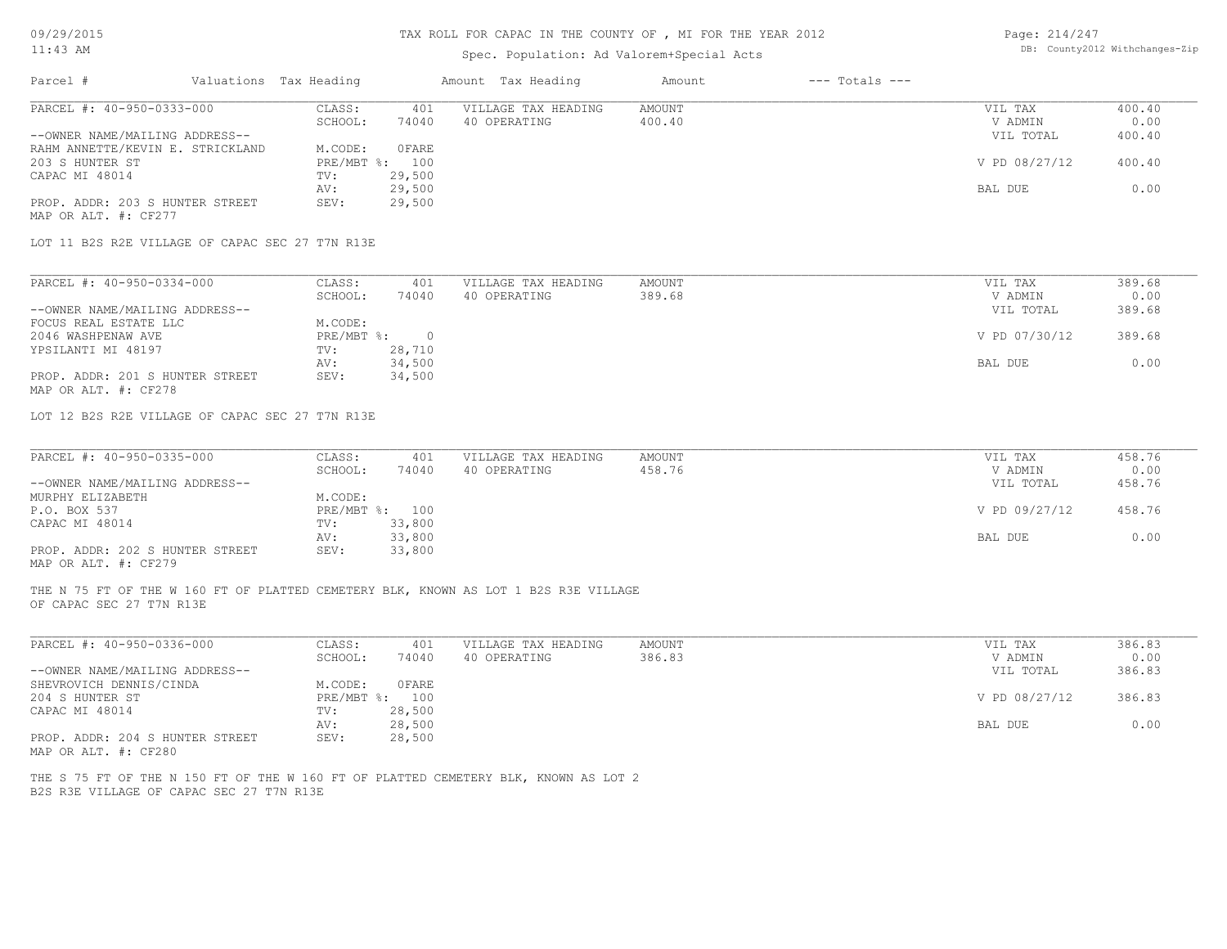| 09/29/2015                                              |                        |                | TAX ROLL FOR CAPAC IN THE COUNTY OF , MI FOR THE YEAR 2012                          |               |                    | Page: 214/247 |                                |
|---------------------------------------------------------|------------------------|----------------|-------------------------------------------------------------------------------------|---------------|--------------------|---------------|--------------------------------|
| $11:43$ AM                                              |                        |                | Spec. Population: Ad Valorem+Special Acts                                           |               |                    |               | DB: County2012 Withchanges-Zip |
| Parcel #                                                | Valuations Tax Heading |                | Amount Tax Heading                                                                  | Amount        | $---$ Totals $---$ |               |                                |
| PARCEL #: 40-950-0333-000                               | CLASS:                 | 401            | VILLAGE TAX HEADING                                                                 | <b>AMOUNT</b> |                    | VIL TAX       | 400.40                         |
|                                                         | SCHOOL:                | 74040          | 40 OPERATING                                                                        | 400.40        |                    | V ADMIN       | 0.00                           |
| --OWNER NAME/MAILING ADDRESS--                          |                        |                |                                                                                     |               |                    | VIL TOTAL     | 400.40                         |
| RAHM ANNETTE/KEVIN E. STRICKLAND                        | M.CODE:                | <b>OFARE</b>   |                                                                                     |               |                    |               |                                |
| 203 S HUNTER ST                                         | PRE/MBT %: 100         |                |                                                                                     |               |                    | V PD 08/27/12 | 400.40                         |
| CAPAC MI 48014                                          | TV:                    | 29,500         |                                                                                     |               |                    |               |                                |
|                                                         | AV:                    | 29,500         |                                                                                     |               |                    | BAL DUE       | 0.00                           |
| PROP. ADDR: 203 S HUNTER STREET<br>MAP OR ALT. #: CF277 | SEV:                   | 29,500         |                                                                                     |               |                    |               |                                |
| LOT 11 B2S R2E VILLAGE OF CAPAC SEC 27 T7N R13E         |                        |                |                                                                                     |               |                    |               |                                |
|                                                         |                        |                |                                                                                     |               |                    |               |                                |
| PARCEL #: 40-950-0334-000                               | CLASS:                 | 401            | VILLAGE TAX HEADING                                                                 | <b>AMOUNT</b> |                    | VIL TAX       | 389.68                         |
|                                                         | SCHOOL:                | 74040          | 40 OPERATING                                                                        | 389.68        |                    | V ADMIN       | 0.00                           |
| --OWNER NAME/MAILING ADDRESS--                          |                        |                |                                                                                     |               |                    | VIL TOTAL     | 389.68                         |
| FOCUS REAL ESTATE LLC                                   | M.CODE:                |                |                                                                                     |               |                    |               |                                |
| 2046 WASHPENAW AVE                                      | PRE/MBT %:             | $\overline{0}$ |                                                                                     |               |                    | V PD 07/30/12 | 389.68                         |
| YPSILANTI MI 48197                                      | TV:                    | 28,710         |                                                                                     |               |                    |               |                                |
|                                                         | AV:                    | 34,500         |                                                                                     |               |                    | BAL DUE       | 0.00                           |
| PROP. ADDR: 201 S HUNTER STREET                         | SEV:                   | 34,500         |                                                                                     |               |                    |               |                                |
| MAP OR ALT. #: CF278                                    |                        |                |                                                                                     |               |                    |               |                                |
| LOT 12 B2S R2E VILLAGE OF CAPAC SEC 27 T7N R13E         |                        |                |                                                                                     |               |                    |               |                                |
|                                                         |                        |                |                                                                                     |               |                    |               |                                |
| PARCEL #: 40-950-0335-000                               | CLASS:                 | 401            | VILLAGE TAX HEADING                                                                 | <b>AMOUNT</b> |                    | VIL TAX       | 458.76                         |
|                                                         | SCHOOL:                | 74040          | 40 OPERATING                                                                        | 458.76        |                    | V ADMIN       | 0.00                           |
| --OWNER NAME/MAILING ADDRESS--                          |                        |                |                                                                                     |               |                    | VIL TOTAL     | 458.76                         |
| MURPHY ELIZABETH                                        | M.CODE:                |                |                                                                                     |               |                    |               |                                |
| P.O. BOX 537                                            | PRE/MBT %: 100         |                |                                                                                     |               |                    | V PD 09/27/12 | 458.76                         |
| CAPAC MI 48014                                          | TV:                    | 33,800         |                                                                                     |               |                    |               |                                |
|                                                         | AV:                    | 33,800         |                                                                                     |               |                    | BAL DUE       | 0.00                           |
| PROP. ADDR: 202 S HUNTER STREET<br>MAP OR ALT. #: CF279 | SEV:                   | 33,800         |                                                                                     |               |                    |               |                                |
|                                                         |                        |                |                                                                                     |               |                    |               |                                |
| OF CAPAC SEC 27 T7N R13E                                |                        |                | THE N 75 FT OF THE W 160 FT OF PLATTED CEMETERY BLK, KNOWN AS LOT 1 B2S R3E VILLAGE |               |                    |               |                                |
| PARCEL #: 40-950-0336-000                               | CLASS:                 | 401            | VILLAGE TAX HEADING                                                                 | <b>AMOUNT</b> |                    | VIL TAX       | 386.83                         |
|                                                         | SCHOOL:                | 74040          | 40 OPERATING                                                                        | 386.83        |                    | V ADMIN       | 0.00                           |
| --OWNER NAME/MAILING ADDRESS--                          |                        |                |                                                                                     |               |                    | VIL TOTAL     | 386.83                         |
| SHEVROVICH DENNIS/CINDA                                 | M.CODE:                | <b>OFARE</b>   |                                                                                     |               |                    |               |                                |

MAP OR ALT. #: CF280 PROP. ADDR: 204 S HUNTER STREET SEV: 28,500 AV: 28,500 BAL DUE 0.00 CAPAC MI 48014 TV: 28,500 204 S HUNTER ST PRE/MBT %: 100 V PD 08/27/12 386.83

B2S R3E VILLAGE OF CAPAC SEC 27 T7N R13E THE S 75 FT OF THE N 150 FT OF THE W 160 FT OF PLATTED CEMETERY BLK, KNOWN AS LOT 2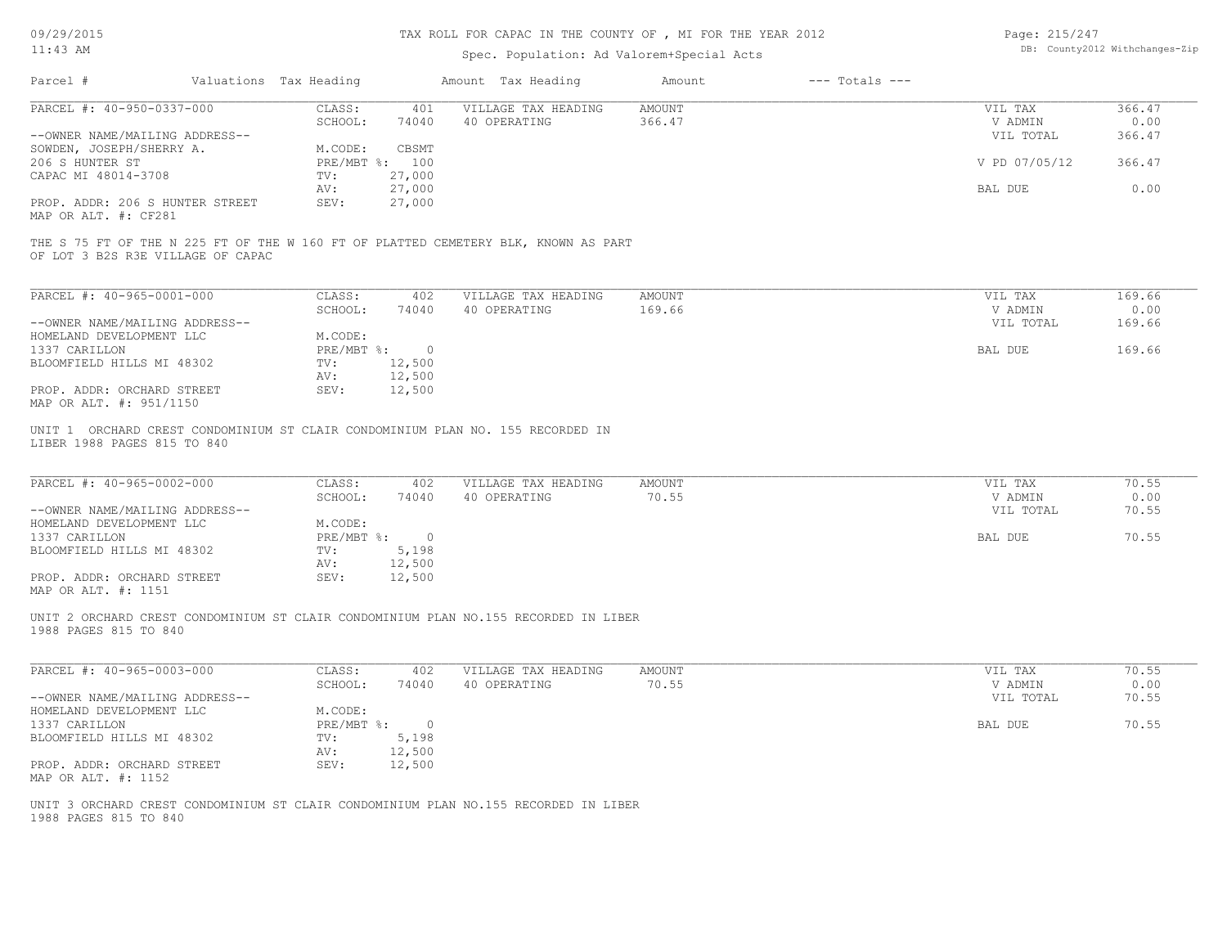09/29/2015

### TAX ROLL FOR CAPAC IN THE COUNTY OF , MI FOR THE YEAR 2012

| Page: 215/247 |                                |
|---------------|--------------------------------|
|               | DB: County2012 Withchanges-Zip |

| 11:43 AM                                                                                                                |                          | Spec. Population: Ad Valorem+Special Acts | DB: County2012 Withchanges-Zip |                    |               |        |
|-------------------------------------------------------------------------------------------------------------------------|--------------------------|-------------------------------------------|--------------------------------|--------------------|---------------|--------|
| Parcel #                                                                                                                | Valuations Tax Heading   | Amount Tax Heading                        | Amount                         | $---$ Totals $---$ |               |        |
| PARCEL #: 40-950-0337-000                                                                                               | CLASS:<br>401            | VILLAGE TAX HEADING                       | AMOUNT                         |                    | VIL TAX       | 366.47 |
|                                                                                                                         | SCHOOL:<br>74040         | 40 OPERATING                              | 366.47                         |                    | V ADMIN       | 0.00   |
| --OWNER NAME/MAILING ADDRESS--                                                                                          |                          |                                           |                                |                    | VIL TOTAL     | 366.47 |
| SOWDEN, JOSEPH/SHERRY A.                                                                                                | M.CODE:<br>CBSMT         |                                           |                                |                    |               |        |
| 206 S HUNTER ST                                                                                                         | PRE/MBT %: 100<br>27,000 |                                           |                                |                    | V PD 07/05/12 | 366.47 |
| CAPAC MI 48014-3708                                                                                                     | TV:<br>27,000<br>AV:     |                                           |                                |                    | BAL DUE       | 0.00   |
| PROP. ADDR: 206 S HUNTER STREET                                                                                         | 27,000<br>SEV:           |                                           |                                |                    |               |        |
| MAP OR ALT. #: CF281                                                                                                    |                          |                                           |                                |                    |               |        |
|                                                                                                                         |                          |                                           |                                |                    |               |        |
| THE S 75 FT OF THE N 225 FT OF THE W 160 FT OF PLATTED CEMETERY BLK, KNOWN AS PART<br>OF LOT 3 B2S R3E VILLAGE OF CAPAC |                          |                                           |                                |                    |               |        |
| PARCEL #: 40-965-0001-000                                                                                               | CLASS:                   | 402<br>VILLAGE TAX HEADING                | AMOUNT                         |                    | VIL TAX       | 169.66 |
|                                                                                                                         | SCHOOL:<br>74040         | 40 OPERATING                              | 169.66                         |                    | V ADMIN       | 0.00   |
| --OWNER NAME/MAILING ADDRESS--                                                                                          |                          |                                           |                                |                    | VIL TOTAL     | 169.66 |
| HOMELAND DEVELOPMENT LLC                                                                                                | M.CODE:                  |                                           |                                |                    |               |        |
| 1337 CARILLON                                                                                                           | PRE/MBT %: 0             |                                           |                                |                    | BAL DUE       | 169.66 |
| BLOOMFIELD HILLS MI 48302                                                                                               | 12,500<br>TV:            |                                           |                                |                    |               |        |
|                                                                                                                         | 12,500<br>AV:            |                                           |                                |                    |               |        |
| PROP. ADDR: ORCHARD STREET<br>MAP OR ALT. #: 951/1150                                                                   | 12,500<br>SEV:           |                                           |                                |                    |               |        |
| UNIT 1 ORCHARD CREST CONDOMINIUM ST CLAIR CONDOMINIUM PLAN NO. 155 RECORDED IN<br>LIBER 1988 PAGES 815 TO 840           |                          |                                           |                                |                    |               |        |
| PARCEL #: 40-965-0002-000                                                                                               | CLASS:                   | 402<br>VILLAGE TAX HEADING                | <b>AMOUNT</b>                  |                    | VIL TAX       | 70.55  |
|                                                                                                                         | SCHOOL:<br>74040         | 40 OPERATING                              | 70.55                          |                    | V ADMIN       | 0.00   |
| --OWNER NAME/MAILING ADDRESS--                                                                                          |                          |                                           |                                |                    | VIL TOTAL     | 70.55  |
| HOMELAND DEVELOPMENT LLC                                                                                                | M.CODE:                  |                                           |                                |                    |               |        |
| 1337 CARILLON                                                                                                           | PRE/MBT %: 0             |                                           |                                |                    | BAL DUE       | 70.55  |
| BLOOMFIELD HILLS MI 48302                                                                                               | TV:<br>5,198<br>12,500   |                                           |                                |                    |               |        |
| PROP. ADDR: ORCHARD STREET                                                                                              | AV:<br>12,500<br>SEV:    |                                           |                                |                    |               |        |
| MAP OR ALT. #: 1151                                                                                                     |                          |                                           |                                |                    |               |        |
| UNIT 2 ORCHARD CREST CONDOMINIUM ST CLAIR CONDOMINIUM PLAN NO.155 RECORDED IN LIBER<br>1988 PAGES 815 TO 840            |                          |                                           |                                |                    |               |        |
| PARCEL #: 40-965-0003-000                                                                                               | CLASS:<br>402            | VILLAGE TAX HEADING                       | AMOUNT                         |                    | VIL TAX       | 70.55  |
|                                                                                                                         | SCHOOL:<br>74040         | 40 OPERATING                              | 70.55                          |                    | V ADMIN       | 0.00   |
| --OWNER NAME/MAILING ADDRESS--                                                                                          |                          |                                           |                                |                    | VIL TOTAL     | 70.55  |
| HOMELAND DEVELOPMENT LLC                                                                                                | M.CODE:                  |                                           |                                |                    |               |        |
| 1337 CARILLON                                                                                                           | PRE/MBT %: 0             |                                           |                                |                    | BAL DUE       | 70.55  |
| BLOOMFIELD HILLS MI 48302                                                                                               | TV:<br>5,198             |                                           |                                |                    |               |        |
|                                                                                                                         | 12,500<br>AV:            |                                           |                                |                    |               |        |
| PROP. ADDR: ORCHARD STREET<br>MAP OR ALT. #: 1152                                                                       | 12,500<br>SEV:           |                                           |                                |                    |               |        |
| UNIT 3 ORCHARD CREST CONDOMINIUM ST CLAIR CONDOMINIUM PLAN NO.155 RECORDED IN LIBER<br>1988 PAGES 815 TO 840            |                          |                                           |                                |                    |               |        |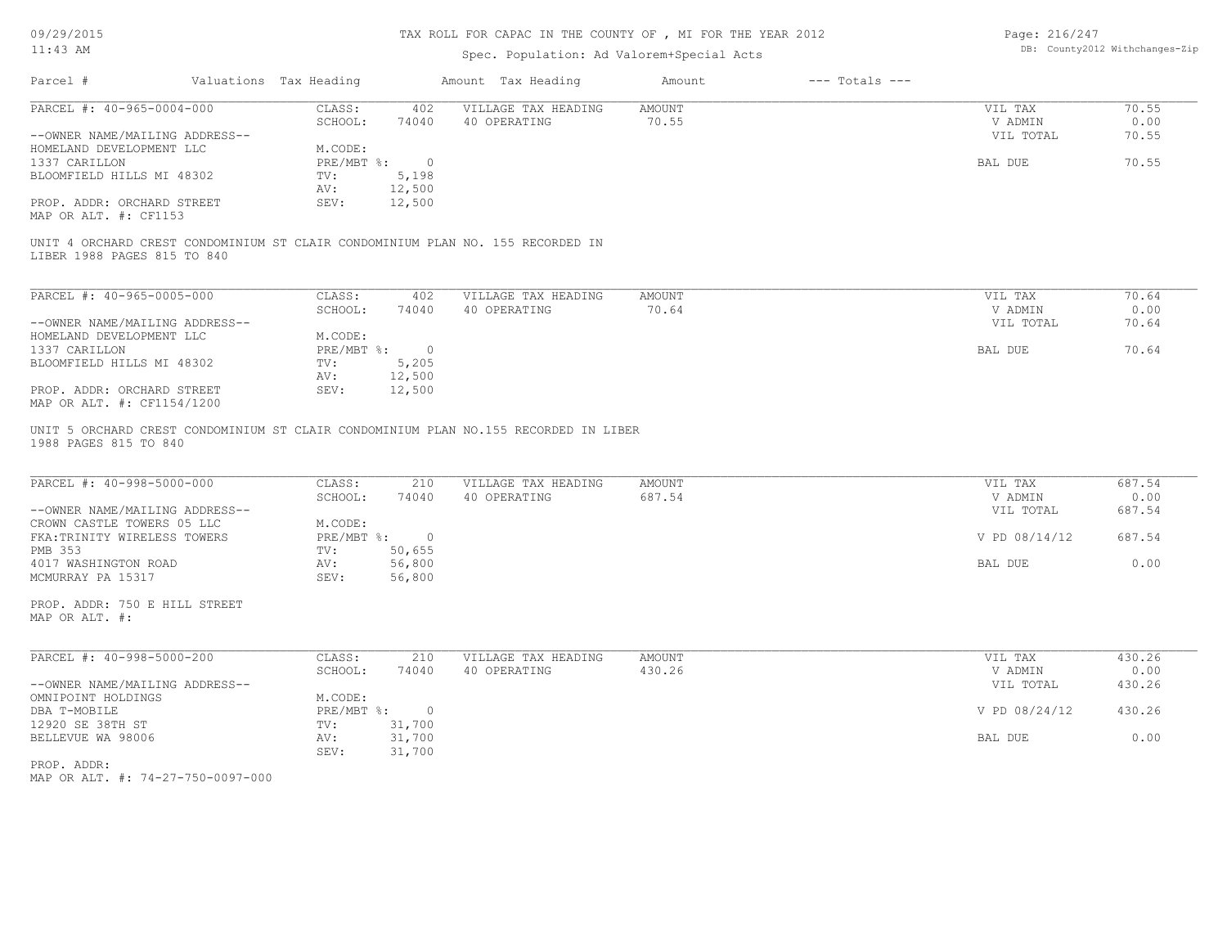## TAX ROLL FOR CAPAC IN THE COUNTY OF , MI FOR THE YEAR 2012

# Spec. Population: Ad Valorem+Special Acts

Page: 216/247 DB: County2012 Withchanges-Zip

|                                                          | Valuations Tax Heading |                          | Amount Tax Heading                                                             | Amount                  | $---$ Totals $---$ |                    |                |
|----------------------------------------------------------|------------------------|--------------------------|--------------------------------------------------------------------------------|-------------------------|--------------------|--------------------|----------------|
| PARCEL #: 40-965-0004-000                                | CLASS:                 | 402                      | VILLAGE TAX HEADING                                                            | AMOUNT                  |                    | VIL TAX            | 70.55          |
|                                                          | SCHOOL:                | 74040                    | 40 OPERATING                                                                   | 70.55                   |                    | V ADMIN            | 0.00           |
| --OWNER NAME/MAILING ADDRESS--                           |                        |                          |                                                                                |                         |                    | VIL TOTAL          | 70.55          |
| HOMELAND DEVELOPMENT LLC                                 | M.CODE:                |                          |                                                                                |                         |                    |                    |                |
| 1337 CARILLON<br>BLOOMFIELD HILLS MI 48302               | TV:                    | PRE/MBT %: 0<br>5,198    |                                                                                |                         |                    | BAL DUE            | 70.55          |
|                                                          | AV:                    | 12,500                   |                                                                                |                         |                    |                    |                |
| PROP. ADDR: ORCHARD STREET                               | SEV:                   | 12,500                   |                                                                                |                         |                    |                    |                |
| MAP OR ALT. #: CF1153                                    |                        |                          |                                                                                |                         |                    |                    |                |
|                                                          |                        |                          |                                                                                |                         |                    |                    |                |
| LIBER 1988 PAGES 815 TO 840                              |                        |                          | UNIT 4 ORCHARD CREST CONDOMINIUM ST CLAIR CONDOMINIUM PLAN NO. 155 RECORDED IN |                         |                    |                    |                |
| PARCEL #: 40-965-0005-000                                | CLASS:                 | 402                      | VILLAGE TAX HEADING                                                            | AMOUNT                  |                    | VIL TAX            | 70.64          |
|                                                          | SCHOOL:                | 74040                    | 40 OPERATING                                                                   | 70.64                   |                    | V ADMIN            | 0.00           |
| --OWNER NAME/MAILING ADDRESS--                           |                        |                          |                                                                                |                         |                    | VIL TOTAL          | 70.64          |
| HOMELAND DEVELOPMENT LLC                                 | M.CODE:                |                          |                                                                                |                         |                    |                    |                |
| 1337 CARILLON                                            |                        | PRE/MBT %: 0             |                                                                                |                         |                    | BAL DUE            | 70.64          |
| BLOOMFIELD HILLS MI 48302                                | TV:                    | 5,205                    |                                                                                |                         |                    |                    |                |
|                                                          | AV:                    | 12,500                   |                                                                                |                         |                    |                    |                |
| PROP. ADDR: ORCHARD STREET<br>MAP OR ALT. #: CF1154/1200 | SEV:                   | 12,500                   |                                                                                |                         |                    |                    |                |
| PARCEL #: 40-998-5000-000                                | CLASS:<br>SCHOOL:      | 210<br>74040             | VILLAGE TAX HEADING<br>40 OPERATING                                            | <b>AMOUNT</b><br>687.54 |                    | VIL TAX<br>V ADMIN | 687.54<br>0.00 |
| --OWNER NAME/MAILING ADDRESS--                           |                        |                          |                                                                                |                         |                    |                    |                |
|                                                          |                        |                          |                                                                                |                         |                    | VIL TOTAL          | 687.54         |
| CROWN CASTLE TOWERS 05 LLC                               | M.CODE:                |                          |                                                                                |                         |                    |                    |                |
| FKA: TRINITY WIRELESS TOWERS                             |                        | PRE/MBT %: 0             |                                                                                |                         |                    | V PD 08/14/12      | 687.54         |
| PMB 353                                                  | TV:                    | 50,655                   |                                                                                |                         |                    |                    |                |
| 4017 WASHINGTON ROAD                                     | AV:                    | 56,800                   |                                                                                |                         |                    | BAL DUE            | 0.00           |
| MCMURRAY PA 15317                                        | SEV:                   | 56,800                   |                                                                                |                         |                    |                    |                |
| PROP. ADDR: 750 E HILL STREET<br>MAP OR ALT. #:          |                        |                          |                                                                                |                         |                    |                    |                |
|                                                          |                        |                          |                                                                                |                         |                    |                    |                |
| PARCEL #: 40-998-5000-200                                | CLASS:                 | 210                      | VILLAGE TAX HEADING                                                            | <b>AMOUNT</b>           |                    | VIL TAX            | 430.26         |
|                                                          | SCHOOL:                | 74040                    | 40 OPERATING                                                                   | 430.26                  |                    | V ADMIN            | 0.00           |
| --OWNER NAME/MAILING ADDRESS--                           |                        |                          |                                                                                |                         |                    | VIL TOTAL          | 430.26         |
| OMNIPOINT HOLDINGS                                       | M.CODE:                |                          |                                                                                |                         |                    |                    |                |
| DBA T-MOBILE<br>12920 SE 38TH ST                         | $PRE/MBT$ %:<br>TV:    | $\overline{\phantom{0}}$ |                                                                                |                         |                    | V PD 08/24/12      | 430.26         |
| BELLEVUE WA 98006                                        | AV:                    | 31,700<br>31,700         |                                                                                |                         |                    | BAL DUE            | 0.00           |
|                                                          | SEV:                   | 31,700                   |                                                                                |                         |                    |                    |                |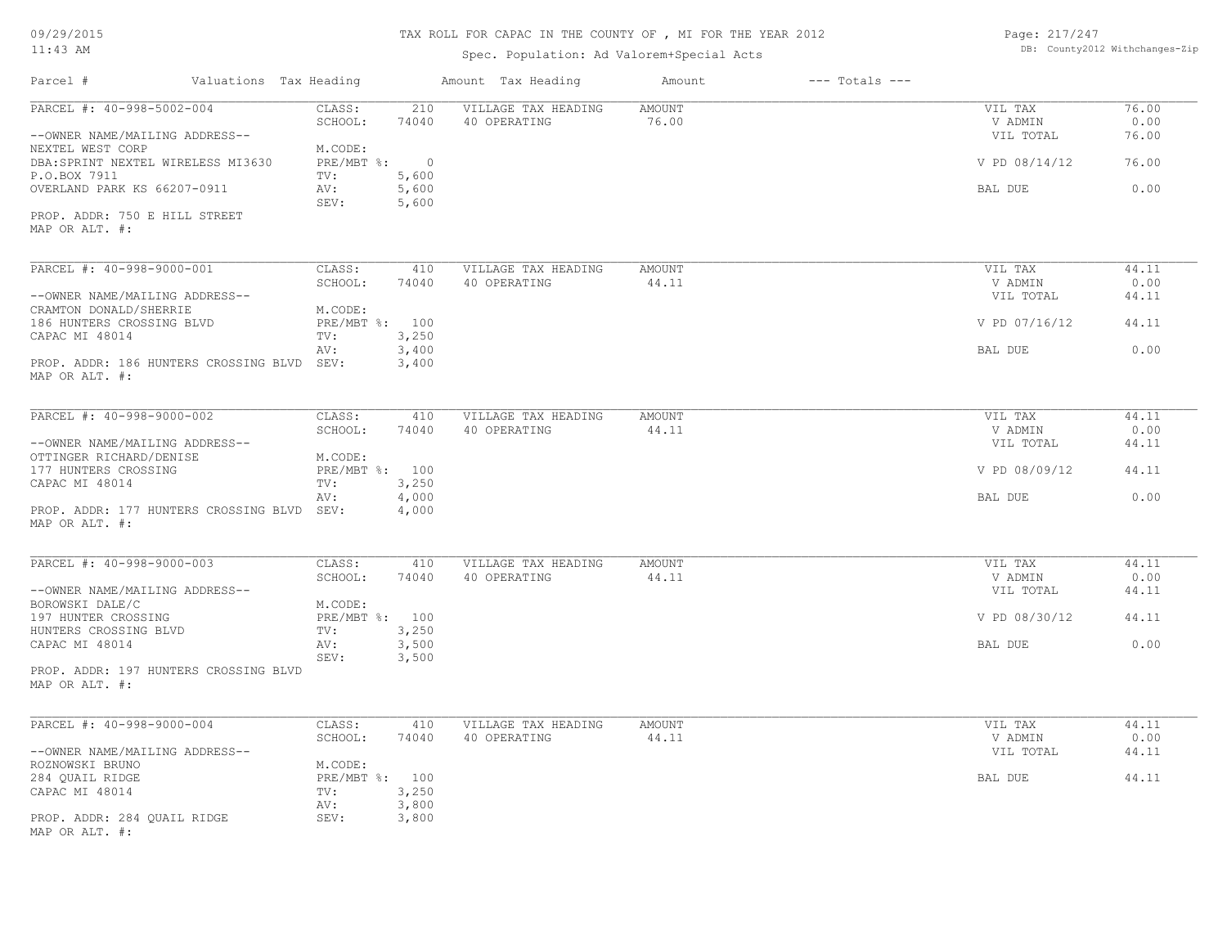#### TAX ROLL FOR CAPAC IN THE COUNTY OF , MI FOR THE YEAR 2012

Spec. Population: Ad Valorem+Special Acts

Page: 217/247 DB: County2012 Withchanges-Zip

| Parcel #                                                     | Valuations Tax Heading    |                | Amount Tax Heading                  | Amount                 | $---$ Totals $---$ |                      |               |
|--------------------------------------------------------------|---------------------------|----------------|-------------------------------------|------------------------|--------------------|----------------------|---------------|
| PARCEL #: 40-998-5002-004                                    | CLASS:<br>SCHOOL:         | 210<br>74040   | VILLAGE TAX HEADING<br>40 OPERATING | <b>AMOUNT</b><br>76.00 |                    | VIL TAX<br>V ADMIN   | 76.00<br>0.00 |
| --OWNER NAME/MAILING ADDRESS--<br>NEXTEL WEST CORP           | M.CODE:                   |                |                                     |                        |                    | VIL TOTAL            | 76.00         |
| DBA: SPRINT NEXTEL WIRELESS MI3630<br>P.O.BOX 7911           | PRE/MBT %: 0<br>TV:       | 5,600          |                                     |                        |                    | V PD 08/14/12        | 76.00         |
| OVERLAND PARK KS 66207-0911                                  | AV:<br>SEV:               | 5,600<br>5,600 |                                     |                        |                    | BAL DUE              | 0.00          |
| PROP. ADDR: 750 E HILL STREET<br>MAP OR ALT. #:              |                           |                |                                     |                        |                    |                      |               |
|                                                              |                           |                |                                     |                        |                    |                      |               |
| PARCEL #: 40-998-9000-001                                    | CLASS:<br>SCHOOL:         | 410<br>74040   | VILLAGE TAX HEADING<br>40 OPERATING | <b>AMOUNT</b><br>44.11 |                    | VIL TAX<br>V ADMIN   | 44.11<br>0.00 |
| --OWNER NAME/MAILING ADDRESS--<br>CRAMTON DONALD/SHERRIE     | M.CODE:                   |                |                                     |                        |                    | VIL TOTAL            | 44.11         |
| 186 HUNTERS CROSSING BLVD<br>CAPAC MI 48014                  | PRE/MBT %: 100<br>TV:     | 3,250          |                                     |                        |                    | V PD 07/16/12        | 44.11         |
|                                                              | AV:                       | 3,400          |                                     |                        |                    | BAL DUE              | 0.00          |
| PROP. ADDR: 186 HUNTERS CROSSING BLVD SEV:<br>MAP OR ALT. #: |                           | 3,400          |                                     |                        |                    |                      |               |
| PARCEL #: 40-998-9000-002                                    | CLASS:                    | 410            | VILLAGE TAX HEADING                 | AMOUNT                 |                    | VIL TAX              | 44.11         |
|                                                              | SCHOOL:                   | 74040          | 40 OPERATING                        | 44.11                  |                    | V ADMIN              | 0.00          |
| --OWNER NAME/MAILING ADDRESS--<br>OTTINGER RICHARD/DENISE    | M.CODE:                   |                |                                     |                        |                    | VIL TOTAL            | 44.11         |
| 177 HUNTERS CROSSING<br>CAPAC MI 48014                       | PRE/MBT %: 100<br>TV:     | 3,250          |                                     |                        |                    | V PD 08/09/12        | 44.11         |
| PROP. ADDR: 177 HUNTERS CROSSING BLVD SEV:                   | AV:                       | 4,000<br>4,000 |                                     |                        |                    | BAL DUE              | 0.00          |
| MAP OR ALT. #:                                               |                           |                |                                     |                        |                    |                      |               |
| PARCEL #: 40-998-9000-003                                    | CLASS:                    | 410            | VILLAGE TAX HEADING                 | AMOUNT                 |                    | VIL TAX              | 44.11         |
| --OWNER NAME/MAILING ADDRESS--                               | SCHOOL:                   | 74040          | 40 OPERATING                        | 44.11                  |                    | V ADMIN<br>VIL TOTAL | 0.00<br>44.11 |
| BOROWSKI DALE/C<br>197 HUNTER CROSSING                       | M.CODE:<br>PRE/MBT %: 100 |                |                                     |                        |                    | V PD 08/30/12        | 44.11         |
| HUNTERS CROSSING BLVD<br>CAPAC MI 48014                      | TV:<br>AV:                | 3,250<br>3,500 |                                     |                        |                    | BAL DUE              | 0.00          |
| PROP. ADDR: 197 HUNTERS CROSSING BLVD                        | SEV:                      | 3,500          |                                     |                        |                    |                      |               |
| MAP OR ALT. #:                                               |                           |                |                                     |                        |                    |                      |               |
| PARCEL #: 40-998-9000-004                                    | CLASS:                    | 410            | VILLAGE TAX HEADING                 | AMOUNT                 |                    | VIL TAX              | 44.11         |
|                                                              | SCHOOL:                   | 74040          | 40 OPERATING                        | 44.11                  |                    | V ADMIN              | 0.00          |
| --OWNER NAME/MAILING ADDRESS--<br>ROZNOWSKI BRUNO            | M.CODE:                   |                |                                     |                        |                    | VIL TOTAL            | 44.11         |
| 284 QUAIL RIDGE                                              | PRE/MBT %: 100            |                |                                     |                        |                    | BAL DUE              | 44.11         |
| CAPAC MI 48014                                               | TV:<br>AV:                | 3,250<br>3,800 |                                     |                        |                    |                      |               |
| PROP. ADDR: 284 QUAIL RIDGE<br>MAP OR ALT. #:                | SEV:                      | 3,800          |                                     |                        |                    |                      |               |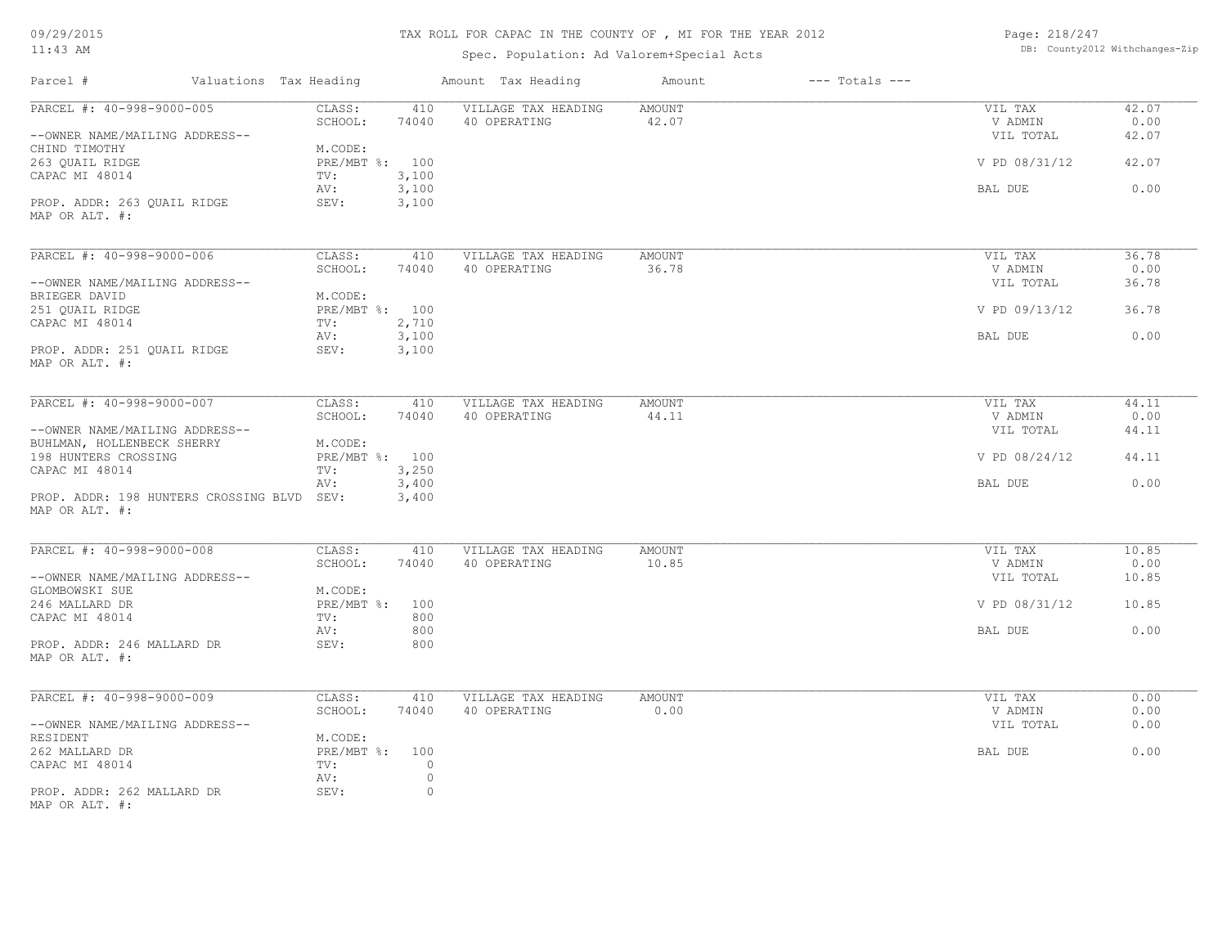09/29/2015

#### 11:43 AM

#### TAX ROLL FOR CAPAC IN THE COUNTY OF , MI FOR THE YEAR 2012

Spec. Population: Ad Valorem+Special Acts

Page: 218/247 DB: County2012 Withchanges-Zip

| Parcel #<br>Valuations Tax Heading    |                   | Amount Tax Heading  | Amount        | $---$ Totals $---$ |               |       |
|---------------------------------------|-------------------|---------------------|---------------|--------------------|---------------|-------|
| PARCEL #: 40-998-9000-005             | CLASS:<br>410     | VILLAGE TAX HEADING | <b>AMOUNT</b> |                    | VIL TAX       | 42.07 |
|                                       | SCHOOL:<br>74040  | 40 OPERATING        | 42.07         |                    | V ADMIN       | 0.00  |
| --OWNER NAME/MAILING ADDRESS--        |                   |                     |               |                    | VIL TOTAL     | 42.07 |
| CHIND TIMOTHY                         | M.CODE:           |                     |               |                    |               |       |
| 263 QUAIL RIDGE                       | PRE/MBT %: 100    |                     |               |                    | V PD 08/31/12 | 42.07 |
| CAPAC MI 48014                        | 3,100<br>TV:      |                     |               |                    |               |       |
|                                       | 3,100<br>AV:      |                     |               |                    | BAL DUE       | 0.00  |
| PROP. ADDR: 263 QUAIL RIDGE           | 3,100<br>SEV:     |                     |               |                    |               |       |
| MAP OR ALT. #:                        |                   |                     |               |                    |               |       |
|                                       |                   |                     |               |                    |               |       |
| PARCEL #: 40-998-9000-006             | CLASS:<br>410     | VILLAGE TAX HEADING | <b>AMOUNT</b> |                    | VIL TAX       | 36.78 |
|                                       | SCHOOL:<br>74040  | 40 OPERATING        | 36.78         |                    | V ADMIN       | 0.00  |
| --OWNER NAME/MAILING ADDRESS--        |                   |                     |               |                    | VIL TOTAL     | 36.78 |
| BRIEGER DAVID                         | M.CODE:           |                     |               |                    |               |       |
| 251 QUAIL RIDGE                       | PRE/MBT %: 100    |                     |               |                    | V PD 09/13/12 | 36.78 |
| CAPAC MI 48014                        | 2,710<br>TV:      |                     |               |                    |               |       |
|                                       | 3,100<br>AV:      |                     |               |                    | BAL DUE       | 0.00  |
| PROP. ADDR: 251 QUAIL RIDGE           | SEV:<br>3,100     |                     |               |                    |               |       |
| MAP OR ALT. #:                        |                   |                     |               |                    |               |       |
|                                       |                   |                     |               |                    |               |       |
| PARCEL #: 40-998-9000-007             | CLASS:<br>410     | VILLAGE TAX HEADING | <b>AMOUNT</b> |                    | VIL TAX       | 44.11 |
|                                       | SCHOOL:<br>74040  | 40 OPERATING        | 44.11         |                    | V ADMIN       | 0.00  |
| --OWNER NAME/MAILING ADDRESS--        |                   |                     |               |                    | VIL TOTAL     | 44.11 |
| BUHLMAN, HOLLENBECK SHERRY            | M.CODE:           |                     |               |                    |               |       |
| 198 HUNTERS CROSSING                  | PRE/MBT %: 100    |                     |               |                    | V PD 08/24/12 | 44.11 |
| CAPAC MI 48014                        | 3,250<br>TV:      |                     |               |                    |               |       |
|                                       | 3,400<br>AV:      |                     |               |                    | BAL DUE       | 0.00  |
| PROP. ADDR: 198 HUNTERS CROSSING BLVD | SEV:<br>3,400     |                     |               |                    |               |       |
| MAP OR ALT. #:                        |                   |                     |               |                    |               |       |
|                                       |                   |                     |               |                    |               |       |
| PARCEL #: 40-998-9000-008             | CLASS:<br>410     | VILLAGE TAX HEADING | <b>AMOUNT</b> |                    | VIL TAX       | 10.85 |
|                                       | SCHOOL:<br>74040  | 40 OPERATING        | 10.85         |                    | V ADMIN       | 0.00  |
| --OWNER NAME/MAILING ADDRESS--        |                   |                     |               |                    | VIL TOTAL     | 10.85 |
| GLOMBOWSKI SUE                        | M.CODE:           |                     |               |                    |               |       |
| 246 MALLARD DR                        | PRE/MBT %:<br>100 |                     |               |                    | V PD 08/31/12 | 10.85 |
| CAPAC MI 48014                        | TV:<br>800        |                     |               |                    |               |       |
|                                       | AV:<br>800        |                     |               |                    | BAL DUE       | 0.00  |
| PROP. ADDR: 246 MALLARD DR            | SEV:<br>800       |                     |               |                    |               |       |
| MAP OR ALT. #:                        |                   |                     |               |                    |               |       |
|                                       |                   |                     |               |                    |               |       |
| PARCEL #: 40-998-9000-009             | CLASS:<br>410     | VILLAGE TAX HEADING | <b>AMOUNT</b> |                    | VIL TAX       | 0.00  |
|                                       | SCHOOL:<br>74040  | 40 OPERATING        | 0.00          |                    | V ADMIN       | 0.00  |
| --OWNER NAME/MAILING ADDRESS--        |                   |                     |               |                    | VIL TOTAL     | 0.00  |
| RESIDENT                              | M.CODE:           |                     |               |                    |               |       |
| 262 MALLARD DR                        | PRE/MBT %: 100    |                     |               |                    | BAL DUE       | 0.00  |
| CAPAC MI 48014                        | TV:<br>$\circ$    |                     |               |                    |               |       |
|                                       | $\circ$<br>AV:    |                     |               |                    |               |       |
| PROP. ADDR: 262 MALLARD DR            | SEV:<br>$\circ$   |                     |               |                    |               |       |
| MAP OR ALT. #:                        |                   |                     |               |                    |               |       |
|                                       |                   |                     |               |                    |               |       |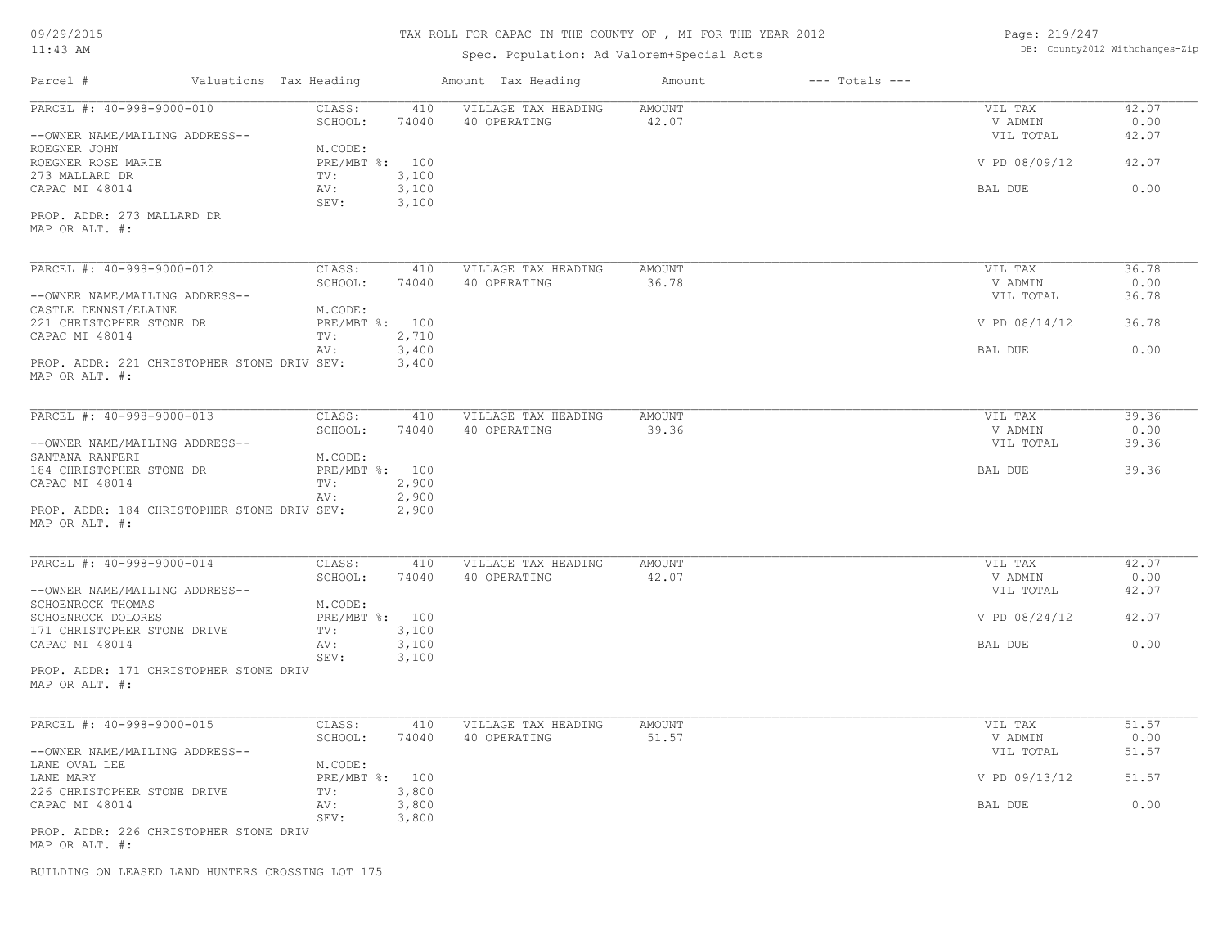#### TAX ROLL FOR CAPAC IN THE COUNTY OF , MI FOR THE YEAR 2012

Spec. Population: Ad Valorem+Special Acts

Page: 219/247 DB: County2012 Withchanges-Zip

| Parcel #                                                      | Valuations Tax Heading                        | Amount Tax Heading                  | Amount                 | $---$ Totals $---$   |               |
|---------------------------------------------------------------|-----------------------------------------------|-------------------------------------|------------------------|----------------------|---------------|
| PARCEL #: 40-998-9000-010                                     | CLASS:<br>410<br>SCHOOL:<br>74040             | VILLAGE TAX HEADING<br>40 OPERATING | <b>AMOUNT</b><br>42.07 | VIL TAX<br>V ADMIN   | 42.07<br>0.00 |
| --OWNER NAME/MAILING ADDRESS--                                | M.CODE:                                       |                                     |                        | VIL TOTAL            | 42.07         |
| ROEGNER JOHN<br>ROEGNER ROSE MARIE                            | PRE/MBT %: 100                                |                                     |                        | V PD 08/09/12        | 42.07         |
| 273 MALLARD DR<br>CAPAC MI 48014                              | 3,100<br>TV:<br>3,100<br>AV:<br>3,100<br>SEV: |                                     |                        | BAL DUE              | 0.00          |
| PROP. ADDR: 273 MALLARD DR<br>MAP OR ALT. #:                  |                                               |                                     |                        |                      |               |
| PARCEL #: 40-998-9000-012                                     | CLASS:<br>410                                 | VILLAGE TAX HEADING                 | AMOUNT                 | VIL TAX              | 36.78         |
|                                                               | SCHOOL:<br>74040                              | 40 OPERATING                        | 36.78                  | V ADMIN              | 0.00          |
| --OWNER NAME/MAILING ADDRESS--<br>CASTLE DENNSI/ELAINE        | M.CODE:                                       |                                     |                        | VIL TOTAL            | 36.78         |
| 221 CHRISTOPHER STONE DR                                      | PRE/MBT %: 100                                |                                     |                        | V PD 08/14/12        | 36.78         |
| CAPAC MI 48014                                                | 2,710<br>TV:                                  |                                     |                        |                      |               |
| PROP. ADDR: 221 CHRISTOPHER STONE DRIV SEV:<br>MAP OR ALT. #: | 3,400<br>AV:<br>3,400                         |                                     |                        | BAL DUE              | 0.00          |
|                                                               |                                               |                                     |                        |                      |               |
| PARCEL #: 40-998-9000-013                                     | CLASS:<br>410                                 | VILLAGE TAX HEADING                 | <b>AMOUNT</b>          | VIL TAX              | 39.36         |
| --OWNER NAME/MAILING ADDRESS--                                | SCHOOL:<br>74040                              | 40 OPERATING                        | 39.36                  | V ADMIN<br>VIL TOTAL | 0.00<br>39.36 |
| SANTANA RANFERI                                               | M.CODE:                                       |                                     |                        |                      |               |
| 184 CHRISTOPHER STONE DR                                      | PRE/MBT %: 100                                |                                     |                        | BAL DUE              | 39.36         |
| CAPAC MI 48014                                                | 2,900<br>TV:                                  |                                     |                        |                      |               |
| PROP. ADDR: 184 CHRISTOPHER STONE DRIV SEV:<br>MAP OR ALT. #: | 2,900<br>AV:<br>2,900                         |                                     |                        |                      |               |
|                                                               |                                               |                                     |                        |                      |               |
| PARCEL #: 40-998-9000-014                                     | CLASS:<br>410                                 | VILLAGE TAX HEADING                 | <b>AMOUNT</b>          | VIL TAX              | 42.07         |
| --OWNER NAME/MAILING ADDRESS--                                | SCHOOL:<br>74040                              | 40 OPERATING                        | 42.07                  | V ADMIN<br>VIL TOTAL | 0.00<br>42.07 |
| SCHOENROCK THOMAS                                             | M.CODE:                                       |                                     |                        |                      |               |
| SCHOENROCK DOLORES                                            | PRE/MBT %: 100                                |                                     |                        | V PD 08/24/12        | 42.07         |
| 171 CHRISTOPHER STONE DRIVE                                   | 3,100<br>TV:                                  |                                     |                        |                      |               |
| CAPAC MI 48014                                                | 3,100<br>AV:<br>3,100<br>SEV:                 |                                     |                        | BAL DUE              | 0.00          |
| PROP. ADDR: 171 CHRISTOPHER STONE DRIV<br>MAP OR ALT. #:      |                                               |                                     |                        |                      |               |
| PARCEL #: 40-998-9000-015                                     | CLASS:<br>410                                 | VILLAGE TAX HEADING                 | <b>AMOUNT</b>          | VIL TAX              | 51.57         |
|                                                               | SCHOOL:<br>74040                              | 40 OPERATING                        | 51.57                  | V ADMIN              | 0.00          |
| --OWNER NAME/MAILING ADDRESS--                                |                                               |                                     |                        | VIL TOTAL            | 51.57         |
| LANE OVAL LEE<br>LANE MARY                                    | M.CODE:<br>PRE/MBT %: 100                     |                                     |                        | V PD 09/13/12        | 51.57         |
| 226 CHRISTOPHER STONE DRIVE<br>CAPAC MI 48014                 | 3,800<br>TV:<br>3,800<br>AV:                  |                                     |                        | BAL DUE              | 0.00          |
|                                                               | 3,800<br>SEV:                                 |                                     |                        |                      |               |
| PROP. ADDR: 226 CHRISTOPHER STONE DRIV<br>MAP OR ALT. #:      |                                               |                                     |                        |                      |               |
| BUILDING ON LEASED LAND HUNTERS CROSSING LOT 175              |                                               |                                     |                        |                      |               |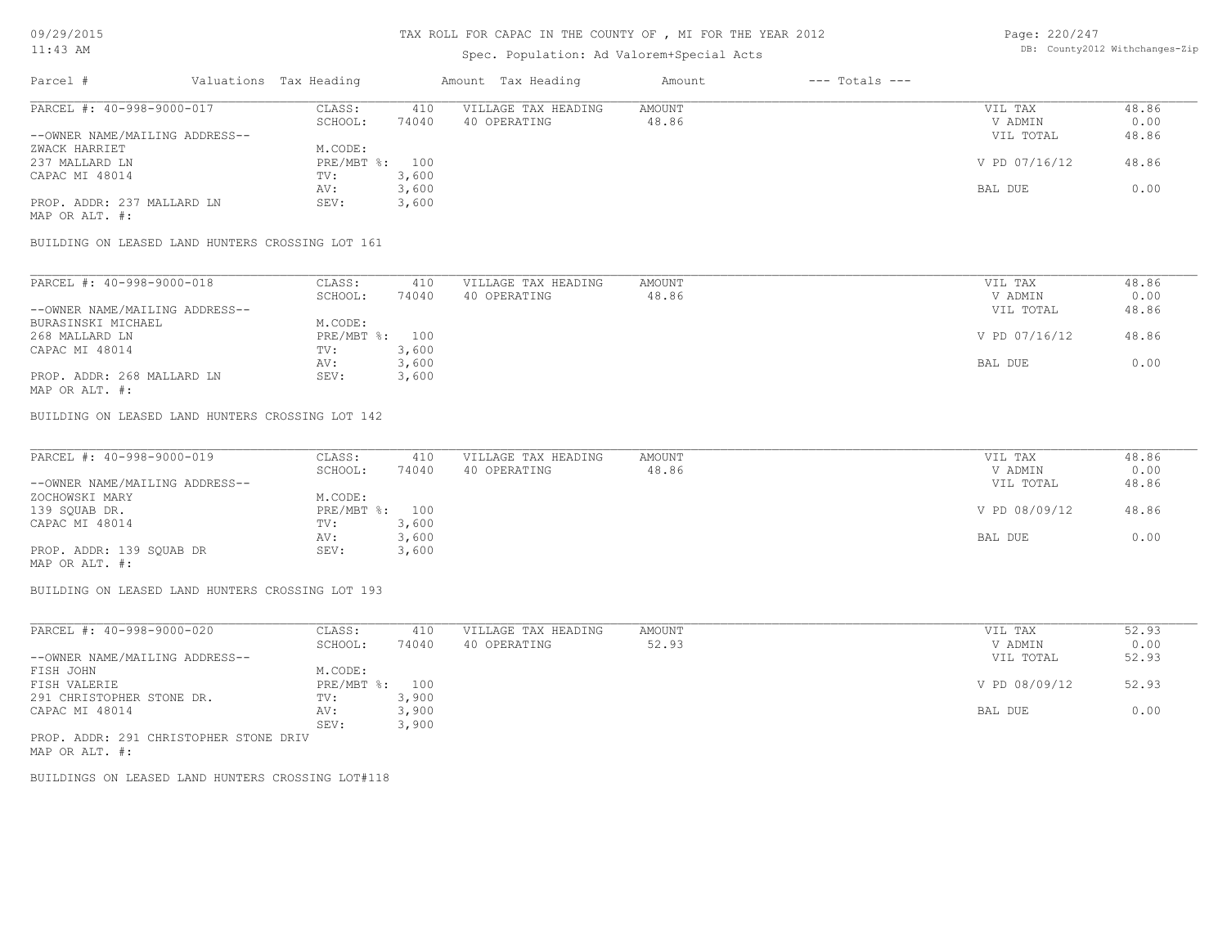#### Spec. Population: Ad Valorem+Special Acts

Page: 220/247 DB: County2012 Withchanges-Zip

| Parcel #                       | Valuations Tax Heading |       | Amount Tax Heading  | Amount | $---$ Totals $---$ |               |       |
|--------------------------------|------------------------|-------|---------------------|--------|--------------------|---------------|-------|
| PARCEL #: 40-998-9000-017      | CLASS:                 | 410   | VILLAGE TAX HEADING | AMOUNT |                    | VIL TAX       | 48.86 |
|                                | SCHOOL:                | 74040 | 40 OPERATING        | 48.86  |                    | V ADMIN       | 0.00  |
| --OWNER NAME/MAILING ADDRESS-- |                        |       |                     |        |                    | VIL TOTAL     | 48.86 |
| ZWACK HARRIET                  | M.CODE:                |       |                     |        |                    |               |       |
| 237 MALLARD LN                 | $PRE/MBT$ %:           | 100   |                     |        |                    | V PD 07/16/12 | 48.86 |
| CAPAC MI 48014                 | TV:                    | 3,600 |                     |        |                    |               |       |
|                                | AV:                    | 3,600 |                     |        |                    | BAL DUE       | 0.00  |
| PROP. ADDR: 237 MALLARD LN     | SEV:                   | 3,600 |                     |        |                    |               |       |
| MAP OR ALT. #:                 |                        |       |                     |        |                    |               |       |

BUILDING ON LEASED LAND HUNTERS CROSSING LOT 161

| PARCEL #: 40-998-9000-018      | CLASS:       | 410   | VILLAGE TAX HEADING | AMOUNT | VIL TAX       | 48.86 |
|--------------------------------|--------------|-------|---------------------|--------|---------------|-------|
|                                | SCHOOL:      | 74040 | 40 OPERATING        | 48.86  | V ADMIN       | 0.00  |
| --OWNER NAME/MAILING ADDRESS-- |              |       |                     |        | VIL TOTAL     | 48.86 |
| BURASINSKI MICHAEL             | M.CODE:      |       |                     |        |               |       |
| 268 MALLARD LN                 | $PRE/MBT$ %: | 100   |                     |        | V PD 07/16/12 | 48.86 |
| CAPAC MI 48014                 | TV:          | 3,600 |                     |        |               |       |
|                                | AV:          | 3,600 |                     |        | BAL DUE       | 0.00  |
| PROP. ADDR: 268 MALLARD LN     | SEV:         | 3,600 |                     |        |               |       |
| MAP OR ALT. #:                 |              |       |                     |        |               |       |

BUILDING ON LEASED LAND HUNTERS CROSSING LOT 142

| PARCEL #: 40-998-9000-019      | CLASS:  | 410            | VILLAGE TAX HEADING | AMOUNT | VIL TAX       | 48.86 |
|--------------------------------|---------|----------------|---------------------|--------|---------------|-------|
|                                | SCHOOL: | 74040          | 40 OPERATING        | 48.86  | V ADMIN       | 0.00  |
| --OWNER NAME/MAILING ADDRESS-- |         |                |                     |        | VIL TOTAL     | 48.86 |
| ZOCHOWSKI MARY                 | M.CODE: |                |                     |        |               |       |
| 139 SQUAB DR.                  |         | PRE/MBT %: 100 |                     |        | V PD 08/09/12 | 48.86 |
| CAPAC MI 48014                 | TV:     | 3,600          |                     |        |               |       |
|                                | AV:     | 3,600          |                     |        | BAL DUE       | 0.00  |
| PROP. ADDR: 139 SQUAB DR       | SEV:    | 3,600          |                     |        |               |       |
| MAP OR ALT. #:                 |         |                |                     |        |               |       |

BUILDING ON LEASED LAND HUNTERS CROSSING LOT 193

| PARCEL #: 40-998-9000-020              | CLASS:     | 410   | VILLAGE TAX HEADING | AMOUNT | VIL TAX       | 52.93 |
|----------------------------------------|------------|-------|---------------------|--------|---------------|-------|
|                                        | SCHOOL:    | 74040 | 40 OPERATING        | 52.93  | V ADMIN       | 0.00  |
| --OWNER NAME/MAILING ADDRESS--         |            |       |                     |        | VIL TOTAL     | 52.93 |
| FISH JOHN                              | M.CODE:    |       |                     |        |               |       |
| FISH VALERIE                           | PRE/MBT %: | 100   |                     |        | V PD 08/09/12 | 52.93 |
| 291 CHRISTOPHER STONE DR.              | TV:        | 3,900 |                     |        |               |       |
| CAPAC MI 48014                         | AV:        | 3,900 |                     |        | BAL DUE       | 0.00  |
|                                        | SEV:       | 3,900 |                     |        |               |       |
| PROP. ADDR: 291 CHRISTOPHER STONE DRIV |            |       |                     |        |               |       |

MAP OR ALT. #:

BUILDINGS ON LEASED LAND HUNTERS CROSSING LOT#118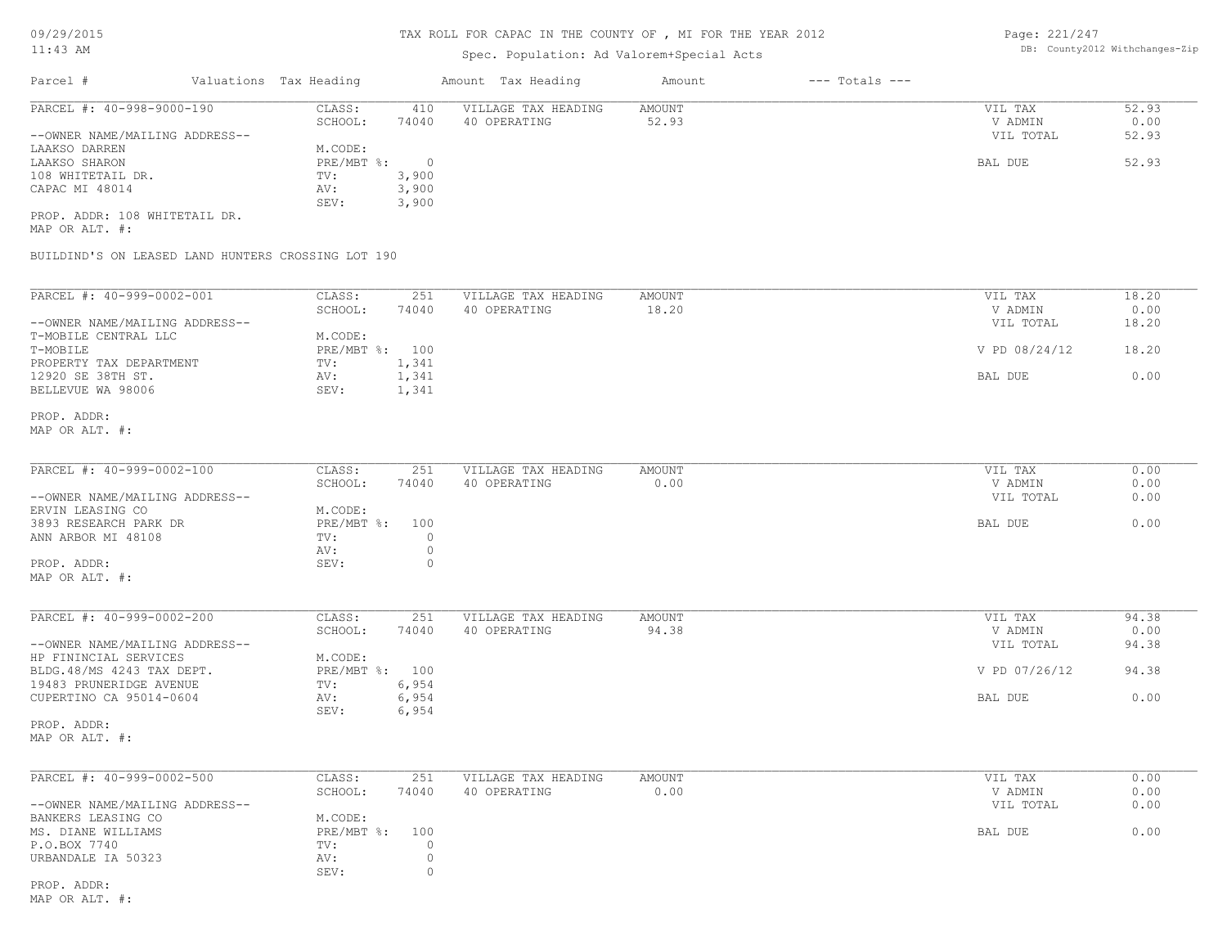# Spec. Population: Ad Valorem+Special Acts

Page: 221/247 DB: County2012 Withchanges-Zip

| Parcel #                                                             | Valuations Tax Heading                      | Amount Tax Heading                  | Amount          | $---$ Totals $---$ |                                 |                        |
|----------------------------------------------------------------------|---------------------------------------------|-------------------------------------|-----------------|--------------------|---------------------------------|------------------------|
| PARCEL #: 40-998-9000-190<br>--OWNER NAME/MAILING ADDRESS--          | CLASS:<br>410<br>SCHOOL:<br>74040           | VILLAGE TAX HEADING<br>40 OPERATING | AMOUNT<br>52.93 |                    | VIL TAX<br>V ADMIN<br>VIL TOTAL | 52.93<br>0.00<br>52.93 |
| LAAKSO DARREN<br>LAAKSO SHARON                                       | M.CODE:<br>PRE/MBT %: 0                     |                                     |                 |                    | BAL DUE                         | 52.93                  |
| 108 WHITETAIL DR.<br>CAPAC MI 48014                                  | 3,900<br>$\texttt{TV}$ :<br>3,900<br>AV:    |                                     |                 |                    |                                 |                        |
| PROP. ADDR: 108 WHITETAIL DR.                                        | 3,900<br>SEV:                               |                                     |                 |                    |                                 |                        |
| MAP OR ALT. #:<br>BUILDIND'S ON LEASED LAND HUNTERS CROSSING LOT 190 |                                             |                                     |                 |                    |                                 |                        |
|                                                                      |                                             |                                     |                 |                    |                                 |                        |
| PARCEL #: 40-999-0002-001                                            | CLASS:<br>251<br>74040<br>SCHOOL:           | VILLAGE TAX HEADING<br>40 OPERATING | AMOUNT<br>18.20 |                    | VIL TAX<br>V ADMIN              | 18.20<br>0.00          |
| --OWNER NAME/MAILING ADDRESS--<br>T-MOBILE CENTRAL LLC               | M.CODE:                                     |                                     |                 |                    | VIL TOTAL                       | 18.20                  |
| T-MOBILE<br>PROPERTY TAX DEPARTMENT                                  | PRE/MBT %: 100<br>1,341<br>TV:              |                                     |                 |                    | V PD 08/24/12                   | 18.20                  |
| 12920 SE 38TH ST.<br>BELLEVUE WA 98006                               | 1,341<br>AV:<br>SEV:<br>1,341               |                                     |                 |                    | BAL DUE                         | 0.00                   |
| PROP. ADDR:<br>MAP OR ALT. #:                                        |                                             |                                     |                 |                    |                                 |                        |
| PARCEL #: 40-999-0002-100                                            | CLASS:<br>251<br>SCHOOL:<br>74040           | VILLAGE TAX HEADING<br>40 OPERATING | AMOUNT<br>0.00  |                    | VIL TAX<br>V ADMIN              | 0.00<br>0.00           |
| --OWNER NAME/MAILING ADDRESS--                                       |                                             |                                     |                 |                    | VIL TOTAL                       | 0.00                   |
| ERVIN LEASING CO<br>3893 RESEARCH PARK DR<br>ANN ARBOR MI 48108      | M.CODE:<br>PRE/MBT %: 100<br>$\circ$<br>TV: |                                     |                 |                    | BAL DUE                         | 0.00                   |
| PROP. ADDR:                                                          | AV:<br>$\circ$<br>$\circ$<br>SEV:           |                                     |                 |                    |                                 |                        |
| MAP OR ALT. #:                                                       |                                             |                                     |                 |                    |                                 |                        |
| PARCEL #: 40-999-0002-200                                            | CLASS:<br>251<br>SCHOOL:<br>74040           | VILLAGE TAX HEADING<br>40 OPERATING | AMOUNT<br>94.38 |                    | VIL TAX<br>V ADMIN              | 94.38<br>0.00          |
| --OWNER NAME/MAILING ADDRESS--<br>HP FININCIAL SERVICES              | M.CODE:                                     |                                     |                 |                    | VIL TOTAL                       | 94.38                  |
| BLDG.48/MS 4243 TAX DEPT.                                            | PRE/MBT %: 100                              |                                     |                 |                    | V PD 07/26/12                   | 94.38                  |
| 19483 PRUNERIDGE AVENUE<br>CUPERTINO CA 95014-0604                   | TV:<br>6,954<br>6,954<br>AV:                |                                     |                 |                    | BAL DUE                         | 0.00                   |
| PROP. ADDR:<br>MAP OR ALT. #:                                        | 6,954<br>SEV:                               |                                     |                 |                    |                                 |                        |
| PARCEL #: 40-999-0002-500                                            | CLASS:<br>251                               | VILLAGE TAX HEADING                 | AMOUNT          |                    | VIL TAX                         | 0.00                   |
| --OWNER NAME/MAILING ADDRESS--                                       | 74040<br>SCHOOL:                            | 40 OPERATING                        | 0.00            |                    | V ADMIN<br>VIL TOTAL            | 0.00<br>0.00           |
| BANKERS LEASING CO<br>MS. DIANE WILLIAMS                             | M.CODE:<br>PRE/MBT %:<br>100                |                                     |                 |                    | BAL DUE                         | 0.00                   |
| P.O.BOX 7740<br>URBANDALE IA 50323                                   | $\circ$<br>TV:<br>AV:<br>0<br>$\circ$       |                                     |                 |                    |                                 |                        |
| PROP. ADDR:                                                          | SEV:                                        |                                     |                 |                    |                                 |                        |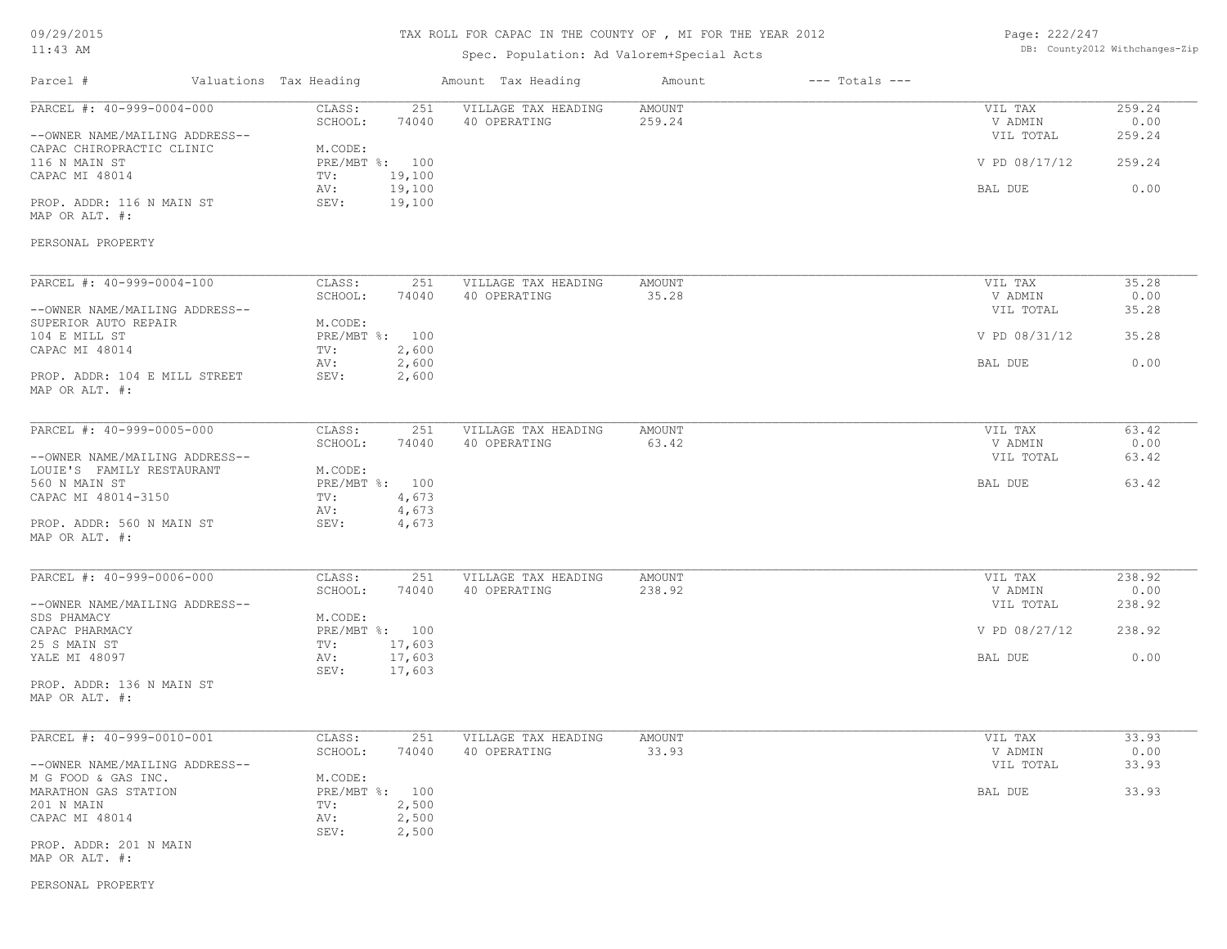# TAX ROLL FOR CAPAC IN THE COUNTY OF , MI FOR THE YEAR 2012

#### Spec. Population: Ad Valorem+Special Acts

Page: 222/247 DB: County2012 Withchanges-Zip

| Parcel #                                                    | Valuations Tax Heading    |                  | Amount Tax Heading                  | Amount                  | $---$ Totals $---$ |                                 |                          |
|-------------------------------------------------------------|---------------------------|------------------|-------------------------------------|-------------------------|--------------------|---------------------------------|--------------------------|
| PARCEL #: 40-999-0004-000<br>--OWNER NAME/MAILING ADDRESS-- | CLASS:<br>SCHOOL:         | 251<br>74040     | VILLAGE TAX HEADING<br>40 OPERATING | <b>AMOUNT</b><br>259.24 |                    | VIL TAX<br>V ADMIN<br>VIL TOTAL | 259.24<br>0.00<br>259.24 |
| CAPAC CHIROPRACTIC CLINIC<br>116 N MAIN ST                  | M.CODE:<br>PRE/MBT %: 100 |                  |                                     |                         |                    | V PD 08/17/12                   | 259.24                   |
| CAPAC MI 48014                                              | TV:<br>AV:                | 19,100<br>19,100 |                                     |                         |                    | BAL DUE                         | 0.00                     |
| PROP. ADDR: 116 N MAIN ST<br>MAP OR ALT. #:                 | SEV:                      | 19,100           |                                     |                         |                    |                                 |                          |
| PERSONAL PROPERTY                                           |                           |                  |                                     |                         |                    |                                 |                          |
| PARCEL #: 40-999-0004-100                                   | CLASS:                    | 251              | VILLAGE TAX HEADING                 | <b>AMOUNT</b>           |                    | VIL TAX                         | 35.28                    |
|                                                             | SCHOOL:                   | 74040            | 40 OPERATING                        | 35.28                   |                    | V ADMIN                         | 0.00                     |
| --OWNER NAME/MAILING ADDRESS--                              |                           |                  |                                     |                         |                    | VIL TOTAL                       | 35.28                    |
| SUPERIOR AUTO REPAIR                                        | M.CODE:                   |                  |                                     |                         |                    |                                 |                          |
| 104 E MILL ST                                               | PRE/MBT %: 100            |                  |                                     |                         |                    | V PD 08/31/12                   | 35.28                    |
| CAPAC MI 48014                                              | TV:<br>AV:                | 2,600<br>2,600   |                                     |                         |                    | BAL DUE                         | 0.00                     |
| PROP. ADDR: 104 E MILL STREET<br>MAP OR ALT. #:             | SEV:                      | 2,600            |                                     |                         |                    |                                 |                          |
| PARCEL #: 40-999-0005-000                                   | CLASS:                    | 251              | VILLAGE TAX HEADING                 | AMOUNT                  |                    | VIL TAX                         | 63.42                    |
|                                                             | SCHOOL:                   | 74040            | 40 OPERATING                        | 63.42                   |                    | V ADMIN                         | 0.00                     |
| --OWNER NAME/MAILING ADDRESS--                              |                           |                  |                                     |                         |                    | VIL TOTAL                       | 63.42                    |
| LOUIE'S FAMILY RESTAURANT                                   | M.CODE:                   |                  |                                     |                         |                    |                                 |                          |
| 560 N MAIN ST                                               | PRE/MBT %: 100            |                  |                                     |                         |                    | BAL DUE                         | 63.42                    |
| CAPAC MI 48014-3150                                         | TV:                       | 4,673            |                                     |                         |                    |                                 |                          |
|                                                             | AV:                       | 4,673            |                                     |                         |                    |                                 |                          |
| PROP. ADDR: 560 N MAIN ST<br>MAP OR ALT. #:                 | SEV:                      | 4,673            |                                     |                         |                    |                                 |                          |
| PARCEL #: 40-999-0006-000                                   | CLASS:                    | 251              | VILLAGE TAX HEADING                 | AMOUNT                  |                    | VIL TAX                         | 238.92                   |
|                                                             | SCHOOL:                   | 74040            | 40 OPERATING                        | 238.92                  |                    | V ADMIN                         | 0.00                     |
| --OWNER NAME/MAILING ADDRESS--                              |                           |                  |                                     |                         |                    | VIL TOTAL                       | 238.92                   |
| SDS PHAMACY                                                 | M.CODE:                   |                  |                                     |                         |                    |                                 |                          |
| CAPAC PHARMACY                                              | PRE/MBT %: 100            |                  |                                     |                         |                    | V PD 08/27/12                   | 238.92                   |
| 25 S MAIN ST                                                | TV:                       | 17,603           |                                     |                         |                    |                                 |                          |
| YALE MI 48097                                               | AV:<br>SEV:               | 17,603<br>17,603 |                                     |                         |                    | BAL DUE                         | 0.00                     |
| PROP. ADDR: 136 N MAIN ST                                   |                           |                  |                                     |                         |                    |                                 |                          |
| MAP OR ALT. #:                                              |                           |                  |                                     |                         |                    |                                 |                          |
| PARCEL #: 40-999-0010-001                                   | CLASS:                    | 251              | VILLAGE TAX HEADING                 | AMOUNT                  |                    | VIL TAX                         | 33.93                    |
|                                                             | SCHOOL:                   | 74040            | 40 OPERATING                        | 33.93                   |                    | V ADMIN                         | 0.00                     |
| --OWNER NAME/MAILING ADDRESS--                              |                           |                  |                                     |                         |                    | VIL TOTAL                       | 33.93                    |
| M G FOOD & GAS INC.                                         | M.CODE:                   |                  |                                     |                         |                    |                                 |                          |
| MARATHON GAS STATION                                        | PRE/MBT %: 100            |                  |                                     |                         |                    | BAL DUE                         | 33.93                    |
| 201 N MAIN                                                  | TV:                       | 2,500            |                                     |                         |                    |                                 |                          |
| CAPAC MI 48014                                              | AV:<br>SEV:               | 2,500<br>2,500   |                                     |                         |                    |                                 |                          |
| PROP. ADDR: 201 N MAIN                                      |                           |                  |                                     |                         |                    |                                 |                          |
| MAP OR ALT. #:                                              |                           |                  |                                     |                         |                    |                                 |                          |

PERSONAL PROPERTY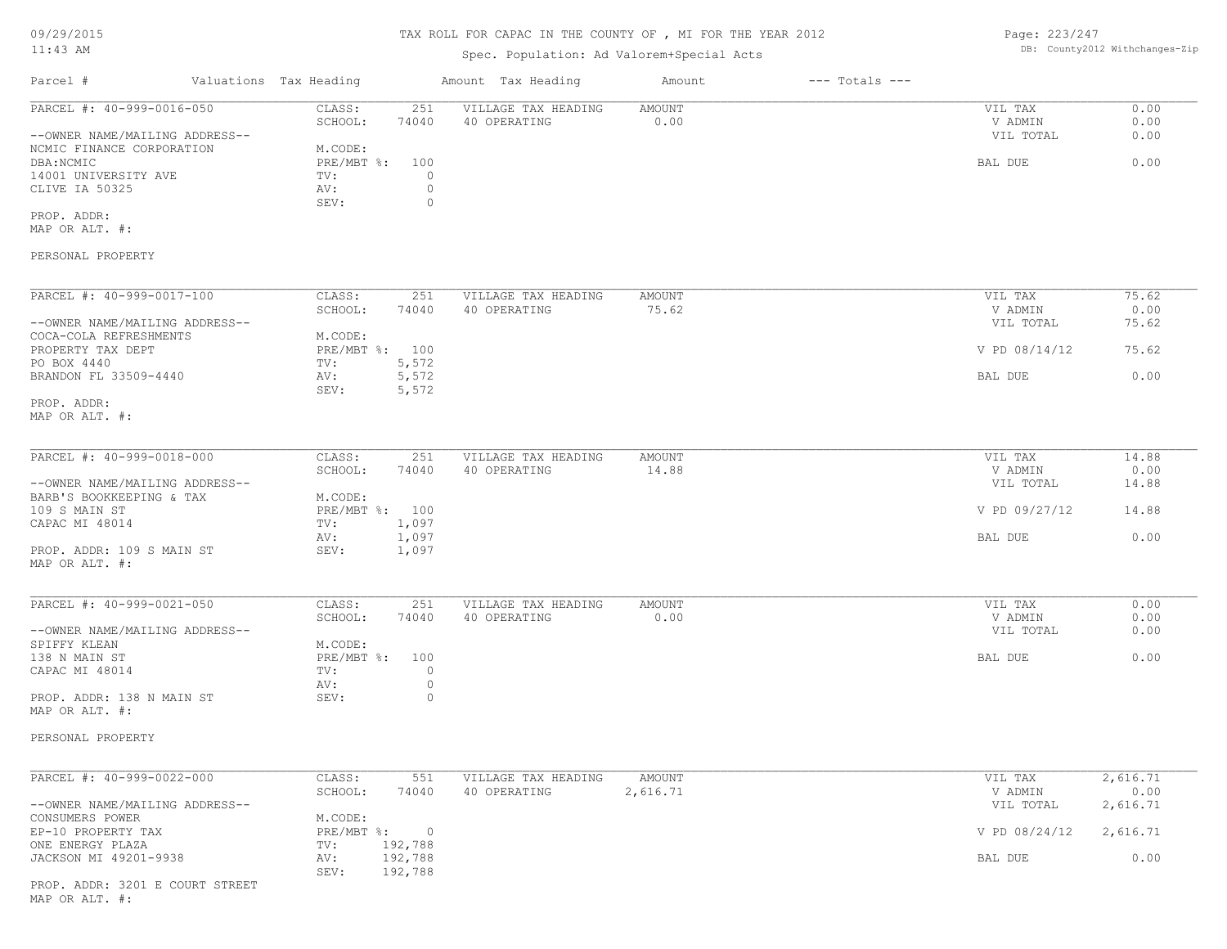| Page: 223/247 |                               |
|---------------|-------------------------------|
|               | DB: County2012 Withchanges-Zi |

| $11:43$ AM                                                 |                                                  | Spec. Population: Ad Valorem+Special Acts | DB: County2012 Withchanges-Zip |                    |                      |               |
|------------------------------------------------------------|--------------------------------------------------|-------------------------------------------|--------------------------------|--------------------|----------------------|---------------|
| Parcel #                                                   | Valuations Tax Heading                           | Amount Tax Heading                        | Amount                         | $---$ Totals $---$ |                      |               |
| PARCEL #: 40-999-0016-050                                  | CLASS:<br>251                                    | VILLAGE TAX HEADING                       | AMOUNT                         |                    | VIL TAX              | 0.00          |
| --OWNER NAME/MAILING ADDRESS--                             | SCHOOL:<br>74040                                 | 40 OPERATING                              | 0.00                           |                    | V ADMIN<br>VIL TOTAL | 0.00<br>0.00  |
| NCMIC FINANCE CORPORATION                                  | M.CODE:                                          |                                           |                                |                    |                      |               |
| DBA: NCMIC<br>14001 UNIVERSITY AVE                         | $PRE/MBT$ $\div$<br>100<br>TV:<br>$\overline{0}$ |                                           |                                |                    | BAL DUE              | 0.00          |
| CLIVE IA 50325                                             | $\circ$<br>AV:<br>SEV:<br>$\circ$                |                                           |                                |                    |                      |               |
| PROP. ADDR:<br>MAP OR ALT. #:                              |                                                  |                                           |                                |                    |                      |               |
| PERSONAL PROPERTY                                          |                                                  |                                           |                                |                    |                      |               |
| PARCEL #: 40-999-0017-100                                  | CLASS:<br>251                                    | VILLAGE TAX HEADING                       | AMOUNT                         |                    | VIL TAX              | 75.62         |
| --OWNER NAME/MAILING ADDRESS--                             | SCHOOL:<br>74040                                 | 40 OPERATING                              | 75.62                          |                    | V ADMIN<br>VIL TOTAL | 0.00<br>75.62 |
| COCA-COLA REFRESHMENTS<br>PROPERTY TAX DEPT                | M.CODE:<br>PRE/MBT %: 100                        |                                           |                                |                    | V PD 08/14/12        | 75.62         |
| PO BOX 4440<br>BRANDON FL 33509-4440                       | 5,572<br>TV:<br>5,572<br>AV:                     |                                           |                                |                    | BAL DUE              | 0.00          |
| PROP. ADDR:                                                | 5,572<br>SEV:                                    |                                           |                                |                    |                      |               |
| MAP OR ALT. #:                                             |                                                  |                                           |                                |                    |                      |               |
| PARCEL #: 40-999-0018-000                                  | CLASS:<br>251                                    | VILLAGE TAX HEADING                       | <b>AMOUNT</b>                  |                    | VIL TAX              | 14.88         |
|                                                            | SCHOOL:<br>74040                                 | 40 OPERATING                              | 14.88                          |                    | V ADMIN              | 0.00          |
| --OWNER NAME/MAILING ADDRESS--<br>BARB'S BOOKKEEPING & TAX | M.CODE:                                          |                                           |                                |                    | VIL TOTAL            | 14.88         |
| 109 S MAIN ST                                              | PRE/MBT %: 100                                   |                                           |                                |                    | V PD 09/27/12        | 14.88         |
| CAPAC MI 48014                                             | TV:<br>1,097<br>AV:<br>1,097                     |                                           |                                |                    | BAL DUE              | 0.00          |
| PROP. ADDR: 109 S MAIN ST<br>MAP OR ALT. #:                | 1,097<br>SEV:                                    |                                           |                                |                    |                      |               |
|                                                            |                                                  |                                           |                                |                    |                      |               |
| PARCEL #: $40-999-0021-050$                                | CLASS:<br>251<br>SCHOOL:<br>74040                | VILLAGE TAX HEADING<br>40 OPERATING       | <b>AMOUNT</b><br>0.00          |                    | VIL TAX<br>V ADMIN   | 0.00<br>0.00  |
| --OWNER NAME/MAILING ADDRESS--                             |                                                  |                                           |                                |                    | VIL TOTAL            | 0.00          |
| SPIFFY KLEAN                                               | M.CODE:                                          |                                           |                                |                    |                      |               |
| 138 N MAIN ST<br>CAPAC MI 48014                            | PRE/MBT %:<br>100<br>TV:<br>$\circ$              |                                           |                                |                    | BAL DUE              | 0.00          |
|                                                            | AV:<br>$\circ$                                   |                                           |                                |                    |                      |               |
| PROP. ADDR: 138 N MAIN ST<br>MAP OR ALT. #:                | SEV:<br>$\circ$                                  |                                           |                                |                    |                      |               |
| PERSONAL PROPERTY                                          |                                                  |                                           |                                |                    |                      |               |
| PARCEL #: 40-999-0022-000                                  | CLASS:<br>551                                    | VILLAGE TAX HEADING                       | AMOUNT                         |                    | VIL TAX              | 2,616.71      |
|                                                            | SCHOOL:<br>74040                                 | 40 OPERATING                              | 2,616.71                       |                    | V ADMIN              | 0.00          |
| --OWNER NAME/MAILING ADDRESS--<br>CONSUMERS POWER          | M.CODE:                                          |                                           |                                |                    | VIL TOTAL            | 2,616.71      |
| EP-10 PROPERTY TAX                                         | PRE/MBT %:<br>$\overline{\phantom{0}}$           |                                           |                                |                    | V PD 08/24/12        | 2,616.71      |
| ONE ENERGY PLAZA                                           | 192,788<br>TV:                                   |                                           |                                |                    |                      |               |
| JACKSON MI 49201-9938                                      | 192,788<br>AV:<br>SEV:<br>192,788                |                                           |                                |                    | BAL DUE              | 0.00          |
| PROP. ADDR: 3201 E COURT STREET                            |                                                  |                                           |                                |                    |                      |               |

MAP OR ALT. #: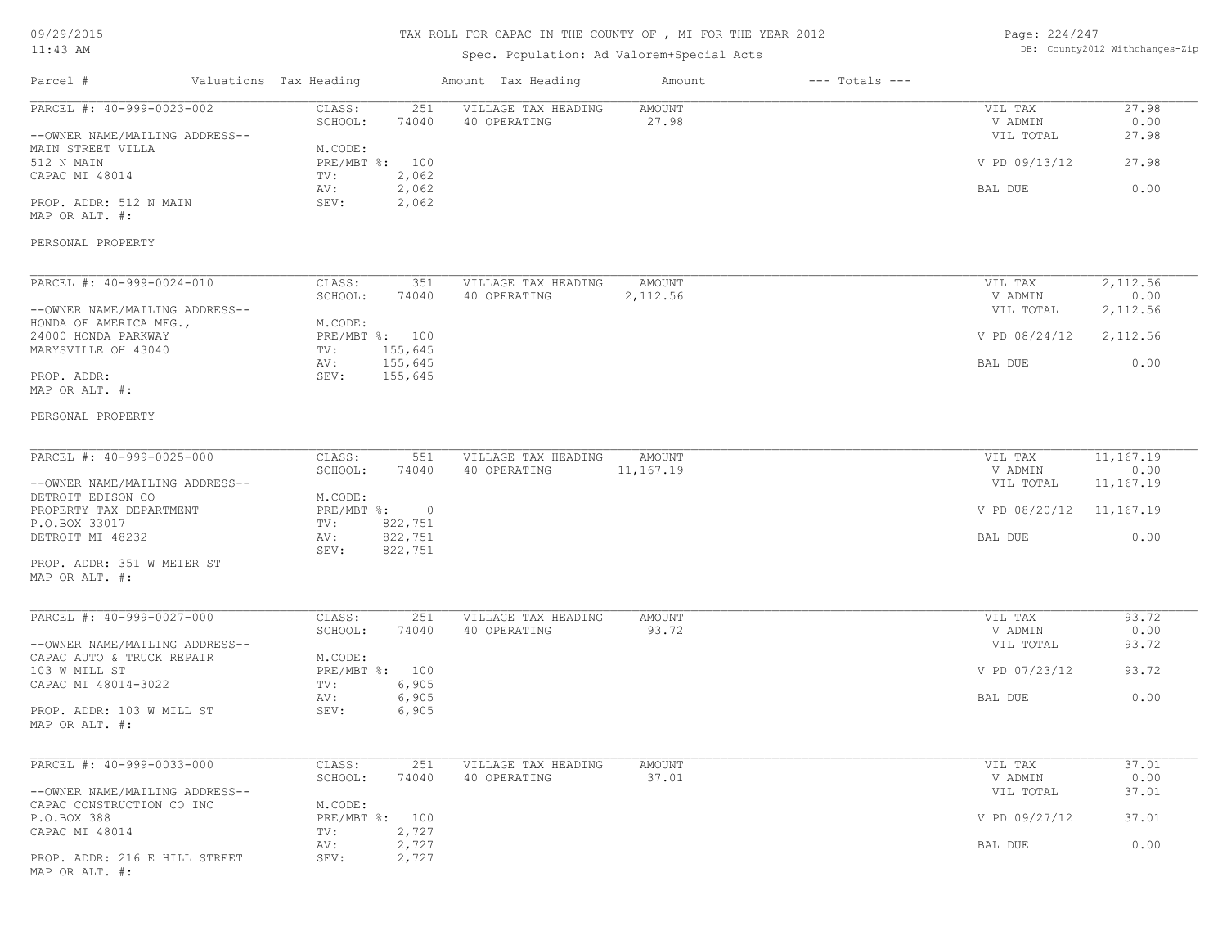# TAX ROLL FOR CAPAC IN THE COUNTY OF , MI FOR THE YEAR 2012

### Spec. Population: Ad Valorem+Special Acts

Page: 224/247 DB: County2012 Withchanges-Zip

| Parcel #                                                    | Valuations Tax Heading                              | Amount Tax Heading                  | Amount                 | $---$ Totals $---$ |                         |                   |
|-------------------------------------------------------------|-----------------------------------------------------|-------------------------------------|------------------------|--------------------|-------------------------|-------------------|
| PARCEL #: 40-999-0023-002                                   | CLASS:<br>251<br>SCHOOL:<br>74040                   | VILLAGE TAX HEADING<br>40 OPERATING | <b>AMOUNT</b><br>27.98 |                    | VIL TAX<br>V ADMIN      | 27.98<br>0.00     |
| --OWNER NAME/MAILING ADDRESS--<br>MAIN STREET VILLA         | M.CODE:                                             |                                     |                        |                    | VIL TOTAL               | 27.98             |
| 512 N MAIN<br>CAPAC MI 48014                                | PRE/MBT %: 100<br>TV:<br>2,062                      |                                     |                        |                    | V PD 09/13/12           | 27.98             |
| PROP. ADDR: 512 N MAIN<br>MAP OR ALT. #:                    | 2,062<br>AV:<br>SEV:<br>2,062                       |                                     |                        |                    | BAL DUE                 | 0.00              |
| PERSONAL PROPERTY                                           |                                                     |                                     |                        |                    |                         |                   |
| PARCEL #: 40-999-0024-010                                   | CLASS:                                              | 351<br>VILLAGE TAX HEADING          | AMOUNT                 |                    | VIL TAX                 | 2,112.56          |
| --OWNER NAME/MAILING ADDRESS--                              | SCHOOL:<br>74040                                    | 40 OPERATING                        | 2,112.56               |                    | V ADMIN<br>VIL TOTAL    | 0.00<br>2,112.56  |
| HONDA OF AMERICA MFG.,<br>24000 HONDA PARKWAY               | M.CODE:<br>PRE/MBT %: 100                           |                                     |                        |                    | V PD 08/24/12           | 2,112.56          |
| MARYSVILLE OH 43040                                         | 155,645<br>TV:<br>155,645<br>AV:                    |                                     |                        |                    | BAL DUE                 | 0.00              |
| PROP. ADDR:<br>MAP OR ALT. #:                               | SEV:<br>155,645                                     |                                     |                        |                    |                         |                   |
| PERSONAL PROPERTY                                           |                                                     |                                     |                        |                    |                         |                   |
| PARCEL #: 40-999-0025-000                                   | CLASS:<br>551                                       | VILLAGE TAX HEADING                 | AMOUNT                 |                    | VIL TAX                 | 11,167.19         |
| --OWNER NAME/MAILING ADDRESS--                              | SCHOOL:<br>74040                                    | 40 OPERATING                        | 11,167.19              |                    | V ADMIN<br>VIL TOTAL    | 0.00<br>11,167.19 |
| DETROIT EDISON CO<br>PROPERTY TAX DEPARTMENT                | M.CODE:<br>PRE/MBT %: 0                             |                                     |                        |                    | V PD 08/20/12 11,167.19 |                   |
| P.O.BOX 33017<br>DETROIT MI 48232                           | 822,751<br>TV:<br>822,751<br>AV:<br>SEV:<br>822,751 |                                     |                        |                    | BAL DUE                 | 0.00              |
| PROP. ADDR: 351 W MEIER ST<br>MAP OR ALT. #:                |                                                     |                                     |                        |                    |                         |                   |
| PARCEL #: 40-999-0027-000                                   | CLASS:                                              | VILLAGE TAX HEADING<br>251          | <b>AMOUNT</b>          |                    | VIL TAX                 | 93.72             |
| --OWNER NAME/MAILING ADDRESS--                              | SCHOOL:<br>74040                                    | 40 OPERATING                        | 93.72                  |                    | V ADMIN<br>VIL TOTAL    | 0.00<br>93.72     |
| CAPAC AUTO & TRUCK REPAIR<br>103 W MILL ST                  | M.CODE:<br>PRE/MBT %: 100                           |                                     |                        |                    | V PD 07/23/12           | 93.72             |
| CAPAC MI 48014-3022<br>PROP. ADDR: 103 W MILL ST            | 6,905<br>TV:<br>6,905<br>AV:                        |                                     |                        |                    | BAL DUE                 | 0.00              |
| MAP OR ALT. #:                                              | 6,905<br>SEV:                                       |                                     |                        |                    |                         |                   |
| PARCEL #: 40-999-0033-000                                   | CLASS:                                              | 251<br>VILLAGE TAX HEADING          | <b>AMOUNT</b>          |                    | VIL TAX                 | 37.01             |
| --OWNER NAME/MAILING ADDRESS--<br>CAPAC CONSTRUCTION CO INC | SCHOOL:<br>74040<br>M.CODE:                         | 40 OPERATING                        | 37.01                  |                    | V ADMIN<br>VIL TOTAL    | 0.00<br>37.01     |
| P.O.BOX 388<br>CAPAC MI 48014                               | PRE/MBT %: 100<br>2,727<br>TV:                      |                                     |                        |                    | V PD 09/27/12           | 37.01             |
| PROP. ADDR: 216 E HILL STREET                               | 2,727<br>AV:<br>SEV:<br>2,727                       |                                     |                        |                    | BAL DUE                 | 0.00              |
| MAP OR ALT. #:                                              |                                                     |                                     |                        |                    |                         |                   |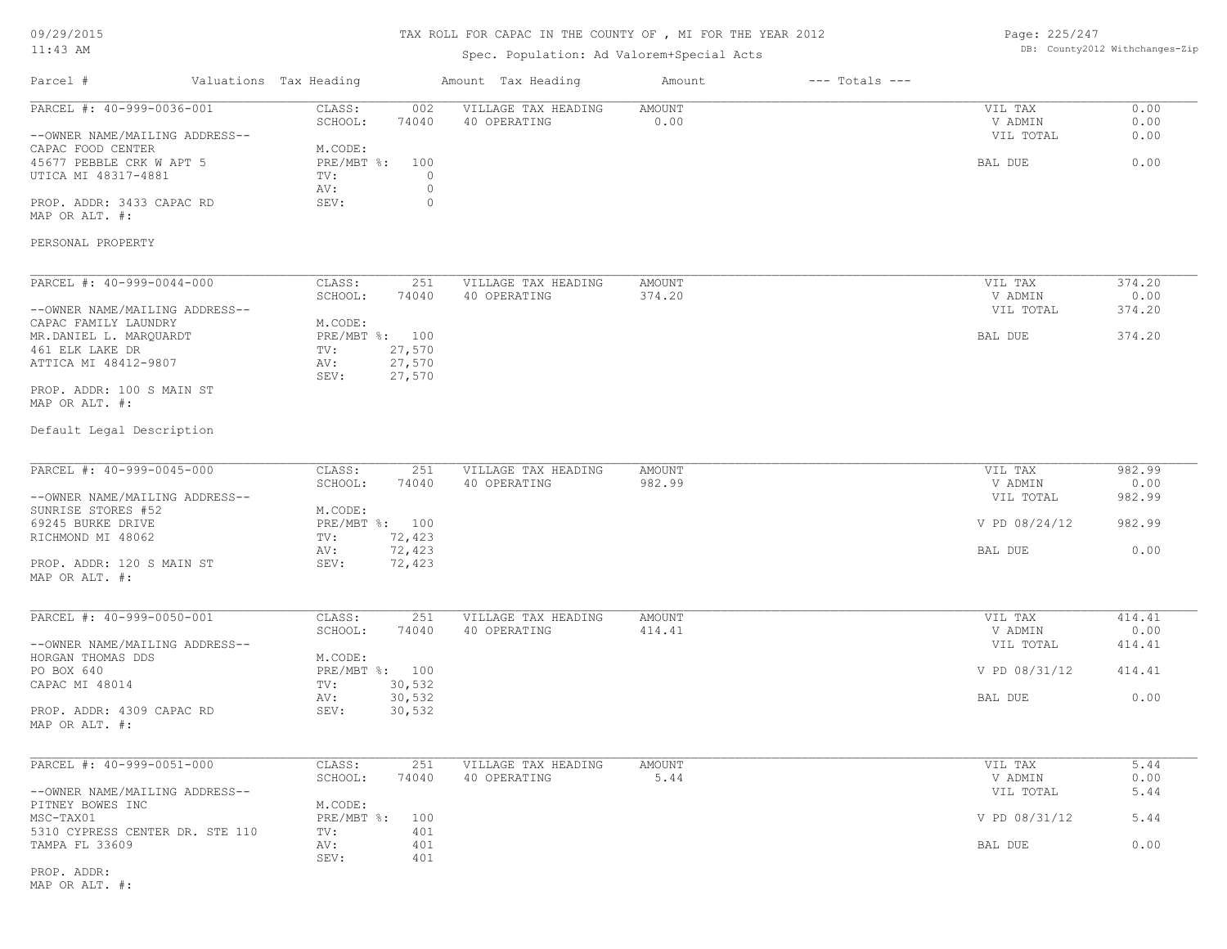# TAX ROLL FOR CAPAC IN THE COUNTY OF , MI FOR THE YEAR 2012

### Spec. Population: Ad Valorem+Special Acts

Page: 225/247 DB: County2012 Withchanges-Zip

| Parcel #                                          | Valuations Tax Heading            | Amount Tax Heading                  | Amount         | $---$ Totals $---$ |                    |              |
|---------------------------------------------------|-----------------------------------|-------------------------------------|----------------|--------------------|--------------------|--------------|
| PARCEL #: 40-999-0036-001                         | CLASS:<br>002<br>SCHOOL:<br>74040 | VILLAGE TAX HEADING<br>40 OPERATING | AMOUNT<br>0.00 |                    | VIL TAX<br>V ADMIN | 0.00<br>0.00 |
| --OWNER NAME/MAILING ADDRESS--                    |                                   |                                     |                |                    | VIL TOTAL          | 0.00         |
| CAPAC FOOD CENTER<br>45677 PEBBLE CRK W APT 5     | M.CODE:<br>PRE/MBT %: 100         |                                     |                |                    | BAL DUE            | 0.00         |
| UTICA MI 48317-4881                               | $\circ$<br>TV:                    |                                     |                |                    |                    |              |
|                                                   | AV:                               | $\circ$                             |                |                    |                    |              |
| PROP. ADDR: 3433 CAPAC RD<br>MAP OR ALT. #:       | SEV:                              | $\circ$                             |                |                    |                    |              |
| PERSONAL PROPERTY                                 |                                   |                                     |                |                    |                    |              |
| PARCEL #: 40-999-0044-000                         | CLASS:<br>251                     | VILLAGE TAX HEADING                 | <b>AMOUNT</b>  |                    | VIL TAX            | 374.20       |
|                                                   | SCHOOL:<br>74040                  | 40 OPERATING                        | 374.20         |                    | V ADMIN            | 0.00         |
| --OWNER NAME/MAILING ADDRESS--                    |                                   |                                     |                |                    | VIL TOTAL          | 374.20       |
| CAPAC FAMILY LAUNDRY<br>MR.DANIEL L. MARQUARDT    | M.CODE:<br>PRE/MBT %: 100         |                                     |                |                    | BAL DUE            | 374.20       |
| 461 ELK LAKE DR                                   | 27,570<br>TV:                     |                                     |                |                    |                    |              |
| ATTICA MI 48412-9807                              | 27,570<br>AV:<br>27,570           |                                     |                |                    |                    |              |
| PROP. ADDR: 100 S MAIN ST                         | SEV:                              |                                     |                |                    |                    |              |
| MAP OR ALT. #:                                    |                                   |                                     |                |                    |                    |              |
| Default Legal Description                         |                                   |                                     |                |                    |                    |              |
| PARCEL #: 40-999-0045-000                         | CLASS:<br>251                     | VILLAGE TAX HEADING                 | <b>AMOUNT</b>  |                    | VIL TAX            | 982.99       |
|                                                   | SCHOOL:<br>74040                  | 40 OPERATING                        | 982.99         |                    | V ADMIN            | 0.00         |
| --OWNER NAME/MAILING ADDRESS--                    |                                   |                                     |                |                    | VIL TOTAL          | 982.99       |
| SUNRISE STORES #52                                | M.CODE:                           |                                     |                |                    |                    |              |
| 69245 BURKE DRIVE<br>RICHMOND MI 48062            | PRE/MBT %: 100<br>72,423<br>TV:   |                                     |                |                    | V PD 08/24/12      | 982.99       |
|                                                   | 72,423<br>AV:                     |                                     |                |                    | BAL DUE            | 0.00         |
| PROP. ADDR: 120 S MAIN ST<br>MAP OR ALT. #:       | SEV:<br>72,423                    |                                     |                |                    |                    |              |
| PARCEL #: 40-999-0050-001                         | CLASS:<br>251                     | VILLAGE TAX HEADING                 | <b>AMOUNT</b>  |                    | VIL TAX            | 414.41       |
|                                                   | SCHOOL:<br>74040                  | 40 OPERATING                        | 414.41         |                    | V ADMIN            | 0.00         |
| --OWNER NAME/MAILING ADDRESS--                    |                                   |                                     |                |                    | VIL TOTAL          | 414.41       |
| HORGAN THOMAS DDS                                 | M.CODE:                           |                                     |                |                    |                    |              |
| PO BOX 640<br>CAPAC MI 48014                      | PRE/MBT %: 100<br>30,532          |                                     |                |                    | V PD 08/31/12      | 414.41       |
|                                                   | TV:<br>30,532<br>AV:              |                                     |                |                    | BAL DUE            | 0.00         |
| PROP. ADDR: 4309 CAPAC RD<br>MAP OR ALT. #:       | 30,532<br>SEV:                    |                                     |                |                    |                    |              |
|                                                   |                                   |                                     |                |                    |                    |              |
| PARCEL #: 40-999-0051-000                         | 251<br>CLASS:<br>SCHOOL:<br>74040 | VILLAGE TAX HEADING<br>40 OPERATING | AMOUNT<br>5.44 |                    | VIL TAX<br>V ADMIN | 5.44<br>0.00 |
| --OWNER NAME/MAILING ADDRESS--                    |                                   |                                     |                |                    | VIL TOTAL          | 5.44         |
| PITNEY BOWES INC                                  | M.CODE:                           |                                     |                |                    |                    |              |
| MSC-TAX01                                         | $PRE/MBT$ %:<br>100               |                                     |                |                    | V PD 08/31/12      | 5.44         |
| 5310 CYPRESS CENTER DR. STE 110<br>TAMPA FL 33609 | 401<br>TV:<br>AV:<br>401          |                                     |                |                    | BAL DUE            | 0.00         |
|                                                   | 401<br>SEV:                       |                                     |                |                    |                    |              |
| PROP. ADDR:                                       |                                   |                                     |                |                    |                    |              |

MAP OR ALT. #: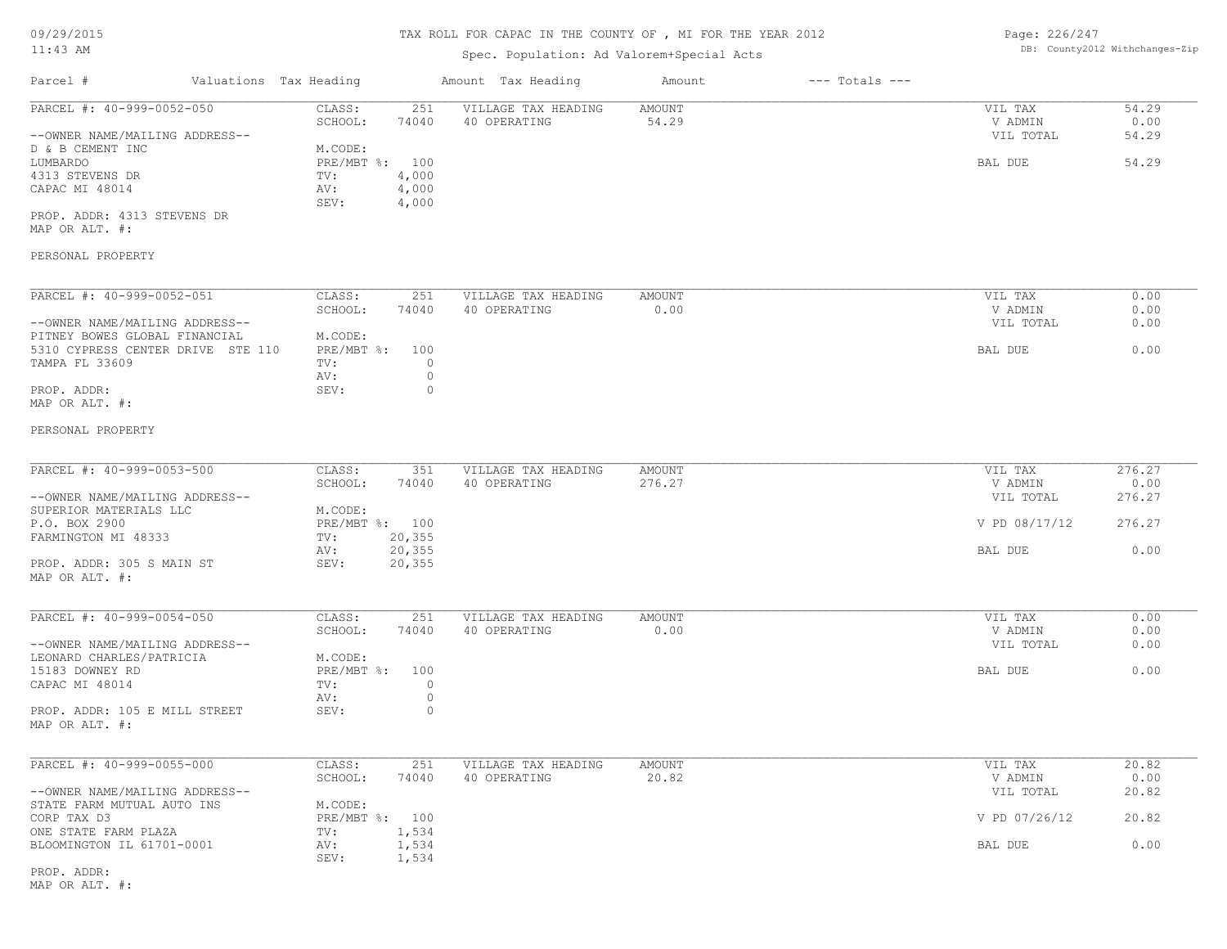# Spec. Population: Ad Valorem+Special Acts

Page: 226/247 DB: County2012 Withchanges-Zip

| 11:43 AM                                                        |                                           | Spec. Population: Ad Valorem+Special Acts |                              | DB: County2012 Withchanges-Zip |                |  |
|-----------------------------------------------------------------|-------------------------------------------|-------------------------------------------|------------------------------|--------------------------------|----------------|--|
| Parcel #<br>Valuations Tax Heading                              |                                           | Amount Tax Heading                        | Amount<br>$---$ Totals $---$ |                                |                |  |
| PARCEL #: 40-999-0052-050                                       | CLASS:<br>251<br>SCHOOL:<br>74040         | VILLAGE TAX HEADING<br>40 OPERATING       | AMOUNT<br>54.29              | VIL TAX<br>V ADMIN             | 54.29<br>0.00  |  |
| --OWNER NAME/MAILING ADDRESS--<br>D & B CEMENT INC<br>LUMBARDO  | M.CODE:<br>PRE/MBT %:<br>100              |                                           |                              | VIL TOTAL<br>BAL DUE           | 54.29<br>54.29 |  |
| 4313 STEVENS DR<br>CAPAC MI 48014                               | 4,000<br>TV:<br>4,000<br>AV:              |                                           |                              |                                |                |  |
| PROP. ADDR: 4313 STEVENS DR<br>MAP OR ALT. #:                   | SEV:<br>4,000                             |                                           |                              |                                |                |  |
| PERSONAL PROPERTY                                               |                                           |                                           |                              |                                |                |  |
| PARCEL #: 40-999-0052-051                                       | CLASS:<br>251<br>SCHOOL:<br>74040         | VILLAGE TAX HEADING<br>40 OPERATING       | AMOUNT<br>0.00               | VIL TAX<br>V ADMIN             | 0.00<br>0.00   |  |
| --OWNER NAME/MAILING ADDRESS--<br>PITNEY BOWES GLOBAL FINANCIAL | M.CODE:                                   |                                           |                              | VIL TOTAL                      | 0.00           |  |
| 5310 CYPRESS CENTER DRIVE STE 110<br>TAMPA FL 33609             | $PRE/MBT$ $\div$<br>100<br>$\circ$<br>TV: |                                           |                              | BAL DUE                        | 0.00           |  |
| PROP. ADDR:<br>MAP OR ALT. #:                                   | AV:<br>$\circ$<br>$\circ$<br>SEV:         |                                           |                              |                                |                |  |
| PERSONAL PROPERTY                                               |                                           |                                           |                              |                                |                |  |
| PARCEL #: 40-999-0053-500                                       | CLASS:<br>351<br>SCHOOL:<br>74040         | VILLAGE TAX HEADING<br>40 OPERATING       | AMOUNT<br>276.27             | VIL TAX<br>V ADMIN             | 276.27<br>0.00 |  |
| --OWNER NAME/MAILING ADDRESS--<br>SUPERIOR MATERIALS LLC        | M.CODE:                                   |                                           |                              | VIL TOTAL                      | 276.27         |  |
| P.O. BOX 2900<br>FARMINGTON MI 48333                            | PRE/MBT %: 100<br>20, 355<br>TV:          |                                           |                              | V PD 08/17/12                  | 276.27         |  |
| PROP. ADDR: 305 S MAIN ST                                       | 20, 355<br>AV:<br>SEV:<br>20, 355         |                                           |                              | BAL DUE                        | 0.00           |  |
| MAP OR ALT. #:                                                  |                                           |                                           |                              |                                |                |  |
| PARCEL #: 40-999-0054-050                                       | CLASS:<br>251<br>SCHOOL:<br>74040         | VILLAGE TAX HEADING<br>40 OPERATING       | AMOUNT<br>0.00               | VIL TAX<br>V ADMIN             | 0.00<br>0.00   |  |
| --OWNER NAME/MAILING ADDRESS--<br>LEONARD CHARLES/PATRICIA      | M.CODE:                                   |                                           |                              | VIL TOTAL                      | 0.00           |  |
| 15183 DOWNEY RD<br>CAPAC MI 48014                               | PRE/MBT %:<br>100<br>$\circ$<br>TV:       |                                           |                              | BAL DUE                        | 0.00           |  |
| PROP. ADDR: 105 E MILL STREET<br>MAP OR ALT. #:                 | $\circ$<br>AV:<br>SEV:<br>0               |                                           |                              |                                |                |  |
| PARCEL #: 40-999-0055-000                                       | CLASS:<br>251<br>SCHOOL:<br>74040         | VILLAGE TAX HEADING<br>40 OPERATING       | AMOUNT<br>20.82              | VIL TAX<br>V ADMIN             | 20.82<br>0.00  |  |
| --OWNER NAME/MAILING ADDRESS--<br>STATE FARM MUTUAL AUTO INS    | M.CODE:                                   |                                           |                              | VIL TOTAL                      | 20.82          |  |
| CORP TAX D3<br>ONE STATE FARM PLAZA                             | PRE/MBT %: 100<br>1,534<br>TV:            |                                           |                              | V PD 07/26/12                  | 20.82          |  |
| BLOOMINGTON IL 61701-0001                                       | AV:<br>1,534<br>1,534<br>SEV:             |                                           |                              | BAL DUE                        | 0.00           |  |
|                                                                 |                                           |                                           |                              |                                |                |  |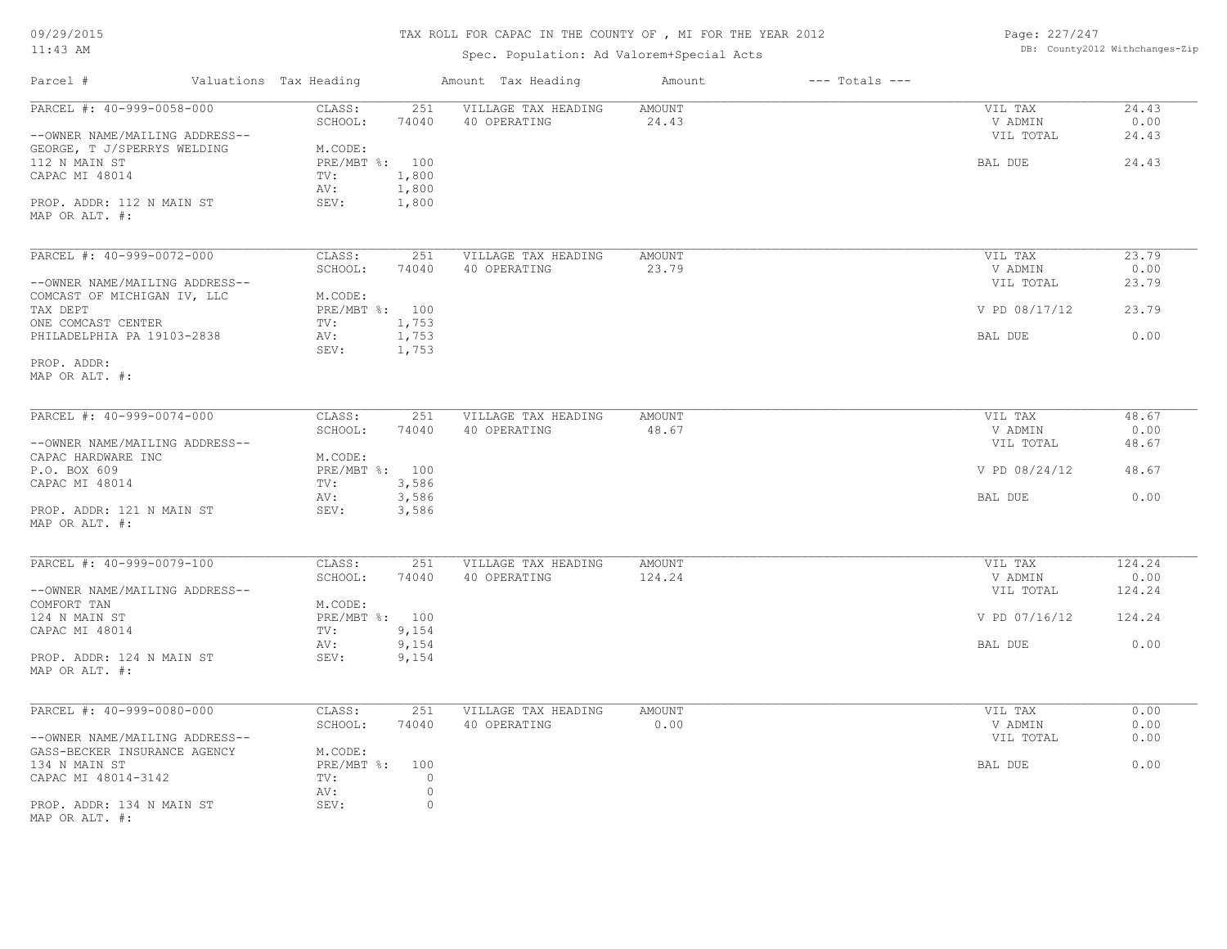# TAX ROLL FOR CAPAC IN THE COUNTY OF , MI FOR THE YEAR 2012

### Spec. Population: Ad Valorem+Special Acts

Page: 227/247 DB: County2012 Withchanges-Zip

| Parcel #                       | Valuations Tax Heading | Amount Tax Heading  | $---$ Totals $---$<br>Amount |               |        |
|--------------------------------|------------------------|---------------------|------------------------------|---------------|--------|
| PARCEL #: 40-999-0058-000      | CLASS:<br>251          | VILLAGE TAX HEADING | <b>AMOUNT</b>                | VIL TAX       | 24.43  |
|                                | SCHOOL:<br>74040       | 40 OPERATING        | 24.43                        | V ADMIN       | 0.00   |
| --OWNER NAME/MAILING ADDRESS-- |                        |                     |                              | VIL TOTAL     | 24.43  |
| GEORGE, T J/SPERRYS WELDING    | M.CODE:                |                     |                              |               |        |
| 112 N MAIN ST                  | PRE/MBT %: 100         |                     |                              | BAL DUE       | 24.43  |
| CAPAC MI 48014                 | 1,800<br>TV:           |                     |                              |               |        |
|                                | 1,800<br>AV:           |                     |                              |               |        |
| PROP. ADDR: 112 N MAIN ST      | SEV:<br>1,800          |                     |                              |               |        |
| MAP OR ALT. #:                 |                        |                     |                              |               |        |
| PARCEL #: 40-999-0072-000      | CLASS:<br>251          | VILLAGE TAX HEADING | <b>AMOUNT</b>                | VIL TAX       | 23.79  |
|                                | SCHOOL:<br>74040       | 40 OPERATING        | 23.79                        | V ADMIN       | 0.00   |
| --OWNER NAME/MAILING ADDRESS-- |                        |                     |                              | VIL TOTAL     | 23.79  |
| COMCAST OF MICHIGAN IV, LLC    | M.CODE:                |                     |                              |               |        |
| TAX DEPT                       | PRE/MBT %: 100         |                     |                              | V PD 08/17/12 | 23.79  |
| ONE COMCAST CENTER             | 1,753<br>TV:           |                     |                              |               |        |
| PHILADELPHIA PA 19103-2838     | 1,753<br>AV:           |                     |                              | BAL DUE       | 0.00   |
|                                | SEV:<br>1,753          |                     |                              |               |        |
| PROP. ADDR:                    |                        |                     |                              |               |        |
|                                |                        |                     |                              |               |        |
| MAP OR ALT. #:                 |                        |                     |                              |               |        |
| PARCEL #: 40-999-0074-000      | CLASS:<br>251          | VILLAGE TAX HEADING | <b>AMOUNT</b>                | VIL TAX       | 48.67  |
|                                | SCHOOL:<br>74040       | 40 OPERATING        | 48.67                        | V ADMIN       | 0.00   |
| --OWNER NAME/MAILING ADDRESS-- |                        |                     |                              | VIL TOTAL     | 48.67  |
| CAPAC HARDWARE INC             | M.CODE:                |                     |                              |               |        |
| P.O. BOX 609                   | PRE/MBT %: 100         |                     |                              | V PD 08/24/12 | 48.67  |
| CAPAC MI 48014                 | 3,586<br>TV:           |                     |                              |               |        |
|                                | 3,586<br>AV:           |                     |                              | BAL DUE       | 0.00   |
| PROP. ADDR: 121 N MAIN ST      | 3,586<br>SEV:          |                     |                              |               |        |
| MAP OR ALT. #:                 |                        |                     |                              |               |        |
|                                |                        |                     |                              |               |        |
| PARCEL #: 40-999-0079-100      | CLASS:<br>251          | VILLAGE TAX HEADING | <b>AMOUNT</b>                | VIL TAX       | 124.24 |
|                                | SCHOOL:<br>74040       | 40 OPERATING        | 124.24                       | V ADMIN       | 0.00   |
| --OWNER NAME/MAILING ADDRESS-- |                        |                     |                              | VIL TOTAL     | 124.24 |
| COMFORT TAN                    | M.CODE:                |                     |                              |               |        |
| 124 N MAIN ST                  | PRE/MBT %: 100         |                     |                              | V PD 07/16/12 | 124.24 |
| CAPAC MI 48014                 | 9,154<br>TV:           |                     |                              |               |        |
|                                | 9,154<br>AV:           |                     |                              | BAL DUE       | 0.00   |
| PROP. ADDR: 124 N MAIN ST      | SEV:<br>9,154          |                     |                              |               |        |
| MAP OR ALT. #:                 |                        |                     |                              |               |        |
| PARCEL #: 40-999-0080-000      | CLASS:<br>251          | VILLAGE TAX HEADING | <b>AMOUNT</b>                | VIL TAX       | 0.00   |
|                                | SCHOOL:<br>74040       | 40 OPERATING        | 0.00                         | V ADMIN       | 0.00   |
| --OWNER NAME/MAILING ADDRESS-- |                        |                     |                              | VIL TOTAL     | 0.00   |
| GASS-BECKER INSURANCE AGENCY   | M.CODE:                |                     |                              |               |        |
| 134 N MAIN ST                  | PRE/MBT %: 100         |                     |                              | BAL DUE       | 0.00   |
| CAPAC MI 48014-3142            | $\circ$<br>TV:         |                     |                              |               |        |
|                                | AV:<br>$\circ$         |                     |                              |               |        |
| PROP. ADDR: 134 N MAIN ST      | SEV:<br>$\circ$        |                     |                              |               |        |
|                                |                        |                     |                              |               |        |

MAP OR ALT. #: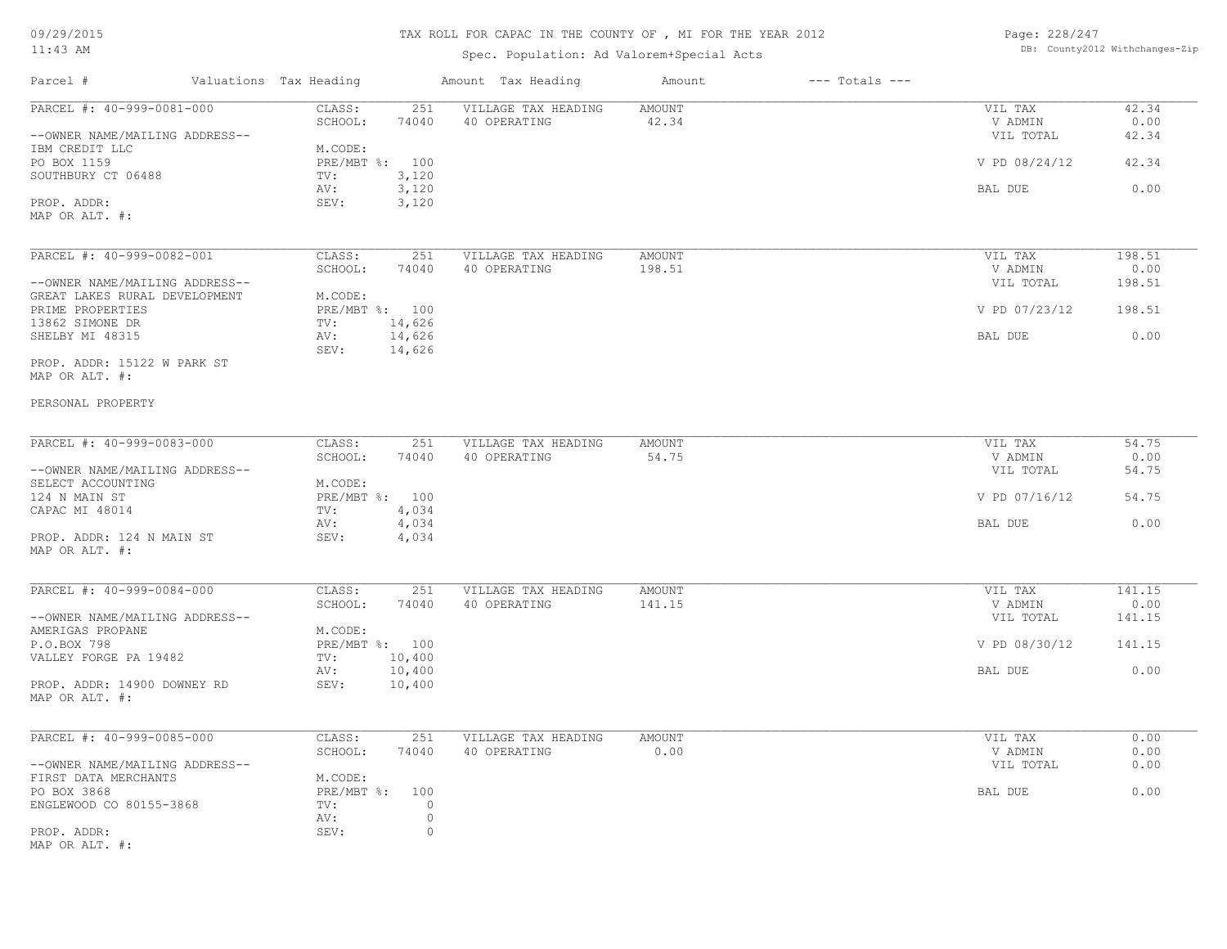# TAX ROLL FOR CAPAC IN THE COUNTY OF , MI FOR THE YEAR 2012

Spec. Population: Ad Valorem+Special Acts

| Page: 228/247 |                                |
|---------------|--------------------------------|
|               | DB: County2012 Withchanges-Zip |

| Parcel #                                                        | Valuations Tax Heading                     | Amount Tax Heading                         | Amount                  | $---$ Totals $---$ |                      |                |
|-----------------------------------------------------------------|--------------------------------------------|--------------------------------------------|-------------------------|--------------------|----------------------|----------------|
| PARCEL #: 40-999-0081-000                                       | CLASS:<br>SCHOOL:<br>74040                 | 251<br>VILLAGE TAX HEADING<br>40 OPERATING | AMOUNT<br>42.34         |                    | VIL TAX<br>V ADMIN   | 42.34<br>0.00  |
| --OWNER NAME/MAILING ADDRESS--<br>IBM CREDIT LLC                | M.CODE:                                    |                                            |                         |                    | VIL TOTAL            | 42.34          |
| PO BOX 1159<br>SOUTHBURY CT 06488                               | PRE/MBT %: 100<br>TV:<br>3,120             |                                            |                         |                    | V PD 08/24/12        | 42.34          |
| PROP. ADDR:                                                     | 3,120<br>AV:<br>3,120<br>SEV:              |                                            |                         |                    | BAL DUE              | 0.00           |
| MAP OR ALT. #:                                                  |                                            |                                            |                         |                    |                      |                |
| PARCEL #: 40-999-0082-001                                       | CLASS:<br>SCHOOL:<br>74040                 | 251<br>VILLAGE TAX HEADING<br>40 OPERATING | <b>AMOUNT</b><br>198.51 |                    | VIL TAX<br>V ADMIN   | 198.51<br>0.00 |
| --OWNER NAME/MAILING ADDRESS--<br>GREAT LAKES RURAL DEVELOPMENT | M.CODE:                                    |                                            |                         |                    | VIL TOTAL            | 198.51         |
| PRIME PROPERTIES<br>13862 SIMONE DR                             | PRE/MBT %: 100<br>14,626<br>TV:            |                                            |                         |                    | V PD 07/23/12        | 198.51         |
| SHELBY MI 48315                                                 | 14,626<br>AV:<br>14,626<br>SEV:            |                                            |                         |                    | BAL DUE              | 0.00           |
| PROP. ADDR: 15122 W PARK ST<br>MAP OR ALT. #:                   |                                            |                                            |                         |                    |                      |                |
| PERSONAL PROPERTY                                               |                                            |                                            |                         |                    |                      |                |
| PARCEL #: 40-999-0083-000                                       | CLASS:                                     | 251<br>VILLAGE TAX HEADING                 | <b>AMOUNT</b>           |                    | VIL TAX              | 54.75          |
| --OWNER NAME/MAILING ADDRESS--                                  | SCHOOL:<br>74040                           | 40 OPERATING                               | 54.75                   |                    | V ADMIN<br>VIL TOTAL | 0.00<br>54.75  |
| SELECT ACCOUNTING<br>124 N MAIN ST                              | M.CODE:<br>PRE/MBT %: 100                  |                                            |                         |                    | V PD 07/16/12        | 54.75          |
| CAPAC MI 48014                                                  | 4,034<br>TV:<br>AV:<br>4,034               |                                            |                         |                    | BAL DUE              | 0.00           |
| PROP. ADDR: 124 N MAIN ST<br>MAP OR ALT. #:                     | 4,034<br>SEV:                              |                                            |                         |                    |                      |                |
| PARCEL #: 40-999-0084-000                                       | CLASS:                                     | 251<br>VILLAGE TAX HEADING                 | AMOUNT                  |                    | VIL TAX              | 141.15         |
| --OWNER NAME/MAILING ADDRESS--                                  | SCHOOL:<br>74040                           | 40 OPERATING                               | 141.15                  |                    | V ADMIN<br>VIL TOTAL | 0.00<br>141.15 |
| AMERIGAS PROPANE<br>P.O.BOX 798                                 | M.CODE:<br>PRE/MBT %: 100                  |                                            |                         |                    | V PD 08/30/12        | 141.15         |
| VALLEY FORGE PA 19482                                           | $\texttt{TV}$ :<br>10,400<br>10,400<br>AV: |                                            |                         |                    | BAL DUE              | 0.00           |
| PROP. ADDR: 14900 DOWNEY RD<br>MAP OR ALT. #:                   | 10,400<br>SEV:                             |                                            |                         |                    |                      |                |
| PARCEL #: 40-999-0085-000                                       | CLASS:                                     | 251<br>VILLAGE TAX HEADING                 | <b>AMOUNT</b>           |                    | VIL TAX              | 0.00           |
| --OWNER NAME/MAILING ADDRESS--                                  | SCHOOL:<br>74040                           | 40 OPERATING                               | 0.00                    |                    | V ADMIN<br>VIL TOTAL | 0.00<br>0.00   |
| FIRST DATA MERCHANTS<br>PO BOX 3868                             | M.CODE:<br>PRE/MBT %: 100                  |                                            |                         |                    | BAL DUE              | 0.00           |
| ENGLEWOOD CO 80155-3868                                         | TV:<br>AV:                                 | $\circ$<br>$\circ$                         |                         |                    |                      |                |
| PROP. ADDR:<br>MAP OR ALT. #:                                   | SEV:                                       | $\circ$                                    |                         |                    |                      |                |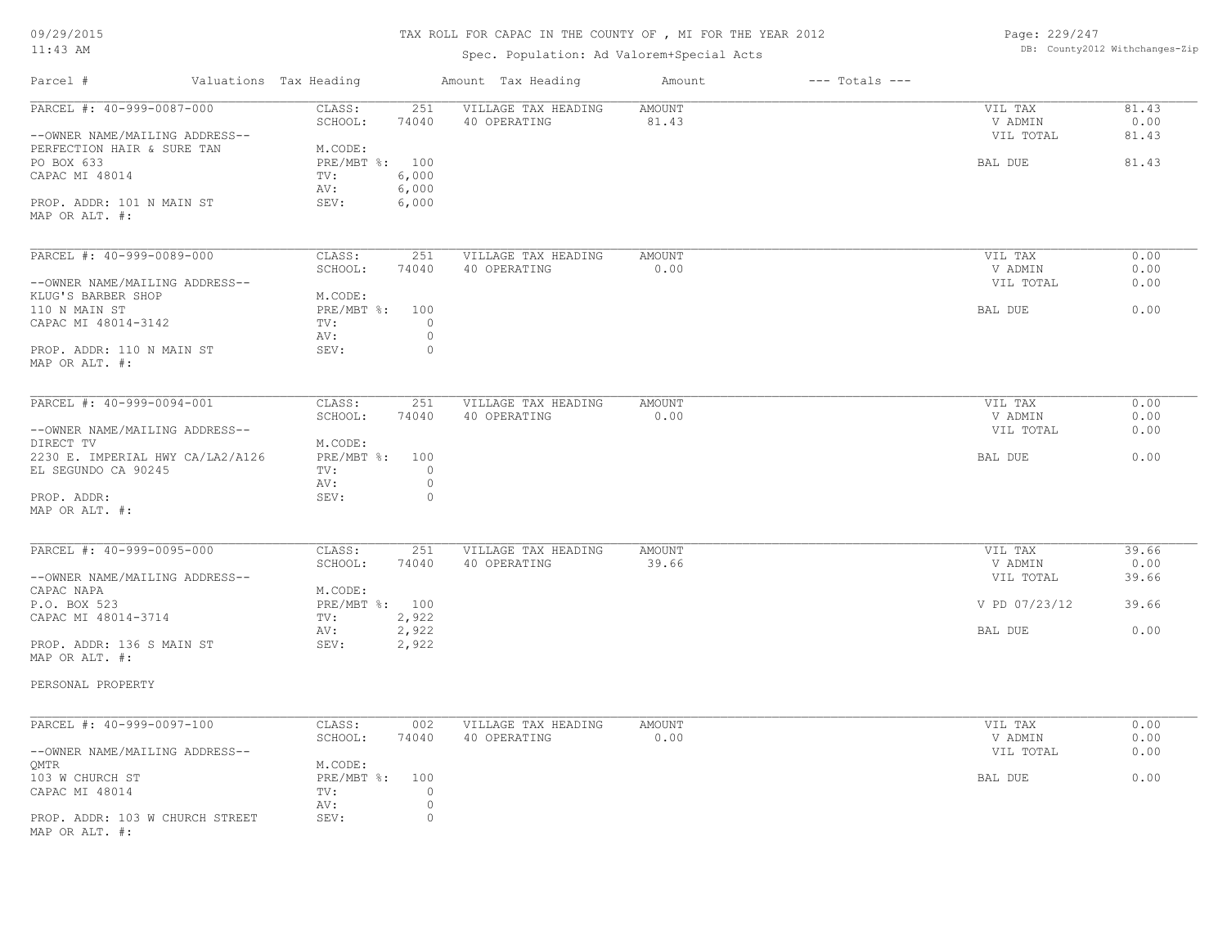#### TAX ROLL FOR CAPAC IN THE COUNTY OF , MI FOR THE YEAR 2012

#### Spec. Population: Ad Valorem+Special Acts

Page: 229/247 DB: County2012 Withchanges-Zip

| Parcel #                                                    | Valuations Tax Heading                    | Amount Tax Heading                         | Amount          | $---$ Totals $---$ |                                 |                        |
|-------------------------------------------------------------|-------------------------------------------|--------------------------------------------|-----------------|--------------------|---------------------------------|------------------------|
| PARCEL #: 40-999-0087-000<br>--OWNER NAME/MAILING ADDRESS-- | CLASS:<br>251<br>74040<br>SCHOOL:         | VILLAGE TAX HEADING<br>40 OPERATING        | AMOUNT<br>81.43 |                    | VIL TAX<br>V ADMIN<br>VIL TOTAL | 81.43<br>0.00<br>81.43 |
| PERFECTION HAIR & SURE TAN<br>PO BOX 633<br>CAPAC MI 48014  | M.CODE:<br>PRE/MBT %: 100<br>6,000<br>TV: |                                            |                 |                    | BAL DUE                         | 81.43                  |
| PROP. ADDR: 101 N MAIN ST<br>MAP OR ALT. #:                 | 6,000<br>AV:<br>SEV:<br>6,000             |                                            |                 |                    |                                 |                        |
| PARCEL #: 40-999-0089-000                                   | CLASS:<br>251<br>SCHOOL:<br>74040         | VILLAGE TAX HEADING<br>40 OPERATING        | AMOUNT<br>0.00  |                    | VIL TAX<br>V ADMIN              | 0.00<br>0.00           |
| --OWNER NAME/MAILING ADDRESS--                              |                                           |                                            |                 |                    | VIL TOTAL                       | 0.00                   |
| KLUG'S BARBER SHOP                                          | M.CODE:                                   |                                            |                 |                    |                                 |                        |
| 110 N MAIN ST<br>CAPAC MI 48014-3142                        | PRE/MBT %: 100<br>TV:<br>AV:              | 0<br>$\circ$                               |                 |                    | BAL DUE                         | 0.00                   |
| PROP. ADDR: 110 N MAIN ST<br>MAP OR ALT. #:                 | SEV:                                      | $\circ$                                    |                 |                    |                                 |                        |
| PARCEL #: 40-999-0094-001                                   | CLASS:<br>251                             | VILLAGE TAX HEADING                        | AMOUNT          |                    | VIL TAX                         | 0.00                   |
| --OWNER NAME/MAILING ADDRESS--                              | SCHOOL:<br>74040                          | 40 OPERATING                               | 0.00            |                    | V ADMIN<br>VIL TOTAL            | 0.00<br>0.00           |
| DIRECT TV<br>2230 E. IMPERIAL HWY CA/LA2/A126               | M.CODE:<br>PRE/MBT %: 100                 |                                            |                 |                    | BAL DUE                         | 0.00                   |
| EL SEGUNDO CA 90245                                         | TV:<br>AV:                                | $\circ$<br>$\circ$                         |                 |                    |                                 |                        |
| PROP. ADDR:<br>MAP OR ALT. #:                               | SEV:                                      | $\circ$                                    |                 |                    |                                 |                        |
|                                                             |                                           |                                            |                 |                    |                                 |                        |
| PARCEL #: 40-999-0095-000                                   | CLASS:<br>251<br>SCHOOL:<br>74040         | VILLAGE TAX HEADING<br>40 OPERATING        | AMOUNT<br>39.66 |                    | VIL TAX<br>V ADMIN              | 39.66<br>0.00          |
| --OWNER NAME/MAILING ADDRESS--                              |                                           |                                            |                 |                    | VIL TOTAL                       | 39.66                  |
| CAPAC NAPA<br>P.O. BOX 523                                  | M.CODE:<br>PRE/MBT %: 100                 |                                            |                 |                    | V PD 07/23/12                   | 39.66                  |
| CAPAC MI 48014-3714                                         | 2,922<br>TV:<br>2,922<br>AV:              |                                            |                 |                    | BAL DUE                         | 0.00                   |
| PROP. ADDR: 136 S MAIN ST<br>MAP OR ALT. #:                 | SEV:<br>2,922                             |                                            |                 |                    |                                 |                        |
| PERSONAL PROPERTY                                           |                                           |                                            |                 |                    |                                 |                        |
|                                                             |                                           |                                            |                 |                    |                                 |                        |
| PARCEL #: 40-999-0097-100                                   | CLASS:<br>SCHOOL:<br>74040                | 002<br>VILLAGE TAX HEADING<br>40 OPERATING | AMOUNT<br>0.00  |                    | VIL TAX<br>V ADMIN              | 0.00<br>0.00           |
| --OWNER NAME/MAILING ADDRESS--                              |                                           |                                            |                 |                    | VIL TOTAL                       | 0.00                   |
| QMTR<br>103 W CHURCH ST                                     | M.CODE:<br>PRE/MBT %: 100                 |                                            |                 |                    | BAL DUE                         | 0.00                   |
| CAPAC MI 48014                                              | TV:<br>AV:                                | 0<br>$\circ$                               |                 |                    |                                 |                        |
| PROP. ADDR: 103 W CHURCH STREET<br>MAP OR ALT. #:           | SEV:                                      | $\circ$                                    |                 |                    |                                 |                        |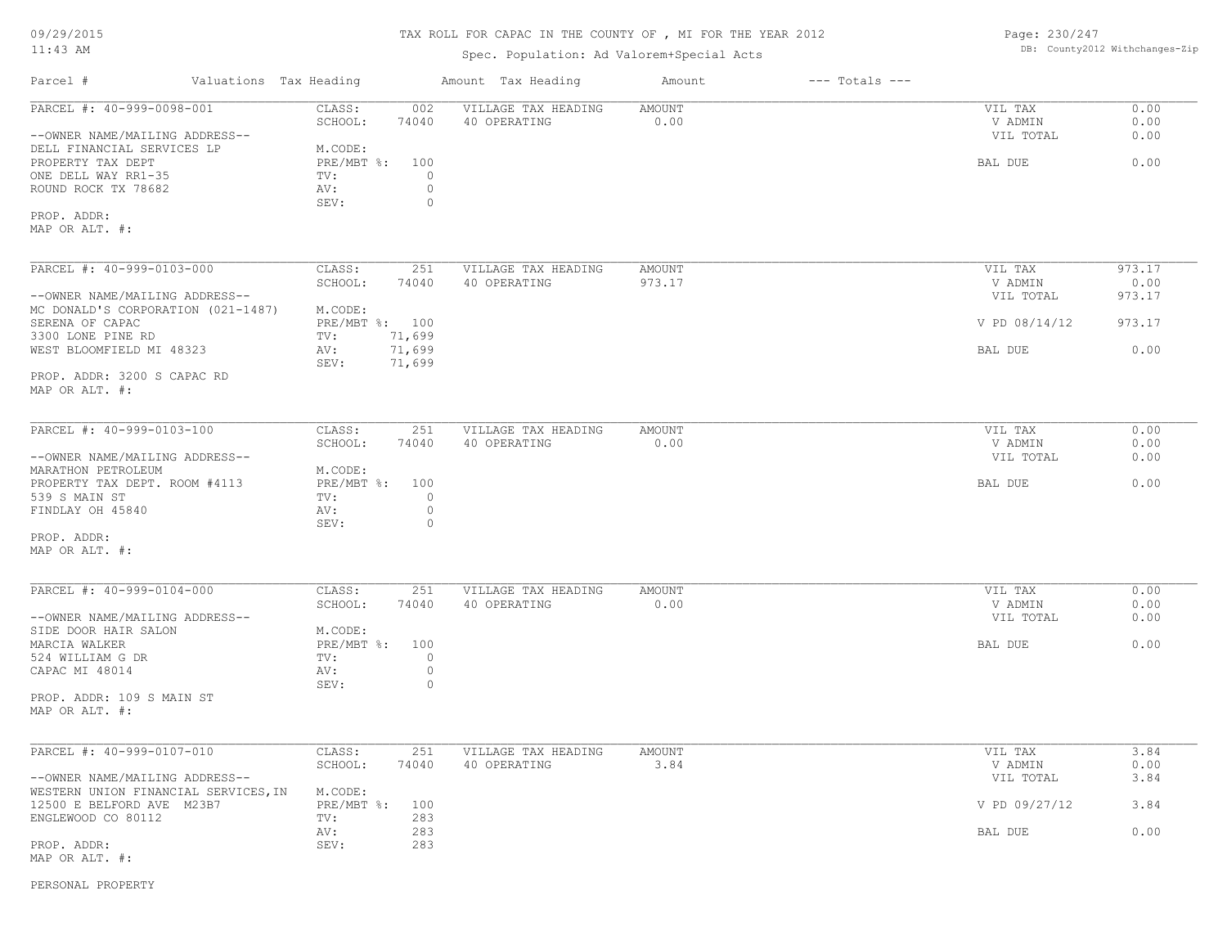#### TAX ROLL FOR CAPAC IN THE COUNTY OF , MI FOR THE YEAR 2012

#### Spec. Population: Ad Valorem+Special Acts

Page: 230/247 DB: County2012 Withchanges-Zip

| Parcel #                                                                          | Valuations Tax Heading |                                         |                               | Amount Tax Heading                  | Amount           | $---$ Totals $---$ |                      |                      |
|-----------------------------------------------------------------------------------|------------------------|-----------------------------------------|-------------------------------|-------------------------------------|------------------|--------------------|----------------------|----------------------|
| PARCEL #: 40-999-0098-001                                                         |                        | CLASS:<br>SCHOOL:                       | 002<br>74040                  | VILLAGE TAX HEADING<br>40 OPERATING | AMOUNT<br>0.00   |                    | VIL TAX<br>V ADMIN   | 0.00<br>0.00<br>0.00 |
| --OWNER NAME/MAILING ADDRESS--<br>DELL FINANCIAL SERVICES LP<br>PROPERTY TAX DEPT |                        | M.CODE:<br>PRE/MBT %: 100               |                               |                                     |                  |                    | VIL TOTAL<br>BAL DUE | 0.00                 |
| ONE DELL WAY RR1-35<br>ROUND ROCK TX 78682                                        |                        | TV:<br>AV:<br>SEV:                      | $\circ$<br>$\circ$<br>$\circ$ |                                     |                  |                    |                      |                      |
| PROP. ADDR:<br>MAP OR ALT. #:                                                     |                        |                                         |                               |                                     |                  |                    |                      |                      |
| PARCEL #: 40-999-0103-000                                                         |                        | CLASS:<br>SCHOOL:                       | 251<br>74040                  | VILLAGE TAX HEADING<br>40 OPERATING | AMOUNT<br>973.17 |                    | VIL TAX<br>V ADMIN   | 973.17<br>0.00       |
| --OWNER NAME/MAILING ADDRESS--<br>MC DONALD'S CORPORATION (021-1487)              |                        | M.CODE:                                 |                               |                                     |                  |                    | VIL TOTAL            | 973.17               |
| SERENA OF CAPAC<br>3300 LONE PINE RD                                              |                        | PRE/MBT %: 100<br>TV:                   | 71,699                        |                                     |                  |                    | V PD 08/14/12        | 973.17               |
| WEST BLOOMFIELD MI 48323                                                          |                        | AV:<br>SEV:                             | 71,699<br>71,699              |                                     |                  |                    | BAL DUE              | 0.00                 |
| PROP. ADDR: 3200 S CAPAC RD<br>MAP OR ALT. #:                                     |                        |                                         |                               |                                     |                  |                    |                      |                      |
| PARCEL #: 40-999-0103-100                                                         |                        | CLASS:                                  | 251                           | VILLAGE TAX HEADING                 | <b>AMOUNT</b>    |                    | VIL TAX              | 0.00                 |
| --OWNER NAME/MAILING ADDRESS--                                                    |                        | SCHOOL:                                 | 74040                         | 40 OPERATING                        | 0.00             |                    | V ADMIN<br>VIL TOTAL | 0.00<br>0.00         |
| MARATHON PETROLEUM<br>PROPERTY TAX DEPT. ROOM #4113<br>539 S MAIN ST              |                        | M.CODE:<br>PRE/MBT %:<br>TV:            | 100<br>$\circ$                |                                     |                  |                    | BAL DUE              | 0.00                 |
| FINDLAY OH 45840                                                                  |                        | AV:<br>SEV:                             | $\circ$<br>$\circ$            |                                     |                  |                    |                      |                      |
| PROP. ADDR:<br>MAP OR ALT. #:                                                     |                        |                                         |                               |                                     |                  |                    |                      |                      |
| PARCEL #: 40-999-0104-000                                                         |                        | CLASS:                                  | 251                           | VILLAGE TAX HEADING                 | AMOUNT           |                    | VIL TAX              | 0.00                 |
| --OWNER NAME/MAILING ADDRESS--                                                    |                        | SCHOOL:                                 | 74040                         | 40 OPERATING                        | 0.00             |                    | V ADMIN<br>VIL TOTAL | 0.00<br>0.00         |
| SIDE DOOR HAIR SALON<br>MARCIA WALKER<br>524 WILLIAM G DR<br>CAPAC MI 48014       |                        | M.CODE:<br>PRE/MBT %: 100<br>TV:<br>AV: | $\circ$<br>$\circ$            |                                     |                  |                    | BAL DUE              | 0.00                 |
| PROP. ADDR: 109 S MAIN ST<br>MAP OR ALT. #:                                       |                        | SEV:                                    | $\circ$                       |                                     |                  |                    |                      |                      |
| PARCEL #: 40-999-0107-010                                                         |                        | CLASS:                                  | 251                           | VILLAGE TAX HEADING                 | <b>AMOUNT</b>    |                    | VIL TAX              | 3.84                 |
| --OWNER NAME/MAILING ADDRESS--                                                    |                        | SCHOOL:                                 | 74040                         | 40 OPERATING                        | 3.84             |                    | V ADMIN<br>VIL TOTAL | 0.00<br>3.84         |
| WESTERN UNION FINANCIAL SERVICES, IN<br>12500 E BELFORD AVE M23B7                 |                        | M.CODE:<br>PRE/MBT %:                   | 100                           |                                     |                  |                    | V PD 09/27/12        | 3.84                 |
| ENGLEWOOD CO 80112<br>PROP. ADDR:<br>MAP OR ALT. #:                               |                        | TV:<br>AV:<br>SEV:                      | 283<br>283<br>283             |                                     |                  |                    | BAL DUE              | 0.00                 |

PERSONAL PROPERTY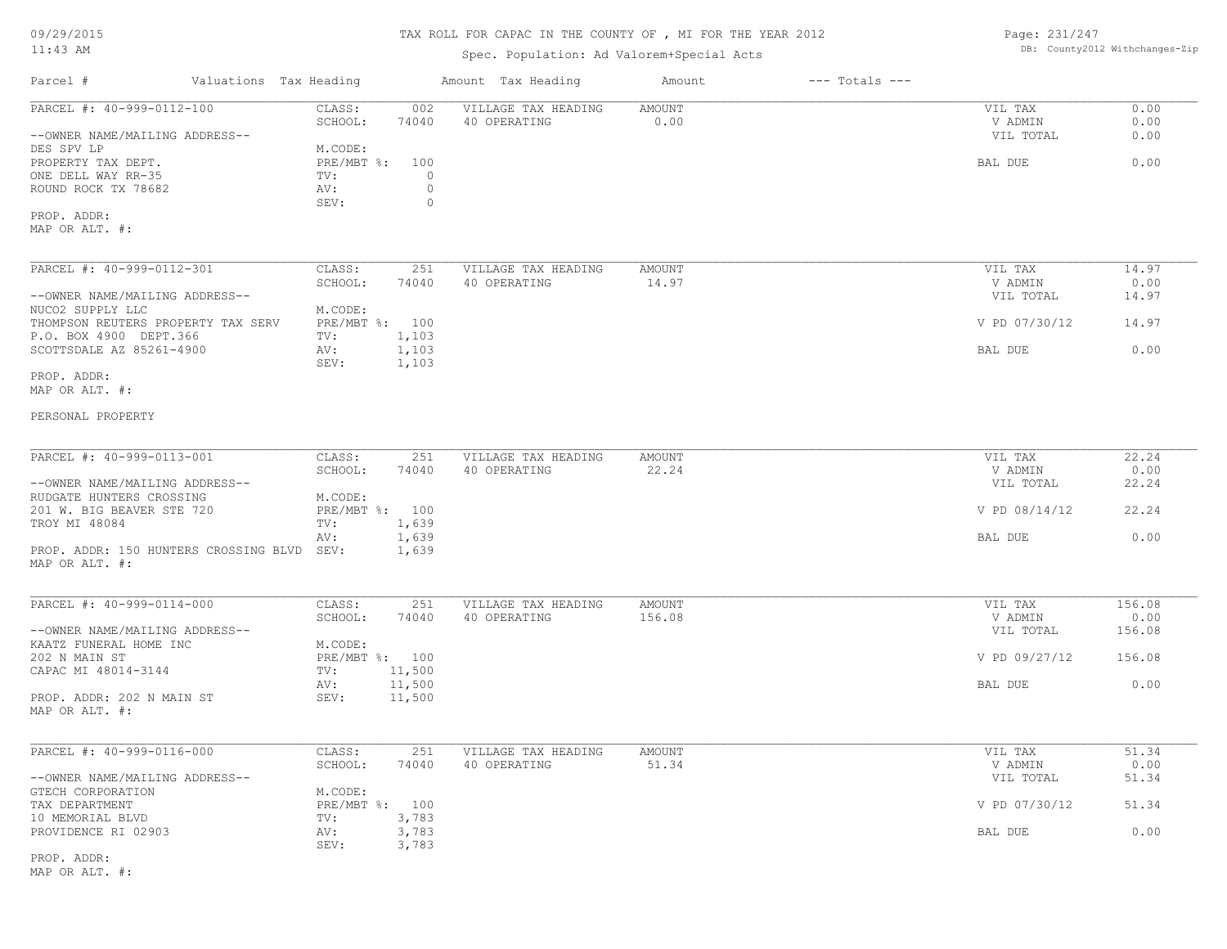09/29/2015

# 11:43 AM

# TAX ROLL FOR CAPAC IN THE COUNTY OF , MI FOR THE YEAR 2012

# Spec. Population: Ad Valorem+Special Acts

Page: 231/247 DB: County2012 Withchanges-Zip

| Valuations Tax Heading<br>Parcel #          |                                | Amount Tax Heading  | Amount<br>$---$ Totals $---$ |               |        |
|---------------------------------------------|--------------------------------|---------------------|------------------------------|---------------|--------|
| PARCEL #: 40-999-0112-100                   | CLASS:<br>002                  | VILLAGE TAX HEADING | <b>AMOUNT</b>                | VIL TAX       | 0.00   |
|                                             | SCHOOL:<br>74040               | 40 OPERATING        | 0.00                         | V ADMIN       | 0.00   |
| --OWNER NAME/MAILING ADDRESS--              |                                |                     |                              | VIL TOTAL     | 0.00   |
| DES SPV LP                                  | M.CODE:                        |                     |                              |               |        |
| PROPERTY TAX DEPT.                          | PRE/MBT %: 100                 |                     |                              | BAL DUE       | 0.00   |
| ONE DELL WAY RR-35                          | $\Omega$<br>TV:                |                     |                              |               |        |
| ROUND ROCK TX 78682                         | $\mathbb O$<br>AV:             |                     |                              |               |        |
| PROP. ADDR:                                 | $\mathbb O$<br>SEV:            |                     |                              |               |        |
| MAP OR ALT. #:                              |                                |                     |                              |               |        |
|                                             |                                |                     |                              |               |        |
| PARCEL #: 40-999-0112-301                   | CLASS:<br>251                  | VILLAGE TAX HEADING | <b>AMOUNT</b>                | VIL TAX       | 14.97  |
|                                             | SCHOOL:<br>74040               | 40 OPERATING        | 14.97                        | V ADMIN       | 0.00   |
| --OWNER NAME/MAILING ADDRESS--              |                                |                     |                              | VIL TOTAL     | 14.97  |
| NUCO2 SUPPLY LLC                            | M.CODE:                        |                     |                              |               |        |
| THOMPSON REUTERS PROPERTY TAX SERV          | PRE/MBT %: 100                 |                     |                              | V PD 07/30/12 | 14.97  |
| P.O. BOX 4900 DEPT.366                      | 1,103<br>TV:                   |                     |                              |               |        |
| SCOTTSDALE AZ 85261-4900                    | 1,103<br>AV:                   |                     |                              | BAL DUE       | 0.00   |
|                                             | SEV:<br>1,103                  |                     |                              |               |        |
| PROP. ADDR:                                 |                                |                     |                              |               |        |
| MAP OR ALT. #:                              |                                |                     |                              |               |        |
|                                             |                                |                     |                              |               |        |
| PERSONAL PROPERTY                           |                                |                     |                              |               |        |
|                                             |                                |                     |                              |               |        |
| PARCEL #: 40-999-0113-001                   | CLASS:<br>251                  | VILLAGE TAX HEADING | AMOUNT                       | VIL TAX       | 22.24  |
|                                             | SCHOOL:<br>74040               | 40 OPERATING        | 22.24                        | V ADMIN       | 0.00   |
| --OWNER NAME/MAILING ADDRESS--              |                                |                     |                              | VIL TOTAL     | 22.24  |
| RUDGATE HUNTERS CROSSING                    | M.CODE:                        |                     |                              |               |        |
| 201 W. BIG BEAVER STE 720                   | PRE/MBT %: 100                 |                     |                              | V PD 08/14/12 | 22.24  |
| TROY MI 48084                               | 1,639<br>TV:                   |                     |                              |               |        |
|                                             | 1,639<br>AV:                   |                     |                              | BAL DUE       | 0.00   |
| PROP. ADDR: 150 HUNTERS CROSSING BLVD SEV:  | 1,639                          |                     |                              |               |        |
| MAP OR ALT. #:                              |                                |                     |                              |               |        |
|                                             |                                |                     |                              |               |        |
| PARCEL #: 40-999-0114-000                   | CLASS:<br>251                  | VILLAGE TAX HEADING | AMOUNT                       | VIL TAX       | 156.08 |
|                                             | SCHOOL:<br>74040               | 40 OPERATING        | 156.08                       | V ADMIN       | 0.00   |
| --OWNER NAME/MAILING ADDRESS--              |                                |                     |                              | VIL TOTAL     | 156.08 |
| KAATZ FUNERAL HOME INC                      | M.CODE:                        |                     |                              |               |        |
| 202 N MAIN ST                               | PRE/MBT %: 100                 |                     |                              | V PD 09/27/12 | 156.08 |
| CAPAC MI 48014-3144                         | 11,500<br>TV:<br>11,500<br>AV: |                     |                              |               | 0.00   |
|                                             | 11,500<br>SEV:                 |                     |                              | BAL DUE       |        |
| PROP. ADDR: 202 N MAIN ST<br>MAP OR ALT. #: |                                |                     |                              |               |        |
|                                             |                                |                     |                              |               |        |
|                                             |                                |                     |                              |               |        |
| PARCEL #: 40-999-0116-000                   | CLASS:<br>251                  | VILLAGE TAX HEADING | AMOUNT                       | VIL TAX       | 51.34  |
|                                             | SCHOOL:<br>74040               | 40 OPERATING        | 51.34                        | V ADMIN       | 0.00   |
| --OWNER NAME/MAILING ADDRESS--              | M.CODE:                        |                     |                              | VIL TOTAL     | 51.34  |
| GTECH CORPORATION                           | PRE/MBT %: 100                 |                     |                              | V PD 07/30/12 | 51.34  |
| TAX DEPARTMENT<br>10 MEMORIAL BLVD          | 3,783<br>TV:                   |                     |                              |               |        |
| PROVIDENCE RI 02903                         | 3,783<br>AV:                   |                     |                              | BAL DUE       | 0.00   |
|                                             | 3,783<br>SEV:                  |                     |                              |               |        |
| PROP. ADDR:                                 |                                |                     |                              |               |        |
|                                             |                                |                     |                              |               |        |

MAP OR ALT. #: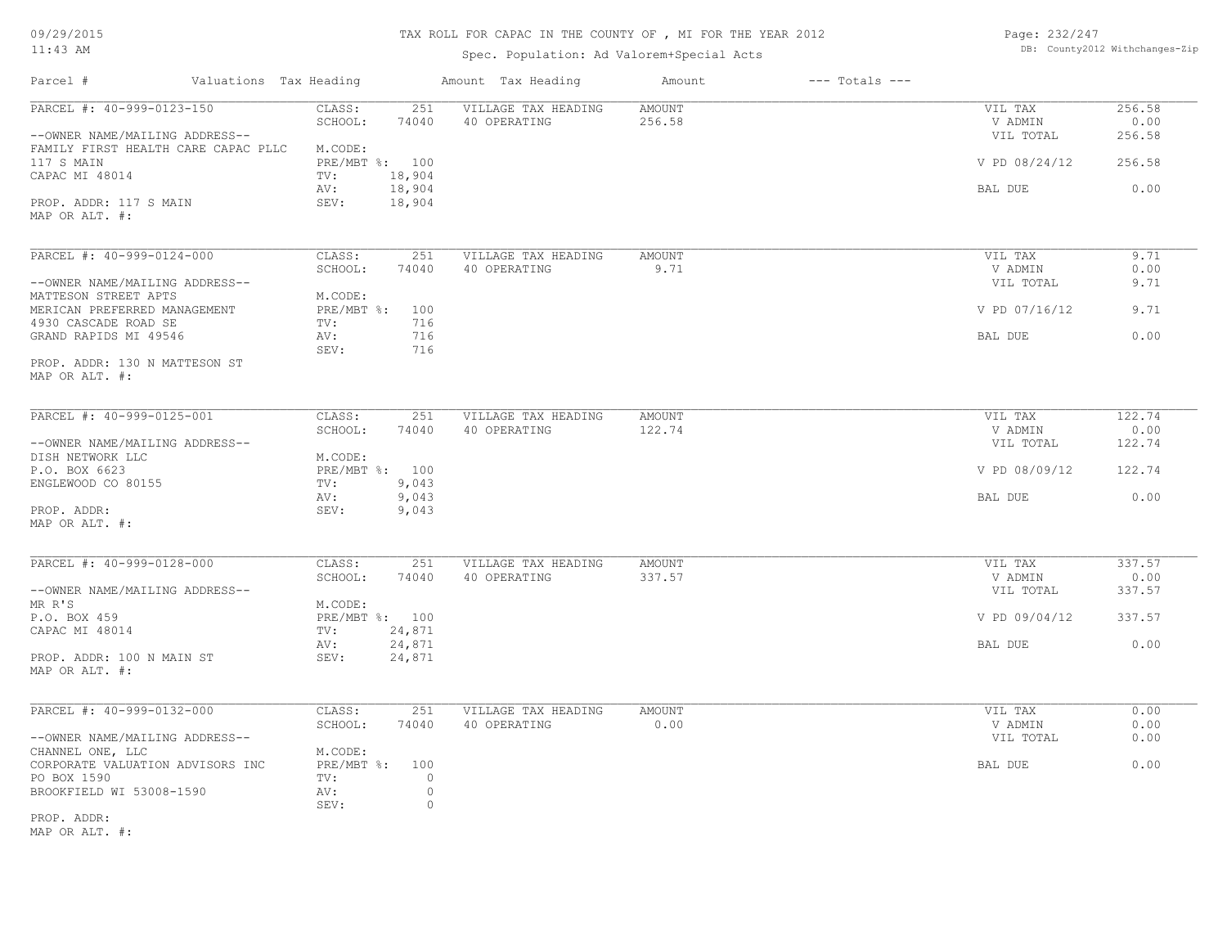09/29/2015

#### TAX ROLL FOR CAPAC IN THE COUNTY OF , MI FOR THE YEAR 2012

11:43 AM

# Spec. Population: Ad Valorem+Special Acts

Page: 232/247 DB: County2012 Withchanges-Zip

| Parcel #                                                              | Valuations Tax Heading            | Amount Tax Heading                  | Amount           | $---$ Totals $---$ |                      |                |
|-----------------------------------------------------------------------|-----------------------------------|-------------------------------------|------------------|--------------------|----------------------|----------------|
| PARCEL #: 40-999-0123-150                                             | CLASS:<br>251<br>SCHOOL:<br>74040 | VILLAGE TAX HEADING<br>40 OPERATING | AMOUNT<br>256.58 |                    | VIL TAX<br>V ADMIN   | 256.58<br>0.00 |
| --OWNER NAME/MAILING ADDRESS--<br>FAMILY FIRST HEALTH CARE CAPAC PLLC | M.CODE:                           |                                     |                  |                    | VIL TOTAL            | 256.58         |
| 117 S MAIN<br>CAPAC MI 48014                                          | PRE/MBT %: 100<br>18,904<br>TV:   |                                     |                  |                    | V PD 08/24/12        | 256.58         |
|                                                                       | 18,904<br>AV:                     |                                     |                  |                    | BAL DUE              | 0.00           |
| PROP. ADDR: 117 S MAIN<br>MAP OR ALT. #:                              | SEV:<br>18,904                    |                                     |                  |                    |                      |                |
|                                                                       |                                   |                                     |                  |                    |                      |                |
| PARCEL #: 40-999-0124-000                                             | CLASS:<br>251                     | VILLAGE TAX HEADING                 | AMOUNT           |                    | VIL TAX              | 9.71           |
| --OWNER NAME/MAILING ADDRESS--                                        | SCHOOL:<br>74040                  | 40 OPERATING                        | 9.71             |                    | V ADMIN<br>VIL TOTAL | 0.00<br>9.71   |
| MATTESON STREET APTS                                                  | M.CODE:                           |                                     |                  |                    |                      |                |
| MERICAN PREFERRED MANAGEMENT                                          | PRE/MBT %: 100                    |                                     |                  |                    | V PD 07/16/12        | 9.71           |
| 4930 CASCADE ROAD SE                                                  | 716<br>TV:                        |                                     |                  |                    |                      |                |
| GRAND RAPIDS MI 49546                                                 | 716<br>AV:<br>716<br>SEV:         |                                     |                  |                    | BAL DUE              | 0.00           |
| PROP. ADDR: 130 N MATTESON ST                                         |                                   |                                     |                  |                    |                      |                |
| MAP OR ALT. #:                                                        |                                   |                                     |                  |                    |                      |                |
|                                                                       |                                   |                                     |                  |                    |                      |                |
| PARCEL #: 40-999-0125-001                                             | CLASS:<br>251                     | VILLAGE TAX HEADING                 | AMOUNT           |                    | VIL TAX              | 122.74         |
|                                                                       | SCHOOL:<br>74040                  | 40 OPERATING                        | 122.74           |                    | V ADMIN              | 0.00           |
| --OWNER NAME/MAILING ADDRESS--                                        | M.CODE:                           |                                     |                  |                    | VIL TOTAL            | 122.74         |
| DISH NETWORK LLC<br>P.O. BOX 6623                                     | PRE/MBT %: 100                    |                                     |                  |                    | V PD 08/09/12        | 122.74         |
| ENGLEWOOD CO 80155                                                    | 9,043<br>TV:                      |                                     |                  |                    |                      |                |
|                                                                       | 9,043<br>AV:                      |                                     |                  |                    | BAL DUE              | 0.00           |
| PROP. ADDR:                                                           | SEV:<br>9,043                     |                                     |                  |                    |                      |                |
| MAP OR ALT. #:                                                        |                                   |                                     |                  |                    |                      |                |
|                                                                       |                                   |                                     |                  |                    |                      |                |
| PARCEL #: 40-999-0128-000                                             | CLASS:<br>251                     | VILLAGE TAX HEADING                 | <b>AMOUNT</b>    |                    | VIL TAX              | 337.57         |
|                                                                       | SCHOOL:<br>74040                  | 40 OPERATING                        | 337.57           |                    | V ADMIN              | 0.00           |
| --OWNER NAME/MAILING ADDRESS--                                        |                                   |                                     |                  |                    | VIL TOTAL            | 337.57         |
| MR R'S                                                                | M.CODE:                           |                                     |                  |                    |                      |                |
| P.O. BOX 459                                                          | PRE/MBT %: 100                    |                                     |                  |                    | V PD 09/04/12        | 337.57         |
| CAPAC MI 48014                                                        | 24,871<br>TV:<br>24,871<br>AV:    |                                     |                  |                    | BAL DUE              | 0.00           |
| PROP. ADDR: 100 N MAIN ST                                             | SEV:<br>24,871                    |                                     |                  |                    |                      |                |
| MAP OR ALT. #:                                                        |                                   |                                     |                  |                    |                      |                |
|                                                                       |                                   |                                     |                  |                    |                      |                |
| PARCEL #: 40-999-0132-000                                             | CLASS:<br>251                     | VILLAGE TAX HEADING                 | AMOUNT           |                    | VIL TAX              | 0.00           |
|                                                                       | SCHOOL:<br>74040                  | 40 OPERATING                        | 0.00             |                    | V ADMIN              | 0.00           |
| --OWNER NAME/MAILING ADDRESS--                                        |                                   |                                     |                  |                    | VIL TOTAL            | 0.00           |
| CHANNEL ONE, LLC                                                      | M.CODE:                           |                                     |                  |                    |                      |                |
| CORPORATE VALUATION ADVISORS INC                                      | PRE/MBT %: 100<br>TV:             | $\circ$                             |                  |                    | BAL DUE              | 0.00           |
| PO BOX 1590<br>BROOKFIELD WI 53008-1590                               | AV:                               | $\circ$                             |                  |                    |                      |                |
|                                                                       | SEV:                              | 0                                   |                  |                    |                      |                |
| PROP. ADDR:                                                           |                                   |                                     |                  |                    |                      |                |
| $M \wedge D$ $\wedge D$ $\wedge T$ $\cdots$ $\cdots$                  |                                   |                                     |                  |                    |                      |                |

MAP OR ALT. #: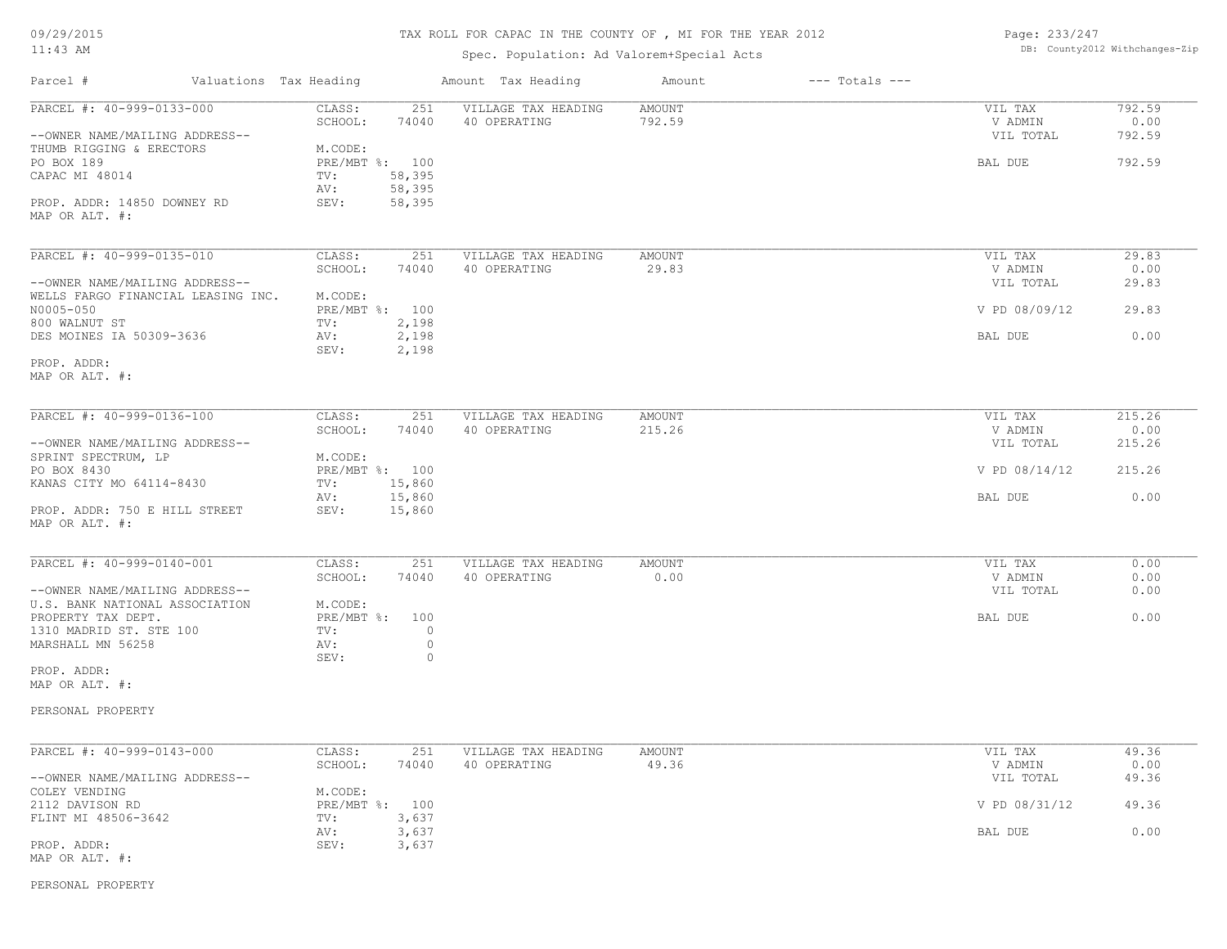#### TAX ROLL FOR CAPAC IN THE COUNTY OF , MI FOR THE YEAR 2012

Spec. Population: Ad Valorem+Special Acts

Page: 233/247 DB: County2012 Withchanges-Zip

| Parcel #                                                                                             | Valuations Tax Heading                          | Amount Tax Heading                                  | Amount                  | $---$ Totals $---$ |                                 |                          |
|------------------------------------------------------------------------------------------------------|-------------------------------------------------|-----------------------------------------------------|-------------------------|--------------------|---------------------------------|--------------------------|
| PARCEL #: 40-999-0133-000<br>--OWNER NAME/MAILING ADDRESS--<br>THUMB RIGGING & ERECTORS              | CLASS:<br>SCHOOL:<br>M.CODE:                    | 251<br>VILLAGE TAX HEADING<br>74040<br>40 OPERATING | <b>AMOUNT</b><br>792.59 |                    | VIL TAX<br>V ADMIN<br>VIL TOTAL | 792.59<br>0.00<br>792.59 |
| PO BOX 189<br>CAPAC MI 48014<br>PROP. ADDR: 14850 DOWNEY RD<br>MAP OR ALT. #:                        | PRE/MBT %: 100<br>TV:<br>AV:<br>SEV:            | 58,395<br>58,395<br>58,395                          |                         |                    | BAL DUE                         | 792.59                   |
| PARCEL #: 40-999-0135-010                                                                            | CLASS:<br>SCHOOL:                               | 251<br>VILLAGE TAX HEADING<br>40 OPERATING<br>74040 | AMOUNT<br>29.83         |                    | VIL TAX<br>V ADMIN              | 29.83<br>0.00            |
| --OWNER NAME/MAILING ADDRESS--<br>WELLS FARGO FINANCIAL LEASING INC.<br>N0005-050                    | M.CODE:<br>PRE/MBT %: 100                       |                                                     |                         |                    | VIL TOTAL<br>V PD 08/09/12      | 29.83<br>29.83           |
| 800 WALNUT ST<br>DES MOINES IA 50309-3636                                                            | TV:<br>AV:<br>SEV:                              | 2,198<br>2,198<br>2,198                             |                         |                    | BAL DUE                         | 0.00                     |
| PROP. ADDR:<br>MAP OR ALT. #:                                                                        |                                                 |                                                     |                         |                    |                                 |                          |
| PARCEL #: 40-999-0136-100<br>--OWNER NAME/MAILING ADDRESS--                                          | CLASS:<br>SCHOOL:                               | 251<br>VILLAGE TAX HEADING<br>74040<br>40 OPERATING | AMOUNT<br>215.26        |                    | VIL TAX<br>V ADMIN<br>VIL TOTAL | 215.26<br>0.00<br>215.26 |
| SPRINT SPECTRUM, LP<br>PO BOX 8430                                                                   | M.CODE:<br>PRE/MBT %: 100                       |                                                     |                         |                    | V PD 08/14/12                   | 215.26                   |
| KANAS CITY MO 64114-8430<br>PROP. ADDR: 750 E HILL STREET                                            | TV:<br>AV:<br>SEV:                              | 15,860<br>15,860<br>15,860                          |                         |                    | BAL DUE                         | 0.00                     |
| MAP OR ALT. #:                                                                                       |                                                 |                                                     |                         |                    |                                 |                          |
| PARCEL #: 40-999-0140-001<br>--OWNER NAME/MAILING ADDRESS--                                          | CLASS:<br>SCHOOL:                               | VILLAGE TAX HEADING<br>251<br>74040<br>40 OPERATING | <b>AMOUNT</b><br>0.00   |                    | VIL TAX<br>V ADMIN<br>VIL TOTAL | 0.00<br>0.00<br>0.00     |
| U.S. BANK NATIONAL ASSOCIATION<br>PROPERTY TAX DEPT.<br>1310 MADRID ST. STE 100<br>MARSHALL MN 56258 | M.CODE:<br>PRE/MBT %: 100<br>TV:<br>AV:<br>SEV: | $\circ$<br>$\circ$<br>$\circ$                       |                         |                    | BAL DUE                         | 0.00                     |
| PROP. ADDR:<br>MAP OR ALT. #:                                                                        |                                                 |                                                     |                         |                    |                                 |                          |
| PERSONAL PROPERTY                                                                                    |                                                 |                                                     |                         |                    |                                 |                          |
| PARCEL #: 40-999-0143-000                                                                            | CLASS:<br>SCHOOL:                               | 251<br>VILLAGE TAX HEADING<br>74040<br>40 OPERATING | AMOUNT<br>49.36         |                    | VIL TAX<br>V ADMIN              | 49.36<br>0.00            |
| --OWNER NAME/MAILING ADDRESS--<br>COLEY VENDING<br>2112 DAVISON RD                                   | M.CODE:<br>PRE/MBT %: 100                       |                                                     |                         |                    | VIL TOTAL<br>V PD 08/31/12      | 49.36<br>49.36           |
| FLINT MI 48506-3642                                                                                  | TV:<br>AV:                                      | 3,637<br>3,637                                      |                         |                    | BAL DUE                         | 0.00                     |
| PROP. ADDR:<br>MAP OR ALT. #:                                                                        | SEV:                                            | 3,637                                               |                         |                    |                                 |                          |

PERSONAL PROPERTY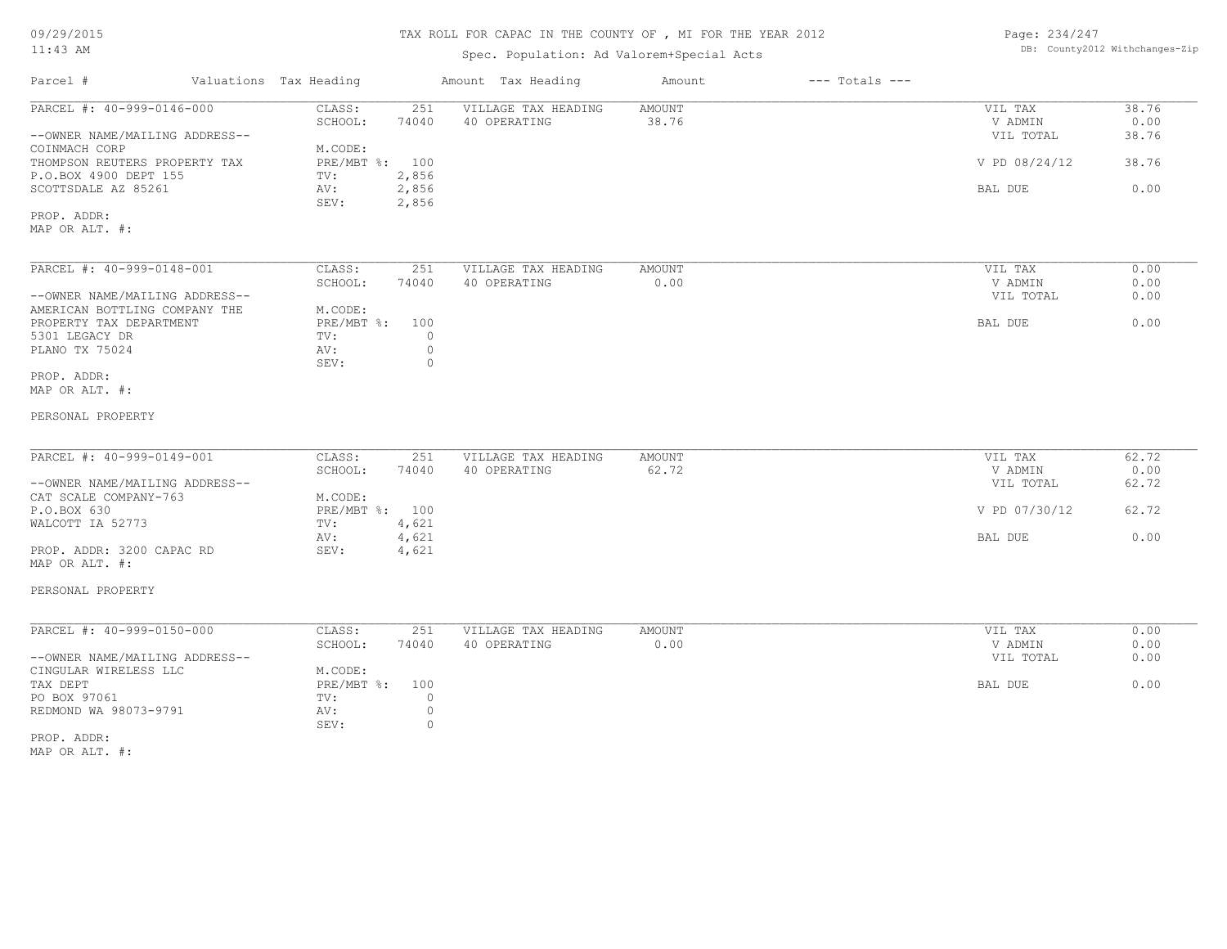#### TAX ROLL FOR CAPAC IN THE COUNTY OF , MI FOR THE YEAR 2012

#### Spec. Population: Ad Valorem+Special Acts

Page: 234/247 DB: County2012 Withchanges-Zip

| Parcel #<br>Valuations Tax Heading                       |                           | Amount Tax Heading  | Amount | $---$ Totals $---$ |               |       |
|----------------------------------------------------------|---------------------------|---------------------|--------|--------------------|---------------|-------|
| PARCEL #: 40-999-0146-000                                | CLASS:<br>251             | VILLAGE TAX HEADING | AMOUNT |                    | VIL TAX       | 38.76 |
|                                                          | SCHOOL:<br>74040          | 40 OPERATING        | 38.76  |                    | V ADMIN       | 0.00  |
| --OWNER NAME/MAILING ADDRESS--                           |                           |                     |        |                    | VIL TOTAL     | 38.76 |
| COINMACH CORP                                            | M.CODE:                   |                     |        |                    |               |       |
| THOMPSON REUTERS PROPERTY TAX                            | PRE/MBT %: 100            |                     |        |                    | V PD 08/24/12 | 38.76 |
| P.O.BOX 4900 DEPT 155                                    | 2,856<br>TV:              |                     |        |                    |               |       |
| SCOTTSDALE AZ 85261                                      | AV:<br>2,856              |                     |        |                    | BAL DUE       | 0.00  |
| PROP. ADDR:                                              | 2,856<br>SEV:             |                     |        |                    |               |       |
| MAP OR ALT. #:                                           |                           |                     |        |                    |               |       |
| PARCEL #: 40-999-0148-001                                | CLASS:<br>251             | VILLAGE TAX HEADING | AMOUNT |                    | VIL TAX       | 0.00  |
|                                                          | SCHOOL:<br>74040          |                     | 0.00   |                    | V ADMIN       | 0.00  |
| --OWNER NAME/MAILING ADDRESS--                           |                           | 40 OPERATING        |        |                    | VIL TOTAL     | 0.00  |
|                                                          |                           |                     |        |                    |               |       |
| AMERICAN BOTTLING COMPANY THE<br>PROPERTY TAX DEPARTMENT | M.CODE:<br>PRE/MBT %: 100 |                     |        |                    | BAL DUE       | 0.00  |
| 5301 LEGACY DR                                           | $\circ$<br>TV:            |                     |        |                    |               |       |
| PLANO TX 75024                                           | $\circ$<br>AV:            |                     |        |                    |               |       |
|                                                          | $\circ$                   |                     |        |                    |               |       |
| PROP. ADDR:                                              | SEV:                      |                     |        |                    |               |       |
| MAP OR ALT. #:                                           |                           |                     |        |                    |               |       |
| PERSONAL PROPERTY                                        |                           |                     |        |                    |               |       |
| PARCEL #: 40-999-0149-001                                | CLASS:<br>251             | VILLAGE TAX HEADING | AMOUNT |                    | VIL TAX       | 62.72 |
|                                                          | SCHOOL:<br>74040          | 40 OPERATING        | 62.72  |                    | V ADMIN       | 0.00  |
| --OWNER NAME/MAILING ADDRESS--                           |                           |                     |        |                    | VIL TOTAL     | 62.72 |
| CAT SCALE COMPANY-763                                    | M.CODE:                   |                     |        |                    |               |       |
| P.O.BOX 630                                              | PRE/MBT %: 100            |                     |        |                    | V PD 07/30/12 | 62.72 |
| WALCOTT IA 52773                                         | 4,621<br>TV:              |                     |        |                    |               |       |
|                                                          | 4,621<br>AV:              |                     |        |                    | BAL DUE       | 0.00  |
| PROP. ADDR: 3200 CAPAC RD                                | SEV:<br>4,621             |                     |        |                    |               |       |
| MAP OR ALT. #:                                           |                           |                     |        |                    |               |       |
| PERSONAL PROPERTY                                        |                           |                     |        |                    |               |       |
| PARCEL #: 40-999-0150-000                                | CLASS:<br>251             | VILLAGE TAX HEADING | AMOUNT |                    | VIL TAX       | 0.00  |
|                                                          | SCHOOL:<br>74040          | 40 OPERATING        | 0.00   |                    | V ADMIN       | 0.00  |
| --OWNER NAME/MAILING ADDRESS--                           |                           |                     |        |                    | VIL TOTAL     | 0.00  |
| CINGULAR WIRELESS LLC                                    | M.CODE:                   |                     |        |                    |               |       |
| TAX DEPT                                                 | $PRE/MBT$ %:<br>100       |                     |        |                    | BAL DUE       | 0.00  |
| PO BOX 97061                                             | $\circ$<br>TV:            |                     |        |                    |               |       |
| REDMOND WA 98073-9791                                    | AV:<br>$\circ$            |                     |        |                    |               |       |
|                                                          | SEV:<br>$\circ$           |                     |        |                    |               |       |
| PROP. ADDR:                                              |                           |                     |        |                    |               |       |
| MAP OR ALT. #:                                           |                           |                     |        |                    |               |       |
|                                                          |                           |                     |        |                    |               |       |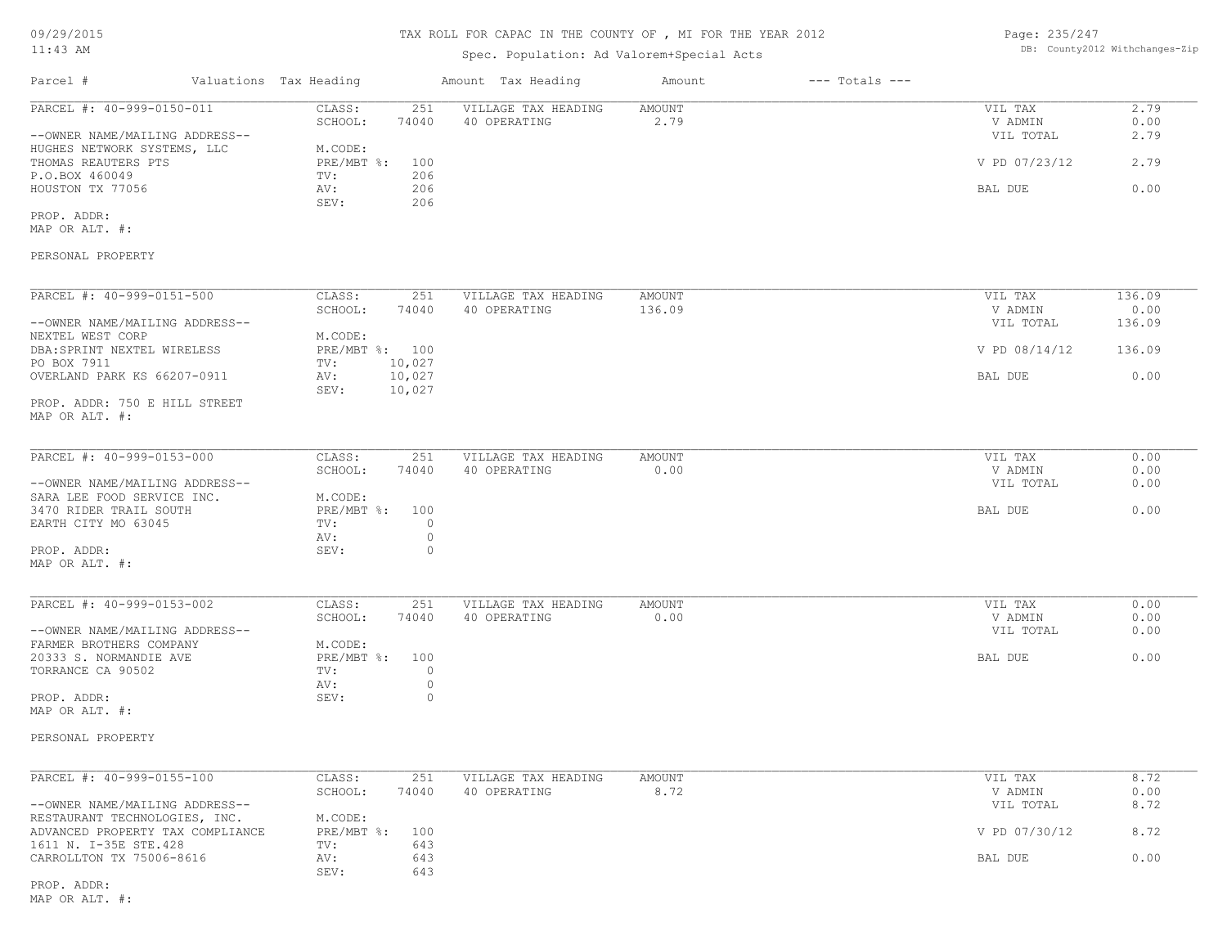# Spec. Population: Ad Valorem+Special Acts

Page: 235/247 DB: County2012 Withchanges-Zip

| Parcel #                                                                                   | Valuations Tax Heading |                                      |                    | Amount Tax Heading                  | Amount         | $---$ Totals $---$ |                                 |                      |
|--------------------------------------------------------------------------------------------|------------------------|--------------------------------------|--------------------|-------------------------------------|----------------|--------------------|---------------------------------|----------------------|
| PARCEL #: 40-999-0150-011<br>--OWNER NAME/MAILING ADDRESS--                                |                        | CLASS:<br>SCHOOL:                    | 251<br>74040       | VILLAGE TAX HEADING<br>40 OPERATING | AMOUNT<br>2.79 |                    | VIL TAX<br>V ADMIN<br>VIL TOTAL | 2.79<br>0.00<br>2.79 |
| HUGHES NETWORK SYSTEMS, LLC<br>THOMAS REAUTERS PTS                                         |                        | M.CODE:<br>$PRE/MBT$ $\frac{1}{6}$ : | 100                |                                     |                |                    | V PD 07/23/12                   | 2.79                 |
| P.O.BOX 460049<br>HOUSTON TX 77056                                                         |                        | TV:<br>AV:<br>SEV:                   | 206<br>206<br>206  |                                     |                |                    | BAL DUE                         | 0.00                 |
| PROP. ADDR:<br>MAP OR ALT. #:                                                              |                        |                                      |                    |                                     |                |                    |                                 |                      |
| PERSONAL PROPERTY                                                                          |                        |                                      |                    |                                     |                |                    |                                 |                      |
| PARCEL #: 40-999-0151-500                                                                  |                        | CLASS:                               | 251                | VILLAGE TAX HEADING                 | AMOUNT         |                    | VIL TAX                         | 136.09               |
| --OWNER NAME/MAILING ADDRESS--                                                             |                        | SCHOOL:                              | 74040              | 40 OPERATING                        | 136.09         |                    | V ADMIN<br>VIL TOTAL            | 0.00<br>136.09       |
| NEXTEL WEST CORP<br>DBA: SPRINT NEXTEL WIRELESS<br>PO BOX 7911                             |                        | M.CODE:<br>PRE/MBT %: 100<br>TV:     | 10,027             |                                     |                |                    | V PD 08/14/12                   | 136.09               |
| OVERLAND PARK KS 66207-0911                                                                |                        | AV:<br>SEV:                          | 10,027<br>10,027   |                                     |                |                    | BAL DUE                         | 0.00                 |
| PROP. ADDR: 750 E HILL STREET<br>MAP OR ALT. #:                                            |                        |                                      |                    |                                     |                |                    |                                 |                      |
| PARCEL #: 40-999-0153-000                                                                  |                        | CLASS:                               | 251                | VILLAGE TAX HEADING                 | AMOUNT         |                    | VIL TAX                         | 0.00                 |
| --OWNER NAME/MAILING ADDRESS--<br>SARA LEE FOOD SERVICE INC.                               |                        | SCHOOL:<br>M.CODE:                   | 74040              | 40 OPERATING                        | 0.00           |                    | V ADMIN<br>VIL TOTAL            | 0.00<br>0.00         |
| 3470 RIDER TRAIL SOUTH<br>EARTH CITY MO 63045                                              |                        | PRE/MBT %: 100<br>TV:                | $\circ$            |                                     |                |                    | BAL DUE                         | 0.00                 |
| PROP. ADDR:                                                                                |                        | AV:<br>SEV:                          | $\circ$<br>$\circ$ |                                     |                |                    |                                 |                      |
| MAP OR ALT. #:                                                                             |                        |                                      |                    |                                     |                |                    |                                 |                      |
| PARCEL #: 40-999-0153-002                                                                  |                        | CLASS:<br>SCHOOL:                    | 251<br>74040       | VILLAGE TAX HEADING<br>40 OPERATING | AMOUNT<br>0.00 |                    | VIL TAX<br>V ADMIN              | 0.00<br>0.00         |
| --OWNER NAME/MAILING ADDRESS--<br>FARMER BROTHERS COMPANY                                  |                        | M.CODE:                              |                    |                                     |                |                    | VIL TOTAL                       | 0.00                 |
| 20333 S. NORMANDIE AVE<br>TORRANCE CA 90502                                                |                        | PRE/MBT %: 100<br>TV:                | $\circ$            |                                     |                |                    | BAL DUE                         | 0.00                 |
| PROP. ADDR:<br>MAP OR ALT. #:                                                              |                        | AV:<br>SEV:                          | $\circ$<br>$\circ$ |                                     |                |                    |                                 |                      |
| PERSONAL PROPERTY                                                                          |                        |                                      |                    |                                     |                |                    |                                 |                      |
| PARCEL #: 40-999-0155-100                                                                  |                        | CLASS:                               | 251                | VILLAGE TAX HEADING                 | AMOUNT         |                    | VIL TAX                         | 8.72                 |
| --OWNER NAME/MAILING ADDRESS--                                                             |                        | SCHOOL:                              | 74040              | 40 OPERATING                        | 8.72           |                    | V ADMIN<br>VIL TOTAL            | 0.00<br>8.72         |
| RESTAURANT TECHNOLOGIES, INC.<br>ADVANCED PROPERTY TAX COMPLIANCE<br>1611 N. I-35E STE.428 |                        | M.CODE:<br>$PRE/MBT$ $\div$<br>TV:   | 100<br>643         |                                     |                |                    | V PD 07/30/12                   | 8.72                 |
| CARROLLTON TX 75006-8616                                                                   |                        | AV:<br>SEV:                          | 643<br>643         |                                     |                |                    | BAL DUE                         | 0.00                 |

MAP OR ALT. #: PROP. ADDR: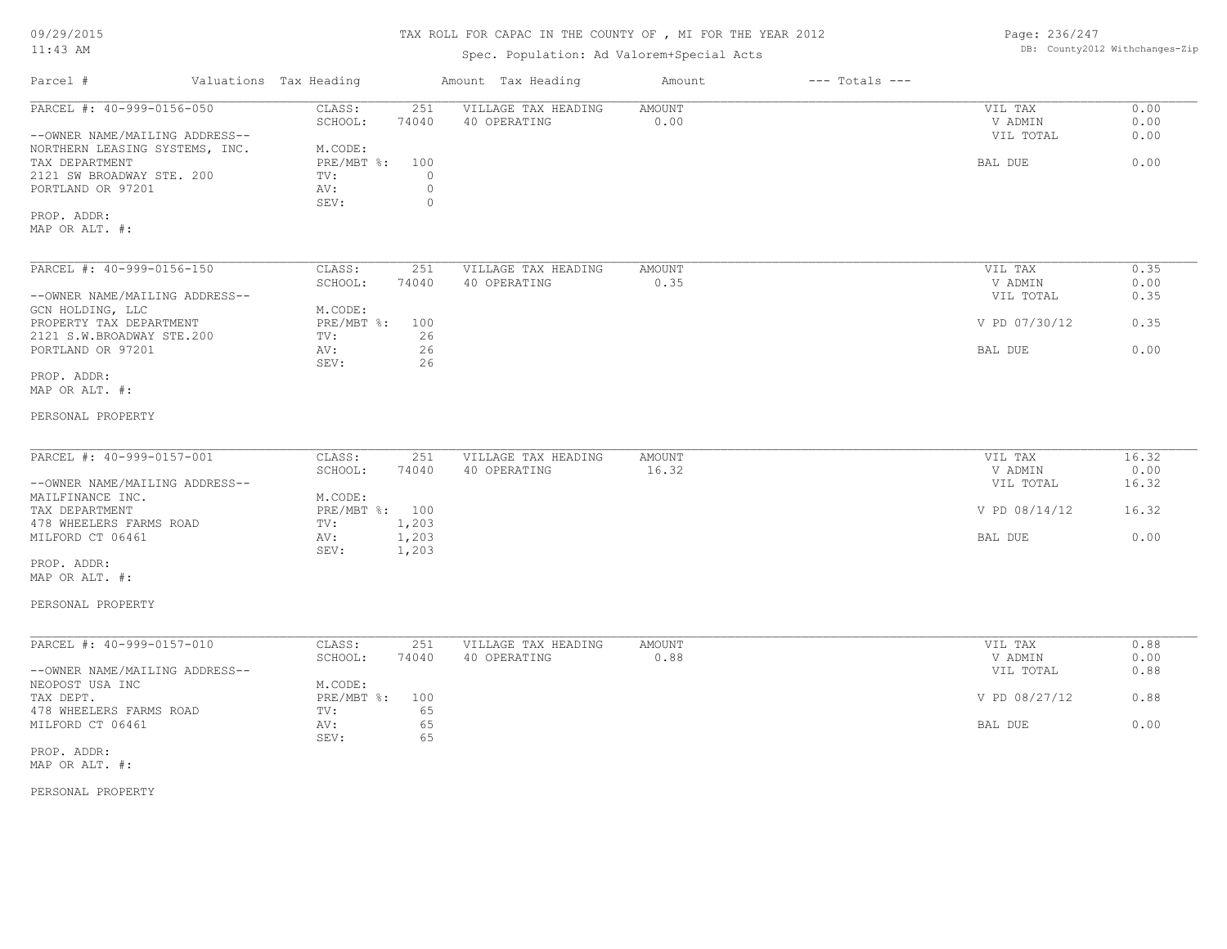09/29/2015

#### TAX ROLL FOR CAPAC IN THE COUNTY OF , MI FOR THE YEAR 2012

| Page: 236/247 |                               |
|---------------|-------------------------------|
|               | DB: County2012 Withchanges-Z: |

| $11:43$ AM                                                                  | Spec. Population: Ad Valorem+Special Acts           | DB: County2012 Withchanges-Zip |                    |                      |              |
|-----------------------------------------------------------------------------|-----------------------------------------------------|--------------------------------|--------------------|----------------------|--------------|
| Parcel #<br>Valuations Tax Heading                                          | Amount Tax Heading                                  | Amount                         | $---$ Totals $---$ |                      |              |
| PARCEL #: 40-999-0156-050<br>CLASS:<br>SCHOOL:                              | VILLAGE TAX HEADING<br>251<br>74040<br>40 OPERATING | <b>AMOUNT</b><br>0.00          |                    | VIL TAX<br>V ADMIN   | 0.00<br>0.00 |
| --OWNER NAME/MAILING ADDRESS--<br>NORTHERN LEASING SYSTEMS, INC.<br>M.CODE: |                                                     |                                |                    | VIL TOTAL            | 0.00         |
| $PRE/MBT$ $\div$<br>TAX DEPARTMENT                                          | 100                                                 |                                |                    | BAL DUE              | 0.00         |
| 2121 SW BROADWAY STE. 200<br>TV:                                            | $\Omega$                                            |                                |                    |                      |              |
| PORTLAND OR 97201<br>AV:<br>SEV:                                            | $\circ$<br>$\circ$                                  |                                |                    |                      |              |
| PROP. ADDR:                                                                 |                                                     |                                |                    |                      |              |
| MAP OR ALT. #:                                                              |                                                     |                                |                    |                      |              |
|                                                                             |                                                     |                                |                    |                      |              |
| PARCEL #: 40-999-0156-150<br>CLASS:                                         | 251<br>VILLAGE TAX HEADING                          | <b>AMOUNT</b>                  |                    | VIL TAX              | 0.35         |
| SCHOOL:<br>--OWNER NAME/MAILING ADDRESS--                                   | 74040<br>40 OPERATING                               | 0.35                           |                    | V ADMIN<br>VIL TOTAL | 0.00<br>0.35 |
| GCN HOLDING, LLC<br>M.CODE:                                                 |                                                     |                                |                    |                      |              |
| PRE/MBT %:<br>PROPERTY TAX DEPARTMENT                                       | 100                                                 |                                |                    | V PD 07/30/12        | 0.35         |
| 2121 S.W.BROADWAY STE.200<br>TV:<br>PORTLAND OR 97201<br>AV:                | 26<br>26                                            |                                |                    | BAL DUE              | 0.00         |
| SEV:                                                                        | 26                                                  |                                |                    |                      |              |
| PROP. ADDR:                                                                 |                                                     |                                |                    |                      |              |
| MAP OR ALT. #:                                                              |                                                     |                                |                    |                      |              |
| PERSONAL PROPERTY                                                           |                                                     |                                |                    |                      |              |
|                                                                             |                                                     |                                |                    |                      |              |
| PARCEL #: 40-999-0157-001<br>CLASS:                                         | 251<br>VILLAGE TAX HEADING                          | <b>AMOUNT</b>                  |                    | VIL TAX              | 16.32        |
| SCHOOL:                                                                     | 74040<br>40 OPERATING                               | 16.32                          |                    | V ADMIN              | 0.00         |
| --OWNER NAME/MAILING ADDRESS--                                              |                                                     |                                |                    | VIL TOTAL            | 16.32        |
| MAILFINANCE INC.<br>M.CODE:                                                 |                                                     |                                |                    |                      |              |
| PRE/MBT %: 100<br>TAX DEPARTMENT<br>478 WHEELERS FARMS ROAD<br>TV:          | 1,203                                               |                                |                    | V PD 08/14/12        | 16.32        |
| 1,203<br>MILFORD CT 06461<br>AV:                                            |                                                     |                                |                    | BAL DUE              | 0.00         |
| SEV:<br>1,203                                                               |                                                     |                                |                    |                      |              |
| PROP. ADDR:                                                                 |                                                     |                                |                    |                      |              |
| MAP OR ALT. #:                                                              |                                                     |                                |                    |                      |              |
| PERSONAL PROPERTY                                                           |                                                     |                                |                    |                      |              |
|                                                                             |                                                     |                                |                    |                      |              |
| PARCEL #: 40-999-0157-010<br>CLASS:<br>SCHOOL:                              | VILLAGE TAX HEADING<br>251<br>74040<br>40 OPERATING | <b>AMOUNT</b><br>0.88          |                    | VIL TAX<br>V ADMIN   | 0.88<br>0.00 |
| --OWNER NAME/MAILING ADDRESS--                                              |                                                     |                                |                    | VIL TOTAL            | 0.88         |
| NEOPOST USA INC<br>M.CODE:                                                  |                                                     |                                |                    |                      |              |
| PRE/MBT %:<br>TAX DEPT.                                                     | 100                                                 |                                |                    | V PD 08/27/12        | 0.88         |
| 478 WHEELERS FARMS ROAD<br>TV:                                              | 65                                                  |                                |                    |                      |              |
| MILFORD CT 06461<br>AV:<br>SEV:                                             | 65<br>65                                            |                                |                    | BAL DUE              | 0.00         |
| PROP. ADDR:                                                                 |                                                     |                                |                    |                      |              |
|                                                                             |                                                     |                                |                    |                      |              |

PERSONAL PROPERTY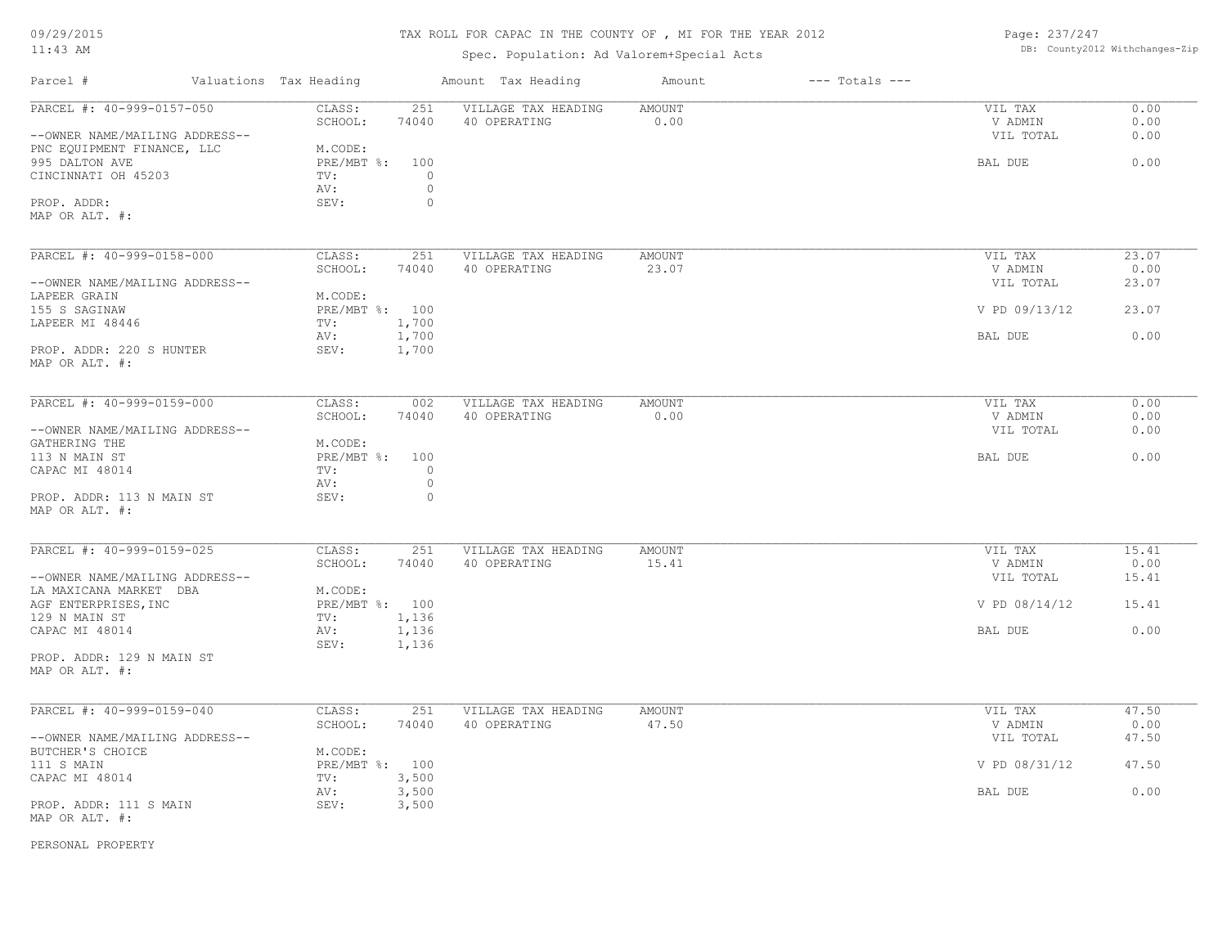# TAX ROLL FOR CAPAC IN THE COUNTY OF , MI FOR THE YEAR 2012

Spec. Population: Ad Valorem+Special Acts

Page: 237/247 DB: County2012 Withchanges-Zip

| Parcel #                                                    | Valuations Tax Heading |                | Amount Tax Heading                  | Amount                | $---$ Totals $---$ |                                 |                      |
|-------------------------------------------------------------|------------------------|----------------|-------------------------------------|-----------------------|--------------------|---------------------------------|----------------------|
| PARCEL #: 40-999-0157-050<br>--OWNER NAME/MAILING ADDRESS-- | CLASS:<br>SCHOOL:      | 251<br>74040   | VILLAGE TAX HEADING<br>40 OPERATING | <b>AMOUNT</b><br>0.00 |                    | VIL TAX<br>V ADMIN<br>VIL TOTAL | 0.00<br>0.00<br>0.00 |
| PNC EQUIPMENT FINANCE, LLC                                  | M.CODE:                |                |                                     |                       |                    |                                 |                      |
| 995 DALTON AVE                                              | $PRE/MBT$ %:           | 100            |                                     |                       |                    | BAL DUE                         | 0.00                 |
| CINCINNATI OH 45203                                         | TV:                    | $\circ$        |                                     |                       |                    |                                 |                      |
|                                                             | AV:                    | $\circ$        |                                     |                       |                    |                                 |                      |
| PROP. ADDR:                                                 | SEV:                   | $\circ$        |                                     |                       |                    |                                 |                      |
| MAP OR ALT. #:                                              |                        |                |                                     |                       |                    |                                 |                      |
| PARCEL #: 40-999-0158-000                                   | CLASS:                 | 251            | VILLAGE TAX HEADING                 | <b>AMOUNT</b>         |                    | VIL TAX                         | 23.07                |
|                                                             | SCHOOL:                | 74040          | 40 OPERATING                        | 23.07                 |                    | V ADMIN                         | 0.00                 |
| --OWNER NAME/MAILING ADDRESS--                              |                        |                |                                     |                       |                    | VIL TOTAL                       | 23.07                |
| LAPEER GRAIN                                                | M.CODE:                |                |                                     |                       |                    |                                 |                      |
| 155 S SAGINAW                                               | PRE/MBT %: 100         |                |                                     |                       |                    | V PD 09/13/12                   | 23.07                |
| LAPEER MI 48446                                             | TV:<br>AV:             | 1,700<br>1,700 |                                     |                       |                    | BAL DUE                         | 0.00                 |
| PROP. ADDR: 220 S HUNTER<br>MAP OR ALT. #:                  | SEV:                   | 1,700          |                                     |                       |                    |                                 |                      |
|                                                             |                        |                |                                     |                       |                    |                                 |                      |
| PARCEL #: 40-999-0159-000                                   | CLASS:                 | 002            | VILLAGE TAX HEADING                 | AMOUNT                |                    | VIL TAX                         | 0.00                 |
| --OWNER NAME/MAILING ADDRESS--                              | SCHOOL:                | 74040          | 40 OPERATING                        | 0.00                  |                    | V ADMIN<br>VIL TOTAL            | 0.00<br>0.00         |
| GATHERING THE                                               | M.CODE:                |                |                                     |                       |                    |                                 |                      |
| 113 N MAIN ST                                               | PRE/MBT %: 100         |                |                                     |                       |                    | BAL DUE                         | 0.00                 |
| CAPAC MI 48014                                              | TV:                    | $\circ$        |                                     |                       |                    |                                 |                      |
|                                                             | AV:                    | $\circ$        |                                     |                       |                    |                                 |                      |
| PROP. ADDR: 113 N MAIN ST<br>MAP OR ALT. #:                 | SEV:                   | $\circ$        |                                     |                       |                    |                                 |                      |
| PARCEL #: 40-999-0159-025                                   | CLASS:                 | 251            | VILLAGE TAX HEADING                 | <b>AMOUNT</b>         |                    | VIL TAX                         | 15.41                |
|                                                             | SCHOOL:                | 74040          | 40 OPERATING                        | 15.41                 |                    | V ADMIN                         | 0.00                 |
| --OWNER NAME/MAILING ADDRESS--                              |                        |                |                                     |                       |                    | VIL TOTAL                       | 15.41                |
| LA MAXICANA MARKET DBA                                      | M.CODE:                |                |                                     |                       |                    |                                 |                      |
| AGF ENTERPRISES, INC                                        | PRE/MBT %: 100         |                |                                     |                       |                    | V PD $08/14/12$                 | 15.41                |
| 129 N MAIN ST                                               | TV:                    | 1,136          |                                     |                       |                    |                                 |                      |
| CAPAC MI 48014                                              | AV:                    | 1,136          |                                     |                       |                    | BAL DUE                         | 0.00                 |
| PROP. ADDR: 129 N MAIN ST                                   | SEV:                   | 1,136          |                                     |                       |                    |                                 |                      |
| MAP OR ALT. #:                                              |                        |                |                                     |                       |                    |                                 |                      |
| PARCEL #: 40-999-0159-040                                   | CLASS:                 | 251            | VILLAGE TAX HEADING                 | <b>AMOUNT</b>         |                    | VIL TAX                         | 47.50                |
|                                                             | SCHOOL:                | 74040          | 40 OPERATING                        | 47.50                 |                    | V ADMIN                         | 0.00                 |
| --OWNER NAME/MAILING ADDRESS--                              |                        |                |                                     |                       |                    | VIL TOTAL                       | 47.50                |
| BUTCHER'S CHOICE                                            | M.CODE:                |                |                                     |                       |                    |                                 |                      |
| 111 S MAIN                                                  | PRE/MBT %: 100         |                |                                     |                       |                    | V PD 08/31/12                   | 47.50                |
| CAPAC MI 48014                                              | TV:                    | 3,500          |                                     |                       |                    |                                 |                      |
|                                                             | AV:                    | 3,500          |                                     |                       |                    | BAL DUE                         | 0.00                 |
| PROP. ADDR: 111 S MAIN<br>MAP OR ALT. #:                    | SEV:                   | 3,500          |                                     |                       |                    |                                 |                      |
|                                                             |                        |                |                                     |                       |                    |                                 |                      |

PERSONAL PROPERTY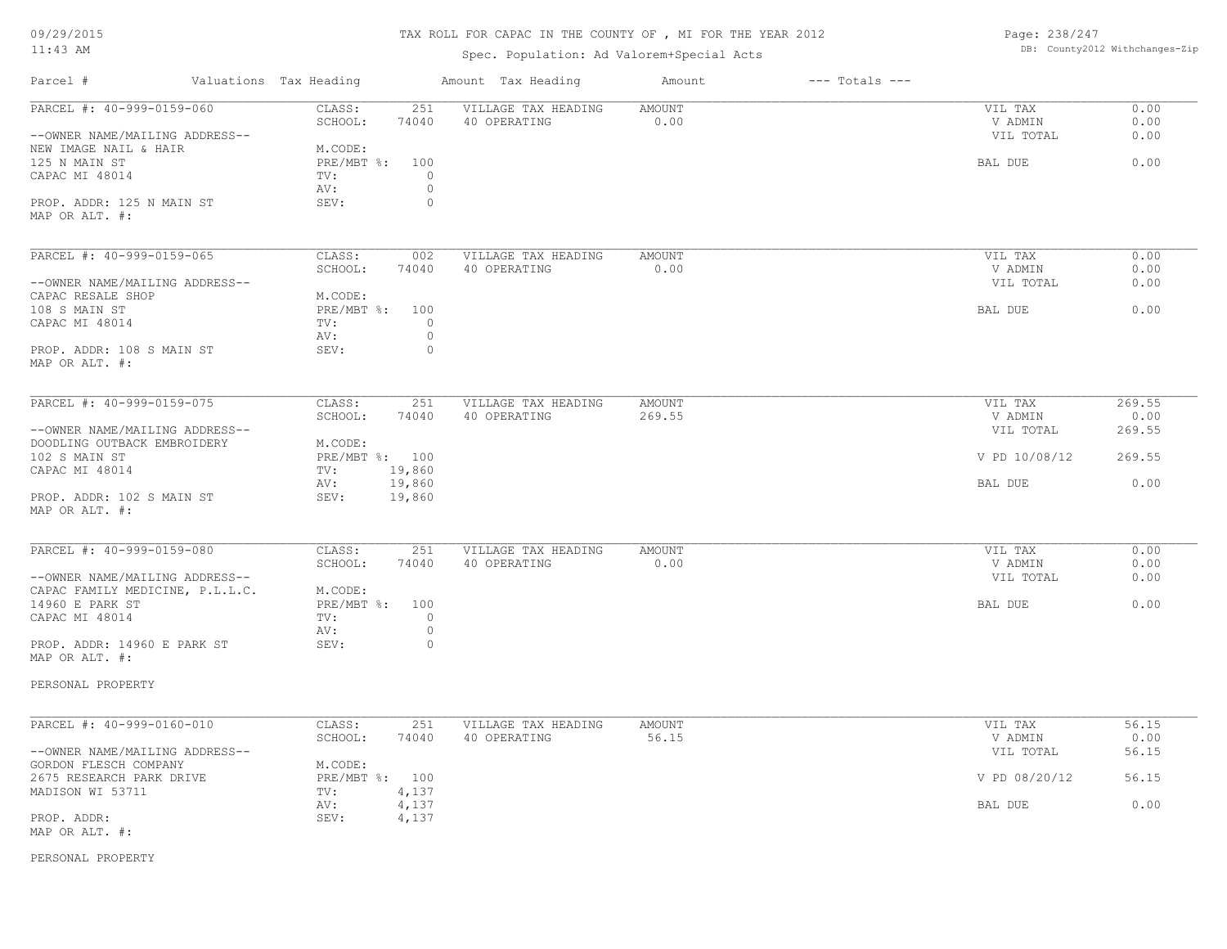#### TAX ROLL FOR CAPAC IN THE COUNTY OF , MI FOR THE YEAR 2012

Spec. Population: Ad Valorem+Special Acts

Page: 238/247 DB: County2012 Withchanges-Zip

| Parcel #                                                                                                                | Valuations Tax Heading                                                   | Amount Tax Heading                             | Amount           | $---$ Totals $---$ |                                            |                              |
|-------------------------------------------------------------------------------------------------------------------------|--------------------------------------------------------------------------|------------------------------------------------|------------------|--------------------|--------------------------------------------|------------------------------|
| PARCEL #: 40-999-0159-060<br>--OWNER NAME/MAILING ADDRESS--<br>NEW IMAGE NAIL & HAIR<br>125 N MAIN ST<br>CAPAC MI 48014 | CLASS:<br>251<br>SCHOOL:<br>74040<br>M.CODE:<br>PRE/MBT %:<br>100<br>TV: | VILLAGE TAX HEADING<br>40 OPERATING<br>$\circ$ | AMOUNT<br>0.00   |                    | VIL TAX<br>V ADMIN<br>VIL TOTAL<br>BAL DUE | 0.00<br>0.00<br>0.00<br>0.00 |
| PROP. ADDR: 125 N MAIN ST<br>MAP OR ALT. #:                                                                             | AV:<br>SEV:                                                              | $\circ$<br>$\circ$                             |                  |                    |                                            |                              |
| PARCEL #: 40-999-0159-065                                                                                               | CLASS:<br>002<br>SCHOOL:<br>74040                                        | VILLAGE TAX HEADING<br>40 OPERATING            | AMOUNT<br>0.00   |                    | VIL TAX<br>V ADMIN                         | 0.00<br>0.00                 |
| --OWNER NAME/MAILING ADDRESS--<br>CAPAC RESALE SHOP<br>108 S MAIN ST<br>CAPAC MI 48014                                  | M.CODE:<br>PRE/MBT %: 100<br>TV:                                         | $\circ$                                        |                  |                    | VIL TOTAL<br>BAL DUE                       | 0.00<br>0.00                 |
| PROP. ADDR: 108 S MAIN ST<br>MAP OR ALT. #:                                                                             | AV:<br>SEV:                                                              | $\circ$<br>$\circ$                             |                  |                    |                                            |                              |
| PARCEL #: 40-999-0159-075                                                                                               | CLASS:<br>251<br>SCHOOL:<br>74040                                        | VILLAGE TAX HEADING<br>40 OPERATING            | AMOUNT<br>269.55 |                    | VIL TAX<br>V ADMIN                         | 269.55<br>0.00               |
| --OWNER NAME/MAILING ADDRESS--<br>DOODLING OUTBACK EMBROIDERY                                                           | M.CODE:                                                                  |                                                |                  |                    | VIL TOTAL                                  | 269.55                       |
| 102 S MAIN ST<br>CAPAC MI 48014                                                                                         | PRE/MBT %: 100<br>19,860<br>TV:                                          |                                                |                  |                    | V PD 10/08/12                              | 269.55                       |
| PROP. ADDR: 102 S MAIN ST<br>MAP OR ALT. #:                                                                             | 19,860<br>AV:<br>19,860<br>SEV:                                          |                                                |                  |                    | BAL DUE                                    | 0.00                         |
| PARCEL #: 40-999-0159-080                                                                                               | CLASS:<br>251<br>SCHOOL:<br>74040                                        | VILLAGE TAX HEADING<br>40 OPERATING            | AMOUNT<br>0.00   |                    | VIL TAX<br>V ADMIN                         | 0.00<br>0.00                 |
| --OWNER NAME/MAILING ADDRESS--<br>CAPAC FAMILY MEDICINE, P.L.L.C.                                                       | M.CODE:                                                                  |                                                |                  |                    | VIL TOTAL                                  | 0.00                         |
| 14960 E PARK ST<br>CAPAC MI 48014                                                                                       | PRE/MBT %: 100<br>TV:<br>AV:                                             | $\circ$<br>$\circ$                             |                  |                    | BAL DUE                                    | 0.00                         |
| PROP. ADDR: 14960 E PARK ST<br>MAP OR ALT. #:                                                                           | SEV:                                                                     | $\circ$                                        |                  |                    |                                            |                              |
| PERSONAL PROPERTY                                                                                                       |                                                                          |                                                |                  |                    |                                            |                              |
| PARCEL #: 40-999-0160-010                                                                                               | CLASS:<br>251<br>SCHOOL:<br>74040                                        | VILLAGE TAX HEADING<br>40 OPERATING            | AMOUNT<br>56.15  |                    | VIL TAX<br>V ADMIN                         | 56.15<br>0.00                |
| --OWNER NAME/MAILING ADDRESS--<br>GORDON FLESCH COMPANY                                                                 | M.CODE:                                                                  |                                                |                  |                    | VIL TOTAL                                  | 56.15                        |
| 2675 RESEARCH PARK DRIVE<br>MADISON WI 53711                                                                            | PRE/MBT %: 100<br>4,137<br>TV:                                           |                                                |                  |                    | V PD 08/20/12                              | 56.15                        |
| PROP. ADDR:<br>MAP OR ALT. #:                                                                                           | 4,137<br>AV:<br>SEV:<br>4,137                                            |                                                |                  |                    | BAL DUE                                    | 0.00                         |
| PERSONAL PROPERTY                                                                                                       |                                                                          |                                                |                  |                    |                                            |                              |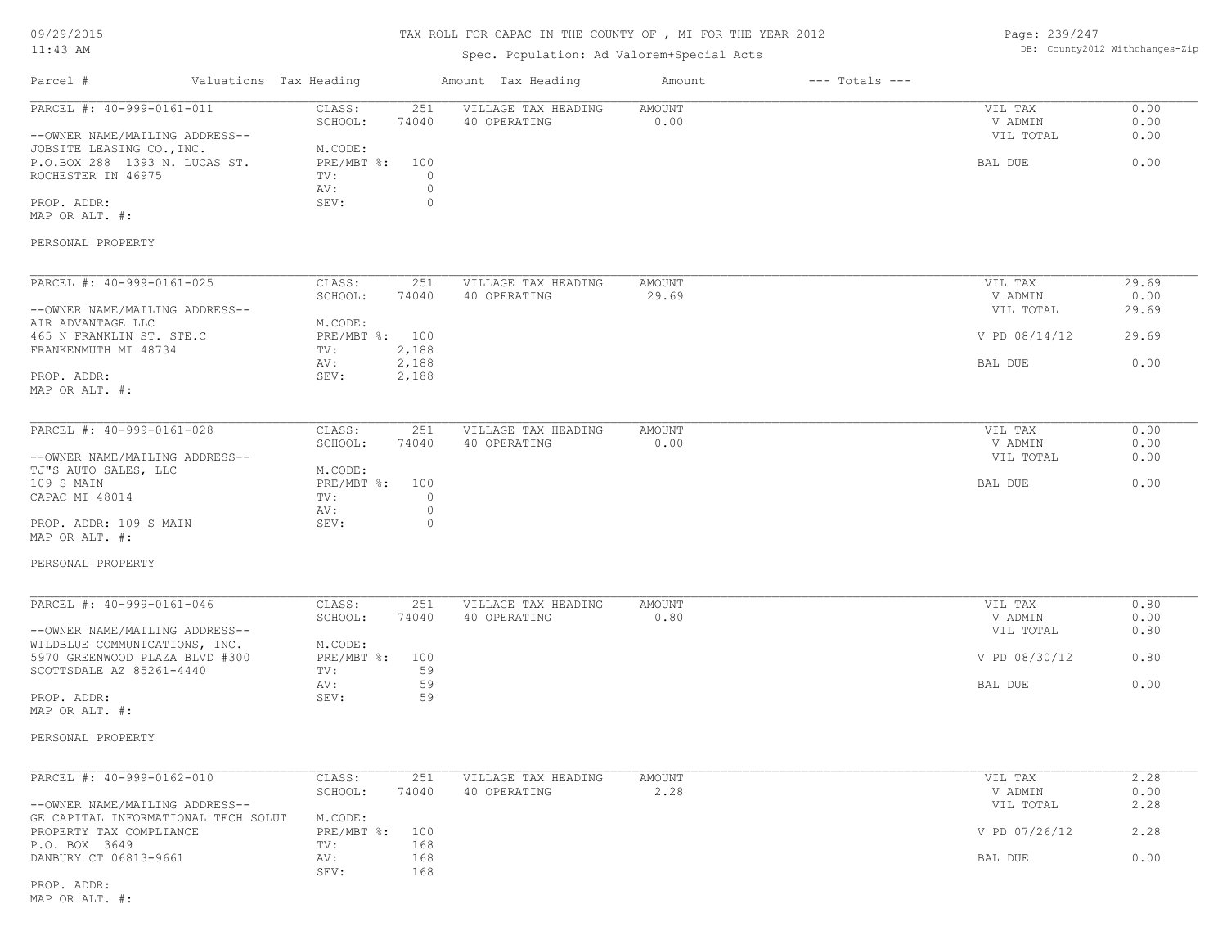| 09/29/2015 |  |
|------------|--|
|------------|--|

#### 11:43 AM

#### TAX ROLL FOR CAPAC IN THE COUNTY OF , MI FOR THE YEAR 2012

# Spec. Population: Ad Valorem+Special Acts

Page: 239/247 DB: County2012 Withchanges-Zip

|                                                                 |                        |                           |                    | ppos. reparation. na .arefem.bpccraf.noc |                |                    |                      |               |
|-----------------------------------------------------------------|------------------------|---------------------------|--------------------|------------------------------------------|----------------|--------------------|----------------------|---------------|
| Parcel #                                                        | Valuations Tax Heading |                           |                    | Amount Tax Heading                       | Amount         | $---$ Totals $---$ |                      |               |
| PARCEL #: 40-999-0161-011                                       |                        | CLASS:<br>SCHOOL:         | 251<br>74040       | VILLAGE TAX HEADING<br>40 OPERATING      | AMOUNT<br>0.00 |                    | VIL TAX<br>V ADMIN   | 0.00<br>0.00  |
| --OWNER NAME/MAILING ADDRESS--<br>JOBSITE LEASING CO., INC.     |                        | M.CODE:                   |                    |                                          |                |                    | VIL TOTAL            | 0.00          |
| P.O.BOX 288 1393 N. LUCAS ST.<br>ROCHESTER IN 46975             |                        | $PRE/MBT$ %:<br>TV:       | 100<br>$\circ$     |                                          |                |                    | BAL DUE              | 0.00          |
| PROP. ADDR:                                                     |                        | AV:<br>SEV:               | $\circ$<br>$\circ$ |                                          |                |                    |                      |               |
| MAP OR ALT. #:                                                  |                        |                           |                    |                                          |                |                    |                      |               |
| PERSONAL PROPERTY                                               |                        |                           |                    |                                          |                |                    |                      |               |
| PARCEL #: 40-999-0161-025                                       |                        | CLASS:                    | 251                | VILLAGE TAX HEADING                      | AMOUNT         |                    | VIL TAX              | 29.69         |
| --OWNER NAME/MAILING ADDRESS--                                  |                        | SCHOOL:                   | 74040              | 40 OPERATING                             | 29.69          |                    | V ADMIN<br>VIL TOTAL | 0.00<br>29.69 |
| AIR ADVANTAGE LLC<br>465 N FRANKLIN ST. STE.C                   |                        | M.CODE:<br>PRE/MBT %: 100 |                    |                                          |                |                    | V PD 08/14/12        | 29.69         |
| FRANKENMUTH MI 48734                                            |                        | TV:<br>AV:                | 2,188<br>2,188     |                                          |                |                    | BAL DUE              | 0.00          |
| PROP. ADDR:<br>MAP OR ALT. #:                                   |                        | SEV:                      | 2,188              |                                          |                |                    |                      |               |
|                                                                 |                        |                           |                    |                                          |                |                    |                      |               |
| PARCEL #: 40-999-0161-028                                       |                        | CLASS:<br>SCHOOL:         | 251<br>74040       | VILLAGE TAX HEADING<br>40 OPERATING      | AMOUNT<br>0.00 |                    | VIL TAX<br>V ADMIN   | 0.00<br>0.00  |
| --OWNER NAME/MAILING ADDRESS--                                  |                        |                           |                    |                                          |                |                    | VIL TOTAL            | 0.00          |
| TJ"S AUTO SALES, LLC                                            |                        | M.CODE:                   |                    |                                          |                |                    |                      |               |
| 109 S MAIN<br>CAPAC MI 48014                                    |                        | PRE/MBT %: 100<br>TV:     | $\circ$            |                                          |                |                    | BAL DUE              | 0.00          |
|                                                                 |                        | AV:                       | $\circ$            |                                          |                |                    |                      |               |
| PROP. ADDR: 109 S MAIN<br>MAP OR ALT. #:                        |                        | SEV:                      | $\circ$            |                                          |                |                    |                      |               |
| PERSONAL PROPERTY                                               |                        |                           |                    |                                          |                |                    |                      |               |
| PARCEL #: 40-999-0161-046                                       |                        | CLASS:                    | 251                | VILLAGE TAX HEADING                      | AMOUNT         |                    | VIL TAX              | 0.80          |
|                                                                 |                        | SCHOOL:                   | 74040              | 40 OPERATING                             | 0.80           |                    | V ADMIN              | 0.00          |
| --OWNER NAME/MAILING ADDRESS--<br>WILDBLUE COMMUNICATIONS, INC. |                        | M.CODE:                   |                    |                                          |                |                    | VIL TOTAL            | 0.80          |
| 5970 GREENWOOD PLAZA BLVD #300<br>SCOTTSDALE AZ 85261-4440      |                        | $PRE/MBT$ %:<br>TV:       | 100<br>59          |                                          |                |                    | V PD 08/30/12        | 0.80          |
|                                                                 |                        | AV:                       | 59                 |                                          |                |                    | BAL DUE              | 0.00          |
| PROP. ADDR:<br>MAP OR ALT. #:                                   |                        | SEV:                      | 59                 |                                          |                |                    |                      |               |
| PERSONAL PROPERTY                                               |                        |                           |                    |                                          |                |                    |                      |               |
|                                                                 |                        |                           |                    |                                          |                |                    |                      |               |
| PARCEL #: 40-999-0162-010                                       |                        | CLASS:                    | 251                | VILLAGE TAX HEADING                      | AMOUNT         |                    | VIL TAX              | 2.28          |
| --OWNER NAME/MAILING ADDRESS--                                  |                        | SCHOOL:                   | 74040              | 40 OPERATING                             | 2.28           |                    | V ADMIN<br>VIL TOTAL | 0.00<br>2.28  |
| GE CAPITAL INFORMATIONAL TECH SOLUT                             |                        | M.CODE:                   |                    |                                          |                |                    |                      |               |
| PROPERTY TAX COMPLIANCE<br>P.O. BOX 3649                        |                        | $PRE/MBT$ $\div$ :<br>TV: | 100<br>168         |                                          |                |                    | V PD 07/26/12        | 2.28          |
| DANBURY CT 06813-9661                                           |                        | AV:<br>SEV:               | 168<br>168         |                                          |                |                    | BAL DUE              | 0.00          |
| PROP. ADDR:                                                     |                        |                           |                    |                                          |                |                    |                      |               |

MAP OR ALT. #: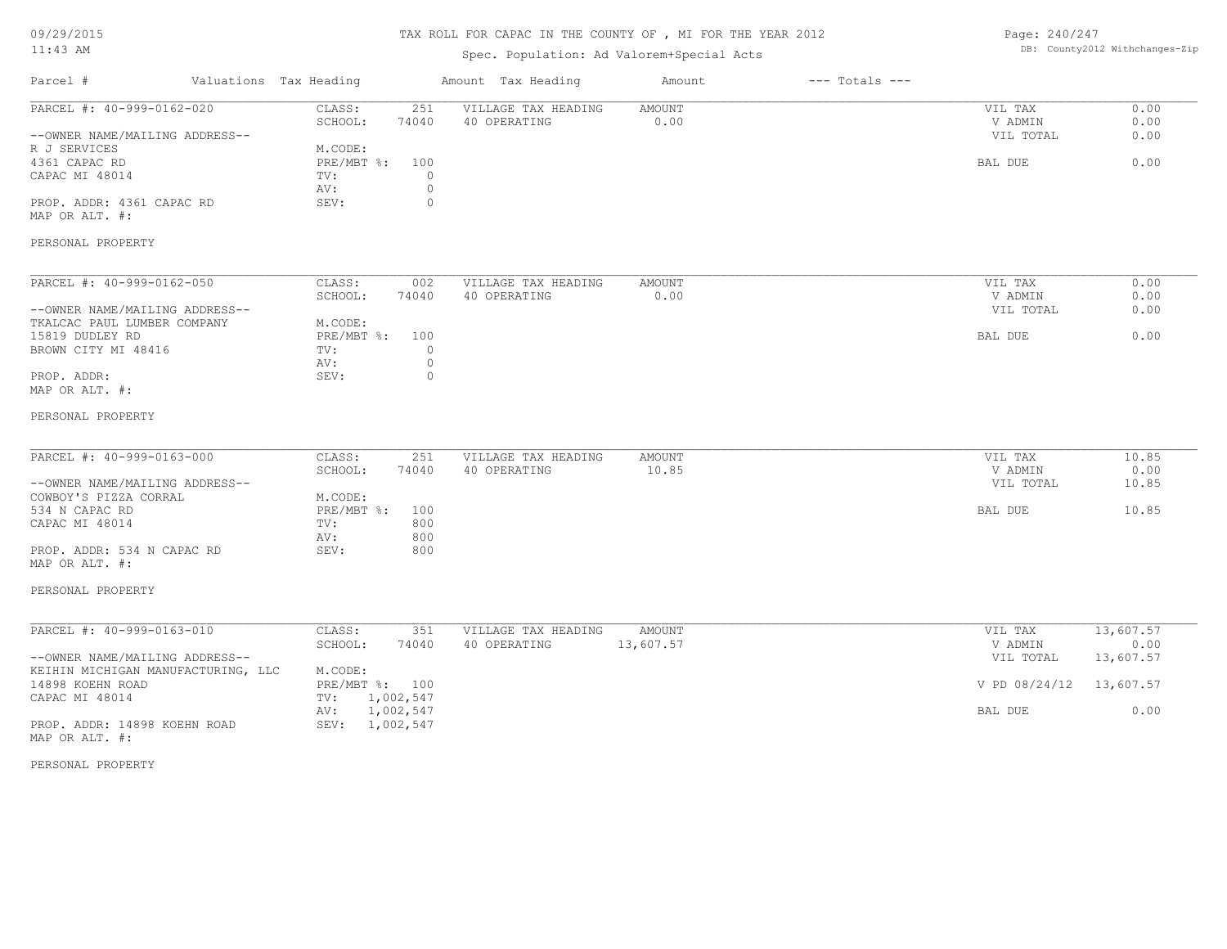09/29/2015

#### 11:43 AM

#### TAX ROLL FOR CAPAC IN THE COUNTY OF , MI FOR THE YEAR 2012

Page: 240/247 DB: County2012 Withchanges-Zip

| TT:40 MM                                                             |                                                                      | Spec. Population: Ad Valorem+Special Acts |                              |                                 | DD. COUNCYZUIZ WICHCHANGES ZIP |
|----------------------------------------------------------------------|----------------------------------------------------------------------|-------------------------------------------|------------------------------|---------------------------------|--------------------------------|
| Parcel #                                                             | Valuations Tax Heading                                               | Amount Tax Heading                        | $---$ Totals $---$<br>Amount |                                 |                                |
| PARCEL #: 40-999-0162-020<br>--OWNER NAME/MAILING ADDRESS--          | CLASS:<br>251<br>SCHOOL:<br>74040                                    | VILLAGE TAX HEADING<br>40 OPERATING       | AMOUNT<br>0.00               | VIL TAX<br>V ADMIN<br>VIL TOTAL | 0.00<br>0.00<br>0.00           |
| R J SERVICES<br>4361 CAPAC RD<br>CAPAC MI 48014                      | M.CODE:<br>PRE/MBT %:<br>100<br>$\circ$<br>TV:<br>$\mathbb O$<br>AV: |                                           |                              | BAL DUE                         | 0.00                           |
| PROP. ADDR: 4361 CAPAC RD<br>MAP OR ALT. #:                          | SEV:<br>$\circ$                                                      |                                           |                              |                                 |                                |
| PERSONAL PROPERTY                                                    |                                                                      |                                           |                              |                                 |                                |
| PARCEL #: 40-999-0162-050                                            | CLASS:<br>002<br>SCHOOL:<br>74040                                    | VILLAGE TAX HEADING<br>40 OPERATING       | <b>AMOUNT</b><br>0.00        | VIL TAX<br>V ADMIN              | 0.00<br>0.00                   |
| --OWNER NAME/MAILING ADDRESS--<br>TKALCAC PAUL LUMBER COMPANY        | M.CODE:                                                              |                                           |                              | VIL TOTAL                       | 0.00                           |
| 15819 DUDLEY RD<br>BROWN CITY MI 48416                               | PRE/MBT %: 100<br>$\circ$<br>TV:<br>$\mathbb O$                      |                                           |                              | BAL DUE                         | 0.00                           |
| PROP. ADDR:<br>MAP OR ALT. #:                                        | AV:<br>SEV:<br>$\circ$                                               |                                           |                              |                                 |                                |
| PERSONAL PROPERTY                                                    |                                                                      |                                           |                              |                                 |                                |
| PARCEL #: 40-999-0163-000                                            | CLASS:<br>251                                                        | VILLAGE TAX HEADING                       | AMOUNT                       | VIL TAX                         | 10.85                          |
| --OWNER NAME/MAILING ADDRESS--                                       | SCHOOL:<br>74040                                                     | 40 OPERATING                              | 10.85                        | V ADMIN<br>VIL TOTAL            | 0.00<br>10.85                  |
| COWBOY'S PIZZA CORRAL<br>534 N CAPAC RD<br>CAPAC MI 48014            | M.CODE:<br>PRE/MBT %:<br>100<br>TV:<br>800                           |                                           |                              | BAL DUE                         | 10.85                          |
| PROP. ADDR: 534 N CAPAC RD<br>MAP OR ALT. #:                         | 800<br>AV:<br>800<br>SEV:                                            |                                           |                              |                                 |                                |
| PERSONAL PROPERTY                                                    |                                                                      |                                           |                              |                                 |                                |
| PARCEL #: 40-999-0163-010                                            | CLASS:<br>351<br>SCHOOL:<br>74040                                    | VILLAGE TAX HEADING<br>40 OPERATING       | <b>AMOUNT</b><br>13,607.57   | VIL TAX<br>V ADMIN              | 13,607.57<br>0.00              |
| --OWNER NAME/MAILING ADDRESS--<br>KEIHIN MICHIGAN MANUFACTURING, LLC | M.CODE:                                                              |                                           |                              | VIL TOTAL                       | 13,607.57                      |
| 14898 KOEHN ROAD<br>CAPAC MI 48014                                   | PRE/MBT %: 100<br>TV: 1,002,547                                      |                                           |                              | V PD 08/24/12                   | 13,607.57                      |
| PROP. ADDR: 14898 KOEHN ROAD                                         | 1,002,547<br>AV:<br>SEV: 1,002,547                                   |                                           |                              | BAL DUE                         | 0.00                           |
| MAP OR ALT. #:                                                       |                                                                      |                                           |                              |                                 |                                |
| PERSONAL PROPERTY                                                    |                                                                      |                                           |                              |                                 |                                |
|                                                                      |                                                                      |                                           |                              |                                 |                                |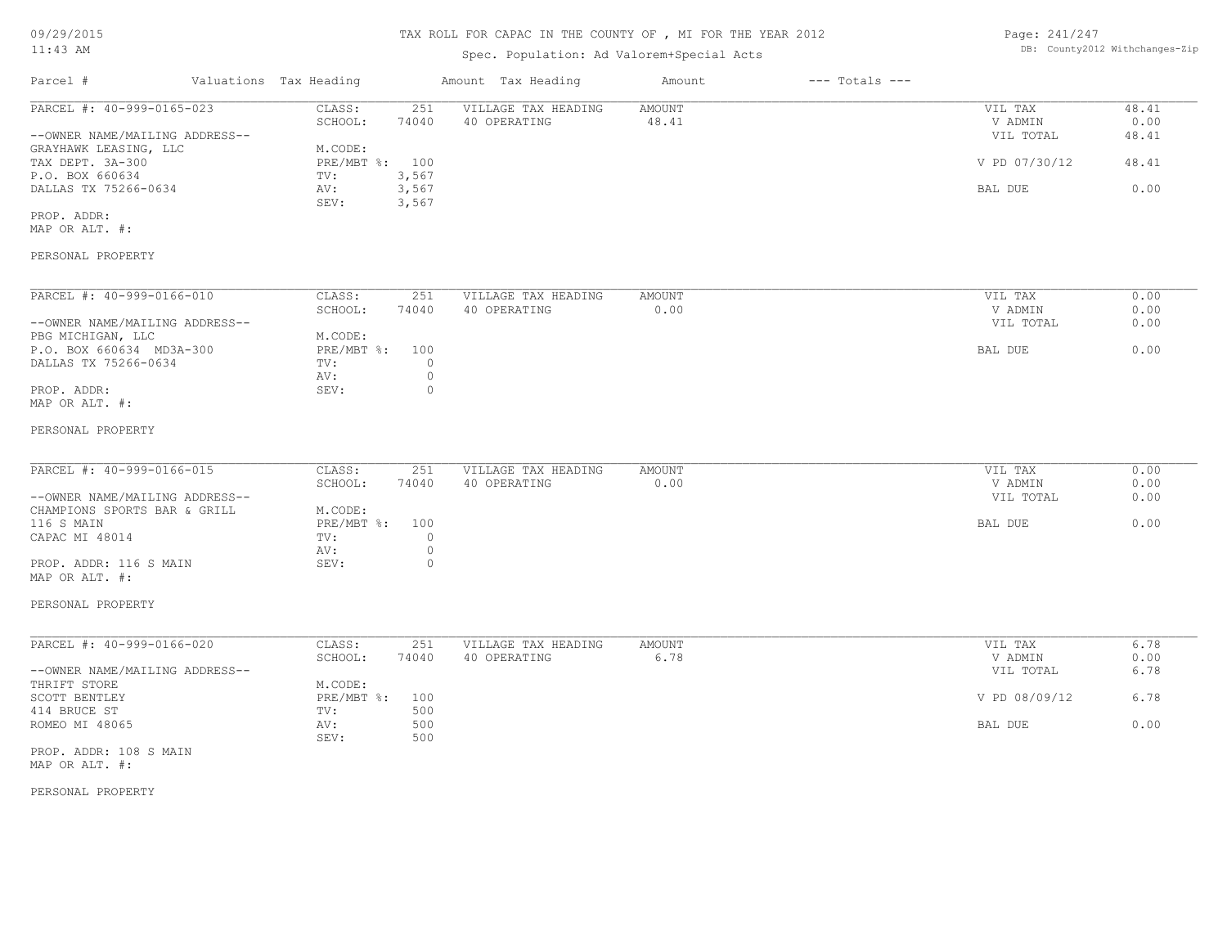### Spec. Population: Ad Valorem+Special Acts

Page: 241/247 DB: County2012 Withchanges-Zip

| Parcel #                       | Valuations Tax Heading    |       | Amount Tax Heading  | Amount | $---$ Totals $---$ |               |       |
|--------------------------------|---------------------------|-------|---------------------|--------|--------------------|---------------|-------|
| PARCEL #: 40-999-0165-023      | CLASS:                    | 251   | VILLAGE TAX HEADING | AMOUNT |                    | VIL TAX       | 48.41 |
|                                | SCHOOL:                   | 74040 | 40 OPERATING        | 48.41  |                    | V ADMIN       | 0.00  |
| --OWNER NAME/MAILING ADDRESS-- |                           |       |                     |        |                    | VIL TOTAL     | 48.41 |
| GRAYHAWK LEASING, LLC          | M.CODE:                   |       |                     |        |                    |               |       |
| TAX DEPT. 3A-300               | $PRE/MBT$ $\frac{6}{3}$ : | 100   |                     |        |                    | V PD 07/30/12 | 48.41 |
| P.O. BOX 660634                | TV:                       | 3,567 |                     |        |                    |               |       |
| DALLAS TX 75266-0634           | AV:                       | 3,567 |                     |        |                    | BAL DUE       | 0.00  |
|                                | SEV:                      | 3,567 |                     |        |                    |               |       |
| PROP. ADDR:                    |                           |       |                     |        |                    |               |       |
| MAP OR ALT. #:                 |                           |       |                     |        |                    |               |       |
| PERSONAL PROPERTY              |                           |       |                     |        |                    |               |       |
|                                |                           |       |                     |        |                    |               |       |
| PARCEL #: 40-999-0166-010      | CLASS:                    | 251   | VILLAGE TAX HEADING | AMOUNT |                    | VIL TAX       | 0.00  |
|                                | SCHOOL:                   | 74040 | 40 OPERATING        | 0.00   |                    | V ADMIN       | 0.00  |
| --OWNER NAME/MAILING ADDRESS-- |                           |       |                     |        |                    | VIL TOTAL     | 0.00  |
| PBG MICHIGAN, LLC              | M.CODE:                   |       |                     |        |                    |               |       |
| P.O. BOX 660634 MD3A-300       | $PRE/MBT$ %:              | 100   |                     |        |                    | BAL DUE       | 0.00  |

MAP OR ALT. #: PROP. ADDR: 0

#### PERSONAL PROPERTY

DALLAS TX 75266-0634

AV: 0

| PARCEL #: 40-999-0166-015      | CLASS:         | 251   | VILLAGE TAX HEADING | AMOUNT | VIL TAX   | 0.00 |
|--------------------------------|----------------|-------|---------------------|--------|-----------|------|
|                                | SCHOOL:        | 74040 | 40 OPERATING        | 0.00   | V ADMIN   | 0.00 |
| --OWNER NAME/MAILING ADDRESS-- |                |       |                     |        | VIL TOTAL | 0.00 |
| CHAMPIONS SPORTS BAR & GRILL   | M.CODE:        |       |                     |        |           |      |
| 116 S MAIN                     | PRE/MBT %: 100 |       |                     |        | BAL DUE   | 0.00 |
| CAPAC MI 48014                 | TV:            |       |                     |        |           |      |
|                                | AV:            |       |                     |        |           |      |
| PROP. ADDR: 116 S MAIN         | SEV:           |       |                     |        |           |      |
|                                |                |       |                     |        |           |      |

MAP OR ALT. #:

#### PERSONAL PROPERTY

| PARCEL #: 40-999-0166-020      | CLASS:         | 251   | VILLAGE TAX HEADING | AMOUNT | VIL TAX       | 6.78 |
|--------------------------------|----------------|-------|---------------------|--------|---------------|------|
|                                | SCHOOL:        | 74040 | 40 OPERATING        | 6.78   | V ADMIN       | 0.00 |
| --OWNER NAME/MAILING ADDRESS-- |                |       |                     |        | VIL TOTAL     | 6.78 |
| THRIFT STORE                   | M.CODE:        |       |                     |        |               |      |
| SCOTT BENTLEY                  | PRE/MBT %: 100 |       |                     |        | V PD 08/09/12 | 6.78 |
| 414 BRUCE ST                   | TV:            | 500   |                     |        |               |      |
| ROMEO MI 48065                 | AV:            | 500   |                     |        | BAL DUE       | 0.00 |
|                                | SEV:           | 500   |                     |        |               |      |
|                                |                |       |                     |        |               |      |

MAP OR ALT. #: PROP. ADDR: 108 S MAIN

PERSONAL PROPERTY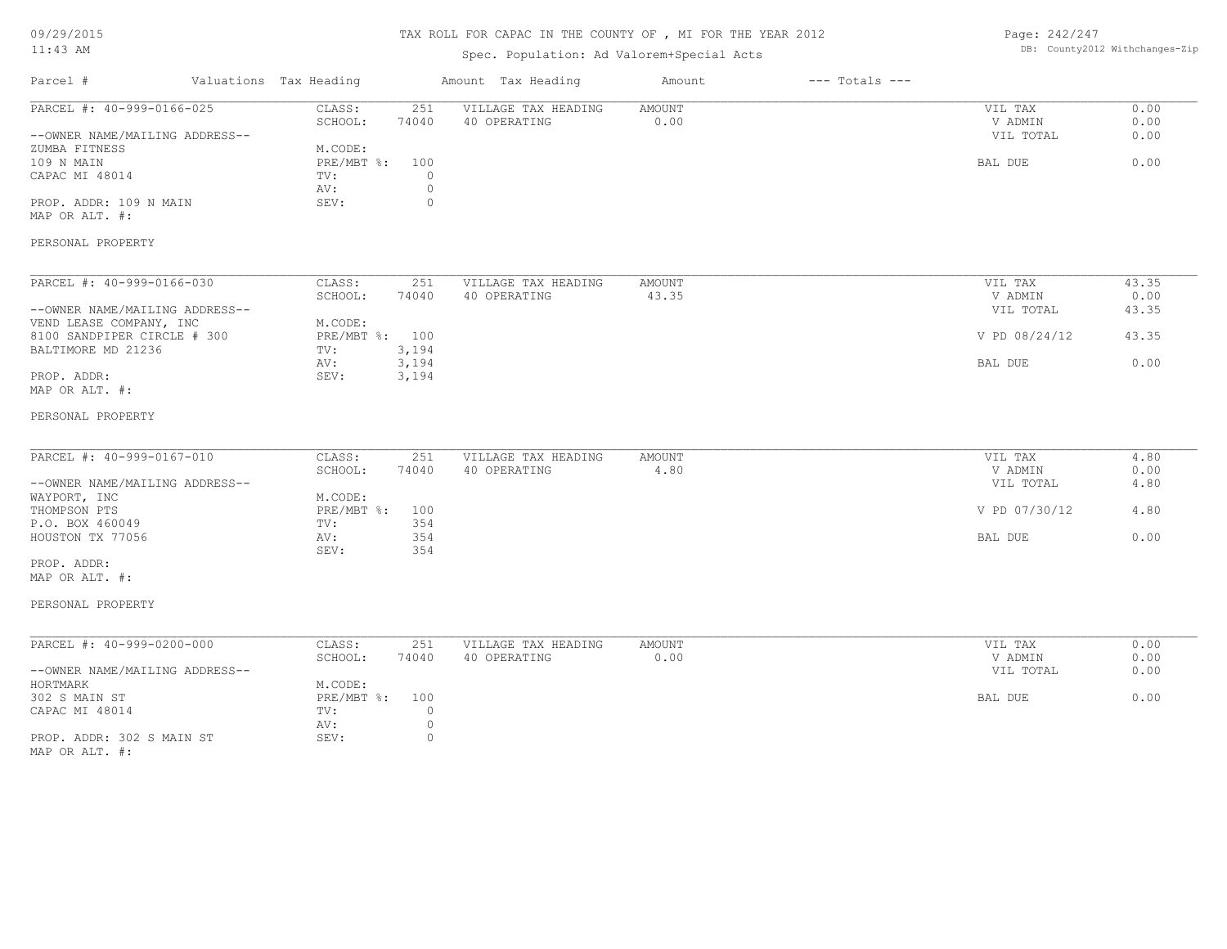09/29/2015

#### TAX ROLL FOR CAPAC IN THE COUNTY OF , MI FOR THE YEAR 2012

Page: 242/247

| $11:43$ AM                                                  |                        |                                               | Spec. Population: Ad Valorem+Special Acts |                       |                    |                                 | DB: County2012 Withchanges-Zip |
|-------------------------------------------------------------|------------------------|-----------------------------------------------|-------------------------------------------|-----------------------|--------------------|---------------------------------|--------------------------------|
| Parcel #                                                    | Valuations Tax Heading |                                               | Amount Tax Heading                        | Amount                | $---$ Totals $---$ |                                 |                                |
| PARCEL #: 40-999-0166-025<br>--OWNER NAME/MAILING ADDRESS-- |                        | CLASS:<br>251<br>SCHOOL:<br>74040             | VILLAGE TAX HEADING<br>40 OPERATING       | AMOUNT<br>0.00        |                    | VIL TAX<br>V ADMIN<br>VIL TOTAL | 0.00<br>0.00<br>0.00           |
| ZUMBA FITNESS<br>109 N MAIN<br>CAPAC MI 48014               |                        | M.CODE:<br>$PRE/MBT$ %:<br>100<br>TV:<br>AV:  | $\circ$<br>$\circledcirc$                 |                       |                    | BAL DUE                         | 0.00                           |
| PROP. ADDR: 109 N MAIN<br>MAP OR ALT. #:                    |                        | SEV:                                          | $\mathbb O$                               |                       |                    |                                 |                                |
| PERSONAL PROPERTY                                           |                        |                                               |                                           |                       |                    |                                 |                                |
| PARCEL #: 40-999-0166-030<br>--OWNER NAME/MAILING ADDRESS-- |                        | CLASS:<br>251<br>SCHOOL:<br>74040             | VILLAGE TAX HEADING<br>40 OPERATING       | AMOUNT<br>43.35       |                    | VIL TAX<br>V ADMIN<br>VIL TOTAL | 43.35<br>0.00<br>43.35         |
| VEND LEASE COMPANY, INC<br>8100 SANDPIPER CIRCLE # 300      |                        | M.CODE:<br>PRE/MBT %: 100                     |                                           |                       |                    | V PD 08/24/12                   | 43.35                          |
| BALTIMORE MD 21236<br>PROP. ADDR:                           |                        | 3,194<br>TV:<br>3,194<br>AV:<br>SEV:<br>3,194 |                                           |                       |                    | BAL DUE                         | 0.00                           |
| MAP OR ALT. #:<br>PERSONAL PROPERTY                         |                        |                                               |                                           |                       |                    |                                 |                                |
| PARCEL #: 40-999-0167-010                                   |                        | CLASS:<br>251                                 | VILLAGE TAX HEADING                       | AMOUNT                |                    | VIL TAX                         | 4.80                           |
| --OWNER NAME/MAILING ADDRESS--                              |                        | SCHOOL:<br>74040                              | 40 OPERATING                              | 4.80                  |                    | V ADMIN<br>VIL TOTAL            | 0.00<br>4.80                   |
| WAYPORT, INC<br>THOMPSON PTS<br>P.O. BOX 460049             |                        | M.CODE:<br>PRE/MBT %: 100<br>354<br>TV:       |                                           |                       |                    | V PD 07/30/12                   | 4.80                           |
| HOUSTON TX 77056                                            |                        | 354<br>AV:<br>354<br>SEV:                     |                                           |                       |                    | BAL DUE                         | 0.00                           |
| PROP. ADDR:<br>MAP OR ALT. #:                               |                        |                                               |                                           |                       |                    |                                 |                                |
| PERSONAL PROPERTY                                           |                        |                                               |                                           |                       |                    |                                 |                                |
| PARCEL #: 40-999-0200-000                                   |                        | CLASS:<br>251<br>SCHOOL:<br>74040             | VILLAGE TAX HEADING<br>40 OPERATING       | <b>AMOUNT</b><br>0.00 |                    | VIL TAX<br>V ADMIN              | 0.00<br>0.00                   |
| --OWNER NAME/MAILING ADDRESS--<br>HORTMARK                  |                        | M.CODE:                                       |                                           |                       |                    | VIL TOTAL                       | 0.00                           |
| 302 S MAIN ST<br>CAPAC MI 48014                             |                        | $PRE/MBT$ $\div$<br>100<br>TV:<br>AV:         | $\circ$<br>$\circ$                        |                       |                    | BAL DUE                         | 0.00                           |
| PROP. ADDR: 302 S MAIN ST<br>MAP OR ALT. #:                 |                        | SEV:                                          | $\circ$                                   |                       |                    |                                 |                                |
|                                                             |                        |                                               |                                           |                       |                    |                                 |                                |
|                                                             |                        |                                               |                                           |                       |                    |                                 |                                |
|                                                             |                        |                                               |                                           |                       |                    |                                 |                                |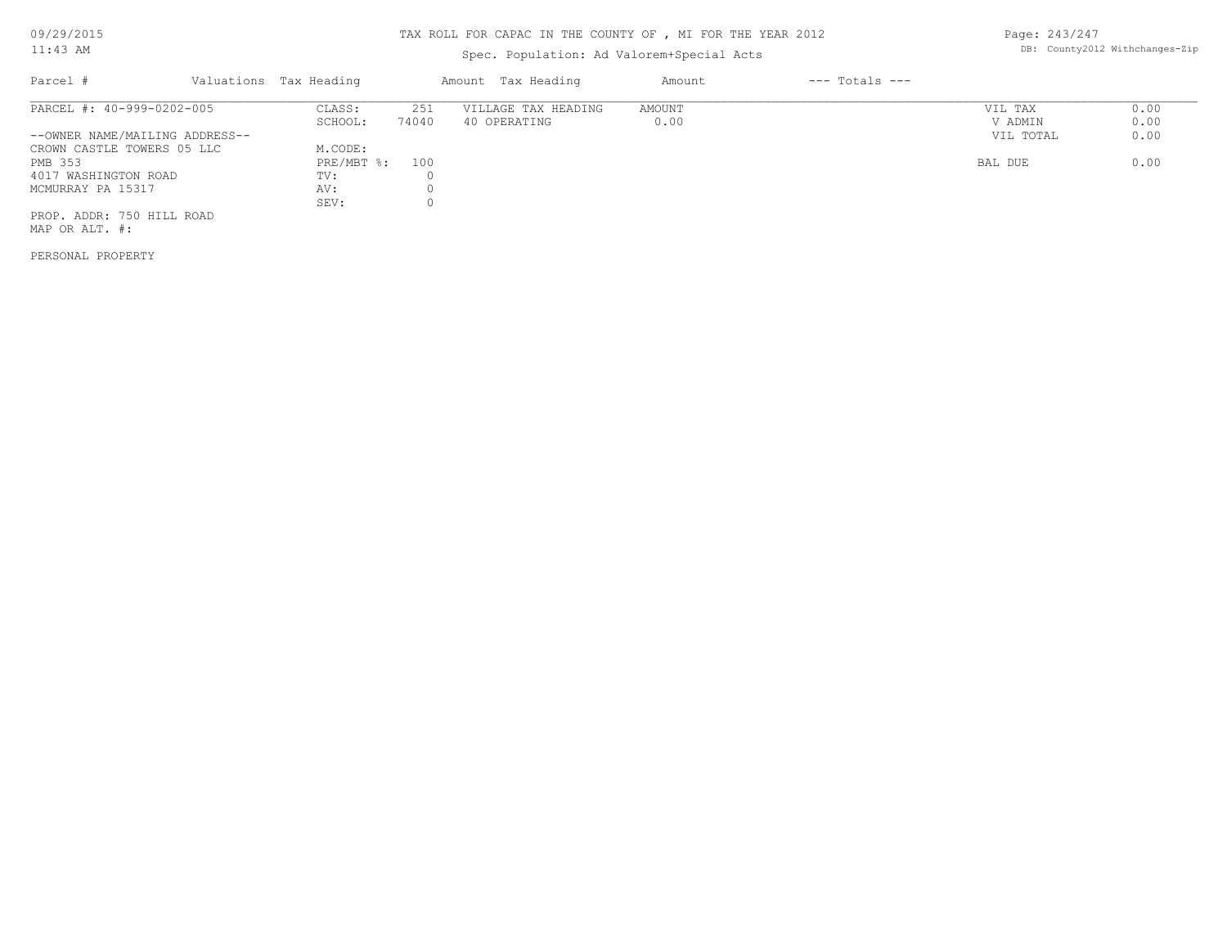#### Spec. Population: Ad Valorem+Special Acts

Parcel # Valuations Tax Heading Amount Tax Heading Amount --- Totals ---MAP OR ALT. #: PROP. ADDR: 750 HILL ROAD SEV: 0 MCMURRAY PA 15317 AV: 0 4017 WASHINGTON ROAD TV: 0 PMB 353 PRE/MBT %: 100 BAL DUE 0.00 CROWN CASTLE TOWERS 05 LLC M.CODE:<br>
PMB 353 PRE/MBT %: 100 --OWNER NAME/MAILING ADDRESS-- VIL TOTAL 0.00 SCHOOL: 74040 40 OPERATING 0.00 V ADMIN 0.00 PARCEL #: 40-999-0202-005 CLASS: 251 VILLAGE TAX HEADING AMOUNT VIL TAX VIL TAX 0.00<br>SCHOOL: 74040 40 OPERATING 0.00 000 VADMIN 0.00  $\mathcal{L}_\mathcal{L} = \mathcal{L}_\mathcal{L} = \mathcal{L}_\mathcal{L} = \mathcal{L}_\mathcal{L} = \mathcal{L}_\mathcal{L} = \mathcal{L}_\mathcal{L} = \mathcal{L}_\mathcal{L} = \mathcal{L}_\mathcal{L} = \mathcal{L}_\mathcal{L} = \mathcal{L}_\mathcal{L} = \mathcal{L}_\mathcal{L} = \mathcal{L}_\mathcal{L} = \mathcal{L}_\mathcal{L} = \mathcal{L}_\mathcal{L} = \mathcal{L}_\mathcal{L} = \mathcal{L}_\mathcal{L} = \mathcal{L}_\mathcal{L}$ 

PERSONAL PROPERTY

Page: 243/247 DB: County2012 Withchanges-Zip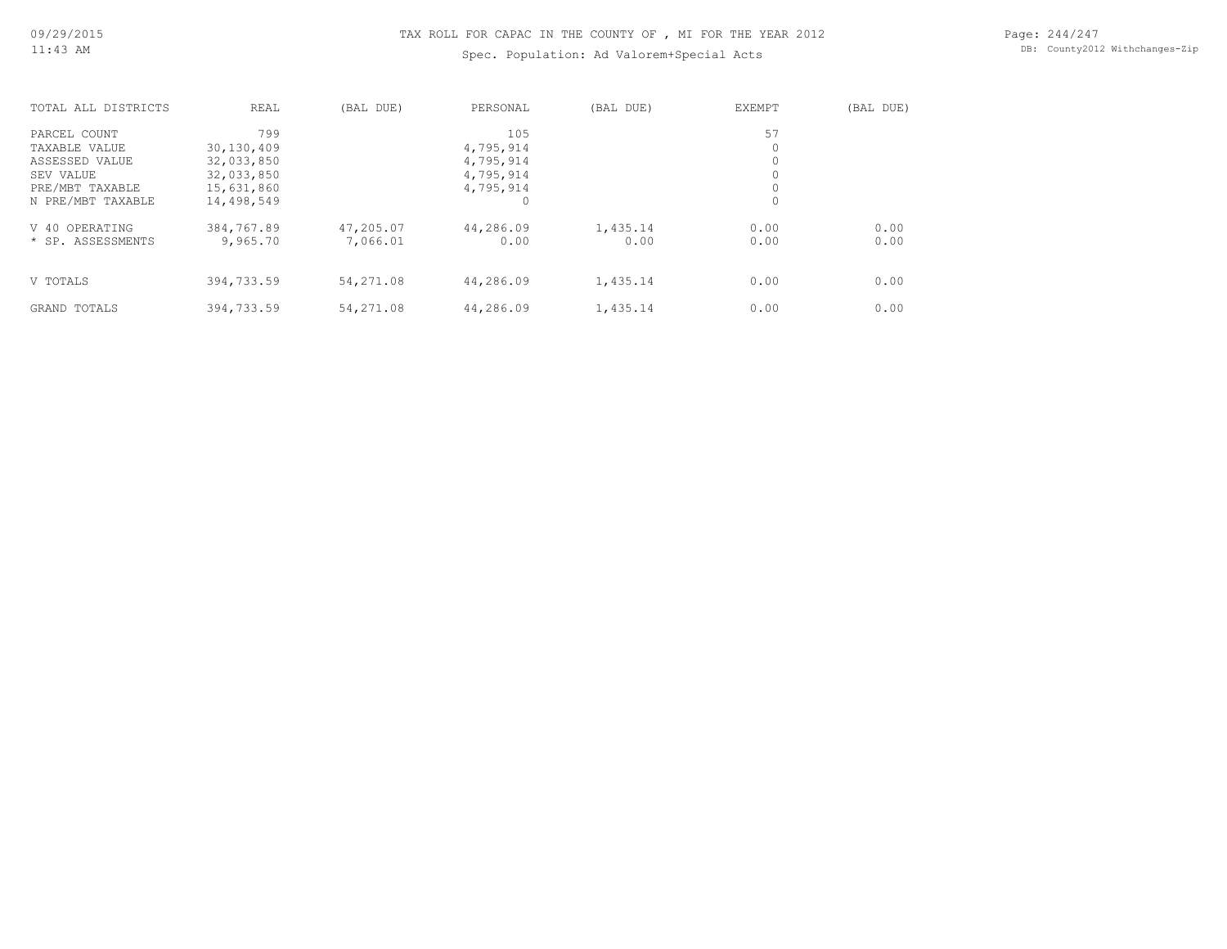#### Spec. Population: Ad Valorem+Special Acts

Page: 244/247 DB: County2012 Withchanges-Zip

| TOTAL ALL DISTRICTS | <b>REAL</b> | (BAL DUE) | PERSONAL  | (BAL DUE) | <b>EXEMPT</b> | (BAL DUE) |
|---------------------|-------------|-----------|-----------|-----------|---------------|-----------|
| PARCEL COUNT        | 799         |           | 105       |           | 57            |           |
| TAXABLE VALUE       | 30,130,409  |           | 4,795,914 |           | 0             |           |
| ASSESSED VALUE      | 32,033,850  |           | 4,795,914 |           | 0             |           |
| SEV VALUE           | 32,033,850  |           | 4,795,914 |           | 0             |           |
| PRE/MBT TAXABLE     | 15,631,860  |           | 4,795,914 |           |               |           |
| N PRE/MBT TAXABLE   | 14,498,549  |           |           |           | 0             |           |
| V 40 OPERATING      | 384,767.89  | 47,205.07 | 44,286.09 | 1,435.14  | 0.00          | 0.00      |
| * SP. ASSESSMENTS   | 9,965.70    | 7,066.01  | 0.00      | 0.00      | 0.00          | 0.00      |
|                     |             |           |           |           |               |           |
| V TOTALS            | 394,733.59  | 54,271.08 | 44,286.09 | 1,435.14  | 0.00          | 0.00      |
| GRAND TOTALS        | 394,733.59  | 54,271.08 | 44,286.09 | 1,435.14  | 0.00          | 0.00      |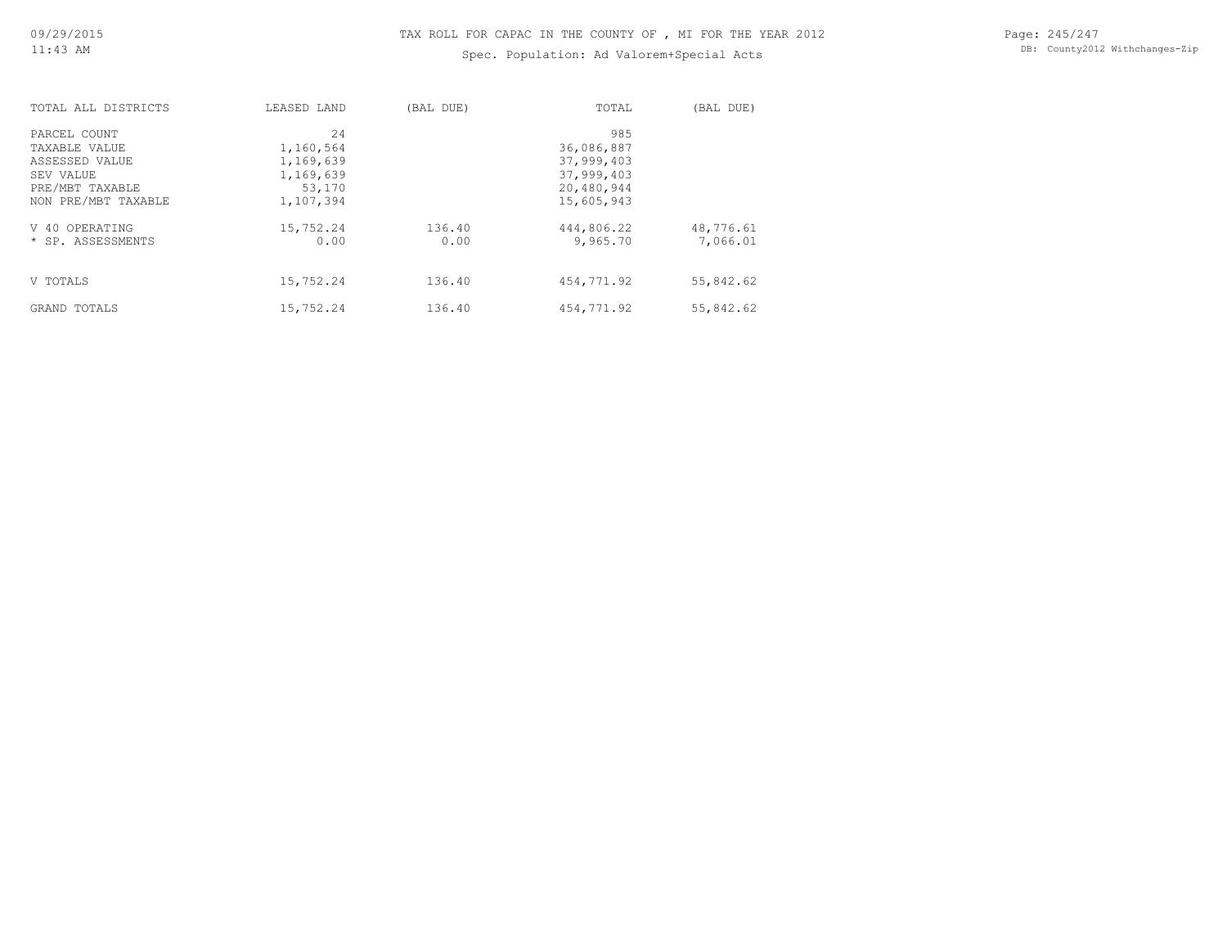#### Spec. Population: Ad Valorem+Special Acts

| TOTAL ALL DISTRICTS | LEASED LAND | (BAL DUE) | TOTAL      | (BAL DUE) |
|---------------------|-------------|-----------|------------|-----------|
| PARCEL COUNT        | 24          |           | 985        |           |
| TAXABLE VALUE       | 1,160,564   |           | 36,086,887 |           |
| ASSESSED VALUE      | 1,169,639   |           | 37,999,403 |           |
| SEV VALUE           | 1,169,639   |           | 37,999,403 |           |
| PRE/MBT TAXABLE     | 53,170      |           | 20,480,944 |           |
| NON PRE/MBT TAXABLE | 1,107,394   |           | 15,605,943 |           |
| V 40 OPERATING      | 15,752.24   | 136.40    | 444,806.22 | 48,776.61 |
| * SP. ASSESSMENTS   | 0.00        | 0.00      | 9,965.70   | 7,066.01  |
|                     |             |           |            |           |
| V TOTALS            | 15,752.24   | 136.40    | 454,771.92 | 55,842.62 |
| GRAND TOTALS        | 15,752.24   | 136.40    | 454,771.92 | 55,842.62 |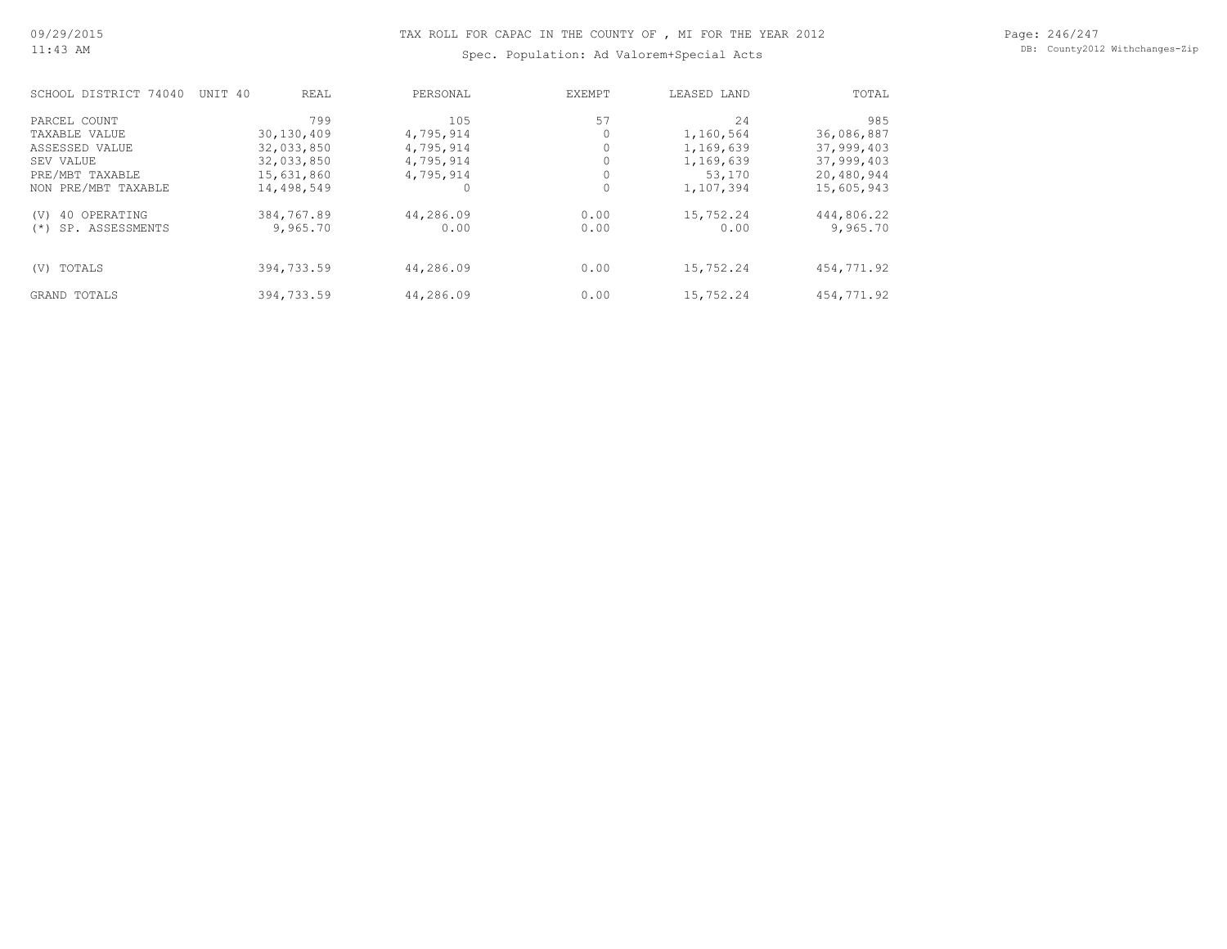Spec. Population: Ad Valorem+Special Acts

Page: 246/247 DB: County2012 Withchanges-Zip

| SCHOOL DISTRICT 74040    | UNIT 40 | REAL       | PERSONAL  |      | EXEMPT |          | LEASED LAND | TOTAL      |
|--------------------------|---------|------------|-----------|------|--------|----------|-------------|------------|
| PARCEL COUNT             |         | 799        |           | 105  | 57     |          | 24          | 985        |
| TAXABLE VALUE            |         | 30,130,409 | 4,795,914 |      |        |          | 1,160,564   | 36,086,887 |
| ASSESSED VALUE           |         | 32,033,850 | 4,795,914 |      |        |          | 1,169,639   | 37,999,403 |
| SEV VALUE                |         | 32,033,850 | 4,795,914 |      |        |          | 1,169,639   | 37,999,403 |
| PRE/MBT TAXABLE          |         | 15,631,860 | 4,795,914 |      |        |          | 53,170      | 20,480,944 |
| NON PRE/MBT TAXABLE      |         | 14,498,549 |           |      |        | $\Omega$ | 1,107,394   | 15,605,943 |
| 40 OPERATING<br>(V)      |         | 384,767.89 | 44,286.09 |      | 0.00   |          | 15,752.24   | 444,806.22 |
| SP. ASSESSMENTS<br>$(*)$ |         | 9,965.70   |           | 0.00 | 0.00   |          | 0.00        | 9,965.70   |
|                          |         |            |           |      |        |          |             |            |
| TOTALS<br>(V)            |         | 394,733.59 | 44,286.09 |      | 0.00   |          | 15,752.24   | 454,771.92 |
| GRAND TOTALS             |         | 394,733.59 | 44,286.09 |      | 0.00   |          | 15,752.24   | 454,771.92 |